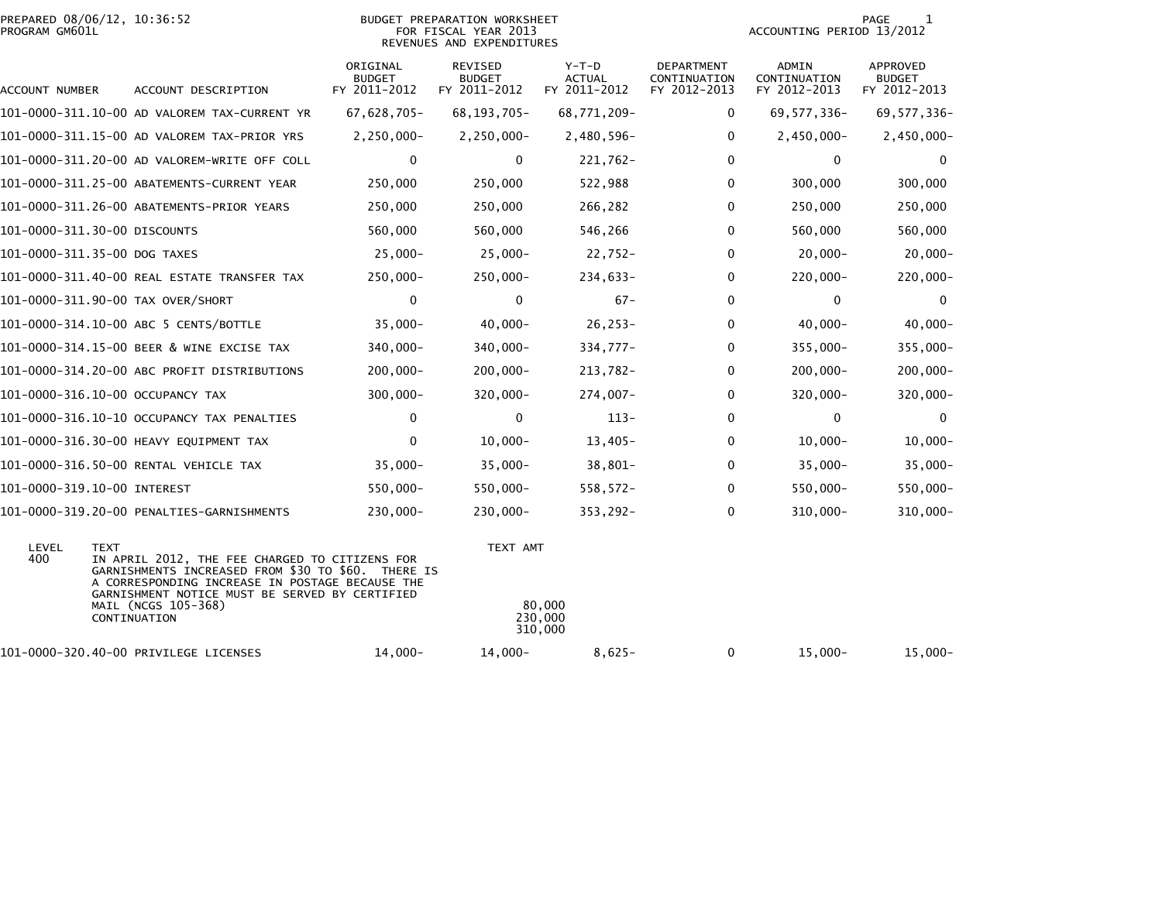|                | PREPARED 08/06/12, 10:36:52 |  |
|----------------|-----------------------------|--|
| PROGRAM GM601L |                             |  |

## PREPARED 08/06/12, 10:36:52 BUDGET PREPARATION WORKSHEET PAGE 1PROGRAM GM601L FOR FISCAL YEAR 2013 ACCOUNTING PERIOD 13/2012REVENUES AND EXPENDITURES

PAGE 1<br>ACCOUNTING PERIOD 13/2012

| ACCOUNT NUMBER                    | ACCOUNT DESCRIPTION                                                                                                                                                                                                                     | ORIGINAL<br><b>BUDGET</b><br>FY 2011-2012 | REVISED<br>BUDGET<br>FY 2011-2012 | Y-T-D<br><b>ACTUAL</b><br>FY 2011-2012 | <b>DEPARTMENT</b><br>CONTINUATION<br>FY 2012-2013 | ADMIN<br>CONTINUATION<br>FY 2012-2013 | APPROVED<br><b>BUDGET</b><br>FY 2012-2013 |
|-----------------------------------|-----------------------------------------------------------------------------------------------------------------------------------------------------------------------------------------------------------------------------------------|-------------------------------------------|-----------------------------------|----------------------------------------|---------------------------------------------------|---------------------------------------|-------------------------------------------|
|                                   | 101-0000-311.10-00 AD VALOREM TAX-CURRENT YR                                                                                                                                                                                            | 67,628,705-                               | 68, 193, 705-                     | 68,771,209-                            | $\Omega$                                          | 69, 577, 336-                         | 69, 577, 336-                             |
|                                   | 101-0000-311.15-00 AD VALOREM TAX-PRIOR YRS                                                                                                                                                                                             | $2,250,000 -$                             | $2, 250, 000 -$                   | 2,480,596-                             | $\mathbf{0}$                                      | $2,450,000 -$                         | $2,450,000 -$                             |
|                                   | 101-0000-311.20-00 AD VALOREM-WRITE OFF COLL                                                                                                                                                                                            | 0                                         | 0                                 | 221,762-                               | $\mathbf{0}$                                      | 0                                     | $\Omega$                                  |
|                                   | 101-0000-311.25-00 ABATEMENTS-CURRENT YEAR                                                                                                                                                                                              | 250,000                                   | 250,000                           | 522,988                                | $\mathbf{0}$                                      | 300,000                               | 300,000                                   |
|                                   | 101-0000-311.26-00 ABATEMENTS-PRIOR YEARS                                                                                                                                                                                               | 250,000                                   | 250,000                           | 266,282                                | $\mathbf{0}$                                      | 250,000                               | 250,000                                   |
| 101-0000-311.30-00 DISCOUNTS      |                                                                                                                                                                                                                                         | 560,000                                   | 560,000                           | 546,266                                | $\mathbf{0}$                                      | 560,000                               | 560,000                                   |
| 101-0000-311.35-00 DOG TAXES      |                                                                                                                                                                                                                                         | $25,000 -$                                | $25,000 -$                        | $22,752-$                              | 0                                                 | $20,000 -$                            | $20,000 -$                                |
|                                   | 101-0000-311.40-00 REAL ESTATE TRANSFER TAX                                                                                                                                                                                             | $250,000 -$                               | $250,000 -$                       | 234,633-                               | 0                                                 | $220,000 -$                           | $220,000 -$                               |
| 101-0000-311.90-00 TAX OVER/SHORT |                                                                                                                                                                                                                                         | 0                                         | 0                                 | $67 -$                                 | 0                                                 | 0                                     | 0                                         |
|                                   | 101-0000-314.10-00 ABC 5 CENTS/BOTTLE                                                                                                                                                                                                   | $35,000 -$                                | $40,000 -$                        | $26, 253 -$                            | $\mathbf{0}$                                      | $40,000-$                             | $40,000 -$                                |
|                                   | 101-0000-314.15-00 BEER & WINE EXCISE TAX                                                                                                                                                                                               | 340,000-                                  | $340,000 -$                       | 334,777-                               | 0                                                 | 355,000-                              | $355,000 -$                               |
|                                   | 101-0000-314.20-00 ABC PROFIT DISTRIBUTIONS                                                                                                                                                                                             | $200,000 -$                               | $200,000 -$                       | 213,782-                               | $\mathbf{0}$                                      | $200,000 -$                           | $200,000 -$                               |
| 101-0000-316.10-00 OCCUPANCY TAX  |                                                                                                                                                                                                                                         | $300,000 -$                               | $320,000 -$                       | $274,007-$                             | 0                                                 | 320,000-                              | $320,000 -$                               |
|                                   | 101-0000-316.10-10 OCCUPANCY TAX PENALTIES                                                                                                                                                                                              | $\Omega$                                  | 0                                 | $113 -$                                | 0                                                 | 0                                     | $\Omega$                                  |
|                                   | 101-0000-316.30-00 HEAVY EQUIPMENT TAX                                                                                                                                                                                                  | 0                                         | $10,000 -$                        | $13,405-$                              | $\Omega$                                          | $10,000 -$                            | $10,000 -$                                |
|                                   | 101-0000-316.50-00 RENTAL VEHICLE TAX                                                                                                                                                                                                   | $35,000 -$                                | $35,000 -$                        | $38,801-$                              | 0                                                 | $35,000-$                             | $35,000 -$                                |
| 101-0000-319.10-00 INTEREST       |                                                                                                                                                                                                                                         | 550,000-                                  | 550,000-                          | $558,572-$                             | $\mathbf{0}$                                      | 550,000-                              | 550,000-                                  |
|                                   | 101-0000-319.20-00 PENALTIES-GARNISHMENTS                                                                                                                                                                                               | 230,000-                                  | $230,000 -$                       | $353,292-$                             | 0                                                 | 310,000-                              | $310,000 -$                               |
| LEVEL<br><b>TEXT</b><br>400       | IN APRIL 2012, THE FEE CHARGED TO CITIZENS FOR<br>GARNISHMENTS INCREASED FROM \$30 TO \$60.<br>A CORRESPONDING INCREASE IN POSTAGE BECAUSE THE<br>GARNISHMENT NOTICE MUST BE SERVED BY CERTIFIED<br>MAIL (NCGS 105-368)<br>CONTINUATION | THERE IS                                  | TEXT AMT                          | 80,000<br>230,000<br>310,000           |                                                   |                                       |                                           |
|                                   | 101-0000-320.40-00 PRIVILEGE LICENSES                                                                                                                                                                                                   | $14,000-$                                 | $14,000-$                         | $8,625-$                               | 0                                                 | $15,000-$                             | $15,000-$                                 |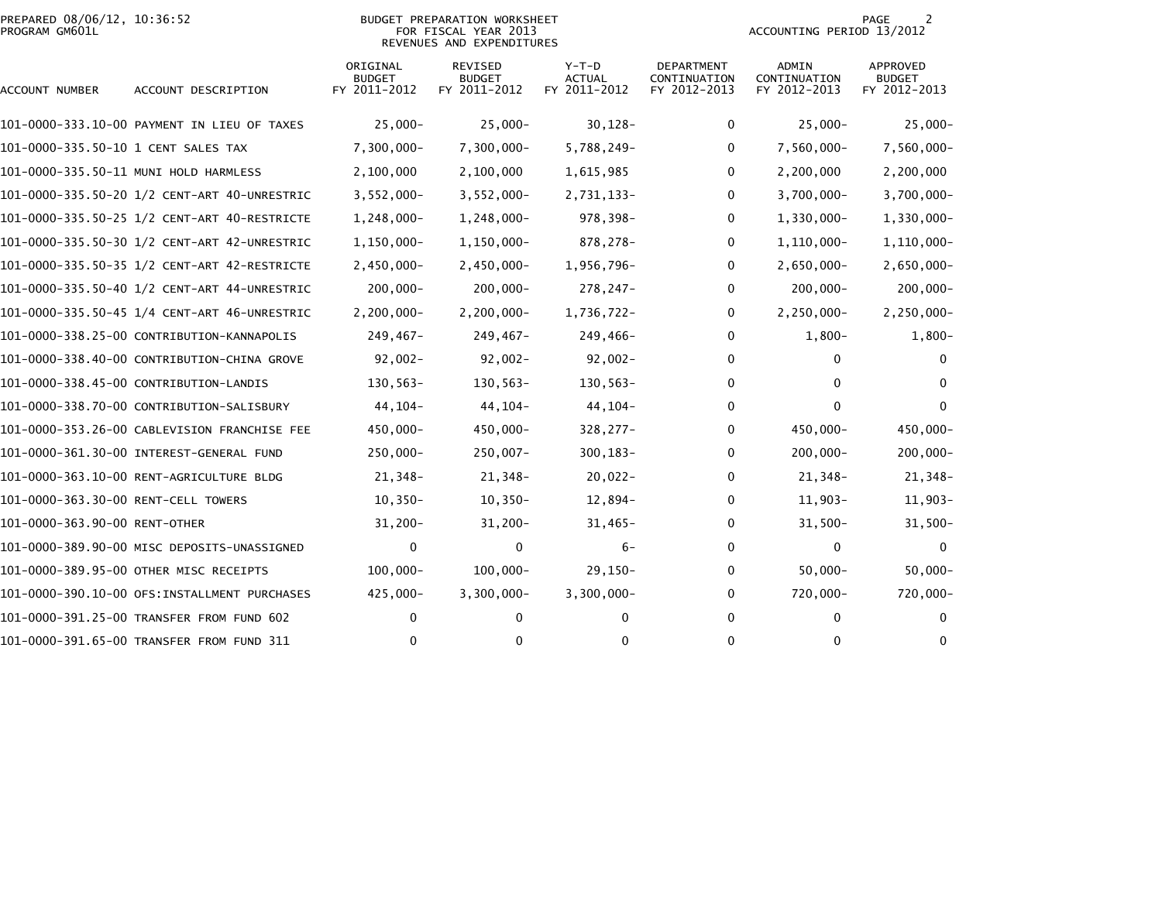|                | PREPARED 08/06/12, 10:36:52 |  |
|----------------|-----------------------------|--|
| PROGRAM GM601L |                             |  |

## PREPARED 08/06/12, 10:36:52 BUDGET PREPARATION WORKSHEET PAGE 2PROGRAM GM601L FOR FISCAL YEAR 2013 ACCOUNTING PERIOD 13/2012 REVENUES AND EXPENDITURES

| ACCOUNT NUMBER                      | ACCOUNT DESCRIPTION                          | ORIGINAL<br><b>BUDGET</b><br>FY 2011-2012 | <b>REVISED</b><br><b>BUDGET</b><br>FY 2011-2012 | $Y-T-D$<br>ACTUAL<br>FY 2011-2012 | <b>DEPARTMENT</b><br>CONTINUATION<br>FY 2012-2013 | <b>ADMIN</b><br>CONTINUATION<br>FY 2012-2013 | APPROVED<br><b>BUDGET</b><br>FY 2012-2013 |
|-------------------------------------|----------------------------------------------|-------------------------------------------|-------------------------------------------------|-----------------------------------|---------------------------------------------------|----------------------------------------------|-------------------------------------------|
|                                     | 101-0000-333.10-00 PAYMENT IN LIEU OF TAXES  | $25,000-$                                 | $25,000-$                                       | $30,128-$                         | 0                                                 | $25,000 -$                                   | $25,000-$                                 |
| 101-0000-335.50-10 1 CENT SALES TAX |                                              | $7,300,000 -$                             | $7,300,000 -$                                   | 5,788,249-                        | 0                                                 | 7,560,000-                                   | 7,560,000-                                |
|                                     | 101-0000-335.50-11 MUNI HOLD HARMLESS        | 2,100,000                                 | 2,100,000                                       | 1,615,985                         | 0                                                 | 2,200,000                                    | 2,200,000                                 |
|                                     |                                              | $3,552,000 -$                             | $3,552,000 -$                                   | 2,731,133-                        | $\Omega$                                          | $3,700,000 -$                                | $3,700,000 -$                             |
|                                     |                                              | $1,248,000 -$                             | $1,248,000 -$                                   | 978,398-                          | 0                                                 | 1,330,000-                                   | $1,330,000 -$                             |
|                                     | 101-0000-335.50-30 1/2 CENT-ART 42-UNRESTRIC | $1,150,000 -$                             | $1, 150, 000 -$                                 | 878,278-                          | $\Omega$                                          | 1,110,000-                                   | $1, 110, 000 -$                           |
|                                     |                                              | $2,450,000 -$                             | $2,450,000 -$                                   | 1,956,796-                        | 0                                                 | $2,650,000 -$                                | $2,650,000 -$                             |
|                                     |                                              | $200,000 -$                               | $200,000 -$                                     | 278,247-                          | 0                                                 | $200,000 -$                                  | $200,000 -$                               |
|                                     |                                              | $2,200,000 -$                             | $2,200,000 -$                                   | 1,736,722-                        | 0                                                 | 2,250,000-                                   | $2, 250, 000 -$                           |
|                                     | 101-0000-338.25-00 CONTRIBUTION-KANNAPOLIS   | 249,467-                                  | $249,467-$                                      | 249,466-                          | 0                                                 | $1,800-$                                     | $1,800-$                                  |
|                                     | 101-0000-338.40-00 CONTRIBUTION-CHINA GROVE  | $92,002 -$                                | $92,002 -$                                      | $92,002 -$                        | 0                                                 | 0                                            | 0                                         |
|                                     | 101-0000-338.45-00 CONTRIBUTION-LANDIS       | $130,563-$                                | $130, 563 -$                                    | $130, 563 -$                      | $\mathbf{0}$                                      | $\mathbf{0}$                                 | $\Omega$                                  |
|                                     | 101-0000-338.70-00 CONTRIBUTION-SALISBURY    | 44,104-                                   | 44, 104-                                        | 44, 104-                          | 0                                                 | 0                                            | $\bf{0}$                                  |
|                                     | 101-0000-353.26-00 CABLEVISION FRANCHISE FEE | 450,000-                                  | 450,000-                                        | $328,277-$                        | $\Omega$                                          | 450,000-                                     | 450,000-                                  |
|                                     |                                              | $250,000 -$                               | $250,007 -$                                     | $300, 183 -$                      | 0                                                 | $200,000 -$                                  | $200,000 -$                               |
|                                     | 101-0000-363.10-00 RENT-AGRICULTURE BLDG     | 21,348-                                   | 21,348-                                         | $20,022 -$                        | 0                                                 | 21,348-                                      | 21,348-                                   |
| 101-0000-363.30-00 RENT-CELL TOWERS |                                              | $10, 350 -$                               | $10, 350 -$                                     | 12,894-                           | 0                                                 | $11,903-$                                    | $11,903-$                                 |
| 101-0000-363.90-00 RENT-OTHER       |                                              | $31,200 -$                                | $31,200 -$                                      | $31,465-$                         | 0                                                 | $31,500-$                                    | $31,500 -$                                |
|                                     | 101-0000-389.90-00 MISC DEPOSITS-UNASSIGNED  | 0                                         | $\mathbf{0}$                                    | $6-$                              | $\Omega$                                          | 0                                            | $\Omega$                                  |
|                                     | 101-0000-389.95-00 OTHER MISC RECEIPTS       | $100,000 -$                               | $100,000 -$                                     | $29,150-$                         | 0                                                 | $50,000 -$                                   | $50,000 -$                                |
|                                     | 101-0000-390.10-00 OFS:INSTALLMENT PURCHASES | $425,000 -$                               | $3,300,000 -$                                   | $3,300,000 -$                     | 0                                                 | 720,000-                                     | 720,000-                                  |
|                                     | 101-0000-391.25-00 TRANSFER FROM FUND 602    | 0                                         | $\Omega$                                        | 0                                 | $\Omega$                                          | $\mathbf{0}$                                 | $\Omega$                                  |
|                                     | 101-0000-391.65-00 TRANSFER FROM FUND 311    | 0                                         | 0                                               | 0                                 | 0                                                 | 0                                            | 0                                         |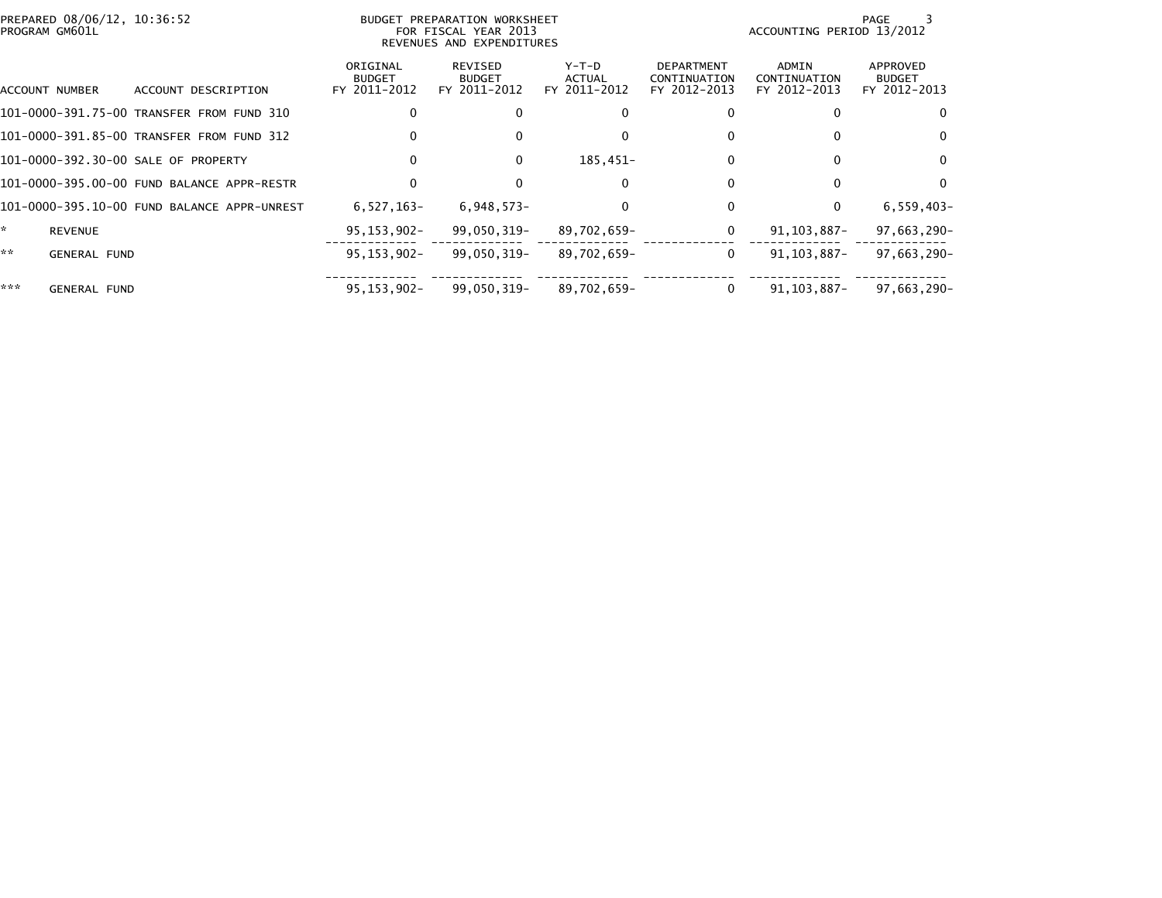| PREPARED 08/06/12, 10:36:52<br>PROGRAM GM601L |                                             |                                           | BUDGET PREPARATION WORKSHEET<br>FOR FISCAL YEAR 2013<br>REVENUES AND EXPENDITURES |                                        |                                                   | PAGE<br>ACCOUNTING PERIOD 13/2012     |                                           |  |  |
|-----------------------------------------------|---------------------------------------------|-------------------------------------------|-----------------------------------------------------------------------------------|----------------------------------------|---------------------------------------------------|---------------------------------------|-------------------------------------------|--|--|
| ACCOUNT NUMBER                                | ACCOUNT DESCRIPTION                         | ORIGINAL<br><b>BUDGET</b><br>FY 2011-2012 | REVISED<br><b>BUDGET</b><br>FY 2011-2012                                          | Y-T-D<br><b>ACTUAL</b><br>FY 2011-2012 | <b>DEPARTMENT</b><br>CONTINUATION<br>FY 2012-2013 | ADMIN<br>CONTINUATION<br>FY 2012-2013 | APPROVED<br><b>BUDGET</b><br>FY 2012-2013 |  |  |
|                                               | 101-0000-391.75-00 TRANSFER FROM FUND 310   | 0                                         | 0                                                                                 |                                        |                                                   | 0                                     | 0                                         |  |  |
|                                               | 101-0000-391.85-00 TRANSFER FROM FUND 312   | 0                                         | 0                                                                                 |                                        | 0                                                 | $\Omega$                              | $\Omega$                                  |  |  |
| 101-0000-392.30-00 SALE OF PROPERTY           |                                             | $\mathbf{0}$                              | $\mathbf{0}$                                                                      | 185,451-                               | 0                                                 | $\Omega$                              | $\Omega$                                  |  |  |
|                                               | 101-0000-395.00-00 FUND BALANCE APPR-RESTR  | 0                                         | 0                                                                                 |                                        |                                                   | $\Omega$                              | $\Omega$                                  |  |  |
|                                               | 101-0000-395.10-00 FUND BALANCE APPR-UNREST | $6,527,163-$                              | $6,948,573-$                                                                      |                                        | 0                                                 | 0                                     | $6,559,403-$                              |  |  |
| ÷.<br><b>REVENUE</b>                          |                                             | $95, 153, 902 -$                          | 99,050,319-                                                                       | 89,702,659-                            | 0                                                 | 91, 103, 887-                         | 97,663,290-                               |  |  |
| **<br><b>GENERAL FUND</b>                     |                                             | $95, 153, 902 -$                          | 99,050,319-                                                                       | 89,702,659-                            | 0                                                 | 91.103.887-                           | 97,663,290-                               |  |  |
| ***<br><b>GENERAL FUND</b>                    |                                             | $95.153.902 -$                            | 99,050,319-                                                                       | 89,702,659-                            | 0                                                 | 91.103.887-                           | 97,663,290-                               |  |  |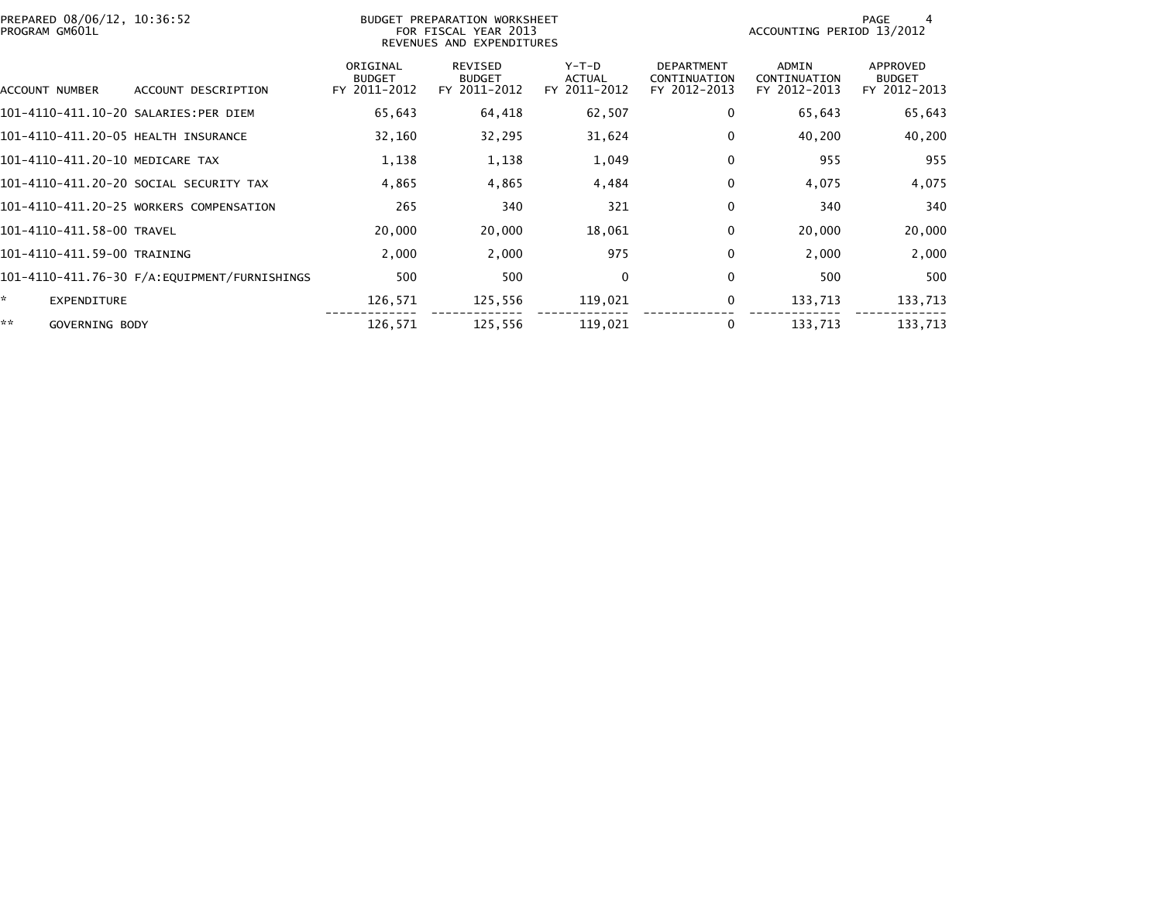| PREPARED 08/06/12, 10:36:52<br>PROGRAM GM601L |                                         |                                           | BUDGET PREPARATION WORKSHEET<br>FOR FISCAL YEAR 2013<br>REVENUES AND EXPENDITURES | PAGE<br>ACCOUNTING PERIOD 13/2012        |                                                   |                                       |                                           |
|-----------------------------------------------|-----------------------------------------|-------------------------------------------|-----------------------------------------------------------------------------------|------------------------------------------|---------------------------------------------------|---------------------------------------|-------------------------------------------|
| ACCOUNT NUMBER                                | ACCOUNT DESCRIPTION                     | ORIGINAL<br><b>BUDGET</b><br>FY 2011-2012 | REVISED<br><b>BUDGET</b><br>FY 2011-2012                                          | $Y-T-D$<br><b>ACTUAL</b><br>FY 2011-2012 | <b>DEPARTMENT</b><br>CONTINUATION<br>FY 2012-2013 | ADMIN<br>CONTINUATION<br>FY 2012-2013 | APPROVED<br><b>BUDGET</b><br>FY 2012-2013 |
| 101-4110-411.10-20 SALARIES:PER DIEM          |                                         | 65,643                                    | 64,418                                                                            | 62,507                                   | 0                                                 | 65,643                                | 65,643                                    |
| 101-4110-411.20-05 HEALTH INSURANCE           |                                         | 32,160                                    | 32,295                                                                            | 31,624                                   | 0                                                 | 40,200                                | 40,200                                    |
| 101-4110-411.20-10 MEDICARE TAX               |                                         | 1,138                                     | 1,138                                                                             | 1,049                                    | 0                                                 | 955                                   | 955                                       |
|                                               | 101–4110–411.20–20 SOCIAL SECURITY TAX  | 4,865                                     | 4,865                                                                             | 4,484                                    | 0                                                 | 4,075                                 | 4,075                                     |
|                                               | 101-4110-411.20-25 WORKERS COMPENSATION | 265                                       | 340                                                                               | 321                                      | $\mathbf 0$                                       | 340                                   | 340                                       |
| 101-4110-411.58-00 TRAVEL                     |                                         | 20,000                                    | 20,000                                                                            | 18,061                                   | 0                                                 | 20,000                                | 20,000                                    |
| 101-4110-411.59-00 TRAINING                   |                                         | 2,000                                     | 2,000                                                                             | 975                                      | $\mathbf{0}$                                      | 2,000                                 | 2,000                                     |
|                                               |                                         | 500                                       | 500                                                                               | $\Omega$                                 | 0                                                 | 500                                   | 500                                       |
| ÷.<br>EXPENDITURE                             |                                         | 126,571                                   | 125,556                                                                           | 119,021                                  | 0                                                 | 133,713                               | 133,713                                   |
| **<br>GOVERNING BODY                          |                                         | 126,571                                   | 125,556                                                                           | 119,021                                  | 0                                                 | 133,713                               | 133,713                                   |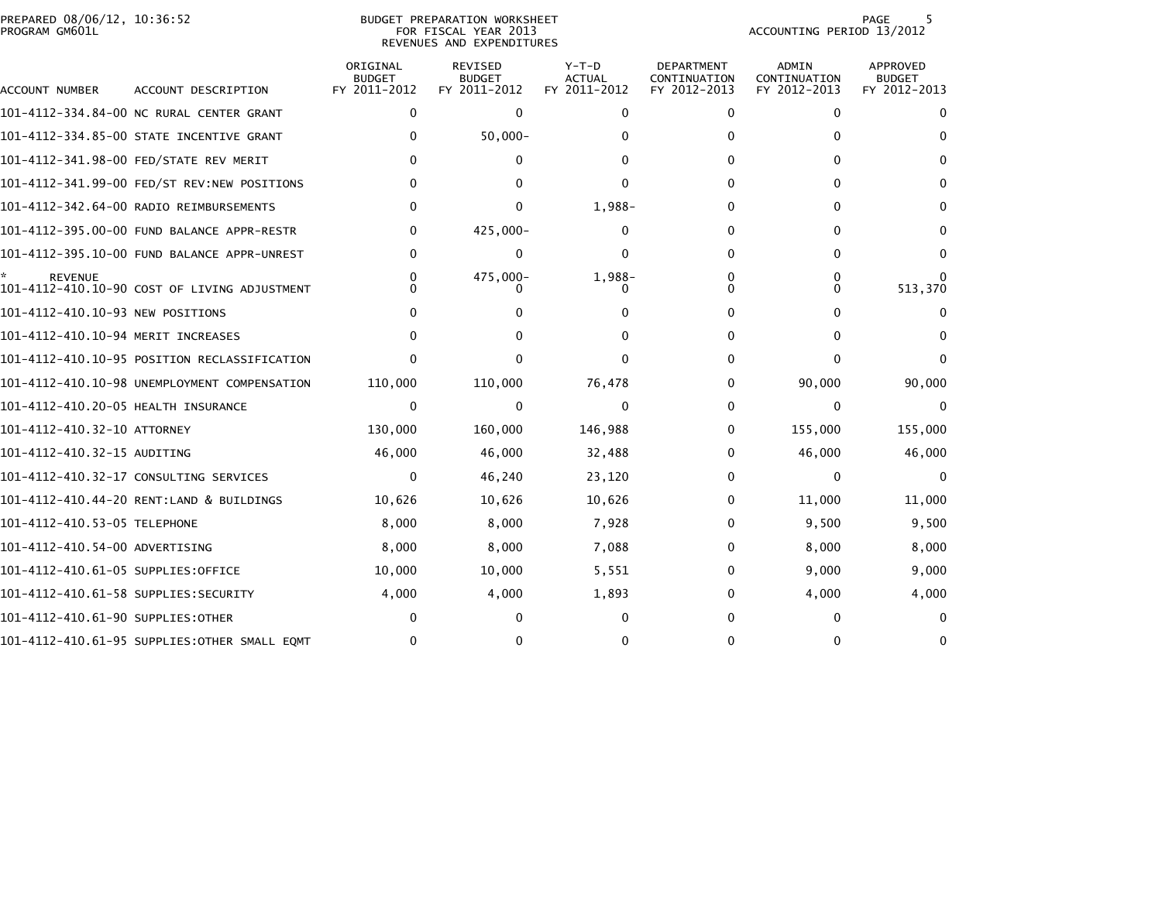|                | PREPARED 08/06/12, 10:36:52 |  |
|----------------|-----------------------------|--|
| PROGRAM GM601L |                             |  |

PREPARED 08/06/12, 10:36:52 BUDGET PREPARATION WORKSHEET PAGE 5PROGRAM GM601L FOR FISCAL YEAR 2013 ACCOUNTING PERIOD 13/2012 REVENUES AND EXPENDITURES

PAGE 5<br>ACCOUNTING PERIOD 13/2012

| ACCOUNT NUMBER                       | ACCOUNT DESCRIPTION                          | ORIGINAL<br><b>BUDGET</b><br>FY 2011-2012 | REVISED<br><b>BUDGET</b><br>FY 2011-2012 | $Y-T-D$<br><b>ACTUAL</b><br>FY 2011-2012 | <b>DEPARTMENT</b><br>CONTINUATION<br>FY 2012-2013 | <b>ADMIN</b><br>CONTINUATION<br>FY 2012-2013 | APPROVED<br><b>BUDGET</b><br>FY 2012-2013 |
|--------------------------------------|----------------------------------------------|-------------------------------------------|------------------------------------------|------------------------------------------|---------------------------------------------------|----------------------------------------------|-------------------------------------------|
|                                      | 101-4112-334.84-00 NC RURAL CENTER GRANT     | $\mathbf{0}$                              | $\mathbf 0$                              | $\Omega$                                 | $\Omega$                                          | $\mathbf 0$                                  | $\Omega$                                  |
|                                      | 101-4112-334.85-00 STATE INCENTIVE GRANT     | $\Omega$                                  | $50,000 -$                               |                                          | 0                                                 | $\Omega$                                     | 0                                         |
|                                      | 101-4112-341.98-00 FED/STATE REV MERIT       |                                           | 0                                        |                                          | 0                                                 | 0                                            | 0                                         |
|                                      | 101-4112-341.99-00 FED/ST REV:NEW POSITIONS  |                                           | 0                                        |                                          | 0                                                 | $\Omega$                                     |                                           |
|                                      | 101-4112-342.64-00 RADIO REIMBURSEMENTS      | $\Omega$                                  | 0                                        | 1,988-                                   | 0                                                 | $\Omega$                                     | 0                                         |
|                                      | 101-4112-395.00-00 FUND BALANCE APPR-RESTR   | $\mathbf{0}$                              | 425,000-                                 | 0                                        | $\Omega$                                          | $\Omega$                                     |                                           |
|                                      |                                              | $\Omega$                                  | 0                                        | 0                                        | 0                                                 | 0                                            | 0                                         |
|                                      |                                              | $\Omega$                                  | 475,000-                                 | 1,988-                                   | 0                                                 | 0                                            |                                           |
| <b>REVENUE</b>                       | 101-4112-410.10-90 COST OF LIVING ADJUSTMENT | U                                         |                                          |                                          | <sup>0</sup>                                      | 0                                            | 513,370                                   |
| 101-4112-410.10-93 NEW POSITIONS     |                                              |                                           |                                          |                                          | $^{(1)}$                                          | 0                                            |                                           |
| 101-4112-410.10-94 MERIT INCREASES   |                                              |                                           |                                          |                                          | 0                                                 | $\mathbf{0}$                                 |                                           |
|                                      | 101-4112-410.10-95 POSITION RECLASSIFICATION |                                           |                                          |                                          | 0                                                 | $\mathbf{0}$                                 |                                           |
|                                      | 101-4112-410.10-98 UNEMPLOYMENT COMPENSATION | 110,000                                   | 110,000                                  | 76,478                                   | 0                                                 | 90,000                                       | 90,000                                    |
| 101-4112-410.20-05 HEALTH INSURANCE  |                                              | $\mathbf{0}$                              | $\mathbf{0}$                             | $\Omega$                                 | 0                                                 | 0                                            | $\Omega$                                  |
| 101-4112-410.32-10 ATTORNEY          |                                              | 130,000                                   | 160,000                                  | 146,988                                  | 0                                                 | 155,000                                      | 155,000                                   |
| 101-4112-410.32-15 AUDITING          |                                              | 46,000                                    | 46,000                                   | 32,488                                   | $\Omega$                                          | 46,000                                       | 46,000                                    |
|                                      | 101–4112–410.32–17 CONSULTING SERVICES       | $\bf{0}$                                  | 46,240                                   | 23,120                                   | 0                                                 | $\Omega$                                     | $\Omega$                                  |
|                                      | 101-4112-410.44-20 RENT:LAND & BUILDINGS     | 10,626                                    | 10,626                                   | 10,626                                   | 0                                                 | 11,000                                       | 11,000                                    |
| 101-4112-410.53-05 TELEPHONE         |                                              | 8,000                                     | 8,000                                    | 7,928                                    | 0                                                 | 9,500                                        | 9,500                                     |
| 101-4112-410.54-00 ADVERTISING       |                                              | 8,000                                     | 8,000                                    | 7,088                                    | 0                                                 | 8,000                                        | 8,000                                     |
| 101-4112-410.61-05 SUPPLIES:OFFICE   |                                              | 10,000                                    | 10,000                                   | 5,551                                    | 0                                                 | 9,000                                        | 9,000                                     |
| 101-4112-410.61-58 SUPPLIES:SECURITY |                                              | 4,000                                     | 4,000                                    | 1,893                                    | 0                                                 | 4,000                                        | 4,000                                     |
| 101-4112-410.61-90 SUPPLIES: OTHER   |                                              | $\Omega$                                  | 0                                        | 0                                        | 0                                                 | $\Omega$                                     |                                           |
|                                      | 101-4112-410.61-95 SUPPLIES:OTHER SMALL EQMT | 0                                         | ი                                        |                                          | ∩                                                 | 0                                            |                                           |
|                                      |                                              |                                           |                                          |                                          |                                                   |                                              |                                           |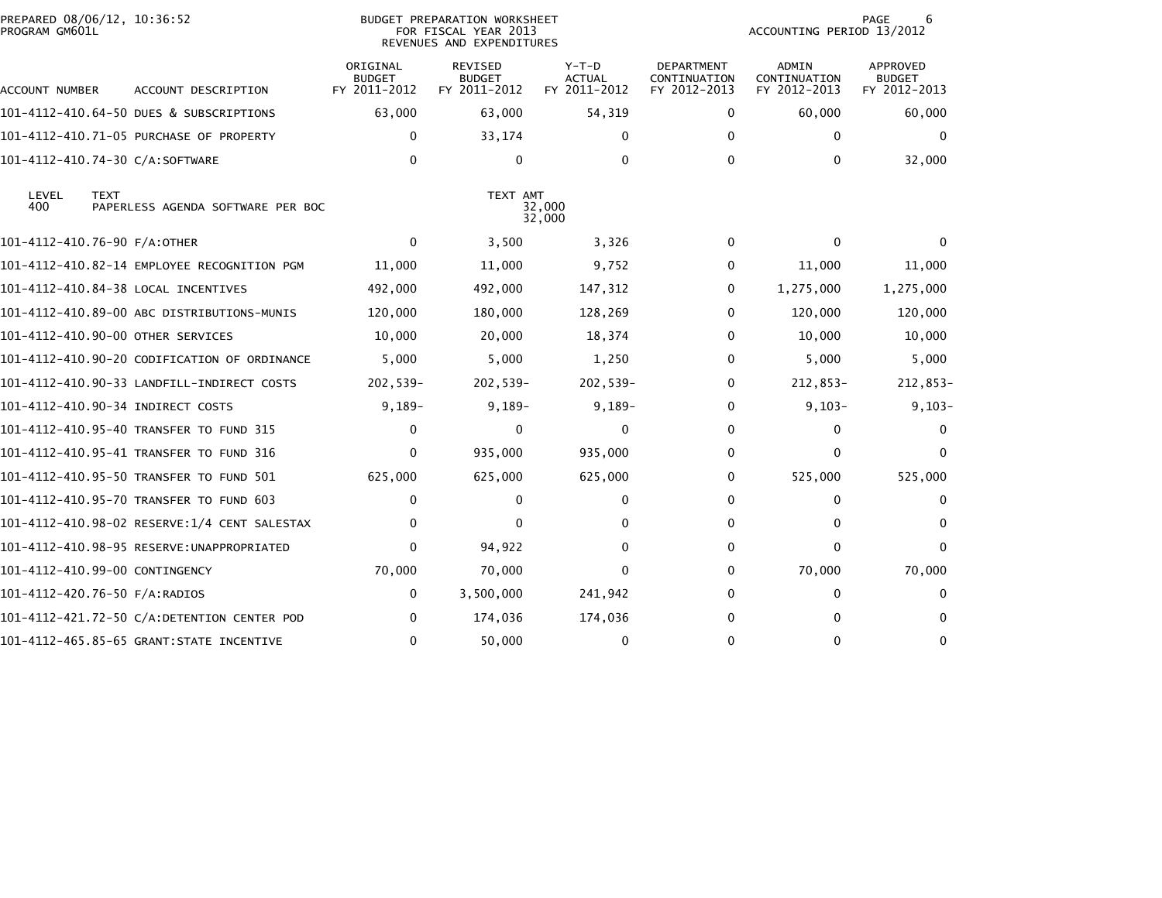| PREPARED 08/06/12, 10:36:52<br>PROGRAM GM601L | BUDGET PREPARATION WORKSHEET<br>FOR FISCAL YEAR 2013<br>REVENUES AND EXPENDITURES |                                           |                                                 |                                          |                                                   | PAGE<br>6<br>ACCOUNTING PERIOD 13/2012       |                                                  |  |
|-----------------------------------------------|-----------------------------------------------------------------------------------|-------------------------------------------|-------------------------------------------------|------------------------------------------|---------------------------------------------------|----------------------------------------------|--------------------------------------------------|--|
| ACCOUNT NUMBER                                | ACCOUNT DESCRIPTION                                                               | ORIGINAL<br><b>BUDGET</b><br>FY 2011-2012 | <b>REVISED</b><br><b>BUDGET</b><br>FY 2011-2012 | $Y-T-D$<br><b>ACTUAL</b><br>FY 2011-2012 | <b>DEPARTMENT</b><br>CONTINUATION<br>FY 2012-2013 | <b>ADMIN</b><br>CONTINUATION<br>FY 2012-2013 | <b>APPROVED</b><br><b>BUDGET</b><br>FY 2012-2013 |  |
|                                               | 101-4112-410.64-50 DUES & SUBSCRIPTIONS                                           | 63,000                                    | 63,000                                          | 54,319                                   | $\bf{0}$                                          | 60,000                                       | 60,000                                           |  |
|                                               | 101-4112-410.71-05 PURCHASE OF PROPERTY                                           | 0                                         | 33,174                                          | 0                                        | $\bf{0}$                                          | $\mathbf{0}$                                 | 0                                                |  |
| 101-4112-410.74-30 C/A:SOFTWARE               |                                                                                   | $\mathbf{0}$                              | 0                                               | $\Omega$                                 | $\Omega$                                          | $\mathbf{0}$                                 | 32,000                                           |  |
| LEVEL<br><b>TEXT</b><br>400                   | PAPERLESS AGENDA SOFTWARE PER BOC                                                 |                                           | TEXT AMT                                        | 32,000<br>32,000                         |                                                   |                                              |                                                  |  |
| 101-4112-410.76-90 F/A:OTHER                  |                                                                                   | $\Omega$                                  | 3,500                                           | 3,326                                    | $\mathbf{0}$                                      | $\Omega$                                     |                                                  |  |
|                                               | 101-4112-410.82-14 EMPLOYEE RECOGNITION PGM                                       | 11,000                                    | 11,000                                          | 9,752                                    | $\Omega$                                          | 11,000                                       | 11,000                                           |  |
| 101-4112-410.84-38 LOCAL INCENTIVES           |                                                                                   | 492,000                                   | 492,000                                         | 147,312                                  | 0                                                 | 1,275,000                                    | 1,275,000                                        |  |
|                                               | 101-4112-410.89-00 ABC DISTRIBUTIONS-MUNIS                                        | 120,000                                   | 180,000                                         | 128,269                                  | $\bf{0}$                                          | 120,000                                      | 120,000                                          |  |
| 101-4112-410.90-00 OTHER SERVICES             |                                                                                   | 10,000                                    | 20,000                                          | 18,374                                   | 0                                                 | 10,000                                       | 10,000                                           |  |
|                                               | 101-4112-410.90-20 CODIFICATION OF ORDINANCE                                      | 5,000                                     | 5,000                                           | 1,250                                    | $\mathbf{0}$                                      | 5,000                                        | 5,000                                            |  |
|                                               |                                                                                   | 202,539-                                  | $202,539-$                                      | 202,539-                                 | $\Omega$                                          | 212,853-                                     | 212,853-                                         |  |
| 101-4112-410.90-34 INDIRECT COSTS             |                                                                                   | $9,189-$                                  | $9,189-$                                        | $9,189-$                                 | $\mathbf{0}$                                      | $9,103-$                                     | $9,103-$                                         |  |
|                                               | 101-4112-410.95-40 TRANSFER TO FUND 315                                           | 0                                         | 0                                               | $\Omega$                                 | $\Omega$                                          | 0                                            |                                                  |  |
|                                               | 101-4112-410.95-41 TRANSFER TO FUND 316                                           | $\mathbf{0}$                              | 935,000                                         | 935,000                                  | $\mathbf{0}$                                      | $\mathbf{0}$                                 | $\Omega$                                         |  |
|                                               | 101-4112-410.95-50 TRANSFER TO FUND 501                                           | 625,000                                   | 625,000                                         | 625,000                                  | $\bf{0}$                                          | 525,000                                      | 525,000                                          |  |
|                                               | 101-4112-410.95-70 TRANSFER TO FUND 603                                           | 0                                         | $\mathbf{0}$                                    | 0                                        | $\mathbf{0}$                                      | $\mathbf{0}$                                 | 0                                                |  |
|                                               | 101-4112-410.98-02 RESERVE:1/4 CENT SALESTAX                                      | 0                                         | 0                                               | 0                                        | $\mathbf{0}$                                      | 0                                            | 0                                                |  |
|                                               |                                                                                   | $\Omega$                                  | 94,922                                          | 0                                        | $\Omega$                                          | $\Omega$                                     | 0                                                |  |
| 101-4112-410.99-00 CONTINGENCY                |                                                                                   | 70,000                                    | 70,000                                          | $\Omega$                                 | $\mathbf{0}$                                      | 70,000                                       | 70,000                                           |  |
| 101-4112-420.76-50 F/A:RADIOS                 |                                                                                   | 0                                         | 3,500,000                                       | 241,942                                  | $\bf{0}$                                          | $\mathbf{0}$                                 | $\Omega$                                         |  |
|                                               | 101-4112-421.72-50 C/A:DETENTION CENTER POD                                       | 0                                         | 174,036                                         | 174,036                                  | 0                                                 | $\Omega$                                     | 0                                                |  |
|                                               | 101-4112-465.85-65 GRANT:STATE INCENTIVE                                          | $\Omega$                                  | 50,000                                          | $\Omega$                                 | $\Omega$                                          | $\Omega$                                     | $\mathbf{0}$                                     |  |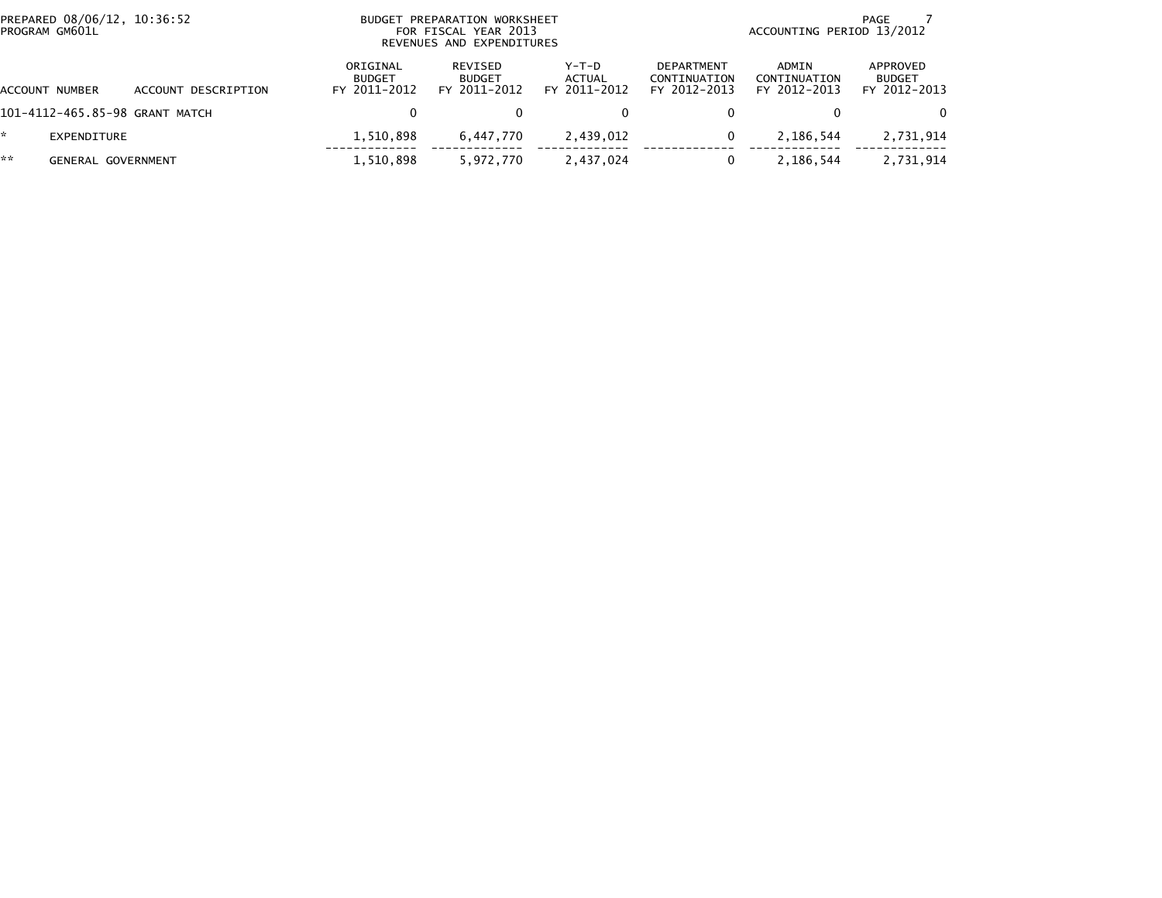| PROGRAM GM601L | PREPARED 08/06/12, 10:36:52    |                                           | BUDGET PREPARATION WORKSHEET<br>FOR FISCAL YEAR 2013<br>REVENUES AND EXPENDITURES |                                   | PAGE<br>ACCOUNTING PERIOD 13/2012                 |                                       |                                           |  |
|----------------|--------------------------------|-------------------------------------------|-----------------------------------------------------------------------------------|-----------------------------------|---------------------------------------------------|---------------------------------------|-------------------------------------------|--|
| ACCOUNT NUMBER | DESCRIPTION<br>ACCOUNT         | ORIGINAL<br><b>BUDGET</b><br>FY 2011-2012 | REVISED<br><b>BUDGET</b><br>FY 2011-2012                                          | $Y-T-D$<br>ACTUAL<br>FY 2011-2012 | <b>DEPARTMENT</b><br>CONTINUATION<br>FY 2012-2013 | ADMIN<br>CONTINUATION<br>FY 2012-2013 | APPROVED<br><b>BUDGET</b><br>FY 2012-2013 |  |
|                | 101-4112-465.85-98 GRANT MATCH | 0                                         |                                                                                   | 0                                 |                                                   |                                       | $\Omega$                                  |  |
| EXPENDITURE    |                                | 1,510,898                                 | 6.447.770                                                                         | 2,439,012                         | 0                                                 | 2,186,544                             | 2,731,914                                 |  |
| **             | GENERAL GOVERNMENT             | 1,510,898                                 | 5,972,770                                                                         | 2,437,024                         | 0                                                 | 2,186,544                             | 2,731,914                                 |  |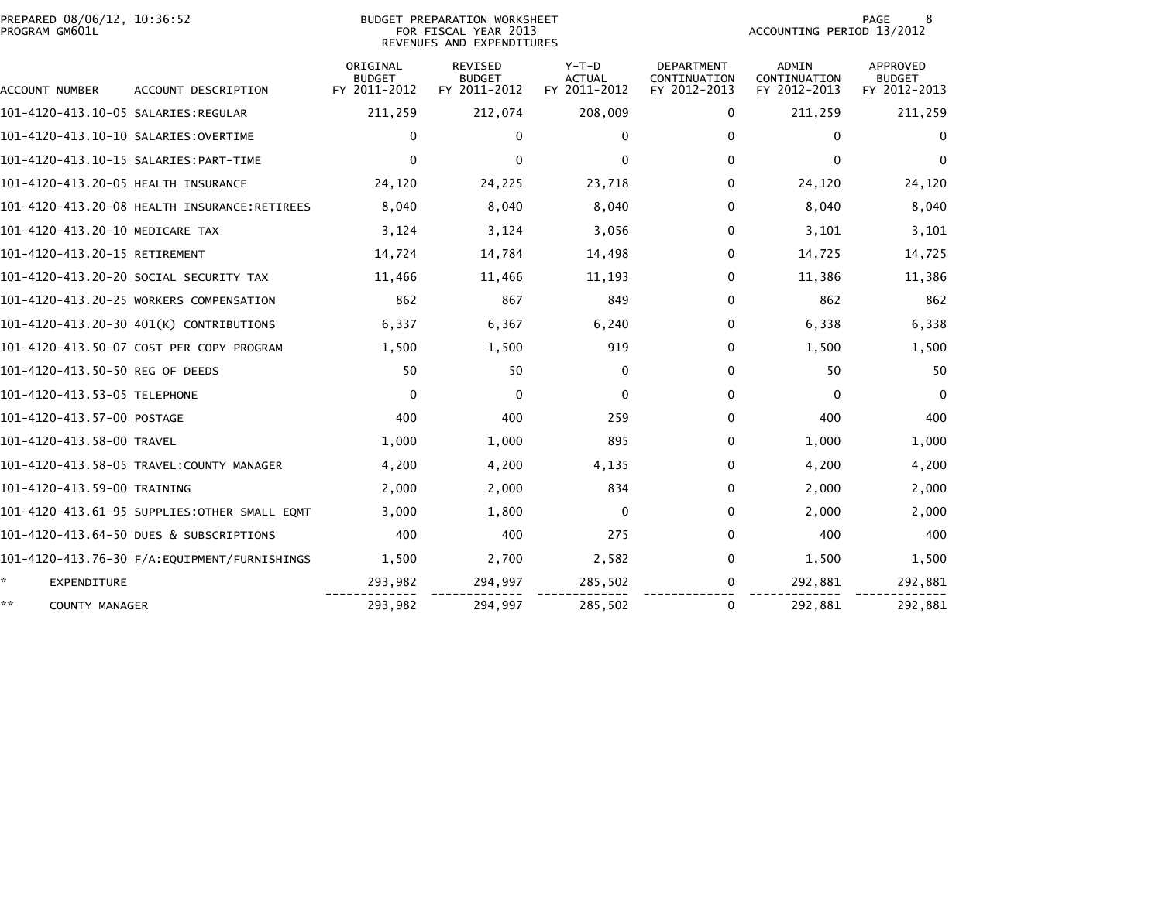| PREPARED 08/06/12, 10:36:52<br>PROGRAM GM601L |                                              |                                           | BUDGET PREPARATION WORKSHEET<br>FOR FISCAL YEAR 2013<br>REVENUES AND EXPENDITURES | PAGE<br>8<br>ACCOUNTING PERIOD 13/2012   |                                                   |                                              |                                                  |
|-----------------------------------------------|----------------------------------------------|-------------------------------------------|-----------------------------------------------------------------------------------|------------------------------------------|---------------------------------------------------|----------------------------------------------|--------------------------------------------------|
| ACCOUNT NUMBER                                | ACCOUNT DESCRIPTION                          | ORIGINAL<br><b>BUDGET</b><br>FY 2011-2012 | <b>REVISED</b><br><b>BUDGET</b><br>FY 2011-2012                                   | $Y-T-D$<br><b>ACTUAL</b><br>FY 2011-2012 | <b>DEPARTMENT</b><br>CONTINUATION<br>FY 2012-2013 | <b>ADMIN</b><br>CONTINUATION<br>FY 2012-2013 | <b>APPROVED</b><br><b>BUDGET</b><br>FY 2012-2013 |
|                                               |                                              | 211,259                                   | 212,074                                                                           | 208,009                                  | $\Omega$                                          | 211,259                                      | 211,259                                          |
| 101-4120-413.10-10 SALARIES:OVERTIME          |                                              | $\Omega$                                  | 0                                                                                 | $\Omega$                                 | $\mathbf{0}$                                      | $\Omega$                                     | $\mathbf{0}$                                     |
|                                               |                                              | $\Omega$                                  | $\mathbf{0}$                                                                      | 0                                        | $\Omega$                                          | $\mathbf{0}$                                 | $\Omega$                                         |
| 101-4120-413.20-05 HEALTH INSURANCE           |                                              | 24,120                                    | 24,225                                                                            | 23,718                                   | $\Omega$                                          | 24,120                                       | 24,120                                           |
|                                               | 101-4120-413.20-08 HEALTH INSURANCE:RETIREES | 8,040                                     | 8,040                                                                             | 8,040                                    | $\Omega$                                          | 8,040                                        | 8,040                                            |
| 101-4120-413.20-10 MEDICARE TAX               |                                              | 3,124                                     | 3,124                                                                             | 3,056                                    | $\Omega$                                          | 3,101                                        | 3,101                                            |
| 101-4120-413.20-15 RETIREMENT                 |                                              | 14,724                                    | 14,784                                                                            | 14,498                                   | $\Omega$                                          | 14,725                                       | 14,725                                           |
|                                               | 101-4120-413.20-20 SOCIAL SECURITY TAX       | 11,466                                    | 11,466                                                                            | 11,193                                   | 0                                                 | 11,386                                       | 11,386                                           |
|                                               | 101-4120-413.20-25 WORKERS COMPENSATION      | 862                                       | 867                                                                               | 849                                      | 0                                                 | 862                                          | 862                                              |
|                                               | 101-4120-413.20-30 401(K) CONTRIBUTIONS      | 6,337                                     | 6,367                                                                             | 6.240                                    | $\Omega$                                          | 6.338                                        | 6,338                                            |
|                                               | 101-4120-413.50-07 COST PER COPY PROGRAM     | 1,500                                     | 1,500                                                                             | 919                                      | $\Omega$                                          | 1.500                                        | 1,500                                            |
| 101-4120-413.50-50 REG OF DEEDS               |                                              | 50                                        | 50                                                                                | $\mathbf{0}$                             | $\mathbf{0}$                                      | 50                                           | 50                                               |
| 101-4120-413.53-05 TELEPHONE                  |                                              | $\Omega$                                  | $\Omega$                                                                          | 0                                        | $\mathbf{0}$                                      | $\mathbf{0}$                                 | $\Omega$                                         |
| 101-4120-413.57-00 POSTAGE                    |                                              | 400                                       | 400                                                                               | 259                                      | $\Omega$                                          | 400                                          | 400                                              |
| 101-4120-413.58-00 TRAVEL                     |                                              | 1,000                                     | 1,000                                                                             | 895                                      | $\Omega$                                          | 1,000                                        | 1,000                                            |
|                                               |                                              | 4,200                                     | 4,200                                                                             | 4,135                                    | $\Omega$                                          | 4,200                                        | 4,200                                            |
| 101-4120-413.59-00 TRAINING                   |                                              | 2,000                                     | 2,000                                                                             | 834                                      | $\Omega$                                          | 2,000                                        | 2,000                                            |
|                                               | 101-4120-413.61-95 SUPPLIES:OTHER SMALL EQMT | 3,000                                     | 1,800                                                                             | $\Omega$                                 | $\bf{0}$                                          | 2,000                                        | 2,000                                            |
|                                               | 101-4120-413.64-50 DUES & SUBSCRIPTIONS      | 400                                       | 400                                                                               | 275                                      | $\bf{0}$                                          | 400                                          | 400                                              |
|                                               |                                              | 1,500                                     | 2,700                                                                             | 2,582                                    | $\mathbf{0}$                                      | 1,500                                        | 1,500                                            |
| ÷.<br>EXPENDITURE                             |                                              | 293,982                                   | 294,997                                                                           | 285,502                                  | 0                                                 | 292,881                                      | 292,881                                          |
| **<br>COUNTY MANAGER                          |                                              | 293,982                                   | 294,997                                                                           | 285,502                                  | $\mathbf{0}$                                      | 292,881                                      | 292,881                                          |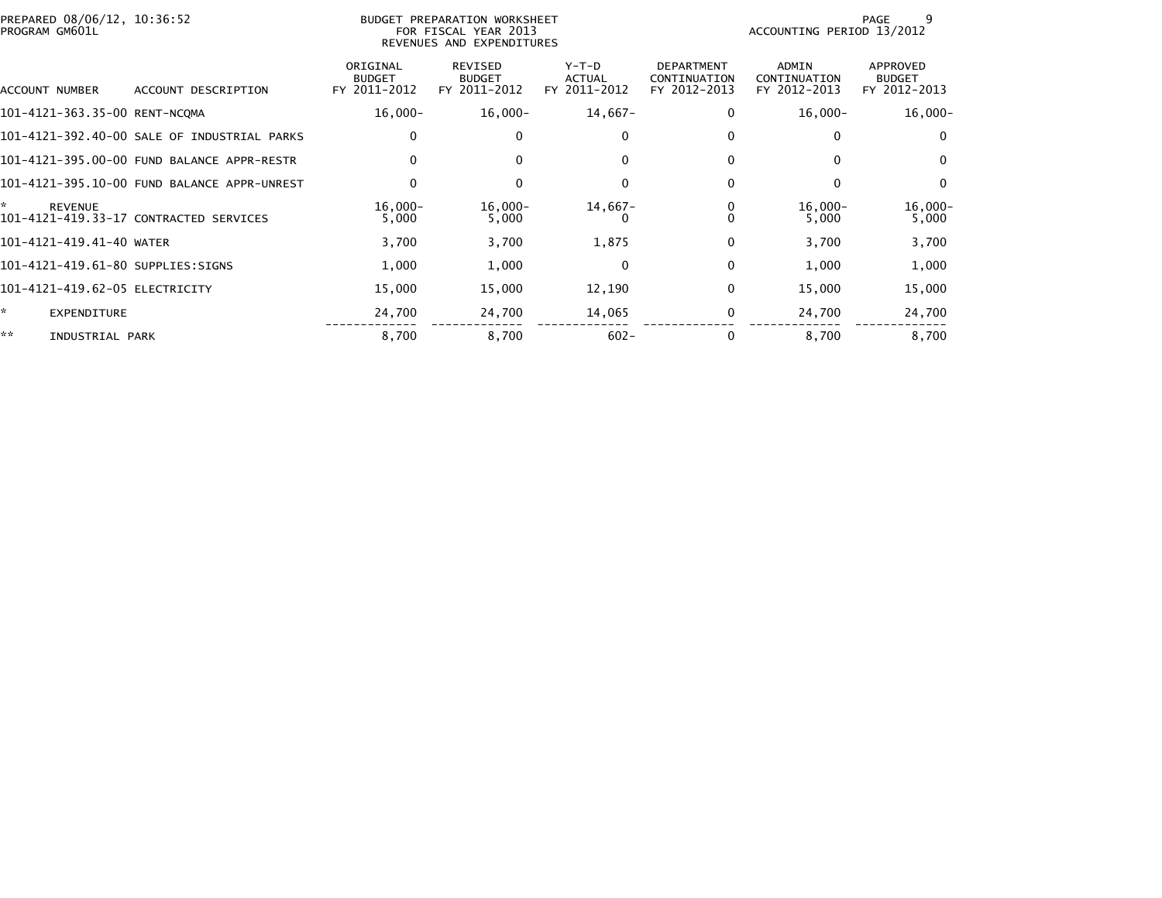| PREPARED 08/06/12, 10:36:52<br>PROGRAM GM601L |                                             |                                           | BUDGET PREPARATION WORKSHEET<br>FOR FISCAL YEAR 2013<br>REVENUES AND EXPENDITURES |                                          |                                                   | ACCOUNTING PERIOD 13/2012                    | 9<br>PAGE                                 |
|-----------------------------------------------|---------------------------------------------|-------------------------------------------|-----------------------------------------------------------------------------------|------------------------------------------|---------------------------------------------------|----------------------------------------------|-------------------------------------------|
| ACCOUNT NUMBER                                | ACCOUNT DESCRIPTION                         | ORIGINAL<br><b>BUDGET</b><br>FY 2011-2012 | <b>REVISED</b><br><b>BUDGET</b><br>FY 2011-2012                                   | $Y-T-D$<br><b>ACTUAL</b><br>FY 2011-2012 | <b>DEPARTMENT</b><br>CONTINUATION<br>FY 2012-2013 | <b>ADMIN</b><br>CONTINUATION<br>FY 2012-2013 | APPROVED<br><b>BUDGET</b><br>FY 2012-2013 |
| 101-4121-363.35-00 RENT-NCQMA                 |                                             | $16,000 -$                                | $16,000 -$                                                                        | 14,667-                                  | 0                                                 | $16,000 -$                                   | $16,000-$                                 |
|                                               | 101-4121-392.40-00 SALE OF INDUSTRIAL PARKS | 0                                         | 0                                                                                 | 0                                        | 0                                                 | 0                                            | 0                                         |
|                                               | 101-4121-395.00-00 FUND BALANCE APPR-RESTR  | $\mathbf{0}$                              | $\mathbf{0}$                                                                      | $\Omega$                                 | $\Omega$                                          | $\mathbf{0}$                                 | $\Omega$                                  |
|                                               | 101-4121-395.10-00 FUND BALANCE APPR-UNREST | $\mathbf 0$                               | 0                                                                                 | 0                                        | 0                                                 | 0                                            | $\mathbf{0}$                              |
| ÷.<br><b>REVENUE</b>                          | 101-4121-419.33-17 CONTRACTED SERVICES      | $16,000 -$<br>5,000                       | $16,000 -$<br>5,000                                                               | $14,667-$                                | 0<br>0                                            | $16,000 -$<br>5,000                          | $16,000-$<br>5,000                        |
| 101-4121-419.41-40 WATER                      |                                             | 3,700                                     | 3,700                                                                             | 1,875                                    | $\mathbf{0}$                                      | 3,700                                        | 3,700                                     |
| 101-4121-419.61-80 SUPPLIES:SIGNS             |                                             | 1,000                                     | 1,000                                                                             | 0                                        | 0                                                 | 1,000                                        | 1,000                                     |
| 101-4121-419.62-05 ELECTRICITY                |                                             | 15,000                                    | 15,000                                                                            | 12,190                                   | 0                                                 | 15,000                                       | 15,000                                    |
| ×.<br><b>EXPENDITURE</b>                      |                                             | 24,700                                    | 24,700                                                                            | 14,065                                   | 0                                                 | 24,700                                       | 24,700                                    |
| **<br>INDUSTRIAL PARK                         |                                             | 8,700                                     | 8,700                                                                             | $602 -$                                  | 0                                                 | 8,700                                        | 8,700                                     |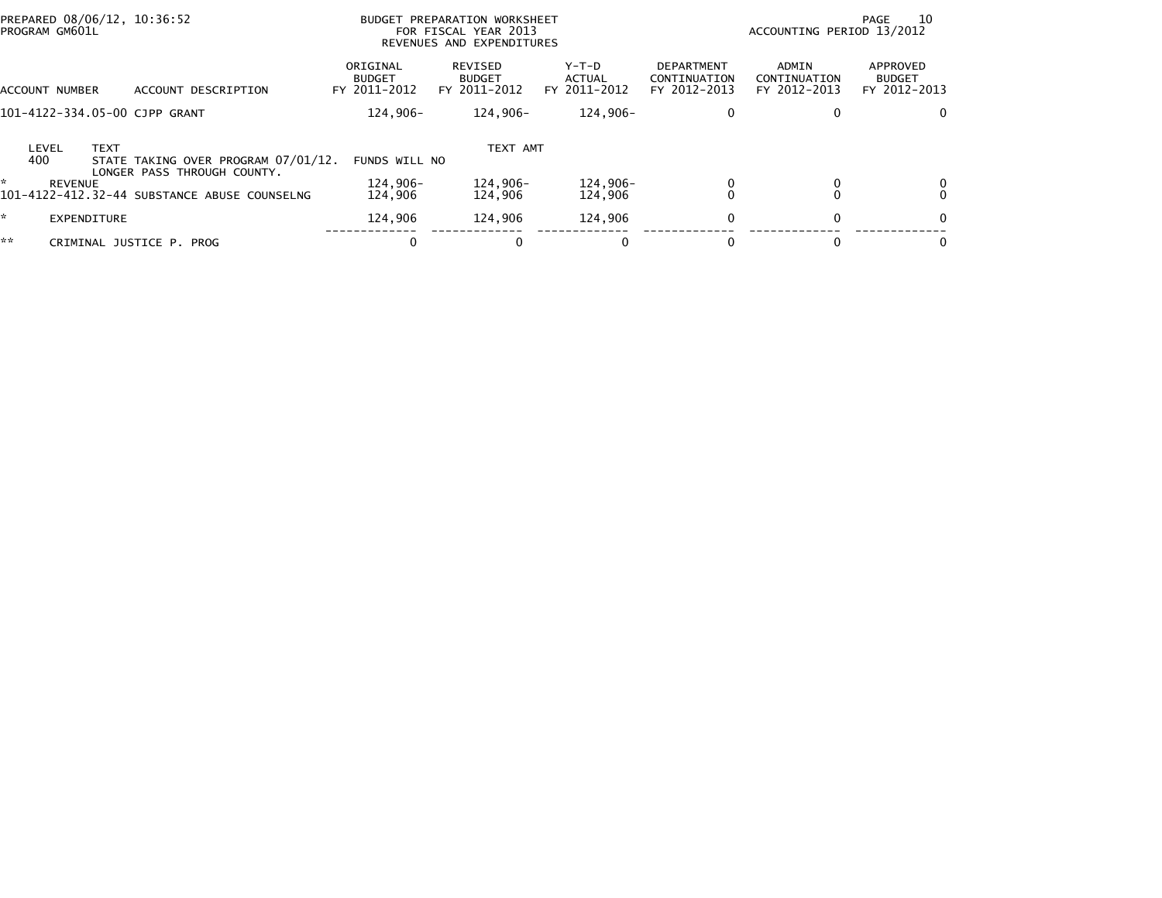| PREPARED 08/06/12, 10:36:52<br>PROGRAM GM601L                                                      |                                           | BUDGET PREPARATION WORKSHEET<br>FOR FISCAL YEAR 2013<br>REVENUES AND EXPENDITURES |                                        |                                                   | ACCOUNTING PERIOD 13/2012             | 10<br>PAGE                                |
|----------------------------------------------------------------------------------------------------|-------------------------------------------|-----------------------------------------------------------------------------------|----------------------------------------|---------------------------------------------------|---------------------------------------|-------------------------------------------|
| ACCOUNT NUMBER<br>DESCRIPTION<br>ACCOUNT                                                           | ORIGINAL<br><b>BUDGET</b><br>FY 2011-2012 | <b>REVISED</b><br><b>BUDGET</b><br>FY 2011-2012                                   | Y-T-D<br><b>ACTUAL</b><br>FY 2011-2012 | <b>DEPARTMENT</b><br>CONTINUATION<br>FY 2012-2013 | ADMIN<br>CONTINUATION<br>FY 2012-2013 | APPROVED<br><b>BUDGET</b><br>FY 2012-2013 |
| 101-4122-334.05-00 CJPP GRANT                                                                      | 124.906-                                  | 124.906-                                                                          | 124.906-                               | 0                                                 | 0                                     | $\Omega$                                  |
| <b>TEXT</b><br>LEVEL<br>400<br>STATE TAKING OVER PROGRAM 07/01/12.                                 | FUNDS WILL NO                             | TEXT AMT                                                                          |                                        |                                                   |                                       |                                           |
| LONGER PASS THROUGH COUNTY.<br>÷<br><b>REVENUE</b><br>101-4122-412.32-44 SUBSTANCE ABUSE COUNSELNG | 124.906-<br>124,906                       | 124,906-<br>124,906                                                               | 124,906-<br>124,906                    |                                                   |                                       | 0<br>$\Omega$                             |
| *<br>EXPENDITURE                                                                                   | 124,906                                   | 124,906                                                                           | 124,906                                | $\Omega$                                          | $\mathbf{0}$                          | $\Omega$                                  |
| **<br>CRIMINAL JUSTICE P. PROG                                                                     | 0                                         | 0                                                                                 |                                        |                                                   | 0                                     | 0                                         |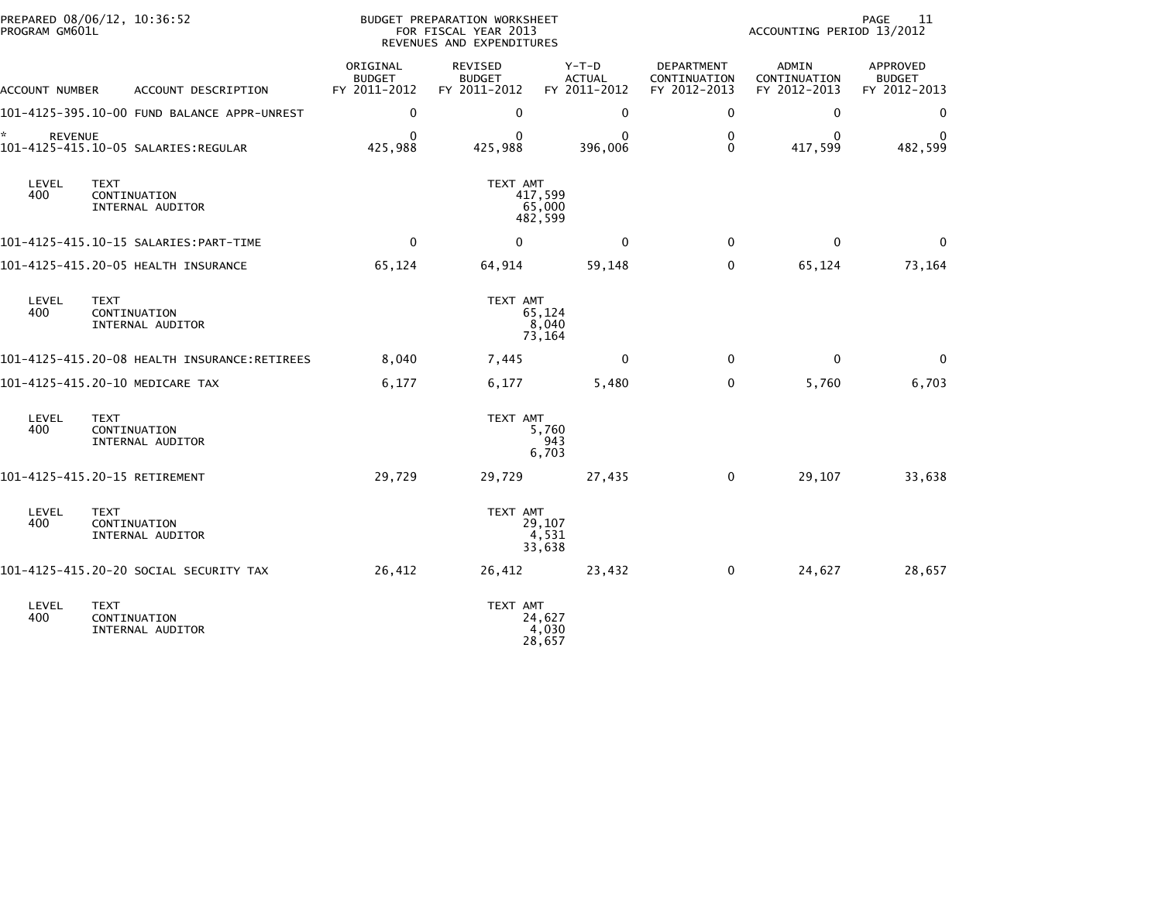| PROGRAM GM601L       | PREPARED 08/06/12, 10:36:52                     |                                           | BUDGET PREPARATION WORKSHEET<br>FOR FISCAL YEAR 2013<br>REVENUES AND EXPENDITURES |                                        |                                            | ACCOUNTING PERIOD 13/2012                    | PAGE<br>11                                |
|----------------------|-------------------------------------------------|-------------------------------------------|-----------------------------------------------------------------------------------|----------------------------------------|--------------------------------------------|----------------------------------------------|-------------------------------------------|
| ACCOUNT NUMBER       | ACCOUNT DESCRIPTION                             | ORIGINAL<br><b>BUDGET</b><br>FY 2011-2012 | REVISED<br><b>BUDGET</b><br>FY 2011-2012                                          | Y-T-D<br><b>ACTUAL</b><br>FY 2011-2012 | DEPARTMENT<br>CONTINUATION<br>FY 2012-2013 | <b>ADMIN</b><br>CONTINUATION<br>FY 2012-2013 | APPROVED<br><b>BUDGET</b><br>FY 2012-2013 |
|                      | 101-4125-395.10-00 FUND BALANCE APPR-UNREST     | 0                                         | 0                                                                                 | 0                                      | 0                                          | $\mathbf 0$                                  | 0                                         |
| *.<br><b>REVENUE</b> |                                                 | $\Omega$<br>425,988                       | $\Omega$<br>425,988                                                               | $\Omega$<br>396,006                    | $\mathbf 0$<br>$\mathbf 0$                 | $\mathbf{0}$<br>417,599                      | 0<br>482,599                              |
| LEVEL<br>400         | <b>TEXT</b><br>CONTINUATION<br>INTERNAL AUDITOR |                                           | TEXT AMT                                                                          | 417,599<br>65,000<br>482,599           |                                            |                                              |                                           |
|                      |                                                 | 0                                         | $\mathbf{0}$                                                                      | $\Omega$                               | $\mathbf{0}$                               | $\mathbf{0}$                                 | $\mathbf{0}$                              |
|                      | 101-4125-415.20-05 HEALTH INSURANCE             | 65,124                                    | 64,914                                                                            | 59,148                                 | 0                                          | 65,124                                       | 73,164                                    |
| LEVEL<br>400         | <b>TEXT</b><br>CONTINUATION<br>INTERNAL AUDITOR |                                           | TEXT AMT                                                                          | 65,124<br>8,040<br>73,164              |                                            |                                              |                                           |
|                      |                                                 | 8,040                                     | 7,445                                                                             | 0                                      | 0                                          | $\mathbf{0}$                                 | $\mathbf 0$                               |
|                      | 101-4125-415.20-10 MEDICARE TAX                 | 6,177                                     | 6,177                                                                             | 5,480                                  | $\mathbf 0$                                | 5,760                                        | 6,703                                     |
| LEVEL<br>400         | <b>TEXT</b><br>CONTINUATION<br>INTERNAL AUDITOR |                                           | TEXT AMT                                                                          | 5,760<br>943<br>6,703                  |                                            |                                              |                                           |
|                      | 101-4125-415.20-15 RETIREMENT                   | 29,729                                    | 29,729                                                                            | 27,435                                 | 0                                          | 29,107                                       | 33,638                                    |
| LEVEL<br>400         | <b>TEXT</b><br>CONTINUATION<br>INTERNAL AUDITOR |                                           | TEXT AMT                                                                          | 29,107<br>4,531<br>33,638              |                                            |                                              |                                           |
|                      | 101-4125-415.20-20 SOCIAL SECURITY TAX          | 26,412                                    | 26,412                                                                            | 23,432                                 | 0                                          | 24,627                                       | 28,657                                    |
| LEVEL<br>400         | <b>TEXT</b><br>CONTINUATION<br>INTERNAL AUDITOR |                                           | TEXT AMT                                                                          | 24,627<br>4,030<br>28,657              |                                            |                                              |                                           |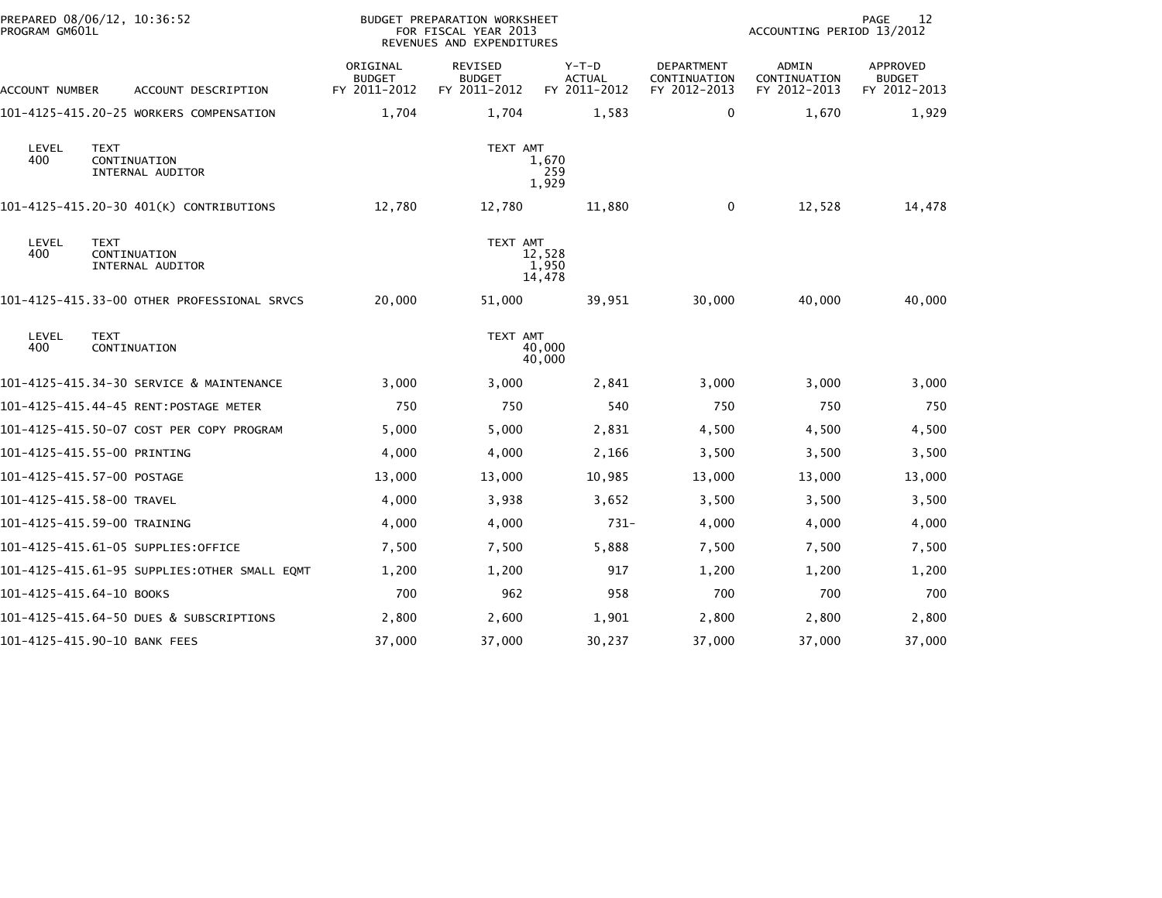| PROGRAM GM601L           | PREPARED 08/06/12, 10:36:52                     |                                           | <b>BUDGET PREPARATION WORKSHEET</b><br>FOR FISCAL YEAR 2013<br>REVENUES AND EXPENDITURES |                                          |                                            | ACCOUNTING PERIOD 13/2012                    | 12<br>PAGE                                |
|--------------------------|-------------------------------------------------|-------------------------------------------|------------------------------------------------------------------------------------------|------------------------------------------|--------------------------------------------|----------------------------------------------|-------------------------------------------|
| ACCOUNT NUMBER           | ACCOUNT DESCRIPTION                             | ORIGINAL<br><b>BUDGET</b><br>FY 2011-2012 | <b>REVISED</b><br><b>BUDGET</b><br>FY 2011-2012                                          | $Y-T-D$<br><b>ACTUAL</b><br>FY 2011-2012 | DEPARTMENT<br>CONTINUATION<br>FY 2012-2013 | <b>ADMIN</b><br>CONTINUATION<br>FY 2012-2013 | APPROVED<br><b>BUDGET</b><br>FY 2012-2013 |
|                          | 101-4125-415.20-25 WORKERS COMPENSATION         | 1,704                                     | 1,704                                                                                    | 1,583                                    | 0                                          | 1,670                                        | 1,929                                     |
| LEVEL<br>400             | <b>TEXT</b><br>CONTINUATION<br>INTERNAL AUDITOR |                                           | TEXT AMT                                                                                 | 1,670<br>259<br>1,929                    |                                            |                                              |                                           |
|                          | 101-4125-415.20-30 401(K) CONTRIBUTIONS         | 12,780                                    | 12,780                                                                                   | 11,880                                   | $\Omega$                                   | 12,528                                       | 14,478                                    |
| LEVEL<br>400             | <b>TEXT</b><br>CONTINUATION<br>INTERNAL AUDITOR |                                           | TEXT AMT                                                                                 | 12,528<br>1,950<br>14,478                |                                            |                                              |                                           |
|                          | 101-4125-415.33-00 OTHER PROFESSIONAL SRVCS     | 20,000                                    | 51,000                                                                                   | 39,951                                   | 30,000                                     | 40,000                                       | 40,000                                    |
| LEVEL<br>400             | <b>TEXT</b><br>CONTINUATION                     |                                           | TEXT AMT                                                                                 | 40,000<br>40,000                         |                                            |                                              |                                           |
|                          | 101-4125-415.34-30 SERVICE & MAINTENANCE        | 3,000                                     | 3,000                                                                                    | 2,841                                    | 3,000                                      | 3,000                                        | 3,000                                     |
|                          |                                                 | 750                                       | 750                                                                                      | 540                                      | 750                                        | 750                                          | 750                                       |
|                          | 101-4125-415.50-07 COST PER COPY PROGRAM        | 5,000                                     | 5,000                                                                                    | 2,831                                    | 4,500                                      | 4,500                                        | 4,500                                     |
|                          | 101-4125-415.55-00 PRINTING                     | 4,000                                     | 4,000                                                                                    | 2,166                                    | 3,500                                      | 3,500                                        | 3,500                                     |
|                          | 101-4125-415.57-00 POSTAGE                      | 13,000                                    | 13,000                                                                                   | 10,985                                   | 13,000                                     | 13,000                                       | 13,000                                    |
|                          | 101-4125-415.58-00 TRAVEL                       | 4,000                                     | 3,938                                                                                    | 3,652                                    | 3,500                                      | 3,500                                        | 3,500                                     |
|                          | 101-4125-415.59-00 TRAINING                     | 4,000                                     | 4,000                                                                                    | $731-$                                   | 4,000                                      | 4,000                                        | 4,000                                     |
|                          | 101-4125-415.61-05 SUPPLIES:OFFICE              | 7,500                                     | 7,500                                                                                    | 5,888                                    | 7,500                                      | 7,500                                        | 7,500                                     |
|                          | 101-4125-415.61-95 SUPPLIES: OTHER SMALL EQMT   | 1,200                                     | 1,200                                                                                    | 917                                      | 1,200                                      | 1,200                                        | 1,200                                     |
| 101-4125-415.64-10 BOOKS |                                                 | 700                                       | 962                                                                                      | 958                                      | 700                                        | 700                                          | 700                                       |
|                          | 101-4125-415.64-50 DUES & SUBSCRIPTIONS         | 2,800                                     | 2,600                                                                                    | 1,901                                    | 2,800                                      | 2,800                                        | 2,800                                     |
|                          | 101-4125-415.90-10 BANK FEES                    | 37,000                                    | 37,000                                                                                   | 30,237                                   | 37,000                                     | 37,000                                       | 37,000                                    |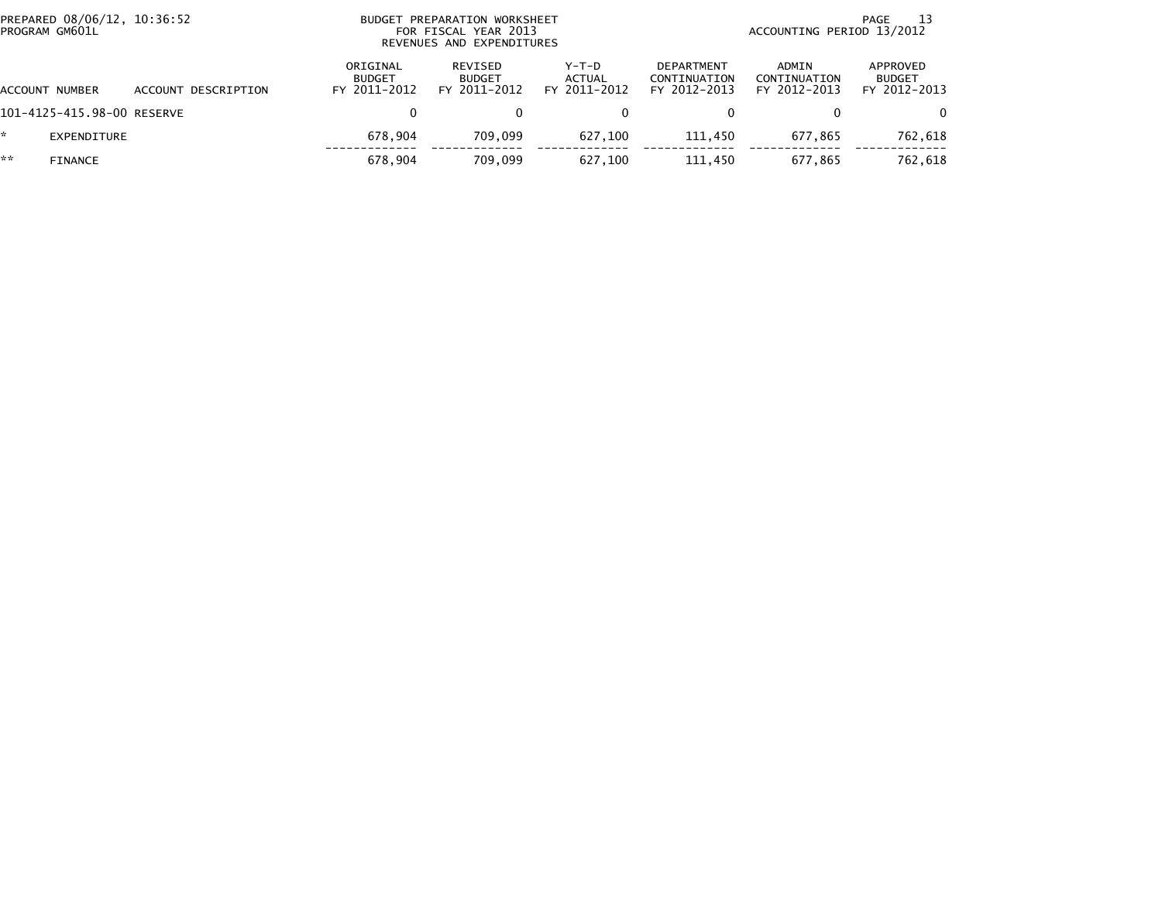|    | PREPARED 08/06/12, 10:36:52<br>PROGRAM GM601L |                     |                                           | BUDGET PREPARATION WORKSHEET<br>FOR FISCAL YEAR 2013<br>REVENUES AND EXPENDITURES |                                   |                                            |                                       | 13<br>PAGE<br>ACCOUNTING PERIOD 13/2012   |
|----|-----------------------------------------------|---------------------|-------------------------------------------|-----------------------------------------------------------------------------------|-----------------------------------|--------------------------------------------|---------------------------------------|-------------------------------------------|
|    | ACCOUNT NUMBER                                | ACCOUNT DESCRIPTION | ORIGINAL<br><b>BUDGET</b><br>FY 2011-2012 | REVISED<br><b>BUDGET</b><br>FY 2011-2012                                          | $Y-T-D$<br>ACTUAL<br>FY 2011-2012 | DEPARTMENT<br>CONTINUATION<br>FY 2012-2013 | ADMIN<br>CONTINUATION<br>FY 2012-2013 | APPROVED<br><b>BUDGET</b><br>FY 2012-2013 |
|    | 101-4125-415.98-00 RESERVE                    |                     | 0                                         |                                                                                   | 0                                 |                                            |                                       | $\Omega$                                  |
| ÷. | EXPENDITURE                                   |                     | 678.904                                   | 709.099                                                                           | 627.100                           | 111.450                                    | 677.865                               | 762,618                                   |
| ** | <b>FINANCE</b>                                |                     | 678.904                                   | 709.099                                                                           | 627.100                           | 111.450                                    | 677,865                               | 762,618                                   |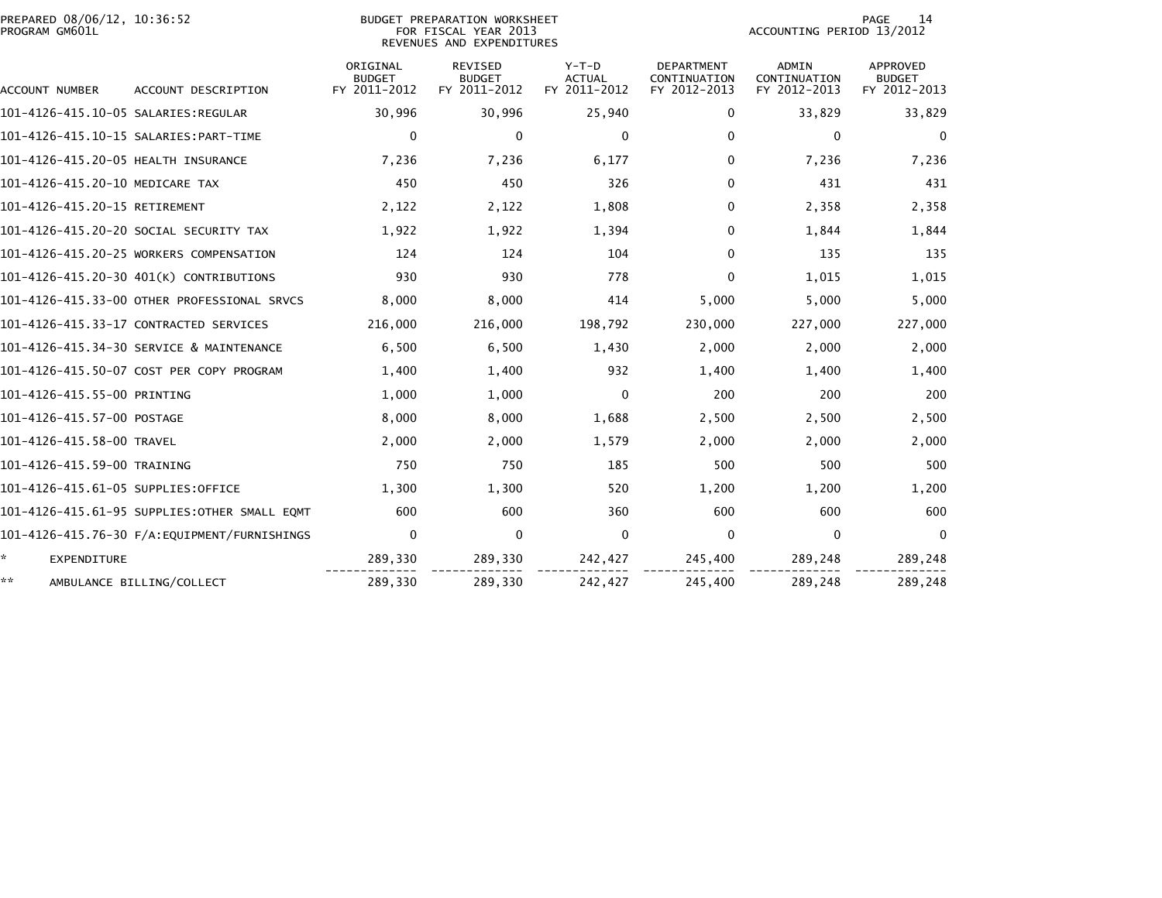| PREPARED 08/06/12, 10:36:52<br>PROGRAM GM601L | BUDGET PREPARATION WORKSHEET<br>FOR FISCAL YEAR 2013<br>REVENUES AND EXPENDITURES |                                           |                                                 |                                          |                                                   | 14<br><b>PAGE</b><br>ACCOUNTING PERIOD 13/2012 |                                                  |  |
|-----------------------------------------------|-----------------------------------------------------------------------------------|-------------------------------------------|-------------------------------------------------|------------------------------------------|---------------------------------------------------|------------------------------------------------|--------------------------------------------------|--|
| ACCOUNT NUMBER                                | ACCOUNT DESCRIPTION                                                               | ORIGINAL<br><b>BUDGET</b><br>FY 2011-2012 | <b>REVISED</b><br><b>BUDGET</b><br>FY 2011-2012 | $Y-T-D$<br><b>ACTUAL</b><br>FY 2011-2012 | <b>DEPARTMENT</b><br>CONTINUATION<br>FY 2012-2013 | <b>ADMIN</b><br>CONTINUATION<br>FY 2012-2013   | <b>APPROVED</b><br><b>BUDGET</b><br>FY 2012-2013 |  |
|                                               |                                                                                   | 30,996                                    | 30,996                                          | 25,940                                   | 0                                                 | 33,829                                         | 33,829                                           |  |
|                                               |                                                                                   | 0                                         | 0                                               | 0                                        | 0                                                 | 0                                              | 0                                                |  |
| 101-4126-415.20-05 HEALTH INSURANCE           |                                                                                   | 7,236                                     | 7,236                                           | 6,177                                    | 0                                                 | 7,236                                          | 7,236                                            |  |
| 101-4126-415.20-10 MEDICARE TAX               |                                                                                   | 450                                       | 450                                             | 326                                      | 0                                                 | 431                                            | 431                                              |  |
| 101-4126-415.20-15 RETIREMENT                 |                                                                                   | 2,122                                     | 2,122                                           | 1,808                                    | $\Omega$                                          | 2,358                                          | 2,358                                            |  |
|                                               | 101–4126–415.20–20 SOCIAL SECURITY TAX                                            | 1,922                                     | 1,922                                           | 1,394                                    | 0                                                 | 1,844                                          | 1,844                                            |  |
|                                               | 101-4126-415.20-25 WORKERS COMPENSATION                                           | 124                                       | 124                                             | 104                                      | $\Omega$                                          | 135                                            | 135                                              |  |
|                                               | 101-4126-415.20-30 401(K) CONTRIBUTIONS                                           | 930                                       | 930                                             | 778                                      | $\Omega$                                          | 1,015                                          | 1,015                                            |  |
|                                               | 101-4126-415.33-00 OTHER PROFESSIONAL SRVCS                                       | 8,000                                     | 8,000                                           | 414                                      | 5,000                                             | 5,000                                          | 5,000                                            |  |
|                                               | 101-4126-415.33-17 CONTRACTED SERVICES                                            | 216,000                                   | 216,000                                         | 198,792                                  | 230,000                                           | 227,000                                        | 227,000                                          |  |
|                                               | 101-4126-415.34-30 SERVICE & MAINTENANCE                                          | 6,500                                     | 6,500                                           | 1,430                                    | 2,000                                             | 2,000                                          | 2,000                                            |  |
|                                               | 101-4126-415.50-07 COST PER COPY PROGRAM                                          | 1,400                                     | 1,400                                           | 932                                      | 1,400                                             | 1,400                                          | 1,400                                            |  |
| 101-4126-415.55-00 PRINTING                   |                                                                                   | 1,000                                     | 1,000                                           | $\Omega$                                 | 200                                               | 200                                            | 200                                              |  |
| 101-4126-415.57-00 POSTAGE                    |                                                                                   | 8,000                                     | 8,000                                           | 1,688                                    | 2,500                                             | 2,500                                          | 2,500                                            |  |
| 101-4126-415.58-00 TRAVEL                     |                                                                                   | 2,000                                     | 2,000                                           | 1,579                                    | 2,000                                             | 2,000                                          | 2,000                                            |  |
| 101-4126-415.59-00 TRAINING                   |                                                                                   | 750                                       | 750                                             | 185                                      | 500                                               | 500                                            | 500                                              |  |
| 101-4126-415.61-05 SUPPLIES:OFFICE            |                                                                                   | 1,300                                     | 1,300                                           | 520                                      | 1,200                                             | 1,200                                          | 1,200                                            |  |
|                                               | 101-4126-415.61-95 SUPPLIES:OTHER SMALL EOMT                                      | 600                                       | 600                                             | 360                                      | 600                                               | 600                                            | 600                                              |  |
|                                               |                                                                                   | $\mathbf 0$                               | 0                                               | $\mathbf 0$                              | 0                                                 | 0                                              | $\mathbf{0}$                                     |  |
| ÷.<br><b>EXPENDITURE</b>                      |                                                                                   | 289,330                                   | 289,330                                         | 242,427                                  | 245,400                                           | 289,248                                        | 289,248                                          |  |
| **                                            | AMBULANCE BILLING/COLLECT                                                         | 289,330                                   | 289,330                                         | 242,427                                  | 245,400                                           | 289,248                                        | 289,248                                          |  |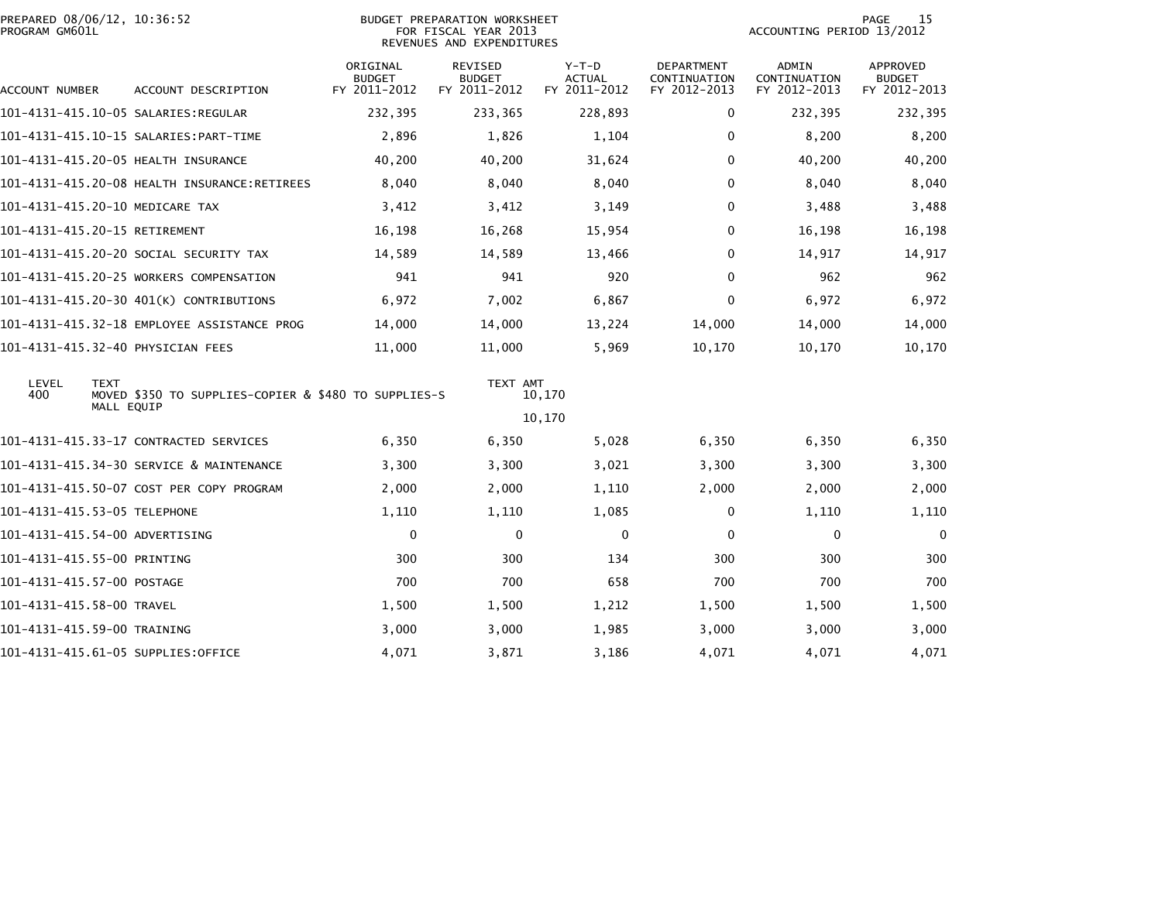| PREPARED 08/06/12, 10:36:52<br>PROGRAM GM601L |                                                      |                                           | BUDGET PREPARATION WORKSHEET<br>FOR FISCAL YEAR 2013<br>REVENUES AND EXPENDITURES |                                   |                                            | ACCOUNTING PERIOD 13/2012             | 15<br><b>PAGE</b>                         |
|-----------------------------------------------|------------------------------------------------------|-------------------------------------------|-----------------------------------------------------------------------------------|-----------------------------------|--------------------------------------------|---------------------------------------|-------------------------------------------|
| ACCOUNT NUMBER                                | ACCOUNT DESCRIPTION                                  | ORIGINAL<br><b>BUDGET</b><br>FY 2011-2012 | REVISED<br><b>BUDGET</b><br>FY 2011-2012                                          | $Y-T-D$<br>ACTUAL<br>FY 2011-2012 | DEPARTMENT<br>CONTINUATION<br>FY 2012-2013 | ADMIN<br>CONTINUATION<br>FY 2012-2013 | APPROVED<br><b>BUDGET</b><br>FY 2012-2013 |
|                                               | 101–4131–415.10–05 SALARIES:REGULAR                  | 232,395                                   | 233,365                                                                           | 228,893                           | $\Omega$                                   | 232,395                               | 232,395                                   |
|                                               |                                                      | 2,896                                     | 1,826                                                                             | 1,104                             | $\Omega$                                   | 8,200                                 | 8,200                                     |
|                                               | 101-4131-415.20-05 HEALTH INSURANCE                  | 40,200                                    | 40,200                                                                            | 31,624                            | 0                                          | 40,200                                | 40,200                                    |
|                                               | 101-4131-415.20-08 HEALTH INSURANCE:RETIREES         | 8,040                                     | 8,040                                                                             | 8,040                             | 0                                          | 8,040                                 | 8,040                                     |
| 101-4131-415.20-10 MEDICARE TAX               |                                                      | 3,412                                     | 3,412                                                                             | 3,149                             | 0                                          | 3,488                                 | 3,488                                     |
| 101-4131-415.20-15 RETIREMENT                 |                                                      | 16,198                                    | 16,268                                                                            | 15,954                            | 0                                          | 16,198                                | 16,198                                    |
|                                               | 101–4131–415.20–20 SOCIAL SECURITY TAX               | 14,589                                    | 14,589                                                                            | 13,466                            | 0                                          | 14,917                                | 14,917                                    |
|                                               | 101-4131-415.20-25 WORKERS COMPENSATION              | 941                                       | 941                                                                               | 920                               | $\Omega$                                   | 962                                   | 962                                       |
|                                               | 101-4131-415.20-30 401(K) CONTRIBUTIONS              | 6,972                                     | 7,002                                                                             | 6,867                             | 0                                          | 6,972                                 | 6,972                                     |
|                                               | 101-4131-415.32-18 EMPLOYEE ASSISTANCE PROG          | 14,000                                    | 14,000                                                                            | 13,224                            | 14,000                                     | 14,000                                | 14,000                                    |
| 101-4131-415.32-40 PHYSICIAN FEES             |                                                      | 11,000                                    | 11,000                                                                            | 5,969                             | 10,170                                     | 10,170                                | 10,170                                    |
| LEVEL<br><b>TEXT</b><br>400                   | MOVED \$350 TO SUPPLIES-COPIER & \$480 TO SUPPLIES-S |                                           | TEXT AMT                                                                          | 10,170                            |                                            |                                       |                                           |
|                                               | MALL EQUIP                                           |                                           |                                                                                   | 10,170                            |                                            |                                       |                                           |
|                                               | 101–4131–415.33–17 CONTRACTED SERVICES               | 6,350                                     | 6,350                                                                             | 5,028                             | 6,350                                      | 6,350                                 | 6,350                                     |
|                                               | 101-4131-415.34-30 SERVICE & MAINTENANCE             | 3,300                                     | 3,300                                                                             | 3,021                             | 3,300                                      | 3,300                                 | 3,300                                     |
|                                               | 101-4131-415.50-07 COST PER COPY PROGRAM             | 2,000                                     | 2,000                                                                             | 1,110                             | 2,000                                      | 2,000                                 | 2,000                                     |
| 101-4131-415.53-05 TELEPHONE                  |                                                      | 1,110                                     | 1,110                                                                             | 1,085                             | 0                                          | 1,110                                 | 1,110                                     |
| 101-4131-415.54-00 ADVERTISING                |                                                      | 0                                         | 0                                                                                 | 0                                 | 0                                          | 0                                     | $\mathbf 0$                               |
| 101-4131-415.55-00 PRINTING                   |                                                      | 300                                       | 300                                                                               | 134                               | 300                                        | 300                                   | 300                                       |
| 101-4131-415.57-00 POSTAGE                    |                                                      | 700                                       | 700                                                                               | 658                               | 700                                        | 700                                   | 700                                       |
| 101-4131-415.58-00 TRAVEL                     |                                                      | 1,500                                     | 1,500                                                                             | 1,212                             | 1,500                                      | 1,500                                 | 1,500                                     |
| 101-4131-415.59-00 TRAINING                   |                                                      | 3,000                                     | 3,000                                                                             | 1,985                             | 3,000                                      | 3,000                                 | 3,000                                     |
|                                               | 101-4131-415.61-05 SUPPLIES:OFFICE                   | 4,071                                     | 3,871                                                                             | 3,186                             | 4,071                                      | 4,071                                 | 4,071                                     |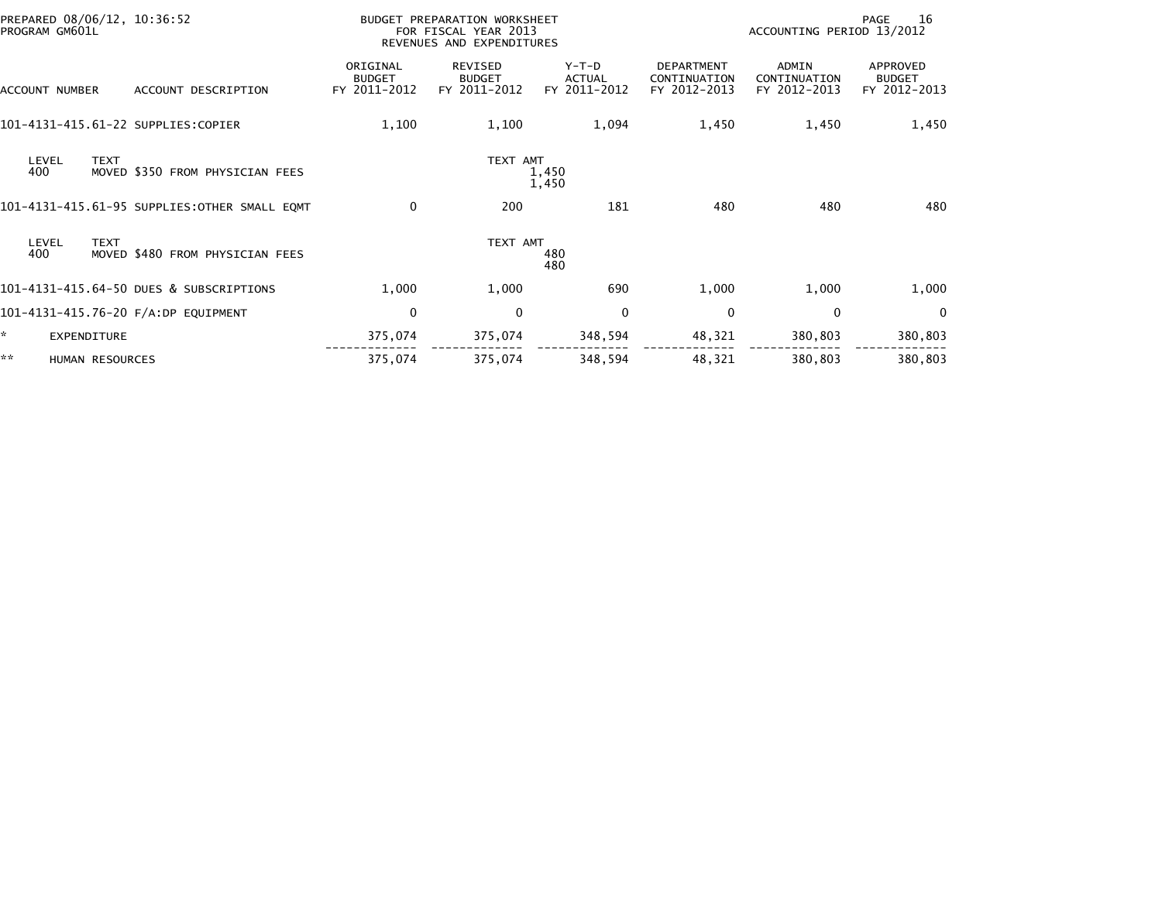| PREPARED 08/06/12, 10:36:52<br>PROGRAM GM601L |                 |                                              |                                           | BUDGET PREPARATION WORKSHEET<br>FOR FISCAL YEAR 2013<br>REVENUES AND EXPENDITURES |                                          |                                                   | ACCOUNTING PERIOD 13/2012             | 16<br><b>PAGE</b>                         |
|-----------------------------------------------|-----------------|----------------------------------------------|-------------------------------------------|-----------------------------------------------------------------------------------|------------------------------------------|---------------------------------------------------|---------------------------------------|-------------------------------------------|
| ACCOUNT NUMBER                                |                 | ACCOUNT DESCRIPTION                          | ORIGINAL<br><b>BUDGET</b><br>FY 2011-2012 | <b>REVISED</b><br><b>BUDGET</b><br>FY 2011-2012                                   | $Y-T-D$<br><b>ACTUAL</b><br>FY 2011-2012 | <b>DEPARTMENT</b><br>CONTINUATION<br>FY 2012-2013 | ADMIN<br>CONTINUATION<br>FY 2012-2013 | APPROVED<br><b>BUDGET</b><br>FY 2012-2013 |
|                                               |                 | 101-4131-415.61-22 SUPPLIES:COPIER           | 1,100                                     | 1,100                                                                             | 1,094                                    | 1,450                                             | 1,450                                 | 1,450                                     |
| LEVEL<br>400                                  | <b>TEXT</b>     | MOVED \$350 FROM PHYSICIAN FEES              |                                           | TEXT AMT                                                                          | 1,450<br>1,450                           |                                                   |                                       |                                           |
|                                               |                 | 101-4131-415.61-95 SUPPLIES:OTHER SMALL EQMT | $\mathbf 0$                               | 200                                                                               | 181                                      | 480                                               | 480                                   | 480                                       |
| LEVEL<br>400                                  | <b>TEXT</b>     | MOVED \$480 FROM PHYSICIAN FEES              |                                           | TEXT AMT                                                                          | 480<br>480                               |                                                   |                                       |                                           |
|                                               |                 | 101-4131-415.64-50 DUES & SUBSCRIPTIONS      | 1,000                                     | 1,000                                                                             | 690                                      | 1,000                                             | 1,000                                 | 1,000                                     |
|                                               |                 | 101-4131-415.76-20 F/A:DP EQUIPMENT          | 0                                         | 0                                                                                 | $\mathbf 0$                              | 0                                                 | 0                                     | $\Omega$                                  |
|                                               | EXPENDITURE     |                                              | 375,074                                   | 375,074                                                                           | 348,594                                  | 48,321                                            | 380,803                               | 380,803                                   |
| **                                            | HUMAN RESOURCES |                                              | 375,074                                   | 375,074                                                                           | 348,594                                  | 48,321                                            | 380,803                               | 380,803                                   |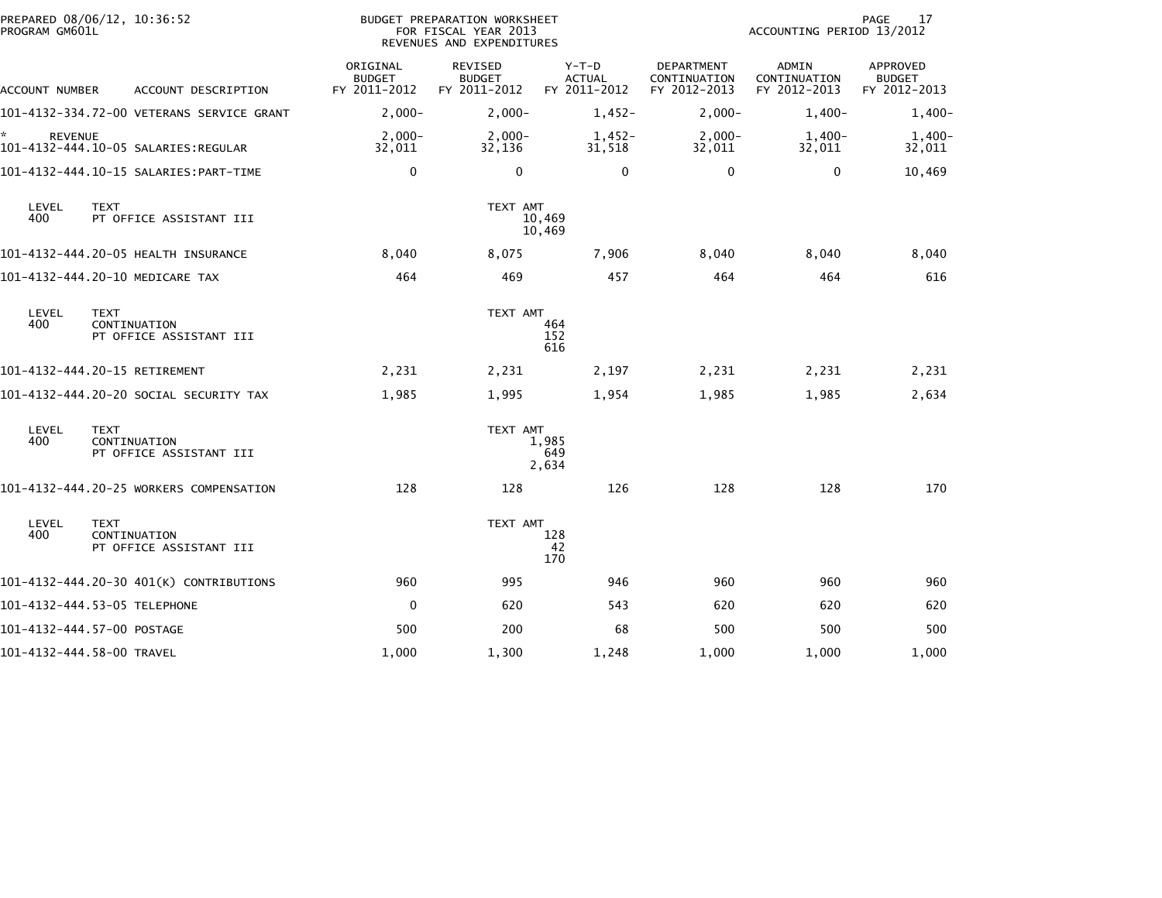| PROGRAM GM601L       | PREPARED 08/06/12, 10:36:52                            |                                           | BUDGET PREPARATION WORKSHEET<br>FOR FISCAL YEAR 2013<br>REVENUES AND EXPENDITURES |                                          |                                                   | ACCOUNTING PERIOD 13/2012                    | 17<br><b>PAGE</b>                         |
|----------------------|--------------------------------------------------------|-------------------------------------------|-----------------------------------------------------------------------------------|------------------------------------------|---------------------------------------------------|----------------------------------------------|-------------------------------------------|
| ACCOUNT NUMBER       | ACCOUNT DESCRIPTION                                    | ORIGINAL<br><b>BUDGET</b><br>FY 2011-2012 | <b>REVISED</b><br><b>BUDGET</b><br>FY 2011-2012                                   | $Y-T-D$<br><b>ACTUAL</b><br>FY 2011-2012 | <b>DEPARTMENT</b><br>CONTINUATION<br>FY 2012-2013 | <b>ADMIN</b><br>CONTINUATION<br>FY 2012-2013 | APPROVED<br><b>BUDGET</b><br>FY 2012-2013 |
|                      | 101-4132-334.72-00 VETERANS SERVICE GRANT              | $2,000-$                                  | $2,000 -$                                                                         | $1,452-$                                 | $2,000-$                                          | $1,400-$                                     | $1,400-$                                  |
| *.<br><b>REVENUE</b> | 101-4132-444.10-05 SALARIES:REGULAR                    | $2,000-$<br>32,011                        | $2,000-$<br>32,136                                                                | $1,452-$<br>31,518                       | $2,000-$<br>32,011                                | $1,400-$<br>32,011                           | 1,400-<br>32,011                          |
|                      |                                                        | $\Omega$                                  | $\mathbf 0$                                                                       | $\Omega$                                 | $\mathbf{0}$                                      | $\mathbf{0}$                                 | 10,469                                    |
| LEVEL<br>400         | <b>TEXT</b><br>PT OFFICE ASSISTANT III                 |                                           | TEXT AMT                                                                          | 10,469<br>10,469                         |                                                   |                                              |                                           |
|                      | 101-4132-444.20-05 HEALTH INSURANCE                    | 8,040                                     | 8,075                                                                             | 7,906                                    | 8,040                                             | 8,040                                        | 8,040                                     |
|                      | 101-4132-444.20-10 MEDICARE TAX                        | 464                                       | 469                                                                               | 457                                      | 464                                               | 464                                          | 616                                       |
| LEVEL<br>400         | <b>TEXT</b><br>CONTINUATION<br>PT OFFICE ASSISTANT III |                                           | TEXT AMT                                                                          | 464<br>152<br>616                        |                                                   |                                              |                                           |
|                      | 101-4132-444.20-15 RETIREMENT                          | 2,231                                     | 2,231                                                                             | 2,197                                    | 2,231                                             | 2,231                                        | 2,231                                     |
|                      | 101–4132–444.20–20 SOCIAL SECURITY TAX                 | 1,985                                     | 1,995                                                                             | 1,954                                    | 1,985                                             | 1,985                                        | 2,634                                     |
| LEVEL<br>400         | <b>TEXT</b><br>CONTINUATION<br>PT OFFICE ASSISTANT III |                                           | TEXT AMT                                                                          | 1,985<br>649<br>2,634                    |                                                   |                                              |                                           |
|                      | 101-4132-444.20-25 WORKERS COMPENSATION                | 128                                       | 128                                                                               | 126                                      | 128                                               | 128                                          | 170                                       |
| LEVEL<br>400         | <b>TEXT</b><br>CONTINUATION<br>PT OFFICE ASSISTANT III |                                           | TEXT AMT                                                                          | 128<br>42<br>170                         |                                                   |                                              |                                           |
|                      | 101-4132-444.20-30 401(K) CONTRIBUTIONS                | 960                                       | 995                                                                               | 946                                      | 960                                               | 960                                          | 960                                       |
|                      | 101-4132-444.53-05 TELEPHONE                           | 0                                         | 620                                                                               | 543                                      | 620                                               | 620                                          | 620                                       |
|                      | 101-4132-444.57-00 POSTAGE                             | 500                                       | 200                                                                               | 68                                       | 500                                               | 500                                          | 500                                       |
|                      | 101-4132-444.58-00 TRAVEL                              | 1,000                                     | 1,300                                                                             | 1,248                                    | 1,000                                             | 1,000                                        | 1,000                                     |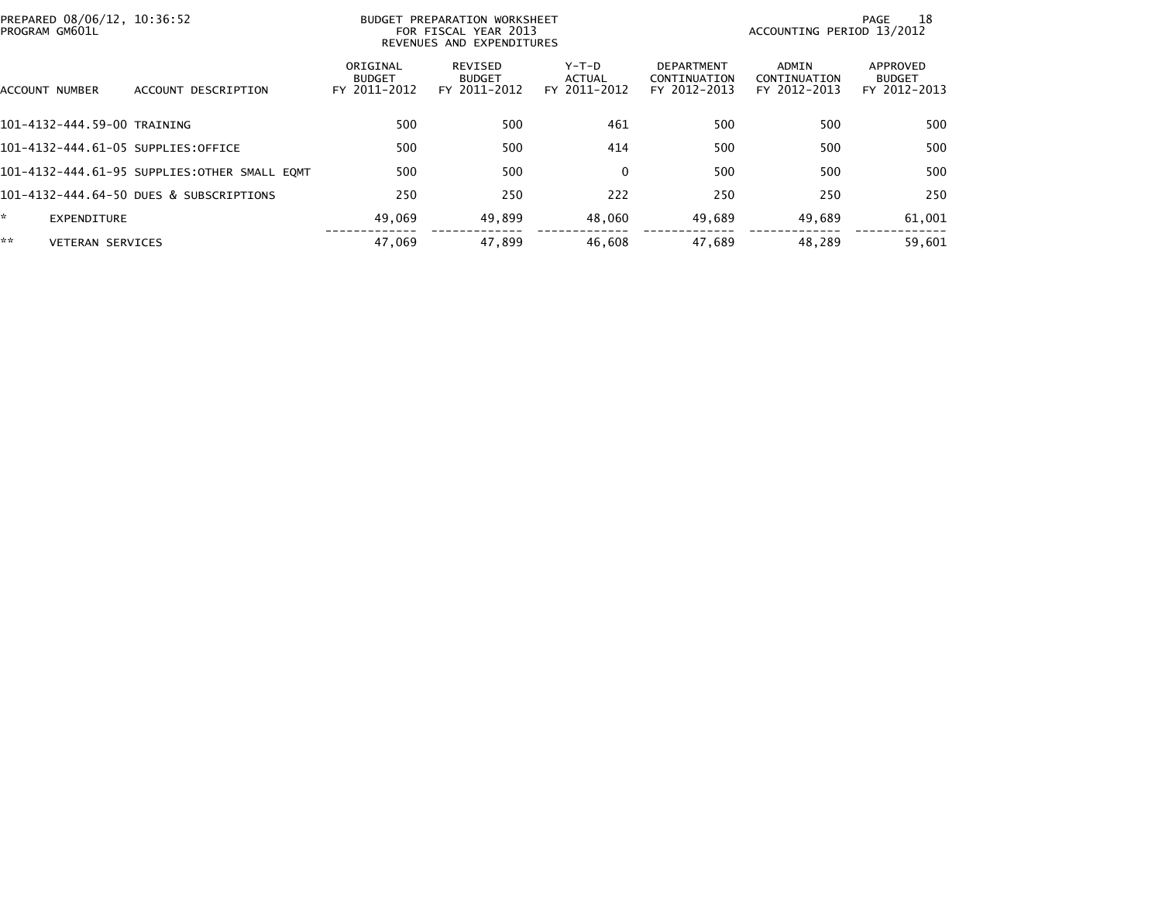|    | PREPARED 08/06/12, 10:36:52<br>PROGRAM GM601L |                                              |                                           | BUDGET PREPARATION WORKSHEET<br>FOR FISCAL YEAR 2013<br>REVENUES AND EXPENDITURES | ACCOUNTING PERIOD 13/2012                | -18<br>PAGE                                       |                                       |                                           |
|----|-----------------------------------------------|----------------------------------------------|-------------------------------------------|-----------------------------------------------------------------------------------|------------------------------------------|---------------------------------------------------|---------------------------------------|-------------------------------------------|
|    | ACCOUNT NUMBER                                | ACCOUNT DESCRIPTION                          | ORIGINAL<br><b>BUDGET</b><br>FY 2011-2012 | REVISED<br><b>BUDGET</b><br>FY 2011-2012                                          | $Y-T-D$<br><b>ACTUAL</b><br>FY 2011-2012 | <b>DEPARTMENT</b><br>CONTINUATION<br>FY 2012-2013 | ADMIN<br>CONTINUATION<br>FY 2012-2013 | APPROVED<br><b>BUDGET</b><br>FY 2012-2013 |
|    | 101-4132-444.59-00 TRAINING                   |                                              | 500                                       | 500                                                                               | 461                                      | 500                                               | 500                                   | 500                                       |
|    |                                               | 101-4132-444.61-05 SUPPLIES:OFFICE           | 500                                       | 500                                                                               | 414                                      | 500                                               | 500                                   | 500                                       |
|    |                                               | 101-4132-444.61-95 SUPPLIES:OTHER SMALL EQMT | 500                                       | 500                                                                               | $\mathbf{0}$                             | 500                                               | 500                                   | 500                                       |
|    |                                               | 101-4132-444.64-50 DUES & SUBSCRIPTIONS      | 250                                       | 250                                                                               | 222                                      | 250                                               | 250                                   | 250                                       |
| ÷. | EXPENDITURE                                   |                                              | 49.069                                    | 49,899                                                                            | 48,060                                   | 49,689                                            | 49,689                                | 61,001                                    |
| ** | <b>VETERAN SERVICES</b>                       |                                              | 47,069                                    | 47.899                                                                            | 46,608                                   | 47.689                                            | 48.289                                | 59,601                                    |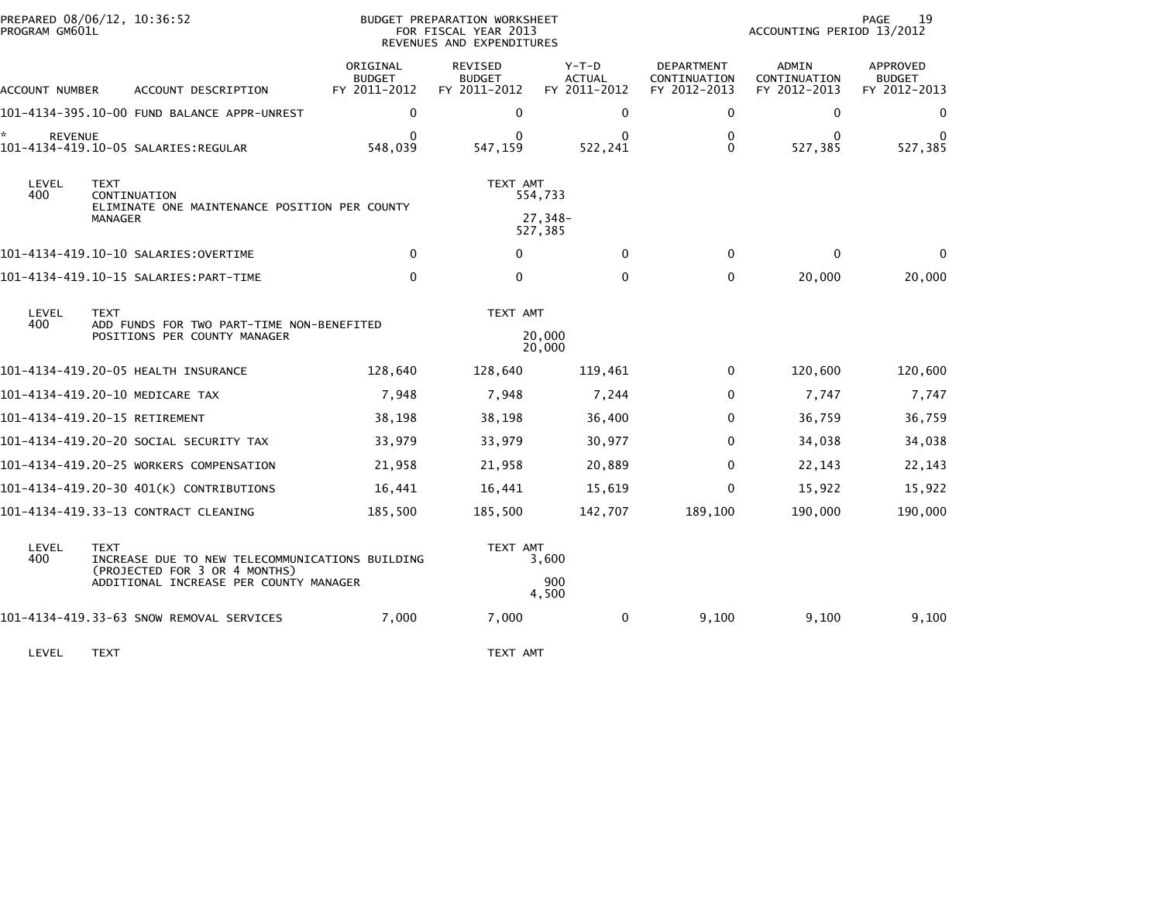| PROGRAM GM601L      | PREPARED 08/06/12, 10:36:52                                                                     |                                           | <b>BUDGET PREPARATION WORKSHEET</b><br>FOR FISCAL YEAR 2013<br>REVENUES AND EXPENDITURES |                                        |                                            | ACCOUNTING PERIOD 13/2012             | 19<br>PAGE                                |
|---------------------|-------------------------------------------------------------------------------------------------|-------------------------------------------|------------------------------------------------------------------------------------------|----------------------------------------|--------------------------------------------|---------------------------------------|-------------------------------------------|
| ACCOUNT NUMBER      | ACCOUNT DESCRIPTION                                                                             | ORIGINAL<br><b>BUDGET</b><br>FY 2011-2012 | REVISED<br><b>BUDGET</b><br>FY 2011-2012                                                 | Y-T-D<br><b>ACTUAL</b><br>FY 2011-2012 | DEPARTMENT<br>CONTINUATION<br>FY 2012-2013 | ADMIN<br>CONTINUATION<br>FY 2012-2013 | APPROVED<br><b>BUDGET</b><br>FY 2012-2013 |
|                     | 101-4134-395.10-00 FUND BALANCE APPR-UNREST                                                     | $\mathbf 0$                               | $\mathbf 0$                                                                              | $\mathbf{0}$                           | 0                                          | 0                                     | 0                                         |
| *<br><b>REVENUE</b> | 101-4134-419.10-05 SALARIES:REGULAR                                                             | $\Omega$<br>548,039                       | 0<br>547,159                                                                             | 0<br>522,241                           | $\mathbf{0}$<br>$\Omega$                   | $\Omega$<br>527,385                   | $\Omega$<br>527,385                       |
| LEVEL<br>400        | <b>TEXT</b><br>CONTINUATION<br>ELIMINATE ONE MAINTENANCE POSITION PER COUNTY<br>MANAGER         |                                           | TEXT AMT                                                                                 | 554,733<br>27,348-<br>527,385          |                                            |                                       |                                           |
|                     |                                                                                                 | 0                                         | 0                                                                                        | $\mathbf{0}$                           | $\mathbf 0$                                | $\mathbf 0$                           | $\mathbf{0}$                              |
|                     | 101-4134-419.10-15 SALARIES: PART-TIME                                                          | $\mathbf{0}$                              | $\mathbf{0}$                                                                             | $\Omega$                               | $\mathbf{0}$                               | 20,000                                | 20,000                                    |
| LEVEL<br>400        | <b>TEXT</b><br>ADD FUNDS FOR TWO PART-TIME NON-BENEFITED<br>POSITIONS PER COUNTY MANAGER        |                                           | TEXT AMT                                                                                 | 20,000<br>20,000                       |                                            |                                       |                                           |
|                     | 101-4134-419.20-05 HEALTH INSURANCE                                                             | 128,640                                   | 128,640                                                                                  | 119,461                                | 0                                          | 120,600                               | 120,600                                   |
|                     | 101-4134-419.20-10 MEDICARE TAX                                                                 | 7,948                                     | 7,948                                                                                    | 7,244                                  | 0                                          | 7,747                                 | 7,747                                     |
|                     | 101-4134-419.20-15 RETIREMENT                                                                   | 38,198                                    | 38,198                                                                                   | 36,400                                 | $\mathbf{0}$                               | 36,759                                | 36,759                                    |
|                     | 101-4134-419.20-20 SOCIAL SECURITY TAX                                                          | 33,979                                    | 33,979                                                                                   | 30,977                                 | $\mathbf{0}$                               | 34,038                                | 34,038                                    |
|                     | 101-4134-419.20-25 WORKERS COMPENSATION                                                         | 21,958                                    | 21,958                                                                                   | 20,889                                 | $\mathbf{0}$                               | 22,143                                | 22,143                                    |
|                     | 101-4134-419.20-30 401(K) CONTRIBUTIONS                                                         | 16,441                                    | 16,441                                                                                   | 15,619                                 | 0                                          | 15,922                                | 15,922                                    |
|                     | 101-4134-419.33-13 CONTRACT CLEANING                                                            | 185,500                                   | 185,500                                                                                  | 142,707                                | 189,100                                    | 190,000                               | 190,000                                   |
| LEVEL<br>400        | <b>TEXT</b><br>INCREASE DUE TO NEW TELECOMMUNICATIONS BUILDING<br>(PROJECTED FOR 3 OR 4 MONTHS) |                                           | TEXT AMT                                                                                 | 3,600                                  |                                            |                                       |                                           |
|                     | ADDITIONAL INCREASE PER COUNTY MANAGER                                                          |                                           |                                                                                          | 900<br>4,500                           |                                            |                                       |                                           |
|                     | 101-4134-419.33-63 SNOW REMOVAL SERVICES                                                        | 7,000                                     | 7,000                                                                                    | 0                                      | 9,100                                      | 9,100                                 | 9,100                                     |
| LEVEL               | <b>TEXT</b>                                                                                     |                                           | TEXT AMT                                                                                 |                                        |                                            |                                       |                                           |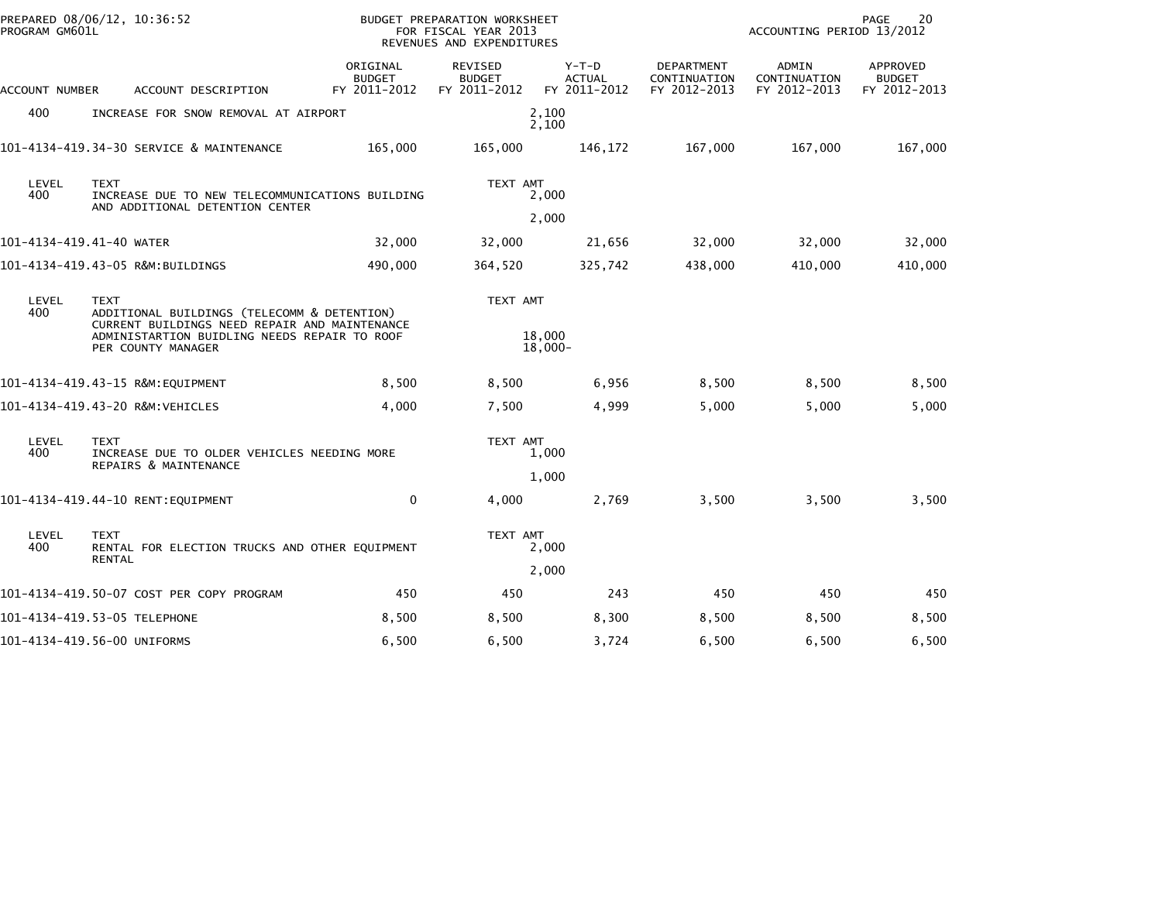| PROGRAM GM601L           | PREPARED 08/06/12, 10:36:52                                                                                                                                                       |                                           | BUDGET PREPARATION WORKSHEET<br>FOR FISCAL YEAR 2013<br>REVENUES AND EXPENDITURES |                                          |                                            | 20<br>PAGE<br>ACCOUNTING PERIOD 13/2012 |                                           |  |
|--------------------------|-----------------------------------------------------------------------------------------------------------------------------------------------------------------------------------|-------------------------------------------|-----------------------------------------------------------------------------------|------------------------------------------|--------------------------------------------|-----------------------------------------|-------------------------------------------|--|
| ACCOUNT NUMBER           | ACCOUNT DESCRIPTION                                                                                                                                                               | ORIGINAL<br><b>BUDGET</b><br>FY 2011-2012 | REVISED<br><b>BUDGET</b><br>FY 2011-2012                                          | $Y-T-D$<br><b>ACTUAL</b><br>FY 2011-2012 | DEPARTMENT<br>CONTINUATION<br>FY 2012-2013 | ADMIN<br>CONTINUATION<br>FY 2012-2013   | APPROVED<br><b>BUDGET</b><br>FY 2012-2013 |  |
| 400                      | INCREASE FOR SNOW REMOVAL AT AIRPORT                                                                                                                                              |                                           |                                                                                   | 2,100<br>2,100                           |                                            |                                         |                                           |  |
|                          | 101-4134-419.34-30 SERVICE & MAINTENANCE                                                                                                                                          | 165,000                                   | 165,000                                                                           | 146,172                                  | 167,000                                    | 167,000                                 | 167,000                                   |  |
| LEVEL<br>400             | <b>TEXT</b><br>INCREASE DUE TO NEW TELECOMMUNICATIONS BUILDING<br>AND ADDITIONAL DETENTION CENTER                                                                                 |                                           | TEXT AMT                                                                          | 2,000<br>2,000                           |                                            |                                         |                                           |  |
| 101-4134-419.41-40 WATER |                                                                                                                                                                                   | 32,000                                    | 32,000                                                                            | 21,656                                   | 32,000                                     | 32,000                                  | 32,000                                    |  |
|                          | 101-4134-419.43-05 R&M:BUILDINGS                                                                                                                                                  | 490,000                                   | 364,520                                                                           | 325,742                                  | 438,000                                    | 410,000                                 | 410,000                                   |  |
| LEVEL<br>400             | <b>TEXT</b><br>ADDITIONAL BUILDINGS (TELECOMM & DETENTION)<br>CURRENT BUILDINGS NEED REPAIR AND MAINTENANCE<br>ADMINISTARTION BUIDLING NEEDS REPAIR TO ROOF<br>PER COUNTY MANAGER |                                           | TEXT AMT                                                                          | 18,000<br>$18,000 -$                     |                                            |                                         |                                           |  |
|                          | 101-4134-419.43-15 R&M:EQUIPMENT                                                                                                                                                  | 8,500                                     | 8,500                                                                             | 6,956                                    | 8,500                                      | 8,500                                   | 8,500                                     |  |
|                          | 101-4134-419.43-20 R&M:VEHICLES                                                                                                                                                   | 4,000                                     | 7,500                                                                             | 4,999                                    | 5,000                                      | 5,000                                   | 5,000                                     |  |
| LEVEL<br>400             | <b>TEXT</b><br>INCREASE DUE TO OLDER VEHICLES NEEDING MORE<br>REPAIRS & MAINTENANCE                                                                                               |                                           | TEXT AMT                                                                          | 1,000<br>1,000                           |                                            |                                         |                                           |  |
|                          | 101-4134-419.44-10 RENT:EQUIPMENT                                                                                                                                                 | $\mathbf 0$                               | 4,000                                                                             | 2,769                                    | 3,500                                      | 3,500                                   | 3,500                                     |  |
| LEVEL<br>400             | <b>TEXT</b><br>RENTAL FOR ELECTION TRUCKS AND OTHER EQUIPMENT<br><b>RENTAL</b>                                                                                                    |                                           | TEXT AMT                                                                          | 2,000<br>2,000                           |                                            |                                         |                                           |  |
|                          | 101-4134-419.50-07 COST PER COPY PROGRAM                                                                                                                                          | 450                                       | 450                                                                               | 243                                      | 450                                        | 450                                     | 450                                       |  |
|                          | 101-4134-419.53-05 TELEPHONE                                                                                                                                                      | 8,500                                     | 8,500                                                                             | 8,300                                    | 8,500                                      | 8,500                                   | 8,500                                     |  |
|                          | 101-4134-419.56-00 UNIFORMS                                                                                                                                                       | 6,500                                     | 6,500                                                                             | 3,724                                    | 6,500                                      | 6,500                                   | 6,500                                     |  |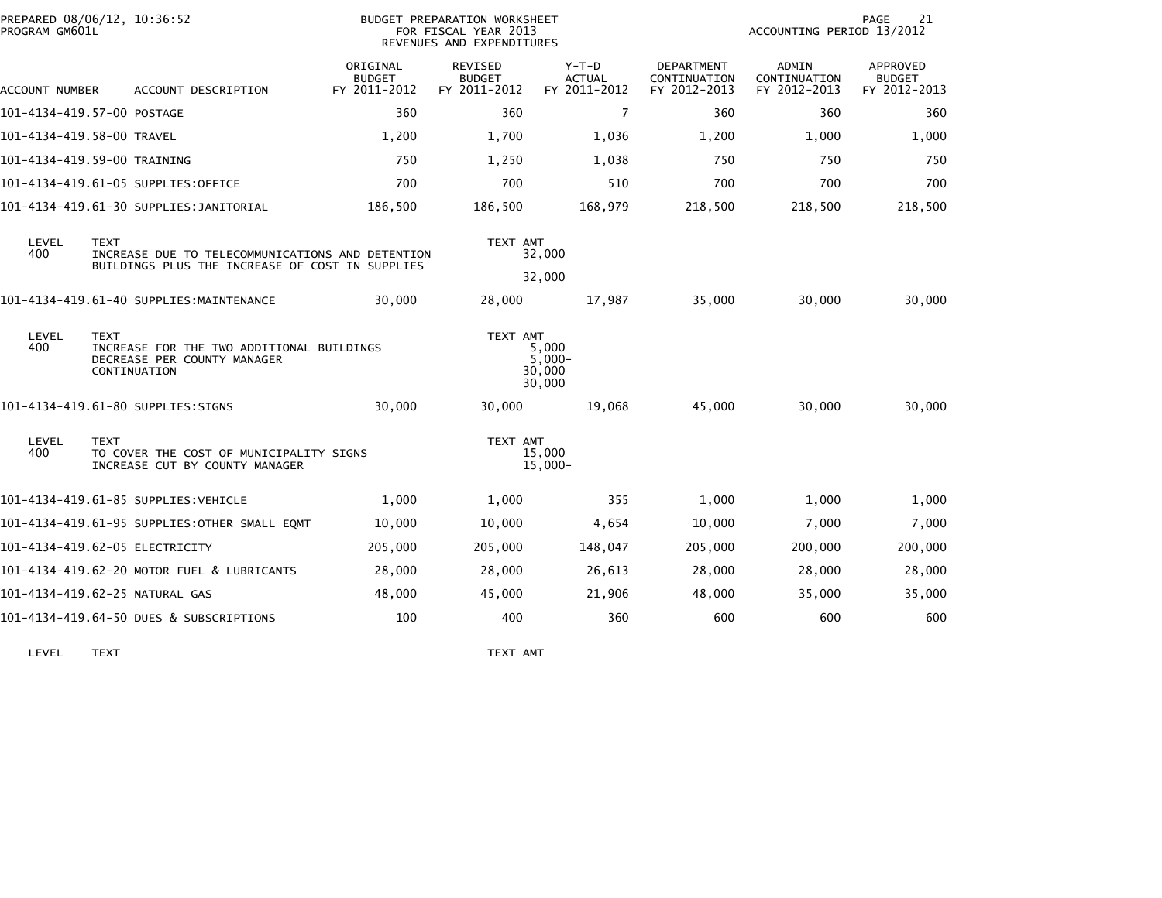| PROGRAM GM601L | PREPARED 08/06/12, 10:36:52                                                                                        | <b>BUDGET PREPARATION WORKSHEET</b><br>FOR FISCAL YEAR 2013<br>REVENUES AND EXPENDITURES |                                          |                                          |                                            | 21<br><b>PAGE</b><br>ACCOUNTING PERIOD 13/2012 |                                                  |  |
|----------------|--------------------------------------------------------------------------------------------------------------------|------------------------------------------------------------------------------------------|------------------------------------------|------------------------------------------|--------------------------------------------|------------------------------------------------|--------------------------------------------------|--|
| ACCOUNT NUMBER | ACCOUNT DESCRIPTION                                                                                                | ORIGINAL<br><b>BUDGET</b><br>FY 2011-2012                                                | REVISED<br><b>BUDGET</b><br>FY 2011-2012 | $Y-T-D$<br><b>ACTUAL</b><br>FY 2011-2012 | DEPARTMENT<br>CONTINUATION<br>FY 2012-2013 | ADMIN<br>CONTINUATION<br>FY 2012-2013          | <b>APPROVED</b><br><b>BUDGET</b><br>FY 2012-2013 |  |
|                | 101-4134-419.57-00 POSTAGE                                                                                         | 360                                                                                      | 360                                      | $\overline{7}$                           | 360                                        | 360                                            | 360                                              |  |
|                | 101–4134–419.58–00 TRAVEL                                                                                          | 1,200                                                                                    | 1,700                                    | 1,036                                    | 1,200                                      | 1,000                                          | 1,000                                            |  |
|                | 101-4134-419.59-00 TRAINING                                                                                        | 750                                                                                      | 1,250                                    | 1,038                                    | 750                                        | 750                                            | 750                                              |  |
|                | 101-4134-419.61-05 SUPPLIES:OFFICE                                                                                 | 700                                                                                      | 700                                      | 510                                      | 700                                        | 700                                            | 700                                              |  |
|                | 101–4134–419.61–30 SUPPLIES:JANITORIAL                                                                             | 186,500                                                                                  | 186,500                                  | 168,979                                  | 218,500                                    | 218,500                                        | 218,500                                          |  |
| LEVEL<br>400   | <b>TEXT</b><br>INCREASE DUE TO TELECOMMUNICATIONS AND DETENTION<br>BUILDINGS PLUS THE INCREASE OF COST IN SUPPLIES |                                                                                          | TEXT AMT                                 | 32,000                                   |                                            |                                                |                                                  |  |
|                |                                                                                                                    |                                                                                          |                                          | 32,000                                   |                                            |                                                |                                                  |  |
|                | 101-4134-419.61-40 SUPPLIES:MAINTENANCE                                                                            | 30,000                                                                                   | 28,000                                   | 17,987                                   | 35,000                                     | 30,000                                         | 30,000                                           |  |
| LEVEL<br>400   | <b>TEXT</b><br>INCREASE FOR THE TWO ADDITIONAL BUILDINGS<br>DECREASE PER COUNTY MANAGER<br>CONTINUATION            |                                                                                          | TEXT AMT                                 | 5,000<br>$5,000 -$<br>30,000<br>30,000   |                                            |                                                |                                                  |  |
|                | 101-4134-419.61-80 SUPPLIES:SIGNS                                                                                  | 30,000                                                                                   | 30,000                                   | 19,068                                   | 45,000                                     | 30,000                                         | 30,000                                           |  |
| LEVEL<br>400   | <b>TEXT</b><br>TO COVER THE COST OF MUNICIPALITY SIGNS<br>INCREASE CUT BY COUNTY MANAGER                           |                                                                                          | TEXT AMT                                 | 15,000<br>$15,000 -$                     |                                            |                                                |                                                  |  |
|                | 101-4134-419.61-85 SUPPLIES:VEHICLE                                                                                | 1,000                                                                                    | 1,000                                    | 355                                      | 1,000                                      | 1,000                                          | 1,000                                            |  |
|                | 101-4134-419.61-95 SUPPLIES:OTHER SMALL EQMT                                                                       | 10,000                                                                                   | 10,000                                   | 4,654                                    | 10,000                                     | 7,000                                          | 7,000                                            |  |
|                | 101-4134-419.62-05 ELECTRICITY                                                                                     | 205,000                                                                                  | 205,000                                  | 148,047                                  | 205,000                                    | 200,000                                        | 200,000                                          |  |
|                | 101-4134-419.62-20 MOTOR FUEL & LUBRICANTS                                                                         | 28,000                                                                                   | 28,000                                   | 26,613                                   | 28,000                                     | 28,000                                         | 28,000                                           |  |
|                | 101-4134-419.62-25 NATURAL GAS                                                                                     | 48,000                                                                                   | 45,000                                   | 21,906                                   | 48,000                                     | 35,000                                         | 35,000                                           |  |
|                | 101-4134-419.64-50 DUES & SUBSCRIPTIONS                                                                            | 100                                                                                      | 400                                      | 360                                      | 600                                        | 600                                            | 600                                              |  |
|                |                                                                                                                    |                                                                                          |                                          |                                          |                                            |                                                |                                                  |  |

LEVEL TEXT TEXT AMT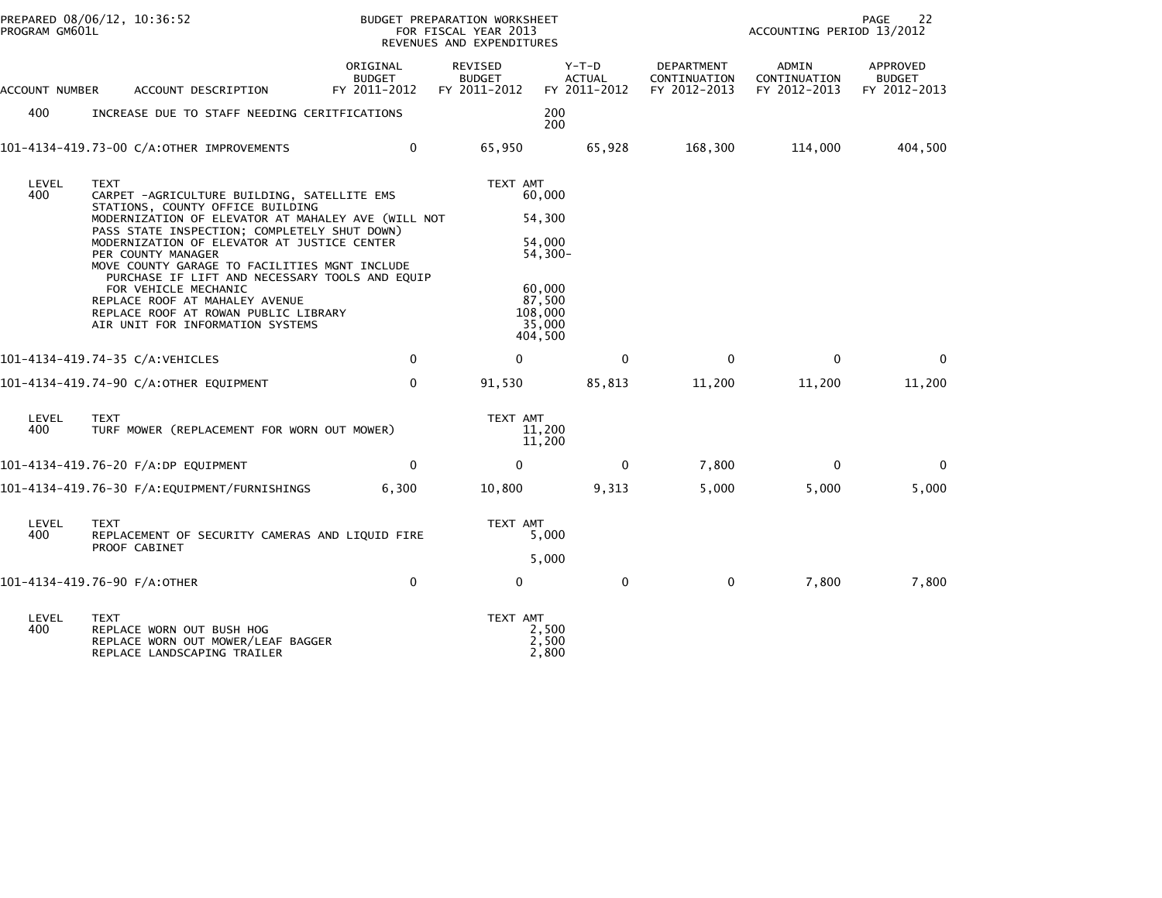| PROGRAM GM601L | PREPARED 08/06/12, 10:36:52                                                                                                                                                                                                                                                                                                                                                                                                                                                                                                                    |                                           | BUDGET PREPARATION WORKSHEET<br>FOR FISCAL YEAR 2013<br>REVENUES AND EXPENDITURES |                                                                                                         | 22<br>PAGE<br>ACCOUNTING PERIOD 13/2012    |                                       |                                           |
|----------------|------------------------------------------------------------------------------------------------------------------------------------------------------------------------------------------------------------------------------------------------------------------------------------------------------------------------------------------------------------------------------------------------------------------------------------------------------------------------------------------------------------------------------------------------|-------------------------------------------|-----------------------------------------------------------------------------------|---------------------------------------------------------------------------------------------------------|--------------------------------------------|---------------------------------------|-------------------------------------------|
| ACCOUNT NUMBER | ACCOUNT DESCRIPTION                                                                                                                                                                                                                                                                                                                                                                                                                                                                                                                            | ORIGINAL<br><b>BUDGET</b><br>FY 2011-2012 | <b>REVISED</b><br><b>BUDGET</b><br>FY 2011-2012                                   | $Y-T-D$<br><b>ACTUAL</b><br>FY 2011-2012                                                                | DEPARTMENT<br>CONTINUATION<br>FY 2012-2013 | ADMIN<br>CONTINUATION<br>FY 2012-2013 | APPROVED<br><b>BUDGET</b><br>FY 2012-2013 |
| 400            | INCREASE DUE TO STAFF NEEDING CERITFICATIONS                                                                                                                                                                                                                                                                                                                                                                                                                                                                                                   |                                           |                                                                                   | 200<br>200                                                                                              |                                            |                                       |                                           |
|                | 101-4134-419.73-00 C/A:OTHER IMPROVEMENTS                                                                                                                                                                                                                                                                                                                                                                                                                                                                                                      | 0                                         | 65,950                                                                            | 65,928                                                                                                  | 168,300                                    | 114,000                               | 404,500                                   |
| LEVEL<br>400   | TEXT<br>CARPET -AGRICULTURE BUILDING, SATELLITE EMS<br>STATIONS, COUNTY OFFICE BUILDING<br>MODERNIZATION OF ELEVATOR AT MAHALEY AVE (WILL NOT<br>PASS STATE INSPECTION; COMPLETELY SHUT DOWN)<br>MODERNIZATION OF ELEVATOR AT JUSTICE CENTER<br>PER COUNTY MANAGER<br>MOVE COUNTY GARAGE TO FACILITIES MGNT INCLUDE<br>PURCHASE IF LIFT AND NECESSARY TOOLS AND EQUIP<br>FOR VEHICLE MECHANIC<br>REPLACE ROOF AT MAHALEY AVENUE<br>REPLACE ROOF AT ROWAN PUBLIC LIBRARY<br>AIR UNIT FOR INFORMATION SYSTEMS<br>101-4134-419.74-35 C/A:VEHICLES | $\Omega$                                  | TEXT AMT<br>0                                                                     | 60,000<br>54,300<br>54.000<br>$54,300-$<br>60,000<br>87,500<br>108,000<br>35,000<br>404,500<br>$\Omega$ | $\Omega$                                   | $\mathbf{0}$                          | $\Omega$                                  |
|                |                                                                                                                                                                                                                                                                                                                                                                                                                                                                                                                                                |                                           |                                                                                   |                                                                                                         |                                            |                                       |                                           |
|                | 101-4134-419.74-90 C/A:OTHER EQUIPMENT                                                                                                                                                                                                                                                                                                                                                                                                                                                                                                         | 0                                         | 91,530                                                                            | 85,813                                                                                                  | 11,200                                     | 11,200                                | 11,200                                    |
| LEVEL<br>400   | <b>TEXT</b><br>TURF MOWER (REPLACEMENT FOR WORN OUT MOWER)                                                                                                                                                                                                                                                                                                                                                                                                                                                                                     |                                           | TEXT AMT                                                                          | 11,200<br>11,200                                                                                        |                                            |                                       |                                           |
|                | 101-4134-419.76-20 F/A:DP EQUIPMENT                                                                                                                                                                                                                                                                                                                                                                                                                                                                                                            | 0                                         | 0                                                                                 | 0                                                                                                       | 7,800                                      | 0                                     | $\Omega$                                  |
|                |                                                                                                                                                                                                                                                                                                                                                                                                                                                                                                                                                | 6.300                                     | 10,800                                                                            | 9,313                                                                                                   | 5,000                                      | 5,000                                 | 5,000                                     |
| LEVEL<br>400   | TEXT<br>REPLACEMENT OF SECURITY CAMERAS AND LIQUID FIRE<br>PROOF CABINET                                                                                                                                                                                                                                                                                                                                                                                                                                                                       |                                           | TEXT AMT                                                                          | 5,000<br>5,000                                                                                          |                                            |                                       |                                           |
|                | 101-4134-419.76-90 F/A:OTHER                                                                                                                                                                                                                                                                                                                                                                                                                                                                                                                   | 0                                         | 0                                                                                 | 0                                                                                                       | $\mathbf 0$                                | 7,800                                 | 7,800                                     |
| LEVEL<br>400   | <b>TEXT</b><br>REPLACE WORN OUT BUSH HOG<br>REPLACE WORN OUT MOWER/LEAF BAGGER<br>REPLACE LANDSCAPING TRAILER                                                                                                                                                                                                                                                                                                                                                                                                                                  |                                           | TEXT AMT                                                                          | 2.500<br>2,500<br>2,800                                                                                 |                                            |                                       |                                           |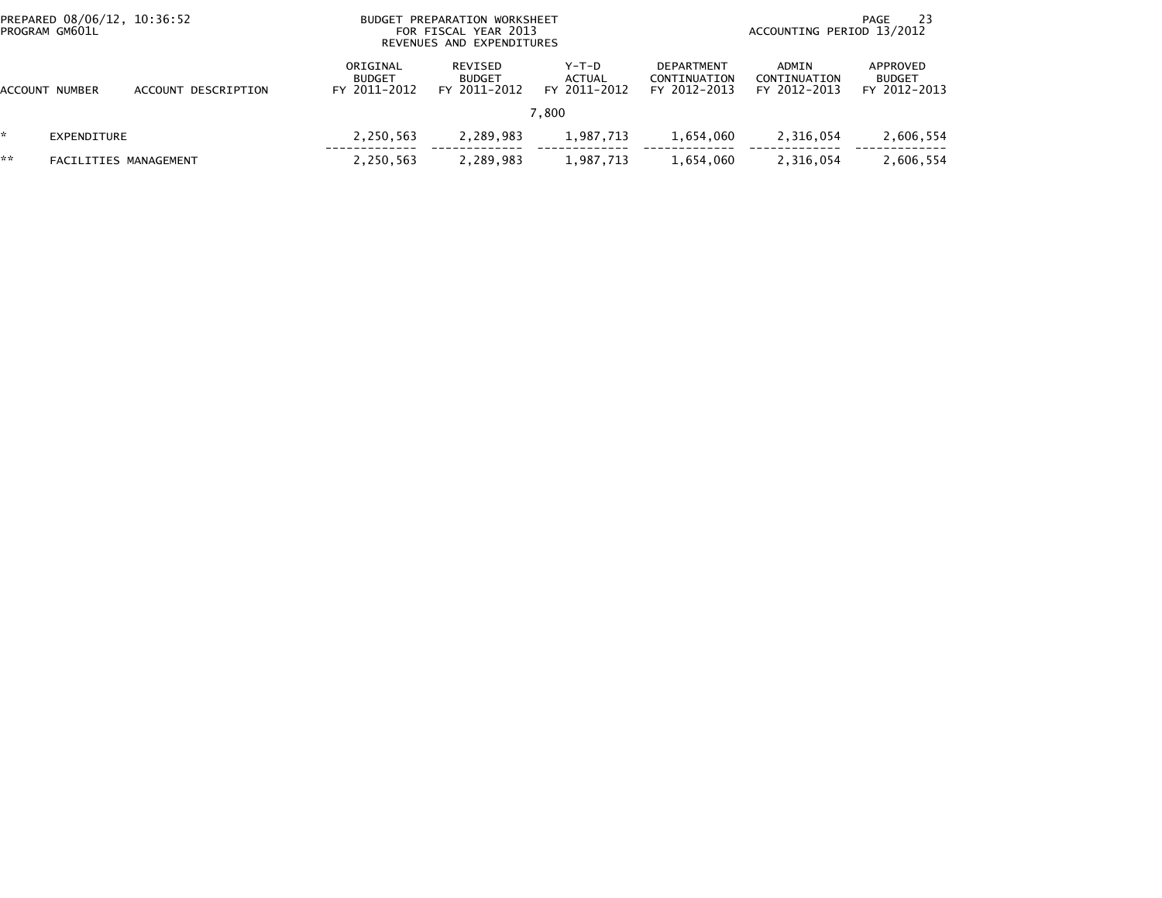| PROGRAM GM601L | PREPARED 08/06/12, 10:36:52 |                     | <b>BUDGET</b>                             | PREPARATION WORKSHEET<br>FOR FISCAL YEAR 2013<br>REVENUES AND EXPENDITURES | -23<br>PAGE<br>ACCOUNTING PERIOD 13/2012 |                                                   |                                       |                                           |
|----------------|-----------------------------|---------------------|-------------------------------------------|----------------------------------------------------------------------------|------------------------------------------|---------------------------------------------------|---------------------------------------|-------------------------------------------|
| ACCOUNT NUMBER |                             | ACCOUNT DESCRIPTION | ORIGINAL<br><b>BUDGET</b><br>FY 2011-2012 | REVISED<br><b>BUDGET</b><br>FY 2011-2012                                   | $Y-T-D$<br>ACTUAL<br>FY 2011-2012        | <b>DEPARTMENT</b><br>CONTINUATION<br>FY 2012-2013 | ADMIN<br>CONTINUATION<br>FY 2012-2013 | APPROVED<br><b>BUDGET</b><br>FY 2012-2013 |
|                |                             |                     |                                           |                                                                            | 7.800                                    |                                                   |                                       |                                           |
|                | EXPENDITURE                 |                     | 2,250,563                                 | 2,289,983                                                                  | 1,987,713                                | 1,654,060                                         | 2,316,054                             | 2,606,554                                 |
| **             | FACILITIES MANAGEMENT       |                     | 2,250,563                                 | 2,289,983                                                                  | 1,987,713                                | 1,654,060                                         | 2.316.054                             | 2,606,554                                 |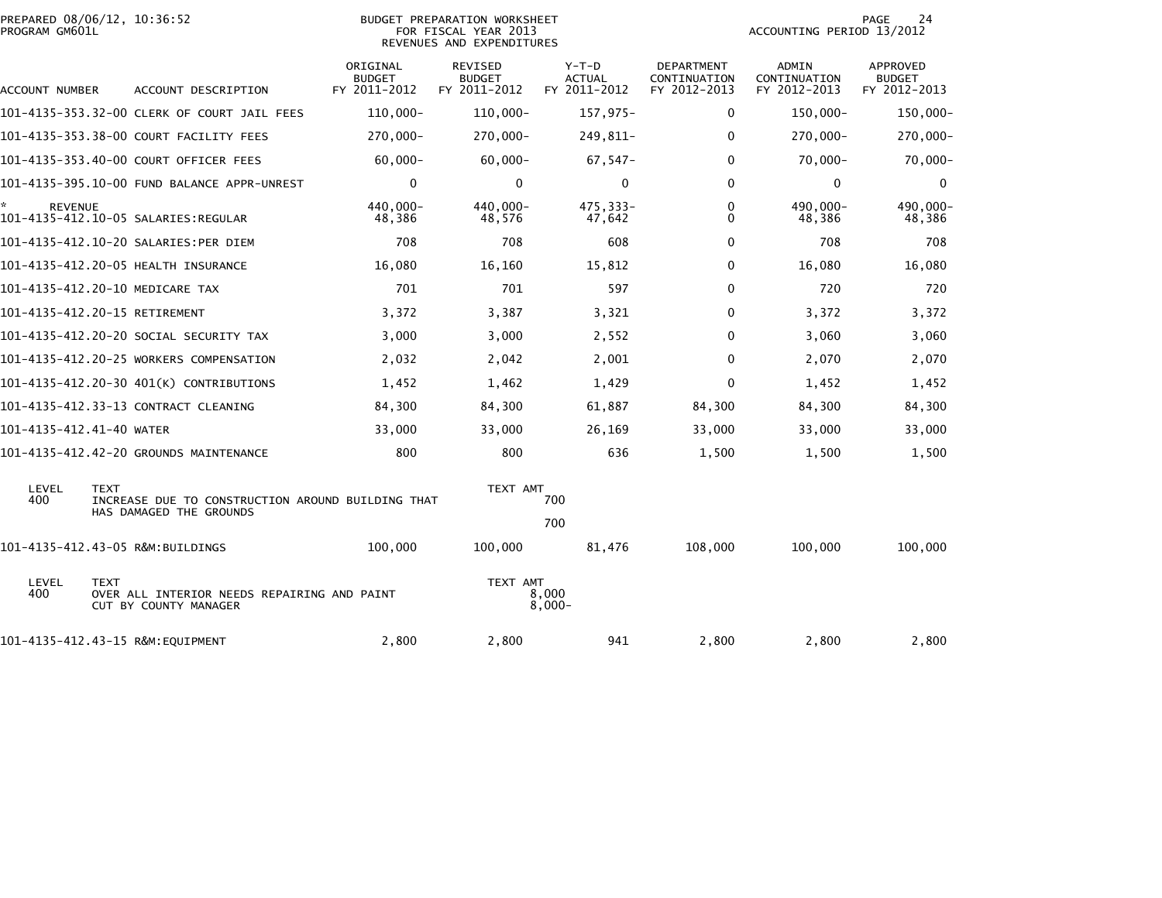| PROGRAM GM601L           | PREPARED 08/06/12, 10:36:52                                                                 | BUDGET PREPARATION WORKSHEET<br>FOR FISCAL YEAR 2013<br>REVENUES AND EXPENDITURES |                                                 |                                        |                                                   | 24<br>PAGE<br>ACCOUNTING PERIOD 13/2012 |                                           |  |
|--------------------------|---------------------------------------------------------------------------------------------|-----------------------------------------------------------------------------------|-------------------------------------------------|----------------------------------------|---------------------------------------------------|-----------------------------------------|-------------------------------------------|--|
| ACCOUNT NUMBER           | ACCOUNT DESCRIPTION                                                                         | ORIGINAL<br><b>BUDGET</b><br>FY 2011-2012                                         | <b>REVISED</b><br><b>BUDGET</b><br>FY 2011-2012 | Y-T-D<br><b>ACTUAL</b><br>FY 2011-2012 | <b>DEPARTMENT</b><br>CONTINUATION<br>FY 2012-2013 | ADMIN<br>CONTINUATION<br>FY 2012-2013   | APPROVED<br><b>BUDGET</b><br>FY 2012-2013 |  |
|                          | 101-4135-353.32-00 CLERK OF COURT JAIL FEES                                                 | $110,000 -$                                                                       | $110,000 -$                                     | 157,975-                               | 0                                                 | 150,000-                                | 150,000-                                  |  |
|                          | 101-4135-353.38-00 COURT FACILITY FEES                                                      | 270,000-                                                                          | $270,000 -$                                     | 249,811-                               | 0                                                 | 270,000-                                | 270,000-                                  |  |
|                          | 101-4135-353.40-00 COURT OFFICER FEES                                                       | $60,000 -$                                                                        | $60,000 -$                                      | $67,547-$                              | 0                                                 | $70,000 -$                              | 70,000-                                   |  |
|                          | 101-4135-395.10-00 FUND BALANCE APPR-UNREST                                                 | $\mathbf 0$                                                                       | $\mathbf{0}$                                    | $\mathbf{0}$                           | 0                                                 | $\mathbf 0$                             | 0                                         |  |
| *<br><b>REVENUE</b>      | 101-4135-412.10-05 SALARIES:REGULAR                                                         | 440,000-<br>48,386                                                                | 440,000-<br>48,576                              | 475,333-<br>47,642                     | 0<br>0                                            | 490,000-<br>48,386                      | 490,000-<br>48,386                        |  |
|                          | 101-4135-412.10-20 SALARIES:PER DIEM                                                        | 708                                                                               | 708                                             | 608                                    | $\Omega$                                          | 708                                     | 708                                       |  |
|                          | 101-4135-412.20-05 HEALTH INSURANCE                                                         | 16,080                                                                            | 16,160                                          | 15,812                                 | 0                                                 | 16,080                                  | 16,080                                    |  |
|                          | 101-4135-412.20-10 MEDICARE TAX                                                             | 701                                                                               | 701                                             | 597                                    | $\Omega$                                          | 720                                     | 720                                       |  |
|                          | 101-4135-412.20-15 RETIREMENT                                                               | 3,372                                                                             | 3,387                                           | 3,321                                  | 0                                                 | 3,372                                   | 3,372                                     |  |
|                          | 101-4135-412.20-20 SOCIAL SECURITY TAX                                                      | 3,000                                                                             | 3,000                                           | 2,552                                  | 0                                                 | 3,060                                   | 3,060                                     |  |
|                          | 101-4135-412.20-25 WORKERS COMPENSATION                                                     | 2,032                                                                             | 2,042                                           | 2,001                                  | $\Omega$                                          | 2,070                                   | 2,070                                     |  |
|                          | 101-4135-412.20-30 401(K) CONTRIBUTIONS                                                     | 1,452                                                                             | 1,462                                           | 1,429                                  | 0                                                 | 1,452                                   | 1,452                                     |  |
|                          | 101-4135-412.33-13 CONTRACT CLEANING                                                        | 84,300                                                                            | 84,300                                          | 61,887                                 | 84,300                                            | 84,300                                  | 84,300                                    |  |
| 101-4135-412.41-40 WATER |                                                                                             | 33,000                                                                            | 33,000                                          | 26,169                                 | 33,000                                            | 33,000                                  | 33,000                                    |  |
|                          | 101-4135-412.42-20 GROUNDS MAINTENANCE                                                      | 800                                                                               | 800                                             | 636                                    | 1,500                                             | 1,500                                   | 1,500                                     |  |
| LEVEL<br>400             | <b>TEXT</b><br>INCREASE DUE TO CONSTRUCTION AROUND BUILDING THAT<br>HAS DAMAGED THE GROUNDS |                                                                                   | TEXT AMT                                        | 700                                    |                                                   |                                         |                                           |  |
|                          |                                                                                             |                                                                                   |                                                 | 700                                    |                                                   |                                         |                                           |  |
|                          | 101-4135-412.43-05 R&M:BUILDINGS                                                            | 100,000                                                                           | 100,000                                         | 81,476                                 | 108,000                                           | 100,000                                 | 100,000                                   |  |
| LEVEL<br>400             | <b>TEXT</b><br>OVER ALL INTERIOR NEEDS REPAIRING AND PAINT<br>CUT BY COUNTY MANAGER         |                                                                                   | TEXT AMT                                        | 8.000<br>$8,000 -$                     |                                                   |                                         |                                           |  |
|                          | 101-4135-412.43-15 R&M:EQUIPMENT                                                            | 2,800                                                                             | 2,800                                           | 941                                    | 2,800                                             | 2,800                                   | 2,800                                     |  |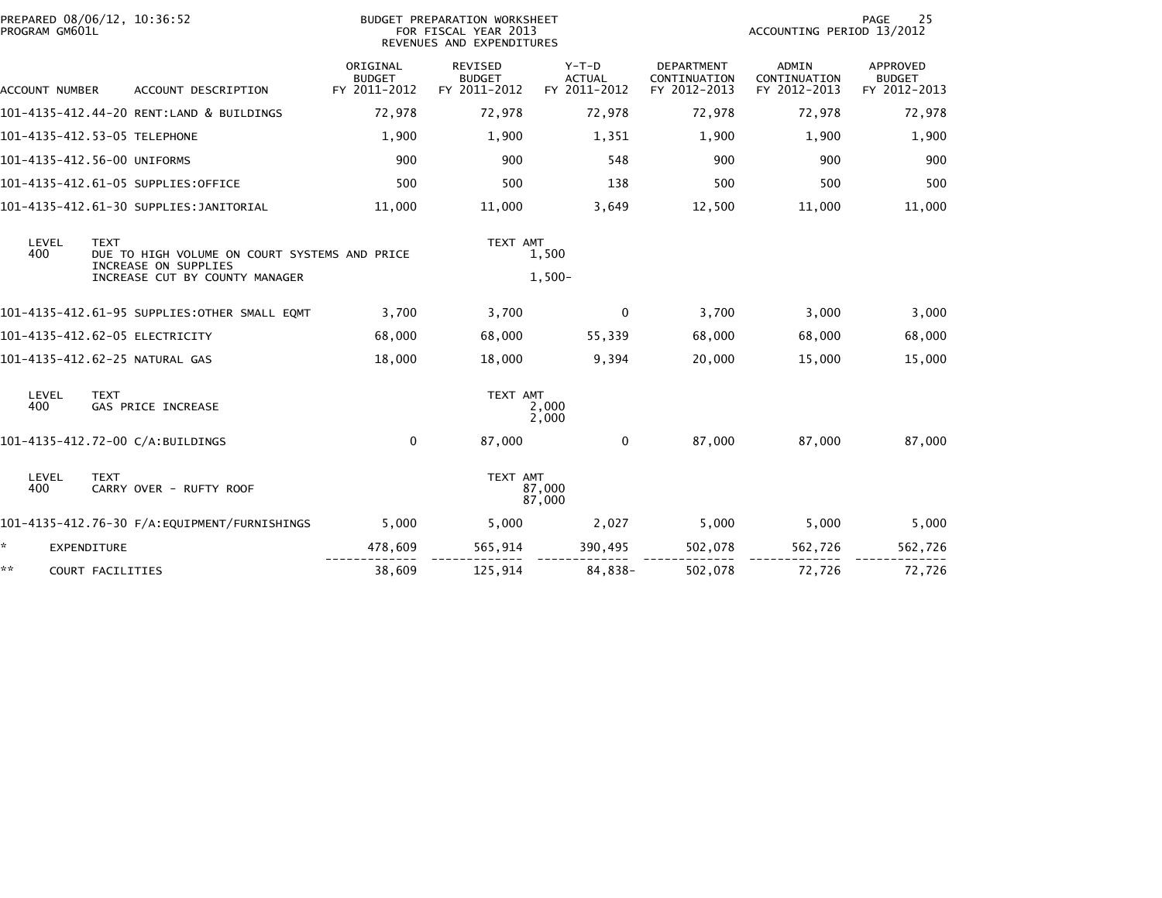| PROGRAM GM601L        | PREPARED 08/06/12, 10:36:52                                                          |                                           | BUDGET PREPARATION WORKSHEET<br>FOR FISCAL YEAR 2013<br>REVENUES AND EXPENDITURES |                                        | 25<br>PAGE<br>ACCOUNTING PERIOD 13/2012           |                                              |                                           |  |
|-----------------------|--------------------------------------------------------------------------------------|-------------------------------------------|-----------------------------------------------------------------------------------|----------------------------------------|---------------------------------------------------|----------------------------------------------|-------------------------------------------|--|
| <b>ACCOUNT NUMBER</b> | ACCOUNT DESCRIPTION                                                                  | ORIGINAL<br><b>BUDGET</b><br>FY 2011-2012 | <b>REVISED</b><br><b>BUDGET</b><br>FY 2011-2012                                   | Y-T-D<br><b>ACTUAL</b><br>FY 2011-2012 | <b>DEPARTMENT</b><br>CONTINUATION<br>FY 2012-2013 | <b>ADMIN</b><br>CONTINUATION<br>FY 2012-2013 | APPROVED<br><b>BUDGET</b><br>FY 2012-2013 |  |
|                       | 101-4135-412.44-20 RENT:LAND & BUILDINGS                                             | 72,978                                    | 72,978                                                                            | 72,978                                 | 72,978                                            | 72,978                                       | 72,978                                    |  |
|                       | 101-4135-412.53-05 TELEPHONE                                                         | 1,900                                     | 1,900                                                                             | 1,351                                  | 1,900                                             | 1,900                                        | 1,900                                     |  |
|                       | 101-4135-412.56-00 UNIFORMS                                                          | 900                                       | 900                                                                               | 548                                    | 900                                               | 900                                          | 900                                       |  |
|                       | 101-4135-412.61-05 SUPPLIES:OFFICE                                                   | 500                                       | 500                                                                               | 138                                    | 500                                               | 500                                          | 500                                       |  |
|                       | 101-4135-412.61-30 SUPPLIES:JANITORIAL                                               | 11,000                                    | 11,000                                                                            | 3,649                                  | 12,500                                            | 11,000                                       | 11,000                                    |  |
| LEVEL<br>400          | <b>TEXT</b><br>DUE TO HIGH VOLUME ON COURT SYSTEMS AND PRICE<br>INCREASE ON SUPPLIES |                                           | TEXT AMT                                                                          | 1,500                                  |                                                   |                                              |                                           |  |
|                       | INCREASE CUT BY COUNTY MANAGER                                                       |                                           |                                                                                   | $1,500-$                               |                                                   |                                              |                                           |  |
|                       | 101-4135-412.61-95 SUPPLIES:OTHER SMALL EQMT                                         | 3.700                                     | 3,700                                                                             | 0                                      | 3,700                                             | 3,000                                        | 3,000                                     |  |
|                       | 101-4135-412.62-05 ELECTRICITY                                                       | 68,000                                    | 68,000                                                                            | 55,339                                 | 68,000                                            | 68,000                                       | 68,000                                    |  |
|                       | 101-4135-412.62-25 NATURAL GAS                                                       | 18,000                                    | 18,000                                                                            | 9,394                                  | 20,000                                            | 15,000                                       | 15,000                                    |  |
| LEVEL<br>400          | <b>TEXT</b><br><b>GAS PRICE INCREASE</b>                                             |                                           | TEXT AMT                                                                          | 2,000<br>2,000                         |                                                   |                                              |                                           |  |
|                       | 101-4135-412.72-00 C/A:BUILDINGS                                                     | 0                                         | 87,000                                                                            | $\mathbf{0}$                           | 87,000                                            | 87,000                                       | 87,000                                    |  |
| LEVEL<br>400          | <b>TEXT</b><br>CARRY OVER - RUFTY ROOF                                               |                                           | TEXT AMT                                                                          | 87,000<br>87,000                       |                                                   |                                              |                                           |  |
|                       |                                                                                      | 5,000                                     | 5,000                                                                             | 2,027                                  | 5,000                                             | 5,000                                        | 5,000                                     |  |
| ÷.                    | <b>EXPENDITURE</b>                                                                   | 478,609                                   | 565,914                                                                           | 390,495                                | 502,078                                           | 562,726                                      | 562,726                                   |  |
| **                    | COURT FACILITIES                                                                     | 38,609                                    | 125,914                                                                           | 84,838-                                | 502,078                                           | 72,726                                       | 72,726                                    |  |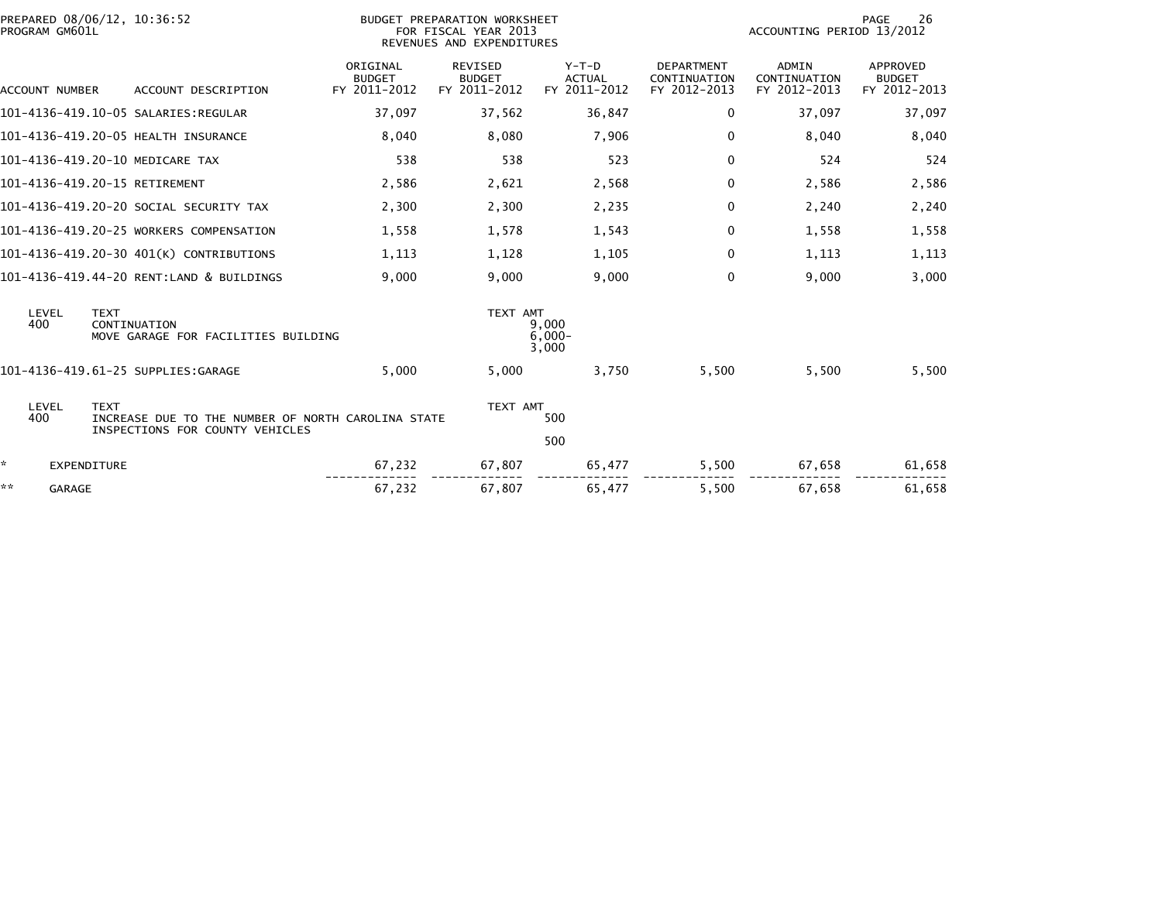| PREPARED 08/06/12, 10:36:52<br>PROGRAM GM601L |                                                                                       |                                           | <b>BUDGET PREPARATION WORKSHEET</b><br>FOR FISCAL YEAR 2013<br>REVENUES AND EXPENDITURES |                                          | 26<br>PAGE<br>ACCOUNTING PERIOD 13/2012           |                                       |                                           |  |
|-----------------------------------------------|---------------------------------------------------------------------------------------|-------------------------------------------|------------------------------------------------------------------------------------------|------------------------------------------|---------------------------------------------------|---------------------------------------|-------------------------------------------|--|
| <b>ACCOUNT NUMBER</b>                         | ACCOUNT DESCRIPTION                                                                   | ORIGINAL<br><b>BUDGET</b><br>FY 2011-2012 | REVISED<br><b>BUDGET</b><br>FY 2011-2012                                                 | $Y-T-D$<br><b>ACTUAL</b><br>FY 2011-2012 | <b>DEPARTMENT</b><br>CONTINUATION<br>FY 2012-2013 | ADMIN<br>CONTINUATION<br>FY 2012-2013 | APPROVED<br><b>BUDGET</b><br>FY 2012-2013 |  |
|                                               | 101-4136-419.10-05 SALARIES:REGULAR                                                   | 37,097                                    | 37,562                                                                                   | 36,847                                   | $\Omega$                                          | 37,097                                | 37,097                                    |  |
|                                               | 101-4136-419.20-05 HEALTH INSURANCE                                                   | 8,040                                     | 8,080                                                                                    | 7,906                                    | $\mathbf 0$                                       | 8,040                                 | 8,040                                     |  |
|                                               | 101-4136-419.20-10 MEDICARE TAX                                                       | 538                                       | 538                                                                                      | 523                                      | $\mathbf 0$                                       | 524                                   | 524                                       |  |
| 101-4136-419.20-15 RETIREMENT                 |                                                                                       | 2,586                                     | 2,621                                                                                    | 2,568                                    | $\mathbf 0$                                       | 2,586                                 | 2,586                                     |  |
|                                               | 101-4136-419.20-20 SOCIAL SECURITY TAX                                                | 2,300                                     | 2,300                                                                                    | 2,235                                    | 0                                                 | 2,240                                 | 2,240                                     |  |
|                                               | 101-4136-419.20-25 WORKERS COMPENSATION                                               | 1,558                                     | 1,578                                                                                    | 1,543                                    | 0                                                 | 1,558                                 | 1,558                                     |  |
|                                               | 101-4136-419.20-30 401(K) CONTRIBUTIONS                                               | 1,113                                     | 1,128                                                                                    | 1,105                                    | $\mathbf 0$                                       | 1,113                                 | 1,113                                     |  |
|                                               | 101-4136-419.44-20 RENT:LAND & BUILDINGS                                              | 9,000                                     | 9,000                                                                                    | 9,000                                    | $\Omega$                                          | 9,000                                 | 3,000                                     |  |
| LEVEL<br><b>TEXT</b><br>400                   | CONTINUATION<br>MOVE GARAGE FOR FACILITIES BUILDING                                   |                                           | TEXT AMT                                                                                 | 9.000<br>$6.000 -$<br>3,000              |                                                   |                                       |                                           |  |
|                                               | 101-4136-419.61-25 SUPPLIES:GARAGE                                                    | 5,000                                     | 5,000                                                                                    | 3,750                                    | 5,500                                             | 5,500                                 | 5,500                                     |  |
| LEVEL<br><b>TEXT</b><br>400                   | INCREASE DUE TO THE NUMBER OF NORTH CAROLINA STATE<br>INSPECTIONS FOR COUNTY VEHICLES |                                           | TEXT AMT                                                                                 | 500<br>500                               |                                                   |                                       |                                           |  |
| ÷.<br>EXPENDITURE                             |                                                                                       | 67,232                                    | 67,807                                                                                   | 65,477                                   | 5,500                                             | 67,658                                | 61,658                                    |  |
| **<br>GARAGE                                  |                                                                                       | 67,232                                    | 67,807                                                                                   | 65,477                                   | 5,500                                             | 67,658                                | 61,658                                    |  |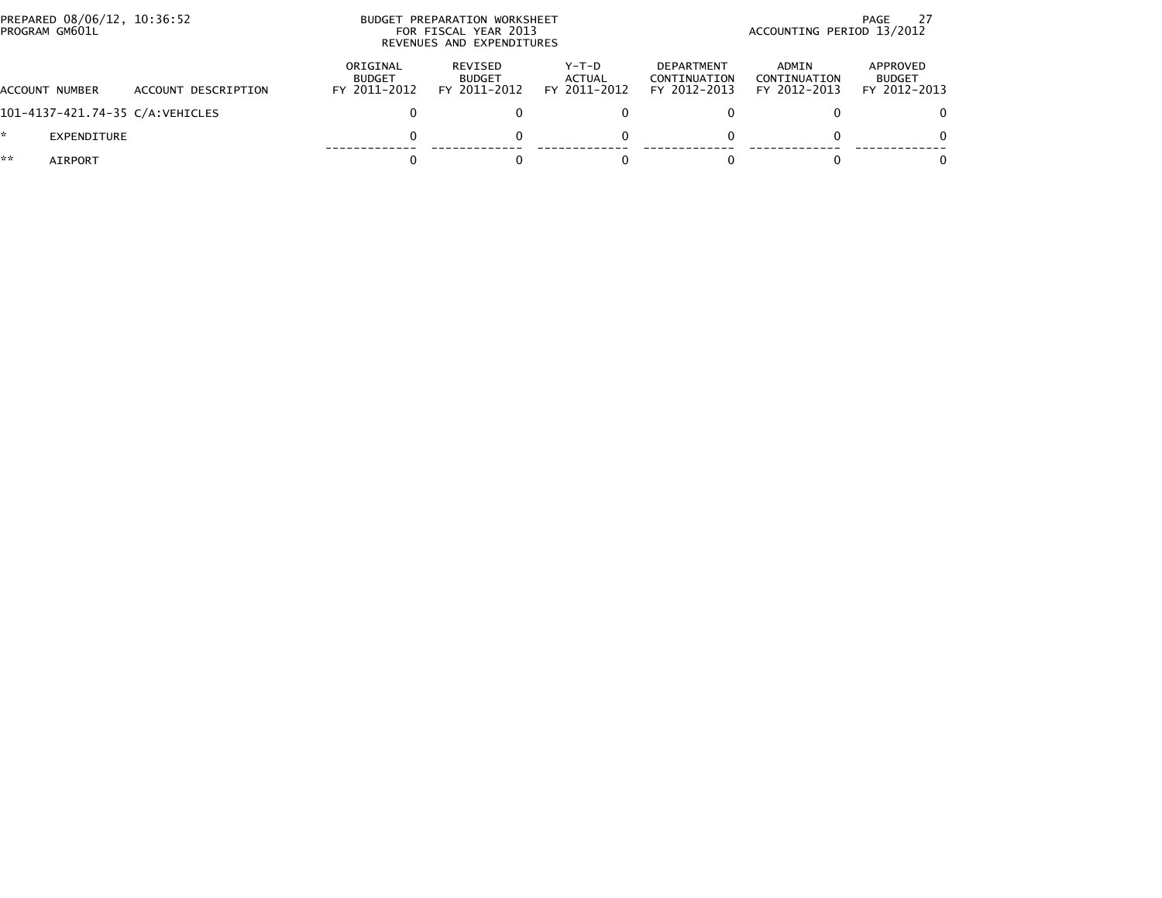| PREPARED 08/06/12, 10:36:52<br>PROGRAM GM601L |                     |                                           | BUDGET PREPARATION WORKSHEET<br>FOR FISCAL YEAR 2013<br>REVENUES AND EXPENDITURES |                                   | PAGE<br>ACCOUNTING PERIOD 13/2012                 |                                       |                                           |  |
|-----------------------------------------------|---------------------|-------------------------------------------|-----------------------------------------------------------------------------------|-----------------------------------|---------------------------------------------------|---------------------------------------|-------------------------------------------|--|
| ACCOUNT NUMBER                                | ACCOUNT DESCRIPTION | ORIGINAL<br><b>BUDGET</b><br>FY 2011-2012 | REVISED<br><b>BUDGET</b><br>FY 2011-2012                                          | $Y-T-D$<br>ACTUAL<br>FY 2011-2012 | <b>DEPARTMENT</b><br>CONTINUATION<br>FY 2012-2013 | ADMIN<br>CONTINUATION<br>FY 2012-2013 | APPROVED<br><b>BUDGET</b><br>FY 2012-2013 |  |
| 101-4137-421.74-35 C/A:VEHICLES               |                     |                                           |                                                                                   |                                   |                                                   |                                       | 0                                         |  |
| EXPENDITURE                                   |                     |                                           |                                                                                   | $\Omega$                          |                                                   |                                       | $\Omega$                                  |  |
| **<br>AIRPORT                                 |                     |                                           |                                                                                   |                                   |                                                   |                                       | $\Omega$                                  |  |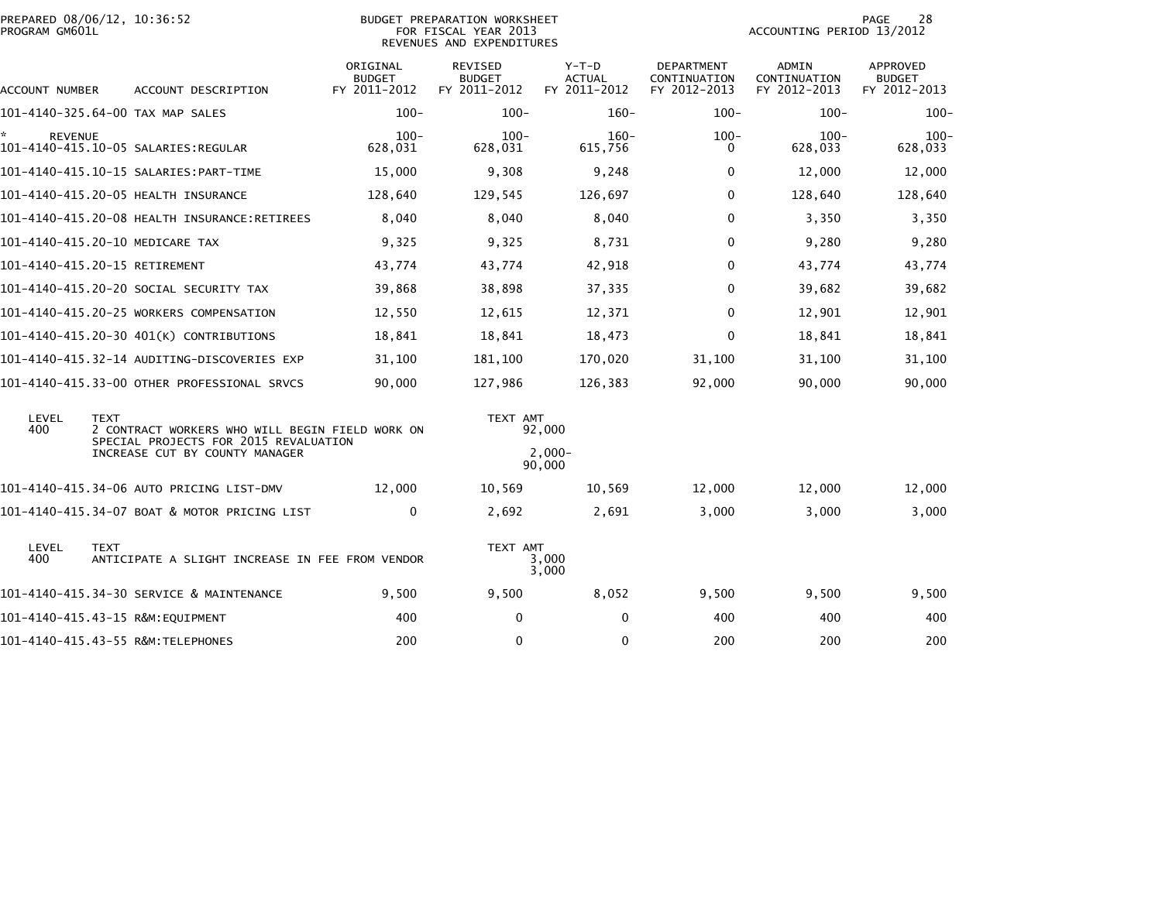| PREPARED 08/06/12, 10:36:52<br>PROGRAM GM601L |             |                                                                                          |                                           | <b>BUDGET PREPARATION WORKSHEET</b><br>FOR FISCAL YEAR 2013<br>REVENUES AND EXPENDITURES |                                          |                                            | ACCOUNTING PERIOD 13/2012                    | 28<br>PAGE                                |
|-----------------------------------------------|-------------|------------------------------------------------------------------------------------------|-------------------------------------------|------------------------------------------------------------------------------------------|------------------------------------------|--------------------------------------------|----------------------------------------------|-------------------------------------------|
| ACCOUNT NUMBER                                |             | ACCOUNT DESCRIPTION                                                                      | ORIGINAL<br><b>BUDGET</b><br>FY 2011-2012 | <b>REVISED</b><br><b>BUDGET</b><br>FY 2011-2012                                          | $Y-T-D$<br><b>ACTUAL</b><br>FY 2011-2012 | DEPARTMENT<br>CONTINUATION<br>FY 2012-2013 | <b>ADMIN</b><br>CONTINUATION<br>FY 2012-2013 | APPROVED<br><b>BUDGET</b><br>FY 2012-2013 |
|                                               |             | 101-4140-325.64-00 TAX MAP SALES                                                         | $100 -$                                   | $100 -$                                                                                  | $160-$                                   | $100 -$                                    | $100 -$                                      | $100 -$                                   |
| <b>REVENUE</b>                                |             | 101-4140-415.10-05 SALARIES:REGULAR                                                      | $100 -$<br>628,031                        | $100 -$<br>628,031                                                                       | $160 -$<br>615,756                       | $100 -$<br>0                               | $100 -$<br>628,033                           | $100 -$<br>628,033                        |
|                                               |             |                                                                                          | 15,000                                    | 9,308                                                                                    | 9,248                                    | $\Omega$                                   | 12,000                                       | 12,000                                    |
|                                               |             | 101-4140-415.20-05 HEALTH INSURANCE                                                      | 128,640                                   | 129,545                                                                                  | 126,697                                  | 0                                          | 128,640                                      | 128,640                                   |
|                                               |             | 101-4140-415.20-08 HEALTH INSURANCE:RETIREES                                             | 8,040                                     | 8,040                                                                                    | 8,040                                    | 0                                          | 3,350                                        | 3,350                                     |
| 101-4140-415.20-10 MEDICARE TAX               |             |                                                                                          | 9,325                                     | 9,325                                                                                    | 8,731                                    | 0                                          | 9,280                                        | 9,280                                     |
| 101-4140-415.20-15 RETIREMENT                 |             |                                                                                          | 43,774                                    | 43,774                                                                                   | 42,918                                   | 0                                          | 43,774                                       | 43,774                                    |
|                                               |             | 101–4140–415.20–20 SOCIAL SECURITY TAX                                                   | 39,868                                    | 38,898                                                                                   | 37,335                                   | 0                                          | 39,682                                       | 39,682                                    |
|                                               |             | 101-4140-415.20-25 WORKERS COMPENSATION                                                  | 12,550                                    | 12,615                                                                                   | 12,371                                   | 0                                          | 12,901                                       | 12,901                                    |
|                                               |             | 101-4140-415.20-30 401(K) CONTRIBUTIONS                                                  | 18,841                                    | 18,841                                                                                   | 18,473                                   | 0                                          | 18,841                                       | 18,841                                    |
|                                               |             | 101–4140–415.32–14 AUDITING–DISCOVERIES EXP                                              | 31,100                                    | 181,100                                                                                  | 170,020                                  | 31,100                                     | 31,100                                       | 31,100                                    |
|                                               |             | 101-4140-415.33-00 OTHER PROFESSIONAL SRVCS                                              | 90,000                                    | 127,986                                                                                  | 126,383                                  | 92,000                                     | 90,000                                       | 90,000                                    |
| LEVEL<br>400                                  | <b>TEXT</b> | 2 CONTRACT WORKERS WHO WILL BEGIN FIELD WORK ON<br>SPECIAL PROJECTS FOR 2015 REVALUATION |                                           | TEXT AMT                                                                                 | 92,000                                   |                                            |                                              |                                           |
|                                               |             | INCREASE CUT BY COUNTY MANAGER                                                           |                                           |                                                                                          | $2,000-$<br>90,000                       |                                            |                                              |                                           |
|                                               |             | 101-4140-415.34-06 AUTO PRICING LIST-DMV                                                 | 12,000                                    | 10,569                                                                                   | 10,569                                   | 12,000                                     | 12,000                                       | 12,000                                    |
|                                               |             | 101-4140-415.34-07 BOAT & MOTOR PRICING LIST                                             | 0                                         | 2,692                                                                                    | 2,691                                    | 3,000                                      | 3,000                                        | 3,000                                     |
| LEVEL<br>400                                  | <b>TEXT</b> | ANTICIPATE A SLIGHT INCREASE IN FEE FROM VENDOR                                          |                                           | TEXT AMT                                                                                 | 3,000<br>3,000                           |                                            |                                              |                                           |
|                                               |             | 101-4140-415.34-30 SERVICE & MAINTENANCE                                                 | 9,500                                     | 9,500                                                                                    | 8,052                                    | 9,500                                      | 9,500                                        | 9,500                                     |
|                                               |             | 101-4140-415.43-15 R&M:EQUIPMENT                                                         | 400                                       | $\mathbf 0$                                                                              | $\Omega$                                 | 400                                        | 400                                          | 400                                       |
|                                               |             | 101-4140-415.43-55 R&M:TELEPHONES                                                        | 200                                       | 0                                                                                        | $\Omega$                                 | 200                                        | 200                                          | 200                                       |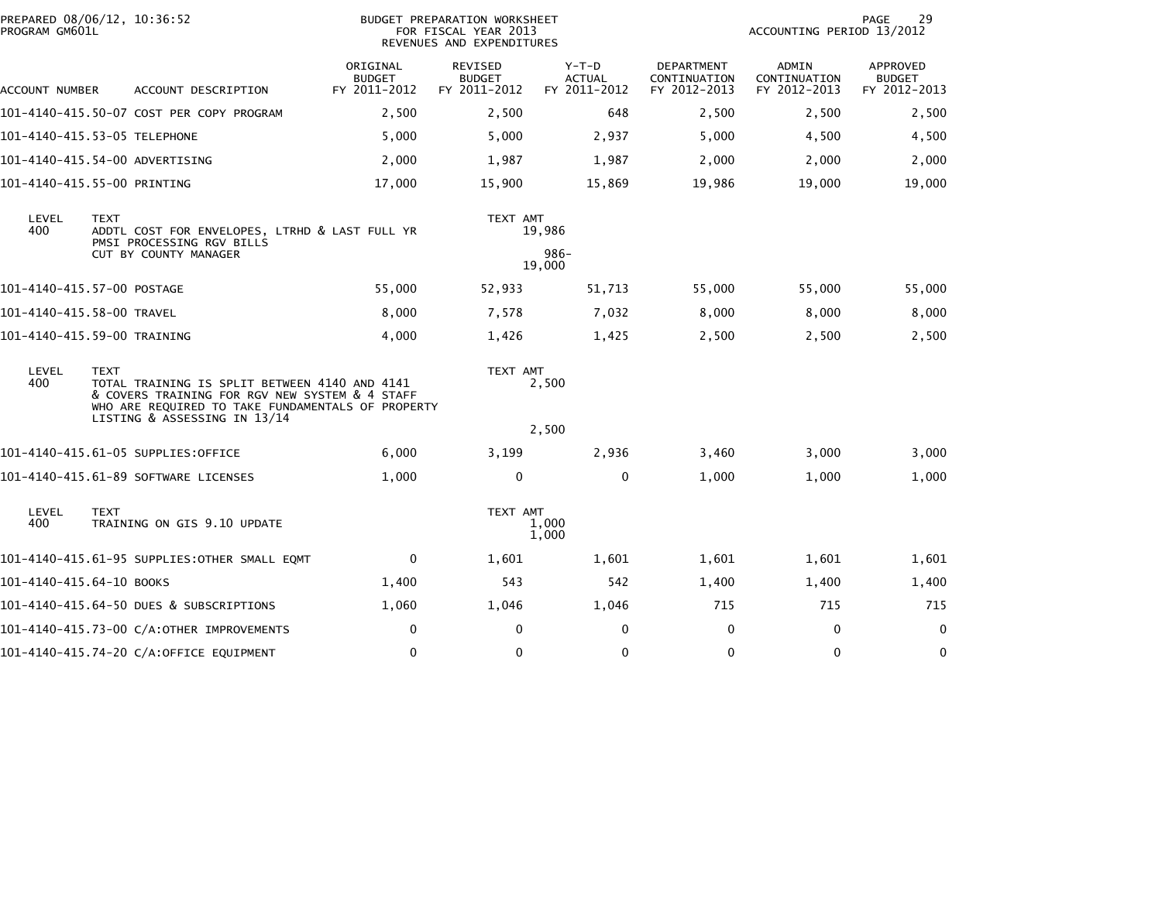| PREPARED 08/06/12, 10:36:52<br>PROGRAM GM601L                                                                                                                                       |                                                    |                                              |                                           | BUDGET PREPARATION WORKSHEET<br>FOR FISCAL YEAR 2013<br>REVENUES AND EXPENDITURES |                                          | 29<br>PAGE<br>ACCOUNTING PERIOD 13/2012    |                                       |                                           |
|-------------------------------------------------------------------------------------------------------------------------------------------------------------------------------------|----------------------------------------------------|----------------------------------------------|-------------------------------------------|-----------------------------------------------------------------------------------|------------------------------------------|--------------------------------------------|---------------------------------------|-------------------------------------------|
| ACCOUNT NUMBER                                                                                                                                                                      |                                                    | ACCOUNT DESCRIPTION                          | ORIGINAL<br><b>BUDGET</b><br>FY 2011-2012 | REVISED<br><b>BUDGET</b><br>FY 2011-2012                                          | $Y-T-D$<br><b>ACTUAL</b><br>FY 2011-2012 | DEPARTMENT<br>CONTINUATION<br>FY 2012-2013 | ADMIN<br>CONTINUATION<br>FY 2012-2013 | APPROVED<br><b>BUDGET</b><br>FY 2012-2013 |
|                                                                                                                                                                                     |                                                    | 101-4140-415.50-07 COST PER COPY PROGRAM     | 2,500                                     | 2,500                                                                             | 648                                      | 2,500                                      | 2,500                                 | 2,500                                     |
| 101-4140-415.53-05 TELEPHONE                                                                                                                                                        |                                                    |                                              | 5,000                                     | 5,000                                                                             | 2,937                                    | 5,000                                      | 4,500                                 | 4,500                                     |
| 101-4140-415.54-00 ADVERTISING                                                                                                                                                      |                                                    |                                              | 2,000                                     | 1,987                                                                             | 1,987                                    | 2,000                                      | 2,000                                 | 2,000                                     |
| 101-4140-415.55-00 PRINTING                                                                                                                                                         |                                                    |                                              | 17,000                                    | 15,900                                                                            | 15,869                                   | 19,986                                     | 19,000                                | 19,000                                    |
| LEVEL<br><b>TEXT</b><br>400<br>ADDTL COST FOR ENVELOPES, LTRHD & LAST FULL YR                                                                                                       |                                                    |                                              |                                           | TEXT AMT                                                                          | 19,986                                   |                                            |                                       |                                           |
|                                                                                                                                                                                     | PMSI PROCESSING RGV BILLS<br>CUT BY COUNTY MANAGER |                                              |                                           |                                                                                   | $986 -$<br>19,000                        |                                            |                                       |                                           |
| 101-4140-415.57-00 POSTAGE                                                                                                                                                          |                                                    |                                              | 55,000                                    | 52,933                                                                            | 51,713                                   | 55,000                                     | 55,000                                | 55,000                                    |
| 101-4140-415.58-00 TRAVEL                                                                                                                                                           |                                                    |                                              | 8,000                                     | 7,578                                                                             | 7,032                                    | 8.000                                      | 8,000                                 | 8,000                                     |
| 101-4140-415.59-00 TRAINING                                                                                                                                                         |                                                    |                                              | 4,000                                     | 1,426                                                                             | 1,425                                    | 2,500                                      | 2,500                                 | 2,500                                     |
| LEVEL<br><b>TEXT</b><br>400<br>TOTAL TRAINING IS SPLIT BETWEEN 4140 AND 4141<br>& COVERS TRAINING FOR RGV NEW SYSTEM & 4 STAFF<br>WHO ARE REQUIRED TO TAKE FUNDAMENTALS OF PROPERTY |                                                    | LISTING & ASSESSING IN 13/14                 |                                           | TEXT AMT                                                                          | 2,500                                    |                                            |                                       |                                           |
|                                                                                                                                                                                     |                                                    |                                              |                                           |                                                                                   | 2,500                                    |                                            |                                       |                                           |
|                                                                                                                                                                                     |                                                    | 101-4140-415.61-05 SUPPLIES:OFFICE           | 6,000                                     | 3,199                                                                             | 2,936                                    | 3,460                                      | 3,000                                 | 3,000                                     |
|                                                                                                                                                                                     |                                                    | 101-4140-415.61-89 SOFTWARE LICENSES         | 1,000                                     | 0                                                                                 | 0                                        | 1,000                                      | 1,000                                 | 1,000                                     |
| LEVEL<br>400                                                                                                                                                                        | <b>TEXT</b>                                        | TRAINING ON GIS 9.10 UPDATE                  |                                           | TEXT AMT                                                                          | 1,000<br>1,000                           |                                            |                                       |                                           |
|                                                                                                                                                                                     |                                                    | 101-4140-415.61-95 SUPPLIES:OTHER SMALL EQMT | 0                                         | 1,601                                                                             | 1,601                                    | 1,601                                      | 1,601                                 | 1,601                                     |
| 101-4140-415.64-10 BOOKS                                                                                                                                                            |                                                    |                                              | 1,400                                     | 543                                                                               | 542                                      | 1,400                                      | 1,400                                 | 1,400                                     |
|                                                                                                                                                                                     |                                                    | 101-4140-415.64-50 DUES & SUBSCRIPTIONS      | 1,060                                     | 1,046                                                                             | 1,046                                    | 715                                        | 715                                   | 715                                       |
|                                                                                                                                                                                     |                                                    | 101-4140-415.73-00 C/A:OTHER IMPROVEMENTS    | 0                                         | 0                                                                                 | $\Omega$                                 | $\Omega$                                   | $\mathbf 0$                           | $\mathbf 0$                               |
|                                                                                                                                                                                     |                                                    | 101-4140-415.74-20 C/A:OFFICE EQUIPMENT      | 0                                         | 0                                                                                 | 0                                        | $\mathbf 0$                                | $\mathbf 0$                           | $\mathbf 0$                               |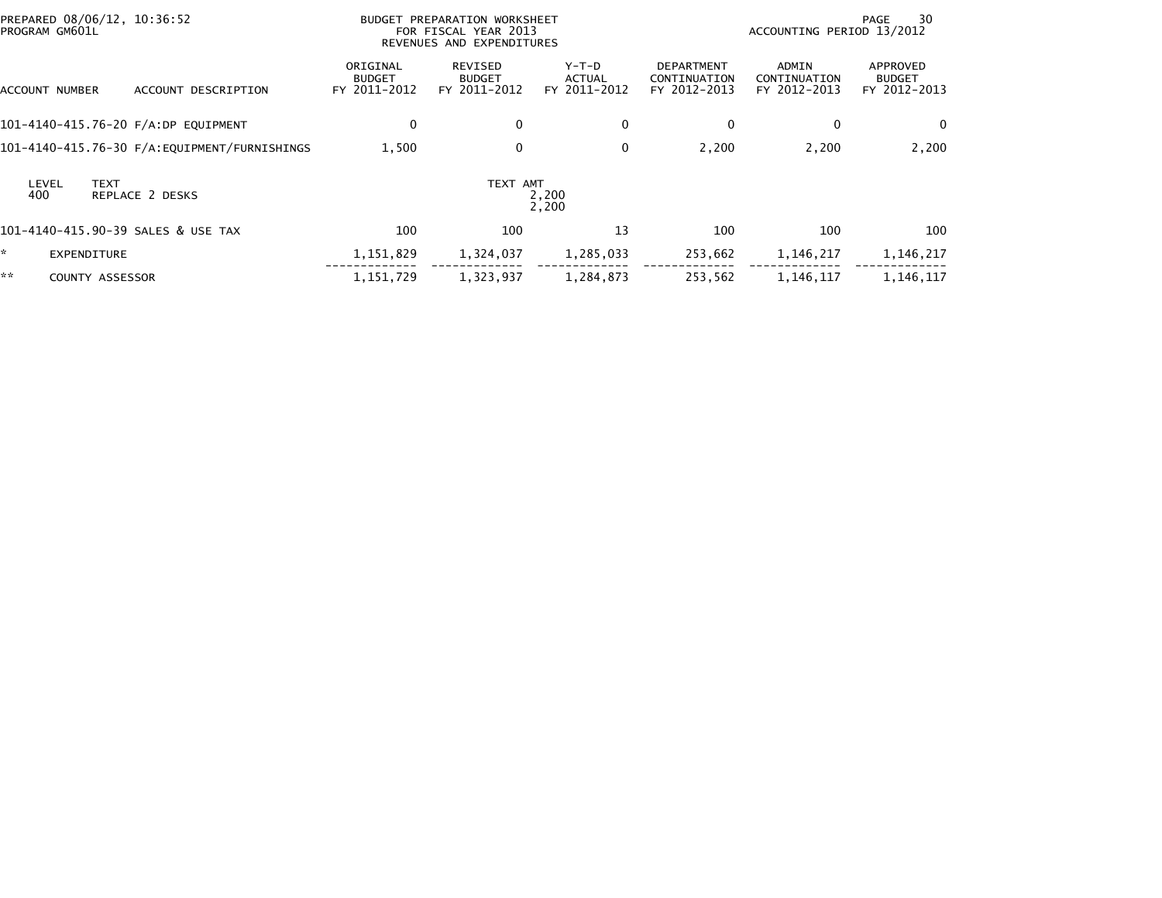| PREPARED 08/06/12, 10:36:52<br>PROGRAM GM601L  |                                           | BUDGET PREPARATION WORKSHEET<br>FOR FISCAL YEAR 2013<br>REVENUES AND EXPENDITURES |                                          |                                                   | ACCOUNTING PERIOD 13/2012             | 30<br>PAGE                                |
|------------------------------------------------|-------------------------------------------|-----------------------------------------------------------------------------------|------------------------------------------|---------------------------------------------------|---------------------------------------|-------------------------------------------|
| ACCOUNT DESCRIPTION<br>ACCOUNT NUMBER          | ORIGINAL<br><b>BUDGET</b><br>FY 2011-2012 | REVISED<br><b>BUDGET</b><br>FY 2011-2012                                          | $Y-T-D$<br><b>ACTUAL</b><br>FY 2011-2012 | <b>DEPARTMENT</b><br>CONTINUATION<br>FY 2012-2013 | ADMIN<br>CONTINUATION<br>FY 2012-2013 | APPROVED<br><b>BUDGET</b><br>FY 2012-2013 |
| 101-4140-415.76-20 F/A:DP EQUIPMENT            | 0                                         | $\mathbf{0}$                                                                      | 0                                        | $\Omega$                                          | 0                                     | $\mathbf{0}$                              |
|                                                | 1,500                                     | 0                                                                                 | 0                                        | 2,200                                             | 2,200                                 | 2,200                                     |
| <b>TEXT</b><br>LEVEL<br>REPLACE 2 DESKS<br>400 |                                           | TEXT AMT                                                                          | 2,200<br>2,200                           |                                                   |                                       |                                           |
| 101-4140-415.90-39 SALES & USE TAX             | 100                                       | 100                                                                               | 13                                       | 100                                               | 100                                   | 100                                       |
| EXPENDITURE                                    | 1,151,829                                 | 1,324,037                                                                         | 1,285,033                                | 253,662                                           | 1,146,217                             | 1,146,217                                 |
| **<br><b>COUNTY ASSESSOR</b>                   | 1,151,729                                 | 1,323,937                                                                         | 1,284,873                                | 253,562                                           | 1,146,117                             | 1,146,117                                 |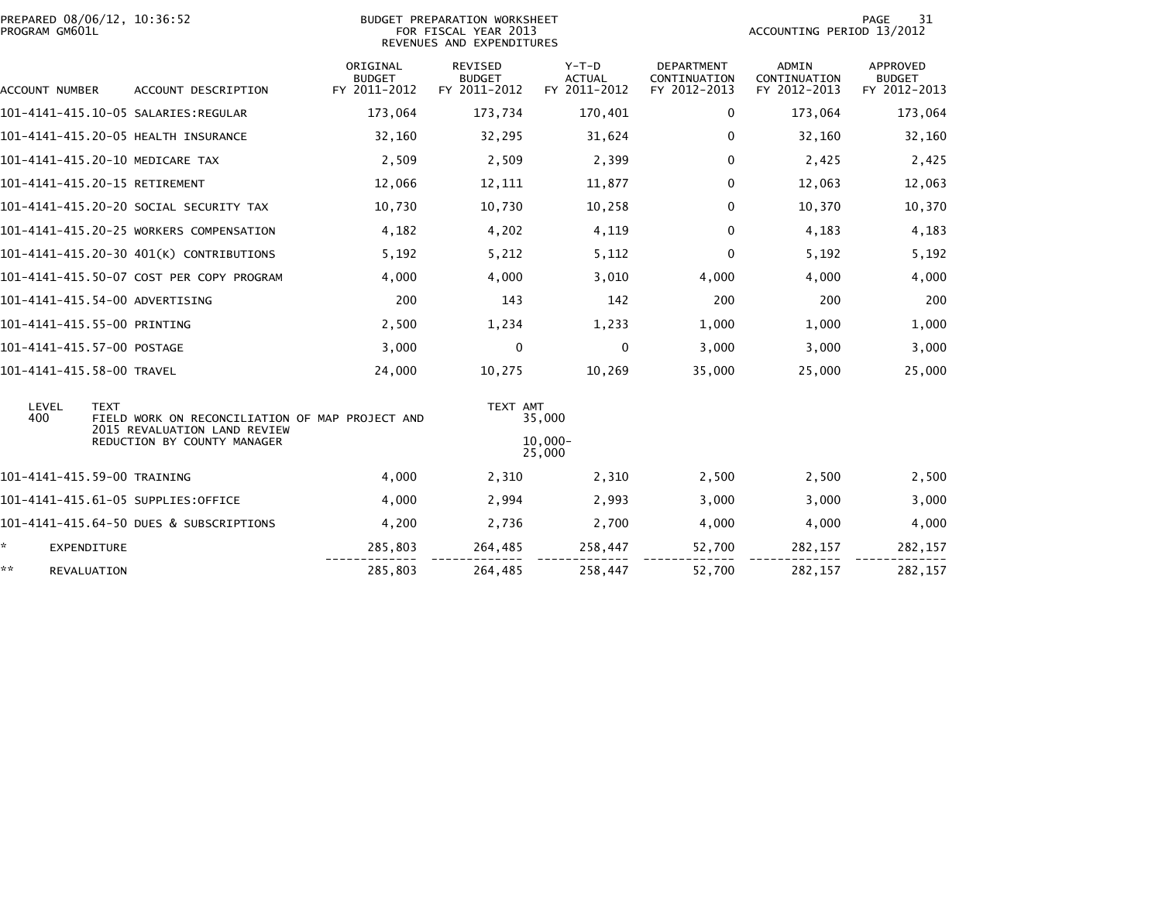| PROGRAM GM601L             | PREPARED 08/06/12, 10:36:52                                                                    | BUDGET PREPARATION WORKSHEET<br>FOR FISCAL YEAR 2013<br>REVENUES AND EXPENDITURES |                                          | 31<br>PAGE<br>ACCOUNTING PERIOD 13/2012  |                                                   |                                              |                                                  |
|----------------------------|------------------------------------------------------------------------------------------------|-----------------------------------------------------------------------------------|------------------------------------------|------------------------------------------|---------------------------------------------------|----------------------------------------------|--------------------------------------------------|
| ACCOUNT NUMBER             | ACCOUNT DESCRIPTION                                                                            | ORIGINAL<br><b>BUDGET</b><br>FY 2011-2012                                         | REVISED<br><b>BUDGET</b><br>FY 2011-2012 | $Y-T-D$<br><b>ACTUAL</b><br>FY 2011-2012 | <b>DEPARTMENT</b><br>CONTINUATION<br>FY 2012-2013 | <b>ADMIN</b><br>CONTINUATION<br>FY 2012-2013 | <b>APPROVED</b><br><b>BUDGET</b><br>FY 2012-2013 |
|                            |                                                                                                | 173,064                                                                           | 173,734                                  | 170,401                                  | 0                                                 | 173,064                                      | 173,064                                          |
|                            | 101-4141-415.20-05 HEALTH INSURANCE                                                            | 32,160                                                                            | 32,295                                   | 31,624                                   | 0                                                 | 32,160                                       | 32,160                                           |
|                            | 101-4141-415.20-10 MEDICARE TAX                                                                | 2,509                                                                             | 2,509                                    | 2,399                                    | $\mathbf{0}$                                      | 2,425                                        | 2,425                                            |
|                            | 101-4141-415.20-15 RETIREMENT                                                                  | 12,066                                                                            | 12,111                                   | 11,877                                   | 0                                                 | 12,063                                       | 12,063                                           |
|                            | 101–4141–415.20–20 SOCIAL SECURITY TAX                                                         | 10,730                                                                            | 10,730                                   | 10,258                                   | 0                                                 | 10,370                                       | 10,370                                           |
|                            | 101-4141-415.20-25 WORKERS COMPENSATION                                                        | 4,182                                                                             | 4,202                                    | 4,119                                    | $\Omega$                                          | 4,183                                        | 4,183                                            |
|                            | 101-4141-415.20-30 401(K) CONTRIBUTIONS                                                        | 5,192                                                                             | 5,212                                    | 5,112                                    | 0                                                 | 5,192                                        | 5,192                                            |
|                            | 101-4141-415.50-07 COST PER COPY PROGRAM                                                       | 4,000                                                                             | 4,000                                    | 3,010                                    | 4,000                                             | 4,000                                        | 4,000                                            |
|                            | 101-4141-415.54-00 ADVERTISING                                                                 | 200                                                                               | 143                                      | 142                                      | 200                                               | 200                                          | 200                                              |
|                            | 101-4141-415.55-00 PRINTING                                                                    | 2,500                                                                             | 1,234                                    | 1,233                                    | 1,000                                             | 1,000                                        | 1,000                                            |
| 101-4141-415.57-00 POSTAGE |                                                                                                | 3,000                                                                             | 0                                        | 0                                        | 3,000                                             | 3,000                                        | 3,000                                            |
| 101-4141-415.58-00 TRAVEL  |                                                                                                | 24,000                                                                            | 10,275                                   | 10,269                                   | 35,000                                            | 25,000                                       | 25,000                                           |
| LEVEL<br>400               | <b>TEXT</b><br>FIELD WORK ON RECONCILIATION OF MAP PROJECT AND<br>2015 REVALUATION LAND REVIEW |                                                                                   | TEXT AMT                                 | 35,000                                   |                                                   |                                              |                                                  |
|                            | REDUCTION BY COUNTY MANAGER                                                                    |                                                                                   |                                          | $10.000 -$<br>25,000                     |                                                   |                                              |                                                  |
|                            | 101-4141-415.59-00 TRAINING                                                                    | 4,000                                                                             | 2,310                                    | 2,310                                    | 2,500                                             | 2,500                                        | 2,500                                            |
|                            | 101-4141-415.61-05 SUPPLIES:OFFICE                                                             | 4,000                                                                             | 2,994                                    | 2,993                                    | 3,000                                             | 3,000                                        | 3,000                                            |
|                            | 101-4141-415.64-50 DUES & SUBSCRIPTIONS                                                        | 4,200                                                                             | 2,736                                    | 2,700                                    | 4,000                                             | 4,000                                        | 4,000                                            |
| ☆.<br><b>EXPENDITURE</b>   |                                                                                                | 285,803                                                                           | 264,485                                  | 258,447                                  | 52,700                                            | 282,157                                      | 282,157                                          |
| **<br>REVALUATION          |                                                                                                | 285,803                                                                           | 264,485                                  | 258,447                                  | 52,700                                            | 282,157                                      | 282,157                                          |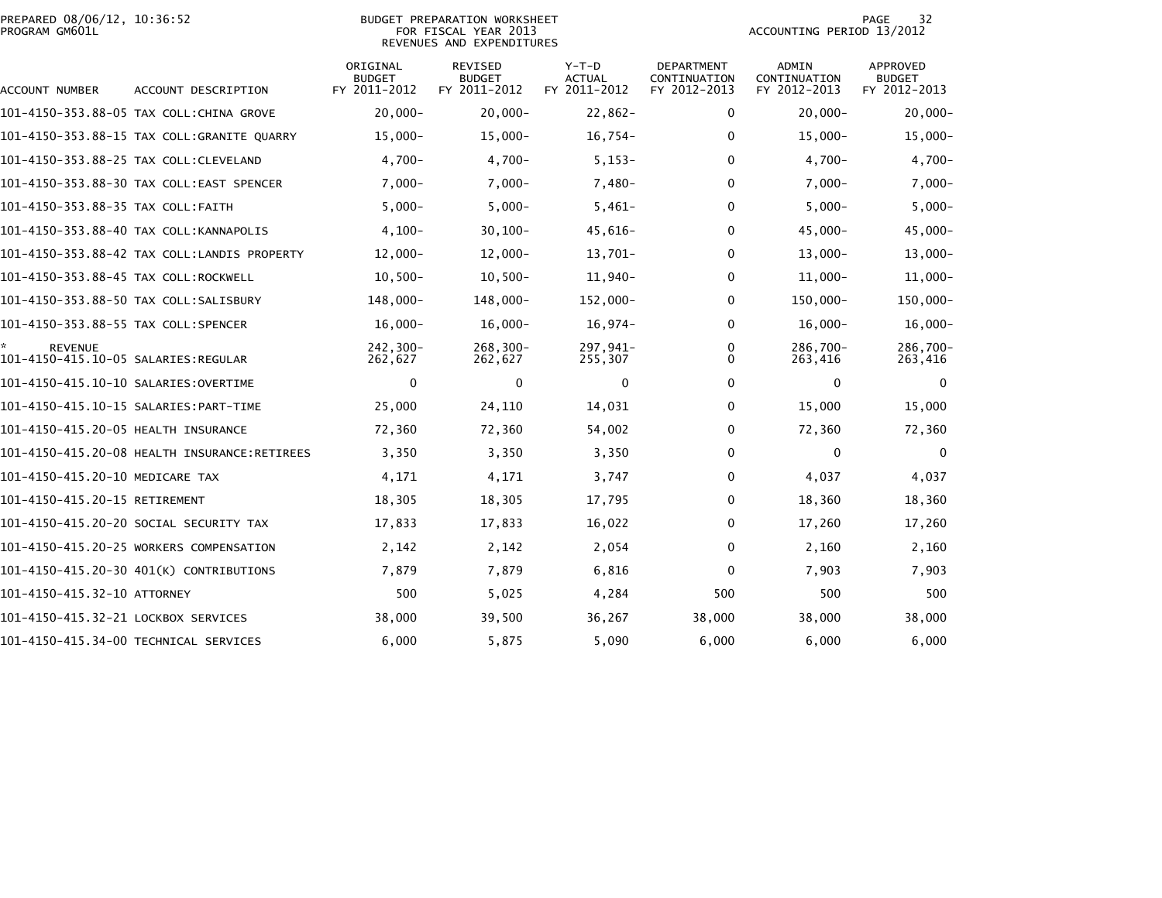|                | PREPARED 08/06/12, 10:36:52 |  |
|----------------|-----------------------------|--|
| PROGRAM GM601L |                             |  |

## PREPARED 08/06/12, 10:36:52 BUDGET PREPARATION WORKSHEET PAGE 32PROGRAM GM601L FOR FISCAL YEAR 2013 ACCOUNTING PERIOD 13/2012 REVENUES AND EXPENDITURES

| ACCOUNT NUMBER                                         | ACCOUNT DESCRIPTION                          | ORIGINAL<br><b>BUDGET</b><br>FY 2011-2012 | <b>REVISED</b><br><b>BUDGET</b><br>FY 2011-2012 | $Y-T-D$<br><b>ACTUAL</b><br>FY 2011-2012 | <b>DEPARTMENT</b><br>CONTINUATION<br>FY 2012-2013 | ADMIN<br>CONTINUATION<br>FY 2012-2013 | <b>APPROVED</b><br><b>BUDGET</b><br>FY 2012-2013 |
|--------------------------------------------------------|----------------------------------------------|-------------------------------------------|-------------------------------------------------|------------------------------------------|---------------------------------------------------|---------------------------------------|--------------------------------------------------|
|                                                        | 101-4150-353.88-05 TAX COLL:CHINA GROVE      | $20,000 -$                                | $20,000 -$                                      | $22,862-$                                | 0                                                 | $20,000 -$                            | $20,000 -$                                       |
|                                                        | 101-4150-353.88-15 TAX COLL:GRANITE QUARRY   | $15,000-$                                 | $15,000-$                                       | $16,754-$                                | $\Omega$                                          | $15,000-$                             | $15,000 -$                                       |
|                                                        | 101-4150-353.88-25 TAX COLL:CLEVELAND        | $4,700-$                                  | $4,700-$                                        | $5, 153 -$                               | $\Omega$                                          | $4,700-$                              | $4,700-$                                         |
|                                                        | 101-4150-353.88-30 TAX COLL:EAST SPENCER     | $7,000 -$                                 | $7,000 -$                                       | $7,480-$                                 | 0                                                 | $7,000-$                              | $7,000-$                                         |
| 101-4150-353.88-35 TAX COLL:FAITH                      |                                              | $5,000 -$                                 | $5,000-$                                        | $5,461-$                                 | $\Omega$                                          | $5,000-$                              | $5,000 -$                                        |
|                                                        | 101-4150-353.88-40 TAX COLL: KANNAPOLIS      | $4,100-$                                  | $30, 100 -$                                     | 45,616-                                  | 0                                                 | $45,000 -$                            | 45,000-                                          |
|                                                        | 101-4150-353.88-42 TAX COLL:LANDIS PROPERTY  | $12,000-$                                 | $12,000-$                                       | 13,701-                                  | 0                                                 | $13,000-$                             | $13,000 -$                                       |
| 101-4150-353.88-45 TAX COLL:ROCKWELL                   |                                              | $10,500-$                                 | $10,500-$                                       | $11,940-$                                | 0                                                 | $11,000-$                             | $11,000 -$                                       |
|                                                        | 101-4150-353.88-50 TAX COLL:SALISBURY        | 148,000-                                  | 148,000-                                        | 152,000-                                 | $\Omega$                                          | 150,000-                              | 150,000-                                         |
| 101-4150-353.88-55 TAX COLL:SPENCER                    |                                              | $16,000 -$                                | $16,000 -$                                      | $16,974-$                                | 0                                                 | $16,000 -$                            | $16,000 -$                                       |
| <b>REVENUE</b><br>101-4150-415.10-05 SALARIES: REGULAR |                                              | 242,300-<br>262,627                       | $268, 300 -$<br>262,627                         | 297,941-<br>255,307                      | 0<br>$\Omega$                                     | 286,700-<br>263,416                   | 286,700-<br>263,416                              |
| 101-4150-415.10-10 SALARIES:OVERTIME                   |                                              | $\mathbf 0$                               | $\mathbf{0}$                                    | 0                                        | 0                                                 | $\mathbf{0}$                          | 0                                                |
|                                                        | 101-4150-415.10-15 SALARIES: PART-TIME       | 25,000                                    | 24,110                                          | 14,031                                   | 0                                                 | 15,000                                | 15,000                                           |
| 101-4150-415.20-05 HEALTH INSURANCE                    |                                              | 72,360                                    | 72,360                                          | 54,002                                   | $\Omega$                                          | 72,360                                | 72,360                                           |
|                                                        | 101-4150-415.20-08 HEALTH INSURANCE:RETIREES | 3,350                                     | 3,350                                           | 3,350                                    | $\Omega$                                          | $\bf{0}$                              | $\mathbf{0}$                                     |
| 101-4150-415.20-10 MEDICARE TAX                        |                                              | 4,171                                     | 4,171                                           | 3,747                                    | $\Omega$                                          | 4,037                                 | 4,037                                            |
| 101-4150-415.20-15 RETIREMENT                          |                                              | 18,305                                    | 18,305                                          | 17,795                                   | $\Omega$                                          | 18,360                                | 18,360                                           |
|                                                        | 101-4150-415.20-20 SOCIAL SECURITY TAX       | 17,833                                    | 17,833                                          | 16,022                                   | $\Omega$                                          | 17,260                                | 17,260                                           |
|                                                        | 101-4150-415.20-25 WORKERS COMPENSATION      | 2,142                                     | 2,142                                           | 2,054                                    | $\Omega$                                          | 2,160                                 | 2,160                                            |
|                                                        | 101-4150-415.20-30 401(K) CONTRIBUTIONS      | 7,879                                     | 7,879                                           | 6,816                                    | $\mathbf{0}$                                      | 7,903                                 | 7,903                                            |
| 101-4150-415.32-10 ATTORNEY                            |                                              | 500                                       | 5,025                                           | 4,284                                    | 500                                               | 500                                   | 500                                              |
| 101-4150-415.32-21 LOCKBOX SERVICES                    |                                              | 38,000                                    | 39,500                                          | 36,267                                   | 38,000                                            | 38,000                                | 38,000                                           |
|                                                        | 101-4150-415.34-00 TECHNICAL SERVICES        | 6,000                                     | 5,875                                           | 5,090                                    | 6,000                                             | 6.000                                 | 6,000                                            |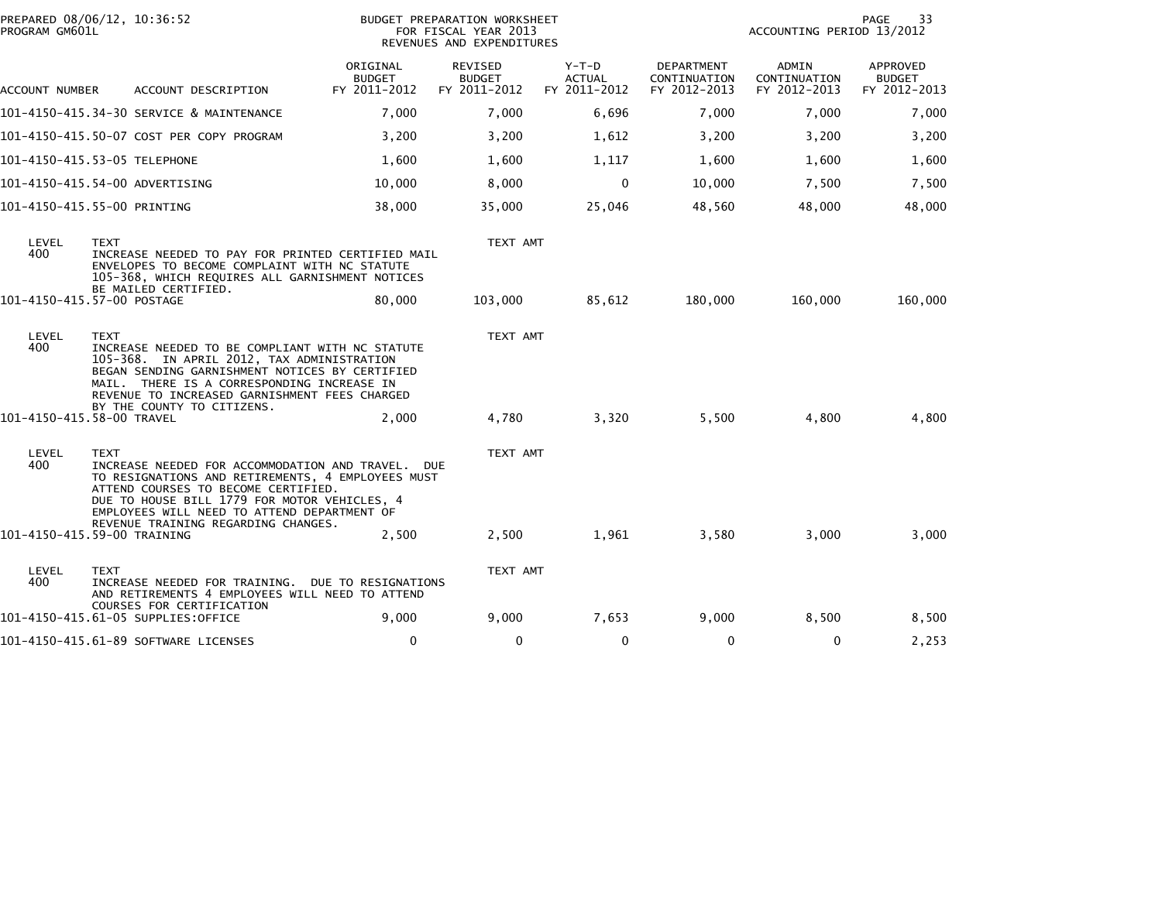| PROGRAM GM601L | PREPARED 08/06/12, 10:36:52                                                                                                                                                                                                                                   | BUDGET PREPARATION WORKSHEET<br>FOR FISCAL YEAR 2013<br>REVENUES AND EXPENDITURES |                                          |                                          |                                            | 33<br>PAGE<br>ACCOUNTING PERIOD 13/2012 |                                           |  |
|----------------|---------------------------------------------------------------------------------------------------------------------------------------------------------------------------------------------------------------------------------------------------------------|-----------------------------------------------------------------------------------|------------------------------------------|------------------------------------------|--------------------------------------------|-----------------------------------------|-------------------------------------------|--|
| ACCOUNT NUMBER | ACCOUNT DESCRIPTION                                                                                                                                                                                                                                           | ORIGINAL<br><b>BUDGET</b><br>FY 2011-2012                                         | REVISED<br><b>BUDGET</b><br>FY 2011-2012 | $Y-T-D$<br><b>ACTUAL</b><br>FY 2011-2012 | DEPARTMENT<br>CONTINUATION<br>FY 2012-2013 | ADMIN<br>CONTINUATION<br>FY 2012-2013   | APPROVED<br><b>BUDGET</b><br>FY 2012-2013 |  |
|                | 101-4150-415.34-30 SERVICE & MAINTENANCE                                                                                                                                                                                                                      | 7,000                                                                             | 7,000                                    | 6,696                                    | 7,000                                      | 7,000                                   | 7,000                                     |  |
|                | 101-4150-415.50-07 COST PER COPY PROGRAM                                                                                                                                                                                                                      | 3,200                                                                             | 3,200                                    | 1,612                                    | 3,200                                      | 3,200                                   | 3,200                                     |  |
|                | 101-4150-415.53-05 TELEPHONE                                                                                                                                                                                                                                  | 1,600                                                                             | 1,600                                    | 1,117                                    | 1,600                                      | 1,600                                   | 1,600                                     |  |
|                | 101-4150-415.54-00 ADVERTISING                                                                                                                                                                                                                                | 10,000                                                                            | 8,000                                    | $\mathbf 0$                              | 10,000                                     | 7,500                                   | 7,500                                     |  |
|                | 101-4150-415.55-00 PRINTING                                                                                                                                                                                                                                   | 38,000                                                                            | 35,000                                   | 25,046                                   | 48,560                                     | 48,000                                  | 48,000                                    |  |
| LEVEL<br>400   | <b>TEXT</b><br>INCREASE NEEDED TO PAY FOR PRINTED CERTIFIED MAIL<br>ENVELOPES TO BECOME COMPLAINT WITH NC STATUTE<br>105-368, WHICH REQUIRES ALL GARNISHMENT NOTICES<br>BE MAILED CERTIFIED.                                                                  |                                                                                   |                                          |                                          |                                            |                                         |                                           |  |
|                | 101-4150-415.57-00 POSTAGE                                                                                                                                                                                                                                    | 80,000                                                                            | 103,000                                  | 85,612                                   | 180,000                                    | 160,000                                 | 160,000                                   |  |
| LEVEL<br>400   | <b>TEXT</b><br>INCREASE NEEDED TO BE COMPLIANT WITH NC STATUTE<br>105-368. IN APRIL 2012, TAX ADMINISTRATION<br>BEGAN SENDING GARNISHMENT NOTICES BY CERTIFIED<br>MAIL. THERE IS A CORRESPONDING INCREASE IN<br>REVENUE TO INCREASED GARNISHMENT FEES CHARGED |                                                                                   | TEXT AMT                                 |                                          |                                            |                                         |                                           |  |
|                | BY THE COUNTY TO CITIZENS.<br>101-4150-415.58-00 TRAVEL                                                                                                                                                                                                       | 2,000                                                                             | 4,780                                    | 3,320                                    | 5,500                                      | 4,800                                   | 4,800                                     |  |
| LEVEL<br>400   | <b>TEXT</b><br>INCREASE NEEDED FOR ACCOMMODATION AND TRAVEL. DUE<br>TO RESIGNATIONS AND RETIREMENTS, 4 EMPLOYEES MUST<br>ATTEND COURSES TO BECOME CERTIFIED.<br>DUE TO HOUSE BILL 1779 FOR MOTOR VEHICLES, 4<br>EMPLOYEES WILL NEED TO ATTEND DEPARTMENT OF   | TEXT AMT                                                                          |                                          |                                          |                                            |                                         |                                           |  |
|                | REVENUE TRAINING REGARDING CHANGES.<br>101-4150-415.59-00 TRAINING                                                                                                                                                                                            | 2,500                                                                             | 2,500                                    | 1,961                                    | 3,580                                      | 3,000                                   | 3,000                                     |  |
| LEVEL<br>400   | <b>TEXT</b><br>INCREASE NEEDED FOR TRAINING. DUE TO RESIGNATIONS<br>AND RETIREMENTS 4 EMPLOYEES WILL NEED TO ATTEND<br>COURSES FOR CERTIFICATION                                                                                                              |                                                                                   | TEXT AMT                                 |                                          |                                            |                                         |                                           |  |
|                | 101-4150-415.61-05 SUPPLIES:OFFICE                                                                                                                                                                                                                            | 9.000                                                                             | 9,000                                    | 7,653                                    | 9,000                                      | 8,500                                   | 8,500                                     |  |
|                | 101-4150-415.61-89 SOFTWARE LICENSES                                                                                                                                                                                                                          | $\Omega$                                                                          | $\mathbf{0}$                             | $\mathbf{0}$                             | $\mathbf 0$                                | $\mathbf{0}$                            | 2,253                                     |  |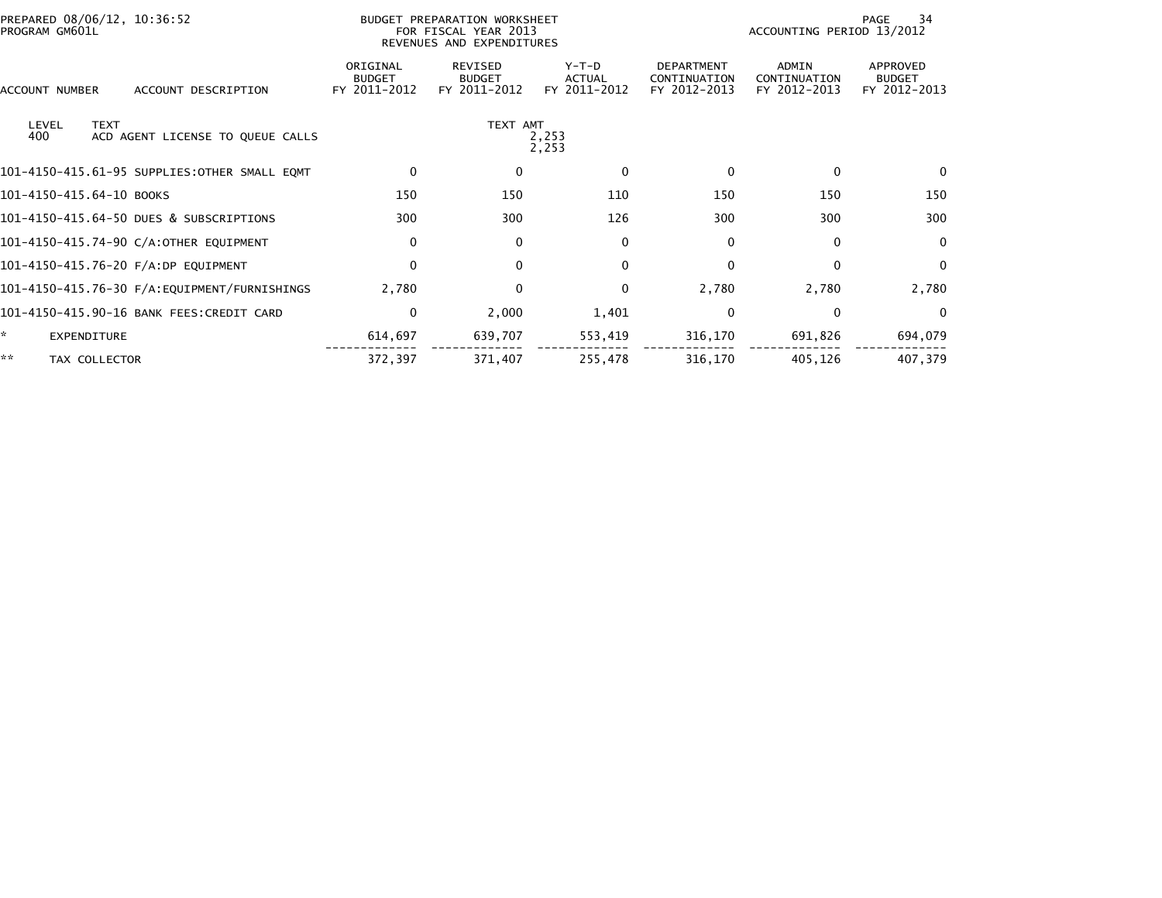| PREPARED 08/06/12, 10:36:52<br>PROGRAM GM601L                   | BUDGET PREPARATION WORKSHEET<br>FOR FISCAL YEAR 2013<br>REVENUES AND EXPENDITURES |                                                 |                                          | 34<br>PAGE<br>ACCOUNTING PERIOD 13/2012           |                                              |                                           |  |
|-----------------------------------------------------------------|-----------------------------------------------------------------------------------|-------------------------------------------------|------------------------------------------|---------------------------------------------------|----------------------------------------------|-------------------------------------------|--|
| ACCOUNT NUMBER<br>ACCOUNT DESCRIPTION                           | ORIGINAL<br><b>BUDGET</b><br>FY 2011-2012                                         | <b>REVISED</b><br><b>BUDGET</b><br>FY 2011-2012 | $Y-T-D$<br><b>ACTUAL</b><br>FY 2011-2012 | <b>DEPARTMENT</b><br>CONTINUATION<br>FY 2012-2013 | <b>ADMIN</b><br>CONTINUATION<br>FY 2012-2013 | APPROVED<br><b>BUDGET</b><br>FY 2012-2013 |  |
| LEVEL<br><b>TEXT</b><br>400<br>ACD AGENT LICENSE TO QUEUE CALLS | TEXT AMT<br>2,253<br>2,253                                                        |                                                 |                                          |                                                   |                                              |                                           |  |
| 101-4150-415.61-95 SUPPLIES:OTHER SMALL EQMT                    | 0                                                                                 | 0                                               | $\Omega$                                 | 0                                                 | $\Omega$                                     | $\mathbf{0}$                              |  |
| 101-4150-415.64-10 BOOKS                                        | 150                                                                               | 150                                             | 110                                      | 150                                               | 150                                          | 150                                       |  |
| 101-4150-415.64-50 DUES & SUBSCRIPTIONS                         | 300                                                                               | 300                                             | 126                                      | 300                                               | 300                                          | 300                                       |  |
| 101-4150-415.74-90 C/A:OTHER EQUIPMENT                          | $\mathbf 0$                                                                       | $\mathbf 0$                                     | $\mathbf{0}$                             | 0                                                 | $\Omega$                                     | $\mathbf{0}$                              |  |
| 101-4150-415.76-20 F/A:DP EQUIPMENT                             | $\mathbf{0}$                                                                      | $\mathbf{0}$                                    | $\mathbf{0}$                             | $\Omega$                                          | $\Omega$                                     | $\mathbf{0}$                              |  |
|                                                                 | 2,780                                                                             | $\Omega$                                        | $\Omega$                                 | 2,780                                             | 2,780                                        | 2,780                                     |  |
| 101-4150-415.90-16 BANK FEES:CREDIT CARD                        | 0                                                                                 | 2,000                                           | 1,401                                    | 0                                                 | 0                                            | $\Omega$                                  |  |
| EXPENDITURE                                                     | 614,697                                                                           | 639,707                                         | 553,419                                  | 316,170                                           | 691,826                                      | 694,079                                   |  |
| **<br>TAX COLLECTOR                                             | 372,397                                                                           | 371,407                                         | 255,478                                  | 316,170                                           | 405,126                                      | 407,379                                   |  |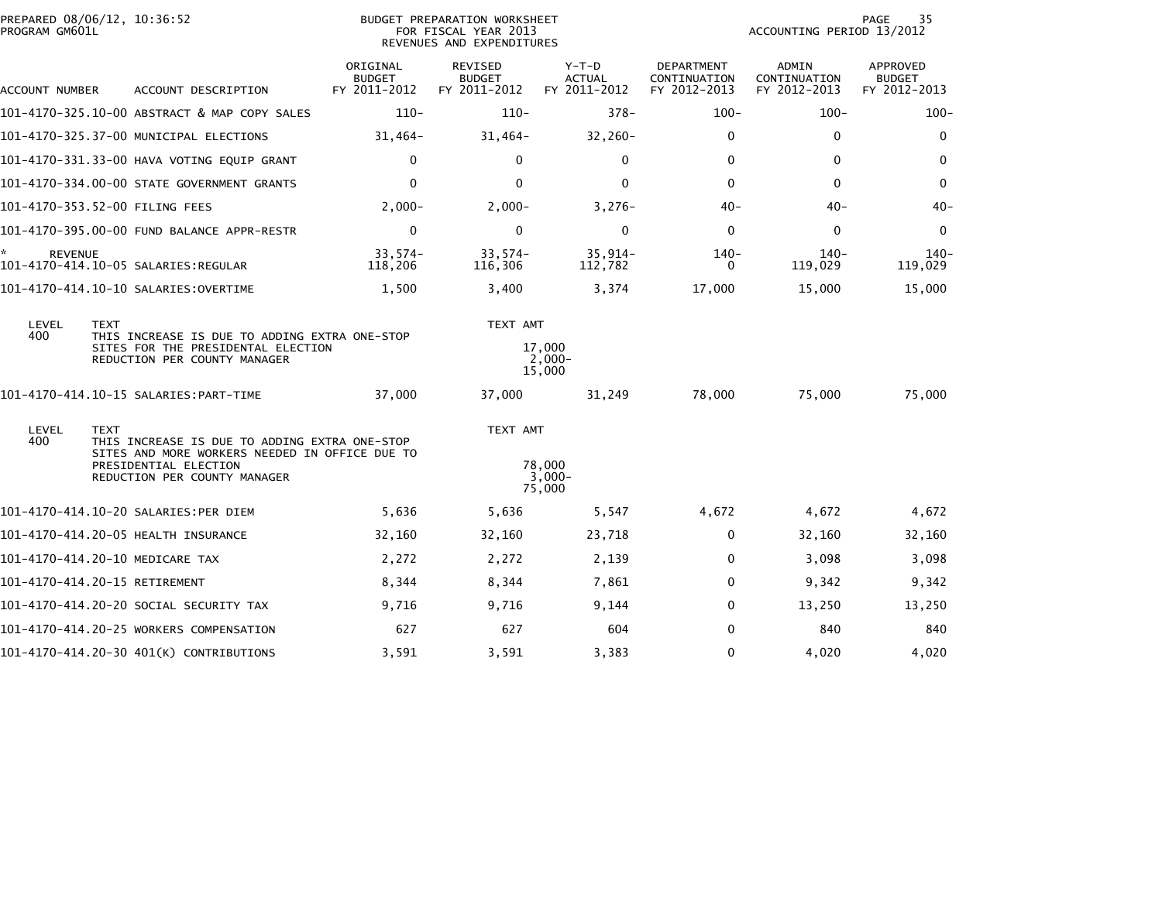| PREPARED 08/06/12, 10:36:52<br>PROGRAM GM601L               |                                      |                                                                                                                                 |                                           | <b>BUDGET PREPARATION WORKSHEET</b><br>FOR FISCAL YEAR 2013<br>REVENUES AND EXPENDITURES |                                        | 35<br>PAGE<br>ACCOUNTING PERIOD 13/2012           |                                              |                                           |  |
|-------------------------------------------------------------|--------------------------------------|---------------------------------------------------------------------------------------------------------------------------------|-------------------------------------------|------------------------------------------------------------------------------------------|----------------------------------------|---------------------------------------------------|----------------------------------------------|-------------------------------------------|--|
| ACCOUNT NUMBER                                              |                                      | ACCOUNT DESCRIPTION                                                                                                             | ORIGINAL<br><b>BUDGET</b><br>FY 2011-2012 | <b>REVISED</b><br><b>BUDGET</b><br>FY 2011-2012                                          | Y-T-D<br><b>ACTUAL</b><br>FY 2011-2012 | <b>DEPARTMENT</b><br>CONTINUATION<br>FY 2012-2013 | <b>ADMIN</b><br>CONTINUATION<br>FY 2012-2013 | APPROVED<br><b>BUDGET</b><br>FY 2012-2013 |  |
|                                                             |                                      | 101-4170-325.10-00 ABSTRACT & MAP COPY SALES                                                                                    | $110-$                                    | $110 -$                                                                                  | $378 -$                                | $100 -$                                           | $100 -$                                      | $100 -$                                   |  |
|                                                             |                                      | 101-4170-325.37-00 MUNICIPAL ELECTIONS                                                                                          | $31,464-$                                 | $31,464-$                                                                                | $32,260-$                              | 0                                                 | 0                                            | $\mathbf 0$                               |  |
|                                                             |                                      | 101-4170-331.33-00 HAVA VOTING EQUIP GRANT                                                                                      | $\mathbf 0$                               | $\mathbf{0}$                                                                             | $\mathbf{0}$                           | $\mathbf{0}$                                      | $\mathbf{0}$                                 | $\mathbf{0}$                              |  |
|                                                             |                                      | 101-4170-334.00-00 STATE GOVERNMENT GRANTS                                                                                      | $\mathbf{0}$                              | $\mathbf{0}$                                                                             | $\Omega$                               | $\Omega$                                          | $\Omega$                                     | $\mathbf{0}$                              |  |
| 101-4170-353.52-00 FILING FEES                              |                                      |                                                                                                                                 | $2,000-$                                  | $2,000-$                                                                                 | $3,276-$                               | $40 -$                                            | $40 -$                                       | $40 -$                                    |  |
|                                                             |                                      | 101-4170-395.00-00 FUND BALANCE APPR-RESTR                                                                                      | $\mathbf 0$                               | $\mathbf 0$                                                                              | $\mathbf 0$                            | $\mathbf 0$                                       | $\mathbf 0$                                  | $\mathbf 0$                               |  |
| ÷.<br><b>REVENUE</b><br>101–4170–414.10–05 SALARIES:REGULAR |                                      |                                                                                                                                 | $33,574-$<br>118,206                      | $33,574-$<br>116,306                                                                     | $35,914-$<br>112,782                   | $140-$<br>$\Omega$                                | $140-$<br>119,029                            | $140-$<br>119,029                         |  |
| 101-4170-414.10-10 SALARIES:OVERTIME                        |                                      |                                                                                                                                 | 1,500                                     | 3,400                                                                                    | 3,374                                  | 17,000                                            | 15,000                                       | 15,000                                    |  |
| LEVEL<br>400                                                | <b>TEXT</b>                          | THIS INCREASE IS DUE TO ADDING EXTRA ONE-STOP<br>SITES FOR THE PRESIDENTAL ELECTION<br>REDUCTION PER COUNTY MANAGER             |                                           | TEXT AMT                                                                                 | 17,000<br>$2,000-$<br>15,000           |                                                   |                                              |                                           |  |
|                                                             |                                      |                                                                                                                                 | 37,000                                    | 37,000                                                                                   | 31,249                                 | 78,000                                            | 75,000                                       | 75,000                                    |  |
| LEVEL<br>400                                                | <b>TEXT</b><br>PRESIDENTIAL ELECTION | THIS INCREASE IS DUE TO ADDING EXTRA ONE-STOP<br>SITES AND MORE WORKERS NEEDED IN OFFICE DUE TO<br>REDUCTION PER COUNTY MANAGER |                                           | TEXT AMT                                                                                 | 78,000<br>3,000-<br>75,000             |                                                   |                                              |                                           |  |
| 101-4170-414.10-20 SALARIES:PER DIEM                        |                                      |                                                                                                                                 | 5,636                                     | 5,636                                                                                    | 5,547                                  | 4,672                                             | 4,672                                        | 4,672                                     |  |
| 101-4170-414.20-05 HEALTH INSURANCE                         |                                      |                                                                                                                                 | 32,160                                    | 32,160                                                                                   | 23,718                                 | 0                                                 | 32,160                                       | 32,160                                    |  |
| 101-4170-414.20-10 MEDICARE TAX                             |                                      |                                                                                                                                 | 2,272                                     | 2,272                                                                                    | 2,139                                  | $\mathbf 0$                                       | 3,098                                        | 3,098                                     |  |
| 101-4170-414.20-15 RETIREMENT                               |                                      |                                                                                                                                 | 8,344                                     | 8,344                                                                                    | 7,861                                  | $\mathbf{0}$                                      | 9,342                                        | 9,342                                     |  |
|                                                             |                                      | 101–4170–414.20–20 SOCIAL SECURITY TAX                                                                                          | 9,716                                     | 9,716                                                                                    | 9,144                                  | $\Omega$                                          | 13,250                                       | 13,250                                    |  |
|                                                             |                                      | 101-4170-414.20-25 WORKERS COMPENSATION                                                                                         | 627                                       | 627                                                                                      | 604                                    | $\Omega$                                          | 840                                          | 840                                       |  |
|                                                             |                                      | 101-4170-414.20-30 401(K) CONTRIBUTIONS                                                                                         | 3,591                                     | 3,591                                                                                    | 3,383                                  | $\mathbf 0$                                       | 4,020                                        | 4,020                                     |  |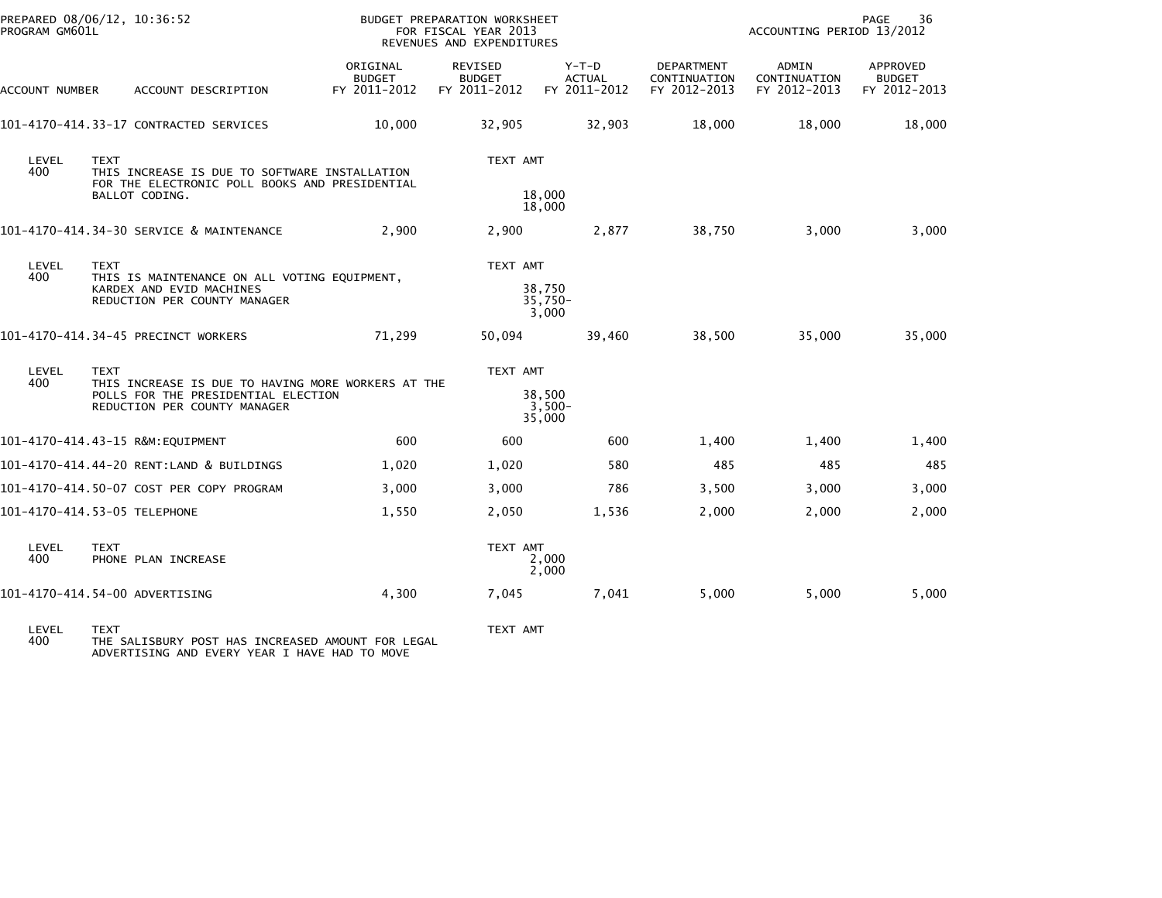| PREPARED 08/06/12, 10:36:52<br>PROGRAM GM601L |                                                                                                                                          |                                                                                                                   | BUDGET PREPARATION WORKSHEET<br>FOR FISCAL YEAR 2013<br>REVENUES AND EXPENDITURES |                                          | 36<br>PAGE<br>ACCOUNTING PERIOD 13/2012  |                                            |                                       |                                           |
|-----------------------------------------------|------------------------------------------------------------------------------------------------------------------------------------------|-------------------------------------------------------------------------------------------------------------------|-----------------------------------------------------------------------------------|------------------------------------------|------------------------------------------|--------------------------------------------|---------------------------------------|-------------------------------------------|
| <b>ACCOUNT NUMBER</b>                         |                                                                                                                                          | ACCOUNT DESCRIPTION                                                                                               | ORIGINAL<br><b>BUDGET</b><br>FY 2011-2012                                         | REVISED<br><b>BUDGET</b><br>FY 2011-2012 | $Y-T-D$<br><b>ACTUAL</b><br>FY 2011-2012 | DEPARTMENT<br>CONTINUATION<br>FY 2012-2013 | ADMIN<br>CONTINUATION<br>FY 2012-2013 | APPROVED<br><b>BUDGET</b><br>FY 2012-2013 |
|                                               |                                                                                                                                          | 101-4170-414.33-17 CONTRACTED SERVICES                                                                            | 10,000                                                                            | 32,905                                   | 32,903                                   | 18,000                                     | 18,000                                | 18,000                                    |
| LEVEL<br>400                                  | <b>TEXT</b>                                                                                                                              | THIS INCREASE IS DUE TO SOFTWARE INSTALLATION<br>FOR THE ELECTRONIC POLL BOOKS AND PRESIDENTIAL<br>BALLOT CODING. |                                                                                   | TEXT AMT                                 | 18,000<br>18,000                         |                                            |                                       |                                           |
|                                               |                                                                                                                                          | 101-4170-414.34-30 SERVICE & MAINTENANCE                                                                          | 2,900                                                                             | 2,900                                    | 2,877                                    | 38,750                                     | 3,000                                 | 3,000                                     |
| LEVEL<br>400                                  | <b>TEXT</b>                                                                                                                              | THIS IS MAINTENANCE ON ALL VOTING EQUIPMENT,<br>KARDEX AND EVID MACHINES<br>REDUCTION PER COUNTY MANAGER          |                                                                                   | TEXT AMT<br>38,750<br>$35,750-$<br>3,000 |                                          |                                            |                                       |                                           |
|                                               |                                                                                                                                          | 101-4170-414.34-45 PRECINCT WORKERS                                                                               | 71,299                                                                            | 50,094                                   | 39,460                                   | 38,500                                     | 35,000                                | 35,000                                    |
| LEVEL<br>400                                  | <b>TEXT</b><br>THIS INCREASE IS DUE TO HAVING MORE WORKERS AT THE<br>POLLS FOR THE PRESIDENTIAL ELECTION<br>REDUCTION PER COUNTY MANAGER |                                                                                                                   |                                                                                   | TEXT AMT                                 | 38,500<br>$3,500-$<br>35,000             |                                            |                                       |                                           |
|                                               |                                                                                                                                          | 101-4170-414.43-15 R&M:EQUIPMENT                                                                                  | 600                                                                               | 600                                      | 600                                      | 1,400                                      | 1,400                                 | 1,400                                     |
|                                               |                                                                                                                                          | 101-4170-414.44-20 RENT:LAND & BUILDINGS                                                                          | 1,020                                                                             | 1,020                                    | 580                                      | 485                                        | 485                                   | 485                                       |
|                                               |                                                                                                                                          | 101-4170-414.50-07 COST PER COPY PROGRAM                                                                          | 3,000                                                                             | 3,000                                    | 786                                      | 3,500                                      | 3,000                                 | 3,000                                     |
| 101-4170-414.53-05 TELEPHONE                  |                                                                                                                                          |                                                                                                                   | 1,550                                                                             | 2,050                                    | 1,536                                    | 2,000                                      | 2,000                                 | 2,000                                     |
| LEVEL<br>400                                  | <b>TEXT</b>                                                                                                                              | PHONE PLAN INCREASE                                                                                               | TEXT AMT<br>2,000<br>2,000                                                        |                                          |                                          |                                            |                                       |                                           |
| 101-4170-414.54-00 ADVERTISING                |                                                                                                                                          |                                                                                                                   | 4,300                                                                             | 7,045                                    | 7,041                                    | 5,000                                      | 5,000                                 | 5,000                                     |
|                                               |                                                                                                                                          |                                                                                                                   |                                                                                   |                                          |                                          |                                            |                                       |                                           |

LEVEL TEXT TEXT AMT 400 THE SALISBURY POST HAS INCREASED AMOUNT FOR LEGAL ADVERTISING AND EVERY YEAR I HAVE HAD TO MOVE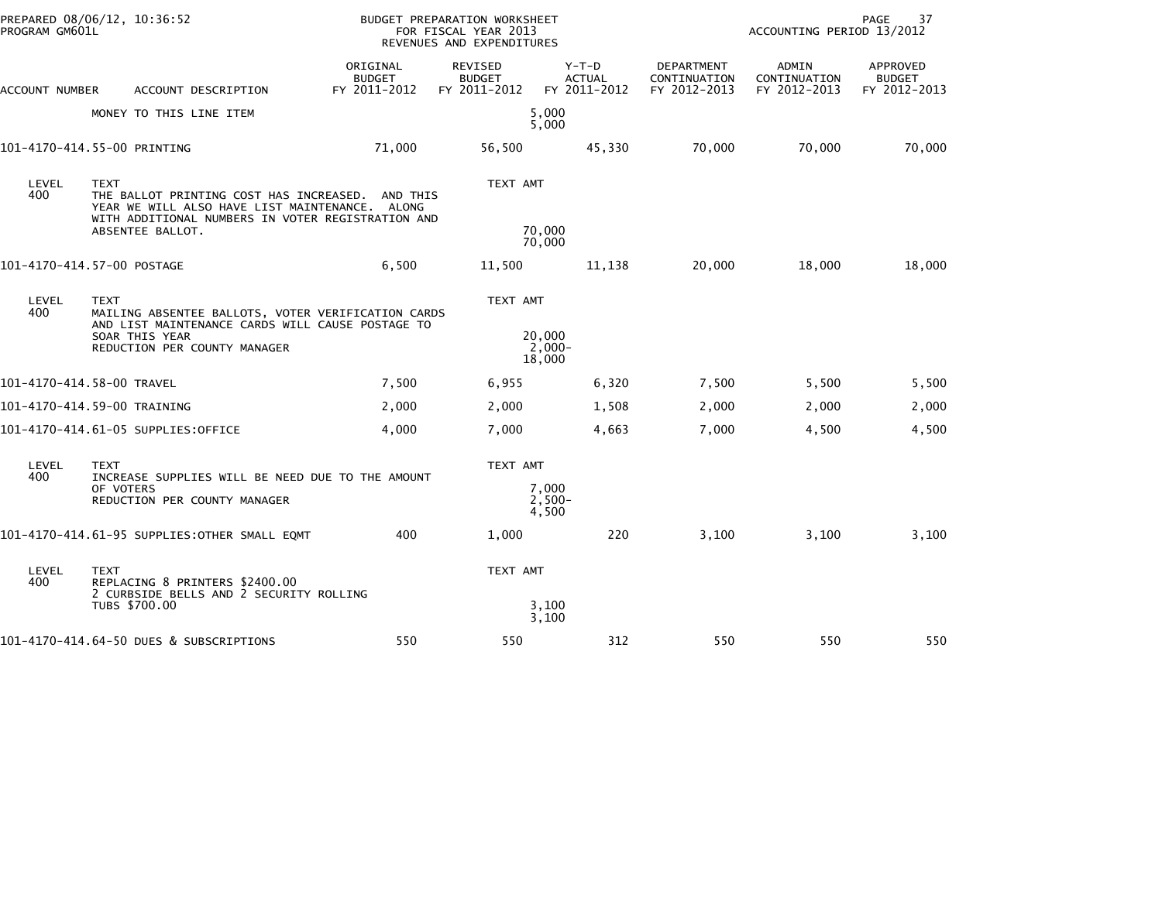| PREPARED 08/06/12, 10:36:52<br>PROGRAM GM601L |                                                                                                                                                                                   | BUDGET PREPARATION WORKSHEET<br>FOR FISCAL YEAR 2013<br>REVENUES AND EXPENDITURES |                                          |                                        |                                            | 37<br>PAGE<br>ACCOUNTING PERIOD 13/2012      |                                           |  |
|-----------------------------------------------|-----------------------------------------------------------------------------------------------------------------------------------------------------------------------------------|-----------------------------------------------------------------------------------|------------------------------------------|----------------------------------------|--------------------------------------------|----------------------------------------------|-------------------------------------------|--|
| ACCOUNT NUMBER                                | ACCOUNT DESCRIPTION                                                                                                                                                               | ORIGINAL<br><b>BUDGET</b><br>FY 2011-2012                                         | REVISED<br><b>BUDGET</b><br>FY 2011-2012 | Y-T-D<br><b>ACTUAL</b><br>FY 2011-2012 | DEPARTMENT<br>CONTINUATION<br>FY 2012-2013 | <b>ADMIN</b><br>CONTINUATION<br>FY 2012-2013 | APPROVED<br><b>BUDGET</b><br>FY 2012-2013 |  |
|                                               | MONEY TO THIS LINE ITEM                                                                                                                                                           |                                                                                   |                                          | 5,000<br>5,000                         |                                            |                                              |                                           |  |
|                                               | 101-4170-414.55-00 PRINTING                                                                                                                                                       | 71,000                                                                            | 56,500                                   | 45,330                                 | 70,000                                     | 70,000                                       | 70,000                                    |  |
| LEVEL<br>400                                  | <b>TEXT</b><br>THE BALLOT PRINTING COST HAS INCREASED.<br>YEAR WE WILL ALSO HAVE LIST MAINTENANCE. ALONG<br>WITH ADDITIONAL NUMBERS IN VOTER REGISTRATION AND<br>ABSENTEE BALLOT. | AND THIS                                                                          | TEXT AMT                                 | 70,000<br>70,000                       |                                            |                                              |                                           |  |
|                                               | 101-4170-414.57-00 POSTAGE                                                                                                                                                        | 6,500                                                                             | 11,500                                   | 11,138                                 | 20,000                                     | 18,000                                       | 18,000                                    |  |
| LEVEL<br>400                                  | <b>TEXT</b><br>MAILING ABSENTEE BALLOTS, VOTER VERIFICATION CARDS<br>AND LIST MAINTENANCE CARDS WILL CAUSE POSTAGE TO<br>SOAR THIS YEAR<br>REDUCTION PER COUNTY MANAGER           |                                                                                   | TEXT AMT                                 | 20,000<br>$2,000 -$<br>18,000          |                                            |                                              |                                           |  |
|                                               | 101-4170-414.58-00 TRAVEL                                                                                                                                                         | 7,500                                                                             | 6,955                                    | 6,320                                  | 7,500                                      | 5,500                                        | 5,500                                     |  |
|                                               | 101-4170-414.59-00 TRAINING                                                                                                                                                       | 2,000                                                                             | 2,000                                    | 1,508                                  | 2,000                                      | 2,000                                        | 2,000                                     |  |
|                                               | 101-4170-414.61-05 SUPPLIES:OFFICE                                                                                                                                                | 4,000                                                                             | 7,000                                    | 4,663                                  | 7,000                                      | 4,500                                        | 4,500                                     |  |
| LEVEL<br>400                                  | <b>TEXT</b><br>INCREASE SUPPLIES WILL BE NEED DUE TO THE AMOUNT<br>OF VOTERS<br>REDUCTION PER COUNTY MANAGER                                                                      |                                                                                   | TEXT AMT                                 | 7,000<br>$2,500-$<br>4,500             |                                            |                                              |                                           |  |
|                                               | 101-4170-414.61-95 SUPPLIES: OTHER SMALL EQMT                                                                                                                                     | 400                                                                               | 1,000                                    | 220                                    | 3,100                                      | 3,100                                        | 3,100                                     |  |
| LEVEL<br>400                                  | <b>TEXT</b><br>REPLACING 8 PRINTERS \$2400.00<br>2 CURBSIDE BELLS AND 2 SECURITY ROLLING                                                                                          |                                                                                   | TEXT AMT                                 |                                        |                                            |                                              |                                           |  |
|                                               | TUBS \$700.00                                                                                                                                                                     |                                                                                   |                                          | 3,100<br>3,100                         |                                            |                                              |                                           |  |
|                                               | 101-4170-414.64-50 DUES & SUBSCRIPTIONS                                                                                                                                           | 550                                                                               | 550                                      | 312                                    | 550                                        | 550                                          | 550                                       |  |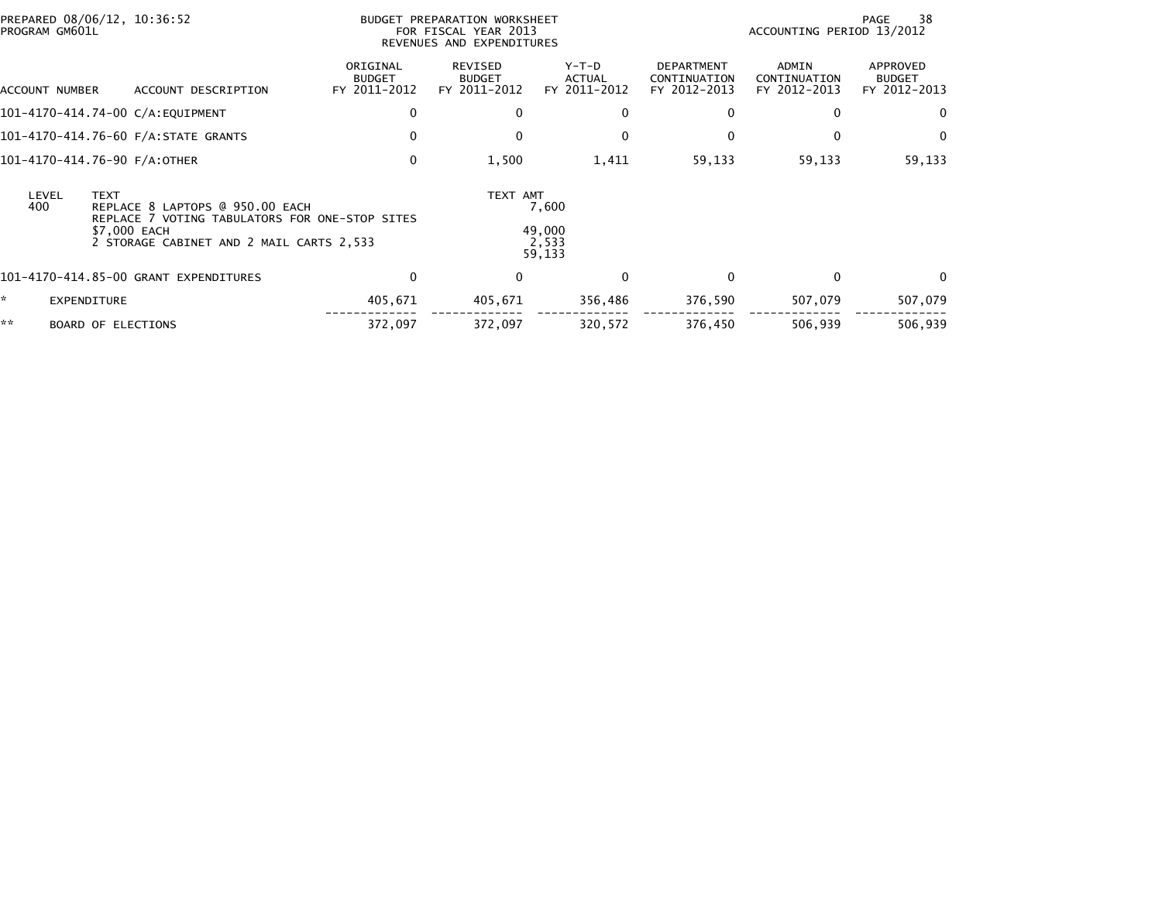| PREPARED 08/06/12, 10:36:52<br>PROGRAM GM601L                                                                                                                                |                                       |                                           | BUDGET PREPARATION WORKSHEET<br>FOR FISCAL YEAR 2013<br>REVENUES AND EXPENDITURES |                                    |                                                   | ACCOUNTING PERIOD 13/2012             | 38<br>PAGE                                |
|------------------------------------------------------------------------------------------------------------------------------------------------------------------------------|---------------------------------------|-------------------------------------------|-----------------------------------------------------------------------------------|------------------------------------|---------------------------------------------------|---------------------------------------|-------------------------------------------|
| ACCOUNT NUMBER                                                                                                                                                               | ACCOUNT DESCRIPTION                   | ORIGINAL<br><b>BUDGET</b><br>FY 2011-2012 | REVISED<br><b>BUDGET</b><br>FY 2011-2012                                          | $Y-T-D$<br>ACTUAL<br>FY 2011-2012  | <b>DEPARTMENT</b><br>CONTINUATION<br>FY 2012-2013 | ADMIN<br>CONTINUATION<br>FY 2012-2013 | APPROVED<br><b>BUDGET</b><br>FY 2012-2013 |
|                                                                                                                                                                              | 101-4170-414.74-00 C/A:EQUIPMENT      | 0                                         | $\mathbf{0}$                                                                      | 0                                  | $\mathbf{0}$                                      | 0                                     | 0                                         |
|                                                                                                                                                                              | 101-4170-414.76-60 F/A:STATE GRANTS   | 0                                         | 0                                                                                 | 0                                  | 0                                                 | 0                                     | 0                                         |
| 101-4170-414.76-90 F/A:OTHER                                                                                                                                                 |                                       | 0                                         | 1,500                                                                             | 1,411                              | 59,133                                            | 59,133                                | 59,133                                    |
| LEVEL<br><b>TEXT</b><br>400<br>REPLACE 8 LAPTOPS @ 950.00 EACH<br>REPLACE 7 VOTING TABULATORS FOR ONE-STOP SITES<br>\$7,000 EACH<br>2 STORAGE CABINET AND 2 MAIL CARTS 2,533 |                                       |                                           | TEXT AMT                                                                          | 7,600<br>49,000<br>2,533<br>59,133 |                                                   |                                       |                                           |
|                                                                                                                                                                              | 101-4170-414.85-00 GRANT EXPENDITURES | 0                                         | $\mathbf{0}$                                                                      | $\mathbf{0}$                       | $\mathbf{0}$                                      | $\Omega$                              | $\Omega$                                  |
| ×.<br>EXPENDITURE                                                                                                                                                            |                                       | 405,671                                   | 405,671                                                                           | 356,486                            | 376,590                                           | 507,079                               | 507,079                                   |
| **                                                                                                                                                                           | BOARD OF ELECTIONS                    | 372,097                                   | 372,097                                                                           | 320,572                            | 376,450                                           | 506,939                               | 506,939                                   |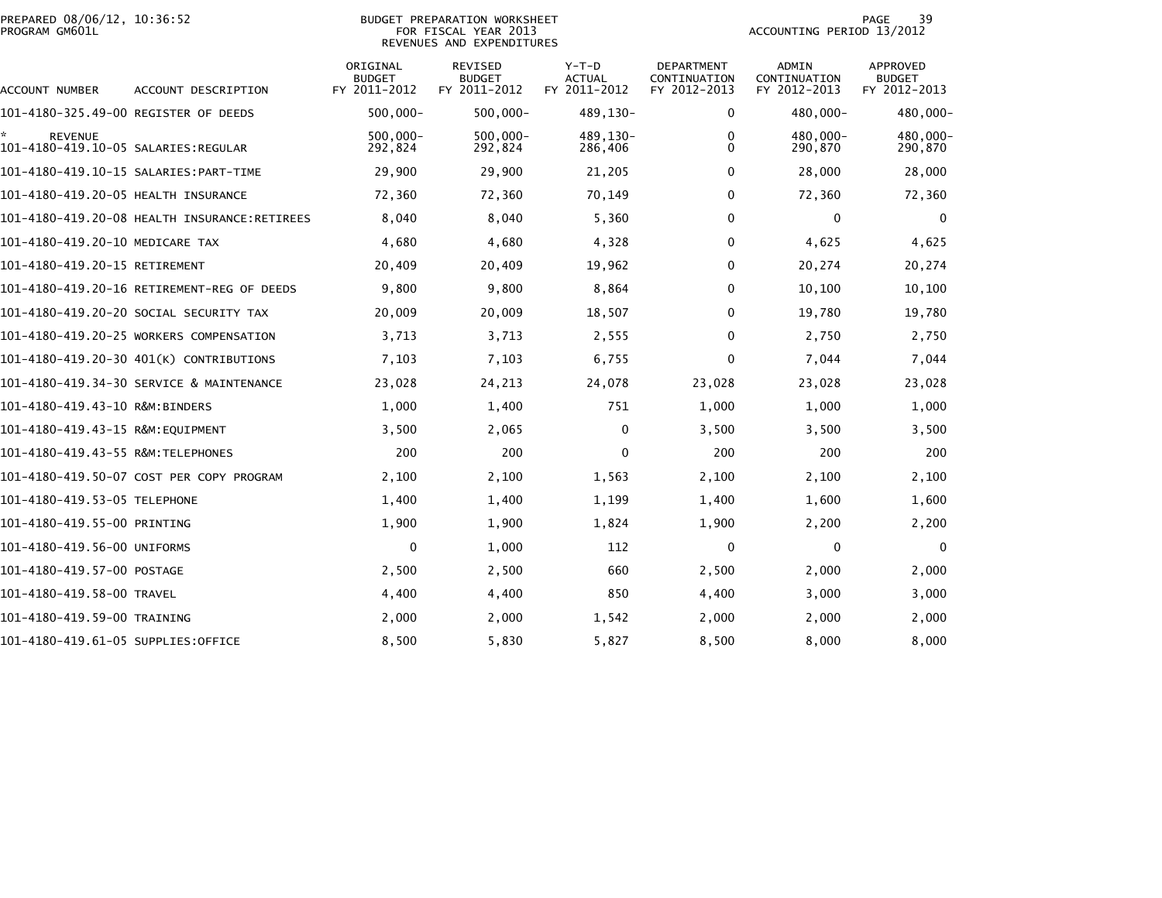|                | PREPARED 08/06/12, 10:36:52 |  |
|----------------|-----------------------------|--|
| PROGRAM GM601L |                             |  |

## BUDGET PREPARATION WORKSHEET<br>FOR FISCAL YEAR 2013 PROGRAM GM601L FOR FISCAL YEAR 2013 ACCOUNTING PERIOD 13/2012REVENUES AND EXPENDITURES

| ACCOUNT NUMBER                                        | ACCOUNT DESCRIPTION                          | ORIGINAL<br><b>BUDGET</b><br>FY 2011-2012 | <b>REVISED</b><br><b>BUDGET</b><br>FY 2011-2012 | $Y-T-D$<br><b>ACTUAL</b><br>FY 2011-2012 | <b>DEPARTMENT</b><br>CONTINUATION<br>FY 2012-2013 | ADMIN<br>CONTINUATION<br>FY 2012-2013 | <b>APPROVED</b><br><b>BUDGET</b><br>FY 2012-2013 |
|-------------------------------------------------------|----------------------------------------------|-------------------------------------------|-------------------------------------------------|------------------------------------------|---------------------------------------------------|---------------------------------------|--------------------------------------------------|
| 101-4180-325.49-00 REGISTER OF DEEDS                  |                                              | $500,000 -$                               | $500,000 -$                                     | 489,130-                                 | 0                                                 | 480,000-                              | 480,000-                                         |
| <b>REVENUE</b><br>101-4180-419.10-05 SALARIES:REGULAR |                                              | $500,000 -$<br>292,824                    | $500,000 -$<br>292,824                          | 489,130-<br>286,406                      | 0<br>$\Omega$                                     | 480.000-<br>290,870                   | 480,000-<br>290,870                              |
|                                                       | 101-4180-419.10-15 SALARIES: PART-TIME       | 29,900                                    | 29,900                                          | 21,205                                   | 0                                                 | 28,000                                | 28,000                                           |
| 101-4180-419.20-05 HEALTH INSURANCE                   |                                              | 72,360                                    | 72,360                                          | 70,149                                   | $\Omega$                                          | 72,360                                | 72,360                                           |
|                                                       | 101-4180-419.20-08 HEALTH INSURANCE:RETIREES | 8,040                                     | 8,040                                           | 5,360                                    | 0                                                 | 0                                     | 0                                                |
| 101-4180-419.20-10 MEDICARE TAX                       |                                              | 4,680                                     | 4,680                                           | 4,328                                    | 0                                                 | 4,625                                 | 4,625                                            |
| 101-4180-419.20-15 RETIREMENT                         |                                              | 20,409                                    | 20,409                                          | 19,962                                   | 0                                                 | 20,274                                | 20,274                                           |
|                                                       | 101-4180-419.20-16 RETIREMENT-REG OF DEEDS   | 9,800                                     | 9,800                                           | 8,864                                    | 0                                                 | 10,100                                | 10,100                                           |
|                                                       | 101-4180-419.20-20 SOCIAL SECURITY TAX       | 20,009                                    | 20,009                                          | 18,507                                   | 0                                                 | 19,780                                | 19,780                                           |
|                                                       | 101-4180-419.20-25 WORKERS COMPENSATION      | 3,713                                     | 3,713                                           | 2,555                                    | 0                                                 | 2,750                                 | 2,750                                            |
|                                                       | 101-4180-419.20-30 401(K) CONTRIBUTIONS      | 7,103                                     | 7,103                                           | 6,755                                    | 0                                                 | 7,044                                 | 7,044                                            |
|                                                       | 101-4180-419.34-30 SERVICE & MAINTENANCE     | 23,028                                    | 24,213                                          | 24,078                                   | 23,028                                            | 23,028                                | 23,028                                           |
| 101-4180-419.43-10 R&M:BINDERS                        |                                              | 1,000                                     | 1,400                                           | 751                                      | 1,000                                             | 1,000                                 | 1,000                                            |
| 101-4180-419.43-15 R&M:EQUIPMENT                      |                                              | 3,500                                     | 2,065                                           | $\mathbf{0}$                             | 3,500                                             | 3,500                                 | 3,500                                            |
| 101-4180-419.43-55 R&M: TELEPHONES                    |                                              | 200                                       | 200                                             | $\mathbf{0}$                             | 200                                               | 200                                   | 200                                              |
|                                                       | 101-4180-419.50-07 COST PER COPY PROGRAM     | 2,100                                     | 2,100                                           | 1,563                                    | 2,100                                             | 2,100                                 | 2,100                                            |
| 101-4180-419.53-05 TELEPHONE                          |                                              | 1,400                                     | 1,400                                           | 1,199                                    | 1,400                                             | 1,600                                 | 1,600                                            |
| 101-4180-419.55-00 PRINTING                           |                                              | 1,900                                     | 1,900                                           | 1,824                                    | 1,900                                             | 2,200                                 | 2,200                                            |
| 101-4180-419.56-00 UNIFORMS                           |                                              | 0                                         | 1,000                                           | 112                                      | 0                                                 | 0                                     | 0                                                |
| 101–4180–419.57–00 POSTAGE                            |                                              | 2,500                                     | 2,500                                           | 660                                      | 2,500                                             | 2,000                                 | 2,000                                            |
| 101–4180–419.58–00 TRAVEL                             |                                              | 4,400                                     | 4,400                                           | 850                                      | 4,400                                             | 3,000                                 | 3,000                                            |
| 101-4180-419.59-00 TRAINING                           |                                              | 2,000                                     | 2,000                                           | 1.542                                    | 2,000                                             | 2,000                                 | 2,000                                            |
| 101-4180-419.61-05 SUPPLIES:OFFICE                    |                                              | 8,500                                     | 5,830                                           | 5,827                                    | 8,500                                             | 8,000                                 | 8,000                                            |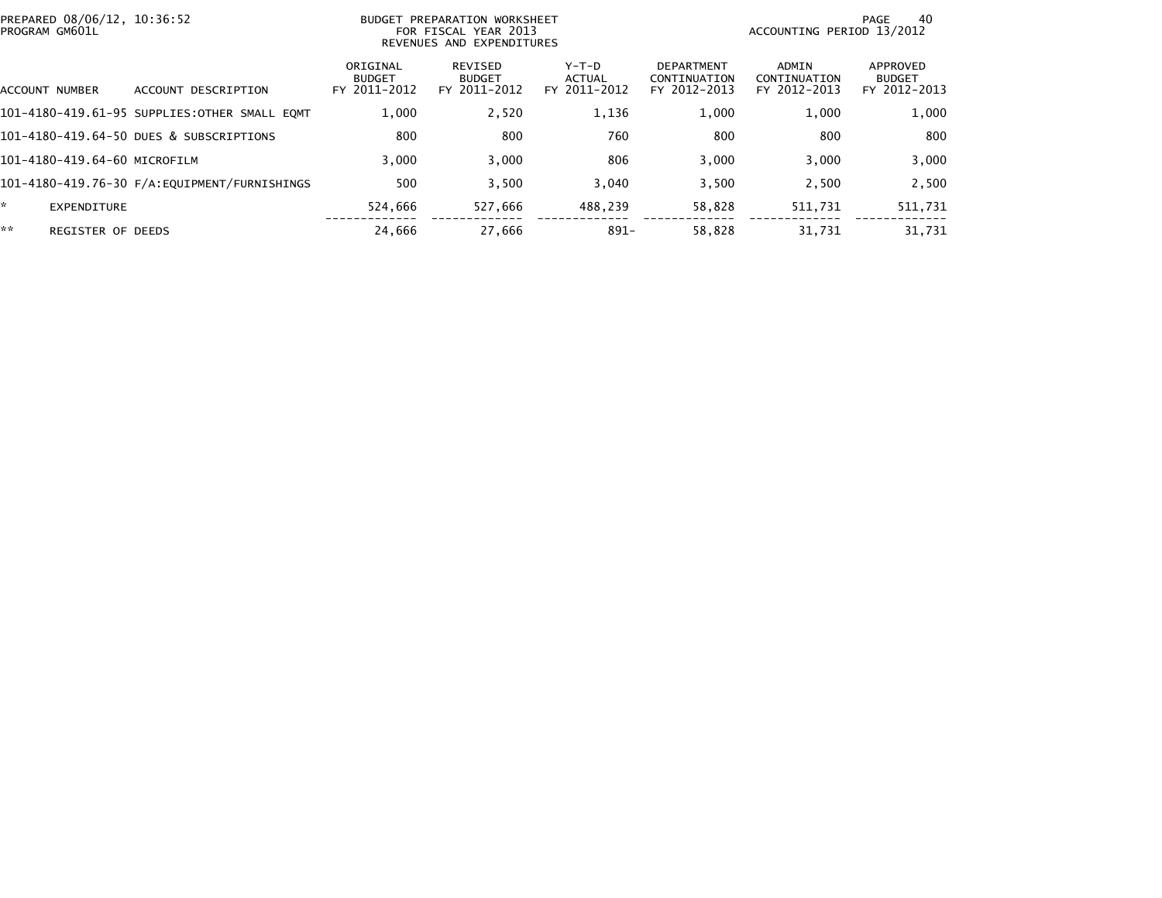|    | PREPARED 08/06/12, 10:36:52<br>PROGRAM GM601L |                                              |                                           | BUDGET PREPARATION WORKSHEET<br>FOR FISCAL YEAR 2013<br>REVENUES AND EXPENDITURES | ACCOUNTING PERIOD 13/2012              | 40<br>PAGE                                        |                                       |                                           |
|----|-----------------------------------------------|----------------------------------------------|-------------------------------------------|-----------------------------------------------------------------------------------|----------------------------------------|---------------------------------------------------|---------------------------------------|-------------------------------------------|
|    | ACCOUNT NUMBER                                | DESCRIPTION<br><b>ACCOUNT</b>                | ORIGINAL<br><b>BUDGET</b><br>FY 2011-2012 | REVISED<br><b>BUDGET</b><br>FY 2011-2012                                          | Y-T-D<br><b>ACTUAL</b><br>FY 2011-2012 | <b>DEPARTMENT</b><br>CONTINUATION<br>FY 2012-2013 | ADMIN<br>CONTINUATION<br>FY 2012-2013 | APPROVED<br><b>BUDGET</b><br>FY 2012-2013 |
|    |                                               | 101-4180-419.61-95 SUPPLIES:OTHER SMALL EQMT | 1,000                                     | 2,520                                                                             | 1,136                                  | 1,000                                             | 1,000                                 | 1,000                                     |
|    |                                               | 101-4180-419.64-50 DUES & SUBSCRIPTIONS      | 800                                       | 800                                                                               | 760                                    | 800                                               | 800                                   | 800                                       |
|    | 101-4180-419.64-60 MICROFILM                  |                                              | 3.000                                     | 3.000                                                                             | 806                                    | 3.000                                             | 3.000                                 | 3,000                                     |
|    |                                               | 101-4180-419.76-30 F/A:EQUIPMENT/FURNISHINGS | 500                                       | 3,500                                                                             | 3,040                                  | 3,500                                             | 2,500                                 | 2,500                                     |
| ×. | EXPENDITURE                                   |                                              | 524,666                                   | 527,666                                                                           | 488,239                                | 58,828                                            | 511,731                               | 511,731                                   |
| ** | <b>REGISTER OF DEEDS</b>                      |                                              | 24,666                                    | 27.666                                                                            | $891 -$                                | 58.828                                            | 31.731                                | 31.731                                    |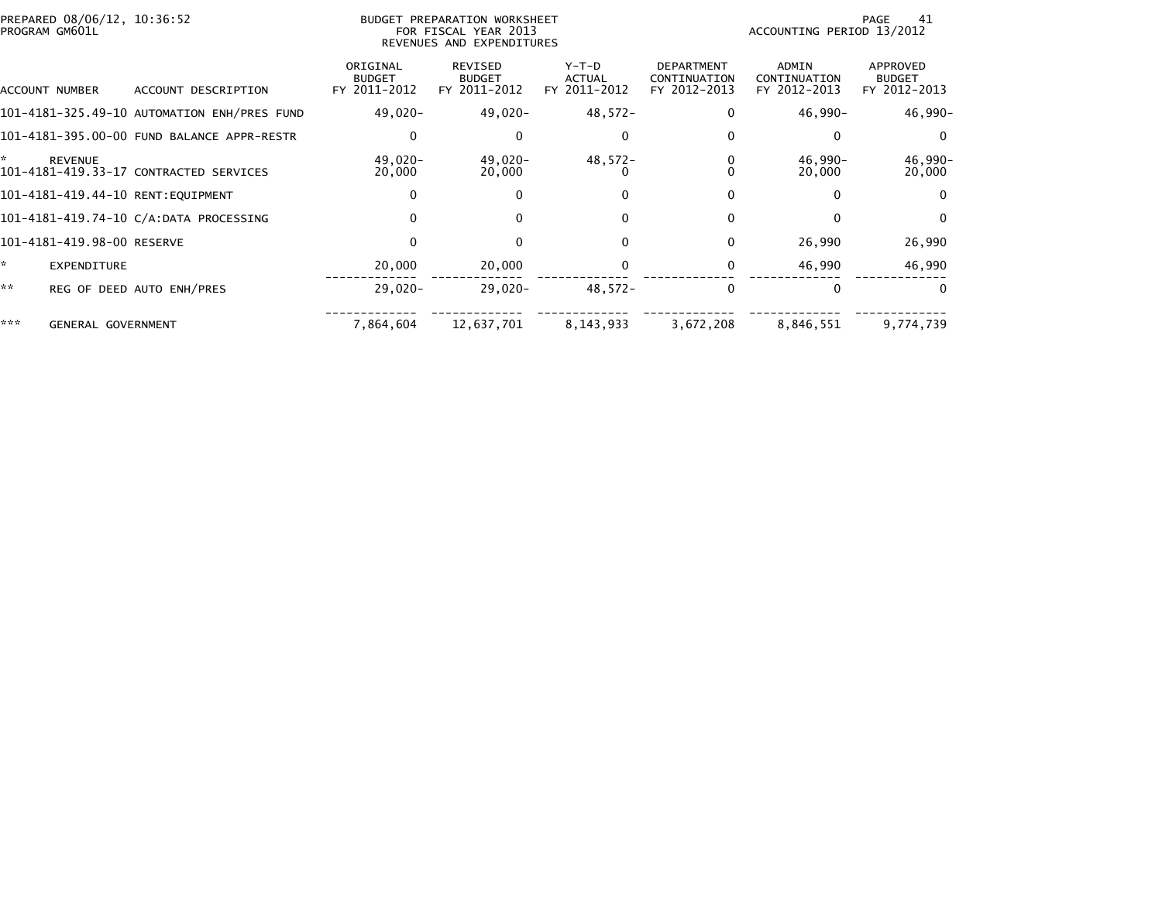|     | PREPARED 08/06/12, 10:36:52<br>PROGRAM GM601L |                                             | BUDGET PREPARATION WORKSHEET<br>FOR FISCAL YEAR 2013<br>REVENUES AND EXPENDITURES |                                                 |                                        |                                                   | 41<br>PAGE<br>ACCOUNTING PERIOD 13/2012 |                                           |  |
|-----|-----------------------------------------------|---------------------------------------------|-----------------------------------------------------------------------------------|-------------------------------------------------|----------------------------------------|---------------------------------------------------|-----------------------------------------|-------------------------------------------|--|
|     | ACCOUNT NUMBER                                | ACCOUNT DESCRIPTION                         | ORIGINAL<br><b>BUDGET</b><br>FY 2011-2012                                         | <b>REVISED</b><br><b>BUDGET</b><br>FY 2011-2012 | Y-T-D<br><b>ACTUAL</b><br>FY 2011-2012 | <b>DEPARTMENT</b><br>CONTINUATION<br>FY 2012-2013 | ADMIN<br>CONTINUATION<br>FY 2012-2013   | APPROVED<br><b>BUDGET</b><br>FY 2012-2013 |  |
|     |                                               | 101-4181-325.49-10 AUTOMATION ENH/PRES FUND | 49,020-                                                                           | 49,020-                                         | $48,572-$                              | $\Omega$                                          | $46,990-$                               | 46,990-                                   |  |
|     |                                               | 101-4181-395.00-00 FUND BALANCE APPR-RESTR  | 0                                                                                 | O                                               |                                        | 0                                                 | ∩                                       | $\Omega$                                  |  |
| ÷.  | <b>REVENUE</b>                                | 101-4181-419.33-17 CONTRACTED SERVICES      | $49.020 -$<br>20,000                                                              | $49.020 -$<br>20,000                            | $48,572-$                              | 0                                                 | $46,990-$<br>20,000                     | 46,990-<br>20,000                         |  |
|     |                                               | 101-4181-419.44-10 RENT:EQUIPMENT           | $\mathbf{0}$                                                                      | 0                                               |                                        | $\Omega$                                          | U                                       | $\bf{0}$                                  |  |
|     |                                               | 101-4181-419.74-10 C/A:DATA PROCESSING      | 0                                                                                 | 0                                               | 0                                      | 0                                                 |                                         | $\bf{0}$                                  |  |
|     | 101-4181-419.98-00 RESERVE                    |                                             | 0                                                                                 |                                                 | 0                                      | $\Omega$                                          | 26,990                                  | 26,990                                    |  |
| ÷.  | EXPENDITURE                                   |                                             | 20,000                                                                            | 20,000                                          |                                        | $\Omega$                                          | 46,990                                  | 46,990                                    |  |
| **  |                                               | REG OF DEED AUTO ENH/PRES                   | $29,020 -$                                                                        | $29,020-$                                       | 48,572-                                | $\Omega$                                          | $\Omega$                                | $\Omega$                                  |  |
| *** | <b>GENERAL GOVERNMENT</b>                     |                                             | 7,864,604                                                                         | 12,637,701                                      | 8,143,933                              | 3,672,208                                         | 8,846,551                               | 9,774,739                                 |  |
|     |                                               |                                             |                                                                                   |                                                 |                                        |                                                   |                                         |                                           |  |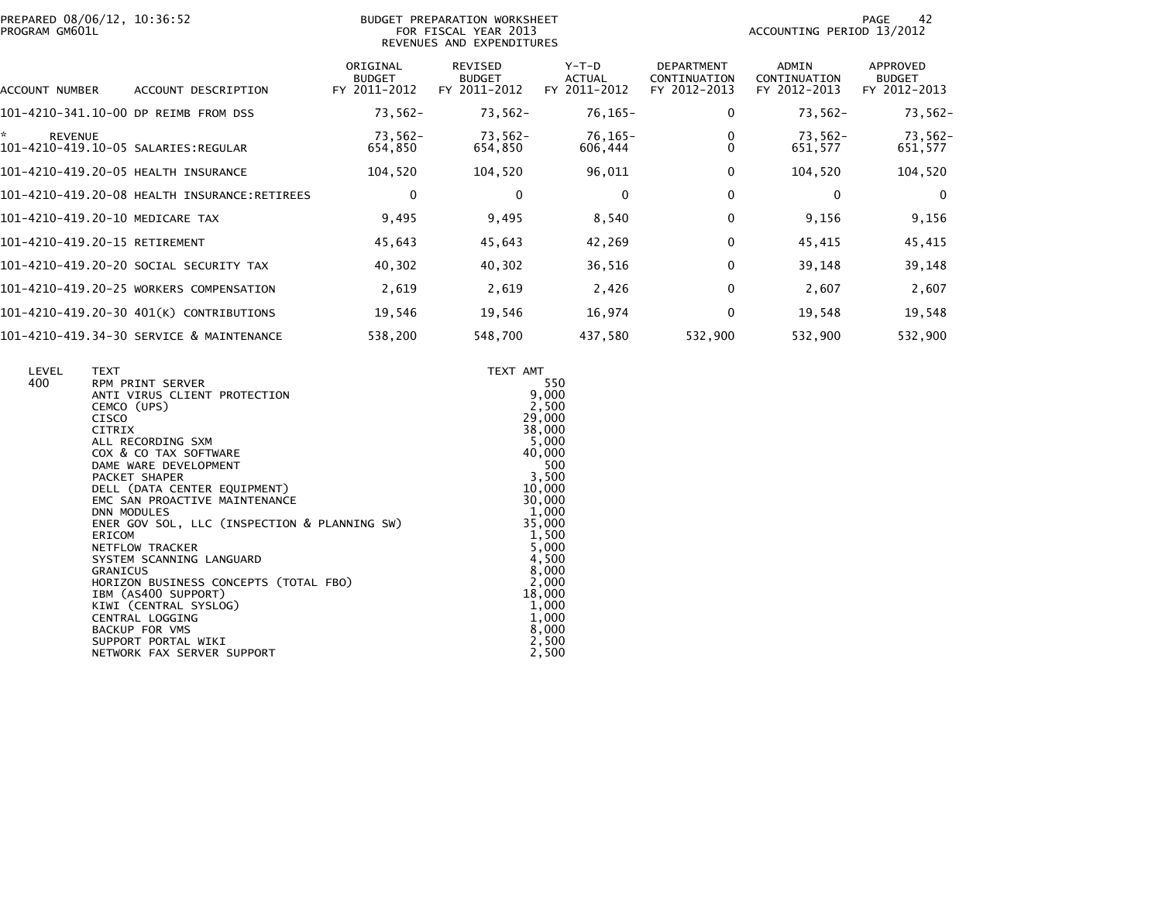|                | PREPARED 08/06/12, 10:36:52 |  |
|----------------|-----------------------------|--|
| PROGRAM GM601L |                             |  |

## PREPARED 08/06/12, 10:36:52 BUDGET PREPARATION WORKSHEET PAGE 42PROGRAM GM601L FOR FISCAL YEAR 2013 ACCOUNTING PERIOD 13/2012 REVENUES AND EXPENDITURES

PAGE 42<br>ACCOUNTING PERIOD 13/2012

| ACCOUNT DESCRIPTION<br><b>ACCOUNT NUMBER</b> | ORIGINAL<br><b>BUDGET</b><br>FY 2011-2012 | <b>REVISED</b><br><b>BUDGET</b><br>FY 2011-2012 | $Y-T-D$<br><b>ACTUAL</b><br>2011-2012<br>FY. | <b>DEPARTMENT</b><br>CONTINUATION<br>FY 2012-2013 | <b>ADMIN</b><br>CONTINUATION<br>FY 2012-2013 | APPROVED<br><b>BUDGET</b><br>FY 2012-2013 |
|----------------------------------------------|-------------------------------------------|-------------------------------------------------|----------------------------------------------|---------------------------------------------------|----------------------------------------------|-------------------------------------------|
| 101-4210-341.10-00 DP REIMB FROM DSS         | $73,562-$                                 | $73,562-$                                       | $76, 165 -$                                  | 0                                                 | $73,562-$                                    | 73,562-                                   |
| <b>REVENUE</b>                               | 73.562-<br>654,850                        | 73.562-<br>654,850                              | 76.165-<br>606,444                           |                                                   | 73.562-<br>651,577                           | 73,562-<br>651,577                        |
| 101-4210-419.20-05 HEALTH INSURANCE          | 104,520                                   | 104,520                                         | 96,011                                       | 0                                                 | 104,520                                      | 104,520                                   |
| 101-4210-419.20-08 HEALTH INSURANCE:RETIREES | 0                                         | 0                                               | $\mathbf{0}$                                 | 0                                                 | $\Omega$                                     | $\mathbf 0$                               |
| 101-4210-419.20-10 MEDICARE TAX              | 9,495                                     | 9,495                                           | 8,540                                        | $\mathbf{0}$                                      | 9,156                                        | 9,156                                     |
| 101-4210-419.20-15 RETIREMENT                | 45,643                                    | 45,643                                          | 42,269                                       | $\mathbf{0}$                                      | 45,415                                       | 45,415                                    |
| 101-4210-419.20-20 SOCIAL SECURITY TAX       | 40,302                                    | 40,302                                          | 36,516                                       | 0                                                 | 39,148                                       | 39,148                                    |
| 101-4210-419.20-25 WORKERS COMPENSATION      | 2,619                                     | 2,619                                           | 2,426                                        | 0                                                 | 2,607                                        | 2,607                                     |
| 101-4210-419.20-30 401(K) CONTRIBUTIONS      | 19,546                                    | 19,546                                          | 16,974                                       | 0                                                 | 19,548                                       | 19,548                                    |
| 101-4210-419.34-30 SERVICE & MAINTENANCE     | 538,200                                   | 548,700                                         | 437,580                                      | 532,900                                           | 532,900                                      | 532,900                                   |

| LEVEL | <b>TEXT</b>                                                   | TEXT AMT         |
|-------|---------------------------------------------------------------|------------------|
| 400   | RPM PRINT SERVER                                              | 550              |
|       | ANTI VIRUS CLIENT PROTECTION                                  | 9,000            |
|       | CEMCO (UPS)                                                   | 2,500            |
|       | CISCO                                                         | 29,000           |
|       | CITRIX                                                        | 38,000           |
|       | ALL RECORDING SXM                                             | 5,000            |
|       | COX & CO TAX SOFTWARE                                         | 40,000           |
|       | DAME WARE DEVELOPMENT                                         | 500              |
|       | PACKET SHAPER                                                 | 3,500            |
|       | DELL (DATA CENTER EQUIPMENT)<br>EMC SAN PROACTIVE MAINTENANCE | 10,000<br>30,000 |
|       | <b>DNN MODULES</b>                                            | 1,000            |
|       | ENER GOV SOL, LLC (INSPECTION & PLANNING SW)                  | 35,000           |
|       | ERICOM                                                        | 1,500            |
|       | NETFLOW TRACKER                                               | 5,000            |
|       | SYSTEM SCANNING LANGUARD                                      | 4,500            |
|       | <b>GRANICUS</b>                                               | 8,000            |
|       | HORIZON BUSINESS CONCEPTS (TOTAL FBO)                         | 2,000            |
|       | IBM (AS400 SUPPORT)                                           | 18,000           |
|       | KIWI (CENTRAL SYSLOG)                                         | 1,000            |
|       | CENTRAL LOGGING                                               | 1,000            |
|       | <b>BACKUP FOR VMS</b>                                         | 8,000            |
|       | SUPPORT PORTAL WIKI                                           | 2,500            |
|       | NETWORK FAX SERVER SUPPORT                                    | 2,500            |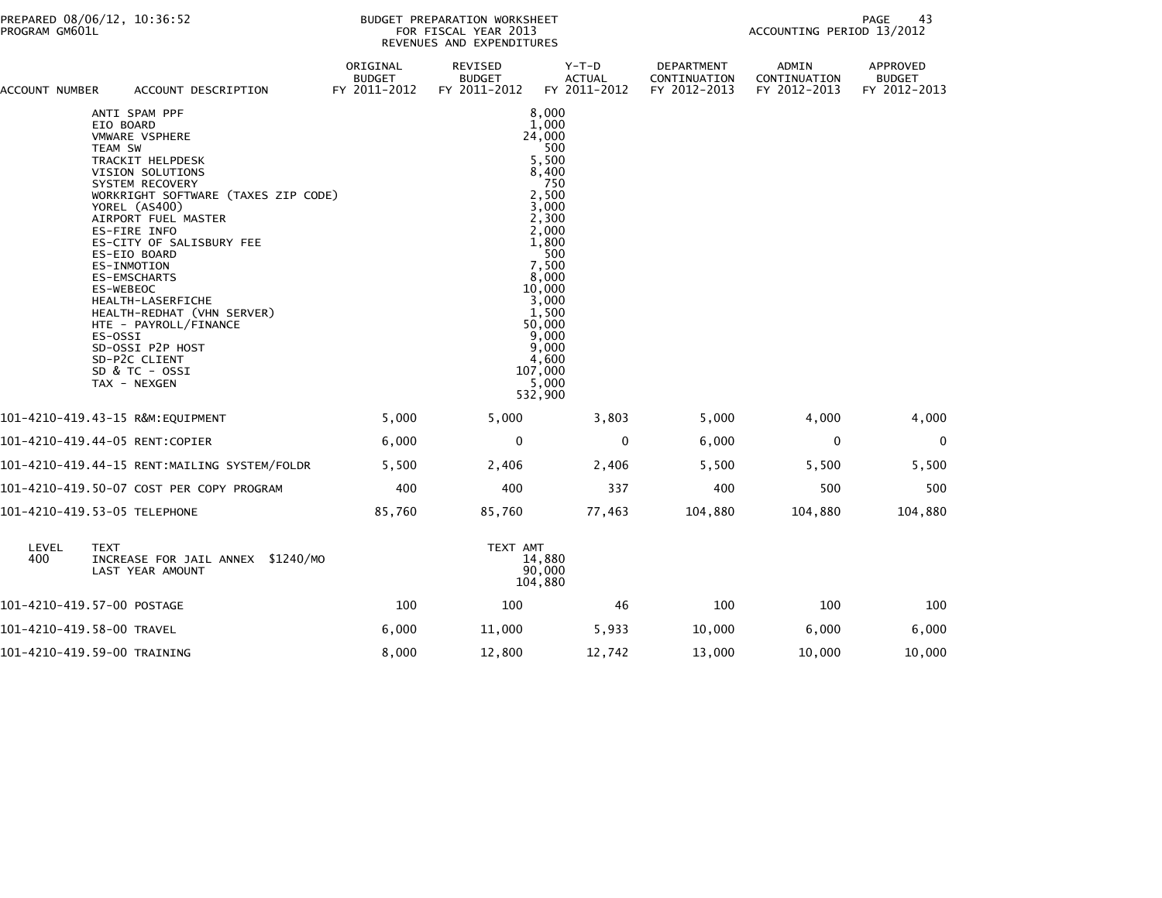| ACCOUNT NUMBER                 |                                                                                                                                                     | ACCOUNT DESCRIPTION                                                                                                                                                                                                                                                                                                            | ORIGINAL<br><b>BUDGET</b><br>FY 2011-2012 | REVISED<br><b>BUDGET</b><br>FY 2011-2012 | Y-T-D<br><b>ACTUAL</b><br>FY 2011-2012                                                                                                                                                                                                     | DEPARTMENT<br>CONTINUATION<br>FY 2012-2013 | ADMIN<br>CONTINUATION<br>FY 2012-2013 | APPROVED<br><b>BUDGET</b><br>FY 2012-2013 |
|--------------------------------|-----------------------------------------------------------------------------------------------------------------------------------------------------|--------------------------------------------------------------------------------------------------------------------------------------------------------------------------------------------------------------------------------------------------------------------------------------------------------------------------------|-------------------------------------------|------------------------------------------|--------------------------------------------------------------------------------------------------------------------------------------------------------------------------------------------------------------------------------------------|--------------------------------------------|---------------------------------------|-------------------------------------------|
|                                | EIO BOARD<br>TEAM SW<br>YOREL (AS400)<br>ES-FIRE INFO<br>ES-EIO BOARD<br>ES-INMOTION<br><b>ES-EMSCHARTS</b><br>ES-WEBEOC<br>ES-OSSI<br>TAX - NEXGEN | ANTI SPAM PPF<br><b>VMWARE VSPHERE</b><br>TRACKIT HELPDESK<br>VISION SOLUTIONS<br>SYSTEM RECOVERY<br>WORKRIGHT SOFTWARE (TAXES ZIP CODE)<br>AIRPORT FUEL MASTER<br>ES-CITY OF SALISBURY FEE<br>HEALTH-LASERFICHE<br>HEALTH-REDHAT (VHN SERVER)<br>HTE - PAYROLL/FINANCE<br>SD-OSSI P2P HOST<br>SD-P2C CLIENT<br>SD & TC - OSSI |                                           |                                          | 8,000<br>1,000<br>24,000<br>500<br>5,500<br>8,400<br>$^{\prime}$ 750<br>2,500<br>3,000<br>2,300<br>2,000<br>1,800<br>500<br>7,500<br>8,000<br>10,000<br>3,000<br>1,500<br>50,000<br>9.000<br>9,000<br>4,600<br>107,000<br>5,000<br>532,900 |                                            |                                       |                                           |
|                                |                                                                                                                                                     | 101-4210-419.43-15 R&M:EQUIPMENT                                                                                                                                                                                                                                                                                               | 5,000                                     | 5,000                                    | 3,803                                                                                                                                                                                                                                      | 5,000                                      | 4,000                                 | 4,000                                     |
| 101-4210-419.44-05 RENT:COPIER |                                                                                                                                                     |                                                                                                                                                                                                                                                                                                                                | 6,000                                     | 0                                        | $\mathbf 0$                                                                                                                                                                                                                                | 6,000                                      | 0                                     | $\mathbf 0$                               |
|                                |                                                                                                                                                     | 101-4210-419.44-15 RENT:MAILING SYSTEM/FOLDR                                                                                                                                                                                                                                                                                   | 5,500                                     | 2,406                                    | 2,406                                                                                                                                                                                                                                      | 5,500                                      | 5,500                                 | 5,500                                     |
|                                |                                                                                                                                                     | 101-4210-419.50-07 COST PER COPY PROGRAM                                                                                                                                                                                                                                                                                       | 400                                       | 400                                      | 337                                                                                                                                                                                                                                        | 400                                        | 500                                   | 500                                       |
| 101-4210-419.53-05 TELEPHONE   |                                                                                                                                                     |                                                                                                                                                                                                                                                                                                                                | 85,760                                    | 85,760                                   | 77,463                                                                                                                                                                                                                                     | 104,880                                    | 104,880                               | 104,880                                   |
| LEVEL<br>400                   | <b>TEXT</b>                                                                                                                                         | INCREASE FOR JAIL ANNEX \$1240/MO<br>LAST YEAR AMOUNT                                                                                                                                                                                                                                                                          |                                           | TEXT AMT                                 | 14,880<br>90,000<br>104,880                                                                                                                                                                                                                |                                            |                                       |                                           |
| 101-4210-419.57-00 POSTAGE     |                                                                                                                                                     |                                                                                                                                                                                                                                                                                                                                | 100                                       | 100                                      | 46                                                                                                                                                                                                                                         | 100                                        | 100                                   | 100                                       |
| 101-4210-419.58-00 TRAVEL      |                                                                                                                                                     |                                                                                                                                                                                                                                                                                                                                | 6,000                                     | 11,000                                   | 5,933                                                                                                                                                                                                                                      | 10,000                                     | 6,000                                 | 6,000                                     |
| 101-4210-419.59-00 TRAINING    |                                                                                                                                                     |                                                                                                                                                                                                                                                                                                                                | 8,000                                     | 12,800                                   | 12,742                                                                                                                                                                                                                                     | 13,000                                     | 10,000                                | 10,000                                    |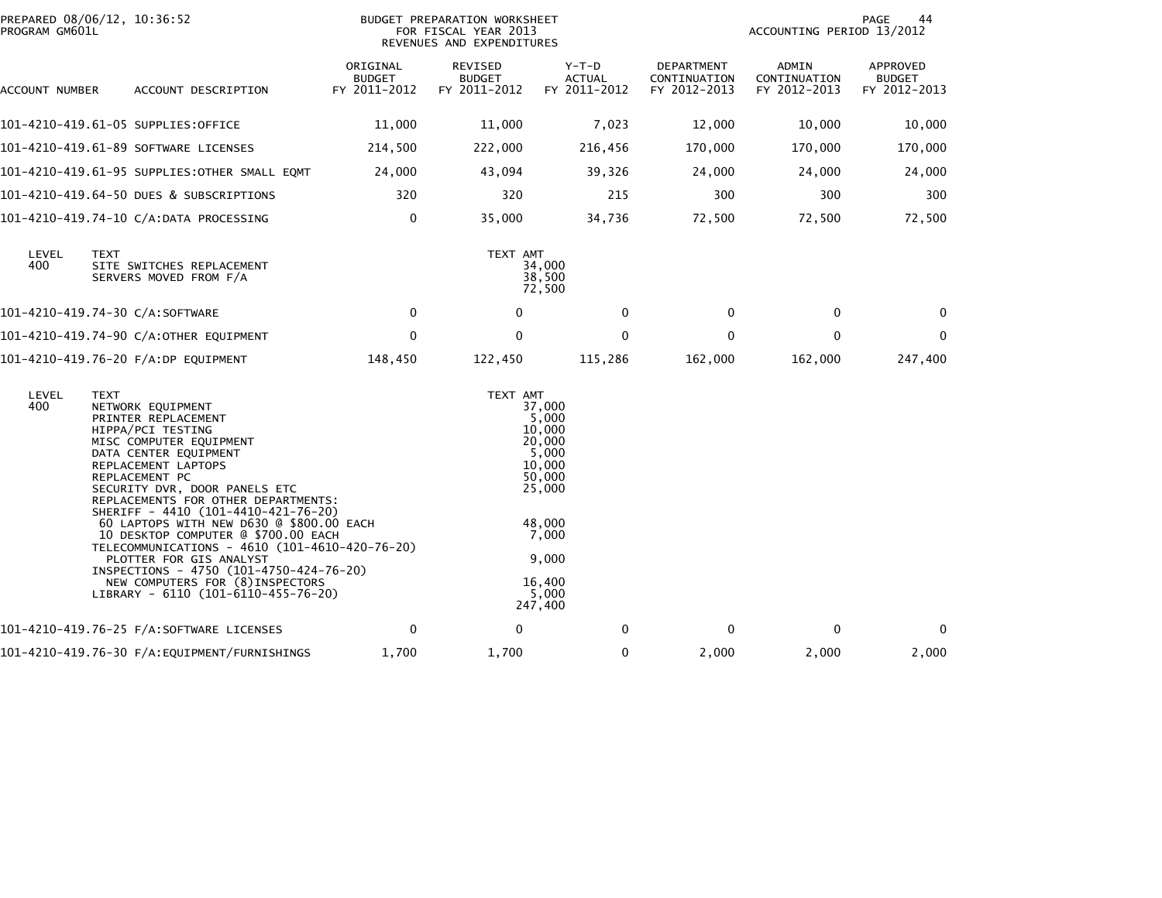| PROGRAM GM601L | PREPARED 08/06/12, 10:36:52                                                                                                                                                                                                                                                                                                                                                                                                                                                                                                                                                    |                                           | BUDGET PREPARATION WORKSHEET<br>FOR FISCAL YEAR 2013<br>REVENUES AND EXPENDITURES |                                                                                                                                      |                                            | PAGE<br>44<br>ACCOUNTING PERIOD 13/2012 |                                           |  |
|----------------|--------------------------------------------------------------------------------------------------------------------------------------------------------------------------------------------------------------------------------------------------------------------------------------------------------------------------------------------------------------------------------------------------------------------------------------------------------------------------------------------------------------------------------------------------------------------------------|-------------------------------------------|-----------------------------------------------------------------------------------|--------------------------------------------------------------------------------------------------------------------------------------|--------------------------------------------|-----------------------------------------|-------------------------------------------|--|
| ACCOUNT NUMBER | ACCOUNT DESCRIPTION                                                                                                                                                                                                                                                                                                                                                                                                                                                                                                                                                            | ORIGINAL<br><b>BUDGET</b><br>FY 2011-2012 | REVISED<br><b>BUDGET</b><br>FY 2011-2012                                          | $Y-T-D$<br><b>ACTUAL</b><br>FY 2011-2012                                                                                             | DEPARTMENT<br>CONTINUATION<br>FY 2012-2013 | ADMIN<br>CONTINUATION<br>FY 2012-2013   | APPROVED<br><b>BUDGET</b><br>FY 2012-2013 |  |
|                | 101-4210-419.61-05 SUPPLIES:OFFICE                                                                                                                                                                                                                                                                                                                                                                                                                                                                                                                                             | 11,000                                    | 11,000                                                                            | 7,023                                                                                                                                | 12,000                                     | 10,000                                  | 10,000                                    |  |
|                | 101-4210-419.61-89 SOFTWARE LICENSES                                                                                                                                                                                                                                                                                                                                                                                                                                                                                                                                           | 214,500                                   | 222,000                                                                           | 216,456                                                                                                                              | 170,000                                    | 170,000                                 | 170,000                                   |  |
|                | 101-4210-419.61-95 SUPPLIES:OTHER SMALL EQMT                                                                                                                                                                                                                                                                                                                                                                                                                                                                                                                                   | 24,000                                    | 43,094                                                                            | 39,326                                                                                                                               | 24,000                                     | 24,000                                  | 24,000                                    |  |
|                | 101-4210-419.64-50 DUES & SUBSCRIPTIONS                                                                                                                                                                                                                                                                                                                                                                                                                                                                                                                                        | 320                                       | 320                                                                               | 215                                                                                                                                  | 300                                        | 300                                     | 300                                       |  |
|                | 101-4210-419.74-10 C/A:DATA PROCESSING                                                                                                                                                                                                                                                                                                                                                                                                                                                                                                                                         | 0                                         | 35,000                                                                            | 34,736                                                                                                                               | 72,500                                     | 72,500                                  | 72,500                                    |  |
| LEVEL<br>400   | TEXT<br>SITE SWITCHES REPLACEMENT<br>SERVERS MOVED FROM F/A                                                                                                                                                                                                                                                                                                                                                                                                                                                                                                                    |                                           | TEXT AMT                                                                          | 34,000<br>38,500<br>72,500                                                                                                           |                                            |                                         |                                           |  |
|                | 101-4210-419.74-30 C/A:SOFTWARE                                                                                                                                                                                                                                                                                                                                                                                                                                                                                                                                                | $\mathbf 0$                               | $\mathbf{0}$                                                                      | $\mathbf{0}$                                                                                                                         | 0                                          | $\mathbf{0}$                            | $\Omega$                                  |  |
|                | 101-4210-419.74-90 C/A:OTHER EQUIPMENT                                                                                                                                                                                                                                                                                                                                                                                                                                                                                                                                         | $\mathbf 0$                               | $\mathbf 0$                                                                       | $\Omega$                                                                                                                             | $\mathbf 0$                                | $\mathbf{0}$                            | 0                                         |  |
|                | 101-4210-419.76-20 F/A:DP EQUIPMENT                                                                                                                                                                                                                                                                                                                                                                                                                                                                                                                                            | 148,450                                   | 122,450                                                                           | 115,286                                                                                                                              | 162,000                                    | 162,000                                 | 247,400                                   |  |
| LEVEL<br>400   | <b>TEXT</b><br>NETWORK EQUIPMENT<br>PRINTER REPLACEMENT<br>HIPPA/PCI TESTING<br>MISC COMPUTER EQUIPMENT<br>DATA CENTER EQUIPMENT<br>REPLACEMENT LAPTOPS<br>REPLACEMENT PC<br>SECURITY DVR, DOOR PANELS ETC<br>REPLACEMENTS FOR OTHER DEPARTMENTS:<br>SHERIFF - 4410 (101-4410-421-76-20)<br>60 LAPTOPS WITH NEW D630 @ \$800.00 EACH<br>10 DESKTOP COMPUTER @ \$700.00 EACH<br>TELECOMMUNICATIONS - 4610 (101-4610-420-76-20)<br>PLOTTER FOR GIS ANALYST<br>INSPECTIONS - 4750 (101-4750-424-76-20)<br>NEW COMPUTERS FOR (8) INSPECTORS<br>LIBRARY - 6110 (101-6110-455-76-20) |                                           | TEXT AMT                                                                          | 37,000<br>5,000<br>10,000<br>20,000<br>5,000<br>10,000<br>50,000<br>25,000<br>48,000<br>7,000<br>9,000<br>16,400<br>5.000<br>247,400 |                                            |                                         |                                           |  |
|                |                                                                                                                                                                                                                                                                                                                                                                                                                                                                                                                                                                                | $\mathbf 0$                               | 0                                                                                 | $\mathbf{0}$                                                                                                                         | 0                                          | $\mathbf{0}$                            | $\mathbf 0$                               |  |
|                |                                                                                                                                                                                                                                                                                                                                                                                                                                                                                                                                                                                | 1,700                                     | 1,700                                                                             | 0                                                                                                                                    | 2,000                                      | 2,000                                   | 2,000                                     |  |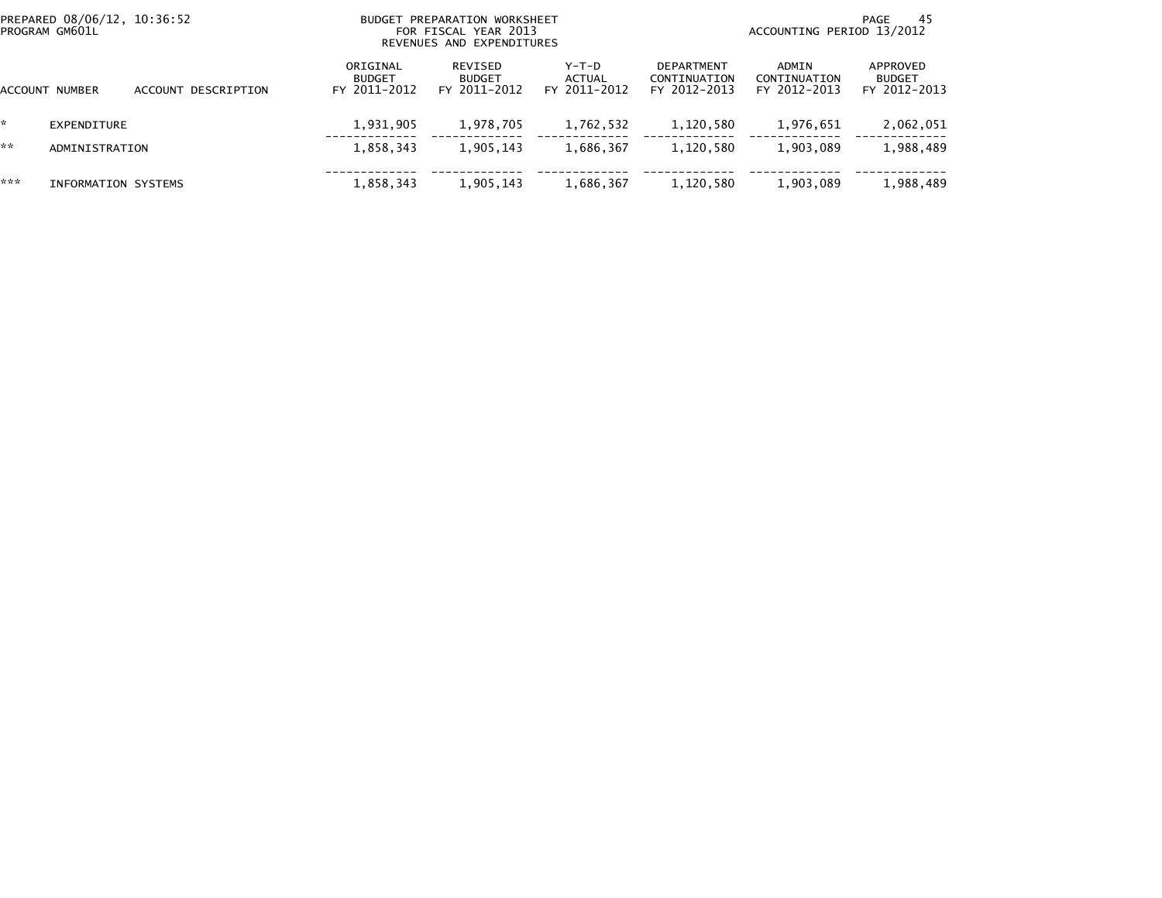| PREPARED 08/06/12, 10:36:52<br>PROGRAM GM601L |                     |                     |                                           | BUDGET PREPARATION WORKSHEET<br>FOR FISCAL YEAR 2013<br>REVENUES AND EXPENDITURES |                                 | -45<br>PAGE<br>ACCOUNTING PERIOD 13/2012          |                                       |                                           |  |
|-----------------------------------------------|---------------------|---------------------|-------------------------------------------|-----------------------------------------------------------------------------------|---------------------------------|---------------------------------------------------|---------------------------------------|-------------------------------------------|--|
| ACCOUNT                                       | NUMBER              | ACCOUNT DESCRIPTION | ORIGINAL<br><b>BUDGET</b><br>FY 2011-2012 | REVISED<br><b>BUDGET</b><br>FY 2011-2012                                          | Y-T-D<br>ACTUAL<br>FY 2011-2012 | <b>DEPARTMENT</b><br>CONTINUATION<br>FY 2012-2013 | ADMIN<br>CONTINUATION<br>FY 2012-2013 | APPROVED<br><b>BUDGET</b><br>FY 2012-2013 |  |
|                                               | EXPENDITURE         |                     | 1,931,905                                 | 1,978,705                                                                         | 1,762,532                       | 1,120,580                                         | 1,976,651                             | 2,062,051                                 |  |
| **                                            | ADMINISTRATION      |                     | 1,858,343                                 | 1,905,143                                                                         | 1,686,367                       | 1,120,580                                         | 1,903,089                             | 1,988,489                                 |  |
| ***                                           | INFORMATION SYSTEMS |                     | 1,858,343                                 | 1,905,143                                                                         | 1,686,367                       | 1,120,580                                         | 1,903,089                             | 1,988,489                                 |  |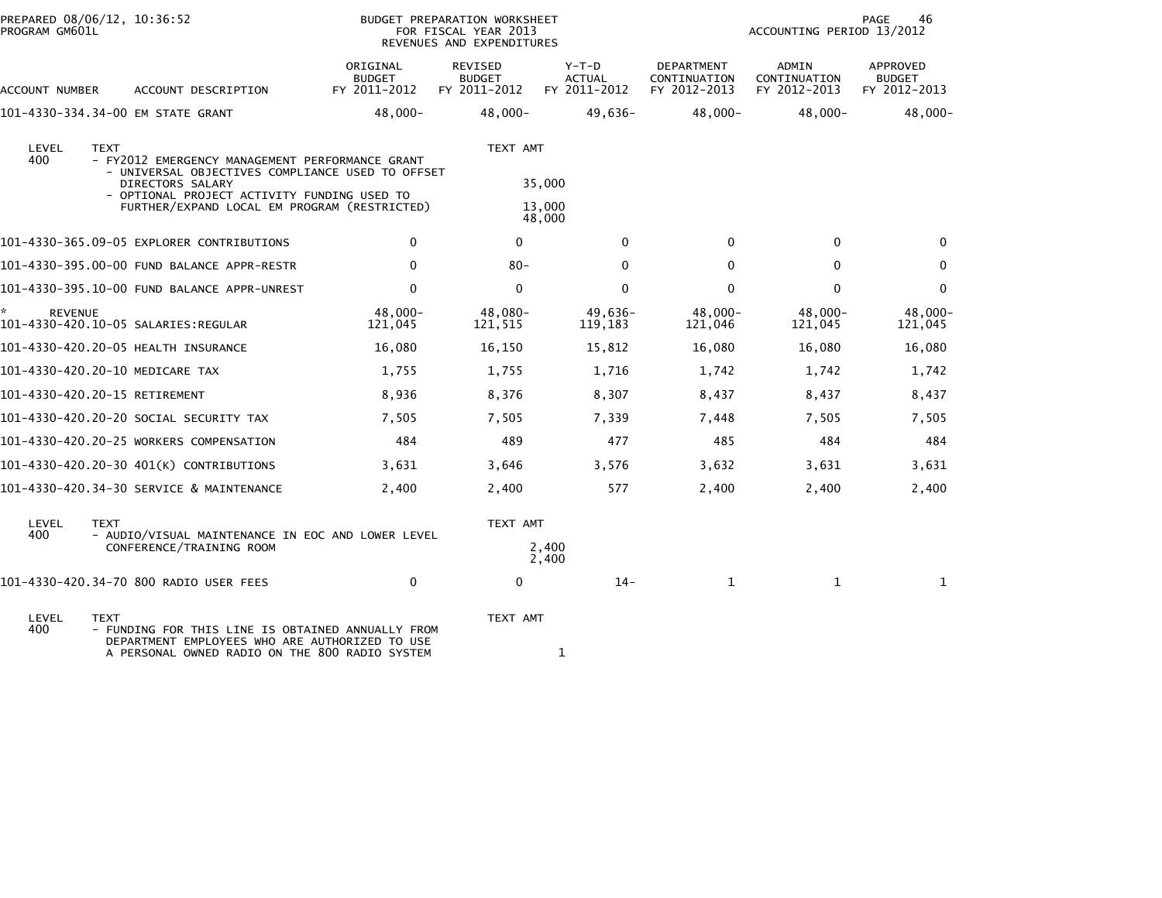| PROGRAM GM601L | PREPARED 08/06/12, 10:36:52                                                                                                                                                                                                           |                                           | BUDGET PREPARATION WORKSHEET<br>FOR FISCAL YEAR 2013<br>REVENUES AND EXPENDITURES |                                        |                                                   | ACCOUNTING PERIOD 13/2012             | 46<br><b>PAGE</b>                         |
|----------------|---------------------------------------------------------------------------------------------------------------------------------------------------------------------------------------------------------------------------------------|-------------------------------------------|-----------------------------------------------------------------------------------|----------------------------------------|---------------------------------------------------|---------------------------------------|-------------------------------------------|
| ACCOUNT NUMBER | ACCOUNT DESCRIPTION                                                                                                                                                                                                                   | ORIGINAL<br><b>BUDGET</b><br>FY 2011-2012 | <b>REVISED</b><br><b>BUDGET</b><br>FY 2011-2012                                   | Y-T-D<br><b>ACTUAL</b><br>FY 2011-2012 | <b>DEPARTMENT</b><br>CONTINUATION<br>FY 2012-2013 | ADMIN<br>CONTINUATION<br>FY 2012-2013 | APPROVED<br><b>BUDGET</b><br>FY 2012-2013 |
|                | 101-4330-334.34-00 EM STATE GRANT                                                                                                                                                                                                     | 48,000-                                   | $48,000 -$                                                                        | 49,636-                                | $48,000 -$                                        | $48,000 -$                            | $48,000 -$                                |
| LEVEL<br>400   | <b>TEXT</b><br>- FY2012 EMERGENCY MANAGEMENT PERFORMANCE GRANT<br>- UNIVERSAL OBJECTIVES COMPLIANCE USED TO OFFSET<br>DIRECTORS SALARY<br>- OPTIONAL PROJECT ACTIVITY FUNDING USED TO<br>FURTHER/EXPAND LOCAL EM PROGRAM (RESTRICTED) |                                           | TEXT AMT                                                                          | 35,000<br>13,000<br>48,000             |                                                   |                                       |                                           |
|                | 101-4330-365.09-05 EXPLORER CONTRIBUTIONS                                                                                                                                                                                             | $\mathbf 0$                               | $\mathbf{0}$                                                                      | $\mathbf{0}$                           | $\Omega$                                          | $\mathbf 0$                           | $\mathbf{0}$                              |
|                | 101-4330-395.00-00 FUND BALANCE APPR-RESTR                                                                                                                                                                                            | $\Omega$                                  | $80 -$                                                                            | $\Omega$                               | $\Omega$                                          | $\mathbf{0}$                          | 0                                         |
|                | 101-4330-395.10-00 FUND BALANCE APPR-UNREST                                                                                                                                                                                           | $\mathbf{0}$                              | $\mathbf{0}$                                                                      | $\mathbf{0}$                           | $\mathbf{0}$                                      | $\mathbf{0}$                          | $\Omega$                                  |
| <b>REVENUE</b> | 101-4330-420.10-05 SALARIES:REGULAR                                                                                                                                                                                                   | 48,000-<br>121,045                        | 48,080-<br>121,515                                                                | 49,636-<br>119,183                     | 48,000-<br>121,046                                | 48,000-<br>121,045                    | 48,000-<br>121,045                        |
|                | 101-4330-420.20-05 HEALTH INSURANCE                                                                                                                                                                                                   | 16,080                                    | 16,150                                                                            | 15,812                                 | 16,080                                            | 16,080                                | 16,080                                    |
|                | 101-4330-420.20-10 MEDICARE TAX                                                                                                                                                                                                       | 1,755                                     | 1,755                                                                             | 1,716                                  | 1,742                                             | 1,742                                 | 1,742                                     |
|                | 101-4330-420.20-15 RETIREMENT                                                                                                                                                                                                         | 8,936                                     | 8,376                                                                             | 8,307                                  | 8,437                                             | 8,437                                 | 8,437                                     |
|                | 101–4330–420.20–20 SOCIAL SECURITY TAX                                                                                                                                                                                                | 7,505                                     | 7,505                                                                             | 7,339                                  | 7,448                                             | 7,505                                 | 7,505                                     |
|                | 101-4330-420.20-25 WORKERS COMPENSATION                                                                                                                                                                                               | 484                                       | 489                                                                               | 477                                    | 485                                               | 484                                   | 484                                       |
|                | 101-4330-420.20-30 401(K) CONTRIBUTIONS                                                                                                                                                                                               | 3,631                                     | 3,646                                                                             | 3,576                                  | 3,632                                             | 3,631                                 | 3,631                                     |
|                | 101-4330-420.34-30 SERVICE & MAINTENANCE                                                                                                                                                                                              | 2,400                                     | 2,400                                                                             | 577                                    | 2,400                                             | 2,400                                 | 2,400                                     |
| LEVEL<br>400   | <b>TEXT</b><br>- AUDIO/VISUAL MAINTENANCE IN EOC AND LOWER LEVEL<br>CONFERENCE/TRAINING ROOM                                                                                                                                          |                                           | TEXT AMT                                                                          | 2,400<br>2,400                         |                                                   |                                       |                                           |
|                | 101-4330-420.34-70 800 RADIO USER FEES                                                                                                                                                                                                | 0                                         | 0                                                                                 | $14-$                                  | $\mathbf{1}$                                      | $\mathbf{1}$                          | 1                                         |
| LEVEL<br>400   | <b>TEXT</b><br>- FUNDING FOR THIS LINE IS OBTAINED ANNUALLY FROM<br>DEPARTMENT EMPLOYEES WHO ARE AUTHORIZED TO USE<br>A PERSONAL OWNED RADIO ON THE 800 RADIO SYSTEM                                                                  |                                           | TEXT AMT                                                                          |                                        |                                                   |                                       |                                           |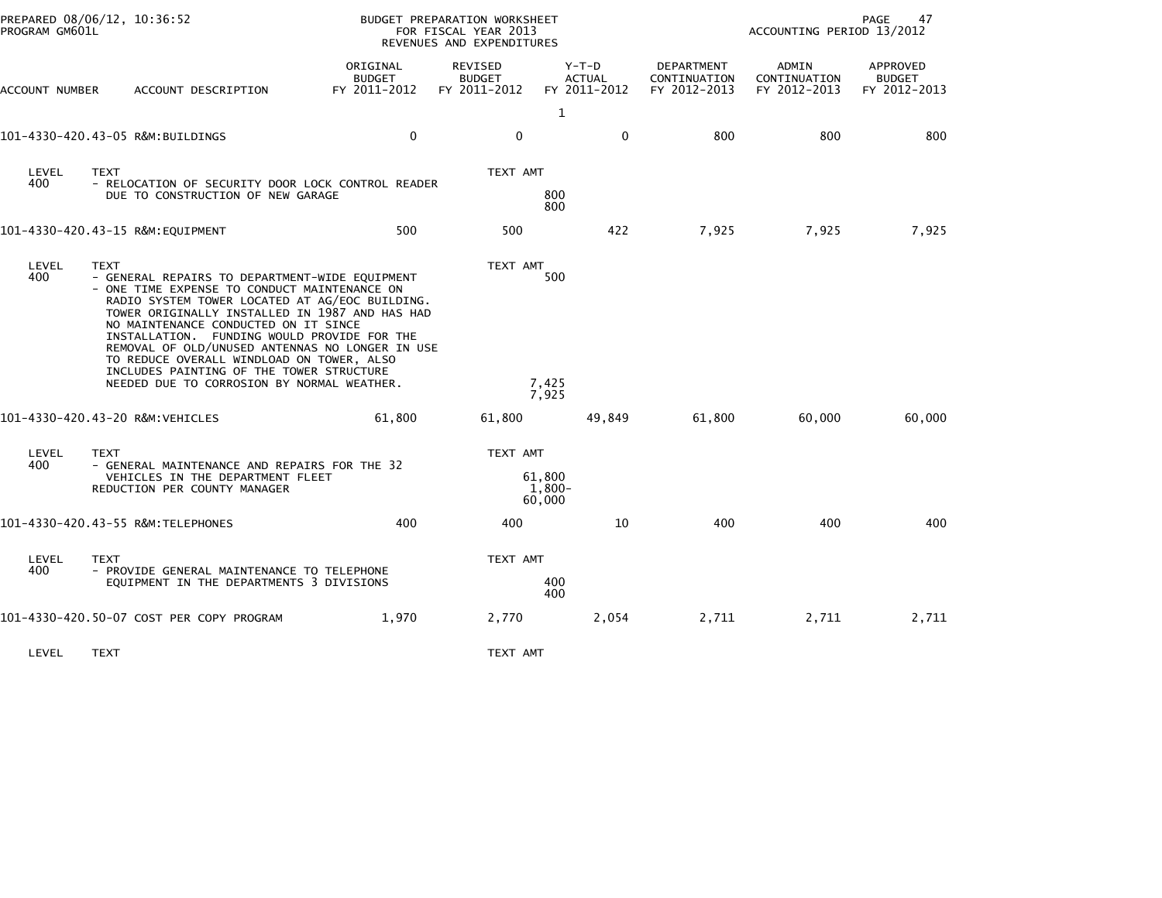| PROGRAM GM601L | PREPARED 08/06/12, 10:36:52                                                                                                                                                                                                                                                                                                                                                                                                                                                                 |                                           | BUDGET PREPARATION WORKSHEET<br>FOR FISCAL YEAR 2013<br>REVENUES AND EXPENDITURES |                                          | PAGE<br>47<br>ACCOUNTING PERIOD 13/2012           |                                       |                                           |  |
|----------------|---------------------------------------------------------------------------------------------------------------------------------------------------------------------------------------------------------------------------------------------------------------------------------------------------------------------------------------------------------------------------------------------------------------------------------------------------------------------------------------------|-------------------------------------------|-----------------------------------------------------------------------------------|------------------------------------------|---------------------------------------------------|---------------------------------------|-------------------------------------------|--|
| ACCOUNT NUMBER | ACCOUNT DESCRIPTION                                                                                                                                                                                                                                                                                                                                                                                                                                                                         | ORIGINAL<br><b>BUDGET</b><br>FY 2011-2012 | <b>REVISED</b><br><b>BUDGET</b><br>FY 2011-2012                                   | $Y-T-D$<br><b>ACTUAL</b><br>FY 2011-2012 | <b>DEPARTMENT</b><br>CONTINUATION<br>FY 2012-2013 | ADMIN<br>CONTINUATION<br>FY 2012-2013 | APPROVED<br><b>BUDGET</b><br>FY 2012-2013 |  |
|                | 101-4330-420.43-05 R&M:BUILDINGS                                                                                                                                                                                                                                                                                                                                                                                                                                                            | $\mathbf 0$                               | $\mathbf 0$                                                                       | $\mathbf{1}$<br>0                        | 800                                               | 800                                   | 800                                       |  |
| LEVEL<br>400   | <b>TEXT</b><br>- RELOCATION OF SECURITY DOOR LOCK CONTROL READER<br>DUE TO CONSTRUCTION OF NEW GARAGE                                                                                                                                                                                                                                                                                                                                                                                       |                                           | TEXT AMT                                                                          | 800<br>800                               |                                                   |                                       |                                           |  |
|                | 101-4330-420.43-15 R&M:EQUIPMENT                                                                                                                                                                                                                                                                                                                                                                                                                                                            | 500                                       | 500                                                                               | 422                                      | 7,925                                             | 7,925                                 | 7,925                                     |  |
| LEVEL<br>400   | TEXT<br>- GENERAL REPAIRS TO DEPARTMENT-WIDE EQUIPMENT<br>- ONE TIME EXPENSE TO CONDUCT MAINTENANCE ON<br>RADIO SYSTEM TOWER LOCATED AT AG/EOC BUILDING.<br>TOWER ORIGINALLY INSTALLED IN 1987 AND HAS HAD<br>NO MAINTENANCE CONDUCTED ON IT SINCE<br>INSTALLATION. FUNDING WOULD PROVIDE FOR THE<br>REMOVAL OF OLD/UNUSED ANTENNAS NO LONGER IN USE<br>TO REDUCE OVERALL WINDLOAD ON TOWER, ALSO<br>INCLUDES PAINTING OF THE TOWER STRUCTURE<br>NEEDED DUE TO CORROSION BY NORMAL WEATHER. |                                           | TEXT AMT                                                                          | 500<br>7,425<br>7,925                    |                                                   |                                       |                                           |  |
|                | 101-4330-420.43-20 R&M:VEHICLES                                                                                                                                                                                                                                                                                                                                                                                                                                                             | 61,800                                    | 61,800                                                                            | 49,849                                   | 61,800                                            | 60,000                                | 60,000                                    |  |
| LEVEL<br>400   | <b>TEXT</b><br>- GENERAL MAINTENANCE AND REPAIRS FOR THE 32<br>VEHICLES IN THE DEPARTMENT FLEET<br>REDUCTION PER COUNTY MANAGER                                                                                                                                                                                                                                                                                                                                                             |                                           | TEXT AMT                                                                          | 61.800<br>1,800-<br>60,000               |                                                   |                                       |                                           |  |
|                | 101-4330-420.43-55 R&M:TELEPHONES                                                                                                                                                                                                                                                                                                                                                                                                                                                           | 400                                       | 400                                                                               | 10                                       | 400                                               | 400                                   | 400                                       |  |
| LEVEL<br>400   | <b>TEXT</b><br>- PROVIDE GENERAL MAINTENANCE TO TELEPHONE<br>EQUIPMENT IN THE DEPARTMENTS 3 DIVISIONS                                                                                                                                                                                                                                                                                                                                                                                       |                                           | TEXT AMT                                                                          | 400<br>400                               |                                                   |                                       |                                           |  |
|                | 101-4330-420.50-07 COST PER COPY PROGRAM                                                                                                                                                                                                                                                                                                                                                                                                                                                    | 1,970                                     | 2,770                                                                             | 2,054                                    | 2,711                                             | 2,711                                 | 2,711                                     |  |
| LEVEL          | <b>TEXT</b>                                                                                                                                                                                                                                                                                                                                                                                                                                                                                 |                                           | TEXT AMT                                                                          |                                          |                                                   |                                       |                                           |  |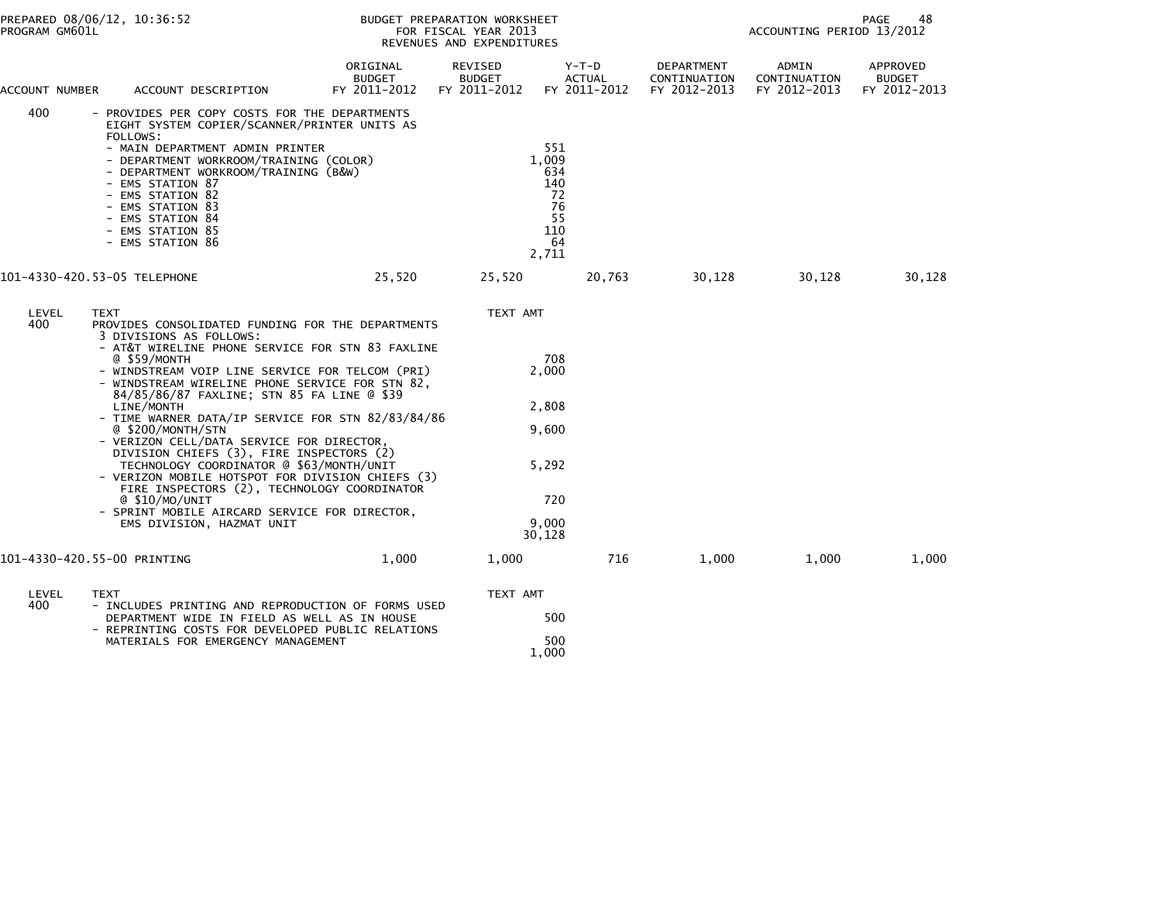| PROGRAM GM601L | PREPARED 08/06/12, 10:36:52                                                                                                                                                                                                                                                                                                                                                                                                                                                                                                                                                                                                                                                                                                                         |                                           | BUDGET PREPARATION WORKSHEET<br>FOR FISCAL YEAR 2013<br>REVENUES AND EXPENDITURES | 48<br>PAGE<br>ACCOUNTING PERIOD 13/2012                            |                                            |                                       |                                           |  |
|----------------|-----------------------------------------------------------------------------------------------------------------------------------------------------------------------------------------------------------------------------------------------------------------------------------------------------------------------------------------------------------------------------------------------------------------------------------------------------------------------------------------------------------------------------------------------------------------------------------------------------------------------------------------------------------------------------------------------------------------------------------------------------|-------------------------------------------|-----------------------------------------------------------------------------------|--------------------------------------------------------------------|--------------------------------------------|---------------------------------------|-------------------------------------------|--|
| ACCOUNT NUMBER | ACCOUNT DESCRIPTION                                                                                                                                                                                                                                                                                                                                                                                                                                                                                                                                                                                                                                                                                                                                 | ORIGINAL<br><b>BUDGET</b><br>FY 2011-2012 | REVISED<br><b>BUDGET</b><br>FY 2011-2012                                          | Y-T-D<br><b>ACTUAL</b><br>FY 2011-2012                             | DEPARTMENT<br>CONTINUATION<br>FY 2012-2013 | ADMIN<br>CONTINUATION<br>FY 2012-2013 | APPROVED<br><b>BUDGET</b><br>FY 2012-2013 |  |
| 400            | - PROVIDES PER COPY COSTS FOR THE DEPARTMENTS<br>EIGHT SYSTEM COPIER/SCANNER/PRINTER UNITS AS<br>FOLLOWS:<br>- MAIN DEPARTMENT ADMIN PRINTER<br>- DEPARTMENT WORKROOM/TRAINING (COLOR)<br>- DEPARTMENT WORKROOM/TRAINING (B&W)<br>- EMS STATION 87<br>- EMS STATION 82<br>- EMS STATION 83<br>- EMS STATION 84<br>- EMS STATION 85<br>- EMS STATION 86                                                                                                                                                                                                                                                                                                                                                                                              |                                           |                                                                                   | 551<br>1,009<br>634<br>140<br>72<br>76<br>55<br>110<br>64<br>2,711 |                                            |                                       |                                           |  |
|                | 101-4330-420.53-05 TELEPHONE                                                                                                                                                                                                                                                                                                                                                                                                                                                                                                                                                                                                                                                                                                                        | 25,520                                    | 25,520                                                                            | 20,763                                                             | 30,128                                     | 30,128                                | 30,128                                    |  |
| LEVEL<br>400   | <b>TEXT</b><br>PROVIDES CONSOLIDATED FUNDING FOR THE DEPARTMENTS<br>3 DIVISIONS AS FOLLOWS:<br>- AT&T WIRELINE PHONE SERVICE FOR STN 83 FAXLINE<br>@ \$59/MONTH<br>- WINDSTREAM VOIP LINE SERVICE FOR TELCOM (PRI)<br>- WINDSTREAM WIRELINE PHONE SERVICE FOR STN 82,<br>84/85/86/87 FAXLINE; STN 85 FA LINE @ \$39<br>LINE/MONTH<br>- TIME WARNER DATA/IP SERVICE FOR STN 82/83/84/86<br>@ \$200/MONTH/STN<br>- VERIZON CELL/DATA SERVICE FOR DIRECTOR,<br>DIVISION CHIEFS (3), FIRE INSPECTORS (2)<br>TECHNOLOGY COORDINATOR @ \$63/MONTH/UNIT<br>- VERIZON MOBILE HOTSPOT FOR DIVISION CHIEFS (3)<br>FIRE INSPECTORS (2), TECHNOLOGY COORDINATOR<br>@ \$10/MO/UNIT<br>- SPRINT MOBILE AIRCARD SERVICE FOR DIRECTOR,<br>EMS DIVISION, HAZMAT UNIT |                                           | TEXT AMT                                                                          | 708<br>2,000<br>2,808<br>9.600<br>5,292<br>720<br>9.000<br>30,128  |                                            |                                       |                                           |  |
|                | 101-4330-420.55-00 PRINTING                                                                                                                                                                                                                                                                                                                                                                                                                                                                                                                                                                                                                                                                                                                         | 1,000                                     | 1,000                                                                             | 716                                                                | 1,000                                      | 1,000                                 | 1,000                                     |  |
| LEVEL<br>400   | <b>TEXT</b><br>- INCLUDES PRINTING AND REPRODUCTION OF FORMS USED<br>DEPARTMENT WIDE IN FIELD AS WELL AS IN HOUSE<br>- REPRINTING COSTS FOR DEVELOPED PUBLIC RELATIONS<br>MATERIALS FOR EMERGENCY MANAGEMENT                                                                                                                                                                                                                                                                                                                                                                                                                                                                                                                                        |                                           | TEXT AMT                                                                          | 500<br>500<br>1,000                                                |                                            |                                       |                                           |  |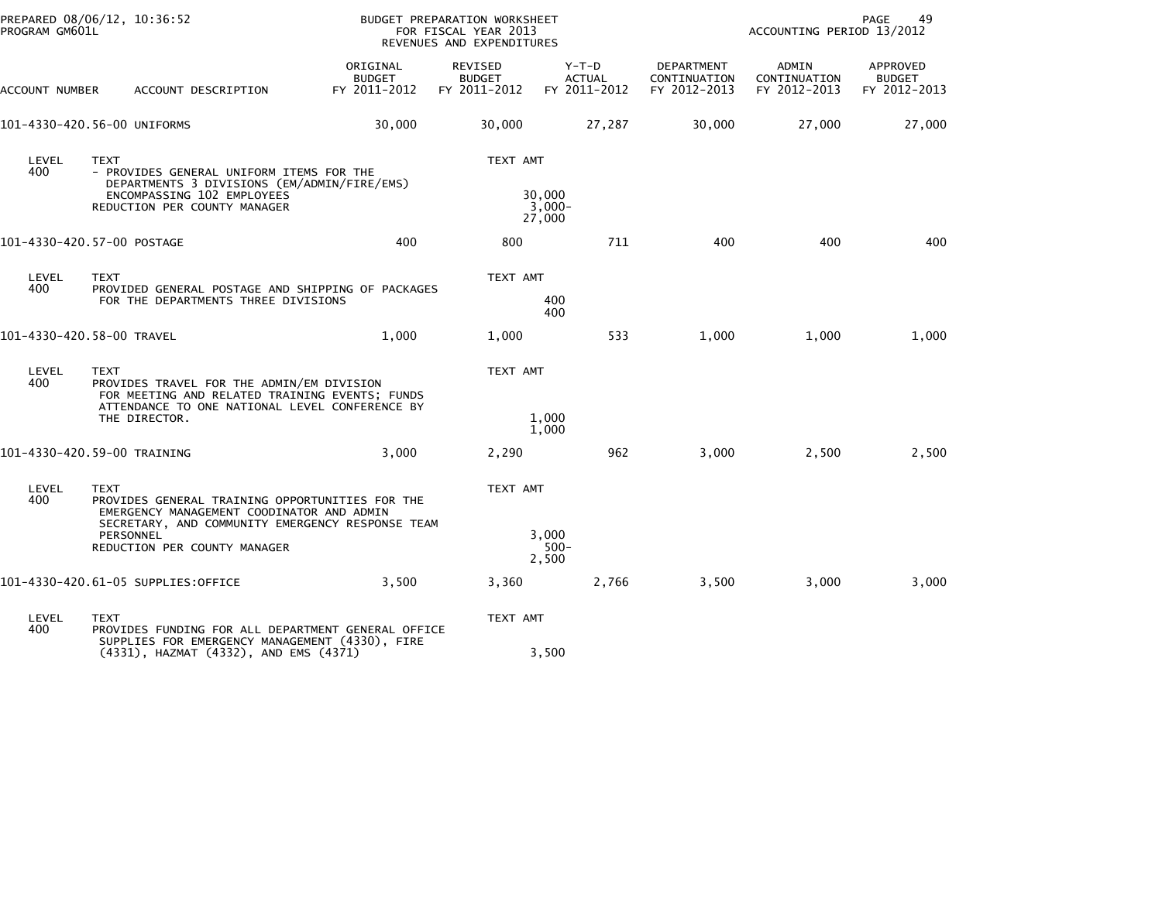| PREPARED 08/06/12, 10:36:52<br>PROGRAM GM601L |             |                                                                                                                                                       |                                           | BUDGET PREPARATION WORKSHEET<br>FOR FISCAL YEAR 2013<br>REVENUES AND EXPENDITURES |                                          |                                            | ACCOUNTING PERIOD 13/2012             | 49<br>PAGE                                |
|-----------------------------------------------|-------------|-------------------------------------------------------------------------------------------------------------------------------------------------------|-------------------------------------------|-----------------------------------------------------------------------------------|------------------------------------------|--------------------------------------------|---------------------------------------|-------------------------------------------|
| ACCOUNT NUMBER                                |             | ACCOUNT DESCRIPTION                                                                                                                                   | ORIGINAL<br><b>BUDGET</b><br>FY 2011-2012 | REVISED<br><b>BUDGET</b><br>FY 2011-2012                                          | $Y-T-D$<br><b>ACTUAL</b><br>FY 2011-2012 | DEPARTMENT<br>CONTINUATION<br>FY 2012-2013 | ADMIN<br>CONTINUATION<br>FY 2012-2013 | APPROVED<br><b>BUDGET</b><br>FY 2012-2013 |
| 101-4330-420.56-00 UNIFORMS                   |             |                                                                                                                                                       | 30,000                                    | 30,000                                                                            | 27,287                                   | 30,000                                     | 27,000                                | 27,000                                    |
| LEVEL<br>400                                  | <b>TEXT</b> | - PROVIDES GENERAL UNIFORM ITEMS FOR THE<br>DEPARTMENTS 3 DIVISIONS (EM/ADMIN/FIRE/EMS)<br>ENCOMPASSING 102 EMPLOYEES<br>REDUCTION PER COUNTY MANAGER |                                           | TEXT AMT                                                                          | 30,000<br>$3,000-$<br>27,000             |                                            |                                       |                                           |
| 101-4330-420.57-00 POSTAGE                    |             |                                                                                                                                                       | 400                                       | 800                                                                               | 711                                      | 400                                        | 400                                   | 400                                       |
| LEVEL<br>400                                  | <b>TEXT</b> | PROVIDED GENERAL POSTAGE AND SHIPPING OF PACKAGES<br>FOR THE DEPARTMENTS THREE DIVISIONS                                                              |                                           | TEXT AMT                                                                          | 400<br>400                               |                                            |                                       |                                           |
| 101-4330-420.58-00 TRAVEL                     |             |                                                                                                                                                       | 1,000                                     | 1,000                                                                             | 533                                      | 1,000                                      | 1,000                                 | 1,000                                     |
| LEVEL<br>400                                  | <b>TEXT</b> | PROVIDES TRAVEL FOR THE ADMIN/EM DIVISION<br>FOR MEETING AND RELATED TRAINING EVENTS; FUNDS<br>ATTENDANCE TO ONE NATIONAL LEVEL CONFERENCE BY         |                                           | TEXT AMT                                                                          |                                          |                                            |                                       |                                           |
|                                               |             | THE DIRECTOR.                                                                                                                                         |                                           |                                                                                   | 1,000<br>1,000                           |                                            |                                       |                                           |
| 101-4330-420.59-00 TRAINING                   |             |                                                                                                                                                       | 3.000                                     | 2,290                                                                             | 962                                      | 3,000                                      | 2,500                                 | 2,500                                     |
| LEVEL<br>400                                  | <b>TEXT</b> | PROVIDES GENERAL TRAINING OPPORTUNITIES FOR THE<br>EMERGENCY MANAGEMENT COODINATOR AND ADMIN<br>SECRETARY, AND COMMUNITY EMERGENCY RESPONSE TEAM      |                                           | TEXT AMT                                                                          |                                          |                                            |                                       |                                           |
|                                               | PERSONNEL   | REDUCTION PER COUNTY MANAGER                                                                                                                          |                                           |                                                                                   | 3,000<br>$500 -$<br>2,500                |                                            |                                       |                                           |
|                                               |             | 101-4330-420.61-05 SUPPLIES:OFFICE                                                                                                                    | 3,500                                     | 3,360                                                                             | 2,766                                    | 3,500                                      | 3,000                                 | 3,000                                     |
| LEVEL<br>400                                  | <b>TEXT</b> | PROVIDES FUNDING FOR ALL DEPARTMENT GENERAL OFFICE<br>SUPPLIES FOR EMERGENCY MANAGEMENT (4330), FIRE                                                  |                                           | TEXT AMT                                                                          |                                          |                                            |                                       |                                           |
|                                               |             | (4331), HAZMAT (4332), AND EMS (4371)                                                                                                                 |                                           |                                                                                   | 3,500                                    |                                            |                                       |                                           |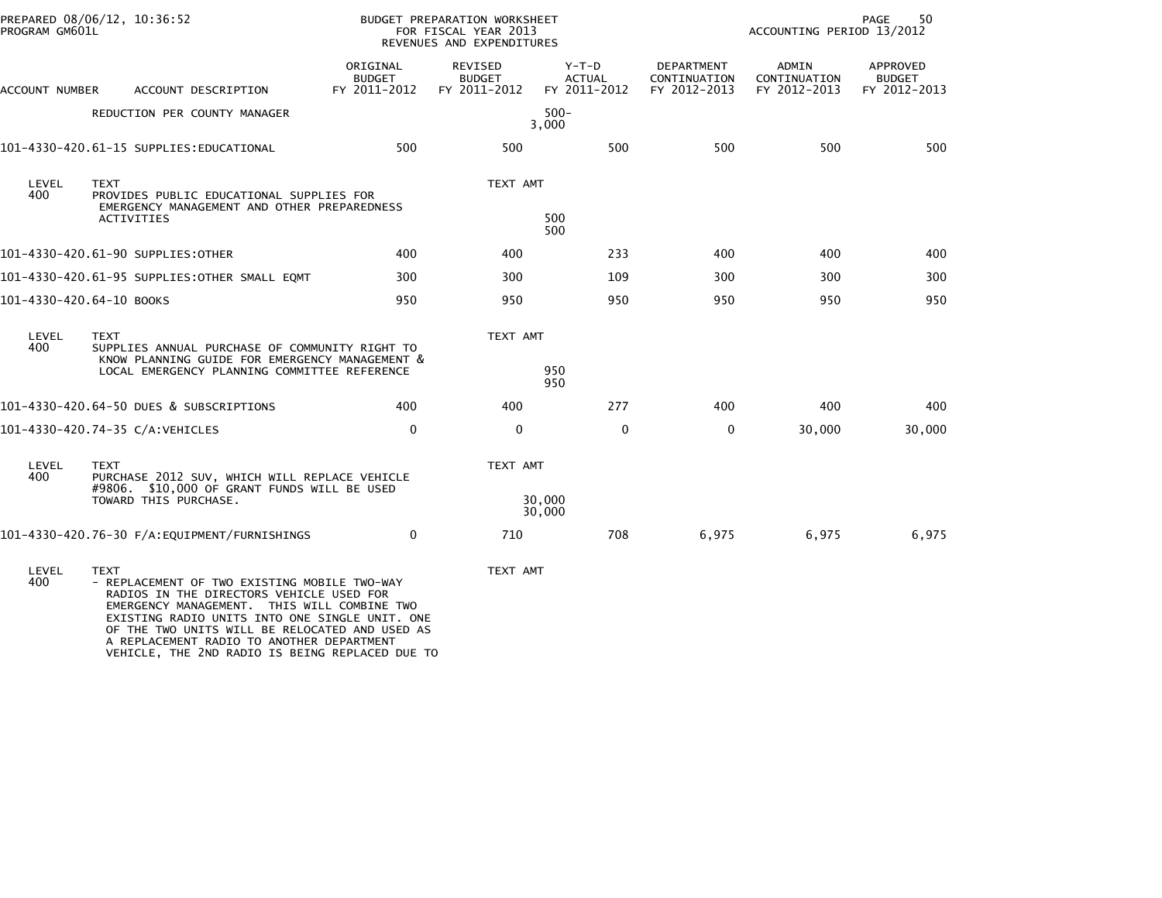| PREPARED 08/06/12, 10:36:52<br>PROGRAM GM601L |                                                                                                                                                                                                                                                                                                                                                            |                                           | BUDGET PREPARATION WORKSHEET<br>FOR FISCAL YEAR 2013<br>REVENUES AND EXPENDITURES |                                          | 50<br>PAGE<br>ACCOUNTING PERIOD 13/2012    |                                       |                                           |
|-----------------------------------------------|------------------------------------------------------------------------------------------------------------------------------------------------------------------------------------------------------------------------------------------------------------------------------------------------------------------------------------------------------------|-------------------------------------------|-----------------------------------------------------------------------------------|------------------------------------------|--------------------------------------------|---------------------------------------|-------------------------------------------|
| ACCOUNT NUMBER                                | ACCOUNT DESCRIPTION                                                                                                                                                                                                                                                                                                                                        | ORIGINAL<br><b>BUDGET</b><br>FY 2011-2012 | REVISED<br><b>BUDGET</b><br>FY 2011-2012                                          | $Y-T-D$<br><b>ACTUAL</b><br>FY 2011-2012 | DEPARTMENT<br>CONTINUATION<br>FY 2012-2013 | ADMIN<br>CONTINUATION<br>FY 2012-2013 | APPROVED<br><b>BUDGET</b><br>FY 2012-2013 |
|                                               | REDUCTION PER COUNTY MANAGER                                                                                                                                                                                                                                                                                                                               |                                           |                                                                                   | $500 -$<br>3,000                         |                                            |                                       |                                           |
|                                               | 101-4330-420.61-15 SUPPLIES: EDUCATIONAL                                                                                                                                                                                                                                                                                                                   | 500                                       | 500                                                                               | 500                                      | 500                                        | 500                                   | 500                                       |
| LEVEL<br>400                                  | <b>TEXT</b><br>PROVIDES PUBLIC EDUCATIONAL SUPPLIES FOR<br>EMERGENCY MANAGEMENT AND OTHER PREPAREDNESS<br><b>ACTIVITIES</b>                                                                                                                                                                                                                                |                                           | TEXT AMT                                                                          | 500                                      |                                            |                                       |                                           |
|                                               |                                                                                                                                                                                                                                                                                                                                                            |                                           |                                                                                   | 500                                      |                                            |                                       |                                           |
|                                               | 101-4330-420.61-90 SUPPLIES: OTHER                                                                                                                                                                                                                                                                                                                         | 400                                       | 400                                                                               | 233                                      | 400                                        | 400                                   | 400                                       |
|                                               | 101-4330-420.61-95 SUPPLIES:OTHER SMALL EQMT                                                                                                                                                                                                                                                                                                               | 300                                       | 300                                                                               | 109                                      | 300                                        | 300                                   | 300                                       |
| 101-4330-420.64-10 BOOKS                      |                                                                                                                                                                                                                                                                                                                                                            | 950                                       | 950                                                                               | 950                                      | 950                                        | 950                                   | 950                                       |
| LEVEL<br>400                                  | <b>TEXT</b><br>SUPPLIES ANNUAL PURCHASE OF COMMUNITY RIGHT TO<br>KNOW PLANNING GUIDE FOR EMERGENCY MANAGEMENT &<br>LOCAL EMERGENCY PLANNING COMMITTEE REFERENCE                                                                                                                                                                                            |                                           | TEXT AMT                                                                          | 950<br>950                               |                                            |                                       |                                           |
|                                               | 101-4330-420.64-50 DUES & SUBSCRIPTIONS                                                                                                                                                                                                                                                                                                                    | 400                                       | 400                                                                               | 277                                      | 400                                        | 400                                   | 400                                       |
|                                               | 101-4330-420.74-35 C/A:VEHICLES                                                                                                                                                                                                                                                                                                                            | $\mathbf 0$                               | $\mathbf 0$                                                                       | $\mathbf{0}$                             | $\mathbf 0$                                | 30,000                                | 30,000                                    |
| LEVEL<br>400                                  | <b>TEXT</b><br>PURCHASE 2012 SUV, WHICH WILL REPLACE VEHICLE<br>#9806. \$10,000 OF GRANT FUNDS WILL BE USED                                                                                                                                                                                                                                                |                                           | TEXT AMT                                                                          |                                          |                                            |                                       |                                           |
|                                               | TOWARD THIS PURCHASE.                                                                                                                                                                                                                                                                                                                                      |                                           |                                                                                   | 30,000<br>30,000                         |                                            |                                       |                                           |
|                                               |                                                                                                                                                                                                                                                                                                                                                            | $\mathbf{0}$                              | 710                                                                               | 708                                      | 6,975                                      | 6,975                                 | 6,975                                     |
| LEVEL<br>400                                  | <b>TEXT</b><br>- REPLACEMENT OF TWO EXISTING MOBILE TWO-WAY<br>RADIOS IN THE DIRECTORS VEHICLE USED FOR<br>EMERGENCY MANAGEMENT. THIS WILL COMBINE TWO<br>EXISTING RADIO UNITS INTO ONE SINGLE UNIT. ONE<br>OF THE TWO UNITS WILL BE RELOCATED AND USED AS<br>A REPLACEMENT RADIO TO ANOTHER DEPARTMENT<br>VEHICLE, THE 2ND RADIO IS BEING REPLACED DUE TO |                                           | TEXT AMT                                                                          |                                          |                                            |                                       |                                           |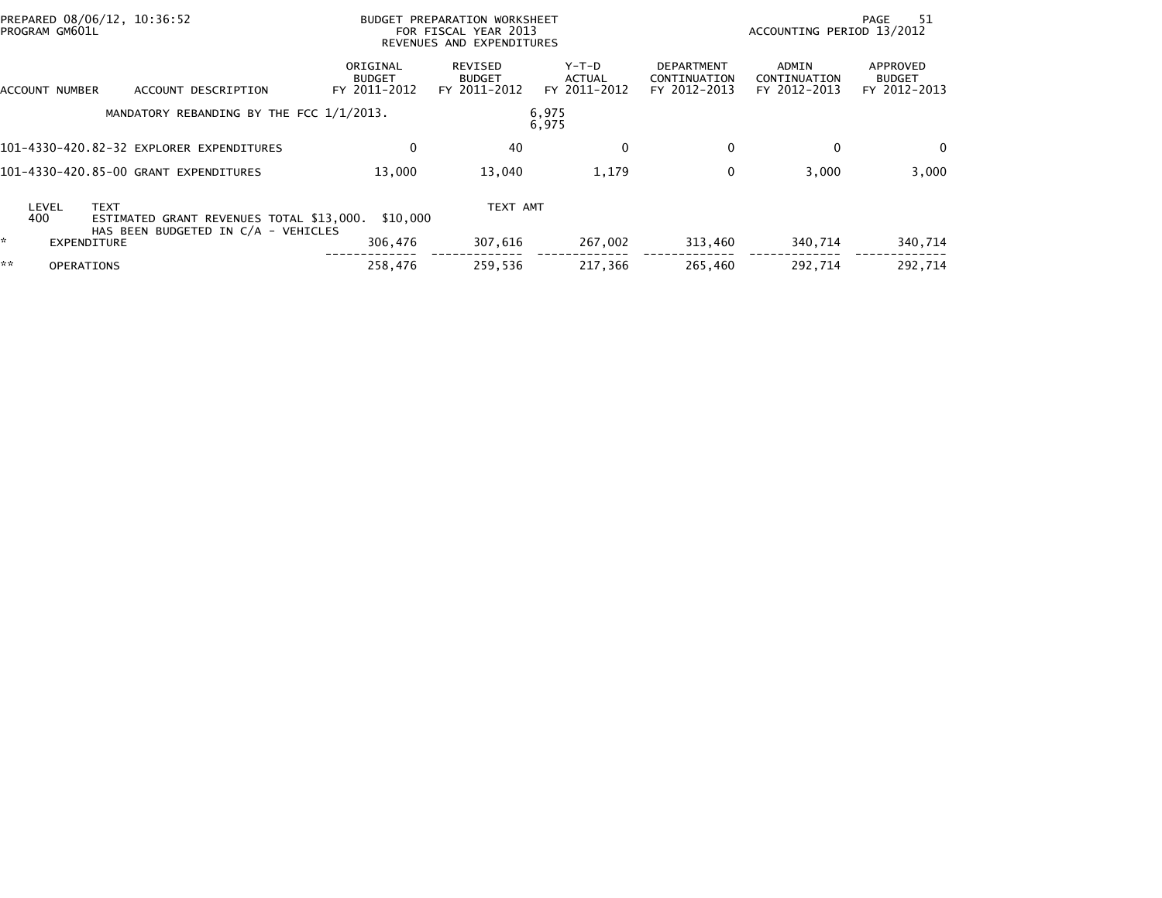|    | PROGRAM GM601L    | PREPARED 08/06/12, 10:36:52 |                                                                                 |                                           | BUDGET PREPARATION WORKSHEET<br>FOR FISCAL YEAR 2013<br>REVENUES AND EXPENDITURES |                                 |                                                   | ACCOUNTING PERIOD 13/2012             | -51<br>PAGE                               |
|----|-------------------|-----------------------------|---------------------------------------------------------------------------------|-------------------------------------------|-----------------------------------------------------------------------------------|---------------------------------|---------------------------------------------------|---------------------------------------|-------------------------------------------|
|    | ACCOUNT NUMBER    |                             | ACCOUNT DESCRIPTION                                                             | ORIGINAL<br><b>BUDGET</b><br>FY 2011-2012 | REVISED<br><b>BUDGET</b><br>FY 2011-2012                                          | Y-T-D<br>ACTUAL<br>FY 2011-2012 | <b>DEPARTMENT</b><br>CONTINUATION<br>FY 2012-2013 | ADMIN<br>CONTINUATION<br>FY 2012-2013 | APPROVED<br><b>BUDGET</b><br>FY 2012-2013 |
|    |                   |                             | MANDATORY REBANDING BY THE FCC 1/1/2013.                                        |                                           |                                                                                   | 6,975<br>6,975                  |                                                   |                                       |                                           |
|    |                   |                             | 101-4330-420.82-32 EXPLORER EXPENDITURES                                        | 0                                         | 40                                                                                | $\Omega$                        | $\mathbf{0}$                                      | $\Omega$                              | $\mathbf{0}$                              |
|    |                   |                             | 101-4330-420.85-00 GRANT EXPENDITURES                                           | 13,000                                    | 13,040                                                                            | 1,179                           | 0                                                 | 3,000                                 | 3,000                                     |
|    | LEVEL<br>400      | <b>TEXT</b>                 | ESTIMATED GRANT REVENUES TOTAL \$13,000.<br>HAS BEEN BUDGETED IN C/A - VEHICLES | \$10,000                                  | TEXT AMT                                                                          |                                 |                                                   |                                       |                                           |
| *. |                   | EXPENDITURE                 |                                                                                 | 306,476                                   | 307,616                                                                           | 267,002                         | 313,460                                           | 340,714                               | 340,714                                   |
| ** | <b>OPERATIONS</b> |                             |                                                                                 | 258.476                                   | 259.536                                                                           | 217.366                         | 265.460                                           | 292.714                               | 292.714                                   |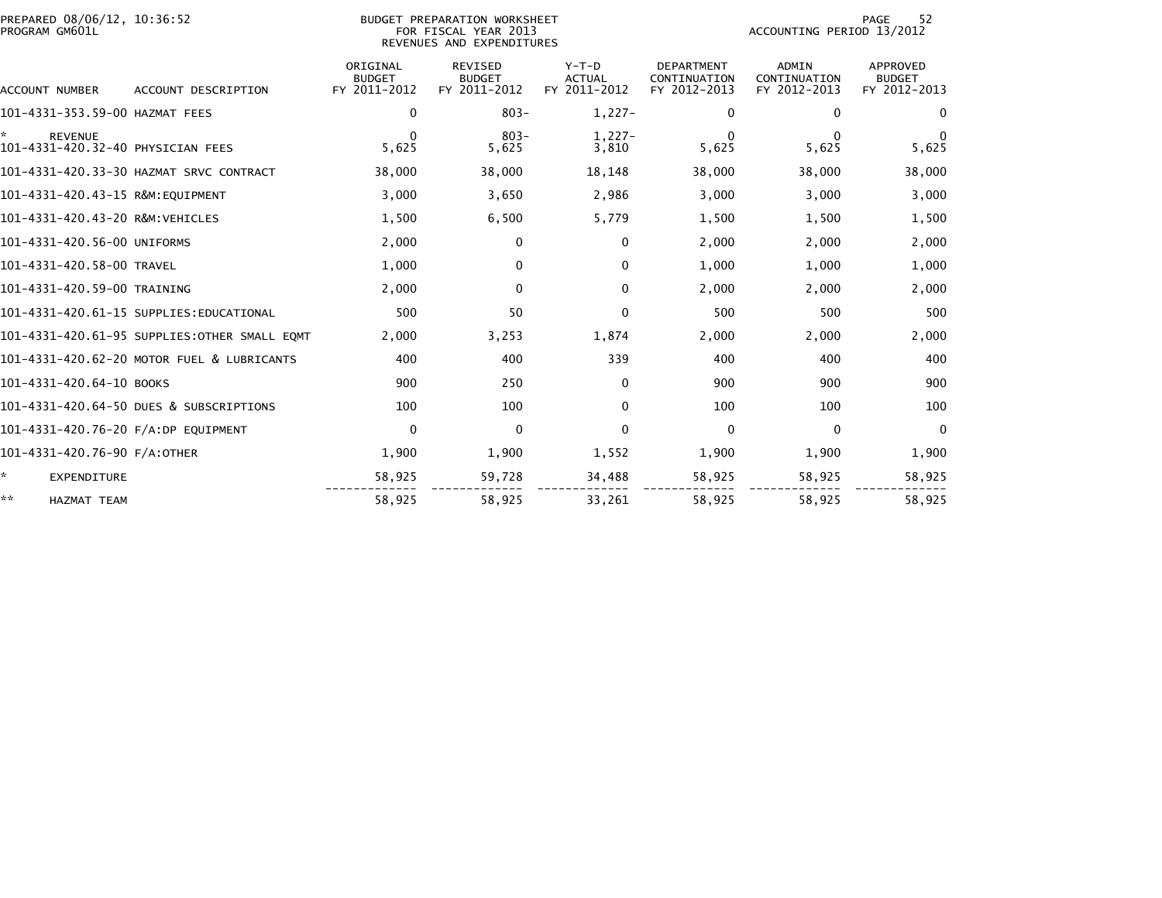| PREPARED 08/06/12, 10:36:52<br>PROGRAM GM601L             |                                              |                                           | BUDGET PREPARATION WORKSHEET<br>FOR FISCAL YEAR 2013<br>REVENUES AND EXPENDITURES |                                          | 52<br>PAGE<br>ACCOUNTING PERIOD 13/2012           |                                              |                                           |  |
|-----------------------------------------------------------|----------------------------------------------|-------------------------------------------|-----------------------------------------------------------------------------------|------------------------------------------|---------------------------------------------------|----------------------------------------------|-------------------------------------------|--|
| ACCOUNT NUMBER                                            | ACCOUNT DESCRIPTION                          | ORIGINAL<br><b>BUDGET</b><br>FY 2011-2012 | <b>REVISED</b><br><b>BUDGET</b><br>FY 2011-2012                                   | $Y-T-D$<br><b>ACTUAL</b><br>FY 2011-2012 | <b>DEPARTMENT</b><br>CONTINUATION<br>FY 2012-2013 | <b>ADMIN</b><br>CONTINUATION<br>FY 2012-2013 | APPROVED<br><b>BUDGET</b><br>FY 2012-2013 |  |
| 101-4331-353.59-00 HAZMAT FEES                            |                                              | $\mathbf{0}$                              | $803 -$                                                                           | $1,227-$                                 | $\mathbf{0}$                                      | $\mathbf{0}$                                 | 0                                         |  |
| ×.<br><b>REVENUE</b><br>101-4331-420.32-40 PHYSICIAN FEES |                                              | $\Omega$<br>5,625                         | $803 -$<br>5,625                                                                  | $1,227-$<br>3,810                        | $\mathbf{0}$<br>5,625                             | $\Omega$<br>5,625                            | $\Omega$<br>5,625                         |  |
|                                                           | 101-4331-420.33-30 HAZMAT SRVC CONTRACT      | 38,000                                    | 38,000                                                                            | 18,148                                   | 38,000                                            | 38,000                                       | 38,000                                    |  |
| 101-4331-420.43-15 R&M:EQUIPMENT                          |                                              | 3,000                                     | 3,650                                                                             | 2,986                                    | 3,000                                             | 3,000                                        | 3,000                                     |  |
| 101-4331-420.43-20 R&M:VEHICLES                           |                                              | 1,500                                     | 6,500                                                                             | 5,779                                    | 1,500                                             | 1,500                                        | 1,500                                     |  |
| 101-4331-420.56-00 UNIFORMS                               |                                              | 2,000                                     | $\mathbf 0$                                                                       | $\Omega$                                 | 2,000                                             | 2,000                                        | 2,000                                     |  |
| 101-4331-420.58-00 TRAVEL                                 |                                              | 1,000                                     | 0                                                                                 | 0                                        | 1,000                                             | 1,000                                        | 1,000                                     |  |
| 101-4331-420.59-00 TRAINING                               |                                              | 2,000                                     | $\mathbf 0$                                                                       | $\Omega$                                 | 2,000                                             | 2,000                                        | 2,000                                     |  |
|                                                           | 101-4331-420.61-15 SUPPLIES:EDUCATIONAL      | 500                                       | 50                                                                                | 0                                        | 500                                               | 500                                          | 500                                       |  |
|                                                           | 101-4331-420.61-95 SUPPLIES:OTHER SMALL EQMT | 2,000                                     | 3,253                                                                             | 1,874                                    | 2,000                                             | 2,000                                        | 2,000                                     |  |
|                                                           | 101-4331-420.62-20 MOTOR FUEL & LUBRICANTS   | 400                                       | 400                                                                               | 339                                      | 400                                               | 400                                          | 400                                       |  |
| 101-4331-420.64-10 BOOKS                                  |                                              | 900                                       | 250                                                                               | $\Omega$                                 | 900                                               | 900                                          | 900                                       |  |
|                                                           | 101-4331-420.64-50 DUES & SUBSCRIPTIONS      | 100                                       | 100                                                                               | 0                                        | 100                                               | 100                                          | 100                                       |  |
| 101-4331-420.76-20 F/A:DP EQUIPMENT                       |                                              | 0                                         | $\Omega$                                                                          | $\Omega$                                 | $\mathbf{0}$                                      | $\mathbf{0}$                                 | $\Omega$                                  |  |
| 101-4331-420.76-90 F/A:OTHER                              |                                              | 1,900                                     | 1,900                                                                             | 1,552                                    | 1,900                                             | 1,900                                        | 1,900                                     |  |
| ÷.<br><b>EXPENDITURE</b>                                  |                                              | 58,925                                    | 59,728                                                                            | 34,488                                   | 58,925                                            | 58,925                                       | 58,925                                    |  |
| **<br><b>HAZMAT TEAM</b>                                  |                                              | 58,925                                    | 58,925                                                                            | 33,261                                   | 58,925                                            | 58,925                                       | 58,925                                    |  |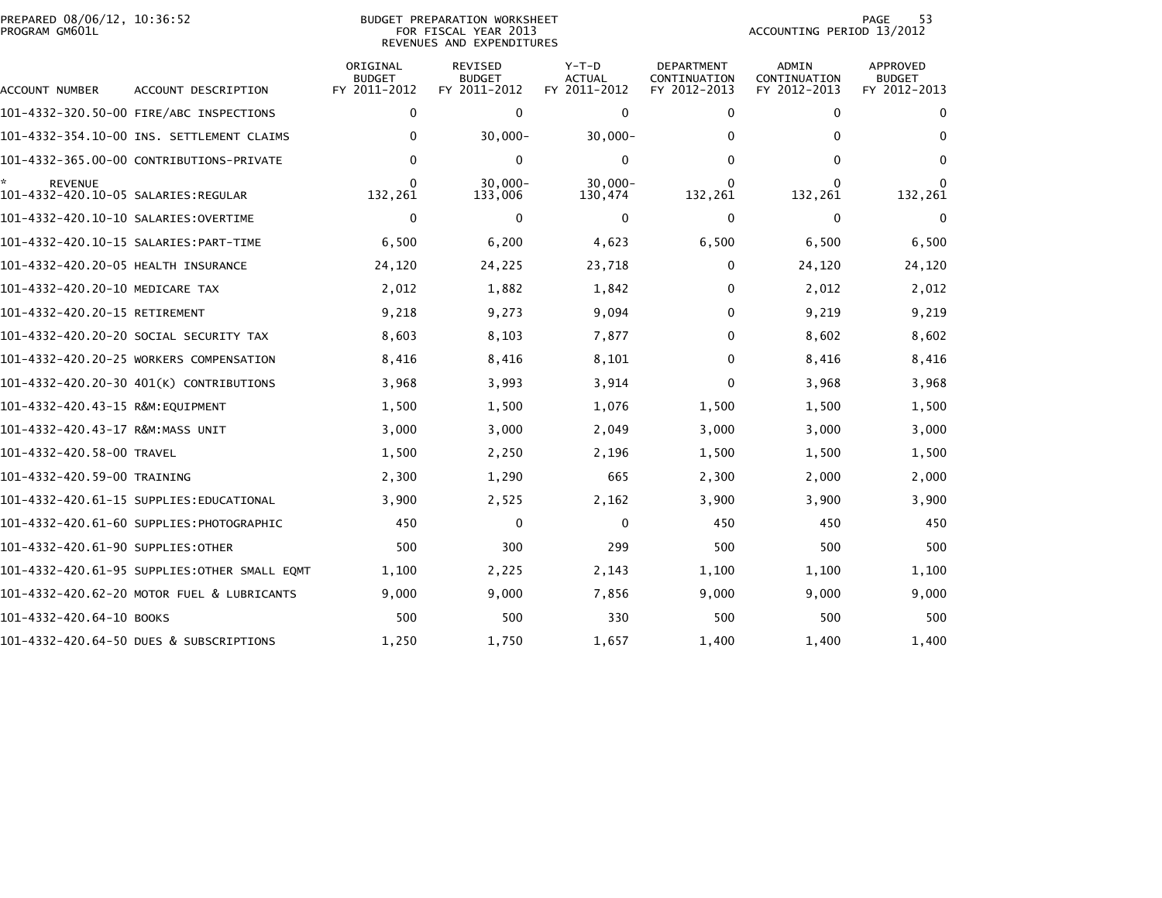|                | PREPARED 08/06/12, 10:36:52 |  |
|----------------|-----------------------------|--|
| PROGRAM GM601L |                             |  |

## PREPARED 08/06/12, 10:36:52 BUDGET PREPARATION WORKSHEET PAGE 53PROGRAM GM601L FOR FISCAL YEAR 2013 ACCOUNTING PERIOD 13/2012 REVENUES AND EXPENDITURES

| <b>ACCOUNT NUMBER</b>                                 | ACCOUNT DESCRIPTION                           | ORIGINAL<br><b>BUDGET</b><br>FY 2011-2012 | <b>REVISED</b><br><b>BUDGET</b><br>FY 2011-2012 | $Y-T-D$<br><b>ACTUAL</b><br>FY 2011-2012 | <b>DEPARTMENT</b><br>CONTINUATION<br>FY 2012-2013 | <b>ADMIN</b><br>CONTINUATION<br>FY 2012-2013 | <b>APPROVED</b><br><b>BUDGET</b><br>FY 2012-2013 |
|-------------------------------------------------------|-----------------------------------------------|-------------------------------------------|-------------------------------------------------|------------------------------------------|---------------------------------------------------|----------------------------------------------|--------------------------------------------------|
|                                                       |                                               | 0                                         | $\mathbf{0}$                                    | $\mathbf{0}$                             | $\mathbf{0}$                                      | 0                                            | $\Omega$                                         |
|                                                       | 101-4332-354.10-00 INS. SETTLEMENT CLAIMS     | $\Omega$                                  | $30,000 -$                                      | $30,000 -$                               | $\Omega$                                          | 0                                            | 0                                                |
|                                                       | 101-4332-365.00-00 CONTRIBUTIONS-PRIVATE      | $\Omega$                                  | 0                                               | $\mathbf{0}$                             | $\Omega$                                          | 0                                            | $\Omega$                                         |
| <b>REVENUE</b><br>101–4332–420.10–05 SALARIES:REGULAR |                                               | $\Omega$<br>132,261                       | $30.000 -$<br>133,006                           | $30.000 -$<br>130,474                    | $\mathbf{0}$<br>132,261                           | 132,261                                      | $\Omega$<br>132,261                              |
|                                                       |                                               | $\mathbf 0$                               | $\mathbf{0}$                                    | 0                                        | $\mathbf 0$                                       | 0                                            | 0                                                |
|                                                       |                                               | 6,500                                     | 6,200                                           | 4,623                                    | 6,500                                             | 6,500                                        | 6,500                                            |
| 101-4332-420.20-05 HEALTH INSURANCE                   |                                               | 24,120                                    | 24,225                                          | 23,718                                   | $\mathbf{0}$                                      | 24,120                                       | 24,120                                           |
| 101-4332-420.20-10 MEDICARE TAX                       |                                               | 2,012                                     | 1,882                                           | 1,842                                    | 0                                                 | 2,012                                        | 2,012                                            |
| 101-4332-420.20-15 RETIREMENT                         |                                               | 9,218                                     | 9,273                                           | 9,094                                    | 0                                                 | 9,219                                        | 9,219                                            |
|                                                       | 101-4332-420.20-20 SOCIAL SECURITY TAX        | 8,603                                     | 8,103                                           | 7,877                                    | 0                                                 | 8,602                                        | 8,602                                            |
|                                                       | 101-4332-420.20-25 WORKERS COMPENSATION       | 8,416                                     | 8,416                                           | 8,101                                    | 0                                                 | 8,416                                        | 8,416                                            |
|                                                       | 101-4332-420.20-30 401(K) CONTRIBUTIONS       | 3,968                                     | 3,993                                           | 3,914                                    | 0                                                 | 3,968                                        | 3,968                                            |
| 101-4332-420.43-15 R&M:EQUIPMENT                      |                                               | 1,500                                     | 1,500                                           | 1,076                                    | 1,500                                             | 1,500                                        | 1,500                                            |
| 101-4332-420.43-17 R&M:MASS UNIT                      |                                               | 3,000                                     | 3,000                                           | 2,049                                    | 3,000                                             | 3,000                                        | 3,000                                            |
| 101-4332-420.58-00 TRAVEL                             |                                               | 1,500                                     | 2,250                                           | 2,196                                    | 1,500                                             | 1,500                                        | 1,500                                            |
| 101-4332-420.59-00 TRAINING                           |                                               | 2,300                                     | 1,290                                           | 665                                      | 2,300                                             | 2,000                                        | 2,000                                            |
|                                                       | 101-4332-420.61-15 SUPPLIES: EDUCATIONAL      | 3,900                                     | 2,525                                           | 2,162                                    | 3,900                                             | 3,900                                        | 3,900                                            |
|                                                       | 101-4332-420.61-60 SUPPLIES:PHOTOGRAPHIC      | 450                                       | $\mathbf{0}$                                    | $\mathbf 0$                              | 450                                               | 450                                          | 450                                              |
| 101-4332-420.61-90 SUPPLIES: OTHER                    |                                               | 500                                       | 300                                             | 299                                      | 500                                               | 500                                          | 500                                              |
|                                                       | 101-4332-420.61-95 SUPPLIES: OTHER SMALL EQMT | 1.100                                     | 2,225                                           | 2,143                                    | 1,100                                             | 1,100                                        | 1,100                                            |
|                                                       | 101-4332-420.62-20 MOTOR FUEL & LUBRICANTS    | 9,000                                     | 9,000                                           | 7,856                                    | 9,000                                             | 9,000                                        | 9,000                                            |
| 101-4332-420.64-10 BOOKS                              |                                               | 500                                       | 500                                             | 330                                      | 500                                               | 500                                          | 500                                              |
|                                                       | 101-4332-420.64-50 DUES & SUBSCRIPTIONS       | 1,250                                     | 1,750                                           | 1,657                                    | 1,400                                             | 1,400                                        | 1,400                                            |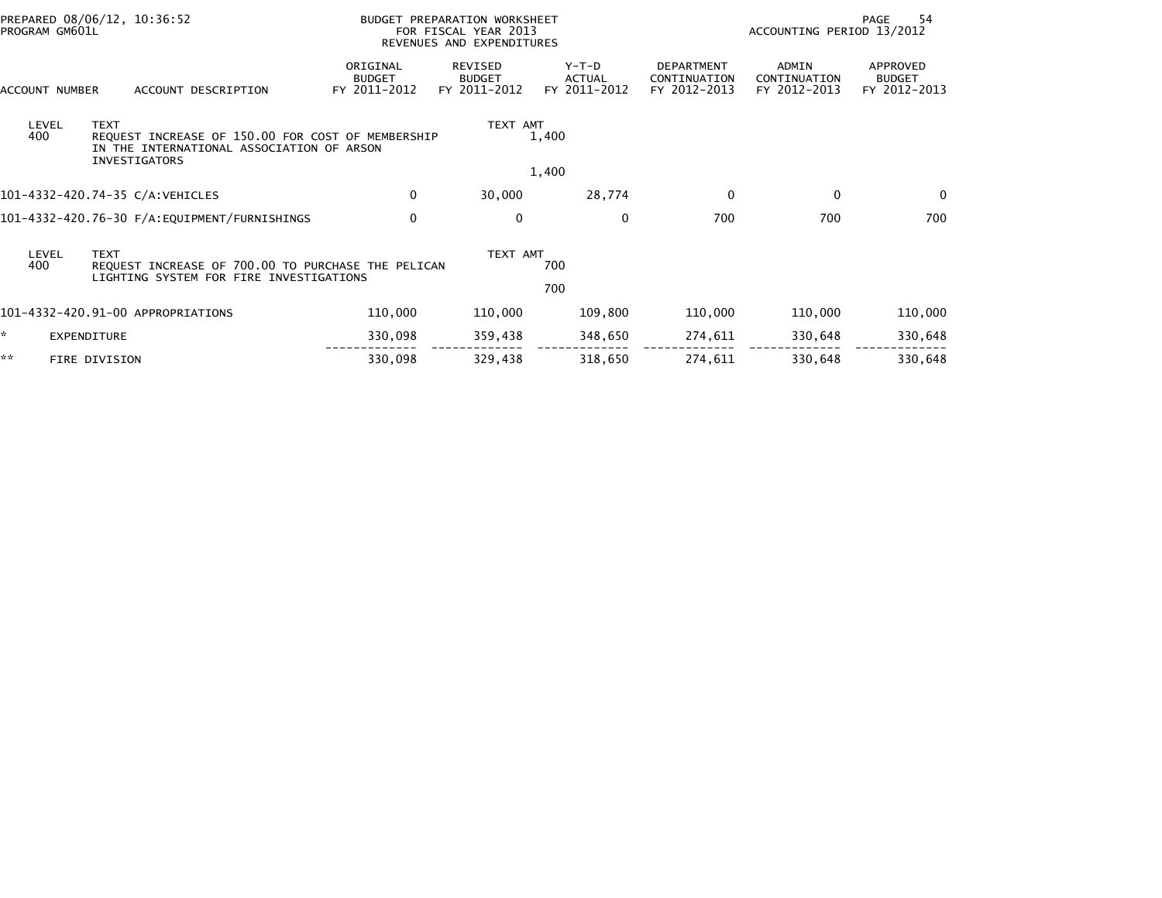| PROGRAM GM601L | PREPARED 08/06/12, 10:36:52                                                                                                           |                                           | BUDGET PREPARATION WORKSHEET<br>FOR FISCAL YEAR 2013<br>REVENUES AND EXPENDITURES |                                          |                                            |                                              | 54<br>PAGE<br>ACCOUNTING PERIOD 13/2012   |  |
|----------------|---------------------------------------------------------------------------------------------------------------------------------------|-------------------------------------------|-----------------------------------------------------------------------------------|------------------------------------------|--------------------------------------------|----------------------------------------------|-------------------------------------------|--|
| ACCOUNT NUMBER | ACCOUNT DESCRIPTION                                                                                                                   | ORIGINAL<br><b>BUDGET</b><br>FY 2011-2012 | <b>REVISED</b><br><b>BUDGET</b><br>FY 2011-2012                                   | $Y-T-D$<br><b>ACTUAL</b><br>FY 2011-2012 | DEPARTMENT<br>CONTINUATION<br>FY 2012-2013 | <b>ADMIN</b><br>CONTINUATION<br>FY 2012-2013 | APPROVED<br><b>BUDGET</b><br>FY 2012-2013 |  |
| LEVEL<br>400   | <b>TEXT</b><br>REQUEST INCREASE OF 150.00 FOR COST OF MEMBERSHIP<br>IN THE INTERNATIONAL ASSOCIATION OF ARSON<br><b>INVESTIGATORS</b> |                                           | TEXT AMT                                                                          | 1,400                                    |                                            |                                              |                                           |  |
|                |                                                                                                                                       |                                           |                                                                                   | 1,400                                    |                                            |                                              |                                           |  |
|                | 101-4332-420.74-35 C/A:VEHICLES                                                                                                       | 0                                         | 30,000                                                                            | 28,774                                   | 0                                          | $\Omega$                                     | $\Omega$                                  |  |
|                |                                                                                                                                       | $\mathbf 0$                               | $\mathbf 0$                                                                       | $\mathbf{0}$                             | 700                                        | 700                                          | 700                                       |  |
| LEVEL<br>400   | <b>TEXT</b><br>REOUEST INCREASE OF 700.00 TO PURCHASE THE PELICAN<br>LIGHTING SYSTEM FOR FIRE INVESTIGATIONS                          |                                           | TEXT AMT                                                                          | 700<br>700                               |                                            |                                              |                                           |  |
|                | 101-4332-420.91-00 APPROPRIATIONS                                                                                                     | 110,000                                   | 110,000                                                                           | 109,800                                  | 110,000                                    | 110,000                                      | 110,000                                   |  |
| ×.             | EXPENDITURE                                                                                                                           | 330,098                                   | 359,438                                                                           | 348,650                                  | 274,611                                    | 330,648                                      | 330,648                                   |  |
| **             | FIRE DIVISION                                                                                                                         | 330,098                                   | 329,438                                                                           | 318,650                                  | 274,611                                    | 330,648                                      | 330,648                                   |  |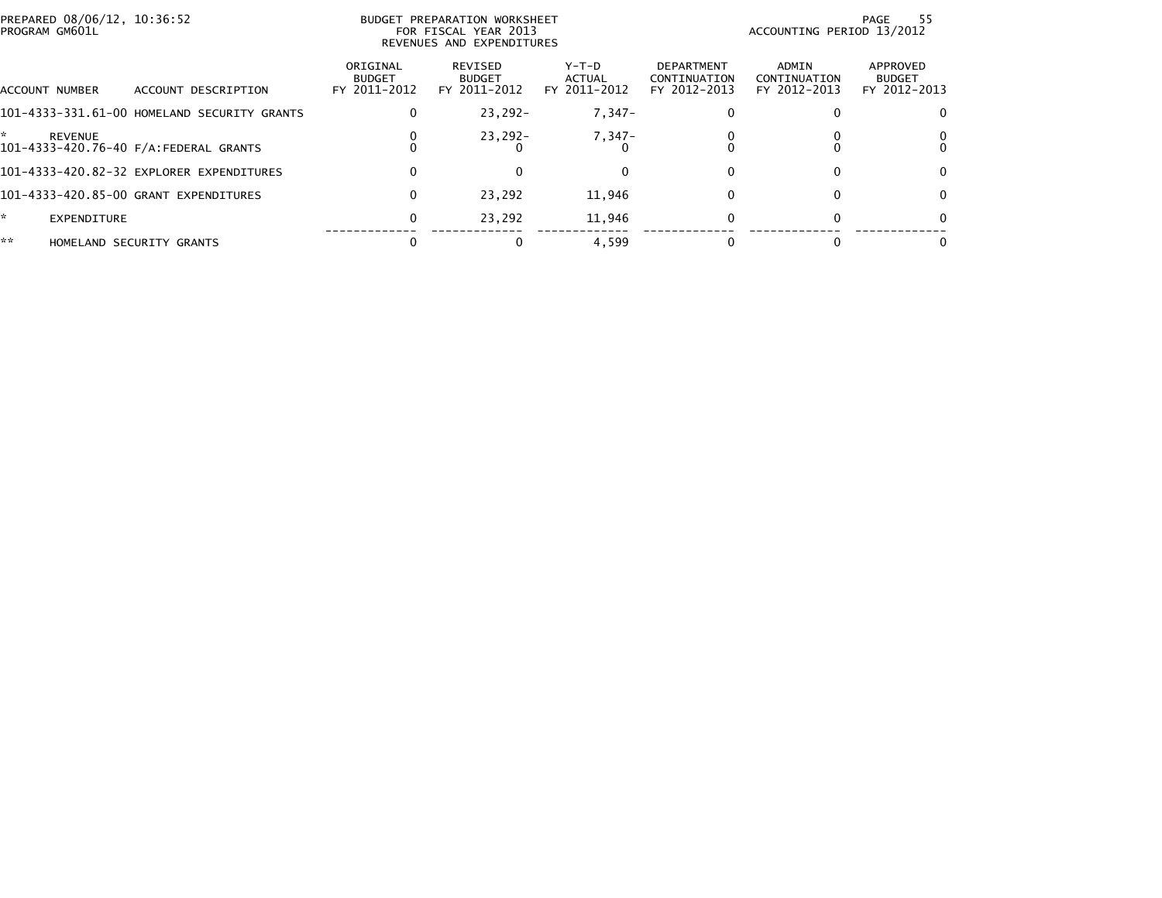| PREPARED 08/06/12, 10:36:52<br>PROGRAM GM601L |                                             | BUDGET PREPARATION WORKSHEET<br>FOR FISCAL YEAR 2013<br>REVENUES AND EXPENDITURES |                                          |                                 |                                            | -55<br>PAGE<br>ACCOUNTING PERIOD 13/2012 |                                           |  |
|-----------------------------------------------|---------------------------------------------|-----------------------------------------------------------------------------------|------------------------------------------|---------------------------------|--------------------------------------------|------------------------------------------|-------------------------------------------|--|
| ACCOUNT NUMBER                                | ACCOUNT DESCRIPTION                         | ORIGINAL<br><b>BUDGET</b><br>FY 2011-2012                                         | REVISED<br><b>BUDGET</b><br>FY 2011-2012 | Y-T-D<br>ACTUAL<br>FY 2011-2012 | DEPARTMENT<br>CONTINUATION<br>FY 2012-2013 | ADMIN<br>CONTINUATION<br>FY 2012-2013    | APPROVED<br><b>BUDGET</b><br>FY 2012-2013 |  |
|                                               | 101-4333-331.61-00 HOMELAND SECURITY GRANTS | 0                                                                                 | $23,292-$                                | $7,347-$                        |                                            |                                          | 0                                         |  |
| <b>REVENUE</b>                                | 101-4333-420.76-40 F/A: FEDERAL GRANTS      |                                                                                   | $23,292 -$                               | 7,347-                          |                                            |                                          | 0                                         |  |
|                                               | 101-4333-420.82-32 EXPLORER EXPENDITURES    | 0                                                                                 |                                          |                                 |                                            |                                          | $\Omega$                                  |  |
|                                               | 101-4333-420.85-00 GRANT EXPENDITURES       | 0                                                                                 | 23.292                                   | 11,946                          | 0                                          |                                          | $\mathbf{0}$                              |  |
| ×.<br>EXPENDITURE                             |                                             | 0                                                                                 | 23.292                                   | 11,946                          | 0                                          |                                          | $\Omega$                                  |  |
| **                                            | HOMELAND SECURITY GRANTS                    |                                                                                   |                                          | 4,599                           |                                            |                                          | 0                                         |  |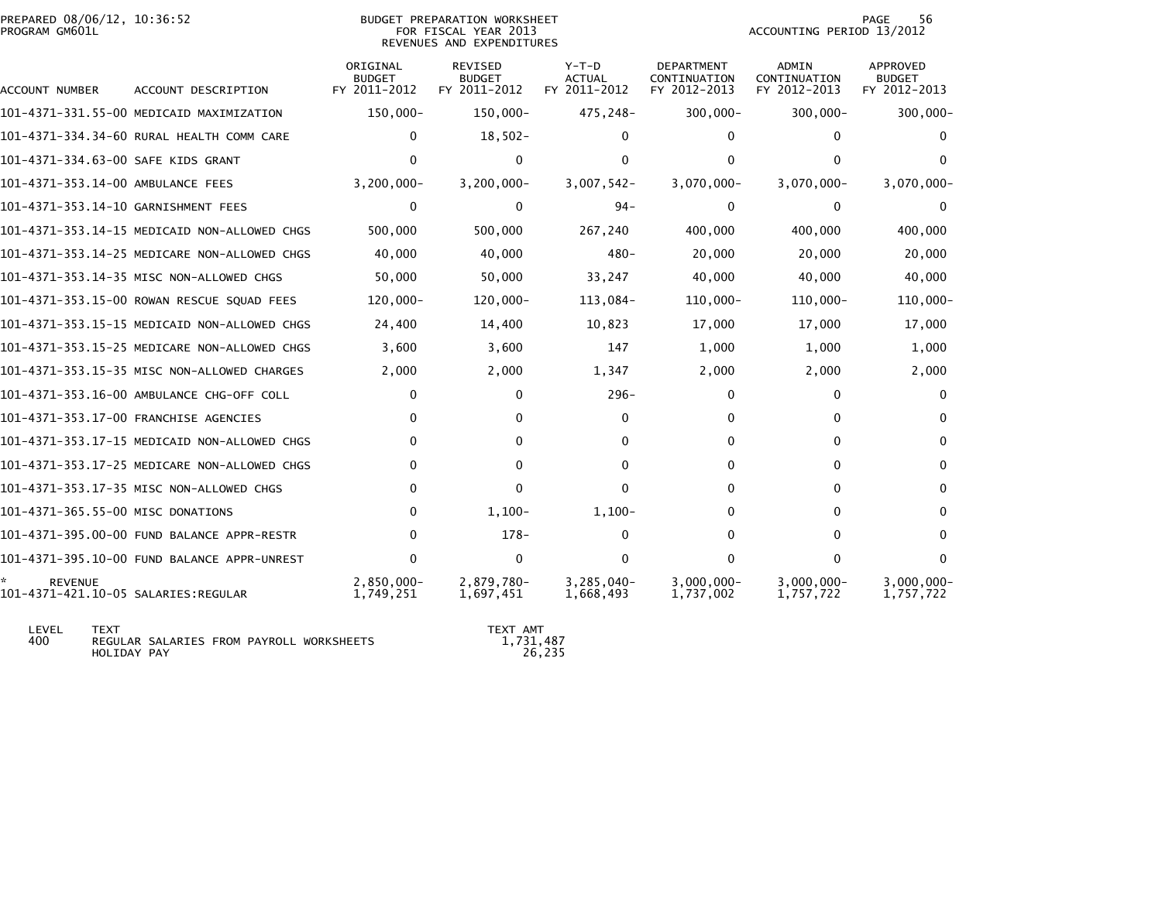| PREPARED 08/06/12, 10:36:52<br>PROGRAM GM601L |                                              |                                           | BUDGET PREPARATION WORKSHEET<br>FOR FISCAL YEAR 2013<br>REVENUES AND EXPENDITURES |                                          |                                                   | ACCOUNTING PERIOD 13/2012                    | 56<br>PAGE                                |
|-----------------------------------------------|----------------------------------------------|-------------------------------------------|-----------------------------------------------------------------------------------|------------------------------------------|---------------------------------------------------|----------------------------------------------|-------------------------------------------|
| ACCOUNT NUMBER                                | ACCOUNT DESCRIPTION                          | ORIGINAL<br><b>BUDGET</b><br>FY 2011-2012 | <b>REVISED</b><br><b>BUDGET</b><br>FY 2011-2012                                   | $Y-T-D$<br><b>ACTUAL</b><br>FY 2011-2012 | <b>DEPARTMENT</b><br>CONTINUATION<br>FY 2012-2013 | <b>ADMIN</b><br>CONTINUATION<br>FY 2012-2013 | APPROVED<br><b>BUDGET</b><br>FY 2012-2013 |
|                                               | 101–4371–331.55–00 MEDICAID MAXIMIZATION     | 150,000-                                  | 150,000-                                                                          | 475,248-                                 | $300,000 -$                                       | $300,000 -$                                  | $300,000 -$                               |
|                                               | 101-4371-334.34-60 RURAL HEALTH COMM CARE    | $\Omega$                                  | $18,502-$                                                                         | 0                                        | 0                                                 | 0                                            | $\Omega$                                  |
| 101-4371-334.63-00 SAFE KIDS GRANT            |                                              | $\Omega$                                  | $\mathbf 0$                                                                       | $\Omega$                                 | 0                                                 | $\Omega$                                     | <sup>0</sup>                              |
| 101-4371-353.14-00 AMBULANCE FEES             |                                              | $3,200,000 -$                             | $3,200,000 -$                                                                     | 3,007,542-                               | 3,070,000-                                        | $3,070,000 -$                                | $3,070,000 -$                             |
| 101-4371-353.14-10 GARNISHMENT FEES           |                                              | 0                                         | $\Omega$                                                                          | $94 -$                                   | $\Omega$                                          | $\mathbf{0}$                                 | $\mathbf 0$                               |
|                                               | 101-4371-353.14-15 MEDICAID NON-ALLOWED CHGS | 500,000                                   | 500,000                                                                           | 267,240                                  | 400,000                                           | 400,000                                      | 400,000                                   |
|                                               | 101-4371-353.14-25 MEDICARE NON-ALLOWED CHGS | 40,000                                    | 40,000                                                                            | 480-                                     | 20,000                                            | 20,000                                       | 20,000                                    |
|                                               | 101-4371-353.14-35 MISC NON-ALLOWED CHGS     | 50,000                                    | 50,000                                                                            | 33,247                                   | 40,000                                            | 40,000                                       | 40,000                                    |
|                                               | 101-4371-353.15-00 ROWAN RESCUE SQUAD FEES   | $120,000 -$                               | $120,000 -$                                                                       | 113,084-                                 | $110,000 -$                                       | $110,000 -$                                  | $110,000 -$                               |
|                                               | 101-4371-353.15-15 MEDICAID NON-ALLOWED CHGS | 24,400                                    | 14,400                                                                            | 10,823                                   | 17,000                                            | 17,000                                       | 17,000                                    |
|                                               | 101-4371-353.15-25 MEDICARE NON-ALLOWED CHGS | 3,600                                     | 3,600                                                                             | 147                                      | 1,000                                             | 1,000                                        | 1,000                                     |
|                                               | 101-4371-353.15-35 MISC NON-ALLOWED CHARGES  | 2,000                                     | 2,000                                                                             | 1,347                                    | 2,000                                             | 2,000                                        | 2,000                                     |
|                                               | 101-4371-353.16-00 AMBULANCE CHG-OFF COLL    | 0                                         | 0                                                                                 | $296 -$                                  | 0                                                 | 0                                            | 0                                         |
|                                               | 101-4371-353.17-00 FRANCHISE AGENCIES        | $\Omega$                                  | 0                                                                                 | $\Omega$                                 | 0                                                 | $\Omega$                                     | $\Omega$                                  |
|                                               | 101-4371-353.17-15 MEDICAID NON-ALLOWED CHGS | $\Omega$                                  | 0                                                                                 | 0                                        | 0                                                 | $\Omega$                                     | $\Omega$                                  |
|                                               | 101-4371-353.17-25 MEDICARE NON-ALLOWED CHGS | $\Omega$                                  | $\Omega$                                                                          | 0                                        | 0                                                 | $\Omega$                                     | $\Omega$                                  |
|                                               | 101-4371-353.17-35 MISC NON-ALLOWED CHGS     | $\Omega$                                  | 0                                                                                 | $\Omega$                                 | 0                                                 | 0                                            | 0                                         |
| 101-4371-365.55-00 MISC DONATIONS             |                                              | 0                                         | $1,100-$                                                                          | $1,100-$                                 | 0                                                 | 0                                            | 0                                         |
|                                               | 101-4371-395.00-00 FUND BALANCE APPR-RESTR   | $\Omega$                                  | $178-$                                                                            | $\Omega$                                 | 0                                                 | 0                                            | $\Omega$                                  |
|                                               | 101-4371-395.10-00 FUND BALANCE APPR-UNREST  | $\Omega$                                  | $\mathbf 0$                                                                       | $\Omega$                                 | 0                                                 | $\mathbf{0}$                                 | $\Omega$                                  |
| REVENUE                                       |                                              | $2,850,000 -$<br>1.749.251                | 2,879,780-<br>1,697,451                                                           | 3,285,040-<br>1.668.493                  | $3,000,000 -$<br>1.737.002                        | $3,000,000 -$<br>1.757.722                   | $3,000,000 -$<br>1,757,722                |

 LEVEL TEXT TEXT AMT 400 REGULAR SALARIES FROM PAYROLL WORKSHEETS 1,731,487HOLIDAY PAY 26,235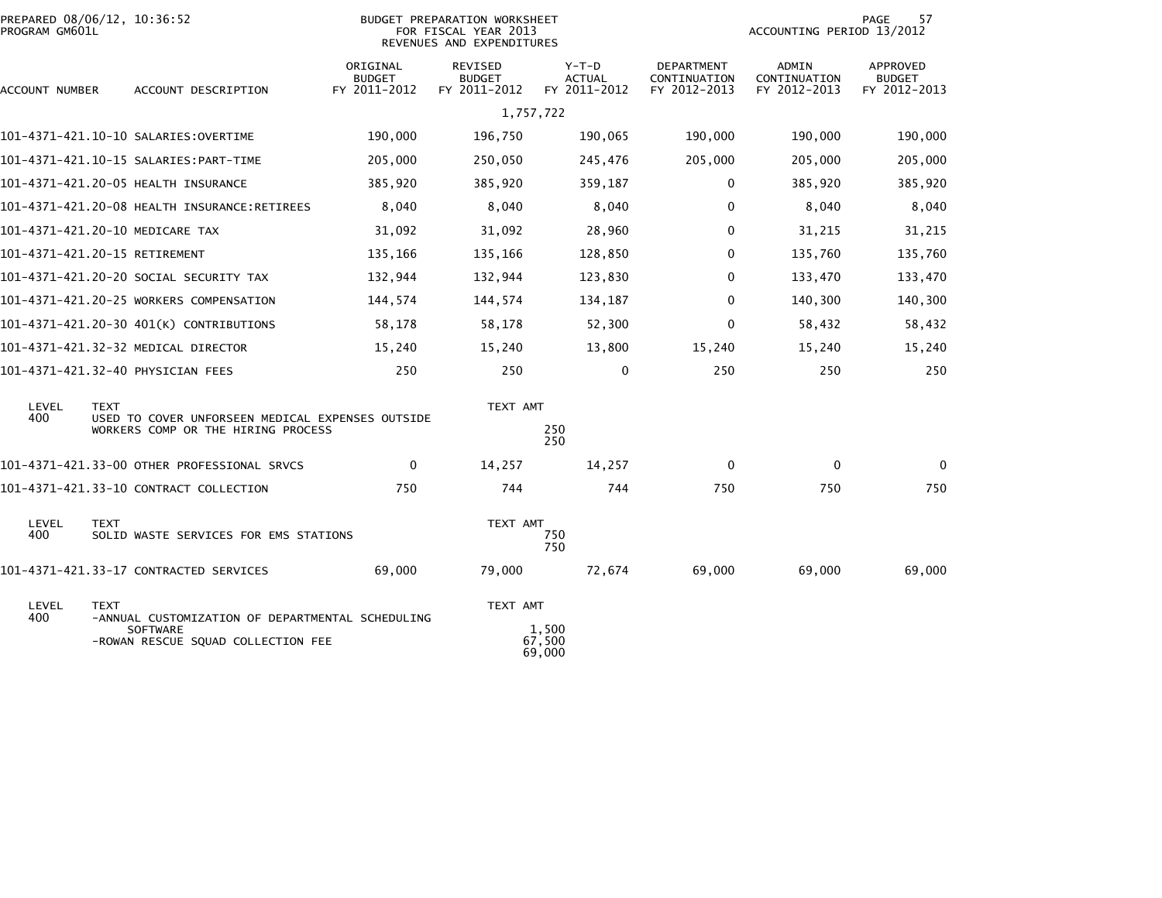| PROGRAM GM601L | PREPARED 08/06/12, 10:36:52                                                                                              |                                           | <b>BUDGET PREPARATION WORKSHEET</b><br>FOR FISCAL YEAR 2013<br>REVENUES AND EXPENDITURES | 57<br>PAGE<br>ACCOUNTING PERIOD 13/2012  |                                            |                                       |                                           |
|----------------|--------------------------------------------------------------------------------------------------------------------------|-------------------------------------------|------------------------------------------------------------------------------------------|------------------------------------------|--------------------------------------------|---------------------------------------|-------------------------------------------|
| ACCOUNT NUMBER | ACCOUNT DESCRIPTION                                                                                                      | ORIGINAL<br><b>BUDGET</b><br>FY 2011-2012 | REVISED<br><b>BUDGET</b><br>FY 2011-2012                                                 | $Y-T-D$<br><b>ACTUAL</b><br>FY 2011-2012 | DEPARTMENT<br>CONTINUATION<br>FY 2012-2013 | ADMIN<br>CONTINUATION<br>FY 2012-2013 | APPROVED<br><b>BUDGET</b><br>FY 2012-2013 |
|                |                                                                                                                          |                                           | 1,757,722                                                                                |                                          |                                            |                                       |                                           |
|                | 101-4371-421.10-10 SALARIES:OVERTIME                                                                                     | 190,000                                   | 196,750                                                                                  | 190,065                                  | 190,000                                    | 190,000                               | 190,000                                   |
|                |                                                                                                                          | 205,000                                   | 250,050                                                                                  | 245,476                                  | 205,000                                    | 205,000                               | 205,000                                   |
|                |                                                                                                                          | 385,920                                   | 385,920                                                                                  | 359,187                                  | 0                                          | 385,920                               | 385,920                                   |
|                | 101-4371-421.20-08 HEALTH INSURANCE:RETIREES                                                                             | 8,040                                     | 8,040                                                                                    | 8,040                                    | 0                                          | 8,040                                 | 8,040                                     |
|                | 101-4371-421.20-10 MEDICARE TAX                                                                                          | 31,092                                    | 31,092                                                                                   | 28,960                                   | $\Omega$                                   | 31,215                                | 31,215                                    |
|                | 101-4371-421.20-15 RETIREMENT                                                                                            | 135,166                                   | 135,166                                                                                  | 128,850                                  | 0                                          | 135,760                               | 135,760                                   |
|                | 101-4371-421.20-20 SOCIAL SECURITY TAX                                                                                   | 132,944                                   | 132,944                                                                                  | 123,830                                  | 0                                          | 133,470                               | 133,470                                   |
|                | 101-4371-421.20-25 WORKERS COMPENSATION                                                                                  | 144,574                                   | 144,574                                                                                  | 134,187                                  | $\mathbf 0$                                | 140,300                               | 140,300                                   |
|                | 101-4371-421.20-30 401(K) CONTRIBUTIONS                                                                                  | 58,178                                    | 58,178                                                                                   | 52,300                                   | $\Omega$                                   | 58,432                                | 58,432                                    |
|                | 101-4371-421.32-32 MEDICAL DIRECTOR                                                                                      | 15,240                                    | 15,240                                                                                   | 13,800                                   | 15,240                                     | 15,240                                | 15,240                                    |
|                | 101-4371-421.32-40 PHYSICIAN FEES                                                                                        | 250                                       | 250                                                                                      | $\mathbf 0$                              | 250                                        | 250                                   | 250                                       |
| LEVEL<br>400   | <b>TEXT</b>                                                                                                              |                                           | TEXT AMT                                                                                 |                                          |                                            |                                       |                                           |
|                | USED TO COVER UNFORSEEN MEDICAL EXPENSES OUTSIDE<br>WORKERS COMP OR THE HIRING PROCESS                                   |                                           |                                                                                          | 250<br>250                               |                                            |                                       |                                           |
|                | 101-4371-421.33-00 OTHER PROFESSIONAL SRVCS                                                                              | $\mathbf 0$                               | 14,257                                                                                   | 14,257                                   | 0                                          | 0                                     | $\mathbf{0}$                              |
|                | 101-4371-421.33-10 CONTRACT COLLECTION                                                                                   | 750                                       | 744                                                                                      | 744                                      | 750                                        | 750                                   | 750                                       |
| LEVEL<br>400   | <b>TEXT</b><br>SOLID WASTE SERVICES FOR EMS STATIONS                                                                     |                                           | TEXT AMT                                                                                 | 750<br>750                               |                                            |                                       |                                           |
|                | 101-4371-421.33-17 CONTRACTED SERVICES                                                                                   | 69,000                                    | 79,000                                                                                   | 72,674                                   | 69,000                                     | 69,000                                | 69,000                                    |
| LEVEL<br>400   | <b>TEXT</b><br>-ANNUAL CUSTOMIZATION OF DEPARTMENTAL SCHEDULING<br><b>SOFTWARE</b><br>-ROWAN RESCUE SQUAD COLLECTION FEE |                                           | TEXT AMT                                                                                 | 1,500<br>67,500<br>69,000                |                                            |                                       |                                           |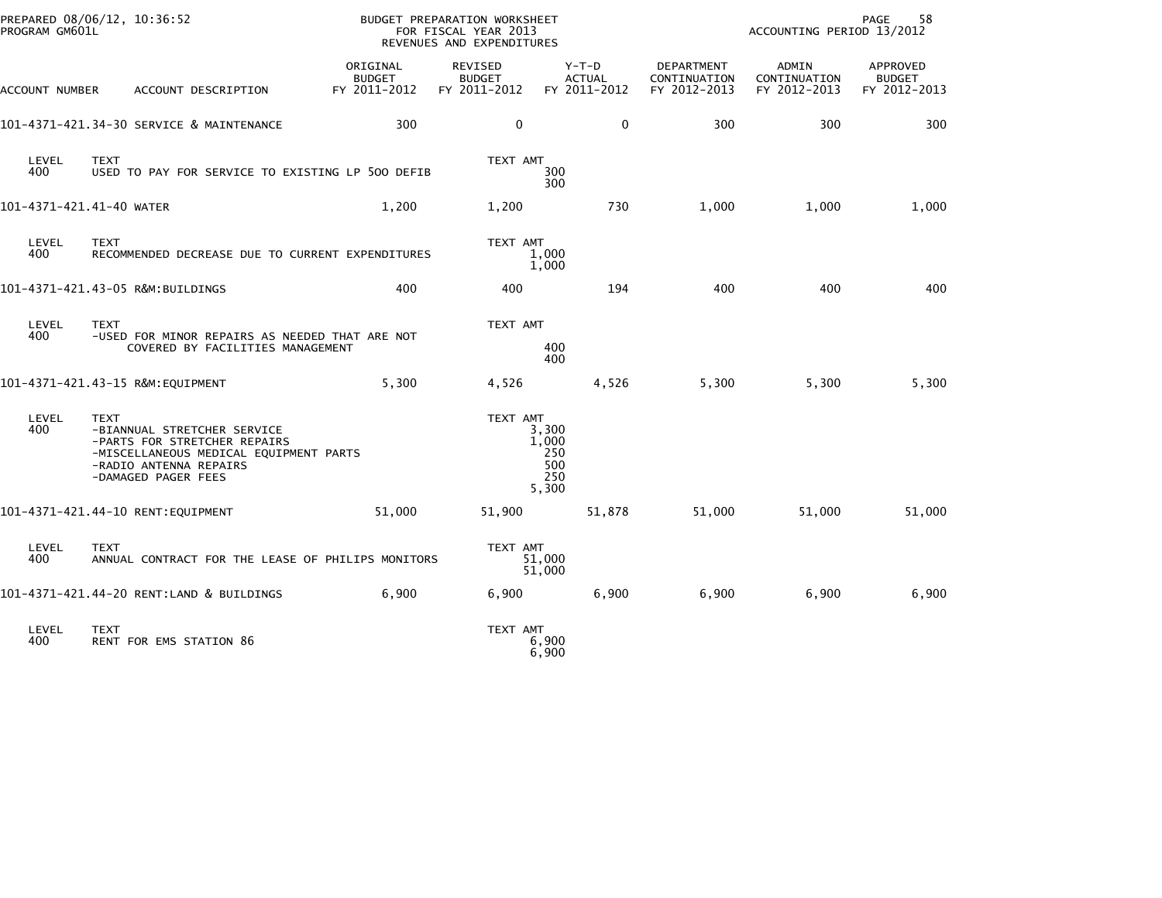| PROGRAM GM601L           | PREPARED 08/06/12, 10:36:52                                                                                                                                           |                                           | BUDGET PREPARATION WORKSHEET<br>FOR FISCAL YEAR 2013<br>REVENUES AND EXPENDITURES |                                              | PAGE<br>58<br>ACCOUNTING PERIOD 13/2012           |                                       |                                           |  |
|--------------------------|-----------------------------------------------------------------------------------------------------------------------------------------------------------------------|-------------------------------------------|-----------------------------------------------------------------------------------|----------------------------------------------|---------------------------------------------------|---------------------------------------|-------------------------------------------|--|
| ACCOUNT NUMBER           | ACCOUNT DESCRIPTION                                                                                                                                                   | ORIGINAL<br><b>BUDGET</b><br>FY 2011-2012 | <b>REVISED</b><br><b>BUDGET</b><br>FY 2011-2012                                   | $Y-T-D$<br><b>ACTUAL</b><br>FY 2011-2012     | <b>DEPARTMENT</b><br>CONTINUATION<br>FY 2012-2013 | ADMIN<br>CONTINUATION<br>FY 2012-2013 | APPROVED<br><b>BUDGET</b><br>FY 2012-2013 |  |
|                          | 101-4371-421.34-30 SERVICE & MAINTENANCE                                                                                                                              | 300                                       | $\mathbf 0$                                                                       | $\mathbf{0}$                                 | 300                                               | 300                                   | 300                                       |  |
| LEVEL<br>400             | <b>TEXT</b><br>USED TO PAY FOR SERVICE TO EXISTING LP 500 DEFIB                                                                                                       |                                           | TEXT AMT                                                                          | 300<br>300                                   |                                                   |                                       |                                           |  |
| 101-4371-421.41-40 WATER |                                                                                                                                                                       | 1,200                                     | 1,200                                                                             | 730                                          | 1,000                                             | 1,000                                 | 1,000                                     |  |
| LEVEL<br>400             | <b>TEXT</b><br>RECOMMENDED DECREASE DUE TO CURRENT EXPENDITURES                                                                                                       |                                           | TEXT AMT                                                                          | 1,000<br>1,000                               |                                                   |                                       |                                           |  |
|                          | 101-4371-421.43-05 R&M:BUILDINGS                                                                                                                                      | 400                                       | 400                                                                               | 194                                          | 400                                               | 400                                   | 400                                       |  |
| LEVEL<br>400             | <b>TEXT</b><br>-USED FOR MINOR REPAIRS AS NEEDED THAT ARE NOT<br>COVERED BY FACILITIES MANAGEMENT                                                                     |                                           | TEXT AMT                                                                          | 400<br>400                                   |                                                   |                                       |                                           |  |
|                          | 101-4371-421.43-15 R&M: EQUIPMENT                                                                                                                                     | 5,300                                     | 4,526                                                                             | 4,526                                        | 5,300                                             | 5,300                                 | 5,300                                     |  |
| LEVEL<br>400             | <b>TEXT</b><br>-BIANNUAL STRETCHER SERVICE<br>-PARTS FOR STRETCHER REPAIRS<br>-MISCELLANEOUS MEDICAL EQUIPMENT PARTS<br>-RADIO ANTENNA REPAIRS<br>-DAMAGED PAGER FEES |                                           | TEXT AMT                                                                          | 3,300<br>1,000<br>250<br>500<br>250<br>5,300 |                                                   |                                       |                                           |  |
|                          | 101-4371-421.44-10 RENT: EQUIPMENT                                                                                                                                    | 51,000                                    | 51,900                                                                            | 51,878                                       | 51,000                                            | 51,000                                | 51,000                                    |  |
| LEVEL<br>400             | <b>TEXT</b><br>ANNUAL CONTRACT FOR THE LEASE OF PHILIPS MONITORS                                                                                                      |                                           | TEXT AMT                                                                          | 51,000<br>51,000                             |                                                   |                                       |                                           |  |
|                          | 101-4371-421.44-20 RENT:LAND & BUILDINGS                                                                                                                              | 6,900                                     | 6,900                                                                             | 6,900                                        | 6,900                                             | 6,900                                 | 6,900                                     |  |
| LEVEL<br>400             | <b>TEXT</b><br>RENT FOR EMS STATION 86                                                                                                                                |                                           | TEXT AMT                                                                          | 6,900<br>6,900                               |                                                   |                                       |                                           |  |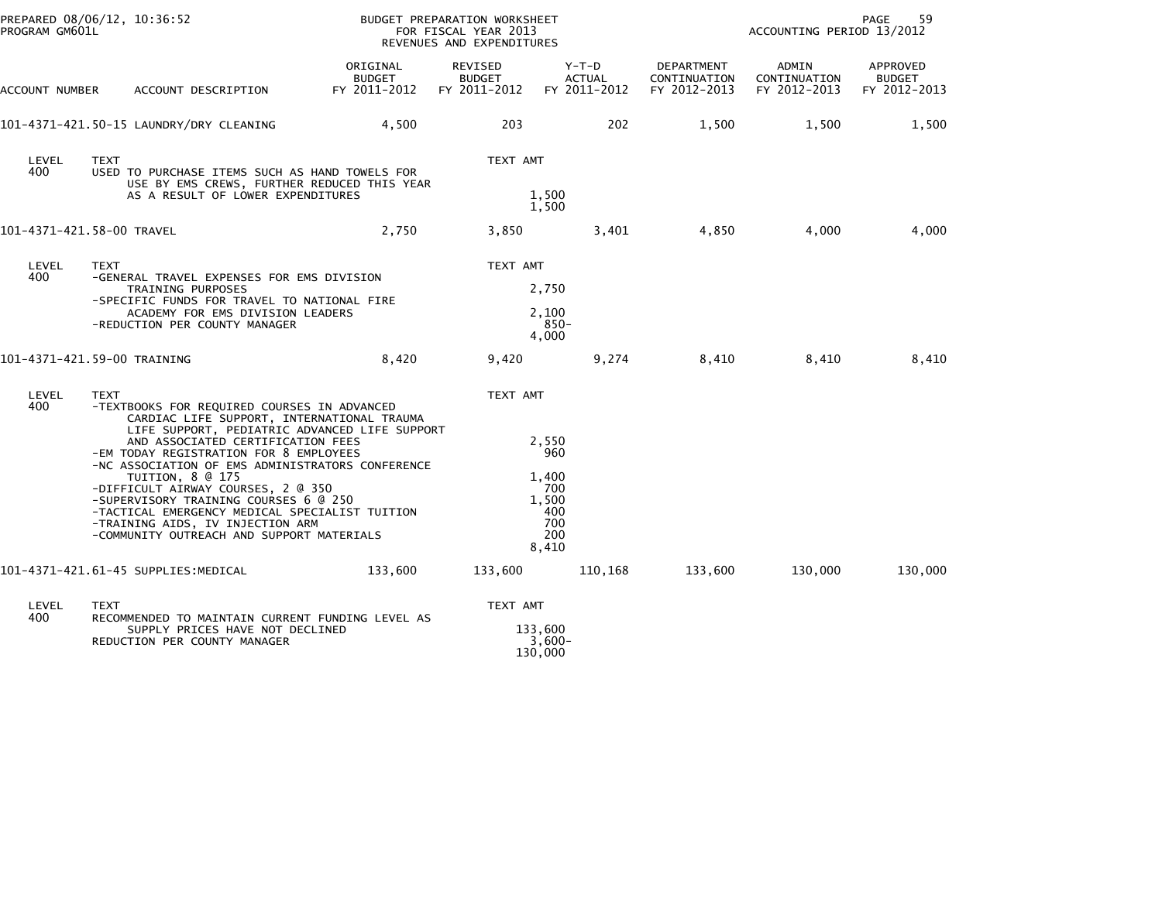| PROGRAM GM601L | PREPARED 08/06/12, 10:36:52                                                                                                                                                                                                                                                                                                                                                                                                                                                                                                        |                                           | BUDGET PREPARATION WORKSHEET<br>FOR FISCAL YEAR 2013<br>REVENUES AND EXPENDITURES |                                                                     | 59<br>PAGE<br>ACCOUNTING PERIOD 13/2012    |                                       |                                           |  |
|----------------|------------------------------------------------------------------------------------------------------------------------------------------------------------------------------------------------------------------------------------------------------------------------------------------------------------------------------------------------------------------------------------------------------------------------------------------------------------------------------------------------------------------------------------|-------------------------------------------|-----------------------------------------------------------------------------------|---------------------------------------------------------------------|--------------------------------------------|---------------------------------------|-------------------------------------------|--|
| ACCOUNT NUMBER | ACCOUNT DESCRIPTION                                                                                                                                                                                                                                                                                                                                                                                                                                                                                                                | ORIGINAL<br><b>BUDGET</b><br>FY 2011-2012 | REVISED<br><b>BUDGET</b><br>FY 2011-2012                                          | Y-T-D<br>ACTUAL<br>FY 2011-2012                                     | DEPARTMENT<br>CONTINUATION<br>FY 2012-2013 | ADMIN<br>CONTINUATION<br>FY 2012-2013 | APPROVED<br><b>BUDGET</b><br>FY 2012-2013 |  |
|                | 101-4371-421.50-15 LAUNDRY/DRY CLEANING                                                                                                                                                                                                                                                                                                                                                                                                                                                                                            | 4,500                                     | 203                                                                               | 202                                                                 | 1,500                                      | 1,500                                 | 1,500                                     |  |
| LEVEL<br>400   | <b>TEXT</b><br>USED TO PURCHASE ITEMS SUCH AS HAND TOWELS FOR<br>USE BY EMS CREWS, FURTHER REDUCED THIS YEAR<br>AS A RESULT OF LOWER EXPENDITURES                                                                                                                                                                                                                                                                                                                                                                                  |                                           | TEXT AMT                                                                          | 1,500<br>1,500                                                      |                                            |                                       |                                           |  |
|                | 101-4371-421.58-00 TRAVEL                                                                                                                                                                                                                                                                                                                                                                                                                                                                                                          | 2,750                                     | 3,850                                                                             | 3,401                                                               | 4,850                                      | 4,000                                 | 4,000                                     |  |
| LEVEL<br>400   | <b>TEXT</b><br>-GENERAL TRAVEL EXPENSES FOR EMS DIVISION<br>TRAINING PURPOSES<br>-SPECIFIC FUNDS FOR TRAVEL TO NATIONAL FIRE<br>ACADEMY FOR EMS DIVISION LEADERS<br>-REDUCTION PER COUNTY MANAGER                                                                                                                                                                                                                                                                                                                                  |                                           | TEXT AMT                                                                          | 2,750<br>2,100<br>$850 -$<br>4.000                                  |                                            |                                       |                                           |  |
|                | 101-4371-421.59-00 TRAINING                                                                                                                                                                                                                                                                                                                                                                                                                                                                                                        | 8,420                                     | 9,420                                                                             | 9,274                                                               | 8,410                                      | 8,410                                 | 8,410                                     |  |
| LEVEL<br>400   | <b>TEXT</b><br>-TEXTBOOKS FOR REQUIRED COURSES IN ADVANCED<br>CARDIAC LIFE SUPPORT, INTERNATIONAL TRAUMA<br>LIFE SUPPORT, PEDIATRIC ADVANCED LIFE SUPPORT<br>AND ASSOCIATED CERTIFICATION FEES<br>-EM TODAY REGISTRATION FOR 8 EMPLOYEES<br>-NC ASSOCIATION OF EMS ADMINISTRATORS CONFERENCE<br>TUITION, 8 @ 175<br>-DIFFICULT AIRWAY COURSES, 2 @ 350<br>-SUPERVISORY TRAINING COURSES 6 @ 250<br>-TACTICAL EMERGENCY MEDICAL SPECIALIST TUITION<br>-TRAINING AIDS, IV INJECTION ARM<br>-COMMUNITY OUTREACH AND SUPPORT MATERIALS |                                           | TEXT AMT                                                                          | 2.550<br>960<br>1.400<br>700<br>1,500<br>400<br>700<br>200<br>8.410 |                                            |                                       |                                           |  |
|                | 101-4371-421.61-45 SUPPLIES:MEDICAL                                                                                                                                                                                                                                                                                                                                                                                                                                                                                                | 133,600                                   | 133,600                                                                           | 110,168                                                             | 133,600                                    | 130,000                               | 130,000                                   |  |
| LEVEL<br>400   | <b>TEXT</b><br>RECOMMENDED TO MAINTAIN CURRENT FUNDING LEVEL AS<br>SUPPLY PRICES HAVE NOT DECLINED<br>REDUCTION PER COUNTY MANAGER                                                                                                                                                                                                                                                                                                                                                                                                 |                                           | TEXT AMT                                                                          | 133,600<br>$3,600-$<br>130,000                                      |                                            |                                       |                                           |  |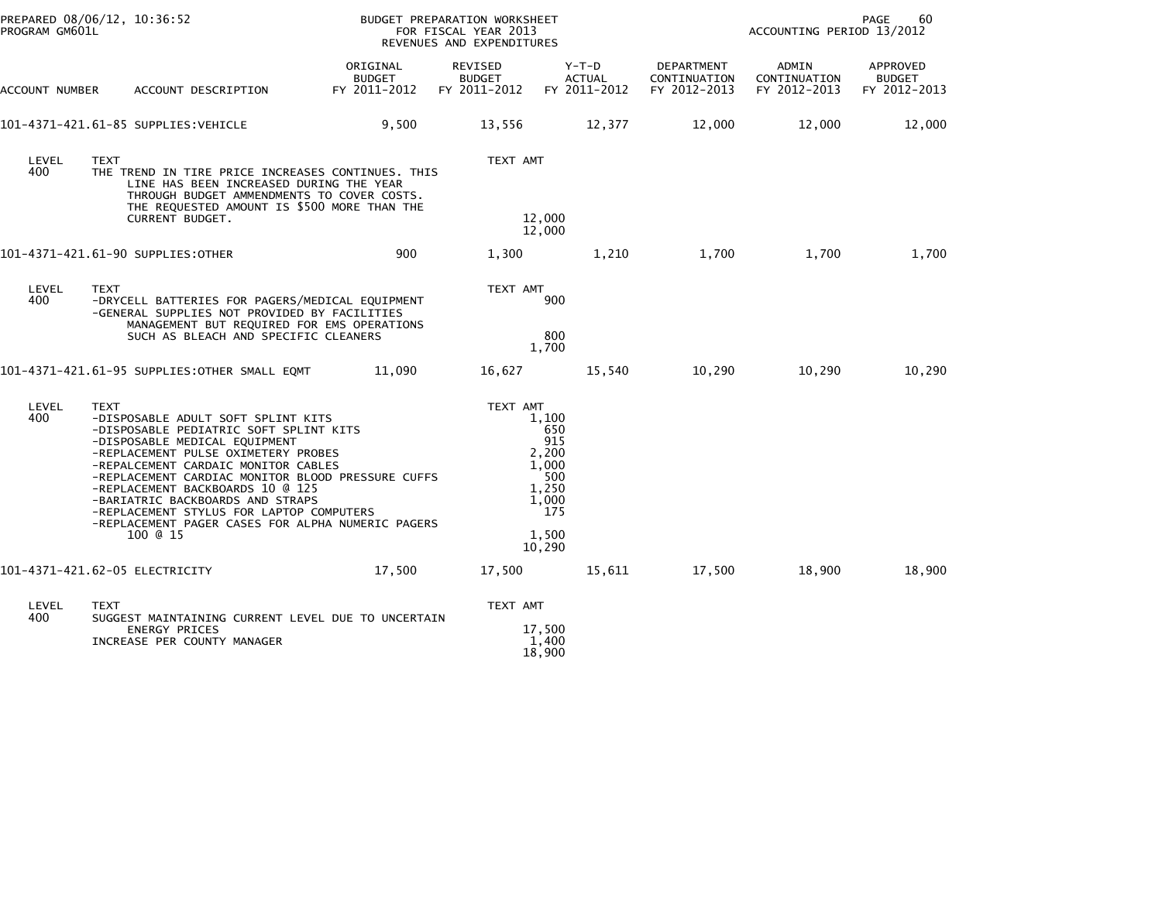| PROGRAM GM601L | PREPARED 08/06/12, 10:36:52                                                                                                                                                                                                                                                                                                                                                                                                                          |                                           | BUDGET PREPARATION WORKSHEET<br>FOR FISCAL YEAR 2013<br>REVENUES AND EXPENDITURES |                                                                                          |                                            | 60<br><b>PAGE</b><br>ACCOUNTING PERIOD 13/2012 |                                           |  |  |
|----------------|------------------------------------------------------------------------------------------------------------------------------------------------------------------------------------------------------------------------------------------------------------------------------------------------------------------------------------------------------------------------------------------------------------------------------------------------------|-------------------------------------------|-----------------------------------------------------------------------------------|------------------------------------------------------------------------------------------|--------------------------------------------|------------------------------------------------|-------------------------------------------|--|--|
| ACCOUNT NUMBER | ACCOUNT DESCRIPTION                                                                                                                                                                                                                                                                                                                                                                                                                                  | ORIGINAL<br><b>BUDGET</b><br>FY 2011-2012 | REVISED<br><b>BUDGET</b><br>FY 2011-2012                                          | $Y-T-D$<br><b>ACTUAL</b><br>FY 2011-2012                                                 | DEPARTMENT<br>CONTINUATION<br>FY 2012-2013 | ADMIN<br>CONTINUATION<br>FY 2012-2013          | APPROVED<br><b>BUDGET</b><br>FY 2012-2013 |  |  |
|                | 101-4371-421.61-85 SUPPLIES:VEHICLE                                                                                                                                                                                                                                                                                                                                                                                                                  | 9,500                                     | 13,556                                                                            | 12,377                                                                                   | 12,000                                     | 12,000                                         | 12,000                                    |  |  |
| LEVEL<br>400   | <b>TEXT</b><br>THE TREND IN TIRE PRICE INCREASES CONTINUES. THIS<br>LINE HAS BEEN INCREASED DURING THE YEAR<br>THROUGH BUDGET AMMENDMENTS TO COVER COSTS.<br>THE REQUESTED AMOUNT IS \$500 MORE THAN THE<br><b>CURRENT BUDGET.</b>                                                                                                                                                                                                                   |                                           | TEXT AMT                                                                          | 12,000<br>12,000                                                                         |                                            |                                                |                                           |  |  |
|                | 101-4371-421.61-90 SUPPLIES:OTHER                                                                                                                                                                                                                                                                                                                                                                                                                    | 900                                       | 1,300                                                                             | 1,210                                                                                    | 1,700                                      | 1,700                                          | 1,700                                     |  |  |
| LEVEL<br>400   | <b>TEXT</b><br>-DRYCELL BATTERIES FOR PAGERS/MEDICAL EQUIPMENT<br>-GENERAL SUPPLIES NOT PROVIDED BY FACILITIES<br>MANAGEMENT BUT REQUIRED FOR EMS OPERATIONS<br>SUCH AS BLEACH AND SPECIFIC CLEANERS                                                                                                                                                                                                                                                 |                                           | TEXT AMT                                                                          | 900<br>800<br>1,700                                                                      |                                            |                                                |                                           |  |  |
|                | 101-4371-421.61-95 SUPPLIES:OTHER SMALL EQMT                                                                                                                                                                                                                                                                                                                                                                                                         | 11,090                                    | 16,627                                                                            | 15,540                                                                                   | 10,290                                     | 10,290                                         | 10,290                                    |  |  |
| LEVEL<br>400   | <b>TEXT</b><br>-DISPOSABLE ADULT SOFT SPLINT KITS<br>-DISPOSABLE PEDIATRIC SOFT SPLINT KITS<br>-DISPOSABLE MEDICAL EQUIPMENT<br>-REPLACEMENT PULSE OXIMETERY PROBES<br>-REPALCEMENT CARDAIC MONITOR CABLES<br>-REPLACEMENT CARDIAC MONITOR BLOOD PRESSURE CUFFS<br>-REPLACEMENT BACKBOARDS 10 @ 125<br>-BARIATRIC BACKBOARDS AND STRAPS<br>-REPLACEMENT STYLUS FOR LAPTOP COMPUTERS<br>-REPLACEMENT PAGER CASES FOR ALPHA NUMERIC PAGERS<br>100 @ 15 |                                           | TEXT AMT                                                                          | 1,100<br>650<br>915<br>2,200<br>1,000<br>500<br>1,250<br>1,000<br>175<br>1,500<br>10,290 |                                            |                                                |                                           |  |  |
|                | 101-4371-421.62-05 ELECTRICITY                                                                                                                                                                                                                                                                                                                                                                                                                       | 17,500                                    | 17,500                                                                            | 15,611                                                                                   | 17,500                                     | 18,900                                         | 18,900                                    |  |  |
| LEVEL<br>400   | <b>TEXT</b><br>SUGGEST MAINTAINING CURRENT LEVEL DUE TO UNCERTAIN<br><b>ENERGY PRICES</b><br>INCREASE PER COUNTY MANAGER                                                                                                                                                                                                                                                                                                                             |                                           | TEXT AMT                                                                          | 17,500<br>1,400<br>18,900                                                                |                                            |                                                |                                           |  |  |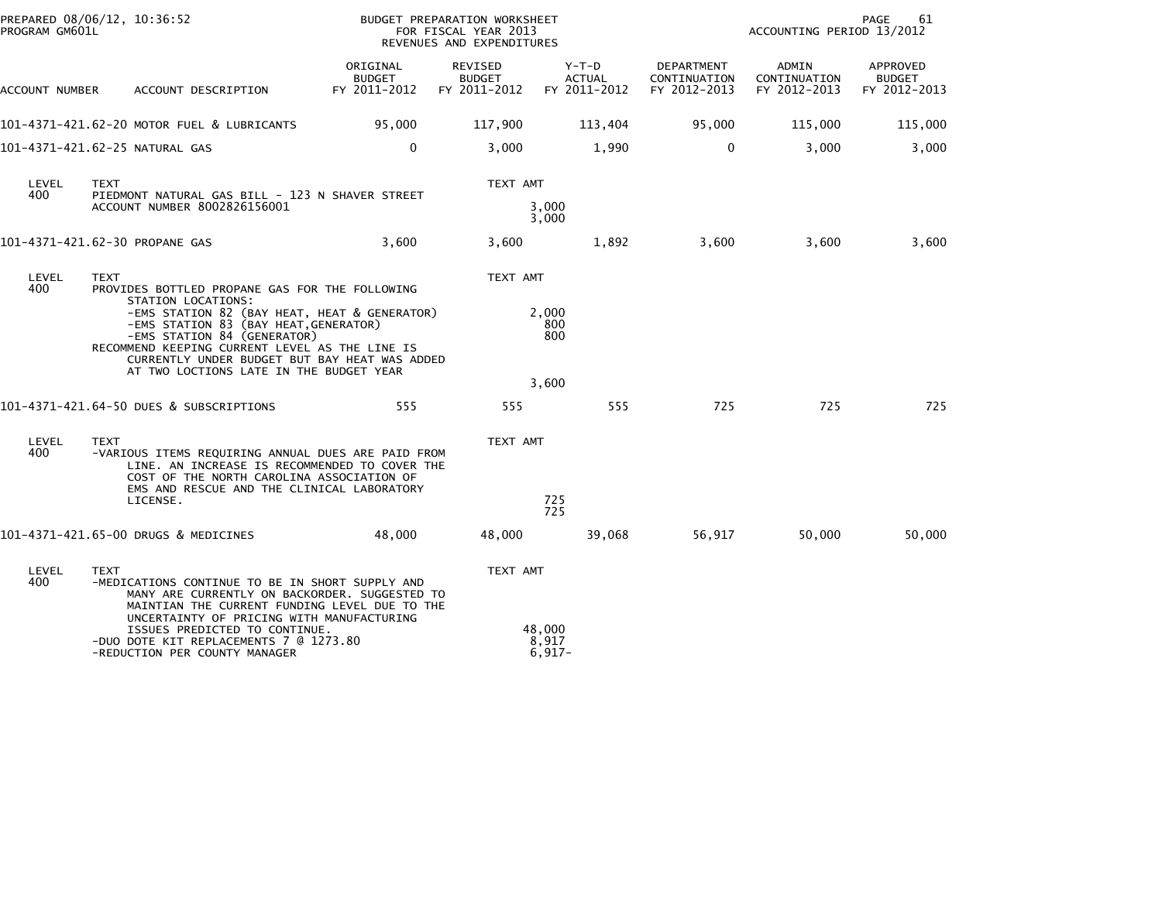| PREPARED 08/06/12, 10:36:52<br>PROGRAM GM601L |                                                                                                                                                                                                                                                                                                                                                           |                                           | BUDGET PREPARATION WORKSHEET<br>FOR FISCAL YEAR 2013<br>REVENUES AND EXPENDITURES |                                        | 61<br>PAGE<br>ACCOUNTING PERIOD 13/2012    |                                       |                                           |
|-----------------------------------------------|-----------------------------------------------------------------------------------------------------------------------------------------------------------------------------------------------------------------------------------------------------------------------------------------------------------------------------------------------------------|-------------------------------------------|-----------------------------------------------------------------------------------|----------------------------------------|--------------------------------------------|---------------------------------------|-------------------------------------------|
| ACCOUNT NUMBER                                | ACCOUNT DESCRIPTION                                                                                                                                                                                                                                                                                                                                       | ORIGINAL<br><b>BUDGET</b><br>FY 2011-2012 | REVISED<br><b>BUDGET</b><br>FY 2011-2012                                          | Y-T-D<br><b>ACTUAL</b><br>FY 2011-2012 | DEPARTMENT<br>CONTINUATION<br>FY 2012-2013 | ADMIN<br>CONTINUATION<br>FY 2012-2013 | APPROVED<br><b>BUDGET</b><br>FY 2012-2013 |
|                                               | 101-4371-421.62-20 MOTOR FUEL & LUBRICANTS                                                                                                                                                                                                                                                                                                                | 95,000                                    | 117,900                                                                           | 113,404                                | 95,000                                     | 115,000                               | 115,000                                   |
|                                               | 101-4371-421.62-25 NATURAL GAS                                                                                                                                                                                                                                                                                                                            | $\mathbf 0$                               | 3,000                                                                             | 1,990                                  | $\mathbf{0}$                               | 3,000                                 | 3,000                                     |
| LEVEL<br>400                                  | <b>TEXT</b><br>PIEDMONT NATURAL GAS BILL - 123 N SHAVER STREET<br>ACCOUNT NUMBER 8002826156001                                                                                                                                                                                                                                                            |                                           | TEXT AMT                                                                          | 3,000<br>3,000                         |                                            |                                       |                                           |
|                                               | 101-4371-421.62-30 PROPANE GAS                                                                                                                                                                                                                                                                                                                            | 3,600                                     | 3,600                                                                             | 1,892                                  | 3,600                                      | 3,600                                 | 3,600                                     |
| LEVEL<br>400                                  | <b>TEXT</b><br>PROVIDES BOTTLED PROPANE GAS FOR THE FOLLOWING<br>STATION LOCATIONS:<br>-EMS STATION 82 (BAY HEAT, HEAT & GENERATOR)<br>-EMS STATION 83 (BAY HEAT, GENERATOR)<br>-EMS STATION 84 (GENERATOR)<br>RECOMMEND KEEPING CURRENT LEVEL AS THE LINE IS<br>CURRENTLY UNDER BUDGET BUT BAY HEAT WAS ADDED<br>AT TWO LOCTIONS LATE IN THE BUDGET YEAR |                                           | TEXT AMT                                                                          | 2,000<br>800<br>800<br>3,600           |                                            |                                       |                                           |
| LEVEL<br>400                                  | 101-4371-421.64-50 DUES & SUBSCRIPTIONS<br><b>TEXT</b><br>-VARIOUS ITEMS REQUIRING ANNUAL DUES ARE PAID FROM<br>LINE. AN INCREASE IS RECOMMENDED TO COVER THE<br>COST OF THE NORTH CAROLINA ASSOCIATION OF<br>EMS AND RESCUE AND THE CLINICAL LABORATORY<br>LICENSE.                                                                                      | 555                                       | 555<br>TEXT AMT                                                                   | 555<br>725<br>725                      | 725                                        | 725                                   | 725                                       |
|                                               | 101-4371-421.65-00 DRUGS & MEDICINES                                                                                                                                                                                                                                                                                                                      | 48.000                                    | 48,000                                                                            | 39,068                                 | 56,917                                     | 50.000                                | 50,000                                    |
| LEVEL<br>400                                  | <b>TEXT</b><br>-MEDICATIONS CONTINUE TO BE IN SHORT SUPPLY AND<br>MANY ARE CURRENTLY ON BACKORDER. SUGGESTED TO<br>MAINTIAN THE CURRENT FUNDING LEVEL DUE TO THE<br>UNCERTAINTY OF PRICING WITH MANUFACTURING<br>ISSUES PREDICTED TO CONTINUE.<br>-DUO DOTE KIT REPLACEMENTS 7 @ 1273.80<br>-REDUCTION PER COUNTY MANAGER                                 |                                           | TEXT AMT                                                                          | 48,000<br>8,917<br>$6,917-$            |                                            |                                       |                                           |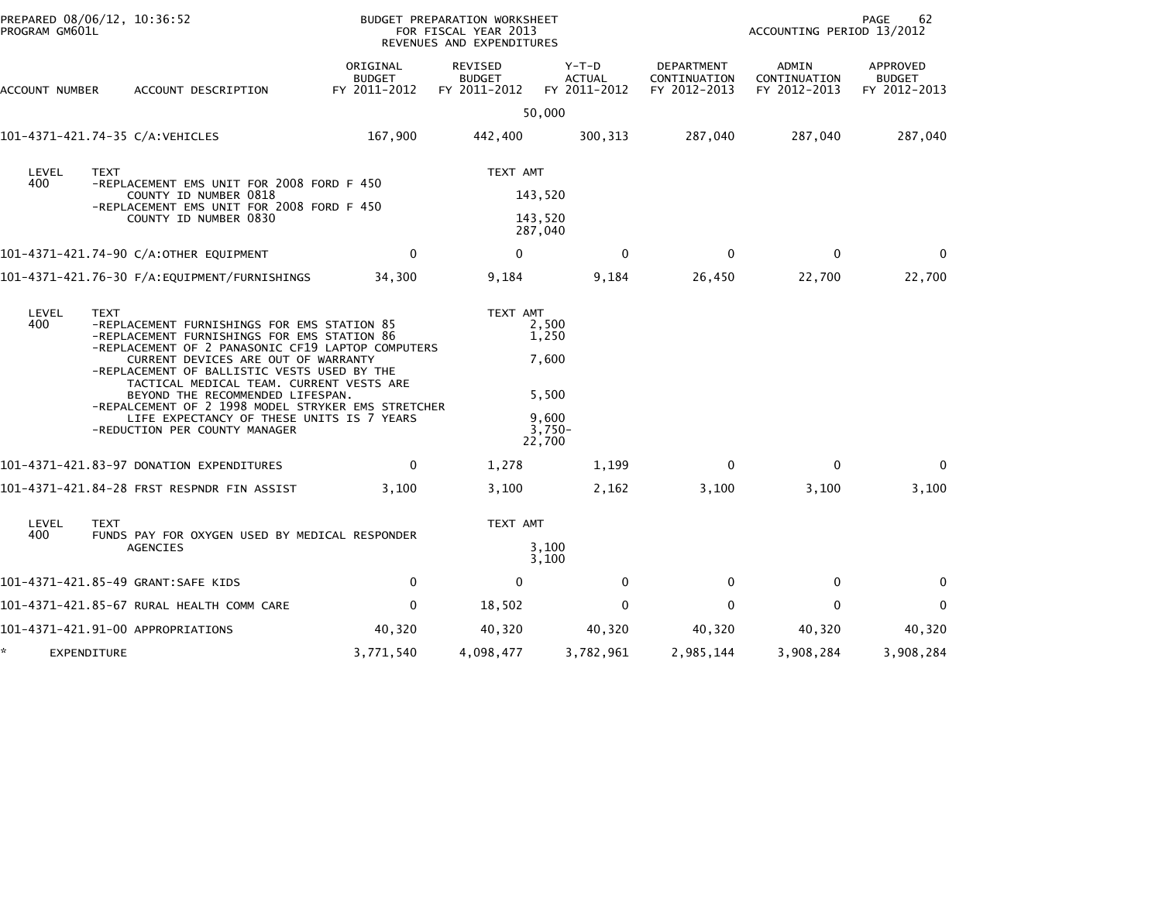| PROGRAM GM601L                                                           | PREPARED 08/06/12, 10:36:52                                                                                                                                                                                                                                                                                                                                                                                                                                              | BUDGET PREPARATION WORKSHEET<br>FOR FISCAL YEAR 2013<br>REVENUES AND EXPENDITURES | 62<br><b>PAGE</b><br>ACCOUNTING PERIOD 13/2012 |                                                                 |                                            |                                       |                                           |
|--------------------------------------------------------------------------|--------------------------------------------------------------------------------------------------------------------------------------------------------------------------------------------------------------------------------------------------------------------------------------------------------------------------------------------------------------------------------------------------------------------------------------------------------------------------|-----------------------------------------------------------------------------------|------------------------------------------------|-----------------------------------------------------------------|--------------------------------------------|---------------------------------------|-------------------------------------------|
| ACCOUNT NUMBER                                                           | ACCOUNT DESCRIPTION                                                                                                                                                                                                                                                                                                                                                                                                                                                      | ORIGINAL<br><b>BUDGET</b><br>FY 2011-2012                                         | REVISED<br><b>BUDGET</b><br>FY 2011-2012       | $Y-T-D$<br><b>ACTUAL</b><br>FY 2011-2012                        | DEPARTMENT<br>CONTINUATION<br>FY 2012-2013 | ADMIN<br>CONTINUATION<br>FY 2012-2013 | APPROVED<br><b>BUDGET</b><br>FY 2012-2013 |
|                                                                          |                                                                                                                                                                                                                                                                                                                                                                                                                                                                          |                                                                                   |                                                | 50,000                                                          |                                            |                                       |                                           |
|                                                                          | 101-4371-421.74-35 C/A:VEHICLES                                                                                                                                                                                                                                                                                                                                                                                                                                          | 167,900                                                                           | 442,400                                        | 300, 313                                                        | 287,040                                    | 287,040                               | 287,040                                   |
| LEVEL<br><b>TEXT</b><br>400<br>-REPLACEMENT EMS UNIT FOR 2008 FORD F 450 |                                                                                                                                                                                                                                                                                                                                                                                                                                                                          |                                                                                   | TEXT AMT                                       |                                                                 |                                            |                                       |                                           |
|                                                                          | COUNTY ID NUMBER 0818<br>-REPLACEMENT EMS UNIT FOR 2008 FORD F 450                                                                                                                                                                                                                                                                                                                                                                                                       |                                                                                   | 143,520                                        |                                                                 |                                            |                                       |                                           |
|                                                                          | COUNTY ID NUMBER 0830                                                                                                                                                                                                                                                                                                                                                                                                                                                    |                                                                                   | 143,520<br>287,040                             |                                                                 |                                            |                                       |                                           |
|                                                                          | 101-4371-421.74-90 C/A:OTHER EQUIPMENT                                                                                                                                                                                                                                                                                                                                                                                                                                   | 0                                                                                 | 0                                              | 0                                                               | 0                                          | 0                                     | $\mathbf 0$                               |
|                                                                          | 101–4371–421.76–30 F/A:EQUIPMENT/FURNISHINGS                                                                                                                                                                                                                                                                                                                                                                                                                             | 34,300                                                                            | 9,184                                          | 9,184                                                           | 26,450                                     | 22,700                                | 22,700                                    |
| LEVEL<br>400                                                             | <b>TEXT</b><br>-REPLACEMENT FURNISHINGS FOR EMS STATION 85<br>-REPLACEMENT FURNISHINGS FOR EMS STATION 86<br>-REPLACEMENT OF 2 PANASONIC CF19 LAPTOP COMPUTERS<br>CURRENT DEVICES ARE OUT OF WARRANTY<br>-REPLACEMENT OF BALLISTIC VESTS USED BY THE<br>TACTICAL MEDICAL TEAM. CURRENT VESTS ARE<br>BEYOND THE RECOMMENDED LIFESPAN.<br>-REPALCEMENT OF 2 1998 MODEL STRYKER EMS STRETCHER<br>LIFE EXPECTANCY OF THESE UNITS IS 7 YEARS<br>-REDUCTION PER COUNTY MANAGER |                                                                                   | TEXT AMT                                       | 2,500<br>1,250<br>7,600<br>5,500<br>9.600<br>$3,750-$<br>22,700 |                                            |                                       |                                           |
|                                                                          | 101-4371-421.83-97 DONATION EXPENDITURES                                                                                                                                                                                                                                                                                                                                                                                                                                 | $\mathbf{0}$                                                                      | 1,278                                          | 1,199                                                           | $\Omega$                                   | $\mathbf{0}$                          | $\Omega$                                  |
|                                                                          | 101-4371-421.84-28 FRST RESPNDR FIN ASSIST                                                                                                                                                                                                                                                                                                                                                                                                                               | 3,100                                                                             | 3,100                                          | 2,162                                                           | 3,100                                      | 3,100                                 | 3,100                                     |
| LEVEL                                                                    | <b>TEXT</b>                                                                                                                                                                                                                                                                                                                                                                                                                                                              |                                                                                   | TEXT AMT                                       |                                                                 |                                            |                                       |                                           |
| 400                                                                      | FUNDS PAY FOR OXYGEN USED BY MEDICAL RESPONDER<br>AGENCIES                                                                                                                                                                                                                                                                                                                                                                                                               |                                                                                   |                                                | 3,100<br>3,100                                                  |                                            |                                       |                                           |
|                                                                          | 101-4371-421.85-49 GRANT:SAFE KIDS                                                                                                                                                                                                                                                                                                                                                                                                                                       | $\mathbf 0$                                                                       | $\mathbf 0$                                    | $\mathbf 0$                                                     | $\mathbf 0$                                | 0                                     | 0                                         |
|                                                                          | 101-4371-421.85-67 RURAL HEALTH COMM CARE                                                                                                                                                                                                                                                                                                                                                                                                                                | 0                                                                                 | 18,502                                         | $\bf{0}$                                                        | 0                                          | $\mathbf 0$                           | 0                                         |
|                                                                          | 101-4371-421.91-00 APPROPRIATIONS                                                                                                                                                                                                                                                                                                                                                                                                                                        | 40,320                                                                            | 40,320                                         | 40,320                                                          | 40,320                                     | 40,320                                | 40,320                                    |
| EXPENDITURE                                                              |                                                                                                                                                                                                                                                                                                                                                                                                                                                                          | 3,771,540                                                                         | 4,098,477                                      | 3,782,961                                                       | 2,985,144                                  | 3,908,284                             | 3,908,284                                 |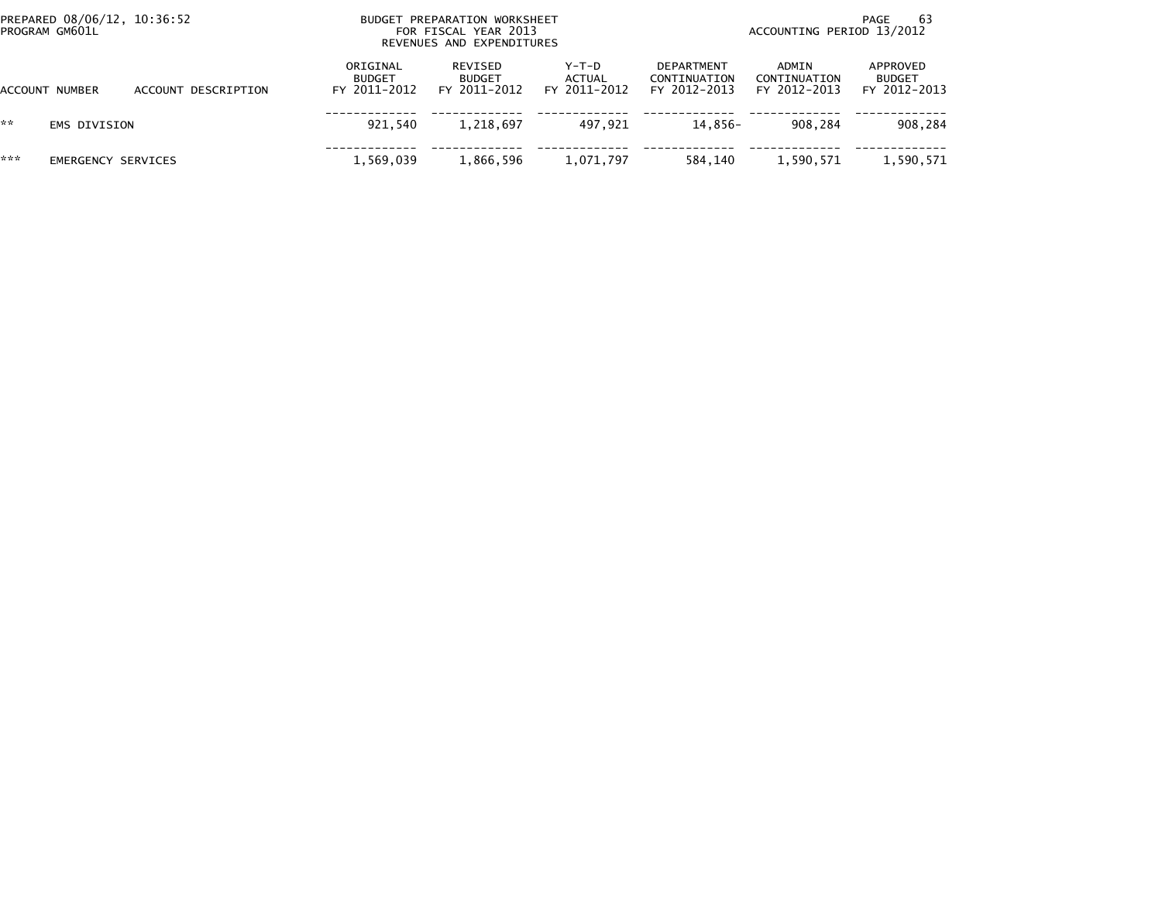| PROGRAM GM601L | PREPARED 08/06/12, 10:36:52 |                     |                                           | BUDGET PREPARATION WORKSHEET<br>FOR FISCAL YEAR 2013<br>REVENUES AND EXPENDITURES |                                   |                                                   | -63<br>PAGE<br>ACCOUNTING PERIOD 13/2012 |                                           |  |  |
|----------------|-----------------------------|---------------------|-------------------------------------------|-----------------------------------------------------------------------------------|-----------------------------------|---------------------------------------------------|------------------------------------------|-------------------------------------------|--|--|
| ACCOUNT NUMBER |                             | ACCOUNT DESCRIPTION | ORIGINAL<br><b>BUDGET</b><br>FY 2011-2012 | REVISED<br><b>BUDGET</b><br>FY 2011-2012                                          | $Y-T-D$<br>ACTUAL<br>FY 2011-2012 | <b>DEPARTMENT</b><br>CONTINUATION<br>FY 2012-2013 | ADMIN<br>CONTINUATION<br>FY 2012-2013    | APPROVED<br><b>BUDGET</b><br>FY 2012-2013 |  |  |
| **             | EMS DIVISION                |                     | 921.540                                   | 1,218,697                                                                         | 497.921                           | 14.856-                                           | 908.284                                  | 908,284                                   |  |  |
| ***            | <b>EMERGENCY SERVICES</b>   |                     | 1,569,039                                 | 1,866,596                                                                         | 1,071,797                         | 584.140                                           | 1,590,571                                | 1,590,571                                 |  |  |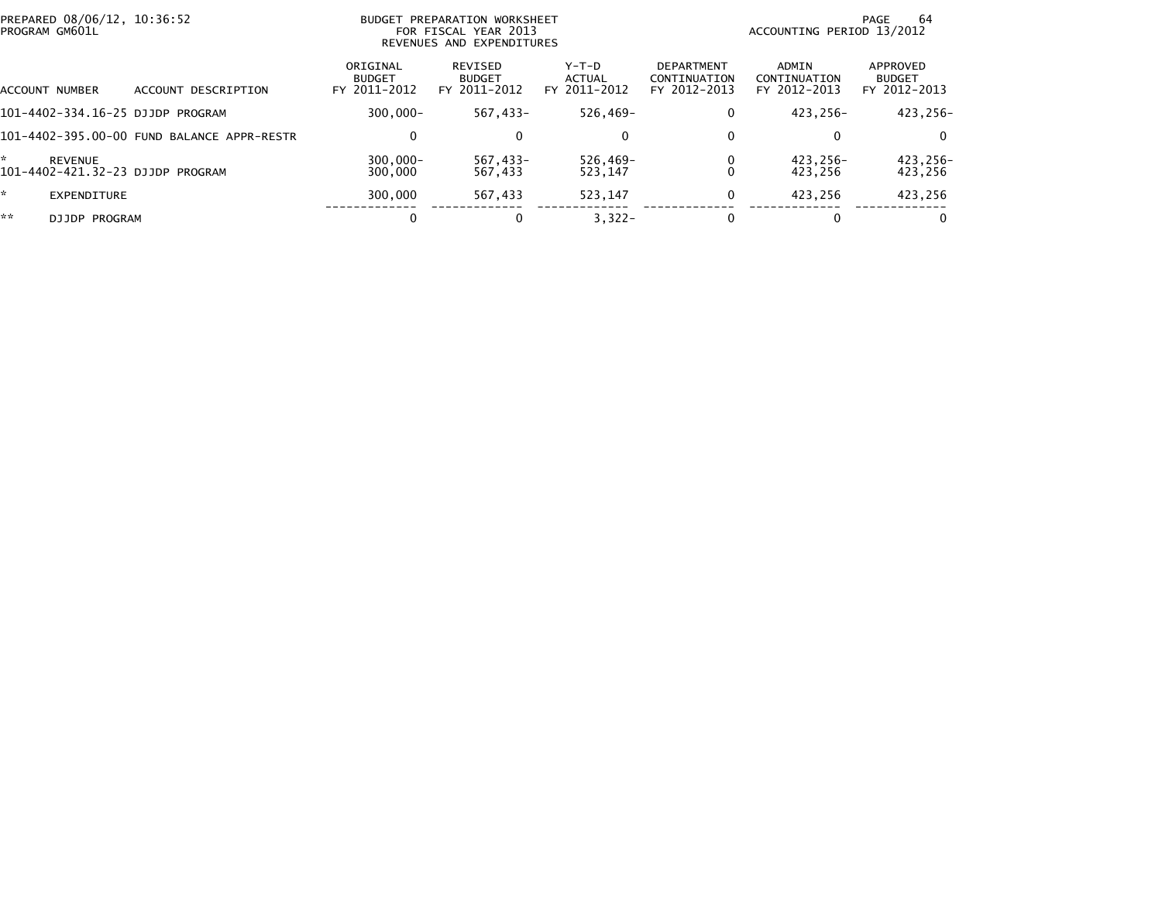| PROGRAM GM601L      | PREPARED 08/06/12, 10:36:52                |                                           | BUDGET PREPARATION WORKSHEET<br>FOR FISCAL YEAR 2013<br>REVENUES AND EXPENDITURES |                                   |                                                   | 64<br>PAGE<br>ACCOUNTING PERIOD 13/2012 |                                           |  |
|---------------------|--------------------------------------------|-------------------------------------------|-----------------------------------------------------------------------------------|-----------------------------------|---------------------------------------------------|-----------------------------------------|-------------------------------------------|--|
| ACCOUNT NUMBER      | DESCRIPTION<br>ACCOUNT                     | ORIGINAL<br><b>BUDGET</b><br>FY 2011-2012 | REVISED<br><b>BUDGET</b><br>FY 2011-2012                                          | $Y-T-D$<br>ACTUAL<br>FY 2011-2012 | <b>DEPARTMENT</b><br>CONTINUATION<br>FY 2012-2013 | ADMIN<br>CONTINUATION<br>FY 2012-2013   | APPROVED<br><b>BUDGET</b><br>FY 2012-2013 |  |
|                     | 101-4402-334.16-25 DJJDP PROGRAM           | $300.000 -$                               | 567.433-                                                                          | 526,469-                          |                                                   | 423.256-                                | 423.256-                                  |  |
|                     | 101-4402-395.00-00 FUND BALANCE APPR-RESTR | $\Omega$                                  | $\mathbf{0}$                                                                      | 0                                 |                                                   | $\bf{0}$                                | $\Omega$                                  |  |
| ÷<br><b>REVENUE</b> | 101-4402-421.32-23 DJJDP PROGRAM           | $300.000 -$<br>300,000                    | 567.433-<br>567,433                                                               | 526,469-<br>523,147               |                                                   | 423.256-<br>423.256                     | 423,256-<br>423,256                       |  |
| *.                  | <b>EXPENDITURE</b>                         | 300,000                                   | 567.433                                                                           | 523.147                           |                                                   | 423.256                                 | 423,256                                   |  |
| **                  | DJJDP PROGRAM                              |                                           | 0                                                                                 | $3,322-$                          |                                                   | $\bf{0}$                                | $\Omega$                                  |  |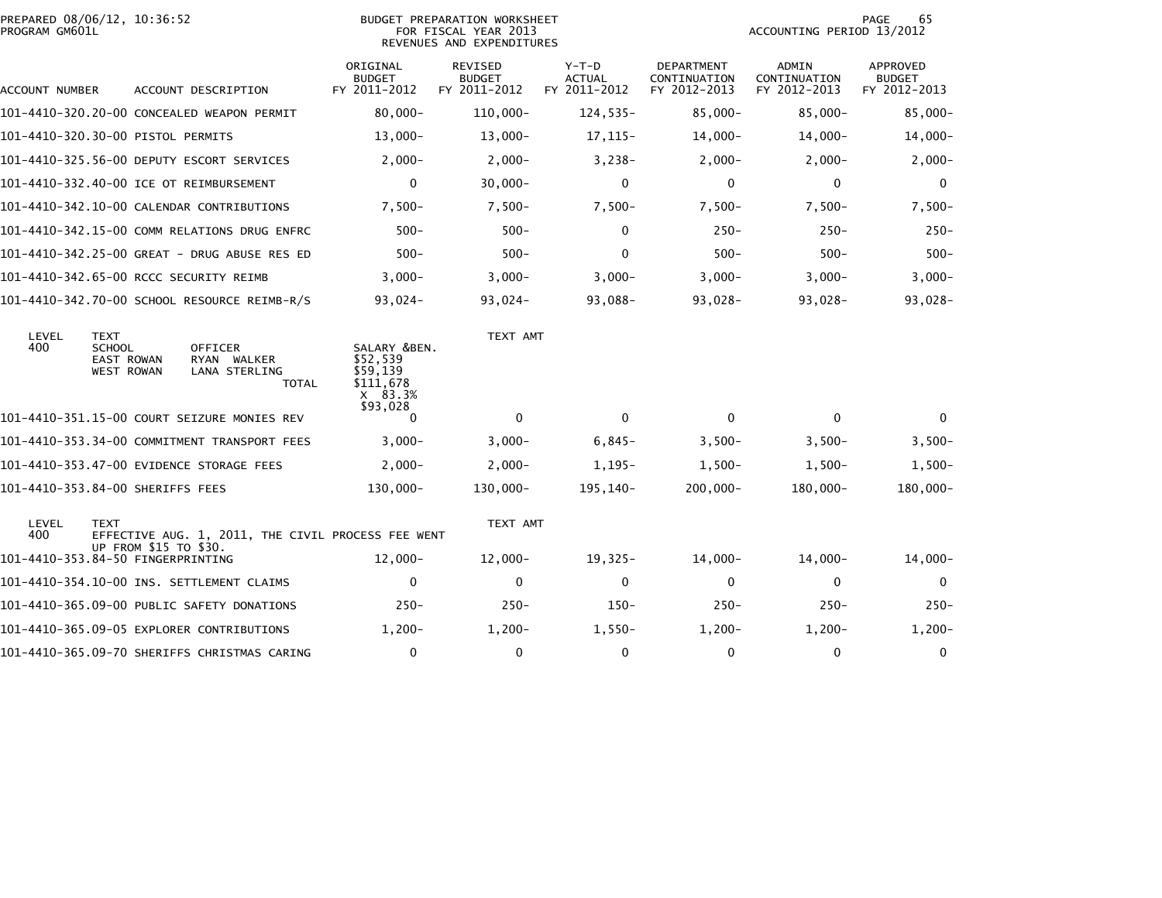| PREPARED 08/06/12, 10:36:52<br>PROGRAM GM601L |                                                                        |                       |                                                |       |                                                                | <b>BUDGET PREPARATION WORKSHEET</b><br>FOR FISCAL YEAR 2013<br>REVENUES AND EXPENDITURES |                                        |                                                   | ACCOUNTING PERIOD 13/2012             | 65<br>PAGE                                |
|-----------------------------------------------|------------------------------------------------------------------------|-----------------------|------------------------------------------------|-------|----------------------------------------------------------------|------------------------------------------------------------------------------------------|----------------------------------------|---------------------------------------------------|---------------------------------------|-------------------------------------------|
| ACCOUNT NUMBER                                |                                                                        |                       | ACCOUNT DESCRIPTION                            |       | ORIGINAL<br><b>BUDGET</b><br>FY 2011-2012                      | <b>REVISED</b><br><b>BUDGET</b><br>FY 2011-2012                                          | Y-T-D<br><b>ACTUAL</b><br>FY 2011-2012 | <b>DEPARTMENT</b><br>CONTINUATION<br>FY 2012-2013 | ADMIN<br>CONTINUATION<br>FY 2012-2013 | APPROVED<br><b>BUDGET</b><br>FY 2012-2013 |
|                                               |                                                                        |                       | 101-4410-320.20-00 CONCEALED WEAPON PERMIT     |       | $80,000 -$                                                     | $110,000 -$                                                                              | $124,535-$                             | $85,000 -$                                        | $85,000 -$                            | $85,000 -$                                |
|                                               |                                                                        |                       |                                                |       | $13,000 -$                                                     | $13,000-$                                                                                | $17, 115-$                             | $14,000-$                                         | $14,000-$                             | $14,000-$                                 |
|                                               |                                                                        |                       | 101-4410-325.56-00 DEPUTY ESCORT SERVICES      |       | $2,000-$                                                       | $2,000 -$                                                                                | $3,238-$                               | $2,000-$                                          | $2,000-$                              | $2,000-$                                  |
|                                               |                                                                        |                       | 101-4410-332.40-00 ICE OT REIMBURSEMENT        |       | $\Omega$                                                       | 30,000-                                                                                  | $\mathbf{0}$                           | 0                                                 | $\mathbf{0}$                          | $\Omega$                                  |
|                                               |                                                                        |                       | 101-4410-342.10-00 CALENDAR CONTRIBUTIONS      |       | $7.500 -$                                                      | $7,500-$                                                                                 | $7,500-$                               | $7.500 -$                                         | $7,500-$                              | $7,500-$                                  |
|                                               |                                                                        |                       | 101-4410-342.15-00 COMM RELATIONS DRUG ENFRC   |       | $500 -$                                                        | $500 -$                                                                                  | $\mathbf{0}$                           | $250 -$                                           | $250 -$                               | $250 -$                                   |
|                                               |                                                                        |                       | 101-4410-342.25-00 GREAT - DRUG ABUSE RES ED   |       | $500 -$                                                        | $500 -$                                                                                  | $\Omega$                               | $500 -$                                           | $500 -$                               | $500 -$                                   |
|                                               |                                                                        |                       | 101-4410-342.65-00 RCCC SECURITY REIMB         |       | $3,000-$                                                       | $3,000-$                                                                                 | $3,000-$                               | $3,000 -$                                         | $3,000-$                              | $3,000-$                                  |
|                                               |                                                                        |                       | 101-4410-342.70-00 SCHOOL RESOURCE REIMB-R/S   |       | $93,024-$                                                      | $93,024-$                                                                                | 93,088-                                | $93,028-$                                         | 93,028-                               | $93,028-$                                 |
| LEVEL<br>400                                  | <b>TEXT</b><br><b>SCHOOL</b><br><b>EAST ROWAN</b><br><b>WEST ROWAN</b> |                       | <b>OFFICER</b><br>RYAN WALKER<br>LANA STERLING | TOTAL | SALARY &BEN.<br>\$52,539<br>\$59.139<br>\$111,678<br>$X$ 83.3% | TEXT AMT                                                                                 |                                        |                                                   |                                       |                                           |
|                                               |                                                                        |                       | 101-4410-351.15-00 COURT SEIZURE MONIES REV    |       | \$93,028<br>$\Omega$                                           | $\mathbf{0}$                                                                             | $\mathbf{0}$                           | $\Omega$                                          | $\mathbf{0}$                          | $\Omega$                                  |
|                                               |                                                                        |                       | 101-4410-353.34-00 COMMITMENT TRANSPORT FEES   |       | $3,000-$                                                       | $3,000-$                                                                                 | $6,845-$                               | $3,500-$                                          | $3,500-$                              | $3,500-$                                  |
|                                               |                                                                        |                       | 101-4410-353.47-00 EVIDENCE STORAGE FEES       |       | $2,000-$                                                       | $2,000-$                                                                                 | $1,195-$                               | $1,500-$                                          | $1,500-$                              | $1,500-$                                  |
| 101-4410-353.84-00 SHERIFFS FEES              |                                                                        |                       |                                                |       | 130,000-                                                       | 130,000-                                                                                 | 195,140-                               | $200,000 -$                                       | 180,000-                              | 180,000-                                  |
| LEVEL<br>400                                  | <b>TEXT</b>                                                            | UP FROM \$15 TO \$30. |                                                |       | EFFECTIVE AUG. 1, 2011, THE CIVIL PROCESS FEE WENT             | TEXT AMT                                                                                 |                                        |                                                   |                                       |                                           |
| 101-4410-353.84-50 FINGERPRINTING             |                                                                        |                       |                                                |       | $12,000 -$                                                     | $12,000 -$                                                                               | $19,325-$                              | $14,000-$                                         | $14,000-$                             | $14,000-$                                 |
|                                               |                                                                        |                       | 101-4410-354.10-00 INS. SETTLEMENT CLAIMS      |       | $\mathbf 0$                                                    | $\mathbf 0$                                                                              | $\mathbf 0$                            | $\mathbf 0$                                       | $\mathbf 0$                           | $\mathbf{0}$                              |
|                                               |                                                                        |                       | 101-4410-365.09-00 PUBLIC SAFETY DONATIONS     |       | $250 -$                                                        | $250 -$                                                                                  | $150 -$                                | $250 -$                                           | $250 -$                               | $250 -$                                   |
|                                               |                                                                        |                       | 101-4410-365.09-05 EXPLORER CONTRIBUTIONS      |       | $1,200-$                                                       | $1,200-$                                                                                 | $1,550-$                               | $1,200-$                                          | $1,200-$                              | $1,200-$                                  |
|                                               |                                                                        |                       | 101-4410-365.09-70 SHERIFFS CHRISTMAS CARING   |       | $\mathbf 0$                                                    | $\mathbf 0$                                                                              | 0                                      | 0                                                 | $\mathbf 0$                           | 0                                         |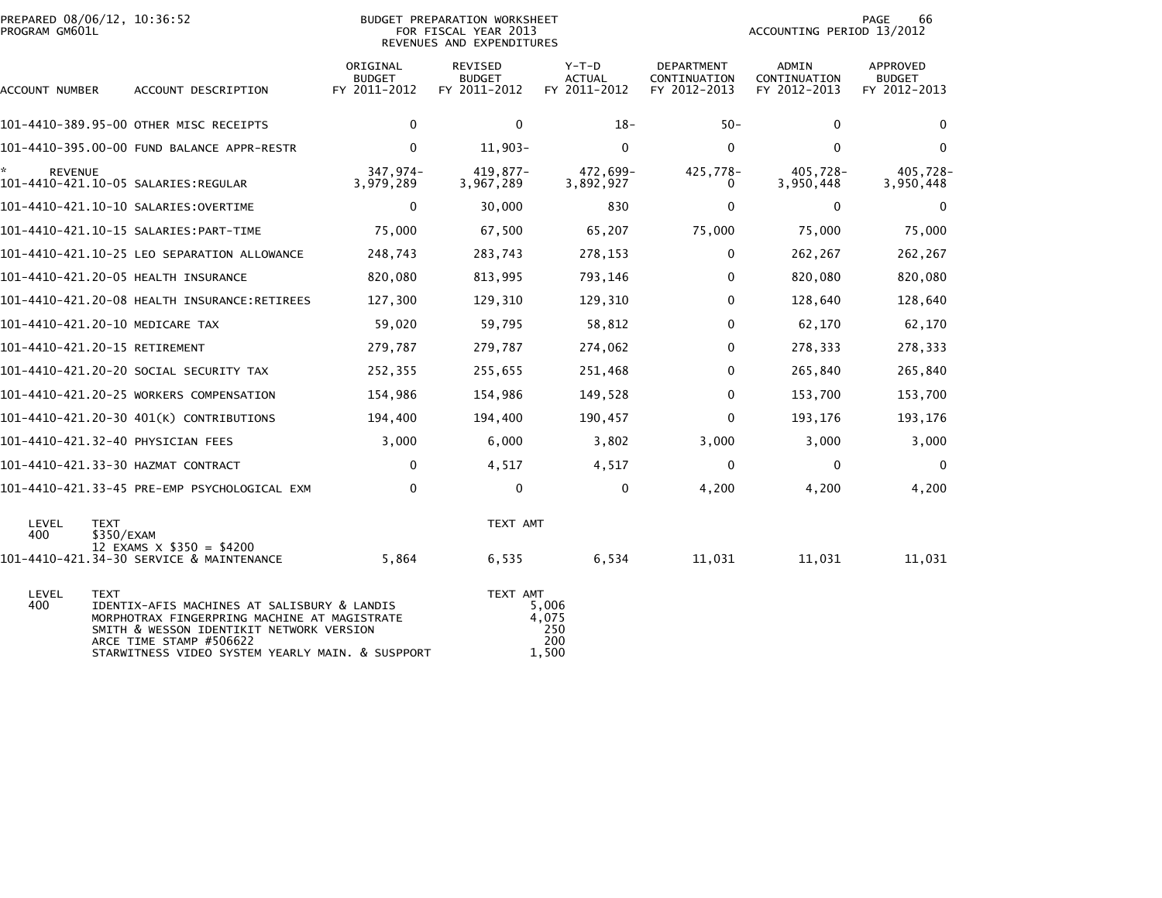| PREPARED 08/06/12, 10:36:52<br>PROGRAM GM601L |                                                                                                                                                                                                                        | BUDGET PREPARATION WORKSHEET<br>FOR FISCAL YEAR 2013<br>REVENUES AND EXPENDITURES | 66<br>PAGE<br>ACCOUNTING PERIOD 13/2012  |                                        |                                            |                                              |                                                  |
|-----------------------------------------------|------------------------------------------------------------------------------------------------------------------------------------------------------------------------------------------------------------------------|-----------------------------------------------------------------------------------|------------------------------------------|----------------------------------------|--------------------------------------------|----------------------------------------------|--------------------------------------------------|
| ACCOUNT NUMBER                                | ACCOUNT DESCRIPTION                                                                                                                                                                                                    | ORIGINAL<br><b>BUDGET</b><br>FY 2011-2012                                         | REVISED<br><b>BUDGET</b><br>FY 2011-2012 | Y-T-D<br><b>ACTUAL</b><br>FY 2011-2012 | DEPARTMENT<br>CONTINUATION<br>FY 2012-2013 | <b>ADMIN</b><br>CONTINUATION<br>FY 2012-2013 | <b>APPROVED</b><br><b>BUDGET</b><br>FY 2012-2013 |
|                                               | 101-4410-389.95-00 OTHER MISC RECEIPTS                                                                                                                                                                                 | 0                                                                                 | 0                                        | $18-$                                  | $50 -$                                     | $\mathbf{0}$                                 | 0                                                |
|                                               | 101-4410-395.00-00 FUND BALANCE APPR-RESTR                                                                                                                                                                             | 0                                                                                 | $11,903-$                                | $\Omega$                               | $\Omega$                                   | $\Omega$                                     | $\mathbf 0$                                      |
| <b>REVENUE</b>                                | 101-4410-421.10-05 SALARIES:REGULAR                                                                                                                                                                                    | 347,974-<br>3,979,289                                                             | $419.877 -$<br>3,967,289                 | 472,699-<br>3,892,927                  | 425,778-<br>0                              | 405,728-<br>3,950,448                        | 405,728-<br>3,950,448                            |
|                                               |                                                                                                                                                                                                                        | $\mathbf 0$                                                                       | 30,000                                   | 830                                    | 0                                          | $\mathbf{0}$                                 | $\mathbf 0$                                      |
|                                               |                                                                                                                                                                                                                        | 75,000                                                                            | 67,500                                   | 65,207                                 | 75,000                                     | 75,000                                       | 75,000                                           |
|                                               | 101-4410-421.10-25 LEO SEPARATION ALLOWANCE                                                                                                                                                                            | 248,743                                                                           | 283,743                                  | 278,153                                | 0                                          | 262,267                                      | 262,267                                          |
|                                               | 101-4410-421.20-05 HEALTH INSURANCE                                                                                                                                                                                    | 820,080                                                                           | 813,995                                  | 793,146                                | $\mathbf 0$                                | 820,080                                      | 820,080                                          |
|                                               |                                                                                                                                                                                                                        | 127,300                                                                           | 129,310                                  | 129,310                                | $\mathbf{0}$                               | 128,640                                      | 128,640                                          |
| 101-4410-421.20-10 MEDICARE TAX               |                                                                                                                                                                                                                        | 59,020                                                                            | 59,795                                   | 58,812                                 | 0                                          | 62,170                                       | 62,170                                           |
| 101-4410-421.20-15 RETIREMENT                 |                                                                                                                                                                                                                        | 279,787                                                                           | 279,787                                  | 274,062                                | $\mathbf 0$                                | 278,333                                      | 278,333                                          |
|                                               | 101-4410-421.20-20 SOCIAL SECURITY TAX                                                                                                                                                                                 | 252,355                                                                           | 255,655                                  | 251,468                                | $\mathbf{0}$                               | 265,840                                      | 265,840                                          |
|                                               | 101-4410-421.20-25 WORKERS COMPENSATION                                                                                                                                                                                | 154,986                                                                           | 154,986                                  | 149,528                                | $\mathbf 0$                                | 153,700                                      | 153,700                                          |
|                                               | 101-4410-421.20-30 401(K) CONTRIBUTIONS                                                                                                                                                                                | 194,400                                                                           | 194,400                                  | 190,457                                | 0                                          | 193,176                                      | 193,176                                          |
|                                               | 101-4410-421.32-40 PHYSICIAN FEES                                                                                                                                                                                      | 3,000                                                                             | 6,000                                    | 3,802                                  | 3,000                                      | 3,000                                        | 3,000                                            |
|                                               | 101-4410-421.33-30 HAZMAT CONTRACT                                                                                                                                                                                     | 0                                                                                 | 4,517                                    | 4,517                                  | 0                                          | 0                                            | 0                                                |
|                                               | 101–4410–421.33–45 PRE-EMP PSYCHOLOGICAL EXM                                                                                                                                                                           | 0                                                                                 | $\mathbf 0$                              | $\mathbf{0}$                           | 4,200                                      | 4,200                                        | 4,200                                            |
| LEVEL<br><b>TEXT</b><br>400                   | \$350/EXAM<br>12 EXAMS $\times$ \$350 = \$4200                                                                                                                                                                         |                                                                                   | TEXT AMT                                 |                                        |                                            |                                              |                                                  |
|                                               | 101-4410-421.34-30 SERVICE & MAINTENANCE                                                                                                                                                                               | 5,864                                                                             | 6,535                                    | 6,534                                  | 11,031                                     | 11,031                                       | 11,031                                           |
| LEVEL<br><b>TEXT</b><br>400                   | IDENTIX-AFIS MACHINES AT SALISBURY & LANDIS<br>MORPHOTRAX FINGERPRING MACHINE AT MAGISTRATE<br>SMITH & WESSON IDENTIKIT NETWORK VERSION<br>ARCE TIME STAMP #506622<br>STARWITNESS VIDEO SYSTEM YEARLY MAIN. & SUSPPORT |                                                                                   | TEXT AMT                                 | 5,006<br>4,075<br>250<br>200<br>1,500  |                                            |                                              |                                                  |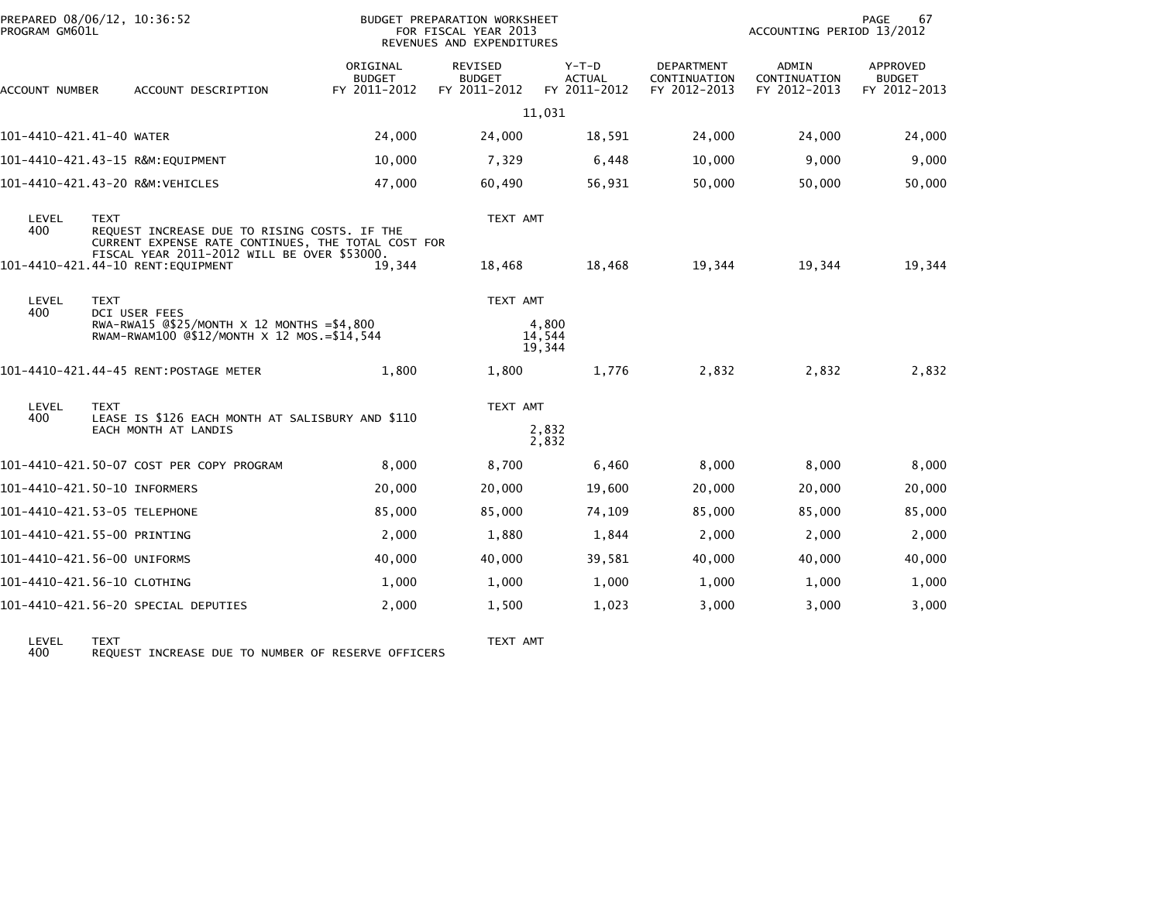| PROGRAM GM601L           | PREPARED 08/06/12, 10:36:52                                                                                                       | BUDGET PREPARATION WORKSHEET<br>FOR FISCAL YEAR 2013<br>REVENUES AND EXPENDITURES |                                                 |                                          |                                                   | PAGE<br>67<br>ACCOUNTING PERIOD 13/2012 |                                                  |  |
|--------------------------|-----------------------------------------------------------------------------------------------------------------------------------|-----------------------------------------------------------------------------------|-------------------------------------------------|------------------------------------------|---------------------------------------------------|-----------------------------------------|--------------------------------------------------|--|
| ACCOUNT NUMBER           | ACCOUNT DESCRIPTION                                                                                                               | ORIGINAL<br><b>BUDGET</b><br>FY 2011-2012                                         | <b>REVISED</b><br><b>BUDGET</b><br>FY 2011-2012 | $Y-T-D$<br><b>ACTUAL</b><br>FY 2011-2012 | <b>DEPARTMENT</b><br>CONTINUATION<br>FY 2012-2013 | ADMIN<br>CONTINUATION<br>FY 2012-2013   | <b>APPROVED</b><br><b>BUDGET</b><br>FY 2012-2013 |  |
|                          |                                                                                                                                   |                                                                                   |                                                 | 11,031                                   |                                                   |                                         |                                                  |  |
| 101-4410-421.41-40 WATER |                                                                                                                                   | 24,000                                                                            | 24,000                                          | 18,591                                   | 24,000                                            | 24,000                                  | 24,000                                           |  |
|                          | 101-4410-421.43-15 R&M:EOUIPMENT                                                                                                  | 10,000                                                                            | 7,329                                           | 6,448                                    | 10,000                                            | 9.000                                   | 9,000                                            |  |
|                          | 101-4410-421.43-20 R&M:VEHICLES                                                                                                   | 47,000                                                                            | 60,490                                          | 56,931                                   | 50,000                                            | 50,000                                  | 50,000                                           |  |
| LEVEL<br>400             | <b>TEXT</b><br>REQUEST INCREASE DUE TO RISING COSTS. IF THE<br>CURRENT EXPENSE RATE CONTINUES, THE TOTAL COST FOR                 |                                                                                   | TEXT AMT                                        |                                          |                                                   |                                         |                                                  |  |
|                          | FISCAL YEAR 2011-2012 WILL BE OVER \$53000.<br>101-4410-421.44-10 RENT:EQUIPMENT                                                  | 19,344                                                                            | 18,468                                          | 18,468                                   | 19,344                                            | 19,344                                  | 19,344                                           |  |
| LEVEL<br>400             | <b>TEXT</b><br>DCI USER FEES<br>RWA-RWA15 $@$25/MONTH \times 12 MONTHS = $4,800$<br>RWAM-RWAM100 @\$12/MONTH X 12 MOS. = \$14,544 |                                                                                   | TEXT AMT                                        | 4,800<br>14,544<br>19,344                |                                                   |                                         |                                                  |  |
|                          | 101-4410-421.44-45 RENT:POSTAGE METER                                                                                             | 1,800                                                                             | 1,800                                           | 1,776                                    | 2,832                                             | 2,832                                   | 2,832                                            |  |
| LEVEL<br>400             | <b>TEXT</b><br>LEASE IS \$126 EACH MONTH AT SALISBURY AND \$110<br>EACH MONTH AT LANDIS                                           |                                                                                   | TEXT AMT                                        | 2,832<br>2,832                           |                                                   |                                         |                                                  |  |
|                          | 101-4410-421.50-07 COST PER COPY PROGRAM                                                                                          | 8,000                                                                             | 8,700                                           | 6,460                                    | 8,000                                             | 8,000                                   | 8,000                                            |  |
|                          | 101-4410-421.50-10 INFORMERS                                                                                                      | 20,000                                                                            | 20,000                                          | 19,600                                   | 20,000                                            | 20,000                                  | 20,000                                           |  |
|                          | 101-4410-421.53-05 TELEPHONE                                                                                                      | 85,000                                                                            | 85,000                                          | 74,109                                   | 85,000                                            | 85,000                                  | 85,000                                           |  |
|                          | 101-4410-421.55-00 PRINTING                                                                                                       | 2,000                                                                             | 1,880                                           | 1,844                                    | 2,000                                             | 2,000                                   | 2,000                                            |  |
|                          | 101-4410-421.56-00 UNIFORMS                                                                                                       | 40,000                                                                            | 40,000                                          | 39,581                                   | 40,000                                            | 40,000                                  | 40,000                                           |  |
|                          | 101-4410-421.56-10 CLOTHING                                                                                                       | 1,000                                                                             | 1,000                                           | 1,000                                    | 1,000                                             | 1,000                                   | 1,000                                            |  |
|                          | 101-4410-421.56-20 SPECIAL DEPUTIES                                                                                               | 2,000                                                                             | 1,500                                           | 1,023                                    | 3,000                                             | 3,000                                   | 3,000                                            |  |
|                          |                                                                                                                                   |                                                                                   |                                                 |                                          |                                                   |                                         |                                                  |  |

LEVEL TEXT TEXT AMT 400 REQUEST INCREASE DUE TO NUMBER OF RESERVE OFFICERS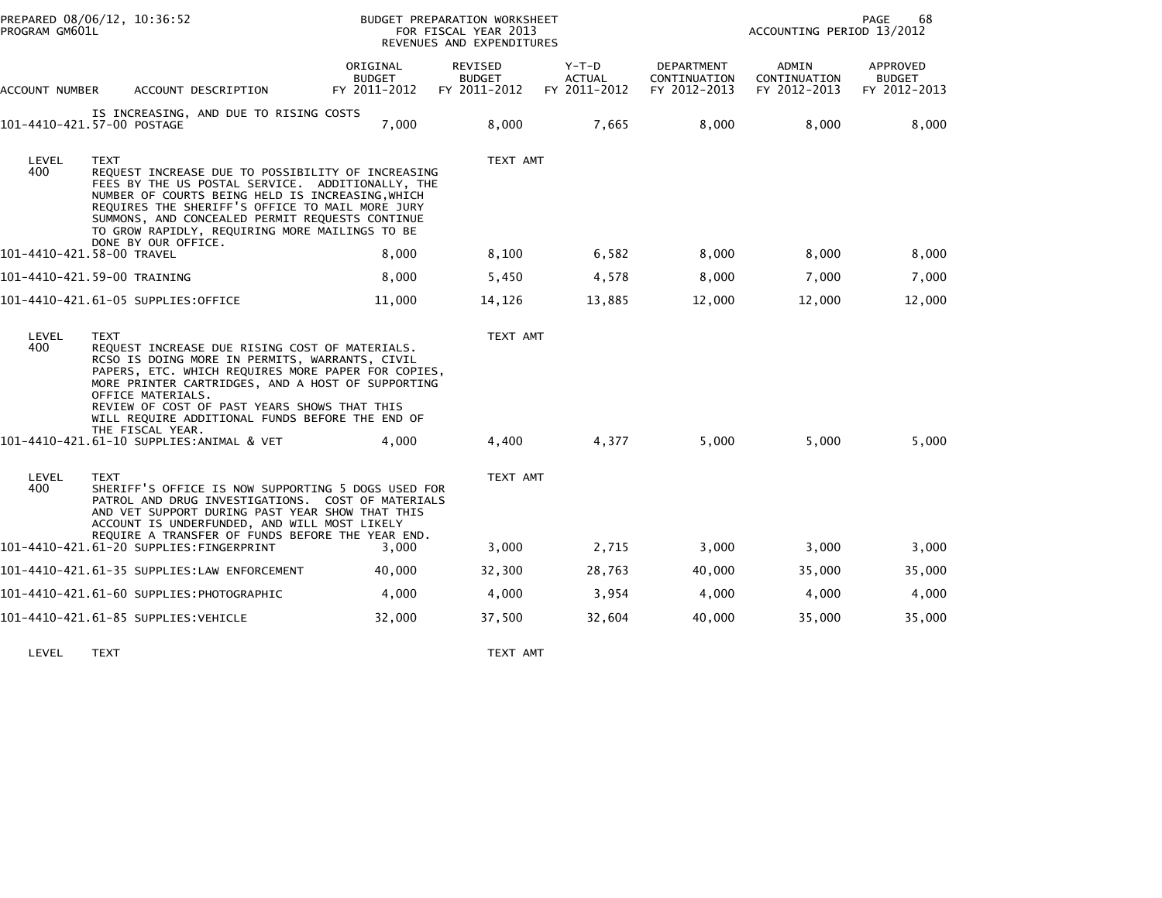| PREPARED 08/06/12, 10:36:52<br>PROGRAM GM601L |                                                                                                                                                                                                                                                                                                                                                                        | BUDGET PREPARATION WORKSHEET<br>FOR FISCAL YEAR 2013<br>REVENUES AND EXPENDITURES |                                                 |                                        | PAGE<br>68<br>ACCOUNTING PERIOD 13/2012    |                                       |                                           |  |
|-----------------------------------------------|------------------------------------------------------------------------------------------------------------------------------------------------------------------------------------------------------------------------------------------------------------------------------------------------------------------------------------------------------------------------|-----------------------------------------------------------------------------------|-------------------------------------------------|----------------------------------------|--------------------------------------------|---------------------------------------|-------------------------------------------|--|
| ACCOUNT NUMBER                                | ACCOUNT DESCRIPTION                                                                                                                                                                                                                                                                                                                                                    | ORIGINAL<br><b>BUDGET</b><br>FY 2011-2012                                         | <b>REVISED</b><br><b>BUDGET</b><br>FY 2011-2012 | Y-T-D<br><b>ACTUAL</b><br>FY 2011-2012 | DEPARTMENT<br>CONTINUATION<br>FY 2012-2013 | ADMIN<br>CONTINUATION<br>FY 2012-2013 | APPROVED<br><b>BUDGET</b><br>FY 2012-2013 |  |
|                                               | IS INCREASING, AND DUE TO RISING COSTS<br>101-4410-421.57-00 POSTAGE                                                                                                                                                                                                                                                                                                   | 7,000                                                                             | 8,000                                           | 7,665                                  | 8,000                                      | 8,000                                 | 8,000                                     |  |
| LEVEL<br>400                                  | <b>TEXT</b><br>REQUEST INCREASE DUE TO POSSIBILITY OF INCREASING<br>FEES BY THE US POSTAL SERVICE. ADDITIONALLY, THE<br>NUMBER OF COURTS BEING HELD IS INCREASING, WHICH<br>REQUIRES THE SHERIFF'S OFFICE TO MAIL MORE JURY<br>SUMMONS, AND CONCEALED PERMIT REQUESTS CONTINUE<br>TO GROW RAPIDLY, REQUIRING MORE MAILINGS TO BE<br>DONE BY OUR OFFICE.                |                                                                                   | TEXT AMT                                        |                                        |                                            |                                       |                                           |  |
|                                               | 101-4410-421.58-00 TRAVEL                                                                                                                                                                                                                                                                                                                                              | 8,000                                                                             | 8,100                                           | 6,582                                  | 8,000                                      | 8,000                                 | 8,000                                     |  |
|                                               | 101-4410-421.59-00 TRAINING                                                                                                                                                                                                                                                                                                                                            | 8,000                                                                             | 5,450                                           | 4,578                                  | 8,000                                      | 7,000                                 | 7,000                                     |  |
|                                               | 101-4410-421.61-05 SUPPLIES:OFFICE                                                                                                                                                                                                                                                                                                                                     | 11,000                                                                            | 14,126                                          | 13,885                                 | 12,000                                     | 12,000                                | 12,000                                    |  |
| LEVEL<br>400                                  | <b>TEXT</b><br>REQUEST INCREASE DUE RISING COST OF MATERIALS.<br>RCSO IS DOING MORE IN PERMITS, WARRANTS, CIVIL<br>PAPERS, ETC. WHICH REQUIRES MORE PAPER FOR COPIES,<br>MORE PRINTER CARTRIDGES, AND A HOST OF SUPPORTING<br>OFFICE MATERIALS.<br>REVIEW OF COST OF PAST YEARS SHOWS THAT THIS<br>WILL REQUIRE ADDITIONAL FUNDS BEFORE THE END OF<br>THE FISCAL YEAR. |                                                                                   | TEXT AMT                                        |                                        |                                            |                                       |                                           |  |
|                                               | 101-4410-421.61-10 SUPPLIES:ANIMAL & VET                                                                                                                                                                                                                                                                                                                               | 4,000                                                                             | 4,400                                           | 4,377                                  | 5,000                                      | 5,000                                 | 5,000                                     |  |
| LEVEL<br>400                                  | <b>TEXT</b><br>SHERIFF'S OFFICE IS NOW SUPPORTING 5 DOGS USED FOR<br>PATROL AND DRUG INVESTIGATIONS. COST OF MATERIALS<br>AND VET SUPPORT DURING PAST YEAR SHOW THAT THIS<br>ACCOUNT IS UNDERFUNDED, AND WILL MOST LIKELY                                                                                                                                              |                                                                                   | TEXT AMT                                        |                                        |                                            |                                       |                                           |  |
|                                               | REQUIRE A TRANSFER OF FUNDS BEFORE THE YEAR END.<br>101-4410-421.61-20 SUPPLIES:FINGERPRINT                                                                                                                                                                                                                                                                            | 3.000                                                                             | 3,000                                           | 2,715                                  | 3,000                                      | 3,000                                 | 3,000                                     |  |
|                                               | 101-4410-421.61-35 SUPPLIES:LAW ENFORCEMENT                                                                                                                                                                                                                                                                                                                            | 40,000                                                                            | 32,300                                          | 28,763                                 | 40,000                                     | 35,000                                | 35,000                                    |  |
|                                               | 101–4410–421.61–60 SUPPLIES:PHOTOGRAPHIC                                                                                                                                                                                                                                                                                                                               | 4,000                                                                             | 4,000                                           | 3,954                                  | 4,000                                      | 4,000                                 | 4,000                                     |  |
|                                               | 101-4410-421.61-85 SUPPLIES:VEHICLE                                                                                                                                                                                                                                                                                                                                    | 32,000                                                                            | 37,500                                          | 32,604                                 | 40,000                                     | 35,000                                | 35,000                                    |  |
|                                               |                                                                                                                                                                                                                                                                                                                                                                        |                                                                                   |                                                 |                                        |                                            |                                       |                                           |  |

LEVEL TEXT TEXT AMT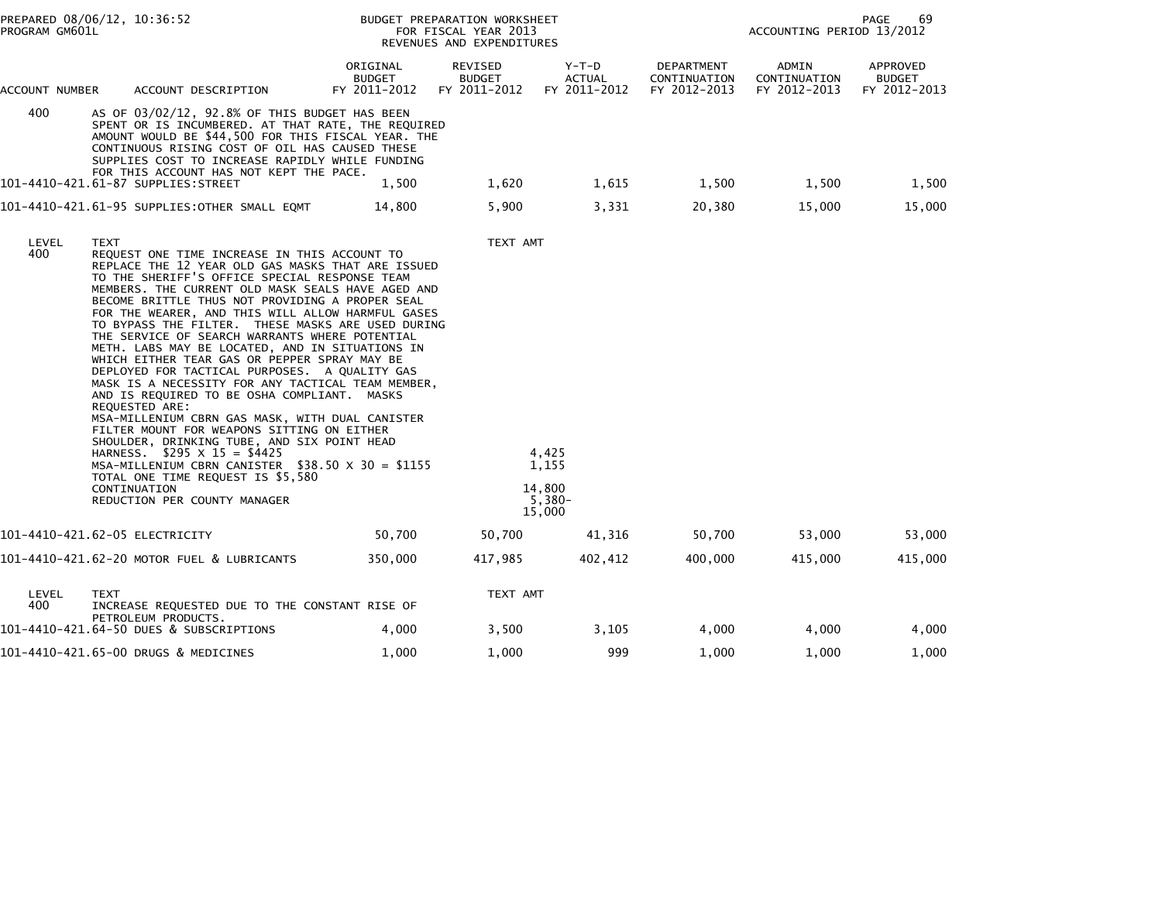| PREPARED 08/06/12, 10:36:52<br>PROGRAM GM601L |                                                                                                                                                                                                                                                                                                                                                                                                                                                                                                                                                                                                                                                                                                                                                                                                                                                                                                                                                                                                                                                     |                                           | BUDGET PREPARATION WORKSHEET<br>FOR FISCAL YEAR 2013<br>REVENUES AND EXPENDITURES | 69<br>PAGE<br>ACCOUNTING PERIOD 13/2012        |                                            |                                       |                                           |
|-----------------------------------------------|-----------------------------------------------------------------------------------------------------------------------------------------------------------------------------------------------------------------------------------------------------------------------------------------------------------------------------------------------------------------------------------------------------------------------------------------------------------------------------------------------------------------------------------------------------------------------------------------------------------------------------------------------------------------------------------------------------------------------------------------------------------------------------------------------------------------------------------------------------------------------------------------------------------------------------------------------------------------------------------------------------------------------------------------------------|-------------------------------------------|-----------------------------------------------------------------------------------|------------------------------------------------|--------------------------------------------|---------------------------------------|-------------------------------------------|
| ACCOUNT NUMBER                                | ACCOUNT DESCRIPTION                                                                                                                                                                                                                                                                                                                                                                                                                                                                                                                                                                                                                                                                                                                                                                                                                                                                                                                                                                                                                                 | ORIGINAL<br><b>BUDGET</b><br>FY 2011-2012 | REVISED<br><b>BUDGET</b><br>FY 2011-2012                                          | Y-T-D<br><b>ACTUAL</b><br>FY 2011-2012         | DEPARTMENT<br>CONTINUATION<br>FY 2012-2013 | ADMIN<br>CONTINUATION<br>FY 2012-2013 | APPROVED<br><b>BUDGET</b><br>FY 2012-2013 |
| 400                                           | AS OF 03/02/12, 92.8% OF THIS BUDGET HAS BEEN<br>SPENT OR IS INCUMBERED. AT THAT RATE, THE REQUIRED<br>AMOUNT WOULD BE \$44,500 FOR THIS FISCAL YEAR. THE<br>CONTINUOUS RISING COST OF OIL HAS CAUSED THESE<br>SUPPLIES COST TO INCREASE RAPIDLY WHILE FUNDING<br>FOR THIS ACCOUNT HAS NOT KEPT THE PACE.                                                                                                                                                                                                                                                                                                                                                                                                                                                                                                                                                                                                                                                                                                                                           |                                           |                                                                                   |                                                |                                            |                                       |                                           |
|                                               |                                                                                                                                                                                                                                                                                                                                                                                                                                                                                                                                                                                                                                                                                                                                                                                                                                                                                                                                                                                                                                                     | 1,500                                     | 1,620                                                                             | 1,615                                          | 1,500                                      | 1,500                                 | 1,500                                     |
|                                               | 101-4410-421.61-95 SUPPLIES:OTHER SMALL EQMT                                                                                                                                                                                                                                                                                                                                                                                                                                                                                                                                                                                                                                                                                                                                                                                                                                                                                                                                                                                                        | 14,800                                    | 5,900                                                                             | 3,331                                          | 20,380                                     | 15,000                                | 15,000                                    |
| LEVEL<br>400                                  | <b>TEXT</b><br>REQUEST ONE TIME INCREASE IN THIS ACCOUNT TO<br>REPLACE THE 12 YEAR OLD GAS MASKS THAT ARE ISSUED<br>TO THE SHERIFF'S OFFICE SPECIAL RESPONSE TEAM<br>MEMBERS. THE CURRENT OLD MASK SEALS HAVE AGED AND<br>BECOME BRITTLE THUS NOT PROVIDING A PROPER SEAL<br>FOR THE WEARER, AND THIS WILL ALLOW HARMFUL GASES<br>TO BYPASS THE FILTER. THESE MASKS ARE USED DURING<br>THE SERVICE OF SEARCH WARRANTS WHERE POTENTIAL<br>METH. LABS MAY BE LOCATED, AND IN SITUATIONS IN<br>WHICH EITHER TEAR GAS OR PEPPER SPRAY MAY BE<br>DEPLOYED FOR TACTICAL PURPOSES. A QUALITY GAS<br>MASK IS A NECESSITY FOR ANY TACTICAL TEAM MEMBER,<br>AND IS REQUIRED TO BE OSHA COMPLIANT. MASKS<br>REQUESTED ARE:<br>MSA-MILLENIUM CBRN GAS MASK, WITH DUAL CANISTER<br>FILTER MOUNT FOR WEAPONS SITTING ON EITHER<br>SHOULDER, DRINKING TUBE, AND SIX POINT HEAD<br>HARNESS. $$295 \times 15 = $4425$<br>MSA-MILLENIUM CBRN CANISTER $$38.50 \times 30 = $1155$<br>TOTAL ONE TIME REQUEST IS \$5,580<br>CONTINUATION<br>REDUCTION PER COUNTY MANAGER |                                           | TEXT AMT                                                                          | 4,425<br>1,155<br>14.800<br>$5,380-$<br>15,000 |                                            |                                       |                                           |
|                                               | 101-4410-421.62-05 ELECTRICITY                                                                                                                                                                                                                                                                                                                                                                                                                                                                                                                                                                                                                                                                                                                                                                                                                                                                                                                                                                                                                      | 50,700                                    | 50,700                                                                            | 41,316                                         | 50,700                                     | 53,000                                | 53,000                                    |
|                                               | 101-4410-421.62-20 MOTOR FUEL & LUBRICANTS                                                                                                                                                                                                                                                                                                                                                                                                                                                                                                                                                                                                                                                                                                                                                                                                                                                                                                                                                                                                          | 350,000                                   | 417,985                                                                           | 402,412                                        | 400,000                                    | 415,000                               | 415,000                                   |
| LEVEL<br>400                                  | <b>TEXT</b><br>INCREASE REQUESTED DUE TO THE CONSTANT RISE OF                                                                                                                                                                                                                                                                                                                                                                                                                                                                                                                                                                                                                                                                                                                                                                                                                                                                                                                                                                                       |                                           | TEXT AMT                                                                          |                                                |                                            |                                       |                                           |
|                                               | PETROLEUM PRODUCTS.<br>101-4410-421.64-50 DUES & SUBSCRIPTIONS                                                                                                                                                                                                                                                                                                                                                                                                                                                                                                                                                                                                                                                                                                                                                                                                                                                                                                                                                                                      | 4,000                                     | 3,500                                                                             | 3,105                                          | 4,000                                      | 4,000                                 | 4,000                                     |
|                                               | 101-4410-421.65-00 DRUGS & MEDICINES                                                                                                                                                                                                                                                                                                                                                                                                                                                                                                                                                                                                                                                                                                                                                                                                                                                                                                                                                                                                                | 1,000                                     | 1,000                                                                             | 999                                            | 1,000                                      | 1,000                                 | 1,000                                     |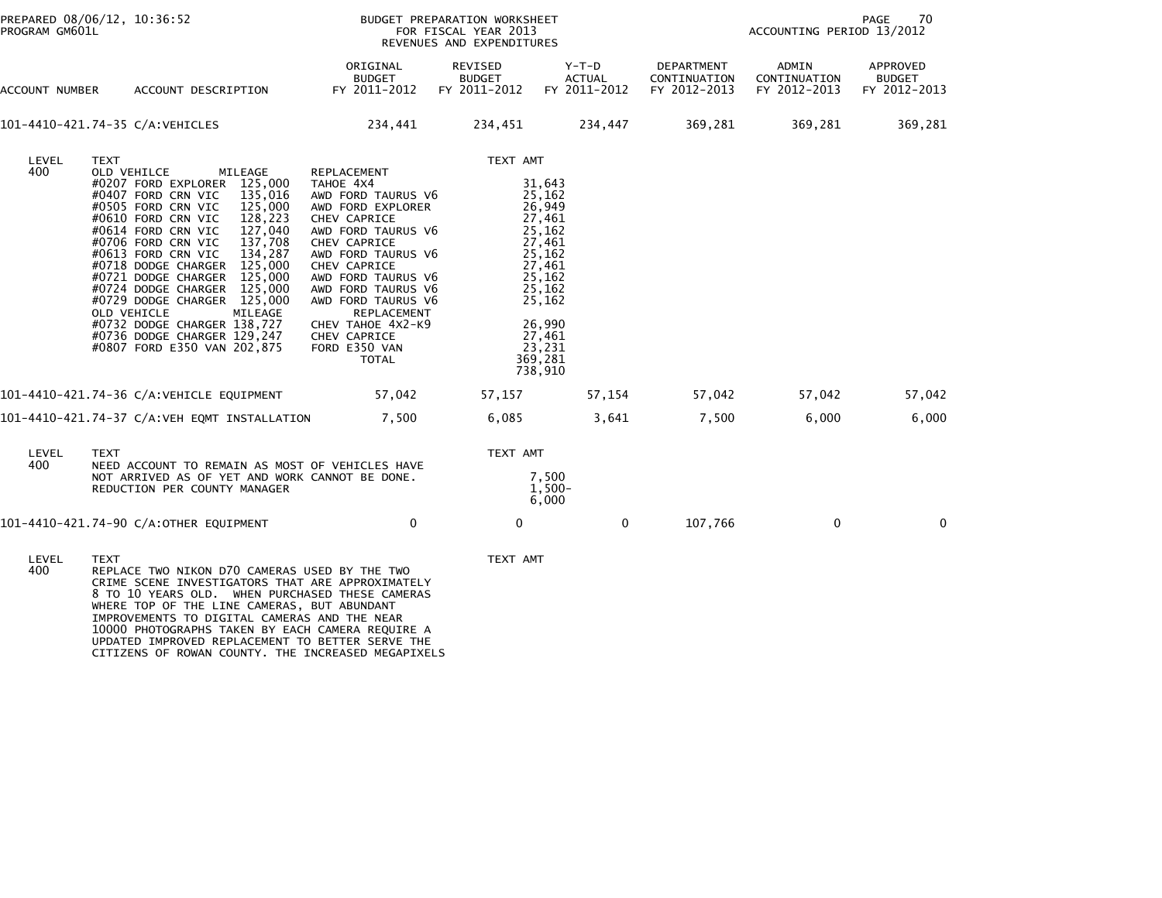| PREPARED 08/06/12, 10:36:52<br>PROGRAM GM601L |                                                                                                                                                                                                                                                                                                                                                                                                                                                                                                                               | BUDGET PREPARATION WORKSHEET<br>FOR FISCAL YEAR 2013<br>REVENUES AND EXPENDITURES                                                                                                                                                                                                                               |                                          |                                                                                                                                                                |                                            | 70<br>PAGE<br>ACCOUNTING PERIOD 13/2012 |                                           |  |
|-----------------------------------------------|-------------------------------------------------------------------------------------------------------------------------------------------------------------------------------------------------------------------------------------------------------------------------------------------------------------------------------------------------------------------------------------------------------------------------------------------------------------------------------------------------------------------------------|-----------------------------------------------------------------------------------------------------------------------------------------------------------------------------------------------------------------------------------------------------------------------------------------------------------------|------------------------------------------|----------------------------------------------------------------------------------------------------------------------------------------------------------------|--------------------------------------------|-----------------------------------------|-------------------------------------------|--|
| ACCOUNT NUMBER                                | ACCOUNT DESCRIPTION                                                                                                                                                                                                                                                                                                                                                                                                                                                                                                           | ORIGINAL<br><b>BUDGET</b><br>FY 2011-2012                                                                                                                                                                                                                                                                       | REVISED<br><b>BUDGET</b><br>FY 2011-2012 | $Y-T-D$<br><b>ACTUAL</b><br>FY 2011-2012                                                                                                                       | DEPARTMENT<br>CONTINUATION<br>FY 2012-2013 | ADMIN<br>CONTINUATION<br>FY 2012-2013   | APPROVED<br><b>BUDGET</b><br>FY 2012-2013 |  |
|                                               | 101-4410-421.74-35 C/A:VEHICLES                                                                                                                                                                                                                                                                                                                                                                                                                                                                                               | 234,441 234,451 234,447                                                                                                                                                                                                                                                                                         |                                          |                                                                                                                                                                | 369,281                                    | 369,281                                 | 369,281                                   |  |
| LEVEL<br>400                                  | <b>TEXT</b><br>MILEAGE<br>OLD VEHILCE<br>#0207 FORD EXPLORER 125,000<br>135,016<br>#0407 FORD CRN VIC<br>#0505 FORD CRN VIC<br>125,000<br>#0610 FORD CRN VIC<br>128,223<br>#0614 FORD CRN VIC<br>127,040<br>#0706 FORD CRN VIC<br>137,708<br>#0613 FORD CRN VIC<br>134,287<br>#0718 DODGE CHARGER 125,000<br>#0721 DODGE CHARGER 125,000<br>#0724 DODGE CHARGER 125,000<br>#0729 DODGE CHARGER 125,000<br>OLD VEHICLE<br>MILEAGE<br>#0732 DODGE CHARGER 138,727<br>#0736 DODGE CHARGER 129,247<br>#0807 FORD E350 VAN 202,875 | REPLACEMENT<br>TAHOE 4X4<br>AWD FORD TAURUS V6<br>AWD FORD EXPLORER<br>CHEV CAPRICE<br>AWD FORD TAURUS V6<br>CHEV CAPRICE<br>AWD FORD TAURUS V6<br>CHEV CAPRICE<br>AWD FORD TAURUS V6<br>AWD FORD TAURUS V6<br>AWD FORD TAURUS V6<br>REPLACEMENT<br>CHEV TAHOE 4X2-K9<br>CHEV CAPRICE<br>FORD E350 VAN<br>TOTAL | TEXT AMT                                 | 31,643<br>25,162<br>26,949<br>27,461<br>25,162<br>27,461<br>25,162<br>27,461<br>25,162<br>25,162<br>25,162<br>26,990<br>27,461<br>23,231<br>369,281<br>738,910 |                                            |                                         |                                           |  |
|                                               | 101-4410-421.74-36 C/A:VEHICLE EQUIPMENT                                                                                                                                                                                                                                                                                                                                                                                                                                                                                      | 57,042                                                                                                                                                                                                                                                                                                          | 57,157                                   | 57,154                                                                                                                                                         | 57,042                                     | 57,042                                  | 57,042                                    |  |
|                                               | 101-4410-421.74-37 C/A:VEH EQMT INSTALLATION                                                                                                                                                                                                                                                                                                                                                                                                                                                                                  | 7,500                                                                                                                                                                                                                                                                                                           | 6,085                                    | 3,641                                                                                                                                                          | 7,500                                      | 6,000                                   | 6,000                                     |  |
| LEVEL<br>400                                  | <b>TEXT</b><br>NEED ACCOUNT TO REMAIN AS MOST OF VEHICLES HAVE<br>NOT ARRIVED AS OF YET AND WORK CANNOT BE DONE.<br>REDUCTION PER COUNTY MANAGER                                                                                                                                                                                                                                                                                                                                                                              |                                                                                                                                                                                                                                                                                                                 | TEXT AMT                                 | 7,500<br>1,500-<br>6,000                                                                                                                                       |                                            |                                         |                                           |  |
|                                               | 101-4410-421.74-90 C/A:OTHER EQUIPMENT                                                                                                                                                                                                                                                                                                                                                                                                                                                                                        | $\mathbf{0}$                                                                                                                                                                                                                                                                                                    | $\mathbf 0$                              | $\mathbf{0}$                                                                                                                                                   | 107,766                                    | $\mathbf{0}$                            | $\mathbf{0}$                              |  |
| LEVEL<br>400                                  | <b>TEXT</b><br>REPLACE TWO NIKON D70 CAMERAS USED BY THE TWO<br>CRIME SCENE INVESTIGATORS THAT ARE APPROXIMATELY<br>8 TO 10 YEARS OLD. WHEN PURCHASED THESE CAMERAS<br>WIFBE TOP OF THE LINE CAMERAS BUT ABUNDANT                                                                                                                                                                                                                                                                                                             |                                                                                                                                                                                                                                                                                                                 | TEXT AMT                                 |                                                                                                                                                                |                                            |                                         |                                           |  |

8 TO 10 YEARS OLD. WHEN PURCHASED THESE CAMERAS<br>WHERE TOP OF THE LINE CAMERAS, BUT ABUNDANT<br>IMPROVEMENTS TO DIGITAL CAMERAS AND THE NEAR<br>10000 PHOTOGRAPHS TAKEN BY EACH CAMERA REQUIRE A<br>UPDATED IMPROVED REPLACEMENT TO BETT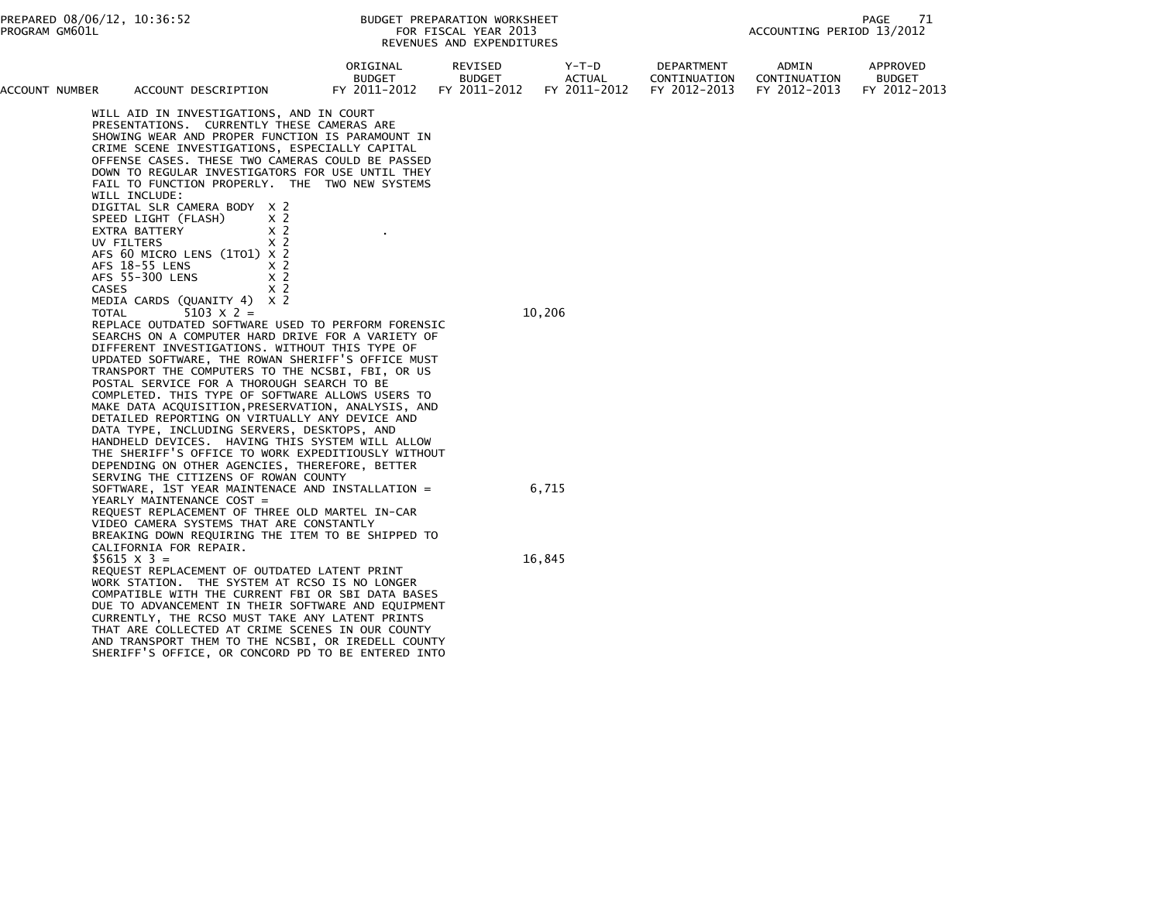| ACCOUNT NUMBER | ACCOUNT DESCRIPTION                                                                                | ORIGINAL<br><b>BUDGET</b><br>FY 2011-2012                                                                                                                                                                                                                                                                                  | REVISED<br><b>BUDGET</b><br>FY 2011-2012 | Y-T-D<br><b>ACTUAL</b><br>FY 2011-2012 | DEPARTMENT<br>CONTINUATION<br>FY 2012-2013 | ADMIN<br>CONTINUATION<br>FY 2012-2013 | APPROVED<br><b>BUDGET</b><br>FY 2012-2013 |
|----------------|----------------------------------------------------------------------------------------------------|----------------------------------------------------------------------------------------------------------------------------------------------------------------------------------------------------------------------------------------------------------------------------------------------------------------------------|------------------------------------------|----------------------------------------|--------------------------------------------|---------------------------------------|-------------------------------------------|
|                | WILL AID IN INVESTIGATIONS, AND IN COURT<br>PRESENTATIONS. CURRENTLY THESE CAMERAS ARE             | SHOWING WEAR AND PROPER FUNCTION IS PARAMOUNT IN<br>CRIME SCENE INVESTIGATIONS, ESPECIALLY CAPITAL<br>OFFENSE CASES. THESE TWO CAMERAS COULD BE PASSED<br>DOWN TO REGULAR INVESTIGATORS FOR USE UNTIL THEY<br>FAIL TO FUNCTION PROPERLY. THE TWO NEW SYSTEMS                                                               |                                          |                                        |                                            |                                       |                                           |
|                | WILL INCLUDE:<br>DIGITAL SLR CAMERA BODY X 2<br>SPEED LIGHT (FLASH)<br>EXTRA BATTERY<br>UV FILTERS | x <sub>2</sub><br>x <sub>2</sub><br>x <sub>2</sub>                                                                                                                                                                                                                                                                         |                                          |                                        |                                            |                                       |                                           |
|                | AFS 60 MICRO LENS (1TO1) X 2<br>AFS 18-55 LENS<br>AFS 55-300 LENS<br>CASES                         | x <sub>2</sub><br>$\times$ 2<br>x <sub>2</sub>                                                                                                                                                                                                                                                                             |                                          |                                        |                                            |                                       |                                           |
|                | MEDIA CARDS (QUANITY 4) X 2<br>$5103 \times 2 =$<br>TOTAL                                          | REPLACE OUTDATED SOFTWARE USED TO PERFORM FORENSIC<br>SEARCHS ON A COMPUTER HARD DRIVE FOR A VARIETY OF<br>DIFFERENT INVESTIGATIONS. WITHOUT THIS TYPE OF<br>UPDATED SOFTWARE, THE ROWAN SHERIFF'S OFFICE MUST                                                                                                             |                                          | 10,206                                 |                                            |                                       |                                           |
|                | POSTAL SERVICE FOR A THOROUGH SEARCH TO BE<br>DATA TYPE, INCLUDING SERVERS, DESKTOPS, AND          | TRANSPORT THE COMPUTERS TO THE NCSBI, FBI, OR US<br>COMPLETED. THIS TYPE OF SOFTWARE ALLOWS USERS TO<br>MAKE DATA ACQUISITION, PRESERVATION, ANALYSIS, AND<br>DETAILED REPORTING ON VIRTUALLY ANY DEVICE AND                                                                                                               |                                          |                                        |                                            |                                       |                                           |
|                | SERVING THE CITIZENS OF ROWAN COUNTY                                                               | HANDHELD DEVICES. HAVING THIS SYSTEM WILL ALLOW<br>THE SHERIFF'S OFFICE TO WORK EXPEDITIOUSLY WITHOUT<br>DEPENDING ON OTHER AGENCIES, THEREFORE, BETTER                                                                                                                                                                    |                                          |                                        |                                            |                                       |                                           |
|                | YEARLY MAINTENANCE COST =<br>VIDEO CAMERA SYSTEMS THAT ARE CONSTANTLY                              | SOFTWARE, 1ST YEAR MAINTENACE AND INSTALLATION =<br>REQUEST REPLACEMENT OF THREE OLD MARTEL IN-CAR<br>BREAKING DOWN REQUIRING THE ITEM TO BE SHIPPED TO                                                                                                                                                                    |                                          | 6,715                                  |                                            |                                       |                                           |
|                | CALIFORNIA FOR REPAIR.<br>$$5615 \times 3 =$<br>REQUEST REPLACEMENT OF OUTDATED LATENT PRINT       | WORK STATION. THE SYSTEM AT RCSO IS NO LONGER                                                                                                                                                                                                                                                                              |                                          | 16,845                                 |                                            |                                       |                                           |
|                |                                                                                                    | COMPATIBLE WITH THE CURRENT FBI OR SBI DATA BASES<br>DUE TO ADVANCEMENT IN THEIR SOFTWARE AND EQUIPMENT<br>CURRENTLY, THE RCSO MUST TAKE ANY LATENT PRINTS<br>THAT ARE COLLECTED AT CRIME SCENES IN OUR COUNTY<br>AND TRANSPORT THEM TO THE NCSBI, OR IREDELL COUNTY<br>SHERIFF'S OFFICE, OR CONCORD PD TO BE ENTERED INTO |                                          |                                        |                                            |                                       |                                           |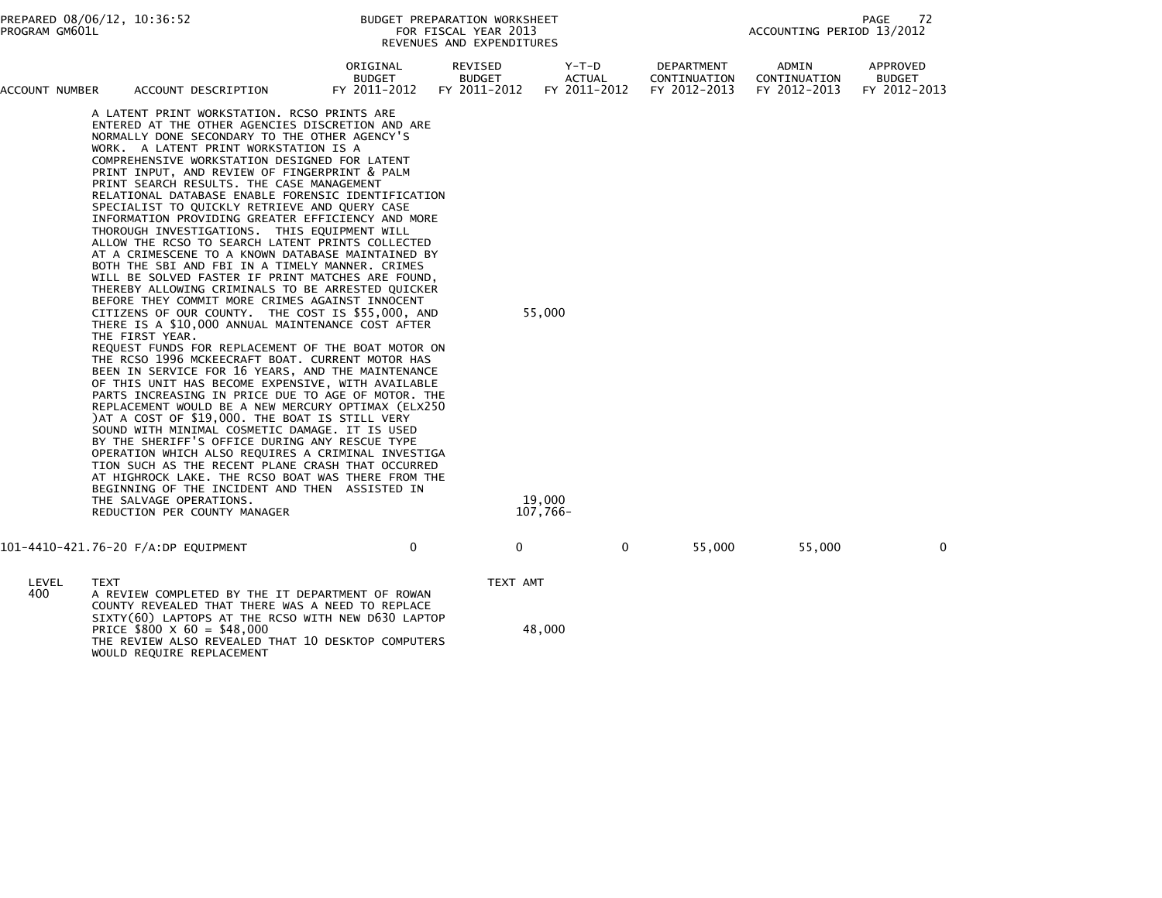| PREPARED 08/06/12, 10:36:52<br>PROGRAM GM601L |                                                                                                                                                                                                                                                                                                                                                                                                                                                                                                                                                                                                                                                                                                                  | BUDGET PREPARATION WORKSHEET<br>FOR FISCAL YEAR 2013<br>REVENUES AND EXPENDITURES |                                          |                                 | PAGE<br>72<br>ACCOUNTING PERIOD 13/2012    |                                       |                                           |  |
|-----------------------------------------------|------------------------------------------------------------------------------------------------------------------------------------------------------------------------------------------------------------------------------------------------------------------------------------------------------------------------------------------------------------------------------------------------------------------------------------------------------------------------------------------------------------------------------------------------------------------------------------------------------------------------------------------------------------------------------------------------------------------|-----------------------------------------------------------------------------------|------------------------------------------|---------------------------------|--------------------------------------------|---------------------------------------|-------------------------------------------|--|
| ACCOUNT NUMBER                                | ACCOUNT DESCRIPTION                                                                                                                                                                                                                                                                                                                                                                                                                                                                                                                                                                                                                                                                                              | ORIGINAL<br>BUDGET<br>FY 2011-2012                                                | REVISED<br><b>BUDGET</b><br>FY 2011-2012 | Y-T-D<br>ACTUAL<br>FY 2011-2012 | DEPARTMENT<br>CONTINUATION<br>FY 2012-2013 | ADMIN<br>CONTINUATION<br>FY 2012-2013 | APPROVED<br><b>BUDGET</b><br>FY 2012-2013 |  |
|                                               | A LATENT PRINT WORKSTATION. RCSO PRINTS ARE<br>ENTERED AT THE OTHER AGENCIES DISCRETION AND ARE<br>NORMALLY DONE SECONDARY TO THE OTHER AGENCY'S<br>WORK, A LATENT PRINT WORKSTATION IS A<br>COMPREHENSIVE WORKSTATION DESIGNED FOR LATENT<br>PRINT INPUT, AND REVIEW OF FINGERPRINT & PALM<br>PRINT SEARCH RESULTS. THE CASE MANAGEMENT<br>RELATIONAL DATABASE ENABLE FORENSIC IDENTIFICATION<br>SPECIALIST TO QUICKLY RETRIEVE AND QUERY CASE<br>INFORMATION PROVIDING GREATER EFFICIENCY AND MORE<br>THOROUGH INVESTIGATIONS. THIS EQUIPMENT WILL<br>ALLOW THE RCSO TO SEARCH LATENT PRINTS COLLECTED<br>AT A CRIMESCENE TO A KNOWN DATABASE MAINTAINED BY<br>BOTH THE SBI AND FBI IN A TIMELY MANNER. CRIMES |                                                                                   |                                          |                                 |                                            |                                       |                                           |  |

 WILL BE SOLVED FASTER IF PRINT MATCHES ARE FOUND,THEREBY ALLOWING CRIMINALS TO BE ARRESTED QUICKER

CITIZENS OF OUR COUNTY. THE COST IS \$55,000, AND 55,000

 THE FIRST YEAR. REQUEST FUNDS FOR REPLACEMENT OF THE BOAT MOTOR ON THE RCSO 1996 MCKEECRAFT BOAT. CURRENT MOTOR HAS BEEN IN SERVICE FOR 16 YEARS, AND THE MAINTENANCE OF THIS UNIT HAS BECOME EXPENSIVE, WITH AVAILABLE PARTS INCREASING IN PRICE DUE TO AGE OF MOTOR. THE REPLACEMENT WOULD BE A NEW MERCURY OPTIMAX (ELX250 )AT A COST OF \$19,000. THE BOAT IS STILL VERY SOUND WITH MINIMAL COSMETIC DAMAGE. IT IS USED BY THE SHERIFF'S OFFICE DURING ANY RESCUE TYPE OPERATION WHICH ALSO REQUIRES A CRIMINAL INVESTIGA TION SUCH AS THE RECENT PLANE CRASH THAT OCCURRED AT HIGHROCK LAKE. THE RCSO BOAT WAS THERE FROM THE BEGINNING OF THE INCIDENT AND THEN ASSISTED INTHE SALVAGE OPERATIONS. THE SALVAGE OPERATIONS. REDUCTION PER COUNTY MANAGER

BEFORE THEY COMMIT MORE CRIMES AGAINST INNOCENT

THERE IS A \$10,000 ANNUAL MAINTENANCE COST AFTER

101-4410-421.76-20 F/A:DP EQUIPMENT 0 0 0 55,000 55,000 0

 LEVEL TEXT TEXT AMT 400 A REVIEW COMPLETED BY THE IT DEPARTMENT OF ROWAN COUNTY REVEALED THAT THERE WAS A NEED TO REPLACE SIXTY(60) LAPTOPS AT THE RCSO WITH NEW D630 LAPTOPPRICE  $$800 \times 60 = $48,000$  48,000 THE REVIEW ALSO REVEALED THAT 10 DESKTOP COMPUTERSWOULD REQUIRE REPLACEMENT

107,766-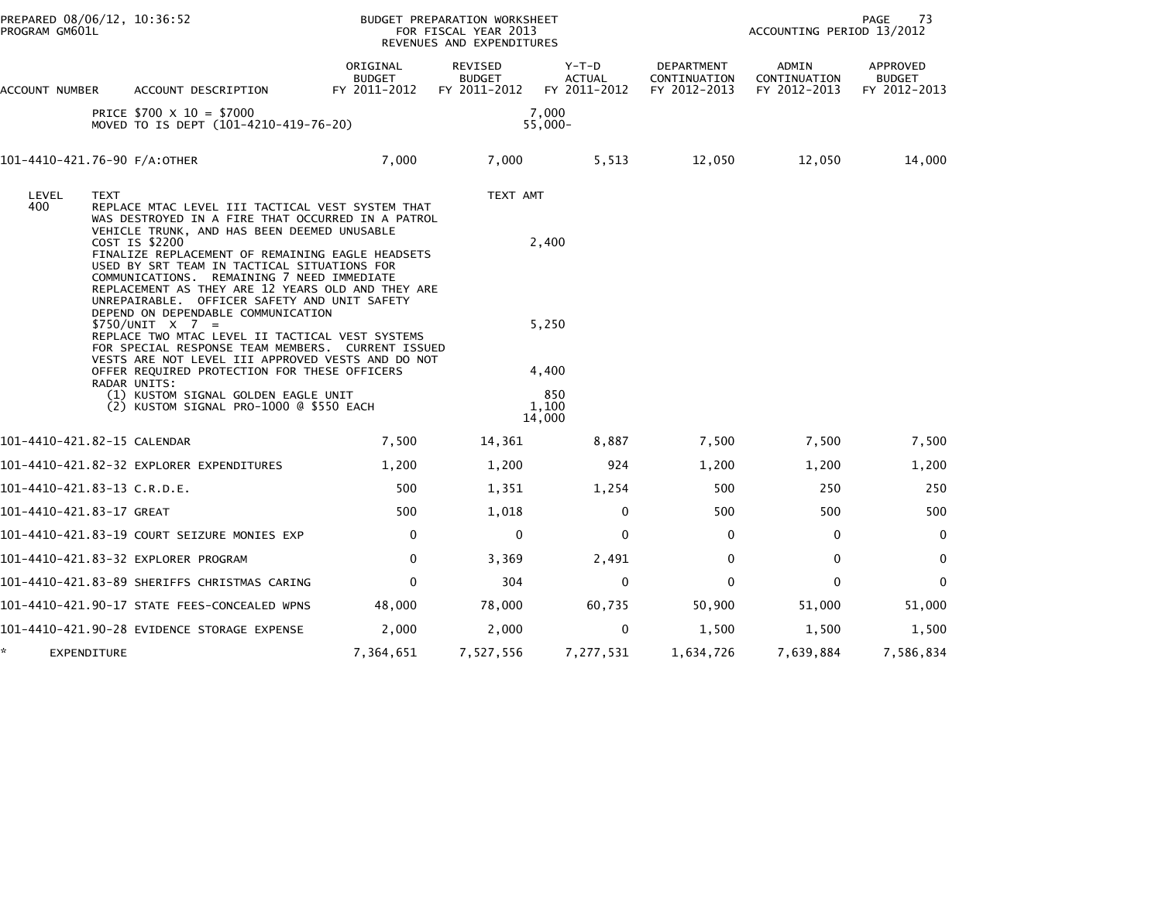| PROGRAM GM601L           | PREPARED 08/06/12, 10:36:52                                                                                                                                                                                                                                                                                                                                                                 |                                           | BUDGET PREPARATION WORKSHEET<br>FOR FISCAL YEAR 2013<br>REVENUES AND EXPENDITURES |                                          |                                            | 73<br>PAGE<br>ACCOUNTING PERIOD 13/2012 |                                           |  |
|--------------------------|---------------------------------------------------------------------------------------------------------------------------------------------------------------------------------------------------------------------------------------------------------------------------------------------------------------------------------------------------------------------------------------------|-------------------------------------------|-----------------------------------------------------------------------------------|------------------------------------------|--------------------------------------------|-----------------------------------------|-------------------------------------------|--|
| ACCOUNT NUMBER           | ACCOUNT DESCRIPTION                                                                                                                                                                                                                                                                                                                                                                         | ORIGINAL<br><b>BUDGET</b><br>FY 2011-2012 | REVISED<br><b>BUDGET</b><br>FY 2011-2012                                          | $Y-T-D$<br><b>ACTUAL</b><br>FY 2011-2012 | DEPARTMENT<br>CONTINUATION<br>FY 2012-2013 | ADMIN<br>CONTINUATION<br>FY 2012-2013   | APPROVED<br><b>BUDGET</b><br>FY 2012-2013 |  |
|                          | PRICE $$700 \times 10 = $7000$<br>MOVED TO IS DEPT (101-4210-419-76-20)                                                                                                                                                                                                                                                                                                                     |                                           |                                                                                   | 7.000<br>$55,000 -$                      |                                            |                                         |                                           |  |
|                          | 101-4410-421.76-90 F/A:OTHER                                                                                                                                                                                                                                                                                                                                                                | 7,000                                     | 7,000                                                                             | 5,513                                    | 12,050                                     | 12,050                                  | 14,000                                    |  |
| LEVEL<br>400             | <b>TEXT</b><br>REPLACE MTAC LEVEL III TACTICAL VEST SYSTEM THAT<br>WAS DESTROYED IN A FIRE THAT OCCURRED IN A PATROL<br>VEHICLE TRUNK, AND HAS BEEN DEEMED UNUSABLE<br>COST IS \$2200<br>FINALIZE REPLACEMENT OF REMAINING EAGLE HEADSETS<br>USED BY SRT TEAM IN TACTICAL SITUATIONS FOR<br>COMMUNICATIONS. REMAINING 7 NEED IMMEDIATE<br>REPLACEMENT AS THEY ARE 12 YEARS OLD AND THEY ARE |                                           | TEXT AMT                                                                          | 2,400                                    |                                            |                                         |                                           |  |
|                          | UNREPAIRABLE. OFFICER SAFETY AND UNIT SAFETY<br>DEPEND ON DEPENDABLE COMMUNICATION<br>$$750/UNIT \t X 7 =$<br>REPLACE TWO MTAC LEVEL II TACTICAL VEST SYSTEMS<br>FOR SPECIAL RESPONSE TEAM MEMBERS. CURRENT ISSUED                                                                                                                                                                          |                                           |                                                                                   | 5,250                                    |                                            |                                         |                                           |  |
|                          | VESTS ARE NOT LEVEL III APPROVED VESTS AND DO NOT<br>OFFER REQUIRED PROTECTION FOR THESE OFFICERS                                                                                                                                                                                                                                                                                           |                                           |                                                                                   | 4,400                                    |                                            |                                         |                                           |  |
|                          | RADAR UNITS:<br>(1) KUSTOM SIGNAL GOLDEN EAGLE UNIT<br>(2) KUSTOM SIGNAL PRO-1000 @ \$550 EACH                                                                                                                                                                                                                                                                                              |                                           |                                                                                   | 850<br>1.100<br>14,000                   |                                            |                                         |                                           |  |
|                          | 101-4410-421.82-15 CALENDAR                                                                                                                                                                                                                                                                                                                                                                 | 7,500                                     | 14,361                                                                            | 8,887                                    | 7,500                                      | 7,500                                   | 7,500                                     |  |
|                          | 101-4410-421.82-32 EXPLORER EXPENDITURES                                                                                                                                                                                                                                                                                                                                                    | 1,200                                     | 1,200                                                                             | 924                                      | 1,200                                      | 1,200                                   | 1,200                                     |  |
|                          | 101-4410-421.83-13 C.R.D.E.                                                                                                                                                                                                                                                                                                                                                                 | 500                                       | 1,351                                                                             | 1,254                                    | 500                                        | 250                                     | 250                                       |  |
| 101-4410-421.83-17 GREAT |                                                                                                                                                                                                                                                                                                                                                                                             | 500                                       | 1,018                                                                             | 0                                        | 500                                        | 500                                     | 500                                       |  |
|                          | 101-4410-421.83-19 COURT SEIZURE MONIES EXP                                                                                                                                                                                                                                                                                                                                                 | $\mathbf{0}$                              | 0                                                                                 | $\Omega$                                 | $\mathbf{0}$                               | 0                                       | $\mathbf 0$                               |  |
|                          | 101-4410-421.83-32 EXPLORER PROGRAM                                                                                                                                                                                                                                                                                                                                                         | 0                                         | 3,369                                                                             | 2,491                                    | 0                                          | 0                                       | $\mathbf{0}$                              |  |
|                          | 101-4410-421.83-89 SHERIFFS CHRISTMAS CARING                                                                                                                                                                                                                                                                                                                                                | $\mathbf{0}$                              | 304                                                                               | $\mathbf{0}$                             | $\mathbf{0}$                               | $\mathbf{0}$                            | $\mathbf{0}$                              |  |
|                          | 101-4410-421.90-17 STATE FEES-CONCEALED WPNS                                                                                                                                                                                                                                                                                                                                                | 48,000                                    | 78,000                                                                            | 60,735                                   | 50,900                                     | 51,000                                  | 51,000                                    |  |
|                          | 101-4410-421.90-28 EVIDENCE STORAGE EXPENSE                                                                                                                                                                                                                                                                                                                                                 | 2,000                                     | 2,000                                                                             | 0                                        | 1,500                                      | 1,500                                   | 1,500                                     |  |
| EXPENDITURE              |                                                                                                                                                                                                                                                                                                                                                                                             | 7,364,651                                 | 7,527,556                                                                         | 7,277,531                                | 1,634,726                                  | 7,639,884                               | 7,586,834                                 |  |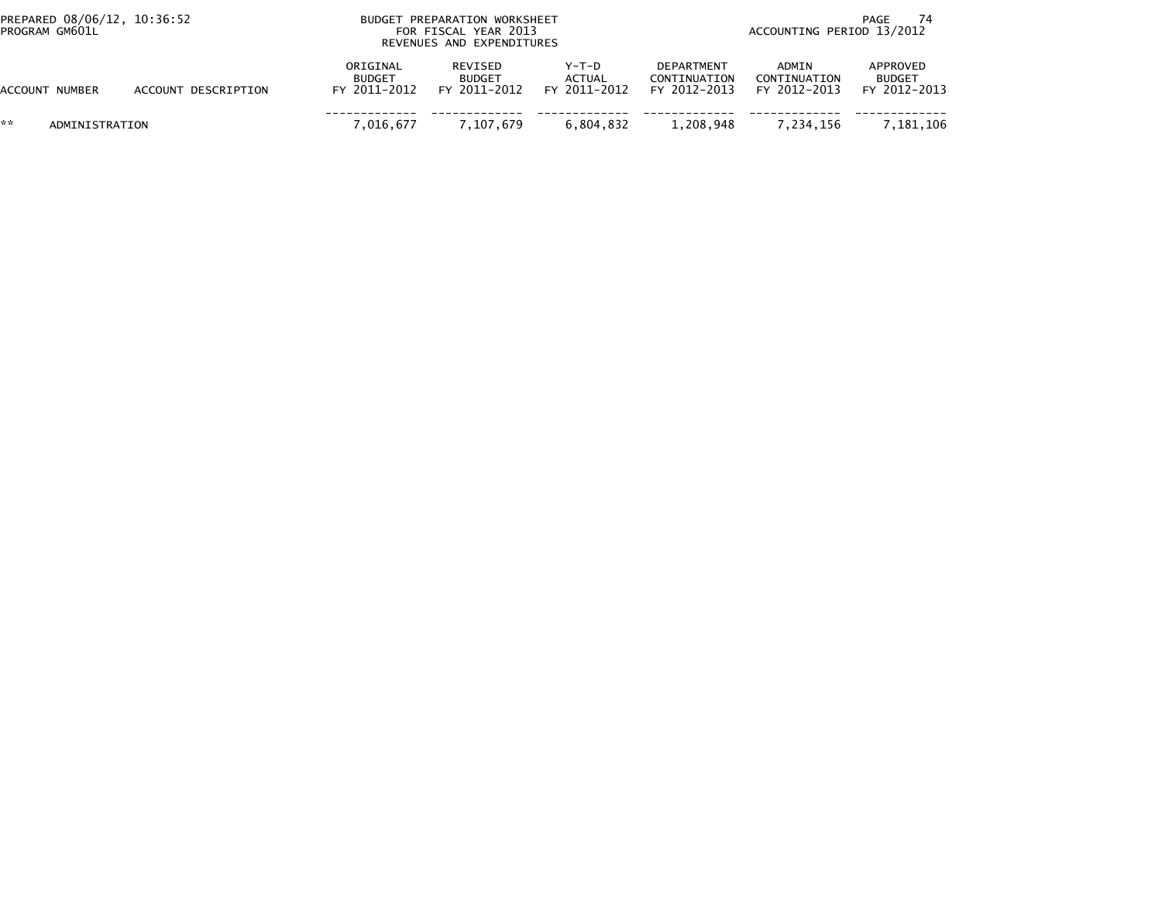| PREPARED 08/06/12, 10:36:52<br>PROGRAM GM601L |                     |                                           | BUDGET PREPARATION WORKSHEET<br>FOR FISCAL YEAR 2013<br>REVENUES AND EXPENDITURES |                                   | PAGE<br>ACCOUNTING PERIOD 13/2012          |                                       |                                           |  |
|-----------------------------------------------|---------------------|-------------------------------------------|-----------------------------------------------------------------------------------|-----------------------------------|--------------------------------------------|---------------------------------------|-------------------------------------------|--|
| <b>ACCOUNT NUMBER</b>                         | ACCOUNT DESCRIPTION | ORIGINAL<br><b>BUDGET</b><br>FY 2011-2012 | REVISED<br><b>BUDGET</b><br>FY 2011-2012                                          | $Y-T-D$<br>ACTUAL<br>FY 2011-2012 | DEPARTMENT<br>CONTINUATION<br>FY 2012-2013 | ADMIN<br>CONTINUATION<br>FY 2012-2013 | APPROVED<br><b>BUDGET</b><br>FY 2012-2013 |  |
| **<br>ADMINISTRATION                          |                     | 7.016.677                                 | 7.107.679                                                                         | 6.804.832                         | 1,208,948                                  | 7.234.156                             | 7.181.106                                 |  |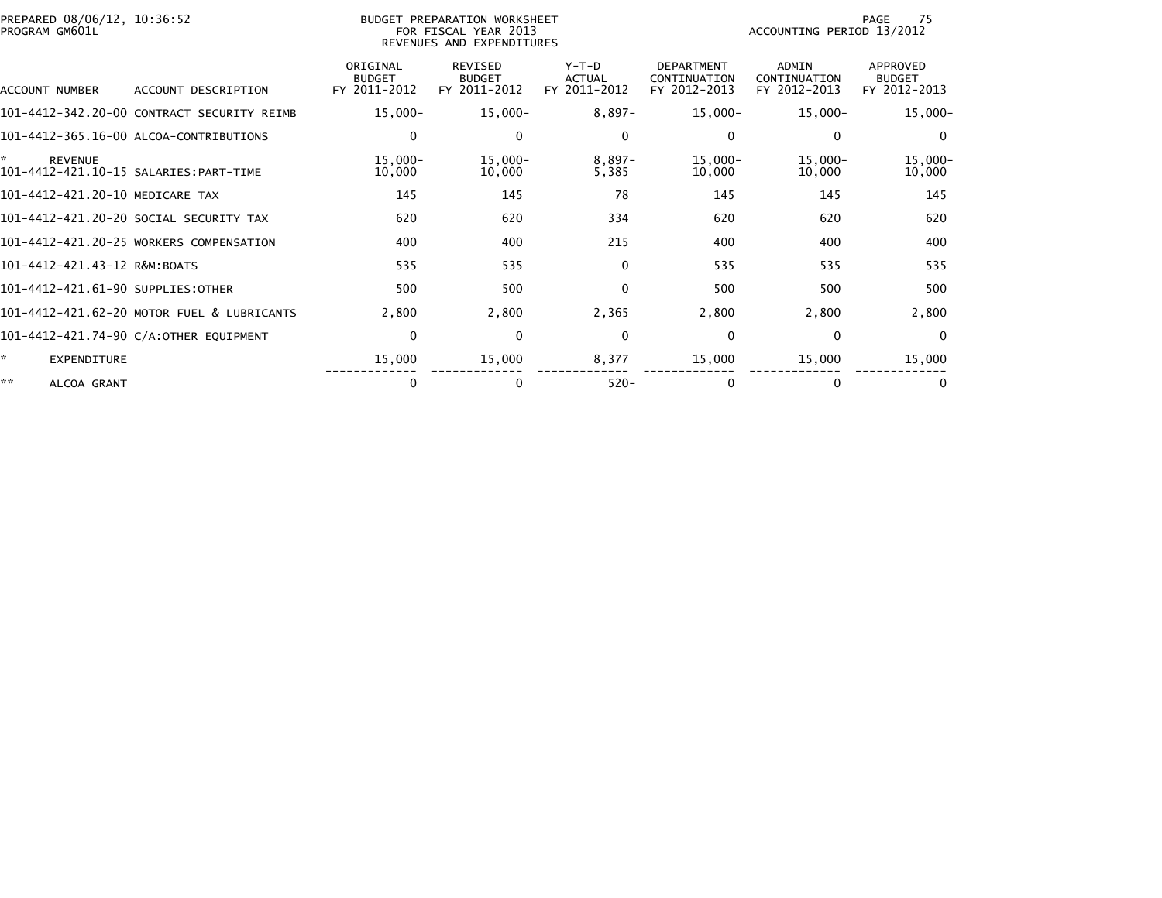| PREPARED 08/06/12, 10:36:52<br>PROGRAM GM601L |                                            |                                           | BUDGET PREPARATION WORKSHEET<br>FOR FISCAL YEAR 2013<br>REVENUES AND EXPENDITURES |                                          | 75<br>PAGE<br>ACCOUNTING PERIOD 13/2012           |                                              |                                                  |  |
|-----------------------------------------------|--------------------------------------------|-------------------------------------------|-----------------------------------------------------------------------------------|------------------------------------------|---------------------------------------------------|----------------------------------------------|--------------------------------------------------|--|
| ACCOUNT NUMBER                                | ACCOUNT DESCRIPTION                        | ORIGINAL<br><b>BUDGET</b><br>FY 2011-2012 | <b>REVISED</b><br><b>BUDGET</b><br>FY 2011-2012                                   | $Y-T-D$<br><b>ACTUAL</b><br>FY 2011-2012 | <b>DEPARTMENT</b><br>CONTINUATION<br>FY 2012-2013 | <b>ADMIN</b><br>CONTINUATION<br>FY 2012-2013 | <b>APPROVED</b><br><b>BUDGET</b><br>FY 2012-2013 |  |
|                                               | 101-4412-342.20-00 CONTRACT SECURITY REIMB | $15,000 -$                                | $15,000-$                                                                         | $8,897-$                                 | $15,000 -$                                        | $15,000 -$                                   | $15,000 -$                                       |  |
|                                               | 101-4412-365.16-00 ALCOA-CONTRIBUTIONS     | 0                                         | 0                                                                                 | $\mathbf{0}$                             | 0                                                 | $\mathbf{0}$                                 | $\Omega$                                         |  |
| *<br><b>REVENUE</b>                           | 101-4412-421.10-15 SALARIES: PART-TIME     | $15,000 -$<br>10,000                      | $15,000-$<br>10,000                                                               | $8,897-$<br>5,385                        | $15,000 -$<br>10,000                              | $15,000 -$<br>10,000                         | $15,000 -$<br>10,000                             |  |
| 101-4412-421.20-10 MEDICARE TAX               |                                            | 145                                       | 145                                                                               | 78                                       | 145                                               | 145                                          | 145                                              |  |
|                                               | 101–4412–421.20–20 SOCIAL SECURITY TAX     | 620                                       | 620                                                                               | 334                                      | 620                                               | 620                                          | 620                                              |  |
|                                               | 101-4412-421.20-25 WORKERS COMPENSATION    | 400                                       | 400                                                                               | 215                                      | 400                                               | 400                                          | 400                                              |  |
| 101-4412-421.43-12 R&M:BOATS                  |                                            | 535                                       | 535                                                                               | $\mathbf{0}$                             | 535                                               | 535                                          | 535                                              |  |
| 101-4412-421.61-90 SUPPLIES:OTHER             |                                            | 500                                       | 500                                                                               | $\mathbf{0}$                             | 500                                               | 500                                          | 500                                              |  |
|                                               | 101-4412-421.62-20 MOTOR FUEL & LUBRICANTS | 2,800                                     | 2,800                                                                             | 2,365                                    | 2,800                                             | 2,800                                        | 2,800                                            |  |
|                                               | 101-4412-421.74-90 C/A:OTHER EQUIPMENT     | $\mathbf 0$                               | $\Omega$                                                                          | $\mathbf{0}$                             | $\mathbf 0$                                       | $\Omega$                                     | $\Omega$                                         |  |
| ÷.<br><b>EXPENDITURE</b>                      |                                            | 15,000                                    | 15,000                                                                            | 8,377                                    | 15,000                                            | 15,000                                       | 15,000                                           |  |
| **<br>ALCOA GRANT                             |                                            | 0                                         | 0                                                                                 | $520 -$                                  | $\mathbf{0}$                                      | 0                                            |                                                  |  |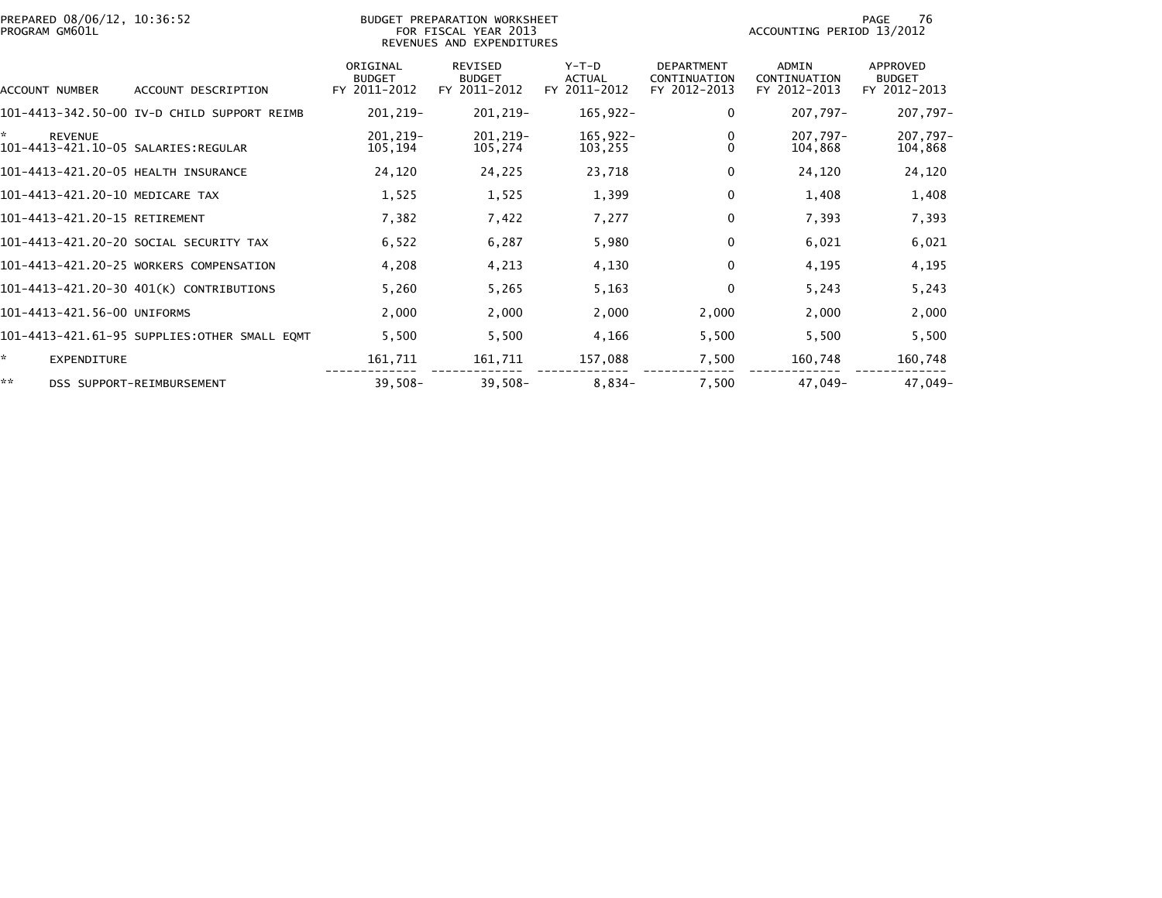| PREPARED 08/06/12, 10:36:52<br>PROGRAM GM601L |                                              |                                           | BUDGET PREPARATION WORKSHEET<br>FOR FISCAL YEAR 2013<br>REVENUES AND EXPENDITURES |                                        | 76<br>PAGE<br>ACCOUNTING PERIOD 13/2012           |                                              |                                                  |  |
|-----------------------------------------------|----------------------------------------------|-------------------------------------------|-----------------------------------------------------------------------------------|----------------------------------------|---------------------------------------------------|----------------------------------------------|--------------------------------------------------|--|
| ACCOUNT NUMBER                                | ACCOUNT DESCRIPTION                          | ORIGINAL<br><b>BUDGET</b><br>FY 2011-2012 | <b>REVISED</b><br><b>BUDGET</b><br>FY 2011-2012                                   | Y-T-D<br><b>ACTUAL</b><br>FY 2011-2012 | <b>DEPARTMENT</b><br>CONTINUATION<br>FY 2012-2013 | <b>ADMIN</b><br>CONTINUATION<br>FY 2012-2013 | <b>APPROVED</b><br><b>BUDGET</b><br>FY 2012-2013 |  |
|                                               | 101-4413-342.50-00 IV-D CHILD SUPPORT REIMB  | 201,219-                                  | 201, 219-                                                                         | $165,922-$                             | $\Omega$                                          | 207,797-                                     | 207,797-                                         |  |
| ×.<br><b>REVENUE</b>                          |                                              | 201,219-<br>105,194                       | 201, 219-<br>105,274                                                              | 165,922-<br>103,255                    | 0<br>$\Omega$                                     | 207,797-<br>104,868                          | 207,797-<br>104,868                              |  |
| 101-4413-421.20-05 HEALTH INSURANCE           |                                              | 24,120                                    | 24,225                                                                            | 23,718                                 | 0                                                 | 24,120                                       | 24,120                                           |  |
| 101-4413-421.20-10 MEDICARE TAX               |                                              | 1,525                                     | 1,525                                                                             | 1,399                                  | 0                                                 | 1,408                                        | 1,408                                            |  |
| 101-4413-421.20-15 RETIREMENT                 |                                              | 7,382                                     | 7,422                                                                             | 7,277                                  | $\Omega$                                          | 7,393                                        | 7,393                                            |  |
|                                               | 101-4413-421.20-20 SOCIAL SECURITY TAX       | 6,522                                     | 6,287                                                                             | 5,980                                  | 0                                                 | 6,021                                        | 6,021                                            |  |
|                                               | 101-4413-421.20-25 WORKERS COMPENSATION      | 4,208                                     | 4,213                                                                             | 4,130                                  | $\Omega$                                          | 4,195                                        | 4,195                                            |  |
|                                               | 101-4413-421.20-30 401(K) CONTRIBUTIONS      | 5,260                                     | 5,265                                                                             | 5,163                                  | $\Omega$                                          | 5,243                                        | 5,243                                            |  |
| 101-4413-421.56-00 UNIFORMS                   |                                              | 2,000                                     | 2,000                                                                             | 2,000                                  | 2,000                                             | 2,000                                        | 2,000                                            |  |
|                                               | 101-4413-421.61-95 SUPPLIES:OTHER SMALL EQMT | 5,500                                     | 5,500                                                                             | 4,166                                  | 5,500                                             | 5,500                                        | 5,500                                            |  |
| ×.<br><b>EXPENDITURE</b>                      |                                              | 161,711                                   | 161,711                                                                           | 157,088                                | 7,500                                             | 160,748                                      | 160,748                                          |  |
| **                                            | DSS SUPPORT-REIMBURSEMENT                    | $39,508-$                                 | $39,508-$                                                                         | $8,834-$                               | 7,500                                             | 47,049-                                      | 47,049-                                          |  |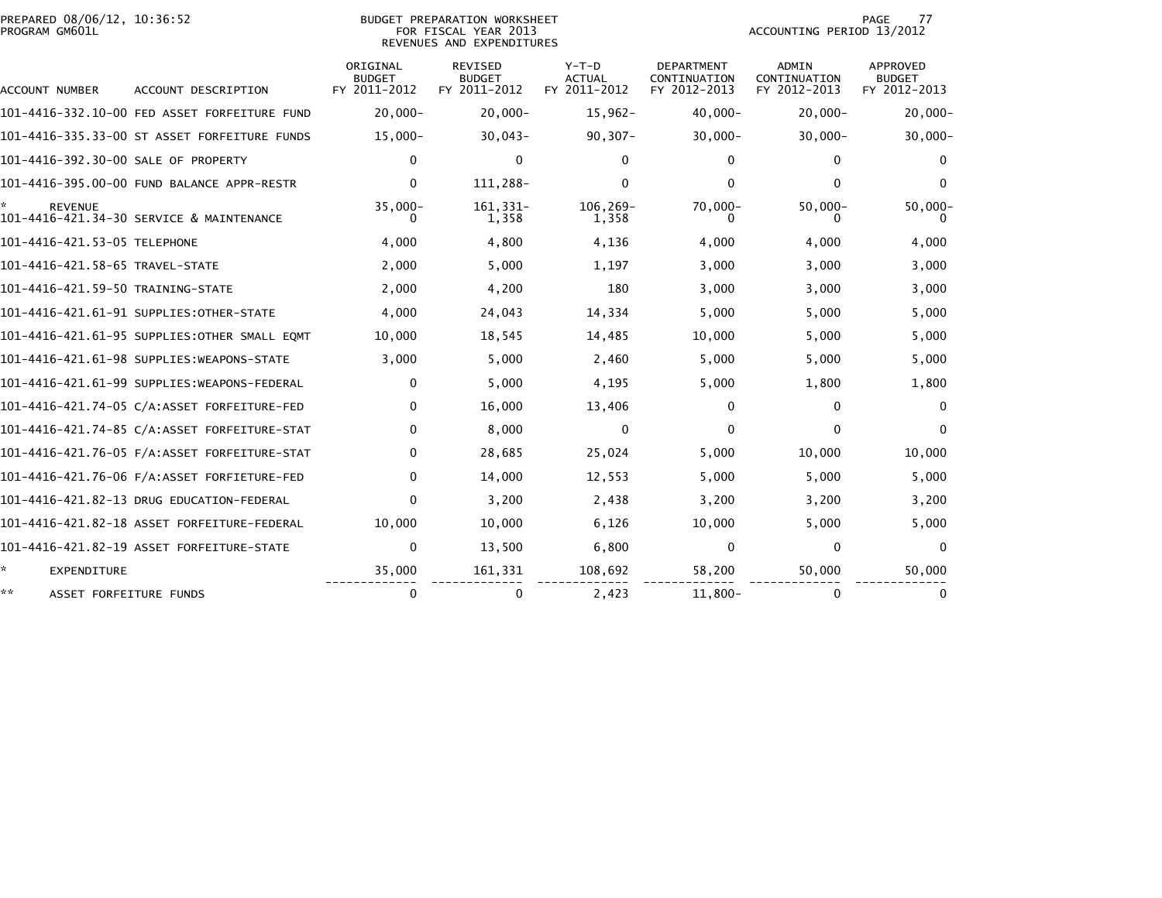| PREPARED 08/06/12, 10:36:52<br>PROGRAM GM601L |                                              |                                           | BUDGET PREPARATION WORKSHEET<br>FOR FISCAL YEAR 2013<br>REVENUES AND EXPENDITURES |                                          | 77<br>PAGE<br>ACCOUNTING PERIOD 13/2012           |                                              |                                                  |
|-----------------------------------------------|----------------------------------------------|-------------------------------------------|-----------------------------------------------------------------------------------|------------------------------------------|---------------------------------------------------|----------------------------------------------|--------------------------------------------------|
| ACCOUNT NUMBER                                | ACCOUNT DESCRIPTION                          | ORIGINAL<br><b>BUDGET</b><br>FY 2011-2012 | <b>REVISED</b><br><b>BUDGET</b><br>FY 2011-2012                                   | $Y-T-D$<br><b>ACTUAL</b><br>FY 2011-2012 | <b>DEPARTMENT</b><br>CONTINUATION<br>FY 2012-2013 | <b>ADMIN</b><br>CONTINUATION<br>FY 2012-2013 | <b>APPROVED</b><br><b>BUDGET</b><br>FY 2012-2013 |
|                                               |                                              | $20,000 -$                                | $20.000 -$                                                                        | $15,962-$                                | $40.000 -$                                        | $20,000 -$                                   | $20,000 -$                                       |
|                                               | 101-4416-335.33-00 ST ASSET FORFEITURE FUNDS | $15,000 -$                                | $30,043-$                                                                         | $90, 307 -$                              | $30,000 -$                                        | $30,000 -$                                   | $30,000 -$                                       |
| 101-4416-392.30-00 SALE OF PROPERTY           |                                              | $\Omega$                                  | 0                                                                                 | $\Omega$                                 | $\Omega$                                          | 0                                            | $\Omega$                                         |
|                                               | 101-4416-395.00-00 FUND BALANCE APPR-RESTR   | 0                                         | 111,288-                                                                          | 0                                        | 0                                                 | 0                                            | 0                                                |
| <b>REVENUE</b>                                | 101-4416-421.34-30 SERVICE & MAINTENANCE     | $35,000 -$                                | 161, 331-<br>1,358                                                                | 106,269-<br>1,358                        | $70,000 -$<br>0                                   | $50,000 -$                                   | $50,000 -$                                       |
| 101-4416-421.53-05 TELEPHONE                  |                                              | 4,000                                     | 4,800                                                                             | 4,136                                    | 4,000                                             | 4,000                                        | 4,000                                            |
| 101-4416-421.58-65 TRAVEL-STATE               |                                              | 2,000                                     | 5,000                                                                             | 1,197                                    | 3,000                                             | 3,000                                        | 3,000                                            |
| 101-4416-421.59-50 TRAINING-STATE             |                                              | 2,000                                     | 4,200                                                                             | 180                                      | 3,000                                             | 3,000                                        | 3,000                                            |
|                                               | 101-4416-421.61-91 SUPPLIES:OTHER-STATE      | 4,000                                     | 24,043                                                                            | 14,334                                   | 5,000                                             | 5,000                                        | 5,000                                            |
|                                               | 101–4416–421.61–95 SUPPLIES:OTHER SMALL EOMT | 10,000                                    | 18,545                                                                            | 14,485                                   | 10,000                                            | 5,000                                        | 5,000                                            |
|                                               |                                              | 3,000                                     | 5,000                                                                             | 2,460                                    | 5,000                                             | 5,000                                        | 5,000                                            |
|                                               | 101–4416–421.61–99 SUPPLIES:WEAPONS-FEDERAL  | 0                                         | 5,000                                                                             | 4,195                                    | 5,000                                             | 1,800                                        | 1,800                                            |
|                                               | 101-4416-421.74-05 C/A:ASSET FORFEITURE-FED  | 0                                         | 16,000                                                                            | 13,406                                   | 0                                                 | 0                                            | $\mathbf 0$                                      |
|                                               |                                              | 0                                         | 8,000                                                                             | $\mathbf{0}$                             | 0                                                 | $\mathbf{0}$                                 | $\Omega$                                         |
|                                               |                                              | 0                                         | 28,685                                                                            | 25,024                                   | 5,000                                             | 10,000                                       | 10,000                                           |
|                                               |                                              | $\Omega$                                  | 14,000                                                                            | 12,553                                   | 5.000                                             | 5,000                                        | 5,000                                            |
|                                               | 101-4416-421.82-13 DRUG EDUCATION-FEDERAL    | $\Omega$                                  | 3,200                                                                             | 2,438                                    | 3,200                                             | 3,200                                        | 3,200                                            |
|                                               | 101–4416–421.82–18 ASSET FORFEITURE–FEDERAL  | 10,000                                    | 10,000                                                                            | 6,126                                    | 10,000                                            | 5,000                                        | 5,000                                            |
|                                               | 101-4416-421.82-19 ASSET FORFEITURE-STATE    | 0                                         | 13,500                                                                            | 6,800                                    | $\Omega$                                          | 0                                            | $\mathbf{0}$                                     |
| *.<br><b>EXPENDITURE</b>                      |                                              | 35,000                                    | 161,331                                                                           | 108,692                                  | 58,200                                            | 50,000                                       | 50,000                                           |
| **<br>ASSET FORFEITURE FUNDS                  |                                              | 0                                         | 0                                                                                 | 2,423                                    | $11,800 -$                                        | 0                                            | $\mathbf 0$                                      |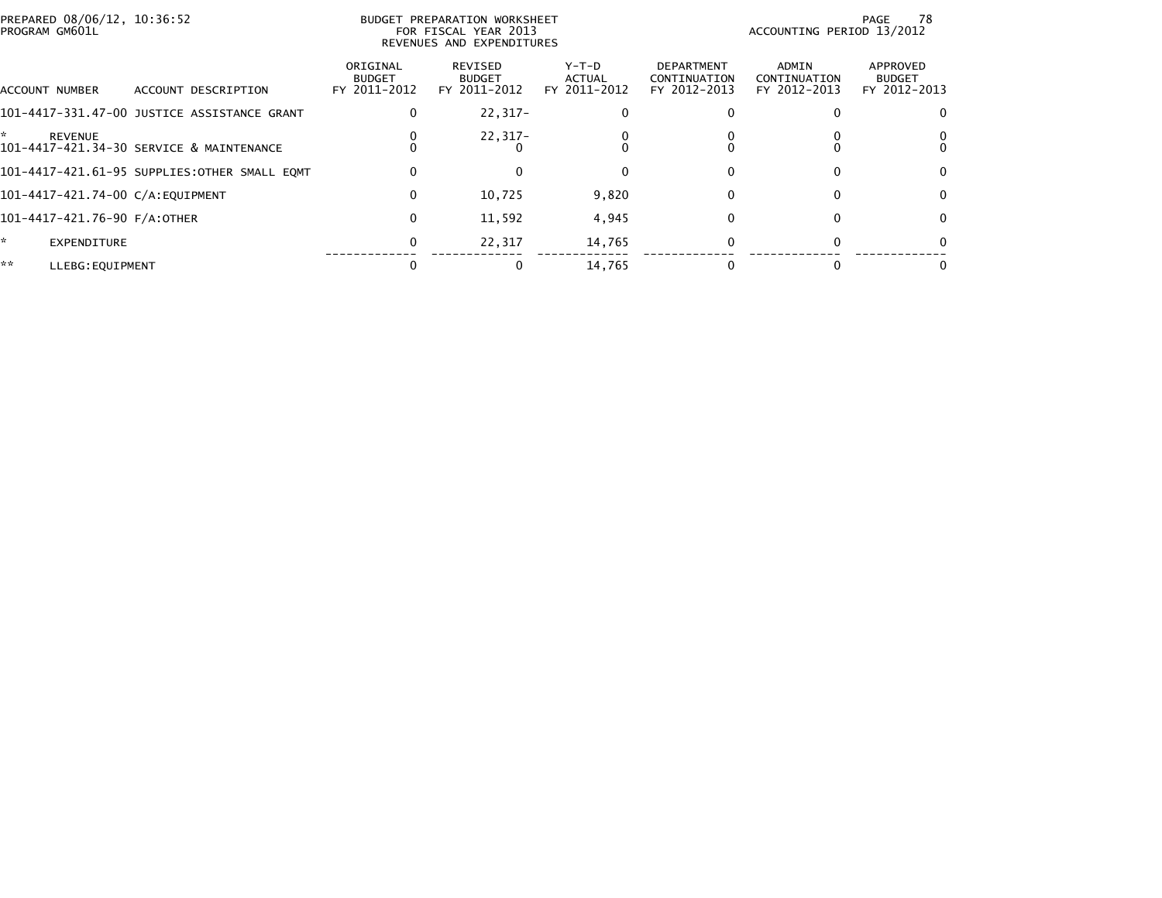| PREPARED 08/06/12, 10:36:52<br>PROGRAM GM601L |                                              |                                           | BUDGET PREPARATION WORKSHEET<br>FOR FISCAL YEAR 2013<br>REVENUES AND EXPENDITURES | ACCOUNTING PERIOD 13/2012              | 78<br>PAGE                                        |                                       |                                           |
|-----------------------------------------------|----------------------------------------------|-------------------------------------------|-----------------------------------------------------------------------------------|----------------------------------------|---------------------------------------------------|---------------------------------------|-------------------------------------------|
| ACCOUNT NUMBER                                | ACCOUNT DESCRIPTION                          | ORIGINAL<br><b>BUDGET</b><br>FY 2011-2012 | REVISED<br><b>BUDGET</b><br>FY 2011-2012                                          | Y-T-D<br><b>ACTUAL</b><br>FY 2011-2012 | <b>DEPARTMENT</b><br>CONTINUATION<br>FY 2012-2013 | ADMIN<br>CONTINUATION<br>FY 2012-2013 | APPROVED<br><b>BUDGET</b><br>FY 2012-2013 |
|                                               | 101–4417–331.47–00 JUSTICE ASSISTANCE GRANT  | 0                                         | 22,317-                                                                           |                                        |                                                   |                                       |                                           |
| ÷.<br><b>REVENUE</b>                          | 101-4417-421.34-30 SERVICE & MAINTENANCE     |                                           | 22,317-                                                                           |                                        |                                                   |                                       |                                           |
|                                               | 101-4417-421.61-95 SUPPLIES:OTHER SMALL EQMT | 0                                         | 0                                                                                 |                                        | 0                                                 | 0                                     | 0                                         |
| 101-4417-421.74-00 C/A:EQUIPMENT              |                                              | 0                                         | 10,725                                                                            | 9,820                                  | $\Omega$                                          |                                       | $\Omega$                                  |
| 101-4417-421.76-90 F/A:OTHER                  |                                              | 0                                         | 11,592                                                                            | 4,945                                  | 0                                                 | 0                                     | 0                                         |
| ×.<br>EXPENDITURE                             |                                              | 0                                         | 22,317                                                                            | 14,765                                 | 0                                                 | O                                     |                                           |
| **<br>LLEBG: EQUIPMENT                        |                                              |                                           |                                                                                   | 14,765                                 |                                                   |                                       |                                           |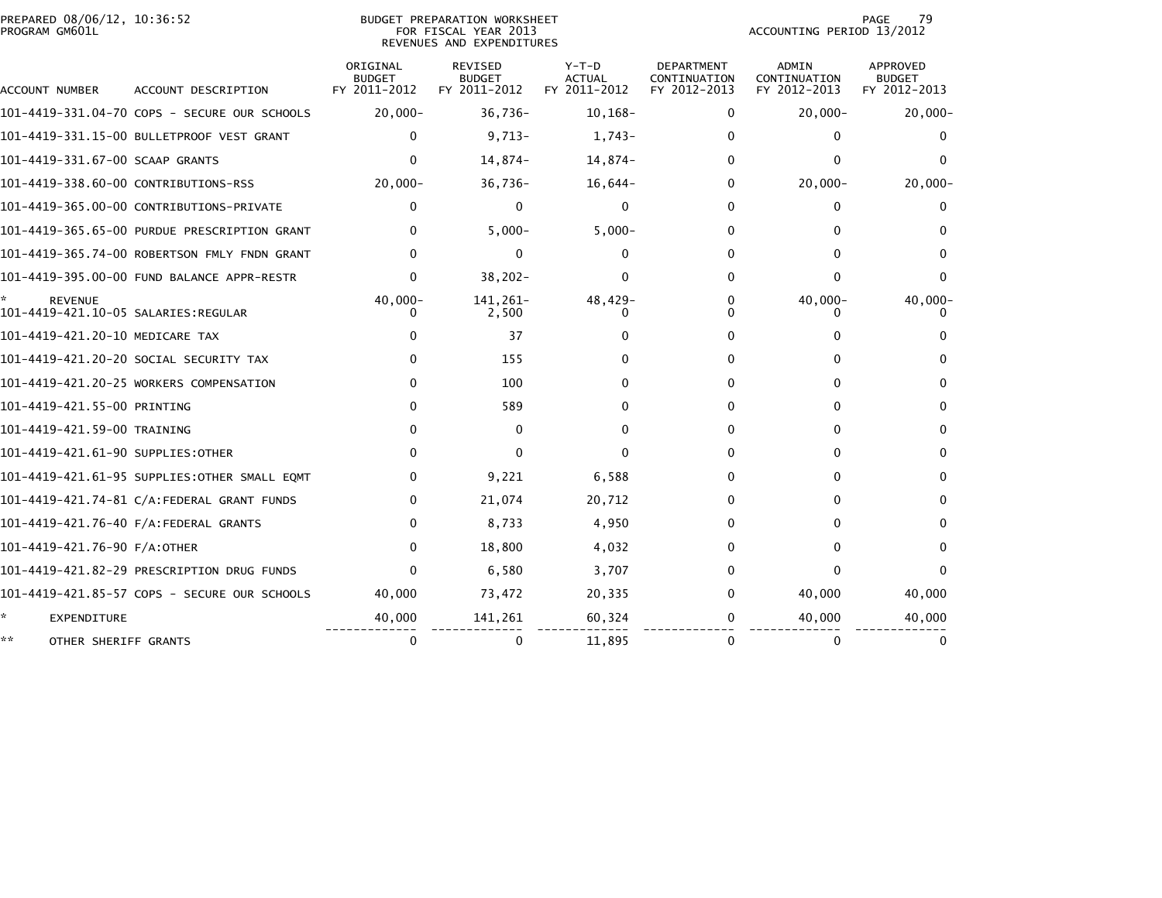| PREPARED 08/06/12, 10:36:52<br><b>BUDGET PREPARATION WORKSHEET</b><br>PROGRAM GM601L<br>FOR FISCAL YEAR 2013<br>REVENUES AND EXPENDITURES |                                              |                                           |                                                 |                                          |                                                   | 79<br>PAGE<br>ACCOUNTING PERIOD 13/2012      |                                           |  |
|-------------------------------------------------------------------------------------------------------------------------------------------|----------------------------------------------|-------------------------------------------|-------------------------------------------------|------------------------------------------|---------------------------------------------------|----------------------------------------------|-------------------------------------------|--|
| ACCOUNT NUMBER                                                                                                                            | ACCOUNT DESCRIPTION                          | ORIGINAL<br><b>BUDGET</b><br>FY 2011-2012 | <b>REVISED</b><br><b>BUDGET</b><br>FY 2011-2012 | $Y-T-D$<br><b>ACTUAL</b><br>FY 2011-2012 | <b>DEPARTMENT</b><br>CONTINUATION<br>FY 2012-2013 | <b>ADMIN</b><br>CONTINUATION<br>FY 2012-2013 | APPROVED<br><b>BUDGET</b><br>FY 2012-2013 |  |
|                                                                                                                                           | 101-4419-331.04-70 COPS - SECURE OUR SCHOOLS | $20,000 -$                                | $36,736-$                                       | $10, 168 -$                              | 0                                                 | $20,000-$                                    | $20,000 -$                                |  |
|                                                                                                                                           | 101-4419-331.15-00 BULLETPROOF VEST GRANT    | $\Omega$                                  | $9,713-$                                        | 1,743-                                   | 0                                                 | $\mathbf{0}$                                 | 0                                         |  |
| 101-4419-331.67-00 SCAAP GRANTS                                                                                                           |                                              | $\Omega$                                  | 14,874-                                         | 14,874-                                  | 0                                                 | $\mathbf{0}$                                 |                                           |  |
| 101-4419-338.60-00 CONTRIBUTIONS-RSS                                                                                                      |                                              | $20,000 -$                                | $36,736-$                                       | $16,644-$                                | 0                                                 | $20,000 -$                                   | $20,000 -$                                |  |
|                                                                                                                                           | 101-4419-365.00-00 CONTRIBUTIONS-PRIVATE     | $\mathbf{0}$                              | $\mathbf 0$                                     | 0                                        | 0                                                 | 0                                            | 0                                         |  |
|                                                                                                                                           | 101-4419-365.65-00 PURDUE PRESCRIPTION GRANT | $\Omega$                                  | $5,000 -$                                       | $5,000-$                                 | 0                                                 | $\Omega$                                     | 0                                         |  |
|                                                                                                                                           | 101-4419-365.74-00 ROBERTSON FMLY FNDN GRANT | 0                                         | 0                                               | 0                                        | 0                                                 | $\mathbf{0}$                                 | 0                                         |  |
|                                                                                                                                           | 101-4419-395.00-00 FUND BALANCE APPR-RESTR   | $\Omega$                                  | $38,202 -$                                      | 0                                        | 0                                                 | $\mathbf{0}$                                 | 0                                         |  |
| <b>REVENUE</b>                                                                                                                            |                                              | $40,000 -$                                | 141, 261-<br>2,500                              | 48,429-                                  | 0<br><sup>0</sup>                                 | $40,000 -$                                   | $40,000 -$                                |  |
| 101-4419-421.20-10 MEDICARE TAX                                                                                                           |                                              |                                           | 37                                              |                                          | 0                                                 | 0                                            |                                           |  |
|                                                                                                                                           | 101–4419–421.20–20 SOCIAL SECURITY TAX       |                                           | 155                                             |                                          | 0                                                 | $\Omega$                                     | 0                                         |  |
|                                                                                                                                           | 101-4419-421.20-25 WORKERS COMPENSATION      | $\Omega$                                  | 100                                             | 0                                        | 0                                                 | $\Omega$                                     | 0                                         |  |
| 101-4419-421.55-00 PRINTING                                                                                                               |                                              | $\mathbf{0}$                              | 589                                             |                                          | 0                                                 | $\mathbf{0}$                                 | 0                                         |  |
| 101-4419-421.59-00 TRAINING                                                                                                               |                                              | $\Omega$                                  | $\mathbf{0}$                                    | 0                                        | 0                                                 | 0                                            | 0                                         |  |
| 101-4419-421.61-90 SUPPLIES:OTHER                                                                                                         |                                              | $\Omega$                                  | 0                                               | 0                                        | 0                                                 | $\mathbf{0}$                                 | $\mathbf{0}$                              |  |
|                                                                                                                                           | 101–4419–421.61–95 SUPPLIES:OTHER SMALL EQMT | $\Omega$                                  | 9,221                                           | 6,588                                    | 0                                                 | $\Omega$                                     | 0                                         |  |
|                                                                                                                                           | 101-4419-421.74-81 C/A:FEDERAL GRANT FUNDS   | 0                                         | 21,074                                          | 20,712                                   | 0                                                 | 0                                            | 0                                         |  |
|                                                                                                                                           | 101-4419-421.76-40 F/A:FEDERAL GRANTS        | 0                                         | 8,733                                           | 4,950                                    | 0                                                 | 0                                            | 0                                         |  |
| 101-4419-421.76-90 F/A:OTHER                                                                                                              |                                              | $\mathbf{0}$                              | 18,800                                          | 4,032                                    | 0                                                 | $\mathbf{0}$                                 | 0                                         |  |
|                                                                                                                                           | 101-4419-421.82-29 PRESCRIPTION DRUG FUNDS   | $\Omega$                                  | 6,580                                           | 3,707                                    | 0                                                 | $\Omega$                                     | $\Omega$                                  |  |
|                                                                                                                                           | 101-4419-421.85-57 COPS - SECURE OUR SCHOOLS | 40,000                                    | 73,472                                          | 20,335                                   | 0                                                 | 40,000                                       | 40,000                                    |  |
| *<br>EXPENDITURE                                                                                                                          |                                              | 40,000                                    | 141,261                                         | 60,324                                   | 0                                                 | 40,000                                       | 40,000                                    |  |
| **<br>OTHER SHERIFF GRANTS                                                                                                                |                                              | $\mathbf 0$                               | 0                                               | 11,895                                   | 0                                                 | $\mathbf{0}$                                 | $\bf{0}$                                  |  |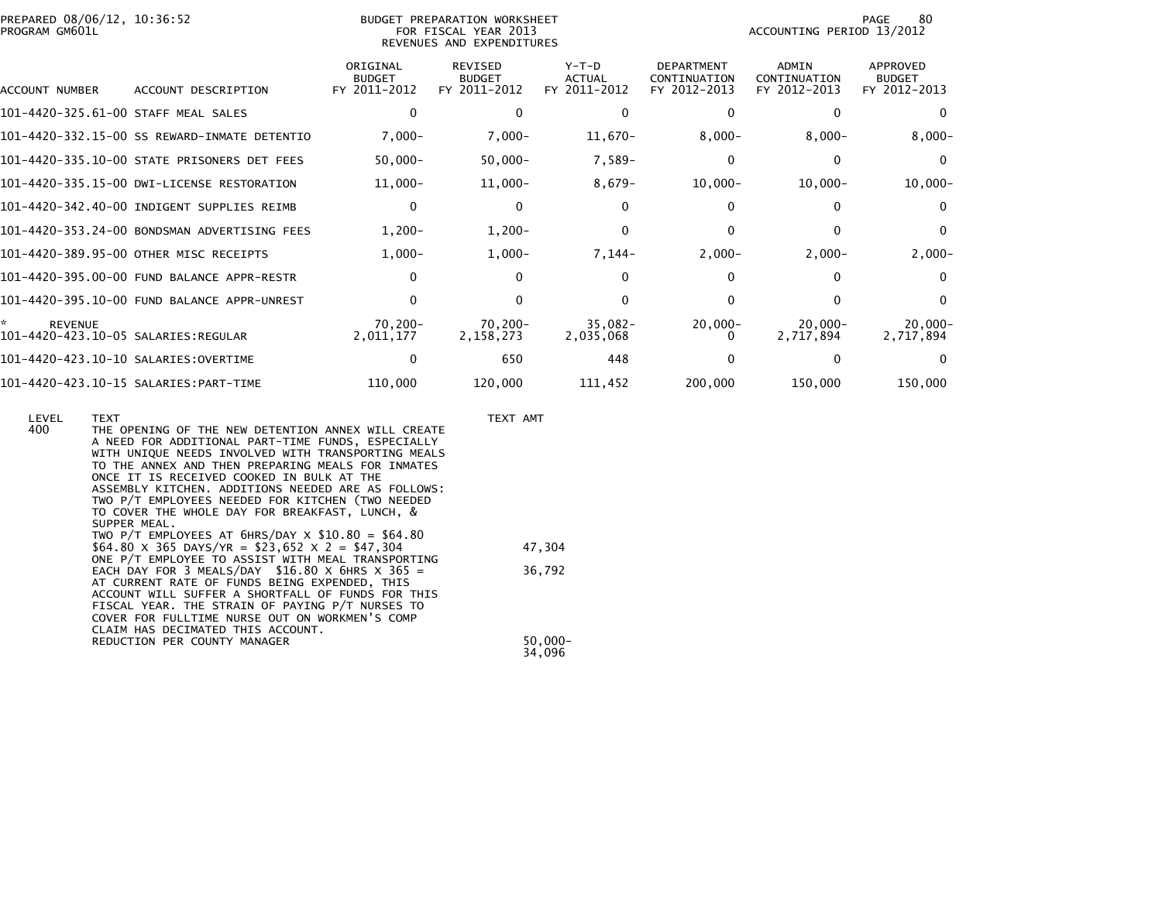| PROGRAM GM601L                                              | PREPARED 08/06/12, 10:36:52<br>BUDGET PREPARATION WORKSHEET<br>FOR FISCAL YEAR 2013<br>REVENUES AND EXPENDITURES |                                           |                                                 |                                          |                                                   |                                              | 80<br>PAGE<br>ACCOUNTING PERIOD 13/2012   |  |  |  |
|-------------------------------------------------------------|------------------------------------------------------------------------------------------------------------------|-------------------------------------------|-------------------------------------------------|------------------------------------------|---------------------------------------------------|----------------------------------------------|-------------------------------------------|--|--|--|
| ACCOUNT NUMBER                                              | ACCOUNT DESCRIPTION                                                                                              | ORIGINAL<br><b>BUDGET</b><br>FY 2011-2012 | <b>REVISED</b><br><b>BUDGET</b><br>FY 2011-2012 | $Y-T-D$<br><b>ACTUAL</b><br>FY 2011-2012 | <b>DEPARTMENT</b><br>CONTINUATION<br>FY 2012-2013 | <b>ADMIN</b><br>CONTINUATION<br>FY 2012-2013 | APPROVED<br><b>BUDGET</b><br>FY 2012-2013 |  |  |  |
| 101-4420-325.61-00 STAFF MEAL SALES                         |                                                                                                                  | 0                                         | $\Omega$                                        | 0                                        | 0                                                 |                                              | $\Omega$                                  |  |  |  |
|                                                             | 101-4420-332.15-00 SS REWARD-INMATE DETENTIO                                                                     | $7,000 -$                                 | $7,000 -$                                       | $11,670-$                                | $8,000 -$                                         | $8,000-$                                     | $8,000-$                                  |  |  |  |
|                                                             | 101-4420-335.10-00 STATE PRISONERS DET FEES                                                                      | $50,000 -$                                | $50,000 -$                                      | $7,589-$                                 | 0                                                 | 0                                            | $\Omega$                                  |  |  |  |
|                                                             | 101-4420-335.15-00 DWI-LICENSE RESTORATION                                                                       | $11,000-$                                 | $11,000-$                                       | $8,679-$                                 | $10,000-$                                         | $10,000 -$                                   | $10,000-$                                 |  |  |  |
|                                                             | 101-4420-342.40-00 INDIGENT SUPPLIES REIMB                                                                       | $\mathbf{0}$                              | $\Omega$                                        |                                          |                                                   |                                              | $\Omega$                                  |  |  |  |
|                                                             | 101-4420-353.24-00 BONDSMAN ADVERTISING FEES                                                                     | $1,200-$                                  | $1,200-$                                        | 0                                        | 0                                                 |                                              | $\Omega$                                  |  |  |  |
|                                                             | 101-4420-389.95-00 OTHER MISC RECEIPTS                                                                           | $1,000-$                                  | $1,000-$                                        | $7,144-$                                 | $2,000-$                                          | $2,000-$                                     | $2,000-$                                  |  |  |  |
|                                                             | 101-4420-395.00-00 FUND BALANCE APPR-RESTR                                                                       | 0                                         | 0                                               |                                          |                                                   |                                              | $\Omega$                                  |  |  |  |
|                                                             | 101-4420-395.10-00 FUND BALANCE APPR-UNREST                                                                      | 0                                         | 0                                               |                                          | 0                                                 |                                              | $\Omega$                                  |  |  |  |
| *.<br><b>REVENUE</b><br>101-4420-423.10-05 SALARIES:REGULAR |                                                                                                                  | 70,200-<br>2,011,177                      | 70,200-<br>2,158,273                            | 35,082-<br>2,035,068                     | $20,000-$                                         | $20,000 -$<br>2,717,894                      | $20,000 -$<br>2,717,894                   |  |  |  |
|                                                             |                                                                                                                  | 0                                         | 650                                             | 448                                      |                                                   |                                              | $\Omega$                                  |  |  |  |
|                                                             |                                                                                                                  | 110,000                                   | 120,000                                         | 111,452                                  | 200,000                                           | 150,000                                      | 150,000                                   |  |  |  |

| LEVEL<br>400 | <b>TEXT</b><br>THE OPENING OF THE NEW DETENTION ANNEX WILL CREATE<br>A NEED FOR ADDITIONAL PART-TIME FUNDS, ESPECIALLY<br>WITH UNIQUE NEEDS INVOLVED WITH TRANSPORTING MEALS<br>TO THE ANNEX AND THEN PREPARING MEALS FOR INMATES<br>ONCE IT IS RECEIVED COOKED IN BULK AT THE<br>ASSEMBLY KITCHEN. ADDITIONS NEEDED ARE AS FOLLOWS:<br>TWO P/T EMPLOYEES NEEDED FOR KITCHEN (TWO NEEDED<br>TO COVER THE WHOLE DAY FOR BREAKFAST, LUNCH, &<br>SUPPER MEAL.<br>TWO P/T EMPLOYEES AT $6HRS/DAY \times $10.80 = $64.80$ | TEXT AMT             |
|--------------|----------------------------------------------------------------------------------------------------------------------------------------------------------------------------------------------------------------------------------------------------------------------------------------------------------------------------------------------------------------------------------------------------------------------------------------------------------------------------------------------------------------------|----------------------|
|              | \$64.80 $\times$ 365 DAYS/YR = \$23,652 $\times$ 2 = \$47,304                                                                                                                                                                                                                                                                                                                                                                                                                                                        | 47,304               |
|              | ONE P/T EMPLOYEE TO ASSIST WITH MEAL TRANSPORTING<br>EACH DAY FOR 3 MEALS/DAY $$16.80 \times 6$ HRS $\times 365 =$<br>AT CURRENT RATE OF FUNDS BEING EXPENDED, THIS<br>ACCOUNT WILL SUFFER A SHORTFALL OF FUNDS FOR THIS<br>FISCAL YEAR. THE STRAIN OF PAYING P/T NURSES TO<br>COVER FOR FULLTIME NURSE OUT ON WORKMEN'S COMP<br>CLAIM HAS DECIMATED THIS ACCOUNT.                                                                                                                                                   | 36,792               |
|              | REDUCTION PER COUNTY MANAGER                                                                                                                                                                                                                                                                                                                                                                                                                                                                                         | $50.000 -$<br>34.096 |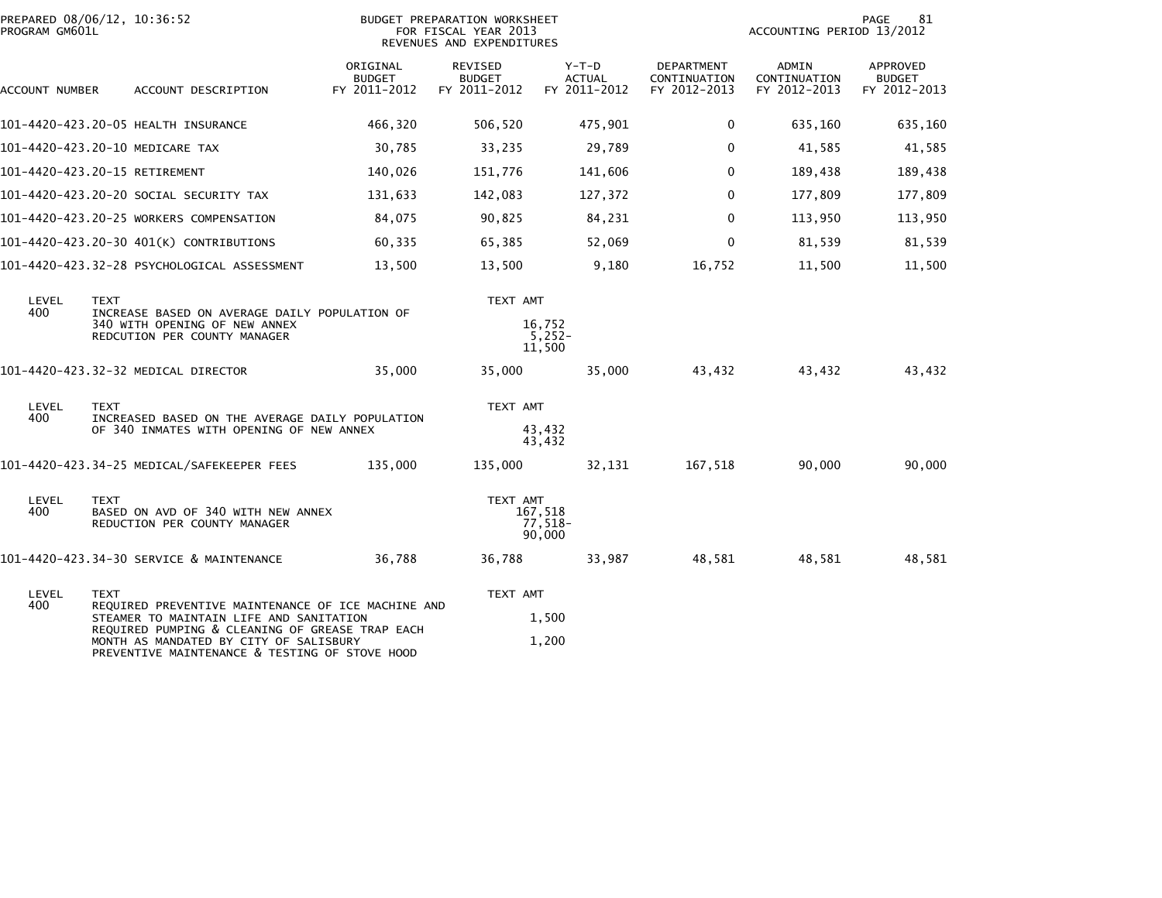| PROGRAM GM601L | PREPARED 08/06/12, 10:36:52                                                                                                                 | BUDGET PREPARATION WORKSHEET<br>FOR FISCAL YEAR 2013<br>REVENUES AND EXPENDITURES |                                          |                                        |                                            | PAGE<br>81<br>ACCOUNTING PERIOD 13/2012 |                                           |  |
|----------------|---------------------------------------------------------------------------------------------------------------------------------------------|-----------------------------------------------------------------------------------|------------------------------------------|----------------------------------------|--------------------------------------------|-----------------------------------------|-------------------------------------------|--|
| ACCOUNT NUMBER | ACCOUNT DESCRIPTION                                                                                                                         | ORIGINAL<br><b>BUDGET</b><br>FY 2011-2012                                         | REVISED<br><b>BUDGET</b><br>FY 2011-2012 | Y-T-D<br><b>ACTUAL</b><br>FY 2011-2012 | DEPARTMENT<br>CONTINUATION<br>FY 2012-2013 | ADMIN<br>CONTINUATION<br>FY 2012-2013   | APPROVED<br><b>BUDGET</b><br>FY 2012-2013 |  |
|                | 101-4420-423.20-05 HEALTH INSURANCE                                                                                                         | 466,320                                                                           | 506,520                                  | 475,901                                | 0                                          | 635,160                                 | 635,160                                   |  |
|                | 101-4420-423.20-10 MEDICARE TAX                                                                                                             | 30,785                                                                            | 33,235                                   | 29,789                                 | $\mathbf 0$                                | 41,585                                  | 41,585                                    |  |
|                | 101-4420-423.20-15 RETIREMENT                                                                                                               | 140,026                                                                           | 151,776                                  | 141,606                                | $\Omega$                                   | 189,438                                 | 189,438                                   |  |
|                | 101-4420-423.20-20 SOCIAL SECURITY TAX                                                                                                      | 131,633                                                                           | 142,083                                  | 127,372                                | $\Omega$                                   | 177,809                                 | 177,809                                   |  |
|                | 101-4420-423.20-25 WORKERS COMPENSATION                                                                                                     | 84,075                                                                            | 90,825                                   | 84,231                                 | $\mathbf 0$                                | 113,950                                 | 113,950                                   |  |
|                | 101-4420-423.20-30 401(K) CONTRIBUTIONS                                                                                                     | 60,335                                                                            | 65,385                                   | 52,069                                 | $\mathbf 0$                                | 81,539                                  | 81,539                                    |  |
|                | 101-4420-423.32-28 PSYCHOLOGICAL ASSESSMENT                                                                                                 | 13,500                                                                            | 13,500                                   | 9,180                                  | 16,752                                     | 11,500                                  | 11,500                                    |  |
| LEVEL<br>400   | <b>TEXT</b><br>INCREASE BASED ON AVERAGE DAILY POPULATION OF<br>340 WITH OPENING OF NEW ANNEX<br>REDCUTION PER COUNTY MANAGER               |                                                                                   | TEXT AMT                                 | 16,752<br>$5,252-$<br>11,500           |                                            |                                         |                                           |  |
|                | 101-4420-423.32-32 MEDICAL DIRECTOR                                                                                                         | 35,000                                                                            | 35,000                                   | 35,000                                 | 43,432                                     | 43,432                                  | 43,432                                    |  |
| LEVEL<br>400   | <b>TEXT</b><br>INCREASED BASED ON THE AVERAGE DAILY POPULATION<br>OF 340 INMATES WITH OPENING OF NEW ANNEX                                  |                                                                                   | TEXT AMT                                 | 43,432<br>43,432                       |                                            |                                         |                                           |  |
|                | 101-4420-423.34-25 MEDICAL/SAFEKEEPER FEES                                                                                                  | 135,000                                                                           | 135,000                                  | 32,131                                 | 167,518                                    | 90,000                                  | 90,000                                    |  |
| LEVEL<br>400   | <b>TEXT</b><br>BASED ON AVD OF 340 WITH NEW ANNEX<br>REDUCTION PER COUNTY MANAGER                                                           |                                                                                   | TEXT AMT                                 | 167,518<br>77,518-<br>90,000           |                                            |                                         |                                           |  |
|                | 101-4420-423.34-30 SERVICE & MAINTENANCE                                                                                                    | 36,788                                                                            | 36,788                                   | 33,987                                 | 48,581                                     | 48,581                                  | 48,581                                    |  |
| LEVEL<br>400   | <b>TEXT</b><br>REQUIRED PREVENTIVE MAINTENANCE OF ICE MACHINE AND<br>STEAMER TO MAINTAIN LIFE AND SANITATION                                |                                                                                   | TEXT AMT                                 | 1,500                                  |                                            |                                         |                                           |  |
|                | REQUIRED PUMPING & CLEANING OF GREASE TRAP EACH<br>MONTH AS MANDATED BY CITY OF SALISBURY<br>PREVENTIVE MAINTENANCE & TESTING OF STOVE HOOD |                                                                                   |                                          | 1,200                                  |                                            |                                         |                                           |  |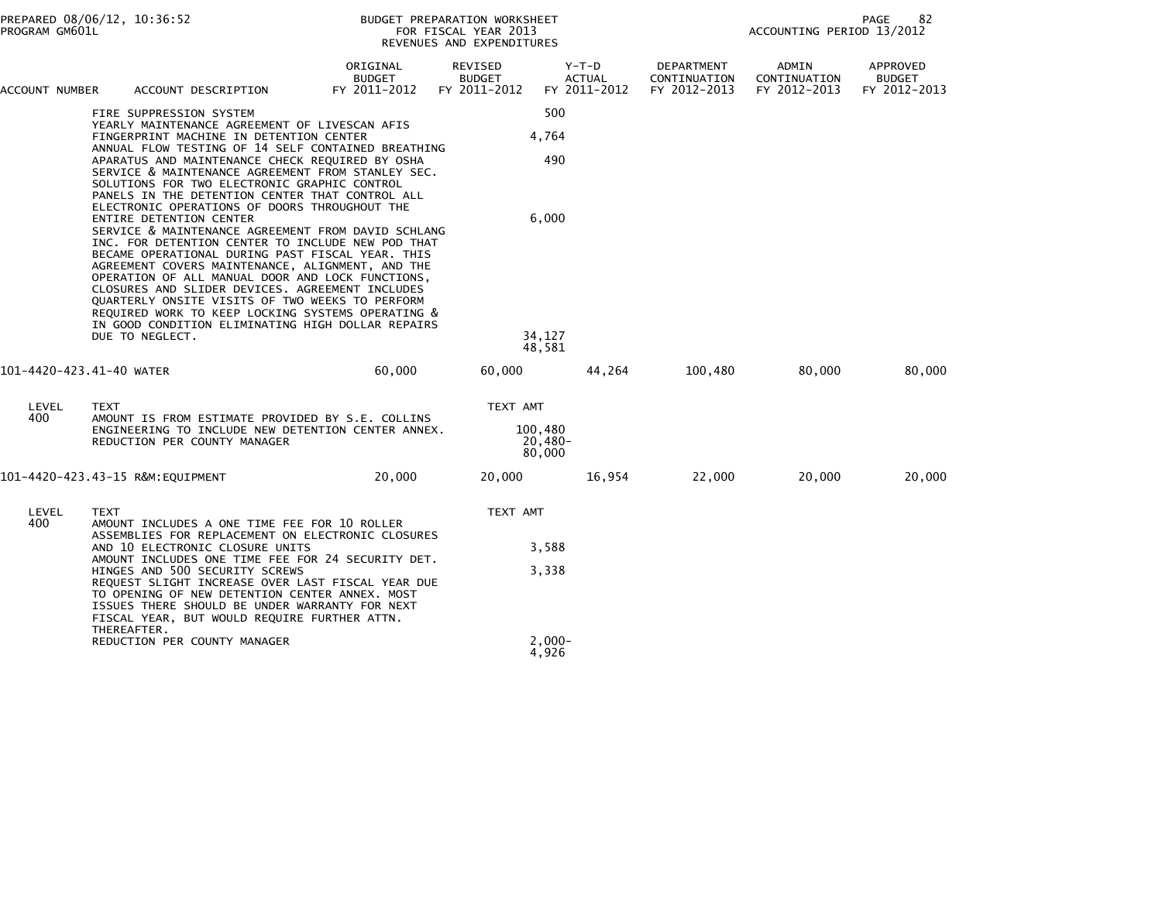| PROGRAM GM601L           | PREPARED 08/06/12, 10:36:52                                                                                                                                                                                                                                                                                                                                                                                                                                                                                                                                                                                                                                                                                                                                                                                                                                                                                                                                                |                                           | BUDGET PREPARATION WORKSHEET<br>FOR FISCAL YEAR 2013<br>REVENUES AND EXPENDITURES |                                                  |                                            | 82<br>PAGE<br>ACCOUNTING PERIOD 13/2012 |                                           |
|--------------------------|----------------------------------------------------------------------------------------------------------------------------------------------------------------------------------------------------------------------------------------------------------------------------------------------------------------------------------------------------------------------------------------------------------------------------------------------------------------------------------------------------------------------------------------------------------------------------------------------------------------------------------------------------------------------------------------------------------------------------------------------------------------------------------------------------------------------------------------------------------------------------------------------------------------------------------------------------------------------------|-------------------------------------------|-----------------------------------------------------------------------------------|--------------------------------------------------|--------------------------------------------|-----------------------------------------|-------------------------------------------|
| ACCOUNT NUMBER           | ACCOUNT DESCRIPTION                                                                                                                                                                                                                                                                                                                                                                                                                                                                                                                                                                                                                                                                                                                                                                                                                                                                                                                                                        | ORIGINAL<br><b>BUDGET</b><br>FY 2011-2012 | REVISED<br><b>BUDGET</b><br>FY 2011-2012                                          | $Y-T-D$<br><b>ACTUAL</b><br>FY 2011-2012         | DEPARTMENT<br>CONTINUATION<br>FY 2012-2013 | ADMIN<br>CONTINUATION<br>FY 2012-2013   | APPROVED<br><b>BUDGET</b><br>FY 2012-2013 |
|                          | FIRE SUPPRESSION SYSTEM<br>YEARLY MAINTENANCE AGREEMENT OF LIVESCAN AFIS<br>FINGERPRINT MACHINE IN DETENTION CENTER<br>ANNUAL FLOW TESTING OF 14 SELF CONTAINED BREATHING<br>APARATUS AND MAINTENANCE CHECK REQUIRED BY OSHA<br>SERVICE & MAINTENANCE AGREEMENT FROM STANLEY SEC.<br>SOLUTIONS FOR TWO ELECTRONIC GRAPHIC CONTROL<br>PANELS IN THE DETENTION CENTER THAT CONTROL ALL<br>ELECTRONIC OPERATIONS OF DOORS THROUGHOUT THE<br>ENTIRE DETENTION CENTER<br>SERVICE & MAINTENANCE AGREEMENT FROM DAVID SCHLANG<br>INC. FOR DETENTION CENTER TO INCLUDE NEW POD THAT<br>BECAME OPERATIONAL DURING PAST FISCAL YEAR. THIS<br>AGREEMENT COVERS MAINTENANCE, ALIGNMENT, AND THE<br>OPERATION OF ALL MANUAL DOOR AND LOCK FUNCTIONS,<br>CLOSURES AND SLIDER DEVICES. AGREEMENT INCLUDES<br>QUARTERLY ONSITE VISITS OF TWO WEEKS TO PERFORM<br>REQUIRED WORK TO KEEP LOCKING SYSTEMS OPERATING &<br>IN GOOD CONDITION ELIMINATING HIGH DOLLAR REPAIRS<br>DUE TO NEGLECT. |                                           |                                                                                   | 500<br>4,764<br>490<br>6,000<br>34,127<br>48,581 |                                            |                                         |                                           |
| 101-4420-423.41-40 WATER |                                                                                                                                                                                                                                                                                                                                                                                                                                                                                                                                                                                                                                                                                                                                                                                                                                                                                                                                                                            | 60,000                                    | 60,000                                                                            | 44,264                                           | 100,480                                    | 80,000                                  | 80,000                                    |
| LEVEL<br>400             | <b>TEXT</b><br>AMOUNT IS FROM ESTIMATE PROVIDED BY S.E. COLLINS<br>ENGINEERING TO INCLUDE NEW DETENTION CENTER ANNEX.<br>REDUCTION PER COUNTY MANAGER                                                                                                                                                                                                                                                                                                                                                                                                                                                                                                                                                                                                                                                                                                                                                                                                                      |                                           | TEXT AMT<br>100,480                                                               | $20,480-$<br>80,000                              |                                            |                                         |                                           |
|                          | 101-4420-423.43-15 R&M:EQUIPMENT                                                                                                                                                                                                                                                                                                                                                                                                                                                                                                                                                                                                                                                                                                                                                                                                                                                                                                                                           | 20,000                                    | 20,000                                                                            | 16,954                                           | 22,000                                     | 20,000                                  | 20,000                                    |
| LEVEL<br>400             | <b>TEXT</b><br>AMOUNT INCLUDES A ONE TIME FEE FOR 10 ROLLER<br>ASSEMBLIES FOR REPLACEMENT ON ELECTRONIC CLOSURES<br>AND 10 ELECTRONIC CLOSURE UNITS<br>AMOUNT INCLUDES ONE TIME FEE FOR 24 SECURITY DET.<br>HINGES AND 500 SECURITY SCREWS<br>REQUEST SLIGHT INCREASE OVER LAST FISCAL YEAR DUE<br>TO OPENING OF NEW DETENTION CENTER ANNEX. MOST<br>ISSUES THERE SHOULD BE UNDER WARRANTY FOR NEXT<br>FISCAL YEAR, BUT WOULD REQUIRE FURTHER ATTN.<br>THEREAFTER.                                                                                                                                                                                                                                                                                                                                                                                                                                                                                                         |                                           | TEXT AMT                                                                          | 3,588                                            |                                            |                                         |                                           |
|                          |                                                                                                                                                                                                                                                                                                                                                                                                                                                                                                                                                                                                                                                                                                                                                                                                                                                                                                                                                                            |                                           |                                                                                   | 3,338                                            |                                            |                                         |                                           |
|                          | REDUCTION PER COUNTY MANAGER                                                                                                                                                                                                                                                                                                                                                                                                                                                                                                                                                                                                                                                                                                                                                                                                                                                                                                                                               |                                           |                                                                                   | $2,000 -$<br>4,926                               |                                            |                                         |                                           |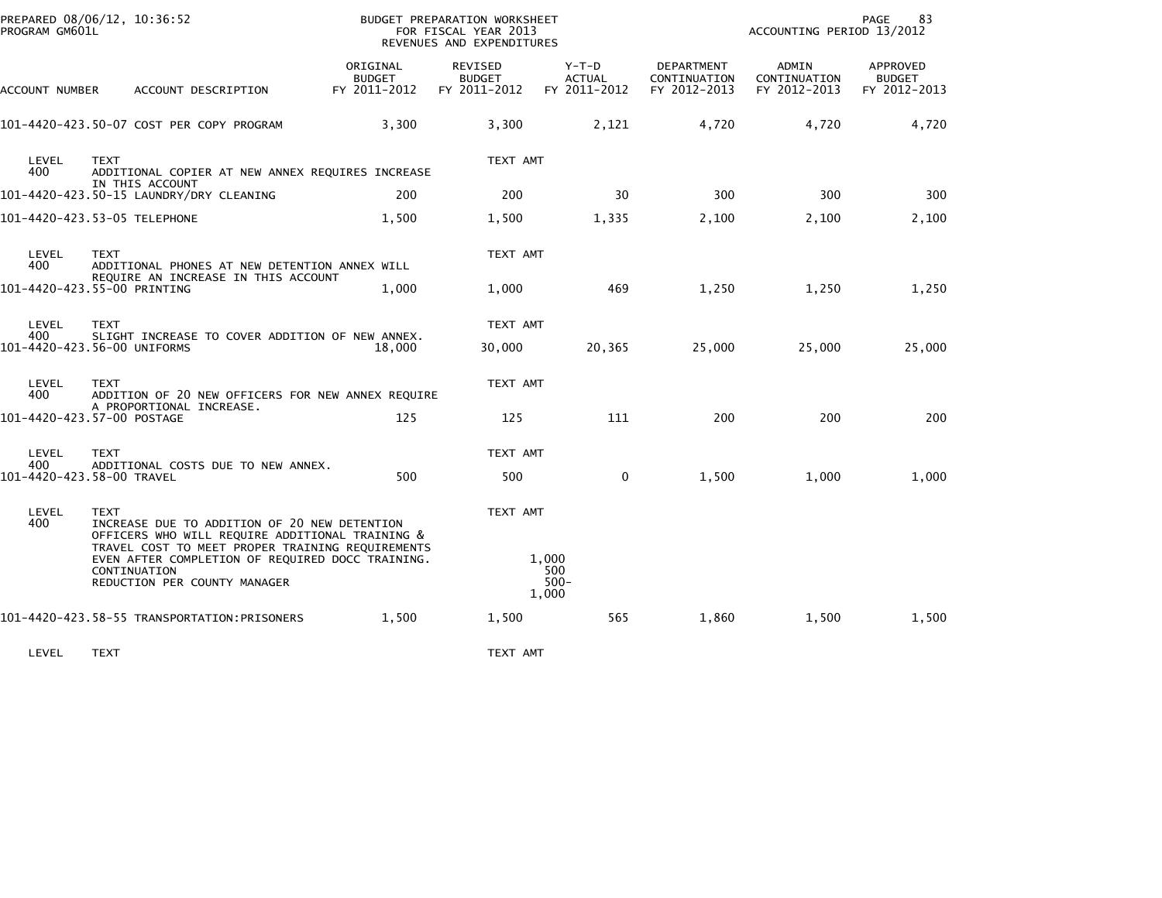| PREPARED 08/06/12, 10:36:52<br>PROGRAM GM601L |                                                                                                                                                      |                                           | BUDGET PREPARATION WORKSHEET<br>FOR FISCAL YEAR 2013<br>REVENUES AND EXPENDITURES |                                          | 83<br>PAGE<br>ACCOUNTING PERIOD 13/2012           |                                       |                                           |  |
|-----------------------------------------------|------------------------------------------------------------------------------------------------------------------------------------------------------|-------------------------------------------|-----------------------------------------------------------------------------------|------------------------------------------|---------------------------------------------------|---------------------------------------|-------------------------------------------|--|
| ACCOUNT NUMBER                                | ACCOUNT DESCRIPTION                                                                                                                                  | ORIGINAL<br><b>BUDGET</b><br>FY 2011-2012 | <b>REVISED</b><br><b>BUDGET</b><br>FY 2011-2012                                   | $Y-T-D$<br><b>ACTUAL</b><br>FY 2011-2012 | <b>DEPARTMENT</b><br>CONTINUATION<br>FY 2012-2013 | ADMIN<br>CONTINUATION<br>FY 2012-2013 | APPROVED<br><b>BUDGET</b><br>FY 2012-2013 |  |
|                                               | 101-4420-423.50-07 COST PER COPY PROGRAM                                                                                                             | 3,300                                     | 3,300                                                                             | 2,121                                    | 4,720                                             | 4,720                                 | 4,720                                     |  |
| LEVEL<br>400                                  | <b>TEXT</b><br>ADDITIONAL COPIER AT NEW ANNEX REQUIRES INCREASE                                                                                      |                                           | TEXT AMT                                                                          |                                          |                                                   |                                       |                                           |  |
|                                               | IN THIS ACCOUNT<br>101-4420-423.50-15 LAUNDRY/DRY CLEANING                                                                                           | 200                                       | 200                                                                               | 30                                       | 300                                               | 300                                   | 300                                       |  |
|                                               | 101-4420-423.53-05 TELEPHONE                                                                                                                         | 1,500                                     | 1,500                                                                             | 1,335                                    | 2,100                                             | 2,100                                 | 2,100                                     |  |
| LEVEL<br>400                                  | <b>TEXT</b><br>ADDITIONAL PHONES AT NEW DETENTION ANNEX WILL                                                                                         |                                           | TEXT AMT                                                                          |                                          |                                                   |                                       |                                           |  |
|                                               | REQUIRE AN INCREASE IN THIS ACCOUNT<br>101-4420-423.55-00 PRINTING                                                                                   | 1,000                                     | 1,000                                                                             | 469                                      | 1,250                                             | 1,250                                 | 1,250                                     |  |
| LEVEL<br>400                                  | <b>TEXT</b><br>SLIGHT INCREASE TO COVER ADDITION OF NEW ANNEX.<br>101-4420-423.56-00 UNIFORMS                                                        | 18,000                                    | TEXT AMT<br>30,000                                                                | 20,365                                   | 25,000                                            | 25,000                                | 25,000                                    |  |
| LEVEL<br>400                                  | <b>TEXT</b><br>ADDITION OF 20 NEW OFFICERS FOR NEW ANNEX REQUIRE                                                                                     |                                           | TEXT AMT                                                                          |                                          |                                                   |                                       |                                           |  |
|                                               | A PROPORTIONAL INCREASE.<br>101-4420-423.57-00 POSTAGE                                                                                               | 125                                       | 125                                                                               | 111                                      | 200                                               | 200                                   | 200                                       |  |
| LEVEL                                         | <b>TEXT</b>                                                                                                                                          |                                           | TEXT AMT                                                                          |                                          |                                                   |                                       |                                           |  |
| 400                                           | ADDITIONAL COSTS DUE TO NEW ANNEX.<br>101-4420-423.58-00 TRAVEL                                                                                      | 500                                       | 500                                                                               | $\mathbf 0$                              | 1,500                                             | 1,000                                 | 1,000                                     |  |
| LEVEL<br>400                                  | <b>TEXT</b><br>INCREASE DUE TO ADDITION OF 20 NEW DETENTION<br>OFFICERS WHO WILL REQUIRE ADDITIONAL TRAINING &                                       |                                           | TEXT AMT                                                                          |                                          |                                                   |                                       |                                           |  |
|                                               | TRAVEL COST TO MEET PROPER TRAINING REQUIREMENTS<br>EVEN AFTER COMPLETION OF REQUIRED DOCC TRAINING.<br>CONTINUATION<br>REDUCTION PER COUNTY MANAGER |                                           |                                                                                   | 1,000<br>500<br>$500 -$<br>1,000         |                                                   |                                       |                                           |  |
|                                               | 101-4420-423.58-55 TRANSPORTATION: PRISONERS                                                                                                         | 1,500                                     | 1,500                                                                             | 565                                      | 1,860                                             | 1,500                                 | 1,500                                     |  |
| LEVEL                                         | <b>TEXT</b>                                                                                                                                          |                                           | TEXT AMT                                                                          |                                          |                                                   |                                       |                                           |  |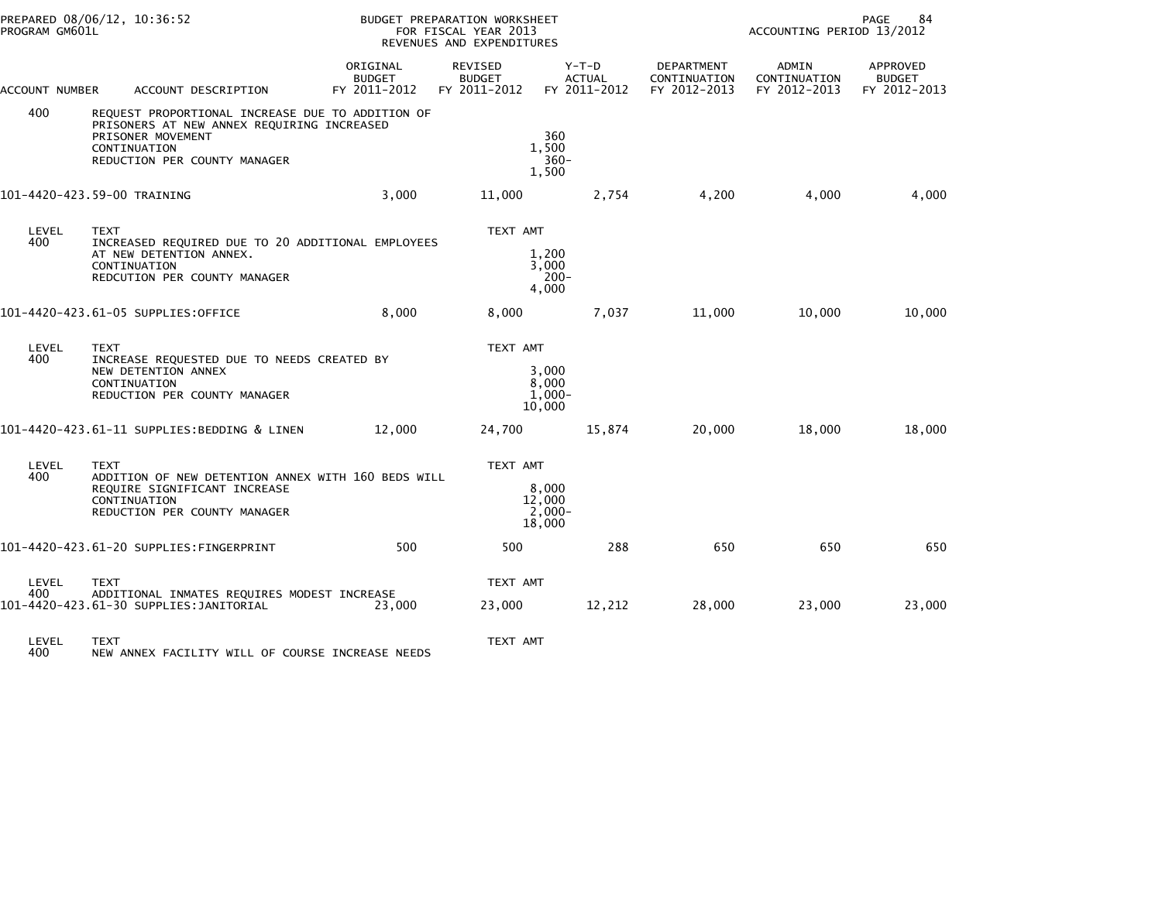| PROGRAM GM601L | PREPARED 08/06/12, 10:36:52                                                                                                                                         | BUDGET PREPARATION WORKSHEET<br>FOR FISCAL YEAR 2013<br>REVENUES AND EXPENDITURES |                                          |                                        |                                            | 84<br>PAGE<br>ACCOUNTING PERIOD 13/2012 |                                           |  |
|----------------|---------------------------------------------------------------------------------------------------------------------------------------------------------------------|-----------------------------------------------------------------------------------|------------------------------------------|----------------------------------------|--------------------------------------------|-----------------------------------------|-------------------------------------------|--|
| ACCOUNT NUMBER | ACCOUNT DESCRIPTION                                                                                                                                                 | ORIGINAL<br><b>BUDGET</b><br>FY 2011-2012                                         | REVISED<br><b>BUDGET</b><br>FY 2011-2012 | Y-T-D<br><b>ACTUAL</b><br>FY 2011-2012 | DEPARTMENT<br>CONTINUATION<br>FY 2012-2013 | ADMIN<br>CONTINUATION<br>FY 2012-2013   | APPROVED<br><b>BUDGET</b><br>FY 2012-2013 |  |
| 400            | REQUEST PROPORTIONAL INCREASE DUE TO ADDITION OF<br>PRISONERS AT NEW ANNEX REQUIRING INCREASED<br>PRISONER MOVEMENT<br>CONTINUATION<br>REDUCTION PER COUNTY MANAGER |                                                                                   |                                          | 360<br>1.500<br>$360 -$<br>1,500       |                                            |                                         |                                           |  |
|                | 101-4420-423.59-00 TRAINING                                                                                                                                         | 3,000                                                                             | 11,000                                   | 2,754                                  | 4,200                                      | 4,000                                   | 4,000                                     |  |
| LEVEL<br>400   | <b>TEXT</b><br>INCREASED REQUIRED DUE TO 20 ADDITIONAL EMPLOYEES<br>AT NEW DETENTION ANNEX.<br>CONTINUATION<br>REDCUTION PER COUNTY MANAGER                         |                                                                                   | TEXT AMT                                 | 1,200<br>3,000<br>$200 -$<br>4.000     |                                            |                                         |                                           |  |
|                | 101-4420-423.61-05 SUPPLIES:OFFICE                                                                                                                                  | 8,000                                                                             | 8,000                                    | 7,037                                  | 11,000                                     | 10,000                                  | 10,000                                    |  |
| LEVEL<br>400   | <b>TEXT</b><br>INCREASE REQUESTED DUE TO NEEDS CREATED BY<br>NEW DETENTION ANNEX<br>CONTINUATION<br>REDUCTION PER COUNTY MANAGER                                    |                                                                                   | TEXT AMT                                 | 3,000<br>8,000<br>$1,000-$<br>10,000   |                                            |                                         |                                           |  |
|                | 101-4420-423.61-11 SUPPLIES:BEDDING & LINEN                                                                                                                         | 12,000                                                                            | 24,700                                   | 15,874                                 | 20,000                                     | 18,000                                  | 18,000                                    |  |
| LEVEL<br>400   | <b>TEXT</b><br>ADDITION OF NEW DETENTION ANNEX WITH 160 BEDS WILL<br>REQUIRE SIGNIFICANT INCREASE<br>CONTINUATION<br>REDUCTION PER COUNTY MANAGER                   |                                                                                   | TEXT AMT                                 | 8,000<br>12,000<br>$2,000 -$<br>18,000 |                                            |                                         |                                           |  |
|                | 101-4420-423.61-20 SUPPLIES:FINGERPRINT                                                                                                                             | 500                                                                               | 500                                      | 288                                    | 650                                        | 650                                     | 650                                       |  |
| LEVEL<br>400   | <b>TEXT</b><br>ADDITIONAL INMATES REQUIRES MODEST INCREASE<br>101–4420–423.61–30 SUPPLIES:JANITORIAL                                                                | 23,000                                                                            | TEXT AMT<br>23,000                       | 12,212                                 | 28,000                                     | 23,000                                  | 23,000                                    |  |
| LEVEL<br>400   | <b>TEXT</b><br>NEW ANNEX FACILITY WILL OF COURSE INCREASE NEEDS                                                                                                     |                                                                                   | TEXT AMT                                 |                                        |                                            |                                         |                                           |  |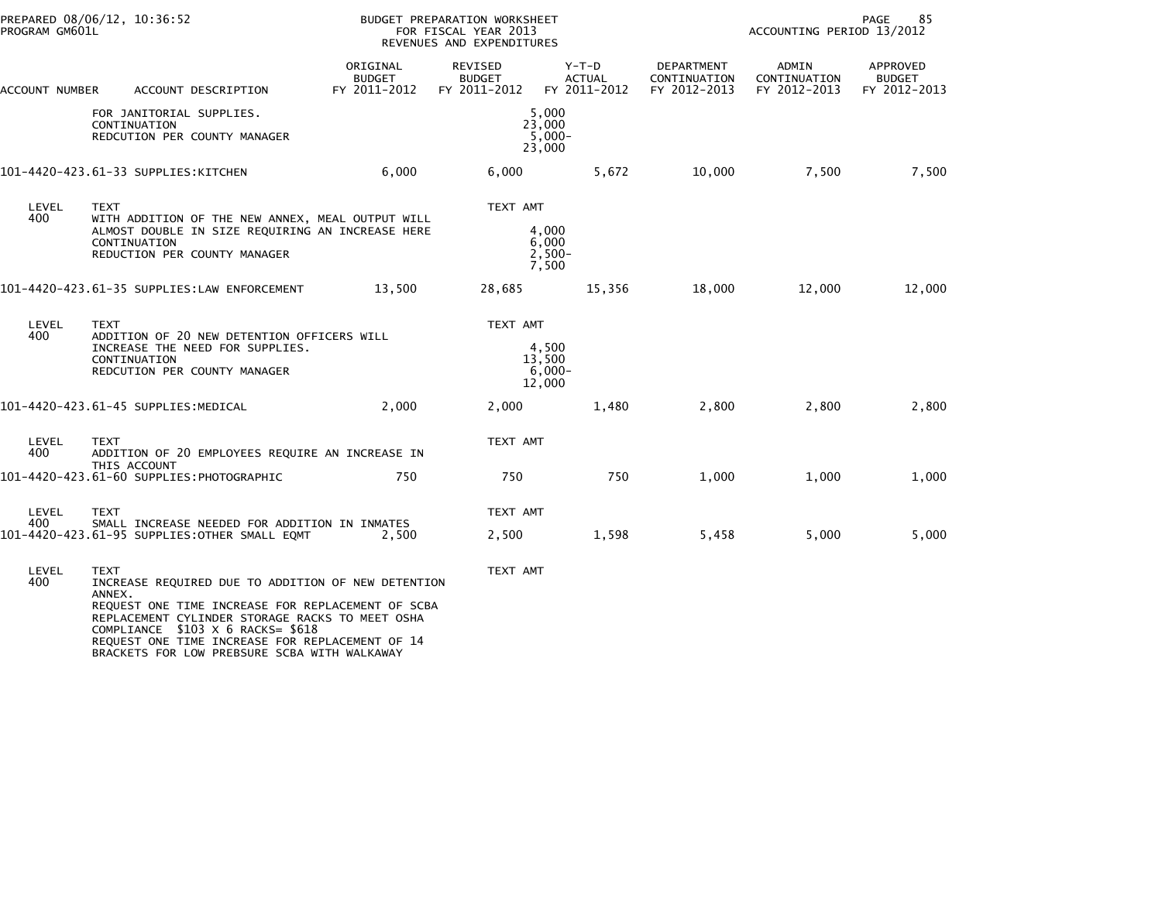|                | PREPARED 08/06/12, 10:36:52<br>PROGRAM GM601L                                                                                                                                                                                                                                                                               |                                           | BUDGET PREPARATION WORKSHEET<br>FOR FISCAL YEAR 2013<br>REVENUES AND EXPENDITURES |                                          |                                                   |                                       | 85<br>PAGE<br>ACCOUNTING PERIOD 13/2012          |  |  |
|----------------|-----------------------------------------------------------------------------------------------------------------------------------------------------------------------------------------------------------------------------------------------------------------------------------------------------------------------------|-------------------------------------------|-----------------------------------------------------------------------------------|------------------------------------------|---------------------------------------------------|---------------------------------------|--------------------------------------------------|--|--|
| ACCOUNT NUMBER | ACCOUNT DESCRIPTION                                                                                                                                                                                                                                                                                                         | ORIGINAL<br><b>BUDGET</b><br>FY 2011-2012 | <b>REVISED</b><br><b>BUDGET</b><br>FY 2011-2012                                   | $Y-T-D$<br><b>ACTUAL</b><br>FY 2011-2012 | <b>DEPARTMENT</b><br>CONTINUATION<br>FY 2012-2013 | ADMIN<br>CONTINUATION<br>FY 2012-2013 | <b>APPROVED</b><br><b>BUDGET</b><br>FY 2012-2013 |  |  |
|                | FOR JANITORIAL SUPPLIES.<br>CONTINUATION<br>REDCUTION PER COUNTY MANAGER                                                                                                                                                                                                                                                    |                                           |                                                                                   | 5,000<br>23,000<br>$5,000 -$<br>23,000   |                                                   |                                       |                                                  |  |  |
|                | 101-4420-423.61-33 SUPPLIES:KITCHEN                                                                                                                                                                                                                                                                                         | 6,000                                     | 6,000                                                                             | 5,672                                    | 10,000                                            | 7,500                                 | 7,500                                            |  |  |
| LEVEL<br>400   | <b>TEXT</b><br>WITH ADDITION OF THE NEW ANNEX, MEAL OUTPUT WILL<br>ALMOST DOUBLE IN SIZE REQUIRING AN INCREASE HERE<br>CONTINUATION<br>REDUCTION PER COUNTY MANAGER                                                                                                                                                         |                                           | TEXT AMT                                                                          | 4,000<br>6,000<br>$2,500-$<br>7,500      |                                                   |                                       |                                                  |  |  |
|                | 101-4420-423.61-35 SUPPLIES:LAW ENFORCEMENT                                                                                                                                                                                                                                                                                 | 13,500                                    | 28,685                                                                            | 15,356                                   | 18,000                                            | 12,000                                | 12,000                                           |  |  |
| LEVEL<br>400   | <b>TEXT</b><br>ADDITION OF 20 NEW DETENTION OFFICERS WILL<br>INCREASE THE NEED FOR SUPPLIES.<br>CONTINUATION<br>REDCUTION PER COUNTY MANAGER                                                                                                                                                                                |                                           | TEXT AMT                                                                          | 4,500<br>13,500<br>$6,000-$<br>12,000    |                                                   |                                       |                                                  |  |  |
|                | 101-4420-423.61-45 SUPPLIES:MEDICAL                                                                                                                                                                                                                                                                                         | 2,000                                     | 2,000                                                                             | 1,480                                    | 2,800                                             | 2,800                                 | 2,800                                            |  |  |
| LEVEL<br>400   | <b>TEXT</b><br>ADDITION OF 20 EMPLOYEES REQUIRE AN INCREASE IN                                                                                                                                                                                                                                                              |                                           | TEXT AMT                                                                          |                                          |                                                   |                                       |                                                  |  |  |
|                | THIS ACCOUNT<br>101-4420-423.61-60 SUPPLIES: PHOTOGRAPHIC                                                                                                                                                                                                                                                                   | 750                                       | 750                                                                               | 750                                      | 1,000                                             | 1,000                                 | 1,000                                            |  |  |
| LEVEL<br>400   | <b>TEXT</b><br>SMALL INCREASE NEEDED FOR ADDITION IN INMATES<br>101-4420-423.61-95 SUPPLIES: OTHER SMALL EQMT                                                                                                                                                                                                               | 2,500                                     | TEXT AMT<br>2,500                                                                 | 1,598                                    | 5,458                                             | 5,000                                 | 5,000                                            |  |  |
| LEVEL<br>400   | <b>TEXT</b><br>INCREASE REQUIRED DUE TO ADDITION OF NEW DETENTION<br>ANNEX.<br>REQUEST ONE TIME INCREASE FOR REPLACEMENT OF SCBA<br>REPLACEMENT CYLINDER STORAGE RACKS TO MEET OSHA<br>COMPLIANCE \$103 X 6 RACKS= \$618<br>REQUEST ONE TIME INCREASE FOR REPLACEMENT OF 14<br>BRACKETS FOR LOW PREBSURE SCBA WITH WALKAWAY |                                           | TEXT AMT                                                                          |                                          |                                                   |                                       |                                                  |  |  |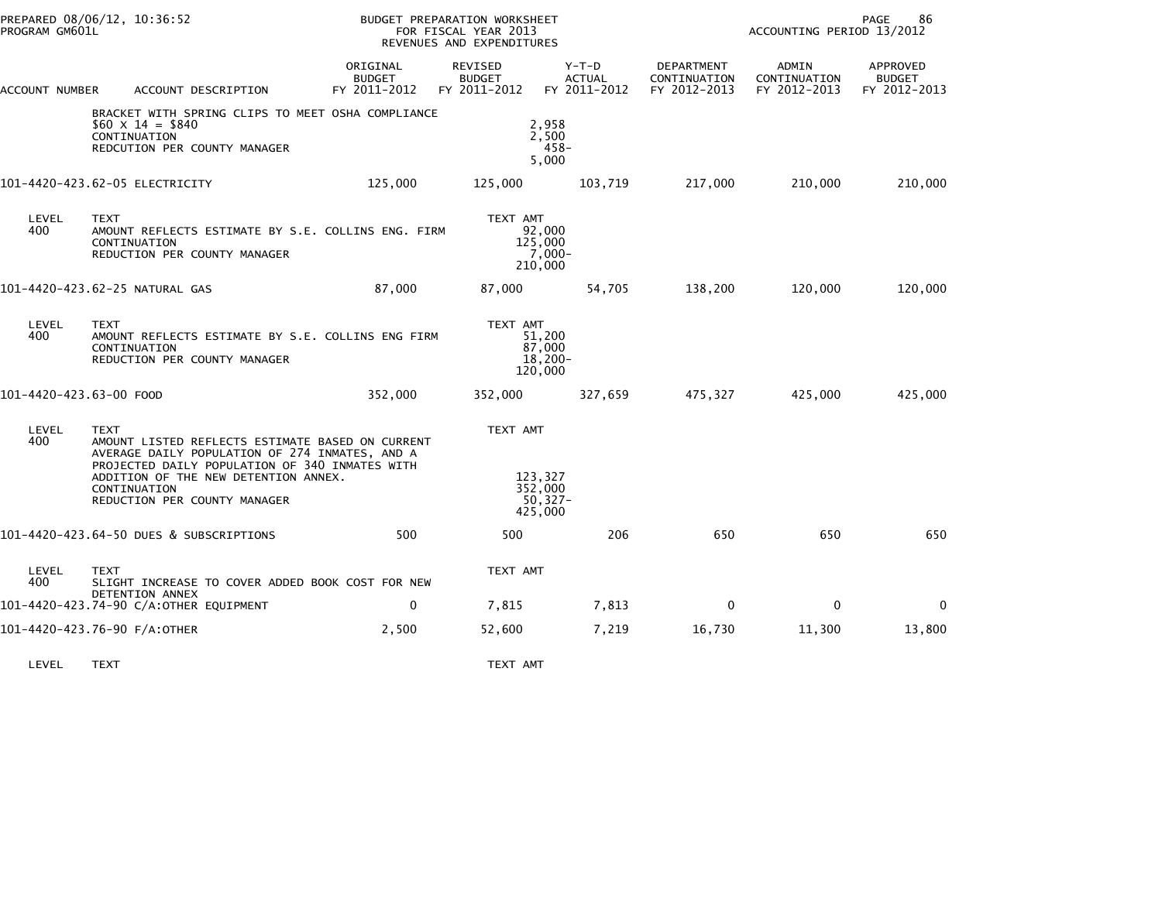| PREPARED 08/06/12, 10:36:52<br>PROGRAM GM601L |                                                                                                                                                                                                                                                             | BUDGET PREPARATION WORKSHEET<br>FOR FISCAL YEAR 2013<br>REVENUES AND EXPENDITURES |                                                         |                                          |                                            | 86<br>PAGE<br>ACCOUNTING PERIOD 13/2012 |                                           |  |
|-----------------------------------------------|-------------------------------------------------------------------------------------------------------------------------------------------------------------------------------------------------------------------------------------------------------------|-----------------------------------------------------------------------------------|---------------------------------------------------------|------------------------------------------|--------------------------------------------|-----------------------------------------|-------------------------------------------|--|
| ACCOUNT NUMBER                                | ACCOUNT DESCRIPTION                                                                                                                                                                                                                                         | ORIGINAL<br><b>BUDGET</b><br>FY 2011-2012                                         | <b>REVISED</b><br><b>BUDGET</b><br>FY 2011-2012         | $Y-T-D$<br><b>ACTUAL</b><br>FY 2011-2012 | DEPARTMENT<br>CONTINUATION<br>FY 2012-2013 | ADMIN<br>CONTINUATION<br>FY 2012-2013   | APPROVED<br><b>BUDGET</b><br>FY 2012-2013 |  |
|                                               | BRACKET WITH SPRING CLIPS TO MEET OSHA COMPLIANCE<br>$$60 \times 14 = $840$<br>CONTINUATION<br>REDCUTION PER COUNTY MANAGER                                                                                                                                 |                                                                                   | 2,958<br>2,500<br>5.000                                 | $458 -$                                  |                                            |                                         |                                           |  |
|                                               | 101-4420-423.62-05 ELECTRICITY                                                                                                                                                                                                                              | 125,000                                                                           | 125,000                                                 | 103,719                                  | 217,000                                    | 210,000                                 | 210,000                                   |  |
| LEVEL<br>400                                  | TEXT<br>AMOUNT REFLECTS ESTIMATE BY S.E. COLLINS ENG. FIRM<br>CONTINUATION<br>REDUCTION PER COUNTY MANAGER                                                                                                                                                  |                                                                                   | TEXT AMT<br>92,000<br>125,000<br>210,000                | $7,000 -$                                |                                            |                                         |                                           |  |
|                                               | 101-4420-423.62-25 NATURAL GAS                                                                                                                                                                                                                              | 87,000                                                                            | 87,000                                                  | 54,705                                   | 138,200                                    | 120,000                                 | 120,000                                   |  |
| LEVEL<br>400                                  | <b>TEXT</b><br>AMOUNT REFLECTS ESTIMATE BY S.E. COLLINS ENG FIRM<br>CONTINUATION<br>REDUCTION PER COUNTY MANAGER                                                                                                                                            |                                                                                   | TEXT AMT<br>51,200<br>87,000<br>$18,200-$<br>120,000    |                                          |                                            |                                         |                                           |  |
| 101-4420-423.63-00 FOOD                       |                                                                                                                                                                                                                                                             | 352,000                                                                           | 352,000                                                 | 327,659                                  | 475,327                                    | 425,000                                 | 425,000                                   |  |
| LEVEL<br>400                                  | <b>TEXT</b><br>AMOUNT LISTED REFLECTS ESTIMATE BASED ON CURRENT<br>AVERAGE DAILY POPULATION OF 274 INMATES, AND A<br>PROJECTED DAILY POPULATION OF 340 INMATES WITH<br>ADDITION OF THE NEW DETENTION ANNEX.<br>CONTINUATION<br>REDUCTION PER COUNTY MANAGER |                                                                                   | TEXT AMT<br>123,327<br>352,000<br>$50,327 -$<br>425,000 |                                          |                                            |                                         |                                           |  |
|                                               | 101-4420-423.64-50 DUES & SUBSCRIPTIONS                                                                                                                                                                                                                     | 500                                                                               | 500                                                     | 206                                      | 650                                        | 650                                     | 650                                       |  |
| LEVEL<br>400                                  | <b>TEXT</b><br>SLIGHT INCREASE TO COVER ADDED BOOK COST FOR NEW<br>DETENTION ANNEX                                                                                                                                                                          |                                                                                   | TEXT AMT                                                |                                          |                                            |                                         |                                           |  |
|                                               | 101-4420-423.74-90 C/A:OTHER EQUIPMENT                                                                                                                                                                                                                      | 0                                                                                 | 7,815                                                   | 7,813                                    | 0                                          | $\mathbf{0}$                            | $\Omega$                                  |  |
|                                               | 101-4420-423.76-90 F/A:OTHER                                                                                                                                                                                                                                | 2,500                                                                             | 52,600                                                  | 7,219                                    | 16,730                                     | 11,300                                  | 13,800                                    |  |

LEVEL TEXT TEXT AMT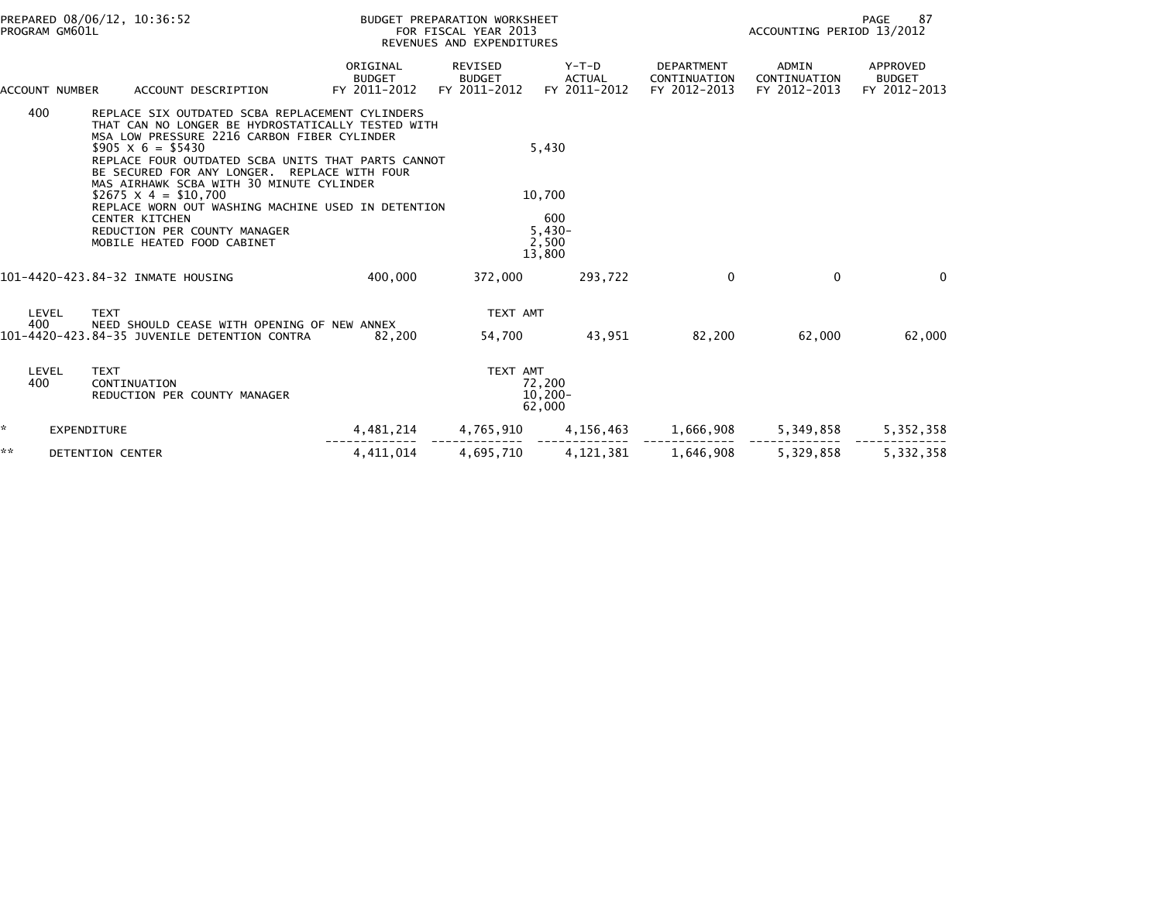| PREPARED 08/06/12, 10:36:52<br>PROGRAM GM601L |                |                                                                                                                                                                                                                                                                                                                                                                                                                                                                                                             |                                           | BUDGET PREPARATION WORKSHEET<br>FOR FISCAL YEAR 2013<br>REVENUES AND EXPENDITURES |                                                       |                                                   | 87<br>PAGE<br>ACCOUNTING PERIOD 13/2012 |                                           |  |
|-----------------------------------------------|----------------|-------------------------------------------------------------------------------------------------------------------------------------------------------------------------------------------------------------------------------------------------------------------------------------------------------------------------------------------------------------------------------------------------------------------------------------------------------------------------------------------------------------|-------------------------------------------|-----------------------------------------------------------------------------------|-------------------------------------------------------|---------------------------------------------------|-----------------------------------------|-------------------------------------------|--|
|                                               | ACCOUNT NUMBER | ACCOUNT DESCRIPTION                                                                                                                                                                                                                                                                                                                                                                                                                                                                                         | ORIGINAL<br><b>BUDGET</b><br>FY 2011-2012 | REVISED<br><b>BUDGET</b><br>FY 2011-2012                                          | Y-T-D<br><b>ACTUAL</b><br>FY 2011-2012                | <b>DEPARTMENT</b><br>CONTINUATION<br>FY 2012-2013 | ADMIN<br>CONTINUATION<br>FY 2012-2013   | APPROVED<br><b>BUDGET</b><br>FY 2012-2013 |  |
|                                               | 400            | REPLACE SIX OUTDATED SCBA REPLACEMENT CYLINDERS<br>THAT CAN NO LONGER BE HYDROSTATICALLY TESTED WITH<br>MSA LOW PRESSURE 2216 CARBON FIBER CYLINDER<br>$$905 \times 6 = $5430$<br>REPLACE FOUR OUTDATED SCBA UNITS THAT PARTS CANNOT<br>BE SECURED FOR ANY LONGER. REPLACE WITH FOUR<br>MAS AIRHAWK SCBA WITH 30 MINUTE CYLINDER<br>$$2675 \times 4 = $10,700$<br>REPLACE WORN OUT WASHING MACHINE USED IN DETENTION<br><b>CENTER KITCHEN</b><br>REDUCTION PER COUNTY MANAGER<br>MOBILE HEATED FOOD CABINET |                                           |                                                                                   | 5,430<br>10,700<br>600<br>$5,430-$<br>2,500<br>13,800 |                                                   |                                         |                                           |  |
|                                               |                | 101-4420-423.84-32 INMATE HOUSING                                                                                                                                                                                                                                                                                                                                                                                                                                                                           | 400,000                                   | 372,000                                                                           | 293,722                                               | $\Omega$                                          | $\mathbf{0}$                            | $\Omega$                                  |  |
|                                               | LEVEL<br>400   | <b>TEXT</b><br>NEED SHOULD CEASE WITH OPENING OF NEW ANNEX<br>101-4420-423.84-35 JUVENILE DETENTION CONTRA                                                                                                                                                                                                                                                                                                                                                                                                  | 82.200                                    | TEXT AMT<br>54,700                                                                | 43.951                                                | 82,200                                            | 62,000                                  | 62,000                                    |  |
|                                               | LEVEL<br>400   | <b>TEXT</b><br>CONTINUATION<br>REDUCTION PER COUNTY MANAGER                                                                                                                                                                                                                                                                                                                                                                                                                                                 |                                           | TEXT AMT                                                                          | 72,200<br>$10,200 -$<br>62,000                        |                                                   |                                         |                                           |  |
| ÷.                                            | EXPENDITURE    |                                                                                                                                                                                                                                                                                                                                                                                                                                                                                                             | 4,481,214                                 | 4,765,910                                                                         | 4,156,463                                             | 1,666,908                                         | 5,349,858                               | 5, 352, 358                               |  |
| **                                            |                | <b>DETENTION CENTER</b>                                                                                                                                                                                                                                                                                                                                                                                                                                                                                     | 4.411.014                                 | 4,695,710                                                                         | 4, 121, 381                                           | 1,646,908                                         | 5,329,858                               | 5,332,358                                 |  |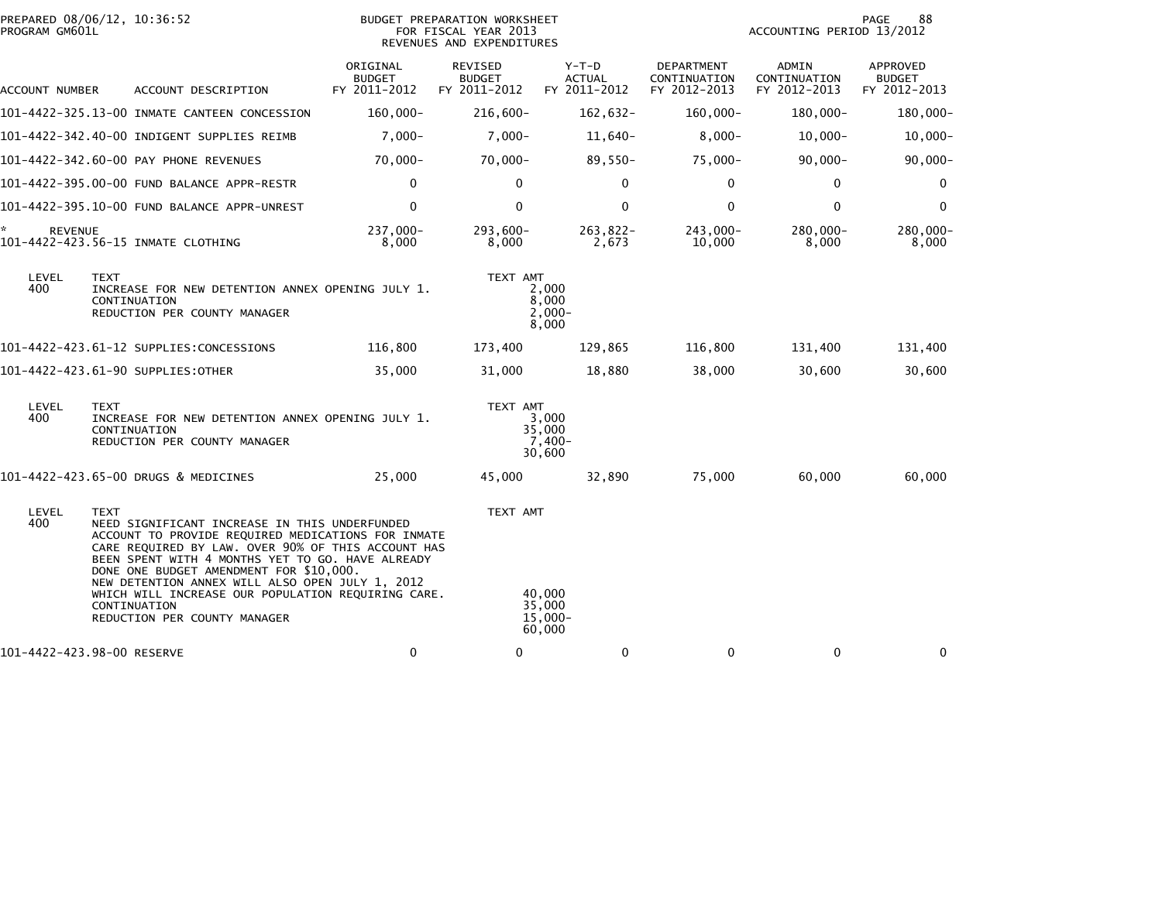| PROGRAM GM601L       | PREPARED 08/06/12, 10:36:52                                                                                                                                                                                                                                                                                                                                                                                                      |                                           | BUDGET PREPARATION WORKSHEET<br>FOR FISCAL YEAR 2013<br>REVENUES AND EXPENDITURES |                                          |                                                   | ACCOUNTING PERIOD 13/2012             | 88<br>PAGE                                       |
|----------------------|----------------------------------------------------------------------------------------------------------------------------------------------------------------------------------------------------------------------------------------------------------------------------------------------------------------------------------------------------------------------------------------------------------------------------------|-------------------------------------------|-----------------------------------------------------------------------------------|------------------------------------------|---------------------------------------------------|---------------------------------------|--------------------------------------------------|
| ACCOUNT NUMBER       | ACCOUNT DESCRIPTION                                                                                                                                                                                                                                                                                                                                                                                                              | ORIGINAL<br><b>BUDGET</b><br>FY 2011-2012 | REVISED<br><b>BUDGET</b><br>FY 2011-2012                                          | $Y-T-D$<br><b>ACTUAL</b><br>FY 2011-2012 | <b>DEPARTMENT</b><br>CONTINUATION<br>FY 2012-2013 | ADMIN<br>CONTINUATION<br>FY 2012-2013 | <b>APPROVED</b><br><b>BUDGET</b><br>FY 2012-2013 |
|                      | 101-4422-325.13-00 INMATE CANTEEN CONCESSION                                                                                                                                                                                                                                                                                                                                                                                     | 160,000-                                  | $216,600 -$                                                                       | 162,632-                                 | $160,000 -$                                       | 180,000-                              | 180,000-                                         |
|                      | 101-4422-342.40-00 INDIGENT SUPPLIES REIMB                                                                                                                                                                                                                                                                                                                                                                                       | $7,000 -$                                 | $7,000 -$                                                                         | $11,640-$                                | $8,000 -$                                         | $10,000 -$                            | $10,000 -$                                       |
|                      | 101-4422-342.60-00 PAY PHONE REVENUES                                                                                                                                                                                                                                                                                                                                                                                            | $70.000 -$                                | $70,000 -$                                                                        | 89,550-                                  | 75,000-                                           | $90,000 -$                            | $90,000 -$                                       |
|                      | 101-4422-395.00-00 FUND BALANCE APPR-RESTR                                                                                                                                                                                                                                                                                                                                                                                       | $\mathbf 0$                               | $\mathbf 0$                                                                       | $\mathbf{0}$                             | $\Omega$                                          | 0                                     | 0                                                |
|                      | 101-4422-395.10-00 FUND BALANCE APPR-UNREST                                                                                                                                                                                                                                                                                                                                                                                      | $\mathbf 0$                               | $\mathbf 0$                                                                       | 0                                        | 0                                                 | $\mathbf 0$                           | $\mathbf 0$                                      |
| ÷.<br><b>REVENUE</b> | 101-4422-423.56-15 INMATE CLOTHING                                                                                                                                                                                                                                                                                                                                                                                               | 237,000-<br>8,000                         | $293,600 -$<br>8,000                                                              | $263,822-$<br>2,673                      | $243,000-$<br>10,000                              | $280,000 -$<br>8,000                  | 280,000-<br>8,000                                |
| LEVEL<br>400         | <b>TEXT</b><br>INCREASE FOR NEW DETENTION ANNEX OPENING JULY 1.<br>CONTINUATION<br>REDUCTION PER COUNTY MANAGER                                                                                                                                                                                                                                                                                                                  |                                           | TEXT AMT                                                                          | 2,000<br>8,000<br>$2,000 -$<br>8,000     |                                                   |                                       |                                                  |
|                      | 101-4422-423.61-12 SUPPLIES:CONCESSIONS                                                                                                                                                                                                                                                                                                                                                                                          | 116,800                                   | 173,400                                                                           | 129,865                                  | 116,800                                           | 131,400                               | 131,400                                          |
|                      | 101-4422-423.61-90 SUPPLIES:OTHER                                                                                                                                                                                                                                                                                                                                                                                                | 35,000                                    | 31,000                                                                            | 18,880                                   | 38,000                                            | 30,600                                | 30,600                                           |
| LEVEL<br>400         | <b>TEXT</b><br>INCREASE FOR NEW DETENTION ANNEX OPENING JULY 1.<br>CONTINUATION<br>REDUCTION PER COUNTY MANAGER                                                                                                                                                                                                                                                                                                                  |                                           | TEXT AMT                                                                          | 3,000<br>35,000<br>7,400-<br>30,600      |                                                   |                                       |                                                  |
|                      | 101-4422-423.65-00 DRUGS & MEDICINES                                                                                                                                                                                                                                                                                                                                                                                             | 25,000                                    | 45,000                                                                            | 32,890                                   | 75,000                                            | 60,000                                | 60,000                                           |
| LEVEL<br>400         | <b>TEXT</b><br>NEED SIGNIFICANT INCREASE IN THIS UNDERFUNDED<br>ACCOUNT TO PROVIDE REQUIRED MEDICATIONS FOR INMATE<br>CARE REQUIRED BY LAW. OVER 90% OF THIS ACCOUNT HAS<br>BEEN SPENT WITH 4 MONTHS YET TO GO. HAVE ALREADY<br>DONE ONE BUDGET AMENDMENT FOR \$10,000.<br>NEW DETENTION ANNEX WILL ALSO OPEN JULY 1, 2012<br>WHICH WILL INCREASE OUR POPULATION REQUIRING CARE.<br>CONTINUATION<br>REDUCTION PER COUNTY MANAGER |                                           | TEXT AMT                                                                          | 40,000<br>35,000<br>$15,000 -$<br>60,000 |                                                   |                                       |                                                  |
|                      | 101-4422-423.98-00 RESERVE                                                                                                                                                                                                                                                                                                                                                                                                       | $\mathbf 0$                               | 0                                                                                 | 0                                        | 0                                                 | 0                                     | 0                                                |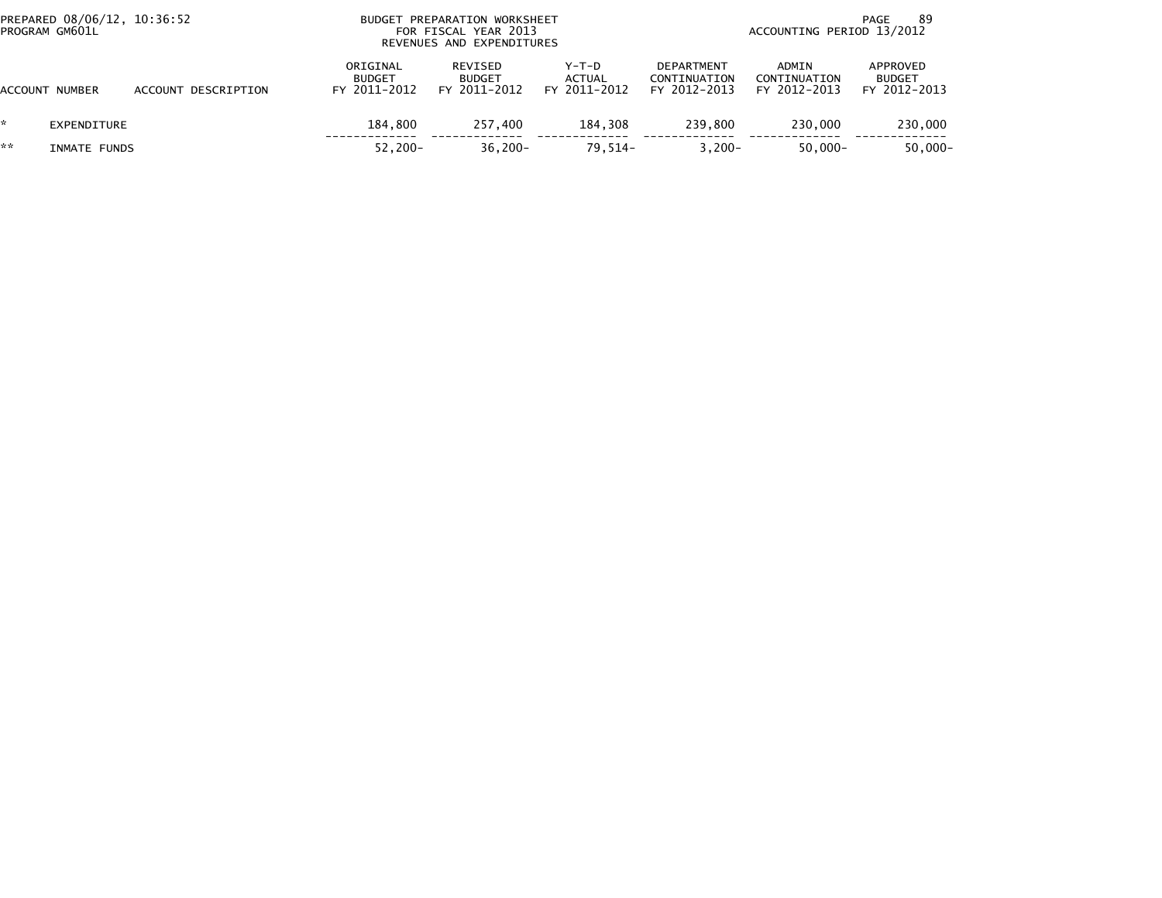| PREPARED 08/06/12, 10:36:52<br>PROGRAM GM601L |                     |                                           | BUDGET PREPARATION WORKSHEET<br>FOR FISCAL YEAR 2013<br>REVENUES AND EXPENDITURES |                                   | -89<br>PAGE<br>ACCOUNTING PERIOD 13/2012          |                                       |                                           |  |
|-----------------------------------------------|---------------------|-------------------------------------------|-----------------------------------------------------------------------------------|-----------------------------------|---------------------------------------------------|---------------------------------------|-------------------------------------------|--|
| ACCOUNT NUMBER                                | ACCOUNT DESCRIPTION | ORIGINAL<br><b>BUDGET</b><br>FY 2011-2012 | REVISED<br><b>BUDGET</b><br>FY 2011-2012                                          | $Y-T-D$<br>ACTUAL<br>FY 2011-2012 | <b>DEPARTMENT</b><br>CONTINUATION<br>FY 2012-2013 | ADMIN<br>CONTINUATION<br>FY 2012-2013 | APPROVED<br><b>BUDGET</b><br>FY 2012-2013 |  |
| *.<br>EXPENDITURE                             |                     | 184,800                                   | 257,400                                                                           | 184.308                           | 239.800                                           | 230,000                               | 230,000                                   |  |
| **<br>INMATE FUNDS                            |                     | $52.200 -$                                | $36,200 -$                                                                        | $79.514-$                         | $3.200 -$                                         | $50.000 -$                            | $50,000 -$                                |  |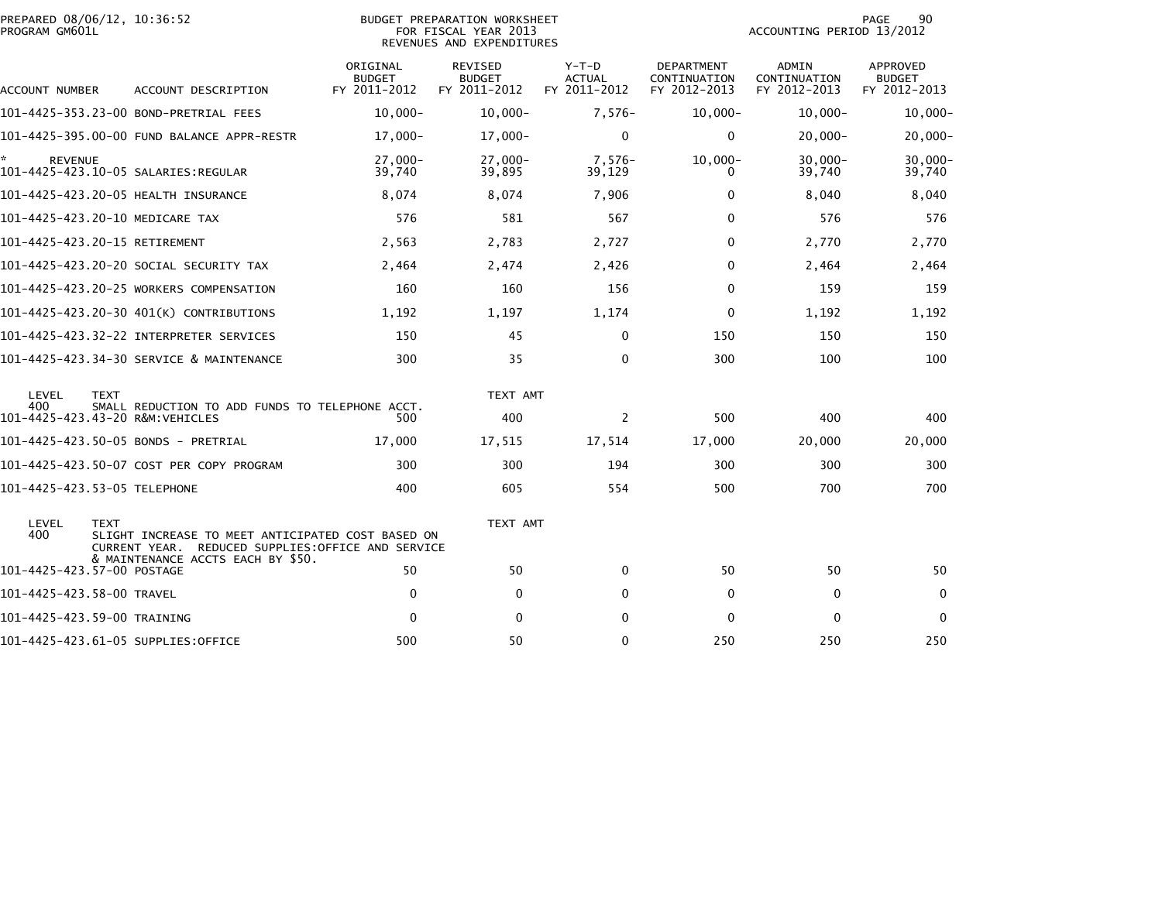| PREPARED 08/06/12, 10:36:52<br>PROGRAM GM601L |             |                                                                                                         |                                           | BUDGET PREPARATION WORKSHEET<br>FOR FISCAL YEAR 2013<br>REVENUES AND EXPENDITURES |                                          |                                            | ACCOUNTING PERIOD 13/2012                    | 90<br>PAGE                                |
|-----------------------------------------------|-------------|---------------------------------------------------------------------------------------------------------|-------------------------------------------|-----------------------------------------------------------------------------------|------------------------------------------|--------------------------------------------|----------------------------------------------|-------------------------------------------|
| ACCOUNT NUMBER                                |             | ACCOUNT DESCRIPTION                                                                                     | ORIGINAL<br><b>BUDGET</b><br>FY 2011-2012 | REVISED<br><b>BUDGET</b><br>FY 2011-2012                                          | $Y-T-D$<br><b>ACTUAL</b><br>FY 2011-2012 | DEPARTMENT<br>CONTINUATION<br>FY 2012-2013 | <b>ADMIN</b><br>CONTINUATION<br>FY 2012-2013 | APPROVED<br><b>BUDGET</b><br>FY 2012-2013 |
|                                               |             | 101-4425-353.23-00 BOND-PRETRIAL FEES                                                                   | $10,000 -$                                | $10,000 -$                                                                        | $7,576-$                                 | $10,000 -$                                 | $10,000 -$                                   | 10,000-                                   |
|                                               |             | 101-4425-395.00-00 FUND BALANCE APPR-RESTR                                                              | $17,000-$                                 | $17,000 -$                                                                        | $\Omega$                                 | $\mathbf{0}$                               | $20,000 -$                                   | $20,000 -$                                |
| <b>REVENUE</b>                                |             |                                                                                                         | $27,000-$<br>39,740                       | $27,000-$<br>39,895                                                               | $7,576-$<br>39,129                       | $10,000 -$<br>0                            | $30,000 -$<br>39,740                         | 30,000-<br>39,740                         |
|                                               |             | 101-4425-423.20-05 HEALTH INSURANCE                                                                     | 8,074                                     | 8,074                                                                             | 7,906                                    | 0                                          | 8,040                                        | 8,040                                     |
| 101-4425-423.20-10 MEDICARE TAX               |             |                                                                                                         | 576                                       | 581                                                                               | 567                                      | $\mathbf{0}$                               | 576                                          | 576                                       |
| 101-4425-423.20-15 RETIREMENT                 |             |                                                                                                         | 2,563                                     | 2,783                                                                             | 2,727                                    | $\Omega$                                   | 2,770                                        | 2,770                                     |
|                                               |             | 101–4425–423.20–20 SOCIAL SECURITY TAX                                                                  | 2,464                                     | 2,474                                                                             | 2,426                                    | 0                                          | 2,464                                        | 2,464                                     |
|                                               |             | 101-4425-423.20-25 WORKERS COMPENSATION                                                                 | 160                                       | 160                                                                               | 156                                      | $\mathbf 0$                                | 159                                          | 159                                       |
|                                               |             | 101-4425-423.20-30 401(K) CONTRIBUTIONS                                                                 | 1,192                                     | 1,197                                                                             | 1,174                                    | $\mathbf{0}$                               | 1,192                                        | 1,192                                     |
|                                               |             |                                                                                                         | 150                                       | 45                                                                                | $\mathbf{0}$                             | 150                                        | 150                                          | 150                                       |
|                                               |             | 101-4425-423.34-30 SERVICE & MAINTENANCE                                                                | 300                                       | 35                                                                                | $\Omega$                                 | 300                                        | 100                                          | 100                                       |
| LEVEL<br>400                                  | <b>TEXT</b> | SMALL REDUCTION TO ADD FUNDS TO TELEPHONE ACCT.                                                         |                                           | TEXT AMT                                                                          |                                          |                                            |                                              |                                           |
| 101-4425-423.43-20 R&M:VEHICLES               |             |                                                                                                         | 500                                       | 400                                                                               | 2                                        | 500                                        | 400                                          | 400                                       |
|                                               |             | 101-4425-423.50-05 BONDS - PRETRIAL                                                                     | 17,000                                    | 17,515                                                                            | 17,514                                   | 17,000                                     | 20,000                                       | 20,000                                    |
|                                               |             | 101-4425-423.50-07 COST PER COPY PROGRAM                                                                | 300                                       | 300                                                                               | 194                                      | 300                                        | 300                                          | 300                                       |
| 101-4425-423.53-05 TELEPHONE                  |             |                                                                                                         | 400                                       | 605                                                                               | 554                                      | 500                                        | 700                                          | 700                                       |
| LEVEL<br>400                                  | <b>TEXT</b> | SLIGHT INCREASE TO MEET ANTICIPATED COST BASED ON<br>CURRENT YEAR. REDUCED SUPPLIES: OFFICE AND SERVICE |                                           | TEXT AMT                                                                          |                                          |                                            |                                              |                                           |
| 101-4425-423.57-00 POSTAGE                    |             | & MAINTENANCE ACCTS EACH BY \$50.                                                                       | 50                                        | 50                                                                                | 0                                        | 50                                         | 50                                           | 50                                        |
| 101-4425-423.58-00 TRAVEL                     |             |                                                                                                         | $\mathbf 0$                               | $\mathbf 0$                                                                       | $\Omega$                                 | 0                                          | 0                                            | 0                                         |
| 101-4425-423.59-00 TRAINING                   |             |                                                                                                         | $\Omega$                                  | $\mathbf 0$                                                                       | $\Omega$                                 | $\Omega$                                   | $\mathbf 0$                                  | 0                                         |
|                                               |             | 101-4425-423.61-05 SUPPLIES:OFFICE                                                                      | 500                                       | 50                                                                                | $\Omega$                                 | 250                                        | 250                                          | 250                                       |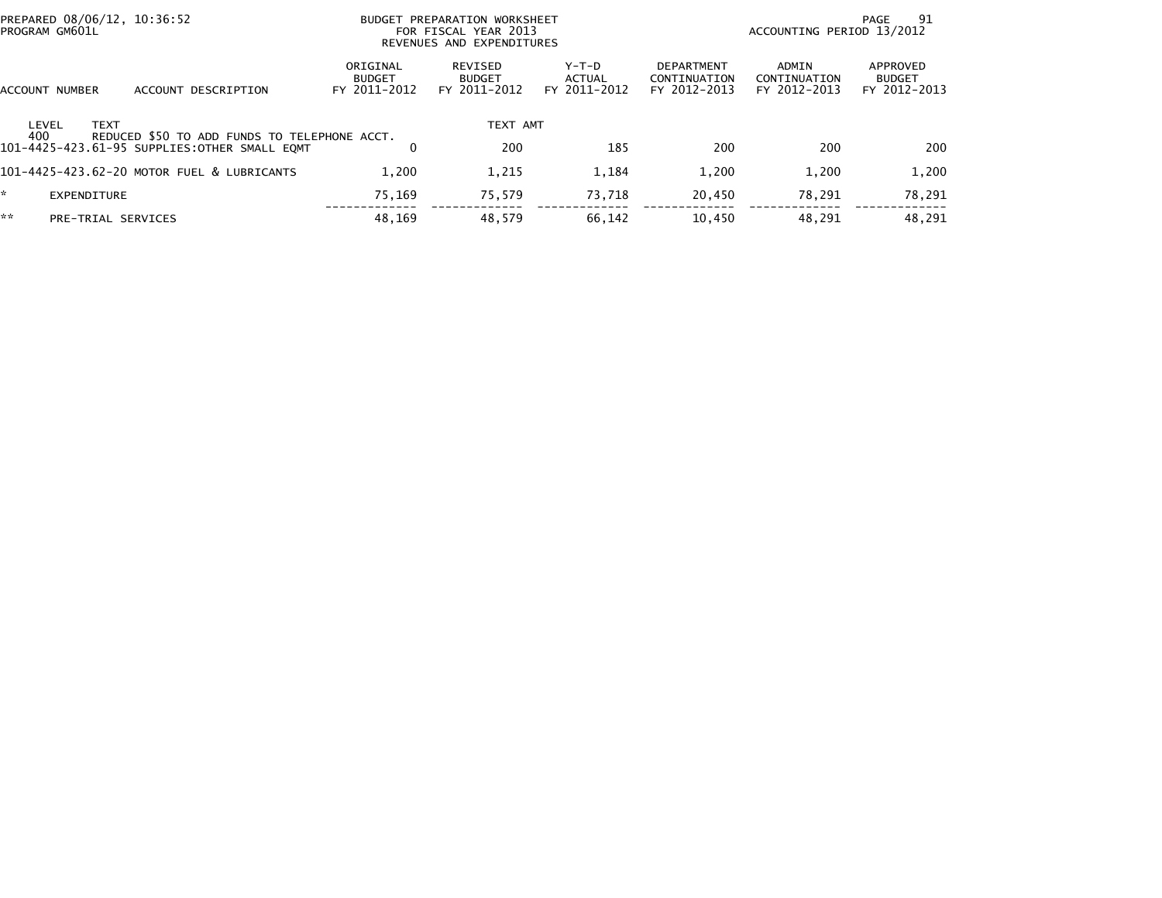| PREPARED 08/06/12, 10:36:52<br>PROGRAM GM601L |                                              |                                           | BUDGET PREPARATION WORKSHEET<br>FOR FISCAL YEAR 2013<br>REVENUES AND EXPENDITURES |                                 |                                                   | ACCOUNTING PERIOD 13/2012             | 91<br>PAGE                                |
|-----------------------------------------------|----------------------------------------------|-------------------------------------------|-----------------------------------------------------------------------------------|---------------------------------|---------------------------------------------------|---------------------------------------|-------------------------------------------|
| ACCOUNT NUMBER                                | ACCOUNT DESCRIPTION                          | ORIGINAL<br><b>BUDGET</b><br>FY 2011-2012 | REVISED<br><b>BUDGET</b><br>FY 2011-2012                                          | Y-T-D<br>ACTUAL<br>FY 2011-2012 | <b>DEPARTMENT</b><br>CONTINUATION<br>FY 2012-2013 | ADMIN<br>CONTINUATION<br>FY 2012-2013 | APPROVED<br><b>BUDGET</b><br>FY 2012-2013 |
| LEVEL<br><b>TEXT</b><br>400                   | REDUCED \$50 TO ADD FUNDS TO TELEPHONE ACCT. |                                           | TEXT AMT                                                                          |                                 |                                                   |                                       |                                           |
| 101-4425-423.61-95 SUPPLIES:OTHER SMALL EQMT  |                                              | 0                                         | 200                                                                               | 185                             | 200                                               | 200                                   | 200                                       |
| 101-4425-423.62-20 MOTOR FUEL & LUBRICANTS    |                                              | 1.200                                     | 1,215                                                                             | 1,184                           | 1,200                                             | 1.200                                 | 1,200                                     |
| ÷.<br>EXPENDITURE                             |                                              | 75.169                                    | 75,579                                                                            | 73.718                          | 20,450                                            | 78,291                                | 78,291                                    |
| **<br>PRE-TRIAL SERVICES                      |                                              | 48.169                                    | 48,579                                                                            | 66,142                          | 10,450                                            | 48.291                                | 48.291                                    |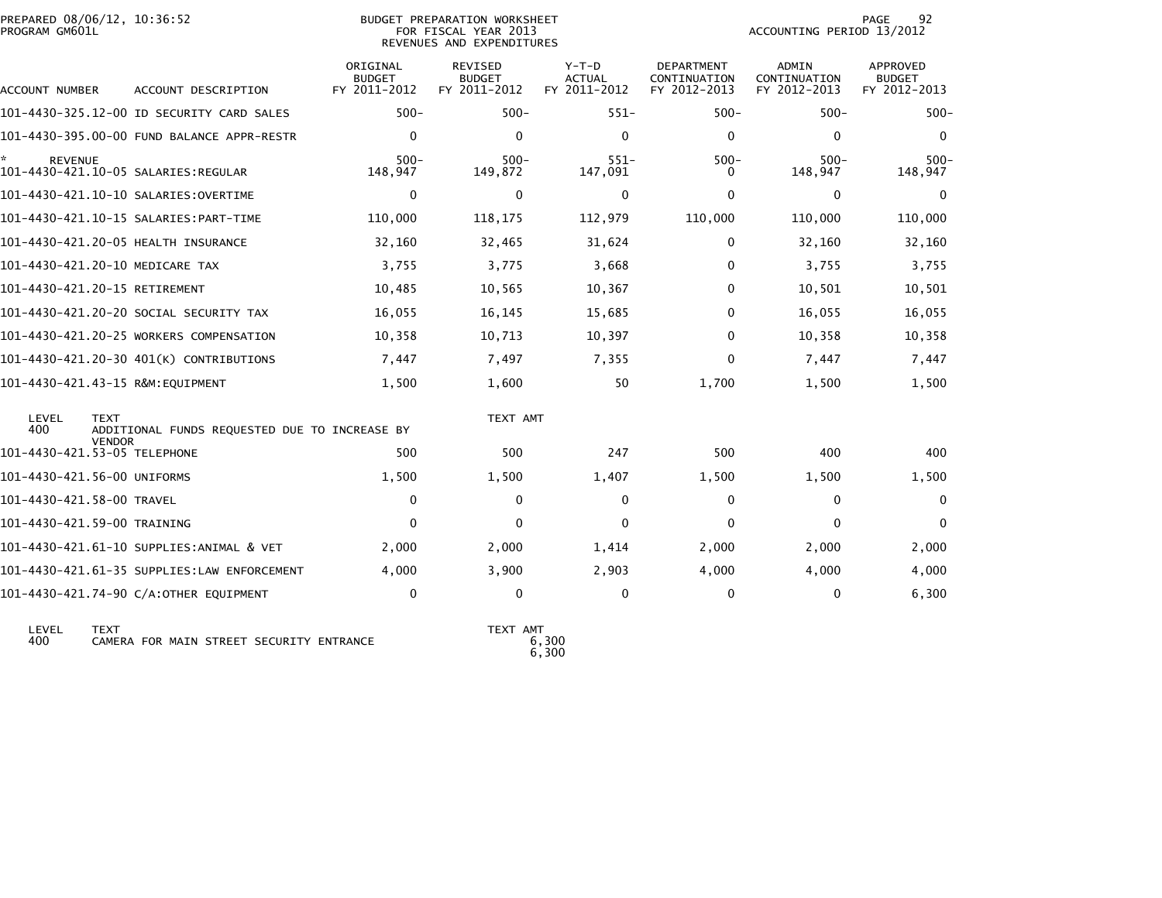| PREPARED 08/06/12, 10:36:52<br>PROGRAM GM601L |                                               |                                           | BUDGET PREPARATION WORKSHEET<br>FOR FISCAL YEAR 2013<br>REVENUES AND EXPENDITURES |                                   |                                                   | ACCOUNTING PERIOD 13/2012             | 92<br><b>PAGE</b>                         |
|-----------------------------------------------|-----------------------------------------------|-------------------------------------------|-----------------------------------------------------------------------------------|-----------------------------------|---------------------------------------------------|---------------------------------------|-------------------------------------------|
| ACCOUNT NUMBER                                | ACCOUNT DESCRIPTION                           | ORIGINAL<br><b>BUDGET</b><br>FY 2011-2012 | <b>REVISED</b><br><b>BUDGET</b><br>FY 2011-2012                                   | $Y-T-D$<br>ACTUAL<br>FY 2011-2012 | <b>DEPARTMENT</b><br>CONTINUATION<br>FY 2012-2013 | ADMIN<br>CONTINUATION<br>FY 2012-2013 | APPROVED<br><b>BUDGET</b><br>FY 2012-2013 |
|                                               | 101-4430-325.12-00 ID SECURITY CARD SALES     | $500 -$                                   | $500 -$                                                                           | $551 -$                           | $500 -$                                           | $500 -$                               | $500 -$                                   |
|                                               | 101-4430-395.00-00 FUND BALANCE APPR-RESTR    | $\mathbf 0$                               | $\Omega$                                                                          | $\mathbf{0}$                      | 0                                                 | $\Omega$                              | $\mathbf 0$                               |
| <b>REVENUE</b>                                | 101-4430-421.10-05 SALARIES:REGULAR           | $500 -$<br>148,947                        | $500 -$<br>149,872                                                                | $551 -$<br>147,091                | $500 -$<br>0                                      | $500 -$<br>148,947                    | $500 -$<br>148,947                        |
|                                               | 101–4430–421.10–10 SALARIES:OVERTIME          | $\mathbf 0$                               | $\Omega$                                                                          | $\mathbf{0}$                      | 0                                                 | $\Omega$                              | 0                                         |
|                                               |                                               | 110,000                                   | 118,175                                                                           | 112,979                           | 110,000                                           | 110,000                               | 110,000                                   |
|                                               | 101-4430-421.20-05 HEALTH INSURANCE           | 32,160                                    | 32,465                                                                            | 31,624                            | 0                                                 | 32,160                                | 32,160                                    |
| 101-4430-421.20-10 MEDICARE TAX               |                                               | 3,755                                     | 3,775                                                                             | 3,668                             | 0                                                 | 3,755                                 | 3,755                                     |
| 101-4430-421.20-15 RETIREMENT                 |                                               | 10,485                                    | 10,565                                                                            | 10,367                            | 0                                                 | 10,501                                | 10,501                                    |
|                                               | 101-4430-421.20-20 SOCIAL SECURITY TAX        | 16,055                                    | 16,145                                                                            | 15,685                            | 0                                                 | 16,055                                | 16,055                                    |
|                                               | 101-4430-421.20-25 WORKERS COMPENSATION       | 10,358                                    | 10,713                                                                            | 10,397                            | 0                                                 | 10,358                                | 10,358                                    |
|                                               | 101-4430-421.20-30 401(K) CONTRIBUTIONS       | 7,447                                     | 7,497                                                                             | 7,355                             | 0                                                 | 7,447                                 | 7,447                                     |
| 101-4430-421.43-15 R&M:EQUIPMENT              |                                               | 1,500                                     | 1,600                                                                             | 50                                | 1.700                                             | 1,500                                 | 1,500                                     |
| LEVEL<br><b>TEXT</b><br>400<br><b>VENDOR</b>  | ADDITIONAL FUNDS REQUESTED DUE TO INCREASE BY |                                           | TEXT AMT                                                                          |                                   |                                                   |                                       |                                           |
| 101-4430-421.53-05 TELEPHONE                  |                                               | 500                                       | 500                                                                               | 247                               | 500                                               | 400                                   | 400                                       |
| 101-4430-421.56-00 UNIFORMS                   |                                               | 1,500                                     | 1,500                                                                             | 1,407                             | 1,500                                             | 1,500                                 | 1,500                                     |
| 101-4430-421.58-00 TRAVEL                     |                                               | 0                                         | 0                                                                                 | 0                                 | 0                                                 | $\Omega$                              | 0                                         |
| 101-4430-421.59-00 TRAINING                   |                                               | $\mathbf{0}$                              | $\Omega$                                                                          | $\Omega$                          | $\Omega$                                          | $\Omega$                              | $\mathbf{0}$                              |
|                                               | 101-4430-421.61-10 SUPPLIES:ANIMAL & VET      | 2,000                                     | 2,000                                                                             | 1,414                             | 2,000                                             | 2,000                                 | 2,000                                     |
|                                               | 101-4430-421.61-35 SUPPLIES:LAW ENFORCEMENT   | 4.000                                     | 3,900                                                                             | 2,903                             | 4,000                                             | 4,000                                 | 4,000                                     |
|                                               | 101-4430-421.74-90 C/A:OTHER EQUIPMENT        | 0                                         | 0                                                                                 | $\mathbf 0$                       | 0                                                 | $\mathbf{0}$                          | 6,300                                     |

 LEVEL TEXT TEXT AMT LEVEL TEXT<br>400 CAMERA FOR MAIN STREET SECURITY ENTRANCE

 $\sim 6,300$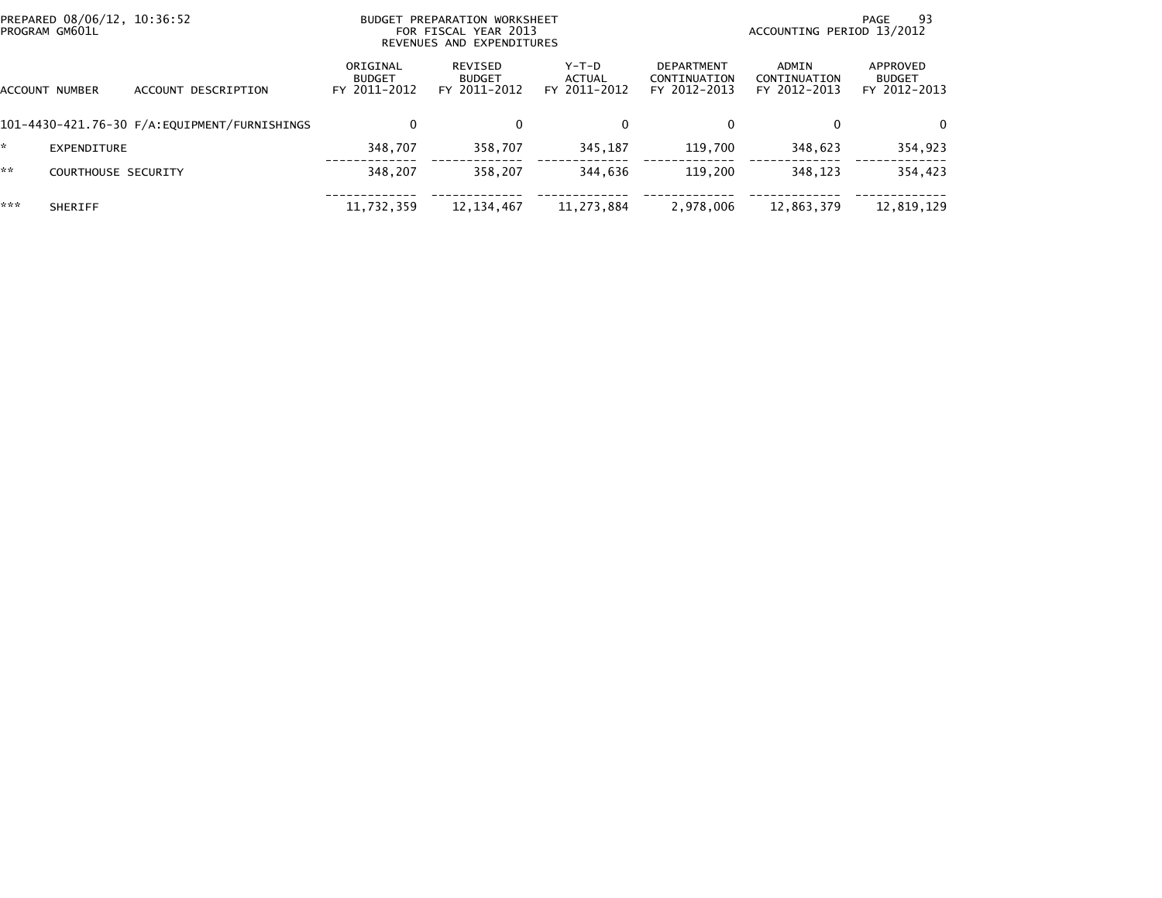| PREPARED 08/06/12, 10:36:52<br>PROGRAM GM601L |                     |                                              |                                           | <b>BUDGET PREPARATION WORKSHEET</b><br>FOR FISCAL YEAR 2013<br>REVENUES AND EXPENDITURES | 93<br>PAGE<br>ACCOUNTING PERIOD 13/2012 |                                                   |                                       |                                           |
|-----------------------------------------------|---------------------|----------------------------------------------|-------------------------------------------|------------------------------------------------------------------------------------------|-----------------------------------------|---------------------------------------------------|---------------------------------------|-------------------------------------------|
|                                               | ACCOUNT NUMBER      | ACCOUNT DESCRIPTION                          | ORIGINAL<br><b>BUDGET</b><br>FY 2011-2012 | REVISED<br><b>BUDGET</b><br>FY 2011-2012                                                 | Y-T-D<br>ACTUAL<br>FY 2011-2012         | <b>DEPARTMENT</b><br>CONTINUATION<br>FY 2012-2013 | ADMIN<br>CONTINUATION<br>FY 2012-2013 | APPROVED<br><b>BUDGET</b><br>FY 2012-2013 |
|                                               |                     | 101-4430-421.76-30 F/A:EQUIPMENT/FURNISHINGS | $\mathbf{0}$                              | 0                                                                                        | 0                                       | 0                                                 | $\Omega$                              | 0                                         |
| ÷.                                            | EXPENDITURE         |                                              | 348.707                                   | 358.707                                                                                  | 345.187                                 | 119.700                                           | 348.623                               | 354,923                                   |
| **                                            | COURTHOUSE SECURITY |                                              | 348.207                                   | 358.207                                                                                  | 344.636                                 | 119,200                                           | 348.123                               | 354,423                                   |
| ***                                           | <b>SHERIFF</b>      |                                              | 11,732,359                                | 12, 134, 467                                                                             | 11,273,884                              | 2,978,006                                         | 12,863,379                            | 12,819,129                                |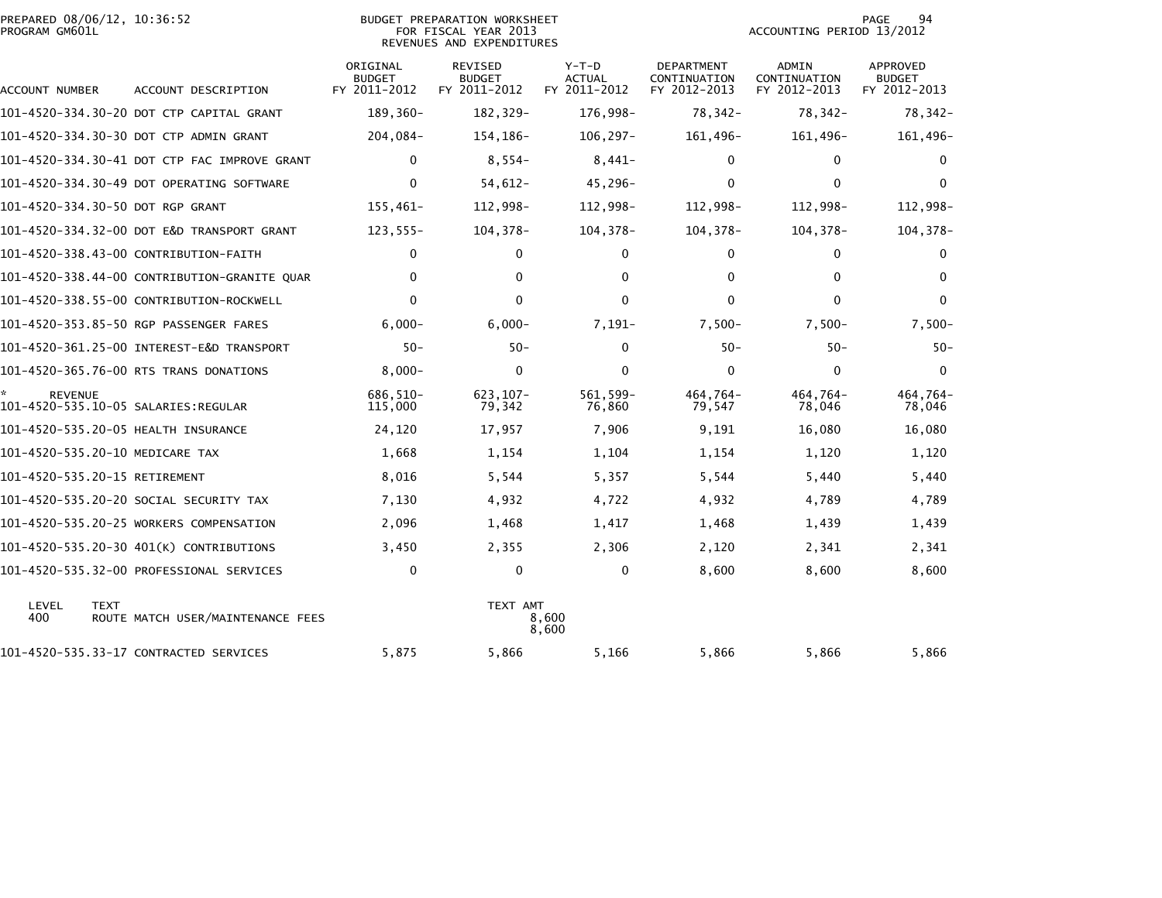| PREPARED 08/06/12, 10:36:52<br>PROGRAM GM601L |                                              |                                           | <b>BUDGET PREPARATION WORKSHEET</b><br>FOR FISCAL YEAR 2013<br>REVENUES AND EXPENDITURES | 94<br>PAGE<br>ACCOUNTING PERIOD 13/2012  |                                            |                                              |                                           |
|-----------------------------------------------|----------------------------------------------|-------------------------------------------|------------------------------------------------------------------------------------------|------------------------------------------|--------------------------------------------|----------------------------------------------|-------------------------------------------|
| ACCOUNT NUMBER                                | ACCOUNT DESCRIPTION                          | ORIGINAL<br><b>BUDGET</b><br>FY 2011-2012 | REVISED<br><b>BUDGET</b><br>FY 2011-2012                                                 | $Y-T-D$<br><b>ACTUAL</b><br>FY 2011-2012 | DEPARTMENT<br>CONTINUATION<br>FY 2012-2013 | <b>ADMIN</b><br>CONTINUATION<br>FY 2012-2013 | APPROVED<br><b>BUDGET</b><br>FY 2012-2013 |
|                                               | 101-4520-334.30-20 DOT CTP CAPITAL GRANT     | 189,360-                                  | 182,329-                                                                                 | 176,998-                                 | 78,342-                                    | 78,342-                                      | 78,342-                                   |
|                                               | 101-4520-334.30-30 DOT CTP ADMIN GRANT       | 204,084-                                  | 154,186-                                                                                 | $106, 297 -$                             | 161,496-                                   | 161,496-                                     | 161,496-                                  |
|                                               | 101-4520-334.30-41 DOT CTP FAC IMPROVE GRANT | $\Omega$                                  | $8,554-$                                                                                 | $8,441-$                                 | 0                                          | $\Omega$                                     | $\bf{0}$                                  |
|                                               | 101-4520-334.30-49 DOT OPERATING SOFTWARE    | 0                                         | 54,612-                                                                                  | 45,296-                                  | 0                                          | $\mathbf 0$                                  | $\mathbf{0}$                              |
| 101-4520-334.30-50 DOT RGP GRANT              |                                              | $155,461-$                                | 112,998-                                                                                 | 112,998-                                 | 112,998-                                   | 112,998-                                     | 112,998-                                  |
|                                               | 101-4520-334.32-00 DOT E&D TRANSPORT GRANT   | $123,555-$                                | $104, 378 -$                                                                             | 104, 378-                                | 104, 378-                                  | $104, 378 -$                                 | 104, 378-                                 |
|                                               | 101-4520-338.43-00 CONTRIBUTION-FAITH        | 0                                         | 0                                                                                        | 0                                        | 0                                          | 0                                            | 0                                         |
|                                               | 101-4520-338.44-00 CONTRIBUTION-GRANITE QUAR | $\mathbf 0$                               | 0                                                                                        | $\mathbf{0}$                             | 0                                          | $\mathbf{0}$                                 | $\Omega$                                  |
|                                               | 101-4520-338.55-00 CONTRIBUTION-ROCKWELL     | $\Omega$                                  | $\mathbf{0}$                                                                             | $\Omega$                                 | 0                                          | $\mathbf{0}$                                 | $\Omega$                                  |
|                                               | 101-4520-353.85-50 RGP PASSENGER FARES       | $6,000-$                                  | $6,000-$                                                                                 | $7,191-$                                 | $7,500-$                                   | $7,500-$                                     | $7,500-$                                  |
|                                               |                                              | $50 -$                                    | $50 -$                                                                                   | $\Omega$                                 | $50 -$                                     | $50-$                                        | $50 -$                                    |
|                                               | 101-4520-365.76-00 RTS TRANS DONATIONS       | $8,000 -$                                 | $\mathbf{0}$                                                                             | $\Omega$                                 | 0                                          | $\mathbf{0}$                                 | $\Omega$                                  |
| REVENUE                                       | 101-4520-535.10-05 SALARIES:REGULAR          | 686,510-<br>115,000                       | $623, 107 -$<br>79,342                                                                   | 561, 599-<br>76,860                      | 464,764-<br>79,547                         | 464,764-<br>78,046                           | 464,764-<br>78,046                        |
|                                               | 101-4520-535.20-05 HEALTH INSURANCE          | 24,120                                    | 17,957                                                                                   | 7,906                                    | 9,191                                      | 16,080                                       | 16,080                                    |
| 101-4520-535.20-10 MEDICARE TAX               |                                              | 1,668                                     | 1,154                                                                                    | 1,104                                    | 1,154                                      | 1,120                                        | 1,120                                     |
| 101-4520-535.20-15 RETIREMENT                 |                                              | 8,016                                     | 5,544                                                                                    | 5,357                                    | 5,544                                      | 5,440                                        | 5,440                                     |
|                                               | 101–4520–535.20–20 SOCIAL SECURITY TAX       | 7,130                                     | 4,932                                                                                    | 4,722                                    | 4,932                                      | 4,789                                        | 4,789                                     |
|                                               | 101-4520-535.20-25 WORKERS COMPENSATION      | 2,096                                     | 1,468                                                                                    | 1,417                                    | 1,468                                      | 1,439                                        | 1,439                                     |
|                                               | 101-4520-535.20-30 401(K) CONTRIBUTIONS      | 3,450                                     | 2,355                                                                                    | 2,306                                    | 2,120                                      | 2,341                                        | 2,341                                     |
|                                               | 101-4520-535.32-00 PROFESSIONAL SERVICES     | $\mathbf 0$                               | 0                                                                                        | 0                                        | 8,600                                      | 8,600                                        | 8,600                                     |
| LEVEL<br><b>TEXT</b><br>400                   | ROUTE MATCH USER/MAINTENANCE FEES            |                                           | TEXT AMT                                                                                 | 8,600<br>8,600                           |                                            |                                              |                                           |
|                                               | 101-4520-535.33-17 CONTRACTED SERVICES       | 5,875                                     | 5,866                                                                                    | 5,166                                    | 5,866                                      | 5,866                                        | 5,866                                     |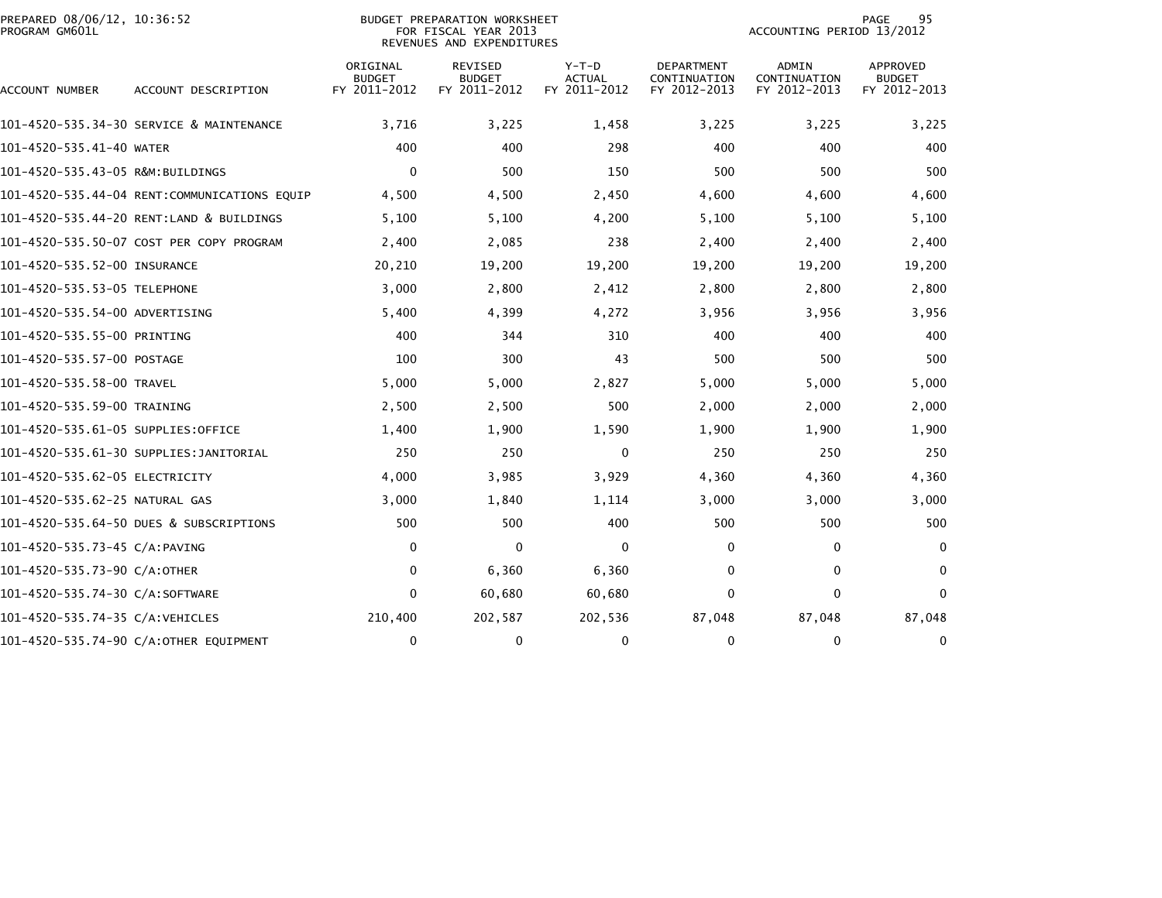| PREPARED 08/06/12, 10:36:52<br>PROGRAM GM601L |                                              |                                           | BUDGET PREPARATION WORKSHEET<br>FOR FISCAL YEAR 2013<br>REVENUES AND EXPENDITURES |                                          | 95<br>PAGE<br>ACCOUNTING PERIOD 13/2012           |                                              |                                                  |  |  |
|-----------------------------------------------|----------------------------------------------|-------------------------------------------|-----------------------------------------------------------------------------------|------------------------------------------|---------------------------------------------------|----------------------------------------------|--------------------------------------------------|--|--|
| ACCOUNT NUMBER                                | ACCOUNT DESCRIPTION                          | ORIGINAL<br><b>BUDGET</b><br>FY 2011-2012 | <b>REVISED</b><br><b>BUDGET</b><br>FY 2011-2012                                   | $Y-T-D$<br><b>ACTUAL</b><br>FY 2011-2012 | <b>DEPARTMENT</b><br>CONTINUATION<br>FY 2012-2013 | <b>ADMIN</b><br>CONTINUATION<br>FY 2012-2013 | <b>APPROVED</b><br><b>BUDGET</b><br>FY 2012-2013 |  |  |
|                                               | 101-4520-535.34-30 SERVICE & MAINTENANCE     | 3,716                                     | 3,225                                                                             | 1,458                                    | 3,225                                             | 3,225                                        | 3,225                                            |  |  |
| 101-4520-535.41-40 WATER                      |                                              | 400                                       | 400                                                                               | 298                                      | 400                                               | 400                                          | 400                                              |  |  |
| 101-4520-535.43-05 R&M:BUILDINGS              |                                              | 0                                         | 500                                                                               | 150                                      | 500                                               | 500                                          | 500                                              |  |  |
|                                               | 101-4520-535.44-04 RENT:COMMUNICATIONS EQUIP | 4,500                                     | 4,500                                                                             | 2,450                                    | 4,600                                             | 4,600                                        | 4,600                                            |  |  |
|                                               | 101-4520-535.44-20 RENT:LAND & BUILDINGS     | 5,100                                     | 5,100                                                                             | 4,200                                    | 5,100                                             | 5,100                                        | 5,100                                            |  |  |
|                                               | 101-4520-535.50-07 COST PER COPY PROGRAM     | 2,400                                     | 2,085                                                                             | 238                                      | 2,400                                             | 2,400                                        | 2,400                                            |  |  |
| 101-4520-535.52-00 INSURANCE                  |                                              | 20,210                                    | 19,200                                                                            | 19,200                                   | 19,200                                            | 19,200                                       | 19,200                                           |  |  |
| 101-4520-535.53-05 TELEPHONE                  |                                              | 3,000                                     | 2,800                                                                             | 2,412                                    | 2,800                                             | 2,800                                        | 2,800                                            |  |  |
| 101-4520-535.54-00 ADVERTISING                |                                              | 5,400                                     | 4,399                                                                             | 4,272                                    | 3,956                                             | 3,956                                        | 3,956                                            |  |  |
| 101-4520-535.55-00 PRINTING                   |                                              | 400                                       | 344                                                                               | 310                                      | 400                                               | 400                                          | 400                                              |  |  |
| 101-4520-535.57-00 POSTAGE                    |                                              | 100                                       | 300                                                                               | 43                                       | 500                                               | 500                                          | 500                                              |  |  |
| 101-4520-535.58-00 TRAVEL                     |                                              | 5,000                                     | 5,000                                                                             | 2,827                                    | 5,000                                             | 5,000                                        | 5,000                                            |  |  |
| 101-4520-535.59-00 TRAINING                   |                                              | 2,500                                     | 2,500                                                                             | 500                                      | 2,000                                             | 2,000                                        | 2,000                                            |  |  |
| 101-4520-535.61-05 SUPPLIES:OFFICE            |                                              | 1,400                                     | 1,900                                                                             | 1,590                                    | 1,900                                             | 1,900                                        | 1,900                                            |  |  |
|                                               | 101-4520-535.61-30 SUPPLIES:JANITORIAL       | 250                                       | 250                                                                               | 0                                        | 250                                               | 250                                          | 250                                              |  |  |
| 101-4520-535.62-05 ELECTRICITY                |                                              | 4,000                                     | 3,985                                                                             | 3,929                                    | 4,360                                             | 4,360                                        | 4,360                                            |  |  |
| 101-4520-535.62-25 NATURAL GAS                |                                              | 3,000                                     | 1,840                                                                             | 1,114                                    | 3,000                                             | 3,000                                        | 3,000                                            |  |  |
|                                               | 101-4520-535.64-50 DUES & SUBSCRIPTIONS      | 500                                       | 500                                                                               | 400                                      | 500                                               | 500                                          | 500                                              |  |  |
| 101-4520-535.73-45 C/A:PAVING                 |                                              | 0                                         | $\mathbf 0$                                                                       | $\mathbf{0}$                             | 0                                                 | 0                                            | $\mathbf{0}$                                     |  |  |
| 101-4520-535.73-90 C/A:OTHER                  |                                              | 0                                         | 6,360                                                                             | 6,360                                    | 0                                                 | $\mathbf{0}$                                 | 0                                                |  |  |
| 101-4520-535.74-30 C/A:SOFTWARE               |                                              | $\mathbf{0}$                              | 60,680                                                                            | 60,680                                   | $\mathbf{0}$                                      | $\mathbf{0}$                                 | $\mathbf{0}$                                     |  |  |
| 101-4520-535.74-35 C/A:VEHICLES               |                                              | 210,400                                   | 202,587                                                                           | 202,536                                  | 87,048                                            | 87,048                                       | 87,048                                           |  |  |
|                                               | 101-4520-535.74-90 C/A:OTHER EQUIPMENT       | 0                                         | 0                                                                                 | $\Omega$                                 | 0                                                 | 0                                            | 0                                                |  |  |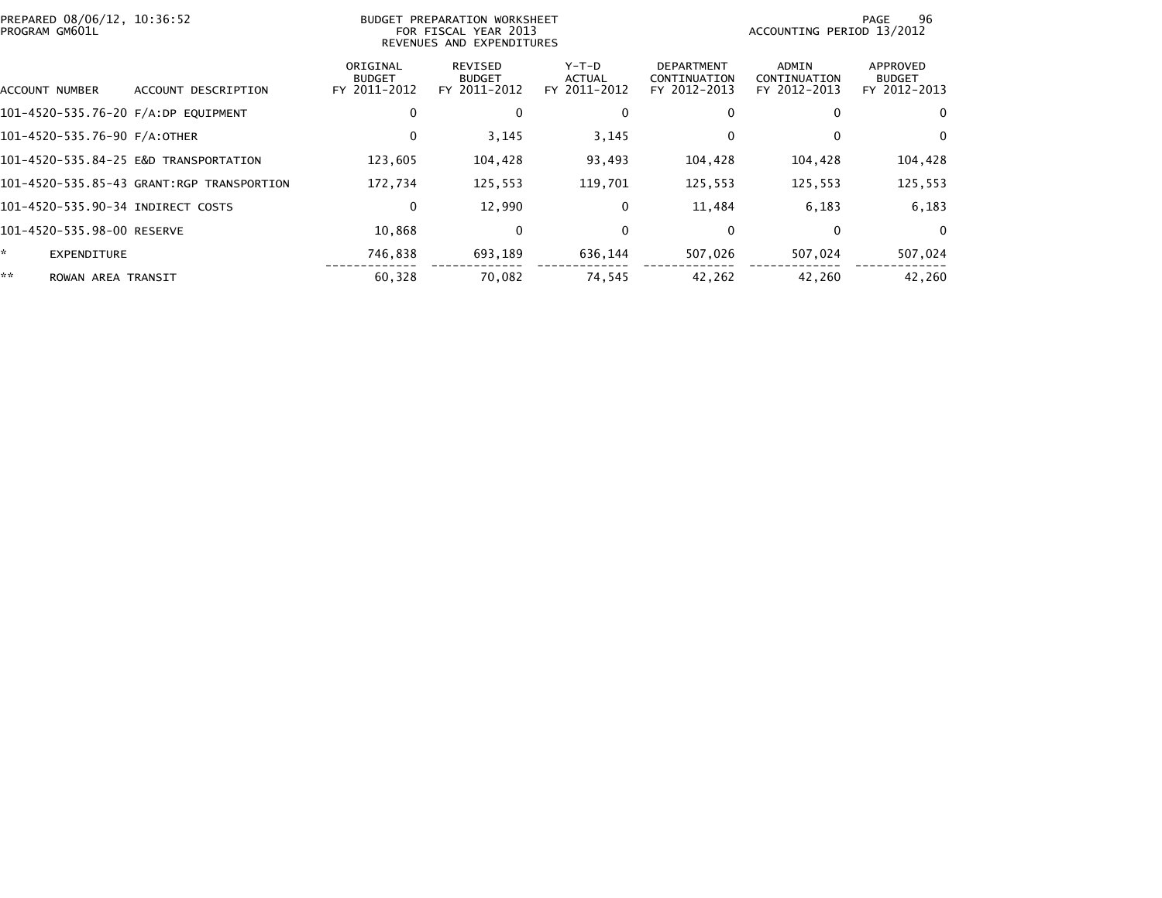| PREPARED 08/06/12, 10:36:52<br>PROGRAM GM601L |                                           |                                           | BUDGET PREPARATION WORKSHEET<br>FOR FISCAL YEAR 2013<br>REVENUES AND EXPENDITURES | 96<br>PAGE<br>ACCOUNTING PERIOD 13/2012  |                                                   |                                       |                                           |
|-----------------------------------------------|-------------------------------------------|-------------------------------------------|-----------------------------------------------------------------------------------|------------------------------------------|---------------------------------------------------|---------------------------------------|-------------------------------------------|
| ACCOUNT NUMBER                                | ACCOUNT DESCRIPTION                       | ORIGINAL<br><b>BUDGET</b><br>FY 2011-2012 | <b>REVISED</b><br><b>BUDGET</b><br>FY 2011-2012                                   | $Y-T-D$<br><b>ACTUAL</b><br>FY 2011-2012 | <b>DEPARTMENT</b><br>CONTINUATION<br>FY 2012-2013 | ADMIN<br>CONTINUATION<br>FY 2012-2013 | APPROVED<br><b>BUDGET</b><br>FY 2012-2013 |
| 101-4520-535.76-20 F/A:DP EQUIPMENT           |                                           | 0                                         | 0                                                                                 | 0                                        | 0                                                 | 0                                     | 0                                         |
| 101-4520-535.76-90 F/A:OTHER                  |                                           | 0                                         | 3,145                                                                             | 3,145                                    | 0                                                 | $\Omega$                              | $\bf{0}$                                  |
|                                               | 101-4520-535.84-25 E&D TRANSPORTATION     | 123,605                                   | 104,428                                                                           | 93,493                                   | 104,428                                           | 104,428                               | 104,428                                   |
|                                               | 101-4520-535.85-43 GRANT:RGP TRANSPORTION | 172,734                                   | 125,553                                                                           | 119,701                                  | 125,553                                           | 125,553                               | 125,553                                   |
| 101-4520-535.90-34 INDIRECT COSTS             |                                           | 0                                         | 12,990                                                                            | 0                                        | 11,484                                            | 6,183                                 | 6,183                                     |
| 101-4520-535.98-00 RESERVE                    |                                           | 10,868                                    | 0                                                                                 | $\mathbf{0}$                             | $\mathbf{0}$                                      | 0                                     | $\Omega$                                  |
| *.<br><b>EXPENDITURE</b>                      |                                           | 746,838                                   | 693,189                                                                           | 636,144                                  | 507,026                                           | 507,024                               | 507,024                                   |
| **<br>ROWAN AREA TRANSIT                      |                                           | 60,328                                    | 70,082                                                                            | 74,545                                   | 42,262                                            | 42,260                                | 42,260                                    |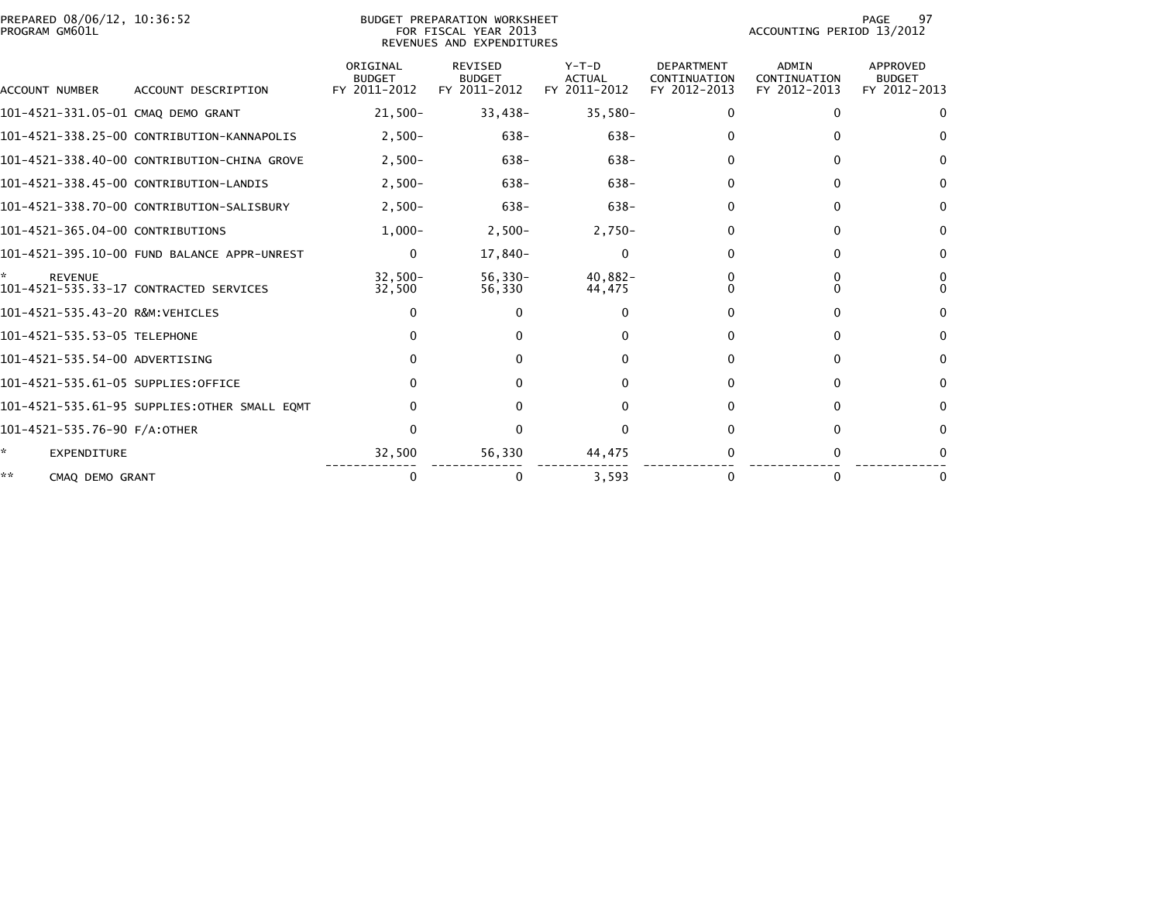| PREPARED 08/06/12, 10:36:52<br>PROGRAM GM601L | BUDGET PREPARATION WORKSHEET<br>FOR FISCAL YEAR 2013<br>REVENUES AND EXPENDITURES |                                           |                                                 |                                          |                                                   |                                              | 97<br>PAGE<br>ACCOUNTING PERIOD 13/2012   |  |  |
|-----------------------------------------------|-----------------------------------------------------------------------------------|-------------------------------------------|-------------------------------------------------|------------------------------------------|---------------------------------------------------|----------------------------------------------|-------------------------------------------|--|--|
| <b>ACCOUNT NUMBER</b>                         | ACCOUNT DESCRIPTION                                                               | ORIGINAL<br><b>BUDGET</b><br>FY 2011-2012 | <b>REVISED</b><br><b>BUDGET</b><br>FY 2011-2012 | $Y-T-D$<br><b>ACTUAL</b><br>FY 2011-2012 | <b>DEPARTMENT</b><br>CONTINUATION<br>FY 2012-2013 | <b>ADMIN</b><br>CONTINUATION<br>FY 2012-2013 | APPROVED<br><b>BUDGET</b><br>FY 2012-2013 |  |  |
| 101-4521-331.05-01 CMAQ DEMO GRANT            |                                                                                   | $21,500-$                                 | $33,438-$                                       | $35,580-$                                | 0                                                 | $\mathbf{0}$                                 | $\Omega$                                  |  |  |
|                                               | 101-4521-338.25-00 CONTRIBUTION-KANNAPOLIS                                        | $2,500-$                                  | $638 -$                                         | $638 -$                                  | 0                                                 | $\mathbf{0}$                                 | 0                                         |  |  |
|                                               | 101-4521-338.40-00 CONTRIBUTION-CHINA GROVE                                       | $2.500 -$                                 | $638 -$                                         | $638 -$                                  | 0                                                 | $\Omega$                                     | 0                                         |  |  |
|                                               | 101-4521-338.45-00 CONTRIBUTION-LANDIS                                            | $2,500-$                                  | $638 -$                                         | $638 -$                                  | 0                                                 | 0                                            | $\Omega$                                  |  |  |
|                                               | 101-4521-338.70-00 CONTRIBUTION-SALISBURY                                         | $2,500-$                                  | $638 -$                                         | $638 -$                                  | 0                                                 | $\Omega$                                     | $\Omega$                                  |  |  |
| 101-4521-365.04-00 CONTRIBUTIONS              |                                                                                   | $1.000 -$                                 | $2,500-$                                        | $2,750-$                                 | $\Omega$                                          | $\mathbf{0}$                                 | $\bf{0}$                                  |  |  |
|                                               | 101-4521-395.10-00 FUND BALANCE APPR-UNREST                                       | $\mathbf{0}$                              | 17,840-                                         | 0                                        | 0                                                 | 0                                            | $\bf{0}$                                  |  |  |
| <b>REVENUE</b>                                | 101-4521-535.33-17 CONTRACTED SERVICES                                            | $32.500 -$<br>32,500                      | $56,330-$<br>56,330                             | $40,882 -$<br>44,475                     | 0                                                 | 0<br>$\Omega$                                | 0<br>$\Omega$                             |  |  |
| 101-4521-535.43-20 R&M:VEHICLES               |                                                                                   | $\Omega$                                  | $\Omega$                                        | 0                                        |                                                   | $\Omega$                                     | 0                                         |  |  |
| 101-4521-535.53-05 TELEPHONE                  |                                                                                   | $\Omega$                                  | 0                                               |                                          | 0                                                 | $\Omega$                                     | $\Omega$                                  |  |  |
| 101-4521-535.54-00 ADVERTISING                |                                                                                   | $\Omega$                                  | 0                                               |                                          | 0                                                 | $\Omega$                                     | $\Omega$                                  |  |  |
| 101-4521-535.61-05 SUPPLIES:OFFICE            |                                                                                   | $\Omega$                                  | 0                                               |                                          | 0                                                 | $\mathbf{0}$                                 | $\mathbf{0}$                              |  |  |
|                                               | 101-4521-535.61-95 SUPPLIES:OTHER SMALL EQMT                                      | $\Omega$                                  | $\Omega$                                        |                                          | $\Omega$                                          | $\mathbf{0}$                                 | $\mathbf{0}$                              |  |  |
| 101-4521-535.76-90 F/A:OTHER                  |                                                                                   | $\Omega$                                  | $\Omega$                                        | <sup>0</sup>                             | 0                                                 | $\Omega$                                     | 0                                         |  |  |
| ÷.<br><b>EXPENDITURE</b>                      |                                                                                   | 32,500                                    | 56,330                                          | 44,475                                   |                                                   | $\Omega$                                     |                                           |  |  |
| **<br>CMAQ DEMO GRANT                         |                                                                                   | 0                                         | 0                                               | 3.593                                    | 0                                                 | $\Omega$                                     | 0                                         |  |  |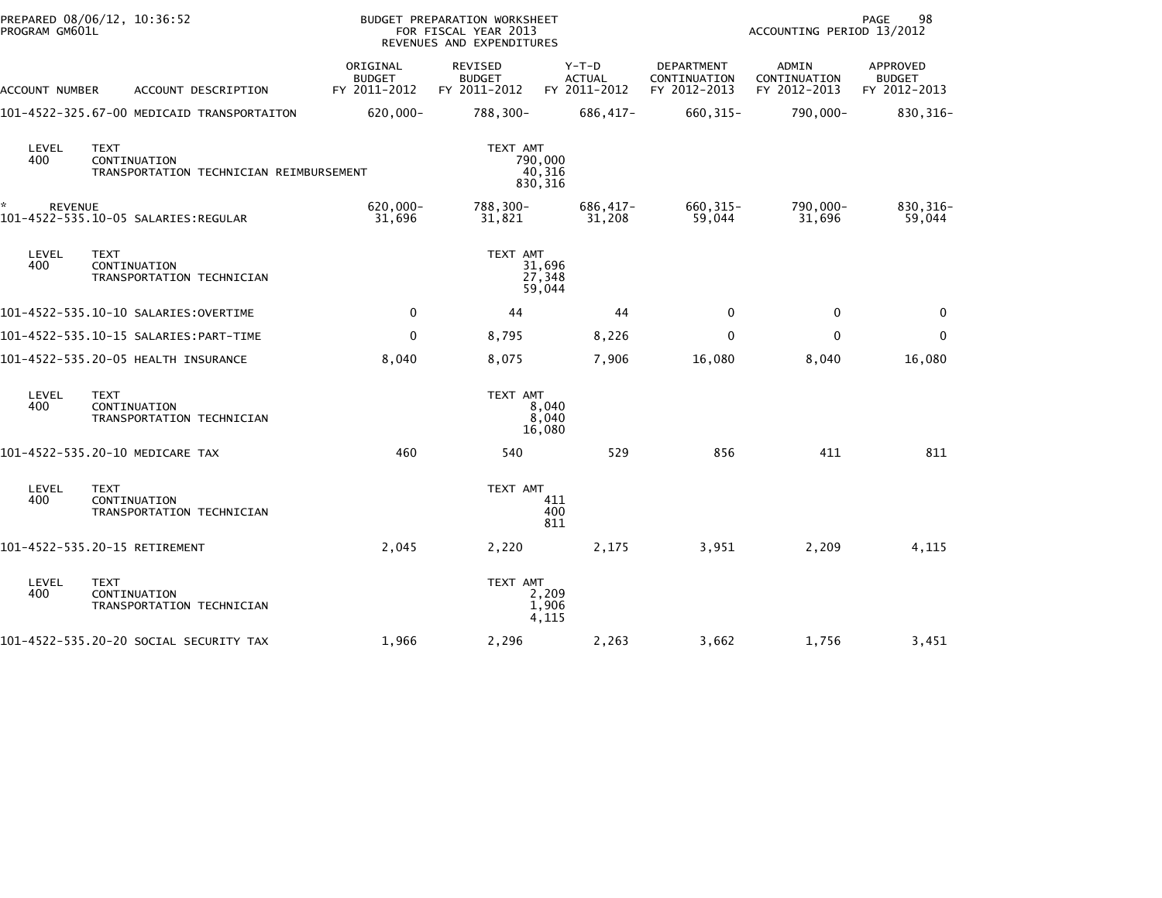| PROGRAM GM601L | PREPARED 08/06/12, 10:36:52                                            |                                           | BUDGET PREPARATION WORKSHEET<br>FOR FISCAL YEAR 2013<br>REVENUES AND EXPENDITURES |                                          | 98<br>PAGE<br>ACCOUNTING PERIOD 13/2012    |                                              |                                           |
|----------------|------------------------------------------------------------------------|-------------------------------------------|-----------------------------------------------------------------------------------|------------------------------------------|--------------------------------------------|----------------------------------------------|-------------------------------------------|
| ACCOUNT NUMBER | ACCOUNT DESCRIPTION                                                    | ORIGINAL<br><b>BUDGET</b><br>FY 2011-2012 | REVISED<br><b>BUDGET</b><br>FY 2011-2012                                          | $Y-T-D$<br><b>ACTUAL</b><br>FY 2011-2012 | DEPARTMENT<br>CONTINUATION<br>FY 2012-2013 | <b>ADMIN</b><br>CONTINUATION<br>FY 2012-2013 | APPROVED<br><b>BUDGET</b><br>FY 2012-2013 |
|                | 101-4522-325.67-00 MEDICAID TRANSPORTAITON                             | 620,000-                                  | 788,300-                                                                          | 686,417-                                 | 660, 315-                                  | 790,000-                                     | 830, 316-                                 |
| LEVEL<br>400   | <b>TEXT</b><br>CONTINUATION<br>TRANSPORTATION TECHNICIAN REIMBURSEMENT |                                           | TEXT AMT                                                                          | 790,000<br>40,316<br>830,316             |                                            |                                              |                                           |
| <b>REVENUE</b> | 101-4522-535.10-05 SALARIES: REGULAR                                   | 620,000-<br>31,696                        | 788,300-<br>31,821                                                                | 686,417-<br>31,208                       | 660, 315-<br>59,044                        | 790,000-<br>31,696                           | 830, 316-<br>59,044                       |
| LEVEL<br>400   | <b>TEXT</b><br>CONTINUATION<br>TRANSPORTATION TECHNICIAN               |                                           | TEXT AMT                                                                          | 31,696<br>27,348<br>59,044               |                                            |                                              |                                           |
|                | 101-4522-535.10-10 SALARIES:OVERTIME                                   | $\mathbf 0$                               | 44                                                                                | 44                                       | $\Omega$                                   | $\mathbf 0$                                  | 0                                         |
|                |                                                                        | 0                                         | 8,795                                                                             | 8,226                                    | $\mathbf 0$                                | $\mathbf 0$                                  | $\mathbf 0$                               |
|                | 101-4522-535.20-05 HEALTH INSURANCE                                    | 8,040                                     | 8,075                                                                             | 7,906                                    | 16,080                                     | 8,040                                        | 16,080                                    |
| LEVEL<br>400   | TEXT<br>CONTINUATION<br>TRANSPORTATION TECHNICIAN                      |                                           | TEXT AMT                                                                          | 8,040<br>8,040<br>16,080                 |                                            |                                              |                                           |
|                | 101-4522-535.20-10 MEDICARE TAX                                        | 460                                       | 540                                                                               | 529                                      | 856                                        | 411                                          | 811                                       |
| LEVEL<br>400   | <b>TEXT</b><br>CONTINUATION<br>TRANSPORTATION TECHNICIAN               |                                           | TEXT AMT                                                                          | 411<br>400<br>811                        |                                            |                                              |                                           |
|                | 101-4522-535.20-15 RETIREMENT                                          | 2,045                                     | 2,220                                                                             | 2,175                                    | 3,951                                      | 2,209                                        | 4,115                                     |
| LEVEL<br>400   | <b>TEXT</b><br>CONTINUATION<br>TRANSPORTATION TECHNICIAN               |                                           | TEXT AMT                                                                          | 2,209<br>1,906<br>4,115                  |                                            |                                              |                                           |
|                | 101-4522-535.20-20 SOCIAL SECURITY TAX                                 | 1,966                                     | 2,296                                                                             | 2,263                                    | 3,662                                      | 1,756                                        | 3,451                                     |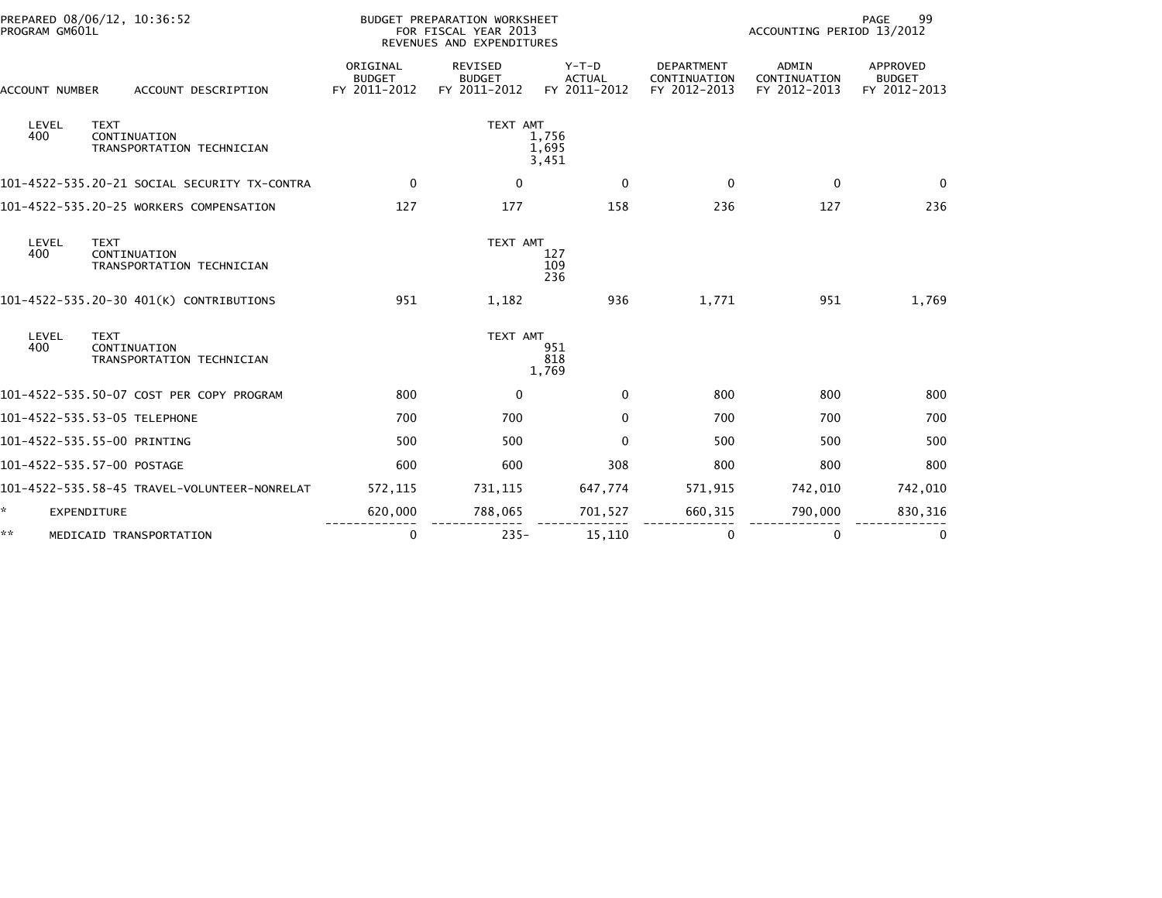| PROGRAM GM601L | PREPARED 08/06/12, 10:36:52                              |                                           | BUDGET PREPARATION WORKSHEET<br>FOR FISCAL YEAR 2013<br>REVENUES AND EXPENDITURES |                                          |                                                   | ACCOUNTING PERIOD 13/2012                    | 99<br>PAGE                                |
|----------------|----------------------------------------------------------|-------------------------------------------|-----------------------------------------------------------------------------------|------------------------------------------|---------------------------------------------------|----------------------------------------------|-------------------------------------------|
| ACCOUNT NUMBER | ACCOUNT DESCRIPTION                                      | ORIGINAL<br><b>BUDGET</b><br>FY 2011-2012 | REVISED<br><b>BUDGET</b><br>FY 2011-2012                                          | $Y-T-D$<br><b>ACTUAL</b><br>FY 2011-2012 | <b>DEPARTMENT</b><br>CONTINUATION<br>FY 2012-2013 | <b>ADMIN</b><br>CONTINUATION<br>FY 2012-2013 | APPROVED<br><b>BUDGET</b><br>FY 2012-2013 |
| LEVEL<br>400   | <b>TEXT</b><br>CONTINUATION<br>TRANSPORTATION TECHNICIAN |                                           | TEXT AMT                                                                          | 1,756<br>1,695<br>3,451                  |                                                   |                                              |                                           |
|                | 101-4522-535.20-21 SOCIAL SECURITY TX-CONTRA             | $\mathbf 0$                               | $\mathbf 0$                                                                       | $\mathbf{0}$                             | $\mathbf 0$                                       | $\mathbf 0$                                  | $\Omega$                                  |
|                | 101-4522-535.20-25 WORKERS COMPENSATION                  | 127                                       | 177                                                                               | 158                                      | 236                                               | 127                                          | 236                                       |
| LEVEL<br>400   | <b>TEXT</b><br>CONTINUATION<br>TRANSPORTATION TECHNICIAN |                                           | TEXT AMT                                                                          | 127<br>109<br>236                        |                                                   |                                              |                                           |
|                | 101-4522-535.20-30 401(K) CONTRIBUTIONS                  | 951                                       | 1,182                                                                             | 936                                      | 1,771                                             | 951                                          | 1,769                                     |
| LEVEL<br>400   | <b>TEXT</b><br>CONTINUATION<br>TRANSPORTATION TECHNICIAN |                                           | TEXT AMT                                                                          | 951<br>818<br>1,769                      |                                                   |                                              |                                           |
|                | 101-4522-535.50-07 COST PER COPY PROGRAM                 | 800                                       | $\mathbf 0$                                                                       | $\mathbf 0$                              | 800                                               | 800                                          | 800                                       |
|                | 101-4522-535.53-05 TELEPHONE                             | 700                                       | 700                                                                               | $\mathbf{0}$                             | 700                                               | 700                                          | 700                                       |
|                | 101-4522-535.55-00 PRINTING                              | 500                                       | 500                                                                               | $\Omega$                                 | 500                                               | 500                                          | 500                                       |
|                | 101-4522-535.57-00 POSTAGE                               | 600                                       | 600                                                                               | 308                                      | 800                                               | 800                                          | 800                                       |
|                | 101-4522-535.58-45 TRAVEL-VOLUNTEER-NONRELAT             | 572,115                                   | 731, 115                                                                          | 647,774                                  | 571,915                                           | 742,010                                      | 742,010                                   |
| ÷.             | EXPENDITURE                                              | 620,000                                   | 788,065                                                                           | 701,527                                  | 660, 315                                          | 790,000                                      | 830, 316                                  |
| **             | MEDICAID TRANSPORTATION                                  | 0                                         | $235 -$                                                                           | 15,110                                   | 0                                                 | 0                                            | 0                                         |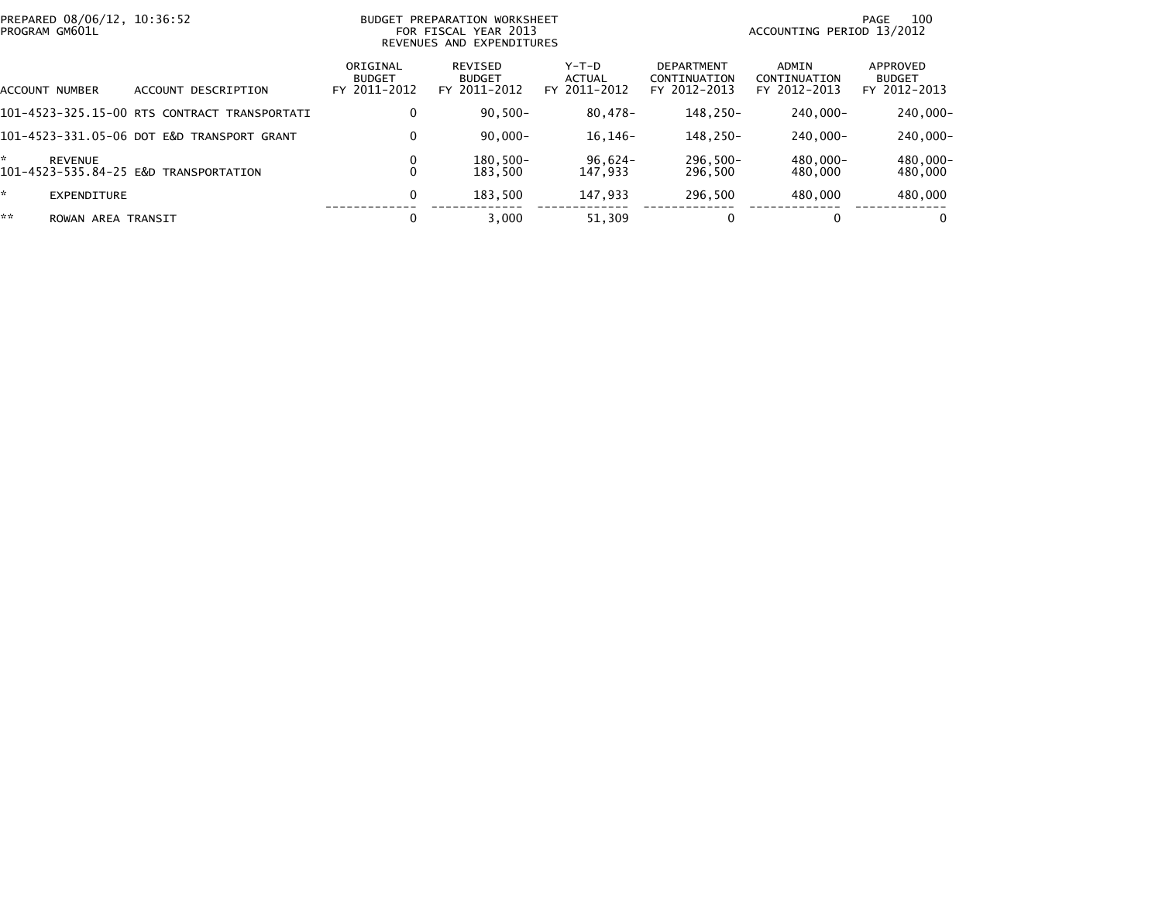| PREPARED 08/06/12, 10:36:52<br>PROGRAM GM601L |                                              |                                           | BUDGET PREPARATION WORKSHEET<br>FOR FISCAL YEAR 2013<br>REVENUES AND EXPENDITURES |                                 | 100<br>PAGE<br>ACCOUNTING PERIOD 13/2012          |                                       |                                           |
|-----------------------------------------------|----------------------------------------------|-------------------------------------------|-----------------------------------------------------------------------------------|---------------------------------|---------------------------------------------------|---------------------------------------|-------------------------------------------|
| ACCOUNT NUMBER                                | DESCRIPTION<br>ACCOUNT                       | ORIGINAL<br><b>BUDGET</b><br>FY 2011-2012 | REVISED<br><b>BUDGET</b><br>FY 2011-2012                                          | Y-T-D<br>ACTUAL<br>FY 2011-2012 | <b>DEPARTMENT</b><br>CONTINUATION<br>FY 2012-2013 | ADMIN<br>CONTINUATION<br>FY 2012-2013 | APPROVED<br><b>BUDGET</b><br>FY 2012-2013 |
|                                               | 101-4523-325.15-00 RTS CONTRACT TRANSPORTATI | 0                                         | $90,500 -$                                                                        | 80,478-                         | 148.250-                                          | 240.000-                              | 240,000-                                  |
|                                               | 101-4523-331.05-06 DOT E&D TRANSPORT GRANT   | $\mathbf 0$                               | 90.000-                                                                           | $16, 146 -$                     | 148.250-                                          | 240.000-                              | 240,000-                                  |
| *<br><b>REVENUE</b>                           | 101-4523-535.84-25 E&D TRANSPORTATION        |                                           | $180.500 -$<br>183.500                                                            | $96.624 -$<br>147.933           | $296.500 -$<br>296.500                            | 480.000-<br>480,000                   | 480.000-<br>480,000                       |
| ×.<br>EXPENDITURE                             |                                              | 0                                         | 183.500                                                                           | 147.933                         | 296.500                                           | 480.000                               | 480,000                                   |
| **<br>ROWAN AREA TRANSIT                      |                                              |                                           | 3.000                                                                             | 51.309                          |                                                   | $\bf{0}$                              | 0                                         |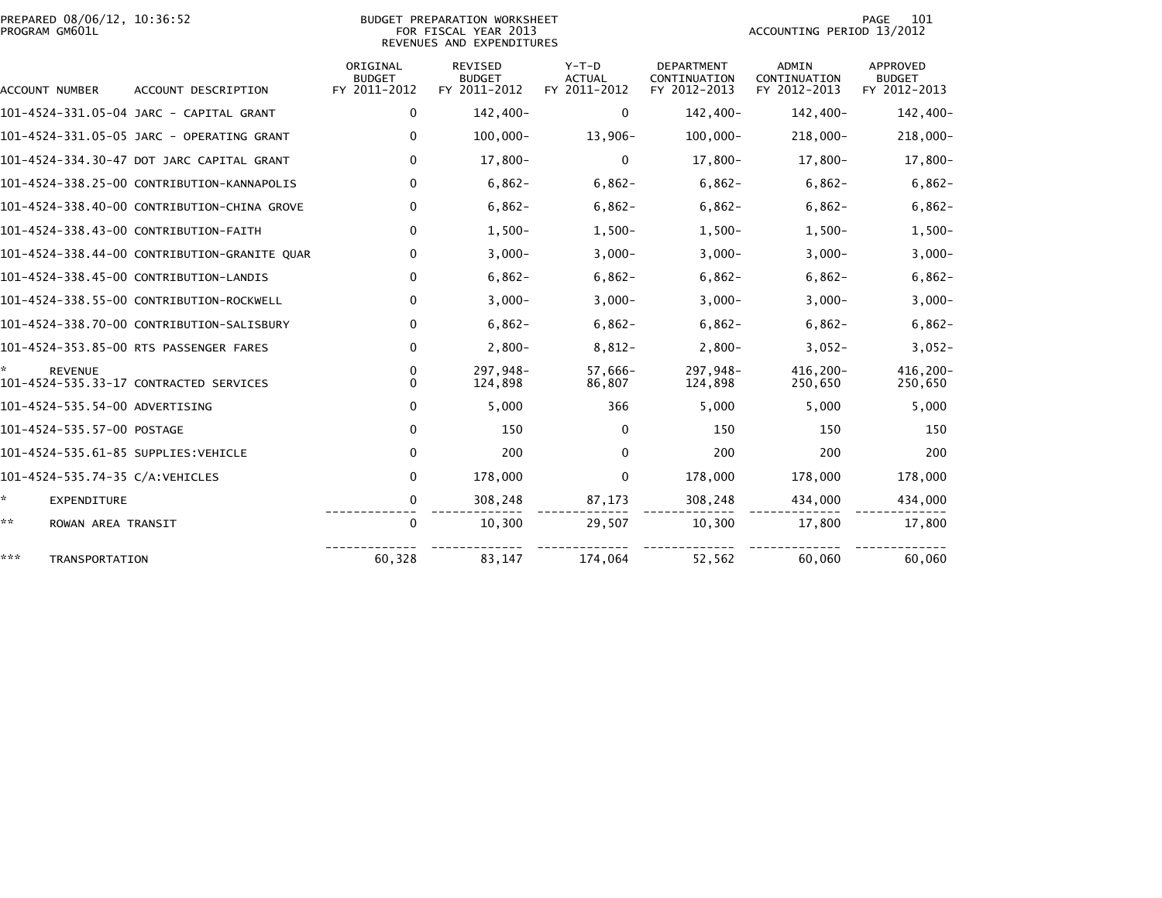## PREPARED 08/06/12, 10:36:52<br>PROGRAM GM601L

BUDGET PREPARATION WORKSHEET<br>FOR FISCAL YEAR 2013 REVENUES AND EXPENDITURES PAGE 101<br>ACCOUNTING PERIOD 13/2012

| <b>ACCOUNT NUMBER</b>                | ACCOUNT DESCRIPTION                          | ORIGINAL<br><b>BUDGET</b><br>FY 2011-2012 | <b>REVISED</b><br><b>BUDGET</b><br>FY 2011-2012 | $Y-T-D$<br><b>ACTUAL</b><br>FY 2011-2012 | DEPARTMENT<br>CONTINUATION<br>FY 2012-2013 | <b>ADMIN</b><br>CONTINUATION<br>FY 2012-2013 | <b>APPROVED</b><br><b>BUDGET</b><br>FY 2012-2013 |
|--------------------------------------|----------------------------------------------|-------------------------------------------|-------------------------------------------------|------------------------------------------|--------------------------------------------|----------------------------------------------|--------------------------------------------------|
|                                      | 101-4524-331.05-04 JARC - CAPITAL GRANT      | $\mathbf 0$                               | 142,400-                                        | 0                                        | 142,400-                                   | 142,400-                                     | 142,400-                                         |
|                                      | 101-4524-331.05-05 JARC - OPERATING GRANT    | 0                                         | $100,000 -$                                     | $13,906-$                                | $100,000 -$                                | 218,000-                                     | $218,000 -$                                      |
|                                      | 101-4524-334.30-47 DOT JARC CAPITAL GRANT    | $\mathbf 0$                               | $17,800-$                                       | $\mathbf{0}$                             | $17,800-$                                  | 17,800-                                      | $17,800-$                                        |
|                                      | 101-4524-338.25-00 CONTRIBUTION-KANNAPOLIS   | 0                                         | $6,862-$                                        | $6,862-$                                 | $6,862-$                                   | $6,862-$                                     | $6,862-$                                         |
|                                      | 101-4524-338.40-00 CONTRIBUTION-CHINA GROVE  | 0                                         | $6,862-$                                        | $6,862-$                                 | $6,862-$                                   | $6,862-$                                     | $6,862-$                                         |
|                                      | 101-4524-338.43-00 CONTRIBUTION-FAITH        | $\Omega$                                  | $1,500-$                                        | $1,500-$                                 | $1,500-$                                   | $1,500-$                                     | $1,500-$                                         |
|                                      | 101-4524-338.44-00 CONTRIBUTION-GRANITE QUAR | 0                                         | $3,000-$                                        | $3,000-$                                 | $3,000-$                                   | $3,000-$                                     | $3,000-$                                         |
|                                      | 101-4524-338.45-00 CONTRIBUTION-LANDIS       | 0                                         | $6,862-$                                        | $6,862-$                                 | $6,862-$                                   | $6,862-$                                     | $6,862-$                                         |
|                                      | 101-4524-338.55-00 CONTRIBUTION-ROCKWELL     | 0                                         | $3,000-$                                        | $3,000-$                                 | $3,000-$                                   | $3,000-$                                     | $3,000-$                                         |
|                                      | 101-4524-338.70-00 CONTRIBUTION-SALISBURY    | 0                                         | $6,862-$                                        | $6,862-$                                 | $6,862-$                                   | $6,862-$                                     | $6,862-$                                         |
|                                      | 101-4524-353.85-00 RTS PASSENGER FARES       | 0                                         | $2,800-$                                        | $8,812-$                                 | $2,800-$                                   | $3,052-$                                     | $3,052-$                                         |
| <b>REVENUE</b>                       | 101-4524-535.33-17 CONTRACTED SERVICES       | 0<br>$\Omega$                             | 297,948-<br>124.898                             | 57,666-<br>86,807                        | 297,948-<br>124,898                        | 416,200-<br>250,650                          | 416,200-<br>250,650                              |
| 101-4524-535.54-00 ADVERTISING       |                                              | $\mathbf{0}$                              | 5,000                                           | 366                                      | 5,000                                      | 5,000                                        | 5,000                                            |
| 101-4524-535.57-00 POSTAGE           |                                              | 0                                         | 150                                             | 0                                        | 150                                        | 150                                          | 150                                              |
| 101-4524-535.61-85 SUPPLIES: VEHICLE |                                              | 0                                         | 200                                             | 0                                        | 200                                        | 200                                          | 200                                              |
| 101-4524-535.74-35 C/A: VEHICLES     |                                              | 0                                         | 178,000                                         | 0                                        | 178,000                                    | 178,000                                      | 178,000                                          |
| $\mathcal{H}^{\pm}$<br>EXPENDITURE   |                                              | 0                                         | 308,248                                         | 87,173                                   | 308,248                                    | 434,000                                      | 434,000                                          |
| **<br>ROWAN AREA TRANSIT             |                                              | $\mathbf{0}$                              | 10,300                                          | 29,507                                   | 10,300                                     | 17,800                                       | 17,800                                           |
| ***<br><b>TRANSPORTATION</b>         |                                              | 60,328                                    | 83,147                                          | 174,064                                  | 52,562                                     | 60,060                                       | 60,060                                           |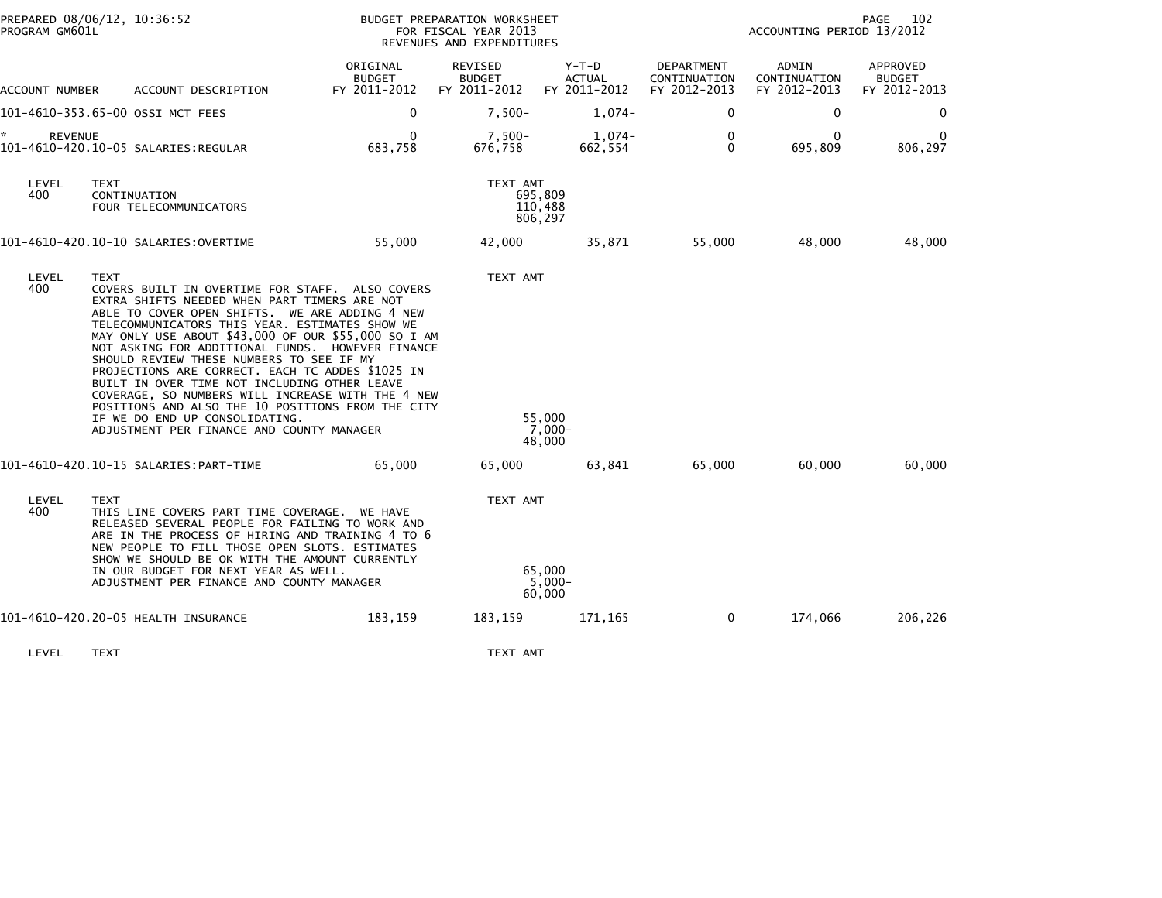| PROGRAM GM601L       | PREPARED 08/06/12, 10:36:52                                                                                                                                                                                                                                                                                                                                                                                                                                                                                                                                                                                                                                            |                                           | BUDGET PREPARATION WORKSHEET<br>FOR FISCAL YEAR 2013<br>REVENUES AND EXPENDITURES |                                          |                                            | 102<br>PAGE<br>ACCOUNTING PERIOD 13/2012 |                                           |  |
|----------------------|------------------------------------------------------------------------------------------------------------------------------------------------------------------------------------------------------------------------------------------------------------------------------------------------------------------------------------------------------------------------------------------------------------------------------------------------------------------------------------------------------------------------------------------------------------------------------------------------------------------------------------------------------------------------|-------------------------------------------|-----------------------------------------------------------------------------------|------------------------------------------|--------------------------------------------|------------------------------------------|-------------------------------------------|--|
| ACCOUNT NUMBER       | ACCOUNT DESCRIPTION                                                                                                                                                                                                                                                                                                                                                                                                                                                                                                                                                                                                                                                    | ORIGINAL<br><b>BUDGET</b><br>FY 2011-2012 | REVISED<br><b>BUDGET</b><br>FY 2011-2012                                          | $Y-T-D$<br><b>ACTUAL</b><br>FY 2011-2012 | DEPARTMENT<br>CONTINUATION<br>FY 2012-2013 | ADMIN<br>CONTINUATION<br>FY 2012-2013    | APPROVED<br><b>BUDGET</b><br>FY 2012-2013 |  |
|                      | 101-4610-353.65-00 OSSI MCT FEES                                                                                                                                                                                                                                                                                                                                                                                                                                                                                                                                                                                                                                       | 0                                         | $7,500-$                                                                          | $1,074-$                                 | 0                                          | 0                                        | 0                                         |  |
| *.<br><b>REVENUE</b> |                                                                                                                                                                                                                                                                                                                                                                                                                                                                                                                                                                                                                                                                        | 0<br>683,758                              | $7,500-$<br>676,758                                                               | $1,074-$<br>662,554                      | 0<br>$\mathbf{0}$                          | $\Omega$<br>695,809                      | 806,297                                   |  |
| LEVEL<br>400         | TEXT<br>CONTINUATION<br>FOUR TELECOMMUNICATORS                                                                                                                                                                                                                                                                                                                                                                                                                                                                                                                                                                                                                         |                                           | TEXT AMT                                                                          | 695,809<br>110,488<br>806,297            |                                            |                                          |                                           |  |
|                      |                                                                                                                                                                                                                                                                                                                                                                                                                                                                                                                                                                                                                                                                        | 55,000                                    | 42,000                                                                            | 35,871                                   | 55,000                                     | 48,000                                   | 48,000                                    |  |
| LEVEL<br>400         | <b>TEXT</b><br>COVERS BUILT IN OVERTIME FOR STAFF. ALSO COVERS<br>EXTRA SHIFTS NEEDED WHEN PART TIMERS ARE NOT<br>ABLE TO COVER OPEN SHIFTS. WE ARE ADDING 4 NEW<br>TELECOMMUNICATORS THIS YEAR. ESTIMATES SHOW WE<br>MAY ONLY USE ABOUT \$43,000 OF OUR \$55,000 SO I AM<br>NOT ASKING FOR ADDITIONAL FUNDS. HOWEVER FINANCE<br>SHOULD REVIEW THESE NUMBERS TO SEE IF MY<br>PROJECTIONS ARE CORRECT. EACH TC ADDES \$1025 IN<br>BUILT IN OVER TIME NOT INCLUDING OTHER LEAVE<br>COVERAGE, SO NUMBERS WILL INCREASE WITH THE 4 NEW<br>POSITIONS AND ALSO THE 10 POSITIONS FROM THE CITY<br>IF WE DO END UP CONSOLIDATING.<br>ADJUSTMENT PER FINANCE AND COUNTY MANAGER |                                           | TEXT AMT                                                                          | 55,000<br>7,000-<br>48,000               |                                            |                                          |                                           |  |
|                      |                                                                                                                                                                                                                                                                                                                                                                                                                                                                                                                                                                                                                                                                        | 65,000                                    | 65,000                                                                            | 63,841                                   | 65,000                                     | 60,000                                   | 60,000                                    |  |
| LEVEL<br>400         | <b>TEXT</b><br>THIS LINE COVERS PART TIME COVERAGE. WE HAVE<br>RELEASED SEVERAL PEOPLE FOR FAILING TO WORK AND<br>ARE IN THE PROCESS OF HIRING AND TRAINING 4 TO 6<br>NEW PEOPLE TO FILL THOSE OPEN SLOTS. ESTIMATES<br>SHOW WE SHOULD BE OK WITH THE AMOUNT CURRENTLY<br>IN OUR BUDGET FOR NEXT YEAR AS WELL.<br>ADJUSTMENT PER FINANCE AND COUNTY MANAGER                                                                                                                                                                                                                                                                                                            |                                           | TEXT AMT                                                                          | 65,000<br>$5.000 -$<br>60,000            |                                            |                                          |                                           |  |
|                      | 101-4610-420.20-05 HEALTH INSURANCE                                                                                                                                                                                                                                                                                                                                                                                                                                                                                                                                                                                                                                    | 183,159                                   | 183,159                                                                           | 171,165                                  | 0                                          | 174,066                                  | 206,226                                   |  |
| LEVEL                | <b>TEXT</b>                                                                                                                                                                                                                                                                                                                                                                                                                                                                                                                                                                                                                                                            |                                           | TEXT AMT                                                                          |                                          |                                            |                                          |                                           |  |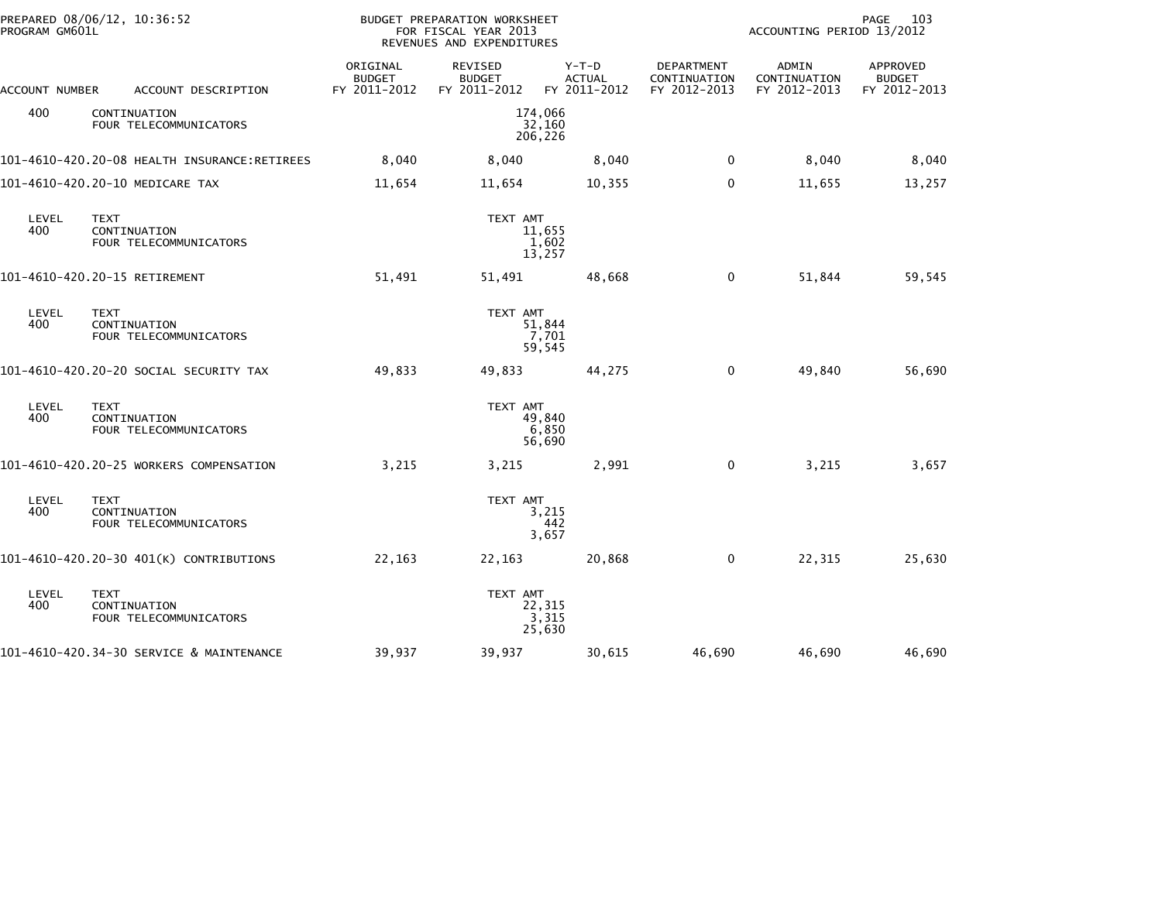| PROGRAM GM601L | PREPARED 08/06/12, 10:36:52<br><b>BUDGET PREPARATION WORKSHEET</b><br>FOR FISCAL YEAR 2013<br>REVENUES AND EXPENDITURES |                                           |                                          |                                        | PAGE<br>103<br>ACCOUNTING PERIOD 13/2012   |                                       |                                           |
|----------------|-------------------------------------------------------------------------------------------------------------------------|-------------------------------------------|------------------------------------------|----------------------------------------|--------------------------------------------|---------------------------------------|-------------------------------------------|
| ACCOUNT NUMBER | ACCOUNT DESCRIPTION                                                                                                     | ORIGINAL<br><b>BUDGET</b><br>FY 2011-2012 | REVISED<br><b>BUDGET</b><br>FY 2011-2012 | Y-T-D<br><b>ACTUAL</b><br>FY 2011-2012 | DEPARTMENT<br>CONTINUATION<br>FY 2012-2013 | ADMIN<br>CONTINUATION<br>FY 2012-2013 | APPROVED<br><b>BUDGET</b><br>FY 2012-2013 |
| 400            | CONTINUATION<br>FOUR TELECOMMUNICATORS                                                                                  | 174,066<br>32,160<br>206,226              |                                          |                                        |                                            |                                       |                                           |
|                |                                                                                                                         | 8,040                                     | 8,040                                    | 8,040                                  | 0                                          | 8,040                                 | 8,040                                     |
|                | 101-4610-420.20-10 MEDICARE TAX                                                                                         | 11,654                                    | 11,654                                   | 10,355                                 | 0                                          | 11,655                                | 13,257                                    |
| LEVEL<br>400   | <b>TEXT</b><br>CONTINUATION<br>FOUR TELECOMMUNICATORS                                                                   |                                           | TEXT AMT                                 | 11,655<br>1,602<br>13,257              |                                            |                                       |                                           |
|                | 101-4610-420.20-15 RETIREMENT                                                                                           | 51,491                                    | 51,491                                   | 48,668                                 | $\mathbf 0$                                | 51,844                                | 59,545                                    |
| LEVEL<br>400   | <b>TEXT</b><br>CONTINUATION<br>FOUR TELECOMMUNICATORS                                                                   |                                           | TEXT AMT                                 | 51,844<br>7,701<br>59,545              |                                            |                                       |                                           |
|                | 101-4610-420.20-20 SOCIAL SECURITY TAX                                                                                  | 49,833                                    | 49,833                                   | 44,275                                 | $\mathbf 0$                                | 49,840                                | 56,690                                    |
| LEVEL<br>400   | <b>TEXT</b><br>CONTINUATION<br>FOUR TELECOMMUNICATORS                                                                   |                                           | TEXT AMT                                 | 49,840<br>6,850<br>56,690              |                                            |                                       |                                           |
|                | 101-4610-420.20-25 WORKERS COMPENSATION                                                                                 | 3,215                                     | 3,215                                    | 2,991                                  | 0                                          | 3,215                                 | 3,657                                     |
| LEVEL<br>400   | <b>TEXT</b><br>CONTINUATION<br>FOUR TELECOMMUNICATORS                                                                   |                                           | TEXT AMT                                 | 3,215<br>442<br>3,657                  |                                            |                                       |                                           |
|                | 101-4610-420.20-30 401(K) CONTRIBUTIONS                                                                                 | 22,163                                    | 22,163                                   | 20,868                                 | 0                                          | 22,315                                | 25,630                                    |
| LEVEL<br>400   | <b>TEXT</b><br>CONTINUATION<br>FOUR TELECOMMUNICATORS                                                                   |                                           | TEXT AMT                                 | 22,315<br>3,315<br>25,630              |                                            |                                       |                                           |
|                | 101-4610-420.34-30 SERVICE & MAINTENANCE                                                                                | 39,937                                    | 39,937                                   | 30,615                                 | 46,690                                     | 46,690                                | 46,690                                    |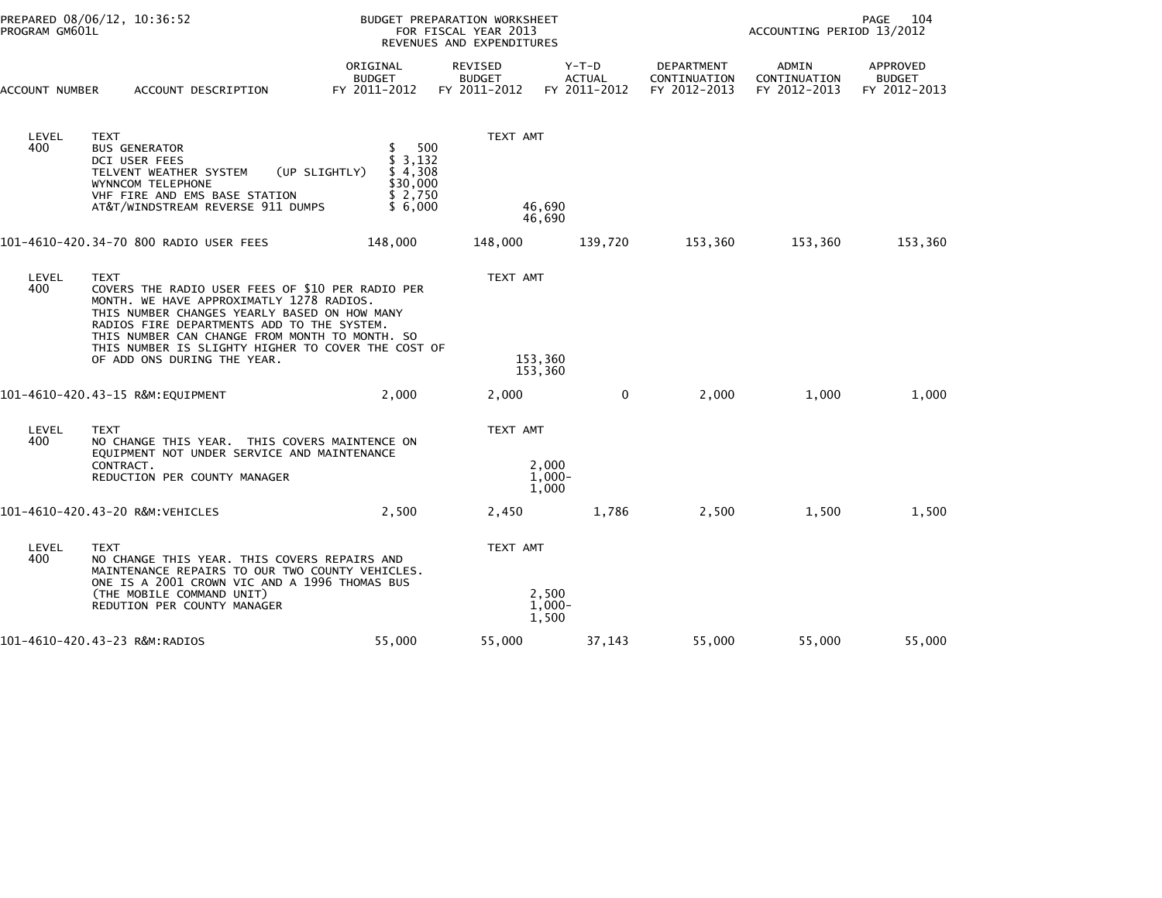| PROGRAM GM601L | PREPARED 08/06/12, 10:36:52                                                                                                                                                                                                                                                                                                                      | <b>BUDGET PREPARATION WORKSHEET</b><br>FOR FISCAL YEAR 2013<br>REVENUES AND EXPENDITURES |                                          |                                          |                                            | 104<br>PAGE<br>ACCOUNTING PERIOD 13/2012 |                                           |
|----------------|--------------------------------------------------------------------------------------------------------------------------------------------------------------------------------------------------------------------------------------------------------------------------------------------------------------------------------------------------|------------------------------------------------------------------------------------------|------------------------------------------|------------------------------------------|--------------------------------------------|------------------------------------------|-------------------------------------------|
| ACCOUNT NUMBER | ACCOUNT DESCRIPTION                                                                                                                                                                                                                                                                                                                              | ORIGINAL<br><b>BUDGET</b><br>FY 2011-2012                                                | REVISED<br><b>BUDGET</b><br>FY 2011-2012 | $Y-T-D$<br><b>ACTUAL</b><br>FY 2011-2012 | DEPARTMENT<br>CONTINUATION<br>FY 2012-2013 | ADMIN<br>CONTINUATION<br>FY 2012-2013    | APPROVED<br><b>BUDGET</b><br>FY 2012-2013 |
| LEVEL<br>400   | <b>TEXT</b><br><b>BUS GENERATOR</b><br>DCI USER FEES<br>TELVENT WEATHER SYSTEM<br>WYNNCOM TELEPHONE<br>VHF FIRE AND EMS BASE STATION<br>AT&T/WINDSTREAM REVERSE 911 DUMPS                                                                                                                                                                        | 500<br>\$3,132<br>\$4,308<br>(UP SLIGHTLY)<br>\$30,000<br>\$2,750<br>\$6,000             | TEXT AMT<br>46,690                       |                                          |                                            |                                          |                                           |
|                |                                                                                                                                                                                                                                                                                                                                                  |                                                                                          | 46.690                                   |                                          |                                            |                                          |                                           |
|                | 101-4610-420.34-70 800 RADIO USER FEES                                                                                                                                                                                                                                                                                                           | 148,000                                                                                  | 148,000                                  | 139,720                                  | 153,360                                    | 153,360                                  | 153,360                                   |
| LEVEL<br>400   | <b>TEXT</b><br>COVERS THE RADIO USER FEES OF \$10 PER RADIO PER<br>MONTH, WE HAVE APPROXIMATLY 1278 RADIOS.<br>THIS NUMBER CHANGES YEARLY BASED ON HOW MANY<br>RADIOS FIRE DEPARTMENTS ADD TO THE SYSTEM.<br>THIS NUMBER CAN CHANGE FROM MONTH TO MONTH. SO<br>THIS NUMBER IS SLIGHTY HIGHER TO COVER THE COST OF<br>OF ADD ONS DURING THE YEAR. |                                                                                          | TEXT AMT<br>153,360<br>153,360           |                                          |                                            |                                          |                                           |
|                | 101-4610-420.43-15 R&M:EQUIPMENT                                                                                                                                                                                                                                                                                                                 | 2.000                                                                                    | 2,000                                    | $\mathbf{0}$                             | 2,000                                      | 1.000                                    | 1,000                                     |
| LEVEL<br>400   | <b>TEXT</b><br>NO CHANGE THIS YEAR. THIS COVERS MAINTENCE ON<br>EQUIPMENT NOT UNDER SERVICE AND MAINTENANCE<br>CONTRACT.<br>REDUCTION PER COUNTY MANAGER                                                                                                                                                                                         |                                                                                          | TEXT AMT<br>2,000<br>$1,000 -$<br>1,000  |                                          |                                            |                                          |                                           |
|                | 101-4610-420.43-20 R&M:VEHICLES                                                                                                                                                                                                                                                                                                                  | 2,500                                                                                    | 2,450                                    | 1,786                                    | 2,500                                      | 1,500                                    | 1,500                                     |
| LEVEL<br>400   | <b>TEXT</b><br>NO CHANGE THIS YEAR. THIS COVERS REPAIRS AND<br>MAINTENANCE REPAIRS TO OUR TWO COUNTY VEHICLES.<br>ONE IS A 2001 CROWN VIC AND A 1996 THOMAS BUS<br>(THE MOBILE COMMAND UNIT)<br>REDUTION PER COUNTY MANAGER                                                                                                                      |                                                                                          | TEXT AMT<br>2,500<br>$1,000-$<br>1,500   |                                          |                                            |                                          |                                           |
|                | 101-4610-420.43-23 R&M:RADIOS                                                                                                                                                                                                                                                                                                                    | 55,000                                                                                   | 55,000                                   | 37,143                                   | 55,000                                     | 55,000                                   | 55,000                                    |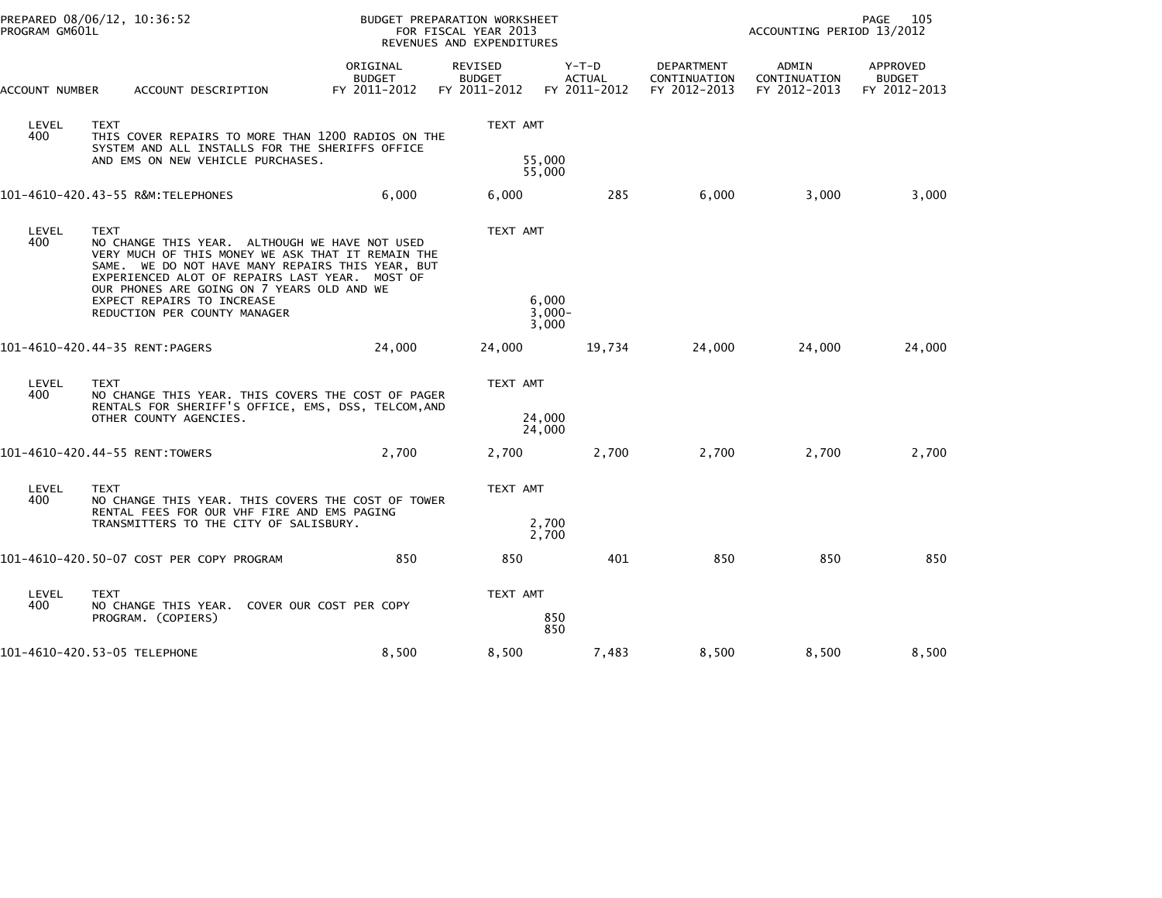| PROGRAM GM601L | PREPARED 08/06/12, 10:36:52                                                                                                                                                                                                                                            | BUDGET PREPARATION WORKSHEET<br>FOR FISCAL YEAR 2013<br>REVENUES AND EXPENDITURES |                                                 |                                          |                                            | PAGE<br>ACCOUNTING PERIOD 13/2012     |                                                  |  |
|----------------|------------------------------------------------------------------------------------------------------------------------------------------------------------------------------------------------------------------------------------------------------------------------|-----------------------------------------------------------------------------------|-------------------------------------------------|------------------------------------------|--------------------------------------------|---------------------------------------|--------------------------------------------------|--|
| ACCOUNT NUMBER | ACCOUNT DESCRIPTION                                                                                                                                                                                                                                                    | ORIGINAL<br><b>BUDGET</b><br>FY 2011-2012                                         | <b>REVISED</b><br><b>BUDGET</b><br>FY 2011-2012 | $Y-T-D$<br><b>ACTUAL</b><br>FY 2011-2012 | DEPARTMENT<br>CONTINUATION<br>FY 2012-2013 | ADMIN<br>CONTINUATION<br>FY 2012-2013 | <b>APPROVED</b><br><b>BUDGET</b><br>FY 2012-2013 |  |
| LEVEL<br>400   | <b>TEXT</b><br>THIS COVER REPAIRS TO MORE THAN 1200 RADIOS ON THE<br>SYSTEM AND ALL INSTALLS FOR THE SHERIFFS OFFICE<br>AND EMS ON NEW VEHICLE PURCHASES.                                                                                                              |                                                                                   | TEXT AMT<br>55,000<br>55,000                    |                                          |                                            |                                       |                                                  |  |
|                |                                                                                                                                                                                                                                                                        | 6,000                                                                             | 6,000                                           | 285                                      | 6,000                                      | 3,000                                 | 3,000                                            |  |
| LEVEL<br>400   | <b>TEXT</b><br>NO CHANGE THIS YEAR. ALTHOUGH WE HAVE NOT USED<br>VERY MUCH OF THIS MONEY WE ASK THAT IT REMAIN THE<br>SAME. WE DO NOT HAVE MANY REPAIRS THIS YEAR, BUT<br>EXPERIENCED ALOT OF REPAIRS LAST YEAR. MOST OF<br>OUR PHONES ARE GOING ON 7 YEARS OLD AND WE |                                                                                   | TEXT AMT                                        |                                          |                                            |                                       |                                                  |  |
|                | EXPECT REPAIRS TO INCREASE<br>REDUCTION PER COUNTY MANAGER                                                                                                                                                                                                             |                                                                                   | 6.000<br>$3,000 -$<br>3,000                     |                                          |                                            |                                       |                                                  |  |
|                | 101-4610-420.44-35 RENT:PAGERS                                                                                                                                                                                                                                         | 24,000                                                                            | 24,000                                          | 19,734                                   | 24,000                                     | 24,000                                | 24,000                                           |  |
| LEVEL<br>400   | <b>TEXT</b><br>NO CHANGE THIS YEAR. THIS COVERS THE COST OF PAGER<br>RENTALS FOR SHERIFF'S OFFICE, EMS, DSS, TELCOM, AND                                                                                                                                               |                                                                                   | TEXT AMT                                        |                                          |                                            |                                       |                                                  |  |
|                | OTHER COUNTY AGENCIES.                                                                                                                                                                                                                                                 |                                                                                   | 24,000<br>24,000                                |                                          |                                            |                                       |                                                  |  |
|                | 101-4610-420.44-55 RENT:TOWERS                                                                                                                                                                                                                                         | 2,700                                                                             | 2,700                                           | 2,700                                    | 2,700                                      | 2,700                                 | 2,700                                            |  |
| LEVEL<br>400   | <b>TEXT</b><br>NO CHANGE THIS YEAR. THIS COVERS THE COST OF TOWER<br>RENTAL FEES FOR OUR VHF FIRE AND EMS PAGING                                                                                                                                                       |                                                                                   | TEXT AMT                                        |                                          |                                            |                                       |                                                  |  |
|                | TRANSMITTERS TO THE CITY OF SALISBURY.                                                                                                                                                                                                                                 |                                                                                   | 2,700<br>2,700                                  |                                          |                                            |                                       |                                                  |  |
|                | 101-4610-420.50-07 COST PER COPY PROGRAM                                                                                                                                                                                                                               | 850                                                                               | 850                                             | 401                                      | 850                                        | 850                                   | 850                                              |  |
| LEVEL<br>400   | TEXT<br>NO CHANGE THIS YEAR.<br>PROGRAM. (COPIERS)                                                                                                                                                                                                                     | COVER OUR COST PER COPY                                                           | TEXT AMT<br>850<br>850                          |                                          |                                            |                                       |                                                  |  |
|                | 101-4610-420.53-05 TELEPHONE                                                                                                                                                                                                                                           | 8,500                                                                             | 8,500                                           | 7,483                                    | 8,500                                      | 8,500                                 | 8,500                                            |  |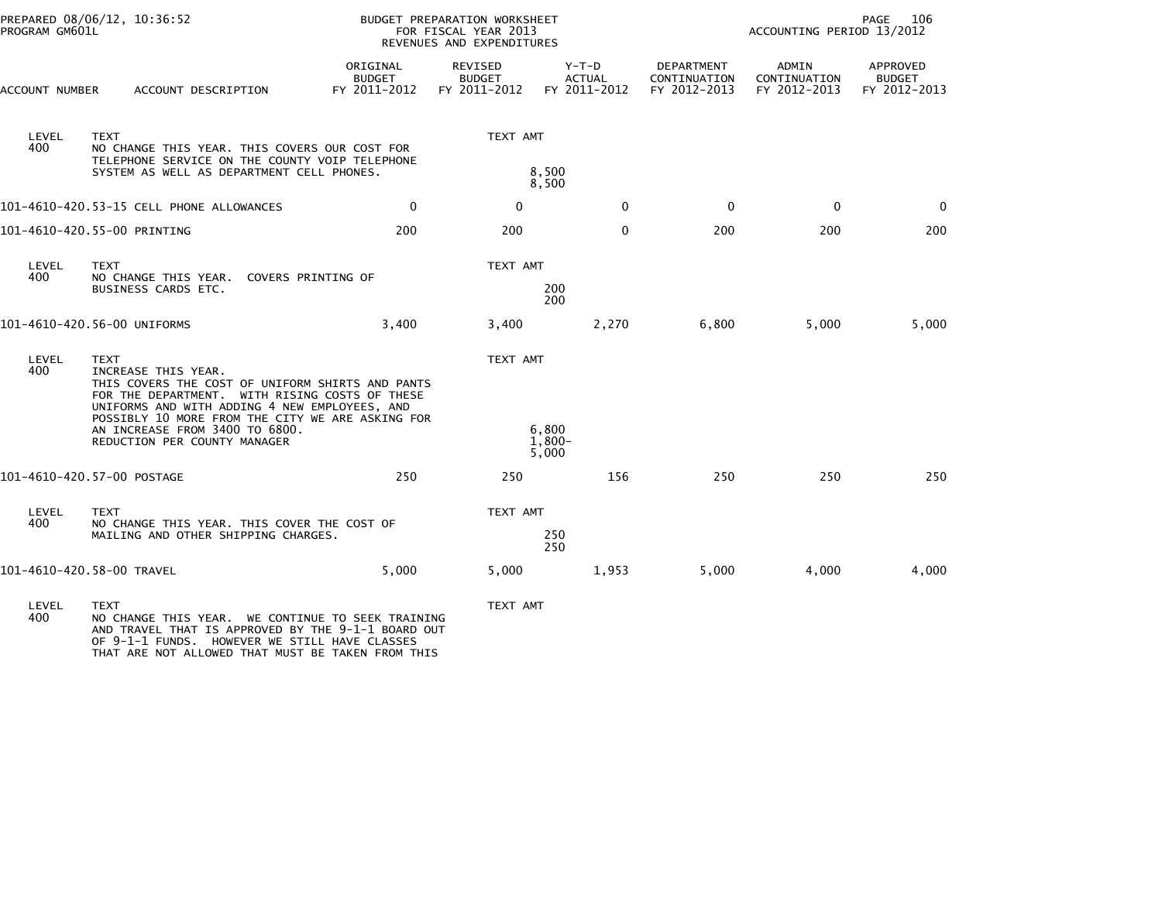| PROGRAM GM601L | PREPARED 08/06/12, 10:36:52                                                                                                                                                                                                                                                                                     |                                           | BUDGET PREPARATION WORKSHEET<br>FOR FISCAL YEAR 2013<br>REVENUES AND EXPENDITURES |                                        |                                            | PAGE<br>106<br>ACCOUNTING PERIOD 13/2012 |                                           |  |
|----------------|-----------------------------------------------------------------------------------------------------------------------------------------------------------------------------------------------------------------------------------------------------------------------------------------------------------------|-------------------------------------------|-----------------------------------------------------------------------------------|----------------------------------------|--------------------------------------------|------------------------------------------|-------------------------------------------|--|
| ACCOUNT NUMBER | ACCOUNT DESCRIPTION                                                                                                                                                                                                                                                                                             | ORIGINAL<br><b>BUDGET</b><br>FY 2011-2012 | REVISED<br><b>BUDGET</b><br>FY 2011-2012                                          | Y-T-D<br><b>ACTUAL</b><br>FY 2011-2012 | DEPARTMENT<br>CONTINUATION<br>FY 2012-2013 | ADMIN<br>CONTINUATION<br>FY 2012-2013    | APPROVED<br><b>BUDGET</b><br>FY 2012-2013 |  |
| LEVEL<br>400   | <b>TEXT</b><br>NO CHANGE THIS YEAR. THIS COVERS OUR COST FOR<br>TELEPHONE SERVICE ON THE COUNTY VOIP TELEPHONE<br>SYSTEM AS WELL AS DEPARTMENT CELL PHONES.                                                                                                                                                     |                                           | TEXT AMT                                                                          | 8,500<br>8,500                         |                                            |                                          |                                           |  |
|                | 101-4610-420.53-15 CELL PHONE ALLOWANCES                                                                                                                                                                                                                                                                        | $\mathbf{0}$                              | $\Omega$                                                                          | $\Omega$                               | $\Omega$                                   | $\mathbf{0}$                             | $\Omega$                                  |  |
|                | 101-4610-420.55-00 PRINTING                                                                                                                                                                                                                                                                                     | 200                                       | 200                                                                               | $\mathbf{0}$                           | 200                                        | 200                                      | 200                                       |  |
| LEVEL<br>400   | <b>TEXT</b><br>NO CHANGE THIS YEAR. COVERS PRINTING OF<br>BUSINESS CARDS ETC.                                                                                                                                                                                                                                   |                                           | TEXT AMT                                                                          | 200<br>200                             |                                            |                                          |                                           |  |
|                | 101-4610-420.56-00 UNIFORMS                                                                                                                                                                                                                                                                                     | 3,400                                     | 3,400                                                                             | 2,270                                  | 6,800                                      | 5,000                                    | 5,000                                     |  |
| LEVEL<br>400   | <b>TEXT</b><br>INCREASE THIS YEAR.<br>THIS COVERS THE COST OF UNIFORM SHIRTS AND PANTS<br>FOR THE DEPARTMENT. WITH RISING COSTS OF THESE<br>UNIFORMS AND WITH ADDING 4 NEW EMPLOYEES, AND<br>POSSIBLY 10 MORE FROM THE CITY WE ARE ASKING FOR<br>AN INCREASE FROM 3400 TO 6800.<br>REDUCTION PER COUNTY MANAGER |                                           | TEXT AMT                                                                          | 6,800<br>$1,800-$<br>5,000             |                                            |                                          |                                           |  |
|                | 101-4610-420.57-00 POSTAGE                                                                                                                                                                                                                                                                                      | 250                                       | 250                                                                               | 156                                    | 250                                        | 250                                      | 250                                       |  |
| LEVEL<br>400   | <b>TEXT</b><br>NO CHANGE THIS YEAR. THIS COVER THE COST OF<br>MAILING AND OTHER SHIPPING CHARGES.                                                                                                                                                                                                               |                                           | TEXT AMT                                                                          | 250<br>250                             |                                            |                                          |                                           |  |
|                | 101-4610-420.58-00 TRAVEL                                                                                                                                                                                                                                                                                       | 5.000                                     | 5,000                                                                             | 1,953                                  | 5,000                                      | 4,000                                    | 4,000                                     |  |
| LEVEL<br>400   | <b>TEXT</b><br>NO CHANGE THIS YEAR. WE CONTINUE TO SEEK TRAINING<br>AND TRAVEL THAT IS APPROVED BY THE 9-1-1 BOARD OUT<br>OF 9-1-1 FUNDS HOWEVER WE STILL HAVE CLASSES                                                                                                                                          |                                           | TEXT AMT                                                                          |                                        |                                            |                                          |                                           |  |

OF 9-1-1 FUNDS. HOWEVER WE STILL HAVE CLASSES THAT ARE NOT ALLOWED THAT MUST BE TAKEN FROM THIS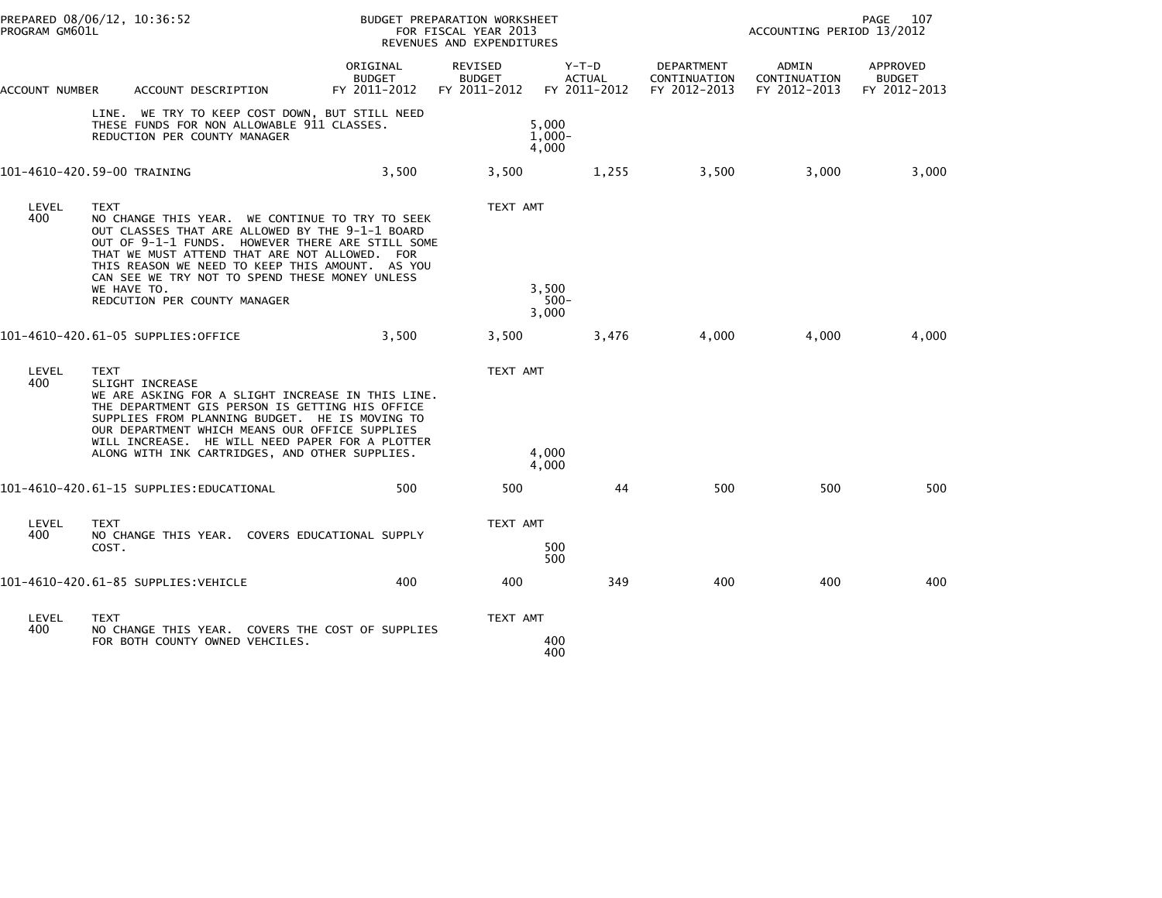| PREPARED 08/06/12, 10:36:52<br>PROGRAM GM601L |                                                                                                                                                                                                                                                                                                                                                                            |                                           | BUDGET PREPARATION WORKSHEET<br>FOR FISCAL YEAR 2013<br>REVENUES AND EXPENDITURES |                                        |                                            | PAGE<br>ACCOUNTING PERIOD 13/2012     |                                           |  |
|-----------------------------------------------|----------------------------------------------------------------------------------------------------------------------------------------------------------------------------------------------------------------------------------------------------------------------------------------------------------------------------------------------------------------------------|-------------------------------------------|-----------------------------------------------------------------------------------|----------------------------------------|--------------------------------------------|---------------------------------------|-------------------------------------------|--|
| ACCOUNT NUMBER                                | ACCOUNT DESCRIPTION                                                                                                                                                                                                                                                                                                                                                        | ORIGINAL<br><b>BUDGET</b><br>FY 2011-2012 | REVISED<br><b>BUDGET</b><br>FY 2011-2012                                          | Y-T-D<br><b>ACTUAL</b><br>FY 2011-2012 | DEPARTMENT<br>CONTINUATION<br>FY 2012-2013 | ADMIN<br>CONTINUATION<br>FY 2012-2013 | APPROVED<br><b>BUDGET</b><br>FY 2012-2013 |  |
|                                               | LINE. WE TRY TO KEEP COST DOWN, BUT STILL NEED<br>THESE FUNDS FOR NON ALLOWABLE 911 CLASSES.<br>REDUCTION PER COUNTY MANAGER                                                                                                                                                                                                                                               |                                           |                                                                                   | 5,000<br>$1.000 -$<br>4,000            |                                            |                                       |                                           |  |
|                                               | 101-4610-420.59-00 TRAINING                                                                                                                                                                                                                                                                                                                                                | 3,500                                     | 3,500                                                                             | 1,255                                  | 3,500                                      | 3,000                                 | 3,000                                     |  |
| LEVEL<br>400                                  | <b>TEXT</b><br>NO CHANGE THIS YEAR. WE CONTINUE TO TRY TO SEEK<br>OUT CLASSES THAT ARE ALLOWED BY THE 9-1-1 BOARD<br>OUT OF 9-1-1 FUNDS. HOWEVER THERE ARE STILL SOME<br>THAT WE MUST ATTEND THAT ARE NOT ALLOWED. FOR<br>THIS REASON WE NEED TO KEEP THIS AMOUNT. AS YOU<br>CAN SEE WE TRY NOT TO SPEND THESE MONEY UNLESS<br>WE HAVE TO.<br>REDCUTION PER COUNTY MANAGER |                                           | TEXT AMT                                                                          | 3,500<br>$500 -$<br>3,000              |                                            |                                       |                                           |  |
|                                               | 101-4610-420.61-05 SUPPLIES:OFFICE                                                                                                                                                                                                                                                                                                                                         | 3.500                                     | 3,500                                                                             | 3,476                                  | 4.000                                      | 4,000                                 | 4.000                                     |  |
| LEVEL<br>400                                  | <b>TEXT</b><br>SLIGHT INCREASE<br>WE ARE ASKING FOR A SLIGHT INCREASE IN THIS LINE.<br>THE DEPARTMENT GIS PERSON IS GETTING HIS OFFICE<br>SUPPLIES FROM PLANNING BUDGET. HE IS MOVING TO<br>OUR DEPARTMENT WHICH MEANS OUR OFFICE SUPPLIES<br>WILL INCREASE. HE WILL NEED PAPER FOR A PLOTTER<br>ALONG WITH INK CARTRIDGES, AND OTHER SUPPLIES.                            |                                           | TEXT AMT                                                                          | 4,000<br>4.000                         |                                            |                                       |                                           |  |
|                                               | 101-4610-420.61-15 SUPPLIES:EDUCATIONAL                                                                                                                                                                                                                                                                                                                                    | 500                                       | 500                                                                               | 44                                     | 500                                        | 500                                   | 500                                       |  |
| LEVEL<br>400                                  | TEXT<br>NO CHANGE THIS YEAR. COVERS EDUCATIONAL SUPPLY<br>COST.                                                                                                                                                                                                                                                                                                            |                                           | TEXT AMT                                                                          | 500<br>500                             |                                            |                                       |                                           |  |
|                                               | 101-4610-420.61-85 SUPPLIES:VEHICLE                                                                                                                                                                                                                                                                                                                                        | 400                                       | 400                                                                               | 349                                    | 400                                        | 400                                   | 400                                       |  |
| LEVEL<br>400                                  | <b>TEXT</b><br>NO CHANGE THIS YEAR. COVERS THE COST OF SUPPLIES<br>FOR BOTH COUNTY OWNED VEHCILES.                                                                                                                                                                                                                                                                         |                                           | TEXT AMT                                                                          | 400<br>400                             |                                            |                                       |                                           |  |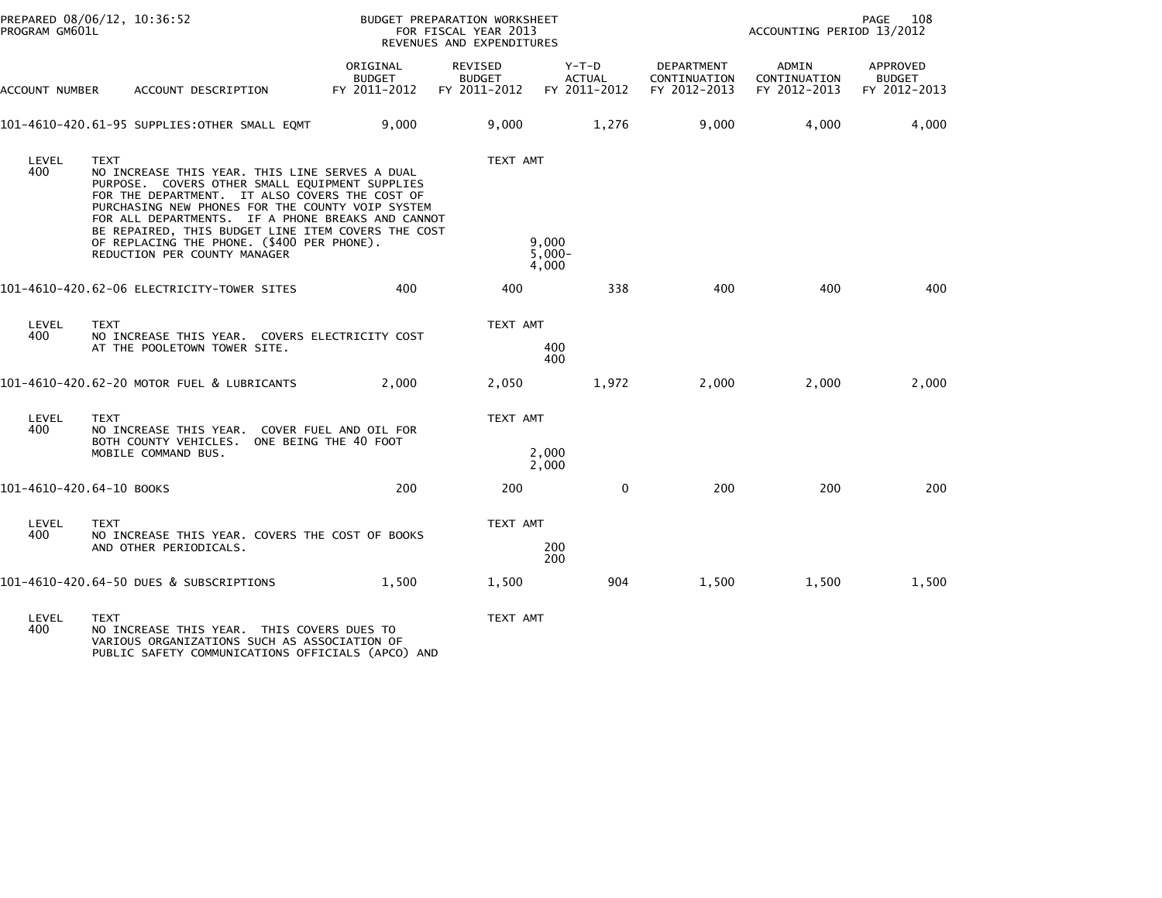| PREPARED 08/06/12, 10:36:52<br>PROGRAM GM601L |                                             |                                                                                            | BUDGET PREPARATION WORKSHEET<br>FOR FISCAL YEAR 2013<br>REVENUES AND EXPENDITURES                                                                                                                                                                                                                                 |                                          |                                          | PAGE<br>108<br>ACCOUNTING PERIOD 13/2012          |                                       |                                           |
|-----------------------------------------------|---------------------------------------------|--------------------------------------------------------------------------------------------|-------------------------------------------------------------------------------------------------------------------------------------------------------------------------------------------------------------------------------------------------------------------------------------------------------------------|------------------------------------------|------------------------------------------|---------------------------------------------------|---------------------------------------|-------------------------------------------|
| ACCOUNT NUMBER                                |                                             | ACCOUNT DESCRIPTION                                                                        | ORIGINAL<br><b>BUDGET</b><br>FY 2011-2012                                                                                                                                                                                                                                                                         | REVISED<br><b>BUDGET</b><br>FY 2011-2012 | $Y-T-D$<br><b>ACTUAL</b><br>FY 2011-2012 | <b>DEPARTMENT</b><br>CONTINUATION<br>FY 2012-2013 | ADMIN<br>CONTINUATION<br>FY 2012-2013 | APPROVED<br><b>BUDGET</b><br>FY 2012-2013 |
|                                               |                                             | 101-4610-420.61-95 SUPPLIES:OTHER SMALL EQMT                                               | 9,000                                                                                                                                                                                                                                                                                                             | 9,000                                    | 1,276                                    | 9.000                                             | 4,000                                 | 4,000                                     |
| LEVEL<br>400                                  | TEXT<br>REDUCTION PER COUNTY MANAGER        | OF REPLACING THE PHONE. (\$400 PER PHONE).                                                 | NO INCREASE THIS YEAR. THIS LINE SERVES A DUAL<br>PURPOSE. COVERS OTHER SMALL EQUIPMENT SUPPLIES<br>FOR THE DEPARTMENT. IT ALSO COVERS THE COST OF<br>PURCHASING NEW PHONES FOR THE COUNTY VOIP SYSTEM<br>FOR ALL DEPARTMENTS. IF A PHONE BREAKS AND CANNOT<br>BE REPAIRED, THIS BUDGET LINE ITEM COVERS THE COST | TEXT AMT                                 | 9.000<br>$5,000 -$<br>4,000              |                                                   |                                       |                                           |
|                                               |                                             | 101-4610-420.62-06 ELECTRICITY-TOWER SITES                                                 | 400                                                                                                                                                                                                                                                                                                               | 400                                      | 338                                      | 400                                               | 400                                   | 400                                       |
| LEVEL<br>400                                  | <b>TEXT</b><br>AT THE POOLETOWN TOWER SITE. |                                                                                            | NO INCREASE THIS YEAR. COVERS ELECTRICITY COST                                                                                                                                                                                                                                                                    |                                          | TEXT AMT<br>400<br>400                   |                                                   |                                       |                                           |
|                                               |                                             | 101-4610-420.62-20 MOTOR FUEL & LUBRICANTS                                                 | 2.000                                                                                                                                                                                                                                                                                                             | 2,050                                    | 1,972                                    | 2,000                                             | 2,000                                 | 2,000                                     |
| LEVEL<br>400                                  | <b>TEXT</b><br>MOBILE COMMAND BUS.          | BOTH COUNTY VEHICLES. ONE BEING THE 40 FOOT                                                | NO INCREASE THIS YEAR. COVER FUEL AND OIL FOR                                                                                                                                                                                                                                                                     | TEXT AMT                                 | 2,000<br>2,000                           |                                                   |                                       |                                           |
| 101-4610-420.64-10 BOOKS                      |                                             |                                                                                            | 200                                                                                                                                                                                                                                                                                                               | 200                                      | $\mathbf{0}$                             | 200                                               | 200                                   | 200                                       |
| LEVEL<br>400                                  | <b>TEXT</b><br>AND OTHER PERIODICALS.       |                                                                                            | NO INCREASE THIS YEAR. COVERS THE COST OF BOOKS                                                                                                                                                                                                                                                                   | TEXT AMT                                 | 200<br>200                               |                                                   |                                       |                                           |
|                                               | 101-4610-420.64-50 DUES & SUBSCRIPTIONS     |                                                                                            | 1,500                                                                                                                                                                                                                                                                                                             | 1,500                                    | 904                                      | 1,500                                             | 1,500                                 | 1,500                                     |
| LEVEL<br>400                                  | <b>TEXT</b>                                 | NO INCREASE THIS YEAR. THIS COVERS DUES TO<br>VARIOUS ORGANIZATIONS SUCH AS ASSOCIATION OF | PUBLIC SAFETY COMMUNICATIONS OFFICIALS (APCO) AND                                                                                                                                                                                                                                                                 | TEXT AMT                                 |                                          |                                                   |                                       |                                           |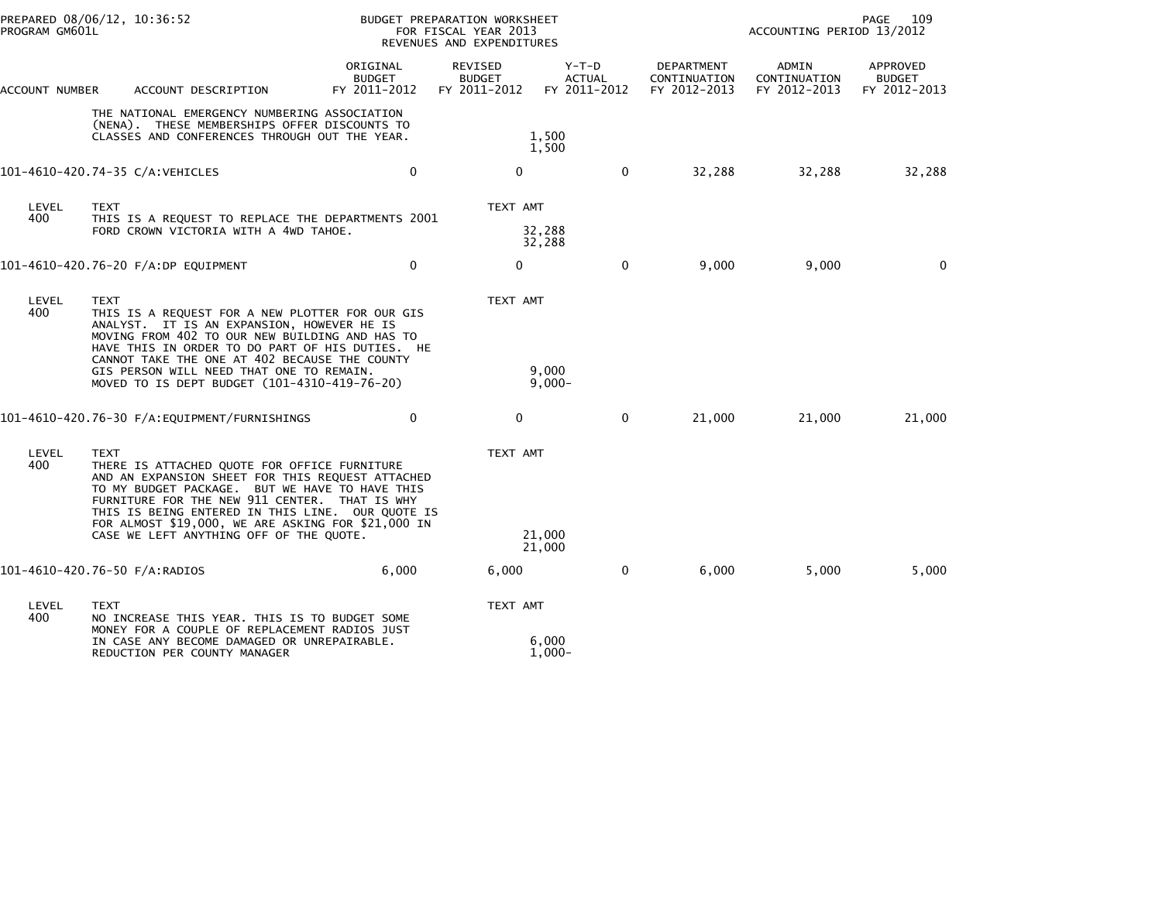|                | PREPARED 08/06/12, 10:36:52<br>PROGRAM GM601L                                                                                                                                                                                                                                                                                                                  |                                           | BUDGET PREPARATION WORKSHEET<br>FOR FISCAL YEAR 2013<br>REVENUES AND EXPENDITURES |                                        |                                            | PAGE<br>109<br>ACCOUNTING PERIOD 13/2012 |                                           |  |
|----------------|----------------------------------------------------------------------------------------------------------------------------------------------------------------------------------------------------------------------------------------------------------------------------------------------------------------------------------------------------------------|-------------------------------------------|-----------------------------------------------------------------------------------|----------------------------------------|--------------------------------------------|------------------------------------------|-------------------------------------------|--|
| ACCOUNT NUMBER | ACCOUNT DESCRIPTION                                                                                                                                                                                                                                                                                                                                            | ORIGINAL<br><b>BUDGET</b><br>FY 2011-2012 | REVISED<br><b>BUDGET</b><br>FY 2011-2012                                          | Y-T-D<br><b>ACTUAL</b><br>FY 2011-2012 | DEPARTMENT<br>CONTINUATION<br>FY 2012-2013 | ADMIN<br>CONTINUATION<br>FY 2012-2013    | APPROVED<br><b>BUDGET</b><br>FY 2012-2013 |  |
|                | THE NATIONAL EMERGENCY NUMBERING ASSOCIATION<br>(NENA). THESE MEMBERSHIPS OFFER DISCOUNTS TO<br>CLASSES AND CONFERENCES THROUGH OUT THE YEAR.                                                                                                                                                                                                                  |                                           |                                                                                   | 1,500<br>1,500                         |                                            |                                          |                                           |  |
|                | 101-4610-420.74-35 C/A:VEHICLES                                                                                                                                                                                                                                                                                                                                | $\mathbf 0$                               | $\mathbf 0$                                                                       | $\mathbf{0}$                           | 32,288                                     | 32,288                                   | 32,288                                    |  |
| LEVEL<br>400   | <b>TEXT</b><br>THIS IS A REQUEST TO REPLACE THE DEPARTMENTS 2001<br>FORD CROWN VICTORIA WITH A 4WD TAHOE.                                                                                                                                                                                                                                                      |                                           | TEXT AMT                                                                          | 32,288<br>32,288                       |                                            |                                          |                                           |  |
|                | 101-4610-420.76-20 F/A:DP EQUIPMENT                                                                                                                                                                                                                                                                                                                            | $\mathbf 0$                               | 0                                                                                 | $\mathbf{0}$                           | 9,000                                      | 9,000                                    | $\mathbf{0}$                              |  |
| LEVEL<br>400   | <b>TEXT</b><br>THIS IS A REQUEST FOR A NEW PLOTTER FOR OUR GIS<br>ANALYST. IT IS AN EXPANSION, HOWEVER HE IS<br>MOVING FROM 402 TO OUR NEW BUILDING AND HAS TO<br>HAVE THIS IN ORDER TO DO PART OF HIS DUTIES. HE<br>CANNOT TAKE THE ONE AT 402 BECAUSE THE COUNTY<br>GIS PERSON WILL NEED THAT ONE TO REMAIN.<br>MOVED TO IS DEPT BUDGET (101-4310-419-76-20) |                                           | TEXT AMT                                                                          | 9,000<br>$9,000-$                      |                                            |                                          |                                           |  |
|                |                                                                                                                                                                                                                                                                                                                                                                | 0                                         | 0                                                                                 | $\mathbf{0}$                           | 21,000                                     | 21,000                                   | 21,000                                    |  |
| LEVEL<br>400   | <b>TEXT</b><br>THERE IS ATTACHED QUOTE FOR OFFICE FURNITURE<br>AND AN EXPANSION SHEET FOR THIS REQUEST ATTACHED<br>TO MY BUDGET PACKAGE. BUT WE HAVE TO HAVE THIS<br>FURNITURE FOR THE NEW 911 CENTER. THAT IS WHY<br>THIS IS BEING ENTERED IN THIS LINE. OUR QUOTE IS<br>FOR ALMOST \$19,000, WE ARE ASKING FOR \$21,000 IN                                   |                                           | TEXT AMT                                                                          |                                        |                                            |                                          |                                           |  |
|                | CASE WE LEFT ANYTHING OFF OF THE QUOTE.                                                                                                                                                                                                                                                                                                                        |                                           |                                                                                   | 21,000<br>21,000                       |                                            |                                          |                                           |  |
|                | 101-4610-420.76-50 F/A:RADIOS                                                                                                                                                                                                                                                                                                                                  | 6,000                                     | 6,000                                                                             | $\mathbf 0$                            | 6,000                                      | 5,000                                    | 5,000                                     |  |
| LEVEL<br>400   | <b>TEXT</b><br>NO INCREASE THIS YEAR. THIS IS TO BUDGET SOME<br>MONEY FOR A COUPLE OF REPLACEMENT RADIOS JUST                                                                                                                                                                                                                                                  |                                           | TEXT AMT                                                                          |                                        |                                            |                                          |                                           |  |
|                | IN CASE ANY BECOME DAMAGED OR UNREPAIRABLE.<br>REDUCTION PER COUNTY MANAGER                                                                                                                                                                                                                                                                                    |                                           |                                                                                   | 6,000<br>$1,000-$                      |                                            |                                          |                                           |  |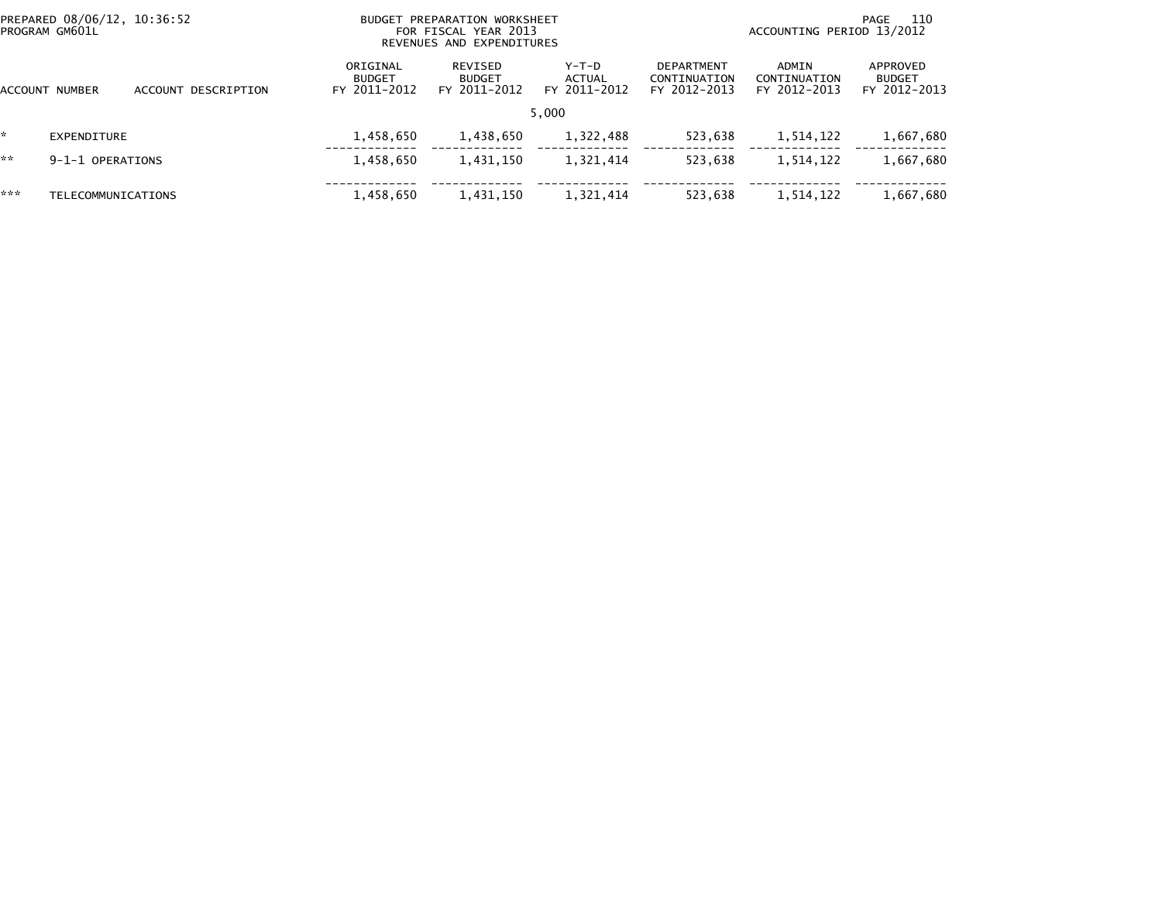|                | PREPARED 08/06/12, 10:36:52<br>PROGRAM GM601L |                     |                                           | BUDGET PREPARATION WORKSHEET<br>FOR FISCAL YEAR 2013<br>REVENUES AND EXPENDITURES |                                   | 110<br>PAGE<br>ACCOUNTING PERIOD 13/2012   |                                       |                                           |
|----------------|-----------------------------------------------|---------------------|-------------------------------------------|-----------------------------------------------------------------------------------|-----------------------------------|--------------------------------------------|---------------------------------------|-------------------------------------------|
| ACCOUNT NUMBER |                                               | ACCOUNT DESCRIPTION | ORIGINAL<br><b>BUDGET</b><br>FY 2011-2012 | REVISED<br><b>BUDGET</b><br>FY 2011-2012                                          | $Y-T-D$<br>ACTUAL<br>FY 2011-2012 | DEPARTMENT<br>CONTINUATION<br>FY 2012-2013 | ADMIN<br>CONTINUATION<br>FY 2012-2013 | APPROVED<br><b>BUDGET</b><br>FY 2012-2013 |
|                |                                               |                     |                                           |                                                                                   | 5,000                             |                                            |                                       |                                           |
|                | EXPENDITURE                                   |                     | 1,458,650                                 | 1,438,650                                                                         | 1,322,488                         | 523,638                                    | 1,514,122                             | 1,667,680                                 |
| **             | 9-1-1 OPERATIONS                              |                     | 1,458,650                                 | 1,431,150                                                                         | 1,321,414                         | 523,638                                    | 1,514,122                             | 1,667,680                                 |
| ***            | <b>TELECOMMUNICATIONS</b>                     |                     | 1,458,650                                 | 1,431,150                                                                         | 1,321,414                         | 523,638                                    | 1,514,122                             | 1,667,680                                 |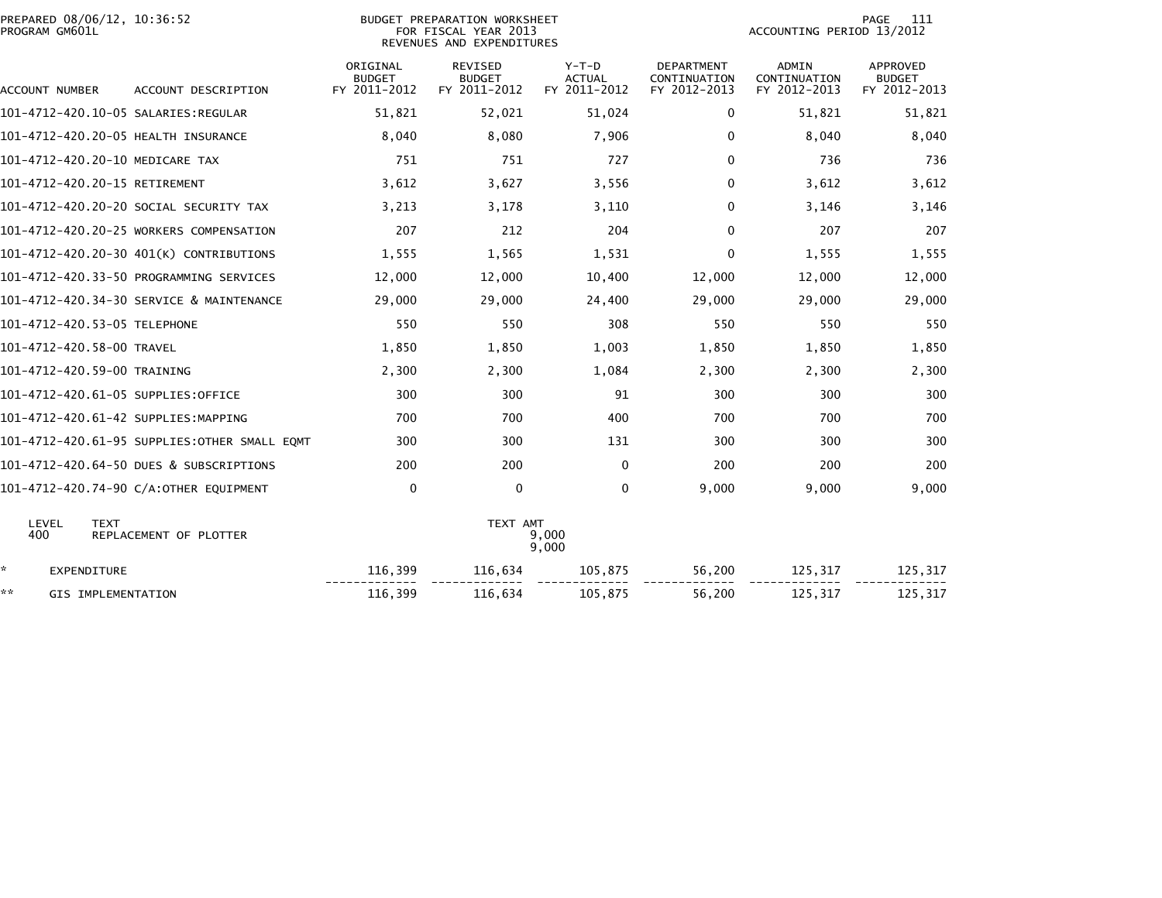| PREPARED 08/06/12, 10:36:52<br>PROGRAM GM601L |                                              |                                           | BUDGET PREPARATION WORKSHEET<br>FOR FISCAL YEAR 2013<br>REVENUES AND EXPENDITURES |                                          | 111<br>PAGE<br>ACCOUNTING PERIOD 13/2012          |                                              |                                                  |  |
|-----------------------------------------------|----------------------------------------------|-------------------------------------------|-----------------------------------------------------------------------------------|------------------------------------------|---------------------------------------------------|----------------------------------------------|--------------------------------------------------|--|
| ACCOUNT NUMBER                                | ACCOUNT DESCRIPTION                          | ORIGINAL<br><b>BUDGET</b><br>FY 2011-2012 | <b>REVISED</b><br><b>BUDGET</b><br>FY 2011-2012                                   | $Y-T-D$<br><b>ACTUAL</b><br>FY 2011-2012 | <b>DEPARTMENT</b><br>CONTINUATION<br>FY 2012-2013 | <b>ADMIN</b><br>CONTINUATION<br>FY 2012-2013 | <b>APPROVED</b><br><b>BUDGET</b><br>FY 2012-2013 |  |
|                                               |                                              | 51,821                                    | 52,021                                                                            | 51,024                                   | $\mathbf{0}$                                      | 51.821                                       | 51,821                                           |  |
| 101-4712-420.20-05 HEALTH INSURANCE           |                                              | 8,040                                     | 8,080                                                                             | 7,906                                    | $\mathbf{0}$                                      | 8.040                                        | 8,040                                            |  |
| 101-4712-420.20-10 MEDICARE TAX               |                                              | 751                                       | 751                                                                               | 727                                      | $\mathbf{0}$                                      | 736                                          | 736                                              |  |
| 101-4712-420.20-15 RETIREMENT                 |                                              | 3,612                                     | 3,627                                                                             | 3,556                                    | $\mathbf{0}$                                      | 3,612                                        | 3,612                                            |  |
|                                               | 101-4712-420.20-20 SOCIAL SECURITY TAX       | 3,213                                     | 3,178                                                                             | 3,110                                    | $\Omega$                                          | 3,146                                        | 3,146                                            |  |
|                                               | 101-4712-420.20-25 WORKERS COMPENSATION      | 207                                       | 212                                                                               | 204                                      | $\mathbf{0}$                                      | 207                                          | 207                                              |  |
|                                               | 101-4712-420.20-30 401(K) CONTRIBUTIONS      | 1,555                                     | 1,565                                                                             | 1,531                                    | $\mathbf{0}$                                      | 1,555                                        | 1,555                                            |  |
|                                               | 101-4712-420.33-50 PROGRAMMING SERVICES      | 12,000                                    | 12,000                                                                            | 10,400                                   | 12,000                                            | 12,000                                       | 12,000                                           |  |
|                                               | 101-4712-420.34-30 SERVICE & MAINTENANCE     | 29,000                                    | 29,000                                                                            | 24,400                                   | 29,000                                            | 29,000                                       | 29,000                                           |  |
| 101-4712-420.53-05 TELEPHONE                  |                                              | 550                                       | 550                                                                               | 308                                      | 550                                               | 550                                          | 550                                              |  |
| 101-4712-420.58-00 TRAVEL                     |                                              | 1,850                                     | 1,850                                                                             | 1,003                                    | 1,850                                             | 1,850                                        | 1,850                                            |  |
| 101-4712-420.59-00 TRAINING                   |                                              | 2,300                                     | 2,300                                                                             | 1,084                                    | 2,300                                             | 2,300                                        | 2,300                                            |  |
| 101-4712-420.61-05 SUPPLIES:OFFICE            |                                              | 300                                       | 300                                                                               | 91                                       | 300                                               | 300                                          | 300                                              |  |
| 101-4712-420.61-42 SUPPLIES:MAPPING           |                                              | 700                                       | 700                                                                               | 400                                      | 700                                               | 700                                          | 700                                              |  |
|                                               | 101-4712-420.61-95 SUPPLIES:OTHER SMALL EQMT | 300                                       | 300                                                                               | 131                                      | 300                                               | 300                                          | 300                                              |  |
|                                               | 101-4712-420.64-50 DUES & SUBSCRIPTIONS      | 200                                       | 200                                                                               | 0                                        | 200                                               | 200                                          | 200                                              |  |
|                                               | 101-4712-420.74-90 C/A:OTHER EQUIPMENT       | 0                                         | $\mathbf 0$                                                                       | $\mathbf{0}$                             | 9.000                                             | 9,000                                        | 9,000                                            |  |
| LEVEL<br><b>TEXT</b><br>400                   | REPLACEMENT OF PLOTTER                       |                                           | TEXT AMT                                                                          | 9,000<br>9,000                           |                                                   |                                              |                                                  |  |
| ÷.<br>EXPENDITURE                             |                                              | 116,399                                   | 116,634                                                                           | 105,875                                  | 56,200                                            | 125,317                                      | 125,317                                          |  |
| **<br>GIS IMPLEMENTATION                      |                                              | 116,399                                   | 116,634                                                                           | 105,875                                  | 56,200                                            | 125,317                                      | 125,317                                          |  |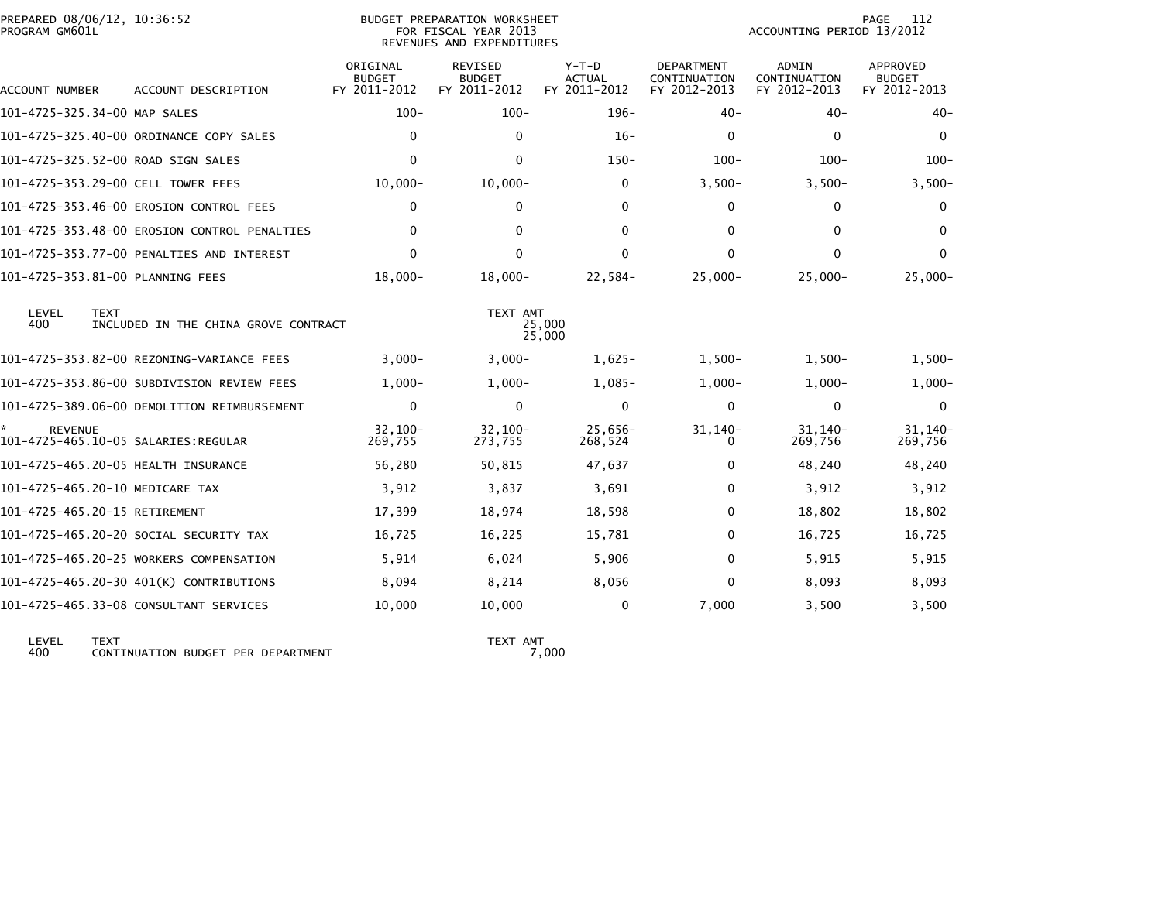| PROGRAM GM601L | PREPARED 08/06/12, 10:36:52                         |                                           | <b>BUDGET PREPARATION WORKSHEET</b><br>FOR FISCAL YEAR 2013<br>REVENUES AND EXPENDITURES |                                          |                                                   | ACCOUNTING PERIOD 13/2012                    | PAGE<br>112                                      |
|----------------|-----------------------------------------------------|-------------------------------------------|------------------------------------------------------------------------------------------|------------------------------------------|---------------------------------------------------|----------------------------------------------|--------------------------------------------------|
| ACCOUNT NUMBER | ACCOUNT DESCRIPTION                                 | ORIGINAL<br><b>BUDGET</b><br>FY 2011-2012 | <b>REVISED</b><br><b>BUDGET</b><br>FY 2011-2012                                          | $Y-T-D$<br><b>ACTUAL</b><br>FY 2011-2012 | <b>DEPARTMENT</b><br>CONTINUATION<br>FY 2012-2013 | <b>ADMIN</b><br>CONTINUATION<br>FY 2012-2013 | <b>APPROVED</b><br><b>BUDGET</b><br>FY 2012-2013 |
|                | 101-4725-325.34-00 MAP SALES                        | $100 -$                                   | $100 -$                                                                                  | $196 -$                                  | $40 -$                                            | $40 -$                                       | $40-$                                            |
|                | 101-4725-325.40-00 ORDINANCE COPY SALES             | 0                                         | $\Omega$                                                                                 | $16-$                                    | $\mathbf{0}$                                      | 0                                            | 0                                                |
|                | 101-4725-325.52-00 ROAD SIGN SALES                  | $\Omega$                                  | $\mathbf{0}$                                                                             | $150 -$                                  | $100 -$                                           | $100 -$                                      | $100 -$                                          |
|                | 101-4725-353.29-00 CELL TOWER FEES                  | $10,000 -$                                | $10,000 -$                                                                               | $\mathbf{0}$                             | $3,500-$                                          | $3,500-$                                     | $3,500-$                                         |
|                | 101-4725-353.46-00 EROSION CONTROL FEES             | 0                                         | $\Omega$                                                                                 | $\mathbf{0}$                             | 0                                                 | 0                                            | $\bf{0}$                                         |
|                | 101-4725-353.48-00 EROSION CONTROL PENALTIES        | 0                                         | $\Omega$                                                                                 | 0                                        | $\mathbf{0}$                                      | 0                                            | $\bf{0}$                                         |
|                | 101-4725-353.77-00 PENALTIES AND INTEREST           | $\Omega$                                  | $\Omega$                                                                                 | $\mathbf{0}$                             | $\Omega$                                          | $\mathbf{0}$                                 | $\mathbf{0}$                                     |
|                | 101-4725-353.81-00 PLANNING FEES                    | $18,000 -$                                | $18,000 -$                                                                               | 22,584-                                  | $25,000 -$                                        | $25,000 -$                                   | $25,000 -$                                       |
| LEVEL<br>400   | <b>TEXT</b><br>INCLUDED IN THE CHINA GROVE CONTRACT |                                           | TEXT AMT                                                                                 | 25,000<br>25,000                         |                                                   |                                              |                                                  |
|                |                                                     | $3.000 -$                                 | $3,000 -$                                                                                | $1.625 -$                                | $1,500-$                                          | $1.500 -$                                    | $1,500-$                                         |
|                | 101-4725-353.86-00 SUBDIVISION REVIEW FEES          | $1,000-$                                  | $1,000 -$                                                                                | $1,085-$                                 | $1,000-$                                          | $1,000-$                                     | $1,000-$                                         |
|                | 101-4725-389.06-00 DEMOLITION REIMBURSEMENT         | 0                                         | $\Omega$                                                                                 | $\mathbf{0}$                             | $\mathbf{0}$                                      | $\mathbf 0$                                  | 0                                                |
| <b>REVENUE</b> |                                                     | $32,100 -$<br>269,755                     | $32,100 -$<br>273,755                                                                    | $25,656-$<br>268,524                     | $31, 140 -$<br>0                                  | $31, 140 -$<br>269,756                       | 31, 140-<br>269,756                              |
|                | 101-4725-465.20-05 HEALTH INSURANCE                 | 56,280                                    | 50,815                                                                                   | 47,637                                   | 0                                                 | 48,240                                       | 48,240                                           |
|                | 101-4725-465.20-10 MEDICARE TAX                     | 3,912                                     | 3,837                                                                                    | 3,691                                    | $\mathbf{0}$                                      | 3,912                                        | 3,912                                            |
|                | 101-4725-465.20-15 RETIREMENT                       | 17,399                                    | 18,974                                                                                   | 18,598                                   | $\mathbf{0}$                                      | 18,802                                       | 18,802                                           |
|                | 101-4725-465.20-20 SOCIAL SECURITY TAX              | 16,725                                    | 16,225                                                                                   | 15,781                                   | $\mathbf{0}$                                      | 16,725                                       | 16,725                                           |
|                | 101-4725-465.20-25 WORKERS COMPENSATION             | 5,914                                     | 6,024                                                                                    | 5,906                                    | 0                                                 | 5,915                                        | 5,915                                            |
|                | 101-4725-465.20-30 401(K) CONTRIBUTIONS             | 8,094                                     | 8,214                                                                                    | 8,056                                    | $\Omega$                                          | 8,093                                        | 8,093                                            |
|                | 101-4725-465.33-08 CONSULTANT SERVICES              | 10,000                                    | 10,000                                                                                   | 0                                        | 7,000                                             | 3,500                                        | 3,500                                            |
|                |                                                     |                                           |                                                                                          |                                          |                                                   |                                              |                                                  |

LEVEL TEXT TEXT AMT 400 CONTINUATION BUDGET PER DEPARTMENT 7,000

TEXT AMT<br>7,000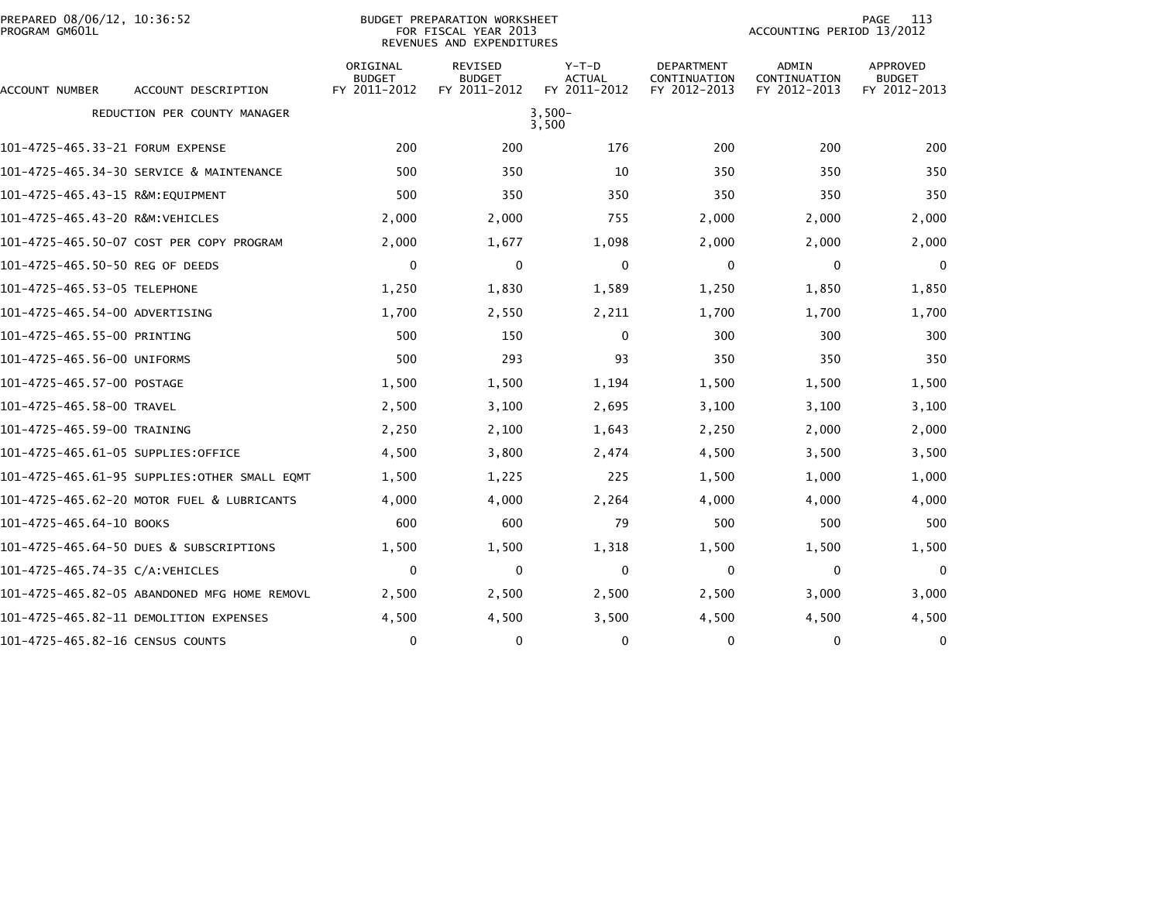| PREPARED 08/06/12, 10:36:52<br>PROGRAM GM601L |                                              |                                           | <b>BUDGET PREPARATION WORKSHEET</b><br>FOR FISCAL YEAR 2013<br>REVENUES AND EXPENDITURES | 113<br>PAGE<br>ACCOUNTING PERIOD 13/2012 |                                                   |                                              |                                           |
|-----------------------------------------------|----------------------------------------------|-------------------------------------------|------------------------------------------------------------------------------------------|------------------------------------------|---------------------------------------------------|----------------------------------------------|-------------------------------------------|
| ACCOUNT NUMBER                                | ACCOUNT DESCRIPTION                          | ORIGINAL<br><b>BUDGET</b><br>FY 2011-2012 | <b>REVISED</b><br><b>BUDGET</b><br>FY 2011-2012                                          | $Y-T-D$<br><b>ACTUAL</b><br>FY 2011-2012 | <b>DEPARTMENT</b><br>CONTINUATION<br>FY 2012-2013 | <b>ADMIN</b><br>CONTINUATION<br>FY 2012-2013 | APPROVED<br><b>BUDGET</b><br>FY 2012-2013 |
|                                               | REDUCTION PER COUNTY MANAGER                 |                                           |                                                                                          | $3,500-$<br>3,500                        |                                                   |                                              |                                           |
| 101-4725-465.33-21 FORUM EXPENSE              |                                              | 200                                       | 200                                                                                      | 176                                      | 200                                               | 200                                          | 200                                       |
|                                               | 101-4725-465.34-30 SERVICE & MAINTENANCE     | 500                                       | 350                                                                                      | 10                                       | 350                                               | 350                                          | 350                                       |
| 101-4725-465.43-15 R&M:EQUIPMENT              |                                              | 500                                       | 350                                                                                      | 350                                      | 350                                               | 350                                          | 350                                       |
| 101-4725-465.43-20 R&M:VEHICLES               |                                              | 2,000                                     | 2,000                                                                                    | 755                                      | 2,000                                             | 2,000                                        | 2,000                                     |
|                                               | 101-4725-465.50-07 COST PER COPY PROGRAM     | 2,000                                     | 1,677                                                                                    | 1,098                                    | 2,000                                             | 2,000                                        | 2,000                                     |
| 101-4725-465.50-50 REG OF DEEDS               |                                              | 0                                         | 0                                                                                        | 0                                        | 0                                                 | 0                                            | 0                                         |
| 101-4725-465.53-05 TELEPHONE                  |                                              | 1,250                                     | 1,830                                                                                    | 1,589                                    | 1,250                                             | 1,850                                        | 1,850                                     |
| 101-4725-465.54-00 ADVERTISING                |                                              | 1,700                                     | 2,550                                                                                    | 2,211                                    | 1,700                                             | 1,700                                        | 1,700                                     |
| 101-4725-465.55-00 PRINTING                   |                                              | 500                                       | 150                                                                                      | 0                                        | 300                                               | 300                                          | 300                                       |
| 101-4725-465.56-00 UNIFORMS                   |                                              | 500                                       | 293                                                                                      | 93                                       | 350                                               | 350                                          | 350                                       |
| 101-4725-465.57-00 POSTAGE                    |                                              | 1,500                                     | 1,500                                                                                    | 1,194                                    | 1,500                                             | 1,500                                        | 1,500                                     |
| 101-4725-465.58-00 TRAVEL                     |                                              | 2,500                                     | 3,100                                                                                    | 2,695                                    | 3,100                                             | 3,100                                        | 3,100                                     |
| 101-4725-465.59-00 TRAINING                   |                                              | 2,250                                     | 2,100                                                                                    | 1,643                                    | 2,250                                             | 2,000                                        | 2,000                                     |
| 101–4725–465.61–05 SUPPLIES:OFFICE            |                                              | 4,500                                     | 3,800                                                                                    | 2,474                                    | 4,500                                             | 3,500                                        | 3,500                                     |
|                                               | 101-4725-465.61-95 SUPPLIES:OTHER SMALL EQMT | 1,500                                     | 1,225                                                                                    | 225                                      | 1,500                                             | 1,000                                        | 1,000                                     |
|                                               | 101-4725-465.62-20 MOTOR FUEL & LUBRICANTS   | 4,000                                     | 4,000                                                                                    | 2,264                                    | 4,000                                             | 4,000                                        | 4,000                                     |
| 101-4725-465.64-10 BOOKS                      |                                              | 600                                       | 600                                                                                      | 79                                       | 500                                               | 500                                          | 500                                       |
|                                               | 101-4725-465.64-50 DUES & SUBSCRIPTIONS      | 1,500                                     | 1,500                                                                                    | 1,318                                    | 1,500                                             | 1,500                                        | 1,500                                     |
| 101-4725-465.74-35 C/A:VEHICLES               |                                              | 0                                         | 0                                                                                        | 0                                        | $\mathbf{0}$                                      | 0                                            | $\mathbf 0$                               |
|                                               | 101-4725-465.82-05 ABANDONED MFG HOME REMOVL | 2,500                                     | 2,500                                                                                    | 2,500                                    | 2,500                                             | 3,000                                        | 3,000                                     |
|                                               | 101–4725–465.82–11 DEMOLITION EXPENSES       | 4,500                                     | 4,500                                                                                    | 3,500                                    | 4,500                                             | 4,500                                        | 4,500                                     |
| 101-4725-465.82-16 CENSUS COUNTS              |                                              | 0                                         | 0                                                                                        | 0                                        | $\Omega$                                          | 0                                            | 0                                         |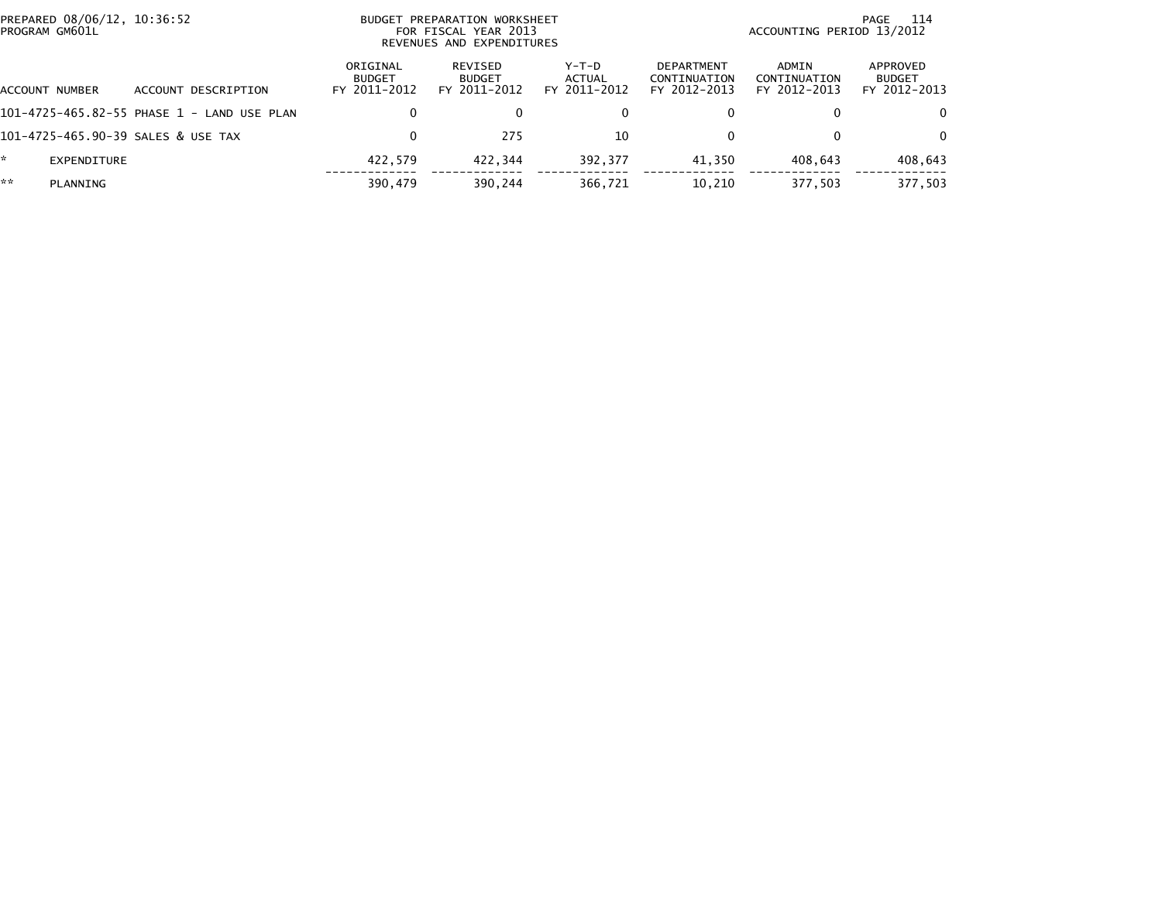| PREPARED 08/06/12, 10:36:52<br>BUDGET PREPARATION WORKSHEET<br>PROGRAM GM601L<br>FOR FISCAL YEAR 2013<br>REVENUES AND EXPENDITURES |                |                                            |                                           |                                          |                                   | 114<br>PAGE<br>ACCOUNTING PERIOD 13/2012          |                                       |                                           |
|------------------------------------------------------------------------------------------------------------------------------------|----------------|--------------------------------------------|-------------------------------------------|------------------------------------------|-----------------------------------|---------------------------------------------------|---------------------------------------|-------------------------------------------|
|                                                                                                                                    | ACCOUNT NUMBER | ACCOUNT DESCRIPTION                        | ORIGINAL<br><b>BUDGET</b><br>FY 2011-2012 | REVISED<br><b>BUDGET</b><br>FY 2011-2012 | $Y-T-D$<br>ACTUAL<br>FY 2011-2012 | <b>DEPARTMENT</b><br>CONTINUATION<br>FY 2012-2013 | ADMIN<br>CONTINUATION<br>FY 2012-2013 | APPROVED<br><b>BUDGET</b><br>FY 2012-2013 |
|                                                                                                                                    |                | 101-4725-465.82-55 PHASE 1 - LAND USE PLAN | 0                                         | 0                                        |                                   | 0                                                 |                                       | $\Omega$                                  |
|                                                                                                                                    |                | 101-4725-465.90-39 SALES & USE TAX         | 0                                         | 275                                      | 10                                | 0                                                 |                                       | $\Omega$                                  |
| *.                                                                                                                                 | EXPENDITURE    |                                            | 422.579                                   | 422.344                                  | 392,377                           | 41.350                                            | 408.643                               | 408,643                                   |
| **                                                                                                                                 | PLANNING       |                                            | 390,479                                   | 390,244                                  | 366,721                           | 10,210                                            | 377,503                               | 377,503                                   |
|                                                                                                                                    |                |                                            |                                           |                                          |                                   |                                                   |                                       |                                           |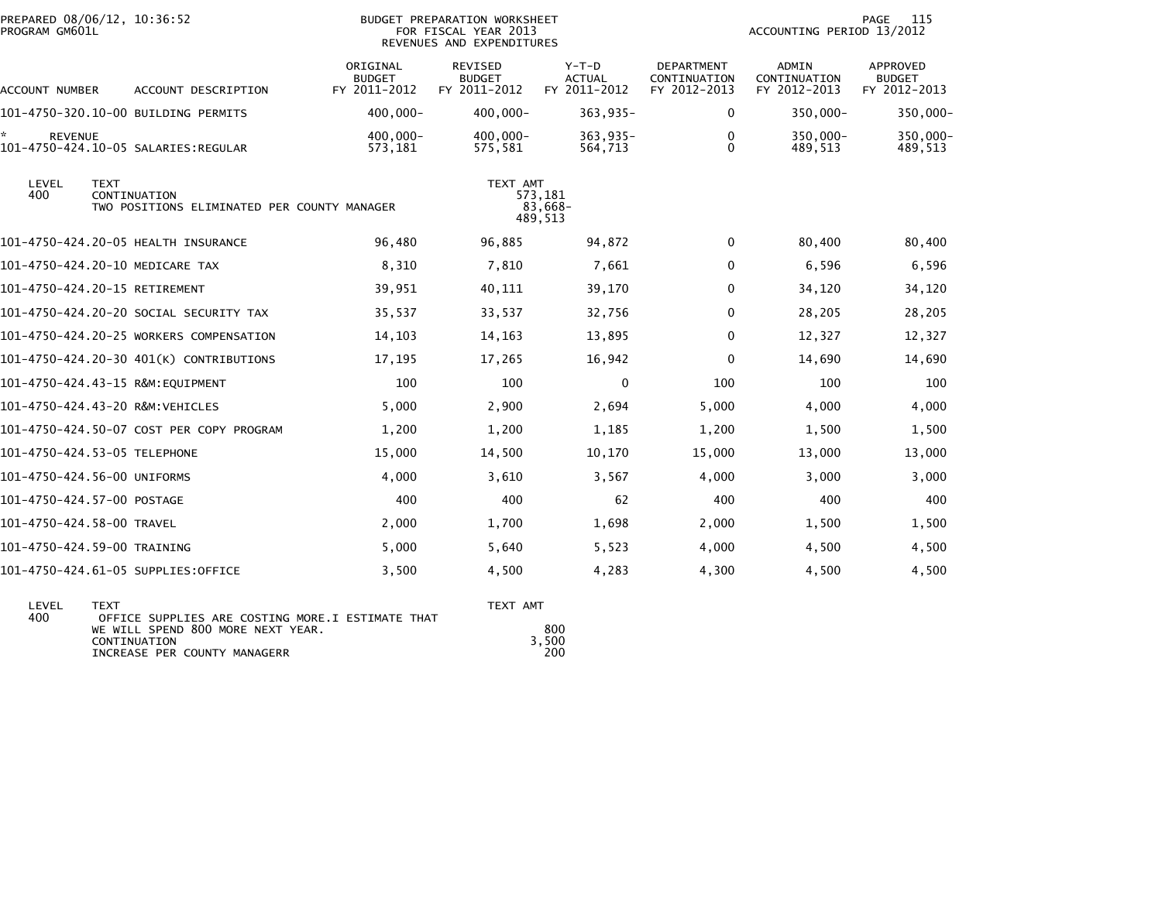| PREPARED 08/06/12, 10:36:52<br>PROGRAM GM601L               |                                                             |                                           | BUDGET PREPARATION WORKSHEET<br>FOR FISCAL YEAR 2013<br>REVENUES AND EXPENDITURES |                                          |                                                   | ACCOUNTING PERIOD 13/2012             | 115<br><b>PAGE</b>                        |
|-------------------------------------------------------------|-------------------------------------------------------------|-------------------------------------------|-----------------------------------------------------------------------------------|------------------------------------------|---------------------------------------------------|---------------------------------------|-------------------------------------------|
| ACCOUNT NUMBER                                              | ACCOUNT DESCRIPTION                                         | ORIGINAL<br><b>BUDGET</b><br>FY 2011-2012 | REVISED<br><b>BUDGET</b><br>FY 2011-2012                                          | $Y-T-D$<br><b>ACTUAL</b><br>FY 2011-2012 | <b>DEPARTMENT</b><br>CONTINUATION<br>FY 2012-2013 | ADMIN<br>CONTINUATION<br>FY 2012-2013 | APPROVED<br><b>BUDGET</b><br>FY 2012-2013 |
| 101–4750–320.10–00 BUILDING PERMITS                         |                                                             | 400,000-                                  | $400,000 -$                                                                       | $363,935-$                               | $\mathbf 0$                                       | 350,000-                              | 350,000-                                  |
| ÷.<br><b>REVENUE</b><br>101-4750-424.10-05 SALARIES:REGULAR |                                                             | 400,000-<br>573,181                       | $400.000 -$<br>575,581                                                            | $363,935-$<br>564,713                    | $\Omega$<br>$\Omega$                              | 350,000-<br>489,513                   | 350,000-<br>489,513                       |
| LEVEL<br><b>TEXT</b><br>400                                 | CONTINUATION<br>TWO POSITIONS ELIMINATED PER COUNTY MANAGER |                                           | TEXT AMT                                                                          | 573,181<br>83,668-<br>489,513            |                                                   |                                       |                                           |
| 101-4750-424.20-05 HEALTH INSURANCE                         |                                                             | 96,480                                    | 96,885                                                                            | 94,872                                   | $\mathbf 0$                                       | 80,400                                | 80,400                                    |
| 101-4750-424.20-10 MEDICARE TAX                             |                                                             | 8,310                                     | 7,810                                                                             | 7,661                                    | 0                                                 | 6,596                                 | 6,596                                     |
| 101-4750-424.20-15 RETIREMENT                               |                                                             | 39,951                                    | 40,111                                                                            | 39,170                                   | 0                                                 | 34,120                                | 34,120                                    |
|                                                             | 101–4750–424.20–20 SOCIAL SECURITY TAX                      | 35,537                                    | 33,537                                                                            | 32,756                                   | 0                                                 | 28,205                                | 28,205                                    |
|                                                             | 101-4750-424.20-25 WORKERS COMPENSATION                     | 14,103                                    | 14,163                                                                            | 13,895                                   | 0                                                 | 12,327                                | 12,327                                    |
|                                                             | 101-4750-424.20-30 401(K) CONTRIBUTIONS                     | 17,195                                    | 17,265                                                                            | 16,942                                   | 0                                                 | 14,690                                | 14,690                                    |
| 101-4750-424.43-15 R&M:EQUIPMENT                            |                                                             | 100                                       | 100                                                                               | $\mathbf{0}$                             | 100                                               | 100                                   | 100                                       |
| 101-4750-424.43-20 R&M:VEHICLES                             |                                                             | 5,000                                     | 2,900                                                                             | 2,694                                    | 5,000                                             | 4,000                                 | 4,000                                     |
|                                                             | 101-4750-424.50-07 COST PER COPY PROGRAM                    | 1,200                                     | 1,200                                                                             | 1,185                                    | 1,200                                             | 1,500                                 | 1,500                                     |
| 101-4750-424.53-05 TELEPHONE                                |                                                             | 15,000                                    | 14,500                                                                            | 10,170                                   | 15,000                                            | 13,000                                | 13,000                                    |
| 101-4750-424.56-00 UNIFORMS                                 |                                                             | 4,000                                     | 3,610                                                                             | 3,567                                    | 4,000                                             | 3,000                                 | 3,000                                     |
| 101-4750-424.57-00 POSTAGE                                  |                                                             | 400                                       | 400                                                                               | 62                                       | 400                                               | 400                                   | 400                                       |
| 101-4750-424.58-00 TRAVEL                                   |                                                             | 2,000                                     | 1,700                                                                             | 1,698                                    | 2,000                                             | 1,500                                 | 1,500                                     |
| 101-4750-424.59-00 TRAINING                                 |                                                             | 5,000                                     | 5,640                                                                             | 5,523                                    | 4,000                                             | 4,500                                 | 4,500                                     |
| 101-4750-424.61-05 SUPPLIES:OFFICE                          |                                                             | 3,500                                     | 4,500                                                                             | 4,283                                    | 4,300                                             | 4,500                                 | 4,500                                     |
| LEVEL<br><b>TEXT</b>                                        |                                                             |                                           | TEXT AMT                                                                          |                                          |                                                   |                                       |                                           |

| LEVEL | $- x 1$                                          | IEXIAMI |
|-------|--------------------------------------------------|---------|
| 400   | OFFICE SUPPLIES ARE COSTING MORE I ESTIMATE THAT |         |
|       | WE WILL SPEND 800 MORE NEXT YEAR.                | 800     |
|       | CONTINUATION                                     | 3.500   |
|       | INCREASE PER COUNTY MANAGERR                     | 200     |
|       |                                                  |         |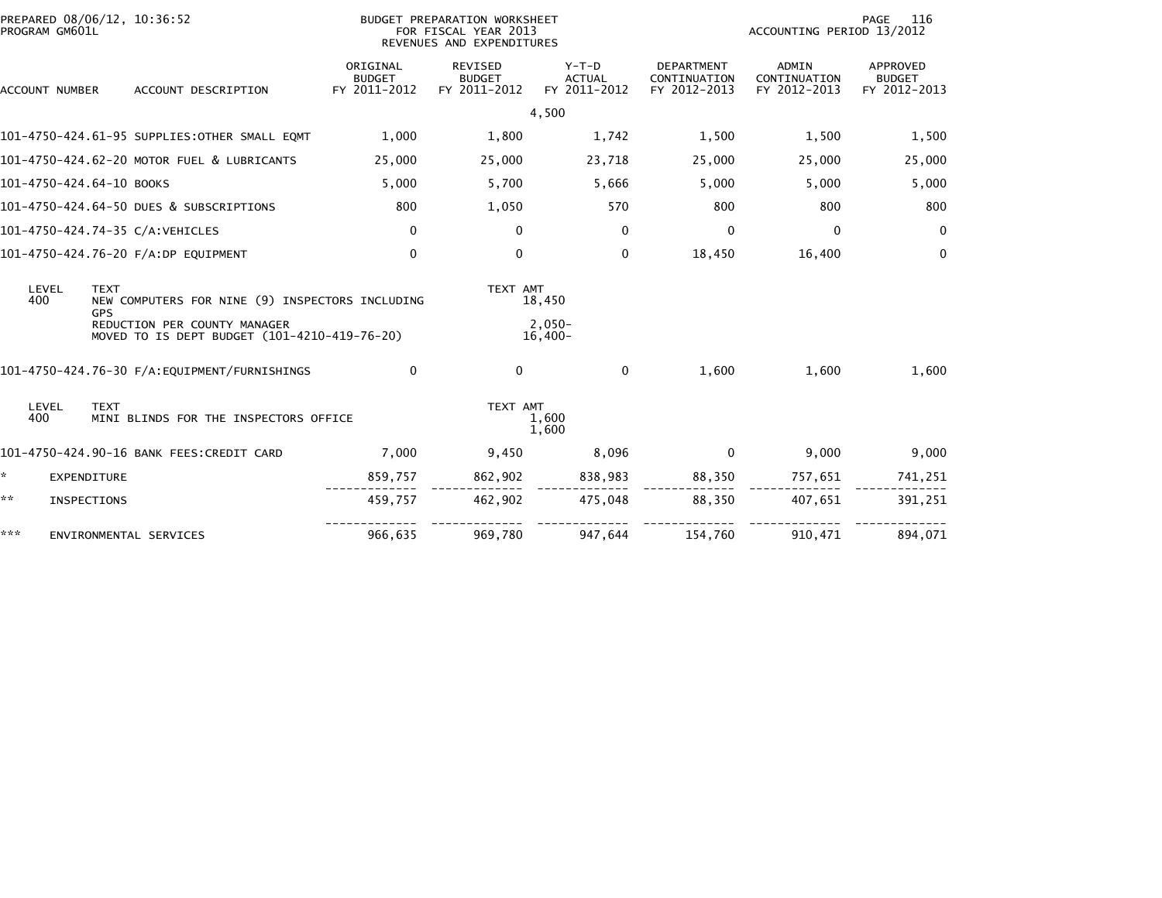| PREPARED 08/06/12, 10:36:52<br>PROGRAM GM601L |                                                                              |                                           | BUDGET PREPARATION WORKSHEET<br>FOR FISCAL YEAR 2013<br>REVENUES AND EXPENDITURES |                                          | 116<br>PAGE<br>ACCOUNTING PERIOD 13/2012          |                                       |                                                  |
|-----------------------------------------------|------------------------------------------------------------------------------|-------------------------------------------|-----------------------------------------------------------------------------------|------------------------------------------|---------------------------------------------------|---------------------------------------|--------------------------------------------------|
| ACCOUNT NUMBER                                | ACCOUNT DESCRIPTION                                                          | ORIGINAL<br><b>BUDGET</b><br>FY 2011-2012 | <b>REVISED</b><br><b>BUDGET</b><br>FY 2011-2012                                   | $Y-T-D$<br><b>ACTUAL</b><br>FY 2011-2012 | <b>DEPARTMENT</b><br>CONTINUATION<br>FY 2012-2013 | ADMIN<br>CONTINUATION<br>FY 2012-2013 | <b>APPROVED</b><br><b>BUDGET</b><br>FY 2012-2013 |
|                                               |                                                                              |                                           |                                                                                   | 4,500                                    |                                                   |                                       |                                                  |
|                                               | 101-4750-424.61-95 SUPPLIES:OTHER SMALL EQMT                                 | 1,000                                     | 1,800                                                                             | 1,742                                    | 1,500                                             | 1,500                                 | 1,500                                            |
|                                               | 101-4750-424.62-20 MOTOR FUEL & LUBRICANTS                                   | 25,000                                    | 25,000                                                                            | 23,718                                   | 25,000                                            | 25,000                                | 25,000                                           |
| 101-4750-424.64-10 BOOKS                      |                                                                              | 5,000                                     | 5,700                                                                             | 5,666                                    | 5,000                                             | 5,000                                 | 5,000                                            |
|                                               | 101-4750-424.64-50 DUES & SUBSCRIPTIONS                                      | 800                                       | 1,050                                                                             | 570                                      | 800                                               | 800                                   | 800                                              |
|                                               | 101-4750-424.74-35 C/A:VEHICLES                                              | 0                                         | $\Omega$                                                                          | $\Omega$                                 | $\mathbf{0}$                                      | $\Omega$                              | $\mathbf{0}$                                     |
|                                               | 101-4750-424.76-20 F/A:DP EQUIPMENT                                          | $\mathbf 0$                               | $\mathbf 0$                                                                       | $\mathbf{0}$                             | 18,450                                            | 16,400                                | $\mathbf{0}$                                     |
| LEVEL<br>400                                  | <b>TEXT</b><br>NEW COMPUTERS FOR NINE (9) INSPECTORS INCLUDING<br><b>GPS</b> |                                           | TEXT AMT                                                                          | 18,450                                   |                                                   |                                       |                                                  |
|                                               | REDUCTION PER COUNTY MANAGER<br>MOVED TO IS DEPT BUDGET (101-4210-419-76-20) |                                           |                                                                                   | $2,050-$<br>$16,400-$                    |                                                   |                                       |                                                  |
|                                               |                                                                              | $\mathbf 0$                               | 0                                                                                 | $\mathbf{0}$                             | 1.600                                             | 1.600                                 | 1,600                                            |
| LEVEL<br>400                                  | <b>TEXT</b><br>MINI BLINDS FOR THE INSPECTORS OFFICE                         |                                           | TEXT AMT                                                                          | 1,600<br>1,600                           |                                                   |                                       |                                                  |
|                                               | 101-4750-424.90-16 BANK FEES: CREDIT CARD                                    | 7,000                                     | 9,450                                                                             | 8.096                                    | $\mathbf{0}$                                      | 9.000                                 | 9,000                                            |
| ÷.<br>EXPENDITURE                             |                                                                              | 859,757                                   | 862,902                                                                           | 838,983                                  | 88,350                                            | 757,651                               | 741,251                                          |
| **<br><b>INSPECTIONS</b>                      |                                                                              | 459,757                                   | 462,902                                                                           | 475,048                                  | 88,350                                            | 407,651                               | 391,251                                          |
| ***                                           | ENVIRONMENTAL SERVICES                                                       | 966,635                                   | 969,780                                                                           | 947,644                                  | 154,760                                           | 910,471                               | 894,071                                          |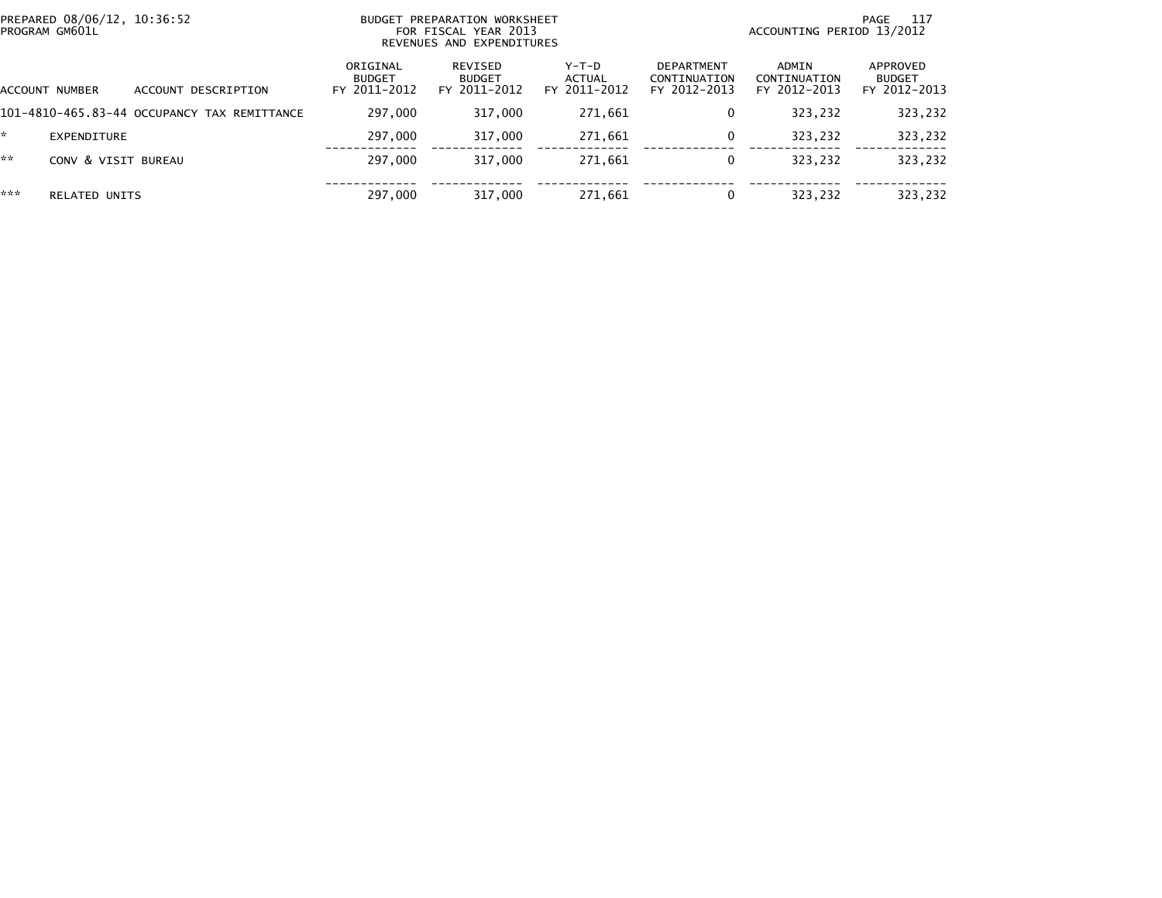| PREPARED 08/06/12, 10:36:52<br>PROGRAM GM601L |                                             |                                           | BUDGET PREPARATION WORKSHEET<br>FOR FISCAL YEAR 2013<br>REVENUES AND EXPENDITURES |                                          | - 117<br>PAGE<br>ACCOUNTING PERIOD 13/2012        |                                       |                                           |  |
|-----------------------------------------------|---------------------------------------------|-------------------------------------------|-----------------------------------------------------------------------------------|------------------------------------------|---------------------------------------------------|---------------------------------------|-------------------------------------------|--|
| <b>ACCOUNT NUMBER</b>                         | ACCOUNT DESCRIPTION                         | ORIGINAL<br><b>BUDGET</b><br>FY 2011-2012 | REVISED<br><b>BUDGET</b><br>FY 2011-2012                                          | $Y-T-D$<br><b>ACTUAL</b><br>FY 2011-2012 | <b>DEPARTMENT</b><br>CONTINUATION<br>FY 2012-2013 | ADMIN<br>CONTINUATION<br>FY 2012-2013 | APPROVED<br><b>BUDGET</b><br>FY 2012-2013 |  |
|                                               | 101-4810-465.83-44 OCCUPANCY TAX REMITTANCE | 297,000                                   | 317,000                                                                           | 271,661                                  | 0                                                 | 323,232                               | 323,232                                   |  |
| *<br>EXPENDITURE                              |                                             | 297,000                                   | 317,000                                                                           | 271,661                                  | 0                                                 | 323,232                               | 323,232                                   |  |
| **<br>CONV & VISIT BUREAU                     |                                             | 297,000                                   | 317,000                                                                           | 271,661                                  | 0                                                 | 323,232                               | 323,232                                   |  |
| ***<br><b>RELATED UNITS</b>                   |                                             | 297,000                                   | 317,000                                                                           | 271,661                                  | 0                                                 | 323,232                               | 323,232                                   |  |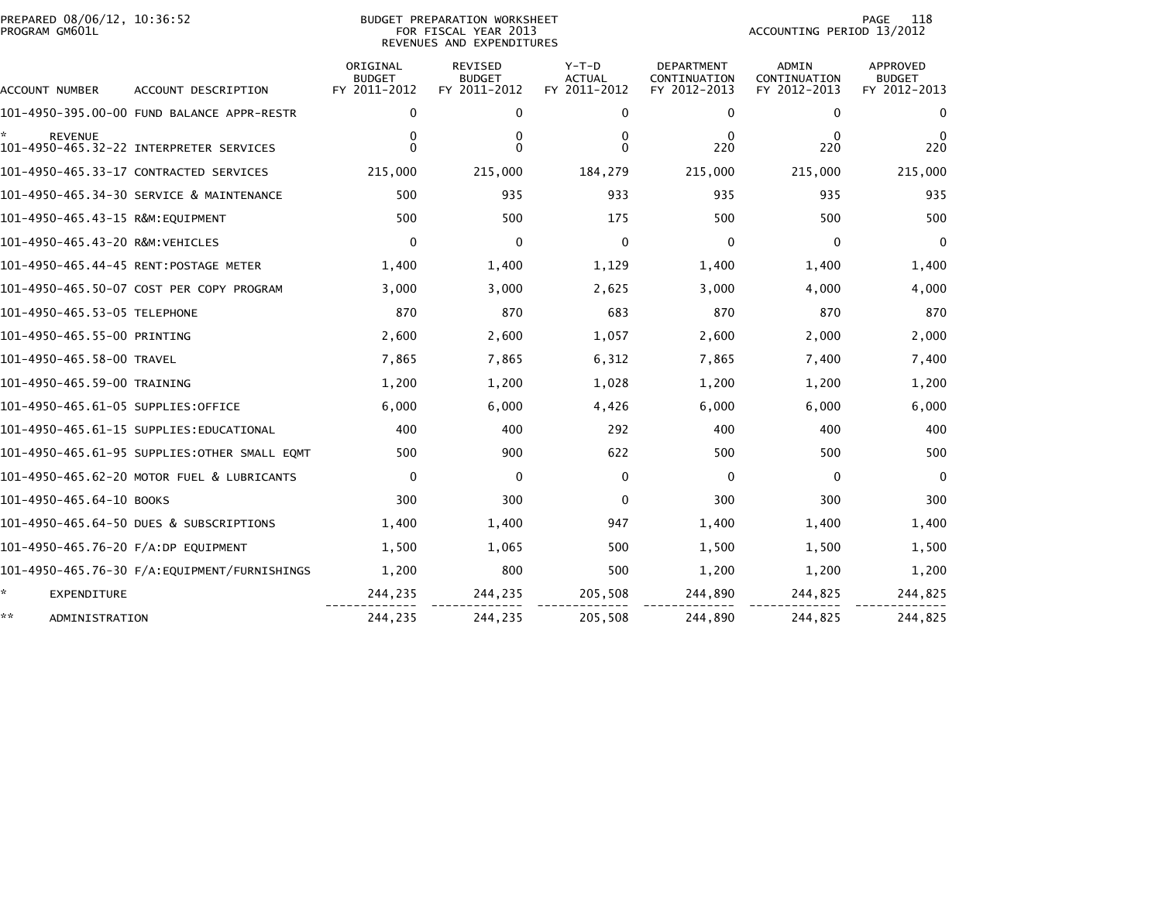| PREPARED 08/06/12, 10:36:52<br>PROGRAM GM601L |                                              |                                           | BUDGET PREPARATION WORKSHEET<br>FOR FISCAL YEAR 2013<br>REVENUES AND EXPENDITURES | 118<br>PAGE<br>ACCOUNTING PERIOD 13/2012 |                                                   |                                              |                                           |
|-----------------------------------------------|----------------------------------------------|-------------------------------------------|-----------------------------------------------------------------------------------|------------------------------------------|---------------------------------------------------|----------------------------------------------|-------------------------------------------|
| ACCOUNT NUMBER                                | ACCOUNT DESCRIPTION                          | ORIGINAL<br><b>BUDGET</b><br>FY 2011-2012 | <b>REVISED</b><br><b>BUDGET</b><br>FY 2011-2012                                   | $Y-T-D$<br><b>ACTUAL</b><br>FY 2011-2012 | <b>DEPARTMENT</b><br>CONTINUATION<br>FY 2012-2013 | <b>ADMIN</b><br>CONTINUATION<br>FY 2012-2013 | APPROVED<br><b>BUDGET</b><br>FY 2012-2013 |
|                                               | 101-4950-395.00-00 FUND BALANCE APPR-RESTR   | 0                                         | 0                                                                                 | 0                                        | 0                                                 | 0                                            | 0                                         |
| <b>REVENUE</b>                                | 101-4950-465.32-22 INTERPRETER SERVICES      | 0<br>0                                    | 0<br>$\Omega$                                                                     | 0<br>0                                   | 0<br>220                                          | 0<br>220                                     | 0<br>220                                  |
|                                               | 101-4950-465.33-17 CONTRACTED SERVICES       | 215,000                                   | 215,000                                                                           | 184,279                                  | 215,000                                           | 215,000                                      | 215,000                                   |
|                                               | 101-4950-465.34-30 SERVICE & MAINTENANCE     | 500                                       | 935                                                                               | 933                                      | 935                                               | 935                                          | 935                                       |
|                                               |                                              | 500                                       | 500                                                                               | 175                                      | 500                                               | 500                                          | 500                                       |
| 101-4950-465.43-20 R&M:VEHICLES               |                                              | 0                                         | 0                                                                                 | 0                                        | 0                                                 | 0                                            | 0                                         |
|                                               |                                              | 1,400                                     | 1,400                                                                             | 1,129                                    | 1,400                                             | 1,400                                        | 1,400                                     |
|                                               | 101-4950-465.50-07 COST PER COPY PROGRAM     | 3,000                                     | 3,000                                                                             | 2,625                                    | 3,000                                             | 4,000                                        | 4,000                                     |
| 101–4950–465.53–05 TELEPHONE                  |                                              | 870                                       | 870                                                                               | 683                                      | 870                                               | 870                                          | 870                                       |
| 101-4950-465.55-00 PRINTING                   |                                              | 2,600                                     | 2,600                                                                             | 1,057                                    | 2,600                                             | 2,000                                        | 2,000                                     |
| 101–4950–465.58–00 TRAVEL                     |                                              | 7,865                                     | 7,865                                                                             | 6,312                                    | 7,865                                             | 7,400                                        | 7,400                                     |
| 101-4950-465.59-00 TRAINING                   |                                              | 1,200                                     | 1,200                                                                             | 1,028                                    | 1,200                                             | 1,200                                        | 1,200                                     |
| 101–4950–465.61–05 SUPPLIES:OFFICE            |                                              | 6,000                                     | 6,000                                                                             | 4,426                                    | 6,000                                             | 6,000                                        | 6,000                                     |
|                                               | 101–4950–465.61–15 SUPPLIES:EDUCATIONAL      | 400                                       | 400                                                                               | 292                                      | 400                                               | 400                                          | 400                                       |
|                                               | 101-4950-465.61-95 SUPPLIES:OTHER SMALL EOMT | 500                                       | 900                                                                               | 622                                      | 500                                               | 500                                          | 500                                       |
|                                               | 101-4950-465.62-20 MOTOR FUEL & LUBRICANTS   | $\Omega$                                  | $\Omega$                                                                          | $\mathbf{0}$                             | $\Omega$                                          | $\Omega$                                     | $\Omega$                                  |
| 101-4950-465.64-10 BOOKS                      |                                              | 300                                       | 300                                                                               | $\Omega$                                 | 300                                               | 300                                          | 300                                       |
|                                               | 101-4950-465.64-50 DUES & SUBSCRIPTIONS      | 1,400                                     | 1,400                                                                             | 947                                      | 1,400                                             | 1,400                                        | 1,400                                     |
| 101-4950-465.76-20 F/A:DP EQUIPMENT           |                                              | 1,500                                     | 1,065                                                                             | 500                                      | 1,500                                             | 1,500                                        | 1,500                                     |
|                                               | 101–4950–465.76–30 F/A:EQUIPMENT/FURNISHINGS | 1,200                                     | 800                                                                               | 500                                      | 1,200                                             | 1,200                                        | 1,200                                     |
| ÷.<br>EXPENDITURE                             |                                              | 244,235                                   | 244,235                                                                           | 205,508                                  | 244,890                                           | 244,825                                      | 244,825                                   |
| **<br>ADMINISTRATION                          |                                              | 244,235                                   | 244,235                                                                           | 205,508                                  | 244,890                                           | 244,825                                      | 244,825                                   |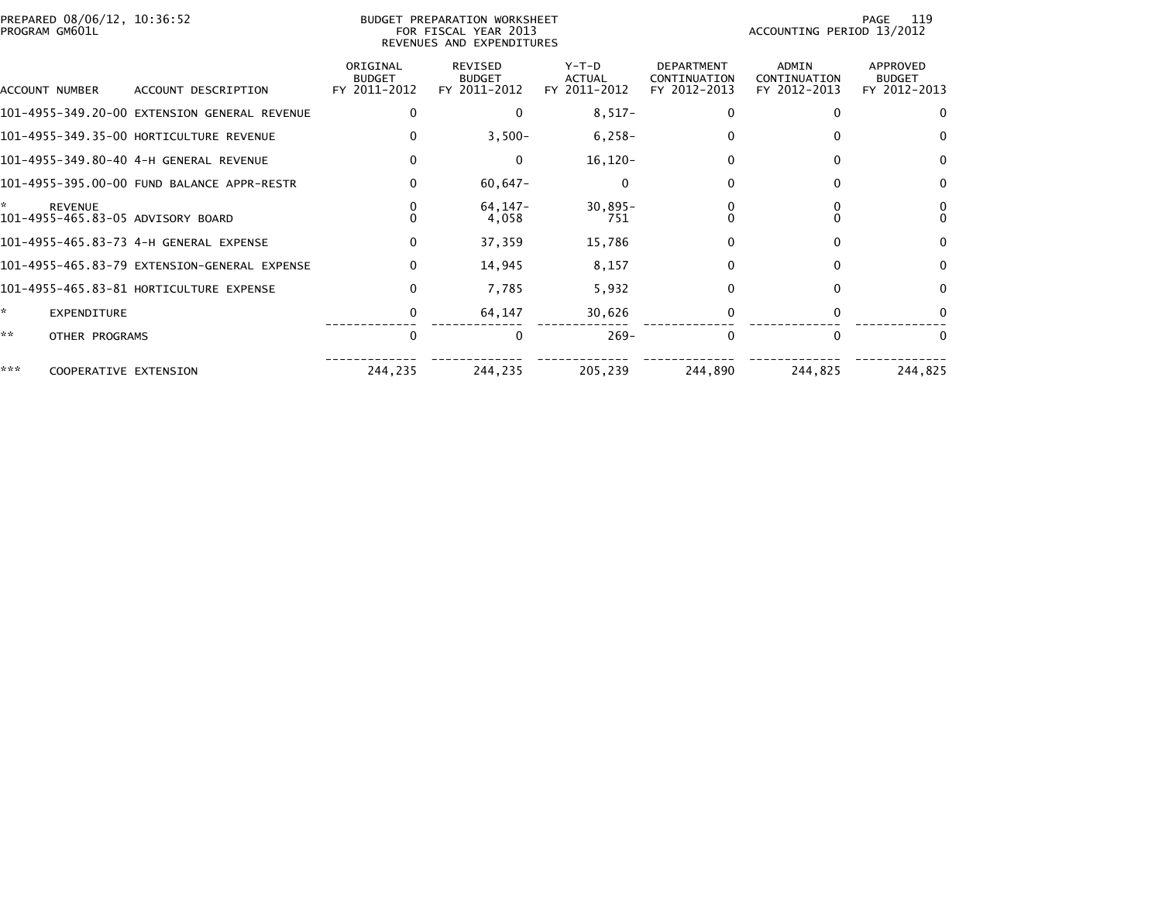| PREPARED 08/06/12, 10:36:52<br>PROGRAM GM601L            |                                              |                                           | BUDGET PREPARATION WORKSHEET<br>FOR FISCAL YEAR 2013<br>REVENUES AND EXPENDITURES |                                        |                                                   | ACCOUNTING PERIOD 13/2012             | 119<br>PAGE                                      |
|----------------------------------------------------------|----------------------------------------------|-------------------------------------------|-----------------------------------------------------------------------------------|----------------------------------------|---------------------------------------------------|---------------------------------------|--------------------------------------------------|
| ACCOUNT NUMBER                                           | ACCOUNT DESCRIPTION                          | ORIGINAL<br><b>BUDGET</b><br>FY 2011-2012 | <b>REVISED</b><br><b>BUDGET</b><br>FY 2011-2012                                   | Y-T-D<br><b>ACTUAL</b><br>FY 2011-2012 | <b>DEPARTMENT</b><br>CONTINUATION<br>FY 2012-2013 | ADMIN<br>CONTINUATION<br>FY 2012-2013 | <b>APPROVED</b><br><b>BUDGET</b><br>FY 2012-2013 |
|                                                          | 101-4955-349.20-00 EXTENSION GENERAL REVENUE | $\Omega$                                  | $\Omega$                                                                          | $8,517-$                               | $\Omega$                                          | $\Omega$                              |                                                  |
|                                                          | 101-4955-349.35-00 HORTICULTURE REVENUE      | 0                                         | $3,500-$                                                                          | $6,258-$                               | 0                                                 | 0                                     | $\mathbf{0}$                                     |
|                                                          |                                              | 0                                         | 0                                                                                 | $16, 120 -$                            | 0                                                 | $\Omega$                              | 0                                                |
|                                                          | 101-4955-395.00-00 FUND BALANCE APPR-RESTR   | $\mathbf{0}$                              | $60,647-$                                                                         |                                        | 0                                                 | 0                                     | $\Omega$                                         |
| *<br><b>REVENUE</b><br>101-4955-465.83-05 ADVISORY BOARD |                                              | 0<br>$\Omega$                             | 64, 147-<br>4,058                                                                 | $30,895 -$<br>751                      |                                                   |                                       | $\Omega$                                         |
|                                                          |                                              | $\mathbf{0}$                              | 37,359                                                                            | 15,786                                 | $\Omega$                                          | 0                                     | 0                                                |
|                                                          | 101-4955-465.83-79 EXTENSION-GENERAL EXPENSE | $\mathbf{0}$                              | 14,945                                                                            | 8,157                                  | $\Omega$                                          | $\Omega$                              | $\Omega$                                         |
|                                                          | 101-4955-465.83-81 HORTICULTURE EXPENSE      | $\mathbf{0}$                              | 7,785                                                                             | 5,932                                  | $\Omega$                                          | 0                                     | $\Omega$                                         |
| ×.<br><b>EXPENDITURE</b>                                 |                                              | 0                                         | 64,147                                                                            | 30,626                                 | 0                                                 | 0                                     |                                                  |
| **<br>OTHER PROGRAMS                                     |                                              | $\Omega$                                  | $\Omega$                                                                          | $269 -$                                | $\Omega$                                          | $\Omega$                              |                                                  |
| ***<br>COOPERATIVE EXTENSION                             |                                              | 244,235                                   | 244,235                                                                           | 205,239                                | 244,890                                           | 244,825                               | 244,825                                          |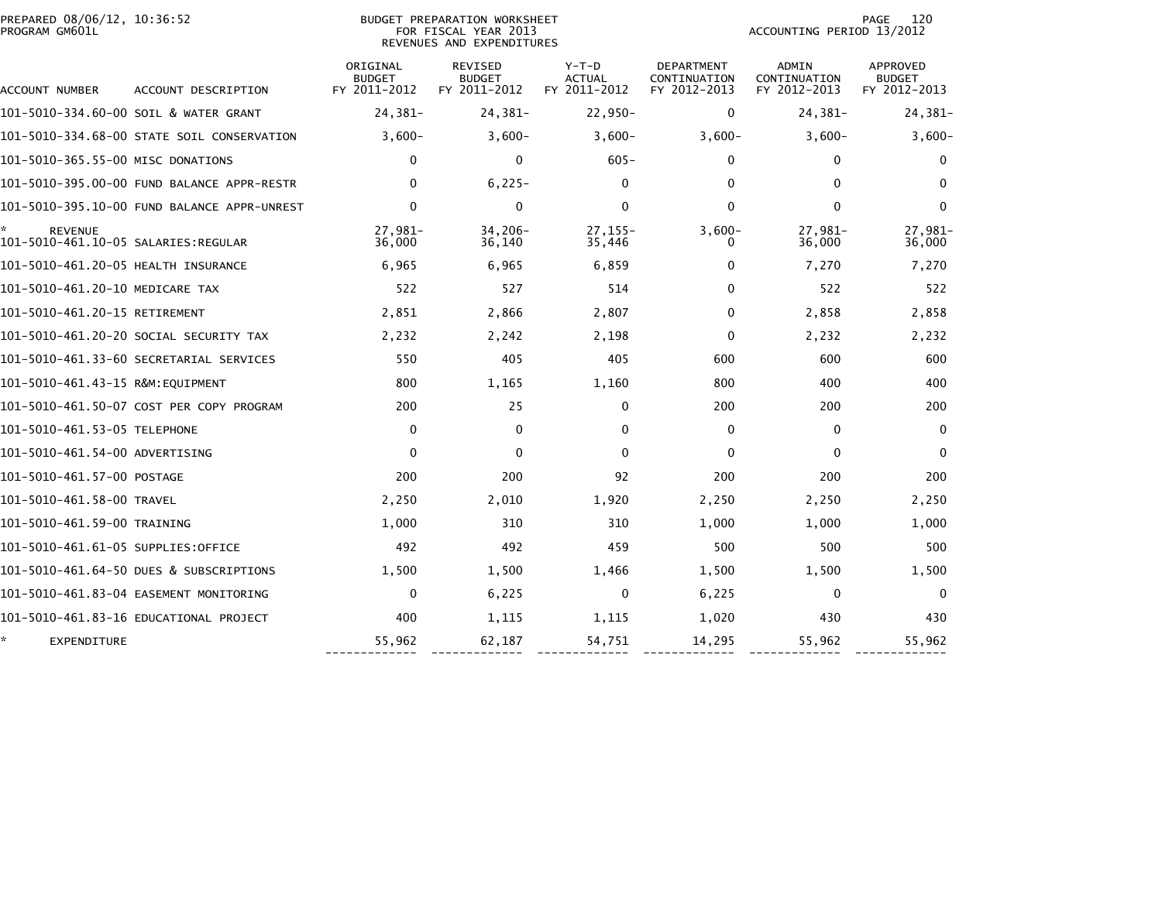| PREPARED 08/06/12, 10:36:52<br>PROGRAM GM601L         |                                            |                                           | <b>BUDGET PREPARATION WORKSHEET</b><br>FOR FISCAL YEAR 2013<br>REVENUES AND EXPENDITURES |                                          |                                                   | ACCOUNTING PERIOD 13/2012             | 120<br>PAGE                               |
|-------------------------------------------------------|--------------------------------------------|-------------------------------------------|------------------------------------------------------------------------------------------|------------------------------------------|---------------------------------------------------|---------------------------------------|-------------------------------------------|
| ACCOUNT NUMBER                                        | ACCOUNT DESCRIPTION                        | ORIGINAL<br><b>BUDGET</b><br>FY 2011-2012 | <b>REVISED</b><br><b>BUDGET</b><br>FY 2011-2012                                          | $Y-T-D$<br><b>ACTUAL</b><br>FY 2011-2012 | <b>DEPARTMENT</b><br>CONTINUATION<br>FY 2012-2013 | ADMIN<br>CONTINUATION<br>FY 2012-2013 | APPROVED<br><b>BUDGET</b><br>FY 2012-2013 |
|                                                       | 101-5010-334.60-00 SOIL & WATER GRANT      | 24,381-                                   | $24,381-$                                                                                | 22,950-                                  | 0                                                 | 24,381-                               | 24,381-                                   |
|                                                       | 101-5010-334.68-00 STATE SOIL CONSERVATION | $3,600-$                                  | $3,600-$                                                                                 | $3,600-$                                 | $3,600-$                                          | $3,600-$                              | $3,600-$                                  |
| 101–5010–365.55–00 MISC DONATIONS                     |                                            | 0                                         | 0                                                                                        | $605 -$                                  | 0                                                 | 0                                     | 0                                         |
|                                                       | 101-5010-395.00-00 FUND BALANCE APPR-RESTR | 0                                         | $6,225-$                                                                                 | 0                                        | 0                                                 | $\mathbf{0}$                          | $\bf{0}$                                  |
|                                                       |                                            | $\Omega$                                  | 0                                                                                        | 0                                        | $\mathbf 0$                                       | $\Omega$                              | 0                                         |
| <b>REVENUE</b><br>101-5010-461.10-05 SALARIES:REGULAR |                                            | $27.981 -$<br>36,000                      | $34,206 -$<br>36,140                                                                     | $27.155 -$<br>35,446                     | $3,600-$<br>$\Omega$                              | 27,981-<br>36,000                     | 27,981-<br>36,000                         |
| 101-5010-461.20-05 HEALTH INSURANCE                   |                                            | 6,965                                     | 6,965                                                                                    | 6,859                                    | 0                                                 | 7,270                                 | 7,270                                     |
| 101-5010-461.20-10 MEDICARE TAX                       |                                            | 522                                       | 527                                                                                      | 514                                      | $\mathbf{0}$                                      | 522                                   | 522                                       |
| 101-5010-461.20-15 RETIREMENT                         |                                            | 2,851                                     | 2,866                                                                                    | 2,807                                    | $\mathbf{0}$                                      | 2,858                                 | 2,858                                     |
|                                                       | 101-5010-461.20-20 SOCIAL SECURITY TAX     | 2,232                                     | 2,242                                                                                    | 2,198                                    | $\mathbf{0}$                                      | 2,232                                 | 2,232                                     |
|                                                       | 101–5010–461.33–60 SECRETARIAL SERVICES    | 550                                       | 405                                                                                      | 405                                      | 600                                               | 600                                   | 600                                       |
| 101-5010-461.43-15 R&M:EQUIPMENT                      |                                            | 800                                       | 1,165                                                                                    | 1,160                                    | 800                                               | 400                                   | 400                                       |
|                                                       | 101-5010-461.50-07 COST PER COPY PROGRAM   | 200                                       | 25                                                                                       | 0                                        | 200                                               | 200                                   | 200                                       |
| 101–5010–461.53–05 TELEPHONE                          |                                            | 0                                         | $\mathbf{0}$                                                                             | 0                                        | $\mathbf{0}$                                      | $\mathbf{0}$                          | $\mathbf{0}$                              |
| 101-5010-461.54-00 ADVERTISING                        |                                            | 0                                         | $\mathbf{0}$                                                                             | $\mathbf{0}$                             | $\mathbf{0}$                                      | $\mathbf{0}$                          | $\mathbf{0}$                              |
| 101-5010-461.57-00 POSTAGE                            |                                            | 200                                       | 200                                                                                      | 92                                       | 200                                               | 200                                   | 200                                       |
| 101-5010-461.58-00 TRAVEL                             |                                            | 2,250                                     | 2,010                                                                                    | 1,920                                    | 2,250                                             | 2,250                                 | 2,250                                     |
| 101-5010-461.59-00 TRAINING                           |                                            | 1,000                                     | 310                                                                                      | 310                                      | 1,000                                             | 1,000                                 | 1,000                                     |
| 101-5010-461.61-05 SUPPLIES:OFFICE                    |                                            | 492                                       | 492                                                                                      | 459                                      | 500                                               | 500                                   | 500                                       |
|                                                       | 101-5010-461.64-50 DUES & SUBSCRIPTIONS    | 1,500                                     | 1,500                                                                                    | 1,466                                    | 1,500                                             | 1,500                                 | 1,500                                     |
|                                                       | 101-5010-461.83-04 EASEMENT MONITORING     | 0                                         | 6,225                                                                                    | $\Omega$                                 | 6,225                                             | $\mathbf{0}$                          | $\Omega$                                  |
|                                                       | 101-5010-461.83-16 EDUCATIONAL PROJECT     | 400                                       | 1,115                                                                                    | 1,115                                    | 1,020                                             | 430                                   | 430                                       |
| EXPENDITURE                                           |                                            | 55,962                                    | 62,187                                                                                   | 54,751                                   | 14,295                                            | 55,962                                | 55,962                                    |

------------- ------------- ------------- ------------- ------------- -------------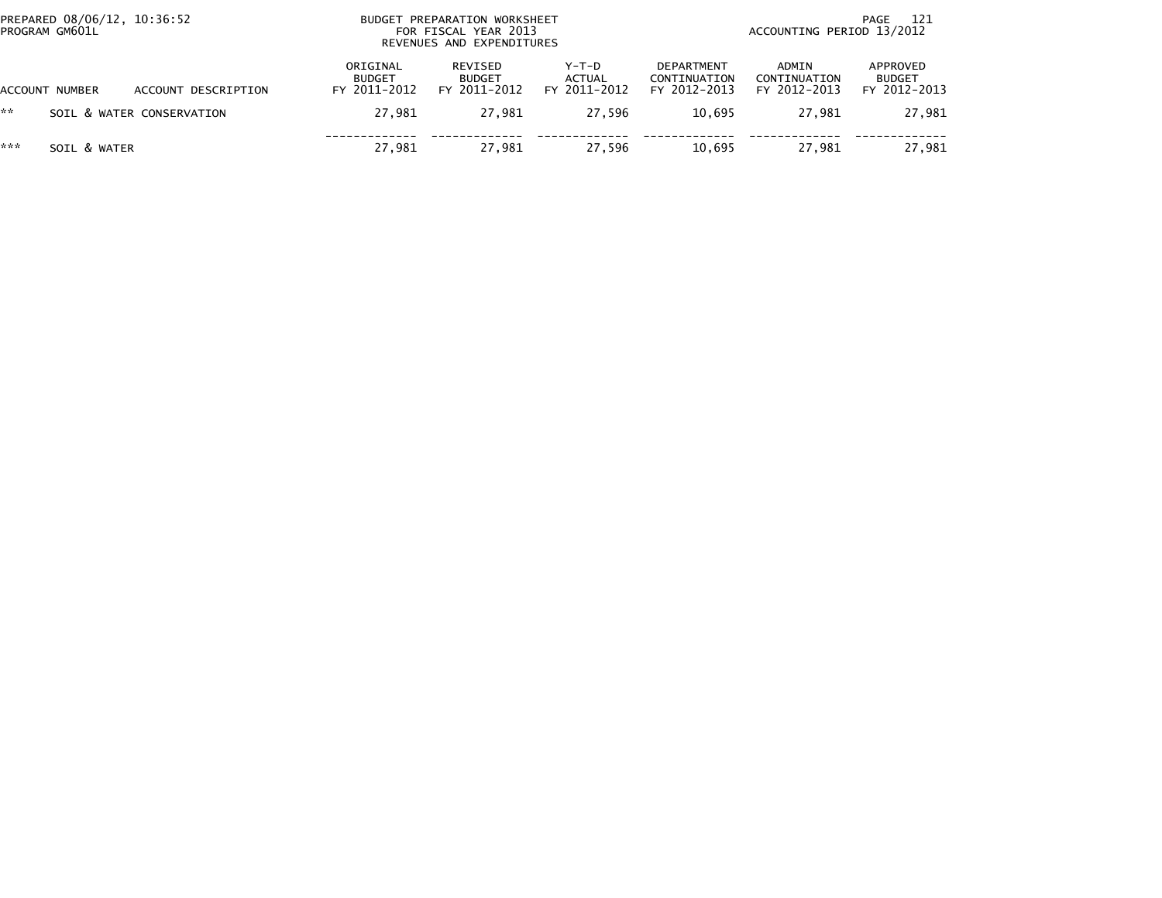| PREPARED 08/06/12, 10:36:52<br>PROGRAM GM601L |                |                           | BUDGET PREPARATION WORKSHEET<br>FOR FISCAL YEAR 2013<br>REVENUES AND EXPENDITURES | 121<br>PAGE<br>ACCOUNTING PERIOD 13/2012 |                                 |                                                   |                                       |                                           |
|-----------------------------------------------|----------------|---------------------------|-----------------------------------------------------------------------------------|------------------------------------------|---------------------------------|---------------------------------------------------|---------------------------------------|-------------------------------------------|
|                                               | ACCOUNT NUMBER | ACCOUNT DESCRIPTION       | ORIGINAL<br><b>BUDGET</b><br>FY 2011-2012                                         | REVISED<br><b>BUDGET</b><br>FY 2011-2012 | Y-T-D<br>ACTUAL<br>FY 2011-2012 | <b>DEPARTMENT</b><br>CONTINUATION<br>FY 2012-2013 | ADMIN<br>CONTINUATION<br>FY 2012-2013 | APPROVED<br><b>BUDGET</b><br>FY 2012-2013 |
| **                                            |                | SOIL & WATER CONSERVATION | 27.981                                                                            | 27.981                                   | 27.596                          | 10.695                                            | 27.981                                | 27,981                                    |
| ***                                           | SOIL & WATER   |                           | 27,981                                                                            | 27.981                                   | 27.596                          | 10.695                                            | 27,981                                | 27,981                                    |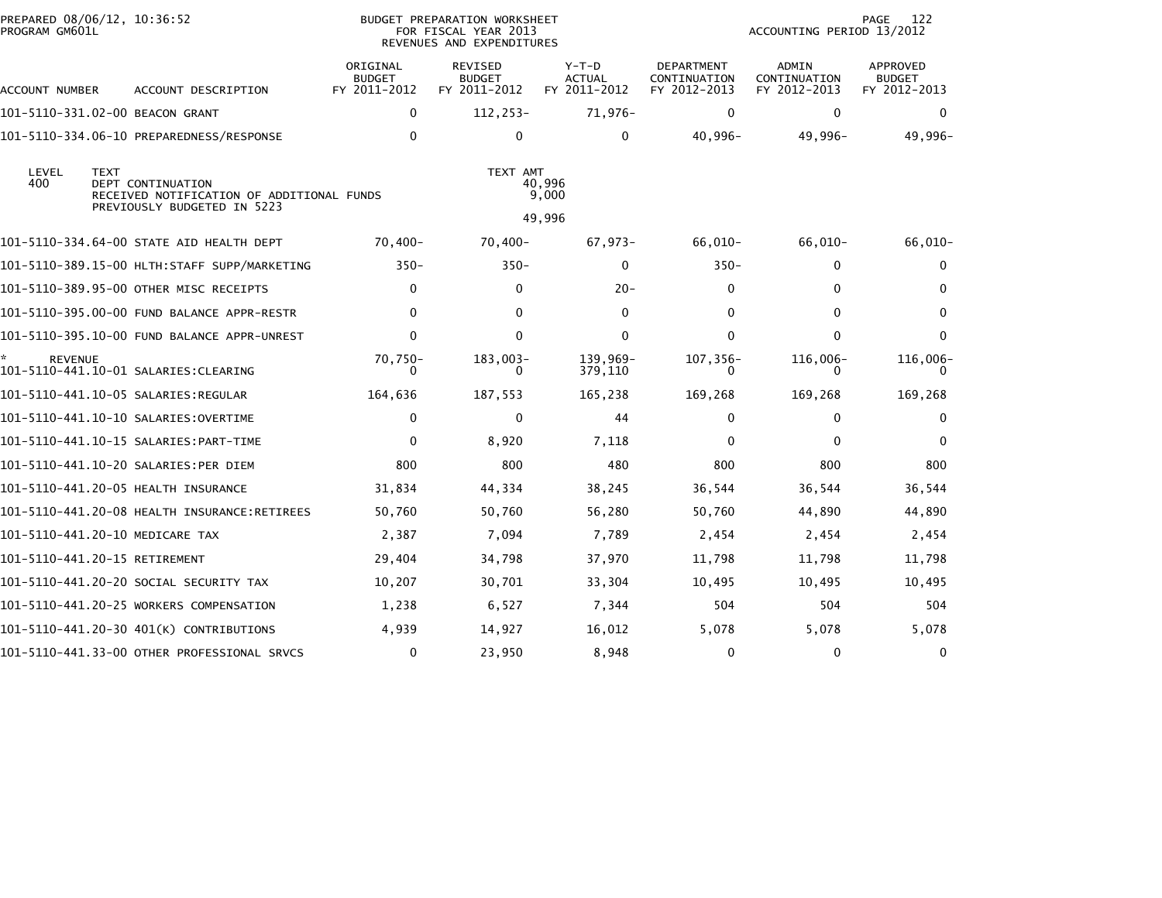| PREPARED 08/06/12, 10:36:52<br>PROGRAM GM601L |                                                                                                              |                                           | BUDGET PREPARATION WORKSHEET<br>FOR FISCAL YEAR 2013<br>REVENUES AND EXPENDITURES |                                          | 122<br>PAGE<br>ACCOUNTING PERIOD 13/2012   |                                       |                                           |
|-----------------------------------------------|--------------------------------------------------------------------------------------------------------------|-------------------------------------------|-----------------------------------------------------------------------------------|------------------------------------------|--------------------------------------------|---------------------------------------|-------------------------------------------|
| ACCOUNT NUMBER                                | ACCOUNT DESCRIPTION                                                                                          | ORIGINAL<br><b>BUDGET</b><br>FY 2011-2012 | <b>REVISED</b><br><b>BUDGET</b><br>FY 2011-2012                                   | $Y-T-D$<br><b>ACTUAL</b><br>FY 2011-2012 | DEPARTMENT<br>CONTINUATION<br>FY 2012-2013 | ADMIN<br>CONTINUATION<br>FY 2012-2013 | APPROVED<br><b>BUDGET</b><br>FY 2012-2013 |
|                                               | 101-5110-331.02-00 BEACON GRANT                                                                              | 0                                         | $112, 253-$                                                                       | 71,976-                                  | 0                                          | 0                                     | $\Omega$                                  |
|                                               |                                                                                                              | $\mathbf{0}$                              | 0                                                                                 | 0                                        | 40,996-                                    | 49,996-                               | 49,996-                                   |
| LEVEL<br>400                                  | <b>TEXT</b><br>DEPT CONTINUATION<br>RECEIVED NOTIFICATION OF ADDITIONAL FUNDS<br>PREVIOUSLY BUDGETED IN 5223 |                                           | TEXT AMT                                                                          | 40,996<br>9,000                          |                                            |                                       |                                           |
|                                               |                                                                                                              |                                           |                                                                                   | 49,996                                   |                                            |                                       |                                           |
|                                               | 101-5110-334.64-00 STATE AID HEALTH DEPT                                                                     | 70,400-                                   | $70,400-$                                                                         | 67,973-                                  | 66,010-                                    | 66,010-                               | 66,010-                                   |
|                                               | 101-5110-389.15-00 HLTH:STAFF SUPP/MARKETING                                                                 | $350 -$                                   | $350 -$                                                                           | 0                                        | $350 -$                                    | $\mathbf{0}$                          | 0                                         |
|                                               | 101-5110-389.95-00 OTHER MISC RECEIPTS                                                                       | $\mathbf{0}$                              | 0                                                                                 | $20 -$                                   | 0                                          | $\mathbf{0}$                          | $\Omega$                                  |
|                                               |                                                                                                              | $\mathbf{0}$                              | $\mathbf{0}$                                                                      | 0                                        | 0                                          | $\mathbf{0}$                          | $\Omega$                                  |
|                                               | 101-5110-395.10-00 FUND BALANCE APPR-UNREST                                                                  | $\mathbf 0$                               | $\mathbf{0}$                                                                      | 0                                        | $\Omega$                                   | $\mathbf 0$                           | $\Omega$                                  |
| <b>REVENUE</b>                                |                                                                                                              | $70.750 -$<br>$\Omega$                    | 183,003-<br>0                                                                     | 139,969-<br>379,110                      | $107, 356 -$<br>0                          | $116,006 -$<br>0                      | 116,006-<br>$\Omega$                      |
|                                               | 101–5110–441.10–05 SALARIES:REGULAR                                                                          | 164,636                                   | 187,553                                                                           | 165,238                                  | 169,268                                    | 169,268                               | 169,268                                   |
|                                               |                                                                                                              | $\mathbf 0$                               | $\mathbf 0$                                                                       | 44                                       | $\Omega$                                   | 0                                     | $\Omega$                                  |
|                                               |                                                                                                              | $\mathbf 0$                               | 8,920                                                                             | 7,118                                    | $\Omega$                                   | $\Omega$                              | $\Omega$                                  |
|                                               | 101-5110-441.10-20 SALARIES:PER DIEM                                                                         | 800                                       | 800                                                                               | 480                                      | 800                                        | 800                                   | 800                                       |
|                                               |                                                                                                              | 31,834                                    | 44,334                                                                            | 38,245                                   | 36,544                                     | 36,544                                | 36,544                                    |
|                                               | 101-5110-441.20-08 HEALTH INSURANCE:RETIREES                                                                 | 50,760                                    | 50,760                                                                            | 56,280                                   | 50,760                                     | 44,890                                | 44,890                                    |
|                                               | 101-5110-441.20-10 MEDICARE TAX                                                                              | 2,387                                     | 7,094                                                                             | 7,789                                    | 2,454                                      | 2,454                                 | 2,454                                     |
|                                               | 101-5110-441.20-15 RETIREMENT                                                                                | 29,404                                    | 34,798                                                                            | 37,970                                   | 11,798                                     | 11,798                                | 11,798                                    |
|                                               | 101–5110–441.20–20 SOCIAL SECURITY TAX                                                                       | 10,207                                    | 30,701                                                                            | 33,304                                   | 10,495                                     | 10,495                                | 10,495                                    |
|                                               | 101-5110-441.20-25 WORKERS COMPENSATION                                                                      | 1,238                                     | 6,527                                                                             | 7,344                                    | 504                                        | 504                                   | 504                                       |
|                                               | 101-5110-441.20-30 401(K) CONTRIBUTIONS                                                                      | 4,939                                     | 14,927                                                                            | 16,012                                   | 5,078                                      | 5,078                                 | 5,078                                     |
|                                               | 101-5110-441.33-00 OTHER PROFESSIONAL SRVCS                                                                  | 0                                         | 23,950                                                                            | 8,948                                    | 0                                          | $\mathbf 0$                           | 0                                         |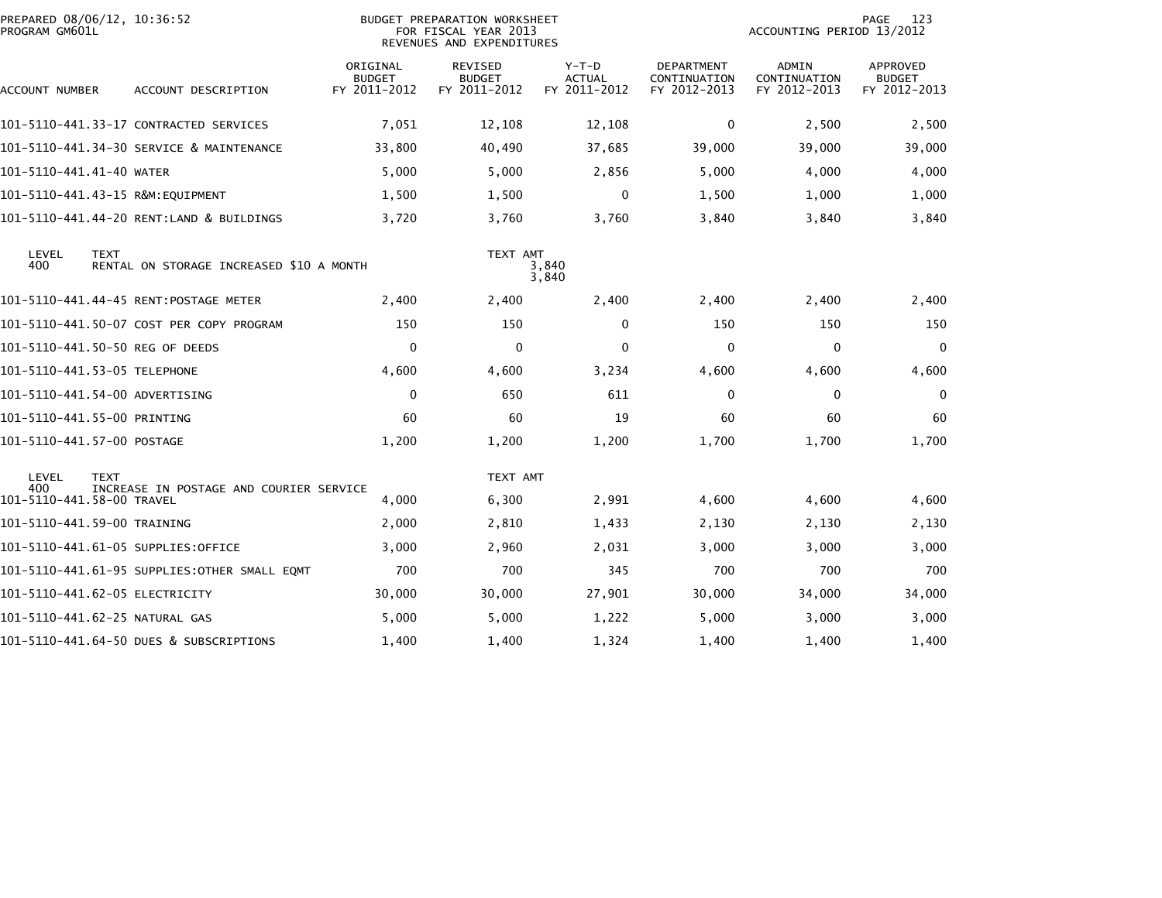| PREPARED 08/06/12, 10:36:52<br>PROGRAM GM601L |             |                                              | BUDGET PREPARATION WORKSHEET<br>FOR FISCAL YEAR 2013<br>REVENUES AND EXPENDITURES |                                          |                                          |                                            | 123<br>PAGE<br>ACCOUNTING PERIOD 13/2012 |                                                  |  |
|-----------------------------------------------|-------------|----------------------------------------------|-----------------------------------------------------------------------------------|------------------------------------------|------------------------------------------|--------------------------------------------|------------------------------------------|--------------------------------------------------|--|
| ACCOUNT NUMBER                                |             | ACCOUNT DESCRIPTION                          | ORIGINAL<br><b>BUDGET</b><br>FY 2011-2012                                         | REVISED<br><b>BUDGET</b><br>FY 2011-2012 | $Y-T-D$<br><b>ACTUAL</b><br>FY 2011-2012 | DEPARTMENT<br>CONTINUATION<br>FY 2012-2013 | ADMIN<br>CONTINUATION<br>FY 2012-2013    | <b>APPROVED</b><br><b>BUDGET</b><br>FY 2012-2013 |  |
|                                               |             | 101–5110–441.33–17 CONTRACTED SERVICES       | 7,051                                                                             | 12,108                                   | 12,108                                   | 0                                          | 2,500                                    | 2,500                                            |  |
|                                               |             | 101-5110-441.34-30 SERVICE & MAINTENANCE     | 33,800                                                                            | 40,490                                   | 37,685                                   | 39,000                                     | 39,000                                   | 39,000                                           |  |
| 101-5110-441.41-40 WATER                      |             |                                              | 5,000                                                                             | 5,000                                    | 2,856                                    | 5,000                                      | 4,000                                    | 4,000                                            |  |
|                                               |             | 101-5110-441.43-15 R&M:EQUIPMENT             | 1,500                                                                             | 1,500                                    | $\mathbf{0}$                             | 1,500                                      | 1,000                                    | 1,000                                            |  |
|                                               |             | 101-5110-441.44-20 RENT:LAND & BUILDINGS     | 3,720                                                                             | 3,760                                    | 3,760                                    | 3,840                                      | 3,840                                    | 3,840                                            |  |
| LEVEL<br>400                                  | <b>TEXT</b> | RENTAL ON STORAGE INCREASED \$10 A MONTH     |                                                                                   | TEXT AMT                                 | 3,840<br>3,840                           |                                            |                                          |                                                  |  |
|                                               |             |                                              | 2,400                                                                             | 2,400                                    | 2,400                                    | 2,400                                      | 2,400                                    | 2,400                                            |  |
|                                               |             | 101-5110-441.50-07 COST PER COPY PROGRAM     | 150                                                                               | 150                                      | 0                                        | 150                                        | 150                                      | 150                                              |  |
| 101–5110–441.50–50 REG OF DEEDS               |             |                                              | $\mathbf 0$                                                                       | $\mathbf{0}$                             | $\Omega$                                 | $\Omega$                                   | 0                                        | $\mathbf 0$                                      |  |
| 101-5110-441.53-05 TELEPHONE                  |             |                                              | 4,600                                                                             | 4,600                                    | 3,234                                    | 4,600                                      | 4,600                                    | 4,600                                            |  |
| 101–5110–441.54–00 ADVERTISING                |             |                                              | $\mathbf 0$                                                                       | 650                                      | 611                                      | $\Omega$                                   | $\Omega$                                 | 0                                                |  |
| 101-5110-441.55-00 PRINTING                   |             |                                              | 60                                                                                | 60                                       | 19                                       | 60                                         | 60                                       | 60                                               |  |
| 101-5110-441.57-00 POSTAGE                    |             |                                              | 1,200                                                                             | 1,200                                    | 1,200                                    | 1.700                                      | 1,700                                    | 1,700                                            |  |
| LEVEL<br>400<br>101-5110-441.58-00 TRAVEL     | <b>TEXT</b> | INCREASE IN POSTAGE AND COURIER SERVICE      | 4,000                                                                             | TEXT AMT<br>6,300                        | 2,991                                    | 4,600                                      | 4,600                                    | 4,600                                            |  |
| 101-5110-441.59-00 TRAINING                   |             |                                              | 2,000                                                                             | 2,810                                    | 1,433                                    | 2,130                                      | 2,130                                    | 2,130                                            |  |
|                                               |             | 101–5110–441.61–05 SUPPLIES:OFFICE           | 3,000                                                                             | 2,960                                    | 2,031                                    | 3,000                                      | 3,000                                    | 3,000                                            |  |
|                                               |             | 101–5110–441.61–95 SUPPLIES:OTHER SMALL EQMT | 700                                                                               | 700                                      | 345                                      | 700                                        | 700                                      | 700                                              |  |
| 101-5110-441.62-05 ELECTRICITY                |             |                                              | 30,000                                                                            | 30,000                                   | 27,901                                   | 30,000                                     | 34,000                                   | 34,000                                           |  |
| 101–5110–441.62–25 NATURAL GAS                |             |                                              | 5,000                                                                             | 5,000                                    | 1,222                                    | 5,000                                      | 3,000                                    | 3,000                                            |  |
|                                               |             | 101-5110-441.64-50 DUES & SUBSCRIPTIONS      | 1,400                                                                             | 1,400                                    | 1,324                                    | 1,400                                      | 1,400                                    | 1,400                                            |  |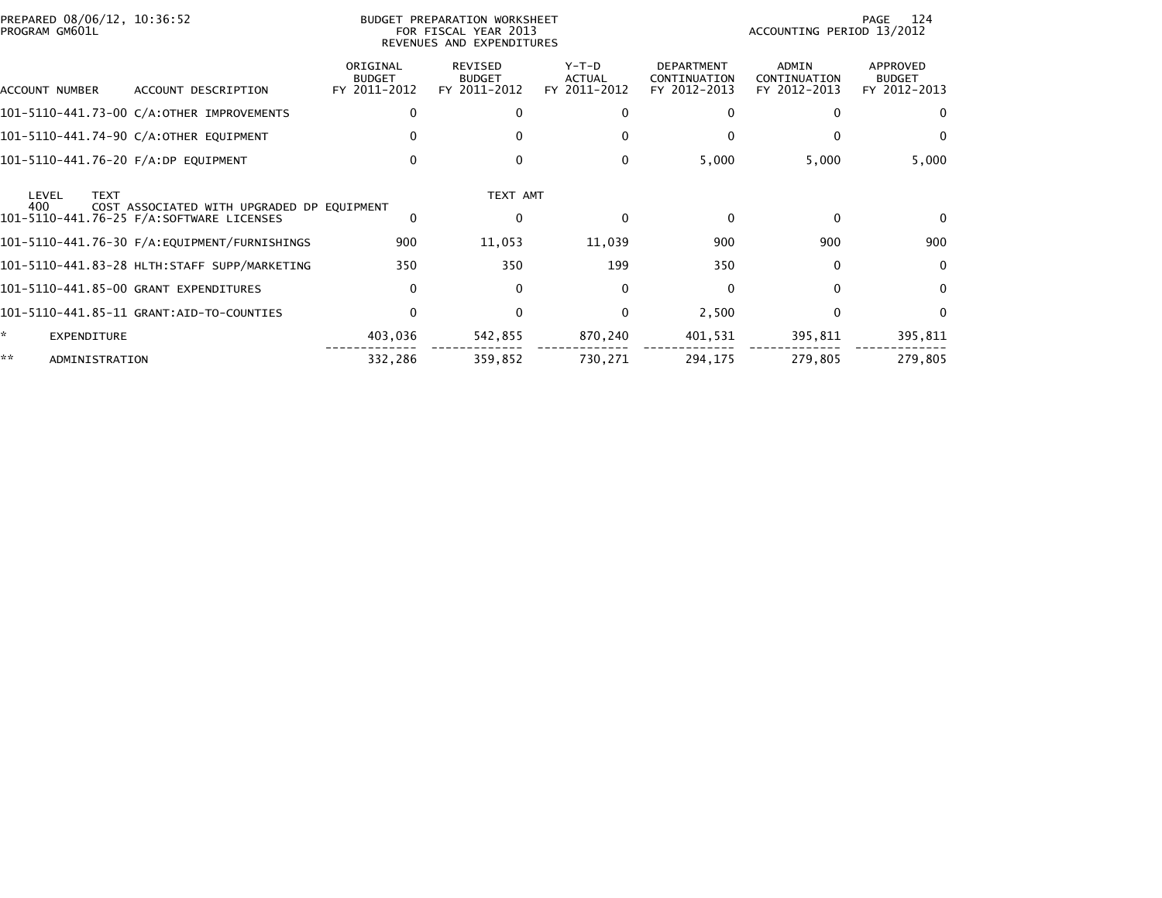| PREPARED 08/06/12, 10:36:52<br>PROGRAM GM601L |                                              |                                           | BUDGET PREPARATION WORKSHEET<br>FOR FISCAL YEAR 2013<br>REVENUES AND EXPENDITURES |                                          |                                                   | 124<br>PAGE<br>ACCOUNTING PERIOD 13/2012     |                                                  |  |
|-----------------------------------------------|----------------------------------------------|-------------------------------------------|-----------------------------------------------------------------------------------|------------------------------------------|---------------------------------------------------|----------------------------------------------|--------------------------------------------------|--|
| ACCOUNT NUMBER                                | ACCOUNT DESCRIPTION                          | ORIGINAL<br><b>BUDGET</b><br>FY 2011-2012 | <b>REVISED</b><br><b>BUDGET</b><br>FY 2011-2012                                   | $Y-T-D$<br><b>ACTUAL</b><br>FY 2011-2012 | <b>DEPARTMENT</b><br>CONTINUATION<br>FY 2012-2013 | <b>ADMIN</b><br>CONTINUATION<br>FY 2012-2013 | <b>APPROVED</b><br><b>BUDGET</b><br>FY 2012-2013 |  |
|                                               | 101-5110-441.73-00 C/A:OTHER IMPROVEMENTS    | $\mathbf{0}$                              | $\Omega$                                                                          |                                          | 0                                                 | $\mathbf{0}$                                 | $\Omega$                                         |  |
|                                               | 101-5110-441.74-90 C/A:OTHER EQUIPMENT       | $\mathbf{0}$                              | $\Omega$                                                                          |                                          | $\Omega$                                          | $\Omega$                                     | $\mathbf{0}$                                     |  |
| 101-5110-441.76-20 F/A:DP EQUIPMENT           |                                              | 0                                         | 0                                                                                 | $\Omega$                                 | 5,000                                             | 5,000                                        | 5,000                                            |  |
| <b>TEXT</b><br>LEVEL<br>400                   | COST ASSOCIATED WITH UPGRADED DP EQUIPMENT   |                                           | TEXT AMT                                                                          |                                          |                                                   |                                              |                                                  |  |
|                                               | 101-5110-441.76-25 F/A:SOFTWARE LICENSES     | 0                                         | 0                                                                                 | $\Omega$                                 | $\Omega$                                          | $\mathbf{0}$                                 | $\Omega$                                         |  |
|                                               |                                              | 900                                       | 11,053                                                                            | 11,039                                   | 900                                               | 900                                          | 900                                              |  |
|                                               | 101-5110-441.83-28 HLTH:STAFF SUPP/MARKETING | 350                                       | 350                                                                               | 199                                      | 350                                               | $\mathbf{0}$                                 | 0                                                |  |
|                                               | 101-5110-441.85-00 GRANT EXPENDITURES        | $\mathbf{0}$                              | $\Omega$                                                                          | $\Omega$                                 | $\Omega$                                          | $\Omega$                                     | $\Omega$                                         |  |
|                                               |                                              | $\mathbf{0}$                              | $\mathbf{0}$                                                                      |                                          | 2,500                                             | $\mathbf{0}$                                 | $\Omega$                                         |  |
| *<br>EXPENDITURE                              |                                              | 403,036                                   | 542,855                                                                           | 870,240                                  | 401,531                                           | 395,811                                      | 395,811                                          |  |
| **<br>ADMINISTRATION                          |                                              | 332,286                                   | 359,852                                                                           | 730,271                                  | 294,175                                           | 279,805                                      | 279,805                                          |  |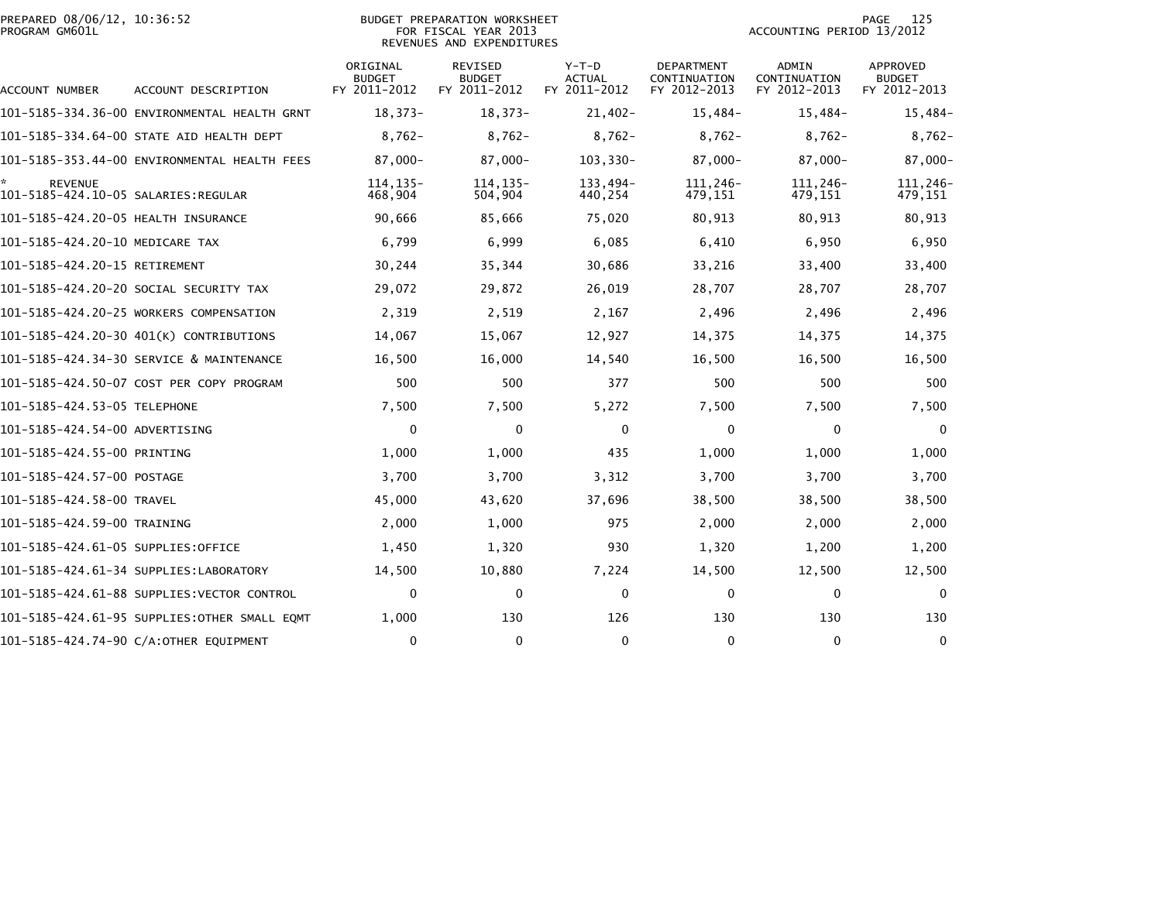|                | PREPARED 08/06/12, 10:36:52 |  |
|----------------|-----------------------------|--|
| PROGRAM GM601L |                             |  |

## PREPARED 08/06/12, 10:36:52 PREPARATION WORKSHEET PREPARATION WORKSHEET PREPARATION WORKSHEET<br>FOR FISCAL YEAR 2013 ACCOUNTING PERIOD 13/2012<br>REVENUES AND EXPENDITURES

PAGE 125<br>ACCOUNTING PERIOD 13/2012

|                                                        |                                              | ORIGINAL<br><b>BUDGET</b> | <b>REVISED</b><br><b>BUDGET</b> | $Y-T-D$<br><b>ACTUAL</b> | <b>DEPARTMENT</b><br>CONTINUATION | ADMIN<br>CONTINUATION | <b>APPROVED</b><br><b>BUDGET</b> |
|--------------------------------------------------------|----------------------------------------------|---------------------------|---------------------------------|--------------------------|-----------------------------------|-----------------------|----------------------------------|
| ACCOUNT NUMBER                                         | ACCOUNT DESCRIPTION                          | FY 2011-2012              | FY 2011-2012                    | FY 2011-2012             | FY 2012-2013                      | FY 2012-2013          | FY 2012-2013                     |
|                                                        | 101-5185-334.36-00 ENVIRONMENTAL HEALTH GRNT | $18,373-$                 | $18,373-$                       | $21,402-$                | $15,484-$                         | $15,484-$             | 15,484-                          |
|                                                        | 101-5185-334.64-00 STATE AID HEALTH DEPT     | $8,762-$                  | $8,762-$                        | $8,762-$                 | $8,762-$                          | $8,762-$              | $8,762-$                         |
|                                                        | 101-5185-353.44-00 ENVIRONMENTAL HEALTH FEES | $87,000 -$                | $87,000 -$                      | 103,330-                 | $87,000 -$                        | 87,000-               | 87,000-                          |
| <b>REVENUE</b><br>101-5185-424.10-05 SALARIES: REGULAR |                                              | $114, 135 -$<br>468,904   | $114, 135 -$<br>504,904         | 133,494-<br>440,254      | 111,246-<br>479,151               | 111,246-<br>479,151   | 111,246-<br>479,151              |
| 101-5185-424.20-05 HEALTH INSURANCE                    |                                              | 90,666                    | 85,666                          | 75,020                   | 80,913                            | 80,913                | 80,913                           |
| 101-5185-424.20-10 MEDICARE TAX                        |                                              | 6,799                     | 6,999                           | 6,085                    | 6,410                             | 6,950                 | 6,950                            |
| 101-5185-424.20-15 RETIREMENT                          |                                              | 30,244                    | 35,344                          | 30,686                   | 33,216                            | 33,400                | 33,400                           |
|                                                        | 101-5185-424.20-20 SOCIAL SECURITY TAX       | 29,072                    | 29,872                          | 26,019                   | 28,707                            | 28,707                | 28,707                           |
|                                                        | 101-5185-424.20-25 WORKERS COMPENSATION      | 2,319                     | 2,519                           | 2,167                    | 2,496                             | 2,496                 | 2,496                            |
|                                                        | 101-5185-424.20-30 401(K) CONTRIBUTIONS      | 14,067                    | 15,067                          | 12,927                   | 14,375                            | 14,375                | 14,375                           |
|                                                        | 101-5185-424.34-30 SERVICE & MAINTENANCE     | 16,500                    | 16,000                          | 14,540                   | 16,500                            | 16,500                | 16,500                           |
|                                                        | 101-5185-424.50-07 COST PER COPY PROGRAM     | 500                       | 500                             | 377                      | 500                               | 500                   | 500                              |
| 101-5185-424.53-05 TELEPHONE                           |                                              | 7,500                     | 7,500                           | 5,272                    | 7,500                             | 7,500                 | 7,500                            |
| 101–5185–424.54–00 ADVERTISING                         |                                              | 0                         | $\mathbf{0}$                    | $\Omega$                 | 0                                 | 0                     | $\mathbf{0}$                     |
| 101-5185-424.55-00 PRINTING                            |                                              | 1,000                     | 1,000                           | 435                      | 1,000                             | 1,000                 | 1,000                            |
| 101-5185-424.57-00 POSTAGE                             |                                              | 3,700                     | 3,700                           | 3,312                    | 3,700                             | 3,700                 | 3,700                            |
| 101-5185-424.58-00 TRAVEL                              |                                              | 45,000                    | 43,620                          | 37,696                   | 38,500                            | 38,500                | 38,500                           |
| 101-5185-424.59-00 TRAINING                            |                                              | 2,000                     | 1,000                           | 975                      | 2,000                             | 2,000                 | 2,000                            |
| 101-5185-424.61-05 SUPPLIES:OFFICE                     |                                              | 1,450                     | 1,320                           | 930                      | 1,320                             | 1,200                 | 1,200                            |
|                                                        | 101–5185–424.61–34 SUPPLIES:LABORATORY       | 14,500                    | 10,880                          | 7,224                    | 14,500                            | 12,500                | 12,500                           |
|                                                        | 101-5185-424.61-88 SUPPLIES: VECTOR CONTROL  | 0                         | 0                               | 0                        | 0                                 | $\mathbf{0}$          | 0                                |
|                                                        | 101–5185–424.61–95 SUPPLIES:OTHER SMALL EOMT | 1,000                     | 130                             | 126                      | 130                               | 130                   | 130                              |
|                                                        | 101-5185-424.74-90 C/A:OTHER EQUIPMENT       | $\mathbf 0$               | $\mathbf{0}$                    | $\mathbf{0}$             | $\Omega$                          | $\mathbf{0}$          | $\mathbf 0$                      |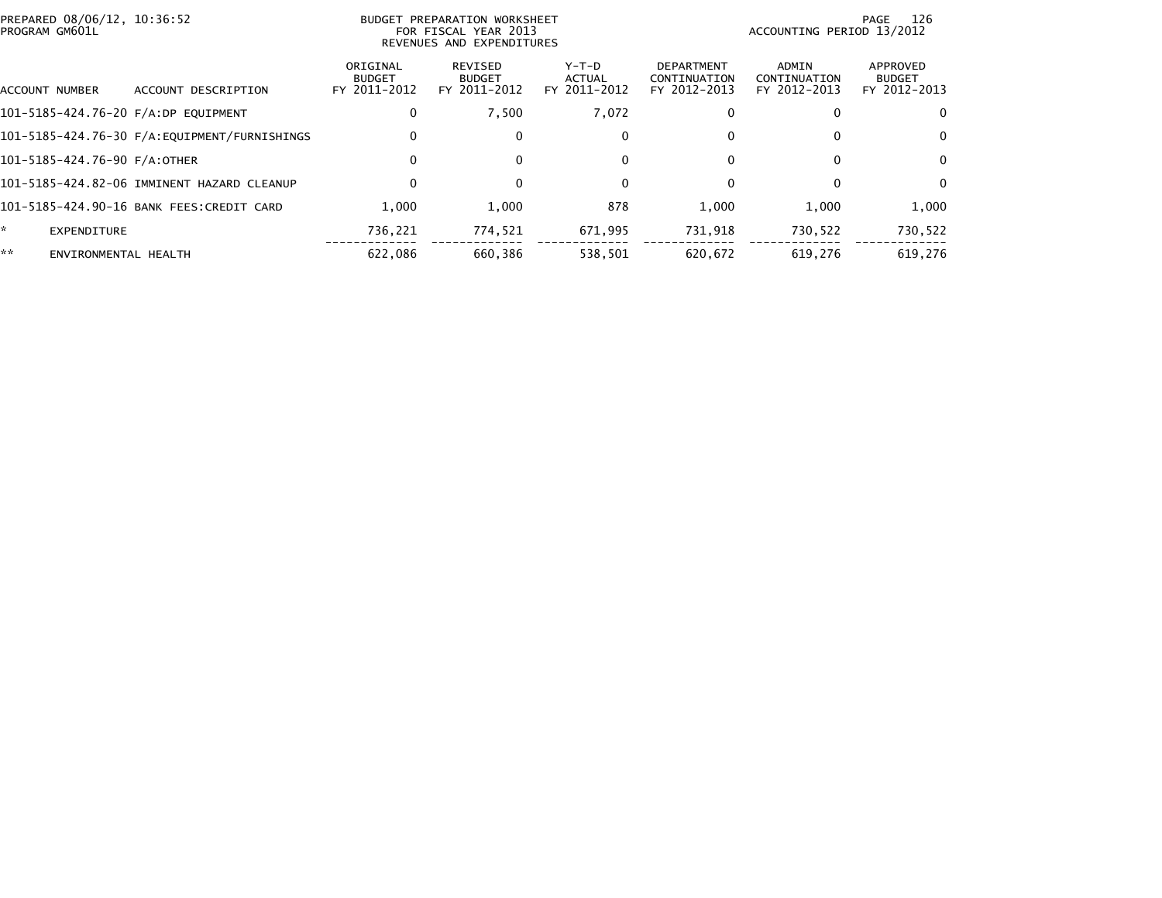| PREPARED 08/06/12, 10:36:52<br>PROGRAM GM601L |                                              | BUDGET PREPARATION WORKSHEET<br>FOR FISCAL YEAR 2013<br>REVENUES AND EXPENDITURES |                                          |                                          |                                                   | 126<br>PAGE<br>ACCOUNTING PERIOD 13/2012 |                                           |  |
|-----------------------------------------------|----------------------------------------------|-----------------------------------------------------------------------------------|------------------------------------------|------------------------------------------|---------------------------------------------------|------------------------------------------|-------------------------------------------|--|
| ACCOUNT NUMBER                                | ACCOUNT DESCRIPTION                          | ORIGINAL<br><b>BUDGET</b><br>FY 2011-2012                                         | REVISED<br><b>BUDGET</b><br>FY 2011-2012 | $Y-T-D$<br><b>ACTUAL</b><br>FY 2011-2012 | <b>DEPARTMENT</b><br>CONTINUATION<br>FY 2012-2013 | ADMIN<br>CONTINUATION<br>FY 2012-2013    | APPROVED<br><b>BUDGET</b><br>FY 2012-2013 |  |
|                                               | 101-5185-424.76-20 F/A:DP EQUIPMENT          | 0                                                                                 | 7,500                                    | 7,072                                    | 0                                                 |                                          | $\mathbf 0$                               |  |
|                                               | 101-5185-424.76-30 F/A:EQUIPMENT/FURNISHINGS | 0                                                                                 | 0                                        | 0                                        | 0                                                 | 0                                        | $\mathbf 0$                               |  |
|                                               | 101-5185-424.76-90 F/A:OTHER                 | 0                                                                                 | 0                                        | 0                                        | 0                                                 | 0                                        | $\mathbf{0}$                              |  |
|                                               | 101-5185-424.82-06 IMMINENT HAZARD CLEANUP   | 0                                                                                 | $\mathbf{0}$                             | $\Omega$                                 | 0                                                 |                                          | $\Omega$                                  |  |
|                                               | 101-5185-424.90-16 BANK FEES:CREDIT CARD     | 1.000                                                                             | 1,000                                    | 878                                      | 1,000                                             | 1.000                                    | 1,000                                     |  |
| *.<br>EXPENDITURE                             |                                              | 736,221                                                                           | 774,521                                  | 671,995                                  | 731,918                                           | 730,522                                  | 730,522                                   |  |
| **                                            | ENVIRONMENTAL HEALTH                         | 622,086                                                                           | 660.386                                  | 538,501                                  | 620.672                                           | 619.276                                  | 619,276                                   |  |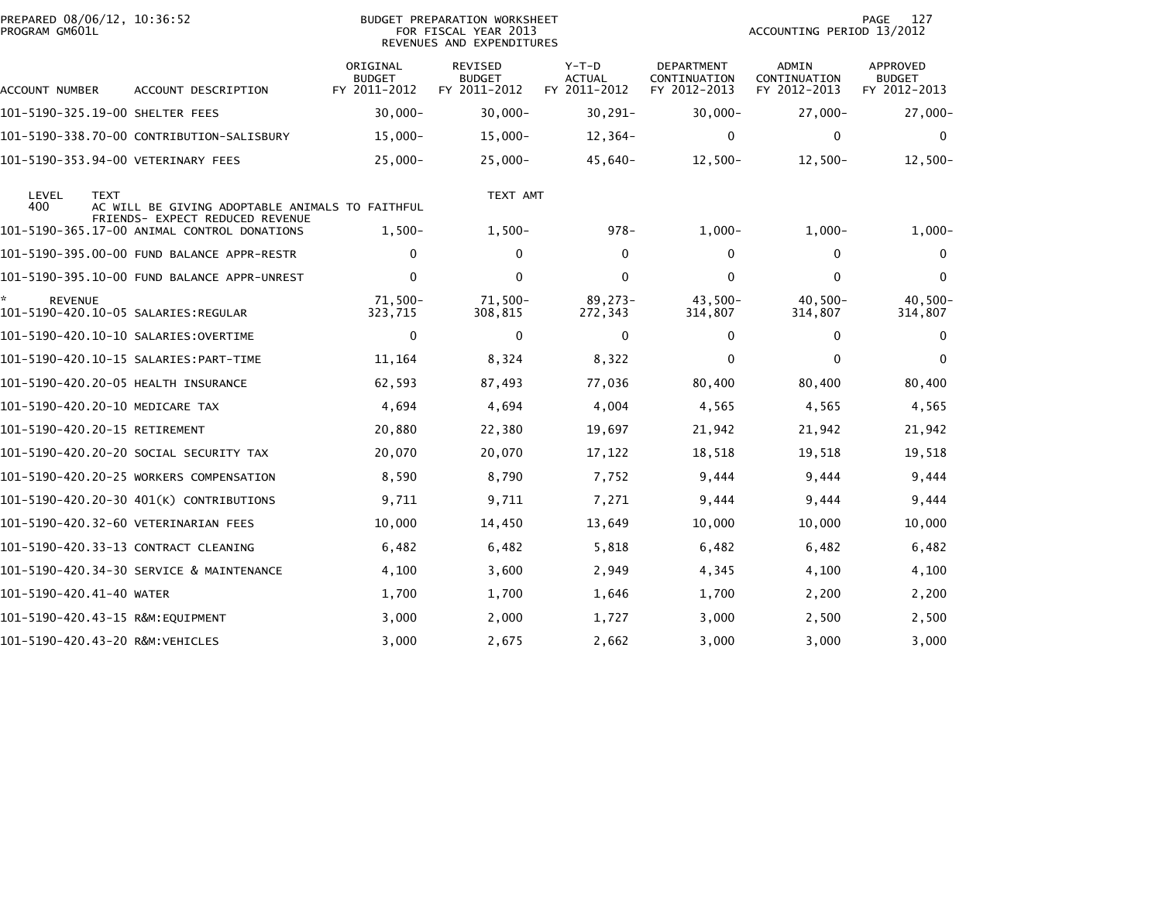| PREPARED 08/06/12, 10:36:52<br>PROGRAM GM601L         |                                                                                    |                                           | BUDGET PREPARATION WORKSHEET<br>FOR FISCAL YEAR 2013<br>REVENUES AND EXPENDITURES |                                          | 127<br>PAGE<br>ACCOUNTING PERIOD 13/2012   |                                              |                                           |
|-------------------------------------------------------|------------------------------------------------------------------------------------|-------------------------------------------|-----------------------------------------------------------------------------------|------------------------------------------|--------------------------------------------|----------------------------------------------|-------------------------------------------|
| ACCOUNT NUMBER                                        | ACCOUNT DESCRIPTION                                                                | ORIGINAL<br><b>BUDGET</b><br>FY 2011-2012 | <b>REVISED</b><br><b>BUDGET</b><br>FY 2011-2012                                   | $Y-T-D$<br><b>ACTUAL</b><br>FY 2011-2012 | DEPARTMENT<br>CONTINUATION<br>FY 2012-2013 | <b>ADMIN</b><br>CONTINUATION<br>FY 2012-2013 | APPROVED<br><b>BUDGET</b><br>FY 2012-2013 |
| 101-5190-325.19-00 SHELTER FEES                       |                                                                                    | $30,000 -$                                | $30,000 -$                                                                        | $30, 291 -$                              | $30,000 -$                                 | $27,000 -$                                   | $27,000-$                                 |
|                                                       | 101-5190-338.70-00 CONTRIBUTION-SALISBURY                                          | $15,000 -$                                | $15,000 -$                                                                        | $12,364-$                                | 0                                          | $\mathbf{0}$                                 | $\Omega$                                  |
| 101-5190-353.94-00 VETERINARY FEES                    |                                                                                    | $25,000 -$                                | $25,000-$                                                                         | $45,640-$                                | $12,500-$                                  | $12,500-$                                    | $12,500-$                                 |
| LEVEL<br><b>TEXT</b><br>400                           | AC WILL BE GIVING ADOPTABLE ANIMALS TO FAITHFUL<br>FRIENDS- EXPECT REDUCED REVENUE |                                           | TEXT AMT                                                                          |                                          |                                            |                                              |                                           |
|                                                       | 101-5190-365.17-00 ANIMAL CONTROL DONATIONS                                        | $1,500-$                                  | $1,500-$                                                                          | $978 -$                                  | $1,000-$                                   | $1,000-$                                     | $1,000-$                                  |
|                                                       | 101-5190-395.00-00 FUND BALANCE APPR-RESTR                                         | 0                                         | 0                                                                                 | 0                                        | 0                                          | 0                                            | 0                                         |
|                                                       |                                                                                    | $\mathbf{0}$                              | $\Omega$                                                                          | $\mathbf{0}$                             | $\Omega$                                   | $\Omega$                                     | $\mathbf{0}$                              |
| <b>REVENUE</b><br>101–5190–420.10–05 SALARIES:REGULAR |                                                                                    | $71,500 -$<br>323,715                     | 71,500-<br>308,815                                                                | 89,273-<br>272,343                       | $43,500-$<br>314,807                       | $40,500 -$<br>314,807                        | 40,500-<br>314,807                        |
|                                                       |                                                                                    | 0                                         | $\mathbf 0$                                                                       | $\mathbf{0}$                             | 0                                          | $\mathbf{0}$                                 | $\mathbf{0}$                              |
|                                                       |                                                                                    | 11,164                                    | 8,324                                                                             | 8,322                                    | $\mathbf{0}$                               | $\mathbf{0}$                                 | $\mathbf{0}$                              |
| 101-5190-420.20-05 HEALTH INSURANCE                   |                                                                                    | 62,593                                    | 87,493                                                                            | 77,036                                   | 80,400                                     | 80,400                                       | 80,400                                    |
| 101-5190-420.20-10 MEDICARE TAX                       |                                                                                    | 4,694                                     | 4,694                                                                             | 4,004                                    | 4,565                                      | 4,565                                        | 4,565                                     |
| 101-5190-420.20-15 RETIREMENT                         |                                                                                    | 20,880                                    | 22,380                                                                            | 19,697                                   | 21,942                                     | 21,942                                       | 21,942                                    |
|                                                       | 101–5190–420.20–20 SOCIAL SECURITY TAX                                             | 20,070                                    | 20,070                                                                            | 17,122                                   | 18,518                                     | 19,518                                       | 19,518                                    |
|                                                       | 101-5190-420.20-25 WORKERS COMPENSATION                                            | 8,590                                     | 8,790                                                                             | 7,752                                    | 9,444                                      | 9,444                                        | 9,444                                     |
|                                                       | 101-5190-420.20-30 401(K) CONTRIBUTIONS                                            | 9,711                                     | 9,711                                                                             | 7,271                                    | 9,444                                      | 9,444                                        | 9,444                                     |
| 101-5190-420.32-60 VETERINARIAN FEES                  |                                                                                    | 10,000                                    | 14,450                                                                            | 13,649                                   | 10,000                                     | 10,000                                       | 10,000                                    |
| 101-5190-420.33-13 CONTRACT CLEANING                  |                                                                                    | 6,482                                     | 6,482                                                                             | 5,818                                    | 6,482                                      | 6,482                                        | 6,482                                     |
|                                                       | 101-5190-420.34-30 SERVICE & MAINTENANCE                                           | 4,100                                     | 3,600                                                                             | 2,949                                    | 4,345                                      | 4,100                                        | 4,100                                     |
| 101-5190-420.41-40 WATER                              |                                                                                    | 1,700                                     | 1,700                                                                             | 1,646                                    | 1,700                                      | 2,200                                        | 2,200                                     |
| 101-5190-420.43-15 R&M:EOUIPMENT                      |                                                                                    | 3,000                                     | 2,000                                                                             | 1,727                                    | 3.000                                      | 2,500                                        | 2,500                                     |
| 101-5190-420.43-20 R&M:VEHICLES                       |                                                                                    | 3,000                                     | 2,675                                                                             | 2,662                                    | 3,000                                      | 3,000                                        | 3,000                                     |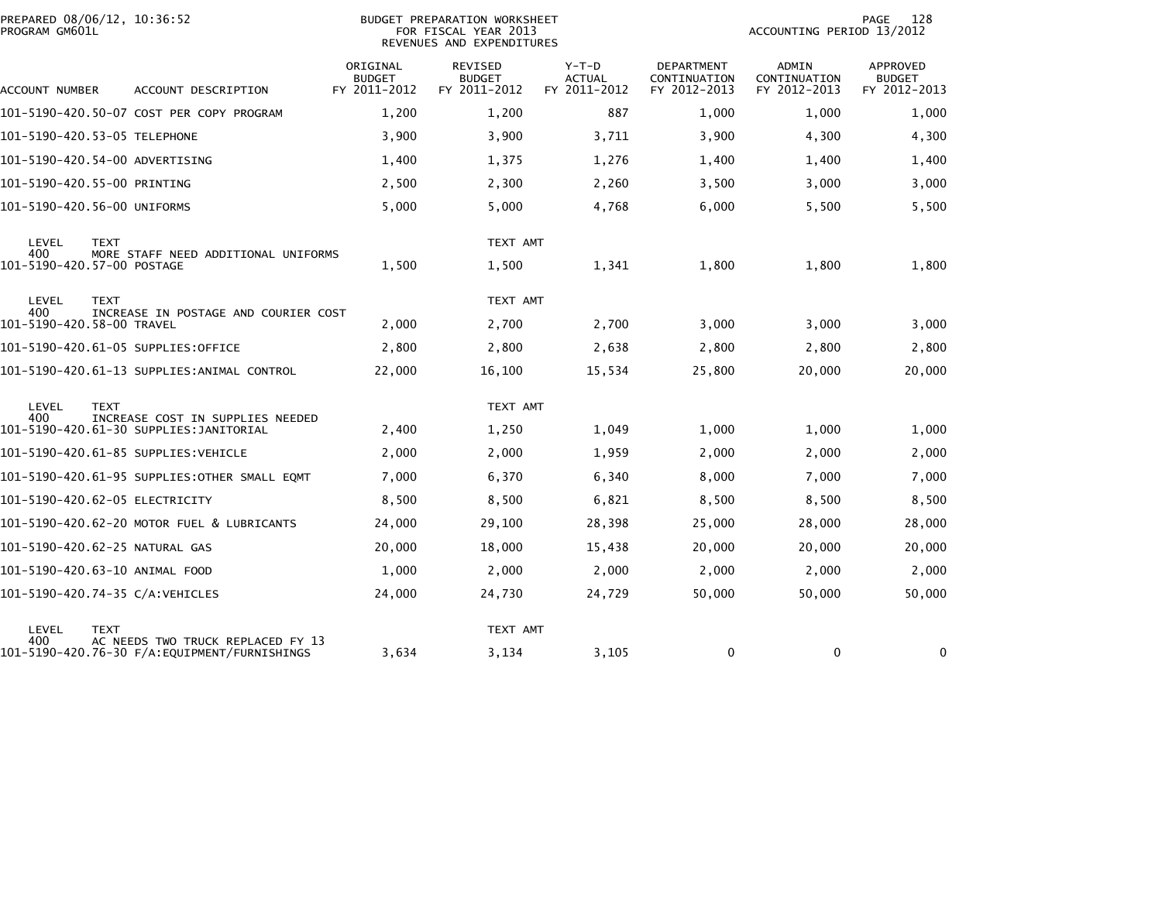| PREPARED 08/06/12, 10:36:52<br>PROGRAM GM601L |                                              | <b>BUDGET PREPARATION WORKSHEET</b><br>FOR FISCAL YEAR 2013<br>REVENUES AND EXPENDITURES |                                          |                                          |                                                   | PAGE<br>128<br>ACCOUNTING PERIOD 13/2012 |                                           |  |
|-----------------------------------------------|----------------------------------------------|------------------------------------------------------------------------------------------|------------------------------------------|------------------------------------------|---------------------------------------------------|------------------------------------------|-------------------------------------------|--|
| ACCOUNT NUMBER                                | ACCOUNT DESCRIPTION                          | ORIGINAL<br><b>BUDGET</b><br>FY 2011-2012                                                | REVISED<br><b>BUDGET</b><br>FY 2011-2012 | $Y-T-D$<br><b>ACTUAL</b><br>FY 2011-2012 | <b>DEPARTMENT</b><br>CONTINUATION<br>FY 2012-2013 | ADMIN<br>CONTINUATION<br>FY 2012-2013    | APPROVED<br><b>BUDGET</b><br>FY 2012-2013 |  |
|                                               | 101-5190-420.50-07 COST PER COPY PROGRAM     | 1,200                                                                                    | 1,200                                    | 887                                      | 1,000                                             | 1,000                                    | 1,000                                     |  |
| 101-5190-420.53-05 TELEPHONE                  |                                              | 3,900                                                                                    | 3,900                                    | 3,711                                    | 3,900                                             | 4,300                                    | 4,300                                     |  |
| 101-5190-420.54-00 ADVERTISING                |                                              | 1,400                                                                                    | 1,375                                    | 1,276                                    | 1,400                                             | 1,400                                    | 1,400                                     |  |
| 101-5190-420.55-00 PRINTING                   |                                              | 2,500                                                                                    | 2,300                                    | 2,260                                    | 3,500                                             | 3,000                                    | 3,000                                     |  |
| 101-5190-420.56-00 UNIFORMS                   |                                              | 5,000                                                                                    | 5,000                                    | 4,768                                    | 6,000                                             | 5,500                                    | 5,500                                     |  |
| LEVEL<br><b>TEXT</b><br>400                   | MORE STAFF NEED ADDITIONAL UNIFORMS          |                                                                                          | TEXT AMT                                 |                                          |                                                   |                                          |                                           |  |
| 101-5190-420.57-00 POSTAGE                    |                                              | 1,500                                                                                    | 1,500                                    | 1,341                                    | 1,800                                             | 1,800                                    | 1,800                                     |  |
| LEVEL<br><b>TEXT</b><br>400                   | INCREASE IN POSTAGE AND COURIER COST         |                                                                                          | TEXT AMT                                 |                                          |                                                   |                                          |                                           |  |
| 101-5190-420.58-00 TRAVEL                     |                                              | 2,000                                                                                    | 2,700                                    | 2,700                                    | 3,000                                             | 3,000                                    | 3,000                                     |  |
| 101–5190–420.61–05 SUPPLIES:OFFICE            |                                              | 2,800                                                                                    | 2,800                                    | 2,638                                    | 2.800                                             | 2,800                                    | 2,800                                     |  |
|                                               | 101-5190-420.61-13 SUPPLIES:ANIMAL CONTROL   | 22,000                                                                                   | 16,100                                   | 15,534                                   | 25,800                                            | 20,000                                   | 20,000                                    |  |
| LEVEL<br><b>TEXT</b><br>400                   | INCREASE COST IN SUPPLIES NEEDED             |                                                                                          | TEXT AMT                                 |                                          |                                                   |                                          |                                           |  |
|                                               |                                              | 2,400                                                                                    | 1,250                                    | 1,049                                    | 1,000                                             | 1,000                                    | 1,000                                     |  |
| 101-5190-420.61-85 SUPPLIES:VEHICLE           |                                              | 2,000                                                                                    | 2,000                                    | 1,959                                    | 2,000                                             | 2,000                                    | 2,000                                     |  |
|                                               | 101-5190-420.61-95 SUPPLIES:OTHER SMALL EQMT | 7,000                                                                                    | 6,370                                    | 6,340                                    | 8,000                                             | 7,000                                    | 7,000                                     |  |
| 101-5190-420.62-05 ELECTRICITY                |                                              | 8,500                                                                                    | 8,500                                    | 6,821                                    | 8,500                                             | 8,500                                    | 8,500                                     |  |
|                                               | 101-5190-420.62-20 MOTOR FUEL & LUBRICANTS   | 24,000                                                                                   | 29,100                                   | 28,398                                   | 25,000                                            | 28,000                                   | 28,000                                    |  |
| 101-5190-420.62-25 NATURAL GAS                |                                              | 20,000                                                                                   | 18,000                                   | 15,438                                   | 20,000                                            | 20,000                                   | 20,000                                    |  |
| 101-5190-420.63-10 ANIMAL FOOD                |                                              | 1,000                                                                                    | 2,000                                    | 2,000                                    | 2,000                                             | 2,000                                    | 2,000                                     |  |
| 101-5190-420.74-35 C/A:VEHICLES               |                                              | 24,000                                                                                   | 24,730                                   | 24,729                                   | 50,000                                            | 50,000                                   | 50,000                                    |  |
| LEVEL<br><b>TEXT</b><br>400                   | AC NEEDS TWO TRUCK REPLACED FY 13            |                                                                                          | TEXT AMT                                 |                                          |                                                   |                                          |                                           |  |
|                                               |                                              | 3,634                                                                                    | 3,134                                    | 3,105                                    | 0                                                 | 0                                        | 0                                         |  |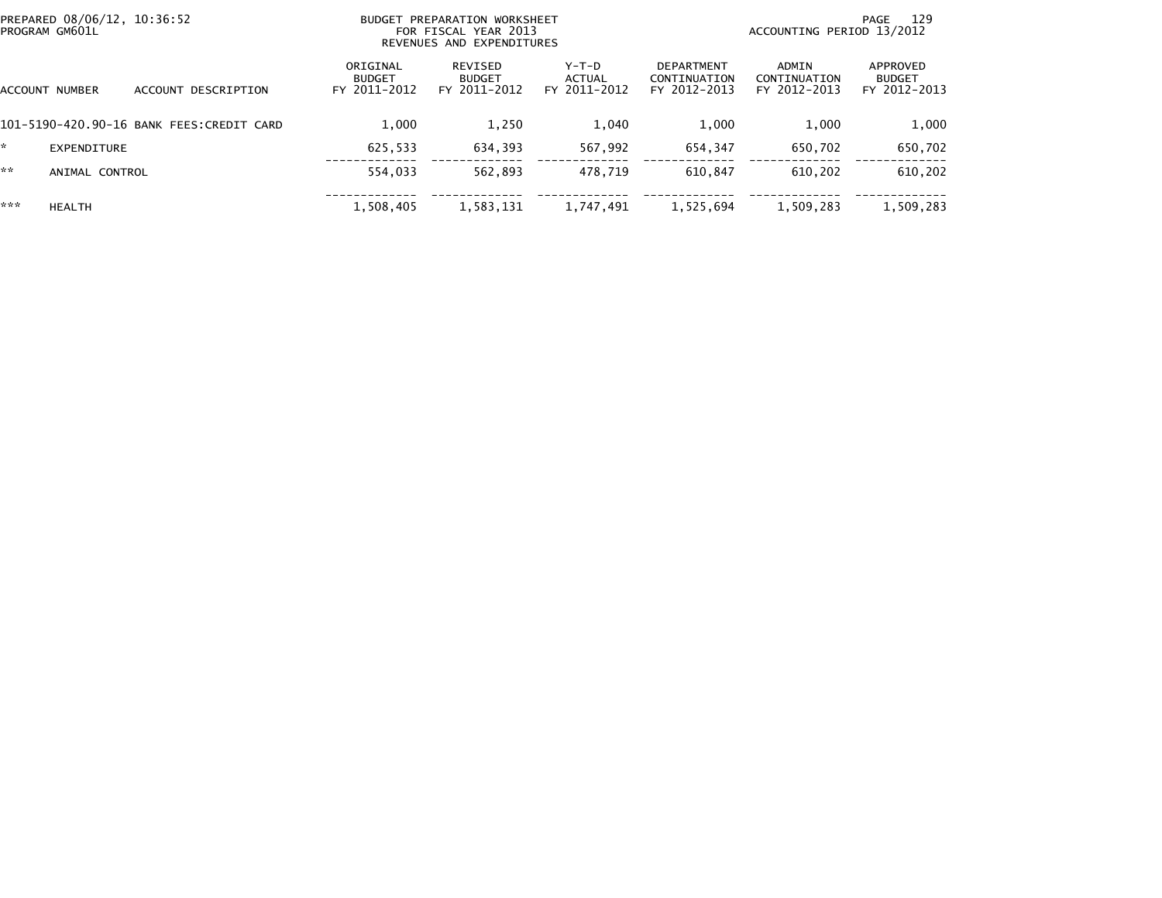| PREPARED 08/06/12, 10:36:52<br>PROGRAM GM601L |                |                                           |                                           | BUDGET PREPARATION WORKSHEET<br>FOR FISCAL YEAR 2013<br>REVENUES AND EXPENDITURES |                                 |                                                   | 129<br>PAGE<br>ACCOUNTING PERIOD 13/2012 |                                           |  |
|-----------------------------------------------|----------------|-------------------------------------------|-------------------------------------------|-----------------------------------------------------------------------------------|---------------------------------|---------------------------------------------------|------------------------------------------|-------------------------------------------|--|
|                                               | ACCOUNT NUMBER | ACCOUNT DESCRIPTION                       | ORIGINAL<br><b>BUDGET</b><br>FY 2011-2012 | REVISED<br><b>BUDGET</b><br>FY 2011-2012                                          | Y-T-D<br>ACTUAL<br>FY 2011-2012 | <b>DEPARTMENT</b><br>CONTINUATION<br>FY 2012-2013 | ADMIN<br>CONTINUATION<br>FY 2012-2013    | APPROVED<br><b>BUDGET</b><br>FY 2012-2013 |  |
|                                               |                | 101-5190-420.90-16 BANK FEES: CREDIT CARD | 1.000                                     | 1,250                                                                             | 1,040                           | 1.000                                             | 1.000                                    | 1,000                                     |  |
|                                               | EXPENDITURE    |                                           | 625.533                                   | 634.393                                                                           | 567.992                         | 654,347                                           | 650.702                                  | 650,702                                   |  |
| **                                            | ANIMAL CONTROL |                                           | 554.033                                   | 562.893                                                                           | 478.719                         | 610.847                                           | 610.202                                  | 610,202                                   |  |
| ***                                           | <b>HEALTH</b>  |                                           | 1,508,405                                 | 1,583,131                                                                         | 1,747,491                       | 1,525,694                                         | 1,509,283                                | 1,509,283                                 |  |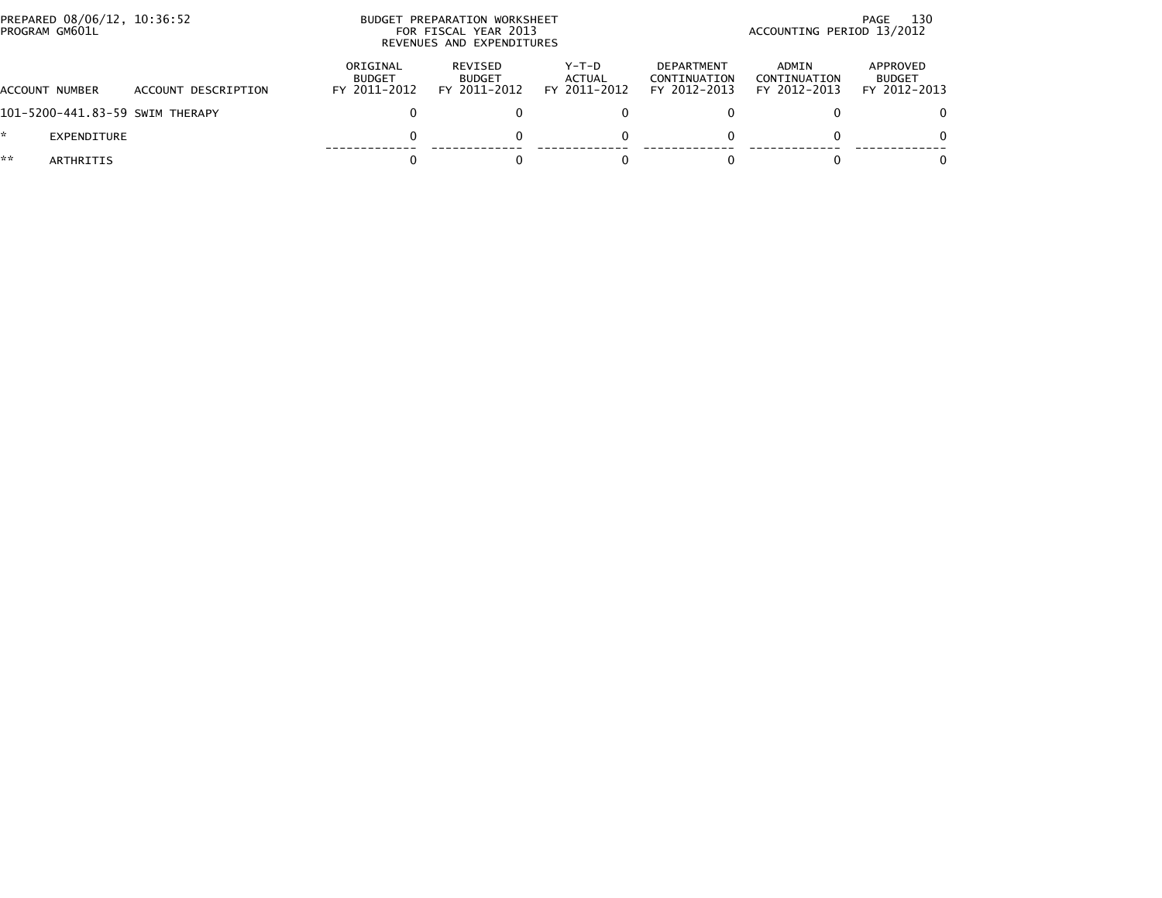|    | PREPARED 08/06/12, 10:36:52<br>PROGRAM GM601L |                                 |                                           | BUDGET PREPARATION WORKSHEET<br>FOR FISCAL YEAR 2013<br>REVENUES AND EXPENDITURES |                                 | 130<br>PAGE<br>ACCOUNTING PERIOD 13/2012          |                                       |                                           |  |
|----|-----------------------------------------------|---------------------------------|-------------------------------------------|-----------------------------------------------------------------------------------|---------------------------------|---------------------------------------------------|---------------------------------------|-------------------------------------------|--|
|    | ACCOUNT NUMBER                                | ACCOUNT DESCRIPTION             | ORIGINAL<br><b>BUDGET</b><br>FY 2011-2012 | REVISED<br><b>BUDGET</b><br>FY 2011-2012                                          | Y-T-D<br>ACTUAL<br>FY 2011-2012 | <b>DEPARTMENT</b><br>CONTINUATION<br>FY 2012-2013 | ADMIN<br>CONTINUATION<br>FY 2012-2013 | APPROVED<br><b>BUDGET</b><br>FY 2012-2013 |  |
|    |                                               | 101-5200-441.83-59 SWIM THERAPY |                                           |                                                                                   |                                 |                                                   |                                       | $\Omega$                                  |  |
| *  | EXPENDITURE                                   |                                 | 0                                         |                                                                                   | 0                               |                                                   |                                       | $\Omega$                                  |  |
| ** | ARTHRITIS                                     |                                 |                                           |                                                                                   |                                 |                                                   |                                       | 0                                         |  |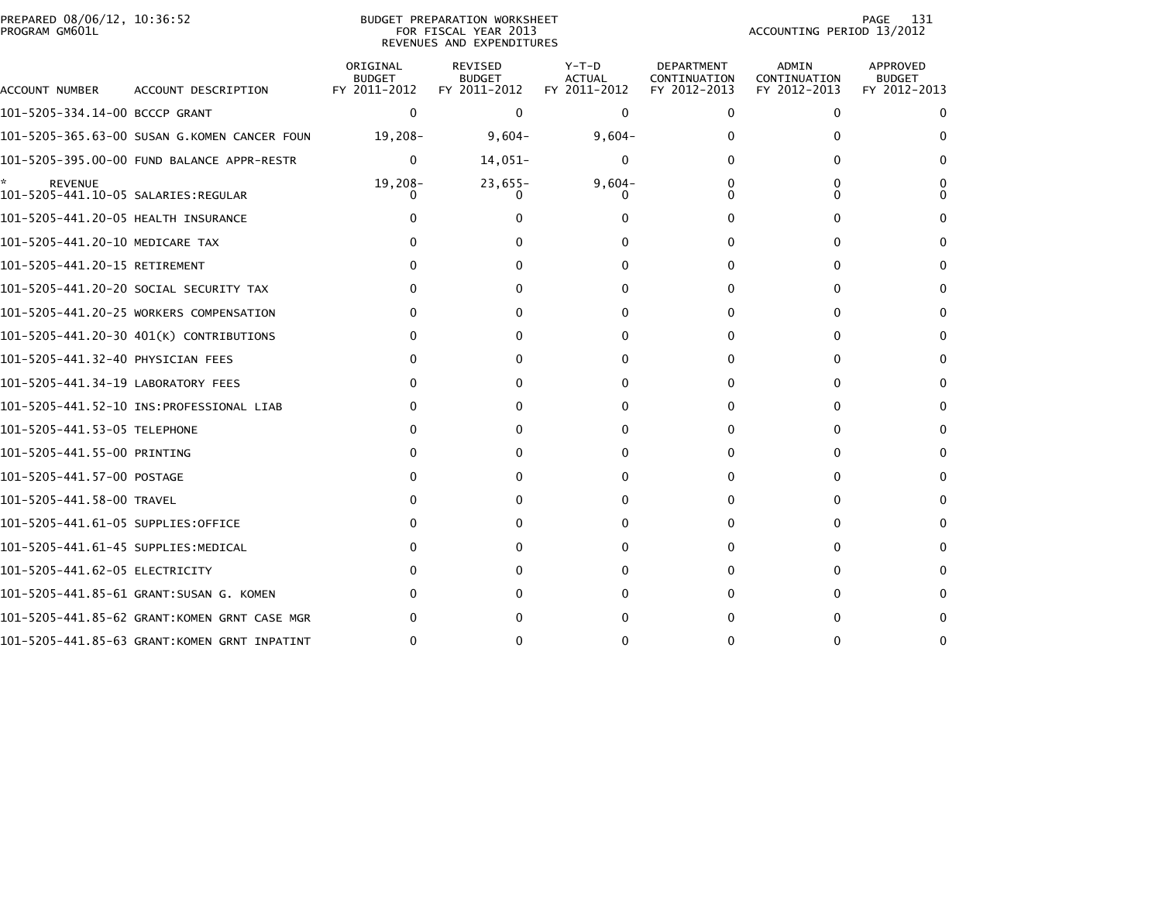| PREPARED 08/06/12, 10:36:52<br>PROGRAM GM601L         |                                              |                                           | BUDGET PREPARATION WORKSHEET<br>FOR FISCAL YEAR 2013<br>REVENUES AND EXPENDITURES |                                          |                                                   | ACCOUNTING PERIOD 13/2012             | 131<br>PAGE                               |
|-------------------------------------------------------|----------------------------------------------|-------------------------------------------|-----------------------------------------------------------------------------------|------------------------------------------|---------------------------------------------------|---------------------------------------|-------------------------------------------|
| ACCOUNT NUMBER                                        | ACCOUNT DESCRIPTION                          | ORIGINAL<br><b>BUDGET</b><br>FY 2011-2012 | REVISED<br><b>BUDGET</b><br>FY 2011-2012                                          | $Y-T-D$<br><b>ACTUAL</b><br>FY 2011-2012 | <b>DEPARTMENT</b><br>CONTINUATION<br>FY 2012-2013 | ADMIN<br>CONTINUATION<br>FY 2012-2013 | APPROVED<br><b>BUDGET</b><br>FY 2012-2013 |
| 101-5205-334.14-00 BCCCP GRANT                        |                                              | 0                                         | $\Omega$                                                                          | $\mathbf{0}$                             | 0                                                 | 0                                     | 0                                         |
|                                                       | 101-5205-365.63-00 SUSAN G.KOMEN CANCER FOUN | 19,208-                                   | $9,604-$                                                                          | $9,604-$                                 |                                                   |                                       | 0                                         |
|                                                       |                                              | $\Omega$                                  | 14,051-                                                                           | 0                                        |                                                   | 0                                     | $\Omega$                                  |
| <b>REVENUE</b><br>101–5205–441.10–05 SALARIES:REGULAR |                                              | 19,208-                                   | $23,655-$                                                                         | $9,604-$<br>0                            | 0                                                 | 0<br>0                                | 0                                         |
| 101-5205-441.20-05 HEALTH INSURANCE                   |                                              |                                           |                                                                                   |                                          |                                                   | 0                                     | 0                                         |
| 101-5205-441.20-10 MEDICARE TAX                       |                                              | O                                         |                                                                                   |                                          | 0                                                 | 0                                     | 0                                         |
| 101-5205-441.20-15 RETIREMENT                         |                                              |                                           |                                                                                   |                                          | $\Omega$                                          | 0                                     | 0                                         |
|                                                       | 101-5205-441.20-20 SOCIAL SECURITY TAX       | $\Omega$                                  |                                                                                   |                                          |                                                   | 0                                     | $\Omega$                                  |
|                                                       | 101-5205-441.20-25 WORKERS COMPENSATION      | 0                                         |                                                                                   | $\mathbf{a}$                             |                                                   | 0                                     | 0                                         |
|                                                       | 101-5205-441.20-30 401(K) CONTRIBUTIONS      | O                                         |                                                                                   |                                          |                                                   | 0                                     | 0                                         |
| 101–5205–441.32–40 PHYSICIAN FEES                     |                                              | O                                         |                                                                                   |                                          |                                                   | 0                                     | 0                                         |
| 101-5205-441.34-19 LABORATORY FEES                    |                                              | O                                         |                                                                                   |                                          |                                                   | 0                                     | 0                                         |
|                                                       |                                              | 0                                         |                                                                                   |                                          |                                                   | O                                     | 0                                         |
| 101-5205-441.53-05 TELEPHONE                          |                                              | O                                         |                                                                                   |                                          |                                                   | 0                                     |                                           |
| 101-5205-441.55-00 PRINTING                           |                                              |                                           |                                                                                   |                                          |                                                   | 0                                     | 0                                         |
| 101–5205–441.57–00 POSTAGE                            |                                              |                                           |                                                                                   |                                          |                                                   |                                       | 0                                         |
| 101-5205-441.58-00 TRAVEL                             |                                              | O                                         |                                                                                   |                                          |                                                   | 0                                     | 0                                         |
| 101–5205–441.61–05 SUPPLIES:OFFICE                    |                                              | O                                         |                                                                                   |                                          |                                                   | O                                     | 0                                         |
| 101–5205–441.61–45 SUPPLIES:MEDICAL                   |                                              | O                                         |                                                                                   |                                          | 0                                                 | 0                                     | 0                                         |
| 101-5205-441.62-05 ELECTRICITY                        |                                              |                                           |                                                                                   |                                          |                                                   |                                       |                                           |
|                                                       | 101-5205-441.85-61 GRANT:SUSAN G. KOMEN      | O                                         |                                                                                   |                                          |                                                   | 0                                     | 0                                         |
|                                                       | 101-5205-441.85-62 GRANT:KOMEN GRNT CASE MGR |                                           |                                                                                   |                                          |                                                   | O                                     | 0                                         |
|                                                       | 101-5205-441.85-63 GRANT:KOMEN GRNT INPATINT | ∩                                         |                                                                                   |                                          |                                                   | 0                                     | 0                                         |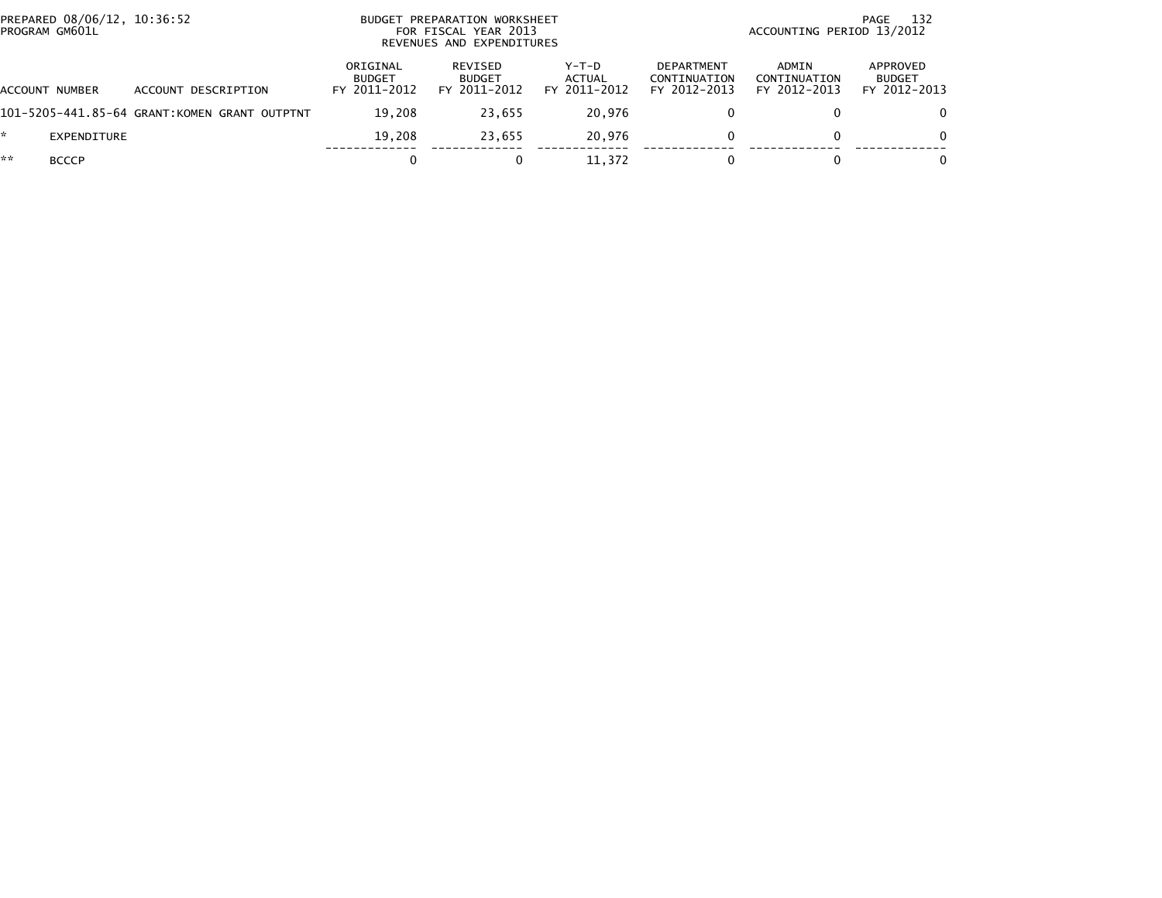|    | PREPARED 08/06/12, 10:36:52<br>PROGRAM GM601L |                                              |                                           | BUDGET PREPARATION WORKSHEET<br>FOR FISCAL YEAR 2013<br>REVENUES AND EXPENDITURES |                                   |                                                   | 132<br>PAGE<br>ACCOUNTING PERIOD 13/2012 |                                           |  |  |
|----|-----------------------------------------------|----------------------------------------------|-------------------------------------------|-----------------------------------------------------------------------------------|-----------------------------------|---------------------------------------------------|------------------------------------------|-------------------------------------------|--|--|
|    | ACCOUNT NUMBER                                | ACCOUNT DESCRIPTION                          | ORIGINAL<br><b>BUDGET</b><br>FY 2011-2012 | REVISED<br><b>BUDGET</b><br>FY 2011-2012                                          | $Y-T-D$<br>ACTUAL<br>FY 2011-2012 | <b>DEPARTMENT</b><br>CONTINUATION<br>FY 2012-2013 | ADMIN<br>CONTINUATION<br>FY 2012-2013    | APPROVED<br><b>BUDGET</b><br>FY 2012-2013 |  |  |
|    |                                               | 101-5205-441.85-64 GRANT:KOMEN GRANT OUTPTNT | 19.208                                    | 23.655                                                                            | 20.976                            |                                                   |                                          |                                           |  |  |
| ÷. | EXPENDITURE                                   |                                              | 19.208                                    | 23.655                                                                            | 20.976                            | 0                                                 | 0                                        |                                           |  |  |
| ** | <b>BCCCP</b>                                  |                                              |                                           |                                                                                   | 11.372                            |                                                   |                                          |                                           |  |  |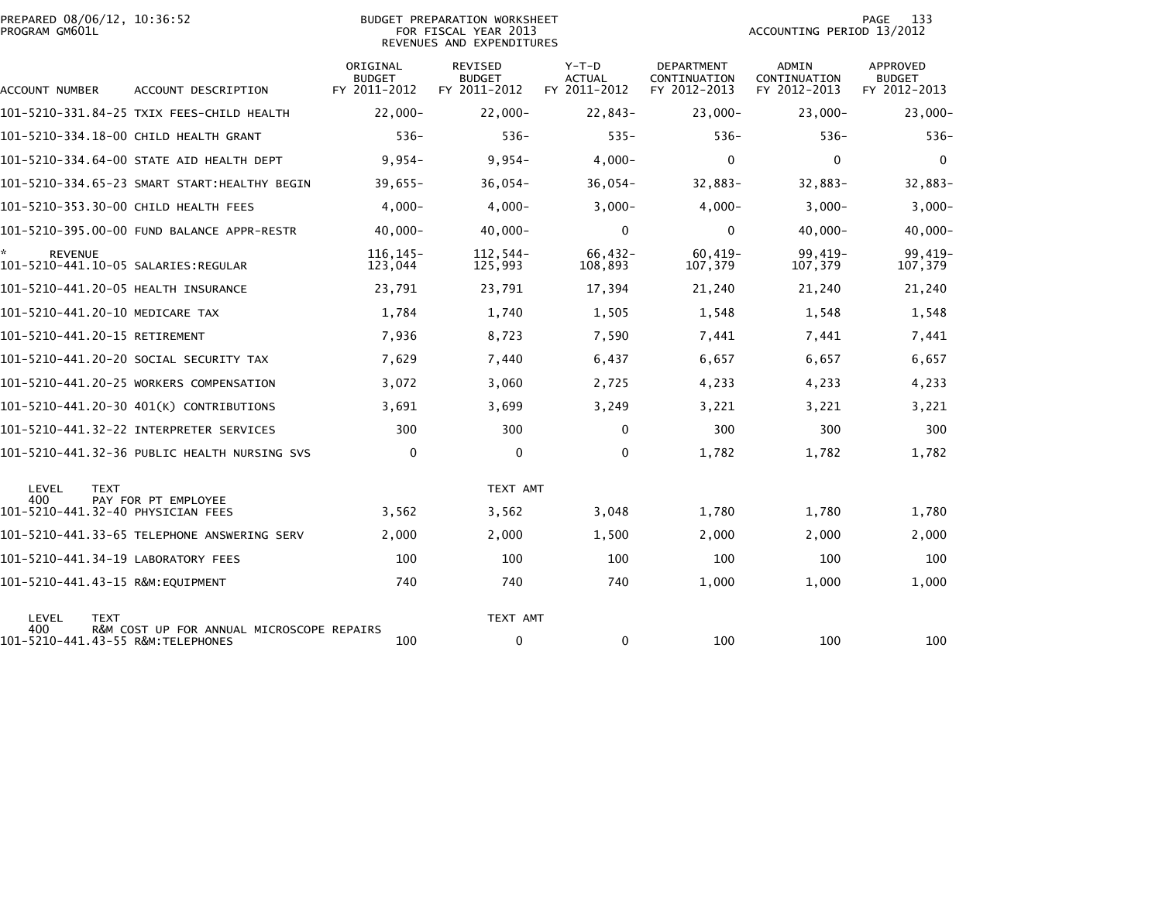| PREPARED 08/06/12, 10:36:52<br>PROGRAM GM601L               |                                              |                                           | BUDGET PREPARATION WORKSHEET<br>FOR FISCAL YEAR 2013<br>REVENUES AND EXPENDITURES |                                          | 133<br><b>PAGE</b><br>ACCOUNTING PERIOD 13/2012   |                                              |                                                  |
|-------------------------------------------------------------|----------------------------------------------|-------------------------------------------|-----------------------------------------------------------------------------------|------------------------------------------|---------------------------------------------------|----------------------------------------------|--------------------------------------------------|
| ACCOUNT NUMBER                                              | ACCOUNT DESCRIPTION                          | ORIGINAL<br><b>BUDGET</b><br>FY 2011-2012 | <b>REVISED</b><br><b>BUDGET</b><br>FY 2011-2012                                   | $Y-T-D$<br><b>ACTUAL</b><br>FY 2011-2012 | <b>DEPARTMENT</b><br>CONTINUATION<br>FY 2012-2013 | <b>ADMIN</b><br>CONTINUATION<br>FY 2012-2013 | <b>APPROVED</b><br><b>BUDGET</b><br>FY 2012-2013 |
|                                                             | 101-5210-331.84-25 TXIX FEES-CHILD HEALTH    | $22.000 -$                                | $22,000 -$                                                                        | $22,843-$                                | $23,000 -$                                        | $23,000 -$                                   | $23,000 -$                                       |
|                                                             | 101-5210-334.18-00 CHILD HEALTH GRANT        | $536 -$                                   | $536-$                                                                            | $535 -$                                  | $536-$                                            | $536 -$                                      | $536-$                                           |
|                                                             | 101-5210-334.64-00 STATE AID HEALTH DEPT     | $9,954-$                                  | $9,954-$                                                                          | $4,000-$                                 | $\Omega$                                          | $\mathbf{0}$                                 | $\mathbf{0}$                                     |
|                                                             | 101-5210-334.65-23 SMART START:HEALTHY BEGIN | $39,655 -$                                | $36,054-$                                                                         | $36,054-$                                | $32,883-$                                         | $32,883-$                                    | 32,883-                                          |
| 101-5210-353.30-00 CHILD HEALTH FEES                        |                                              | $4.000 -$                                 | $4,000 -$                                                                         | $3,000-$                                 | $4,000-$                                          | $3,000-$                                     | $3,000-$                                         |
|                                                             | 101-5210-395.00-00 FUND BALANCE APPR-RESTR   | $40,000 -$                                | $40,000 -$                                                                        | $\mathbf 0$                              | $\mathbf 0$                                       | $40,000 -$                                   | $40,000 -$                                       |
| *.<br><b>REVENUE</b><br>101-5210-441.10-05 SALARIES:REGULAR |                                              | 116.145-<br>123,044                       | 112.544-<br>125,993                                                               | $66,432-$<br>108,893                     | $60,419-$<br>107,379                              | 99,419-<br>107,379                           | 99,419-<br>107,379                               |
| 101-5210-441.20-05 HEALTH INSURANCE                         |                                              | 23,791                                    | 23,791                                                                            | 17,394                                   | 21,240                                            | 21,240                                       | 21,240                                           |
| 101-5210-441.20-10 MEDICARE TAX                             |                                              | 1,784                                     | 1,740                                                                             | 1,505                                    | 1,548                                             | 1,548                                        | 1,548                                            |
| 101-5210-441.20-15 RETIREMENT                               |                                              | 7,936                                     | 8,723                                                                             | 7,590                                    | 7,441                                             | 7,441                                        | 7,441                                            |
|                                                             | 101–5210–441.20–20 SOCIAL SECURITY TAX       | 7,629                                     | 7,440                                                                             | 6,437                                    | 6,657                                             | 6,657                                        | 6,657                                            |
|                                                             | 101-5210-441.20-25 WORKERS COMPENSATION      | 3,072                                     | 3,060                                                                             | 2,725                                    | 4,233                                             | 4,233                                        | 4,233                                            |
|                                                             | 101-5210-441.20-30 401(K) CONTRIBUTIONS      | 3,691                                     | 3,699                                                                             | 3,249                                    | 3,221                                             | 3,221                                        | 3,221                                            |
|                                                             | 101-5210-441.32-22 INTERPRETER SERVICES      | 300                                       | 300                                                                               | $\mathbf{0}$                             | 300                                               | 300                                          | 300                                              |
|                                                             | 101-5210-441.32-36 PUBLIC HEALTH NURSING SVS | 0                                         | 0                                                                                 | 0                                        | 1,782                                             | 1,782                                        | 1,782                                            |
| LEVEL<br><b>TEXT</b><br>400                                 | PAY FOR PT EMPLOYEE                          |                                           | TEXT AMT                                                                          |                                          |                                                   |                                              |                                                  |
| 101-5210-441.32-40 PHYSICIAN FEES                           |                                              | 3,562                                     | 3,562                                                                             | 3,048                                    | 1,780                                             | 1,780                                        | 1,780                                            |
|                                                             | 101-5210-441.33-65 TELEPHONE ANSWERING SERV  | 2,000                                     | 2,000                                                                             | 1,500                                    | 2,000                                             | 2,000                                        | 2,000                                            |
| 101-5210-441.34-19 LABORATORY FEES                          |                                              | 100                                       | 100                                                                               | 100                                      | 100                                               | 100                                          | 100                                              |
| 101-5210-441.43-15 R&M:EQUIPMENT                            |                                              | 740                                       | 740                                                                               | 740                                      | 1,000                                             | 1,000                                        | 1,000                                            |
| LEVEL<br><b>TEXT</b><br>400                                 | R&M COST UP FOR ANNUAL MICROSCOPE REPAIRS    |                                           | TEXT AMT                                                                          |                                          |                                                   |                                              |                                                  |
| 101-5210-441.43-55 R&M:TELEPHONES                           |                                              | 100                                       | $\mathbf 0$                                                                       | 0                                        | 100                                               | 100                                          | 100                                              |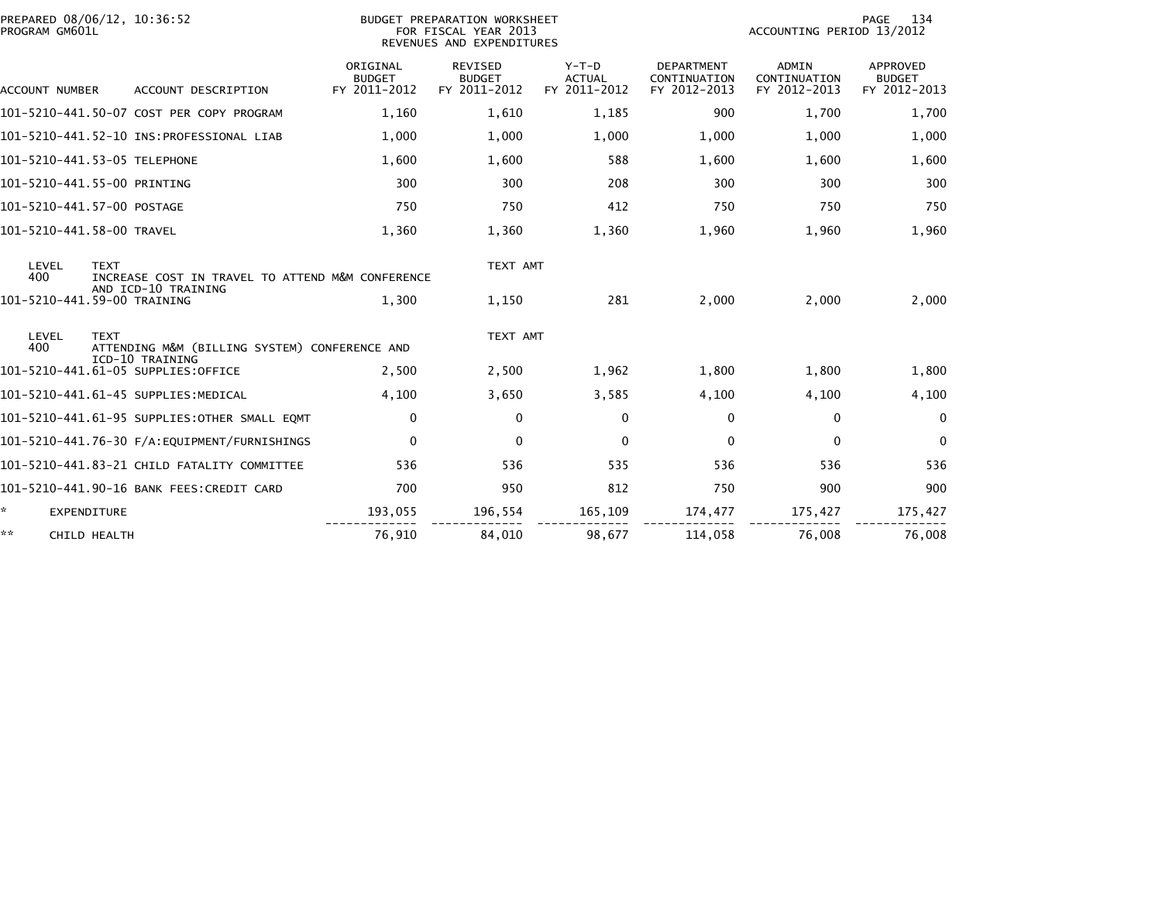|    | PROGRAM GM601L        | PREPARED 08/06/12, 10:36:52                                                            |                                           | <b>BUDGET PREPARATION WORKSHEET</b><br>FOR FISCAL YEAR 2013<br>REVENUES AND EXPENDITURES |                                          |                                                   | ACCOUNTING PERIOD 13/2012                    | 134<br>PAGE                               |
|----|-----------------------|----------------------------------------------------------------------------------------|-------------------------------------------|------------------------------------------------------------------------------------------|------------------------------------------|---------------------------------------------------|----------------------------------------------|-------------------------------------------|
|    | <b>ACCOUNT NUMBER</b> | ACCOUNT DESCRIPTION                                                                    | ORIGINAL<br><b>BUDGET</b><br>FY 2011-2012 | REVISED<br><b>BUDGET</b><br>FY 2011-2012                                                 | $Y-T-D$<br><b>ACTUAL</b><br>FY 2011-2012 | <b>DEPARTMENT</b><br>CONTINUATION<br>FY 2012-2013 | <b>ADMIN</b><br>CONTINUATION<br>FY 2012-2013 | APPROVED<br><b>BUDGET</b><br>FY 2012-2013 |
|    |                       | 101-5210-441.50-07 COST PER COPY PROGRAM                                               | 1,160                                     | 1,610                                                                                    | 1,185                                    | 900                                               | 1.700                                        | 1,700                                     |
|    |                       |                                                                                        | 1,000                                     | 1,000                                                                                    | 1,000                                    | 1,000                                             | 1,000                                        | 1,000                                     |
|    |                       | 101-5210-441.53-05 TELEPHONE                                                           | 1,600                                     | 1,600                                                                                    | 588                                      | 1,600                                             | 1,600                                        | 1,600                                     |
|    |                       | 101-5210-441.55-00 PRINTING                                                            | 300                                       | 300                                                                                      | 208                                      | 300                                               | 300                                          | 300                                       |
|    |                       | 101-5210-441.57-00 POSTAGE                                                             | 750                                       | 750                                                                                      | 412                                      | 750                                               | 750                                          | 750                                       |
|    |                       | 101-5210-441.58-00 TRAVEL                                                              | 1,360                                     | 1,360                                                                                    | 1,360                                    | 1,960                                             | 1,960                                        | 1,960                                     |
|    | LEVEL<br>400          | <b>TEXT</b><br>INCREASE COST IN TRAVEL TO ATTEND M&M CONFERENCE<br>AND ICD-10 TRAINING |                                           | TEXT AMT                                                                                 |                                          |                                                   |                                              |                                           |
|    |                       | 101-5210-441.59-00 TRAINING                                                            | 1.300                                     | 1,150                                                                                    | 281                                      | 2,000                                             | 2,000                                        | 2,000                                     |
|    | LEVEL<br>400          | <b>TEXT</b><br>ATTENDING M&M (BILLING SYSTEM) CONFERENCE AND<br>ICD-10 TRAINING        |                                           | TEXT AMT                                                                                 |                                          |                                                   |                                              |                                           |
|    |                       | 101-5210-441.61-05 SUPPLIES:OFFICE                                                     | 2,500                                     | 2,500                                                                                    | 1,962                                    | 1,800                                             | 1,800                                        | 1,800                                     |
|    |                       | 101-5210-441.61-45 SUPPLIES:MEDICAL                                                    | 4,100                                     | 3,650                                                                                    | 3,585                                    | 4,100                                             | 4,100                                        | 4,100                                     |
|    |                       | 101-5210-441.61-95 SUPPLIES:OTHER SMALL EQMT                                           | 0                                         | $\mathbf{0}$                                                                             | 0                                        | 0                                                 | $\mathbf{0}$                                 | $\mathbf{0}$                              |
|    |                       | 101-5210-441.76-30 F/A:EQUIPMENT/FURNISHINGS                                           | $\mathbf 0$                               | $\Omega$                                                                                 | $\mathbf{0}$                             | $\Omega$                                          | $\Omega$                                     | $\mathbf{0}$                              |
|    |                       | 101-5210-441.83-21 CHILD FATALITY COMMITTEE                                            | 536                                       | 536                                                                                      | 535                                      | 536                                               | 536                                          | 536                                       |
|    |                       | 101-5210-441.90-16 BANK FEES: CREDIT CARD                                              | 700                                       | 950                                                                                      | 812                                      | 750                                               | 900                                          | 900                                       |
| ÷. |                       | <b>EXPENDITURE</b>                                                                     | 193,055                                   | 196,554                                                                                  | 165,109                                  | 174,477                                           | 175,427                                      | 175,427                                   |
| ** |                       | <b>CHILD HEALTH</b>                                                                    | 76,910                                    | 84,010                                                                                   | 98,677                                   | 114,058                                           | 76,008                                       | 76,008                                    |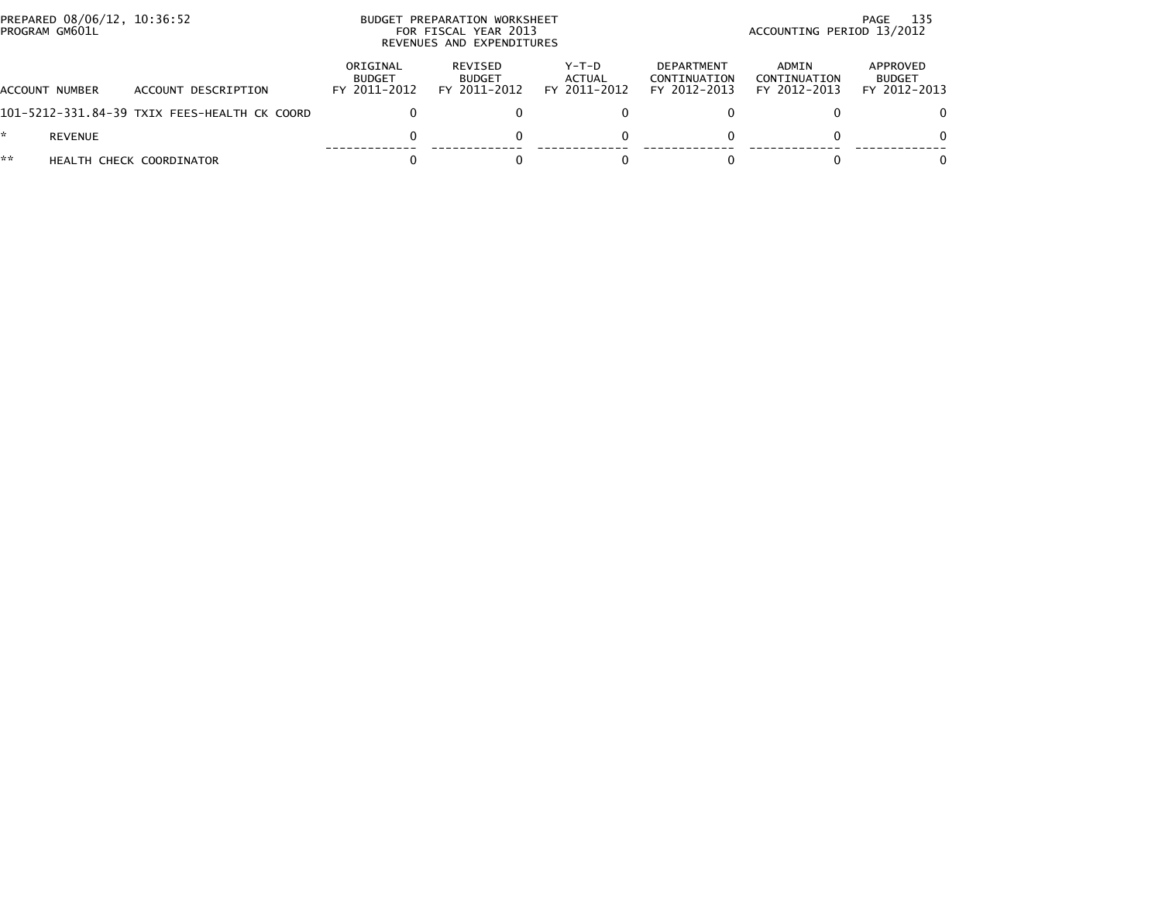| PREPARED 08/06/12, 10:36:52<br>PROGRAM GM601L |                                              | BUDGET PREPARATION WORKSHEET<br>FOR FISCAL YEAR 2013<br>REVENUES AND EXPENDITURES |                                          |                                 |                                            | 135<br>PAGE<br>ACCOUNTING PERIOD 13/2012 |                                           |  |  |
|-----------------------------------------------|----------------------------------------------|-----------------------------------------------------------------------------------|------------------------------------------|---------------------------------|--------------------------------------------|------------------------------------------|-------------------------------------------|--|--|
| ACCOUNT NUMBER                                | ACCOUNT DESCRIPTION                          | ORIGINAL<br><b>BUDGET</b><br>FY 2011-2012                                         | REVISED<br><b>BUDGET</b><br>FY 2011-2012 | Y-T-D<br>ACTUAL<br>FY 2011-2012 | DEPARTMENT<br>CONTINUATION<br>FY 2012-2013 | ADMIN<br>CONTINUATION<br>FY 2012-2013    | APPROVED<br><b>BUDGET</b><br>FY 2012-2013 |  |  |
|                                               | 101-5212-331.84-39 TXIX FEES-HEALTH CK COORD |                                                                                   |                                          |                                 |                                            |                                          |                                           |  |  |
| <b>REVENUE</b>                                |                                              | $\Omega$                                                                          |                                          | 0                               |                                            | 0                                        |                                           |  |  |
| **                                            | HEALTH CHECK COORDINATOR                     |                                                                                   |                                          |                                 |                                            |                                          |                                           |  |  |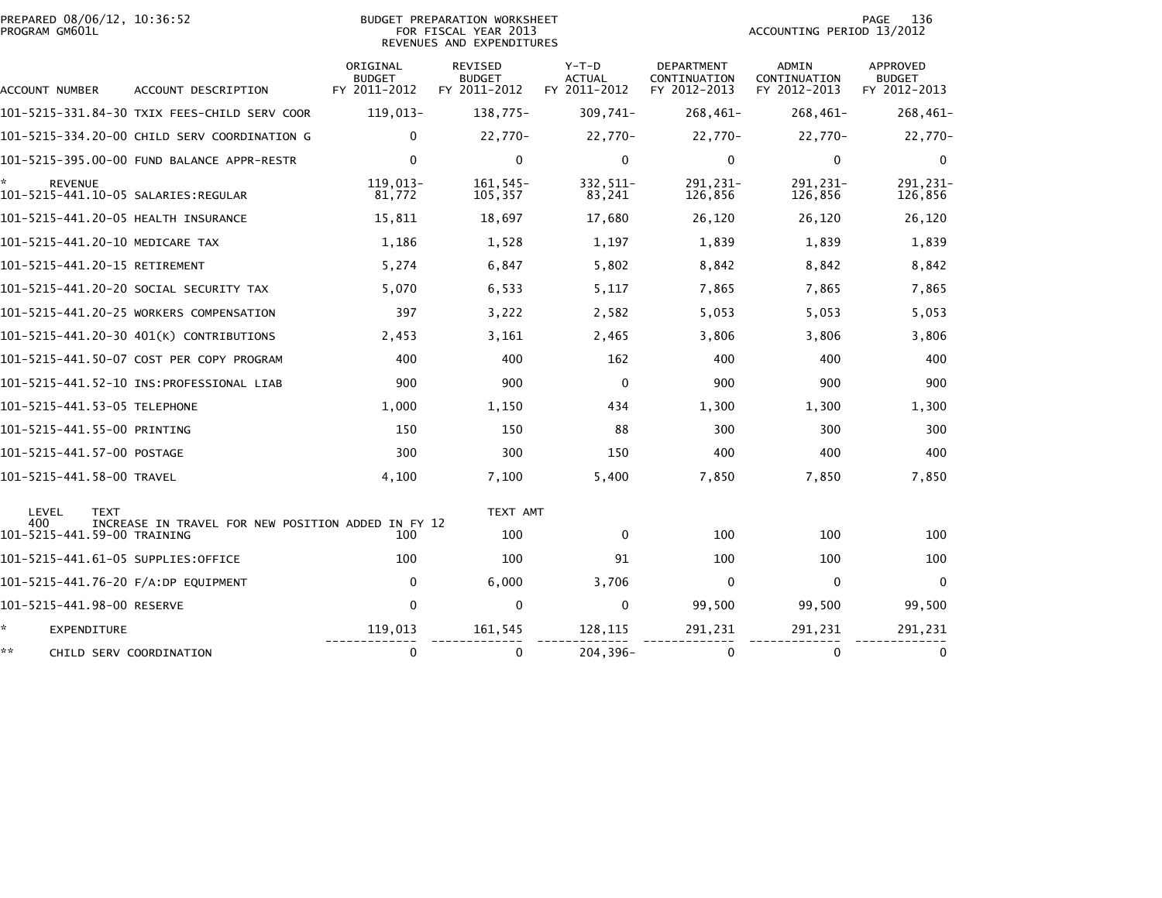| PROGRAM GM601L | PREPARED 08/06/12, 10:36:52                |                                                    |                                           | <b>BUDGET PREPARATION WORKSHEET</b><br>FOR FISCAL YEAR 2013<br>REVENUES AND EXPENDITURES |                                        |                                                   | ACCOUNTING PERIOD 13/2012                    | 136<br>PAGE                               |
|----------------|--------------------------------------------|----------------------------------------------------|-------------------------------------------|------------------------------------------------------------------------------------------|----------------------------------------|---------------------------------------------------|----------------------------------------------|-------------------------------------------|
| ACCOUNT NUMBER |                                            | ACCOUNT DESCRIPTION                                | ORIGINAL<br><b>BUDGET</b><br>FY 2011-2012 | REVISED<br><b>BUDGET</b><br>FY 2011-2012                                                 | Y-T-D<br><b>ACTUAL</b><br>FY 2011-2012 | <b>DEPARTMENT</b><br>CONTINUATION<br>FY 2012-2013 | <b>ADMIN</b><br>CONTINUATION<br>FY 2012-2013 | APPROVED<br><b>BUDGET</b><br>FY 2012-2013 |
|                |                                            | 101–5215–331.84–30 TXIX FEES-CHILD SERV COOR       | 119,013-                                  | 138,775-                                                                                 | 309,741-                               | $268,461-$                                        | 268,461-                                     | $268,461-$                                |
|                |                                            | 101-5215-334.20-00 CHILD SERV COORDINATION G       | $\mathbf{0}$                              | 22,770-                                                                                  | 22,770-                                | 22,770-                                           | 22,770-                                      | 22,770-                                   |
|                |                                            | 101-5215-395.00-00 FUND BALANCE APPR-RESTR         | $\mathbf{0}$                              | $\mathbf 0$                                                                              | $\mathbf{0}$                           | $\mathbf{0}$                                      | 0                                            | $\Omega$                                  |
|                | <b>REVENUE</b>                             |                                                    | 119,013-<br>81,772                        | $161, 545 -$<br>105,357                                                                  | 332, 511-<br>83,241                    | 291, 231-<br>126,856                              | 291, 231-<br>126,856                         | 291, 231-<br>126,856                      |
|                |                                            | 101-5215-441.20-05 HEALTH INSURANCE                | 15,811                                    | 18,697                                                                                   | 17,680                                 | 26,120                                            | 26,120                                       | 26,120                                    |
|                |                                            | 101-5215-441.20-10 MEDICARE TAX                    | 1,186                                     | 1,528                                                                                    | 1,197                                  | 1,839                                             | 1,839                                        | 1,839                                     |
|                |                                            | 101-5215-441.20-15 RETIREMENT                      | 5,274                                     | 6,847                                                                                    | 5,802                                  | 8,842                                             | 8,842                                        | 8,842                                     |
|                |                                            | 101-5215-441.20-20 SOCIAL SECURITY TAX             | 5,070                                     | 6,533                                                                                    | 5,117                                  | 7,865                                             | 7,865                                        | 7,865                                     |
|                |                                            | 101-5215-441.20-25 WORKERS COMPENSATION            | 397                                       | 3,222                                                                                    | 2,582                                  | 5,053                                             | 5,053                                        | 5,053                                     |
|                |                                            | 101-5215-441.20-30 401(K) CONTRIBUTIONS            | 2,453                                     | 3,161                                                                                    | 2,465                                  | 3,806                                             | 3,806                                        | 3,806                                     |
|                |                                            | 101-5215-441.50-07 COST PER COPY PROGRAM           | 400                                       | 400                                                                                      | 162                                    | 400                                               | 400                                          | 400                                       |
|                |                                            |                                                    | 900                                       | 900                                                                                      | $\mathbf{0}$                           | 900                                               | 900                                          | 900                                       |
|                | 101-5215-441.53-05 TELEPHONE               |                                                    | 1,000                                     | 1,150                                                                                    | 434                                    | 1,300                                             | 1,300                                        | 1,300                                     |
|                | 101-5215-441.55-00 PRINTING                |                                                    | 150                                       | 150                                                                                      | 88                                     | 300                                               | 300                                          | 300                                       |
|                | 101-5215-441.57-00 POSTAGE                 |                                                    | 300                                       | 300                                                                                      | 150                                    | 400                                               | 400                                          | 400                                       |
|                | 101-5215-441.58-00 TRAVEL                  |                                                    | 4,100                                     | 7,100                                                                                    | 5,400                                  | 7,850                                             | 7,850                                        | 7,850                                     |
| LEVEL<br>400   | <b>TEXT</b><br>101-5215-441.59-00 TRAINING | INCREASE IN TRAVEL FOR NEW POSITION ADDED IN FY 12 | 100                                       | TEXT AMT<br>100                                                                          | $\mathbf{0}$                           | 100                                               | 100                                          | 100                                       |
|                |                                            | 101-5215-441.61-05 SUPPLIES:OFFICE                 | 100                                       | 100                                                                                      | 91                                     | 100                                               | 100                                          | 100                                       |
|                |                                            | 101-5215-441.76-20 F/A:DP EQUIPMENT                | 0                                         | 6,000                                                                                    | 3,706                                  | $\mathbf 0$                                       | $\mathbf 0$                                  | $\mathbf 0$                               |
|                | 101-5215-441.98-00 RESERVE                 |                                                    | $\Omega$                                  | $\mathbf 0$                                                                              | $\mathbf{0}$                           | 99,500                                            | 99,500                                       | 99,500                                    |
| *              | <b>EXPENDITURE</b>                         |                                                    | 119,013                                   | 161,545                                                                                  | 128,115                                | 291,231                                           | 291,231                                      | 291,231                                   |
| **             |                                            | CHILD SERV COORDINATION                            | 0                                         | 0                                                                                        | $204, 396 -$                           | 0                                                 | 0                                            |                                           |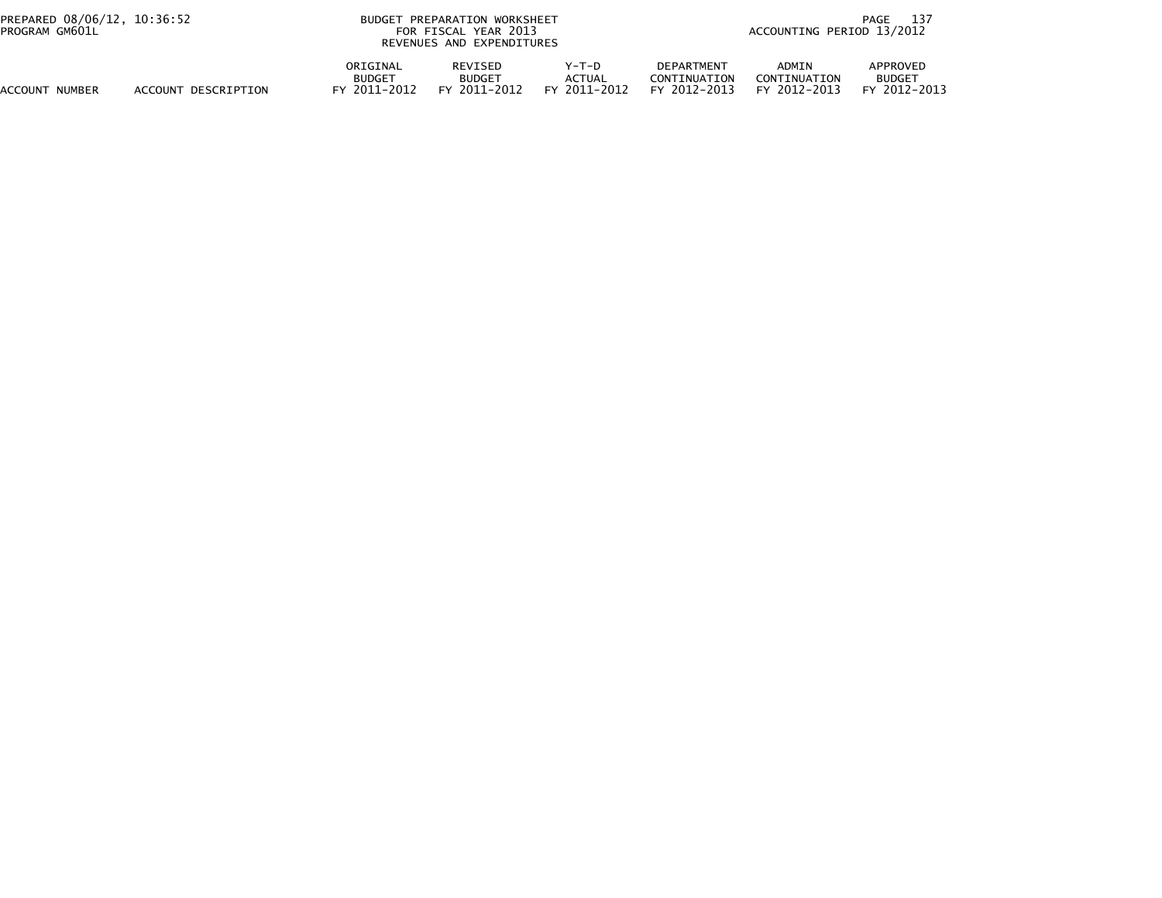| PREPARED 08/06/12, 10:36:52<br>PROGRAM GM601L |                     | <b>BUDGET</b>                             | PREPARATION WORKSHEET<br>FOR FISCAL YEAR 2013<br>REVENUES AND EXPENDITURES |                                   | 137<br>PAGE<br>ACCOUNTING PERIOD 13/2012          |                                       |                                           |  |
|-----------------------------------------------|---------------------|-------------------------------------------|----------------------------------------------------------------------------|-----------------------------------|---------------------------------------------------|---------------------------------------|-------------------------------------------|--|
| ACCOUNT<br>NUMBER                             | ACCOUNT DESCRIPTION | ORIGINAL<br><b>BUDGET</b><br>FY 2011-2012 | REVISED<br><b>BUDGET</b><br>FY 2011-2012                                   | $Y-T-D$<br>ACTUAL<br>FY 2011-2012 | <b>DEPARTMENT</b><br>CONTINUATION<br>FY 2012-2013 | ADMIN<br>CONTINUATION<br>FY 2012-2013 | APPROVED<br><b>BUDGET</b><br>FY 2012-2013 |  |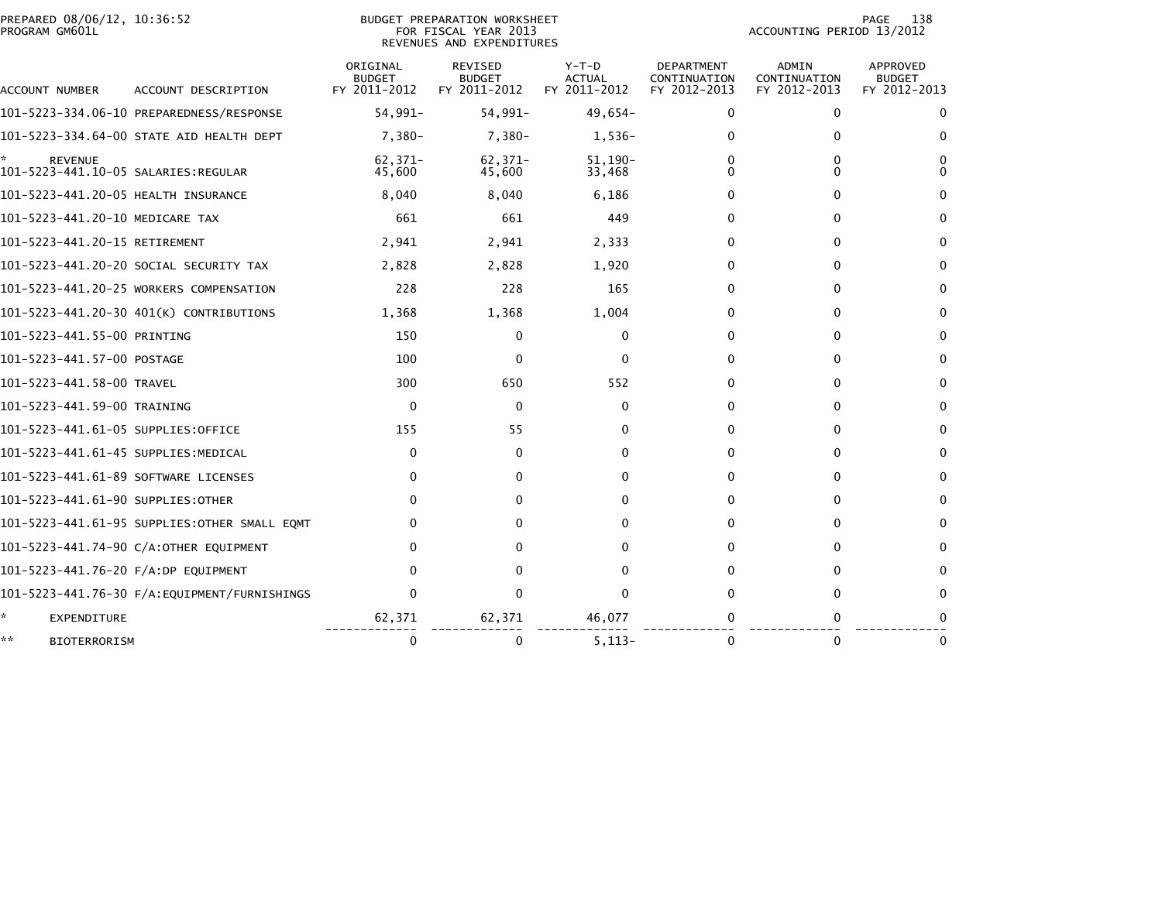| PREPARED 08/06/12, 10:36:52<br>PROGRAM GM601L               |                                              |                                           | BUDGET PREPARATION WORKSHEET<br>FOR FISCAL YEAR 2013<br>REVENUES AND EXPENDITURES |                                          |                                            | ACCOUNTING PERIOD 13/2012                    | 138<br>PAGE                               |
|-------------------------------------------------------------|----------------------------------------------|-------------------------------------------|-----------------------------------------------------------------------------------|------------------------------------------|--------------------------------------------|----------------------------------------------|-------------------------------------------|
| ACCOUNT NUMBER                                              | ACCOUNT DESCRIPTION                          | ORIGINAL<br><b>BUDGET</b><br>FY 2011-2012 | REVISED<br><b>BUDGET</b><br>FY 2011-2012                                          | $Y-T-D$<br><b>ACTUAL</b><br>FY 2011-2012 | DEPARTMENT<br>CONTINUATION<br>FY 2012-2013 | <b>ADMIN</b><br>CONTINUATION<br>FY 2012-2013 | APPROVED<br><b>BUDGET</b><br>FY 2012-2013 |
|                                                             |                                              | 54,991-                                   | 54,991-                                                                           | 49,654-                                  | 0                                          | 0                                            | 0                                         |
|                                                             | 101-5223-334.64-00 STATE AID HEALTH DEPT     | 7,380-                                    | 7,380-                                                                            | 1,536-                                   | 0                                          | 0                                            | $\Omega$                                  |
| ÷.<br><b>REVENUE</b><br>101-5223-441.10-05 SALARIES:REGULAR |                                              | 62,371-<br>45,600                         | $62,371-$<br>45,600                                                               | $51,190-$<br>33,468                      | 0<br>0                                     | 0<br>0                                       | 0<br>$\Omega$                             |
| 101-5223-441.20-05 HEALTH INSURANCE                         |                                              | 8,040                                     | 8,040                                                                             | 6,186                                    | 0                                          | 0                                            | 0                                         |
| 101-5223-441.20-10 MEDICARE TAX                             |                                              | 661                                       | 661                                                                               | 449                                      | 0                                          | 0                                            | 0                                         |
| 101-5223-441.20-15 RETIREMENT                               |                                              | 2,941                                     | 2,941                                                                             | 2,333                                    | 0                                          | 0                                            | 0                                         |
|                                                             | 101–5223–441.20–20 SOCIAL SECURITY TAX       | 2,828                                     | 2,828                                                                             | 1,920                                    | 0                                          | $\mathbf{0}$                                 | $\mathbf{0}$                              |
|                                                             | 101-5223-441.20-25 WORKERS COMPENSATION      | 228                                       | 228                                                                               | 165                                      | 0                                          | $\Omega$                                     | $\mathbf{0}$                              |
|                                                             | 101-5223-441.20-30 401(K) CONTRIBUTIONS      | 1,368                                     | 1,368                                                                             | 1,004                                    | 0                                          | $\mathbf{0}$                                 | $\mathbf{0}$                              |
| 101-5223-441.55-00 PRINTING                                 |                                              | 150                                       | $\mathbf{0}$                                                                      | 0                                        | 0                                          | 0                                            | 0                                         |
| 101-5223-441.57-00 POSTAGE                                  |                                              | 100                                       | 0                                                                                 | $\mathbf{0}$                             | 0                                          | $\mathbf{0}$                                 | $\mathbf{0}$                              |
| 101-5223-441.58-00 TRAVEL                                   |                                              | 300                                       | 650                                                                               | 552                                      | 0                                          | $\mathbf{0}$                                 | $\mathbf{0}$                              |
| 101-5223-441.59-00 TRAINING                                 |                                              | $\mathbf{0}$                              | $\mathbf{0}$                                                                      | $\mathbf{0}$                             | 0                                          | $\mathbf{0}$                                 | $\mathbf{0}$                              |
| 101-5223-441.61-05 SUPPLIES:OFFICE                          |                                              | 155                                       | 55                                                                                | 0                                        | 0                                          | 0                                            | 0                                         |
| 101-5223-441.61-45 SUPPLIES:MEDICAL                         |                                              | 0                                         | 0                                                                                 | 0                                        | $\mathbf{0}$                               | $\mathbf{0}$                                 | 0                                         |
| 101-5223-441.61-89 SOFTWARE LICENSES                        |                                              | $\Omega$                                  | 0                                                                                 | 0                                        | 0                                          | $\mathbf{0}$                                 | $\Omega$                                  |
| 101-5223-441.61-90 SUPPLIES:OTHER                           |                                              | $\Omega$                                  | 0                                                                                 | 0                                        | 0                                          | $\mathbf{0}$                                 | 0                                         |
|                                                             | 101-5223-441.61-95 SUPPLIES:OTHER SMALL EQMT | 0                                         | $\Omega$                                                                          | 0                                        | 0                                          | 0                                            | $\Omega$                                  |
|                                                             | 101-5223-441.74-90 C/A:OTHER EQUIPMENT       | 0                                         |                                                                                   | 0                                        | 0                                          | $\mathbf{0}$                                 | 0                                         |
| 101-5223-441.76-20 F/A:DP EQUIPMENT                         |                                              | <sup>0</sup>                              |                                                                                   | $\Omega$                                 | 0                                          | 0                                            | 0                                         |
|                                                             |                                              | $\Omega$                                  | $\Omega$                                                                          | $\Omega$                                 | 0                                          | $\Omega$                                     | 0                                         |
| *<br><b>EXPENDITURE</b>                                     |                                              | 62,371                                    | 62,371                                                                            | 46,077                                   |                                            | 0                                            |                                           |
| **<br><b>BIOTERRORISM</b>                                   |                                              | 0                                         | 0                                                                                 | $5,113-$                                 | $\Omega$                                   | $\mathbf{0}$                                 | 0                                         |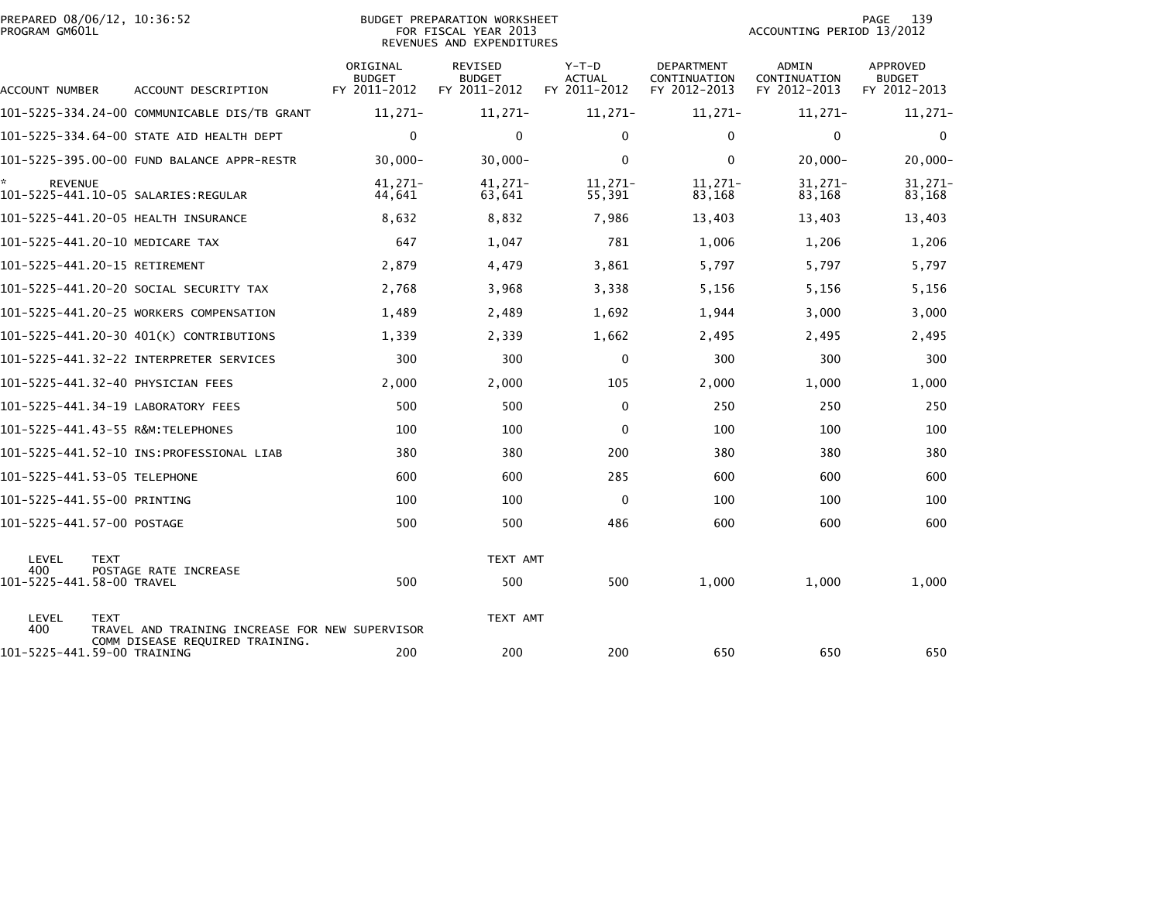| PREPARED 08/06/12, 10:36:52<br>PROGRAM GM601L |                                                                                    | BUDGET PREPARATION WORKSHEET<br>FOR FISCAL YEAR 2013<br>REVENUES AND EXPENDITURES |                                          |                                        |                                            | 139<br>PAGE<br>ACCOUNTING PERIOD 13/2012 |                                           |  |
|-----------------------------------------------|------------------------------------------------------------------------------------|-----------------------------------------------------------------------------------|------------------------------------------|----------------------------------------|--------------------------------------------|------------------------------------------|-------------------------------------------|--|
| ACCOUNT NUMBER                                | ACCOUNT DESCRIPTION                                                                | ORIGINAL<br><b>BUDGET</b><br>FY 2011-2012                                         | REVISED<br><b>BUDGET</b><br>FY 2011-2012 | Y-T-D<br><b>ACTUAL</b><br>FY 2011-2012 | DEPARTMENT<br>CONTINUATION<br>FY 2012-2013 | ADMIN<br>CONTINUATION<br>FY 2012-2013    | APPROVED<br><b>BUDGET</b><br>FY 2012-2013 |  |
|                                               | 101-5225-334.24-00 COMMUNICABLE DIS/TB GRANT                                       | $11,271-$                                                                         | $11,271-$                                | $11,271-$                              | 11,271-                                    | 11,271-                                  | $11,271-$                                 |  |
|                                               | 101-5225-334.64-00 STATE AID HEALTH DEPT                                           | $\mathbf{0}$                                                                      | $\Omega$                                 | $\mathbf{0}$                           | $\Omega$                                   | $\Omega$                                 | 0                                         |  |
|                                               |                                                                                    | $30.000 -$                                                                        | $30,000 -$                               | $\mathbf{0}$                           | $\mathbf{0}$                               | $20.000 -$                               | $20,000 -$                                |  |
| <b>REVENUE</b>                                | 101-5225-441.10-05 SALARIES:REGULAR                                                | 41,271-<br>44,641                                                                 | 41,271-<br>63,641                        | $11,271-$<br>55,391                    | 11,271-<br>83,168                          | $31,271-$<br>83,168                      | $31,271-$<br>83,168                       |  |
|                                               | 101-5225-441.20-05 HEALTH INSURANCE                                                | 8,632                                                                             | 8,832                                    | 7,986                                  | 13,403                                     | 13,403                                   | 13,403                                    |  |
| 101-5225-441.20-10 MEDICARE TAX               |                                                                                    | 647                                                                               | 1,047                                    | 781                                    | 1,006                                      | 1,206                                    | 1,206                                     |  |
| 101-5225-441.20-15 RETIREMENT                 |                                                                                    | 2,879                                                                             | 4,479                                    | 3,861                                  | 5,797                                      | 5,797                                    | 5,797                                     |  |
|                                               | 101–5225–441.20–20 SOCIAL SECURITY TAX                                             | 2,768                                                                             | 3,968                                    | 3,338                                  | 5,156                                      | 5,156                                    | 5,156                                     |  |
|                                               | 101-5225-441.20-25 WORKERS COMPENSATION                                            | 1,489                                                                             | 2,489                                    | 1,692                                  | 1,944                                      | 3,000                                    | 3,000                                     |  |
|                                               | 101-5225-441.20-30 401(K) CONTRIBUTIONS                                            | 1,339                                                                             | 2,339                                    | 1,662                                  | 2,495                                      | 2,495                                    | 2,495                                     |  |
|                                               | 101-5225-441.32-22 INTERPRETER SERVICES                                            | 300                                                                               | 300                                      | $\mathbf{0}$                           | 300                                        | 300                                      | 300                                       |  |
| 101–5225–441.32–40 PHYSICIAN FEES             |                                                                                    | 2,000                                                                             | 2,000                                    | 105                                    | 2,000                                      | 1,000                                    | 1,000                                     |  |
|                                               | 101-5225-441.34-19 LABORATORY FEES                                                 | 500                                                                               | 500                                      | 0                                      | 250                                        | 250                                      | 250                                       |  |
| 101-5225-441.43-55 R&M:TELEPHONES             |                                                                                    | 100                                                                               | 100                                      | 0                                      | 100                                        | 100                                      | 100                                       |  |
|                                               |                                                                                    | 380                                                                               | 380                                      | 200                                    | 380                                        | 380                                      | 380                                       |  |
| 101-5225-441.53-05 TELEPHONE                  |                                                                                    | 600                                                                               | 600                                      | 285                                    | 600                                        | 600                                      | 600                                       |  |
| 101-5225-441.55-00 PRINTING                   |                                                                                    | 100                                                                               | 100                                      | $\mathbf{0}$                           | 100                                        | 100                                      | 100                                       |  |
| 101-5225-441.57-00 POSTAGE                    |                                                                                    | 500                                                                               | 500                                      | 486                                    | 600                                        | 600                                      | 600                                       |  |
| LEVEL<br><b>TEXT</b><br>400                   | POSTAGE RATE INCREASE                                                              |                                                                                   | TEXT AMT                                 |                                        |                                            |                                          |                                           |  |
| 101-5225-441.58-00 TRAVEL                     |                                                                                    | 500                                                                               | 500                                      | 500                                    | 1,000                                      | 1,000                                    | 1,000                                     |  |
| LEVEL<br><b>TEXT</b><br>400                   | TRAVEL AND TRAINING INCREASE FOR NEW SUPERVISOR<br>COMM DISEASE REQUIRED TRAINING. |                                                                                   | TEXT AMT                                 |                                        |                                            |                                          |                                           |  |
| 101-5225-441.59-00 TRAINING                   |                                                                                    | 200                                                                               | 200                                      | 200                                    | 650                                        | 650                                      | 650                                       |  |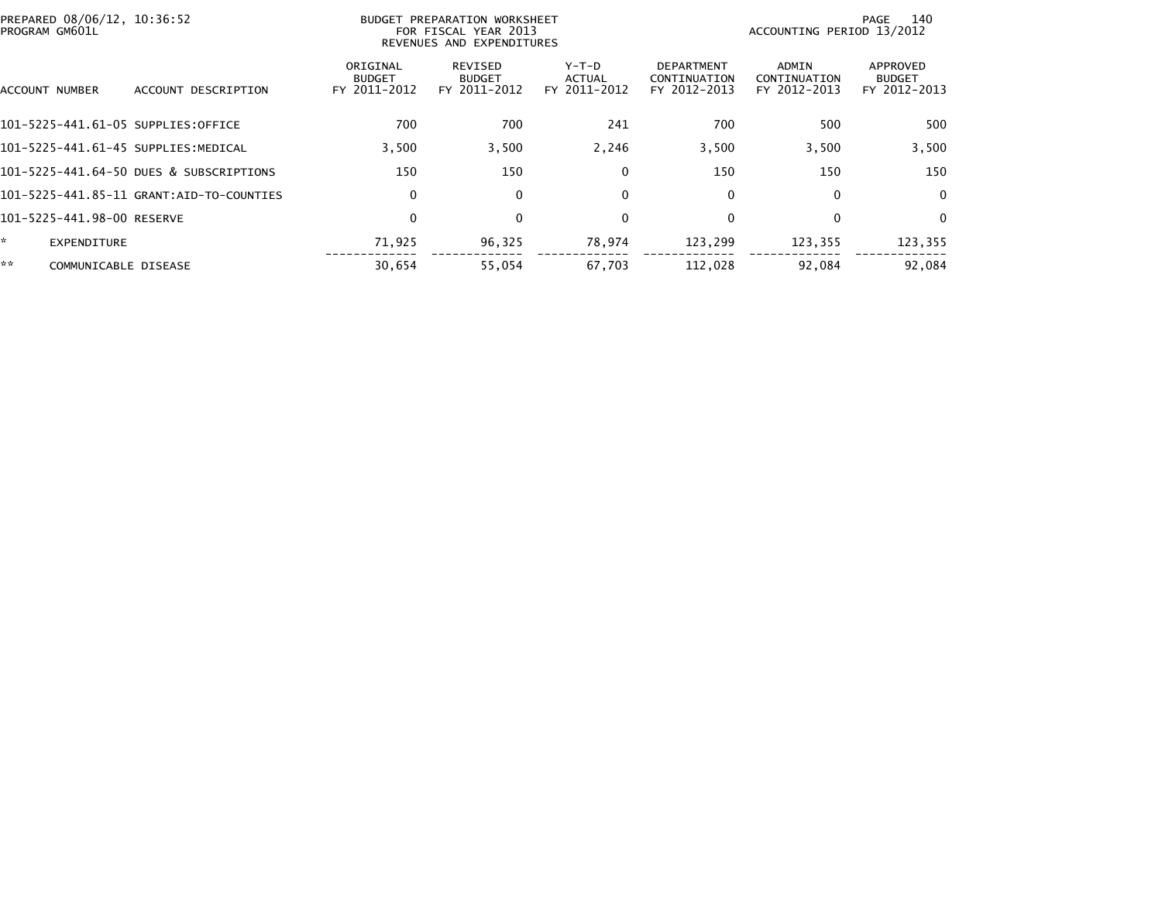| PROGRAM GM601L | PREPARED 08/06/12, 10:36:52             |                                           | BUDGET PREPARATION WORKSHEET<br>FOR FISCAL YEAR 2013<br>REVENUES AND EXPENDITURES |                                          |                                                   | ACCOUNTING PERIOD 13/2012                    | 140<br>PAGE                               |
|----------------|-----------------------------------------|-------------------------------------------|-----------------------------------------------------------------------------------|------------------------------------------|---------------------------------------------------|----------------------------------------------|-------------------------------------------|
| ACCOUNT NUMBER | ACCOUNT DESCRIPTION                     | ORIGINAL<br><b>BUDGET</b><br>FY 2011-2012 | REVISED<br><b>BUDGET</b><br>FY 2011-2012                                          | $Y-T-D$<br><b>ACTUAL</b><br>FY 2011-2012 | <b>DEPARTMENT</b><br>CONTINUATION<br>FY 2012-2013 | <b>ADMIN</b><br>CONTINUATION<br>FY 2012-2013 | APPROVED<br><b>BUDGET</b><br>FY 2012-2013 |
|                | 101-5225-441.61-05 SUPPLIES:OFFICE      | 700                                       | 700                                                                               | 241                                      | 700                                               | 500                                          | 500                                       |
|                | 101-5225-441.61-45 SUPPLIES:MEDICAL     | 3,500                                     | 3,500                                                                             | 2,246                                    | 3,500                                             | 3,500                                        | 3,500                                     |
|                | 101-5225-441.64-50 DUES & SUBSCRIPTIONS | 150                                       | 150                                                                               | 0                                        | 150                                               | 150                                          | 150                                       |
|                |                                         | 0                                         | 0                                                                                 | 0                                        | 0                                                 | 0                                            | $\mathbf 0$                               |
|                | 101-5225-441.98-00 RESERVE              | 0                                         | 0                                                                                 | 0                                        | $\mathbf{0}$                                      | 0                                            | $\Omega$                                  |
| *.             | EXPENDITURE                             | 71,925                                    | 96,325                                                                            | 78,974                                   | 123,299                                           | 123,355                                      | 123,355                                   |
| **             | COMMUNICABLE DISEASE                    | 30.654                                    | 55,054                                                                            | 67.703                                   | 112.028                                           | 92.084                                       | 92.084                                    |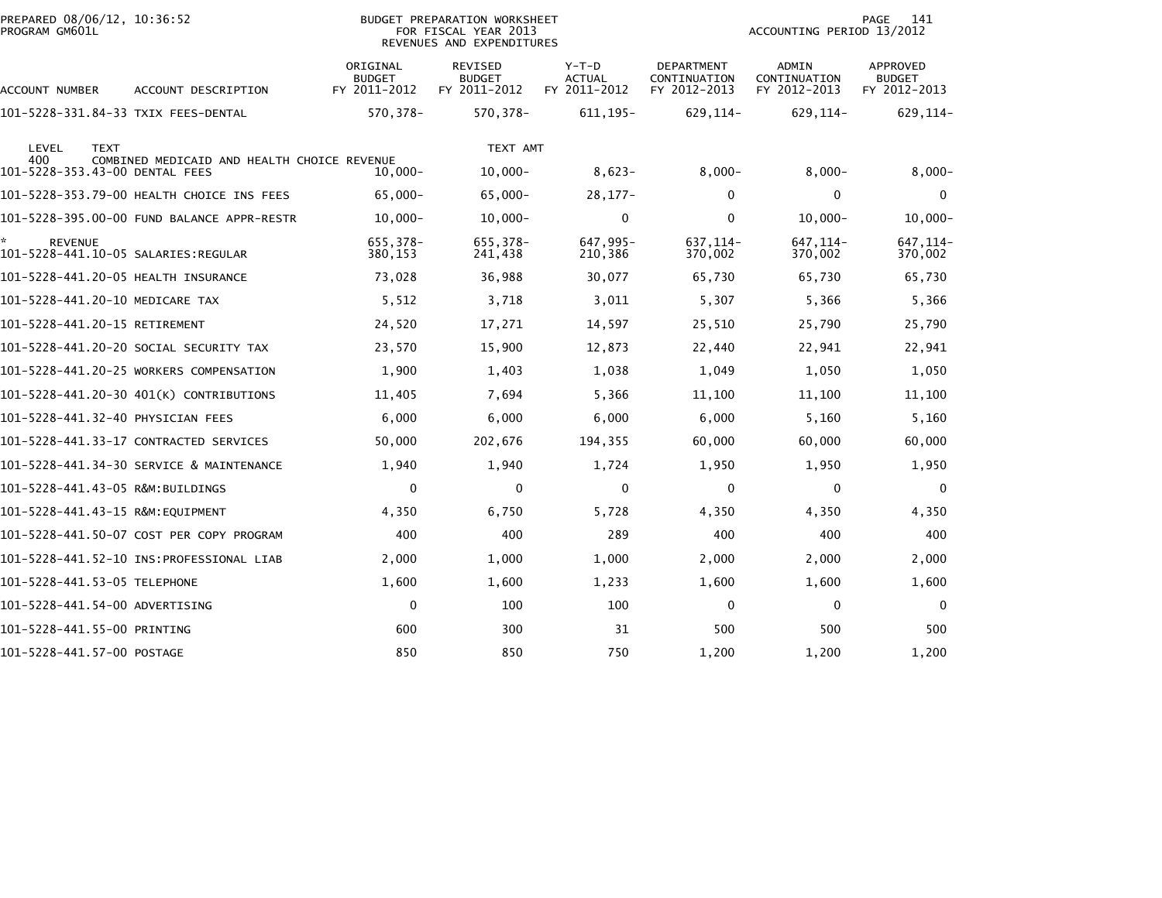| PREPARED 08/06/12, 10:36:52<br>PROGRAM GM601L |                                             |                                           | BUDGET PREPARATION WORKSHEET<br>FOR FISCAL YEAR 2013<br>REVENUES AND EXPENDITURES |                                          |                                                   | ACCOUNTING PERIOD 13/2012             | 141<br>PAGE                               |
|-----------------------------------------------|---------------------------------------------|-------------------------------------------|-----------------------------------------------------------------------------------|------------------------------------------|---------------------------------------------------|---------------------------------------|-------------------------------------------|
| ACCOUNT NUMBER                                | ACCOUNT DESCRIPTION                         | ORIGINAL<br><b>BUDGET</b><br>FY 2011-2012 | <b>REVISED</b><br><b>BUDGET</b><br>FY 2011-2012                                   | $Y-T-D$<br><b>ACTUAL</b><br>FY 2011-2012 | <b>DEPARTMENT</b><br>CONTINUATION<br>FY 2012-2013 | ADMIN<br>CONTINUATION<br>FY 2012-2013 | APPROVED<br><b>BUDGET</b><br>FY 2012-2013 |
| 101–5228–331.84–33 TXIX FEES–DENTAL           |                                             | 570,378-                                  | 570,378-                                                                          | 611, 195-                                | 629, 114-                                         | 629, 114-                             | 629,114-                                  |
| LEVEL<br><b>TEXT</b>                          |                                             |                                           | TEXT AMT                                                                          |                                          |                                                   |                                       |                                           |
| 400<br>101-5228-353.43-00 DENTAL FEES         | COMBINED MEDICAID AND HEALTH CHOICE REVENUE | $10.000 -$                                | $10,000 -$                                                                        | $8,623-$                                 | $8,000 -$                                         | $8,000 -$                             | $8,000 -$                                 |
|                                               | 101-5228-353.79-00 HEALTH CHOICE INS FEES   | 65,000-                                   | $65,000 -$                                                                        | $28, 177 -$                              | 0                                                 | $\mathbf 0$                           | $\Omega$                                  |
|                                               | 101-5228-395.00-00 FUND BALANCE APPR-RESTR  | $10,000 -$                                | $10,000 -$                                                                        | $\mathbf 0$                              | $\Omega$                                          | $10,000 -$                            | $10,000 -$                                |
| <b>REVENUE</b>                                |                                             | 655,378-<br>380,153                       | 655,378-<br>241,438                                                               | 647,995-<br>210,386                      | 637, 114-<br>370,002                              | 647, 114-<br>370,002                  | 647, 114-<br>370,002                      |
| 101-5228-441.20-05 HEALTH INSURANCE           |                                             | 73,028                                    | 36,988                                                                            | 30,077                                   | 65,730                                            | 65,730                                | 65,730                                    |
| 101-5228-441.20-10 MEDICARE TAX               |                                             | 5,512                                     | 3,718                                                                             | 3,011                                    | 5,307                                             | 5,366                                 | 5,366                                     |
| 101-5228-441.20-15 RETIREMENT                 |                                             | 24,520                                    | 17,271                                                                            | 14,597                                   | 25,510                                            | 25,790                                | 25,790                                    |
|                                               | 101-5228-441.20-20 SOCIAL SECURITY TAX      | 23,570                                    | 15,900                                                                            | 12,873                                   | 22,440                                            | 22,941                                | 22,941                                    |
|                                               | 101-5228-441.20-25 WORKERS COMPENSATION     | 1,900                                     | 1,403                                                                             | 1,038                                    | 1,049                                             | 1,050                                 | 1,050                                     |
|                                               | 101-5228-441.20-30 401(K) CONTRIBUTIONS     | 11,405                                    | 7,694                                                                             | 5,366                                    | 11,100                                            | 11,100                                | 11,100                                    |
| 101-5228-441.32-40 PHYSICIAN FEES             |                                             | 6,000                                     | 6,000                                                                             | 6,000                                    | 6,000                                             | 5,160                                 | 5,160                                     |
|                                               | 101-5228-441.33-17 CONTRACTED SERVICES      | 50,000                                    | 202,676                                                                           | 194,355                                  | 60,000                                            | 60,000                                | 60,000                                    |
|                                               | 101-5228-441.34-30 SERVICE & MAINTENANCE    | 1,940                                     | 1,940                                                                             | 1,724                                    | 1,950                                             | 1,950                                 | 1,950                                     |
| 101-5228-441.43-05 R&M:BUILDINGS              |                                             | 0                                         | 0                                                                                 | $\mathbf 0$                              | 0                                                 | 0                                     | $\Omega$                                  |
| 101-5228-441.43-15 R&M:EQUIPMENT              |                                             | 4,350                                     | 6,750                                                                             | 5,728                                    | 4,350                                             | 4,350                                 | 4,350                                     |
|                                               | 101-5228-441.50-07 COST PER COPY PROGRAM    | 400                                       | 400                                                                               | 289                                      | 400                                               | 400                                   | 400                                       |
|                                               |                                             | 2,000                                     | 1,000                                                                             | 1,000                                    | 2,000                                             | 2,000                                 | 2,000                                     |
| 101-5228-441.53-05 TELEPHONE                  |                                             | 1,600                                     | 1,600                                                                             | 1,233                                    | 1,600                                             | 1,600                                 | 1,600                                     |
| 101-5228-441.54-00 ADVERTISING                |                                             | $\mathbf 0$                               | 100                                                                               | 100                                      | 0                                                 | $\mathbf 0$                           | $\Omega$                                  |
| 101-5228-441.55-00 PRINTING                   |                                             | 600                                       | 300                                                                               | 31                                       | 500                                               | 500                                   | 500                                       |
| 101-5228-441.57-00 POSTAGE                    |                                             | 850                                       | 850                                                                               | 750                                      | 1,200                                             | 1,200                                 | 1,200                                     |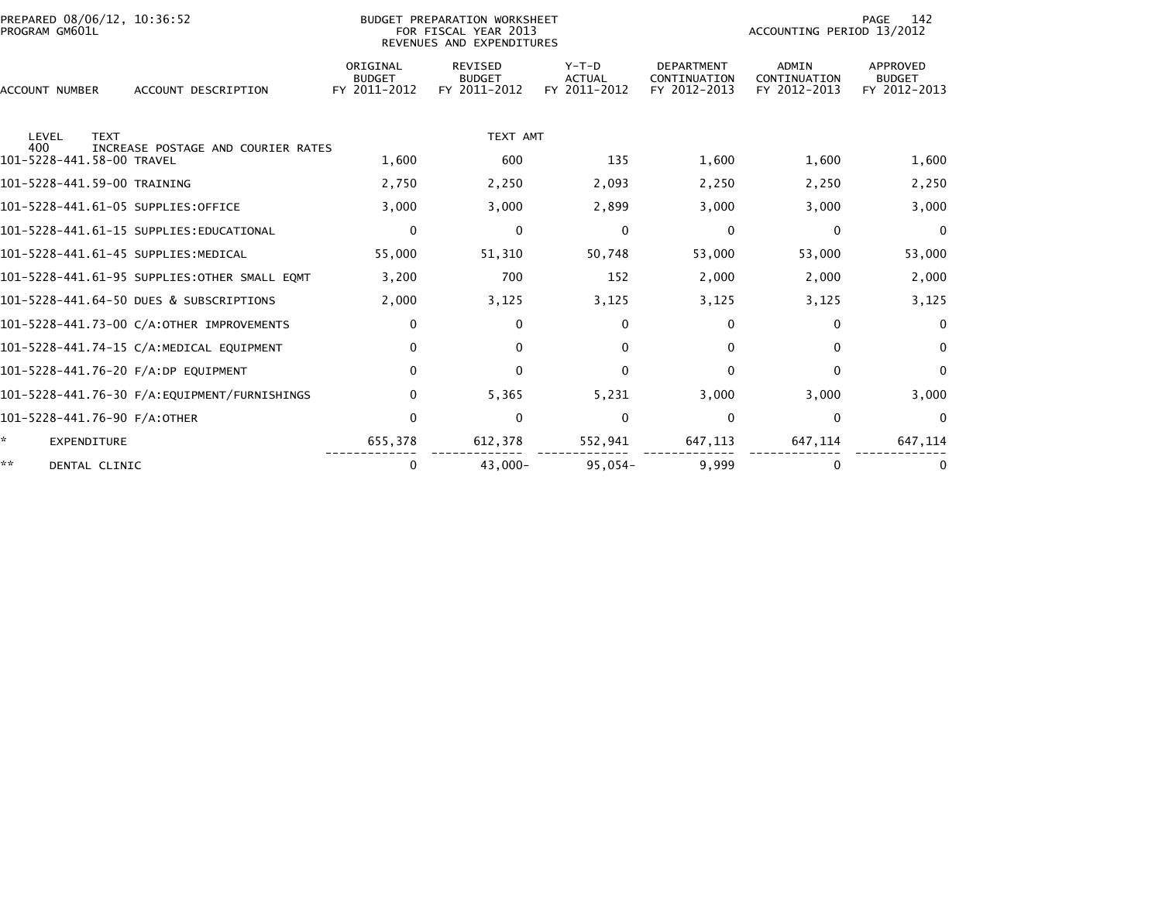| PREPARED 08/06/12, 10:36:52<br>PROGRAM GM601L                     |                                           | BUDGET PREPARATION WORKSHEET<br>FOR FISCAL YEAR 2013<br>REVENUES AND EXPENDITURES |                                          |                                                   | ACCOUNTING PERIOD 13/2012                    | PAGE<br>142                               |
|-------------------------------------------------------------------|-------------------------------------------|-----------------------------------------------------------------------------------|------------------------------------------|---------------------------------------------------|----------------------------------------------|-------------------------------------------|
| <b>ACCOUNT NUMBER</b><br>ACCOUNT DESCRIPTION                      | ORIGINAL<br><b>BUDGET</b><br>FY 2011-2012 | <b>REVISED</b><br><b>BUDGET</b><br>FY 2011-2012                                   | $Y-T-D$<br><b>ACTUAL</b><br>FY 2011-2012 | <b>DEPARTMENT</b><br>CONTINUATION<br>FY 2012-2013 | <b>ADMIN</b><br>CONTINUATION<br>FY 2012-2013 | APPROVED<br><b>BUDGET</b><br>FY 2012-2013 |
| LEVEL<br><b>TEXT</b><br>400<br>INCREASE POSTAGE AND COURIER RATES |                                           | TEXT AMT                                                                          |                                          |                                                   |                                              |                                           |
| 101-5228-441.58-00 TRAVEL                                         | 1,600                                     | 600                                                                               | 135                                      | 1,600                                             | 1,600                                        | 1,600                                     |
| 101-5228-441.59-00 TRAINING                                       | 2,750                                     | 2,250                                                                             | 2,093                                    | 2,250                                             | 2,250                                        | 2,250                                     |
| 101-5228-441.61-05 SUPPLIES:OFFICE                                | 3,000                                     | 3,000                                                                             | 2,899                                    | 3,000                                             | 3,000                                        | 3,000                                     |
| 101-5228-441.61-15 SUPPLIES:EDUCATIONAL                           | $\mathbf 0$                               | $\mathbf 0$                                                                       | $\mathbf{0}$                             | $\mathbf 0$                                       | $\mathbf 0$                                  | 0                                         |
| 101-5228-441.61-45 SUPPLIES: MEDICAL                              | 55,000                                    | 51,310                                                                            | 50,748                                   | 53,000                                            | 53,000                                       | 53,000                                    |
| 101-5228-441.61-95 SUPPLIES: OTHER SMALL EQMT                     | 3,200                                     | 700                                                                               | 152                                      | 2,000                                             | 2,000                                        | 2,000                                     |
| 101-5228-441.64-50 DUES & SUBSCRIPTIONS                           | 2,000                                     | 3,125                                                                             | 3,125                                    | 3,125                                             | 3,125                                        | 3,125                                     |
| 101-5228-441.73-00 C/A:OTHER IMPROVEMENTS                         | $\mathbf 0$                               | $\Omega$                                                                          | 0                                        | $\mathbf{0}$                                      | $\mathbf{0}$                                 | $\bf{0}$                                  |
| 101-5228-441.74-15 C/A:MEDICAL EQUIPMENT                          | 0                                         | $\Omega$                                                                          | 0                                        | $\Omega$                                          | $\mathbf{0}$                                 | $\mathbf{0}$                              |
| 101-5228-441.76-20 F/A:DP EQUIPMENT                               | $\Omega$                                  | $\Omega$                                                                          | <sup>0</sup>                             | $\Omega$                                          | $\Omega$                                     | $\bf{0}$                                  |
| 101-5228-441.76-30 F/A:EQUIPMENT/FURNISHINGS                      | 0                                         | 5,365                                                                             | 5,231                                    | 3,000                                             | 3,000                                        | 3,000                                     |
| 101-5228-441.76-90 F/A:OTHER                                      | $\Omega$                                  | 0                                                                                 | $\Omega$                                 | $\mathbf{0}$                                      | $\bf{0}$                                     | $\Omega$                                  |
| <b>EXPENDITURE</b>                                                | 655,378                                   | 612,378                                                                           | 552,941                                  | 647,113                                           | 647,114                                      | 647,114                                   |
| **<br>DENTAL CLINIC                                               | 0                                         | $43,000 -$                                                                        | $95.054 -$                               | 9.999                                             | 0                                            |                                           |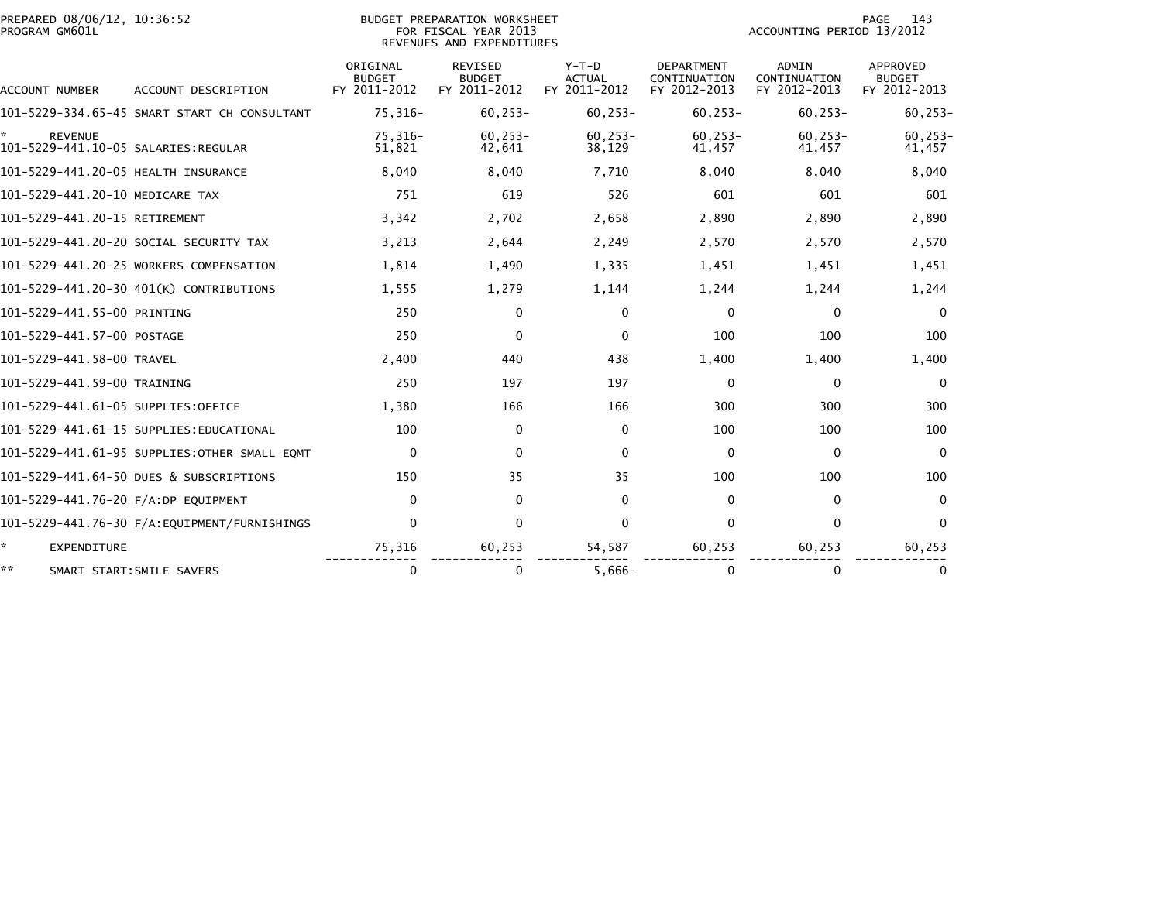| PREPARED 08/06/12, 10:36:52<br>PROGRAM GM601L |                                              | BUDGET PREPARATION WORKSHEET<br>FOR FISCAL YEAR 2013<br>REVENUES AND EXPENDITURES |                                          |                                          | 143<br>PAGE<br>ACCOUNTING PERIOD 13/2012          |                                       |                                                  |  |
|-----------------------------------------------|----------------------------------------------|-----------------------------------------------------------------------------------|------------------------------------------|------------------------------------------|---------------------------------------------------|---------------------------------------|--------------------------------------------------|--|
| ACCOUNT NUMBER                                | ACCOUNT DESCRIPTION                          | ORIGINAL<br><b>BUDGET</b><br>FY 2011-2012                                         | REVISED<br><b>BUDGET</b><br>FY 2011-2012 | $Y-T-D$<br><b>ACTUAL</b><br>FY 2011-2012 | <b>DEPARTMENT</b><br>CONTINUATION<br>FY 2012-2013 | ADMIN<br>CONTINUATION<br>FY 2012-2013 | <b>APPROVED</b><br><b>BUDGET</b><br>FY 2012-2013 |  |
|                                               | 101-5229-334.65-45 SMART START CH CONSULTANT | 75,316-                                                                           | $60.253 -$                               | $60, 253 -$                              | $60, 253 -$                                       | $60, 253 -$                           | $60, 253 -$                                      |  |
| <b>REVENUE</b>                                |                                              | 75,316-<br>51,821                                                                 | $60.253 -$<br>42,641                     | $60.253 -$<br>38,129                     | $60, 253 -$<br>41,457                             | $60.253 -$<br>41,457                  | $60, 253 -$<br>41,457                            |  |
| 101-5229-441.20-05 HEALTH INSURANCE           |                                              | 8,040                                                                             | 8,040                                    | 7,710                                    | 8,040                                             | 8,040                                 | 8,040                                            |  |
| 101-5229-441.20-10 MEDICARE TAX               |                                              | 751                                                                               | 619                                      | 526                                      | 601                                               | 601                                   | 601                                              |  |
| 101-5229-441.20-15 RETIREMENT                 |                                              | 3,342                                                                             | 2,702                                    | 2,658                                    | 2,890                                             | 2,890                                 | 2,890                                            |  |
| 101–5229–441.20–20 SOCIAL SECURITY TAX        |                                              | 3,213                                                                             | 2,644                                    | 2,249                                    | 2,570                                             | 2,570                                 | 2,570                                            |  |
| 101-5229-441.20-25 WORKERS COMPENSATION       |                                              | 1,814                                                                             | 1,490                                    | 1,335                                    | 1,451                                             | 1,451                                 | 1,451                                            |  |
| 101-5229-441.20-30 401(K) CONTRIBUTIONS       |                                              | 1,555                                                                             | 1,279                                    | 1,144                                    | 1,244                                             | 1,244                                 | 1,244                                            |  |
| 101-5229-441.55-00 PRINTING                   |                                              | 250                                                                               | 0                                        | $\mathbf{0}$                             | 0                                                 | 0                                     | $\mathbf{0}$                                     |  |
| 101-5229-441.57-00 POSTAGE                    |                                              | 250                                                                               | 0                                        | $\Omega$                                 | 100                                               | 100                                   | 100                                              |  |
| 101-5229-441.58-00 TRAVEL                     |                                              | 2,400                                                                             | 440                                      | 438                                      | 1,400                                             | 1,400                                 | 1,400                                            |  |
| 101-5229-441.59-00 TRAINING                   |                                              | 250                                                                               | 197                                      | 197                                      | 0                                                 | $\Omega$                              | $\Omega$                                         |  |
| 101-5229-441.61-05 SUPPLIES:OFFICE            |                                              | 1,380                                                                             | 166                                      | 166                                      | 300                                               | 300                                   | 300                                              |  |
| 101–5229–441.61–15 SUPPLIES:EDUCATIONAL       |                                              | 100                                                                               | 0                                        | $\Omega$                                 | 100                                               | 100                                   | 100                                              |  |
|                                               | 101–5229–441.61–95 SUPPLIES:OTHER SMALL EOMT | $\mathbf 0$                                                                       | $\Omega$                                 | $\Omega$                                 | $\Omega$                                          | $\Omega$                              | $\Omega$                                         |  |
| 101-5229-441.64-50 DUES & SUBSCRIPTIONS       |                                              | 150                                                                               | 35                                       | 35                                       | 100                                               | 100                                   | 100                                              |  |
| 101-5229-441.76-20 F/A:DP EOUIPMENT           |                                              | $\mathbf{0}$                                                                      | $\mathbf{0}$                             | $\Omega$                                 | 0                                                 | $\mathbf{0}$                          | $\mathbf{0}$                                     |  |
|                                               |                                              | $\mathbf 0$                                                                       | $\mathbf 0$                              | 0                                        | 0                                                 | $\mathbf 0$                           | $\mathbf{0}$                                     |  |
| *.<br><b>EXPENDITURE</b>                      |                                              | 75,316                                                                            | 60,253                                   | 54,587                                   | 60,253                                            | 60,253                                | 60,253                                           |  |
| **<br>SMART START: SMILE SAVERS               |                                              | $\mathbf{0}$                                                                      | 0                                        | $5,666-$                                 | $\Omega$                                          | $\Omega$                              | 0                                                |  |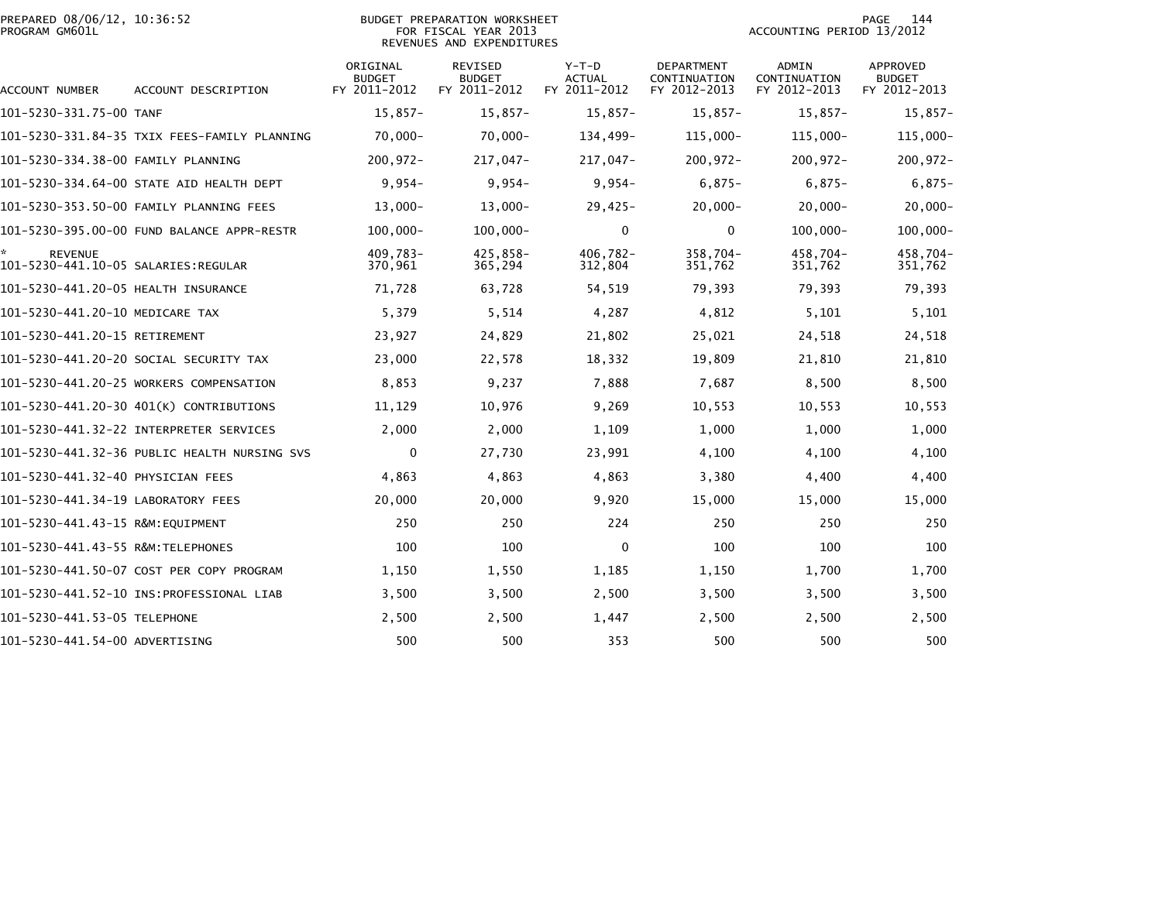|                | PREPARED 08/06/12, 10:36:52 |  |
|----------------|-----------------------------|--|
| PROGRAM GM601L |                             |  |

## BUDGET PREPARATION WORKSHEET PROGRAM GM601L FOR FISCAL YEAR 2013 ACCOUNTING PERIOD 13/2012 REVENUES AND EXPENDITURES

PAGE 144<br>ACCOUNTING PERIOD 13/2012

| <b>ACCOUNT NUMBER</b>                                  | ACCOUNT DESCRIPTION                          | ORIGINAL<br><b>BUDGET</b><br>FY 2011-2012 | REVISED<br><b>BUDGET</b><br>FY 2011-2012 | $Y-T-D$<br>ACTUAL<br>FY 2011-2012 | DEPARTMENT<br>CONTINUATION<br>FY 2012-2013 | ADMIN<br>CONTINUATION<br>FY 2012-2013 | <b>APPROVED</b><br><b>BUDGET</b><br>FY 2012-2013 |
|--------------------------------------------------------|----------------------------------------------|-------------------------------------------|------------------------------------------|-----------------------------------|--------------------------------------------|---------------------------------------|--------------------------------------------------|
| 101-5230-331.75-00 TANF                                |                                              | $15.857 -$                                | $15.857-$                                | $15.857-$                         | 15,857-                                    | $15.857-$                             | $15,857-$                                        |
|                                                        | 101-5230-331.84-35 TXIX FEES-FAMILY PLANNING | $70,000 -$                                | $70,000 -$                               | 134,499-                          | 115,000-                                   | 115,000-                              | $115,000 -$                                      |
| 101-5230-334.38-00 FAMILY PLANNING                     |                                              | $200, 972 -$                              | 217,047-                                 | 217,047-                          | 200,972-                                   | $200.972 -$                           | $200, 972 -$                                     |
|                                                        | 101-5230-334.64-00 STATE AID HEALTH DEPT     | $9,954-$                                  | $9,954-$                                 | $9,954-$                          | $6,875-$                                   | $6,875-$                              | $6,875-$                                         |
|                                                        | 101-5230-353.50-00 FAMILY PLANNING FEES      | $13,000 -$                                | $13,000 -$                               | $29,425-$                         | $20,000 -$                                 | $20,000 -$                            | $20,000 -$                                       |
|                                                        | 101-5230-395.00-00 FUND BALANCE APPR-RESTR   | $100,000 -$                               | $100,000 -$                              | $\mathbf{0}$                      | $\mathbf 0$                                | $100,000 -$                           | $100,000 -$                                      |
| <b>REVENUE</b><br>101-5230-441.10-05 SALARIES: REGULAR |                                              | 409,783-<br>370,961                       | 425,858-<br>365,294                      | $406,782 -$<br>312,804            | $358,704-$<br>351,762                      | 458,704-<br>351,762                   | 458,704-<br>351,762                              |
| 101-5230-441.20-05 HEALTH INSURANCE                    |                                              | 71,728                                    | 63,728                                   | 54,519                            | 79,393                                     | 79,393                                | 79,393                                           |
| 101-5230-441.20-10 MEDICARE TAX                        |                                              | 5,379                                     | 5,514                                    | 4,287                             | 4,812                                      | 5,101                                 | 5,101                                            |
| 101-5230-441.20-15 RETIREMENT                          |                                              | 23,927                                    | 24,829                                   | 21,802                            | 25,021                                     | 24,518                                | 24,518                                           |
|                                                        | 101-5230-441.20-20 SOCIAL SECURITY TAX       | 23,000                                    | 22,578                                   | 18,332                            | 19,809                                     | 21,810                                | 21,810                                           |
|                                                        | 101-5230-441.20-25 WORKERS COMPENSATION      | 8,853                                     | 9,237                                    | 7,888                             | 7,687                                      | 8,500                                 | 8,500                                            |
|                                                        | 101-5230-441.20-30 401(K) CONTRIBUTIONS      | 11,129                                    | 10,976                                   | 9,269                             | 10,553                                     | 10,553                                | 10,553                                           |
|                                                        | 101-5230-441.32-22 INTERPRETER SERVICES      | 2,000                                     | 2,000                                    | 1,109                             | 1,000                                      | 1,000                                 | 1,000                                            |
|                                                        | 101-5230-441.32-36 PUBLIC HEALTH NURSING SVS | 0                                         | 27,730                                   | 23,991                            | 4,100                                      | 4,100                                 | 4,100                                            |
| 101-5230-441.32-40 PHYSICIAN FEES                      |                                              | 4,863                                     | 4,863                                    | 4,863                             | 3,380                                      | 4,400                                 | 4,400                                            |
| 101-5230-441.34-19 LABORATORY FEES                     |                                              | 20,000                                    | 20,000                                   | 9,920                             | 15,000                                     | 15,000                                | 15,000                                           |
| 101-5230-441.43-15 R&M:EQUIPMENT                       |                                              | 250                                       | 250                                      | 224                               | 250                                        | 250                                   | 250                                              |
| 101-5230-441.43-55 R&M: TELEPHONES                     |                                              | 100                                       | 100                                      | $\Omega$                          | 100                                        | 100                                   | 100                                              |
|                                                        | 101-5230-441.50-07 COST PER COPY PROGRAM     | 1,150                                     | 1,550                                    | 1,185                             | 1,150                                      | 1,700                                 | 1,700                                            |
|                                                        | 101-5230-441.52-10 INS:PROFESSIONAL LIAB     | 3,500                                     | 3,500                                    | 2,500                             | 3,500                                      | 3,500                                 | 3,500                                            |
| 101-5230-441.53-05 TELEPHONE                           |                                              | 2,500                                     | 2,500                                    | 1,447                             | 2,500                                      | 2,500                                 | 2,500                                            |
| 101-5230-441.54-00 ADVERTISING                         |                                              | 500                                       | 500                                      | 353                               | 500                                        | 500                                   | 500                                              |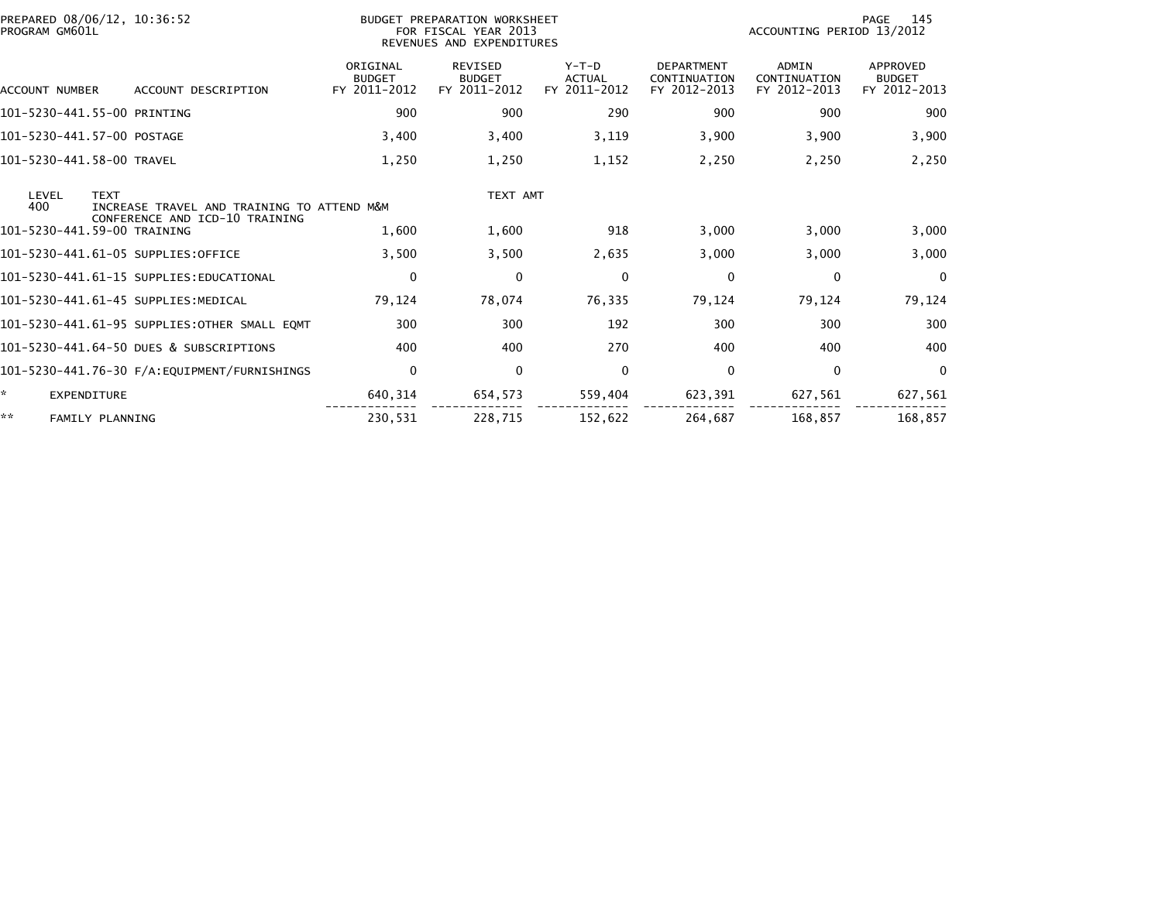| PREPARED 08/06/12, 10:36:52<br>PROGRAM GM601L                             |                                           | BUDGET PREPARATION WORKSHEET<br>FOR FISCAL YEAR 2013<br>REVENUES AND EXPENDITURES |                                          |                                                   |                                       | 145<br>PAGE<br>ACCOUNTING PERIOD 13/2012         |  |  |
|---------------------------------------------------------------------------|-------------------------------------------|-----------------------------------------------------------------------------------|------------------------------------------|---------------------------------------------------|---------------------------------------|--------------------------------------------------|--|--|
| ACCOUNT DESCRIPTION<br>ACCOUNT NUMBER                                     | ORIGINAL<br><b>BUDGET</b><br>FY 2011-2012 | <b>REVISED</b><br><b>BUDGET</b><br>FY 2011-2012                                   | $Y-T-D$<br><b>ACTUAL</b><br>FY 2011-2012 | <b>DEPARTMENT</b><br>CONTINUATION<br>FY 2012-2013 | ADMIN<br>CONTINUATION<br>FY 2012-2013 | <b>APPROVED</b><br><b>BUDGET</b><br>FY 2012-2013 |  |  |
| 101-5230-441.55-00 PRINTING                                               | 900                                       | 900                                                                               | 290                                      | 900                                               | 900                                   | 900                                              |  |  |
| 101-5230-441.57-00 POSTAGE                                                | 3,400                                     | 3,400                                                                             | 3,119                                    | 3,900                                             | 3,900                                 | 3,900                                            |  |  |
| 101-5230-441.58-00 TRAVEL                                                 | 1,250                                     | 1,250                                                                             | 1,152                                    | 2,250                                             | 2,250                                 | 2,250                                            |  |  |
| LEVEL<br><b>TEXT</b><br>400<br>INCREASE TRAVEL AND TRAINING TO ATTEND M&M |                                           | TEXT AMT                                                                          |                                          |                                                   |                                       |                                                  |  |  |
| CONFERENCE AND ICD-10 TRAINING<br>101-5230-441.59-00 TRAINING             | 1,600                                     | 1,600                                                                             | 918                                      | 3,000                                             | 3,000                                 | 3,000                                            |  |  |
| 101-5230-441.61-05 SUPPLIES:OFFICE                                        | 3,500                                     | 3,500                                                                             | 2,635                                    | 3,000                                             | 3,000                                 | 3,000                                            |  |  |
| 101-5230-441.61-15 SUPPLIES:EDUCATIONAL                                   | $\mathbf 0$                               | $\mathbf 0$                                                                       | $\mathbf{0}$                             | $\mathbf 0$                                       | $\mathbf 0$                           | $\Omega$                                         |  |  |
| 101-5230-441.61-45 SUPPLIES:MEDICAL                                       | 79,124                                    | 78,074                                                                            | 76,335                                   | 79,124                                            | 79,124                                | 79,124                                           |  |  |
| 101-5230-441.61-95 SUPPLIES:OTHER SMALL EOMT                              | 300                                       | 300                                                                               | 192                                      | 300                                               | 300                                   | 300                                              |  |  |
| 101-5230-441.64-50 DUES & SUBSCRIPTIONS                                   | 400                                       | 400                                                                               | 270                                      | 400                                               | 400                                   | 400                                              |  |  |
| 101-5230-441.76-30 F/A:EQUIPMENT/FURNISHINGS                              | $\mathbf 0$                               | $\mathbf 0$                                                                       | $\mathbf{0}$                             | 0                                                 | $\mathbf{0}$                          | $\Omega$                                         |  |  |
| *.<br>EXPENDITURE                                                         | 640,314                                   | 654,573                                                                           | 559,404                                  | 623,391                                           | 627,561                               | 627,561                                          |  |  |
| **<br><b>FAMILY PLANNING</b>                                              | 230,531                                   | 228.715                                                                           | 152.622                                  | 264.687                                           | 168.857                               | 168.857                                          |  |  |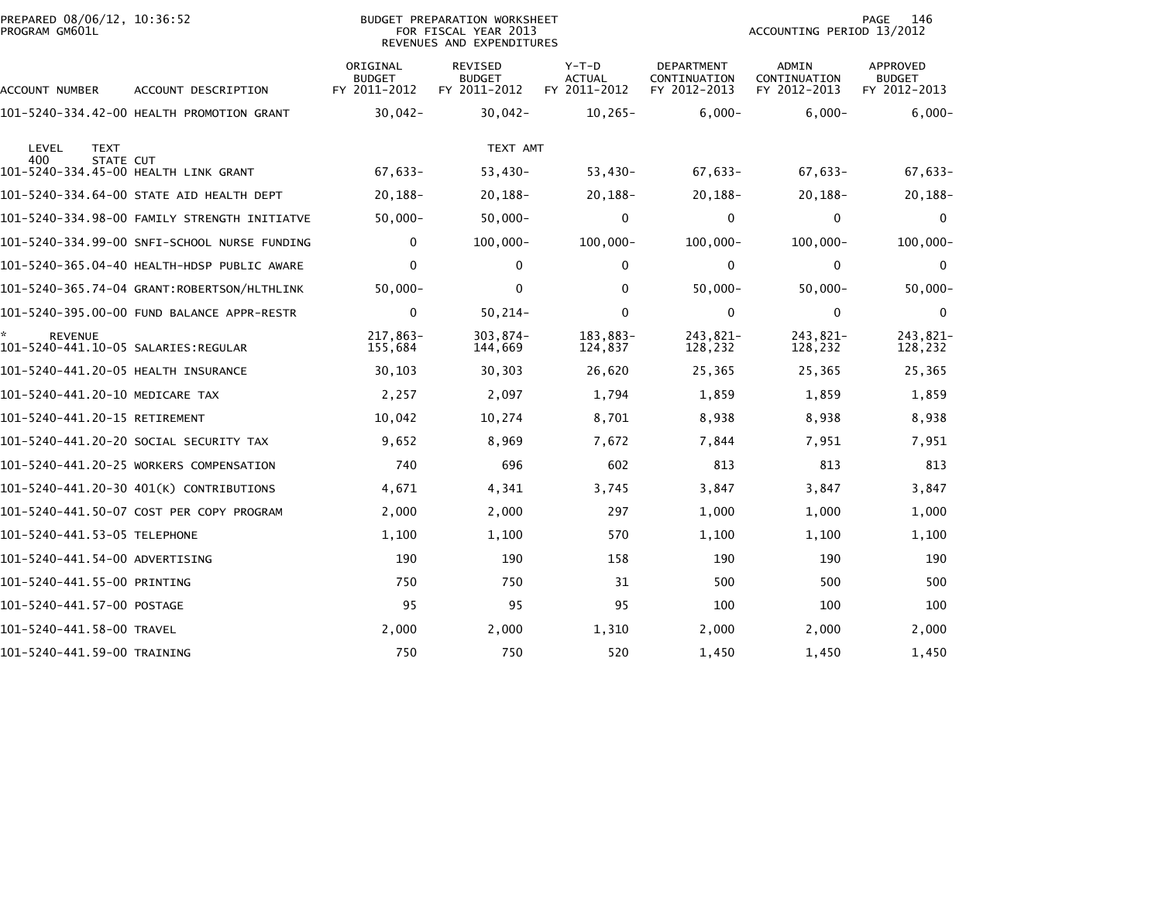| PREPARED 08/06/12, 10:36:52<br>PROGRAM GM601L            |                                              |                                           | <b>BUDGET PREPARATION WORKSHEET</b><br>FOR FISCAL YEAR 2013<br>REVENUES AND EXPENDITURES |                                          | PAGE<br>146<br>ACCOUNTING PERIOD 13/2012          |                                       |                                           |
|----------------------------------------------------------|----------------------------------------------|-------------------------------------------|------------------------------------------------------------------------------------------|------------------------------------------|---------------------------------------------------|---------------------------------------|-------------------------------------------|
| ACCOUNT NUMBER                                           | ACCOUNT DESCRIPTION                          | ORIGINAL<br><b>BUDGET</b><br>FY 2011-2012 | REVISED<br><b>BUDGET</b><br>FY 2011-2012                                                 | $Y-T-D$<br><b>ACTUAL</b><br>FY 2011-2012 | <b>DEPARTMENT</b><br>CONTINUATION<br>FY 2012-2013 | ADMIN<br>CONTINUATION<br>FY 2012-2013 | APPROVED<br><b>BUDGET</b><br>FY 2012-2013 |
|                                                          | 101-5240-334.42-00 HEALTH PROMOTION GRANT    | $30,042 -$                                | $30,042 -$                                                                               | $10, 265 -$                              | $6,000 -$                                         | $6,000 -$                             | $6,000-$                                  |
| LEVEL<br><b>TEXT</b>                                     |                                              |                                           | TEXT AMT                                                                                 |                                          |                                                   |                                       |                                           |
| 400<br>STATE CUT<br>101-5240-334.45-00 HEALTH LINK GRANT |                                              | $67,633-$                                 | $53,430-$                                                                                | $53,430-$                                | 67,633-                                           | $67,633-$                             | 67,633-                                   |
|                                                          | 101-5240-334.64-00 STATE AID HEALTH DEPT     | $20, 188 -$                               | $20, 188 -$                                                                              | 20, 188-                                 | $20, 188 -$                                       | $20, 188 -$                           | $20, 188 -$                               |
|                                                          | 101-5240-334.98-00 FAMILY STRENGTH INITIATVE | $50,000 -$                                | $50,000 -$                                                                               | 0                                        | 0                                                 | 0                                     | 0                                         |
|                                                          | 101-5240-334.99-00 SNFI-SCHOOL NURSE FUNDING | $\mathbf 0$                               | $100,000 -$                                                                              | $100,000 -$                              | $100,000 -$                                       | $100,000 -$                           | $100,000 -$                               |
|                                                          | 101-5240-365.04-40 HEALTH-HDSP PUBLIC AWARE  | 0                                         | 0                                                                                        | 0                                        | 0                                                 | 0                                     | 0                                         |
|                                                          | 101-5240-365.74-04 GRANT:ROBERTSON/HLTHLINK  | $50,000 -$                                | 0                                                                                        | $\mathbf{0}$                             | $50,000 -$                                        | $50,000 -$                            | $50,000 -$                                |
|                                                          | 101-5240-395.00-00 FUND BALANCE APPR-RESTR   | 0                                         | $50, 214 -$                                                                              | 0                                        | $\Omega$                                          | $\mathbf 0$                           | $\mathbf{0}$                              |
| <b>REVENUE</b><br>101-5240-441.10-05 SALARIES:REGULAR    |                                              | 217,863-<br>155,684                       | $303,874-$<br>144,669                                                                    | 183,883-<br>124,837                      | 243,821-<br>128,232                               | 243,821-<br>128,232                   | 243,821-<br>128,232                       |
| 101-5240-441.20-05 HEALTH INSURANCE                      |                                              | 30,103                                    | 30,303                                                                                   | 26,620                                   | 25,365                                            | 25,365                                | 25,365                                    |
| 101-5240-441.20-10 MEDICARE TAX                          |                                              | 2,257                                     | 2,097                                                                                    | 1,794                                    | 1,859                                             | 1,859                                 | 1,859                                     |
| 101-5240-441.20-15 RETIREMENT                            |                                              | 10,042                                    | 10,274                                                                                   | 8,701                                    | 8,938                                             | 8,938                                 | 8,938                                     |
|                                                          | 101-5240-441.20-20 SOCIAL SECURITY TAX       | 9,652                                     | 8,969                                                                                    | 7,672                                    | 7,844                                             | 7,951                                 | 7,951                                     |
|                                                          | 101-5240-441.20-25 WORKERS COMPENSATION      | 740                                       | 696                                                                                      | 602                                      | 813                                               | 813                                   | 813                                       |
|                                                          | 101-5240-441.20-30 401(K) CONTRIBUTIONS      | 4,671                                     | 4,341                                                                                    | 3,745                                    | 3,847                                             | 3,847                                 | 3,847                                     |
|                                                          | 101-5240-441.50-07 COST PER COPY PROGRAM     | 2,000                                     | 2,000                                                                                    | 297                                      | 1,000                                             | 1,000                                 | 1,000                                     |
| 101-5240-441.53-05 TELEPHONE                             |                                              | 1,100                                     | 1,100                                                                                    | 570                                      | 1,100                                             | 1,100                                 | 1,100                                     |
| 101-5240-441.54-00 ADVERTISING                           |                                              | 190                                       | 190                                                                                      | 158                                      | 190                                               | 190                                   | 190                                       |
| 101-5240-441.55-00 PRINTING                              |                                              | 750                                       | 750                                                                                      | 31                                       | 500                                               | 500                                   | 500                                       |
| 101-5240-441.57-00 POSTAGE                               |                                              | 95                                        | 95                                                                                       | 95                                       | 100                                               | 100                                   | 100                                       |
| 101-5240-441.58-00 TRAVEL                                |                                              | 2,000                                     | 2,000                                                                                    | 1,310                                    | 2,000                                             | 2,000                                 | 2,000                                     |
| 101-5240-441.59-00 TRAINING                              |                                              | 750                                       | 750                                                                                      | 520                                      | 1,450                                             | 1,450                                 | 1,450                                     |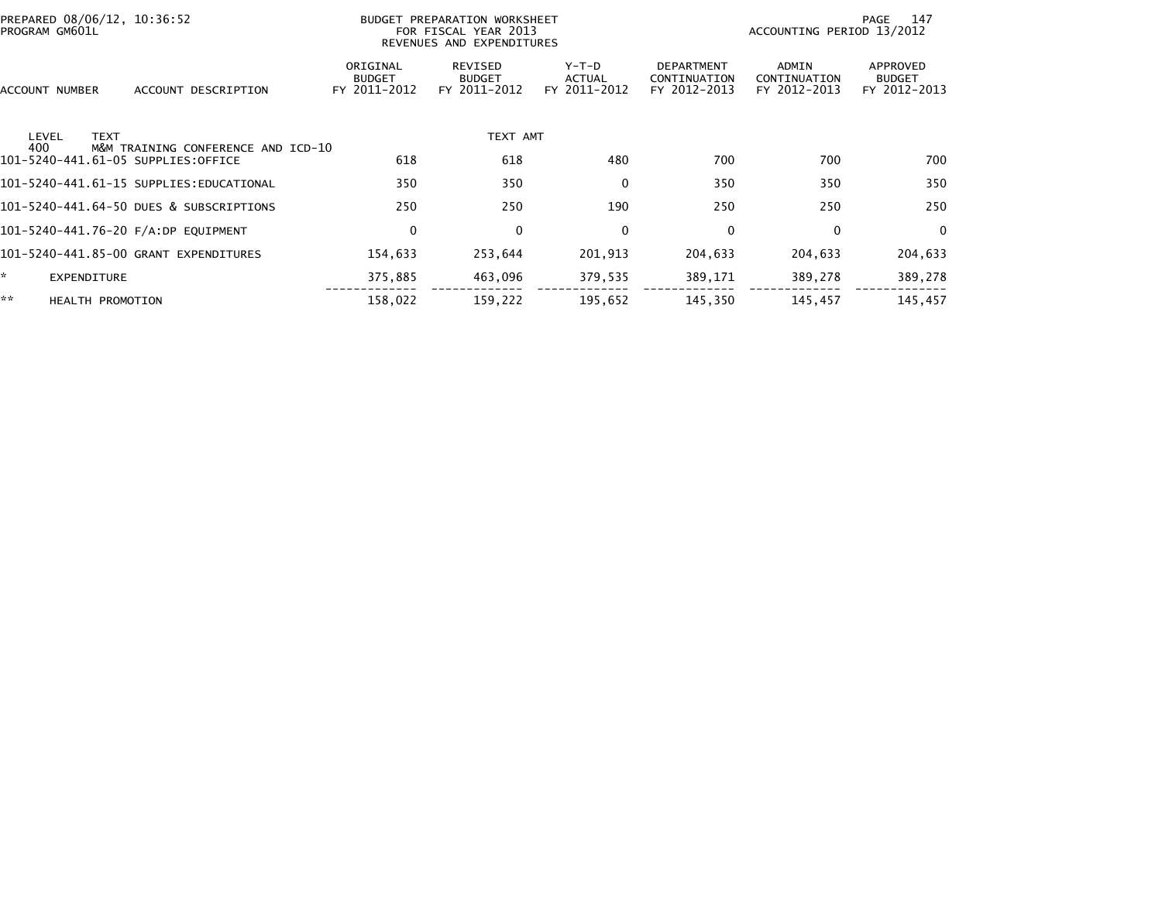|              | PREPARED 08/06/12, 10:36:52<br>PROGRAM GM601L |                                         |                                           | BUDGET PREPARATION WORKSHEET<br>FOR FISCAL YEAR 2013<br>REVENUES AND EXPENDITURES |                                   |                                                   | ACCOUNTING PERIOD 13/2012             | 147<br>PAGE                               |
|--------------|-----------------------------------------------|-----------------------------------------|-------------------------------------------|-----------------------------------------------------------------------------------|-----------------------------------|---------------------------------------------------|---------------------------------------|-------------------------------------------|
|              | ACCOUNT NUMBER                                | ACCOUNT DESCRIPTION                     | ORIGINAL<br><b>BUDGET</b><br>FY 2011-2012 | REVISED<br><b>BUDGET</b><br>FY 2011-2012                                          | $Y-T-D$<br>ACTUAL<br>FY 2011-2012 | <b>DEPARTMENT</b><br>CONTINUATION<br>FY 2012-2013 | ADMIN<br>CONTINUATION<br>FY 2012-2013 | APPROVED<br><b>BUDGET</b><br>FY 2012-2013 |
|              | <b>TEXT</b><br>LEVEL<br>400                   | M&M TRAINING CONFERENCE AND ICD-10      |                                           | TEXT AMT                                                                          |                                   |                                                   |                                       |                                           |
|              |                                               | 101-5240-441.61-05 SUPPLIES:OFFICE      | 618                                       | 618                                                                               | 480                               | 700                                               | 700                                   | 700                                       |
|              |                                               | 101-5240-441.61-15 SUPPLIES:EDUCATIONAL | 350                                       | 350                                                                               | $\mathbf{0}$                      | 350                                               | 350                                   | 350                                       |
|              |                                               | 101-5240-441.64-50 DUES & SUBSCRIPTIONS | 250                                       | 250                                                                               | 190                               | 250                                               | 250                                   | 250                                       |
|              |                                               | 101-5240-441.76-20 F/A:DP EQUIPMENT     | $\mathbf 0$                               | 0                                                                                 | $\mathbf{0}$                      | 0                                                 | $\Omega$                              | $\Omega$                                  |
|              |                                               | 101-5240-441.85-00 GRANT EXPENDITURES   | 154,633                                   | 253,644                                                                           | 201,913                           | 204,633                                           | 204,633                               | 204,633                                   |
| $\mathbf{x}$ | <b>EXPENDITURE</b>                            |                                         | 375,885                                   | 463,096                                                                           | 379,535                           | 389,171                                           | 389,278                               | 389,278                                   |
| **           | <b>HEALTH PROMOTION</b>                       |                                         | 158,022                                   | 159,222                                                                           | 195,652                           | 145,350                                           | 145,457                               | 145,457                                   |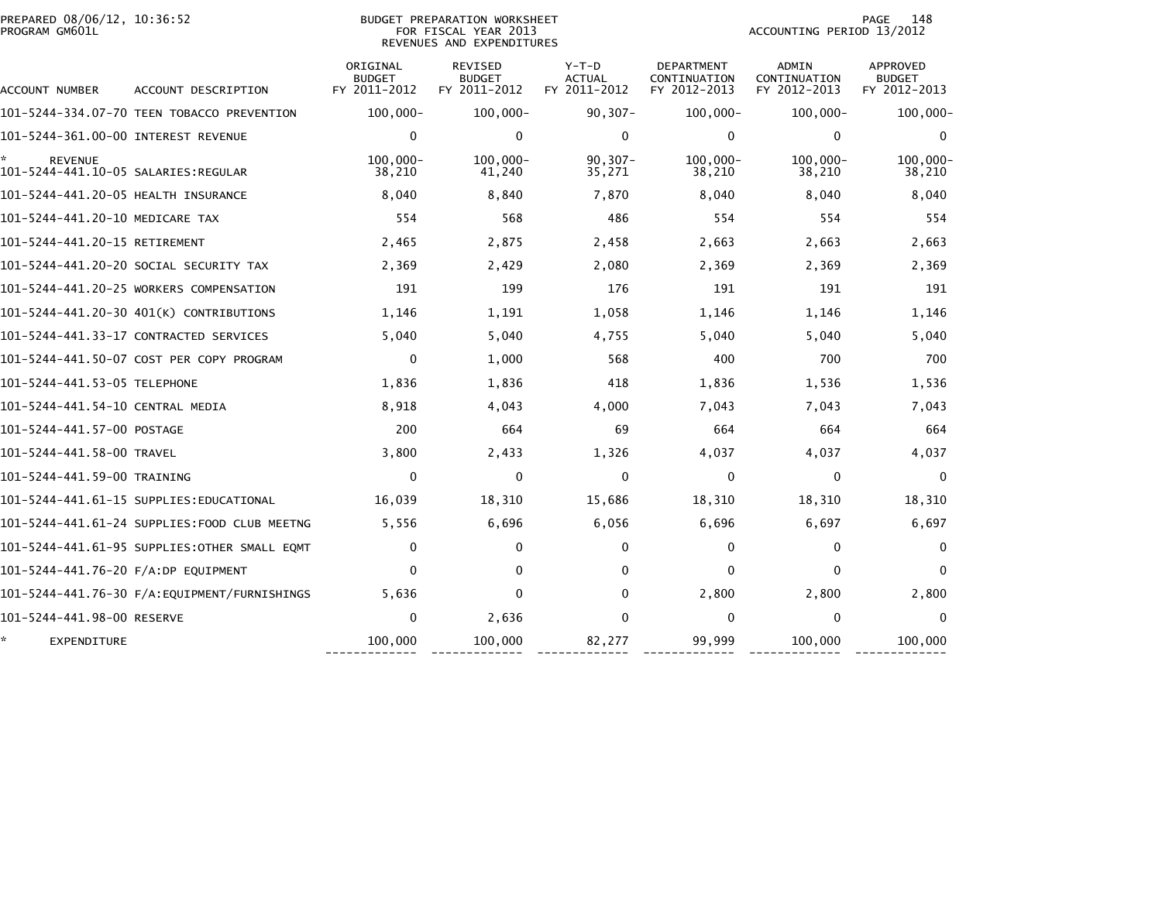| PREPARED 08/06/12, 10:36:52<br>PROGRAM GM601L         |                                              |                                           | <b>BUDGET PREPARATION WORKSHEET</b><br>FOR FISCAL YEAR 2013<br>REVENUES AND EXPENDITURES |                                          |                                                   | ACCOUNTING PERIOD 13/2012             | 148<br><b>PAGE</b>                        |
|-------------------------------------------------------|----------------------------------------------|-------------------------------------------|------------------------------------------------------------------------------------------|------------------------------------------|---------------------------------------------------|---------------------------------------|-------------------------------------------|
| ACCOUNT NUMBER                                        | ACCOUNT DESCRIPTION                          | ORIGINAL<br><b>BUDGET</b><br>FY 2011-2012 | <b>REVISED</b><br><b>BUDGET</b><br>FY 2011-2012                                          | $Y-T-D$<br><b>ACTUAL</b><br>FY 2011-2012 | <b>DEPARTMENT</b><br>CONTINUATION<br>FY 2012-2013 | ADMIN<br>CONTINUATION<br>FY 2012-2013 | APPROVED<br><b>BUDGET</b><br>FY 2012-2013 |
|                                                       | 101-5244-334.07-70 TEEN TOBACCO PREVENTION   | $100,000 -$                               | $100,000 -$                                                                              | $90, 307 -$                              | $100,000 -$                                       | $100,000 -$                           | $100,000 -$                               |
| 101-5244-361.00-00 INTEREST REVENUE                   |                                              | 0                                         | $\mathbf 0$                                                                              | 0                                        | 0                                                 | $\mathbf 0$                           | 0                                         |
| <b>REVENUE</b><br>101-5244-441.10-05 SALARIES:REGULAR |                                              | $100.000 -$<br>38,210                     | $100.000 -$<br>41,240                                                                    | $90, 307 -$<br>35,271                    | $100.000 -$<br>38,210                             | $100.000 -$<br>38,210                 | $100.000 -$<br>38,210                     |
| 101-5244-441.20-05 HEALTH INSURANCE                   |                                              | 8,040                                     | 8,840                                                                                    | 7,870                                    | 8,040                                             | 8,040                                 | 8,040                                     |
| 101-5244-441.20-10 MEDICARE TAX                       |                                              | 554                                       | 568                                                                                      | 486                                      | 554                                               | 554                                   | 554                                       |
| 101-5244-441.20-15 RETIREMENT                         |                                              | 2,465                                     | 2,875                                                                                    | 2,458                                    | 2,663                                             | 2,663                                 | 2,663                                     |
|                                                       | 101-5244-441.20-20 SOCIAL SECURITY TAX       | 2,369                                     | 2,429                                                                                    | 2,080                                    | 2,369                                             | 2,369                                 | 2,369                                     |
|                                                       | 101-5244-441.20-25 WORKERS COMPENSATION      | 191                                       | 199                                                                                      | 176                                      | 191                                               | 191                                   | 191                                       |
|                                                       | 101-5244-441.20-30 401(K) CONTRIBUTIONS      | 1,146                                     | 1,191                                                                                    | 1,058                                    | 1,146                                             | 1,146                                 | 1,146                                     |
|                                                       | 101-5244-441.33-17 CONTRACTED SERVICES       | 5,040                                     | 5,040                                                                                    | 4,755                                    | 5,040                                             | 5,040                                 | 5,040                                     |
|                                                       | 101-5244-441.50-07 COST PER COPY PROGRAM     | $\mathbf 0$                               | 1,000                                                                                    | 568                                      | 400                                               | 700                                   | 700                                       |
| 101-5244-441.53-05 TELEPHONE                          |                                              | 1,836                                     | 1,836                                                                                    | 418                                      | 1,836                                             | 1,536                                 | 1,536                                     |
| 101-5244-441.54-10 CENTRAL MEDIA                      |                                              | 8,918                                     | 4,043                                                                                    | 4,000                                    | 7,043                                             | 7,043                                 | 7,043                                     |
| 101-5244-441.57-00 POSTAGE                            |                                              | 200                                       | 664                                                                                      | 69                                       | 664                                               | 664                                   | 664                                       |
| 101-5244-441.58-00 TRAVEL                             |                                              | 3,800                                     | 2,433                                                                                    | 1,326                                    | 4,037                                             | 4,037                                 | 4,037                                     |
| 101-5244-441.59-00 TRAINING                           |                                              | 0                                         | $\mathbf 0$                                                                              | 0                                        | 0                                                 | 0                                     | 0                                         |
|                                                       | 101–5244–441.61–15 SUPPLIES:EDUCATIONAL      | 16,039                                    | 18,310                                                                                   | 15,686                                   | 18,310                                            | 18,310                                | 18,310                                    |
|                                                       | 101-5244-441.61-24 SUPPLIES:FOOD CLUB MEETNG | 5,556                                     | 6,696                                                                                    | 6,056                                    | 6,696                                             | 6,697                                 | 6,697                                     |
|                                                       | 101-5244-441.61-95 SUPPLIES:OTHER SMALL EQMT | $\Omega$                                  | 0                                                                                        | $\Omega$                                 | $\mathbf{0}$                                      | $\mathbf 0$                           | $\Omega$                                  |
| 101-5244-441.76-20 F/A:DP EQUIPMENT                   |                                              | 0                                         | 0                                                                                        | $\Omega$                                 | 0                                                 | $\mathbf 0$                           | $\mathbf{0}$                              |
|                                                       |                                              | 5,636                                     | $\Omega$                                                                                 | 0                                        | 2,800                                             | 2,800                                 | 2,800                                     |
| 101-5244-441.98-00 RESERVE                            |                                              | $\Omega$                                  | 2,636                                                                                    | $\Omega$                                 | $\Omega$                                          | $\mathbf{0}$                          | $\Omega$                                  |
| EXPENDITURE                                           |                                              | 100,000                                   | 100,000                                                                                  | 82,277                                   | 99,999                                            | 100,000                               | 100,000                                   |

------------- ------------- ------------- ------------- ------------- -------------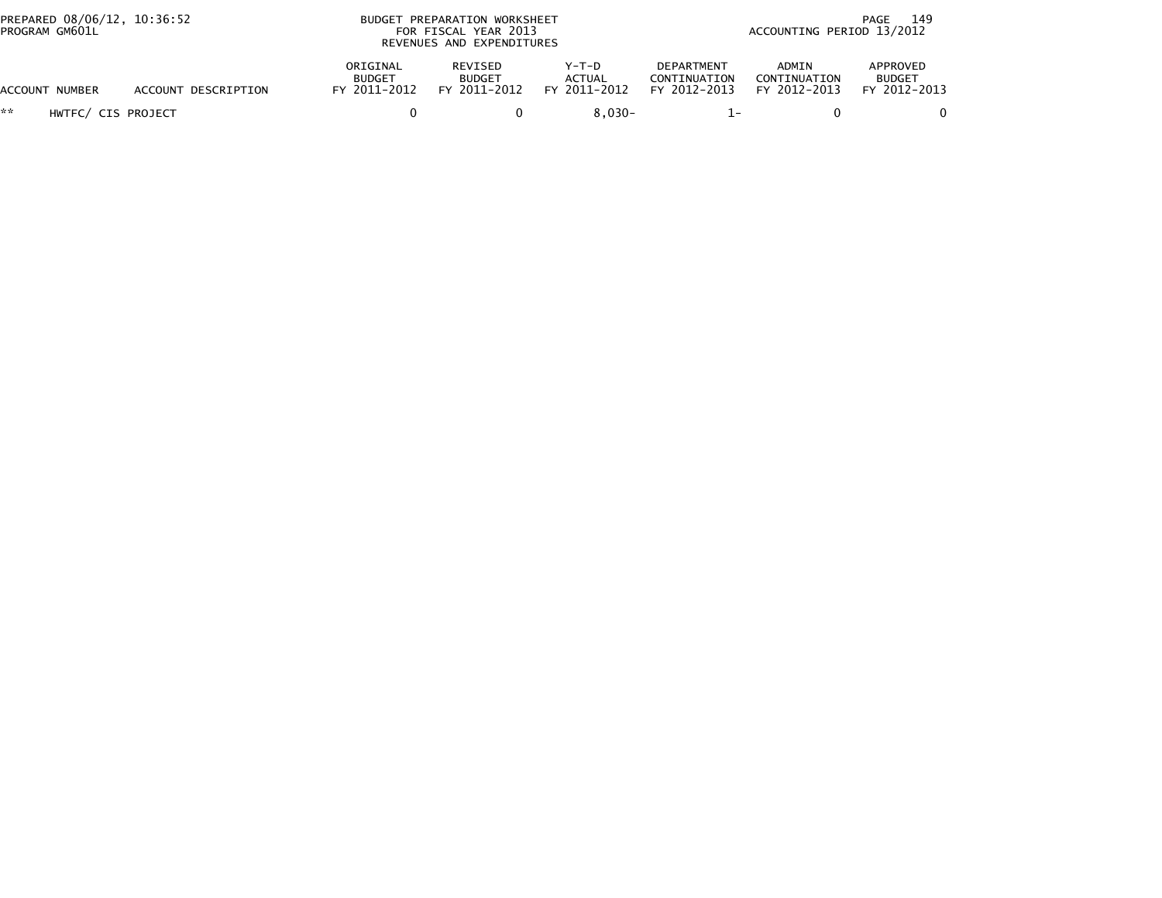| PREPARED 08/06/12, 10:36:52<br>PROGRAM GM601L |                     |                                           | BUDGET PREPARATION WORKSHEET<br>FOR FISCAL YEAR 2013<br>REVENUES AND EXPENDITURES |                                        | 149<br>PAGE<br>ACCOUNTING PERIOD 13/2012          |                                       |                                           |
|-----------------------------------------------|---------------------|-------------------------------------------|-----------------------------------------------------------------------------------|----------------------------------------|---------------------------------------------------|---------------------------------------|-------------------------------------------|
| <b>ACCOUNT NUMBER</b>                         | ACCOUNT DESCRIPTION | ORIGINAL<br><b>BUDGET</b><br>FY 2011-2012 | REVISED<br><b>BUDGET</b><br>FY 2011-2012                                          | Y-T-D<br><b>ACTUAL</b><br>FY 2011-2012 | <b>DEPARTMENT</b><br>CONTINUATION<br>FY 2012-2013 | ADMIN<br>CONTINUATION<br>FY 2012-2013 | APPROVED<br><b>BUDGET</b><br>FY 2012-2013 |
| **<br>HWTFC/ CIS PROJECT                      |                     |                                           |                                                                                   | $8.030 -$                              |                                                   |                                       |                                           |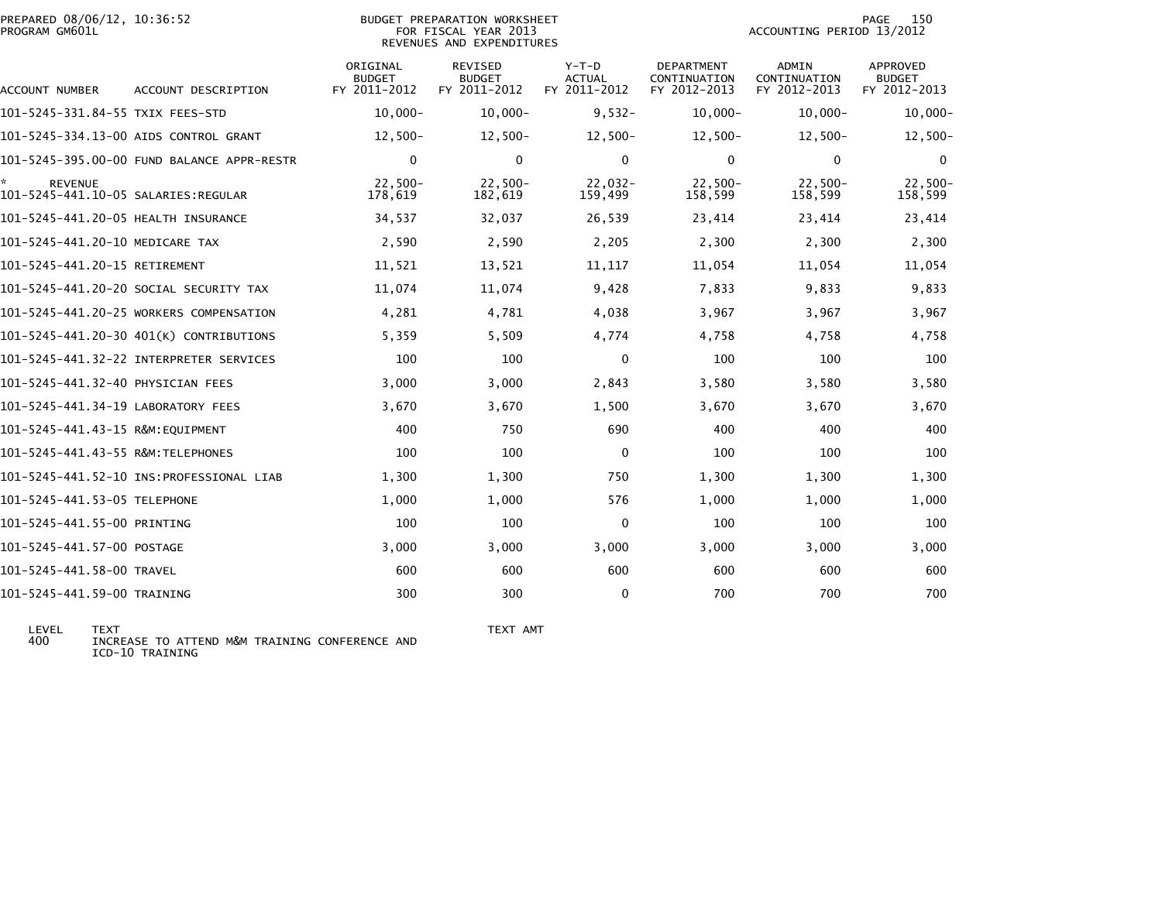| PREPARED 08/06/12, 10:36:52<br>PROGRAM GM601L         |                                            |                                           | <b>BUDGET PREPARATION WORKSHEET</b><br>FOR FISCAL YEAR 2013<br>REVENUES AND EXPENDITURES |                                          |                                            | ACCOUNTING PERIOD 13/2012                    | 150<br>PAGE                               |
|-------------------------------------------------------|--------------------------------------------|-------------------------------------------|------------------------------------------------------------------------------------------|------------------------------------------|--------------------------------------------|----------------------------------------------|-------------------------------------------|
| ACCOUNT NUMBER                                        | ACCOUNT DESCRIPTION                        | ORIGINAL<br><b>BUDGET</b><br>FY 2011-2012 | <b>REVISED</b><br><b>BUDGET</b><br>FY 2011-2012                                          | $Y-T-D$<br><b>ACTUAL</b><br>FY 2011-2012 | DEPARTMENT<br>CONTINUATION<br>FY 2012-2013 | <b>ADMIN</b><br>CONTINUATION<br>FY 2012-2013 | APPROVED<br><b>BUDGET</b><br>FY 2012-2013 |
| 101–5245–331.84–55 TXIX FEES–STD                      |                                            | $10,000 -$                                | $10,000 -$                                                                               | $9,532-$                                 | $10,000 -$                                 | $10,000 -$                                   | $10,000 -$                                |
|                                                       | 101-5245-334.13-00 AIDS CONTROL GRANT      | $12,500-$                                 | $12,500-$                                                                                | $12,500-$                                | $12,500-$                                  | $12,500-$                                    | $12,500-$                                 |
|                                                       | 101-5245-395.00-00 FUND BALANCE APPR-RESTR | 0                                         | $\mathbf 0$                                                                              | $\mathbf{0}$                             | $\mathbf{0}$                               | $\mathbf 0$                                  | $\Omega$                                  |
| <b>REVENUE</b><br>101-5245-441.10-05 SALARIES:REGULAR |                                            | $22,500-$<br>178,619                      | $22,500-$<br>182,619                                                                     | $22,032-$<br>159,499                     | $22,500-$<br>158,599                       | $22,500-$<br>158,599                         | $22,500-$<br>158,599                      |
| 101-5245-441.20-05 HEALTH INSURANCE                   |                                            | 34,537                                    | 32,037                                                                                   | 26,539                                   | 23,414                                     | 23,414                                       | 23,414                                    |
| 101-5245-441.20-10 MEDICARE TAX                       |                                            | 2,590                                     | 2,590                                                                                    | 2,205                                    | 2,300                                      | 2,300                                        | 2,300                                     |
| 101-5245-441.20-15 RETIREMENT                         |                                            | 11,521                                    | 13,521                                                                                   | 11, 117                                  | 11,054                                     | 11,054                                       | 11,054                                    |
|                                                       | 101–5245–441.20–20 SOCIAL SECURITY TAX     | 11,074                                    | 11,074                                                                                   | 9,428                                    | 7,833                                      | 9,833                                        | 9,833                                     |
|                                                       | 101-5245-441.20-25 WORKERS COMPENSATION    | 4,281                                     | 4,781                                                                                    | 4,038                                    | 3,967                                      | 3,967                                        | 3,967                                     |
|                                                       | 101-5245-441.20-30 401(K) CONTRIBUTIONS    | 5,359                                     | 5,509                                                                                    | 4,774                                    | 4,758                                      | 4,758                                        | 4,758                                     |
|                                                       | 101-5245-441.32-22 INTERPRETER SERVICES    | 100                                       | 100                                                                                      | $\Omega$                                 | 100                                        | 100                                          | 100                                       |
| 101-5245-441.32-40 PHYSICIAN FEES                     |                                            | 3,000                                     | 3,000                                                                                    | 2,843                                    | 3,580                                      | 3,580                                        | 3,580                                     |
| 101-5245-441.34-19 LABORATORY FEES                    |                                            | 3,670                                     | 3,670                                                                                    | 1,500                                    | 3,670                                      | 3,670                                        | 3,670                                     |
| 101-5245-441.43-15 R&M:EOUIPMENT                      |                                            | 400                                       | 750                                                                                      | 690                                      | 400                                        | 400                                          | 400                                       |
| 101-5245-441.43-55 R&M:TELEPHONES                     |                                            | 100                                       | 100                                                                                      | $\Omega$                                 | 100                                        | 100                                          | 100                                       |
|                                                       |                                            | 1,300                                     | 1,300                                                                                    | 750                                      | 1,300                                      | 1,300                                        | 1,300                                     |
| 101-5245-441.53-05 TELEPHONE                          |                                            | 1,000                                     | 1,000                                                                                    | 576                                      | 1,000                                      | 1,000                                        | 1,000                                     |
| 101-5245-441.55-00 PRINTING                           |                                            | 100                                       | 100                                                                                      | $\Omega$                                 | 100                                        | 100                                          | 100                                       |
| 101-5245-441.57-00 POSTAGE                            |                                            | 3,000                                     | 3,000                                                                                    | 3,000                                    | 3,000                                      | 3,000                                        | 3,000                                     |
| 101-5245-441.58-00 TRAVEL                             |                                            | 600                                       | 600                                                                                      | 600                                      | 600                                        | 600                                          | 600                                       |
| 101-5245-441.59-00 TRAINING                           |                                            | 300                                       | 300                                                                                      | $\Omega$                                 | 700                                        | 700                                          | 700                                       |

LEVEL TEXT TEXT AMT 400 INCREASE TO ATTEND M&M TRAINING CONFERENCE AND ICD-10 TRAINING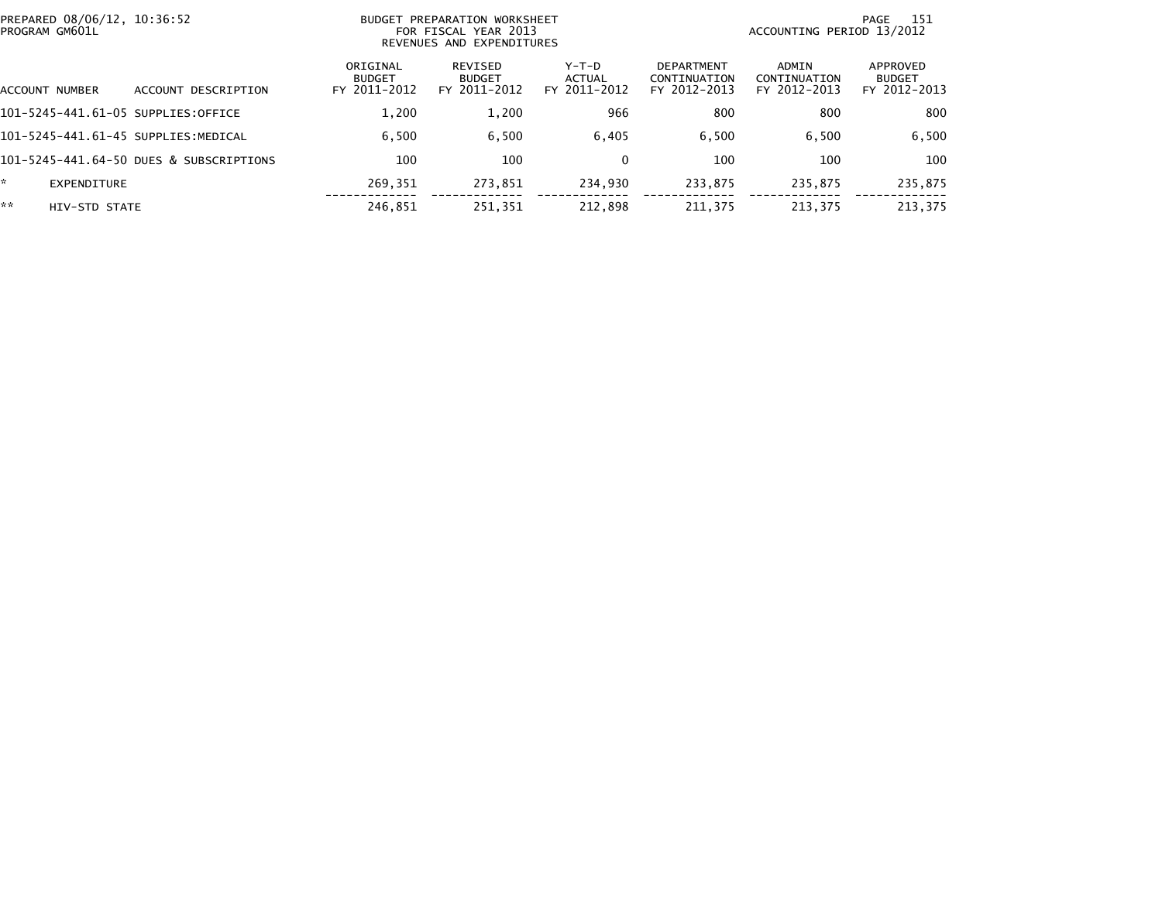| PREPARED 08/06/12, 10:36:52<br>PROGRAM GM601L |                                         |                                           | BUDGET PREPARATION WORKSHEET<br>FOR FISCAL YEAR 2013<br>REVENUES AND EXPENDITURES |                                   |                                                   |                                       | 151<br>PAGE<br>ACCOUNTING PERIOD 13/2012  |
|-----------------------------------------------|-----------------------------------------|-------------------------------------------|-----------------------------------------------------------------------------------|-----------------------------------|---------------------------------------------------|---------------------------------------|-------------------------------------------|
| ACCOUNT NUMBER                                | ACCOUNT DESCRIPTION                     | ORIGINAL<br><b>BUDGET</b><br>FY 2011-2012 | REVISED<br><b>BUDGET</b><br>FY 2011-2012                                          | $Y-T-D$<br>ACTUAL<br>FY 2011-2012 | <b>DEPARTMENT</b><br>CONTINUATION<br>FY 2012-2013 | ADMIN<br>CONTINUATION<br>FY 2012-2013 | APPROVED<br><b>BUDGET</b><br>FY 2012-2013 |
| 101-5245-441.61-05 SUPPLIES:OFFICE            |                                         | 1.200                                     | 1,200                                                                             | 966                               | 800                                               | 800                                   | 800                                       |
| 101-5245-441.61-45 SUPPLIES:MEDICAL           |                                         | 6.500                                     | 6,500                                                                             | 6.405                             | 6.500                                             | 6.500                                 | 6,500                                     |
|                                               | 101-5245-441.64-50 DUES & SUBSCRIPTIONS | 100                                       | 100                                                                               |                                   | 100                                               | 100                                   | 100                                       |
| EXPENDITURE                                   |                                         | 269.351                                   | 273.851                                                                           | 234.930                           | 233.875                                           | 235.875                               | 235,875                                   |
| **<br>HIV-STD STATE                           |                                         | 246,851                                   | 251.351                                                                           | 212.898                           | 211.375                                           | 213.375                               | 213,375                                   |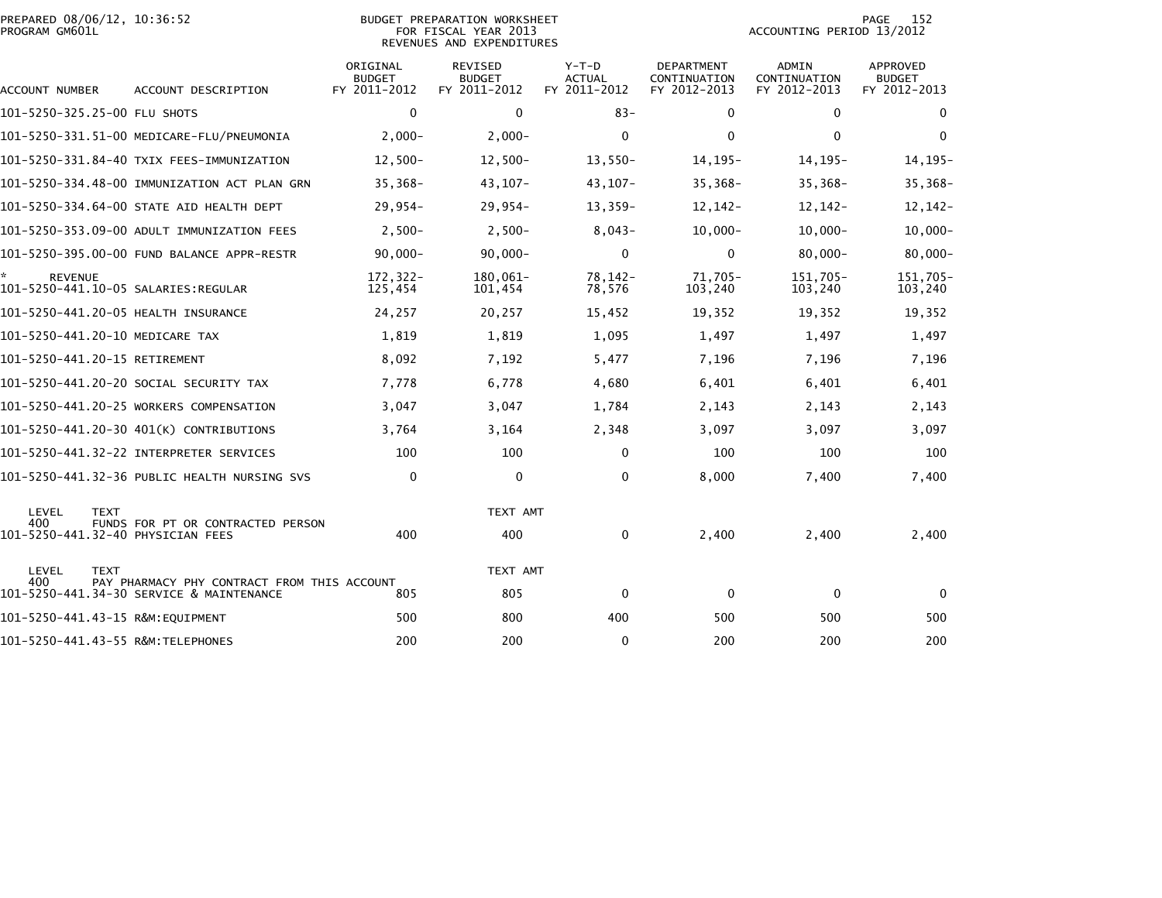| PREPARED 08/06/12, 10:36:52<br>PROGRAM GM601L |                                                                                         | <b>BUDGET PREPARATION WORKSHEET</b><br>FOR FISCAL YEAR 2013<br>REVENUES AND EXPENDITURES |                                                 |                                          |                                            |                                              | 152<br>PAGE<br>ACCOUNTING PERIOD 13/2012         |  |  |
|-----------------------------------------------|-----------------------------------------------------------------------------------------|------------------------------------------------------------------------------------------|-------------------------------------------------|------------------------------------------|--------------------------------------------|----------------------------------------------|--------------------------------------------------|--|--|
| ACCOUNT NUMBER                                | ACCOUNT DESCRIPTION                                                                     | ORIGINAL<br><b>BUDGET</b><br>FY 2011-2012                                                | <b>REVISED</b><br><b>BUDGET</b><br>FY 2011-2012 | $Y-T-D$<br><b>ACTUAL</b><br>FY 2011-2012 | DEPARTMENT<br>CONTINUATION<br>FY 2012-2013 | <b>ADMIN</b><br>CONTINUATION<br>FY 2012-2013 | <b>APPROVED</b><br><b>BUDGET</b><br>FY 2012-2013 |  |  |
| 101-5250-325.25-00 FLU SHOTS                  |                                                                                         | $\mathbf 0$                                                                              | $\mathbf 0$                                     | $83 -$                                   | $\mathbf 0$                                | $\mathbf 0$                                  | $\mathbf 0$                                      |  |  |
|                                               |                                                                                         | $2.000 -$                                                                                | $2,000-$                                        | 0                                        | $\mathbf 0$                                | $\mathbf{0}$                                 | $\mathbf 0$                                      |  |  |
|                                               | 101-5250-331.84-40 TXIX FEES-IMMUNIZATION                                               | $12,500-$                                                                                | $12,500-$                                       | $13,550-$                                | $14, 195 -$                                | $14, 195 -$                                  | $14, 195 -$                                      |  |  |
|                                               | 101-5250-334.48-00 IMMUNIZATION ACT PLAN GRN                                            | $35,368-$                                                                                | $43, 107 -$                                     | $43, 107 -$                              | $35,368-$                                  | $35,368-$                                    | 35,368-                                          |  |  |
|                                               | 101-5250-334.64-00 STATE AID HEALTH DEPT                                                | $29,954-$                                                                                | $29,954-$                                       | 13,359-                                  | $12, 142 -$                                | $12, 142 -$                                  | $12, 142 -$                                      |  |  |
|                                               | 101-5250-353.09-00 ADULT IMMUNIZATION FEES                                              | $2,500-$                                                                                 | $2,500-$                                        | $8,043-$                                 | $10,000 -$                                 | $10,000 -$                                   | $10,000 -$                                       |  |  |
|                                               | 101-5250-395.00-00 FUND BALANCE APPR-RESTR                                              | $90.000 -$                                                                               | $90,000 -$                                      | $\mathbf{0}$                             | $\mathbf{0}$                               | $80,000 -$                                   | $80,000 -$                                       |  |  |
| <b>REVENUE</b>                                |                                                                                         | 172,322-<br>125,454                                                                      | 180,061-<br>101,454                             | 78, 142-<br>78,576                       | 71,705-<br>103,240                         | 151,705-<br>103,240                          | 151,705-<br>103,240                              |  |  |
| 101-5250-441.20-05 HEALTH INSURANCE           |                                                                                         | 24,257                                                                                   | 20,257                                          | 15,452                                   | 19,352                                     | 19,352                                       | 19,352                                           |  |  |
| 101-5250-441.20-10 MEDICARE TAX               |                                                                                         | 1,819                                                                                    | 1,819                                           | 1,095                                    | 1,497                                      | 1,497                                        | 1,497                                            |  |  |
| 101-5250-441.20-15 RETIREMENT                 |                                                                                         | 8,092                                                                                    | 7,192                                           | 5,477                                    | 7,196                                      | 7,196                                        | 7,196                                            |  |  |
|                                               | 101-5250-441.20-20 SOCIAL SECURITY TAX                                                  | 7,778                                                                                    | 6,778                                           | 4,680                                    | 6,401                                      | 6,401                                        | 6,401                                            |  |  |
|                                               | 101-5250-441.20-25 WORKERS COMPENSATION                                                 | 3,047                                                                                    | 3,047                                           | 1,784                                    | 2,143                                      | 2,143                                        | 2,143                                            |  |  |
|                                               | 101-5250-441.20-30 401(K) CONTRIBUTIONS                                                 | 3,764                                                                                    | 3,164                                           | 2,348                                    | 3,097                                      | 3,097                                        | 3,097                                            |  |  |
|                                               |                                                                                         | 100                                                                                      | 100                                             | 0                                        | 100                                        | 100                                          | 100                                              |  |  |
|                                               | 101-5250-441.32-36 PUBLIC HEALTH NURSING SVS                                            | $\mathbf 0$                                                                              | $\mathbf 0$                                     | $\Omega$                                 | 8,000                                      | 7,400                                        | 7,400                                            |  |  |
| LEVEL<br><b>TEXT</b>                          |                                                                                         |                                                                                          | TEXT AMT                                        |                                          |                                            |                                              |                                                  |  |  |
| 400<br>101-5250-441.32-40 PHYSICIAN FEES      | FUNDS FOR PT OR CONTRACTED PERSON                                                       | 400                                                                                      | 400                                             | $\mathbf{0}$                             | 2,400                                      | 2,400                                        | 2,400                                            |  |  |
| LEVEL<br><b>TEXT</b>                          |                                                                                         |                                                                                          | TEXT AMT                                        |                                          |                                            |                                              |                                                  |  |  |
| 400                                           | PAY PHARMACY PHY CONTRACT FROM THIS ACCOUNT<br>101-5250-441.34-30 SERVICE & MAINTENANCE | 805                                                                                      | 805                                             | 0                                        | 0                                          | $\mathbf 0$                                  | $\Omega$                                         |  |  |
| 101-5250-441.43-15 R&M:EQUIPMENT              |                                                                                         | 500                                                                                      | 800                                             | 400                                      | 500                                        | 500                                          | 500                                              |  |  |
| 101-5250-441.43-55 R&M:TELEPHONES             |                                                                                         | 200                                                                                      | 200                                             | $\mathbf{0}$                             | 200                                        | 200                                          | 200                                              |  |  |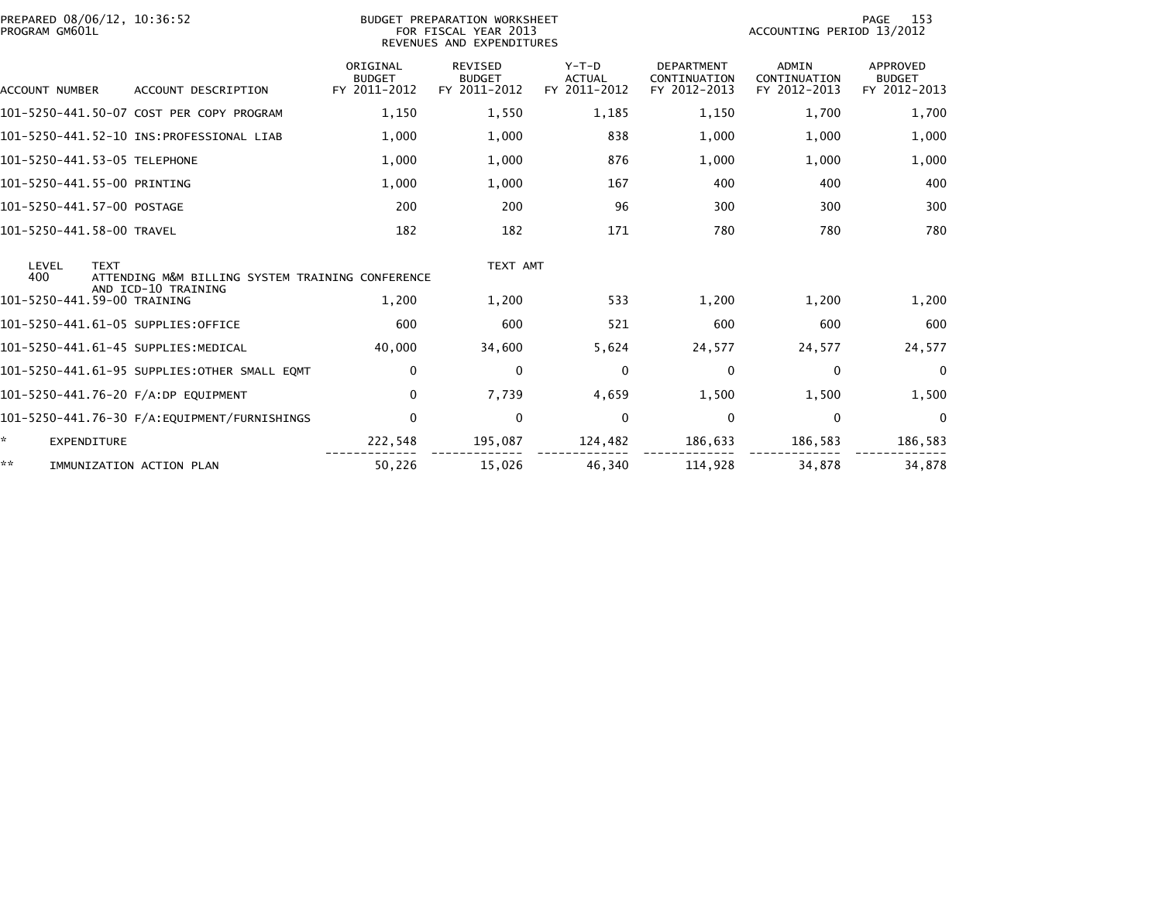| PREPARED 08/06/12, 10:36:52<br>PROGRAM GM601L                                   | BUDGET PREPARATION WORKSHEET<br>FOR FISCAL YEAR 2013<br>REVENUES AND EXPENDITURES |                                                 |                                          |                                                   |                                              | 153<br>PAGE<br>ACCOUNTING PERIOD 13/2012  |  |  |
|---------------------------------------------------------------------------------|-----------------------------------------------------------------------------------|-------------------------------------------------|------------------------------------------|---------------------------------------------------|----------------------------------------------|-------------------------------------------|--|--|
| ACCOUNT DESCRIPTION<br>ACCOUNT NUMBER                                           | ORIGINAL<br><b>BUDGET</b><br>FY 2011-2012                                         | <b>REVISED</b><br><b>BUDGET</b><br>FY 2011-2012 | $Y-T-D$<br><b>ACTUAL</b><br>FY 2011-2012 | <b>DEPARTMENT</b><br>CONTINUATION<br>FY 2012-2013 | <b>ADMIN</b><br>CONTINUATION<br>FY 2012-2013 | APPROVED<br><b>BUDGET</b><br>FY 2012-2013 |  |  |
| 101-5250-441.50-07 COST PER COPY PROGRAM                                        | 1,150                                                                             | 1,550                                           | 1,185                                    | 1,150                                             | 1,700                                        | 1,700                                     |  |  |
|                                                                                 | 1,000                                                                             | 1,000                                           | 838                                      | 1,000                                             | 1,000                                        | 1,000                                     |  |  |
| 101-5250-441.53-05 TELEPHONE                                                    | 1,000                                                                             | 1,000                                           | 876                                      | 1,000                                             | 1,000                                        | 1,000                                     |  |  |
| 101-5250-441.55-00 PRINTING                                                     | 1,000                                                                             | 1,000                                           | 167                                      | 400                                               | 400                                          | 400                                       |  |  |
| 101-5250-441.57-00 POSTAGE                                                      | 200                                                                               | 200                                             | 96                                       | 300                                               | 300                                          | 300                                       |  |  |
| 101-5250-441.58-00 TRAVEL                                                       | 182                                                                               | 182                                             | 171                                      | 780                                               | 780                                          | 780                                       |  |  |
| LEVEL<br><b>TEXT</b><br>400<br>ATTENDING M&M BILLING SYSTEM TRAINING CONFERENCE |                                                                                   | TEXT AMT                                        |                                          |                                                   |                                              |                                           |  |  |
| AND ICD-10 TRAINING<br>101-5250-441.59-00 TRAINING                              | 1,200                                                                             | 1,200                                           | 533                                      | 1,200                                             | 1,200                                        | 1,200                                     |  |  |
| 101-5250-441.61-05 SUPPLIES:OFFICE                                              | 600                                                                               | 600                                             | 521                                      | 600                                               | 600                                          | 600                                       |  |  |
| 101-5250-441.61-45 SUPPLIES:MEDICAL                                             | 40,000                                                                            | 34,600                                          | 5,624                                    | 24,577                                            | 24,577                                       | 24,577                                    |  |  |
| 101-5250-441.61-95 SUPPLIES:OTHER SMALL EOMT                                    | 0                                                                                 | $\mathbf{0}$                                    | $\Omega$                                 | 0                                                 | $\mathbf{0}$                                 | $\mathbf 0$                               |  |  |
| 101-5250-441.76-20 F/A:DP EQUIPMENT                                             | $\mathbf{0}$                                                                      | 7,739                                           | 4,659                                    | 1,500                                             | 1,500                                        | 1,500                                     |  |  |
|                                                                                 | $\mathbf{0}$                                                                      | $\mathbf{0}$                                    | $\Omega$                                 | $\Omega$                                          | $\mathbf{0}$                                 | $\mathbf{0}$                              |  |  |
| *<br><b>EXPENDITURE</b>                                                         | 222,548                                                                           | 195,087                                         | 124,482                                  | 186,633                                           | 186,583                                      | 186,583                                   |  |  |
| **<br>IMMUNIZATION ACTION PLAN                                                  | 50,226                                                                            | 15,026                                          | 46,340                                   | 114,928                                           | 34,878                                       | 34,878                                    |  |  |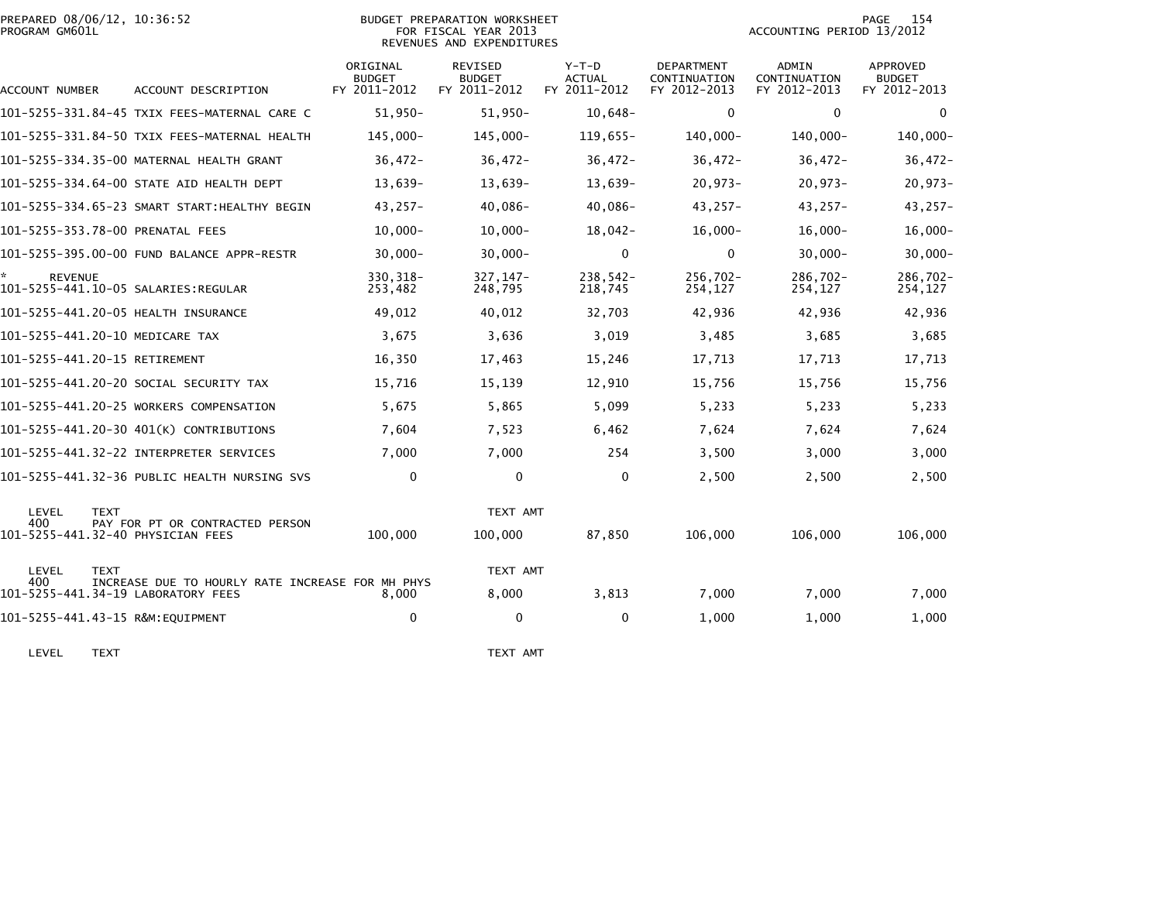| PREPARED 08/06/12, 10:36:52<br>PROGRAM GM601L         |                                               |                                           | BUDGET PREPARATION WORKSHEET<br>FOR FISCAL YEAR 2013<br>REVENUES AND EXPENDITURES |                                        |                                            | ACCOUNTING PERIOD 13/2012             | 154<br>PAGE                               |
|-------------------------------------------------------|-----------------------------------------------|-------------------------------------------|-----------------------------------------------------------------------------------|----------------------------------------|--------------------------------------------|---------------------------------------|-------------------------------------------|
| <b>ACCOUNT NUMBER</b>                                 | ACCOUNT DESCRIPTION                           | ORIGINAL<br><b>BUDGET</b><br>FY 2011-2012 | <b>REVISED</b><br><b>BUDGET</b><br>FY 2011-2012                                   | Y-T-D<br><b>ACTUAL</b><br>FY 2011-2012 | DEPARTMENT<br>CONTINUATION<br>FY 2012-2013 | ADMIN<br>CONTINUATION<br>FY 2012-2013 | APPROVED<br><b>BUDGET</b><br>FY 2012-2013 |
|                                                       | 101-5255-331.84-45 TXIX FEES-MATERNAL CARE C  | $51,950-$                                 | $51,950-$                                                                         | $10,648-$                              | $\Omega$                                   | $\Omega$                              | $\mathbf{0}$                              |
|                                                       | 101-5255-331.84-50 TXIX FEES-MATERNAL HEALTH  | 145,000-                                  | 145,000-                                                                          | $119,655-$                             | 140,000-                                   | 140,000-                              | 140,000-                                  |
|                                                       | 101-5255-334.35-00 MATERNAL HEALTH GRANT      | $36,472-$                                 | $36.472 -$                                                                        | $36.472 -$                             | $36,472-$                                  | $36,472-$                             | $36,472-$                                 |
|                                                       | 101-5255-334.64-00 STATE AID HEALTH DEPT      | 13,639-                                   | 13,639-                                                                           | 13,639-                                | $20,973-$                                  | $20,973-$                             | 20,973-                                   |
|                                                       | 101-5255-334.65-23 SMART START: HEALTHY BEGIN | $43,257-$                                 | 40,086-                                                                           | 40,086-                                | $43,257-$                                  | $43,257-$                             | 43,257-                                   |
| 101-5255-353.78-00 PRENATAL FEES                      |                                               | $10.000 -$                                | $10,000 -$                                                                        | $18,042-$                              | $16,000 -$                                 | $16,000 -$                            | $16,000 -$                                |
|                                                       | 101-5255-395.00-00 FUND BALANCE APPR-RESTR    | $30,000 -$                                | $30,000 -$                                                                        | $\Omega$                               | $\Omega$                                   | $30,000 -$                            | $30,000 -$                                |
| <b>REVENUE</b><br>101-5255-441.10-05 SALARIES:REGULAR |                                               | 330, 318-<br>253,482                      | $327, 147 -$<br>248,795                                                           | $238,542-$<br>218,745                  | 256,702-<br>254,127                        | $286.702 -$<br>254,127                | 286,702-<br>254,127                       |
| 101-5255-441.20-05 HEALTH INSURANCE                   |                                               | 49,012                                    | 40,012                                                                            | 32,703                                 | 42,936                                     | 42,936                                | 42,936                                    |
| 101-5255-441.20-10 MEDICARE TAX                       |                                               | 3,675                                     | 3,636                                                                             | 3,019                                  | 3,485                                      | 3,685                                 | 3,685                                     |
| 101-5255-441.20-15 RETIREMENT                         |                                               | 16,350                                    | 17,463                                                                            | 15,246                                 | 17,713                                     | 17,713                                | 17,713                                    |
|                                                       | 101-5255-441.20-20 SOCIAL SECURITY TAX        | 15,716                                    | 15,139                                                                            | 12,910                                 | 15,756                                     | 15,756                                | 15,756                                    |
|                                                       | 101-5255-441.20-25 WORKERS COMPENSATION       | 5,675                                     | 5,865                                                                             | 5,099                                  | 5,233                                      | 5,233                                 | 5,233                                     |
|                                                       | 101-5255-441.20-30 401(K) CONTRIBUTIONS       | 7,604                                     | 7,523                                                                             | 6,462                                  | 7,624                                      | 7,624                                 | 7,624                                     |
|                                                       | 101-5255-441.32-22 INTERPRETER SERVICES       | 7,000                                     | 7,000                                                                             | 254                                    | 3,500                                      | 3,000                                 | 3,000                                     |
|                                                       | 101-5255-441.32-36 PUBLIC HEALTH NURSING SVS  | $\mathbf 0$                               | $\mathbf 0$                                                                       | 0                                      | 2,500                                      | 2,500                                 | 2,500                                     |

| LEVEL<br>400 | TEXT<br>PAY FOR PT OR CONTRACTED PERSON<br>101-5255-441.32-40 PHYSICIAN FEES           | 100,000 | TEXT AMT<br>100,000 | 87.850 | 106,000 | 106,000 | 106,000 |
|--------------|----------------------------------------------------------------------------------------|---------|---------------------|--------|---------|---------|---------|
| LEVEL        | TEXT                                                                                   |         | TEXT AMT            |        |         |         |         |
| 400          | INCREASE DUE TO HOURLY RATE INCREASE FOR MH PHYS<br>101-5255-441.34-19 LABORATORY FEES | 8.000   | 8.000               | 3.813  | 7.000   | 7.000   | 7,000   |
|              | 101-5255-441.43-15 R&M:EQUIPMENT                                                       | 0       |                     |        | 1,000   | 1,000   | 1,000   |

LEVEL TEXT TEXT AMT

286,702-<br>254,127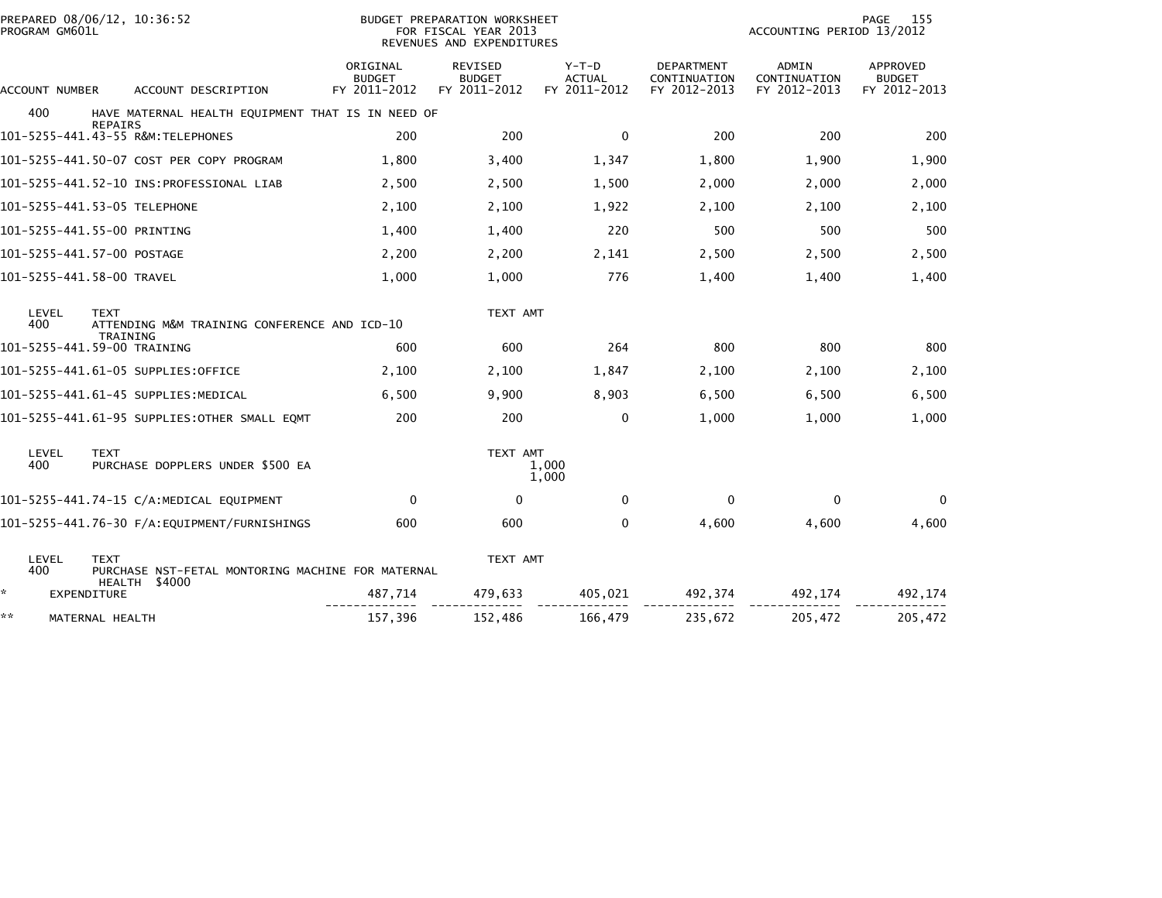| PROGRAM GM601L | PREPARED 08/06/12, 10:36:52<br>BUDGET PREPARATION WORKSHEET<br>FOR FISCAL YEAR 2013<br>REVENUES AND EXPENDITURES |                                           |                                                 |                                          |                                                   | 155<br>PAGE<br>ACCOUNTING PERIOD 13/2012     |                                                  |  |
|----------------|------------------------------------------------------------------------------------------------------------------|-------------------------------------------|-------------------------------------------------|------------------------------------------|---------------------------------------------------|----------------------------------------------|--------------------------------------------------|--|
| ACCOUNT NUMBER | ACCOUNT DESCRIPTION                                                                                              | ORIGINAL<br><b>BUDGET</b><br>FY 2011-2012 | <b>REVISED</b><br><b>BUDGET</b><br>FY 2011-2012 | $Y-T-D$<br><b>ACTUAL</b><br>FY 2011-2012 | <b>DEPARTMENT</b><br>CONTINUATION<br>FY 2012-2013 | <b>ADMIN</b><br>CONTINUATION<br>FY 2012-2013 | <b>APPROVED</b><br><b>BUDGET</b><br>FY 2012-2013 |  |
| 400            | HAVE MATERNAL HEALTH EQUIPMENT THAT IS IN NEED OF                                                                |                                           |                                                 |                                          |                                                   |                                              |                                                  |  |
|                | <b>REPAIRS</b><br>101-5255-441.43-55 R&M:TELEPHONES                                                              | 200                                       | 200                                             | $\mathbf{0}$                             | 200                                               | 200                                          | 200                                              |  |
|                | 101-5255-441.50-07 COST PER COPY PROGRAM                                                                         | 1,800                                     | 3,400                                           | 1,347                                    | 1,800                                             | 1,900                                        | 1,900                                            |  |
|                |                                                                                                                  | 2,500                                     | 2,500                                           | 1,500                                    | 2,000                                             | 2,000                                        | 2,000                                            |  |
|                | 101-5255-441.53-05 TELEPHONE                                                                                     | 2,100                                     | 2,100                                           | 1,922                                    | 2,100                                             | 2,100                                        | 2,100                                            |  |
|                | 101-5255-441.55-00 PRINTING                                                                                      | 1,400                                     | 1,400                                           | 220                                      | 500                                               | 500                                          | 500                                              |  |
|                | 101-5255-441.57-00 POSTAGE                                                                                       | 2,200                                     | 2,200                                           | 2,141                                    | 2,500                                             | 2,500                                        | 2,500                                            |  |
|                | 101-5255-441.58-00 TRAVEL                                                                                        | 1,000                                     | 1,000                                           | 776                                      | 1,400                                             | 1,400                                        | 1,400                                            |  |
| LEVEL<br>400   | <b>TEXT</b><br>ATTENDING M&M TRAINING CONFERENCE AND ICD-10<br>TRAINING                                          |                                           | TEXT AMT                                        |                                          |                                                   |                                              |                                                  |  |
|                | 101-5255-441.59-00 TRAINING                                                                                      | 600                                       | 600                                             | 264                                      | 800                                               | 800                                          | 800                                              |  |
|                | 101–5255–441.61–05 SUPPLIES:OFFICE                                                                               | 2,100                                     | 2,100                                           | 1,847                                    | 2,100                                             | 2,100                                        | 2,100                                            |  |
|                | 101–5255–441.61–45 SUPPLIES:MEDICAL                                                                              | 6,500                                     | 9,900                                           | 8,903                                    | 6,500                                             | 6,500                                        | 6,500                                            |  |
|                | 101-5255-441.61-95 SUPPLIES:OTHER SMALL EQMT                                                                     | 200                                       | 200                                             | 0                                        | 1,000                                             | 1,000                                        | 1,000                                            |  |
| LEVEL<br>400   | <b>TEXT</b><br>PURCHASE DOPPLERS UNDER \$500 EA                                                                  |                                           | TEXT AMT                                        | 1,000<br>1,000                           |                                                   |                                              |                                                  |  |
|                | 101-5255-441.74-15 C/A:MEDICAL EQUIPMENT                                                                         | $\mathbf{0}$                              | $\Omega$                                        | $\mathbf{0}$                             | $\mathbf{0}$                                      | $\Omega$                                     | 0                                                |  |
|                | 101-5255-441.76-30 F/A:EQUIPMENT/FURNISHINGS                                                                     | 600                                       | 600                                             | 0                                        | 4,600                                             | 4,600                                        | 4,600                                            |  |
| LEVEL<br>400   | <b>TEXT</b><br>PURCHASE NST-FETAL MONTORING MACHINE FOR MATERNAL<br>HEALTH \$4000                                |                                           | TEXT AMT                                        |                                          |                                                   |                                              |                                                  |  |
| ÷.             | <b>EXPENDITURE</b>                                                                                               | 487,714                                   | 479,633                                         | 405,021                                  | 492,374                                           | 492,174                                      | 492,174                                          |  |
| **             | MATERNAL HEALTH                                                                                                  | 157,396                                   | 152,486                                         | 166,479                                  | 235,672                                           | 205,472                                      | 205,472                                          |  |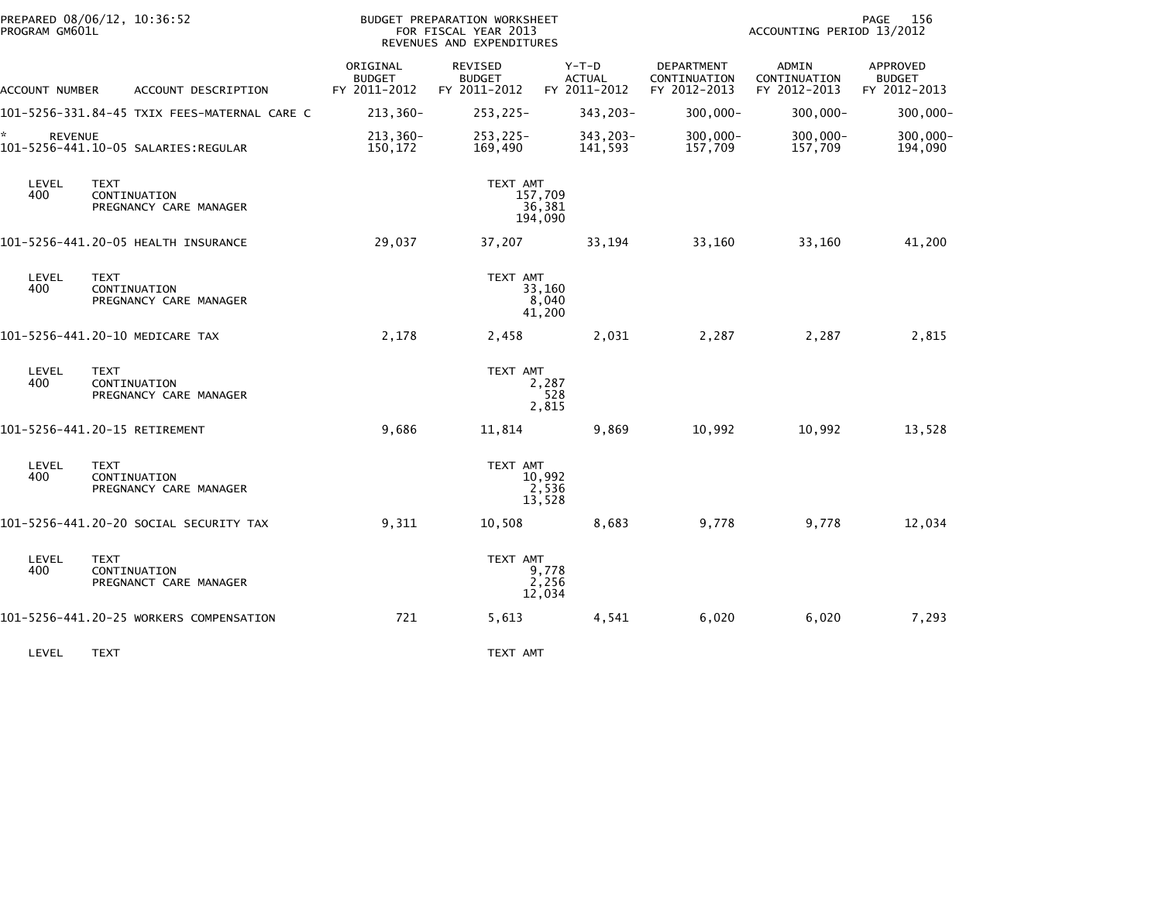| PROGRAM GM601L       | PREPARED 08/06/12, 10:36:52                           |                                           | BUDGET PREPARATION WORKSHEET<br>FOR FISCAL YEAR 2013<br>REVENUES AND EXPENDITURES |                                          |                                            | ACCOUNTING PERIOD 13/2012             | 156<br>PAGE                               |
|----------------------|-------------------------------------------------------|-------------------------------------------|-----------------------------------------------------------------------------------|------------------------------------------|--------------------------------------------|---------------------------------------|-------------------------------------------|
| ACCOUNT NUMBER       | ACCOUNT DESCRIPTION                                   | ORIGINAL<br><b>BUDGET</b><br>FY 2011-2012 | <b>REVISED</b><br><b>BUDGET</b><br>FY 2011-2012                                   | $Y-T-D$<br><b>ACTUAL</b><br>FY 2011-2012 | DEPARTMENT<br>CONTINUATION<br>FY 2012-2013 | ADMIN<br>CONTINUATION<br>FY 2012-2013 | APPROVED<br><b>BUDGET</b><br>FY 2012-2013 |
|                      | 101-5256-331.84-45 TXIX FEES-MATERNAL CARE C          | 213,360-                                  | $253, 225 -$                                                                      | 343,203-                                 | $300,000 -$                                | $300,000 -$                           | $300,000 -$                               |
| ☆.<br><b>REVENUE</b> | 101-5256-441.10-05 SALARIES:REGULAR                   | $213,360-$<br>150,172                     | $253, 225 -$<br>169,490                                                           | $343,203-$<br>141,593                    | $300,000 -$<br>157,709                     | $300,000 -$<br>157,709                | 300,000-<br>194,090                       |
| LEVEL<br>400         | <b>TEXT</b><br>CONTINUATION<br>PREGNANCY CARE MANAGER |                                           | TEXT AMT                                                                          | 157,709<br>36,381<br>194,090             |                                            |                                       |                                           |
|                      | 101-5256-441.20-05 HEALTH INSURANCE                   | 29,037                                    | 37,207                                                                            | 33,194                                   | 33,160                                     | 33,160                                | 41,200                                    |
| LEVEL<br>400         | <b>TEXT</b><br>CONTINUATION<br>PREGNANCY CARE MANAGER |                                           | TEXT AMT                                                                          | 33,160<br>8,040<br>41,200                |                                            |                                       |                                           |
|                      | 101-5256-441.20-10 MEDICARE TAX                       | 2,178                                     | 2,458                                                                             | 2,031                                    | 2,287                                      | 2,287                                 | 2,815                                     |
| LEVEL<br>400         | TEXT<br>CONTINUATION<br>PREGNANCY CARE MANAGER        |                                           | TEXT AMT                                                                          | 2,287<br>528<br>2,815                    |                                            |                                       |                                           |
|                      | 101-5256-441.20-15 RETIREMENT                         | 9,686                                     | 11,814                                                                            | 9,869                                    | 10,992                                     | 10,992                                | 13,528                                    |
| LEVEL<br>400         | <b>TEXT</b><br>CONTINUATION<br>PREGNANCY CARE MANAGER |                                           | TEXT AMT                                                                          | 10,992<br>2,536<br>13,528                |                                            |                                       |                                           |
|                      | 101-5256-441.20-20 SOCIAL SECURITY TAX                | 9,311                                     | 10,508                                                                            | 8,683                                    | 9,778                                      | 9,778                                 | 12,034                                    |
| LEVEL<br>400         | <b>TEXT</b><br>CONTINUATION<br>PREGNANCT CARE MANAGER |                                           | TEXT AMT                                                                          | 9,778<br>2,256<br>12,034                 |                                            |                                       |                                           |
|                      | 101-5256-441.20-25 WORKERS COMPENSATION               | 721                                       | 5,613                                                                             | 4,541                                    | 6,020                                      | 6,020                                 | 7,293                                     |
| LEVEL                | <b>TEXT</b>                                           |                                           | TEXT AMT                                                                          |                                          |                                            |                                       |                                           |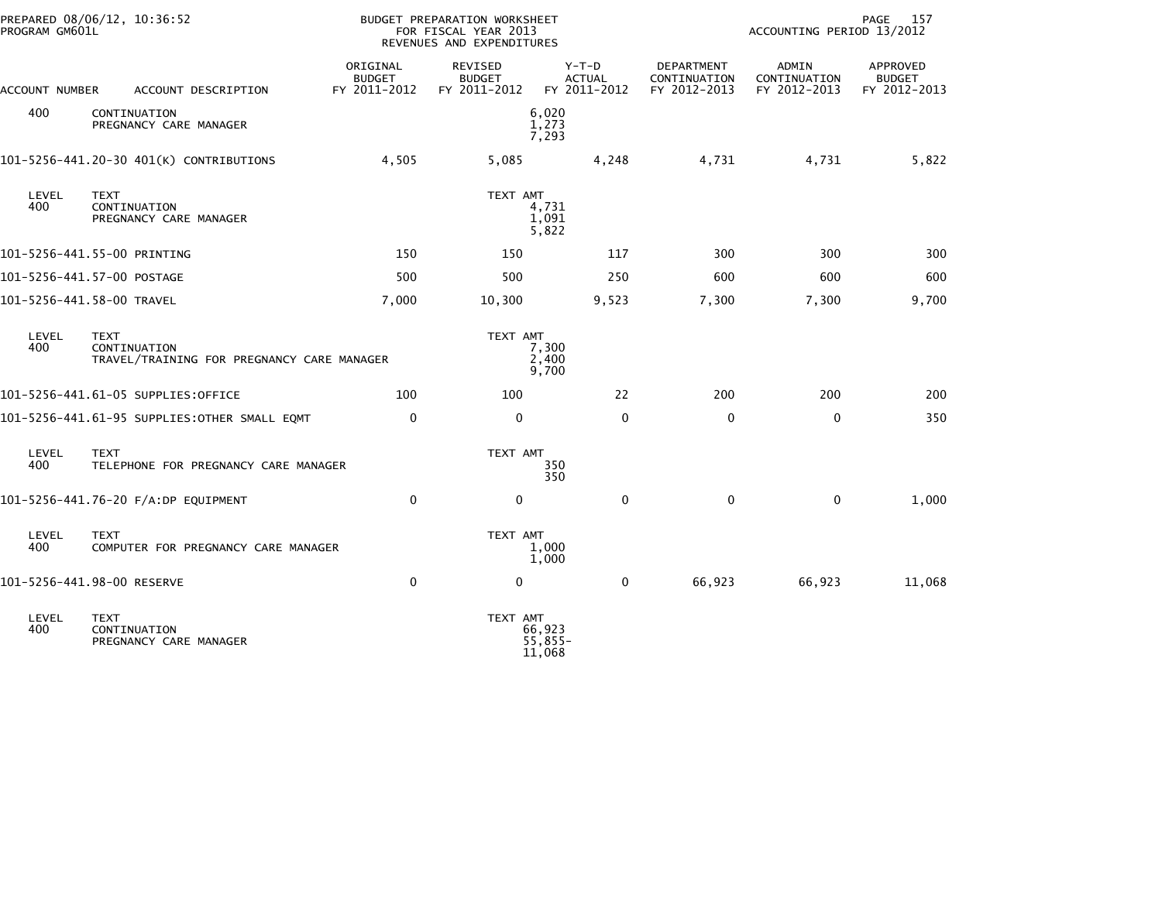| PROGRAM GM601L | PREPARED 08/06/12, 10:36:52                                               |                                           | BUDGET PREPARATION WORKSHEET<br>FOR FISCAL YEAR 2013<br>REVENUES AND EXPENDITURES |                                          | PAGE<br>157<br>ACCOUNTING PERIOD 13/2012   |                                       |                                           |
|----------------|---------------------------------------------------------------------------|-------------------------------------------|-----------------------------------------------------------------------------------|------------------------------------------|--------------------------------------------|---------------------------------------|-------------------------------------------|
| ACCOUNT NUMBER | ACCOUNT DESCRIPTION                                                       | ORIGINAL<br><b>BUDGET</b><br>FY 2011-2012 | <b>REVISED</b><br><b>BUDGET</b><br>FY 2011-2012                                   | $Y-T-D$<br><b>ACTUAL</b><br>FY 2011-2012 | DEPARTMENT<br>CONTINUATION<br>FY 2012-2013 | ADMIN<br>CONTINUATION<br>FY 2012-2013 | APPROVED<br><b>BUDGET</b><br>FY 2012-2013 |
| 400            | CONTINUATION<br>PREGNANCY CARE MANAGER                                    |                                           |                                                                                   | 6,020<br>1,273<br>7,293                  |                                            |                                       |                                           |
|                | 101-5256-441.20-30 401(K) CONTRIBUTIONS                                   | 4,505                                     | 5,085                                                                             | 4,248                                    | 4,731                                      | 4,731                                 | 5,822                                     |
| LEVEL<br>400   | <b>TEXT</b><br>CONTINUATION<br>PREGNANCY CARE MANAGER                     |                                           | TEXT AMT                                                                          | 4,731<br>1,091<br>5,822                  |                                            |                                       |                                           |
|                | 101-5256-441.55-00 PRINTING                                               | 150                                       | 150                                                                               | 117                                      | 300                                        | 300                                   | 300                                       |
|                | 101–5256–441.57–00 POSTAGE                                                | 500                                       | 500                                                                               | 250                                      | 600                                        | 600                                   | 600                                       |
|                | 101-5256-441.58-00 TRAVEL                                                 | 7,000                                     | 10,300                                                                            | 9,523                                    | 7,300                                      | 7,300                                 | 9,700                                     |
| LEVEL<br>400   | <b>TEXT</b><br>CONTINUATION<br>TRAVEL/TRAINING FOR PREGNANCY CARE MANAGER |                                           | TEXT AMT                                                                          | 7,300<br>2,400<br>9,700                  |                                            |                                       |                                           |
|                | 101-5256-441.61-05 SUPPLIES:OFFICE                                        | 100                                       | 100                                                                               | 22                                       | 200                                        | 200                                   | 200                                       |
|                | 101-5256-441.61-95 SUPPLIES:OTHER SMALL EQMT                              | $\mathbf 0$                               | $\mathbf 0$                                                                       | $\mathbf{0}$                             | $\mathbf 0$                                | $\mathbf 0$                           | 350                                       |
| LEVEL<br>400   | <b>TEXT</b><br>TELEPHONE FOR PREGNANCY CARE MANAGER                       |                                           | TEXT AMT                                                                          | 350<br>350                               |                                            |                                       |                                           |
|                | 101-5256-441.76-20 F/A:DP EQUIPMENT                                       | $\mathbf{0}$                              | $\Omega$                                                                          | $\mathbf{0}$                             | $\mathbf 0$                                | $\mathbf{0}$                          | 1,000                                     |
| LEVEL<br>400   | <b>TEXT</b><br>COMPUTER FOR PREGNANCY CARE MANAGER                        |                                           | TEXT AMT                                                                          | 1,000<br>1,000                           |                                            |                                       |                                           |
|                | 101-5256-441.98-00 RESERVE                                                | $\mathbf 0$                               | 0                                                                                 | $\mathbf 0$                              | 66,923                                     | 66,923                                | 11,068                                    |
| LEVEL<br>400   | <b>TEXT</b><br>CONTINUATION<br>PREGNANCY CARE MANAGER                     |                                           | TEXT AMT                                                                          | 66,923<br>$55,855-$<br>11,068            |                                            |                                       |                                           |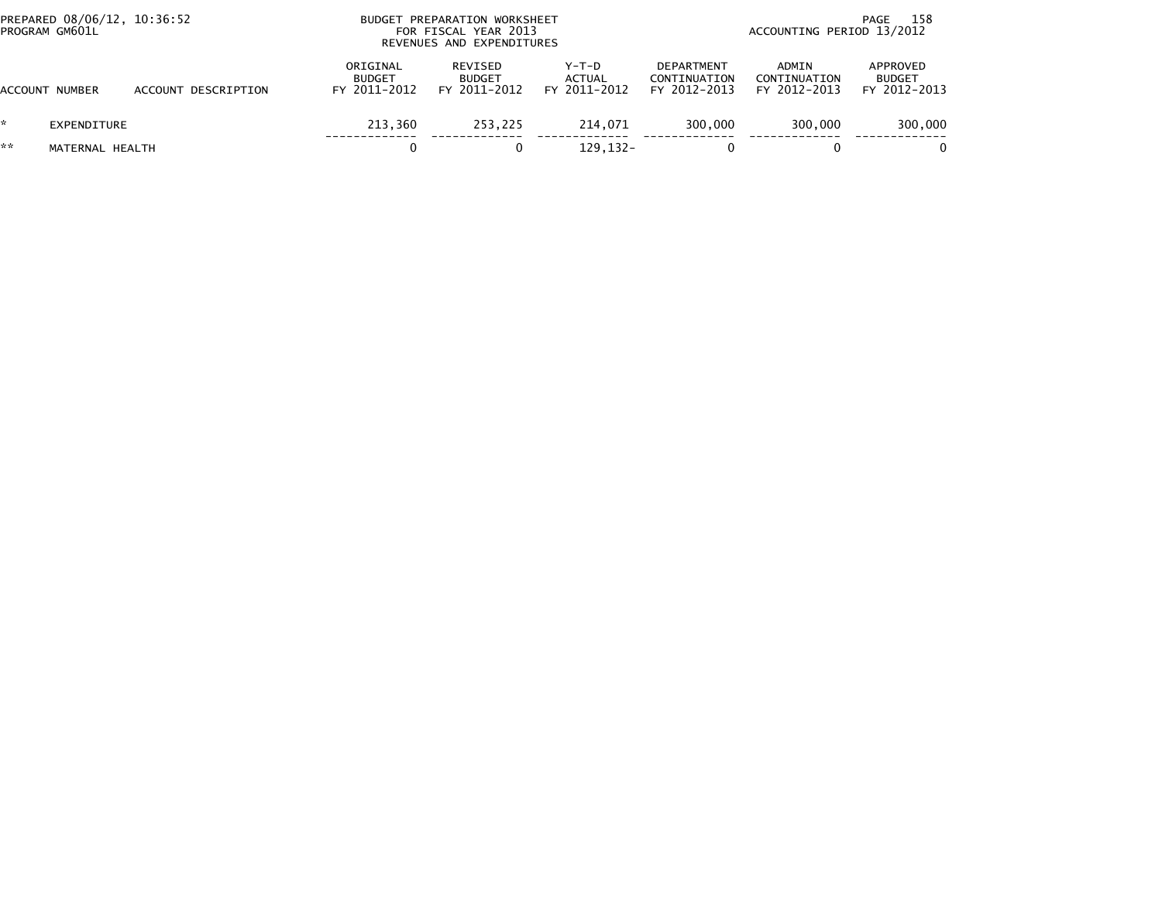| PROGRAM GM601L | PREPARED 08/06/12, 10:36:52 |                     | BUDGET PREPARATION WORKSHEET<br>FOR FISCAL YEAR 2013<br>REVENUES AND EXPENDITURES |                                          |                                          |                                                   | - 158<br>PAGE<br>ACCOUNTING PERIOD 13/2012 |                                           |  |
|----------------|-----------------------------|---------------------|-----------------------------------------------------------------------------------|------------------------------------------|------------------------------------------|---------------------------------------------------|--------------------------------------------|-------------------------------------------|--|
| ACCOUNT NUMBER |                             | ACCOUNT DESCRIPTION | ORIGINAL<br><b>BUDGET</b><br>FY 2011-2012                                         | REVISED<br><b>BUDGET</b><br>FY 2011-2012 | $Y-T-D$<br><b>ACTUAL</b><br>FY 2011-2012 | <b>DEPARTMENT</b><br>CONTINUATION<br>FY 2012-2013 | ADMIN<br>CONTINUATION<br>FY 2012-2013      | APPROVED<br><b>BUDGET</b><br>FY 2012-2013 |  |
|                | EXPENDITURE                 |                     | 213.360                                                                           | 253.225                                  | 214.071                                  | 300,000                                           | 300,000                                    | 300,000                                   |  |
| **             | MATERNAL HEALTH             |                     |                                                                                   |                                          | 129, 132-                                |                                                   |                                            |                                           |  |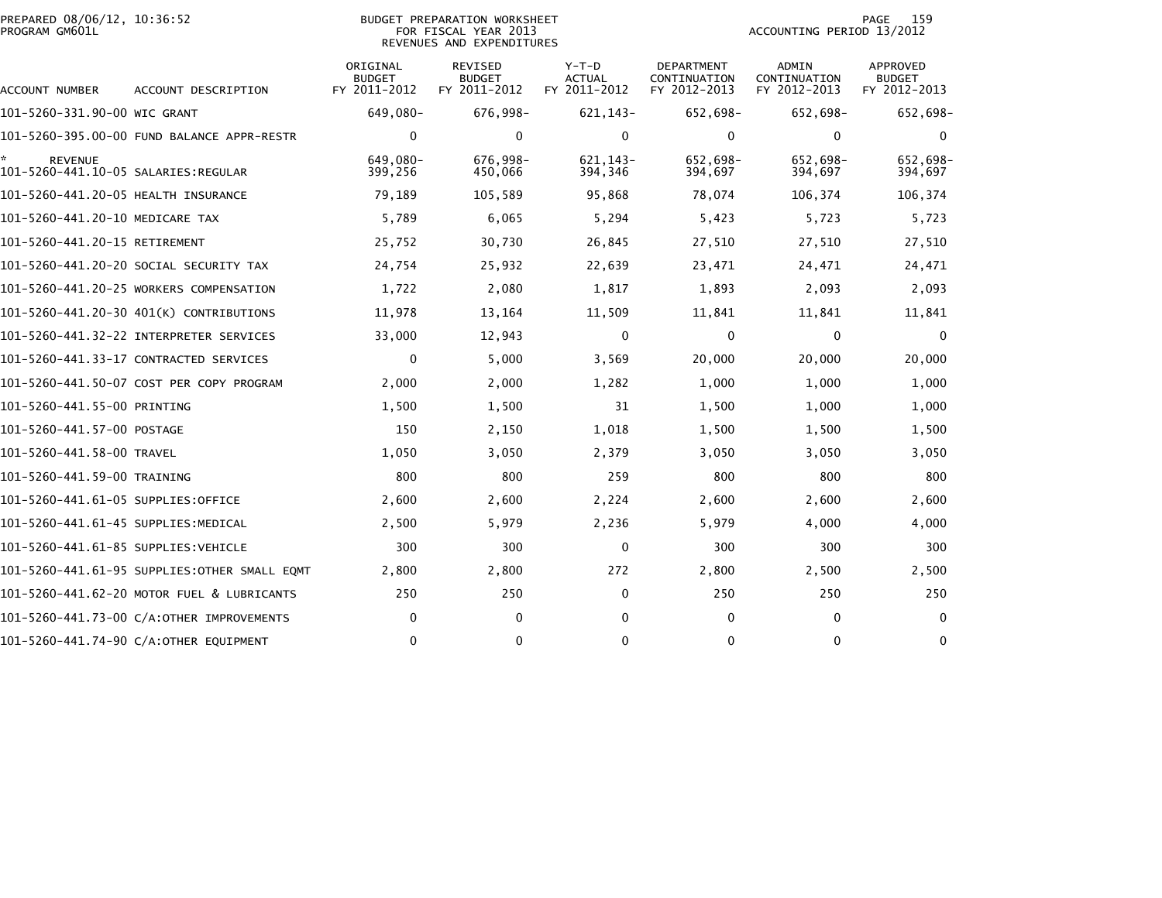| PREPARED 08/06/12, 10:36:52<br>PROGRAM GM601L |                                              | <b>BUDGET PREPARATION WORKSHEET</b><br>FOR FISCAL YEAR 2013<br>REVENUES AND EXPENDITURES | 159<br>PAGE<br>ACCOUNTING PERIOD 13/2012        |                                        |                                                   |                                              |                                           |
|-----------------------------------------------|----------------------------------------------|------------------------------------------------------------------------------------------|-------------------------------------------------|----------------------------------------|---------------------------------------------------|----------------------------------------------|-------------------------------------------|
| ACCOUNT NUMBER                                | ACCOUNT DESCRIPTION                          | ORIGINAL<br><b>BUDGET</b><br>FY 2011-2012                                                | <b>REVISED</b><br><b>BUDGET</b><br>FY 2011-2012 | Y-T-D<br><b>ACTUAL</b><br>FY 2011-2012 | <b>DEPARTMENT</b><br>CONTINUATION<br>FY 2012-2013 | <b>ADMIN</b><br>CONTINUATION<br>FY 2012-2013 | APPROVED<br><b>BUDGET</b><br>FY 2012-2013 |
| 101-5260-331.90-00 WIC GRANT                  |                                              | 649,080-                                                                                 | 676,998-                                        | $621, 143-$                            | 652,698-                                          | 652,698-                                     | 652,698-                                  |
|                                               | 101-5260-395.00-00 FUND BALANCE APPR-RESTR   | $\mathbf 0$                                                                              | $\mathbf 0$                                     | $\mathbf 0$                            | 0                                                 | $\mathbf 0$                                  | $\mathbf 0$                               |
| <b>REVENUE</b>                                |                                              | 649.080-<br>399,256                                                                      | 676,998-<br>450,066                             | 621.143-<br>394,346                    | 652,698-<br>394,697                               | 652,698-<br>394,697                          | 652,698-<br>394,697                       |
| 101-5260-441.20-05 HEALTH INSURANCE           |                                              | 79,189                                                                                   | 105,589                                         | 95,868                                 | 78,074                                            | 106,374                                      | 106,374                                   |
| 101-5260-441.20-10 MEDICARE TAX               |                                              | 5,789                                                                                    | 6,065                                           | 5,294                                  | 5,423                                             | 5,723                                        | 5,723                                     |
| 101-5260-441.20-15 RETIREMENT                 |                                              | 25,752                                                                                   | 30,730                                          | 26,845                                 | 27,510                                            | 27,510                                       | 27,510                                    |
|                                               | 101–5260–441.20–20 SOCIAL SECURITY TAX       | 24,754                                                                                   | 25,932                                          | 22,639                                 | 23,471                                            | 24,471                                       | 24,471                                    |
|                                               | 101-5260-441.20-25 WORKERS COMPENSATION      | 1,722                                                                                    | 2,080                                           | 1,817                                  | 1,893                                             | 2,093                                        | 2,093                                     |
|                                               | 101-5260-441.20-30 401(K) CONTRIBUTIONS      | 11,978                                                                                   | 13,164                                          | 11,509                                 | 11,841                                            | 11,841                                       | 11,841                                    |
|                                               |                                              | 33,000                                                                                   | 12,943                                          | $\Omega$                               | $\mathbf{0}$                                      | 0                                            | $\Omega$                                  |
|                                               | 101-5260-441.33-17 CONTRACTED SERVICES       | $\mathbf 0$                                                                              | 5,000                                           | 3,569                                  | 20,000                                            | 20,000                                       | 20,000                                    |
|                                               | 101-5260-441.50-07 COST PER COPY PROGRAM     | 2,000                                                                                    | 2,000                                           | 1,282                                  | 1,000                                             | 1,000                                        | 1,000                                     |
| 101-5260-441.55-00 PRINTING                   |                                              | 1,500                                                                                    | 1,500                                           | 31                                     | 1,500                                             | 1,000                                        | 1,000                                     |
| 101-5260-441.57-00 POSTAGE                    |                                              | 150                                                                                      | 2,150                                           | 1,018                                  | 1,500                                             | 1,500                                        | 1,500                                     |
| 101-5260-441.58-00 TRAVEL                     |                                              | 1,050                                                                                    | 3,050                                           | 2,379                                  | 3,050                                             | 3,050                                        | 3,050                                     |
| 101-5260-441.59-00 TRAINING                   |                                              | 800                                                                                      | 800                                             | 259                                    | 800                                               | 800                                          | 800                                       |
| 101–5260–441.61–05 SUPPLIES:OFFICE            |                                              | 2,600                                                                                    | 2,600                                           | 2,224                                  | 2,600                                             | 2,600                                        | 2,600                                     |
| 101-5260-441.61-45 SUPPLIES:MEDICAL           |                                              | 2,500                                                                                    | 5,979                                           | 2,236                                  | 5,979                                             | 4,000                                        | 4,000                                     |
| 101–5260–441.61–85 SUPPLIES:VEHICLE           |                                              | 300                                                                                      | 300                                             | $\mathbf{0}$                           | 300                                               | 300                                          | 300                                       |
|                                               | 101-5260-441.61-95 SUPPLIES:OTHER SMALL EQMT | 2,800                                                                                    | 2,800                                           | 272                                    | 2,800                                             | 2,500                                        | 2,500                                     |
|                                               | 101-5260-441.62-20 MOTOR FUEL & LUBRICANTS   | 250                                                                                      | 250                                             | $\Omega$                               | 250                                               | 250                                          | 250                                       |
|                                               | 101-5260-441.73-00 C/A:OTHER IMPROVEMENTS    | 0                                                                                        | 0                                               | $\Omega$                               | 0                                                 | $\mathbf{0}$                                 | $\mathbf{0}$                              |
|                                               | 101-5260-441.74-90 C/A:OTHER EQUIPMENT       | $\Omega$                                                                                 | 0                                               | $\Omega$                               | $\Omega$                                          | $\mathbf{0}$                                 | 0                                         |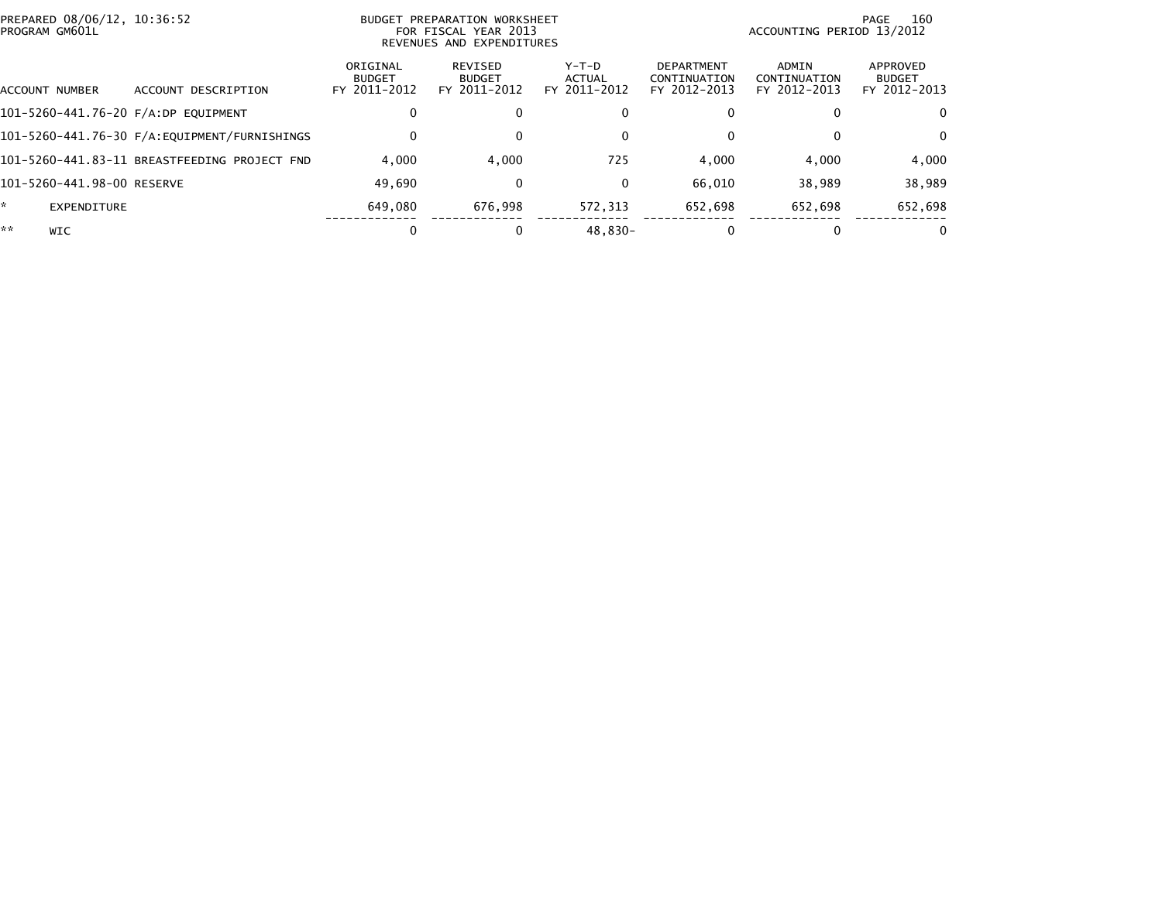| PREPARED 08/06/12, 10:36:52<br>PROGRAM GM601L |                            |                                              | BUDGET PREPARATION WORKSHEET<br>FOR FISCAL YEAR 2013<br>REVENUES AND EXPENDITURES |                                          |                                 | 160<br>PAGE<br>ACCOUNTING PERIOD 13/2012          |                                       |                                           |
|-----------------------------------------------|----------------------------|----------------------------------------------|-----------------------------------------------------------------------------------|------------------------------------------|---------------------------------|---------------------------------------------------|---------------------------------------|-------------------------------------------|
|                                               | ACCOUNT NUMBER             | ACCOUNT DESCRIPTION                          | ORIGINAL<br><b>BUDGET</b><br>FY 2011-2012                                         | REVISED<br><b>BUDGET</b><br>FY 2011-2012 | Y-T-D<br>ACTUAL<br>FY 2011-2012 | <b>DEPARTMENT</b><br>CONTINUATION<br>FY 2012-2013 | ADMIN<br>CONTINUATION<br>FY 2012-2013 | APPROVED<br><b>BUDGET</b><br>FY 2012-2013 |
|                                               |                            | 101-5260-441.76-20 F/A:DP EQUIPMENT          | 0                                                                                 | 0                                        |                                 |                                                   |                                       | $\Omega$                                  |
|                                               |                            |                                              | $\Omega$                                                                          | 0                                        |                                 |                                                   | $\Omega$                              | $\mathbf{0}$                              |
|                                               |                            | 101-5260-441.83-11 BREASTFEEDING PROJECT FND | 4.000                                                                             | 4.000                                    | 725                             | 4,000                                             | 4.000                                 | 4,000                                     |
|                                               | 101-5260-441.98-00 RESERVE |                                              | 49.690                                                                            | 0                                        |                                 | 66,010                                            | 38.989                                | 38,989                                    |
| ÷.                                            | EXPENDITURE                |                                              | 649,080                                                                           | 676.998                                  | 572.313                         | 652.698                                           | 652.698                               | 652,698                                   |
| **                                            | <b>WIC</b>                 |                                              |                                                                                   | 0                                        | 48.830-                         |                                                   | $\Omega$                              | 0                                         |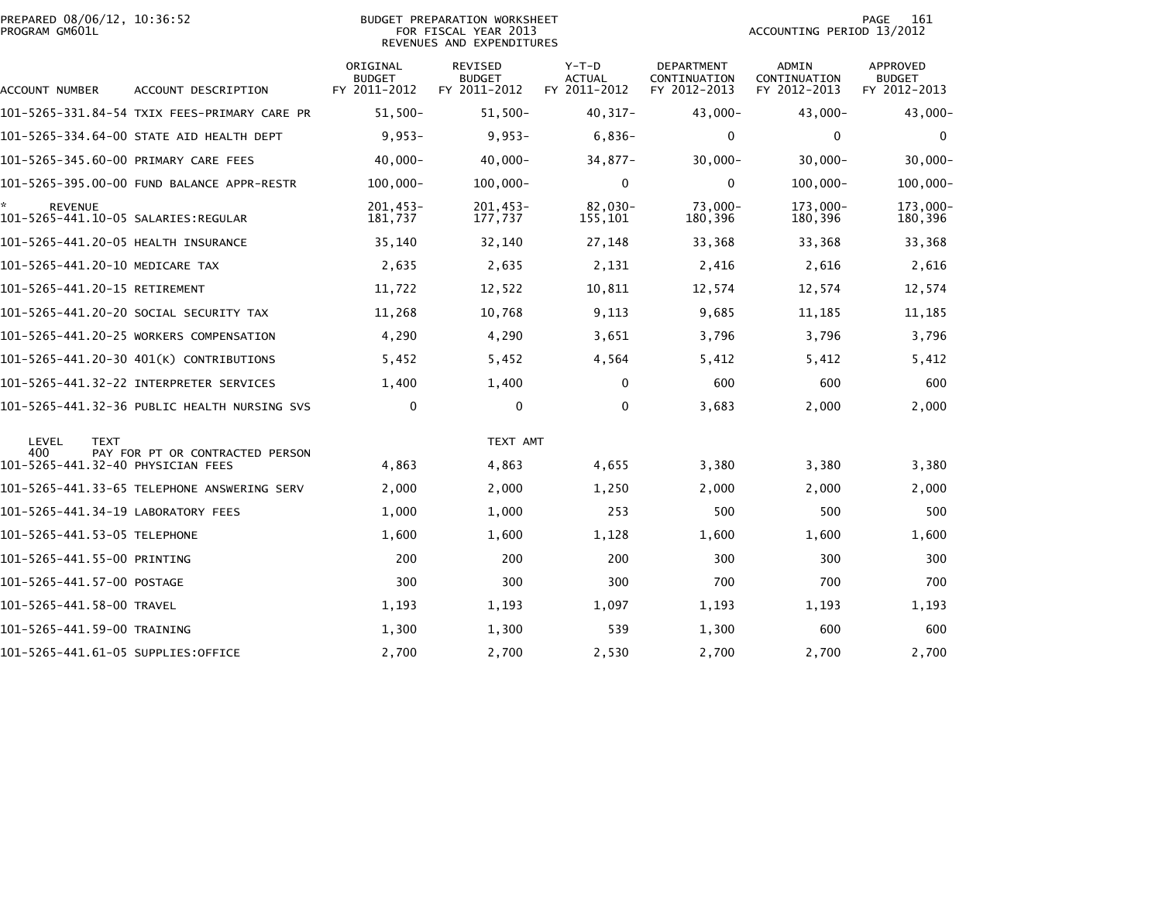|                | PREPARED 08/06/12, 10:36:52 |  |
|----------------|-----------------------------|--|
| PROGRAM GM601L |                             |  |

## BUDGET PREPARATION WORKSHEET PROGRAM GM601L FOR FISCAL YEAR 2013 ACCOUNTING PERIOD 13/2012 REVENUES AND EXPENDITURES

PAGE 161<br>ACCOUNTING PERIOD 13/2012

| ACCOUNT NUMBER                           | ACCOUNT DESCRIPTION                          | ORIGINAL<br><b>BUDGET</b><br>FY 2011-2012 | <b>REVISED</b><br><b>BUDGET</b><br>FY 2011-2012 | $Y-T-D$<br><b>ACTUAL</b><br>FY 2011-2012 | <b>DEPARTMENT</b><br>CONTINUATION<br>FY 2012-2013 | <b>ADMIN</b><br>CONTINUATION<br>FY 2012-2013 | <b>APPROVED</b><br><b>BUDGET</b><br>FY 2012-2013 |
|------------------------------------------|----------------------------------------------|-------------------------------------------|-------------------------------------------------|------------------------------------------|---------------------------------------------------|----------------------------------------------|--------------------------------------------------|
|                                          | 101-5265-331.84-54 TXIX FEES-PRIMARY CARE PR | $51,500 -$                                | $51,500 -$                                      | $40, 317 -$                              | $43,000 -$                                        | 43,000-                                      | $43,000-$                                        |
|                                          | 101-5265-334.64-00 STATE AID HEALTH DEPT     | $9,953-$                                  | $9,953-$                                        | $6,836-$                                 | 0                                                 | $\mathbf 0$                                  | 0                                                |
| 101-5265-345.60-00 PRIMARY CARE FEES     |                                              | $40,000 -$                                | $40,000 -$                                      | $34,877-$                                | $30,000 -$                                        | $30,000 -$                                   | $30,000 -$                                       |
|                                          | 101-5265-395.00-00 FUND BALANCE APPR-RESTR   | $100,000 -$                               | $100,000 -$                                     | 0                                        | 0                                                 | $100,000 -$                                  | $100,000 -$                                      |
| *<br><b>REVENUE</b>                      |                                              | $201.453 -$<br>181,737                    | $201,453-$<br>177.737                           | 82,030-<br>155.101                       | $73.000 -$<br>180,396                             | 173.000-<br>180,396                          | 173,000-<br>180,396                              |
| 101-5265-441.20-05 HEALTH INSURANCE      |                                              | 35,140                                    | 32,140                                          | 27,148                                   | 33,368                                            | 33,368                                       | 33,368                                           |
| 101-5265-441.20-10 MEDICARE TAX          |                                              | 2,635                                     | 2,635                                           | 2,131                                    | 2,416                                             | 2,616                                        | 2,616                                            |
| 101-5265-441.20-15 RETIREMENT            |                                              | 11,722                                    | 12,522                                          | 10,811                                   | 12,574                                            | 12,574                                       | 12,574                                           |
|                                          | 101–5265–441.20–20 SOCIAL SECURITY TAX       | 11,268                                    | 10,768                                          | 9,113                                    | 9,685                                             | 11,185                                       | 11,185                                           |
|                                          | 101-5265-441.20-25 WORKERS COMPENSATION      | 4,290                                     | 4,290                                           | 3,651                                    | 3,796                                             | 3,796                                        | 3,796                                            |
|                                          | 101-5265-441.20-30 401(K) CONTRIBUTIONS      | 5,452                                     | 5,452                                           | 4,564                                    | 5,412                                             | 5,412                                        | 5,412                                            |
|                                          | 101-5265-441.32-22 INTERPRETER SERVICES      | 1,400                                     | 1,400                                           | 0                                        | 600                                               | 600                                          | 600                                              |
|                                          | 101-5265-441.32-36 PUBLIC HEALTH NURSING SVS | 0                                         | 0                                               | 0                                        | 3,683                                             | 2,000                                        | 2,000                                            |
| LEVEL<br><b>TEXT</b>                     |                                              |                                           | TEXT AMT                                        |                                          |                                                   |                                              |                                                  |
| 400<br>101-5265-441.32-40 PHYSICIAN FEES | PAY FOR PT OR CONTRACTED PERSON              | 4,863                                     | 4,863                                           | 4,655                                    | 3,380                                             | 3,380                                        | 3,380                                            |
|                                          | 101–5265–441.33–65 TELEPHONE ANSWERING SERV  | 2,000                                     | 2,000                                           | 1,250                                    | 2,000                                             | 2,000                                        | 2,000                                            |
| 101-5265-441.34-19 LABORATORY FEES       |                                              | 1,000                                     | 1,000                                           | 253                                      | 500                                               | 500                                          | 500                                              |
| 101-5265-441.53-05 TELEPHONE             |                                              | 1,600                                     | 1,600                                           | 1,128                                    | 1,600                                             | 1,600                                        | 1,600                                            |
| 101-5265-441.55-00 PRINTING              |                                              | 200                                       | 200                                             | 200                                      | 300                                               | 300                                          | 300                                              |
| 101–5265–441.57–00 POSTAGE               |                                              | 300                                       | 300                                             | 300                                      | 700                                               | 700                                          | 700                                              |
| 101-5265-441.58-00 TRAVEL                |                                              | 1,193                                     | 1,193                                           | 1,097                                    | 1,193                                             | 1,193                                        | 1,193                                            |
| 101-5265-441.59-00 TRAINING              |                                              | 1,300                                     | 1,300                                           | 539                                      | 1,300                                             | 600                                          | 600                                              |
| 101-5265-441.61-05 SUPPLIES:OFFICE       |                                              | 2,700                                     | 2,700                                           | 2,530                                    | 2,700                                             | 2,700                                        | 2,700                                            |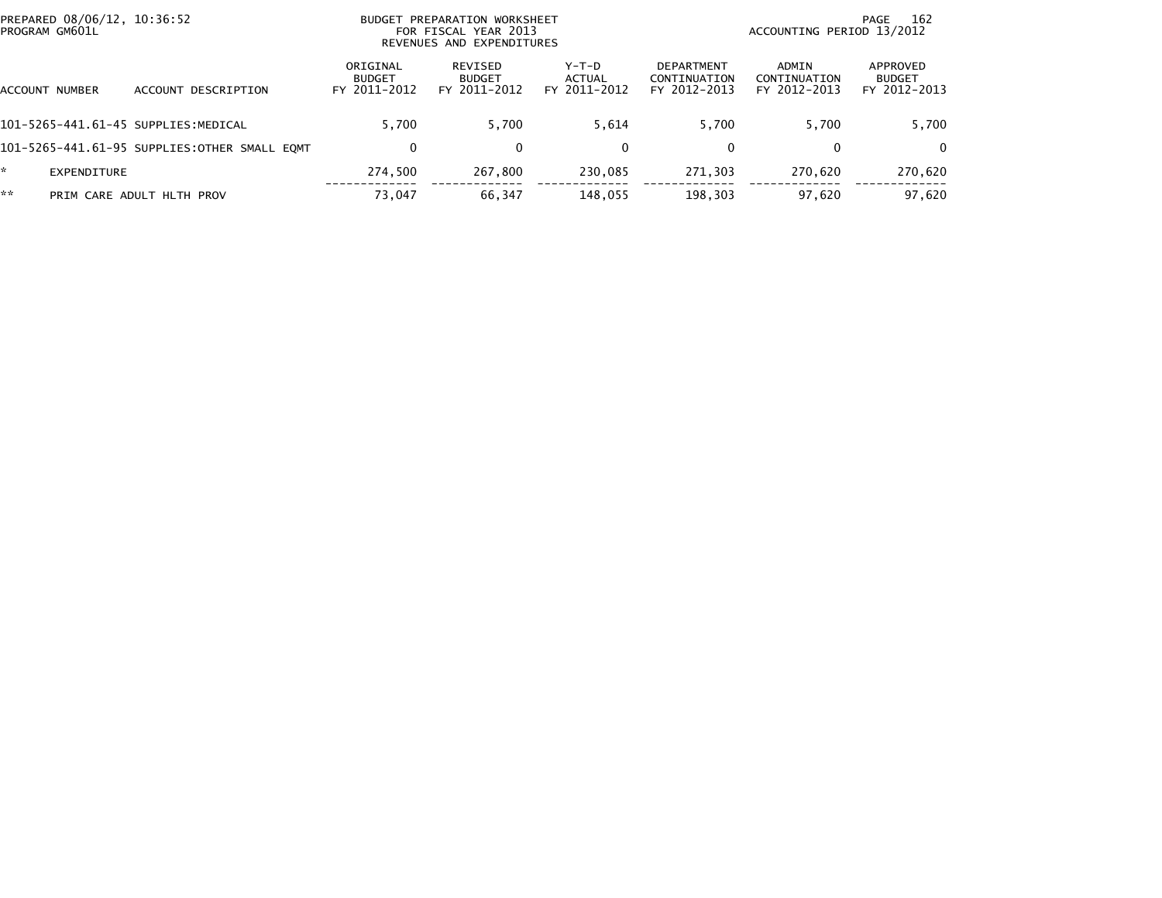|    | PREPARED 08/06/12, 10:36:52<br>PROGRAM GM601L |                                              |                                           | BUDGET PREPARATION WORKSHEET<br>FOR FISCAL YEAR 2013<br>REVENUES AND EXPENDITURES |                                 |                                                   | ACCOUNTING PERIOD 13/2012             | 162<br>PAGE                               |
|----|-----------------------------------------------|----------------------------------------------|-------------------------------------------|-----------------------------------------------------------------------------------|---------------------------------|---------------------------------------------------|---------------------------------------|-------------------------------------------|
|    | ACCOUNT NUMBER                                | ACCOUNT DESCRIPTION                          | ORIGINAL<br><b>BUDGET</b><br>FY 2011-2012 | REVISED<br><b>BUDGET</b><br>FY 2011-2012                                          | Y-T-D<br>ACTUAL<br>FY 2011-2012 | <b>DEPARTMENT</b><br>CONTINUATION<br>FY 2012-2013 | ADMIN<br>CONTINUATION<br>FY 2012-2013 | APPROVED<br><b>BUDGET</b><br>FY 2012-2013 |
|    |                                               | 101-5265-441.61-45 SUPPLIES:MEDICAL          | 5.700                                     | 5.700                                                                             | 5.614                           | 5.700                                             | 5.700                                 | 5,700                                     |
|    |                                               | 101–5265–441.61–95 SUPPLIES:OTHER SMALL EOMT | 0                                         | 0                                                                                 | 0                               | 0                                                 | 0                                     | $\mathbf{0}$                              |
| ÷. | EXPENDITURE                                   |                                              | 274,500                                   | 267,800                                                                           | 230.085                         | 271.303                                           | 270.620                               | 270,620                                   |
| ** |                                               | PRIM CARE ADULT HLTH PROV                    | 73.047                                    | 66,347                                                                            | 148,055                         | 198,303                                           | 97.620                                | 97,620                                    |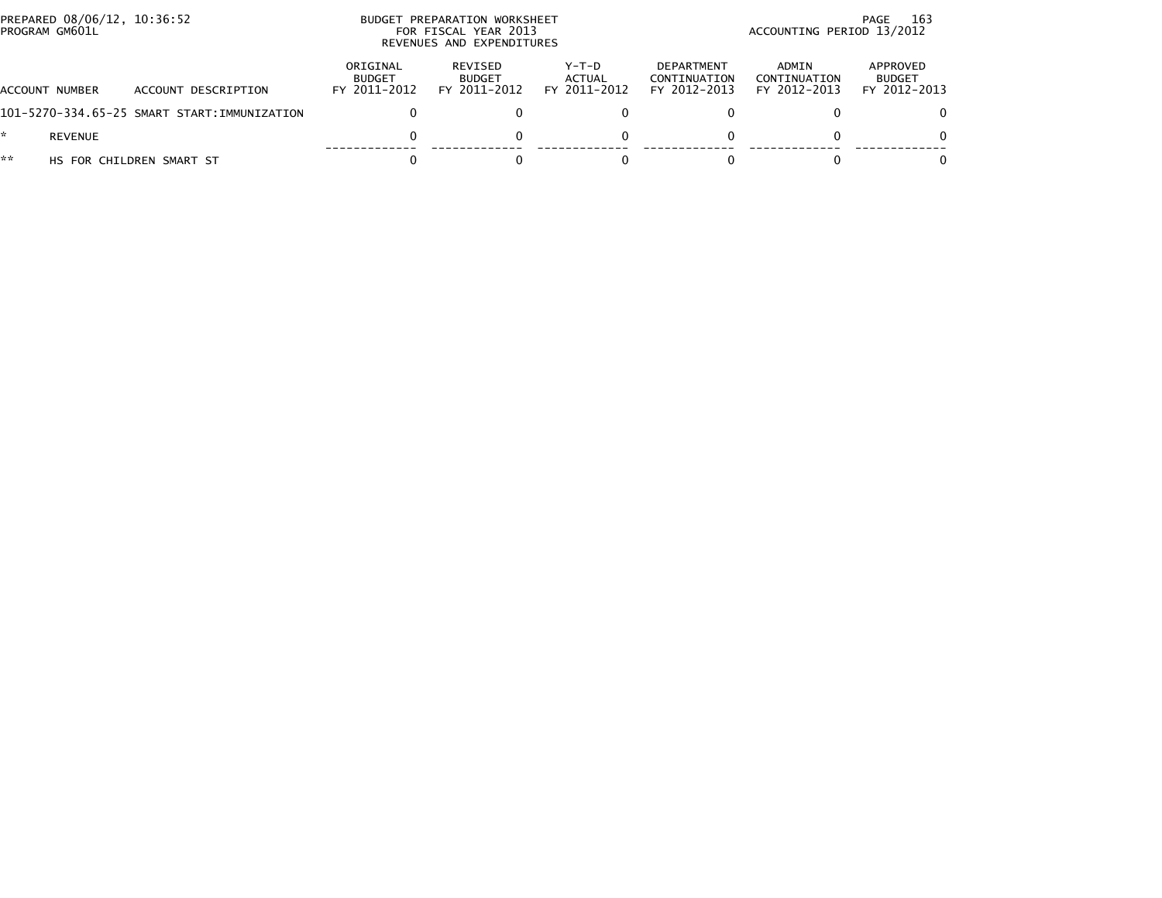| PREPARED 08/06/12, 10:36:52<br>PROGRAM GM601L |                                             |                                           | BUDGET PREPARATION WORKSHEET<br>FOR FISCAL YEAR 2013<br>REVENUES AND EXPENDITURES |                                   | -163<br>PAGE<br>ACCOUNTING PERIOD 13/2012         |                                       |                                           |  |
|-----------------------------------------------|---------------------------------------------|-------------------------------------------|-----------------------------------------------------------------------------------|-----------------------------------|---------------------------------------------------|---------------------------------------|-------------------------------------------|--|
| ACCOUNT NUMBER                                | ACCOUNT DESCRIPTION                         | ORIGINAL<br><b>BUDGET</b><br>FY 2011-2012 | REVISED<br><b>BUDGET</b><br>FY 2011-2012                                          | $Y-T-D$<br>ACTUAL<br>FY 2011-2012 | <b>DEPARTMENT</b><br>CONTINUATION<br>FY 2012-2013 | ADMIN<br>CONTINUATION<br>FY 2012-2013 | APPROVED<br><b>BUDGET</b><br>FY 2012-2013 |  |
|                                               | 101-5270-334.65-25 SMART START:IMMUNIZATION |                                           |                                                                                   |                                   |                                                   |                                       | 0                                         |  |
| REVENUE                                       |                                             |                                           |                                                                                   |                                   |                                                   |                                       | $\Omega$                                  |  |
| **                                            | HS FOR CHILDREN SMART ST                    |                                           |                                                                                   |                                   |                                                   |                                       | 0                                         |  |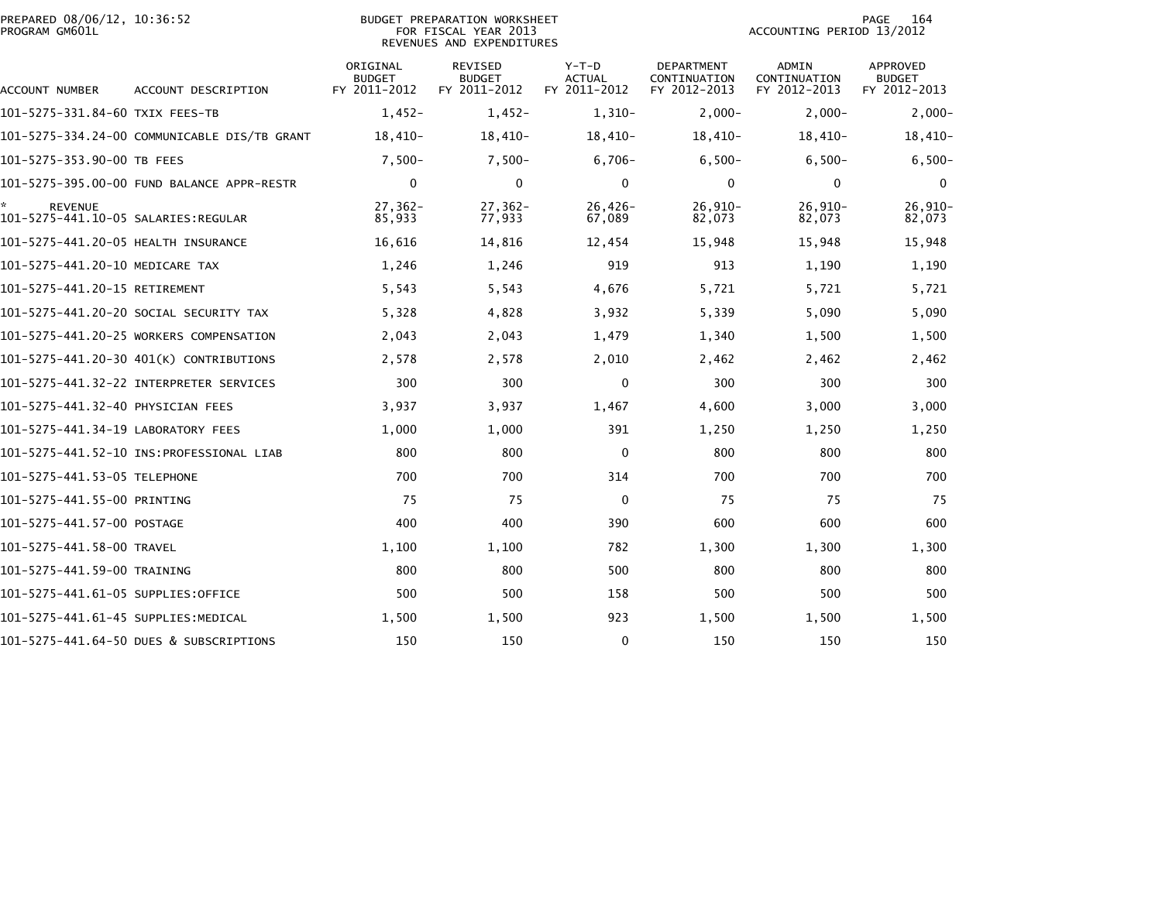| PREPARED 08/06/12, 10:36:52<br>PROGRAM GM601L         |                                              |                                           | <b>BUDGET PREPARATION WORKSHEET</b><br>FOR FISCAL YEAR 2013<br>REVENUES AND EXPENDITURES |                                          |                                                   | ACCOUNTING PERIOD 13/2012             | 164<br>PAGE                                      |
|-------------------------------------------------------|----------------------------------------------|-------------------------------------------|------------------------------------------------------------------------------------------|------------------------------------------|---------------------------------------------------|---------------------------------------|--------------------------------------------------|
| ACCOUNT NUMBER                                        | ACCOUNT DESCRIPTION                          | ORIGINAL<br><b>BUDGET</b><br>FY 2011-2012 | <b>REVISED</b><br><b>BUDGET</b><br>FY 2011-2012                                          | $Y-T-D$<br><b>ACTUAL</b><br>FY 2011-2012 | <b>DEPARTMENT</b><br>CONTINUATION<br>FY 2012-2013 | ADMIN<br>CONTINUATION<br>FY 2012-2013 | <b>APPROVED</b><br><b>BUDGET</b><br>FY 2012-2013 |
| 101-5275-331.84-60 TXIX FEES-TB                       |                                              | $1,452-$                                  | $1,452-$                                                                                 | $1,310-$                                 | $2,000-$                                          | $2,000-$                              | $2,000-$                                         |
|                                                       | 101-5275-334.24-00 COMMUNICABLE DIS/TB GRANT | $18,410-$                                 | $18,410-$                                                                                | $18,410-$                                | 18,410-                                           | $18,410-$                             | $18,410-$                                        |
| 101-5275-353.90-00 TB FEES                            |                                              | $7,500-$                                  | $7,500-$                                                                                 | $6,706-$                                 | $6,500-$                                          | $6,500-$                              | $6,500-$                                         |
|                                                       | 101-5275-395.00-00 FUND BALANCE APPR-RESTR   | $\mathbf{0}$                              | $\mathbf{0}$                                                                             | 0                                        | $\mathbf{0}$                                      | $\mathbf{0}$                          | $\Omega$                                         |
| <b>REVENUE</b><br>101-5275-441.10-05 SALARIES:REGULAR |                                              | $27,362-$<br>85,933                       | $27,362-$<br>77,933                                                                      | $26,426-$<br>67,089                      | $26,910-$<br>82,073                               | $26,910-$<br>82,073                   | $26,910-$<br>82,073                              |
| 101-5275-441.20-05 HEALTH INSURANCE                   |                                              | 16,616                                    | 14,816                                                                                   | 12,454                                   | 15,948                                            | 15,948                                | 15,948                                           |
| 101-5275-441.20-10 MEDICARE TAX                       |                                              | 1,246                                     | 1,246                                                                                    | 919                                      | 913                                               | 1,190                                 | 1,190                                            |
| 101-5275-441.20-15 RETIREMENT                         |                                              | 5,543                                     | 5,543                                                                                    | 4,676                                    | 5,721                                             | 5,721                                 | 5,721                                            |
|                                                       | 101–5275–441.20–20 SOCIAL SECURITY TAX       | 5,328                                     | 4,828                                                                                    | 3,932                                    | 5,339                                             | 5,090                                 | 5,090                                            |
|                                                       | 101-5275-441.20-25 WORKERS COMPENSATION      | 2,043                                     | 2,043                                                                                    | 1,479                                    | 1,340                                             | 1,500                                 | 1,500                                            |
|                                                       | 101-5275-441.20-30 401(K) CONTRIBUTIONS      | 2,578                                     | 2,578                                                                                    | 2,010                                    | 2,462                                             | 2,462                                 | 2,462                                            |
|                                                       |                                              | 300                                       | 300                                                                                      | 0                                        | 300                                               | 300                                   | 300                                              |
| 101-5275-441.32-40 PHYSICIAN FEES                     |                                              | 3,937                                     | 3,937                                                                                    | 1,467                                    | 4,600                                             | 3,000                                 | 3,000                                            |
| 101-5275-441.34-19 LABORATORY FEES                    |                                              | 1,000                                     | 1,000                                                                                    | 391                                      | 1,250                                             | 1,250                                 | 1,250                                            |
|                                                       |                                              | 800                                       | 800                                                                                      | 0                                        | 800                                               | 800                                   | 800                                              |
| 101-5275-441.53-05 TELEPHONE                          |                                              | 700                                       | 700                                                                                      | 314                                      | 700                                               | 700                                   | 700                                              |
| 101-5275-441.55-00 PRINTING                           |                                              | 75                                        | 75                                                                                       | $\mathbf{0}$                             | 75                                                | 75                                    | 75                                               |
| 101-5275-441.57-00 POSTAGE                            |                                              | 400                                       | 400                                                                                      | 390                                      | 600                                               | 600                                   | 600                                              |
| 101-5275-441.58-00 TRAVEL                             |                                              | 1,100                                     | 1,100                                                                                    | 782                                      | 1,300                                             | 1,300                                 | 1,300                                            |
| 101-5275-441.59-00 TRAINING                           |                                              | 800                                       | 800                                                                                      | 500                                      | 800                                               | 800                                   | 800                                              |
| 101-5275-441.61-05 SUPPLIES:OFFICE                    |                                              | 500                                       | 500                                                                                      | 158                                      | 500                                               | 500                                   | 500                                              |
| 101–5275–441.61–45 SUPPLIES:MEDICAL                   |                                              | 1,500                                     | 1,500                                                                                    | 923                                      | 1,500                                             | 1,500                                 | 1,500                                            |
|                                                       | 101-5275-441.64-50 DUES & SUBSCRIPTIONS      | 150                                       | 150                                                                                      | 0                                        | 150                                               | 150                                   | 150                                              |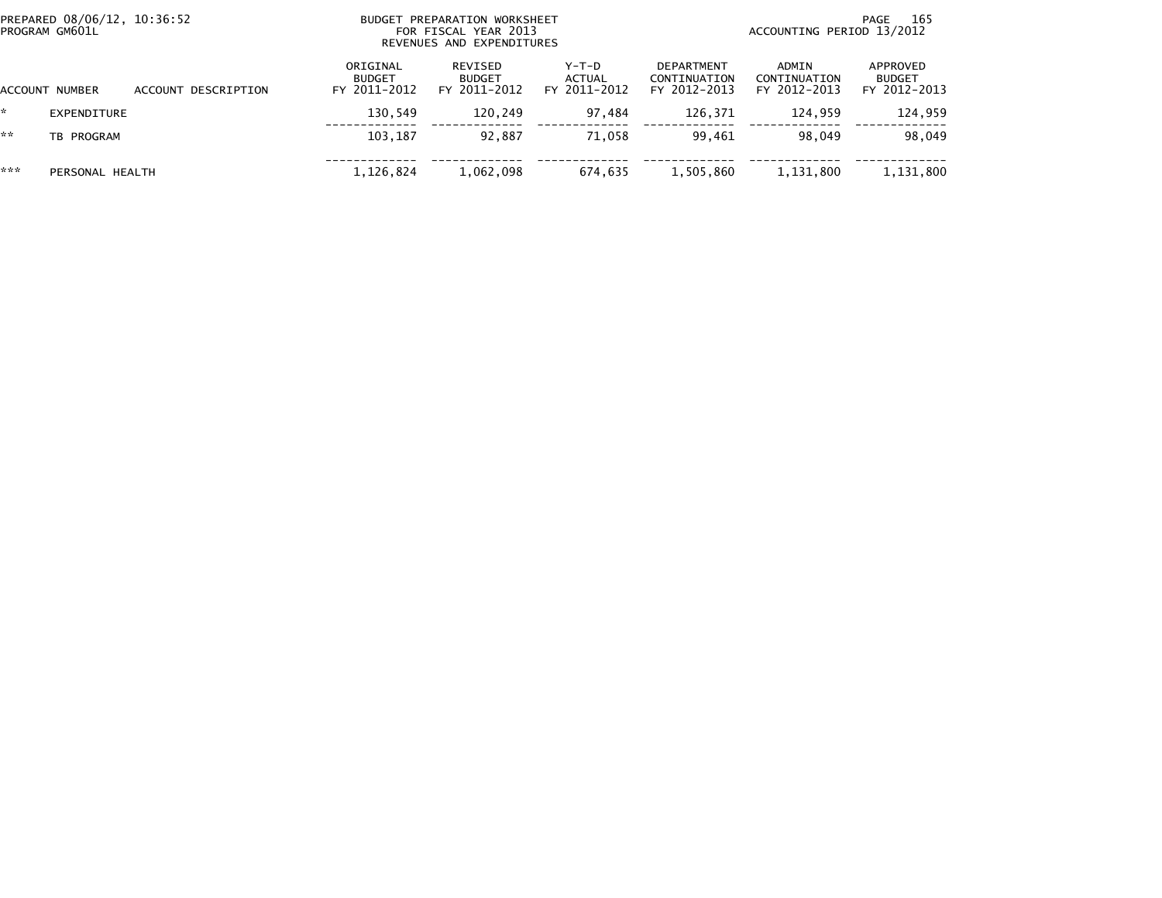| PREPARED 08/06/12, 10:36:52<br>PROGRAM GM601L |                 |                     |                                           | BUDGET PREPARATION WORKSHEET<br>FOR FISCAL YEAR 2013<br>REVENUES AND EXPENDITURES |                                 | 165<br>PAGE<br>ACCOUNTING PERIOD 13/2012   |                                       |                                           |  |
|-----------------------------------------------|-----------------|---------------------|-------------------------------------------|-----------------------------------------------------------------------------------|---------------------------------|--------------------------------------------|---------------------------------------|-------------------------------------------|--|
|                                               | ACCOUNT NUMBER  | ACCOUNT DESCRIPTION | ORIGINAL<br><b>BUDGET</b><br>FY 2011-2012 | REVISED<br><b>BUDGET</b><br>FY 2011-2012                                          | Y-T-D<br>ACTUAL<br>FY 2011-2012 | DEPARTMENT<br>CONTINUATION<br>FY 2012-2013 | ADMIN<br>CONTINUATION<br>FY 2012-2013 | APPROVED<br><b>BUDGET</b><br>FY 2012-2013 |  |
| *                                             | EXPENDITURE     |                     | 130.549                                   | 120.249                                                                           | 97.484                          | 126.371                                    | 124.959                               | 124,959                                   |  |
| **                                            | TB PROGRAM      |                     | 103.187                                   | 92.887                                                                            | 71.058                          | 99.461                                     | 98.049                                | 98,049                                    |  |
| ***                                           | PERSONAL HEALTH |                     | 1,126,824                                 | 1,062,098                                                                         | 674,635                         | 1,505,860                                  | 1,131,800                             | 1,131,800                                 |  |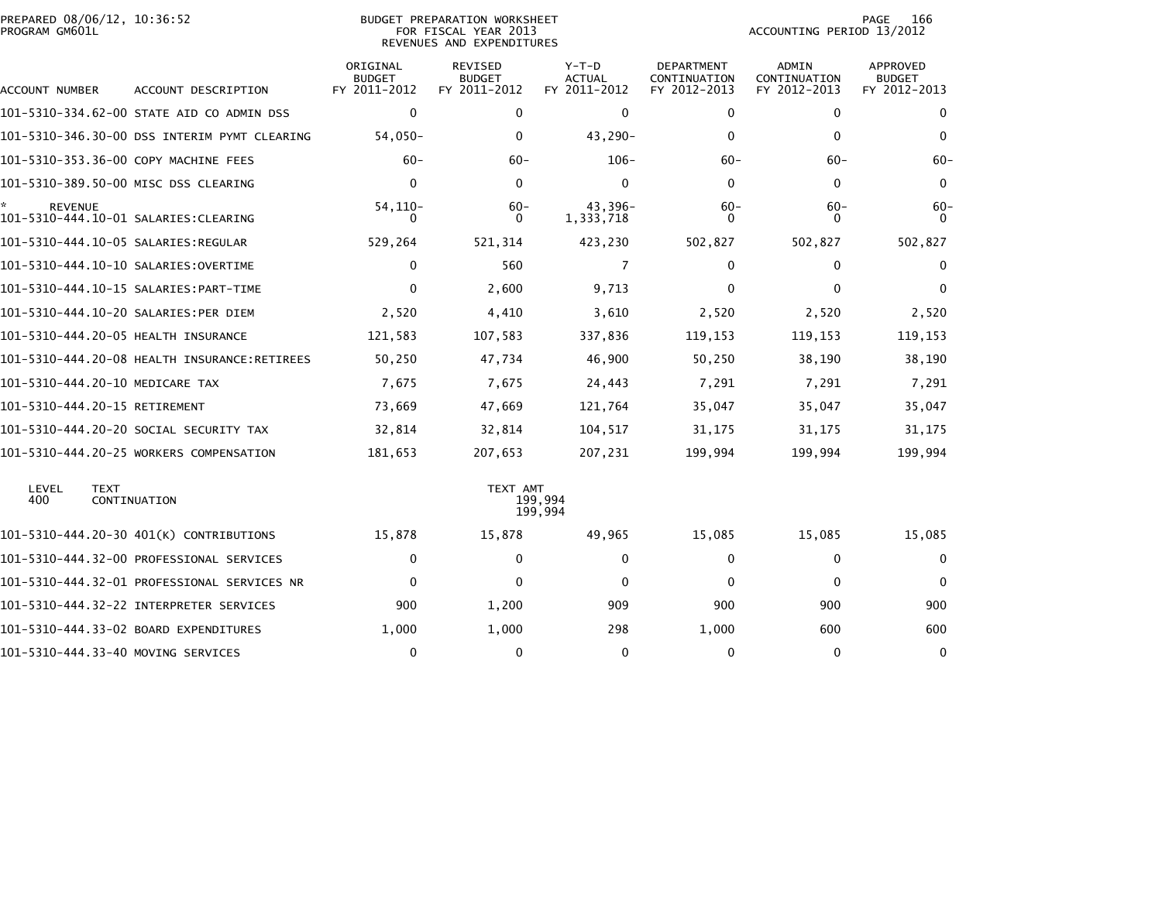|                | PREPARED 08/06/12, 10:36:52 |  |
|----------------|-----------------------------|--|
| PROGRAM GM601L |                             |  |

| ACCOUNT NUMBER                | ACCOUNT DESCRIPTION                          | ORIGINAL<br><b>BUDGET</b><br>FY 2011-2012 | REVISED<br><b>BUDGET</b><br>FY 2011-2012 | $Y-T-D$<br>ACTUAL<br>FY 2011-2012 | <b>DEPARTMENT</b><br>CONTINUATION<br>FY 2012-2013 | <b>ADMIN</b><br>CONTINUATION<br>FY 2012-2013 | <b>APPROVED</b><br><b>BUDGET</b><br>FY 2012-2013 |
|-------------------------------|----------------------------------------------|-------------------------------------------|------------------------------------------|-----------------------------------|---------------------------------------------------|----------------------------------------------|--------------------------------------------------|
|                               |                                              |                                           |                                          |                                   |                                                   |                                              |                                                  |
|                               | 101-5310-334.62-00 STATE AID CO ADMIN DSS    | 0                                         | $\mathbf 0$                              | 0                                 | $\mathbf 0$                                       | $\mathbf 0$                                  | 0                                                |
|                               | 101-5310-346.30-00 DSS INTERIM PYMT CLEARING | $54,050-$                                 | $\mathbf{0}$                             | 43,290-                           | $\Omega$                                          | 0                                            | $\mathbf{0}$                                     |
|                               | 101-5310-353.36-00 COPY MACHINE FEES         | $60 -$                                    | $60 -$                                   | $106 -$                           | $60 -$                                            | $60 -$                                       | $60 -$                                           |
|                               | 101-5310-389.50-00 MISC DSS CLEARING         | $\mathbf 0$                               | $\Omega$                                 | $\Omega$                          | $\mathbf{0}$                                      | $\Omega$                                     | $\mathbf{0}$                                     |
| <b>REVENUE</b>                | 101-5310-444.10-01 SALARIES: CLEARING        | $54, 110 -$<br>0                          | $60 -$<br>$\bf{0}$                       | 43,396-<br>1,333,718              | $60 -$<br>0                                       | $60 -$<br>0                                  | $60 -$<br>$\Omega$                               |
|                               | 101–5310–444.10–05 SALARIES:REGULAR          | 529,264                                   | 521,314                                  | 423,230                           | 502,827                                           | 502,827                                      | 502,827                                          |
|                               |                                              | 0                                         | 560                                      | $\overline{7}$                    | $\Omega$                                          | $\Omega$                                     | 0                                                |
|                               | 101-5310-444.10-15 SALARIES: PART-TIME       | $\mathbf{0}$                              | 2,600                                    | 9,713                             | 0                                                 | 0                                            | 0                                                |
|                               | 101-5310-444.10-20 SALARIES: PER DIEM        | 2,520                                     | 4,410                                    | 3,610                             | 2,520                                             | 2,520                                        | 2,520                                            |
|                               | 101-5310-444.20-05 HEALTH INSURANCE          | 121,583                                   | 107,583                                  | 337,836                           | 119,153                                           | 119,153                                      | 119,153                                          |
|                               | 101-5310-444.20-08 HEALTH INSURANCE:RETIREES | 50,250                                    | 47,734                                   | 46,900                            | 50,250                                            | 38,190                                       | 38,190                                           |
|                               | 101-5310-444.20-10 MEDICARE TAX              | 7,675                                     | 7,675                                    | 24,443                            | 7,291                                             | 7,291                                        | 7,291                                            |
| 101-5310-444.20-15 RETIREMENT |                                              | 73,669                                    | 47,669                                   | 121,764                           | 35,047                                            | 35,047                                       | 35,047                                           |
|                               | 101-5310-444.20-20 SOCIAL SECURITY TAX       | 32,814                                    | 32,814                                   | 104,517                           | 31,175                                            | 31,175                                       | 31,175                                           |
|                               | 101-5310-444.20-25 WORKERS COMPENSATION      | 181,653                                   | 207,653                                  | 207,231                           | 199,994                                           | 199,994                                      | 199,994                                          |
| LEVEL<br>400                  | <b>TEXT</b><br>CONTINUATION                  |                                           | TEXT AMT                                 | 199,994<br>199,994                |                                                   |                                              |                                                  |
|                               | 101-5310-444.20-30 401(K) CONTRIBUTIONS      | 15,878                                    | 15,878                                   | 49,965                            | 15,085                                            | 15,085                                       | 15,085                                           |
|                               | 101-5310-444.32-00 PROFESSIONAL SERVICES     | 0                                         | $\mathbf 0$                              | 0                                 | 0                                                 | $\mathbf 0$                                  | $\Omega$                                         |
|                               | 101-5310-444.32-01 PROFESSIONAL SERVICES NR  | $\Omega$                                  | $\Omega$                                 | $\Omega$                          | $\mathbf{0}$                                      | $\Omega$                                     | $\Omega$                                         |
|                               |                                              | 900                                       | 1,200                                    | 909                               | 900                                               | 900                                          | 900                                              |
|                               | 101-5310-444.33-02 BOARD EXPENDITURES        | 1,000                                     | 1,000                                    | 298                               | 1,000                                             | 600                                          | 600                                              |
|                               | 101-5310-444.33-40 MOVING SERVICES           | 0                                         | $\mathbf{0}$                             | $\Omega$                          | $\Omega$                                          | $\Omega$                                     | 0                                                |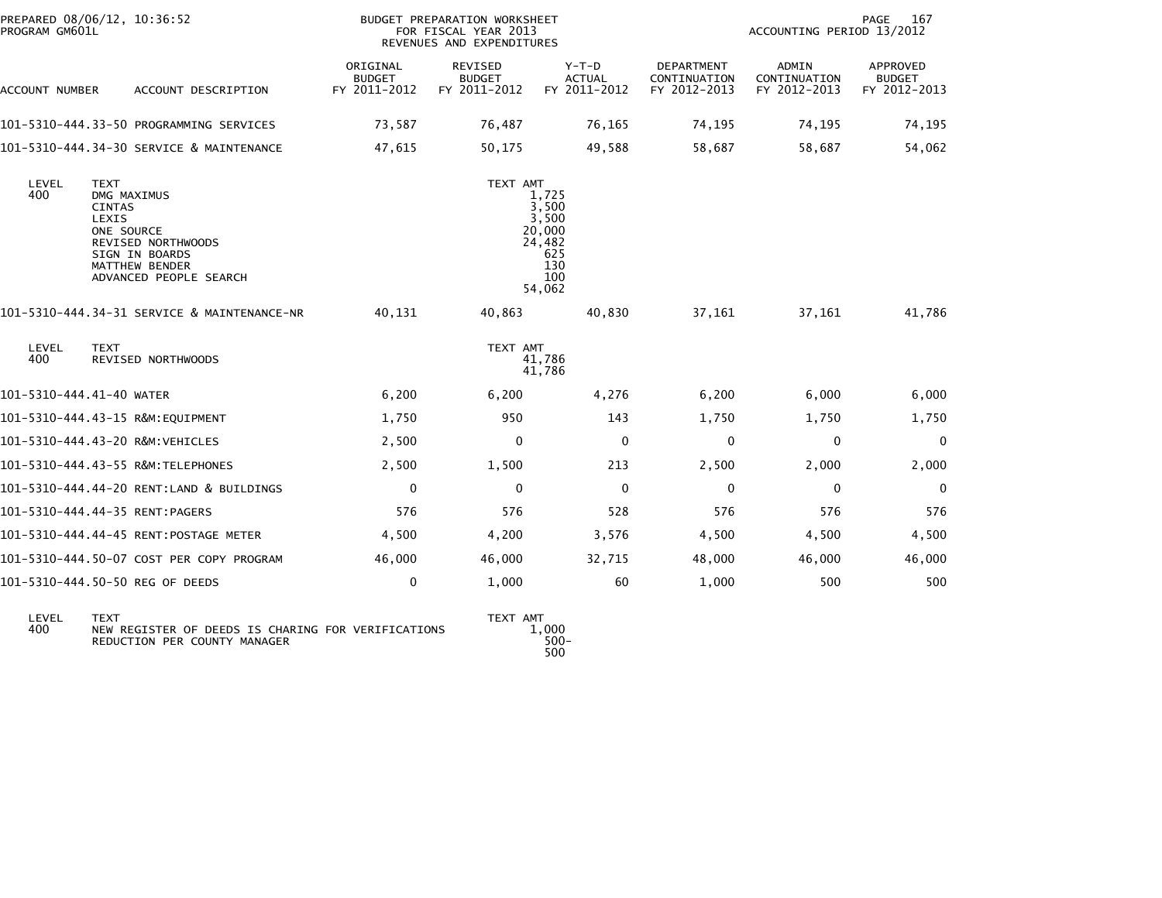| PREPARED 08/06/12, 10:36:52<br>PROGRAM GM601L |                                                                                                                                                        |                                           | BUDGET PREPARATION WORKSHEET<br>FOR FISCAL YEAR 2013<br>REVENUES AND EXPENDITURES |                                                                            | 167<br>PAGE<br>ACCOUNTING PERIOD 13/2012   |                                       |                                           |  |
|-----------------------------------------------|--------------------------------------------------------------------------------------------------------------------------------------------------------|-------------------------------------------|-----------------------------------------------------------------------------------|----------------------------------------------------------------------------|--------------------------------------------|---------------------------------------|-------------------------------------------|--|
| ACCOUNT NUMBER                                | ACCOUNT DESCRIPTION                                                                                                                                    | ORIGINAL<br><b>BUDGET</b><br>FY 2011-2012 | REVISED<br><b>BUDGET</b><br>FY 2011-2012                                          | $Y-T-D$<br><b>ACTUAL</b><br>FY 2011-2012                                   | DEPARTMENT<br>CONTINUATION<br>FY 2012-2013 | ADMIN<br>CONTINUATION<br>FY 2012-2013 | APPROVED<br><b>BUDGET</b><br>FY 2012-2013 |  |
|                                               | 101-5310-444.33-50 PROGRAMMING SERVICES                                                                                                                | 73,587                                    | 76,487                                                                            | 76,165                                                                     | 74,195                                     | 74,195                                | 74,195                                    |  |
|                                               | 101-5310-444.34-30 SERVICE & MAINTENANCE                                                                                                               | 47,615                                    | 50,175                                                                            | 49,588                                                                     | 58,687                                     | 58,687                                | 54,062                                    |  |
| LEVEL<br>400                                  | <b>TEXT</b><br>DMG MAXIMUS<br><b>CINTAS</b><br>LEXIS<br>ONE SOURCE<br>REVISED NORTHWOODS<br>SIGN IN BOARDS<br>MATTHEW BENDER<br>ADVANCED PEOPLE SEARCH |                                           | TEXT AMT                                                                          | 1,725<br>3,500<br>3,500<br>20,000<br>24,482<br>625<br>130<br>100<br>54,062 |                                            |                                       |                                           |  |
|                                               | 101-5310-444.34-31 SERVICE & MAINTENANCE-NR                                                                                                            | 40,131                                    | 40,863                                                                            | 40.830                                                                     | 37,161                                     | 37,161                                | 41,786                                    |  |
| LEVEL<br>400                                  | <b>TEXT</b><br><b>REVISED NORTHWOODS</b>                                                                                                               |                                           | TEXT AMT<br>41,786<br>41,786                                                      |                                                                            |                                            |                                       |                                           |  |
| 101-5310-444.41-40 WATER                      |                                                                                                                                                        | 6,200                                     | 6,200                                                                             | 4,276                                                                      | 6,200                                      | 6,000                                 | 6,000                                     |  |
|                                               | 101-5310-444.43-15 R&M:EQUIPMENT                                                                                                                       | 1,750                                     | 950                                                                               | 143                                                                        | 1,750                                      | 1,750                                 | 1,750                                     |  |
|                                               | 101-5310-444.43-20 R&M:VEHICLES                                                                                                                        | 2,500                                     | 0                                                                                 | $\mathbf{0}$                                                               | 0                                          | $\mathbf{0}$                          | 0                                         |  |
|                                               | 101-5310-444.43-55 R&M:TELEPHONES                                                                                                                      | 2,500                                     | 1,500                                                                             | 213                                                                        | 2,500                                      | 2,000                                 | 2,000                                     |  |
|                                               | 101-5310-444.44-20 RENT:LAND & BUILDINGS                                                                                                               | $\mathbf 0$                               | $\mathbf{0}$                                                                      | $\mathbf{0}$                                                               | $\mathbf{0}$                               | $\mathbf{0}$                          | $\mathbf 0$                               |  |
|                                               | 101-5310-444.44-35 RENT:PAGERS                                                                                                                         | 576                                       | 576                                                                               | 528                                                                        | 576                                        | 576                                   | 576                                       |  |
|                                               | 101-5310-444.44-45 RENT:POSTAGE METER                                                                                                                  | 4,500                                     | 4,200                                                                             | 3,576                                                                      | 4,500                                      | 4,500                                 | 4,500                                     |  |
|                                               | 101-5310-444.50-07 COST PER COPY PROGRAM                                                                                                               | 46,000                                    | 46,000                                                                            | 32,715                                                                     | 48,000                                     | 46,000                                | 46,000                                    |  |
|                                               | 101–5310–444.50–50 REG OF DEEDS                                                                                                                        | 0                                         | 1,000                                                                             | 60                                                                         | 1,000                                      | 500                                   | 500                                       |  |
| LEVEL                                         | <b>TEXT</b>                                                                                                                                            |                                           | TEXT AMT                                                                          |                                                                            |                                            |                                       |                                           |  |

400 NEW REGISTER OF DEEDS IS CHARING FOR VERIFICATIONS REDUCTION PER COUNTY MANAGER

500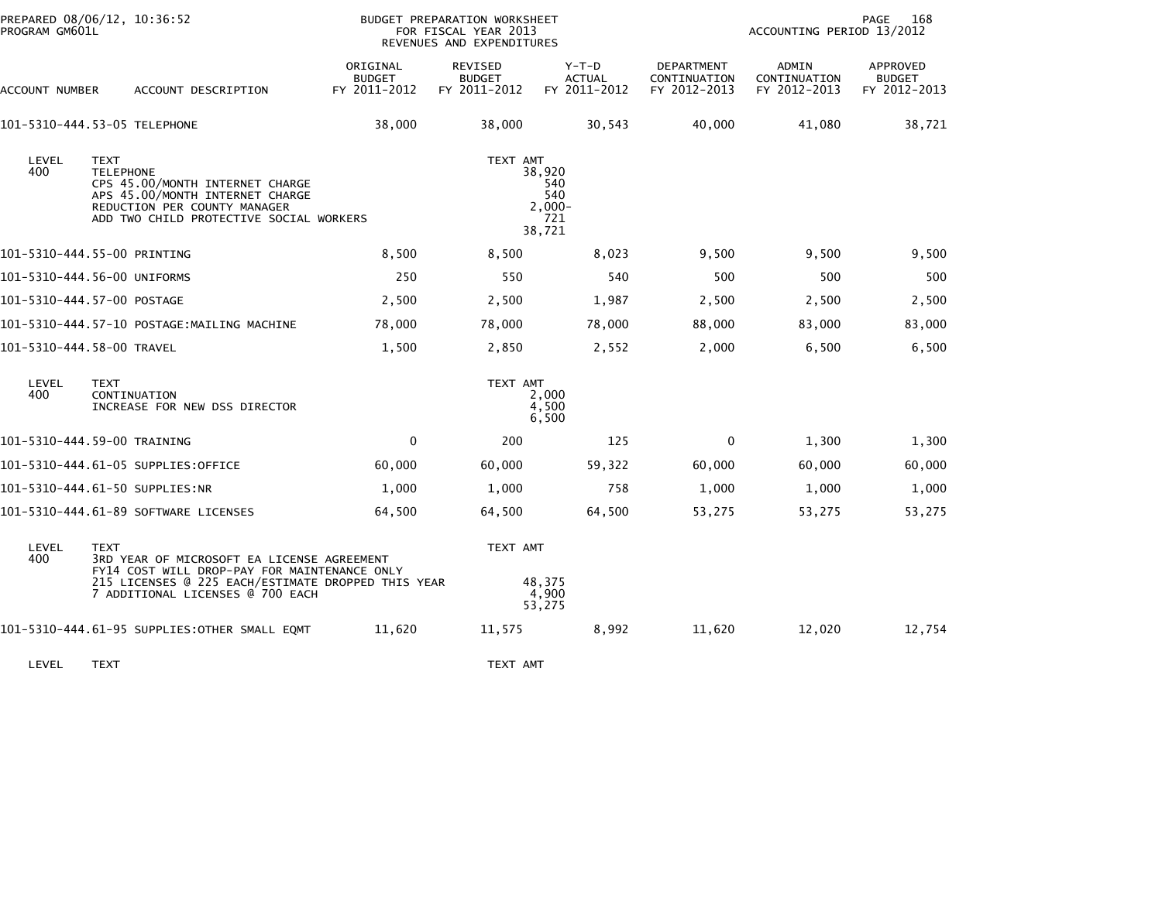| PROGRAM GM601L | PREPARED 08/06/12, 10:36:52                                                                                                                                                                         |                                           | BUDGET PREPARATION WORKSHEET<br>FOR FISCAL YEAR 2013<br>REVENUES AND EXPENDITURES |                                                    | 168<br>PAGE<br>ACCOUNTING PERIOD 13/2012   |                                       |                                           |  |
|----------------|-----------------------------------------------------------------------------------------------------------------------------------------------------------------------------------------------------|-------------------------------------------|-----------------------------------------------------------------------------------|----------------------------------------------------|--------------------------------------------|---------------------------------------|-------------------------------------------|--|
| ACCOUNT NUMBER | ACCOUNT DESCRIPTION                                                                                                                                                                                 | ORIGINAL<br><b>BUDGET</b><br>FY 2011-2012 | REVISED<br><b>BUDGET</b><br>FY 2011-2012                                          | $Y-T-D$<br><b>ACTUAL</b><br>FY 2011-2012           | DEPARTMENT<br>CONTINUATION<br>FY 2012-2013 | ADMIN<br>CONTINUATION<br>FY 2012-2013 | APPROVED<br><b>BUDGET</b><br>FY 2012-2013 |  |
|                | 101-5310-444.53-05 TELEPHONE                                                                                                                                                                        | 38,000                                    | 38,000                                                                            | 30,543                                             | 40,000                                     | 41,080                                | 38,721                                    |  |
| LEVEL<br>400   | <b>TEXT</b><br><b>TELEPHONE</b><br>CPS 45.00/MONTH INTERNET CHARGE<br>APS 45.00/MONTH INTERNET CHARGE<br>REDUCTION PER COUNTY MANAGER<br>ADD TWO CHILD PROTECTIVE SOCIAL WORKERS                    |                                           | TEXT AMT                                                                          | 38,920<br>540<br>540<br>$2.000 -$<br>721<br>38,721 |                                            |                                       |                                           |  |
|                | 101-5310-444.55-00 PRINTING                                                                                                                                                                         | 8,500                                     | 8,500                                                                             | 8,023                                              | 9,500                                      | 9,500                                 | 9,500                                     |  |
|                | 101-5310-444.56-00 UNIFORMS                                                                                                                                                                         | 250                                       | 550                                                                               | 540                                                | 500                                        | 500                                   | 500                                       |  |
|                | 101-5310-444.57-00 POSTAGE                                                                                                                                                                          | 2,500                                     | 2,500                                                                             | 1,987                                              | 2,500                                      | 2,500                                 | 2,500                                     |  |
|                | 101-5310-444.57-10 POSTAGE:MAILING MACHINE                                                                                                                                                          | 78,000                                    | 78,000                                                                            | 78,000                                             | 88,000                                     | 83,000                                | 83,000                                    |  |
|                | 101-5310-444.58-00 TRAVEL                                                                                                                                                                           | 1,500                                     | 2,850                                                                             | 2,552                                              | 2,000                                      | 6,500                                 | 6,500                                     |  |
| LEVEL<br>400   | <b>TEXT</b><br>CONTINUATION<br>INCREASE FOR NEW DSS DIRECTOR                                                                                                                                        |                                           | TEXT AMT                                                                          | 2,000<br>4.500<br>6,500                            |                                            |                                       |                                           |  |
|                | 101-5310-444.59-00 TRAINING                                                                                                                                                                         | $\mathbf 0$                               | 200                                                                               | 125                                                | 0                                          | 1,300                                 | 1,300                                     |  |
|                | 101-5310-444.61-05 SUPPLIES:OFFICE                                                                                                                                                                  | 60,000                                    | 60,000                                                                            | 59,322                                             | 60,000                                     | 60,000                                | 60,000                                    |  |
|                | 101-5310-444.61-50 SUPPLIES:NR                                                                                                                                                                      | 1,000                                     | 1,000                                                                             | 758                                                | 1,000                                      | 1,000                                 | 1,000                                     |  |
|                | 101-5310-444.61-89 SOFTWARE LICENSES                                                                                                                                                                | 64,500                                    | 64,500                                                                            | 64,500                                             | 53,275                                     | 53,275                                | 53,275                                    |  |
| LEVEL<br>400   | <b>TEXT</b><br>3RD YEAR OF MICROSOFT EA LICENSE AGREEMENT<br>FY14 COST WILL DROP-PAY FOR MAINTENANCE ONLY<br>215 LICENSES @ 225 EACH/ESTIMATE DROPPED THIS YEAR<br>7 ADDITIONAL LICENSES @ 700 EACH |                                           | TEXT AMT                                                                          | 48,375<br>4,900<br>53,275                          |                                            |                                       |                                           |  |
|                | 101-5310-444.61-95 SUPPLIES:OTHER SMALL EQMT                                                                                                                                                        | 11,620                                    | 11,575                                                                            | 8,992                                              | 11,620                                     | 12,020                                | 12,754                                    |  |

LEVEL TEXT ANT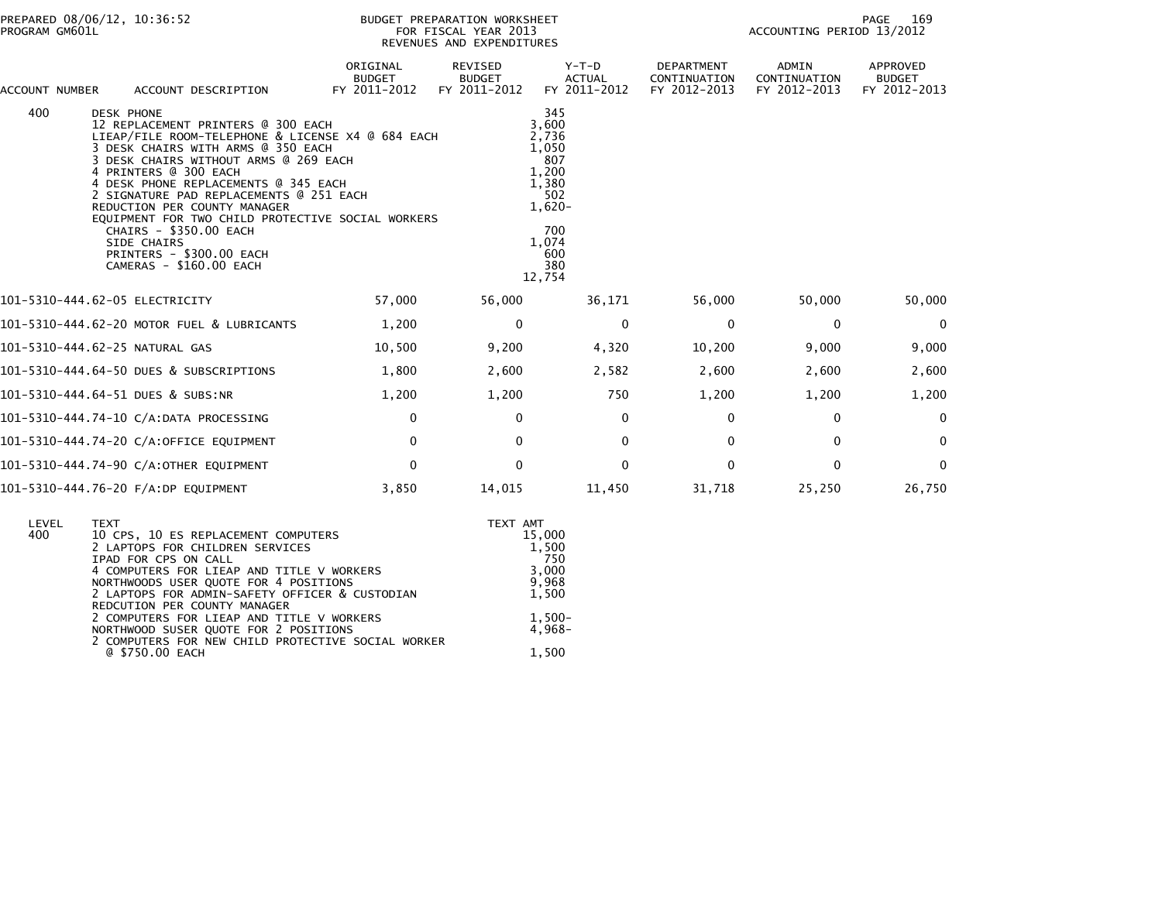| ACCOUNT NUMBER |                   | ACCOUNT DESCRIPTION                                                                                                                                                                                                                                                                                                                                                                                                                                                     | ORIGINAL<br><b>BUDGET</b><br>FY 2011-2012 | REVISED<br><b>BUDGET</b><br>FY 2011-2012 | Y-T-D<br><b>ACTUAL</b><br>FY 2011-2012                                                                             | DEPARTMENT<br>CONTINUATION<br>FY 2012-2013 | ADMIN<br>CONTINUATION<br>FY 2012-2013 | APPROVED<br><b>BUDGET</b><br>FY 2012-2013 |
|----------------|-------------------|-------------------------------------------------------------------------------------------------------------------------------------------------------------------------------------------------------------------------------------------------------------------------------------------------------------------------------------------------------------------------------------------------------------------------------------------------------------------------|-------------------------------------------|------------------------------------------|--------------------------------------------------------------------------------------------------------------------|--------------------------------------------|---------------------------------------|-------------------------------------------|
| 400            | <b>DESK PHONE</b> | 12 REPLACEMENT PRINTERS @ 300 EACH<br>LIEAP/FILE ROOM-TELEPHONE & LICENSE X4 @ 684 EACH<br>3 DESK CHAIRS WITH ARMS @ 350 EACH<br>3 DESK CHAIRS WITHOUT ARMS @ 269 EACH<br>4 PRINTERS @ 300 EACH<br>4 DESK PHONE REPLACEMENTS @ 345 EACH<br>2 SIGNATURE PAD REPLACEMENTS @ 251 EACH<br>REDUCTION PER COUNTY MANAGER<br>EOUIPMENT FOR TWO CHILD PROTECTIVE SOCIAL WORKERS<br>CHAIRS - \$350.00 EACH<br>SIDE CHAIRS<br>PRINTERS - \$300.00 EACH<br>CAMERAS - \$160.00 EACH |                                           |                                          | 345<br>3,600<br>2,736<br>1,050<br>807<br>1,200<br>1,380<br>502<br>$1,620-$<br>700<br>1,074<br>600<br>380<br>12,754 |                                            |                                       |                                           |
|                |                   | 101-5310-444.62-05 ELECTRICITY                                                                                                                                                                                                                                                                                                                                                                                                                                          | 57,000                                    | 56,000                                   | 36,171                                                                                                             | 56,000                                     | 50,000                                | 50,000                                    |
|                |                   | 101-5310-444.62-20 MOTOR FUEL & LUBRICANTS                                                                                                                                                                                                                                                                                                                                                                                                                              | 1,200                                     | $\Omega$                                 | $\Omega$                                                                                                           | $\mathbf{0}$                               | $\mathbf{0}$                          | $\Omega$                                  |
|                |                   | 101-5310-444.62-25 NATURAL GAS                                                                                                                                                                                                                                                                                                                                                                                                                                          | 10,500                                    | 9,200                                    | 4,320                                                                                                              | 10,200                                     | 9,000                                 | 9,000                                     |
|                |                   | 101-5310-444.64-50 DUES & SUBSCRIPTIONS                                                                                                                                                                                                                                                                                                                                                                                                                                 | 1,800                                     | 2,600                                    | 2,582                                                                                                              | 2,600                                      | 2,600                                 | 2,600                                     |
|                |                   | 101-5310-444.64-51 DUES & SUBS:NR                                                                                                                                                                                                                                                                                                                                                                                                                                       | 1,200                                     | 1,200                                    | 750                                                                                                                | 1,200                                      | 1,200                                 | 1,200                                     |
|                |                   | 101-5310-444.74-10 C/A:DATA PROCESSING                                                                                                                                                                                                                                                                                                                                                                                                                                  | 0                                         | $\Omega$                                 | $\mathbf{0}$                                                                                                       | $\Omega$                                   | $\mathbf{0}$                          | $\mathbf{0}$                              |
|                |                   | 101-5310-444.74-20 C/A:OFFICE EQUIPMENT                                                                                                                                                                                                                                                                                                                                                                                                                                 | $\mathbf 0$                               | 0                                        | $\Omega$                                                                                                           | $\Omega$                                   | $\mathbf{0}$                          | $\Omega$                                  |
|                |                   | 101-5310-444.74-90 C/A:OTHER EQUIPMENT                                                                                                                                                                                                                                                                                                                                                                                                                                  | $\mathbf 0$                               | 0                                        | $\mathbf{0}$                                                                                                       | 0                                          | $\mathbf{0}$                          | $\mathbf 0$                               |
|                |                   | 101-5310-444.76-20 F/A:DP EQUIPMENT                                                                                                                                                                                                                                                                                                                                                                                                                                     | 3,850                                     | 14,015                                   | 11,450                                                                                                             | 31,718                                     | 25,250                                | 26,750                                    |

| LEVEL | <b>TEXT</b>                                        | TEXT AMT  |
|-------|----------------------------------------------------|-----------|
| 400   | 10 CPS, 10 ES REPLACEMENT COMPUTERS                | 15,000    |
|       | 2 LAPTOPS FOR CHILDREN SERVICES                    | 1,500     |
|       | IPAD FOR CPS ON CALL                               | 750       |
|       | 4 COMPUTERS FOR LIEAP AND TITLE V WORKERS          | 3,000     |
|       | NORTHWOODS USER QUOTE FOR 4 POSITIONS              | 9,968     |
|       | 2 LAPTOPS FOR ADMIN-SAFETY OFFICER & CUSTODIAN     | 1,500     |
|       | REDCUTION PER COUNTY MANAGER                       |           |
|       | 2 COMPUTERS FOR LIEAP AND TITLE V WORKERS          | $1,500-$  |
|       | NORTHWOOD SUSER QUOTE FOR 2 POSITIONS              | $4.968 -$ |
|       | 2 COMPUTERS FOR NEW CHILD PROTECTIVE SOCIAL WORKER |           |
|       | @ \$750.00 EACH                                    | 1.500     |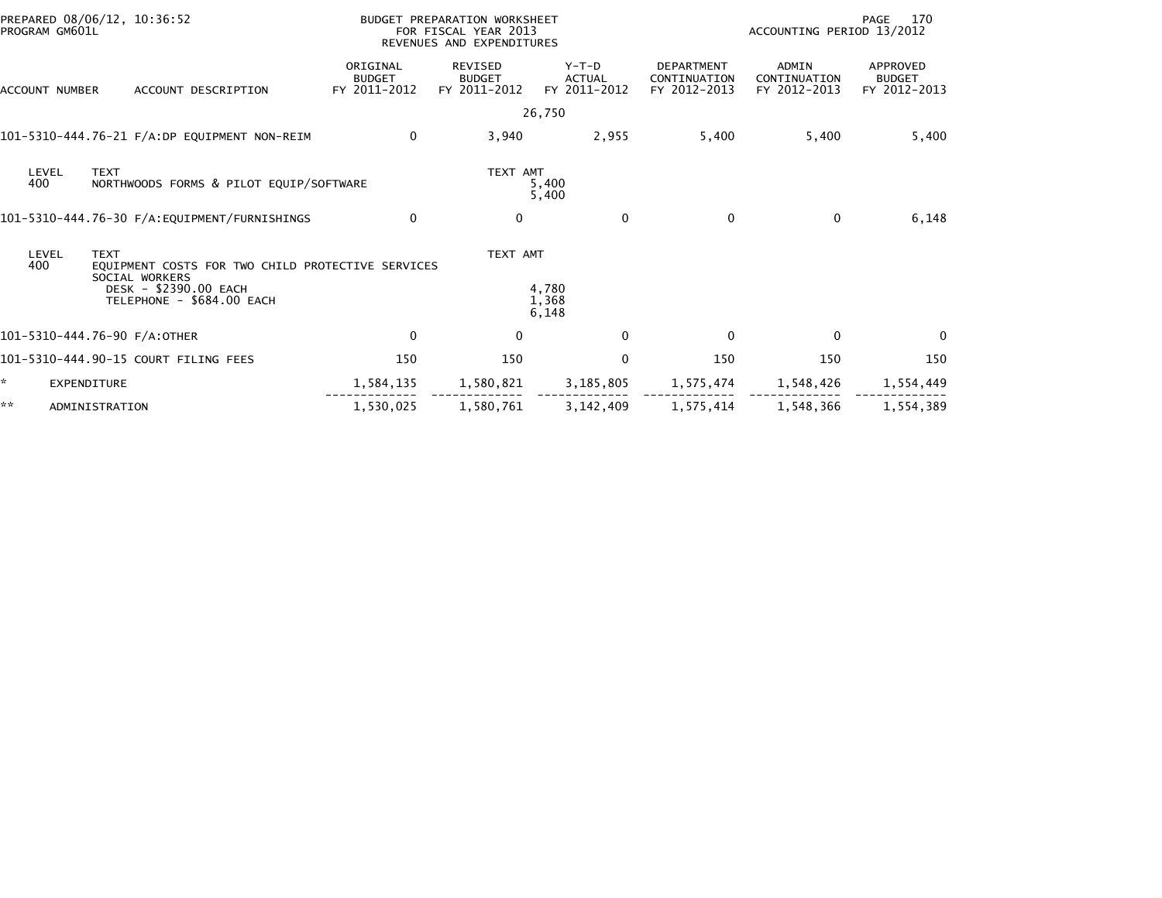| PREPARED 08/06/12, 10:36:52<br>PROGRAM GM601L |                                                    |                                           | BUDGET PREPARATION WORKSHEET<br>FOR FISCAL YEAR 2013<br>REVENUES AND EXPENDITURES |                                        | 170<br>PAGE<br>ACCOUNTING PERIOD 13/2012          |                                       |                                           |  |
|-----------------------------------------------|----------------------------------------------------|-------------------------------------------|-----------------------------------------------------------------------------------|----------------------------------------|---------------------------------------------------|---------------------------------------|-------------------------------------------|--|
| ACCOUNT NUMBER                                | ACCOUNT DESCRIPTION                                | ORIGINAL<br><b>BUDGET</b><br>FY 2011-2012 | REVISED<br><b>BUDGET</b><br>FY 2011-2012                                          | Y-T-D<br><b>ACTUAL</b><br>FY 2011-2012 | <b>DEPARTMENT</b><br>CONTINUATION<br>FY 2012-2013 | ADMIN<br>CONTINUATION<br>FY 2012-2013 | APPROVED<br><b>BUDGET</b><br>FY 2012-2013 |  |
|                                               |                                                    |                                           |                                                                                   | 26,750                                 |                                                   |                                       |                                           |  |
| 101-5310-444.76-21 F/A:DP EQUIPMENT NON-REIM  |                                                    | $\mathbf 0$                               | 3,940                                                                             | 2,955                                  | 5,400                                             | 5,400                                 | 5,400                                     |  |
| <b>TEXT</b><br>LEVEL<br>400                   | NORTHWOODS FORMS & PILOT EQUIP/SOFTWARE            |                                           | TEXT AMT                                                                          | 5,400<br>5,400                         |                                                   |                                       |                                           |  |
|                                               |                                                    | 0                                         | $\mathbf{0}$                                                                      | $\mathbf{0}$                           | $\Omega$                                          | $\mathbf{0}$                          | 6,148                                     |  |
| <b>TEXT</b><br>LEVEL<br>400<br>SOCIAL WORKERS | EQUIPMENT COSTS FOR TWO CHILD PROTECTIVE SERVICES  |                                           | TEXT AMT                                                                          |                                        |                                                   |                                       |                                           |  |
|                                               | DESK - \$2390.00 EACH<br>TELEPHONE - \$684.00 EACH |                                           |                                                                                   | 4,780<br>1,368<br>6,148                |                                                   |                                       |                                           |  |
| 101-5310-444.76-90 F/A:OTHER                  |                                                    | $\mathbf 0$                               | 0                                                                                 | $\mathbf{0}$                           | $\mathbf{0}$                                      | $\Omega$                              | $\Omega$                                  |  |
| 101-5310-444.90-15 COURT FILING FEES          |                                                    | 150                                       | 150                                                                               | $\mathbf{0}$                           | 150                                               | 150                                   | 150                                       |  |
| *.<br><b>EXPENDITURE</b>                      |                                                    | 1,584,135                                 | 1,580,821                                                                         | 3,185,805                              | 1,575,474                                         | 1,548,426                             | 1,554,449                                 |  |
| **<br>ADMINISTRATION                          |                                                    | 1,530,025                                 | 1,580,761                                                                         | 3, 142, 409                            | 1,575,414                                         | 1,548,366                             | 1,554,389                                 |  |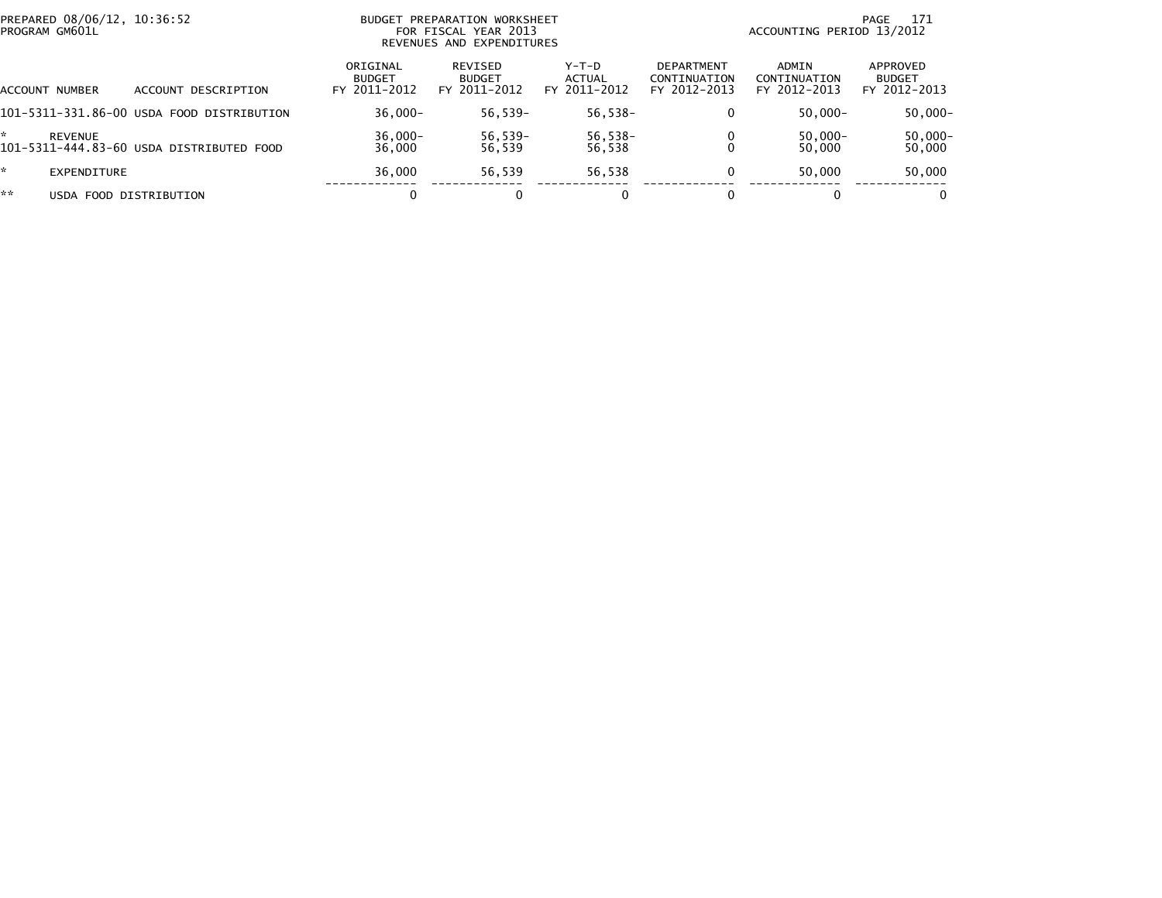| PROGRAM GM601L               | PREPARED 08/06/12, 10:36:52<br>BUDGET PREPARATION WORKSHEET<br>FOR FISCAL YEAR 2013<br>REVENUES AND EXPENDITURES |                                           |                                          |                                 |                                                   | 171<br>PAGE<br>ACCOUNTING PERIOD 13/2012 |                                           |  |  |
|------------------------------|------------------------------------------------------------------------------------------------------------------|-------------------------------------------|------------------------------------------|---------------------------------|---------------------------------------------------|------------------------------------------|-------------------------------------------|--|--|
| ACCOUNT NUMBER               | DESCRIPTION<br>ACCOUNT                                                                                           | ORIGINAL<br><b>BUDGET</b><br>FY 2011-2012 | REVISED<br><b>BUDGET</b><br>FY 2011-2012 | Y-T-D<br>ACTUAL<br>FY 2011-2012 | <b>DEPARTMENT</b><br>CONTINUATION<br>FY 2012-2013 | ADMIN<br>CONTINUATION<br>FY 2012-2013    | APPROVED<br><b>BUDGET</b><br>FY 2012-2013 |  |  |
|                              | 101-5311-331.86-00 USDA FOOD DISTRIBUTION                                                                        | $36.000 -$                                | 56,539-                                  | 56,538-                         | 0                                                 | $50.000 -$                               | $50,000 -$                                |  |  |
| <b>REVENUE</b>               | 101-5311-444.83-60 USDA DISTRIBUTED FOOD                                                                         | 36,000-<br>36,000                         | $56,539-$<br>56.539                      | 56,538-<br>56,538               |                                                   | $50,000 -$<br>50,000                     | 50,000-<br>50,000                         |  |  |
| EXPENDITURE                  |                                                                                                                  | 36.000                                    | 56.539                                   | 56,538                          | 0                                                 | 50.000                                   | 50,000                                    |  |  |
| **<br>USDA FOOD DISTRIBUTION |                                                                                                                  |                                           |                                          | 0                               | 0                                                 |                                          | 0                                         |  |  |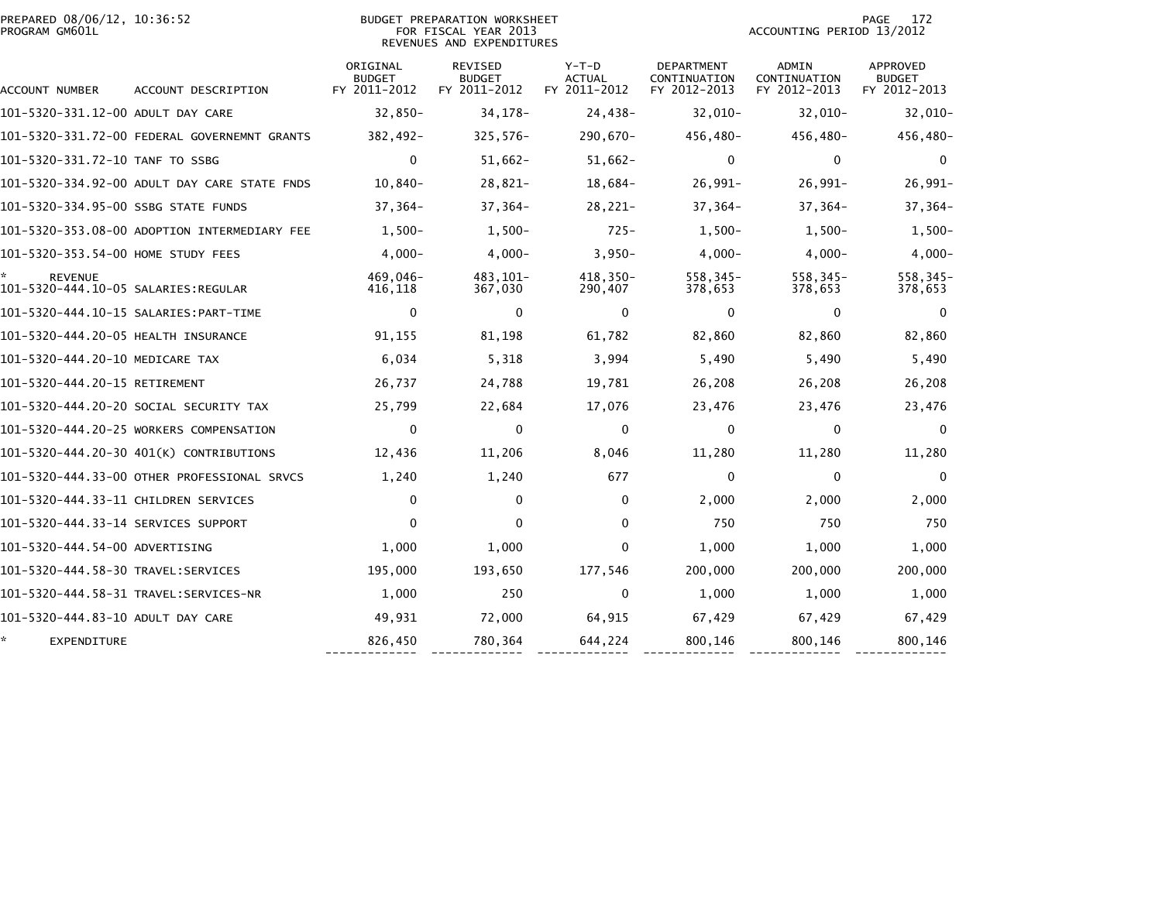| PREPARED 08/06/12, 10:36:52<br>PROGRAM GM601L |                                              |                                           | <b>BUDGET PREPARATION WORKSHEET</b><br>FOR FISCAL YEAR 2013<br>REVENUES AND EXPENDITURES | 172<br>PAGE<br>ACCOUNTING PERIOD 13/2012 |                                                   |                                       |                                           |
|-----------------------------------------------|----------------------------------------------|-------------------------------------------|------------------------------------------------------------------------------------------|------------------------------------------|---------------------------------------------------|---------------------------------------|-------------------------------------------|
| ACCOUNT NUMBER                                | ACCOUNT DESCRIPTION                          | ORIGINAL<br><b>BUDGET</b><br>FY 2011-2012 | <b>REVISED</b><br><b>BUDGET</b><br>FY 2011-2012                                          | $Y-T-D$<br><b>ACTUAL</b><br>FY 2011-2012 | <b>DEPARTMENT</b><br>CONTINUATION<br>FY 2012-2013 | ADMIN<br>CONTINUATION<br>FY 2012-2013 | APPROVED<br><b>BUDGET</b><br>FY 2012-2013 |
| 101-5320-331.12-00 ADULT DAY CARE             |                                              | $32,850-$                                 | 34, 178-                                                                                 | 24,438-                                  | $32,010-$                                         | $32,010-$                             | $32,010-$                                 |
|                                               | 101-5320-331.72-00 FEDERAL GOVERNEMNT GRANTS | 382,492-                                  | $325,576-$                                                                               | 290,670-                                 | 456,480-                                          | 456,480-                              | 456,480-                                  |
| 101-5320-331.72-10 TANF TO SSBG               |                                              | $\mathbf{0}$                              | $51,662 -$                                                                               | $51,662-$                                | $\mathbf{0}$                                      | $\Omega$                              | $\Omega$                                  |
|                                               | 101-5320-334.92-00 ADULT DAY CARE STATE FNDS | $10,840-$                                 | $28,821-$                                                                                | $18,684-$                                | $26,991-$                                         | $26,991-$                             | $26,991-$                                 |
| 101-5320-334.95-00 SSBG STATE FUNDS           |                                              | $37,364-$                                 | $37,364-$                                                                                | $28,221-$                                | $37,364-$                                         | 37,364-                               | $37,364-$                                 |
|                                               | 101-5320-353.08-00 ADOPTION INTERMEDIARY FEE | $1,500-$                                  | $1,500-$                                                                                 | $725 -$                                  | $1.500 -$                                         | $1.500 -$                             | $1,500-$                                  |
| 101-5320-353.54-00 HOME STUDY FEES            |                                              | $4,000-$                                  | $4,000-$                                                                                 | $3,950-$                                 | $4,000-$                                          | $4,000-$                              | $4,000-$                                  |
| <b>REVENUE</b>                                |                                              | 469,046-<br>416,118                       | 483, 101-<br>367,030                                                                     | $418,350-$<br>290,407                    | $558, 345 -$<br>378,653                           | 558,345-<br>378,653                   | 558, 345-<br>378,653                      |
|                                               |                                              | 0                                         | $\mathbf 0$                                                                              | 0                                        | 0                                                 | $\mathbf 0$                           | 0                                         |
| 101-5320-444.20-05 HEALTH INSURANCE           |                                              | 91,155                                    | 81,198                                                                                   | 61,782                                   | 82,860                                            | 82,860                                | 82,860                                    |
| 101-5320-444.20-10 MEDICARE TAX               |                                              | 6,034                                     | 5,318                                                                                    | 3,994                                    | 5,490                                             | 5,490                                 | 5,490                                     |
| 101-5320-444.20-15 RETIREMENT                 |                                              | 26,737                                    | 24,788                                                                                   | 19,781                                   | 26,208                                            | 26,208                                | 26,208                                    |
|                                               | 101-5320-444.20-20 SOCIAL SECURITY TAX       | 25,799                                    | 22,684                                                                                   | 17,076                                   | 23,476                                            | 23,476                                | 23,476                                    |
|                                               | 101-5320-444.20-25 WORKERS COMPENSATION      | $\mathbf{0}$                              | $\Omega$                                                                                 | $\mathbf{0}$                             | $\mathbf{0}$                                      | $\mathbf{0}$                          | $\Omega$                                  |
|                                               | 101-5320-444.20-30 401(K) CONTRIBUTIONS      | 12,436                                    | 11,206                                                                                   | 8,046                                    | 11,280                                            | 11,280                                | 11,280                                    |
|                                               | 101-5320-444.33-00 OTHER PROFESSIONAL SRVCS  | 1,240                                     | 1,240                                                                                    | 677                                      | 0                                                 | $\mathbf 0$                           | 0                                         |
| 101-5320-444.33-11 CHILDREN SERVICES          |                                              | $\mathbf{0}$                              | $\mathbf 0$                                                                              | $\mathbf{0}$                             | 2,000                                             | 2,000                                 | 2,000                                     |
| 101-5320-444.33-14 SERVICES SUPPORT           |                                              | $\mathbf{0}$                              | 0                                                                                        | $\Omega$                                 | 750                                               | 750                                   | 750                                       |
| 101-5320-444.54-00 ADVERTISING                |                                              | 1,000                                     | 1,000                                                                                    | $\Omega$                                 | 1,000                                             | 1,000                                 | 1,000                                     |
|                                               |                                              | 195,000                                   | 193,650                                                                                  | 177,546                                  | 200,000                                           | 200,000                               | 200,000                                   |
|                                               |                                              | 1,000                                     | 250                                                                                      | $\mathbf{0}$                             | 1,000                                             | 1,000                                 | 1,000                                     |
| 101-5320-444.83-10 ADULT DAY CARE             |                                              | 49,931                                    | 72,000                                                                                   | 64,915                                   | 67,429                                            | 67,429                                | 67,429                                    |
| ÷.<br><b>EXPENDITURE</b>                      |                                              | 826,450                                   | 780,364                                                                                  | 644,224                                  | 800,146                                           | 800,146                               | 800,146                                   |
|                                               |                                              |                                           |                                                                                          |                                          |                                                   |                                       |                                           |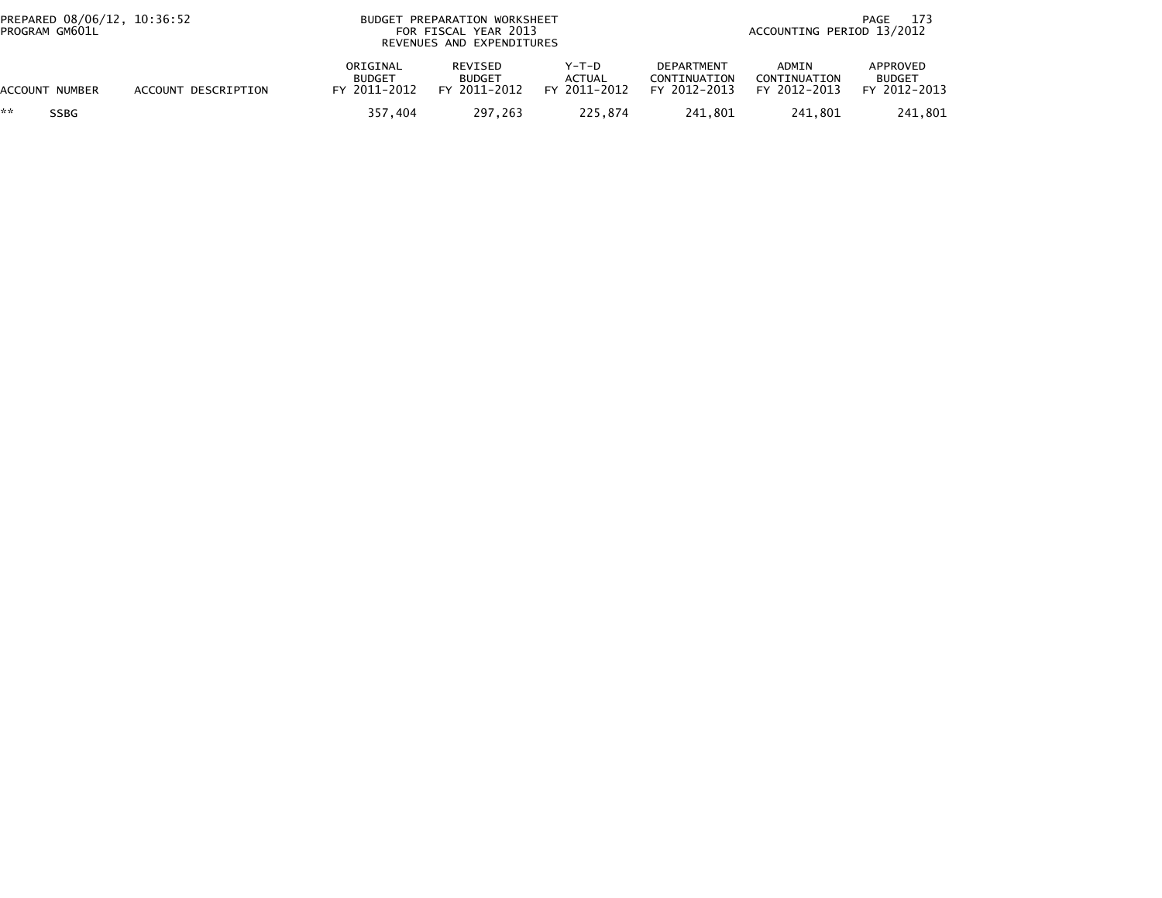| PREPARED 08/06/12, 10:36:52<br>PROGRAM GM601L |                     | BUDGET PREPARATION WORKSHEET<br>FOR FISCAL YEAR 2013<br>REVENUES AND EXPENDITURES |                                          |                                   | 173<br>PAGE<br>ACCOUNTING PERIOD 13/2012   |                                       |                                           |
|-----------------------------------------------|---------------------|-----------------------------------------------------------------------------------|------------------------------------------|-----------------------------------|--------------------------------------------|---------------------------------------|-------------------------------------------|
| ACCOUNT NUMBER                                | ACCOUNT DESCRIPTION | ORIGINAL<br><b>BUDGET</b><br>FY 2011-2012                                         | REVISED<br><b>BUDGET</b><br>FY 2011-2012 | $Y-T-D$<br>ACTUAL<br>FY 2011-2012 | DEPARTMENT<br>CONTINUATION<br>FY 2012-2013 | ADMIN<br>CONTINUATION<br>FY 2012-2013 | APPROVED<br><b>BUDGET</b><br>FY 2012-2013 |
| **<br><b>SSBG</b>                             |                     | 357.404                                                                           | 297.263                                  | 225,874                           | 241,801                                    | 241,801                               | 241,801                                   |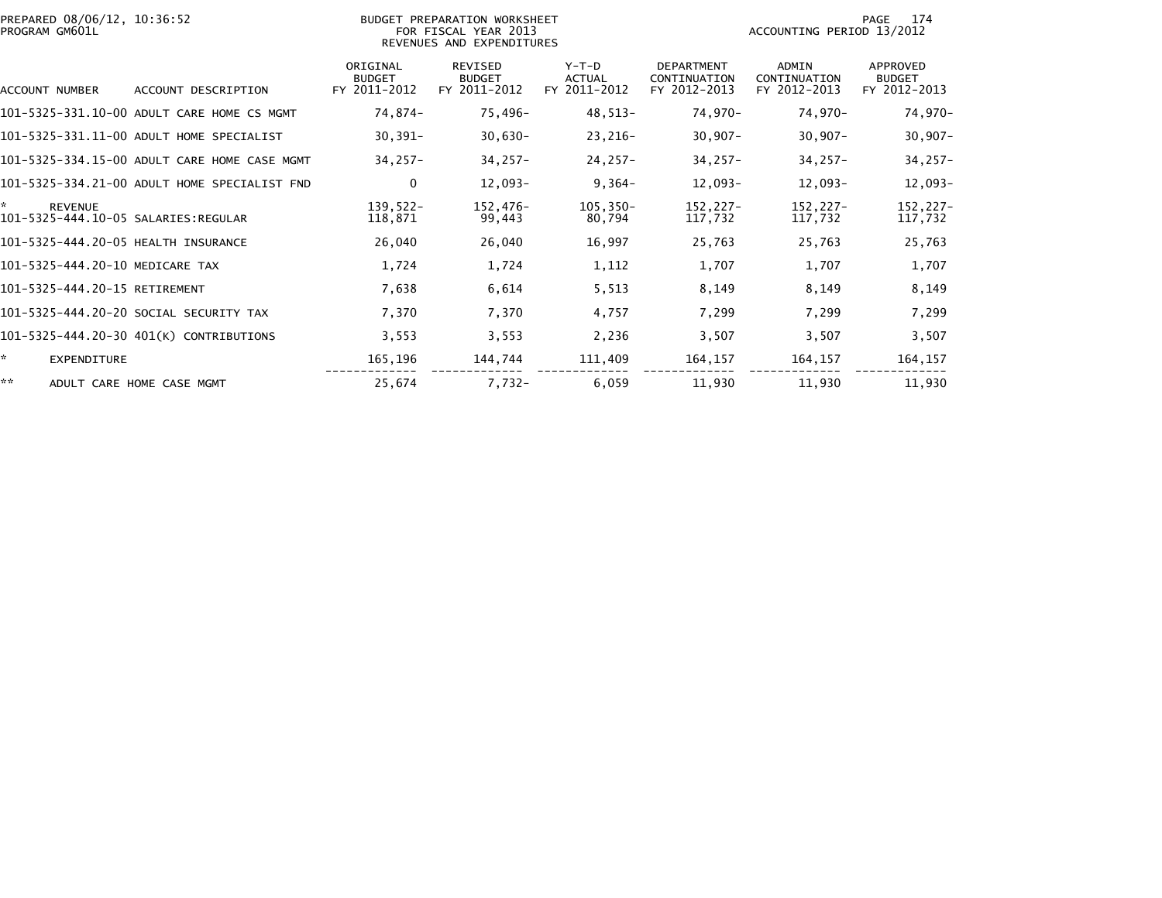| PREPARED 08/06/12, 10:36:52<br>PROGRAM GM601L |                                              |                                           | BUDGET PREPARATION WORKSHEET<br>FOR FISCAL YEAR 2013<br>REVENUES AND EXPENDITURES |                                          |                                                   | 174<br>PAGE<br>ACCOUNTING PERIOD 13/2012 |                                                  |  |
|-----------------------------------------------|----------------------------------------------|-------------------------------------------|-----------------------------------------------------------------------------------|------------------------------------------|---------------------------------------------------|------------------------------------------|--------------------------------------------------|--|
| ACCOUNT NUMBER                                | ACCOUNT DESCRIPTION                          | ORIGINAL<br><b>BUDGET</b><br>FY 2011-2012 | <b>REVISED</b><br><b>BUDGET</b><br>FY 2011-2012                                   | $Y-T-D$<br><b>ACTUAL</b><br>FY 2011-2012 | <b>DEPARTMENT</b><br>CONTINUATION<br>FY 2012-2013 | ADMIN<br>CONTINUATION<br>FY 2012-2013    | <b>APPROVED</b><br><b>BUDGET</b><br>FY 2012-2013 |  |
|                                               | 101-5325-331.10-00 ADULT CARE HOME CS MGMT   | 74,874-                                   | 75,496-                                                                           | 48,513-                                  | 74,970-                                           | 74,970-                                  | 74,970-                                          |  |
|                                               | 101-5325-331.11-00 ADULT HOME SPECIALIST     | $30,391 -$                                | $30,630-$                                                                         | $23,216-$                                | $30,907 -$                                        | $30,907 -$                               | $30,907 -$                                       |  |
|                                               | 101-5325-334.15-00 ADULT CARE HOME CASE MGMT | $34,257-$                                 | $34,257-$                                                                         | $24, 257 -$                              | $34,257-$                                         | $34,257-$                                | $34,257-$                                        |  |
|                                               | 101-5325-334.21-00 ADULT HOME SPECIALIST FND | 0                                         | 12,093-                                                                           | $9,364-$                                 | 12,093-                                           | 12,093-                                  | $12,093-$                                        |  |
| <b>REVENUE</b>                                |                                              | $139,522-$<br>118,871                     | 152,476-<br>99,443                                                                | $105, 350 -$<br>80,794                   | $152, 227 -$<br>117,732                           | 152,227-<br>117,732                      | 152,227-<br>117,732                              |  |
| 101-5325-444.20-05 HEALTH INSURANCE           |                                              | 26,040                                    | 26,040                                                                            | 16,997                                   | 25,763                                            | 25,763                                   | 25,763                                           |  |
| 101-5325-444.20-10 MEDICARE TAX               |                                              | 1,724                                     | 1,724                                                                             | 1,112                                    | 1,707                                             | 1,707                                    | 1,707                                            |  |
| 101-5325-444.20-15 RETIREMENT                 |                                              | 7,638                                     | 6,614                                                                             | 5,513                                    | 8,149                                             | 8,149                                    | 8,149                                            |  |
|                                               | 101-5325-444.20-20 SOCIAL SECURITY TAX       | 7,370                                     | 7,370                                                                             | 4,757                                    | 7,299                                             | 7,299                                    | 7,299                                            |  |
|                                               | 101-5325-444.20-30 401(K) CONTRIBUTIONS      | 3,553                                     | 3,553                                                                             | 2,236                                    | 3,507                                             | 3,507                                    | 3,507                                            |  |
| *.<br><b>EXPENDITURE</b>                      |                                              | 165,196                                   | 144,744                                                                           | 111,409                                  | 164,157                                           | 164,157                                  | 164,157                                          |  |
| **                                            | ADULT CARE HOME CASE MGMT                    | 25,674                                    | 7,732-                                                                            | 6,059                                    | 11,930                                            | 11,930                                   | 11,930                                           |  |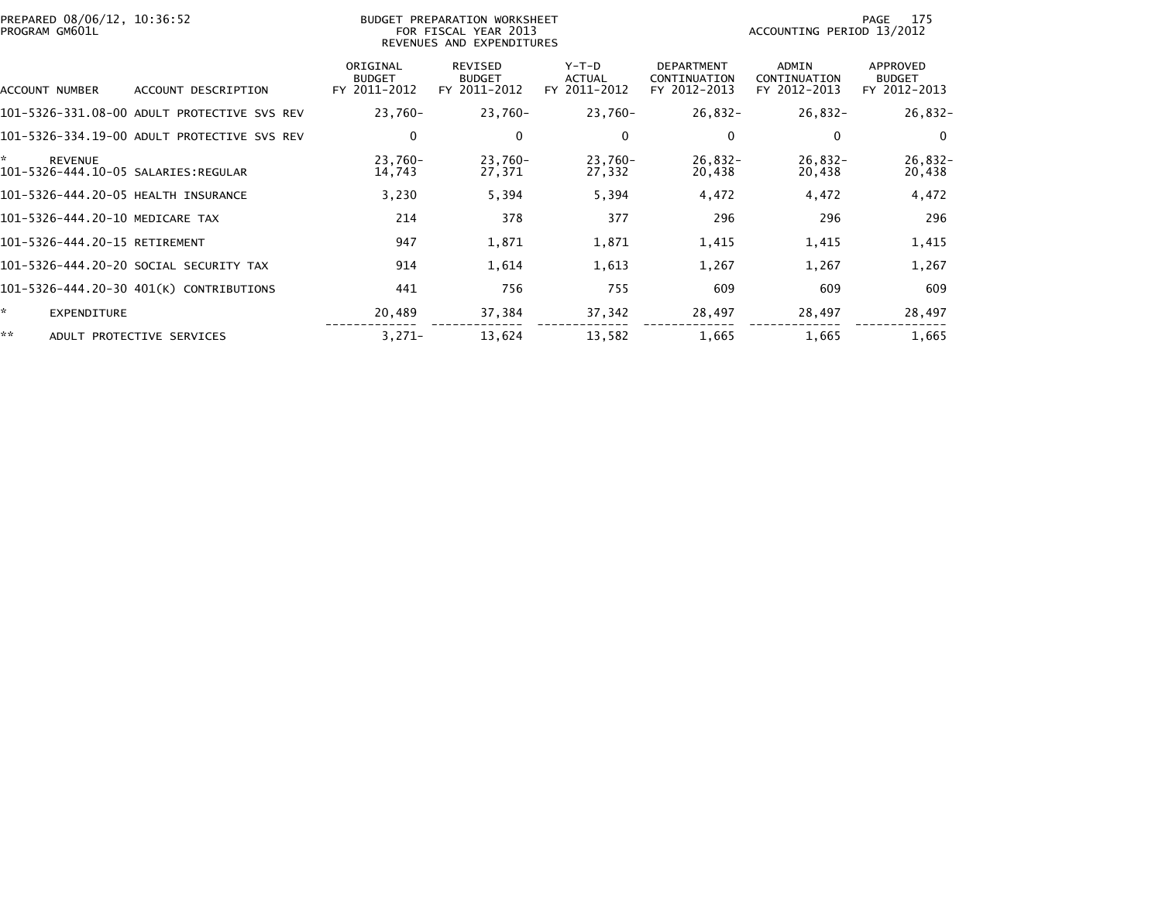| PREPARED 08/06/12, 10:36:52<br>PROGRAM GM601L |                                             | BUDGET PREPARATION WORKSHEET<br>FOR FISCAL YEAR 2013<br>REVENUES AND EXPENDITURES | 175<br>PAGE<br>ACCOUNTING PERIOD 13/2012 |                                          |                                                   |                                              |                                           |
|-----------------------------------------------|---------------------------------------------|-----------------------------------------------------------------------------------|------------------------------------------|------------------------------------------|---------------------------------------------------|----------------------------------------------|-------------------------------------------|
| ACCOUNT NUMBER                                | ACCOUNT DESCRIPTION                         | ORIGINAL<br><b>BUDGET</b><br>FY 2011-2012                                         | REVISED<br><b>BUDGET</b><br>FY 2011-2012 | $Y-T-D$<br><b>ACTUAL</b><br>FY 2011-2012 | <b>DEPARTMENT</b><br>CONTINUATION<br>FY 2012-2013 | <b>ADMIN</b><br>CONTINUATION<br>FY 2012-2013 | APPROVED<br><b>BUDGET</b><br>FY 2012-2013 |
|                                               | 101-5326-331.08-00 ADULT PROTECTIVE SVS REV | 23,760-                                                                           | 23,760-                                  | 23,760-                                  | $26,832-$                                         | $26,832-$                                    | $26,832-$                                 |
|                                               | 101-5326-334.19-00 ADULT PROTECTIVE SVS REV | 0                                                                                 | 0                                        | $\mathbf{0}$                             | 0                                                 | 0                                            | $\Omega$                                  |
| ÷,<br><b>REVENUE</b>                          |                                             | 23.760-<br>14,743                                                                 | 23,760-<br>27,371                        | 23,760-<br>27,332                        | $26,832-$<br>20,438                               | $26,832-$<br>20,438                          | $26,832-$<br>20,438                       |
| 101-5326-444.20-05 HEALTH INSURANCE           |                                             | 3,230                                                                             | 5,394                                    | 5,394                                    | 4,472                                             | 4,472                                        | 4,472                                     |
| 101-5326-444.20-10 MEDICARE TAX               |                                             | 214                                                                               | 378                                      | 377                                      | 296                                               | 296                                          | 296                                       |
| 101-5326-444.20-15 RETIREMENT                 |                                             | 947                                                                               | 1,871                                    | 1,871                                    | 1,415                                             | 1,415                                        | 1,415                                     |
|                                               | 101-5326-444.20-20 SOCIAL SECURITY TAX      | 914                                                                               | 1,614                                    | 1,613                                    | 1,267                                             | 1,267                                        | 1,267                                     |
|                                               | 101-5326-444.20-30 401(K) CONTRIBUTIONS     | 441                                                                               | 756                                      | 755                                      | 609                                               | 609                                          | 609                                       |
| ÷.<br>EXPENDITURE                             |                                             | 20,489                                                                            | 37,384                                   | 37,342                                   | 28,497                                            | 28,497                                       | 28,497                                    |
| **                                            | ADULT PROTECTIVE SERVICES                   | $3,271-$                                                                          | 13,624                                   | 13,582                                   | 1,665                                             | 1,665                                        | 1,665                                     |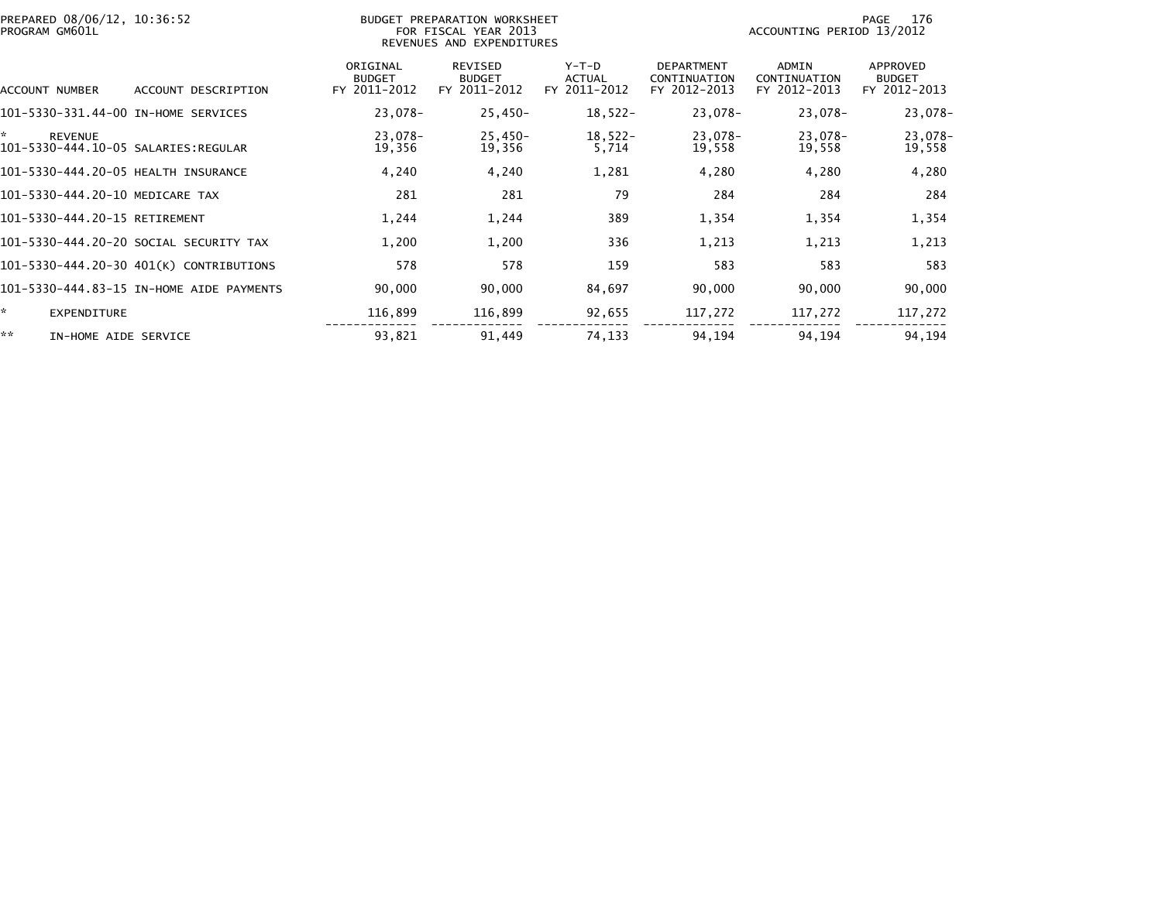| PREPARED 08/06/12, 10:36:52<br>PROGRAM GM601L               |                                          | BUDGET PREPARATION WORKSHEET<br>FOR FISCAL YEAR 2013<br>REVENUES AND EXPENDITURES | 176<br>PAGE<br>ACCOUNTING PERIOD 13/2012        |                                          |                                                   |                                              |                                           |
|-------------------------------------------------------------|------------------------------------------|-----------------------------------------------------------------------------------|-------------------------------------------------|------------------------------------------|---------------------------------------------------|----------------------------------------------|-------------------------------------------|
| ACCOUNT NUMBER                                              | ACCOUNT DESCRIPTION                      | ORIGINAL<br><b>BUDGET</b><br>FY 2011-2012                                         | <b>REVISED</b><br><b>BUDGET</b><br>FY 2011-2012 | $Y-T-D$<br><b>ACTUAL</b><br>FY 2011-2012 | <b>DEPARTMENT</b><br>CONTINUATION<br>FY 2012-2013 | <b>ADMIN</b><br>CONTINUATION<br>FY 2012-2013 | APPROVED<br><b>BUDGET</b><br>FY 2012-2013 |
| 101-5330-331.44-00 IN-HOME SERVICES                         |                                          | 23,078-                                                                           | $25,450-$                                       | $18,522-$                                | 23,078-                                           | 23,078-                                      | 23,078-                                   |
| ×.<br><b>REVENUE</b><br>101-5330-444.10-05 SALARIES:REGULAR |                                          | 23,078-<br>19,356                                                                 | $25,450-$<br>19,356                             | $18,522-$<br>5,714                       | 23,078-<br>19,558                                 | 23,078-<br>19,558                            | 23,078-<br>19,558                         |
| 101-5330-444.20-05 HEALTH INSURANCE                         |                                          | 4,240                                                                             | 4,240                                           | 1,281                                    | 4,280                                             | 4,280                                        | 4,280                                     |
| 101-5330-444.20-10 MEDICARE TAX                             |                                          | 281                                                                               | 281                                             | 79                                       | 284                                               | 284                                          | 284                                       |
| 101-5330-444.20-15 RETIREMENT                               |                                          | 1,244                                                                             | 1,244                                           | 389                                      | 1,354                                             | 1,354                                        | 1,354                                     |
|                                                             | 101-5330-444.20-20 SOCIAL SECURITY TAX   | 1,200                                                                             | 1,200                                           | 336                                      | 1,213                                             | 1,213                                        | 1,213                                     |
|                                                             | 101-5330-444.20-30 401(K) CONTRIBUTIONS  | 578                                                                               | 578                                             | 159                                      | 583                                               | 583                                          | 583                                       |
|                                                             | 101-5330-444.83-15 IN-HOME AIDE PAYMENTS | 90,000                                                                            | 90,000                                          | 84,697                                   | 90,000                                            | 90,000                                       | 90,000                                    |
| ÷.<br><b>EXPENDITURE</b>                                    |                                          | 116,899                                                                           | 116,899                                         | 92,655                                   | 117,272                                           | 117,272                                      | 117,272                                   |
| **<br>IN-HOME AIDE SERVICE                                  |                                          | 93,821                                                                            | 91,449                                          | 74,133                                   | 94,194                                            | 94,194                                       | 94,194                                    |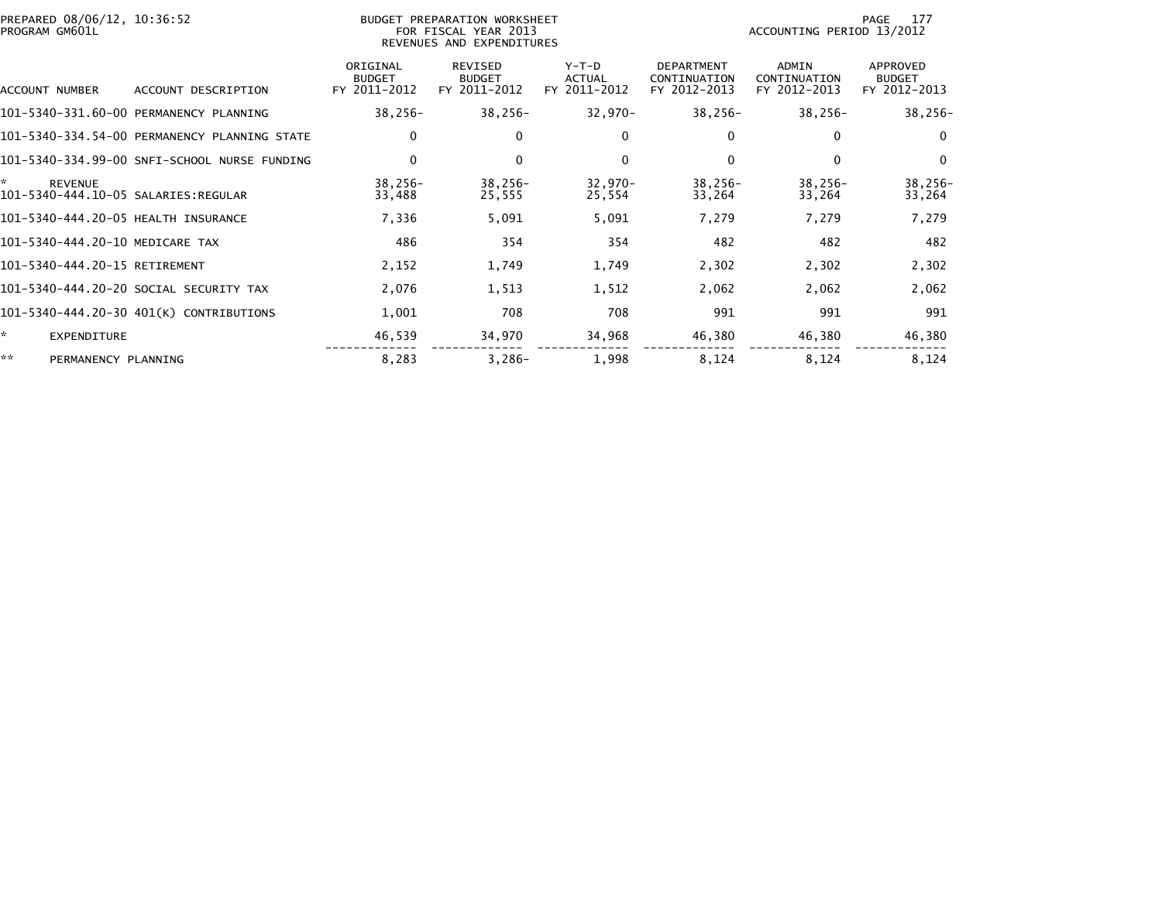| PROGRAM GM601L                      | PREPARED 08/06/12, 10:36:52<br>BUDGET PREPARATION WORKSHEET<br>FOR FISCAL YEAR 2013<br>REVENUES AND EXPENDITURES |                                           |                                                 |                                          |                                                   | 177<br>PAGE<br>ACCOUNTING PERIOD 13/2012     |                                           |  |
|-------------------------------------|------------------------------------------------------------------------------------------------------------------|-------------------------------------------|-------------------------------------------------|------------------------------------------|---------------------------------------------------|----------------------------------------------|-------------------------------------------|--|
| ACCOUNT NUMBER                      | ACCOUNT DESCRIPTION                                                                                              | ORIGINAL<br><b>BUDGET</b><br>FY 2011-2012 | <b>REVISED</b><br><b>BUDGET</b><br>FY 2011-2012 | $Y-T-D$<br><b>ACTUAL</b><br>FY 2011-2012 | <b>DEPARTMENT</b><br>CONTINUATION<br>FY 2012-2013 | <b>ADMIN</b><br>CONTINUATION<br>FY 2012-2013 | APPROVED<br><b>BUDGET</b><br>FY 2012-2013 |  |
|                                     | 101-5340-331.60-00 PERMANENCY PLANNING                                                                           | $38,256-$                                 | $38,256-$                                       | $32,970-$                                | $38,256-$                                         | $38,256-$                                    | $38,256-$                                 |  |
|                                     | 101-5340-334.54-00 PERMANENCY PLANNING STATE                                                                     | 0                                         | 0                                               | $\bf{0}$                                 | 0                                                 | 0                                            | $\Omega$                                  |  |
|                                     | 101-5340-334.99-00 SNFI-SCHOOL NURSE FUNDING                                                                     | $\mathbf 0$                               | $\mathbf 0$                                     | $\mathbf{0}$                             | $\Omega$                                          | $\mathbf{0}$                                 | $\Omega$                                  |  |
| ÷,<br><b>REVENUE</b>                |                                                                                                                  | 38,256-<br>33,488                         | $38,256-$<br>25,555                             | $32,970-$<br>25,554                      | $38,256-$<br>33,264                               | $38,256-$<br>33,264                          | $38,256-$<br>33,264                       |  |
| 101-5340-444.20-05 HEALTH INSURANCE |                                                                                                                  | 7,336                                     | 5,091                                           | 5,091                                    | 7,279                                             | 7,279                                        | 7,279                                     |  |
| 101-5340-444.20-10 MEDICARE TAX     |                                                                                                                  | 486                                       | 354                                             | 354                                      | 482                                               | 482                                          | 482                                       |  |
| 101-5340-444.20-15 RETIREMENT       |                                                                                                                  | 2,152                                     | 1,749                                           | 1,749                                    | 2,302                                             | 2,302                                        | 2,302                                     |  |
|                                     | 101-5340-444.20-20 SOCIAL SECURITY TAX                                                                           | 2,076                                     | 1,513                                           | 1,512                                    | 2,062                                             | 2,062                                        | 2,062                                     |  |
|                                     | 101-5340-444.20-30 401(K) CONTRIBUTIONS                                                                          | 1,001                                     | 708                                             | 708                                      | 991                                               | 991                                          | 991                                       |  |
| *<br>EXPENDITURE                    |                                                                                                                  | 46,539                                    | 34,970                                          | 34,968                                   | 46,380                                            | 46,380                                       | 46,380                                    |  |
| **<br>PERMANENCY PLANNING           |                                                                                                                  | 8,283                                     | $3,286-$                                        | 1,998                                    | 8,124                                             | 8,124                                        | 8,124                                     |  |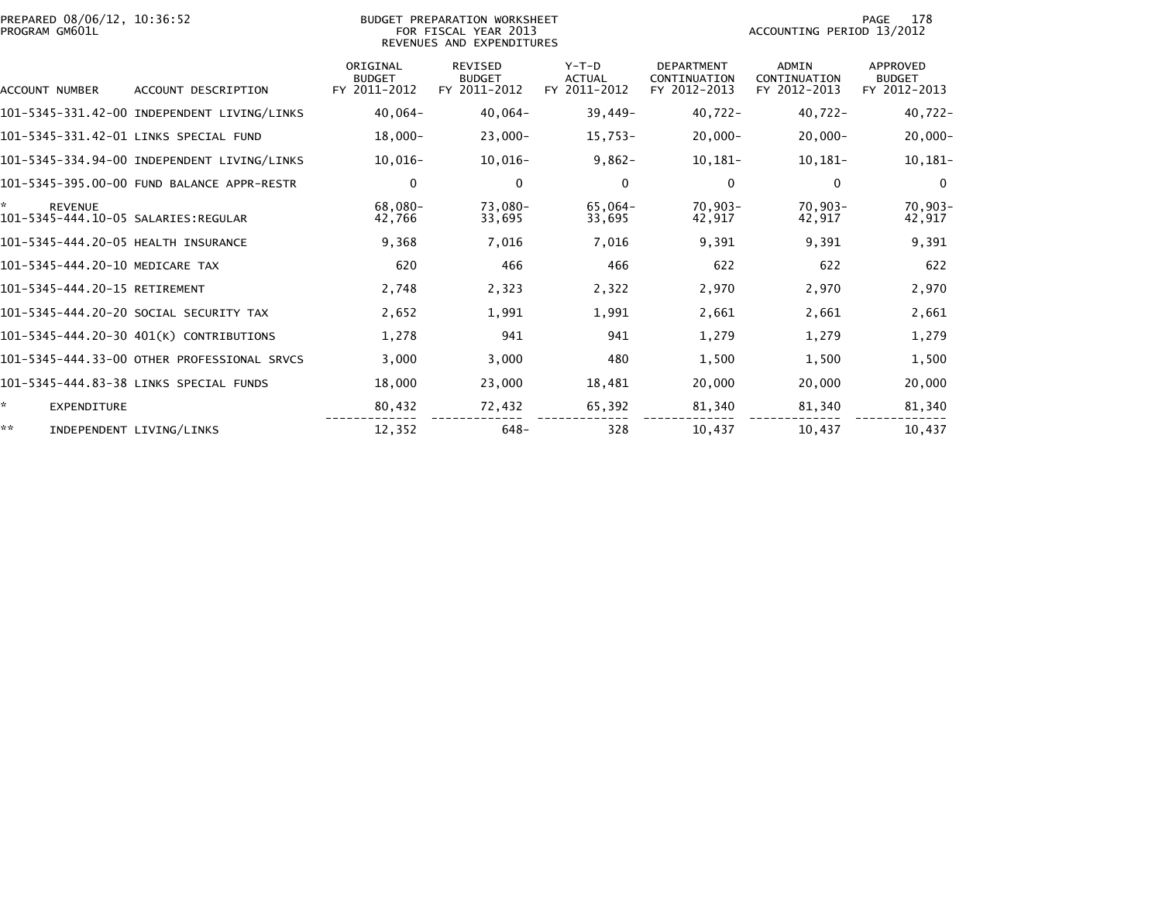| PREPARED 08/06/12, 10:36:52<br>PROGRAM GM601L              |                                             | BUDGET PREPARATION WORKSHEET<br>FOR FISCAL YEAR 2013<br>REVENUES AND EXPENDITURES |                                                 |                                          |                                                   | 178<br>PAGE<br>ACCOUNTING PERIOD 13/2012 |                                           |  |
|------------------------------------------------------------|---------------------------------------------|-----------------------------------------------------------------------------------|-------------------------------------------------|------------------------------------------|---------------------------------------------------|------------------------------------------|-------------------------------------------|--|
| ACCOUNT NUMBER                                             | ACCOUNT DESCRIPTION                         | ORIGINAL<br><b>BUDGET</b><br>FY 2011-2012                                         | <b>REVISED</b><br><b>BUDGET</b><br>FY 2011-2012 | $Y-T-D$<br><b>ACTUAL</b><br>FY 2011-2012 | <b>DEPARTMENT</b><br>CONTINUATION<br>FY 2012-2013 | ADMIN<br>CONTINUATION<br>FY 2012-2013    | APPROVED<br><b>BUDGET</b><br>FY 2012-2013 |  |
|                                                            | 101-5345-331.42-00 INDEPENDENT LIVING/LINKS | $40,064-$                                                                         | $40,064-$                                       | $39,449-$                                | $40,722 -$                                        | $40,722 -$                               | $40,722 -$                                |  |
|                                                            | 101-5345-331.42-01 LINKS SPECIAL FUND       | $18,000 -$                                                                        | $23,000 -$                                      | $15,753-$                                | $20,000 -$                                        | $20,000 -$                               | $20,000-$                                 |  |
|                                                            | 101-5345-334.94-00 INDEPENDENT LIVING/LINKS | $10,016-$                                                                         | $10,016-$                                       | $9,862-$                                 | $10, 181 -$                                       | $10,181-$                                | $10, 181 -$                               |  |
|                                                            | 101-5345-395.00-00 FUND BALANCE APPR-RESTR  | 0                                                                                 | 0                                               | 0                                        | 0                                                 | 0                                        | $\mathbf 0$                               |  |
| *<br><b>REVENUE</b><br>101-5345-444.10-05 SALARIES:REGULAR |                                             | 68.080-<br>42,766                                                                 | 73,080-<br>33,695                               | 65,064-<br>33,695                        | $70.903 -$<br>42,917                              | $70,903-$<br>42,917                      | $70,903-$<br>42,917                       |  |
| 101-5345-444.20-05 HEALTH INSURANCE                        |                                             | 9,368                                                                             | 7.016                                           | 7.016                                    | 9.391                                             | 9.391                                    | 9,391                                     |  |
| 101-5345-444.20-10 MEDICARE TAX                            |                                             | 620                                                                               | 466                                             | 466                                      | 622                                               | 622                                      | 622                                       |  |
| 101-5345-444.20-15 RETIREMENT                              |                                             | 2,748                                                                             | 2,323                                           | 2,322                                    | 2,970                                             | 2,970                                    | 2,970                                     |  |
|                                                            | 101-5345-444.20-20 SOCIAL SECURITY TAX      | 2,652                                                                             | 1,991                                           | 1,991                                    | 2,661                                             | 2,661                                    | 2,661                                     |  |
|                                                            | 101-5345-444.20-30 401(K) CONTRIBUTIONS     | 1,278                                                                             | 941                                             | 941                                      | 1,279                                             | 1,279                                    | 1,279                                     |  |
|                                                            | 101-5345-444.33-00 OTHER PROFESSIONAL SRVCS | 3,000                                                                             | 3,000                                           | 480                                      | 1,500                                             | 1,500                                    | 1,500                                     |  |
|                                                            | 101-5345-444.83-38 LINKS SPECIAL FUNDS      | 18,000                                                                            | 23,000                                          | 18,481                                   | 20,000                                            | 20,000                                   | 20,000                                    |  |
| *.<br>EXPENDITURE                                          |                                             | 80,432                                                                            | 72,432                                          | 65,392                                   | 81,340                                            | 81,340                                   | 81,340                                    |  |
| **                                                         | INDEPENDENT LIVING/LINKS                    | 12,352                                                                            | $648-$                                          | 328                                      | 10,437                                            | 10,437                                   | 10,437                                    |  |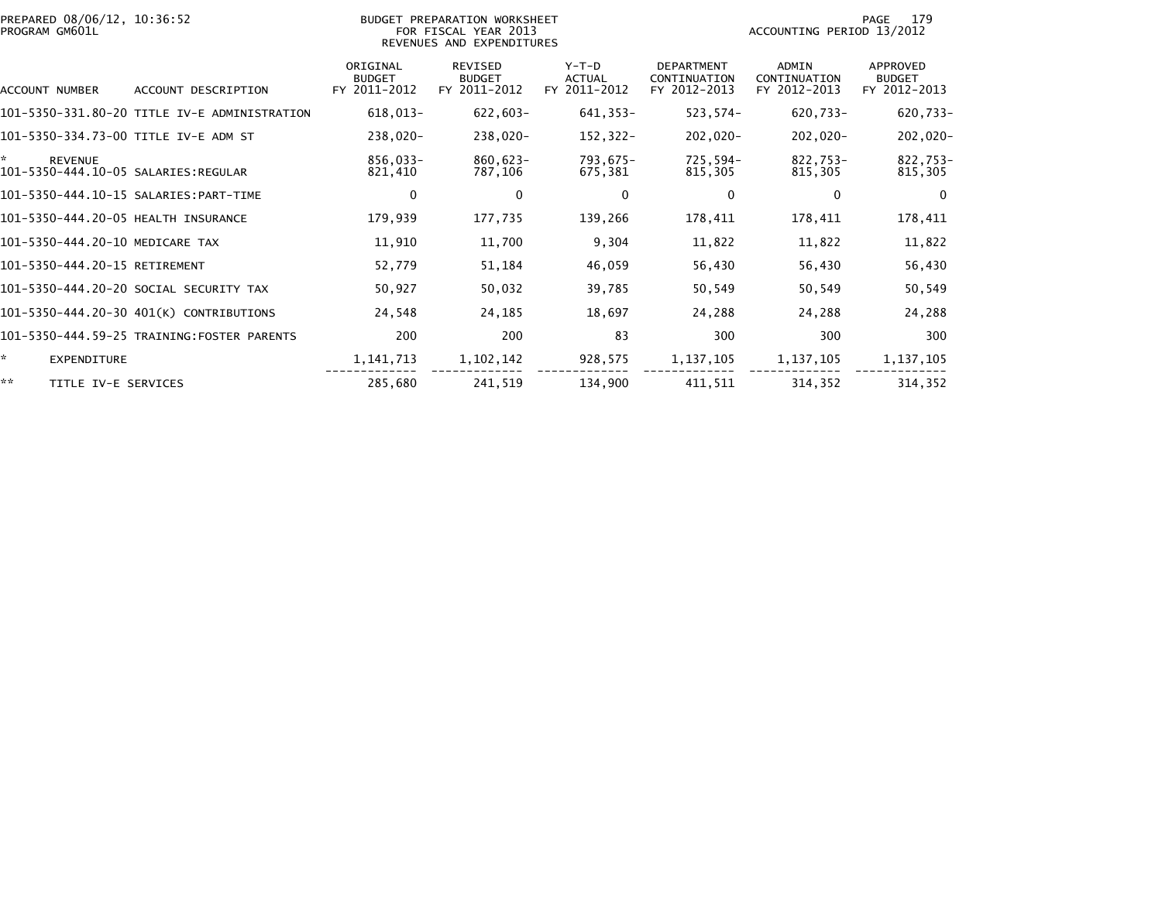| PREPARED 08/06/12, 10:36:52<br>PROGRAM GM601L              |                                              |                                           | BUDGET PREPARATION WORKSHEET<br>FOR FISCAL YEAR 2013<br>REVENUES AND EXPENDITURES | 179<br>PAGE<br>ACCOUNTING PERIOD 13/2012 |                                                   |                                       |                                                  |
|------------------------------------------------------------|----------------------------------------------|-------------------------------------------|-----------------------------------------------------------------------------------|------------------------------------------|---------------------------------------------------|---------------------------------------|--------------------------------------------------|
| ACCOUNT NUMBER                                             | ACCOUNT DESCRIPTION                          | ORIGINAL<br><b>BUDGET</b><br>FY 2011-2012 | <b>REVISED</b><br><b>BUDGET</b><br>FY 2011-2012                                   | $Y-T-D$<br><b>ACTUAL</b><br>FY 2011-2012 | <b>DEPARTMENT</b><br>CONTINUATION<br>FY 2012-2013 | ADMIN<br>CONTINUATION<br>FY 2012-2013 | <b>APPROVED</b><br><b>BUDGET</b><br>FY 2012-2013 |
|                                                            | 101-5350-331.80-20 TITLE IV-E ADMINISTRATION | 618,013-                                  | $622,603-$                                                                        | 641, 353-                                | 523,574-                                          | 620,733-                              | $620,733 -$                                      |
| 101-5350-334.73-00 TITLE IV-E ADM ST                       |                                              | 238,020-                                  | $238,020-$                                                                        | $152, 322 -$                             | $202,020-$                                        | $202,020-$                            | 202,020-                                         |
| *<br><b>REVENUE</b><br>101-5350-444.10-05 SALARIES:REGULAR |                                              | 856,033-<br>821,410                       | 860,623-<br>787,106                                                               | 793,675-<br>675,381                      | 725,594-<br>815,305                               | 822,753-<br>815,305                   | 822,753-<br>815,305                              |
|                                                            |                                              | $\mathbf 0$                               | $\mathbf 0$                                                                       | $\mathbf{0}$                             | 0                                                 | 0                                     | $\overline{0}$                                   |
| 101-5350-444.20-05 HEALTH INSURANCE                        |                                              | 179,939                                   | 177,735                                                                           | 139,266                                  | 178,411                                           | 178,411                               | 178,411                                          |
| 101-5350-444.20-10 MEDICARE TAX                            |                                              | 11,910                                    | 11,700                                                                            | 9,304                                    | 11,822                                            | 11,822                                | 11,822                                           |
| 101-5350-444.20-15 RETIREMENT                              |                                              | 52,779                                    | 51,184                                                                            | 46,059                                   | 56,430                                            | 56,430                                | 56,430                                           |
|                                                            | 101-5350-444.20-20 SOCIAL SECURITY TAX       | 50,927                                    | 50,032                                                                            | 39,785                                   | 50,549                                            | 50,549                                | 50,549                                           |
|                                                            | 101-5350-444.20-30 401(K) CONTRIBUTIONS      | 24,548                                    | 24,185                                                                            | 18,697                                   | 24,288                                            | 24,288                                | 24,288                                           |
|                                                            | 101-5350-444.59-25 TRAINING:FOSTER PARENTS   | 200                                       | 200                                                                               | 83                                       | 300                                               | 300                                   | 300                                              |
| ÷.<br><b>EXPENDITURE</b>                                   |                                              | 1, 141, 713                               | 1, 102, 142                                                                       | 928,575                                  | 1, 137, 105                                       | 1, 137, 105                           | 1, 137, 105                                      |
| **<br>TITLE IV-E SERVICES                                  |                                              | 285,680                                   | 241,519                                                                           | 134,900                                  | 411,511                                           | 314,352                               | 314,352                                          |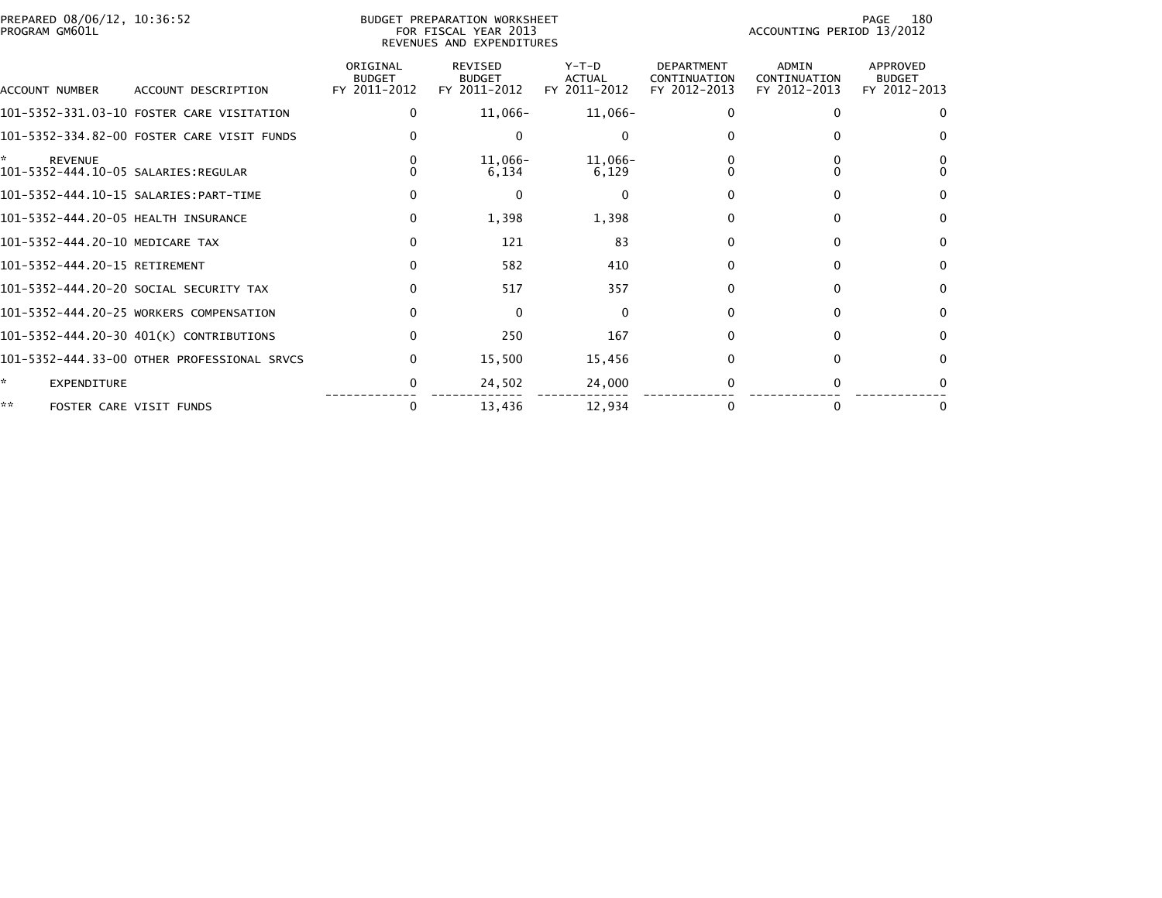| PREPARED 08/06/12, 10:36:52<br>PROGRAM GM601L |                                             | <b>BUDGET PREPARATION WORKSHEET</b><br>FOR FISCAL YEAR 2013<br>REVENUES AND EXPENDITURES |                                                 |                                          |                                                   | 180<br>PAGE<br>ACCOUNTING PERIOD 13/2012     |                                                  |  |
|-----------------------------------------------|---------------------------------------------|------------------------------------------------------------------------------------------|-------------------------------------------------|------------------------------------------|---------------------------------------------------|----------------------------------------------|--------------------------------------------------|--|
| ACCOUNT NUMBER                                | ACCOUNT DESCRIPTION                         | ORIGINAL<br><b>BUDGET</b><br>FY 2011-2012                                                | <b>REVISED</b><br><b>BUDGET</b><br>FY 2011-2012 | $Y-T-D$<br><b>ACTUAL</b><br>FY 2011-2012 | <b>DEPARTMENT</b><br>CONTINUATION<br>FY 2012-2013 | <b>ADMIN</b><br>CONTINUATION<br>FY 2012-2013 | <b>APPROVED</b><br><b>BUDGET</b><br>FY 2012-2013 |  |
|                                               | 101-5352-331.03-10 FOSTER CARE VISITATION   |                                                                                          | 11,066-                                         | $11,066-$                                |                                                   | 0                                            | $\Omega$                                         |  |
|                                               | 101-5352-334.82-00 FOSTER CARE VISIT FUNDS  |                                                                                          | 0                                               | $\Omega$                                 |                                                   |                                              | 0                                                |  |
| *<br><b>REVENUE</b>                           |                                             |                                                                                          | 11,066-<br>6,134                                | 11,066-<br>6,129                         |                                                   |                                              |                                                  |  |
|                                               |                                             |                                                                                          | 0                                               | $\Omega$                                 |                                                   | $\Omega$                                     | $\Omega$                                         |  |
| 101-5352-444.20-05 HEALTH INSURANCE           |                                             | 0                                                                                        | 1,398                                           | 1,398                                    |                                                   | $\Omega$                                     | $\bf{0}$                                         |  |
| 101-5352-444.20-10 MEDICARE TAX               |                                             | 0                                                                                        | 121                                             | 83                                       |                                                   | 0                                            | $\Omega$                                         |  |
| 101-5352-444.20-15 RETIREMENT                 |                                             | 0                                                                                        | 582                                             | 410                                      |                                                   | $\Omega$                                     | $\bf{0}$                                         |  |
|                                               | 101-5352-444.20-20 SOCIAL SECURITY TAX      |                                                                                          | 517                                             | 357                                      | 0                                                 | 0                                            | $\mathbf{0}$                                     |  |
|                                               | 101-5352-444.20-25 WORKERS COMPENSATION     |                                                                                          | $\Omega$                                        | $\Omega$                                 | 0                                                 | $\Omega$                                     | $\Omega$                                         |  |
|                                               | 101-5352-444.20-30 401(K) CONTRIBUTIONS     | 0                                                                                        | 250                                             | 167                                      |                                                   | $\Omega$                                     | $\Omega$                                         |  |
|                                               | 101-5352-444.33-00 OTHER PROFESSIONAL SRVCS | 0                                                                                        | 15,500                                          | 15,456                                   |                                                   | 0                                            | $\Omega$                                         |  |
| *.<br><b>EXPENDITURE</b>                      |                                             | 0                                                                                        | 24,502                                          | 24,000                                   |                                                   |                                              |                                                  |  |
| **                                            | FOSTER CARE VISIT FUNDS                     | 0                                                                                        | 13,436                                          | 12.934                                   |                                                   | 0                                            | 0                                                |  |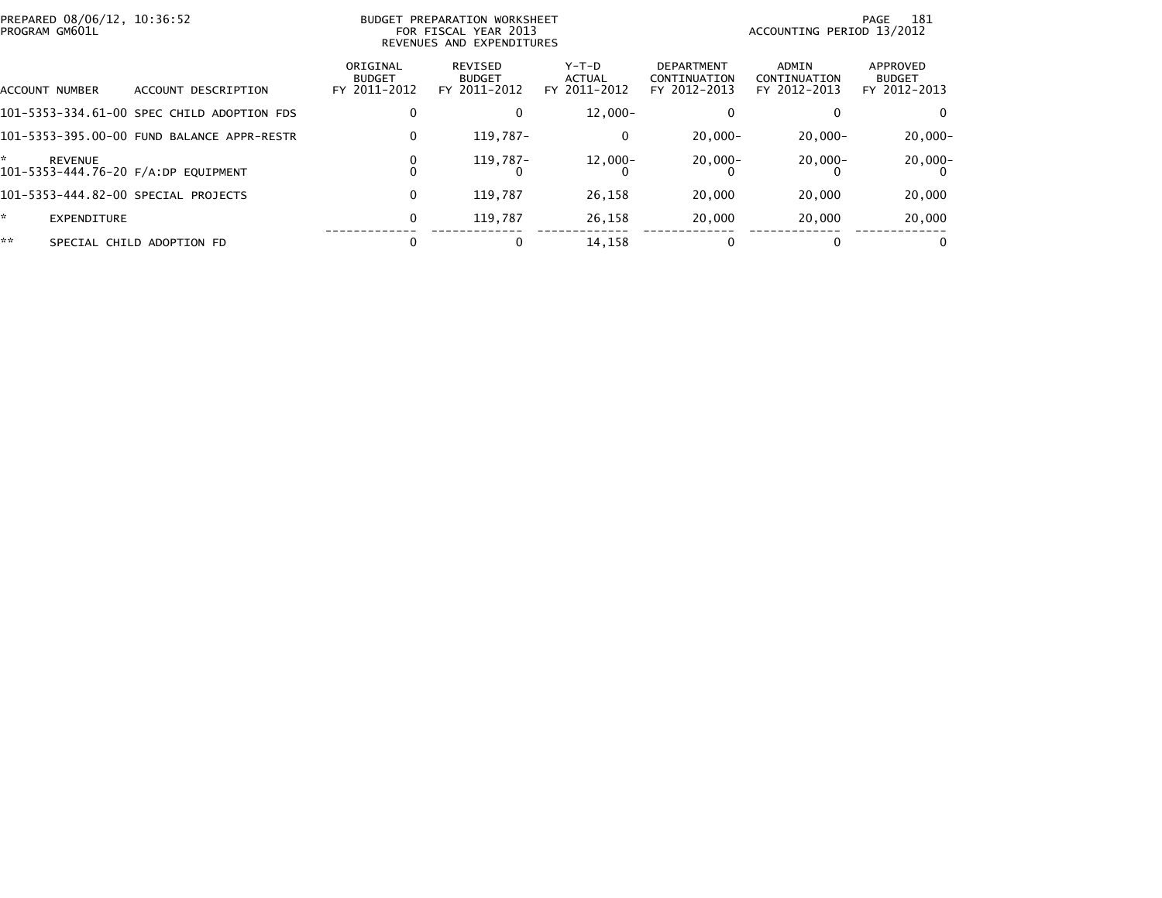| PREPARED 08/06/12, 10:36:52<br>PROGRAM GM601L |                |                                            | BUDGET PREPARATION WORKSHEET<br>FOR FISCAL YEAR 2013<br>REVENUES AND EXPENDITURES |                                          |                                        |                                                   | 181<br>PAGE<br>ACCOUNTING PERIOD 13/2012 |                                           |  |
|-----------------------------------------------|----------------|--------------------------------------------|-----------------------------------------------------------------------------------|------------------------------------------|----------------------------------------|---------------------------------------------------|------------------------------------------|-------------------------------------------|--|
|                                               | ACCOUNT NUMBER | ACCOUNT DESCRIPTION                        | ORIGINAL<br><b>BUDGET</b><br>FY 2011-2012                                         | REVISED<br><b>BUDGET</b><br>FY 2011-2012 | Y-T-D<br><b>ACTUAL</b><br>FY 2011-2012 | <b>DEPARTMENT</b><br>CONTINUATION<br>FY 2012-2013 | ADMIN<br>CONTINUATION<br>FY 2012-2013    | APPROVED<br><b>BUDGET</b><br>FY 2012-2013 |  |
|                                               |                | 101-5353-334.61-00 SPEC CHILD ADOPTION FDS | 0                                                                                 | 0                                        | $12.000 -$                             |                                                   |                                          |                                           |  |
|                                               |                | 101-5353-395.00-00 FUND BALANCE APPR-RESTR | 0                                                                                 | 119.787-                                 | 0                                      | $20,000 -$                                        | $20,000 -$                               | $20,000 -$                                |  |
| *                                             | <b>REVENUE</b> | 101-5353-444.76-20 F/A:DP EQUIPMENT        | 0                                                                                 | 119.787-                                 | 12,000-                                | $20,000-$                                         | $20,000 -$                               | $20,000-$                                 |  |
|                                               |                | 101-5353-444.82-00 SPECIAL PROJECTS        | 0                                                                                 | 119.787                                  | 26,158                                 | 20,000                                            | 20,000                                   | 20,000                                    |  |
| *.                                            | EXPENDITURE    |                                            | 0                                                                                 | 119.787                                  | 26,158                                 | 20,000                                            | 20,000                                   | 20,000                                    |  |
| **                                            |                | SPECIAL CHILD ADOPTION FD                  |                                                                                   | 0                                        | 14,158                                 | $\Omega$                                          |                                          | $\Omega$                                  |  |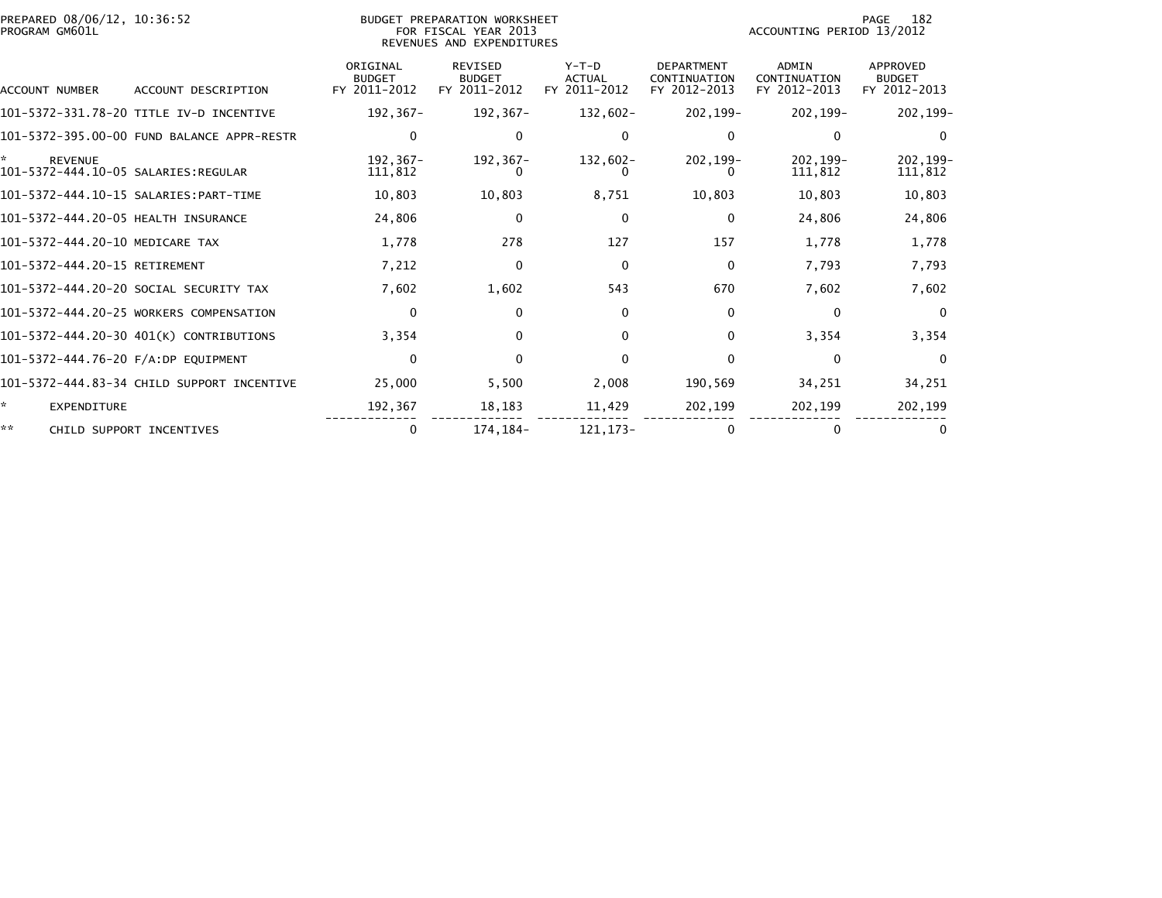| PREPARED 08/06/12, 10:36:52<br>PROGRAM GM601L              |                                            |                                           | BUDGET PREPARATION WORKSHEET<br>FOR FISCAL YEAR 2013<br>REVENUES AND EXPENDITURES |                                          |                                                   | ACCOUNTING PERIOD 13/2012                    | 182<br>PAGE                               |
|------------------------------------------------------------|--------------------------------------------|-------------------------------------------|-----------------------------------------------------------------------------------|------------------------------------------|---------------------------------------------------|----------------------------------------------|-------------------------------------------|
| ACCOUNT NUMBER                                             | ACCOUNT DESCRIPTION                        | ORIGINAL<br><b>BUDGET</b><br>FY 2011-2012 | <b>REVISED</b><br><b>BUDGET</b><br>FY 2011-2012                                   | $Y-T-D$<br><b>ACTUAL</b><br>FY 2011-2012 | <b>DEPARTMENT</b><br>CONTINUATION<br>FY 2012-2013 | <b>ADMIN</b><br>CONTINUATION<br>FY 2012-2013 | APPROVED<br><b>BUDGET</b><br>FY 2012-2013 |
|                                                            | 101-5372-331.78-20 TITLE IV-D INCENTIVE    | 192,367-                                  | 192,367-                                                                          | 132,602-                                 | 202,199-                                          | 202,199-                                     | 202,199-                                  |
|                                                            | 101-5372-395.00-00 FUND BALANCE APPR-RESTR | 0                                         | $\mathbf{0}$                                                                      |                                          | 0                                                 | $\mathbf{0}$                                 | $\Omega$                                  |
| *<br><b>REVENUE</b><br>101-5372-444.10-05 SALARIES:REGULAR |                                            | 192,367-<br>111,812                       | 192, 367-                                                                         | 132,602-                                 | 202, 199-                                         | 202.199-<br>111,812                          | 202, 199-<br>111,812                      |
|                                                            |                                            | 10,803                                    | 10,803                                                                            | 8,751                                    | 10,803                                            | 10,803                                       | 10,803                                    |
| 101-5372-444.20-05 HEALTH INSURANCE                        |                                            | 24,806                                    | $\mathbf 0$                                                                       | $\mathbf{0}$                             | 0                                                 | 24,806                                       | 24,806                                    |
| 101-5372-444.20-10 MEDICARE TAX                            |                                            | 1,778                                     | 278                                                                               | 127                                      | 157                                               | 1,778                                        | 1,778                                     |
| 101-5372-444.20-15 RETIREMENT                              |                                            | 7,212                                     | $\mathbf 0$                                                                       | $\Omega$                                 | $\mathbf 0$                                       | 7,793                                        | 7,793                                     |
|                                                            | 101-5372-444.20-20 SOCIAL SECURITY TAX     | 7,602                                     | 1,602                                                                             | 543                                      | 670                                               | 7,602                                        | 7,602                                     |
|                                                            | 101-5372-444.20-25 WORKERS COMPENSATION    | $\mathbf{0}$                              | $\mathbf{0}$                                                                      | $\Omega$                                 | $\mathbf{0}$                                      | $\Omega$                                     | $\Omega$                                  |
|                                                            | 101-5372-444.20-30 401(K) CONTRIBUTIONS    | 3,354                                     | $\Omega$                                                                          | 0                                        | $\mathbf{0}$                                      | 3,354                                        | 3,354                                     |
| 101-5372-444.76-20 F/A:DP EQUIPMENT                        |                                            | $\mathbf{0}$                              | $\Omega$                                                                          | $\Omega$                                 | $\mathbf{0}$                                      | $\Omega$                                     | $\Omega$                                  |
|                                                            | 101-5372-444.83-34 CHILD SUPPORT INCENTIVE | 25,000                                    | 5,500                                                                             | 2,008                                    | 190,569                                           | 34,251                                       | 34,251                                    |
| ☆.<br>EXPENDITURE                                          |                                            | 192,367                                   | 18,183                                                                            | 11,429                                   | 202,199                                           | 202,199                                      | 202,199                                   |
| **                                                         | CHILD SUPPORT INCENTIVES                   | 0                                         | 174, 184-                                                                         | 121.173-                                 | $\mathbf{0}$                                      | $\mathbf{0}$                                 |                                           |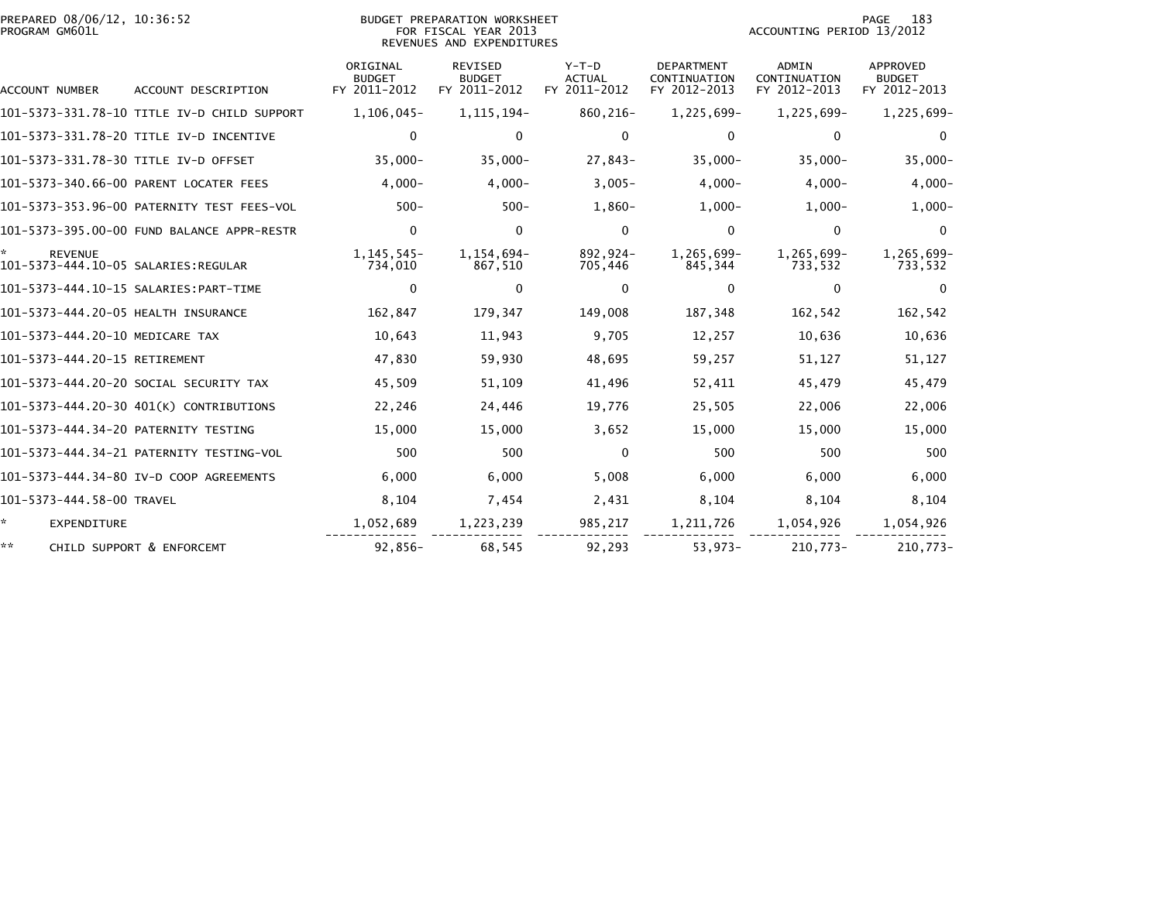| PREPARED 08/06/12, 10:36:52<br>PROGRAM GM601L |                                             |                                           | BUDGET PREPARATION WORKSHEET<br>FOR FISCAL YEAR 2013<br>REVENUES AND EXPENDITURES |                                          |                                                   | ACCOUNTING PERIOD 13/2012                    | PAGE<br>183                               |
|-----------------------------------------------|---------------------------------------------|-------------------------------------------|-----------------------------------------------------------------------------------|------------------------------------------|---------------------------------------------------|----------------------------------------------|-------------------------------------------|
| ACCOUNT NUMBER                                | ACCOUNT DESCRIPTION                         | ORIGINAL<br><b>BUDGET</b><br>FY 2011-2012 | <b>REVISED</b><br><b>BUDGET</b><br>FY 2011-2012                                   | $Y-T-D$<br><b>ACTUAL</b><br>FY 2011-2012 | <b>DEPARTMENT</b><br>CONTINUATION<br>FY 2012-2013 | <b>ADMIN</b><br>CONTINUATION<br>FY 2012-2013 | APPROVED<br><b>BUDGET</b><br>FY 2012-2013 |
|                                               | 101-5373-331.78-10 TITLE IV-D CHILD SUPPORT | 1,106,045-                                | 1, 115, 194-                                                                      | 860,216-                                 | 1,225,699-                                        | 1,225,699-                                   | 1,225,699-                                |
|                                               | 101-5373-331.78-20 TITLE IV-D INCENTIVE     | $\Omega$                                  | $\mathbf{0}$                                                                      | $\mathbf{0}$                             | 0                                                 | 0                                            | $\Omega$                                  |
| 101-5373-331.78-30 TITLE IV-D OFFSET          |                                             | $35,000 -$                                | $35,000 -$                                                                        | $27,843-$                                | $35,000 -$                                        | $35,000 -$                                   | $35,000 -$                                |
|                                               | 101-5373-340.66-00 PARENT LOCATER FEES      | $4,000-$                                  | $4,000 -$                                                                         | $3,005-$                                 | $4,000-$                                          | $4,000-$                                     | $4,000-$                                  |
|                                               | 101-5373-353.96-00 PATERNITY TEST FEES-VOL  | $500 -$                                   | $500 -$                                                                           | $1,860-$                                 | $1,000-$                                          | $1,000-$                                     | $1,000-$                                  |
|                                               | 101-5373-395.00-00 FUND BALANCE APPR-RESTR  | $\mathbf{0}$                              | $\mathbf{0}$                                                                      | $\mathbf{0}$                             | $\Omega$                                          | $\mathbf{0}$                                 | $\Omega$                                  |
| <b>REVENUE</b>                                |                                             | 1, 145, 545-<br>734,010                   | 1,154,694-<br>867,510                                                             | 892,924-<br>705,446                      | 1,265,699-<br>845,344                             | 1,265,699-<br>733,532                        | 1,265,699-<br>733,532                     |
|                                               |                                             | 0                                         | 0                                                                                 | $\Omega$                                 | 0                                                 | 0                                            | $\Omega$                                  |
| 101-5373-444.20-05 HEALTH INSURANCE           |                                             | 162,847                                   | 179,347                                                                           | 149,008                                  | 187,348                                           | 162,542                                      | 162,542                                   |
| 101-5373-444.20-10 MEDICARE TAX               |                                             | 10,643                                    | 11,943                                                                            | 9,705                                    | 12,257                                            | 10,636                                       | 10,636                                    |
| 101-5373-444.20-15 RETIREMENT                 |                                             | 47,830                                    | 59,930                                                                            | 48,695                                   | 59,257                                            | 51,127                                       | 51,127                                    |
|                                               | 101-5373-444.20-20 SOCIAL SECURITY TAX      | 45,509                                    | 51,109                                                                            | 41,496                                   | 52,411                                            | 45,479                                       | 45,479                                    |
|                                               | 101-5373-444.20-30 401(K) CONTRIBUTIONS     | 22,246                                    | 24,446                                                                            | 19,776                                   | 25,505                                            | 22,006                                       | 22,006                                    |
| 101-5373-444.34-20 PATERNITY TESTING          |                                             | 15,000                                    | 15,000                                                                            | 3,652                                    | 15,000                                            | 15,000                                       | 15,000                                    |
|                                               |                                             | 500                                       | 500                                                                               | $\mathbf{0}$                             | 500                                               | 500                                          | 500                                       |
|                                               | 101-5373-444.34-80 IV-D COOP AGREEMENTS     | 6,000                                     | 6,000                                                                             | 5,008                                    | 6,000                                             | 6.000                                        | 6,000                                     |
| 101-5373-444.58-00 TRAVEL                     |                                             | 8,104                                     | 7,454                                                                             | 2,431                                    | 8,104                                             | 8,104                                        | 8,104                                     |
| ŵ.<br><b>EXPENDITURE</b>                      |                                             | 1,052,689                                 | 1,223,239                                                                         | 985,217                                  | 1,211,726                                         | 1,054,926                                    | 1,054,926                                 |
| **                                            | CHILD SUPPORT & ENFORCEMT                   | $92,856-$                                 | 68,545                                                                            | 92,293                                   | $53,973-$                                         | $210,773-$                                   | 210,773-                                  |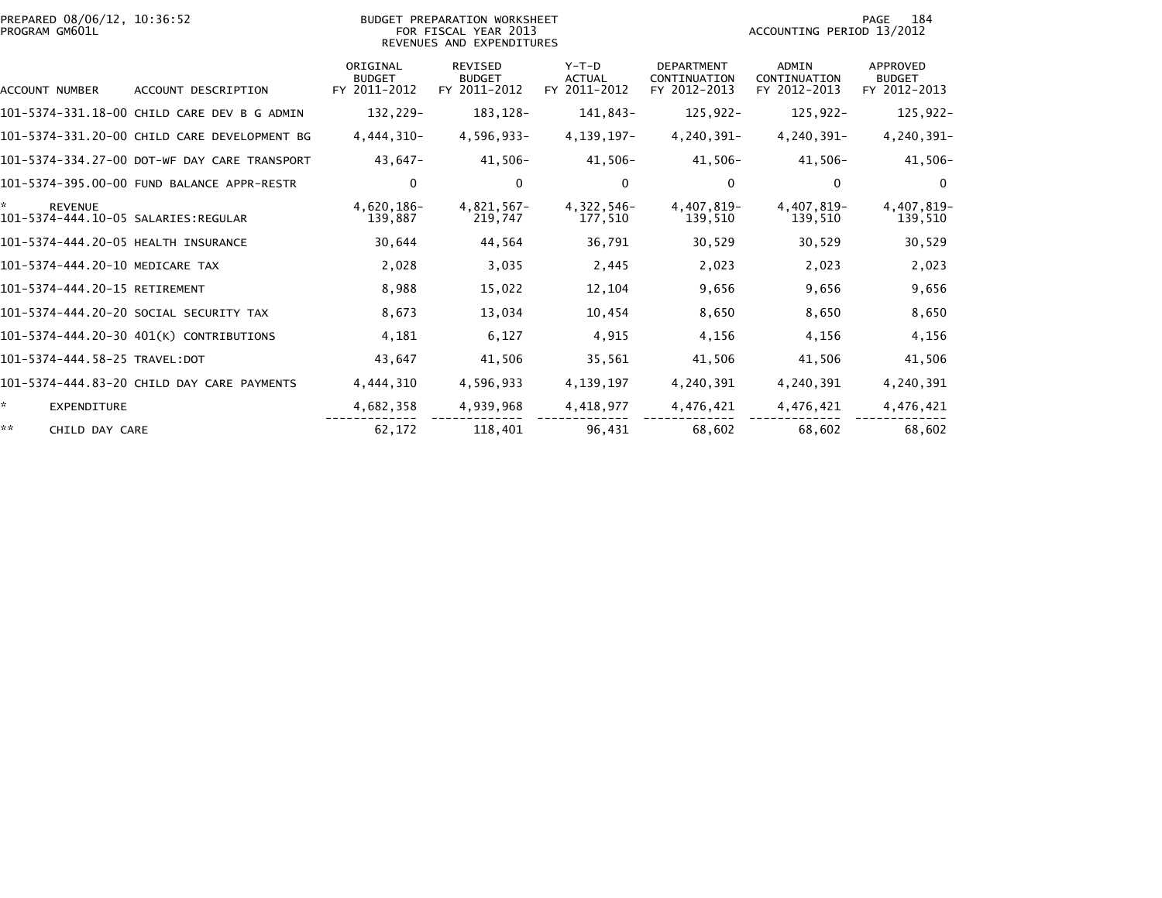| PREPARED 08/06/12, 10:36:52<br>PROGRAM GM601L |                                              |                                           | BUDGET PREPARATION WORKSHEET<br>FOR FISCAL YEAR 2013<br>REVENUES AND EXPENDITURES |                                          | 184<br>PAGE<br>ACCOUNTING PERIOD 13/2012          |                                              |                                                  |
|-----------------------------------------------|----------------------------------------------|-------------------------------------------|-----------------------------------------------------------------------------------|------------------------------------------|---------------------------------------------------|----------------------------------------------|--------------------------------------------------|
| ACCOUNT NUMBER                                | ACCOUNT DESCRIPTION                          | ORIGINAL<br><b>BUDGET</b><br>FY 2011-2012 | <b>REVISED</b><br><b>BUDGET</b><br>FY 2011-2012                                   | $Y-T-D$<br><b>ACTUAL</b><br>FY 2011-2012 | <b>DEPARTMENT</b><br>CONTINUATION<br>FY 2012-2013 | <b>ADMIN</b><br>CONTINUATION<br>FY 2012-2013 | <b>APPROVED</b><br><b>BUDGET</b><br>FY 2012-2013 |
|                                               | 101-5374-331.18-00 CHILD CARE DEV B G ADMIN  | 132,229-                                  | 183, 128-                                                                         | 141,843-                                 | $125,922-$                                        | $125,922-$                                   | 125,922-                                         |
|                                               | 101-5374-331.20-00 CHILD CARE DEVELOPMENT BG | 4,444,310-                                | 4,596,933-                                                                        | 4, 139, 197-                             | 4,240,391-                                        | 4,240,391-                                   | 4,240,391-                                       |
|                                               | 101-5374-334.27-00 DOT-WF DAY CARE TRANSPORT | 43,647-                                   | 41,506-                                                                           | $41,506-$                                | 41,506-                                           | $41,506-$                                    | $41,506-$                                        |
|                                               | 101-5374-395.00-00 FUND BALANCE APPR-RESTR   | 0                                         | 0                                                                                 | $\mathbf{0}$                             | $\mathbf 0$                                       | 0                                            | $\Omega$                                         |
| *.<br><b>REVENUE</b>                          |                                              | 4,620,186-<br>139,887                     | $4,821,567-$<br>219,747                                                           | 4,322,546-<br>177,510                    | 4,407,819-<br>139,510                             | 4,407,819-<br>139,510                        | 4,407,819-<br>139,510                            |
| 101-5374-444.20-05 HEALTH INSURANCE           |                                              | 30,644                                    | 44,564                                                                            | 36,791                                   | 30,529                                            | 30,529                                       | 30,529                                           |
| 101-5374-444.20-10 MEDICARE TAX               |                                              | 2,028                                     | 3,035                                                                             | 2,445                                    | 2,023                                             | 2,023                                        | 2,023                                            |
| 101-5374-444.20-15 RETIREMENT                 |                                              | 8,988                                     | 15,022                                                                            | 12,104                                   | 9,656                                             | 9,656                                        | 9,656                                            |
|                                               | 101-5374-444.20-20 SOCIAL SECURITY TAX       | 8,673                                     | 13,034                                                                            | 10,454                                   | 8,650                                             | 8,650                                        | 8,650                                            |
|                                               | 101-5374-444.20-30 401(K) CONTRIBUTIONS      | 4,181                                     | 6,127                                                                             | 4,915                                    | 4,156                                             | 4,156                                        | 4,156                                            |
| 101-5374-444.58-25 TRAVEL:DOT                 |                                              | 43,647                                    | 41,506                                                                            | 35,561                                   | 41,506                                            | 41,506                                       | 41,506                                           |
|                                               | 101-5374-444.83-20 CHILD DAY CARE PAYMENTS   | 4,444,310                                 | 4,596,933                                                                         | 4, 139, 197                              | 4,240,391                                         | 4,240,391                                    | 4,240,391                                        |
| ☆.<br><b>EXPENDITURE</b>                      |                                              | 4,682,358                                 | 4,939,968                                                                         | 4,418,977                                | 4,476,421                                         | 4,476,421                                    | 4,476,421                                        |
| **<br>CHILD DAY CARE                          |                                              | 62,172                                    | 118,401                                                                           | 96,431                                   | 68,602                                            | 68,602                                       | 68,602                                           |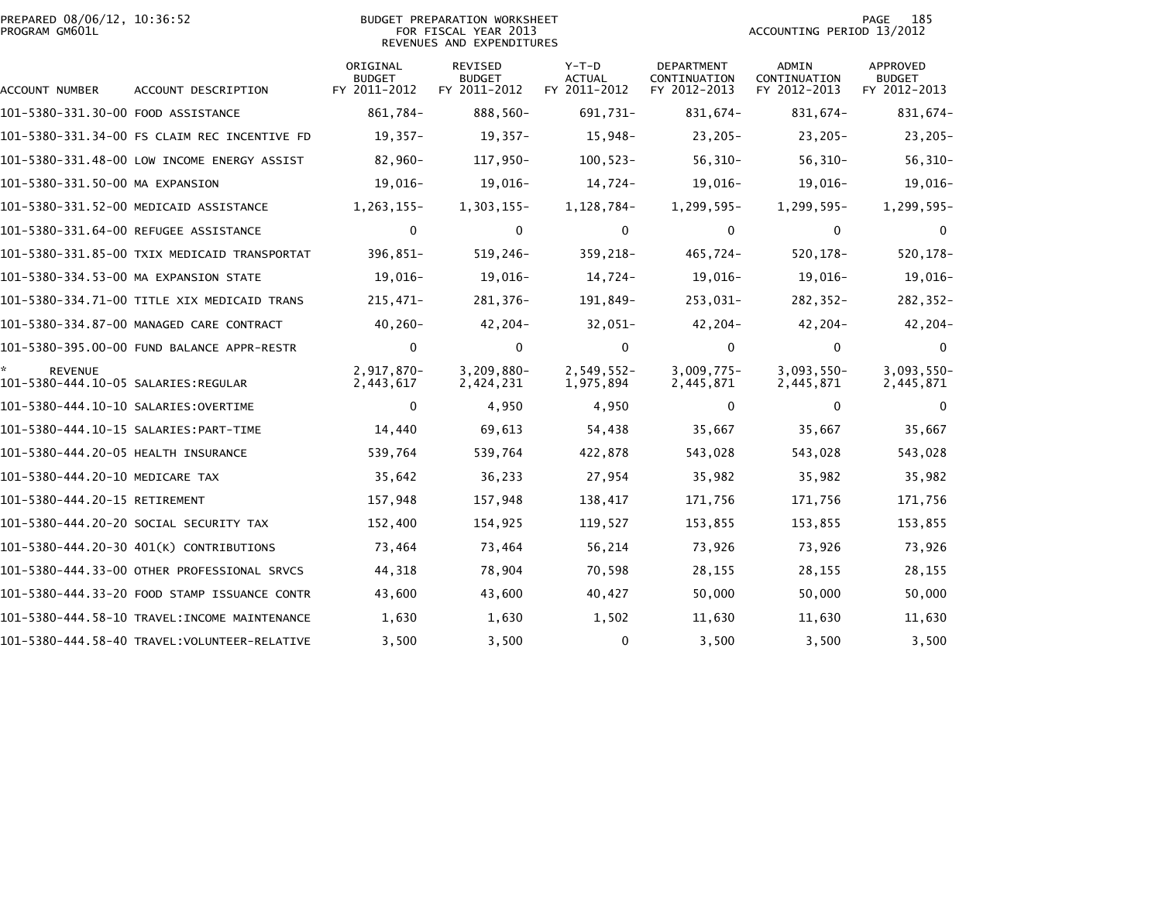| PREPARED 08/06/12, 10:36:52<br>PROGRAM GM601L |                                              |                                           | <b>BUDGET PREPARATION WORKSHEET</b><br>FOR FISCAL YEAR 2013<br>REVENUES AND EXPENDITURES | 185<br>PAGE<br>ACCOUNTING PERIOD 13/2012 |                                                   |                                              |                                           |
|-----------------------------------------------|----------------------------------------------|-------------------------------------------|------------------------------------------------------------------------------------------|------------------------------------------|---------------------------------------------------|----------------------------------------------|-------------------------------------------|
| ACCOUNT NUMBER                                | ACCOUNT DESCRIPTION                          | ORIGINAL<br><b>BUDGET</b><br>FY 2011-2012 | <b>REVISED</b><br><b>BUDGET</b><br>FY 2011-2012                                          | $Y-T-D$<br><b>ACTUAL</b><br>FY 2011-2012 | <b>DEPARTMENT</b><br>CONTINUATION<br>FY 2012-2013 | <b>ADMIN</b><br>CONTINUATION<br>FY 2012-2013 | APPROVED<br><b>BUDGET</b><br>FY 2012-2013 |
| 101-5380-331.30-00 FOOD ASSISTANCE            |                                              | 861,784-                                  | 888,560-                                                                                 | 691,731-                                 | 831,674-                                          | 831,674-                                     | 831,674-                                  |
|                                               | 101-5380-331.34-00 FS CLAIM REC INCENTIVE FD | $19,357-$                                 | $19,357-$                                                                                | 15,948-                                  | $23,205-$                                         | $23,205-$                                    | $23,205-$                                 |
|                                               | 101-5380-331.48-00 LOW INCOME ENERGY ASSIST  | 82,960-                                   | 117,950-                                                                                 | $100, 523 -$                             | $56, 310 -$                                       | $56, 310 -$                                  | $56, 310 -$                               |
| 101-5380-331.50-00 MA EXPANSION               |                                              | 19,016-                                   | 19,016-                                                                                  | 14,724-                                  | 19,016-                                           | 19,016-                                      | $19,016-$                                 |
|                                               | 101-5380-331.52-00 MEDICAID ASSISTANCE       | 1,263,155-                                | $1,303,155-$                                                                             | 1, 128, 784-                             | 1,299,595-                                        | 1,299,595-                                   | 1,299,595-                                |
|                                               | 101-5380-331.64-00 REFUGEE ASSISTANCE        | $\mathbf 0$                               | $\mathbf 0$                                                                              | 0                                        | $\Omega$                                          | $\mathbf 0$                                  | $\mathbf 0$                               |
|                                               | 101-5380-331.85-00 TXIX MEDICAID TRANSPORTAT | 396,851-                                  | 519,246-                                                                                 | 359,218-                                 | 465,724-                                          | 520, 178-                                    | 520, 178-                                 |
|                                               | 101-5380-334.53-00 MA EXPANSION STATE        | 19,016-                                   | 19,016-                                                                                  | 14,724-                                  | 19,016-                                           | 19,016-                                      | 19,016-                                   |
|                                               | 101-5380-334.71-00 TITLE XIX MEDICAID TRANS  | $215,471-$                                | 281,376-                                                                                 | 191,849-                                 | 253,031-                                          | $282, 352 -$                                 | 282,352-                                  |
|                                               | 101-5380-334.87-00 MANAGED CARE CONTRACT     | 40,260-                                   | 42,204-                                                                                  | $32,051-$                                | 42,204-                                           | $42,204-$                                    | $42,204-$                                 |
|                                               | 101-5380-395.00-00 FUND BALANCE APPR-RESTR   | $\mathbf 0$                               | $\mathbf 0$                                                                              | $\mathbf{0}$                             | $\Omega$                                          | $\mathbf 0$                                  | $\mathbf{0}$                              |
| <b>REVENUE</b>                                |                                              | 2,917,870-<br>2,443,617                   | 3,209,880-<br>2,424,231                                                                  | $2,549,552-$<br>1,975,894                | $3,009,775-$<br>2,445,871                         | 3,093,550-<br>2,445,871                      | $3,093,550-$<br>2,445,871                 |
|                                               |                                              | $\mathbf{0}$                              | 4,950                                                                                    | 4,950                                    | $\Omega$                                          | $\mathbf{0}$                                 | $\Omega$                                  |
|                                               |                                              | 14,440                                    | 69,613                                                                                   | 54,438                                   | 35,667                                            | 35,667                                       | 35,667                                    |
| 101-5380-444.20-05 HEALTH INSURANCE           |                                              | 539,764                                   | 539,764                                                                                  | 422,878                                  | 543,028                                           | 543,028                                      | 543,028                                   |
| 101-5380-444.20-10 MEDICARE TAX               |                                              | 35,642                                    | 36,233                                                                                   | 27,954                                   | 35,982                                            | 35,982                                       | 35,982                                    |
| 101-5380-444.20-15 RETIREMENT                 |                                              | 157,948                                   | 157,948                                                                                  | 138,417                                  | 171,756                                           | 171,756                                      | 171,756                                   |
|                                               | 101-5380-444.20-20 SOCIAL SECURITY TAX       | 152,400                                   | 154,925                                                                                  | 119,527                                  | 153,855                                           | 153,855                                      | 153,855                                   |
|                                               | 101-5380-444.20-30 401(K) CONTRIBUTIONS      | 73,464                                    | 73,464                                                                                   | 56,214                                   | 73,926                                            | 73,926                                       | 73,926                                    |
|                                               | 101-5380-444.33-00 OTHER PROFESSIONAL SRVCS  | 44,318                                    | 78,904                                                                                   | 70,598                                   | 28,155                                            | 28,155                                       | 28,155                                    |
|                                               | 101-5380-444.33-20 FOOD STAMP ISSUANCE CONTR | 43,600                                    | 43,600                                                                                   | 40,427                                   | 50,000                                            | 50,000                                       | 50,000                                    |
|                                               | 101-5380-444.58-10 TRAVEL:INCOME MAINTENANCE | 1,630                                     | 1,630                                                                                    | 1,502                                    | 11,630                                            | 11,630                                       | 11,630                                    |
|                                               | 101-5380-444.58-40 TRAVEL:VOLUNTEER-RELATIVE | 3,500                                     | 3,500                                                                                    | $\mathbf{0}$                             | 3,500                                             | 3,500                                        | 3,500                                     |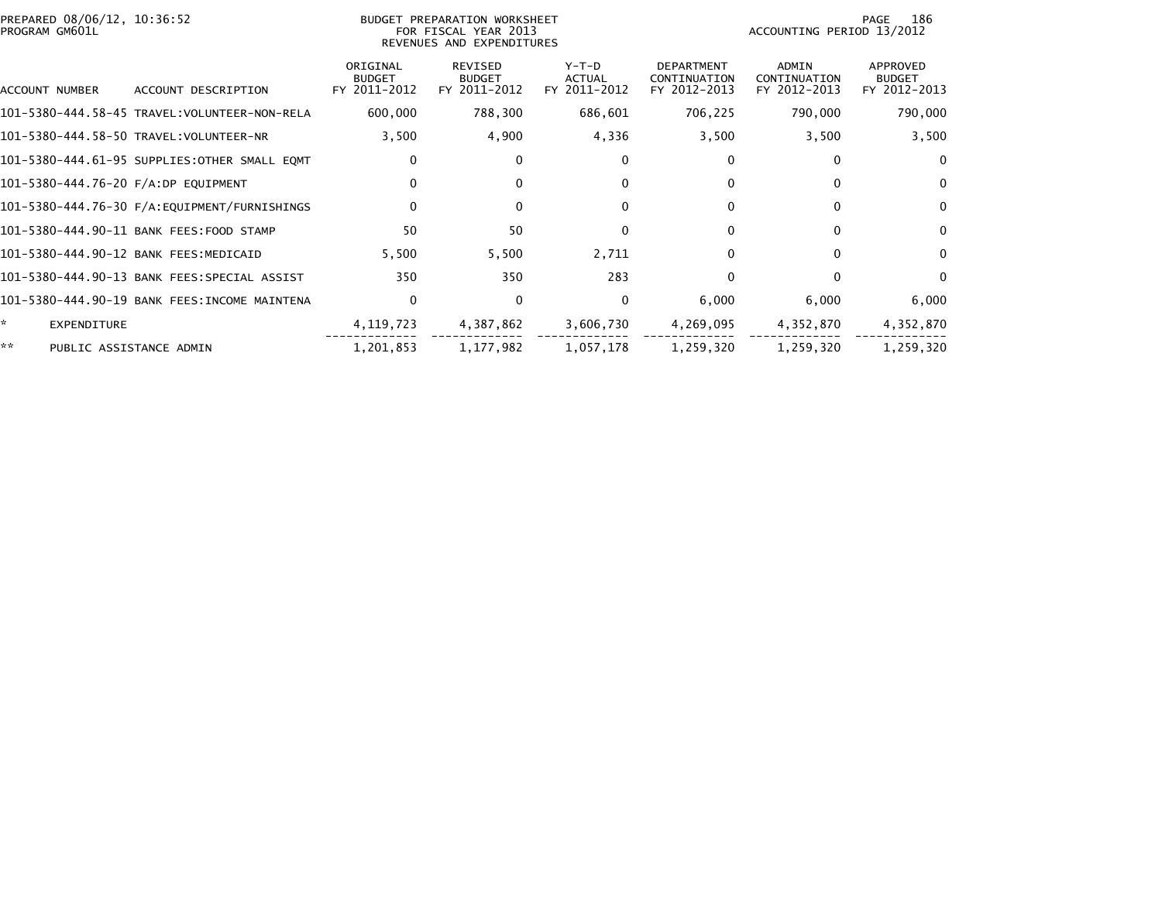| PREPARED 08/06/12, 10:36:52<br>PROGRAM GM601L |                                              |                                           | BUDGET PREPARATION WORKSHEET<br>FOR FISCAL YEAR 2013<br>REVENUES AND EXPENDITURES | 186<br>PAGE<br>ACCOUNTING PERIOD 13/2012 |                                                   |                                              |                                           |
|-----------------------------------------------|----------------------------------------------|-------------------------------------------|-----------------------------------------------------------------------------------|------------------------------------------|---------------------------------------------------|----------------------------------------------|-------------------------------------------|
| ACCOUNT NUMBER                                | ACCOUNT DESCRIPTION                          | ORIGINAL<br><b>BUDGET</b><br>FY 2011-2012 | REVISED<br><b>BUDGET</b><br>FY 2011-2012                                          | $Y-T-D$<br><b>ACTUAL</b><br>FY 2011-2012 | <b>DEPARTMENT</b><br>CONTINUATION<br>FY 2012-2013 | <b>ADMIN</b><br>CONTINUATION<br>FY 2012-2013 | APPROVED<br><b>BUDGET</b><br>FY 2012-2013 |
|                                               |                                              | 600,000                                   | 788,300                                                                           | 686,601                                  | 706,225                                           | 790,000                                      | 790,000                                   |
|                                               |                                              | 3,500                                     | 4,900                                                                             | 4,336                                    | 3,500                                             | 3,500                                        | 3,500                                     |
|                                               | 101-5380-444.61-95 SUPPLIES:OTHER SMALL EQMT | 0                                         | 0                                                                                 | 0                                        | 0                                                 | $\mathbf{0}$                                 | $\mathbf 0$                               |
| 101-5380-444.76-20 F/A:DP EQUIPMENT           |                                              | 0                                         | $\Omega$                                                                          | $\Omega$                                 | $\mathbf{0}$                                      | $\mathbf{0}$                                 | $\mathbf 0$                               |
|                                               |                                              | 0                                         | $\Omega$                                                                          | $\mathbf{0}$                             | $\mathbf{0}$                                      | $\Omega$                                     | $\mathbf 0$                               |
|                                               | 101-5380-444.90-11 BANK FEES:FOOD STAMP      | 50                                        | 50                                                                                | $\Omega$                                 | $\Omega$                                          | $\Omega$                                     | $\mathbf 0$                               |
|                                               | 101-5380-444.90-12 BANK FEES:MEDICAID        | 5,500                                     | 5,500                                                                             | 2,711                                    | 0                                                 | $\Omega$                                     | $\mathbf 0$                               |
|                                               | 101-5380-444.90-13 BANK FEES:SPECIAL ASSIST  | 350                                       | 350                                                                               | 283                                      | 0                                                 | $\Omega$                                     | $\mathbf{0}$                              |
|                                               | 101-5380-444.90-19 BANK FEES:INCOME MAINTENA | $\mathbf 0$                               | $\mathbf 0$                                                                       | 0                                        | 6,000                                             | 6,000                                        | 6,000                                     |
| ×.<br><b>EXPENDITURE</b>                      |                                              | 4, 119, 723                               | 4,387,862                                                                         | 3,606,730                                | 4,269,095                                         | 4,352,870                                    | 4,352,870                                 |
| **                                            | PUBLIC ASSISTANCE ADMIN                      | 1,201,853                                 | 1,177,982                                                                         | 1,057,178                                | 1,259,320                                         | 1,259,320                                    | 1,259,320                                 |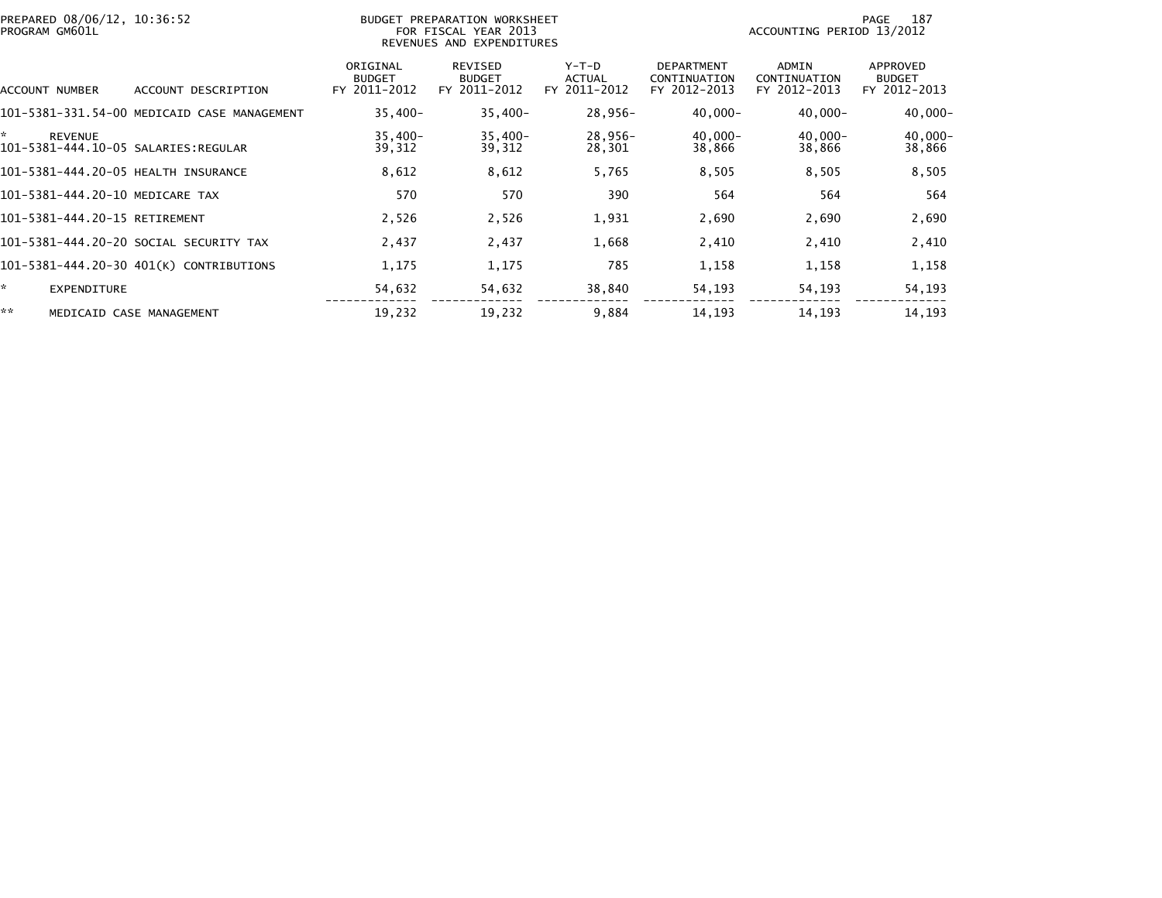| PREPARED 08/06/12, 10:36:52<br>PROGRAM GM601L               |                                             |                                           | BUDGET PREPARATION WORKSHEET<br>FOR FISCAL YEAR 2013<br>REVENUES AND EXPENDITURES |                                        |                                                   | ACCOUNTING PERIOD 13/2012             | 187<br>PAGE                               |
|-------------------------------------------------------------|---------------------------------------------|-------------------------------------------|-----------------------------------------------------------------------------------|----------------------------------------|---------------------------------------------------|---------------------------------------|-------------------------------------------|
| ACCOUNT NUMBER                                              | ACCOUNT DESCRIPTION                         | ORIGINAL<br><b>BUDGET</b><br>FY 2011-2012 | REVISED<br><b>BUDGET</b><br>FY 2011-2012                                          | Y-T-D<br><b>ACTUAL</b><br>FY 2011-2012 | <b>DEPARTMENT</b><br>CONTINUATION<br>FY 2012-2013 | ADMIN<br>CONTINUATION<br>FY 2012-2013 | APPROVED<br><b>BUDGET</b><br>FY 2012-2013 |
|                                                             | 101-5381-331.54-00 MEDICAID CASE MANAGEMENT | $35,400 -$                                | $35,400-$                                                                         | 28,956-                                | $40,000 -$                                        | $40,000 -$                            | $40,000 -$                                |
| ×.<br><b>REVENUE</b><br>101-5381-444.10-05 SALARIES:REGULAR |                                             | $35,400 -$<br>39,312                      | $35,400-$<br>39,312                                                               | 28,956-<br>28,301                      | $40,000 -$<br>38,866                              | $40,000 -$<br>38,866                  | $40,000 -$<br>38,866                      |
| 101-5381-444.20-05 HEALTH INSURANCE                         |                                             | 8,612                                     | 8,612                                                                             | 5,765                                  | 8,505                                             | 8,505                                 | 8,505                                     |
| 101-5381-444.20-10 MEDICARE TAX                             |                                             | 570                                       | 570                                                                               | 390                                    | 564                                               | 564                                   | 564                                       |
| 101-5381-444.20-15 RETIREMENT                               |                                             | 2,526                                     | 2,526                                                                             | 1,931                                  | 2,690                                             | 2,690                                 | 2,690                                     |
|                                                             | 101–5381–444.20–20 SOCIAL SECURITY TAX      | 2,437                                     | 2,437                                                                             | 1,668                                  | 2,410                                             | 2,410                                 | 2,410                                     |
|                                                             | 101-5381-444.20-30 401(K) CONTRIBUTIONS     | 1,175                                     | 1,175                                                                             | 785                                    | 1,158                                             | 1,158                                 | 1,158                                     |
| ÷.<br><b>EXPENDITURE</b>                                    |                                             | 54,632                                    | 54,632                                                                            | 38,840                                 | 54,193                                            | 54,193                                | 54,193                                    |
| **                                                          | MEDICAID CASE MANAGEMENT                    | 19,232                                    | 19,232                                                                            | 9,884                                  | 14, 193                                           | 14,193                                | 14,193                                    |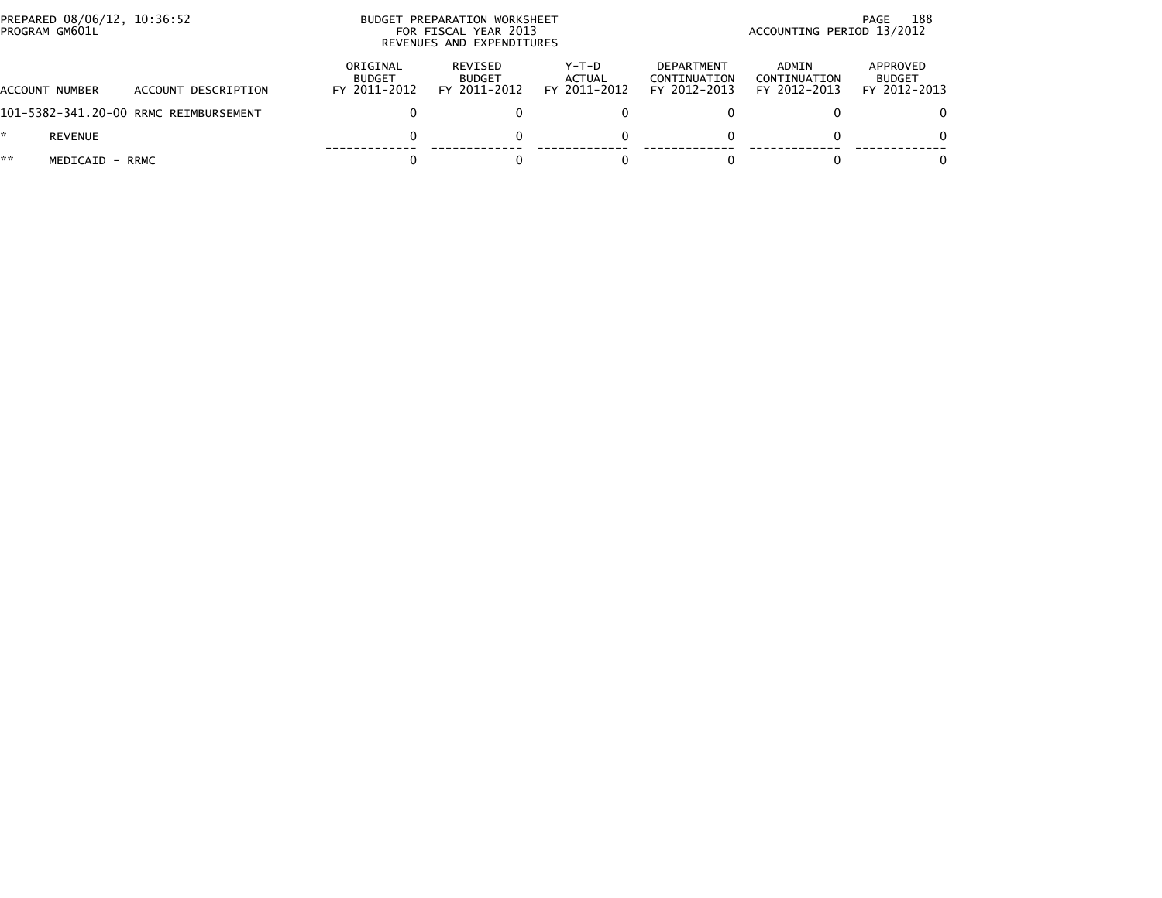|    | PREPARED 08/06/12, 10:36:52<br>PROGRAM GM601L |                                       |                                           | BUDGET PREPARATION WORKSHEET<br>FOR FISCAL YEAR 2013<br>REVENUES AND EXPENDITURES |                                   | 188<br>PAGE<br>ACCOUNTING PERIOD 13/2012          |                                       |                                           |  |
|----|-----------------------------------------------|---------------------------------------|-------------------------------------------|-----------------------------------------------------------------------------------|-----------------------------------|---------------------------------------------------|---------------------------------------|-------------------------------------------|--|
|    | ACCOUNT NUMBER                                | ACCOUNT DESCRIPTION                   | ORIGINAL<br><b>BUDGET</b><br>FY 2011-2012 | REVISED<br><b>BUDGET</b><br>FY 2011-2012                                          | $Y-T-D$<br>ACTUAL<br>FY 2011-2012 | <b>DEPARTMENT</b><br>CONTINUATION<br>FY 2012-2013 | ADMIN<br>CONTINUATION<br>FY 2012-2013 | APPROVED<br><b>BUDGET</b><br>FY 2012-2013 |  |
|    |                                               | 101-5382-341.20-00 RRMC REIMBURSEMENT |                                           |                                                                                   | 0                                 |                                                   |                                       | $\Omega$                                  |  |
|    | <b>REVENUE</b>                                |                                       |                                           |                                                                                   | $\Omega$                          |                                                   |                                       | $\Omega$                                  |  |
| ** | MEDICAID - RRMC                               |                                       |                                           |                                                                                   |                                   |                                                   |                                       | 0                                         |  |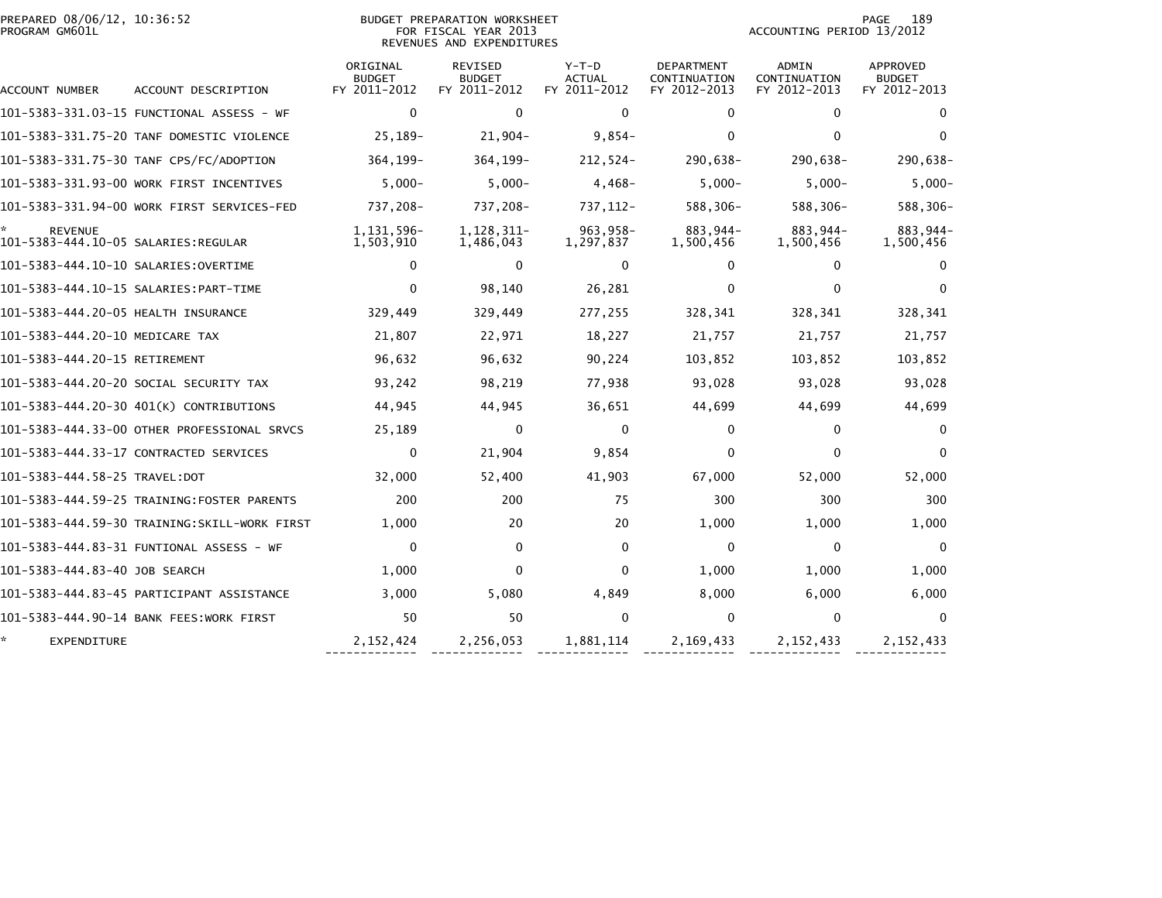| PREPARED 08/06/12, 10:36:52<br>PROGRAM GM601L |                                              |                                           | <b>BUDGET PREPARATION WORKSHEET</b><br>FOR FISCAL YEAR 2013<br>REVENUES AND EXPENDITURES |                                          |                                                   | ACCOUNTING PERIOD 13/2012                    | 189<br>PAGE                               |
|-----------------------------------------------|----------------------------------------------|-------------------------------------------|------------------------------------------------------------------------------------------|------------------------------------------|---------------------------------------------------|----------------------------------------------|-------------------------------------------|
| ACCOUNT NUMBER                                | ACCOUNT DESCRIPTION                          | ORIGINAL<br><b>BUDGET</b><br>FY 2011-2012 | <b>REVISED</b><br><b>BUDGET</b><br>FY 2011-2012                                          | $Y-T-D$<br><b>ACTUAL</b><br>FY 2011-2012 | <b>DEPARTMENT</b><br>CONTINUATION<br>FY 2012-2013 | <b>ADMIN</b><br>CONTINUATION<br>FY 2012-2013 | APPROVED<br><b>BUDGET</b><br>FY 2012-2013 |
|                                               |                                              | $\mathbf 0$                               | $\mathbf 0$                                                                              | $\Omega$                                 | $\Omega$                                          | $\mathbf{0}$                                 | $\bf{0}$                                  |
|                                               | 101-5383-331.75-20 TANF DOMESTIC VIOLENCE    | 25,189-                                   | $21,904-$                                                                                | $9,854-$                                 | 0                                                 | $\mathbf{0}$                                 | $\Omega$                                  |
|                                               | 101-5383-331.75-30 TANF CPS/FC/ADOPTION      | 364,199-                                  | 364, 199-                                                                                | $212,524-$                               | 290,638-                                          | 290,638-                                     | 290,638-                                  |
|                                               | 101-5383-331.93-00 WORK FIRST INCENTIVES     | $5,000-$                                  | $5,000-$                                                                                 | $4,468-$                                 | $5,000-$                                          | $5,000-$                                     | $5,000-$                                  |
|                                               | 101-5383-331.94-00 WORK FIRST SERVICES-FED   | 737,208-                                  | 737,208-                                                                                 | 737, 112-                                | 588,306-                                          | 588,306-                                     | 588,306-                                  |
| <b>REVENUE</b>                                |                                              | 1, 131, 596-<br>1,503,910                 | 1, 128, 311-<br>1,486,043                                                                | 963,958-<br>1,297,837                    | 883,944-<br>1,500,456                             | 883,944-<br>1,500,456                        | 883,944-<br>1,500,456                     |
| 101–5383–444.10–10 SALARIES:OVERTIME          |                                              | $\mathbf{0}$                              | $\mathbf{0}$                                                                             | $\Omega$                                 | 0                                                 | $\mathbf{0}$                                 | $\Omega$                                  |
|                                               |                                              | $\mathbf{0}$                              | 98,140                                                                                   | 26,281                                   | $\mathbf{0}$                                      | 0                                            | $\Omega$                                  |
| 101-5383-444.20-05 HEALTH INSURANCE           |                                              | 329,449                                   | 329,449                                                                                  | 277,255                                  | 328,341                                           | 328,341                                      | 328,341                                   |
| 101-5383-444.20-10 MEDICARE TAX               |                                              | 21,807                                    | 22,971                                                                                   | 18,227                                   | 21,757                                            | 21,757                                       | 21,757                                    |
| 101-5383-444.20-15 RETIREMENT                 |                                              | 96,632                                    | 96,632                                                                                   | 90,224                                   | 103,852                                           | 103,852                                      | 103,852                                   |
|                                               | 101-5383-444.20-20 SOCIAL SECURITY TAX       | 93,242                                    | 98,219                                                                                   | 77,938                                   | 93,028                                            | 93,028                                       | 93,028                                    |
|                                               | 101-5383-444.20-30 401(K) CONTRIBUTIONS      | 44,945                                    | 44,945                                                                                   | 36,651                                   | 44,699                                            | 44,699                                       | 44,699                                    |
|                                               | 101-5383-444.33-00 OTHER PROFESSIONAL SRVCS  | 25,189                                    | $\mathbf{0}$                                                                             | $\mathbf{0}$                             | $\Omega$                                          | $\mathbf{0}$                                 | $\Omega$                                  |
|                                               | 101-5383-444.33-17 CONTRACTED SERVICES       | 0                                         | 21,904                                                                                   | 9,854                                    | $\Omega$                                          | $\mathbf{0}$                                 | $\Omega$                                  |
|                                               |                                              | 32,000                                    | 52,400                                                                                   | 41,903                                   | 67,000                                            | 52,000                                       | 52,000                                    |
|                                               |                                              | 200                                       | 200                                                                                      | 75                                       | 300                                               | 300                                          | 300                                       |
|                                               | 101-5383-444.59-30 TRAINING:SKILL-WORK FIRST | 1,000                                     | 20                                                                                       | 20                                       | 1,000                                             | 1,000                                        | 1,000                                     |
|                                               | 101–5383–444.83–31 FUNTIONAL ASSESS – WF     | $\mathbf{0}$                              | $\mathbf{0}$                                                                             | $\mathbf{0}$                             | $\mathbf{0}$                                      | $\mathbf{0}$                                 | $\Omega$                                  |
| 101-5383-444.83-40 JOB SEARCH                 |                                              | 1,000                                     | $\mathbf 0$                                                                              | $\Omega$                                 | 1,000                                             | 1,000                                        | 1,000                                     |
|                                               | 101–5383–444.83–45 PARTICIPANT ASSISTANCE    | 3,000                                     | 5,080                                                                                    | 4,849                                    | 8,000                                             | 6,000                                        | 6,000                                     |
|                                               | 101-5383-444.90-14 BANK FEES:WORK FIRST      | 50                                        | 50                                                                                       | $\Omega$                                 | 0                                                 | $\mathbf{0}$                                 | $\Omega$                                  |
| EXPENDITURE                                   |                                              | 2, 152, 424                               | 2,256,053                                                                                | 1,881,114                                | 2,169,433                                         | 2, 152, 433                                  | 2, 152, 433                               |

------------- ------------- ------------- ------------- ------------- -------------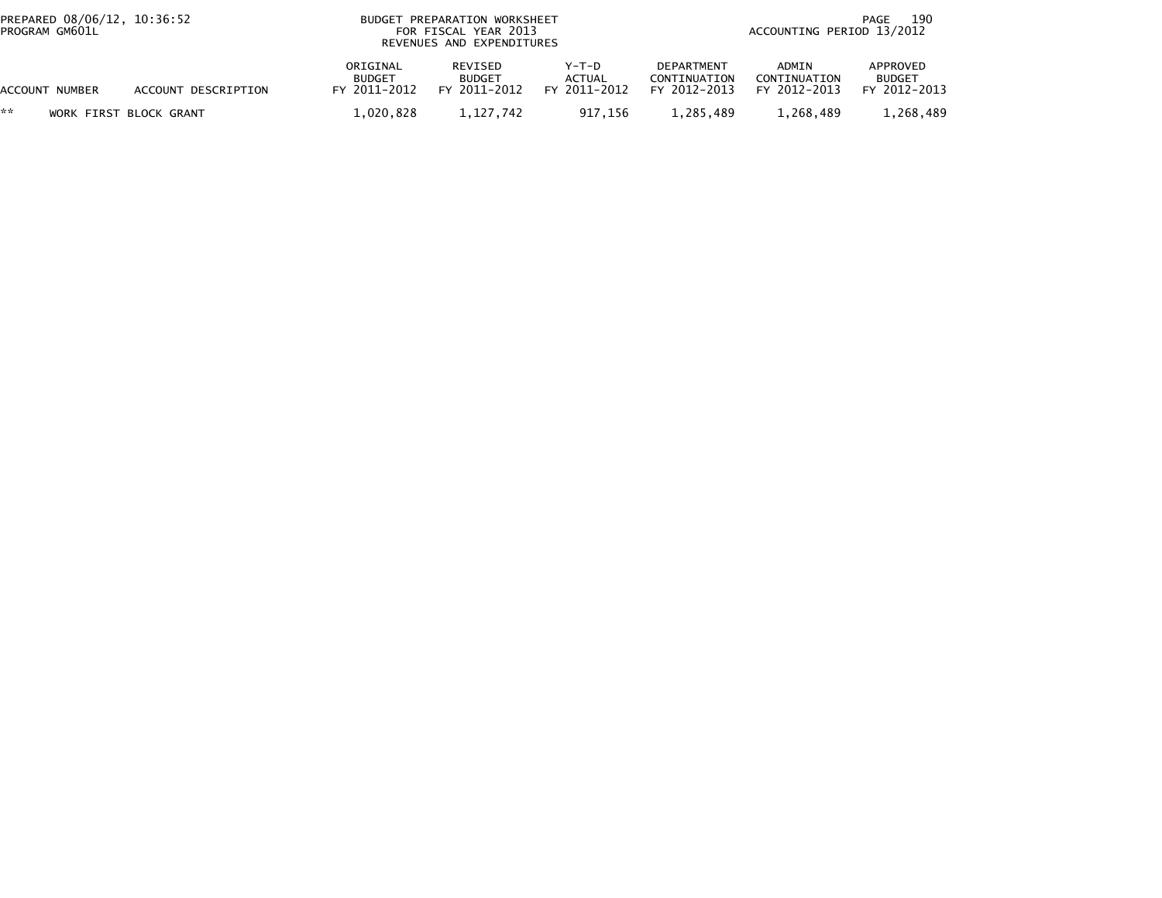| PREPARED 08/06/12, 10:36:52<br>PROGRAM GM601L |                     |                                           | BUDGET PREPARATION WORKSHEET<br>FOR FISCAL YEAR 2013<br>REVENUES AND EXPENDITURES |                                   |                                                   |                                       | 190<br>PAGE<br>ACCOUNTING PERIOD 13/2012  |  |  |
|-----------------------------------------------|---------------------|-------------------------------------------|-----------------------------------------------------------------------------------|-----------------------------------|---------------------------------------------------|---------------------------------------|-------------------------------------------|--|--|
| ACCOUNT NUMBER                                | ACCOUNT DESCRIPTION | ORIGINAL<br><b>BUDGET</b><br>FY 2011-2012 | REVISED<br><b>BUDGET</b><br>FY 2011-2012                                          | $Y-T-D$<br>ACTUAL<br>FY 2011-2012 | <b>DEPARTMENT</b><br>CONTINUATION<br>FY 2012-2013 | ADMIN<br>CONTINUATION<br>FY 2012-2013 | APPROVED<br><b>BUDGET</b><br>FY 2012-2013 |  |  |
| **<br>WORK FIRST BLOCK GRANT                  |                     | 1.020.828                                 | 1.127.742                                                                         | 917.156                           | 1.285.489                                         | 1.268.489                             | 1.268.489                                 |  |  |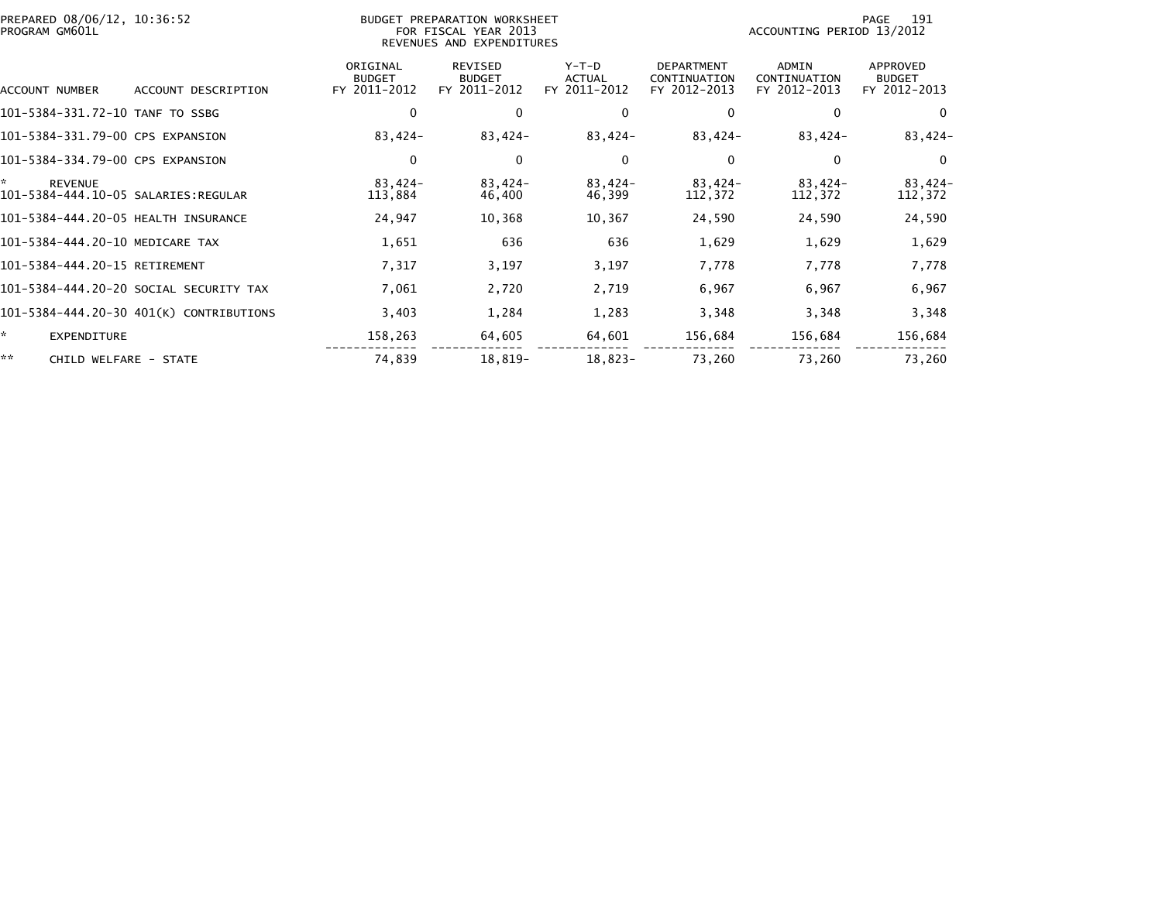| PREPARED 08/06/12, 10:36:52<br>PROGRAM GM601L |                                         |                                           | BUDGET PREPARATION WORKSHEET<br>FOR FISCAL YEAR 2013<br>REVENUES AND EXPENDITURES |                                          | 191<br>PAGE<br>ACCOUNTING PERIOD 13/2012          |                                              |                                           |
|-----------------------------------------------|-----------------------------------------|-------------------------------------------|-----------------------------------------------------------------------------------|------------------------------------------|---------------------------------------------------|----------------------------------------------|-------------------------------------------|
| ACCOUNT NUMBER                                | ACCOUNT DESCRIPTION                     | ORIGINAL<br><b>BUDGET</b><br>FY 2011-2012 | <b>REVISED</b><br><b>BUDGET</b><br>FY 2011-2012                                   | $Y-T-D$<br><b>ACTUAL</b><br>FY 2011-2012 | <b>DEPARTMENT</b><br>CONTINUATION<br>FY 2012-2013 | <b>ADMIN</b><br>CONTINUATION<br>FY 2012-2013 | APPROVED<br><b>BUDGET</b><br>FY 2012-2013 |
| 101-5384-331.72-10 TANF TO SSBG               |                                         | 0                                         | 0                                                                                 |                                          | 0                                                 | $\Omega$                                     | $\mathbf 0$                               |
| 101-5384-331.79-00 CPS EXPANSION              |                                         | 83,424-                                   | 83,424-                                                                           | 83,424-                                  | $83,424-$                                         | 83,424-                                      | $83,424-$                                 |
| 101-5384-334.79-00 CPS EXPANSION              |                                         | 0                                         | 0                                                                                 | 0                                        | $\mathbf{0}$                                      | $\Omega$                                     | $\Omega$                                  |
| ×.<br><b>REVENUE</b>                          |                                         | 83,424-<br>113,884                        | 83,424-<br>46,400                                                                 | 83,424-<br>46,399                        | 83,424-<br>112,372                                | 83,424-<br>112,372                           | $83,424-$<br>112,372                      |
| 101-5384-444.20-05 HEALTH INSURANCE           |                                         | 24,947                                    | 10,368                                                                            | 10,367                                   | 24,590                                            | 24,590                                       | 24,590                                    |
| 101-5384-444.20-10 MEDICARE TAX               |                                         | 1,651                                     | 636                                                                               | 636                                      | 1,629                                             | 1,629                                        | 1,629                                     |
| 101-5384-444.20-15 RETIREMENT                 |                                         | 7,317                                     | 3,197                                                                             | 3,197                                    | 7,778                                             | 7,778                                        | 7,778                                     |
|                                               | 101–5384–444.20–20 SOCIAL SECURITY TAX  | 7,061                                     | 2,720                                                                             | 2,719                                    | 6,967                                             | 6,967                                        | 6,967                                     |
|                                               | 101-5384-444.20-30 401(K) CONTRIBUTIONS | 3,403                                     | 1,284                                                                             | 1,283                                    | 3,348                                             | 3,348                                        | 3,348                                     |
| *<br>EXPENDITURE                              |                                         | 158,263                                   | 64,605                                                                            | 64,601                                   | 156,684                                           | 156,684                                      | 156,684                                   |
| **<br>CHILD WELFARE - STATE                   |                                         | 74,839                                    | 18,819-                                                                           | $18,823-$                                | 73,260                                            | 73,260                                       | 73,260                                    |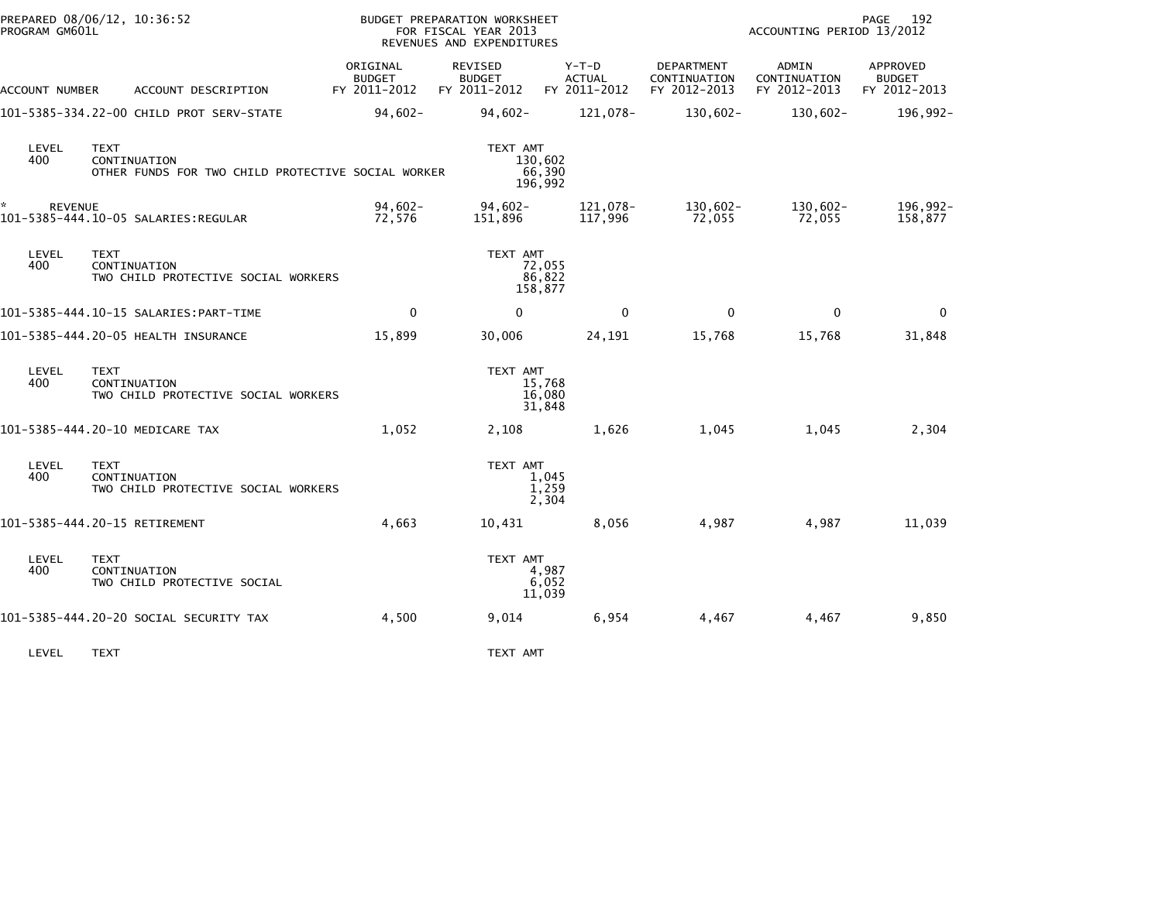|                | PREPARED 08/06/12, 10:36:52<br>PROGRAM GM601L                                     |                                           | BUDGET PREPARATION WORKSHEET<br>FOR FISCAL YEAR 2013<br>REVENUES AND EXPENDITURES |                                          |                                            | 192<br>PAGE<br>ACCOUNTING PERIOD 13/2012 |                                           |  |
|----------------|-----------------------------------------------------------------------------------|-------------------------------------------|-----------------------------------------------------------------------------------|------------------------------------------|--------------------------------------------|------------------------------------------|-------------------------------------------|--|
| ACCOUNT NUMBER | ACCOUNT DESCRIPTION                                                               | ORIGINAL<br><b>BUDGET</b><br>FY 2011-2012 | REVISED<br><b>BUDGET</b><br>FY 2011-2012                                          | $Y-T-D$<br><b>ACTUAL</b><br>FY 2011-2012 | DEPARTMENT<br>CONTINUATION<br>FY 2012-2013 | ADMIN<br>CONTINUATION<br>FY 2012-2013    | APPROVED<br><b>BUDGET</b><br>FY 2012-2013 |  |
|                | 101-5385-334.22-00 CHILD PROT SERV-STATE                                          | $94,602 -$                                | $94,602 -$                                                                        | 121,078-                                 | 130,602-                                   | $130,602 -$                              | 196,992-                                  |  |
| LEVEL<br>400   | <b>TEXT</b><br>CONTINUATION<br>OTHER FUNDS FOR TWO CHILD PROTECTIVE SOCIAL WORKER |                                           | TEXT AMT                                                                          | 130.602<br>66,390<br>196,992             |                                            |                                          |                                           |  |
| <b>REVENUE</b> |                                                                                   | $94,602-$<br>72.576                       | $94,602 -$<br>151,896                                                             | 121,078-<br>117,996                      | $130,602 -$<br>72,055                      | $130,602 -$<br>72,055                    | 196,992-<br>158,877                       |  |
| LEVEL<br>400   | <b>TEXT</b><br>CONTINUATION<br>TWO CHILD PROTECTIVE SOCIAL WORKERS                |                                           | TEXT AMT                                                                          | 72,055<br>86,822<br>158,877              |                                            |                                          |                                           |  |
|                |                                                                                   | $\mathbf{0}$                              | $\mathbf{0}$                                                                      | $\mathbf{0}$                             | $\mathbf{0}$                               | $\mathbf{0}$                             | $\mathbf{0}$                              |  |
|                | 101-5385-444.20-05 HEALTH INSURANCE                                               | 15,899                                    | 30,006                                                                            | 24,191                                   | 15,768                                     | 15,768                                   | 31,848                                    |  |
| LEVEL<br>400   | <b>TEXT</b><br>CONTINUATION<br>TWO CHILD PROTECTIVE SOCIAL WORKERS                |                                           | TEXT AMT                                                                          | 15,768<br>16,080<br>31,848               |                                            |                                          |                                           |  |
|                | 101-5385-444.20-10 MEDICARE TAX                                                   | 1,052                                     | 2,108                                                                             | 1,626                                    | 1,045                                      | 1,045                                    | 2,304                                     |  |
| LEVEL<br>400   | <b>TEXT</b><br>CONTINUATION<br>TWO CHILD PROTECTIVE SOCIAL WORKERS                |                                           | TEXT AMT                                                                          | 1,045<br>1,259<br>2,304                  |                                            |                                          |                                           |  |
|                | 101-5385-444.20-15 RETIREMENT                                                     | 4,663                                     | 10,431                                                                            | 8,056                                    | 4,987                                      | 4,987                                    | 11,039                                    |  |
| LEVEL<br>400   | <b>TEXT</b><br>CONTINUATION<br>TWO CHILD PROTECTIVE SOCIAL                        |                                           | TEXT AMT                                                                          | 4,987<br>6,052<br>11,039                 |                                            |                                          |                                           |  |
|                | 101-5385-444.20-20 SOCIAL SECURITY TAX                                            | 4,500                                     | 9,014                                                                             | 6,954                                    | 4,467                                      | 4,467                                    | 9,850                                     |  |
| LEVEL          | TEXT                                                                              |                                           | TEXT AMT                                                                          |                                          |                                            |                                          |                                           |  |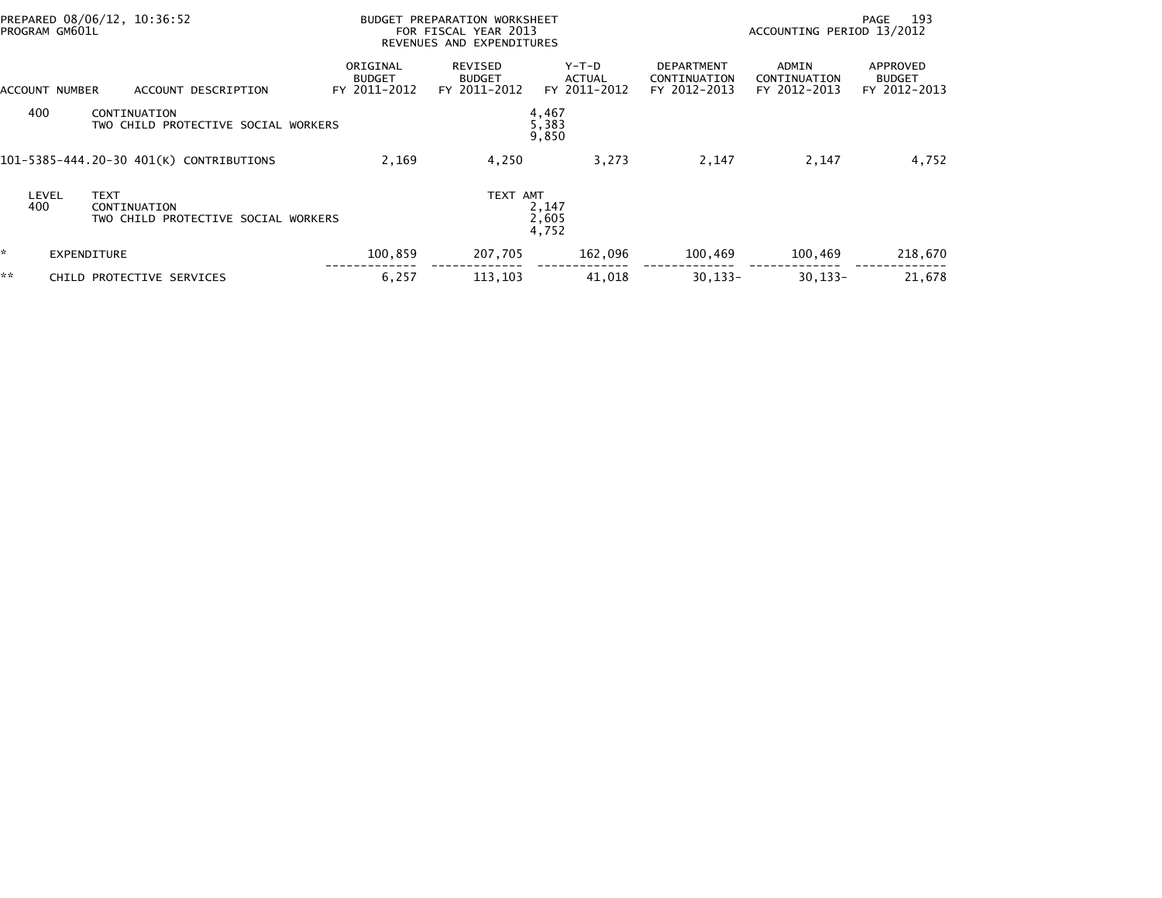|    | PREPARED 08/06/12, 10:36:52<br>PROGRAM GM601L |                                                     |                                           | BUDGET PREPARATION WORKSHEET<br>FOR FISCAL YEAR 2013<br>REVENUES AND EXPENDITURES |                                        |                                                   | 193<br>PAGE<br>ACCOUNTING PERIOD 13/2012 |                                           |  |
|----|-----------------------------------------------|-----------------------------------------------------|-------------------------------------------|-----------------------------------------------------------------------------------|----------------------------------------|---------------------------------------------------|------------------------------------------|-------------------------------------------|--|
|    | ACCOUNT NUMBER                                | ACCOUNT DESCRIPTION                                 | ORIGINAL<br><b>BUDGET</b><br>FY 2011-2012 | REVISED<br><b>BUDGET</b><br>FY 2011-2012                                          | Y-T-D<br>ACTUAL<br>FY 2011-2012        | <b>DEPARTMENT</b><br>CONTINUATION<br>FY 2012-2013 | ADMIN<br>CONTINUATION<br>FY 2012-2013    | APPROVED<br><b>BUDGET</b><br>FY 2012-2013 |  |
|    | 400                                           | CONTINUATION<br>TWO CHILD PROTECTIVE SOCIAL WORKERS |                                           |                                                                                   | 4,467<br>$\frac{5}{9}$ , 383<br>9, 850 |                                                   |                                          |                                           |  |
|    |                                               | 101-5385-444.20-30 401(K) CONTRIBUTIONS             | 2,169                                     | 4,250                                                                             | 3,273                                  | 2,147                                             | 2,147                                    | 4,752                                     |  |
|    | <b>TEXT</b><br>LEVEL<br>400                   | CONTINUATION<br>TWO CHILD PROTECTIVE SOCIAL WORKERS |                                           | TEXT AMT                                                                          | 2,147<br>2,605<br>4,752                |                                                   |                                          |                                           |  |
| ŵ. | EXPENDITURE                                   |                                                     | 100,859                                   | 207,705                                                                           | 162,096                                | 100,469                                           | 100,469                                  | 218,670                                   |  |
| ** |                                               | CHILD PROTECTIVE SERVICES                           | 6,257                                     | 113,103                                                                           | 41,018                                 | $30, 133 -$                                       | $30.133 -$                               | 21,678                                    |  |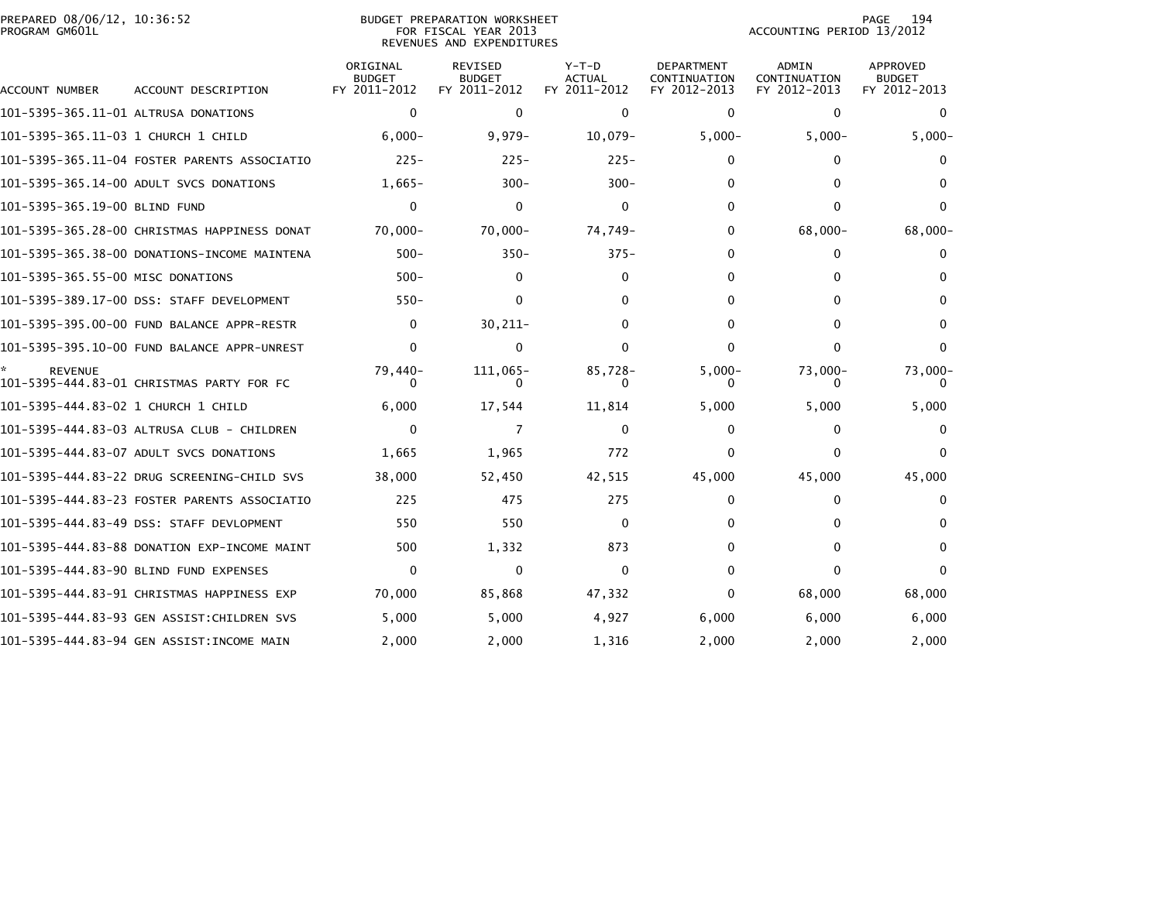|               | REPARED 08/06/12, 10:36:52 |  |
|---------------|----------------------------|--|
| ROGRAM GM601L |                            |  |

## PREPARED 08/06/12, 10:36:52 BUDGET PREPARATION WORKSHEET PAGE 194PROGRAM GM601L FOR FISCAL YEAR 2013 ACCOUNTING PERIOD 13/2012 REVENUES AND EXPENDITURES

PAGE 194<br>ACCOUNTING PERIOD 13/2012

| ACCOUNT NUMBER                       | ACCOUNT DESCRIPTION                          | ORIGINAL<br><b>BUDGET</b><br>FY 2011-2012 | <b>REVISED</b><br><b>BUDGET</b><br>FY 2011-2012 | $Y-T-D$<br><b>ACTUAL</b><br>FY 2011-2012 | <b>DEPARTMENT</b><br>CONTINUATION<br>FY 2012-2013 | <b>ADMIN</b><br>CONTINUATION<br>FY 2012-2013 | <b>APPROVED</b><br><b>BUDGET</b><br>FY 2012-2013 |
|--------------------------------------|----------------------------------------------|-------------------------------------------|-------------------------------------------------|------------------------------------------|---------------------------------------------------|----------------------------------------------|--------------------------------------------------|
| 101-5395-365.11-01 ALTRUSA DONATIONS |                                              | $\mathbf{0}$                              | 0                                               | $\mathbf{0}$                             | 0                                                 | $\Omega$                                     | $\mathbf 0$                                      |
|                                      |                                              | $6.000 -$                                 | $9,979-$                                        | $10.079 -$                               | $5,000-$                                          | $5,000-$                                     | $5,000-$                                         |
|                                      | 101-5395-365.11-04 FOSTER PARENTS ASSOCIATIO | $225 -$                                   | $225 -$                                         | $225 -$                                  | $\mathbf{0}$                                      | 0                                            |                                                  |
|                                      | 101-5395-365.14-00 ADULT SVCS DONATIONS      | $1,665-$                                  | $300 -$                                         | $300 -$                                  | 0                                                 |                                              |                                                  |
| 101–5395–365.19–00 BLIND FUND        |                                              | $\Omega$                                  | $\Omega$                                        | $\bf{0}$                                 | $\bf{0}$                                          | 0                                            | 0                                                |
|                                      | 101-5395-365.28-00 CHRISTMAS HAPPINESS DONAT | $70.000 -$                                | $70,000 -$                                      | 74,749-                                  | $\Omega$                                          | $68,000 -$                                   | 68,000-                                          |
|                                      | 101-5395-365.38-00 DONATIONS-INCOME MAINTENA | $500 -$                                   | $350 -$                                         | $375 -$                                  | 0                                                 | $\Omega$                                     | $^{(1)}$                                         |
| 101-5395-365.55-00 MISC DONATIONS    |                                              | $500 -$                                   | 0                                               | 0                                        | 0                                                 |                                              |                                                  |
|                                      |                                              | $550 -$                                   | 0                                               | 0                                        | 0                                                 | 0                                            |                                                  |
|                                      | 101-5395-395.00-00 FUND BALANCE APPR-RESTR   | 0                                         | $30,211-$                                       | 0                                        | $\Omega$                                          | 0                                            |                                                  |
|                                      |                                              | $\Omega$                                  | 0                                               | 0                                        | $\Omega$                                          | 0                                            | 0                                                |
| <b>REVENUE</b>                       | 101-5395-444.83-01 CHRISTMAS PARTY FOR FC    | 79,440-                                   | $111,065-$                                      | 85,728-                                  | $5,000-$                                          | $73,000-$                                    | 73,000-                                          |
|                                      |                                              | 6,000                                     | 17,544                                          | 11,814                                   | 5,000                                             | 5,000                                        | 5,000                                            |
|                                      | 101-5395-444.83-03 ALTRUSA CLUB - CHILDREN   | $\Omega$                                  | 7                                               | 0                                        | 0                                                 | 0                                            |                                                  |
|                                      | 101-5395-444.83-07 ADULT SVCS DONATIONS      | 1,665                                     | 1,965                                           | 772                                      | 0                                                 | 0                                            |                                                  |
|                                      | 101-5395-444.83-22 DRUG SCREENING-CHILD SVS  | 38,000                                    | 52,450                                          | 42,515                                   | 45,000                                            | 45,000                                       | 45,000                                           |
|                                      | 101-5395-444.83-23 FOSTER PARENTS ASSOCIATIO | 225                                       | 475                                             | 275                                      | 0                                                 | 0                                            |                                                  |
|                                      | 101-5395-444.83-49 DSS: STAFF DEVLOPMENT     | 550                                       | 550                                             | 0                                        | 0                                                 | 0                                            |                                                  |
|                                      | 101-5395-444.83-88 DONATION EXP-INCOME MAINT | 500                                       | 1,332                                           | 873                                      | 0                                                 | 0                                            |                                                  |
|                                      | 101-5395-444.83-90 BLIND FUND EXPENSES       | 0                                         | 0                                               | 0                                        | 0                                                 | 0                                            |                                                  |
|                                      | 101-5395-444.83-91 CHRISTMAS HAPPINESS EXP   | 70,000                                    | 85,868                                          | 47,332                                   | $\mathbf{0}$                                      | 68,000                                       | 68,000                                           |
|                                      | 101–5395–444.83–93 GEN ASSIST:CHILDREN SVS   | 5,000                                     | 5,000                                           | 4,927                                    | 6,000                                             | 6,000                                        | 6,000                                            |
|                                      | 101-5395-444.83-94 GEN ASSIST:INCOME MAIN    | 2,000                                     | 2,000                                           | 1,316                                    | 2.000                                             | 2,000                                        | 2,000                                            |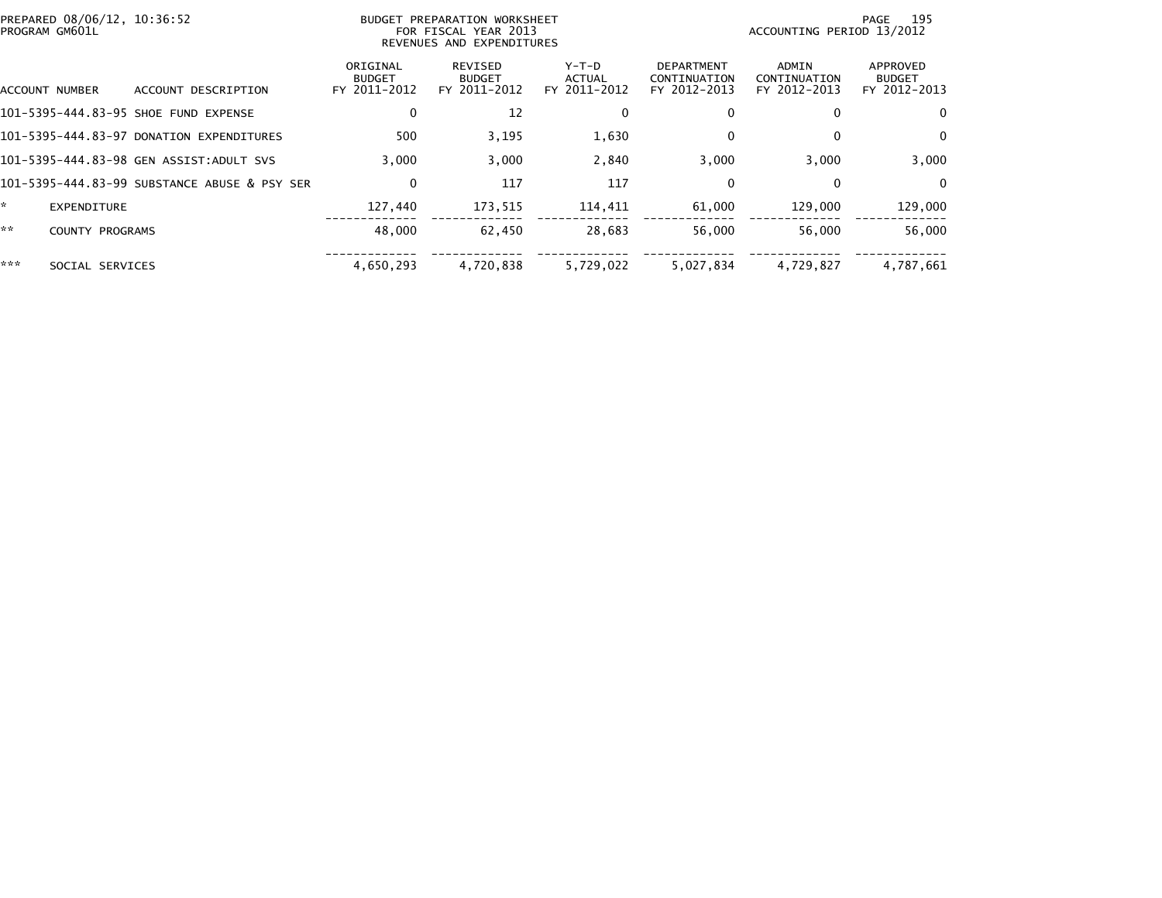| 195<br>PAGE<br>ACCOUNTING PERIOD 13/2012                                           |  |  |
|------------------------------------------------------------------------------------|--|--|
| ADMIN<br>APPROVED<br>CONTINUATION<br><b>BUDGET</b><br>FY 2012-2013<br>FY 2012-2013 |  |  |
| $\bf{0}$<br>0                                                                      |  |  |
| 0<br>$\bf{0}$                                                                      |  |  |
| 3,000<br>3,000                                                                     |  |  |
| $\mathbf{0}$<br>$\Omega$                                                           |  |  |
| 129,000<br>129,000                                                                 |  |  |
| 56,000<br>56.000                                                                   |  |  |
| 4,787,661<br>4,729,827                                                             |  |  |
|                                                                                    |  |  |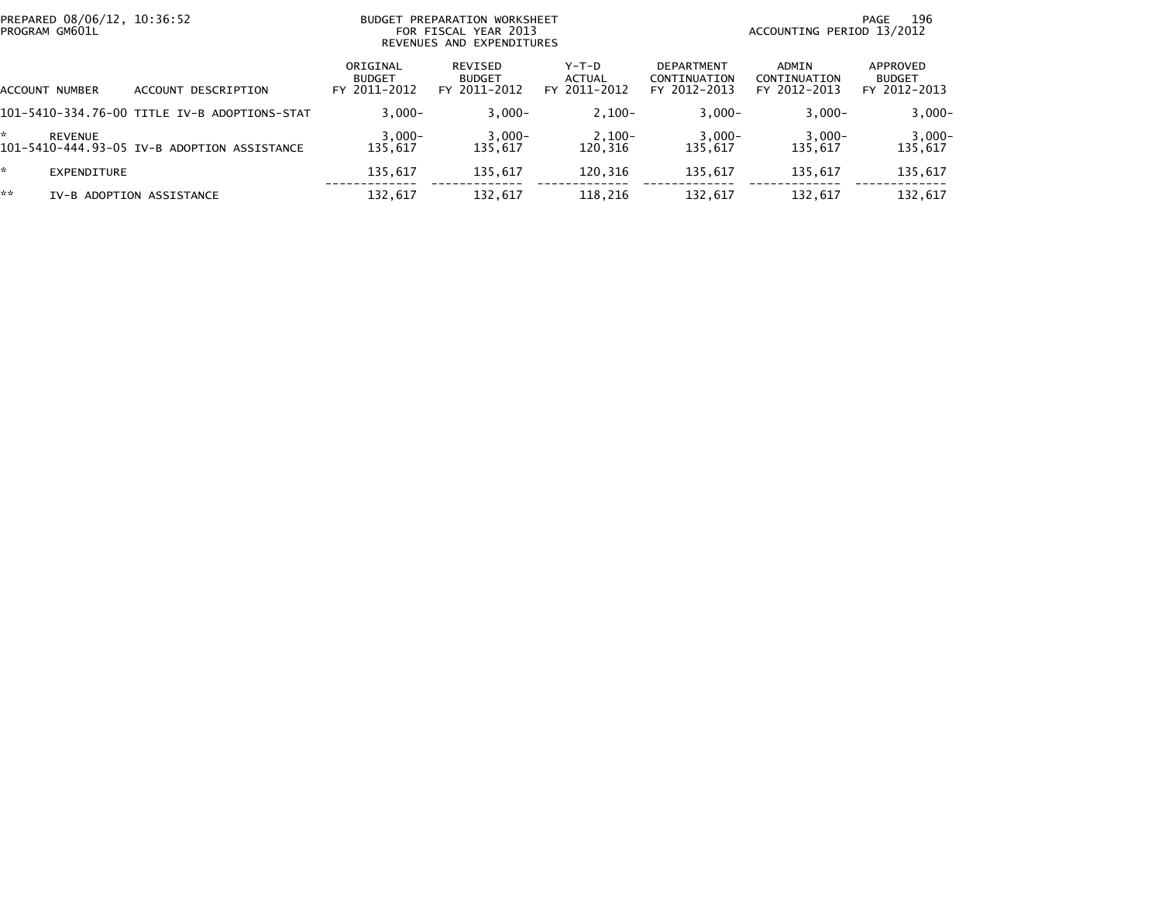| PREPARED 08/06/12, 10:36:52<br>PROGRAM GM601L |                                              |                                           | FOR FISCAL YEAR 2013                     | BUDGET PREPARATION WORKSHEET<br>REVENUES AND EXPENDITURES |                                            |                                       | 196<br>PAGE<br>ACCOUNTING PERIOD 13/2012  |  |  |
|-----------------------------------------------|----------------------------------------------|-------------------------------------------|------------------------------------------|-----------------------------------------------------------|--------------------------------------------|---------------------------------------|-------------------------------------------|--|--|
| <b>ACCOUNT NUMBER</b>                         | ACCOUNT DESCRIPTION                          | ORIGINAL<br><b>BUDGET</b><br>FY 2011-2012 | REVISED<br><b>BUDGET</b><br>FY 2011-2012 | $Y-T-D$<br>ACTUAL<br>FY 2011-2012                         | DEPARTMENT<br>CONTINUATION<br>FY 2012-2013 | ADMIN<br>CONTINUATION<br>FY 2012-2013 | APPROVED<br><b>BUDGET</b><br>FY 2012-2013 |  |  |
|                                               | 101-5410-334.76-00 TITLE IV-B ADOPTIONS-STAT | $3.000 -$                                 | $3.000 -$                                | $2,100-$                                                  | $3,000-$                                   | $3.000 -$                             | $3,000-$                                  |  |  |
| REVENUE                                       | 101-5410-444.93-05 IV-B ADOPTION ASSISTANCE  | $3,000-$<br>135.617                       | $3,000-$<br>135.617                      | $2,100-$<br>120.316                                       | $3,000-$<br>135.617                        | $3,000-$<br>135.617                   | $3,000-$<br>135,617                       |  |  |
| *.<br>EXPENDITURE                             |                                              | 135,617                                   | 135,617                                  | 120,316                                                   | 135,617                                    | 135.617                               | 135,617                                   |  |  |
| **                                            | IV-B ADOPTION ASSISTANCE                     | 132,617                                   | 132,617                                  | 118,216                                                   | 132,617                                    | 132,617                               | 132,617                                   |  |  |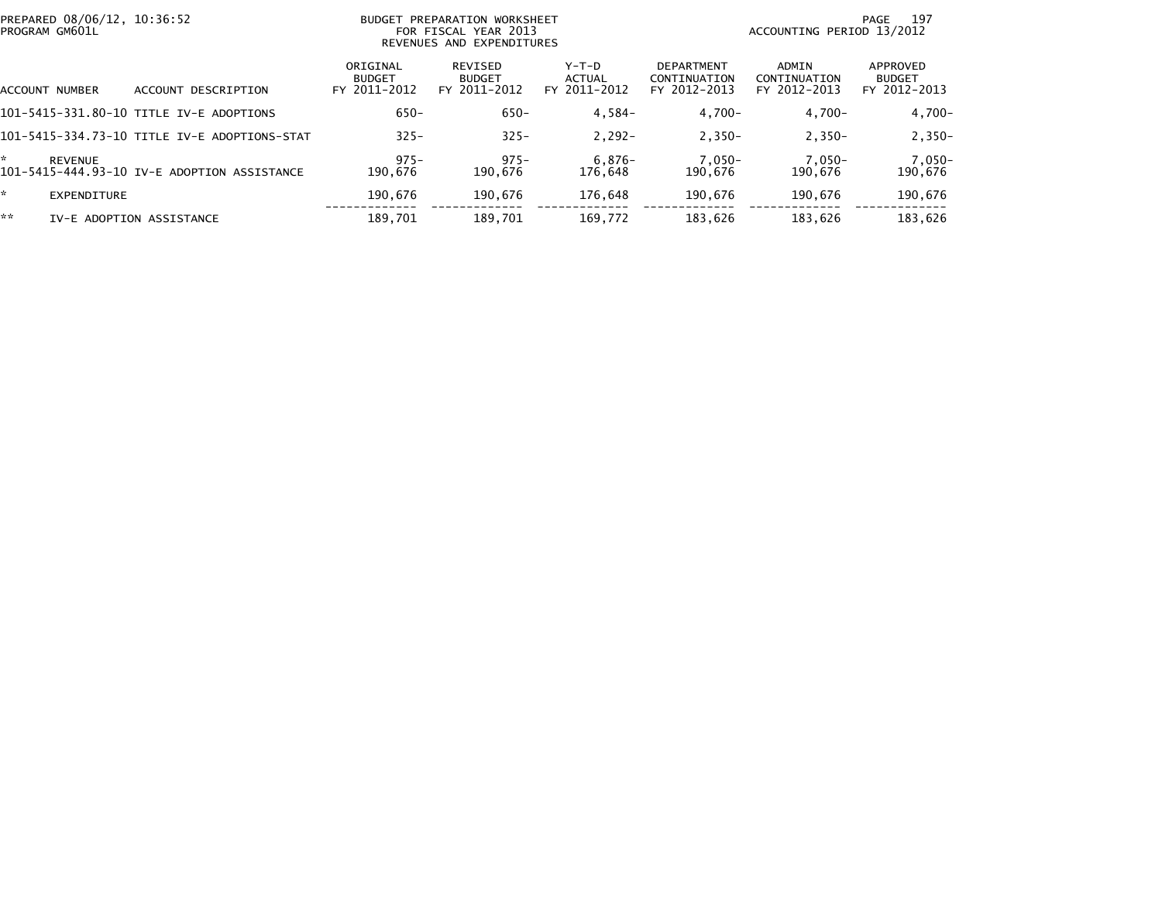| PREPARED 08/06/12, 10:36:52<br>PROGRAM GM601L |                |                                              | BUDGET PREPARATION WORKSHEET<br>FOR FISCAL YEAR 2013<br>REVENUES AND EXPENDITURES |                                          |                                 | 197<br>PAGE<br>ACCOUNTING PERIOD 13/2012          |                                       |                                           |  |
|-----------------------------------------------|----------------|----------------------------------------------|-----------------------------------------------------------------------------------|------------------------------------------|---------------------------------|---------------------------------------------------|---------------------------------------|-------------------------------------------|--|
|                                               | ACCOUNT NUMBER | DESCRIPTION<br>ACCOUNT                       | ORIGINAL<br><b>BUDGET</b><br>FY 2011-2012                                         | REVISED<br><b>BUDGET</b><br>FY 2011-2012 | Y-T-D<br>ACTUAL<br>FY 2011-2012 | <b>DEPARTMENT</b><br>CONTINUATION<br>FY 2012-2013 | ADMIN<br>CONTINUATION<br>FY 2012-2013 | APPROVED<br><b>BUDGET</b><br>FY 2012-2013 |  |
|                                               |                | 101-5415-331.80-10 TITLE IV-E ADOPTIONS      | $650 -$                                                                           | $650 -$                                  | $4.584-$                        | $4.700 -$                                         | $4.700 -$                             | 4,700-                                    |  |
|                                               |                | 101-5415-334.73-10 TITLE IV-E ADOPTIONS-STAT | $325 -$                                                                           | $325 -$                                  | $2.292 -$                       | $2.350 -$                                         | $2.350 -$                             | $2,350-$                                  |  |
| *                                             | <b>REVENUE</b> | 101-5415-444.93-10 IV-E ADOPTION ASSISTANCE  | $975 -$<br>190.676                                                                | $975 -$<br>190.676                       | 6,876-<br>176.648               | 7.050-<br>190.676                                 | 7.050-<br>190.676                     | 7,050-<br>190,676                         |  |
| *.                                            | EXPENDITURE    |                                              | 190.676                                                                           | 190.676                                  | 176,648                         | 190.676                                           | 190.676                               | 190,676                                   |  |
| **                                            |                | IV-E ADOPTION ASSISTANCE                     | 189,701                                                                           | 189.701                                  | 169.772                         | 183.626                                           | 183.626                               | 183,626                                   |  |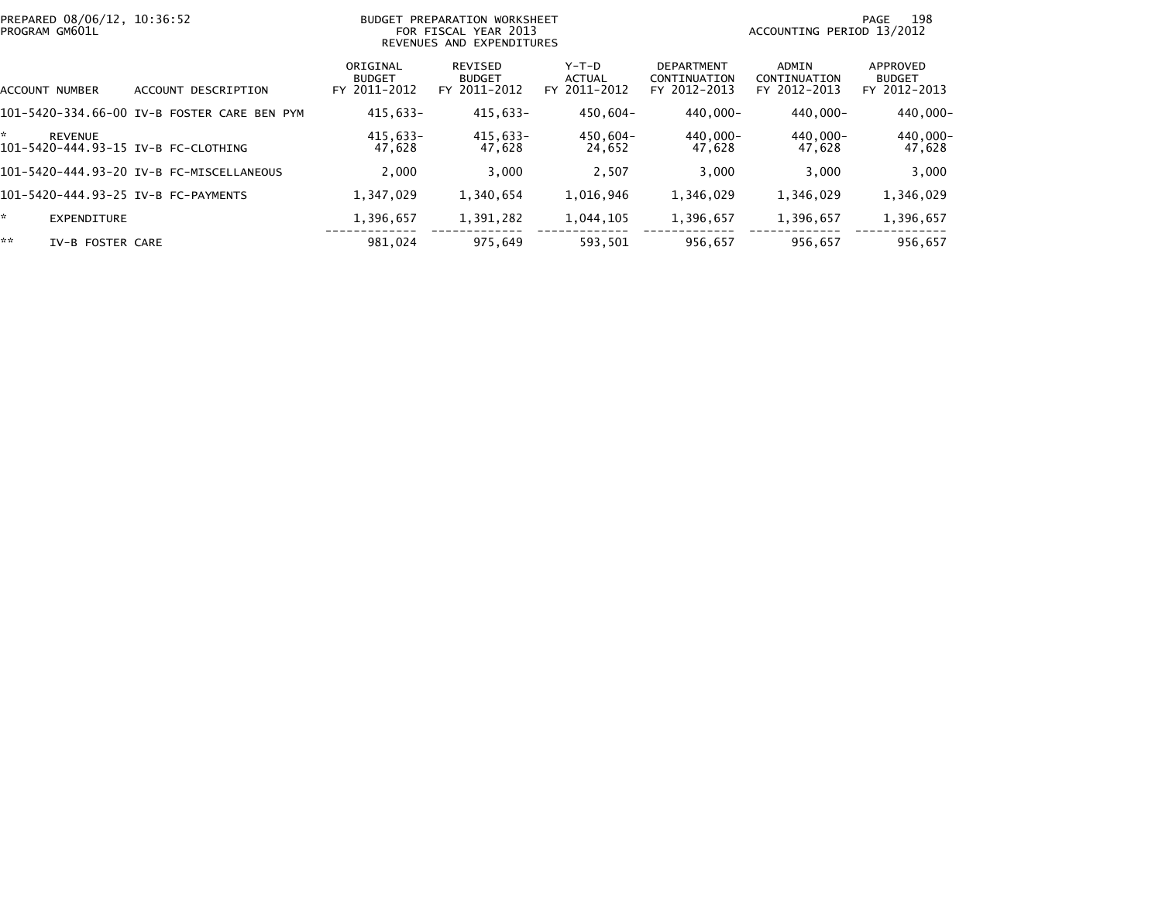| PREPARED 08/06/12, 10:36:52<br>PROGRAM GM601L         |                                             | BUDGET PREPARATION WORKSHEET<br>FOR FISCAL YEAR 2013<br>REVENUES AND EXPENDITURES |                                          |                                 | 198<br>PAGE<br>ACCOUNTING PERIOD 13/2012          |                                       |                                           |
|-------------------------------------------------------|---------------------------------------------|-----------------------------------------------------------------------------------|------------------------------------------|---------------------------------|---------------------------------------------------|---------------------------------------|-------------------------------------------|
| ACCOUNT NUMBER                                        | DESCRIPTION<br><b>ACCOUNT</b>               | ORIGINAL<br><b>BUDGET</b><br>FY 2011-2012                                         | REVISED<br><b>BUDGET</b><br>FY 2011-2012 | Y-T-D<br>ACTUAL<br>FY 2011-2012 | <b>DEPARTMENT</b><br>CONTINUATION<br>FY 2012-2013 | ADMIN<br>CONTINUATION<br>FY 2012-2013 | APPROVED<br><b>BUDGET</b><br>FY 2012-2013 |
|                                                       | 101-5420-334.66-00 IV-B FOSTER CARE BEN PYM | 415.633-                                                                          | 415,633-                                 | 450.604-                        | 440.000-                                          | 440.000-                              | 440,000-                                  |
| <b>REVENUE</b><br>101-5420-444.93-15 IV-B FC-CLOTHING |                                             | 415,633-<br>47,628                                                                | 415,633-<br>47,628                       | 450,604-<br>24,652              | 440.000-<br>47,628                                | 440,000-<br>47,628                    | 440,000-<br>47,628                        |
|                                                       | 101-5420-444.93-20 IV-B FC-MISCELLANEOUS    | 2,000                                                                             | 3.000                                    | 2,507                           | 3,000                                             | 3.000                                 | 3,000                                     |
| 101-5420-444.93-25 IV-B FC-PAYMENTS                   |                                             | 1,347,029                                                                         | 1,340,654                                | 1,016,946                       | 1,346,029                                         | 1,346,029                             | 1,346,029                                 |
| <b>EXPENDITURE</b>                                    |                                             | 1,396,657                                                                         | 1,391,282                                | 1,044,105                       | 1,396,657                                         | 1,396,657                             | 1,396,657                                 |
| **<br>IV-B FOSTER CARE                                |                                             | 981.024                                                                           | 975.649                                  | 593,501                         | 956,657                                           | 956.657                               | 956,657                                   |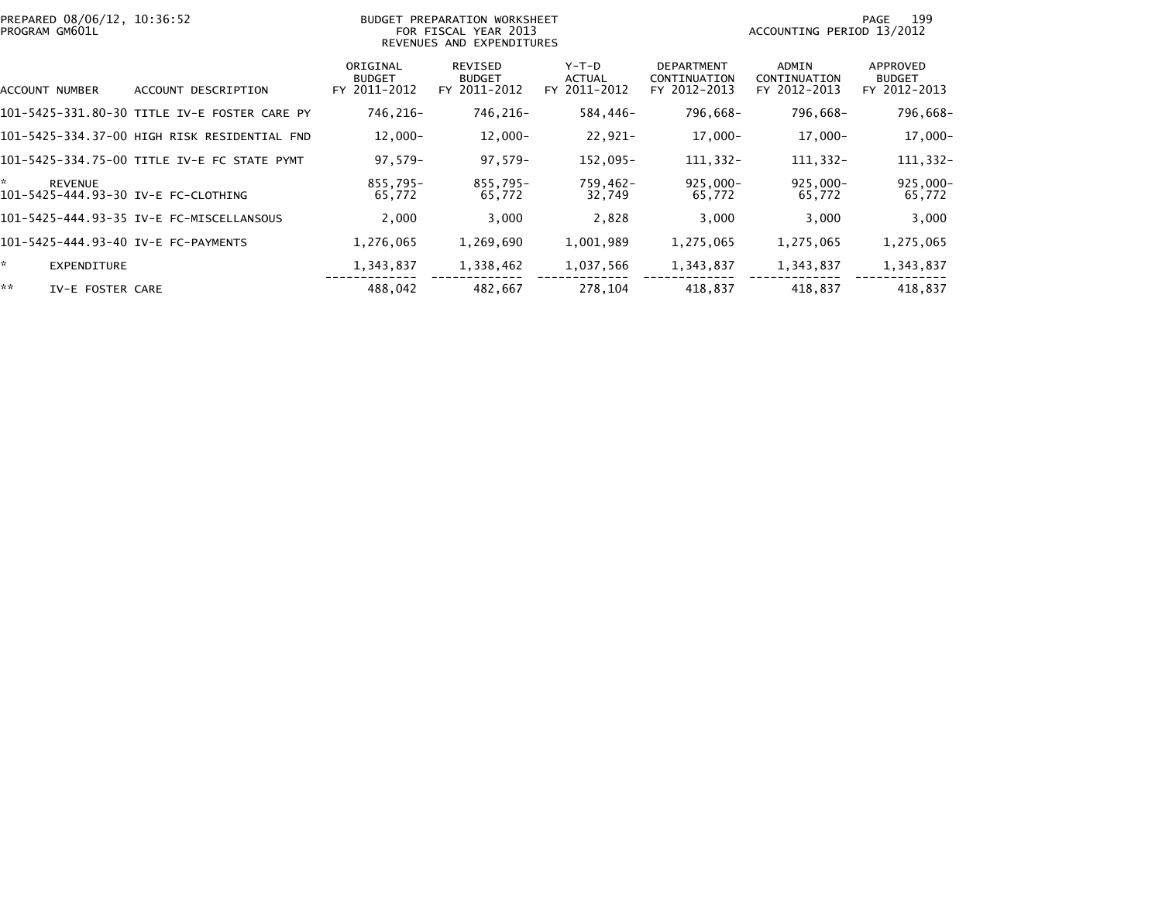| PREPARED 08/06/12, 10:36:52<br>PROGRAM GM601L              |                                              |                                           | BUDGET PREPARATION WORKSHEET<br>FOR FISCAL YEAR 2013<br>REVENUES AND EXPENDITURES |                                        | 199<br>PAGE<br>ACCOUNTING PERIOD 13/2012          |                                       |                                           |  |
|------------------------------------------------------------|----------------------------------------------|-------------------------------------------|-----------------------------------------------------------------------------------|----------------------------------------|---------------------------------------------------|---------------------------------------|-------------------------------------------|--|
| ACCOUNT NUMBER                                             | ACCOUNT DESCRIPTION                          | ORIGINAL<br><b>BUDGET</b><br>FY 2011-2012 | REVISED<br><b>BUDGET</b><br>FY 2011-2012                                          | Y-T-D<br><b>ACTUAL</b><br>FY 2011-2012 | <b>DEPARTMENT</b><br>CONTINUATION<br>FY 2012-2013 | ADMIN<br>CONTINUATION<br>FY 2012-2013 | APPROVED<br><b>BUDGET</b><br>FY 2012-2013 |  |
|                                                            | 101-5425-331.80-30 TITLE IV-E FOSTER CARE PY | 746.216-                                  | 746,216-                                                                          | 584,446-                               | 796,668-                                          | 796,668-                              | 796,668-                                  |  |
|                                                            | 101–5425–334.37–00 HIGH RISK RESIDENTIAL FND | $12,000-$                                 | $12,000-$                                                                         | 22,921-                                | $17,000 -$                                        | 17,000-                               | $17,000 -$                                |  |
|                                                            | 101-5425-334.75-00 TITLE IV-E FC STATE PYMT  | $97.579 -$                                | $97,579-$                                                                         | 152,095-                               | 111, 332-                                         | 111,332-                              | 111,332-                                  |  |
| *<br><b>REVENUE</b><br>101-5425-444.93-30 IV-E FC-CLOTHING |                                              | 855,795-<br>65,772                        | $855.795 -$<br>65,772                                                             | 759,462-<br>32,749                     | $925.000 -$<br>65,772                             | $925.000 -$<br>65,772                 | $925,000 -$<br>65,772                     |  |
|                                                            | 101-5425-444.93-35 IV-E FC-MISCELLANSOUS     | 2,000                                     | 3,000                                                                             | 2,828                                  | 3,000                                             | 3,000                                 | 3,000                                     |  |
| 101-5425-444.93-40 IV-E FC-PAYMENTS                        |                                              | 1,276,065                                 | 1,269,690                                                                         | 1,001,989                              | 1,275,065                                         | 1,275,065                             | 1,275,065                                 |  |
| ☆.<br><b>EXPENDITURE</b>                                   |                                              | 1,343,837                                 | 1,338,462                                                                         | 1,037,566                              | 1,343,837                                         | 1,343,837                             | 1,343,837                                 |  |
| **<br>IV-E FOSTER CARE                                     |                                              | 488.042                                   | 482,667                                                                           | 278.104                                | 418.837                                           | 418,837                               | 418,837                                   |  |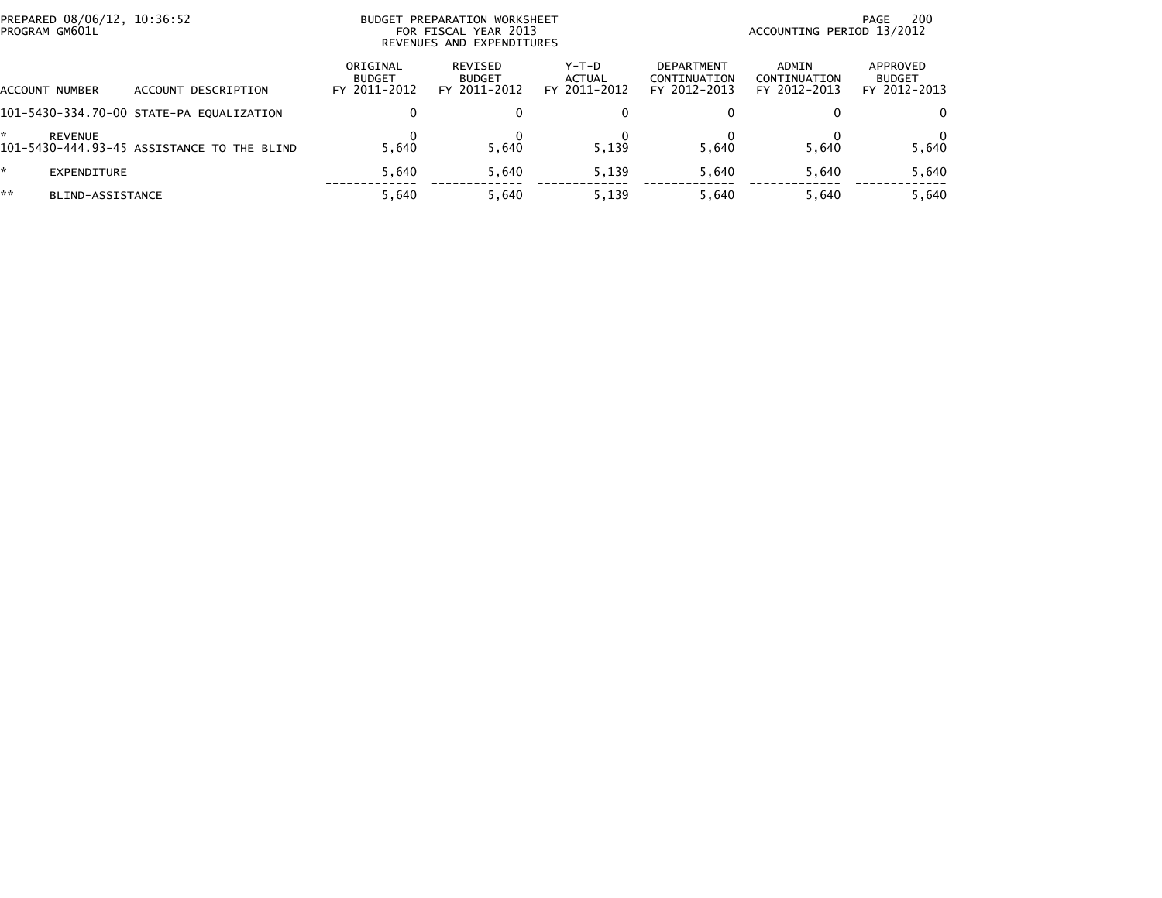| PREPARED 08/06/12, 10:36:52<br>PROGRAM GM601L |                                            | BUDGET PREPARATION WORKSHEET<br>FOR FISCAL YEAR 2013<br>REVENUES AND EXPENDITURES |                                          |                                   |                                            | 200<br>PAGE<br>ACCOUNTING PERIOD 13/2012 |                                           |  |
|-----------------------------------------------|--------------------------------------------|-----------------------------------------------------------------------------------|------------------------------------------|-----------------------------------|--------------------------------------------|------------------------------------------|-------------------------------------------|--|
| ACCOUNT NUMBER                                | DESCRIPTION<br>ACCOUNT                     | ORIGINAL<br><b>BUDGET</b><br>FY 2011-2012                                         | REVISED<br><b>BUDGET</b><br>FY 2011-2012 | $Y-T-D$<br>ACTUAL<br>FY 2011-2012 | DEPARTMENT<br>CONTINUATION<br>FY 2012-2013 | ADMIN<br>CONTINUATION<br>FY 2012-2013    | APPROVED<br><b>BUDGET</b><br>FY 2012-2013 |  |
|                                               | 101-5430-334.70-00 STATE-PA EQUALIZATION   |                                                                                   | $\mathbf{0}$                             |                                   |                                            | 0                                        | 0                                         |  |
| <b>REVENUE</b>                                | 101-5430-444.93-45 ASSISTANCE TO THE BLIND | 5.640                                                                             | 5.640                                    | 5.139                             | 5.640                                      | 5.640                                    | 0<br>5,640                                |  |
| EXPENDITURE                                   |                                            | 5.640                                                                             | 5.640                                    | 5,139                             | 5.640                                      | 5.640                                    | 5,640                                     |  |
| **<br>BLIND-ASSISTANCE                        |                                            | 5.640                                                                             | 5.640                                    | 5,139                             | 5.640                                      | 5.640                                    | 5,640                                     |  |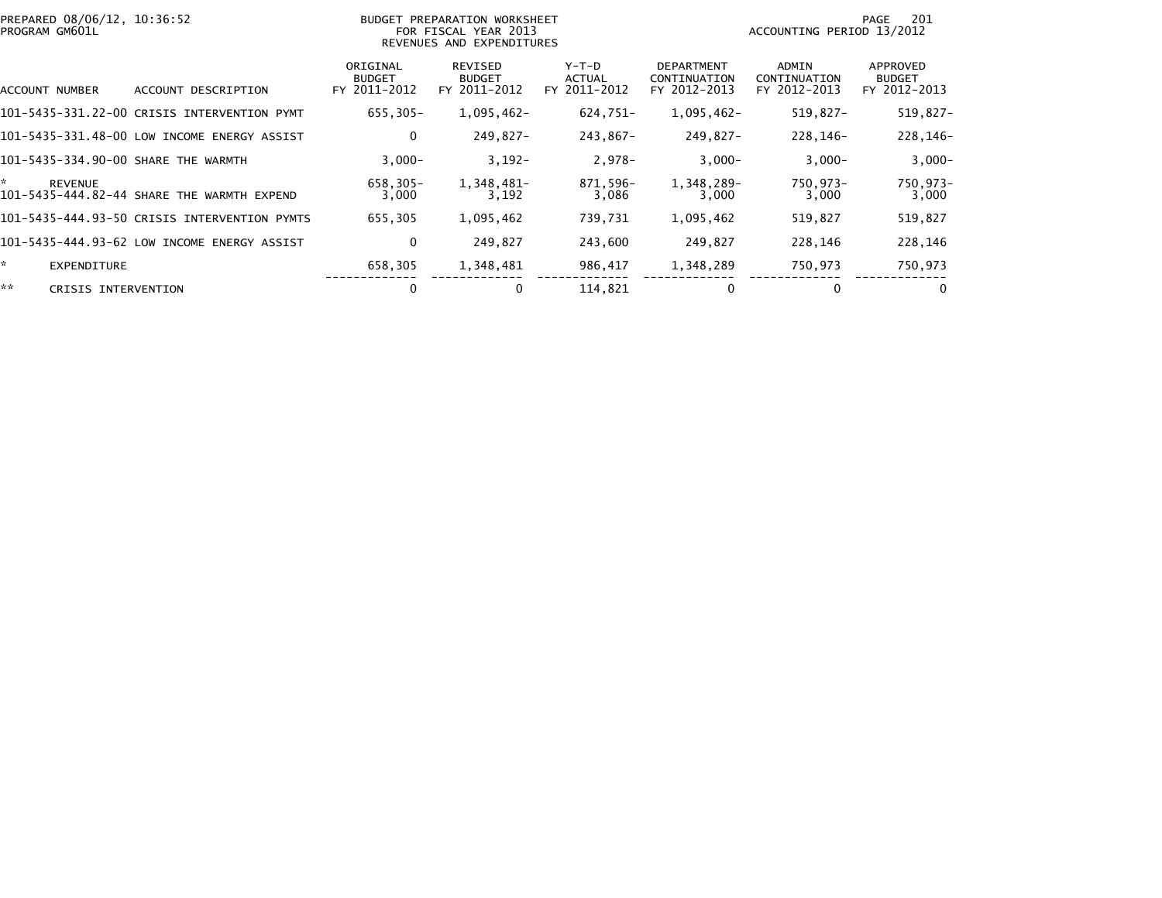|    | PREPARED 08/06/12, 10:36:52<br>PROGRAM GM601L |                                              |                                           | BUDGET PREPARATION WORKSHEET<br>FOR FISCAL YEAR 2013<br>REVENUES AND EXPENDITURES |                                        | 201<br>PAGE<br>ACCOUNTING PERIOD 13/2012          |                                       |                                           |  |
|----|-----------------------------------------------|----------------------------------------------|-------------------------------------------|-----------------------------------------------------------------------------------|----------------------------------------|---------------------------------------------------|---------------------------------------|-------------------------------------------|--|
|    | ACCOUNT NUMBER                                | ACCOUNT DESCRIPTION                          | ORIGINAL<br><b>BUDGET</b><br>FY 2011-2012 | REVISED<br><b>BUDGET</b><br>FY 2011-2012                                          | Y-T-D<br><b>ACTUAL</b><br>FY 2011-2012 | <b>DEPARTMENT</b><br>CONTINUATION<br>FY 2012-2013 | ADMIN<br>CONTINUATION<br>FY 2012-2013 | APPROVED<br><b>BUDGET</b><br>FY 2012-2013 |  |
|    |                                               | 101-5435-331.22-00 CRISIS INTERVENTION PYMT  | $655, 305 -$                              | $1,095,462-$                                                                      | 624,751-                               | 1,095,462-                                        | 519,827-                              | 519,827-                                  |  |
|    |                                               | 101-5435-331.48-00 LOW INCOME ENERGY ASSIST  | 0                                         | 249.827-                                                                          | 243,867-                               | 249,827-                                          | 228.146-                              | 228,146-                                  |  |
|    |                                               | 101-5435-334.90-00 SHARE THE WARMTH          | $3,000-$                                  | $3,192-$                                                                          | 2,978-                                 | $3,000-$                                          | $3,000-$                              | $3,000-$                                  |  |
| *  | <b>REVENUE</b>                                | 101-5435-444.82-44 SHARE THE WARMTH EXPEND   | 658,305-<br>3,000                         | 1,348,481-<br>3,192                                                               | 871,596-<br>3,086                      | 1,348,289-<br>3,000                               | 750,973-<br>3,000                     | 750,973-<br>3,000                         |  |
|    |                                               | 101-5435-444.93-50 CRISIS INTERVENTION PYMTS | 655,305                                   | 1,095,462                                                                         | 739,731                                | 1,095,462                                         | 519,827                               | 519,827                                   |  |
|    |                                               | 101-5435-444.93-62 LOW INCOME ENERGY ASSIST  | 0                                         | 249.827                                                                           | 243,600                                | 249,827                                           | 228,146                               | 228,146                                   |  |
| *. | EXPENDITURE                                   |                                              | 658,305                                   | 1,348,481                                                                         | 986,417                                | 1,348,289                                         | 750,973                               | 750,973                                   |  |
| ** | CRISIS INTERVENTION                           |                                              | 0                                         | 0                                                                                 | 114,821                                | 0                                                 |                                       | $\mathbf 0$                               |  |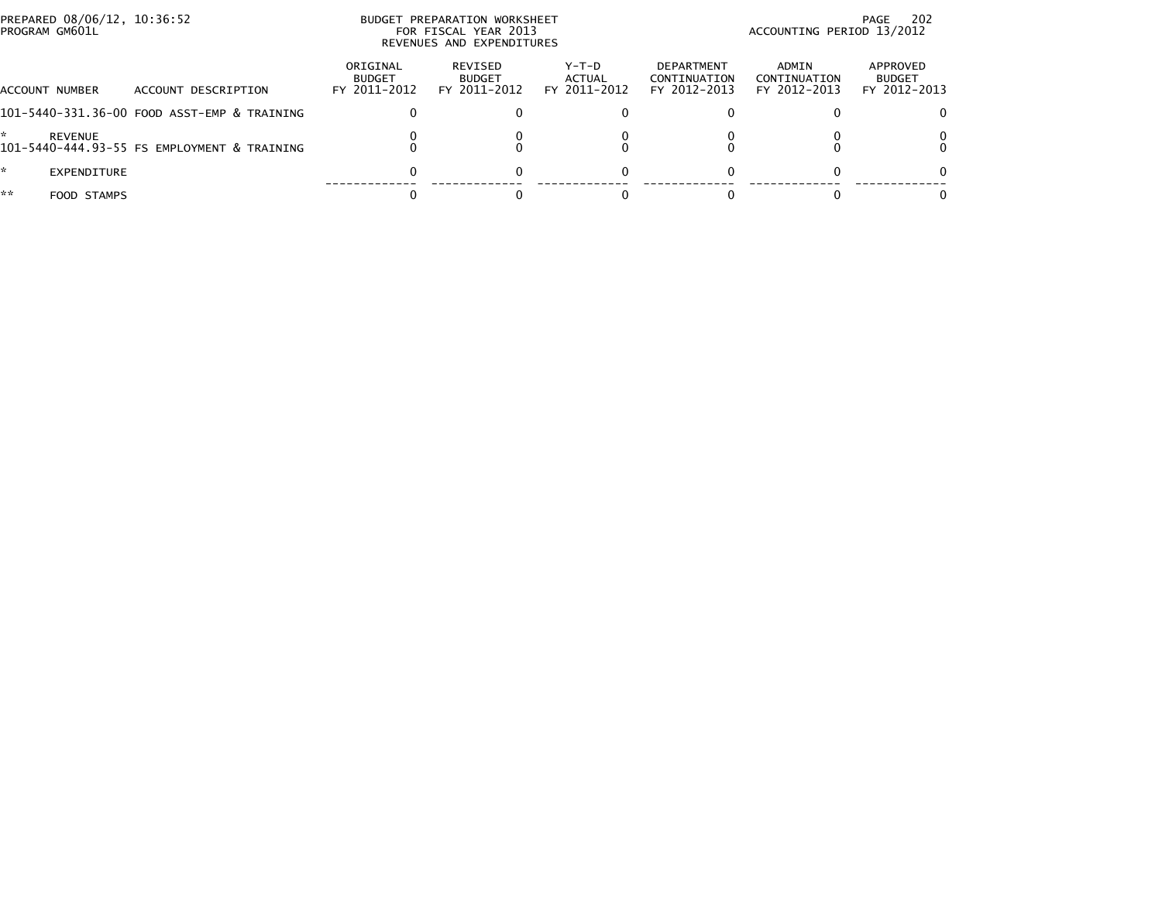| PREPARED 08/06/12, 10:36:52<br>PROGRAM GM601L |                                             |                                           | BUDGET PREPARATION WORKSHEET<br>FOR FISCAL YEAR 2013<br>REVENUES AND EXPENDITURES |                                   |                                            |                                       | 202<br>PAGE<br>ACCOUNTING PERIOD 13/2012  |
|-----------------------------------------------|---------------------------------------------|-------------------------------------------|-----------------------------------------------------------------------------------|-----------------------------------|--------------------------------------------|---------------------------------------|-------------------------------------------|
| ACCOUNT NUMBER                                | ACCOUNT DESCRIPTION                         | ORIGINAL<br><b>BUDGET</b><br>FY 2011-2012 | REVISED<br><b>BUDGET</b><br>FY 2011-2012                                          | $Y-T-D$<br>ACTUAL<br>FY 2011-2012 | DEPARTMENT<br>CONTINUATION<br>FY 2012-2013 | ADMIN<br>CONTINUATION<br>FY 2012-2013 | APPROVED<br><b>BUDGET</b><br>FY 2012-2013 |
|                                               | 101-5440-331.36-00 FOOD ASST-EMP & TRAINING |                                           | 0                                                                                 |                                   |                                            |                                       | 0                                         |
| <b>REVENUE</b>                                | 101-5440-444.93-55 FS EMPLOYMENT & TRAINING |                                           |                                                                                   |                                   |                                            |                                       | 0                                         |
| ÷.<br>EXPENDITURE                             |                                             |                                           | $\Omega$                                                                          |                                   |                                            | 0                                     | 0                                         |
| **<br>FOOD STAMPS                             |                                             |                                           |                                                                                   |                                   |                                            |                                       | 0                                         |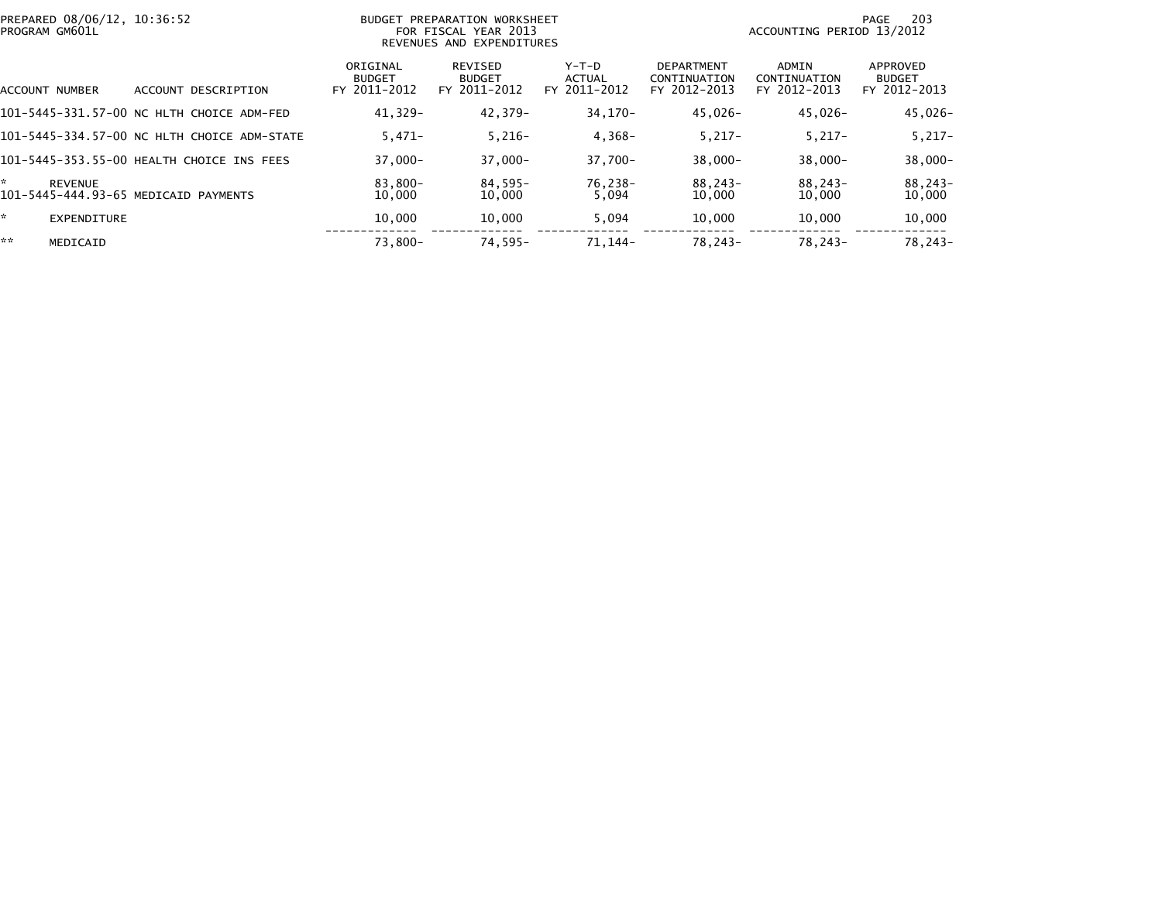| PREPARED 08/06/12, 10:36:52<br>BUDGET PREPARATION WORKSHEET<br>PROGRAM GM601L<br>FOR FISCAL YEAR 2013<br>REVENUES AND EXPENDITURES |                    |                                             |                                           | 203<br>PAGE<br>ACCOUNTING PERIOD 13/2012        |                                        |                                                   |                                       |                                           |
|------------------------------------------------------------------------------------------------------------------------------------|--------------------|---------------------------------------------|-------------------------------------------|-------------------------------------------------|----------------------------------------|---------------------------------------------------|---------------------------------------|-------------------------------------------|
| ACCOUNT NUMBER                                                                                                                     |                    | ACCOUNT DESCRIPTION                         | ORIGINAL<br><b>BUDGET</b><br>FY 2011-2012 | <b>REVISED</b><br><b>BUDGET</b><br>FY 2011-2012 | Y-T-D<br><b>ACTUAL</b><br>FY 2011-2012 | <b>DEPARTMENT</b><br>CONTINUATION<br>FY 2012-2013 | ADMIN<br>CONTINUATION<br>FY 2012-2013 | APPROVED<br><b>BUDGET</b><br>FY 2012-2013 |
|                                                                                                                                    |                    | 101-5445-331.57-00 NC HLTH CHOICE ADM-FED   | $41.329 -$                                | 42,379-                                         | 34,170-                                | 45,026-                                           | 45,026-                               | 45,026-                                   |
|                                                                                                                                    |                    | 101-5445-334.57-00 NC HLTH CHOICE ADM-STATE | $5.471-$                                  | $5,216-$                                        | $4,368-$                               | $5,217-$                                          | $5,217-$                              | $5,217-$                                  |
|                                                                                                                                    |                    | 101-5445-353.55-00 HEALTH CHOICE INS FEES   | $37.000 -$                                | $37,000 -$                                      | $37.700 -$                             | $38.000 -$                                        | $38,000 -$                            | $38,000 -$                                |
| *<br><b>REVENUE</b>                                                                                                                |                    | 101-5445-444.93-65 MEDICAID PAYMENTS        | 83,800-<br>10,000                         | 84,595-<br>10,000                               | 76,238-<br>5,094                       | 88,243-<br>10,000                                 | 88,243-<br>10,000                     | 88,243-<br>10,000                         |
| ÷.                                                                                                                                 | <b>EXPENDITURE</b> |                                             | 10,000                                    | 10,000                                          | 5,094                                  | 10,000                                            | 10,000                                | 10,000                                    |
| **                                                                                                                                 | MEDICAID           |                                             | 73,800-                                   | $74,595-$                                       | 71, 144-                               | 78,243-                                           | $78.243-$                             | 78,243-                                   |
|                                                                                                                                    |                    |                                             |                                           |                                                 |                                        |                                                   |                                       |                                           |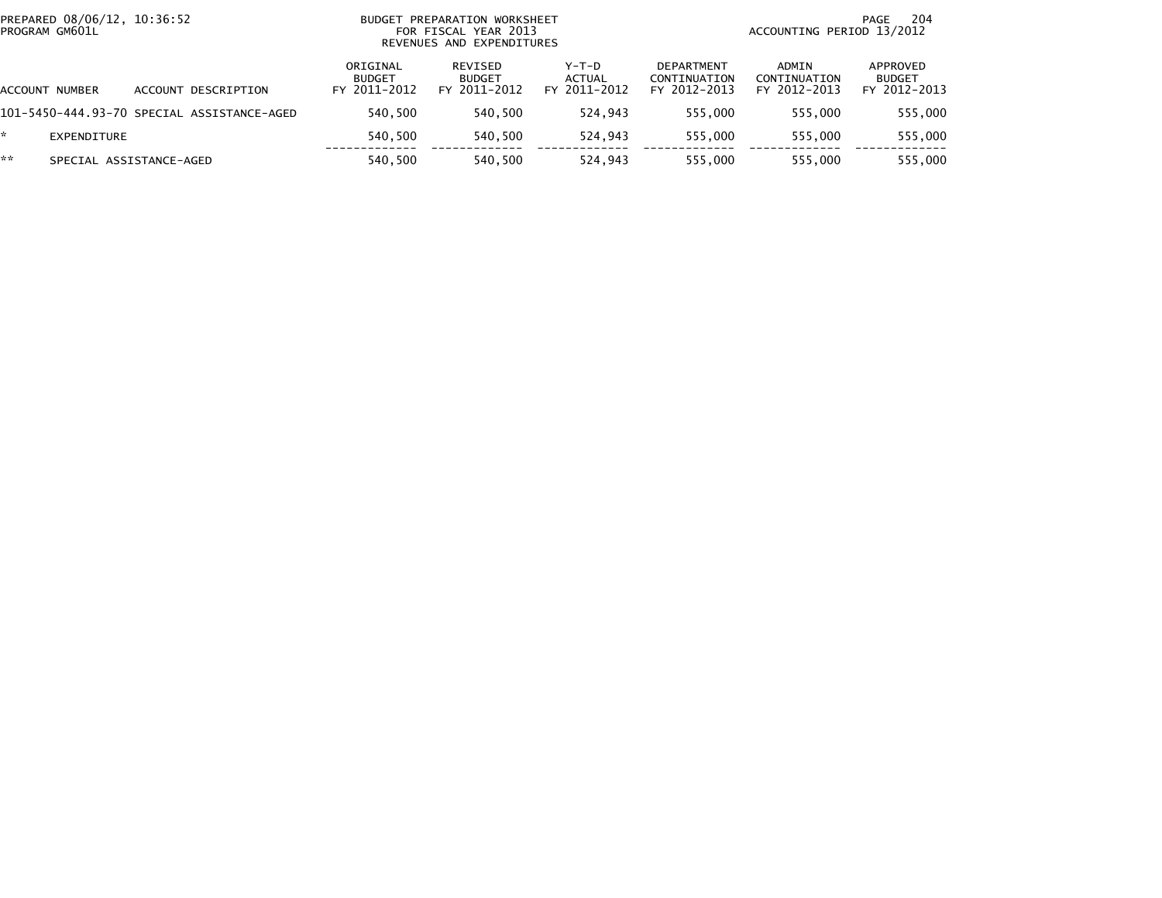| PREPARED 08/06/12, 10:36:52<br>PROGRAM GM601L |                         |  |                                            | BUDGET PREPARATION WORKSHEET<br>FOR FISCAL YEAR 2013<br>REVENUES AND EXPENDITURES |                                          |                                   |                                            | 204<br>PAGE<br>ACCOUNTING PERIOD 13/2012 |                                           |  |  |
|-----------------------------------------------|-------------------------|--|--------------------------------------------|-----------------------------------------------------------------------------------|------------------------------------------|-----------------------------------|--------------------------------------------|------------------------------------------|-------------------------------------------|--|--|
| ACCOUNT NUMBER                                |                         |  | ACCOUNT DESCRIPTION                        | ORIGINAL<br><b>BUDGET</b><br>FY 2011-2012                                         | REVISED<br><b>BUDGET</b><br>FY 2011-2012 | $Y-T-D$<br>ACTUAL<br>FY 2011-2012 | DEPARTMENT<br>CONTINUATION<br>FY 2012-2013 | ADMIN<br>CONTINUATION<br>FY 2012-2013    | APPROVED<br><b>BUDGET</b><br>FY 2012-2013 |  |  |
|                                               |                         |  | 101-5450-444.93-70 SPECIAL ASSISTANCE-AGED | 540.500                                                                           | 540.500                                  | 524.943                           | 555.000                                    | 555.000                                  | 555,000                                   |  |  |
| ÷.                                            | EXPENDITURE             |  |                                            | 540.500                                                                           | 540,500                                  | 524,943                           | 555,000                                    | 555,000                                  | 555,000                                   |  |  |
| **                                            | SPECIAL ASSISTANCE-AGED |  |                                            | 540.500                                                                           | 540,500                                  | 524,943                           | 555,000                                    | 555.000                                  | 555,000                                   |  |  |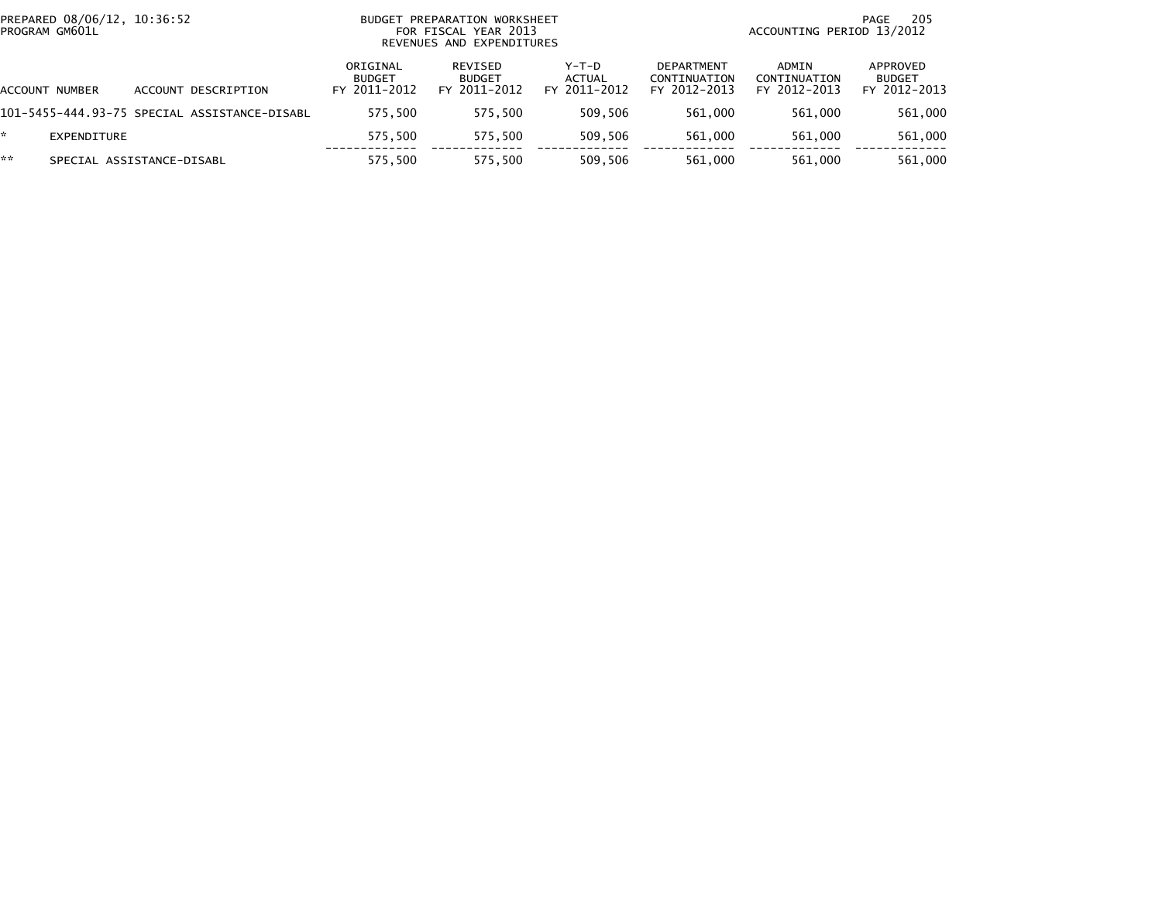| PREPARED 08/06/12, 10:36:52<br>PROGRAM GM601L |                                              | BUDGET PREPARATION WORKSHEET<br>FOR FISCAL YEAR 2013<br>REVENUES AND EXPENDITURES |                                          |                                 |                                                   | 205<br>PAGE<br>ACCOUNTING PERIOD 13/2012 |                                           |  |
|-----------------------------------------------|----------------------------------------------|-----------------------------------------------------------------------------------|------------------------------------------|---------------------------------|---------------------------------------------------|------------------------------------------|-------------------------------------------|--|
| ACCOUNT NUMBER                                | ACCOUNT DESCRIPTION                          | ORIGINAL<br><b>BUDGET</b><br>FY 2011-2012                                         | REVISED<br><b>BUDGET</b><br>FY 2011-2012 | Y-T-D<br>ACTUAL<br>FY 2011-2012 | <b>DEPARTMENT</b><br>CONTINUATION<br>FY 2012-2013 | ADMIN<br>CONTINUATION<br>FY 2012-2013    | APPROVED<br><b>BUDGET</b><br>FY 2012-2013 |  |
|                                               | 101-5455-444.93-75 SPECIAL ASSISTANCE-DISABL | 575.500                                                                           | 575.500                                  | 509.506                         | 561.000                                           | 561.000                                  | 561,000                                   |  |
| EXPENDITURE                                   |                                              | 575.500                                                                           | 575.500                                  | 509.506                         | 561.000                                           | 561.000                                  | 561,000                                   |  |
| **                                            | SPECIAL ASSISTANCE-DISABL                    | 575.500                                                                           | 575.500                                  | 509.506                         | 561.000                                           | 561,000                                  | 561,000                                   |  |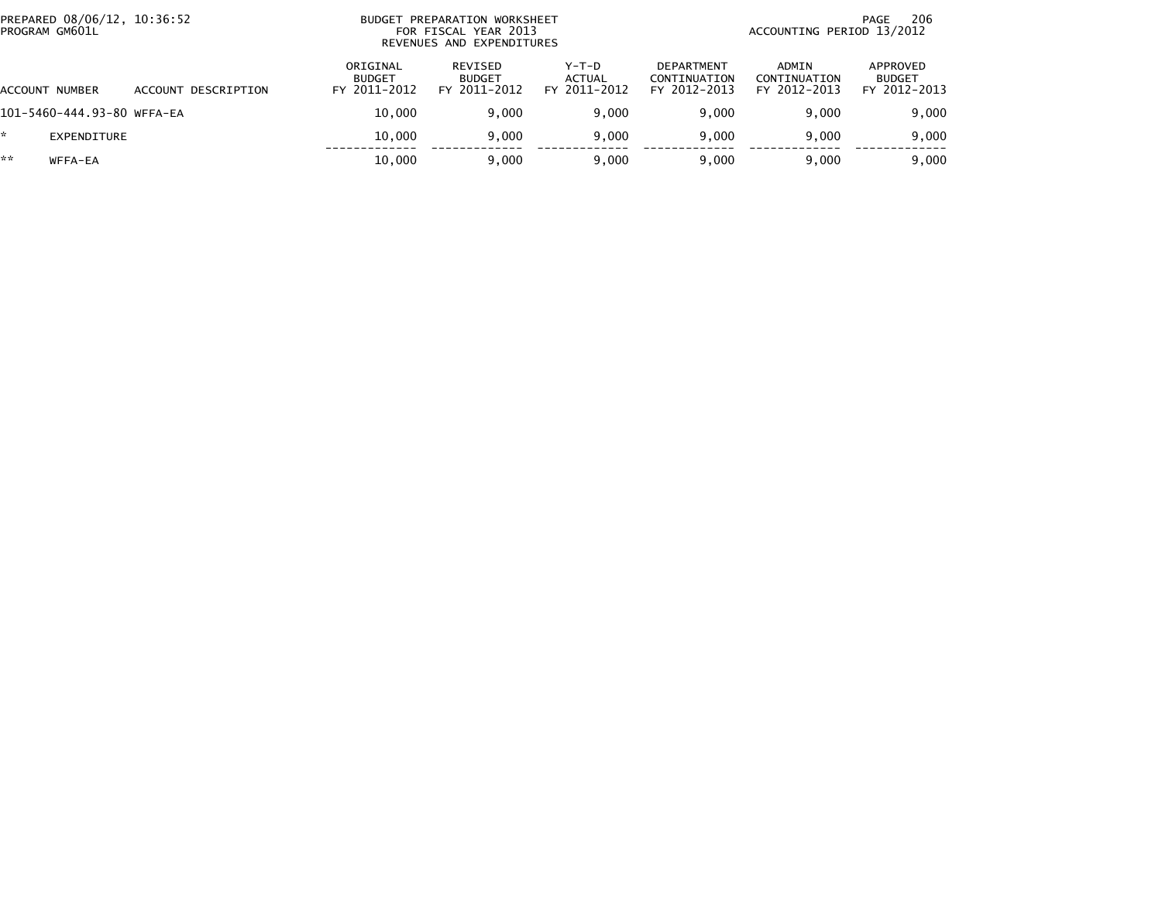| PROGRAM GM601L | PREPARED 08/06/12, 10:36:52 |                     |                                           | BUDGET PREPARATION WORKSHEET<br>FOR FISCAL YEAR 2013<br>REVENUES AND EXPENDITURES |                                   | 206<br>PAGE<br>ACCOUNTING PERIOD 13/2012          |                                       |                                           |
|----------------|-----------------------------|---------------------|-------------------------------------------|-----------------------------------------------------------------------------------|-----------------------------------|---------------------------------------------------|---------------------------------------|-------------------------------------------|
| ACCOUNT NUMBER |                             | ACCOUNT DESCRIPTION | ORIGINAL<br><b>BUDGET</b><br>FY 2011-2012 | REVISED<br><b>BUDGET</b><br>FY 2011-2012                                          | $Y-T-D$<br>ACTUAL<br>FY 2011-2012 | <b>DEPARTMENT</b><br>CONTINUATION<br>FY 2012-2013 | ADMIN<br>CONTINUATION<br>FY 2012-2013 | APPROVED<br><b>BUDGET</b><br>FY 2012-2013 |
|                | 101-5460-444.93-80 WFFA-EA  |                     | 10.000                                    | 9.000                                                                             | 9.000                             | 9.000                                             | 9.000                                 | 9,000                                     |
| *              | <b>EXPENDITURE</b>          |                     | 10,000                                    | 9.000                                                                             | 9.000                             | 9.000                                             | 9.000                                 | 9,000                                     |
| **             | WFFA-EA                     |                     | 10.000                                    | 9.000                                                                             | 9.000                             | 9.000                                             | 9.000                                 | 9,000                                     |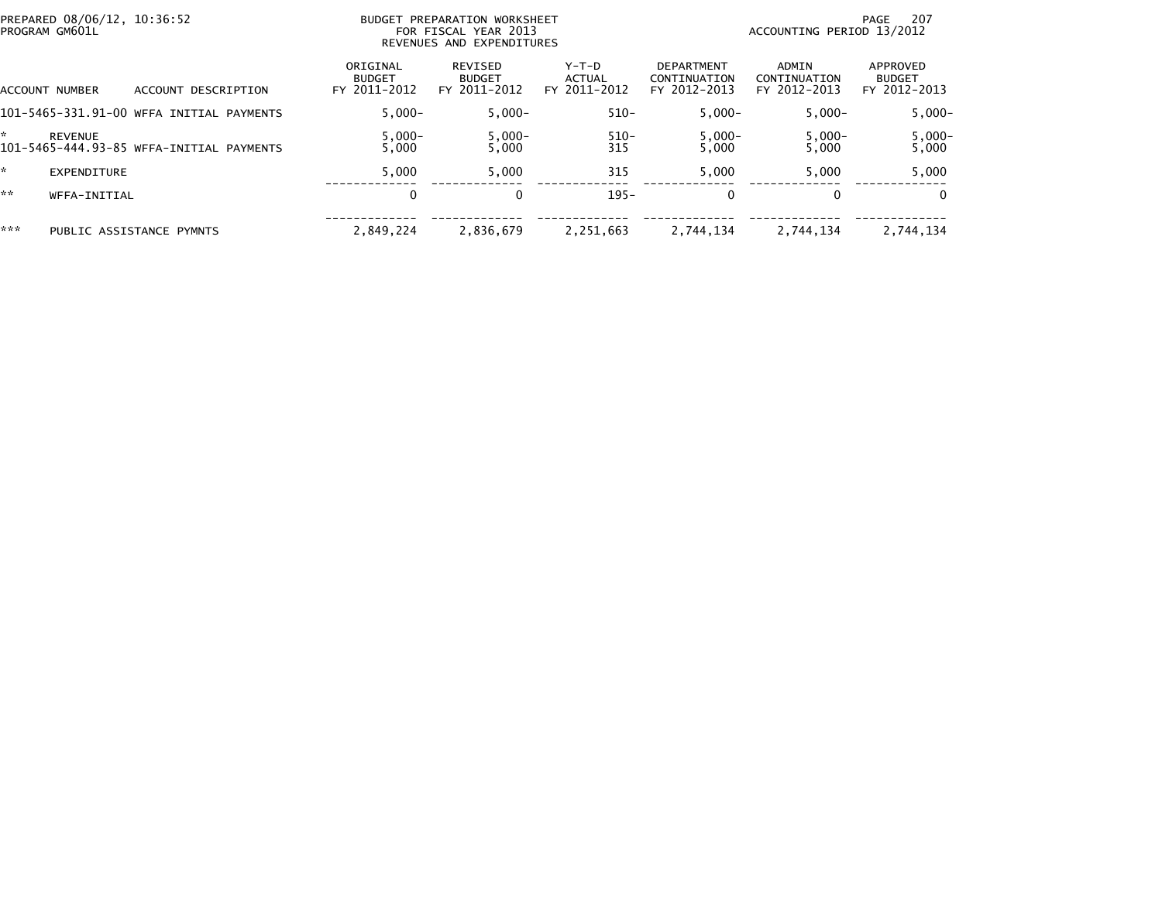| PREPARED 08/06/12, 10:36:52<br>PROGRAM GM601L |                                          | BUDGET PREPARATION WORKSHEET<br>FOR FISCAL YEAR 2013<br>REVENUES AND EXPENDITURES |                                          | 207<br>PAGE<br>ACCOUNTING PERIOD 13/2012 |                                                   |                                       |                                           |
|-----------------------------------------------|------------------------------------------|-----------------------------------------------------------------------------------|------------------------------------------|------------------------------------------|---------------------------------------------------|---------------------------------------|-------------------------------------------|
| ACCOUNT NUMBER                                | DESCRIPTION<br><b>ACCOUNT</b>            | ORIGINAL<br><b>BUDGET</b><br>FY 2011-2012                                         | REVISED<br><b>BUDGET</b><br>FY 2011-2012 | $Y-T-D$<br>ACTUAL<br>FY 2011-2012        | <b>DEPARTMENT</b><br>CONTINUATION<br>FY 2012-2013 | ADMIN<br>CONTINUATION<br>FY 2012-2013 | APPROVED<br><b>BUDGET</b><br>FY 2012-2013 |
|                                               | 101-5465-331.91-00 WFFA INITIAL PAYMENTS | $5.000 -$                                                                         | $5.000 -$                                | $510 -$                                  | $5,000-$                                          | $5.000 -$                             | $5,000 -$                                 |
| <b>REVENUE</b>                                | 101-5465-444.93-85 WFFA-INITIAL PAYMENTS | $5,000 -$<br>5,000                                                                | $5,000-$<br>5.000                        | 510-<br>315                              | $5,000-$<br>5,000                                 | $5,000 -$<br>5,000                    | $5,000-$<br>5,000                         |
| <b>EXPENDITURE</b>                            |                                          | 5.000                                                                             | 5,000                                    | 315                                      | 5.000                                             | 5.000                                 | 5,000                                     |
| **<br>WFFA-INITIAL                            |                                          | 0                                                                                 | 0                                        | $195 -$                                  | $\mathbf{0}$                                      | $\Omega$                              | $\bf{0}$                                  |
| ***                                           | PUBLIC ASSISTANCE PYMNTS                 | 2.849.224                                                                         | 2,836,679                                | 2,251,663                                | 2,744,134                                         | 2.744.134                             | 2,744,134                                 |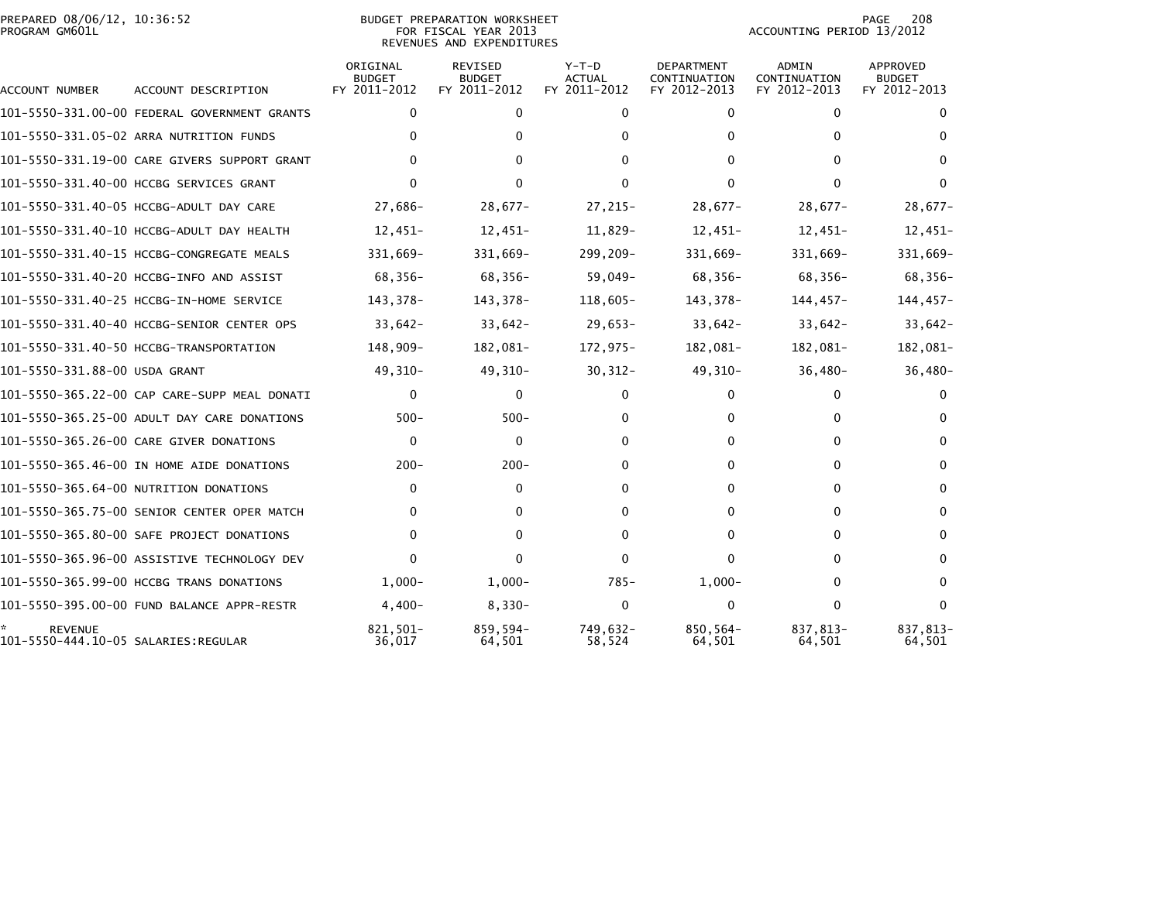## PREPARED 08/06/12, 10:36:52<br>PROGRAM GM601L

BUDGET PREPARATION WORKSHEET<br>FOR FISCAL YEAR 2013 REVENUES AND EXPENDITURES PAGE 208<br>ACCOUNTING PERIOD 13/2012

| <b>ACCOUNT NUMBER</b>                                 | ACCOUNT DESCRIPTION                          | ORIGINAL<br><b>BUDGET</b><br>FY 2011-2012 | <b>REVISED</b><br><b>BUDGET</b><br>FY 2011-2012 | $Y-T-D$<br><b>ACTUAL</b><br>FY 2011-2012 | DEPARTMENT<br>CONTINUATION<br>FY 2012-2013 | ADMIN<br>CONTINUATION<br>FY 2012-2013 | APPROVED<br><b>BUDGET</b><br>FY 2012-2013 |
|-------------------------------------------------------|----------------------------------------------|-------------------------------------------|-------------------------------------------------|------------------------------------------|--------------------------------------------|---------------------------------------|-------------------------------------------|
|                                                       | 101-5550-331.00-00 FEDERAL GOVERNMENT GRANTS | 0                                         | 0                                               | 0                                        | 0                                          | 0                                     | 0                                         |
|                                                       | 101-5550-331.05-02 ARRA NUTRITION FUNDS      | 0                                         | $\Omega$                                        | 0                                        | 0                                          | $\Omega$                              |                                           |
|                                                       | 101-5550-331.19-00 CARE GIVERS SUPPORT GRANT | 0                                         | 0                                               | $\Omega$                                 | 0                                          | $\Omega$                              | $\Omega$                                  |
|                                                       | 101-5550-331.40-00 HCCBG SERVICES GRANT      | 0                                         | 0                                               | $\Omega$                                 | 0                                          | $\Omega$                              | $\Omega$                                  |
|                                                       | 101-5550-331.40-05 HCCBG-ADULT DAY CARE      | 27,686-                                   | $28,677-$                                       | 27,215-                                  | $28,677-$                                  | $28,677-$                             | $28,677-$                                 |
|                                                       | 101-5550-331.40-10 HCCBG-ADULT DAY HEALTH    | 12,451-                                   | $12,451-$                                       | 11,829-                                  | $12,451-$                                  | $12,451-$                             | $12,451-$                                 |
|                                                       | 101-5550-331.40-15 HCCBG-CONGREGATE MEALS    | 331,669-                                  | 331,669-                                        | 299,209-                                 | 331,669-                                   | 331,669-                              | 331,669-                                  |
|                                                       | 101-5550-331.40-20 HCCBG-INFO AND ASSIST     | 68,356-                                   | 68,356-                                         | $59,049-$                                | 68,356-                                    | 68,356-                               | 68,356-                                   |
|                                                       | 101-5550-331.40-25 HCCBG-IN-HOME SERVICE     | 143,378-                                  | 143,378-                                        | 118,605-                                 | 143,378-                                   | $144, 457 -$                          | $144, 457 -$                              |
|                                                       | 101-5550-331.40-40 HCCBG-SENIOR CENTER OPS   | $33,642-$                                 | $33,642-$                                       | $29,653-$                                | $33,642-$                                  | $33,642-$                             | $33,642-$                                 |
|                                                       | 101-5550-331.40-50 HCCBG-TRANSPORTATION      | 148,909-                                  | 182,081-                                        | 172,975-                                 | 182,081-                                   | 182,081-                              | 182,081-                                  |
| 101-5550-331.88-00 USDA GRANT                         |                                              | 49,310-                                   | 49,310-                                         | $30,312-$                                | 49,310-                                    | $36,480-$                             | $36,480-$                                 |
|                                                       | 101-5550-365.22-00 CAP CARE-SUPP MEAL DONATI | $\mathbf{0}$                              | $\mathbf{0}$                                    | $\mathbf{0}$                             | $\Omega$                                   | $\mathbf{0}$                          | $\Omega$                                  |
|                                                       | 101-5550-365.25-00 ADULT DAY CARE DONATIONS  | $500 -$                                   | $500 -$                                         | 0                                        | 0                                          | 0                                     | $\Omega$                                  |
|                                                       | 101-5550-365.26-00 CARE GIVER DONATIONS      | $\mathbf{0}$                              | 0                                               | 0                                        | $\Omega$                                   | $\mathbf{0}$                          | $\Omega$                                  |
|                                                       | 101-5550-365.46-00 IN HOME AIDE DONATIONS    | $200 -$                                   | $200 -$                                         | 0                                        | 0                                          | $\mathbf{0}$                          | $\Omega$                                  |
|                                                       | 101-5550-365.64-00 NUTRITION DONATIONS       | 0                                         | $\mathbf{0}$                                    | 0                                        | 0                                          | $\mathbf{0}$                          | $\Omega$                                  |
|                                                       | 101-5550-365.75-00 SENIOR CENTER OPER MATCH  | 0                                         | 0                                               | 0                                        | 0                                          | 0                                     | $\Omega$                                  |
|                                                       | 101-5550-365.80-00 SAFE PROJECT DONATIONS    | $\Omega$                                  | 0                                               | 0                                        | 0                                          | 0                                     | $\Omega$                                  |
|                                                       | 101-5550-365.96-00 ASSISTIVE TECHNOLOGY DEV  | $\Omega$                                  | 0                                               | $\Omega$                                 | $\Omega$                                   | $\Omega$                              | $\Omega$                                  |
|                                                       | 101-5550-365.99-00 HCCBG TRANS DONATIONS     | $1,000-$                                  | $1,000-$                                        | $785 -$                                  | $1,000-$                                   | 0                                     | $\Omega$                                  |
|                                                       | 101-5550-395.00-00 FUND BALANCE APPR-RESTR   | $4,400-$                                  | $8,330-$                                        | $\mathbf{0}$                             | 0                                          | $\mathbf{0}$                          | $\mathbf{0}$                              |
| <b>REVENUE</b><br>101-5550-444.10-05 SALARIES:REGULAR |                                              | 821.501-<br>36,017                        | 859,594-<br>64,501                              | 749.632-<br>58,524                       | 850,564-<br>64,501                         | 837.813-<br>64,501                    | 837,813-<br>64,501                        |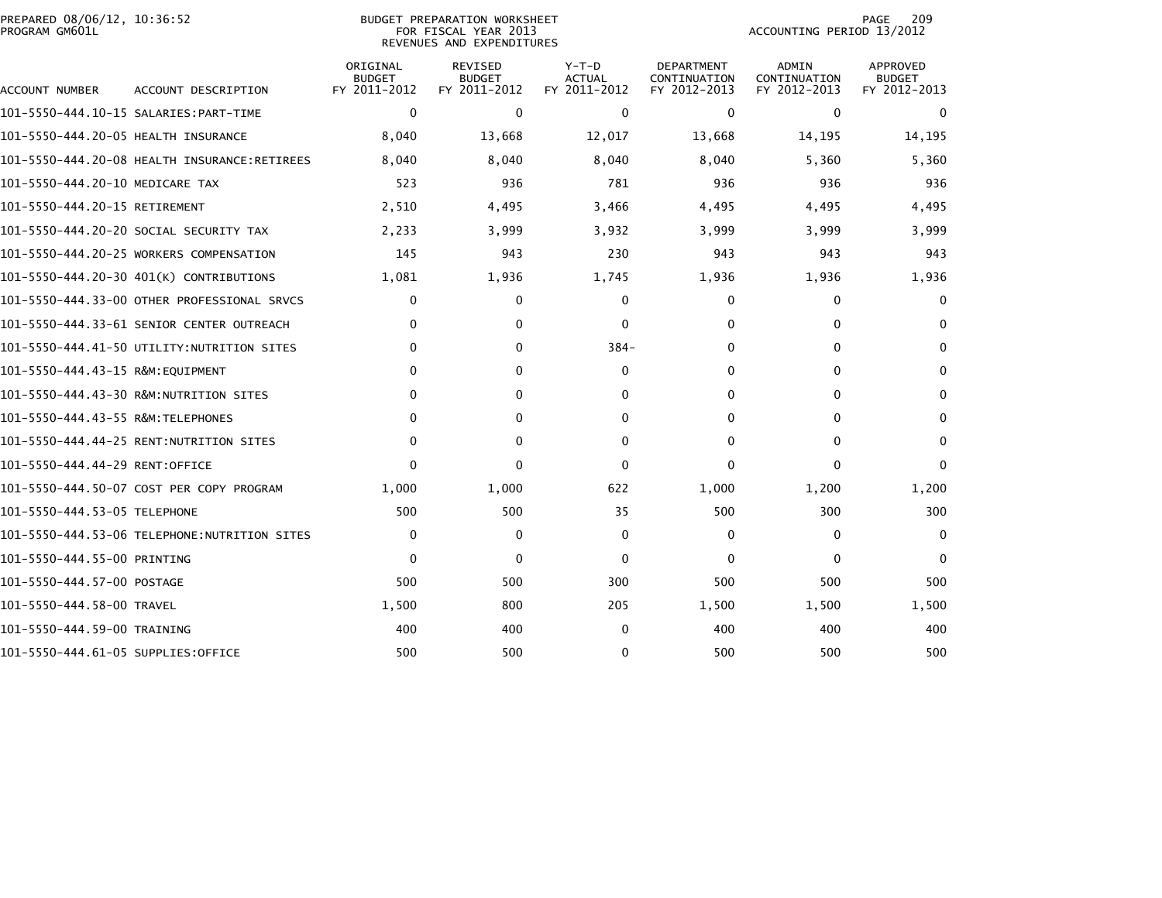| PREPARED 08/06/12, 10:36:52<br>PROGRAM GM601L |                                              |                                           | <b>BUDGET PREPARATION WORKSHEET</b><br>FOR FISCAL YEAR 2013<br>REVENUES AND EXPENDITURES | 209<br>PAGE<br>ACCOUNTING PERIOD 13/2012 |                                                   |                                              |                                           |
|-----------------------------------------------|----------------------------------------------|-------------------------------------------|------------------------------------------------------------------------------------------|------------------------------------------|---------------------------------------------------|----------------------------------------------|-------------------------------------------|
| ACCOUNT NUMBER                                | ACCOUNT DESCRIPTION                          | ORIGINAL<br><b>BUDGET</b><br>FY 2011-2012 | REVISED<br><b>BUDGET</b><br>FY 2011-2012                                                 | $Y-T-D$<br><b>ACTUAL</b><br>FY 2011-2012 | <b>DEPARTMENT</b><br>CONTINUATION<br>FY 2012-2013 | <b>ADMIN</b><br>CONTINUATION<br>FY 2012-2013 | APPROVED<br><b>BUDGET</b><br>FY 2012-2013 |
|                                               |                                              | $\mathbf{0}$                              | $\mathbf 0$                                                                              | $\mathbf{0}$                             | $\mathbf{0}$                                      | $\Omega$                                     | $\Omega$                                  |
| 101-5550-444.20-05 HEALTH INSURANCE           |                                              | 8,040                                     | 13,668                                                                                   | 12,017                                   | 13,668                                            | 14,195                                       | 14,195                                    |
|                                               | 101-5550-444.20-08 HEALTH INSURANCE:RETIREES | 8,040                                     | 8,040                                                                                    | 8,040                                    | 8,040                                             | 5,360                                        | 5,360                                     |
| 101-5550-444.20-10 MEDICARE TAX               |                                              | 523                                       | 936                                                                                      | 781                                      | 936                                               | 936                                          | 936                                       |
| 101-5550-444.20-15 RETIREMENT                 |                                              | 2,510                                     | 4,495                                                                                    | 3,466                                    | 4,495                                             | 4,495                                        | 4,495                                     |
|                                               | 101–5550–444.20–20 SOCIAL SECURITY TAX       | 2,233                                     | 3,999                                                                                    | 3,932                                    | 3,999                                             | 3,999                                        | 3,999                                     |
|                                               | 101-5550-444.20-25 WORKERS COMPENSATION      | 145                                       | 943                                                                                      | 230                                      | 943                                               | 943                                          | 943                                       |
|                                               | 101-5550-444.20-30 401(K) CONTRIBUTIONS      | 1,081                                     | 1,936                                                                                    | 1,745                                    | 1,936                                             | 1,936                                        | 1,936                                     |
|                                               | 101–5550–444.33–00 OTHER PROFESSIONAL SRVCS  | 0                                         | 0                                                                                        | $\Omega$                                 | 0                                                 | 0                                            | $\mathbf{0}$                              |
|                                               | 101-5550-444.33-61 SENIOR CENTER OUTREACH    | $\mathbf{0}$                              | 0                                                                                        | $\Omega$                                 | $\mathbf{0}$                                      | $\mathbf{0}$                                 | $\mathbf{0}$                              |
|                                               | 101-5550-444.41-50 UTILITY:NUTRITION SITES   | $\mathbf{0}$                              | 0                                                                                        | $384-$                                   | $\mathbf{0}$                                      | $\mathbf{0}$                                 | 0                                         |
| 101-5550-444.43-15 R&M:EQUIPMENT              |                                              | $\mathbf{0}$                              | 0                                                                                        | $\Omega$                                 | $\mathbf{0}$                                      | $\mathbf{0}$                                 | $\mathbf{0}$                              |
|                                               |                                              | 0                                         | 0                                                                                        | 0                                        | 0                                                 | 0                                            | 0                                         |
| 101-5550-444.43-55 R&M:TELEPHONES             |                                              | $\mathbf{0}$                              | 0                                                                                        | $\Omega$                                 | $\mathbf{0}$                                      | $\Omega$                                     | $\mathbf{0}$                              |
|                                               | 101-5550-444.44-25 RENT:NUTRITION SITES      | $\mathbf{0}$                              | 0                                                                                        | 0                                        | $\Omega$                                          | $\Omega$                                     | $\mathbf{0}$                              |
| 101-5550-444.44-29 RENT:OFFICE                |                                              | $\Omega$                                  | $\mathbf{0}$                                                                             | $\Omega$                                 | $\mathbf{0}$                                      | $\Omega$                                     | $\Omega$                                  |
|                                               | 101-5550-444.50-07 COST PER COPY PROGRAM     | 1,000                                     | 1,000                                                                                    | 622                                      | 1,000                                             | 1,200                                        | 1,200                                     |
| 101-5550-444.53-05 TELEPHONE                  |                                              | 500                                       | 500                                                                                      | 35                                       | 500                                               | 300                                          | 300                                       |
|                                               | 101–5550–444.53–06 TELEPHONE:NUTRITION SITES | 0                                         | 0                                                                                        | $\bf{0}$                                 | $\bf{0}$                                          | $\Omega$                                     | $\mathbf{0}$                              |
| 101-5550-444.55-00 PRINTING                   |                                              | $\Omega$                                  | 0                                                                                        | $\mathbf{0}$                             | $\mathbf{0}$                                      | $\mathbf{0}$                                 | $\mathbf{0}$                              |
| 101-5550-444.57-00 POSTAGE                    |                                              | 500                                       | 500                                                                                      | 300                                      | 500                                               | 500                                          | 500                                       |
| 101-5550-444.58-00 TRAVEL                     |                                              | 1,500                                     | 800                                                                                      | 205                                      | 1,500                                             | 1,500                                        | 1,500                                     |
| 101-5550-444.59-00 TRAINING                   |                                              | 400                                       | 400                                                                                      | $\Omega$                                 | 400                                               | 400                                          | 400                                       |
| 101-5550-444.61-05 SUPPLIES:OFFICE            |                                              | 500                                       | 500                                                                                      | $\Omega$                                 | 500                                               | 500                                          | 500                                       |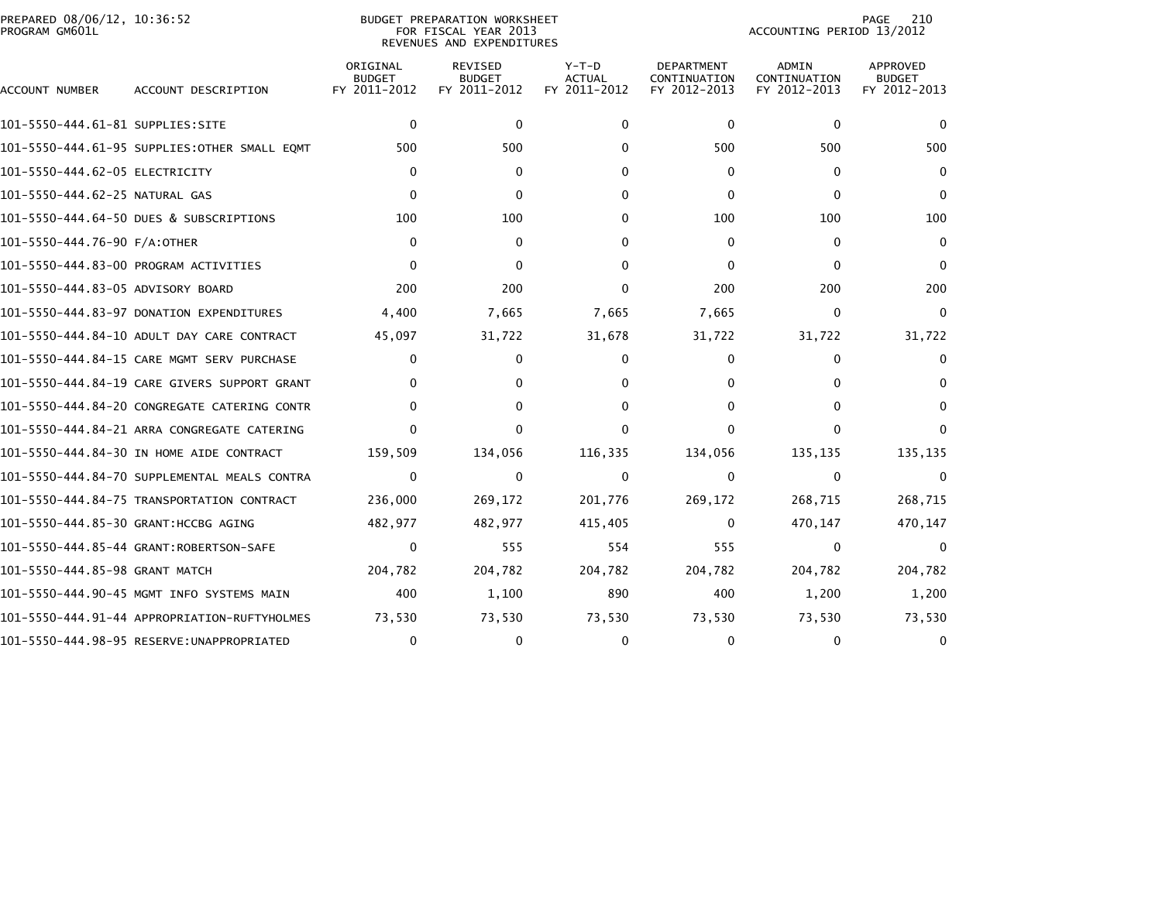| PREPARED 08/06/12, 10:36:52<br>PROGRAM GM601L |                                              |                                           | BUDGET PREPARATION WORKSHEET<br>FOR FISCAL YEAR 2013<br>REVENUES AND EXPENDITURES |                                          |                                                   | ACCOUNTING PERIOD 13/2012             | 210<br>PAGE                                      |
|-----------------------------------------------|----------------------------------------------|-------------------------------------------|-----------------------------------------------------------------------------------|------------------------------------------|---------------------------------------------------|---------------------------------------|--------------------------------------------------|
| ACCOUNT NUMBER                                | ACCOUNT DESCRIPTION                          | ORIGINAL<br><b>BUDGET</b><br>FY 2011-2012 | <b>REVISED</b><br><b>BUDGET</b><br>FY 2011-2012                                   | $Y-T-D$<br><b>ACTUAL</b><br>FY 2011-2012 | <b>DEPARTMENT</b><br>CONTINUATION<br>FY 2012-2013 | ADMIN<br>CONTINUATION<br>FY 2012-2013 | <b>APPROVED</b><br><b>BUDGET</b><br>FY 2012-2013 |
| 101-5550-444.61-81 SUPPLIES:SITE              |                                              | $\mathbf{0}$                              | $\Omega$                                                                          | 0                                        | $\Omega$                                          | $\mathbf{0}$                          | $\Omega$                                         |
|                                               | 101-5550-444.61-95 SUPPLIES:OTHER SMALL EQMT | 500                                       | 500                                                                               | 0                                        | 500                                               | 500                                   | 500                                              |
| 101–5550–444.62–05 ELECTRICITY                |                                              | 0                                         | 0                                                                                 | 0                                        | $\mathbf{0}$                                      | 0                                     | $\Omega$                                         |
| 101-5550-444.62-25 NATURAL GAS                |                                              | $\Omega$                                  | $\Omega$                                                                          | 0                                        | $\Omega$                                          | $\Omega$                              | $\Omega$                                         |
|                                               | 101-5550-444.64-50 DUES & SUBSCRIPTIONS      | 100                                       | 100                                                                               | 0                                        | 100                                               | 100                                   | 100                                              |
| 101-5550-444.76-90 F/A:OTHER                  |                                              | $\mathbf{0}$                              | $\Omega$                                                                          | 0                                        | $\Omega$                                          | $\Omega$                              | $\Omega$                                         |
|                                               | 101-5550-444.83-00 PROGRAM ACTIVITIES        | $\Omega$                                  | 0                                                                                 | 0                                        | $\mathbf{0}$                                      | 0                                     | $\Omega$                                         |
| 101-5550-444.83-05 ADVISORY BOARD             |                                              | 200                                       | 200                                                                               | $\Omega$                                 | 200                                               | 200                                   | 200                                              |
|                                               | 101-5550-444.83-97 DONATION EXPENDITURES     | 4,400                                     | 7,665                                                                             | 7,665                                    | 7,665                                             | $\mathbf{0}$                          | $\Omega$                                         |
|                                               | 101-5550-444.84-10 ADULT DAY CARE CONTRACT   | 45,097                                    | 31,722                                                                            | 31,678                                   | 31,722                                            | 31,722                                | 31,722                                           |
|                                               | 101-5550-444.84-15 CARE MGMT SERV PURCHASE   | 0                                         | 0                                                                                 | 0                                        | $\Omega$                                          | 0                                     | 0                                                |
|                                               | 101-5550-444.84-19 CARE GIVERS SUPPORT GRANT | $\Omega$                                  | 0                                                                                 | 0                                        | $\mathbf{0}$                                      | 0                                     | 0                                                |
|                                               | 101-5550-444.84-20 CONGREGATE CATERING CONTR | 0                                         | 0                                                                                 | 0                                        | $\mathbf{0}$                                      | 0                                     | 0                                                |
|                                               | 101-5550-444.84-21 ARRA CONGREGATE CATERING  | <sup>0</sup>                              | 0                                                                                 | $\Omega$                                 | $\Omega$                                          | $\Omega$                              |                                                  |
|                                               | 101-5550-444.84-30 IN HOME AIDE CONTRACT     | 159,509                                   | 134,056                                                                           | 116,335                                  | 134,056                                           | 135,135                               | 135,135                                          |
|                                               | 101-5550-444.84-70 SUPPLEMENTAL MEALS CONTRA | $\Omega$                                  | $\Omega$                                                                          | $\mathbf{0}$                             | $\Omega$                                          | $\mathbf{0}$                          | $\Omega$                                         |
|                                               | 101-5550-444.84-75 TRANSPORTATION CONTRACT   | 236,000                                   | 269,172                                                                           | 201,776                                  | 269,172                                           | 268,715                               | 268,715                                          |
| 101-5550-444.85-30 GRANT:HCCBG AGING          |                                              | 482,977                                   | 482,977                                                                           | 415,405                                  | $\Omega$                                          | 470,147                               | 470,147                                          |
|                                               | 101-5550-444.85-44 GRANT:ROBERTSON-SAFE      | 0                                         | 555                                                                               | 554                                      | 555                                               | $\mathbf 0$                           | $\Omega$                                         |
| 101-5550-444.85-98 GRANT MATCH                |                                              | 204,782                                   | 204,782                                                                           | 204,782                                  | 204,782                                           | 204,782                               | 204,782                                          |
|                                               | 101-5550-444.90-45 MGMT INFO SYSTEMS MAIN    | 400                                       | 1,100                                                                             | 890                                      | 400                                               | 1,200                                 | 1,200                                            |
|                                               | 101-5550-444.91-44 APPROPRIATION-RUFTYHOLMES | 73,530                                    | 73,530                                                                            | 73,530                                   | 73,530                                            | 73,530                                | 73,530                                           |
|                                               |                                              | 0                                         | 0                                                                                 | $\mathbf{0}$                             | $\mathbf{0}$                                      | $\mathbf{0}$                          | 0                                                |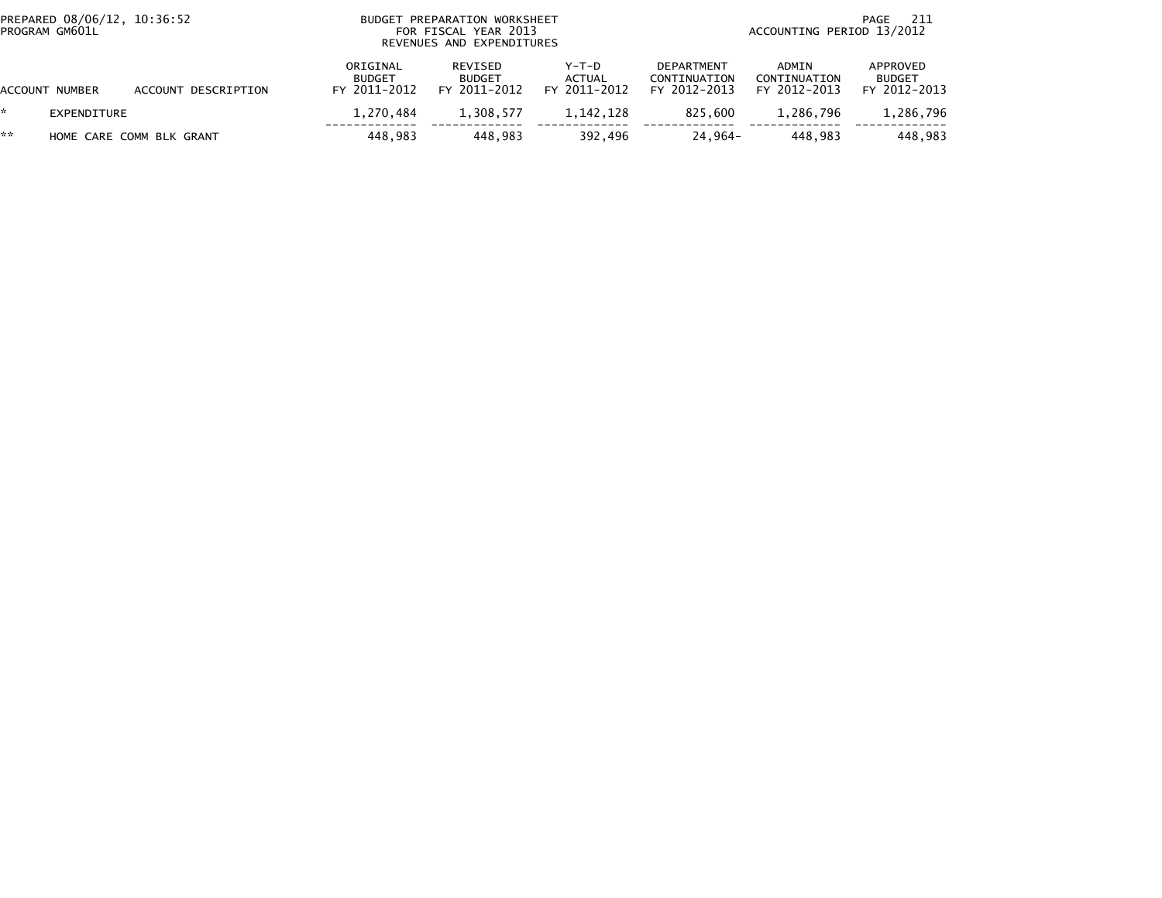| PROGRAM GM601L | PREPARED 08/06/12, 10:36:52 |                          | BUDGET PREPARATION WORKSHEET<br>FOR FISCAL YEAR 2013<br>REVENUES AND EXPENDITURES | 211<br>PAGE<br>ACCOUNTING PERIOD 13/2012 |                                 |                                                   |                                       |                                           |
|----------------|-----------------------------|--------------------------|-----------------------------------------------------------------------------------|------------------------------------------|---------------------------------|---------------------------------------------------|---------------------------------------|-------------------------------------------|
| ACCOUNT NUMBER |                             | ACCOUNT DESCRIPTION      | ORIGINAL<br><b>BUDGET</b><br>FY 2011-2012                                         | REVISED<br><b>BUDGET</b><br>FY 2011-2012 | Y-T-D<br>ACTUAL<br>FY 2011-2012 | <b>DEPARTMENT</b><br>CONTINUATION<br>FY 2012-2013 | ADMIN<br>CONTINUATION<br>FY 2012-2013 | APPROVED<br><b>BUDGET</b><br>FY 2012-2013 |
|                | EXPENDITURE                 |                          | 1.270.484                                                                         | 1,308,577                                | 1.142.128                       | 825.600                                           | 1.286.796                             | 1,286,796                                 |
| **             |                             | HOME CARE COMM BLK GRANT | 448.983                                                                           | 448.983                                  | 392.496                         | 24.964-                                           | 448.983                               | 448.983                                   |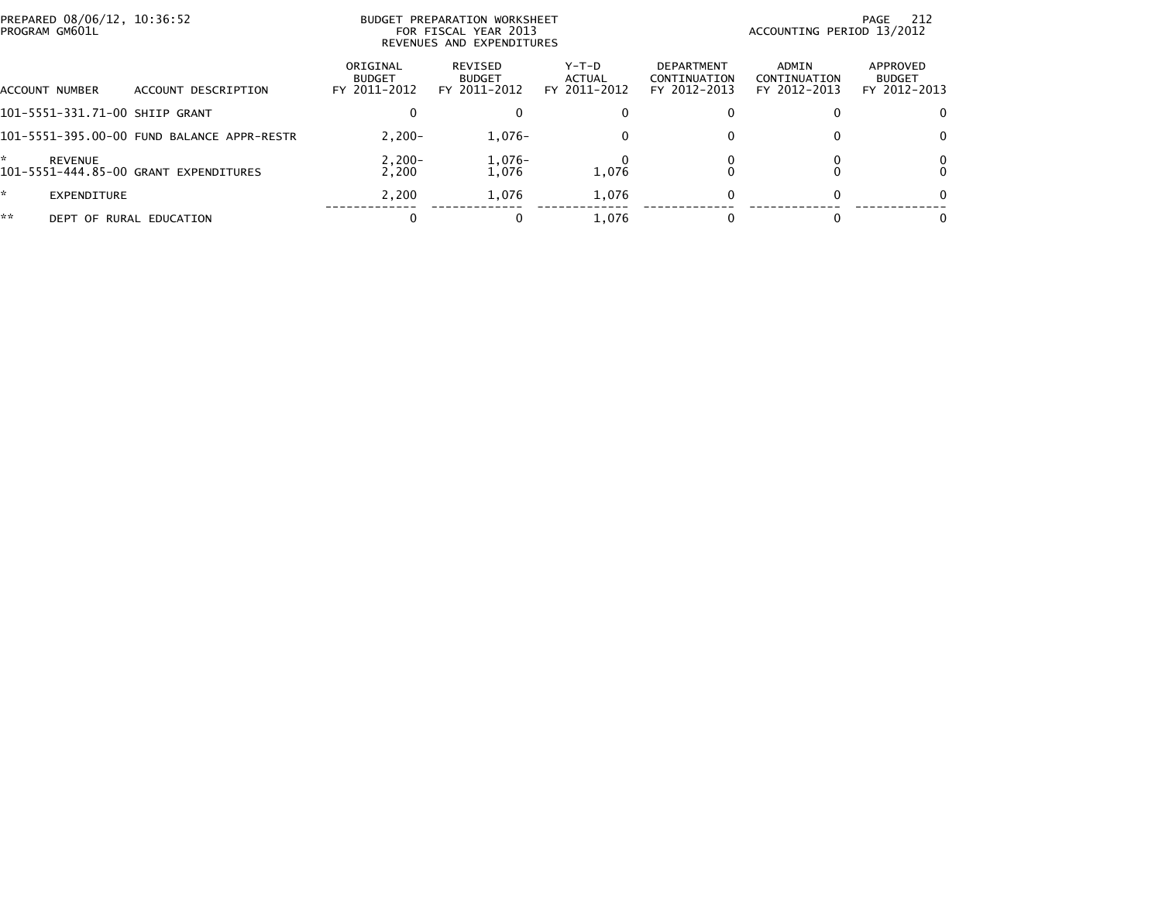| PROGRAM GM601L | PREPARED 08/06/12, 10:36:52 |                                            |                                           | BUDGET PREPARATION WORKSHEET<br>FOR FISCAL YEAR 2013<br>REVENUES AND EXPENDITURES |                                 |                                                   | ACCOUNTING PERIOD 13/2012             | 212<br>PAGE                               |
|----------------|-----------------------------|--------------------------------------------|-------------------------------------------|-----------------------------------------------------------------------------------|---------------------------------|---------------------------------------------------|---------------------------------------|-------------------------------------------|
| ACCOUNT NUMBER |                             | ACCOUNT DESCRIPTION                        | ORIGINAL<br><b>BUDGET</b><br>FY 2011-2012 | REVISED<br><b>BUDGET</b><br>FY 2011-2012                                          | Y-T-D<br>ACTUAL<br>FY 2011-2012 | <b>DEPARTMENT</b><br>CONTINUATION<br>FY 2012-2013 | ADMIN<br>CONTINUATION<br>FY 2012-2013 | APPROVED<br><b>BUDGET</b><br>FY 2012-2013 |
|                |                             | 101-5551-331.71-00 SHIIP GRANT             |                                           | 0                                                                                 |                                 |                                                   |                                       | $\Omega$                                  |
|                |                             | 101-5551-395.00-00 FUND BALANCE APPR-RESTR | $2.200 -$                                 | $1,076-$                                                                          |                                 | 0                                                 |                                       | $\mathbf 0$                               |
| ÷              | REVENUE                     | 101-5551-444.85-00 GRANT EXPENDITURES      | $2,200-$<br>2.200                         | $1,076-$<br>1,076                                                                 | 1,076                           |                                                   |                                       | 0<br>$\mathbf{0}$                         |
| *              | EXPENDITURE                 |                                            | 2.200                                     | 1.076                                                                             | 1,076                           | <sup>0</sup>                                      |                                       | $\mathbf{0}$                              |
| **             |                             | DEPT OF RURAL EDUCATION                    |                                           |                                                                                   | 1.076                           |                                                   |                                       | $\mathbf{0}$                              |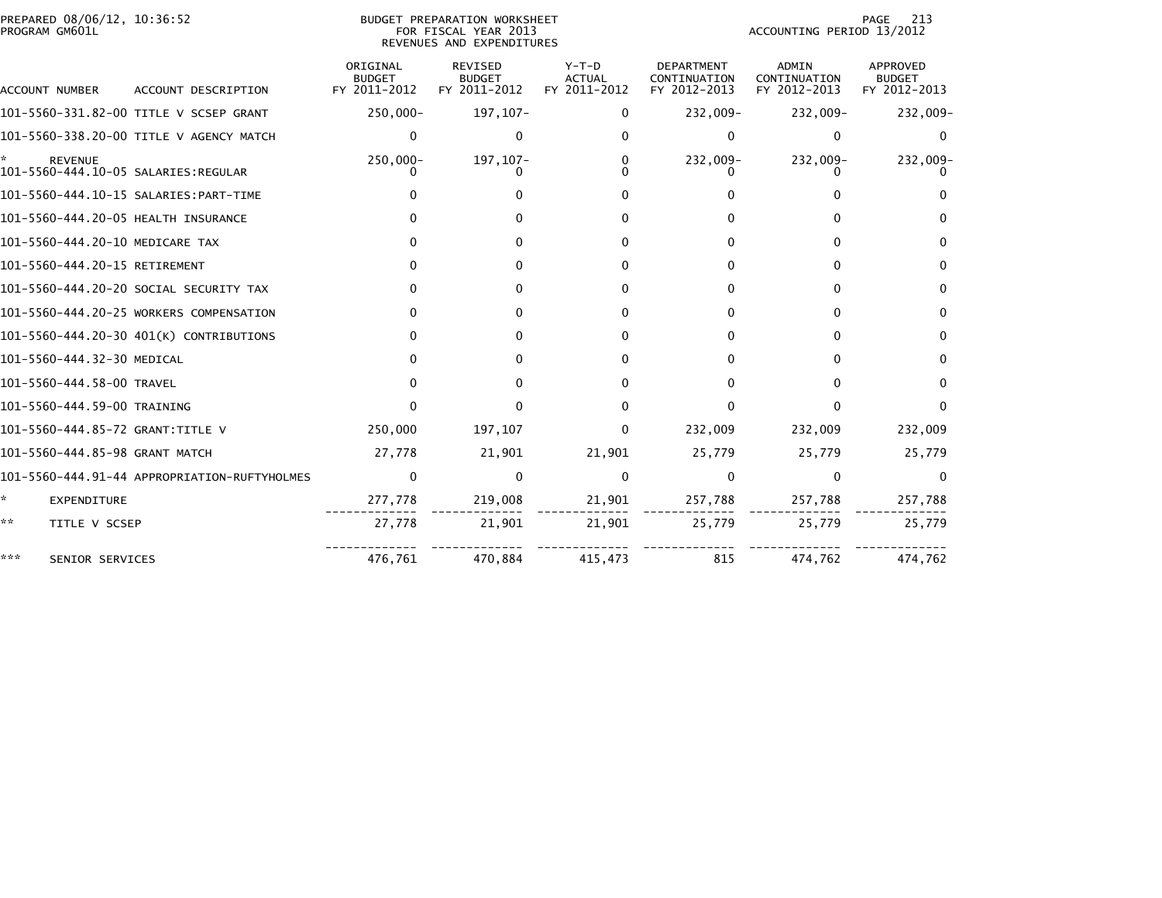| PREPARED 08/06/12, 10:36:52<br>PROGRAM GM601L |                                              |                                           | BUDGET PREPARATION WORKSHEET<br>FOR FISCAL YEAR 2013<br>REVENUES AND EXPENDITURES | 213<br>PAGE<br>ACCOUNTING PERIOD 13/2012 |                                                   |                                       |                                           |
|-----------------------------------------------|----------------------------------------------|-------------------------------------------|-----------------------------------------------------------------------------------|------------------------------------------|---------------------------------------------------|---------------------------------------|-------------------------------------------|
| <b>ACCOUNT NUMBER</b>                         | ACCOUNT DESCRIPTION                          | ORIGINAL<br><b>BUDGET</b><br>FY 2011-2012 | <b>REVISED</b><br><b>BUDGET</b><br>FY 2011-2012                                   | Y-T-D<br><b>ACTUAL</b><br>FY 2011-2012   | <b>DEPARTMENT</b><br>CONTINUATION<br>FY 2012-2013 | ADMIN<br>CONTINUATION<br>FY 2012-2013 | APPROVED<br><b>BUDGET</b><br>FY 2012-2013 |
|                                               | 101-5560-331.82-00 TITLE V SCSEP GRANT       | 250,000-                                  | 197, 107-                                                                         | $\Omega$                                 | 232,009-                                          | 232,009-                              | 232,009-                                  |
|                                               | 101-5560-338.20-00 TITLE V AGENCY MATCH      | $\Omega$                                  | 0                                                                                 | <sup>0</sup>                             | 0                                                 | $\bf{0}$                              | 0                                         |
| <b>REVENUE</b>                                |                                              | 250,000-                                  | 197, 107-                                                                         |                                          | 232,009-                                          | 232,009-                              | 232,009-                                  |
|                                               |                                              |                                           |                                                                                   |                                          |                                                   |                                       |                                           |
| 101-5560-444.20-05 HEALTH INSURANCE           |                                              |                                           |                                                                                   |                                          |                                                   |                                       |                                           |
| 101-5560-444.20-10 MEDICARE TAX               |                                              |                                           |                                                                                   |                                          | 0                                                 | 0                                     | 0                                         |
| 101-5560-444.20-15 RETIREMENT                 |                                              |                                           | 0                                                                                 | 0                                        | 0                                                 | 0                                     | 0                                         |
|                                               | 101-5560-444.20-20 SOCIAL SECURITY TAX       | $\Omega$                                  | 0                                                                                 | 0                                        | 0                                                 | 0                                     | $\bf{0}$                                  |
|                                               | 101-5560-444.20-25 WORKERS COMPENSATION      | <sup>0</sup>                              | 0                                                                                 |                                          | 0                                                 | 0                                     | 0                                         |
|                                               | 101-5560-444.20-30 401(K) CONTRIBUTIONS      | $\Omega$                                  | 0                                                                                 | 0                                        | 0                                                 | $\Omega$                              | 0                                         |
| 101-5560-444.32-30 MEDICAL                    |                                              |                                           | 0                                                                                 |                                          | 0                                                 | $\Omega$                              | $\Omega$                                  |
| 101-5560-444.58-00 TRAVEL                     |                                              |                                           | U                                                                                 |                                          | 0                                                 | $\Omega$                              | 0                                         |
| 101-5560-444.59-00 TRAINING                   |                                              |                                           | 0                                                                                 |                                          | 0                                                 | $\Omega$                              | $\Omega$                                  |
| 101-5560-444.85-72 GRANT:TITLE V              |                                              | 250,000                                   | 197,107                                                                           | 0                                        | 232,009                                           | 232,009                               | 232,009                                   |
| 101-5560-444.85-98 GRANT MATCH                |                                              | 27,778                                    | 21,901                                                                            | 21,901                                   | 25,779                                            | 25,779                                | 25,779                                    |
|                                               | 101-5560-444.91-44 APPROPRIATION-RUFTYHOLMES | 0                                         | $\mathbf{0}$                                                                      | $\mathbf{0}$                             | $\mathbf 0$                                       | 0                                     | 0                                         |
| *.<br>EXPENDITURE                             |                                              | 277,778                                   | 219,008                                                                           | 21,901                                   | 257,788                                           | 257,788                               | 257,788                                   |
| **<br>TITLE V SCSEP                           |                                              | 27,778                                    | 21,901                                                                            | 21,901                                   | 25,779                                            | 25,779                                | 25,779                                    |
| ***<br>SENIOR SERVICES                        |                                              | 476,761                                   | 470,884                                                                           | 415,473                                  | 815                                               | 474,762                               | 474,762                                   |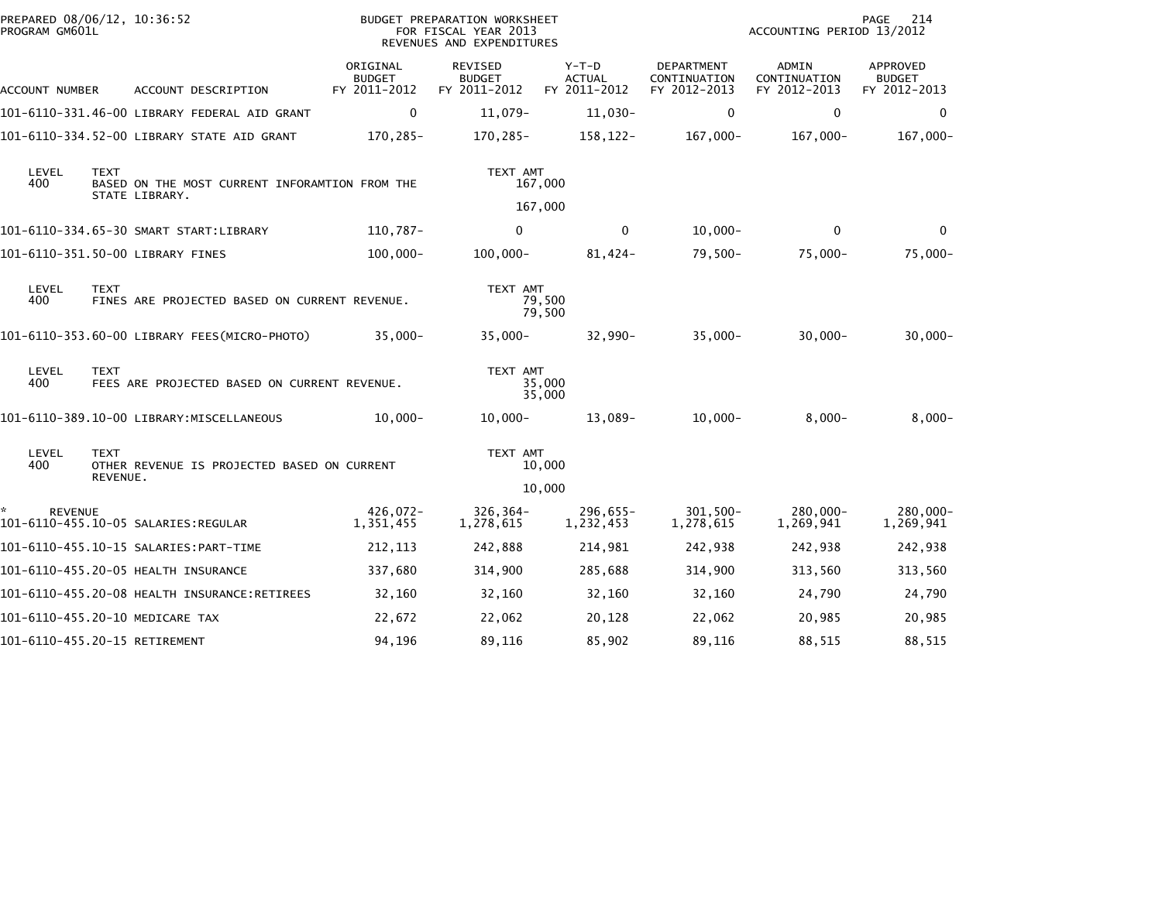|                               | PREPARED 08/06/12, 10:36:52<br>PROGRAM GM601L |                                                                  |                                           | BUDGET PREPARATION WORKSHEET<br>FOR FISCAL YEAR 2013<br>REVENUES AND EXPENDITURES |                                          |                                                   | ACCOUNTING PERIOD 13/2012             | 214<br>PAGE                                      |
|-------------------------------|-----------------------------------------------|------------------------------------------------------------------|-------------------------------------------|-----------------------------------------------------------------------------------|------------------------------------------|---------------------------------------------------|---------------------------------------|--------------------------------------------------|
| ACCOUNT NUMBER                |                                               | ACCOUNT DESCRIPTION                                              | ORIGINAL<br><b>BUDGET</b><br>FY 2011-2012 | REVISED<br><b>BUDGET</b><br>FY 2011-2012                                          | $Y-T-D$<br><b>ACTUAL</b><br>FY 2011-2012 | <b>DEPARTMENT</b><br>CONTINUATION<br>FY 2012-2013 | ADMIN<br>CONTINUATION<br>FY 2012-2013 | <b>APPROVED</b><br><b>BUDGET</b><br>FY 2012-2013 |
|                               |                                               | 101-6110-331.46-00 LIBRARY FEDERAL AID GRANT                     | $\mathbf 0$                               | 11,079-                                                                           | 11,030-                                  | 0                                                 | 0                                     | 0                                                |
|                               |                                               | 101-6110-334.52-00 LIBRARY STATE AID GRANT                       | 170,285-                                  | 170,285-                                                                          | 158,122-                                 | $167,000 -$                                       | 167,000-                              | $167,000-$                                       |
| LEVEL<br>400                  | <b>TEXT</b>                                   | BASED ON THE MOST CURRENT INFORAMTION FROM THE<br>STATE LIBRARY. |                                           | TEXT AMT                                                                          | 167,000                                  |                                                   |                                       |                                                  |
|                               |                                               |                                                                  |                                           |                                                                                   | 167,000                                  |                                                   |                                       |                                                  |
|                               |                                               | 101-6110-334.65-30 SMART START:LIBRARY                           | 110,787-                                  | $\mathbf 0$                                                                       | $\mathbf{0}$                             | $10,000 -$                                        | $\mathbf 0$                           | $\mathbf 0$                                      |
|                               |                                               | 101-6110-351.50-00 LIBRARY FINES                                 | $100,000 -$                               | $100,000 -$                                                                       | 81,424-                                  | $79,500-$                                         | $75,000 -$                            | $75,000 -$                                       |
| LEVEL<br>400                  | <b>TEXT</b>                                   | FINES ARE PROJECTED BASED ON CURRENT REVENUE.                    |                                           | TEXT AMT                                                                          | 79,500<br>79,500                         |                                                   |                                       |                                                  |
|                               |                                               | 101-6110-353.60-00 LIBRARY FEES(MICRO-PHOTO)                     | $35,000 -$                                | 35,000-                                                                           | 32,990-                                  | $35,000 -$                                        | $30,000 -$                            | $30,000 -$                                       |
| LEVEL<br>400                  | <b>TEXT</b>                                   | FEES ARE PROJECTED BASED ON CURRENT REVENUE.                     |                                           | TEXT AMT                                                                          | 35,000<br>35,000                         |                                                   |                                       |                                                  |
|                               |                                               | 101-6110-389.10-00 LIBRARY:MISCELLANEOUS                         | $10,000 -$                                | $10,000 -$                                                                        | 13,089-                                  | $10,000 -$                                        | $8,000-$                              | $8,000 -$                                        |
| LEVEL<br>400                  | <b>TEXT</b><br>REVENUE.                       | OTHER REVENUE IS PROJECTED BASED ON CURRENT                      |                                           | TEXT AMT                                                                          | 10,000                                   |                                                   |                                       |                                                  |
|                               |                                               |                                                                  |                                           |                                                                                   | 10,000                                   |                                                   |                                       |                                                  |
| <b>REVENUE</b>                |                                               | 101-6110-455.10-05 SALARIES:REGULAR                              | 426,072-<br>1,351,455                     | $326, 364 -$<br>1,278,615                                                         | 296,655-<br>1,232,453                    | $301, 500 -$<br>1,278,615                         | 280,000-<br>1,269,941                 | $280,000 -$<br>1,269,941                         |
|                               |                                               |                                                                  | 212, 113                                  | 242,888                                                                           | 214,981                                  | 242,938                                           | 242,938                               | 242,938                                          |
|                               |                                               | 101-6110-455.20-05 HEALTH INSURANCE                              | 337,680                                   | 314,900                                                                           | 285,688                                  | 314,900                                           | 313,560                               | 313,560                                          |
|                               |                                               |                                                                  | 32,160                                    | 32,160                                                                            | 32,160                                   | 32,160                                            | 24,790                                | 24,790                                           |
|                               |                                               | 101-6110-455.20-10 MEDICARE TAX                                  | 22,672                                    | 22,062                                                                            | 20,128                                   | 22,062                                            | 20,985                                | 20,985                                           |
| 101-6110-455.20-15 RETIREMENT |                                               |                                                                  | 94,196                                    | 89,116                                                                            | 85,902                                   | 89,116                                            | 88,515                                | 88,515                                           |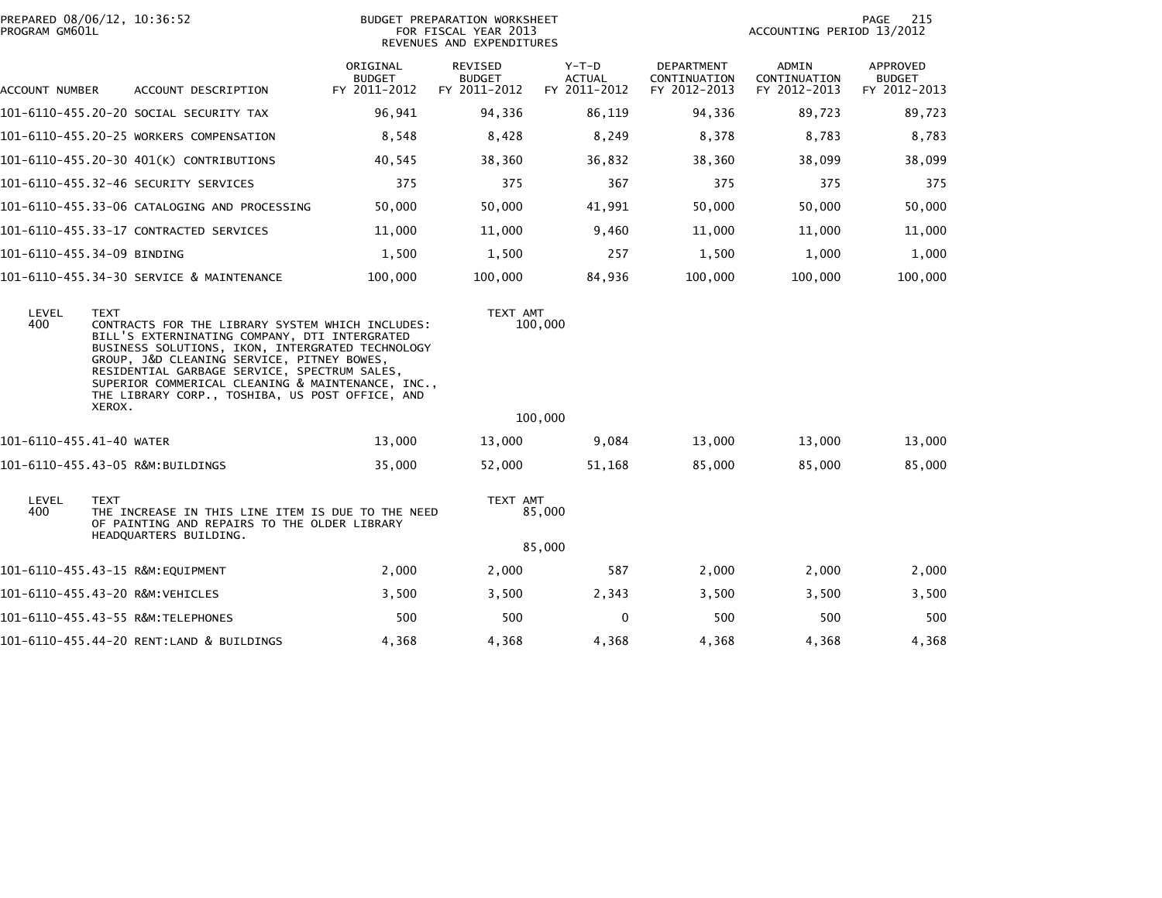| PROGRAM GM601L           | PREPARED 08/06/12, 10:36:52                                                                                                                                                                                                                                                                                                                                                          |                                           | BUDGET PREPARATION WORKSHEET<br>FOR FISCAL YEAR 2013<br>REVENUES AND EXPENDITURES |                                          | 215<br>PAGE<br>ACCOUNTING PERIOD 13/2012          |                                       |                                           |
|--------------------------|--------------------------------------------------------------------------------------------------------------------------------------------------------------------------------------------------------------------------------------------------------------------------------------------------------------------------------------------------------------------------------------|-------------------------------------------|-----------------------------------------------------------------------------------|------------------------------------------|---------------------------------------------------|---------------------------------------|-------------------------------------------|
| ACCOUNT NUMBER           | ACCOUNT DESCRIPTION                                                                                                                                                                                                                                                                                                                                                                  | ORIGINAL<br><b>BUDGET</b><br>FY 2011-2012 | REVISED<br><b>BUDGET</b><br>FY 2011-2012                                          | $Y-T-D$<br><b>ACTUAL</b><br>FY 2011-2012 | <b>DEPARTMENT</b><br>CONTINUATION<br>FY 2012-2013 | ADMIN<br>CONTINUATION<br>FY 2012-2013 | APPROVED<br><b>BUDGET</b><br>FY 2012-2013 |
|                          | 101-6110-455.20-20 SOCIAL SECURITY TAX                                                                                                                                                                                                                                                                                                                                               | 96,941                                    | 94,336                                                                            | 86,119                                   | 94,336                                            | 89,723                                | 89,723                                    |
|                          | 101-6110-455.20-25 WORKERS COMPENSATION                                                                                                                                                                                                                                                                                                                                              | 8,548                                     | 8,428                                                                             | 8,249                                    | 8,378                                             | 8,783                                 | 8,783                                     |
|                          | 101-6110-455.20-30 401(K) CONTRIBUTIONS                                                                                                                                                                                                                                                                                                                                              | 40,545                                    | 38,360                                                                            | 36,832                                   | 38,360                                            | 38,099                                | 38,099                                    |
|                          | 101-6110-455.32-46 SECURITY SERVICES                                                                                                                                                                                                                                                                                                                                                 | 375                                       | 375                                                                               | 367                                      | 375                                               | 375                                   | 375                                       |
|                          | 101-6110-455.33-06 CATALOGING AND PROCESSING                                                                                                                                                                                                                                                                                                                                         | 50,000                                    | 50,000                                                                            | 41,991                                   | 50,000                                            | 50,000                                | 50,000                                    |
|                          | 101-6110-455.33-17 CONTRACTED SERVICES                                                                                                                                                                                                                                                                                                                                               | 11,000                                    | 11,000                                                                            | 9,460                                    | 11,000                                            | 11,000                                | 11,000                                    |
|                          | 101-6110-455.34-09 BINDING                                                                                                                                                                                                                                                                                                                                                           | 1,500                                     | 1,500                                                                             | 257                                      | 1,500                                             | 1,000                                 | 1,000                                     |
|                          | 101-6110-455.34-30 SERVICE & MAINTENANCE                                                                                                                                                                                                                                                                                                                                             | 100,000                                   | 100,000                                                                           | 84,936                                   | 100,000                                           | 100,000                               | 100,000                                   |
| LEVEL<br>400             | <b>TEXT</b><br>CONTRACTS FOR THE LIBRARY SYSTEM WHICH INCLUDES:<br>BILL'S EXTERNINATING COMPANY, DTI INTERGRATED<br>BUSINESS SOLUTIONS, IKON, INTERGRATED TECHNOLOGY<br>GROUP, J&D CLEANING SERVICE, PITNEY BOWES,<br>RESIDENTIAL GARBAGE SERVICE, SPECTRUM SALES,<br>SUPERIOR COMMERICAL CLEANING & MAINTENANCE, INC.,<br>THE LIBRARY CORP., TOSHIBA, US POST OFFICE, AND<br>XEROX. |                                           | TEXT AMT                                                                          | 100,000                                  |                                                   |                                       |                                           |
|                          |                                                                                                                                                                                                                                                                                                                                                                                      |                                           |                                                                                   | 100,000                                  |                                                   |                                       |                                           |
| 101-6110-455.41-40 WATER |                                                                                                                                                                                                                                                                                                                                                                                      | 13,000                                    | 13,000                                                                            | 9,084                                    | 13,000                                            | 13,000                                | 13,000                                    |
|                          | 101-6110-455.43-05 R&M:BUILDINGS                                                                                                                                                                                                                                                                                                                                                     | 35,000                                    | 52,000                                                                            | 51,168                                   | 85,000                                            | 85,000                                | 85,000                                    |
| LEVEL<br>400             | <b>TEXT</b><br>THE INCREASE IN THIS LINE ITEM IS DUE TO THE NEED<br>OF PAINTING AND REPAIRS TO THE OLDER LIBRARY<br>HEADQUARTERS BUILDING.                                                                                                                                                                                                                                           |                                           | TEXT AMT                                                                          | 85,000                                   |                                                   |                                       |                                           |
|                          |                                                                                                                                                                                                                                                                                                                                                                                      |                                           |                                                                                   | 85,000                                   |                                                   |                                       |                                           |
|                          |                                                                                                                                                                                                                                                                                                                                                                                      | 2,000                                     | 2,000                                                                             | 587                                      | 2,000                                             | 2,000                                 | 2,000                                     |
|                          | 101-6110-455.43-20 R&M:VEHICLES                                                                                                                                                                                                                                                                                                                                                      | 3,500                                     | 3,500                                                                             | 2,343                                    | 3,500                                             | 3,500                                 | 3,500                                     |
|                          |                                                                                                                                                                                                                                                                                                                                                                                      | 500                                       | 500                                                                               | $\Omega$                                 | 500                                               | 500                                   | 500                                       |
|                          | 101-6110-455.44-20 RENT:LAND & BUILDINGS                                                                                                                                                                                                                                                                                                                                             | 4,368                                     | 4,368                                                                             | 4,368                                    | 4,368                                             | 4,368                                 | 4,368                                     |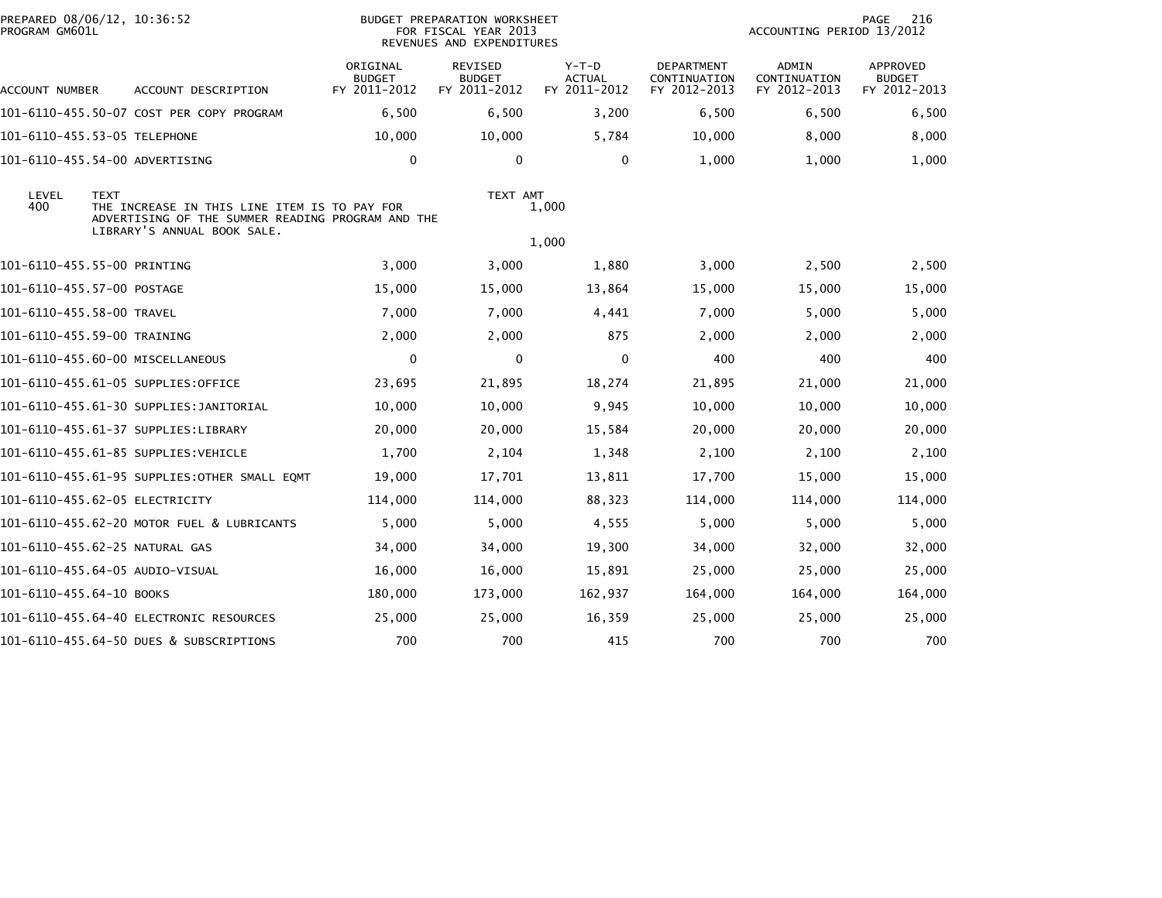| PREPARED 08/06/12, 10:36:52<br>PROGRAM GM601L |                                                                                                                                                 | BUDGET PREPARATION WORKSHEET<br>FOR FISCAL YEAR 2013<br>REVENUES AND EXPENDITURES |                                                 |                                          |                                                   | 216<br>PAGE<br>ACCOUNTING PERIOD 13/2012     |                                           |
|-----------------------------------------------|-------------------------------------------------------------------------------------------------------------------------------------------------|-----------------------------------------------------------------------------------|-------------------------------------------------|------------------------------------------|---------------------------------------------------|----------------------------------------------|-------------------------------------------|
| ACCOUNT NUMBER                                | ACCOUNT DESCRIPTION                                                                                                                             | ORIGINAL<br><b>BUDGET</b><br>FY 2011-2012                                         | <b>REVISED</b><br><b>BUDGET</b><br>FY 2011-2012 | $Y-T-D$<br><b>ACTUAL</b><br>FY 2011-2012 | <b>DEPARTMENT</b><br>CONTINUATION<br>FY 2012-2013 | <b>ADMIN</b><br>CONTINUATION<br>FY 2012-2013 | APPROVED<br><b>BUDGET</b><br>FY 2012-2013 |
|                                               | 101-6110-455.50-07 COST PER COPY PROGRAM                                                                                                        | 6,500                                                                             | 6,500                                           | 3,200                                    | 6,500                                             | 6,500                                        | 6,500                                     |
|                                               | 101-6110-455.53-05 TELEPHONE                                                                                                                    | 10,000                                                                            | 10,000                                          | 5,784                                    | 10,000                                            | 8,000                                        | 8,000                                     |
|                                               | 101-6110-455.54-00 ADVERTISING                                                                                                                  | $\mathbf 0$                                                                       | $\mathbf 0$                                     | $\mathbf{0}$                             | 1,000                                             | 1,000                                        | 1,000                                     |
| LEVEL<br>400                                  | <b>TEXT</b><br>THE INCREASE IN THIS LINE ITEM IS TO PAY FOR<br>ADVERTISING OF THE SUMMER READING PROGRAM AND THE<br>LIBRARY'S ANNUAL BOOK SALE. |                                                                                   | TEXT AMT                                        | 1,000                                    |                                                   |                                              |                                           |
|                                               |                                                                                                                                                 |                                                                                   |                                                 | 1,000                                    |                                                   |                                              |                                           |
|                                               | 101-6110-455.55-00 PRINTING                                                                                                                     | 3,000                                                                             | 3,000                                           | 1,880                                    | 3,000                                             | 2,500                                        | 2,500                                     |
|                                               | 101-6110-455.57-00 POSTAGE                                                                                                                      | 15,000                                                                            | 15,000                                          | 13,864                                   | 15,000                                            | 15,000                                       | 15,000                                    |
| 101-6110-455.58-00 TRAVEL                     |                                                                                                                                                 | 7,000                                                                             | 7,000                                           | 4,441                                    | 7,000                                             | 5,000                                        | 5,000                                     |
|                                               | 101-6110-455.59-00 TRAINING                                                                                                                     | 2,000                                                                             | 2,000                                           | 875                                      | 2,000                                             | 2,000                                        | 2,000                                     |
|                                               | 101-6110-455.60-00 MISCELLANEOUS                                                                                                                | $\mathbf 0$                                                                       | $\mathbf 0$                                     | $\mathbf 0$                              | 400                                               | 400                                          | 400                                       |
|                                               | 101-6110-455.61-05 SUPPLIES:OFFICE                                                                                                              | 23,695                                                                            | 21,895                                          | 18,274                                   | 21,895                                            | 21,000                                       | 21,000                                    |
|                                               | 101-6110-455.61-30 SUPPLIES:JANITORIAL                                                                                                          | 10,000                                                                            | 10,000                                          | 9,945                                    | 10,000                                            | 10,000                                       | 10,000                                    |
|                                               | 101-6110-455.61-37 SUPPLIES:LIBRARY                                                                                                             | 20,000                                                                            | 20,000                                          | 15,584                                   | 20,000                                            | 20,000                                       | 20,000                                    |
|                                               | 101-6110-455.61-85 SUPPLIES:VEHICLE                                                                                                             | 1,700                                                                             | 2,104                                           | 1,348                                    | 2,100                                             | 2,100                                        | 2,100                                     |
|                                               | 101-6110-455.61-95 SUPPLIES:OTHER SMALL EQMT                                                                                                    | 19,000                                                                            | 17,701                                          | 13,811                                   | 17,700                                            | 15,000                                       | 15,000                                    |
|                                               | 101-6110-455.62-05 ELECTRICITY                                                                                                                  | 114,000                                                                           | 114,000                                         | 88,323                                   | 114,000                                           | 114,000                                      | 114,000                                   |
|                                               | 101-6110-455.62-20 MOTOR FUEL & LUBRICANTS                                                                                                      | 5,000                                                                             | 5,000                                           | 4,555                                    | 5,000                                             | 5,000                                        | 5,000                                     |
|                                               | 101-6110-455.62-25 NATURAL GAS                                                                                                                  | 34,000                                                                            | 34,000                                          | 19,300                                   | 34,000                                            | 32,000                                       | 32,000                                    |
|                                               | 101-6110-455.64-05 AUDIO-VISUAL                                                                                                                 | 16,000                                                                            | 16,000                                          | 15,891                                   | 25,000                                            | 25,000                                       | 25,000                                    |
| 101-6110-455.64-10 BOOKS                      |                                                                                                                                                 | 180,000                                                                           | 173,000                                         | 162,937                                  | 164,000                                           | 164,000                                      | 164,000                                   |
|                                               | 101-6110-455.64-40 ELECTRONIC RESOURCES                                                                                                         | 25,000                                                                            | 25,000                                          | 16,359                                   | 25,000                                            | 25,000                                       | 25,000                                    |
|                                               | 101-6110-455.64-50 DUES & SUBSCRIPTIONS                                                                                                         | 700                                                                               | 700                                             | 415                                      | 700                                               | 700                                          | 700                                       |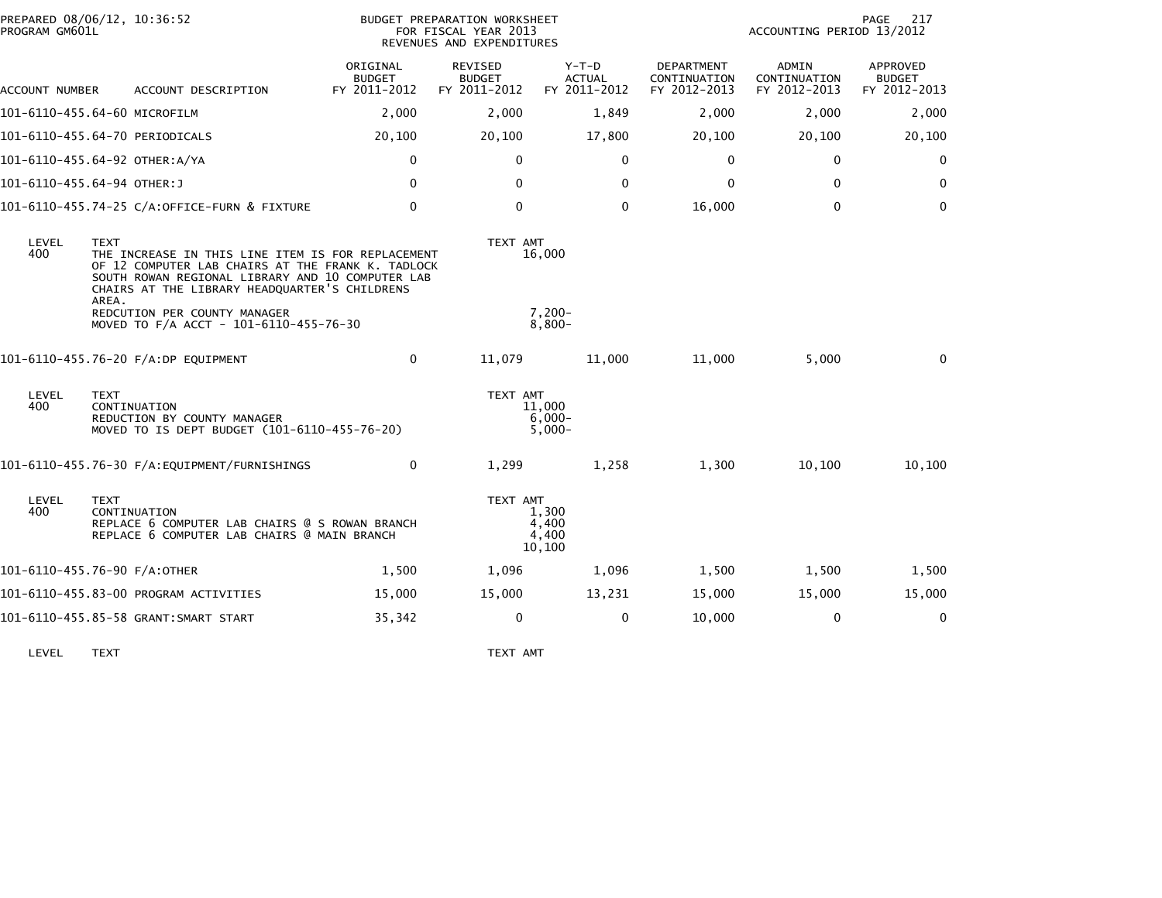| PROGRAM GM601L | PREPARED 08/06/12, 10:36:52                                                                                                                                                                                                         |                                           | BUDGET PREPARATION WORKSHEET<br>FOR FISCAL YEAR 2013<br>REVENUES AND EXPENDITURES | 217<br>PAGE<br>ACCOUNTING PERIOD 13/2012 |                                            |                                       |                                           |
|----------------|-------------------------------------------------------------------------------------------------------------------------------------------------------------------------------------------------------------------------------------|-------------------------------------------|-----------------------------------------------------------------------------------|------------------------------------------|--------------------------------------------|---------------------------------------|-------------------------------------------|
| ACCOUNT NUMBER | ACCOUNT DESCRIPTION                                                                                                                                                                                                                 | ORIGINAL<br><b>BUDGET</b><br>FY 2011-2012 | REVISED<br><b>BUDGET</b><br>FY 2011-2012                                          | $Y-T-D$<br><b>ACTUAL</b><br>FY 2011-2012 | DEPARTMENT<br>CONTINUATION<br>FY 2012-2013 | ADMIN<br>CONTINUATION<br>FY 2012-2013 | APPROVED<br><b>BUDGET</b><br>FY 2012-2013 |
|                | 101-6110-455.64-60 MICROFILM                                                                                                                                                                                                        | 2,000                                     | 2,000                                                                             | 1,849                                    | 2,000                                      | 2,000                                 | 2,000                                     |
|                | 101-6110-455.64-70 PERIODICALS                                                                                                                                                                                                      | 20,100                                    | 20,100                                                                            | 17,800                                   | 20,100                                     | 20,100                                | 20,100                                    |
|                | 101-6110-455.64-92 OTHER:A/YA                                                                                                                                                                                                       | 0                                         | $\mathbf{0}$                                                                      | $\mathbf{0}$                             | $\mathbf{0}$                               | $\Omega$                              | 0                                         |
|                | 101-6110-455.64-94 OTHER:J                                                                                                                                                                                                          | 0                                         | $\mathbf{0}$                                                                      | $\Omega$                                 | 0                                          | $\Omega$                              | $\mathbf{0}$                              |
|                | 101-6110-455.74-25 C/A:OFFICE-FURN & FIXTURE                                                                                                                                                                                        | 0                                         | $\mathbf 0$                                                                       | $\mathbf 0$                              | 16,000                                     | $\mathbf 0$                           | $\mathbf 0$                               |
| LEVEL<br>400   | <b>TEXT</b><br>THE INCREASE IN THIS LINE ITEM IS FOR REPLACEMENT<br>OF 12 COMPUTER LAB CHAIRS AT THE FRANK K. TADLOCK<br>SOUTH ROWAN REGIONAL LIBRARY AND 10 COMPUTER LAB<br>CHAIRS AT THE LIBRARY HEADQUARTER'S CHILDRENS<br>AREA. |                                           | TEXT AMT                                                                          | 16,000                                   |                                            |                                       |                                           |
|                | REDCUTION PER COUNTY MANAGER<br>MOVED TO F/A ACCT - 101-6110-455-76-30                                                                                                                                                              |                                           |                                                                                   | $7,200-$<br>$8,800-$                     |                                            |                                       |                                           |
|                | 101-6110-455.76-20 F/A:DP EQUIPMENT                                                                                                                                                                                                 | 0                                         | 11,079                                                                            | 11,000                                   | 11,000                                     | 5,000                                 | $\Omega$                                  |
| LEVEL<br>400   | <b>TEXT</b><br>CONTINUATION<br>REDUCTION BY COUNTY MANAGER<br>MOVED TO IS DEPT BUDGET (101-6110-455-76-20)                                                                                                                          |                                           | TEXT AMT                                                                          | 11.000<br>$6,000-$<br>$5,000 -$          |                                            |                                       |                                           |
|                |                                                                                                                                                                                                                                     | 0                                         | 1,299                                                                             | 1,258                                    | 1,300                                      | 10,100                                | 10,100                                    |
| LEVEL<br>400   | <b>TEXT</b><br>CONTINUATION<br>REPLACE 6 COMPUTER LAB CHAIRS @ S ROWAN BRANCH<br>REPLACE 6 COMPUTER LAB CHAIRS @ MAIN BRANCH                                                                                                        |                                           | TEXT AMT                                                                          | 1.300<br>4,400<br>4,400<br>10,100        |                                            |                                       |                                           |
|                | 101-6110-455.76-90 F/A:OTHER                                                                                                                                                                                                        | 1,500                                     | 1,096                                                                             | 1,096                                    | 1,500                                      | 1,500                                 | 1,500                                     |
|                | 101-6110-455.83-00 PROGRAM ACTIVITIES                                                                                                                                                                                               | 15,000                                    | 15,000                                                                            | 13,231                                   | 15,000                                     | 15,000                                | 15,000                                    |
|                | 101-6110-455.85-58 GRANT:SMART START                                                                                                                                                                                                | 35,342                                    | 0                                                                                 | $\mathbf{0}$                             | 10,000                                     | $\Omega$                              | $\mathbf 0$                               |
|                |                                                                                                                                                                                                                                     |                                           |                                                                                   |                                          |                                            |                                       |                                           |

LEVEL TEXT TEXT AMT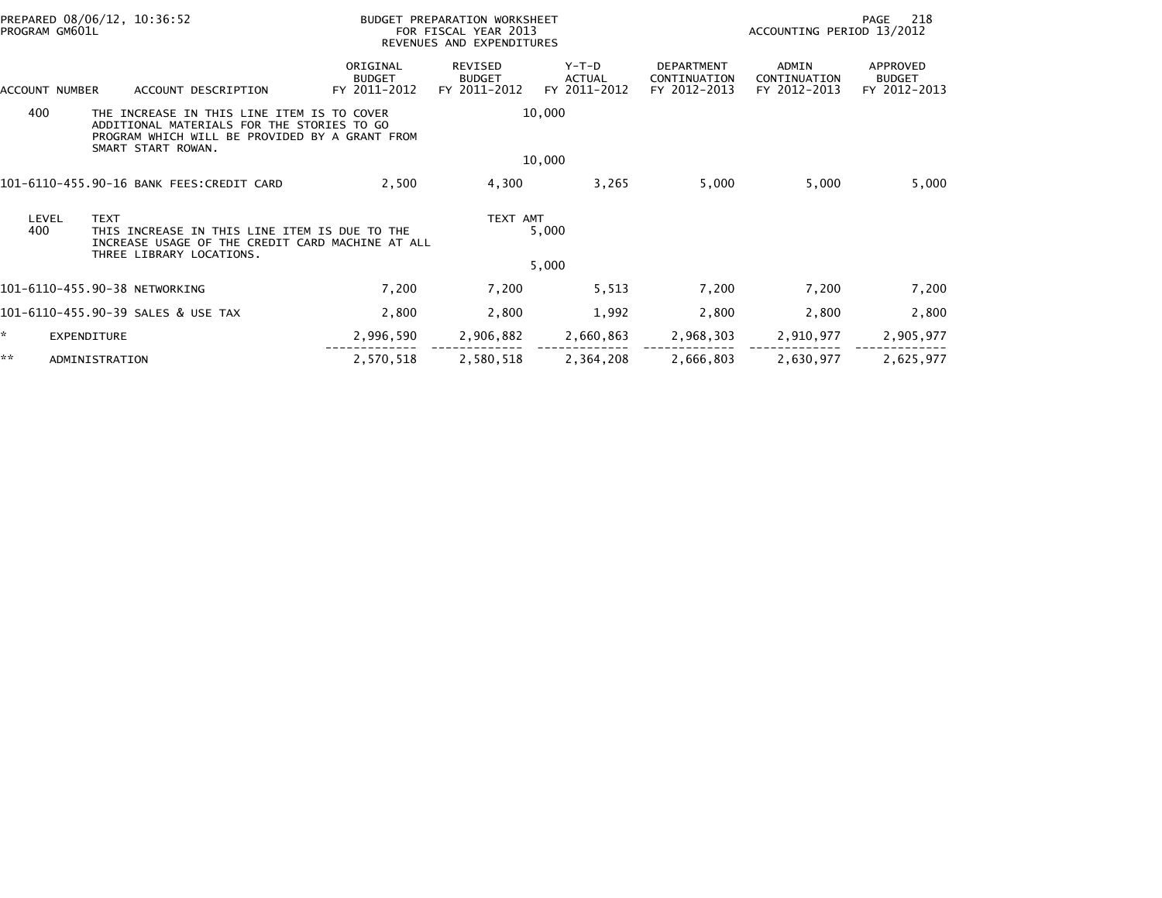| PREPARED 08/06/12, 10:36:52<br>PROGRAM GM601L                                                                                    |                                                                                                                                                                  |                                           | BUDGET PREPARATION WORKSHEET<br>FOR FISCAL YEAR 2013<br>REVENUES AND EXPENDITURES |                                   |                                                   | 218<br>PAGE<br>ACCOUNTING PERIOD 13/2012     |                                           |  |  |
|----------------------------------------------------------------------------------------------------------------------------------|------------------------------------------------------------------------------------------------------------------------------------------------------------------|-------------------------------------------|-----------------------------------------------------------------------------------|-----------------------------------|---------------------------------------------------|----------------------------------------------|-------------------------------------------|--|--|
| ACCOUNT NUMBER                                                                                                                   | ACCOUNT DESCRIPTION                                                                                                                                              | ORIGINAL<br><b>BUDGET</b><br>FY 2011-2012 | <b>REVISED</b><br><b>BUDGET</b><br>FY 2011-2012                                   | $Y-T-D$<br>ACTUAL<br>FY 2011-2012 | <b>DEPARTMENT</b><br>CONTINUATION<br>FY 2012-2013 | <b>ADMIN</b><br>CONTINUATION<br>FY 2012-2013 | APPROVED<br><b>BUDGET</b><br>FY 2012-2013 |  |  |
| 400                                                                                                                              | THE INCREASE IN THIS LINE ITEM IS TO COVER<br>ADDITIONAL MATERIALS FOR THE STORIES TO GO<br>PROGRAM WHICH WILL BE PROVIDED BY A GRANT FROM<br>SMART START ROWAN. |                                           |                                                                                   | 10,000                            |                                                   |                                              |                                           |  |  |
|                                                                                                                                  |                                                                                                                                                                  |                                           |                                                                                   | 10,000                            |                                                   |                                              |                                           |  |  |
|                                                                                                                                  | 101-6110-455.90-16 BANK FEES:CREDIT CARD                                                                                                                         | 2,500                                     | 4,300                                                                             | 3,265                             | 5,000                                             | 5,000                                        | 5,000                                     |  |  |
| LEVEL<br><b>TEXT</b><br>400<br>THIS INCREASE IN THIS LINE ITEM IS DUE TO THE<br>INCREASE USAGE OF THE CREDIT CARD MACHINE AT ALL |                                                                                                                                                                  |                                           | TEXT AMT                                                                          | 5,000                             |                                                   |                                              |                                           |  |  |
|                                                                                                                                  | THREE LIBRARY LOCATIONS.                                                                                                                                         |                                           |                                                                                   | 5,000                             |                                                   |                                              |                                           |  |  |
|                                                                                                                                  | 101-6110-455.90-38 NETWORKING                                                                                                                                    | 7,200                                     | 7,200                                                                             | 5,513                             | 7,200                                             | 7,200                                        | 7,200                                     |  |  |
|                                                                                                                                  | 101-6110-455.90-39 SALES & USE TAX                                                                                                                               | 2,800                                     | 2,800                                                                             | 1,992                             | 2,800                                             | 2,800                                        | 2,800                                     |  |  |
| ×.                                                                                                                               | EXPENDITURE                                                                                                                                                      | 2,996,590                                 | 2,906,882                                                                         | 2,660,863                         | 2,968,303                                         | 2,910,977                                    | 2,905,977                                 |  |  |
| **                                                                                                                               | ADMINISTRATION                                                                                                                                                   | 2,570,518                                 | 2,580,518                                                                         | 2,364,208                         | 2,666,803                                         | 2,630,977                                    | 2,625,977                                 |  |  |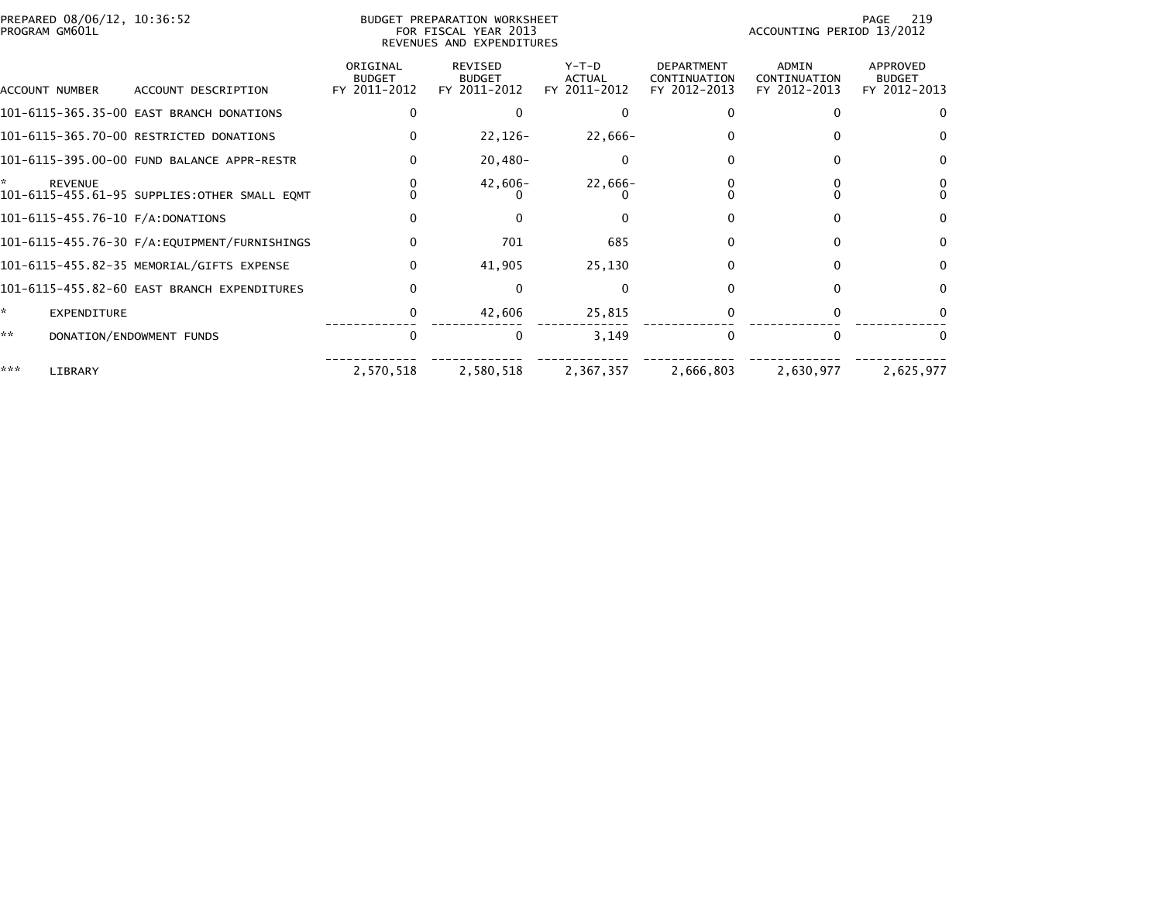|     | PREPARED 08/06/12, 10:36:52<br>PROGRAM GM601L |                                              |                                           | BUDGET PREPARATION WORKSHEET<br>FOR FISCAL YEAR 2013<br>REVENUES AND EXPENDITURES |                                          | 219<br>PAGE<br>ACCOUNTING PERIOD 13/2012          |                                              |                                           |
|-----|-----------------------------------------------|----------------------------------------------|-------------------------------------------|-----------------------------------------------------------------------------------|------------------------------------------|---------------------------------------------------|----------------------------------------------|-------------------------------------------|
|     | ACCOUNT NUMBER                                | ACCOUNT DESCRIPTION                          | ORIGINAL<br><b>BUDGET</b><br>FY 2011-2012 | <b>REVISED</b><br><b>BUDGET</b><br>FY 2011-2012                                   | $Y-T-D$<br><b>ACTUAL</b><br>FY 2011-2012 | <b>DEPARTMENT</b><br>CONTINUATION<br>FY 2012-2013 | <b>ADMIN</b><br>CONTINUATION<br>FY 2012-2013 | APPROVED<br><b>BUDGET</b><br>FY 2012-2013 |
|     |                                               | 101-6115-365.35-00 EAST BRANCH DONATIONS     |                                           | 0                                                                                 |                                          |                                                   | O                                            | 0                                         |
|     |                                               | 101-6115-365.70-00 RESTRICTED DONATIONS      | $\Omega$                                  | $22,126-$                                                                         | 22,666-                                  |                                                   |                                              |                                           |
|     |                                               | 101-6115-395.00-00 FUND BALANCE APPR-RESTR   | $\Omega$                                  | $20,480-$                                                                         |                                          |                                                   | $\Omega$                                     | $\Omega$                                  |
|     | <b>REVENUE</b>                                | 101-6115-455.61-95 SUPPLIES:OTHER SMALL EQMT |                                           | $42,606-$                                                                         | 22,666-                                  |                                                   |                                              |                                           |
|     |                                               | 101-6115-455.76-10 F/A:DONATIONS             | $\Omega$                                  | 0                                                                                 |                                          |                                                   | <sup>n</sup>                                 | $\Omega$                                  |
|     |                                               |                                              | $\Omega$                                  | 701                                                                               | 685                                      |                                                   |                                              | $\Omega$                                  |
|     |                                               | 101-6115-455.82-35 MEMORIAL/GIFTS EXPENSE    | $\mathbf{0}$                              | 41,905                                                                            | 25,130                                   | 0                                                 | $\Omega$                                     | $\Omega$                                  |
|     |                                               | 101-6115-455.82-60 EAST BRANCH EXPENDITURES  | $\Omega$                                  | $\Omega$                                                                          |                                          |                                                   |                                              | $\Omega$                                  |
| *   | <b>EXPENDITURE</b>                            |                                              | 0                                         | 42,606                                                                            | 25,815                                   |                                                   |                                              |                                           |
| **  |                                               | DONATION/ENDOWMENT FUNDS                     | $\Omega$                                  | $\mathbf{0}$                                                                      | 3,149                                    | 0                                                 | $\Omega$                                     |                                           |
| *** | LIBRARY                                       |                                              | 2,570,518                                 | 2,580,518                                                                         | 2,367,357                                | 2,666,803                                         | 2,630,977                                    | 2,625,977                                 |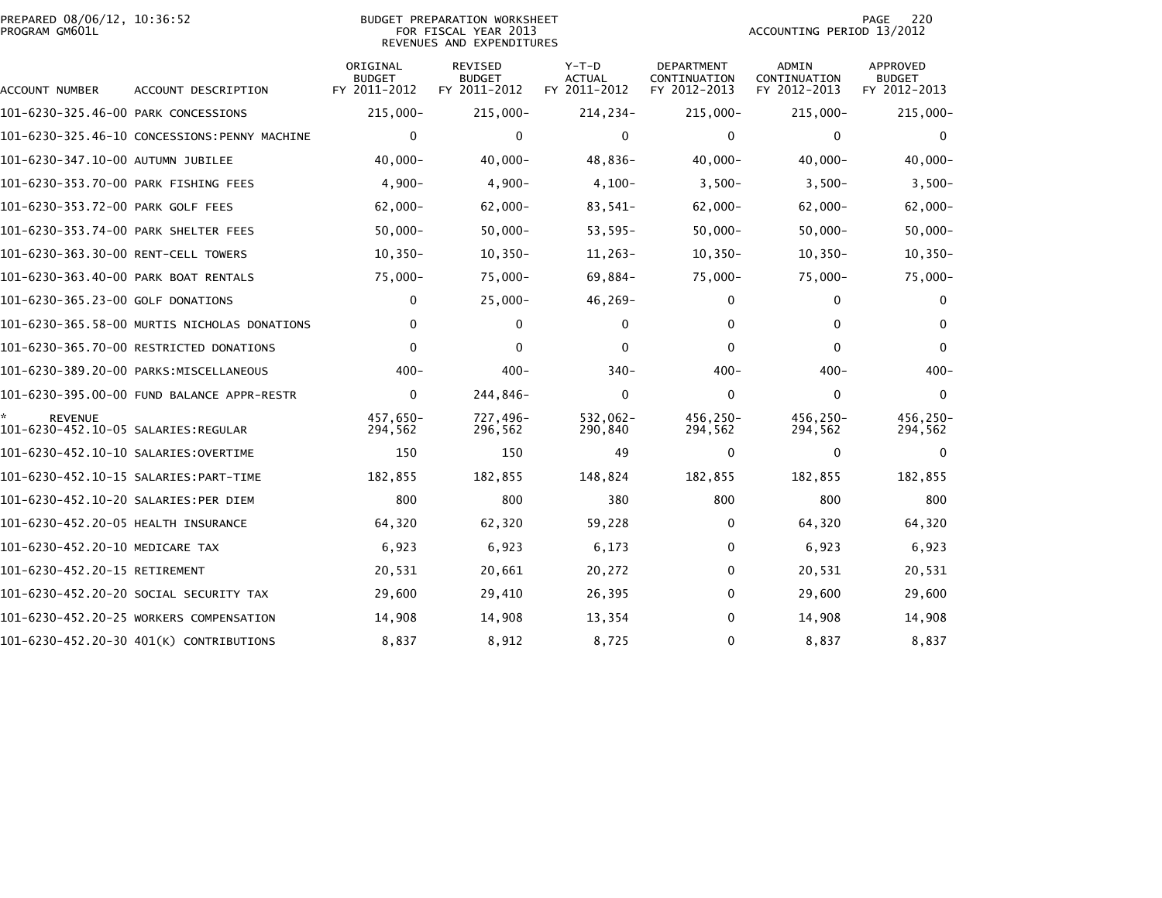| PROGRAM GM601L                       | PREPARED 08/06/12, 10:36:52<br>BUDGET PREPARATION WORKSHEET<br>FOR FISCAL YEAR 2013<br>REVENUES AND EXPENDITURES |                                           |                                                 |                                          |                                                   |                                              | 220<br><b>PAGE</b><br>ACCOUNTING PERIOD 13/2012  |  |  |
|--------------------------------------|------------------------------------------------------------------------------------------------------------------|-------------------------------------------|-------------------------------------------------|------------------------------------------|---------------------------------------------------|----------------------------------------------|--------------------------------------------------|--|--|
| ACCOUNT NUMBER                       | ACCOUNT DESCRIPTION                                                                                              | ORIGINAL<br><b>BUDGET</b><br>FY 2011-2012 | <b>REVISED</b><br><b>BUDGET</b><br>FY 2011-2012 | $Y-T-D$<br><b>ACTUAL</b><br>FY 2011-2012 | <b>DEPARTMENT</b><br>CONTINUATION<br>FY 2012-2013 | <b>ADMIN</b><br>CONTINUATION<br>FY 2012-2013 | <b>APPROVED</b><br><b>BUDGET</b><br>FY 2012-2013 |  |  |
| 101-6230-325.46-00 PARK CONCESSIONS  |                                                                                                                  | $215,000 -$                               | $215,000 -$                                     | 214,234-                                 | $215,000 -$                                       | $215,000 -$                                  | $215,000 -$                                      |  |  |
|                                      | 101-6230-325.46-10 CONCESSIONS:PENNY MACHINE                                                                     | $\mathbf{0}$                              | $\mathbf 0$                                     | $\mathbf{0}$                             | $\Omega$                                          | $\Omega$                                     | $\mathbf{0}$                                     |  |  |
| 101-6230-347.10-00 AUTUMN JUBILEE    |                                                                                                                  | $40,000 -$                                | $40,000 -$                                      | 48,836-                                  | $40,000 -$                                        | $40,000 -$                                   | $40,000 -$                                       |  |  |
| 101-6230-353.70-00 PARK FISHING FEES |                                                                                                                  | $4,900-$                                  | $4,900-$                                        | $4,100-$                                 | $3,500-$                                          | $3,500-$                                     | $3,500-$                                         |  |  |
| 101-6230-353.72-00 PARK GOLF FEES    |                                                                                                                  | $62,000 -$                                | $62,000 -$                                      | 83,541-                                  | $62,000 -$                                        | $62,000 -$                                   | $62,000 -$                                       |  |  |
| 101-6230-353.74-00 PARK SHELTER FEES |                                                                                                                  | $50,000 -$                                | $50,000 -$                                      | $53,595-$                                | $50,000 -$                                        | $50,000-$                                    | $50,000 -$                                       |  |  |
| 101-6230-363.30-00 RENT-CELL TOWERS  |                                                                                                                  | $10, 350 -$                               | $10, 350 -$                                     | $11,263-$                                | $10, 350 -$                                       | $10, 350 -$                                  | $10, 350 -$                                      |  |  |
| 101-6230-363.40-00 PARK BOAT RENTALS |                                                                                                                  | $75,000 -$                                | $75,000 -$                                      | 69,884-                                  | $75,000-$                                         | $75,000 -$                                   | $75,000 -$                                       |  |  |
| 101-6230-365.23-00 GOLF DONATIONS    |                                                                                                                  | 0                                         | $25,000 -$                                      | 46,269-                                  | 0                                                 | 0                                            | 0                                                |  |  |
|                                      | 101-6230-365.58-00 MURTIS NICHOLAS DONATIONS                                                                     | 0                                         | 0                                               | $\mathbf{0}$                             | 0                                                 | 0                                            | $\Omega$                                         |  |  |
|                                      | 101-6230-365.70-00 RESTRICTED DONATIONS                                                                          | $\mathbf{0}$                              | $\mathbf{0}$                                    | $\Omega$                                 | 0                                                 | $\Omega$                                     | $\mathbf{0}$                                     |  |  |
|                                      |                                                                                                                  | $400 -$                                   | $400 -$                                         | $340 -$                                  | 400-                                              | $400 -$                                      | $400 -$                                          |  |  |
|                                      | 101-6230-395.00-00 FUND BALANCE APPR-RESTR                                                                       | 0                                         | 244,846-                                        | $\mathbf{0}$                             | $\Omega$                                          | $\Omega$                                     | $\mathbf{0}$                                     |  |  |
| <b>REVENUE</b>                       |                                                                                                                  | 457,650-<br>294,562                       | 727,496-<br>296,562                             | 532,062-<br>290,840                      | 456,250-<br>294,562                               | 456,250-<br>294,562                          | 456,250-<br>294,562                              |  |  |
|                                      |                                                                                                                  | 150                                       | 150                                             | 49                                       | 0                                                 | 0                                            | 0                                                |  |  |
|                                      |                                                                                                                  | 182,855                                   | 182,855                                         | 148,824                                  | 182,855                                           | 182,855                                      | 182,855                                          |  |  |
| 101-6230-452.10-20 SALARIES:PER DIEM |                                                                                                                  | 800                                       | 800                                             | 380                                      | 800                                               | 800                                          | 800                                              |  |  |
| 101-6230-452.20-05 HEALTH INSURANCE  |                                                                                                                  | 64,320                                    | 62,320                                          | 59,228                                   | 0                                                 | 64,320                                       | 64,320                                           |  |  |
| 101-6230-452.20-10 MEDICARE TAX      |                                                                                                                  | 6,923                                     | 6,923                                           | 6,173                                    | 0                                                 | 6,923                                        | 6,923                                            |  |  |
| 101-6230-452.20-15 RETIREMENT        |                                                                                                                  | 20,531                                    | 20,661                                          | 20,272                                   | $\Omega$                                          | 20,531                                       | 20,531                                           |  |  |
|                                      | 101-6230-452.20-20 SOCIAL SECURITY TAX                                                                           | 29,600                                    | 29,410                                          | 26,395                                   | $\Omega$                                          | 29,600                                       | 29,600                                           |  |  |
|                                      | 101-6230-452.20-25 WORKERS COMPENSATION                                                                          | 14,908                                    | 14,908                                          | 13,354                                   | $\Omega$                                          | 14,908                                       | 14,908                                           |  |  |
|                                      | 101-6230-452.20-30 401(K) CONTRIBUTIONS                                                                          | 8,837                                     | 8,912                                           | 8,725                                    | 0                                                 | 8,837                                        | 8,837                                            |  |  |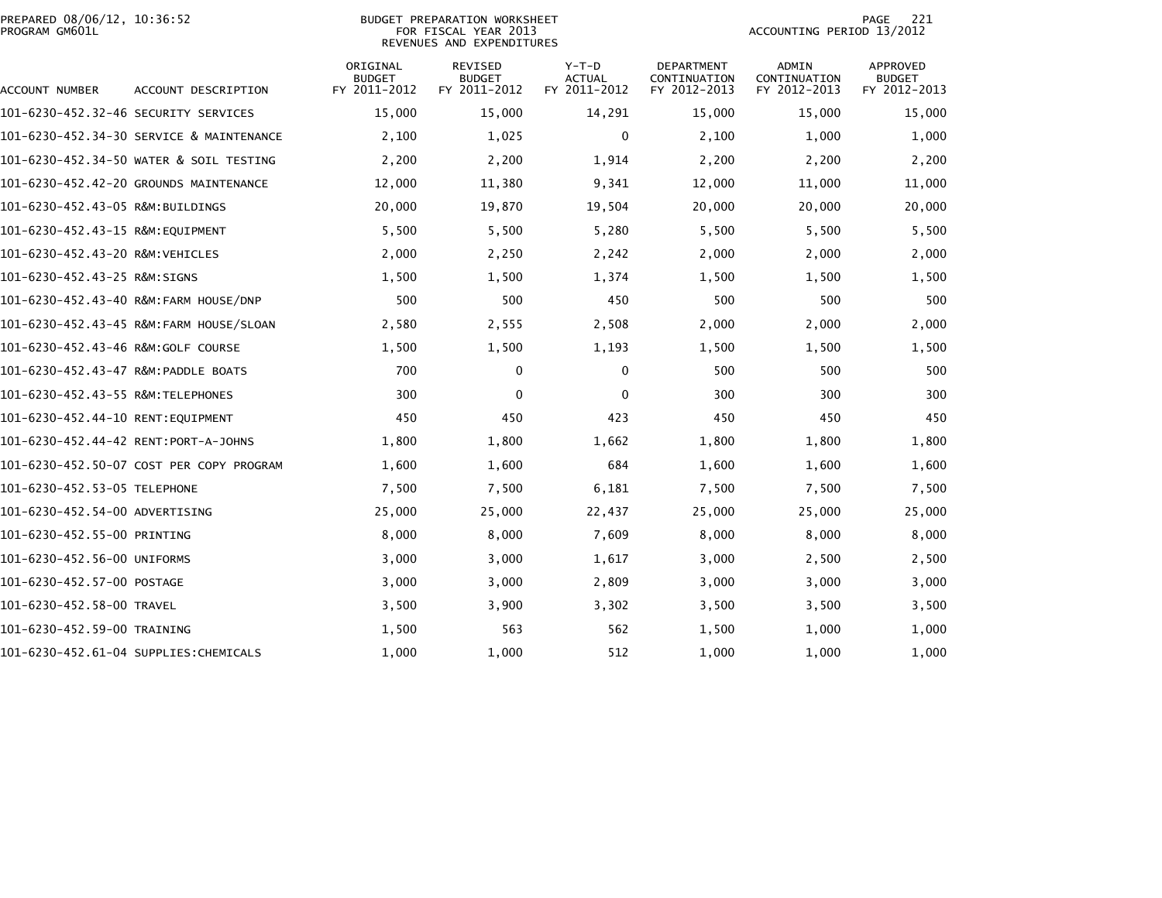|                | PREPARED 08/06/12, 10:36:52 |  |
|----------------|-----------------------------|--|
| PROGRAM GM601L |                             |  |

| ACCOUNT NUMBER                       | ACCOUNT DESCRIPTION                      | ORIGINAL<br><b>BUDGET</b><br>FY 2011-2012 | <b>REVISED</b><br><b>BUDGET</b><br>FY 2011-2012 | $Y-T-D$<br><b>ACTUAL</b><br>FY 2011-2012 | <b>DEPARTMENT</b><br>CONTINUATION<br>FY 2012-2013 | ADMIN<br>CONTINUATION<br>FY 2012-2013 | APPROVED<br><b>BUDGET</b><br>FY 2012-2013 |
|--------------------------------------|------------------------------------------|-------------------------------------------|-------------------------------------------------|------------------------------------------|---------------------------------------------------|---------------------------------------|-------------------------------------------|
| 101-6230-452.32-46 SECURITY SERVICES |                                          | 15,000                                    | 15,000                                          | 14,291                                   | 15,000                                            | 15,000                                | 15,000                                    |
|                                      | 101-6230-452.34-30 SERVICE & MAINTENANCE | 2,100                                     | 1,025                                           | $\mathbf 0$                              | 2,100                                             | 1,000                                 | 1,000                                     |
|                                      | 101-6230-452.34-50 WATER & SOIL TESTING  | 2,200                                     | 2,200                                           | 1,914                                    | 2,200                                             | 2,200                                 | 2,200                                     |
|                                      | 101-6230-452.42-20 GROUNDS MAINTENANCE   | 12,000                                    | 11,380                                          | 9,341                                    | 12,000                                            | 11,000                                | 11,000                                    |
| 101-6230-452.43-05 R&M:BUILDINGS     |                                          | 20,000                                    | 19,870                                          | 19,504                                   | 20,000                                            | 20,000                                | 20,000                                    |
| 101-6230-452.43-15 R&M:EQUIPMENT     |                                          | 5,500                                     | 5,500                                           | 5,280                                    | 5,500                                             | 5,500                                 | 5,500                                     |
| 101-6230-452.43-20 R&M: VEHICLES     |                                          | 2,000                                     | 2,250                                           | 2,242                                    | 2,000                                             | 2,000                                 | 2,000                                     |
| 101-6230-452.43-25 R&M:SIGNS         |                                          | 1,500                                     | 1,500                                           | 1,374                                    | 1,500                                             | 1,500                                 | 1,500                                     |
|                                      | 101-6230-452.43-40 R&M:FARM HOUSE/DNP    | 500                                       | 500                                             | 450                                      | 500                                               | 500                                   | 500                                       |
|                                      | 101-6230-452.43-45 R&M:FARM HOUSE/SLOAN  | 2,580                                     | 2,555                                           | 2,508                                    | 2,000                                             | 2,000                                 | 2,000                                     |
| 101-6230-452.43-46 R&M:GOLF COURSE   |                                          | 1,500                                     | 1,500                                           | 1,193                                    | 1,500                                             | 1,500                                 | 1,500                                     |
| 101-6230-452.43-47 R&M:PADDLE BOATS  |                                          | 700                                       | 0                                               | 0                                        | 500                                               | 500                                   | 500                                       |
| 101-6230-452.43-55 R&M: TELEPHONES   |                                          | 300                                       | $\Omega$                                        | 0                                        | 300                                               | 300                                   | 300                                       |
| 101-6230-452.44-10 RENT:EOUIPMENT    |                                          | 450                                       | 450                                             | 423                                      | 450                                               | 450                                   | 450                                       |
| 101-6230-452.44-42 RENT:PORT-A-JOHNS |                                          | 1,800                                     | 1,800                                           | 1,662                                    | 1,800                                             | 1,800                                 | 1,800                                     |
|                                      | 101-6230-452.50-07 COST PER COPY PROGRAM | 1,600                                     | 1,600                                           | 684                                      | 1,600                                             | 1,600                                 | 1,600                                     |
| 101-6230-452.53-05 TELEPHONE         |                                          | 7,500                                     | 7,500                                           | 6,181                                    | 7,500                                             | 7,500                                 | 7,500                                     |
| 101-6230-452.54-00 ADVERTISING       |                                          | 25,000                                    | 25,000                                          | 22,437                                   | 25,000                                            | 25,000                                | 25,000                                    |
| 101-6230-452.55-00 PRINTING          |                                          | 8,000                                     | 8,000                                           | 7,609                                    | 8,000                                             | 8,000                                 | 8,000                                     |
| 101-6230-452.56-00 UNIFORMS          |                                          | 3,000                                     | 3,000                                           | 1,617                                    | 3,000                                             | 2,500                                 | 2,500                                     |
| 101-6230-452.57-00 POSTAGE           |                                          | 3,000                                     | 3,000                                           | 2,809                                    | 3,000                                             | 3,000                                 | 3,000                                     |
| 101-6230-452.58-00 TRAVEL            |                                          | 3,500                                     | 3,900                                           | 3,302                                    | 3,500                                             | 3,500                                 | 3,500                                     |
| 101-6230-452.59-00 TRAINING          |                                          | 1,500                                     | 563                                             | 562                                      | 1,500                                             | 1,000                                 | 1,000                                     |
|                                      | 101-6230-452.61-04 SUPPLIES:CHEMICALS    | 1,000                                     | 1,000                                           | 512                                      | 1,000                                             | 1,000                                 | 1,000                                     |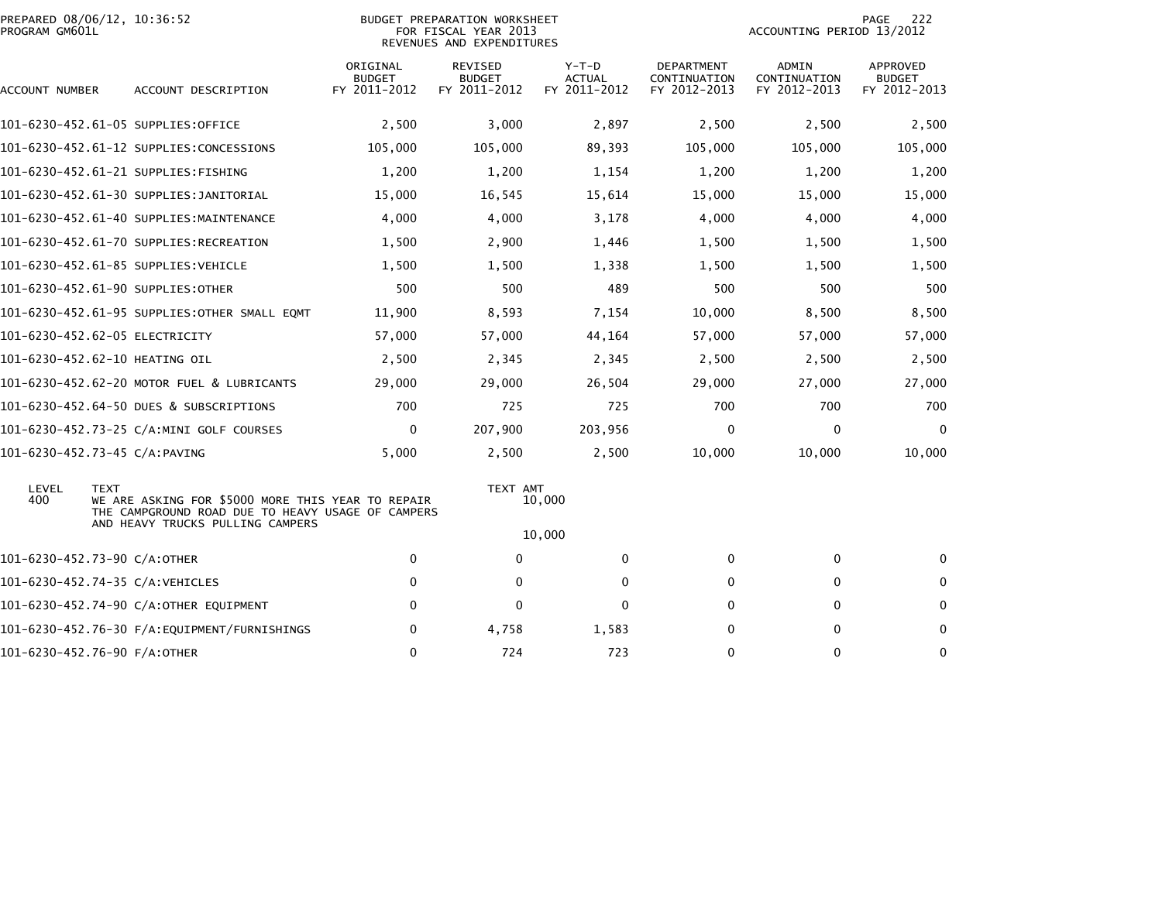| PROGRAM GM601L | PREPARED 08/06/12, 10:36:52                                                                                           |                                           | <b>BUDGET PREPARATION WORKSHEET</b><br>FOR FISCAL YEAR 2013<br>REVENUES AND EXPENDITURES |                                          |                                            | 222<br>PAGE<br>ACCOUNTING PERIOD 13/2012     |                                                  |  |  |
|----------------|-----------------------------------------------------------------------------------------------------------------------|-------------------------------------------|------------------------------------------------------------------------------------------|------------------------------------------|--------------------------------------------|----------------------------------------------|--------------------------------------------------|--|--|
| ACCOUNT NUMBER | ACCOUNT DESCRIPTION                                                                                                   | ORIGINAL<br><b>BUDGET</b><br>FY 2011-2012 | REVISED<br><b>BUDGET</b><br>FY 2011-2012                                                 | $Y-T-D$<br><b>ACTUAL</b><br>FY 2011-2012 | DEPARTMENT<br>CONTINUATION<br>FY 2012-2013 | <b>ADMIN</b><br>CONTINUATION<br>FY 2012-2013 | <b>APPROVED</b><br><b>BUDGET</b><br>FY 2012-2013 |  |  |
|                | 101-6230-452.61-05 SUPPLIES:OFFICE                                                                                    | 2,500                                     | 3,000                                                                                    | 2,897                                    | 2,500                                      | 2,500                                        | 2,500                                            |  |  |
|                | 101-6230-452.61-12 SUPPLIES:CONCESSIONS                                                                               | 105,000                                   | 105,000                                                                                  | 89,393                                   | 105,000                                    | 105,000                                      | 105,000                                          |  |  |
|                | 101-6230-452.61-21 SUPPLIES:FISHING                                                                                   | 1,200                                     | 1,200                                                                                    | 1,154                                    | 1,200                                      | 1,200                                        | 1,200                                            |  |  |
|                | 101-6230-452.61-30 SUPPLIES:JANITORIAL                                                                                | 15,000                                    | 16,545                                                                                   | 15,614                                   | 15,000                                     | 15,000                                       | 15,000                                           |  |  |
|                | 101-6230-452.61-40 SUPPLIES:MAINTENANCE                                                                               | 4,000                                     | 4,000                                                                                    | 3,178                                    | 4,000                                      | 4,000                                        | 4,000                                            |  |  |
|                | 101-6230-452.61-70 SUPPLIES:RECREATION                                                                                | 1,500                                     | 2,900                                                                                    | 1,446                                    | 1,500                                      | 1,500                                        | 1,500                                            |  |  |
|                | 101–6230–452.61–85 SUPPLIES:VEHICLE                                                                                   | 1,500                                     | 1,500                                                                                    | 1,338                                    | 1,500                                      | 1,500                                        | 1,500                                            |  |  |
|                | 101-6230-452.61-90 SUPPLIES:OTHER                                                                                     | 500                                       | 500                                                                                      | 489                                      | 500                                        | 500                                          | 500                                              |  |  |
|                | 101-6230-452.61-95 SUPPLIES:OTHER SMALL EQMT                                                                          | 11,900                                    | 8,593                                                                                    | 7,154                                    | 10,000                                     | 8,500                                        | 8,500                                            |  |  |
|                | 101-6230-452.62-05 ELECTRICITY                                                                                        | 57,000                                    | 57,000                                                                                   | 44,164                                   | 57,000                                     | 57,000                                       | 57,000                                           |  |  |
|                | 101-6230-452.62-10 HEATING OIL                                                                                        | 2,500                                     | 2,345                                                                                    | 2,345                                    | 2,500                                      | 2,500                                        | 2,500                                            |  |  |
|                | 101-6230-452.62-20 MOTOR FUEL & LUBRICANTS                                                                            | 29,000                                    | 29,000                                                                                   | 26,504                                   | 29,000                                     | 27,000                                       | 27,000                                           |  |  |
|                | 101-6230-452.64-50 DUES & SUBSCRIPTIONS                                                                               | 700                                       | 725                                                                                      | 725                                      | 700                                        | 700                                          | 700                                              |  |  |
|                | 101-6230-452.73-25 C/A:MINI GOLF COURSES                                                                              | 0                                         | 207,900                                                                                  | 203,956                                  | $\mathbf{0}$                               | 0                                            | $\Omega$                                         |  |  |
|                | 101-6230-452.73-45 C/A:PAVING                                                                                         | 5,000                                     | 2,500                                                                                    | 2,500                                    | 10,000                                     | 10,000                                       | 10,000                                           |  |  |
| LEVEL<br>400   | <b>TEXT</b><br>WE ARE ASKING FOR \$5000 MORE THIS YEAR TO REPAIR<br>THE CAMPGROUND ROAD DUE TO HEAVY USAGE OF CAMPERS |                                           | TEXT AMT                                                                                 | 10,000                                   |                                            |                                              |                                                  |  |  |
|                | AND HEAVY TRUCKS PULLING CAMPERS                                                                                      |                                           |                                                                                          | 10,000                                   |                                            |                                              |                                                  |  |  |
|                | 101-6230-452.73-90 C/A:OTHER                                                                                          | 0                                         | $\mathbf{0}$                                                                             | 0                                        | 0                                          | 0                                            | $\Omega$                                         |  |  |
|                | 101-6230-452.74-35 C/A:VEHICLES                                                                                       | $\mathbf 0$                               | 0                                                                                        | 0                                        | 0                                          | 0                                            | 0                                                |  |  |
|                | 101-6230-452.74-90 C/A:OTHER EQUIPMENT                                                                                | $\mathbf 0$                               | $\mathbf 0$                                                                              | 0                                        | 0                                          | 0                                            | 0                                                |  |  |
|                |                                                                                                                       | 0                                         | 4,758                                                                                    | 1,583                                    | 0                                          | 0                                            | $\mathbf 0$                                      |  |  |
|                | 101-6230-452.76-90 F/A:OTHER                                                                                          | $\Omega$                                  | 724                                                                                      | 723                                      | 0                                          | 0                                            | $\mathbf 0$                                      |  |  |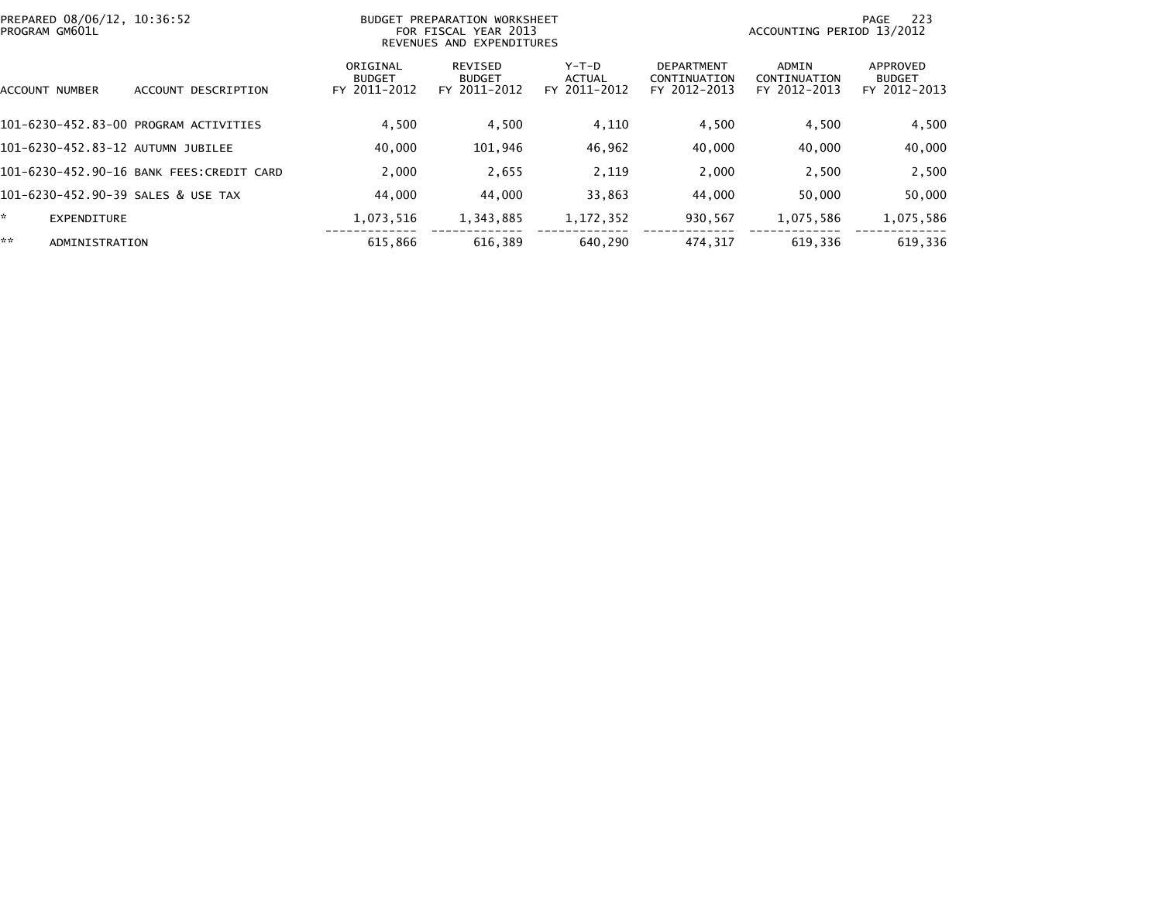| PROGRAM GM601L                     | PREPARED 08/06/12, 10:36:52<br>BUDGET PREPARATION WORKSHEET<br>FOR FISCAL YEAR 2013<br>REVENUES AND EXPENDITURES |                                           |                                          |                                   |                                                   | - 223<br>PAGE<br>ACCOUNTING PERIOD 13/2012 |                                           |
|------------------------------------|------------------------------------------------------------------------------------------------------------------|-------------------------------------------|------------------------------------------|-----------------------------------|---------------------------------------------------|--------------------------------------------|-------------------------------------------|
| ACCOUNT NUMBER                     | DESCRIPTION<br>ACCOUNT                                                                                           | ORIGINAL<br><b>BUDGET</b><br>FY 2011-2012 | REVISED<br><b>BUDGET</b><br>FY 2011-2012 | $Y-T-D$<br>ACTUAL<br>FY 2011-2012 | <b>DEPARTMENT</b><br>CONTINUATION<br>FY 2012-2013 | ADMIN<br>CONTINUATION<br>FY 2012-2013      | APPROVED<br><b>BUDGET</b><br>FY 2012-2013 |
|                                    | 101-6230-452.83-00 PROGRAM ACTIVITIES                                                                            | 4,500                                     | 4,500                                    | 4,110                             | 4,500                                             | 4,500                                      | 4,500                                     |
| 101-6230-452.83-12 AUTUMN JUBILEE  |                                                                                                                  | 40,000                                    | 101,946                                  | 46,962                            | 40,000                                            | 40,000                                     | 40,000                                    |
|                                    | 101-6230-452.90-16 BANK FEES:CREDIT CARD                                                                         | 2,000                                     | 2,655                                    | 2,119                             | 2,000                                             | 2,500                                      | 2,500                                     |
| 101-6230-452.90-39 SALES & USE TAX |                                                                                                                  | 44,000                                    | 44,000                                   | 33,863                            | 44,000                                            | 50,000                                     | 50,000                                    |
| *.<br>EXPENDITURE                  |                                                                                                                  | 1,073,516                                 | 1,343,885                                | 1, 172, 352                       | 930,567                                           | 1,075,586                                  | 1,075,586                                 |
| **<br>ADMINISTRATION               |                                                                                                                  | 615,866                                   | 616.389                                  | 640.290                           | 474.317                                           | 619,336                                    | 619,336                                   |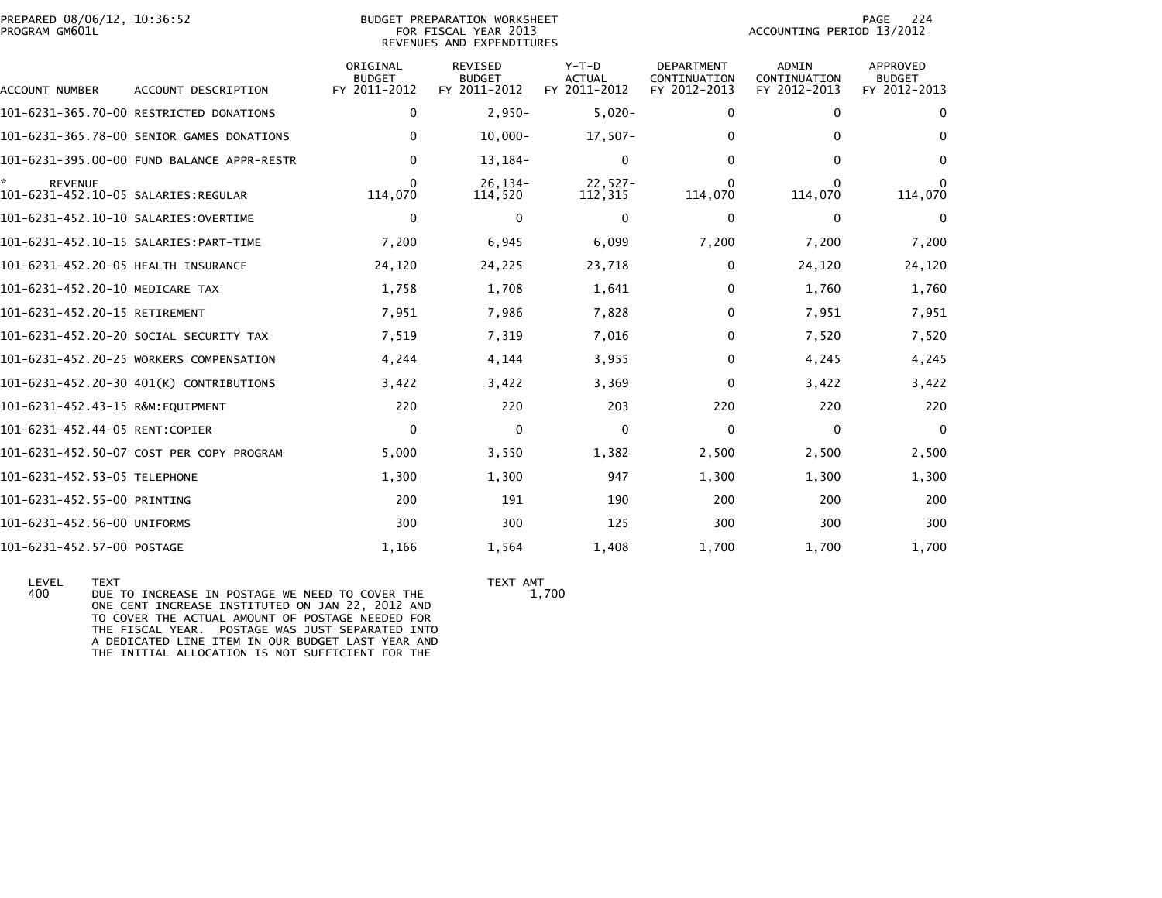| PREPARED 08/06/12, 10:36:52<br>PROGRAM GM601L |                                            |                                           | <b>BUDGET PREPARATION WORKSHEET</b><br>FOR FISCAL YEAR 2013<br>REVENUES AND EXPENDITURES | 224<br>PAGE<br>ACCOUNTING PERIOD 13/2012 |                                                   |                                              |                                                  |
|-----------------------------------------------|--------------------------------------------|-------------------------------------------|------------------------------------------------------------------------------------------|------------------------------------------|---------------------------------------------------|----------------------------------------------|--------------------------------------------------|
| ACCOUNT NUMBER                                | ACCOUNT DESCRIPTION                        | ORIGINAL<br><b>BUDGET</b><br>FY 2011-2012 | REVISED<br><b>BUDGET</b><br>FY 2011-2012                                                 | $Y-T-D$<br><b>ACTUAL</b><br>FY 2011-2012 | <b>DEPARTMENT</b><br>CONTINUATION<br>FY 2012-2013 | <b>ADMIN</b><br>CONTINUATION<br>FY 2012-2013 | <b>APPROVED</b><br><b>BUDGET</b><br>FY 2012-2013 |
|                                               | 101-6231-365.70-00 RESTRICTED DONATIONS    | 0                                         | $2,950-$                                                                                 | $5,020-$                                 | 0                                                 | 0                                            | $\Omega$                                         |
|                                               | 101-6231-365.78-00 SENIOR GAMES DONATIONS  | 0                                         | $10,000 -$                                                                               | $17,507-$                                | 0                                                 | 0                                            | $\Omega$                                         |
|                                               | 101-6231-395.00-00 FUND BALANCE APPR-RESTR | $\Omega$                                  | 13, 184-                                                                                 | $\Omega$                                 | 0                                                 | $\Omega$                                     | $\Omega$                                         |
| <b>REVENUE</b>                                |                                            | 0<br>114,070                              | $26, 134 -$<br>114,520                                                                   | $22,527-$<br>112,315                     | 0<br>114,070                                      | $\Omega$<br>114,070                          | $\Omega$<br>114,070                              |
| 101-6231-452.10-10 SALARIES:OVERTIME          |                                            | 0                                         | $\mathbf 0$                                                                              | $\mathbf{0}$                             | $\Omega$                                          | 0                                            | $\Omega$                                         |
|                                               |                                            | 7,200                                     | 6,945                                                                                    | 6,099                                    | 7,200                                             | 7,200                                        | 7,200                                            |
| 101-6231-452.20-05 HEALTH INSURANCE           |                                            | 24,120                                    | 24,225                                                                                   | 23,718                                   | 0                                                 | 24,120                                       | 24,120                                           |
| 101-6231-452.20-10 MEDICARE TAX               |                                            | 1,758                                     | 1,708                                                                                    | 1,641                                    | $\Omega$                                          | 1,760                                        | 1,760                                            |
| 101-6231-452.20-15 RETIREMENT                 |                                            | 7,951                                     | 7,986                                                                                    | 7,828                                    | 0                                                 | 7,951                                        | 7,951                                            |
|                                               | 101-6231-452.20-20 SOCIAL SECURITY TAX     | 7,519                                     | 7,319                                                                                    | 7,016                                    | 0                                                 | 7,520                                        | 7,520                                            |
|                                               | 101-6231-452.20-25 WORKERS COMPENSATION    | 4,244                                     | 4,144                                                                                    | 3,955                                    | 0                                                 | 4,245                                        | 4,245                                            |
|                                               | 101-6231-452.20-30 401(K) CONTRIBUTIONS    | 3,422                                     | 3,422                                                                                    | 3,369                                    | 0                                                 | 3,422                                        | 3,422                                            |
| 101-6231-452.43-15 R&M:EOUIPMENT              |                                            | 220                                       | 220                                                                                      | 203                                      | 220                                               | 220                                          | 220                                              |
| 101-6231-452.44-05 RENT:COPIER                |                                            | $\mathbf 0$                               | $\mathbf 0$                                                                              | 0                                        | $\Omega$                                          | $\mathbf 0$                                  | $\mathbf{0}$                                     |
|                                               | 101-6231-452.50-07 COST PER COPY PROGRAM   | 5,000                                     | 3,550                                                                                    | 1,382                                    | 2,500                                             | 2,500                                        | 2,500                                            |
| 101-6231-452.53-05 TELEPHONE                  |                                            | 1,300                                     | 1,300                                                                                    | 947                                      | 1,300                                             | 1,300                                        | 1,300                                            |
| 101-6231-452.55-00 PRINTING                   |                                            | 200                                       | 191                                                                                      | 190                                      | 200                                               | 200                                          | 200                                              |
| 101-6231-452.56-00 UNIFORMS                   |                                            | 300                                       | 300                                                                                      | 125                                      | 300                                               | 300                                          | 300                                              |
| 101-6231-452.57-00 POSTAGE                    |                                            | 1,166                                     | 1,564                                                                                    | 1,408                                    | 1.700                                             | 1,700                                        | 1,700                                            |

LEVEL TEXT AMT<br>400 DUE TO INCREASE IN POSTAGE WE NEED TO COVER THE TEXT AMT DUE TO INCREASE IN POSTAGE WE NEED TO COVER THE ONE CENT INCREASE INSTITUTED ON JAN 22, 2012 AND TO COVER THE ACTUAL AMOUNT OF POSTAGE NEEDED FOR THE FISCAL YEAR. POSTAGE WAS JUST SEPARATED INTOA DEDICATED LINE ITEM IN OUR BUDGET LAST YEAR AND THE INITIAL ALLOCATION IS NOT SUFFICIENT FOR THE

1,700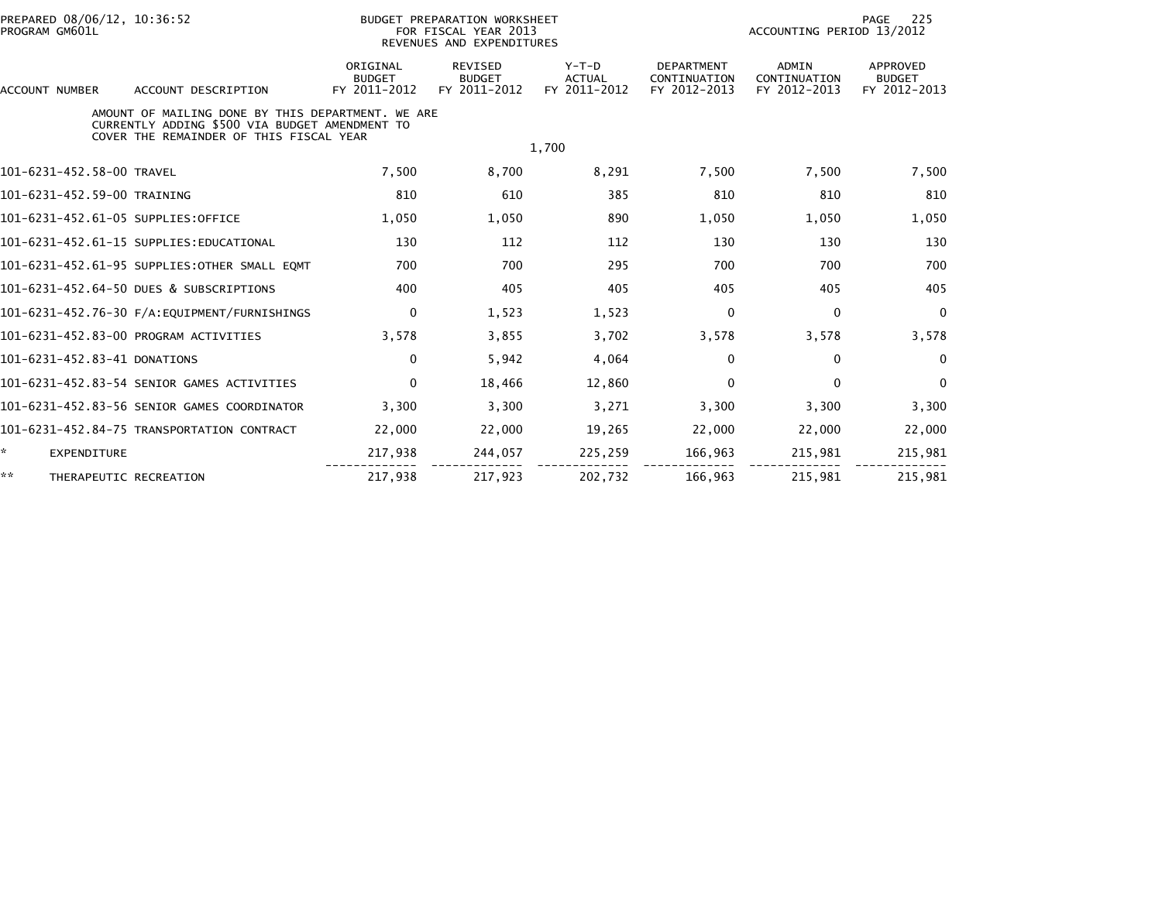| PREPARED 08/06/12, 10:36:52<br>PROGRAM GM601L |                                                                                                                                                |                                           | <b>BUDGET PREPARATION WORKSHEET</b><br>FOR FISCAL YEAR 2013<br>REVENUES AND EXPENDITURES |                                          | 225<br>PAGE<br>ACCOUNTING PERIOD 13/2012          |                                              |                                           |  |
|-----------------------------------------------|------------------------------------------------------------------------------------------------------------------------------------------------|-------------------------------------------|------------------------------------------------------------------------------------------|------------------------------------------|---------------------------------------------------|----------------------------------------------|-------------------------------------------|--|
| <b>ACCOUNT NUMBER</b>                         | ACCOUNT DESCRIPTION                                                                                                                            | ORIGINAL<br><b>BUDGET</b><br>FY 2011-2012 | <b>REVISED</b><br><b>BUDGET</b><br>FY 2011-2012                                          | $Y-T-D$<br><b>ACTUAL</b><br>FY 2011-2012 | <b>DEPARTMENT</b><br>CONTINUATION<br>FY 2012-2013 | <b>ADMIN</b><br>CONTINUATION<br>FY 2012-2013 | APPROVED<br><b>BUDGET</b><br>FY 2012-2013 |  |
|                                               | AMOUNT OF MAILING DONE BY THIS DEPARTMENT. WE ARE<br>CURRENTLY ADDING \$500 VIA BUDGET AMENDMENT TO<br>COVER THE REMAINDER OF THIS FISCAL YEAR |                                           |                                                                                          |                                          |                                                   |                                              |                                           |  |
|                                               |                                                                                                                                                |                                           |                                                                                          | 1,700                                    |                                                   |                                              |                                           |  |
| 101-6231-452.58-00 TRAVEL                     |                                                                                                                                                | 7,500                                     | 8,700                                                                                    | 8,291                                    | 7,500                                             | 7,500                                        | 7,500                                     |  |
| 101-6231-452.59-00 TRAINING                   |                                                                                                                                                | 810                                       | 610                                                                                      | 385                                      | 810                                               | 810                                          | 810                                       |  |
| 101-6231-452.61-05 SUPPLIES:OFFICE            |                                                                                                                                                | 1,050                                     | 1,050                                                                                    | 890                                      | 1.050                                             | 1.050                                        | 1,050                                     |  |
|                                               | 101-6231-452.61-15 SUPPLIES:EDUCATIONAL                                                                                                        | 130                                       | 112                                                                                      | 112                                      | 130                                               | 130                                          | 130                                       |  |
|                                               | 101-6231-452.61-95 SUPPLIES:OTHER SMALL EQMT                                                                                                   | 700                                       | 700                                                                                      | 295                                      | 700                                               | 700                                          | 700                                       |  |
|                                               | 101-6231-452.64-50 DUES & SUBSCRIPTIONS                                                                                                        | 400                                       | 405                                                                                      | 405                                      | 405                                               | 405                                          | 405                                       |  |
|                                               | 101-6231-452.76-30 F/A:EQUIPMENT/FURNISHINGS                                                                                                   | 0                                         | 1,523                                                                                    | 1,523                                    | 0                                                 | 0                                            | $\mathbf{0}$                              |  |
|                                               | 101-6231-452.83-00 PROGRAM ACTIVITIES                                                                                                          | 3,578                                     | 3,855                                                                                    | 3,702                                    | 3,578                                             | 3,578                                        | 3,578                                     |  |
| 101-6231-452.83-41 DONATIONS                  |                                                                                                                                                | $\Omega$                                  | 5,942                                                                                    | 4,064                                    | 0                                                 | $\mathbf{0}$                                 | $\mathbf{0}$                              |  |
|                                               | 101-6231-452.83-54 SENIOR GAMES ACTIVITIES                                                                                                     | $\mathbf{0}$                              | 18,466                                                                                   | 12,860                                   | $\Omega$                                          | $\mathbf{0}$                                 | $\Omega$                                  |  |
|                                               | 101-6231-452.83-56 SENIOR GAMES COORDINATOR                                                                                                    | 3,300                                     | 3,300                                                                                    | 3,271                                    | 3,300                                             | 3,300                                        | 3,300                                     |  |
|                                               | 101-6231-452.84-75 TRANSPORTATION CONTRACT                                                                                                     | 22,000                                    | 22,000                                                                                   | 19,265                                   | 22,000                                            | 22,000                                       | 22,000                                    |  |
| ÷.<br><b>EXPENDITURE</b>                      |                                                                                                                                                | 217,938                                   | 244,057                                                                                  | 225,259                                  | 166,963                                           | 215,981                                      | 215,981                                   |  |
| **<br>THERAPEUTIC RECREATION                  |                                                                                                                                                | 217,938                                   | 217.923                                                                                  | 202.732                                  | 166,963                                           | 215.981                                      | 215,981                                   |  |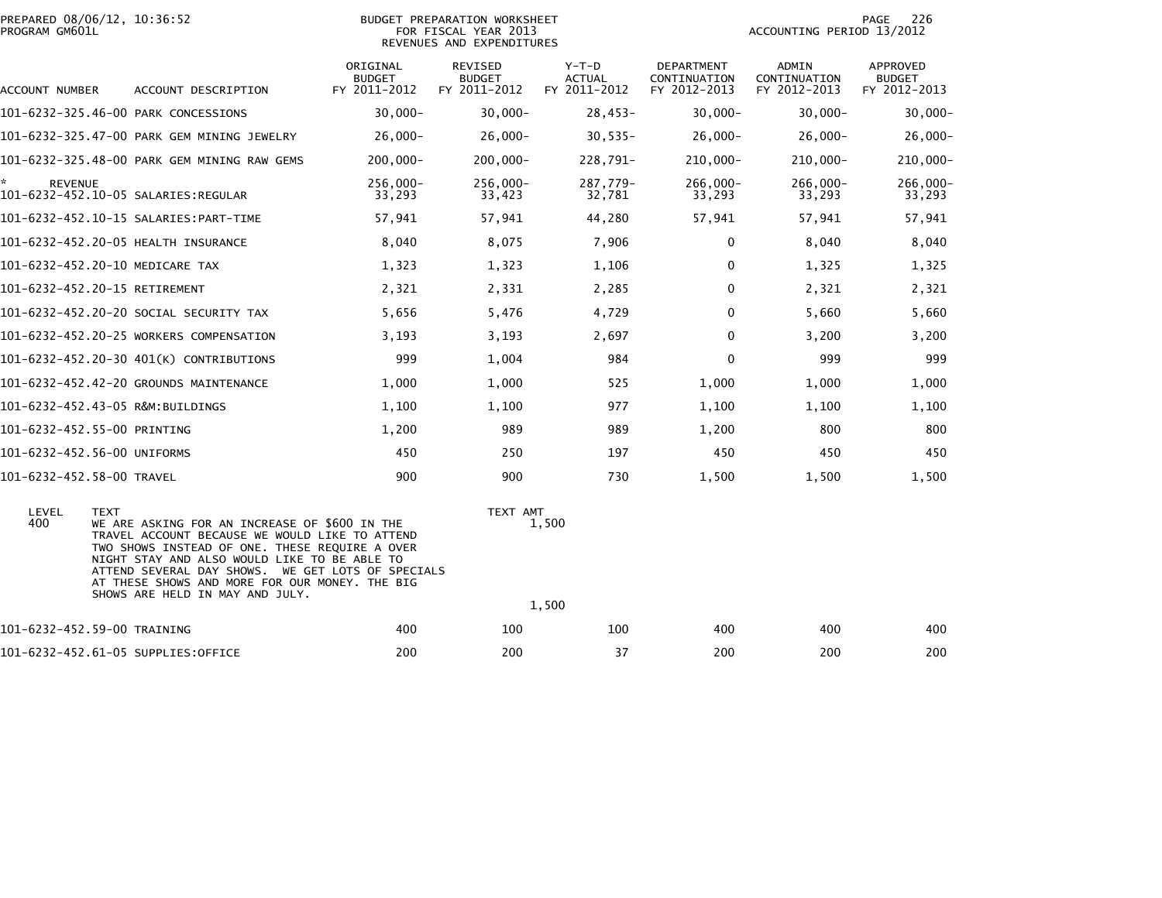| PROGRAM GM601L            | PREPARED 08/06/12, 10:36:52                                                                                                                                                                                                                                                                                                                                |                                           | <b>BUDGET PREPARATION WORKSHEET</b><br>FOR FISCAL YEAR 2013<br>REVENUES AND EXPENDITURES |                                          |                                            | ACCOUNTING PERIOD 13/2012             | PAGE<br>226                               |
|---------------------------|------------------------------------------------------------------------------------------------------------------------------------------------------------------------------------------------------------------------------------------------------------------------------------------------------------------------------------------------------------|-------------------------------------------|------------------------------------------------------------------------------------------|------------------------------------------|--------------------------------------------|---------------------------------------|-------------------------------------------|
| ACCOUNT NUMBER            | ACCOUNT DESCRIPTION                                                                                                                                                                                                                                                                                                                                        | ORIGINAL<br><b>BUDGET</b><br>FY 2011-2012 | REVISED<br><b>BUDGET</b><br>FY 2011-2012                                                 | $Y-T-D$<br><b>ACTUAL</b><br>FY 2011-2012 | DEPARTMENT<br>CONTINUATION<br>FY 2012-2013 | ADMIN<br>CONTINUATION<br>FY 2012-2013 | APPROVED<br><b>BUDGET</b><br>FY 2012-2013 |
|                           | 101-6232-325.46-00 PARK CONCESSIONS                                                                                                                                                                                                                                                                                                                        | $30,000 -$                                | $30,000 -$                                                                               | $28,453-$                                | $30,000 -$                                 | $30,000 -$                            | $30,000 -$                                |
|                           | 101-6232-325.47-00 PARK GEM MINING JEWELRY                                                                                                                                                                                                                                                                                                                 | $26,000 -$                                | $26,000-$                                                                                | $30,535-$                                | $26,000-$                                  | $26,000 -$                            | $26,000 -$                                |
|                           | 101-6232-325.48-00 PARK GEM MINING RAW GEMS                                                                                                                                                                                                                                                                                                                | $200,000 -$                               | $200,000 -$                                                                              | 228,791-                                 | $210,000 -$                                | $210,000 -$                           | $210,000 -$                               |
| ×.<br><b>REVENUE</b>      |                                                                                                                                                                                                                                                                                                                                                            | 256,000-<br>33,293                        | 256,000-<br>33,423                                                                       | 287,779-<br>32,781                       | 266,000-<br>33,293                         | 266,000-<br>33,293                    | 266,000-<br>33,293                        |
|                           | 101-6232-452.10-15 SALARIES:PART-TIME                                                                                                                                                                                                                                                                                                                      | 57,941                                    | 57,941                                                                                   | 44,280                                   | 57,941                                     | 57,941                                | 57,941                                    |
|                           | 101-6232-452.20-05 HEALTH INSURANCE                                                                                                                                                                                                                                                                                                                        | 8,040                                     | 8,075                                                                                    | 7,906                                    | 0                                          | 8,040                                 | 8,040                                     |
|                           | 101-6232-452.20-10 MEDICARE TAX                                                                                                                                                                                                                                                                                                                            | 1,323                                     | 1,323                                                                                    | 1,106                                    | 0                                          | 1,325                                 | 1,325                                     |
|                           | 101-6232-452.20-15 RETIREMENT                                                                                                                                                                                                                                                                                                                              | 2,321                                     | 2,331                                                                                    | 2,285                                    | 0                                          | 2,321                                 | 2,321                                     |
|                           | 101-6232-452.20-20 SOCIAL SECURITY TAX                                                                                                                                                                                                                                                                                                                     | 5,656                                     | 5,476                                                                                    | 4,729                                    | 0                                          | 5,660                                 | 5,660                                     |
|                           | 101-6232-452.20-25 WORKERS COMPENSATION                                                                                                                                                                                                                                                                                                                    | 3,193                                     | 3,193                                                                                    | 2,697                                    | 0                                          | 3,200                                 | 3,200                                     |
|                           | 101-6232-452.20-30 401(K) CONTRIBUTIONS                                                                                                                                                                                                                                                                                                                    | 999                                       | 1,004                                                                                    | 984                                      | $\Omega$                                   | 999                                   | 999                                       |
|                           | 101-6232-452.42-20 GROUNDS MAINTENANCE                                                                                                                                                                                                                                                                                                                     | 1,000                                     | 1,000                                                                                    | 525                                      | 1,000                                      | 1,000                                 | 1,000                                     |
|                           | 101-6232-452.43-05 R&M:BUILDINGS                                                                                                                                                                                                                                                                                                                           | 1,100                                     | 1,100                                                                                    | 977                                      | 1,100                                      | 1,100                                 | 1,100                                     |
|                           | 101-6232-452.55-00 PRINTING                                                                                                                                                                                                                                                                                                                                | 1,200                                     | 989                                                                                      | 989                                      | 1,200                                      | 800                                   | 800                                       |
|                           | 101-6232-452.56-00 UNIFORMS                                                                                                                                                                                                                                                                                                                                | 450                                       | 250                                                                                      | 197                                      | 450                                        | 450                                   | 450                                       |
| 101-6232-452.58-00 TRAVEL |                                                                                                                                                                                                                                                                                                                                                            | 900                                       | 900                                                                                      | 730                                      | 1,500                                      | 1,500                                 | 1,500                                     |
| LEVEL<br>400              | <b>TEXT</b><br>WE ARE ASKING FOR AN INCREASE OF \$600 IN THE<br>TRAVEL ACCOUNT BECAUSE WE WOULD LIKE TO ATTEND<br>TWO SHOWS INSTEAD OF ONE. THESE REQUIRE A OVER<br>NIGHT STAY AND ALSO WOULD LIKE TO BE ABLE TO<br>ATTEND SEVERAL DAY SHOWS. WE GET LOTS OF SPECIALS<br>AT THESE SHOWS AND MORE FOR OUR MONEY. THE BIG<br>SHOWS ARE HELD IN MAY AND JULY. |                                           |                                                                                          | TEXT AMT<br>1,500<br>1,500               |                                            |                                       |                                           |
|                           | 101-6232-452.59-00 TRAINING                                                                                                                                                                                                                                                                                                                                | 400                                       | 100                                                                                      | 100                                      | 400                                        | 400                                   | 400                                       |
|                           | 101-6232-452.61-05 SUPPLIES:OFFICE                                                                                                                                                                                                                                                                                                                         | 200                                       | 200                                                                                      | 37                                       | 200                                        | 200                                   | 200                                       |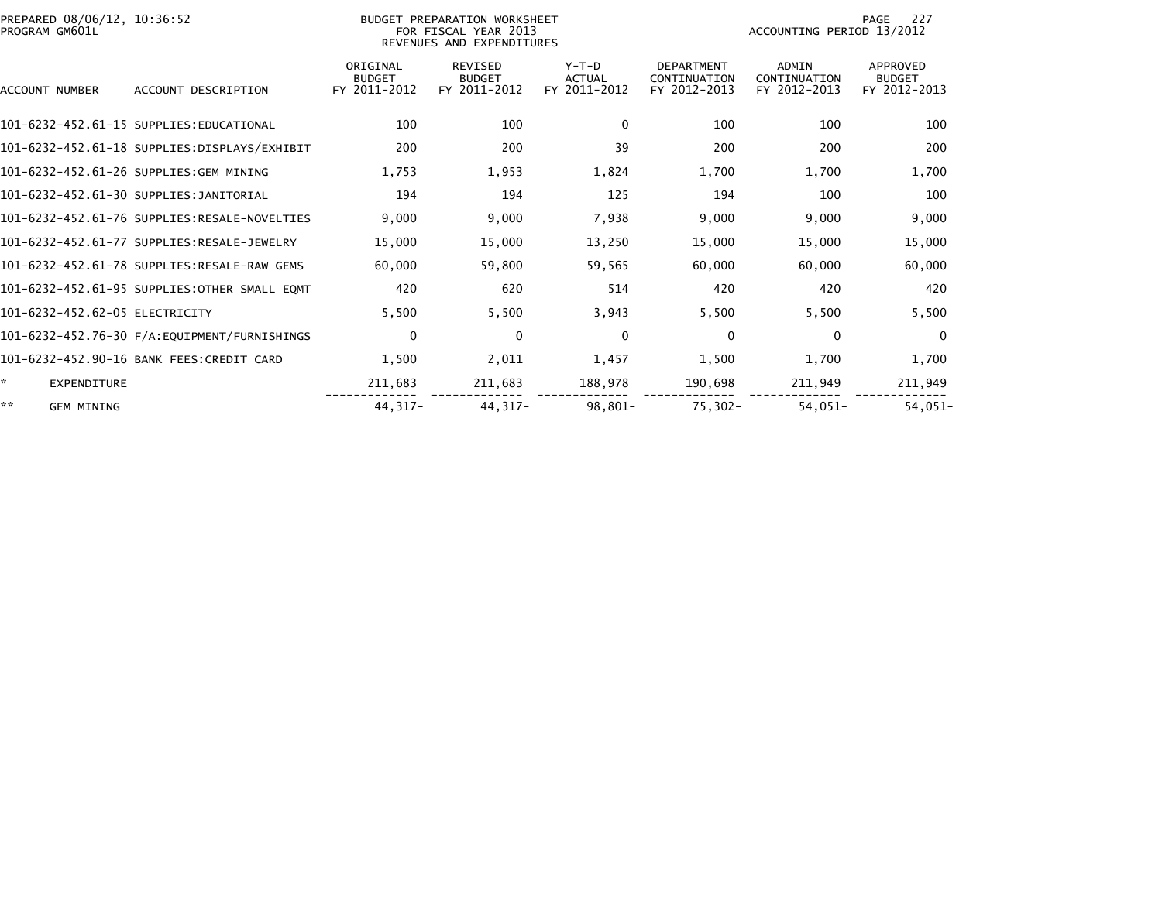| PREPARED 08/06/12, 10:36:52<br>PROGRAM GM601L |                                               |                                           | BUDGET PREPARATION WORKSHEET<br>FOR FISCAL YEAR 2013<br>REVENUES AND EXPENDITURES |                                          | 227<br>PAGE<br>ACCOUNTING PERIOD 13/2012          |                                              |                                           |  |
|-----------------------------------------------|-----------------------------------------------|-------------------------------------------|-----------------------------------------------------------------------------------|------------------------------------------|---------------------------------------------------|----------------------------------------------|-------------------------------------------|--|
| <b>ACCOUNT NUMBER</b>                         | ACCOUNT DESCRIPTION                           | ORIGINAL<br><b>BUDGET</b><br>FY 2011-2012 | <b>REVISED</b><br><b>BUDGET</b><br>FY 2011-2012                                   | $Y-T-D$<br><b>ACTUAL</b><br>FY 2011-2012 | <b>DEPARTMENT</b><br>CONTINUATION<br>FY 2012-2013 | <b>ADMIN</b><br>CONTINUATION<br>FY 2012-2013 | APPROVED<br><b>BUDGET</b><br>FY 2012-2013 |  |
|                                               | 101-6232-452.61-15 SUPPLIES:EDUCATIONAL       | 100                                       | 100                                                                               | $\mathbf{0}$                             | 100                                               | 100                                          | 100                                       |  |
|                                               | 101-6232-452.61-18 SUPPLIES:DISPLAYS/EXHIBIT  | 200                                       | 200                                                                               | 39                                       | 200                                               | 200                                          | 200                                       |  |
|                                               | 101-6232-452.61-26 SUPPLIES:GEM MINING        | 1,753                                     | 1,953                                                                             | 1,824                                    | 1,700                                             | 1,700                                        | 1,700                                     |  |
|                                               | 101-6232-452.61-30 SUPPLIES:JANITORIAL        | 194                                       | 194                                                                               | 125                                      | 194                                               | 100                                          | 100                                       |  |
|                                               | 101-6232-452.61-76 SUPPLIES:RESALE-NOVELTIES  | 9,000                                     | 9,000                                                                             | 7,938                                    | 9,000                                             | 9,000                                        | 9,000                                     |  |
|                                               | 101-6232-452.61-77 SUPPLIES:RESALE-JEWELRY    | 15,000                                    | 15,000                                                                            | 13,250                                   | 15,000                                            | 15,000                                       | 15,000                                    |  |
|                                               | 101-6232-452.61-78 SUPPLIES:RESALE-RAW GEMS   | 60,000                                    | 59,800                                                                            | 59,565                                   | 60,000                                            | 60,000                                       | 60,000                                    |  |
|                                               | 101-6232-452.61-95 SUPPLIES: OTHER SMALL EQMT | 420                                       | 620                                                                               | 514                                      | 420                                               | 420                                          | 420                                       |  |
| 101-6232-452.62-05 ELECTRICITY                |                                               | 5,500                                     | 5,500                                                                             | 3,943                                    | 5,500                                             | 5,500                                        | 5,500                                     |  |
|                                               | 101-6232-452.76-30 F/A:EQUIPMENT/FURNISHINGS  | 0                                         | 0                                                                                 | $\mathbf{0}$                             | $\mathbf{0}$                                      | $\Omega$                                     | $\mathbf 0$                               |  |
|                                               | 101-6232-452.90-16 BANK FEES:CREDIT CARD      | 1,500                                     | 2,011                                                                             | 1,457                                    | 1,500                                             | 1,700                                        | 1,700                                     |  |
| $\mathcal{R}^{\mathcal{A}}$<br>EXPENDITURE    |                                               | 211,683                                   | 211,683                                                                           | 188,978                                  | 190,698                                           | 211,949                                      | 211,949                                   |  |
| **<br><b>GEM MINING</b>                       |                                               | 44,317-                                   | $44.317 -$                                                                        | $98.801 -$                               | $75,302 -$                                        | 54.051-                                      | $54.051-$                                 |  |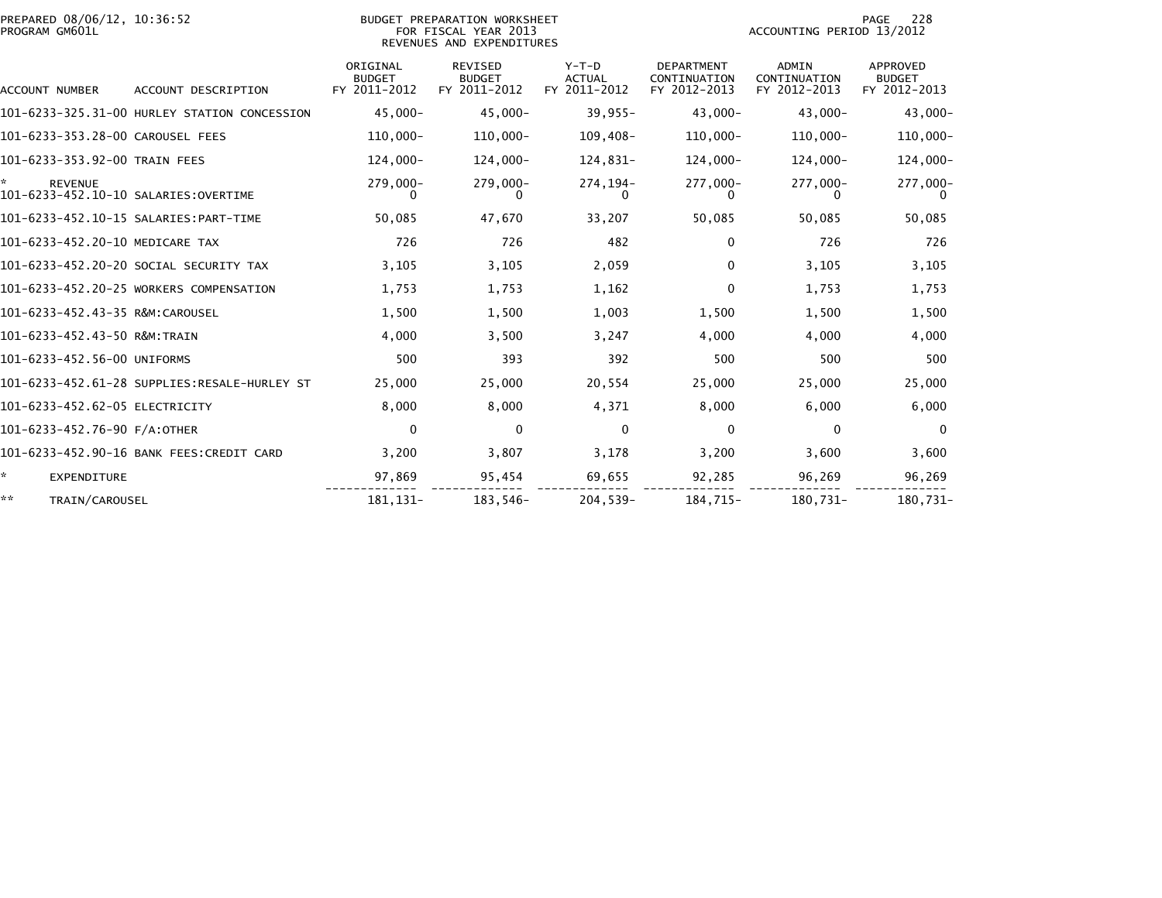| PREPARED 08/06/12, 10:36:52<br>PROGRAM GM601L          | BUDGET PREPARATION WORKSHEET<br>FOR FISCAL YEAR 2013<br>REVENUES AND EXPENDITURES |                                           |                                                 |                                          |                                                   | 228<br>PAGE<br>ACCOUNTING PERIOD 13/2012     |                                           |
|--------------------------------------------------------|-----------------------------------------------------------------------------------|-------------------------------------------|-------------------------------------------------|------------------------------------------|---------------------------------------------------|----------------------------------------------|-------------------------------------------|
| <b>ACCOUNT NUMBER</b>                                  | ACCOUNT DESCRIPTION                                                               | ORIGINAL<br><b>BUDGET</b><br>FY 2011-2012 | <b>REVISED</b><br><b>BUDGET</b><br>FY 2011-2012 | $Y-T-D$<br><b>ACTUAL</b><br>FY 2011-2012 | <b>DEPARTMENT</b><br>CONTINUATION<br>FY 2012-2013 | <b>ADMIN</b><br>CONTINUATION<br>FY 2012-2013 | APPROVED<br><b>BUDGET</b><br>FY 2012-2013 |
|                                                        | 101-6233-325.31-00 HURLEY STATION CONCESSION                                      | $45,000 -$                                | $45,000 -$                                      | $39,955 -$                               | $43,000 -$                                        | $43,000 -$                                   | $43,000 -$                                |
| 101-6233-353.28-00 CAROUSEL FEES                       |                                                                                   | $110,000 -$                               | 110,000-                                        | 109,408-                                 | $110,000 -$                                       | $110,000 -$                                  | $110,000 -$                               |
| 101-6233-353.92-00 TRAIN FEES                          |                                                                                   | $124.000 -$                               | 124,000-                                        | 124,831-                                 | $124,000 -$                                       | 124,000-                                     | 124,000-                                  |
| <b>REVENUE</b><br>101-6233-452.10-10 SALARIES:OVERTIME |                                                                                   | 279,000-<br>$\Omega$                      | 279,000-<br>0                                   | 274, 194-<br>$\Omega$                    | 277,000-<br>$\Omega$                              | 277,000-<br>0                                | 277,000-<br>$\Omega$                      |
|                                                        |                                                                                   | 50,085                                    | 47,670                                          | 33,207                                   | 50,085                                            | 50,085                                       | 50,085                                    |
| 101-6233-452.20-10 MEDICARE TAX                        |                                                                                   | 726                                       | 726                                             | 482                                      | 0                                                 | 726                                          | 726                                       |
|                                                        | 101-6233-452.20-20 SOCIAL SECURITY TAX                                            | 3,105                                     | 3,105                                           | 2,059                                    | 0                                                 | 3,105                                        | 3,105                                     |
|                                                        | 101-6233-452.20-25 WORKERS COMPENSATION                                           | 1,753                                     | 1,753                                           | 1,162                                    | $\Omega$                                          | 1,753                                        | 1,753                                     |
| 101-6233-452.43-35 R&M:CAROUSEL                        |                                                                                   | 1,500                                     | 1,500                                           | 1,003                                    | 1,500                                             | 1,500                                        | 1,500                                     |
| 101-6233-452.43-50 R&M:TRAIN                           |                                                                                   | 4,000                                     | 3,500                                           | 3,247                                    | 4,000                                             | 4,000                                        | 4,000                                     |
| 101-6233-452.56-00 UNIFORMS                            |                                                                                   | 500                                       | 393                                             | 392                                      | 500                                               | 500                                          | 500                                       |
|                                                        | 101-6233-452.61-28 SUPPLIES:RESALE-HURLEY ST                                      | 25,000                                    | 25,000                                          | 20,554                                   | 25,000                                            | 25,000                                       | 25,000                                    |
| 101-6233-452.62-05 ELECTRICITY                         |                                                                                   | 8,000                                     | 8,000                                           | 4,371                                    | 8,000                                             | 6,000                                        | 6,000                                     |
| 101-6233-452.76-90 F/A:OTHER                           |                                                                                   | 0                                         | 0                                               | $\Omega$                                 | $\Omega$                                          | $\mathbf{0}$                                 | $\Omega$                                  |
|                                                        | 101-6233-452.90-16 BANK FEES:CREDIT CARD                                          | 3,200                                     | 3,807                                           | 3,178                                    | 3,200                                             | 3,600                                        | 3,600                                     |
| ☆.<br><b>EXPENDITURE</b>                               |                                                                                   | 97,869                                    | 95,454                                          | 69,655                                   | 92,285                                            | 96,269                                       | 96,269                                    |
| **<br>TRAIN/CAROUSEL                                   |                                                                                   | 181.131-                                  | 183,546-                                        | $204.539 -$                              | 184.715-                                          | 180.731-                                     | 180,731-                                  |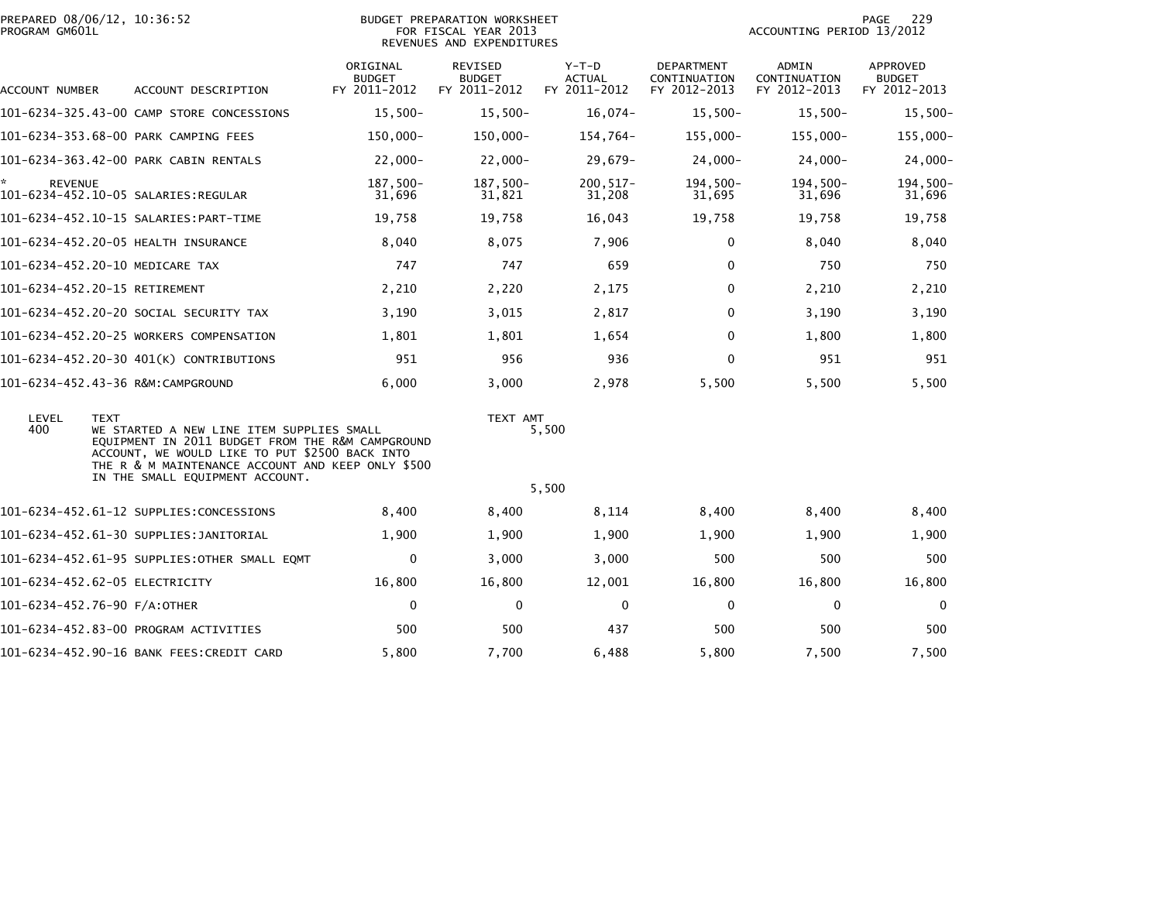|                | PREPARED 08/06/12, 10:36:52 |  |
|----------------|-----------------------------|--|
| PROGRAM GM601L |                             |  |

| ACCOUNT NUMBER       | ACCOUNT DESCRIPTION                                                                                                                                                                                                                                    | ORIGINAL<br><b>BUDGET</b><br>FY 2011-2012 | <b>REVISED</b><br><b>BUDGET</b><br>FY 2011-2012 | $Y-T-D$<br><b>ACTUAL</b><br>FY 2011-2012 | <b>DEPARTMENT</b><br>CONTINUATION<br>FY 2012-2013 | <b>ADMIN</b><br>CONTINUATION<br>FY 2012-2013 | <b>APPROVED</b><br><b>BUDGET</b><br>FY 2012-2013 |
|----------------------|--------------------------------------------------------------------------------------------------------------------------------------------------------------------------------------------------------------------------------------------------------|-------------------------------------------|-------------------------------------------------|------------------------------------------|---------------------------------------------------|----------------------------------------------|--------------------------------------------------|
|                      | 101-6234-325.43-00 CAMP STORE CONCESSIONS                                                                                                                                                                                                              | $15,500-$                                 | $15,500-$                                       | $16,074-$                                | $15,500-$                                         | $15,500-$                                    | 15,500-                                          |
|                      | 101-6234-353.68-00 PARK CAMPING FEES                                                                                                                                                                                                                   | 150,000-                                  | 150,000-                                        | 154,764-                                 | 155,000-                                          | 155,000-                                     | 155,000-                                         |
|                      | 101-6234-363.42-00 PARK CABIN RENTALS                                                                                                                                                                                                                  | $22,000 -$                                | $22,000 -$                                      | $29,679-$                                | $24,000-$                                         | $24,000 -$                                   | $24,000-$                                        |
| ×.<br><b>REVENUE</b> |                                                                                                                                                                                                                                                        | 187,500-<br>31,696                        | 187,500-<br>31,821                              | $200, 517 -$<br>31,208                   | $194,500-$<br>31,695                              | $194,500-$<br>31,696                         | 194,500-<br>31,696                               |
|                      | 101-6234-452.10-15 SALARIES:PART-TIME                                                                                                                                                                                                                  | 19,758                                    | 19,758                                          | 16,043                                   | 19,758                                            | 19,758                                       | 19,758                                           |
|                      | 101-6234-452.20-05 HEALTH INSURANCE                                                                                                                                                                                                                    | 8,040                                     | 8,075                                           | 7,906                                    | 0                                                 | 8.040                                        | 8,040                                            |
|                      | 101-6234-452.20-10 MEDICARE TAX                                                                                                                                                                                                                        | 747                                       | 747                                             | 659                                      | 0                                                 | 750                                          | 750                                              |
|                      | 101-6234-452.20-15 RETIREMENT                                                                                                                                                                                                                          | 2,210                                     | 2,220                                           | 2,175                                    | $\Omega$                                          | 2,210                                        | 2,210                                            |
|                      | 101–6234–452.20–20 SOCIAL SECURITY TAX                                                                                                                                                                                                                 | 3,190                                     | 3,015                                           | 2,817                                    | $\mathbf{0}$                                      | 3,190                                        | 3,190                                            |
|                      | 101-6234-452.20-25 WORKERS COMPENSATION                                                                                                                                                                                                                | 1,801                                     | 1,801                                           | 1,654                                    | $\mathbf{0}$                                      | 1,800                                        | 1,800                                            |
|                      | 101-6234-452.20-30 401(K) CONTRIBUTIONS                                                                                                                                                                                                                | 951                                       | 956                                             | 936                                      | $\mathbf{0}$                                      | 951                                          | 951                                              |
|                      | 101-6234-452.43-36 R&M:CAMPGROUND                                                                                                                                                                                                                      | 6,000                                     | 3,000                                           | 2,978                                    | 5,500                                             | 5,500                                        | 5,500                                            |
| LEVEL<br>400         | <b>TEXT</b><br>WE STARTED A NEW LINE ITEM SUPPLIES SMALL<br>EQUIPMENT IN 2011 BUDGET FROM THE R&M CAMPGROUND<br>ACCOUNT, WE WOULD LIKE TO PUT \$2500 BACK INTO<br>THE R & M MAINTENANCE ACCOUNT AND KEEP ONLY \$500<br>IN THE SMALL EQUIPMENT ACCOUNT. |                                           | TEXT AMT                                        | 5,500                                    |                                                   |                                              |                                                  |
|                      |                                                                                                                                                                                                                                                        |                                           |                                                 | 5,500                                    |                                                   |                                              |                                                  |
|                      | 101-6234-452.61-12 SUPPLIES:CONCESSIONS                                                                                                                                                                                                                | 8,400                                     | 8,400                                           | 8,114                                    | 8,400                                             | 8,400                                        | 8,400                                            |
|                      | 101-6234-452.61-30 SUPPLIES:JANITORIAL                                                                                                                                                                                                                 | 1,900                                     | 1,900                                           | 1,900                                    | 1,900                                             | 1,900                                        | 1,900                                            |
|                      | 101-6234-452.61-95 SUPPLIES:OTHER SMALL EQMT                                                                                                                                                                                                           | 0                                         | 3,000                                           | 3,000                                    | 500                                               | 500                                          | 500                                              |
|                      | 101-6234-452.62-05 ELECTRICITY                                                                                                                                                                                                                         | 16,800                                    | 16,800                                          | 12,001                                   | 16,800                                            | 16,800                                       | 16,800                                           |
|                      | 101-6234-452.76-90 F/A:OTHER                                                                                                                                                                                                                           | 0                                         | 0                                               | $\mathbf 0$                              | 0                                                 | 0                                            | 0                                                |
|                      | 101-6234-452.83-00 PROGRAM ACTIVITIES                                                                                                                                                                                                                  | 500                                       | 500                                             | 437                                      | 500                                               | 500                                          | 500                                              |
|                      | 101-6234-452.90-16 BANK FEES:CREDIT CARD                                                                                                                                                                                                               | 5,800                                     | 7,700                                           | 6,488                                    | 5,800                                             | 7,500                                        | 7,500                                            |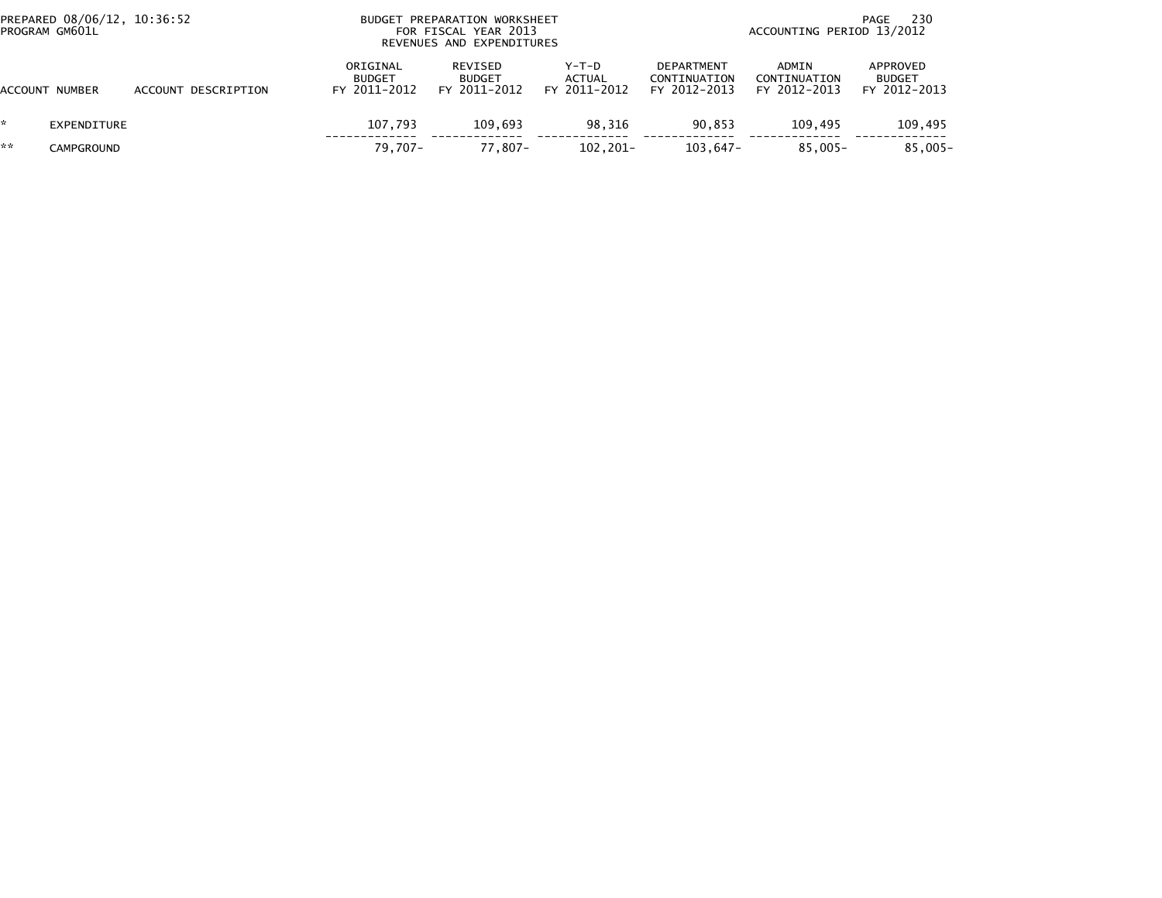| PREPARED 08/06/12, 10:36:52<br>PROGRAM GM601L |                |                     |                                           | BUDGET PREPARATION WORKSHEET<br>FOR FISCAL YEAR 2013<br>REVENUES AND EXPENDITURES |                                          |                                                   | - 230<br>PAGE<br>ACCOUNTING PERIOD 13/2012 |                                           |  |  |
|-----------------------------------------------|----------------|---------------------|-------------------------------------------|-----------------------------------------------------------------------------------|------------------------------------------|---------------------------------------------------|--------------------------------------------|-------------------------------------------|--|--|
|                                               | ACCOUNT NUMBER | ACCOUNT DESCRIPTION | ORIGINAL<br><b>BUDGET</b><br>FY 2011-2012 | REVISED<br><b>BUDGET</b><br>FY 2011-2012                                          | $Y-T-D$<br><b>ACTUAL</b><br>FY 2011-2012 | <b>DEPARTMENT</b><br>CONTINUATION<br>FY 2012-2013 | ADMIN<br>CONTINUATION<br>FY 2012-2013      | APPROVED<br><b>BUDGET</b><br>FY 2012-2013 |  |  |
| *.                                            | EXPENDITURE    |                     | 107.793                                   | 109.693                                                                           | 98.316                                   | 90.853                                            | 109.495                                    | 109,495                                   |  |  |
| **                                            | CAMPGROUND     |                     | $79.707 -$                                | $77.807 -$                                                                        | 102,201-                                 | 103,647-                                          | $85.005 -$                                 | $85,005 -$                                |  |  |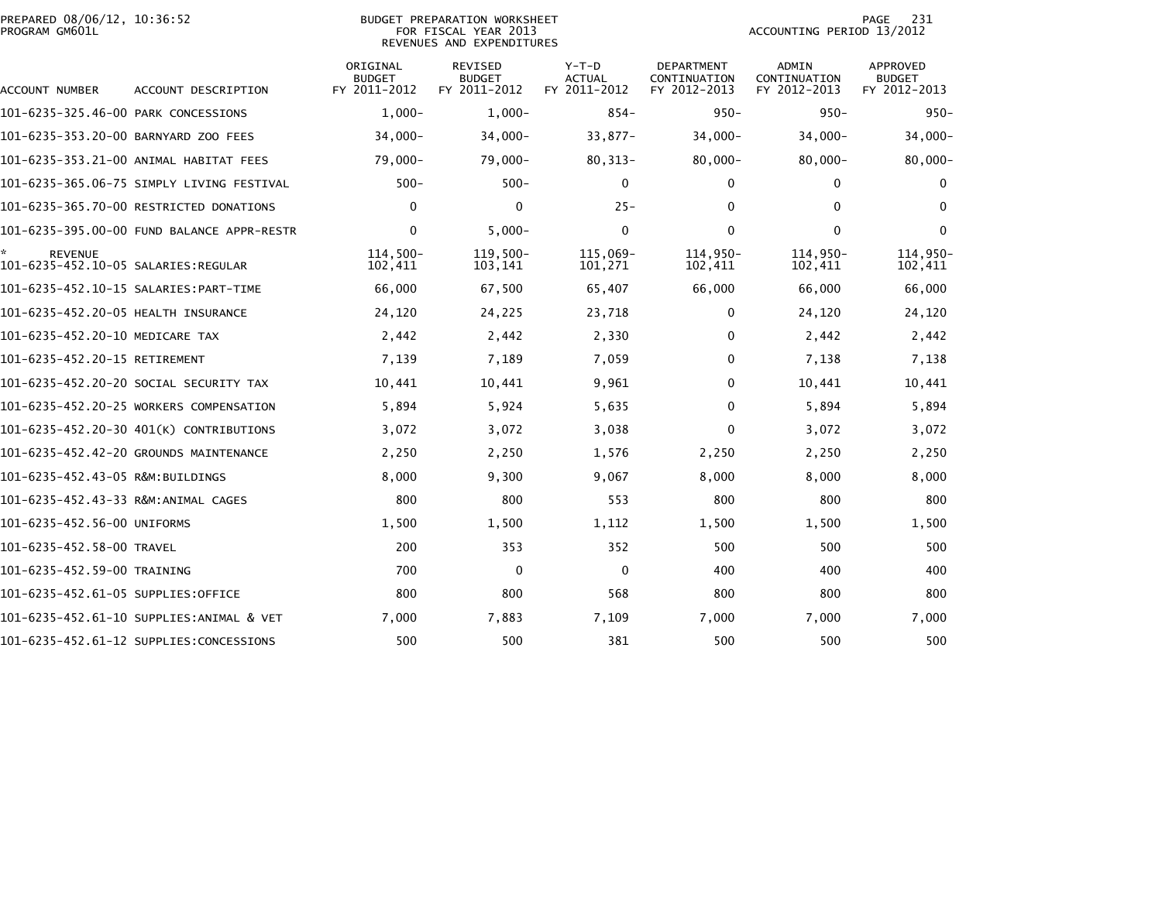|                | PREPARED 08/06/12, 10:36:52 |  |
|----------------|-----------------------------|--|
| PROGRAM GM601L |                             |  |

### BUDGET PREPARATION WORKSHEET<br>FOR FISCAL YEAR 2013 PROGRAM GM601L FOR FISCAL YEAR 2013 ACCOUNTING PERIOD 13/2012REVENUES AND EXPENDITURES

| <b>ACCOUNT NUMBER</b>                                 | ACCOUNT DESCRIPTION                        | ORIGINAL<br><b>BUDGET</b><br>FY 2011-2012 | <b>REVISED</b><br><b>BUDGET</b><br>FY 2011-2012 | $Y-T-D$<br><b>ACTUAL</b><br>FY 2011-2012 | <b>DEPARTMENT</b><br>CONTINUATION<br>FY 2012-2013 | <b>ADMIN</b><br>CONTINUATION<br>FY 2012-2013 | APPROVED<br><b>BUDGET</b><br>FY 2012-2013 |
|-------------------------------------------------------|--------------------------------------------|-------------------------------------------|-------------------------------------------------|------------------------------------------|---------------------------------------------------|----------------------------------------------|-------------------------------------------|
| 101-6235-325.46-00 PARK CONCESSIONS                   |                                            | $1,000-$                                  | $1.000 -$                                       | $854-$                                   | $950 -$                                           | $950 -$                                      | $950 -$                                   |
| 101-6235-353.20-00 BARNYARD ZOO FEES                  |                                            | $34,000 -$                                | $34,000 -$                                      | $33,877-$                                | $34,000 -$                                        | $34,000 -$                                   | $34,000 -$                                |
|                                                       | 101-6235-353.21-00 ANIMAL HABITAT FEES     | $79,000 -$                                | 79,000-                                         | $80, 313 -$                              | $80,000 -$                                        | $80,000 -$                                   | $80,000 -$                                |
|                                                       | 101-6235-365.06-75 SIMPLY LIVING FESTIVAL  | $500 -$                                   | $500 -$                                         | $\mathbf{0}$                             | 0                                                 | 0                                            | 0                                         |
|                                                       | 101-6235-365.70-00 RESTRICTED DONATIONS    | 0                                         | $\mathbf{0}$                                    | $25 -$                                   | 0                                                 | $\Omega$                                     | $\mathbf{0}$                              |
|                                                       | 101-6235-395.00-00 FUND BALANCE APPR-RESTR | $\mathbf 0$                               | $5.000 -$                                       | 0                                        | $\mathbf 0$                                       | $\mathbf 0$                                  | $\mathbf 0$                               |
| <b>REVENUE</b><br>101-6235-452.10-05 SALARIES:REGULAR |                                            | $114.500 -$<br>102,411                    | $119,500-$<br>103,141                           | 115.069-<br>101,271                      | 114.950-<br>102,411                               | 114.950-<br>102,411                          | 114,950-<br>102,411                       |
|                                                       | 101-6235-452.10-15 SALARIES: PART-TIME     | 66,000                                    | 67,500                                          | 65,407                                   | 66,000                                            | 66,000                                       | 66,000                                    |
| 101-6235-452.20-05 HEALTH INSURANCE                   |                                            | 24,120                                    | 24,225                                          | 23,718                                   | $\Omega$                                          | 24,120                                       | 24,120                                    |
| 101-6235-452.20-10 MEDICARE TAX                       |                                            | 2,442                                     | 2,442                                           | 2,330                                    | 0                                                 | 2,442                                        | 2,442                                     |
| 101-6235-452.20-15 RETIREMENT                         |                                            | 7,139                                     | 7,189                                           | 7,059                                    | 0                                                 | 7,138                                        | 7,138                                     |
|                                                       | 101-6235-452.20-20 SOCIAL SECURITY TAX     | 10,441                                    | 10,441                                          | 9,961                                    | 0                                                 | 10,441                                       | 10,441                                    |
|                                                       | 101-6235-452.20-25 WORKERS COMPENSATION    | 5,894                                     | 5,924                                           | 5,635                                    | 0                                                 | 5,894                                        | 5,894                                     |
|                                                       | 101-6235-452.20-30 401(K) CONTRIBUTIONS    | 3,072                                     | 3,072                                           | 3,038                                    | 0                                                 | 3,072                                        | 3,072                                     |
|                                                       | 101-6235-452.42-20 GROUNDS MAINTENANCE     | 2,250                                     | 2,250                                           | 1,576                                    | 2,250                                             | 2,250                                        | 2,250                                     |
| 101-6235-452.43-05 R&M:BUILDINGS                      |                                            | 8,000                                     | 9,300                                           | 9,067                                    | 8,000                                             | 8,000                                        | 8,000                                     |
| 101-6235-452.43-33 R&M:ANIMAL CAGES                   |                                            | 800                                       | 800                                             | 553                                      | 800                                               | 800                                          | 800                                       |
| 101-6235-452.56-00 UNIFORMS                           |                                            | 1,500                                     | 1,500                                           | 1,112                                    | 1,500                                             | 1,500                                        | 1,500                                     |
| 101-6235-452.58-00 TRAVEL                             |                                            | 200                                       | 353                                             | 352                                      | 500                                               | 500                                          | 500                                       |
| 101-6235-452.59-00 TRAINING                           |                                            | 700                                       | $\mathbf{0}$                                    | $\mathbf{0}$                             | 400                                               | 400                                          | 400                                       |
| 101-6235-452.61-05 SUPPLIES:OFFICE                    |                                            | 800                                       | 800                                             | 568                                      | 800                                               | 800                                          | 800                                       |
|                                                       | 101-6235-452.61-10 SUPPLIES:ANIMAL & VET   | 7,000                                     | 7,883                                           | 7,109                                    | 7,000                                             | 7,000                                        | 7,000                                     |
|                                                       | 101-6235-452.61-12 SUPPLIES:CONCESSIONS    | 500                                       | 500                                             | 381                                      | 500                                               | 500                                          | 500                                       |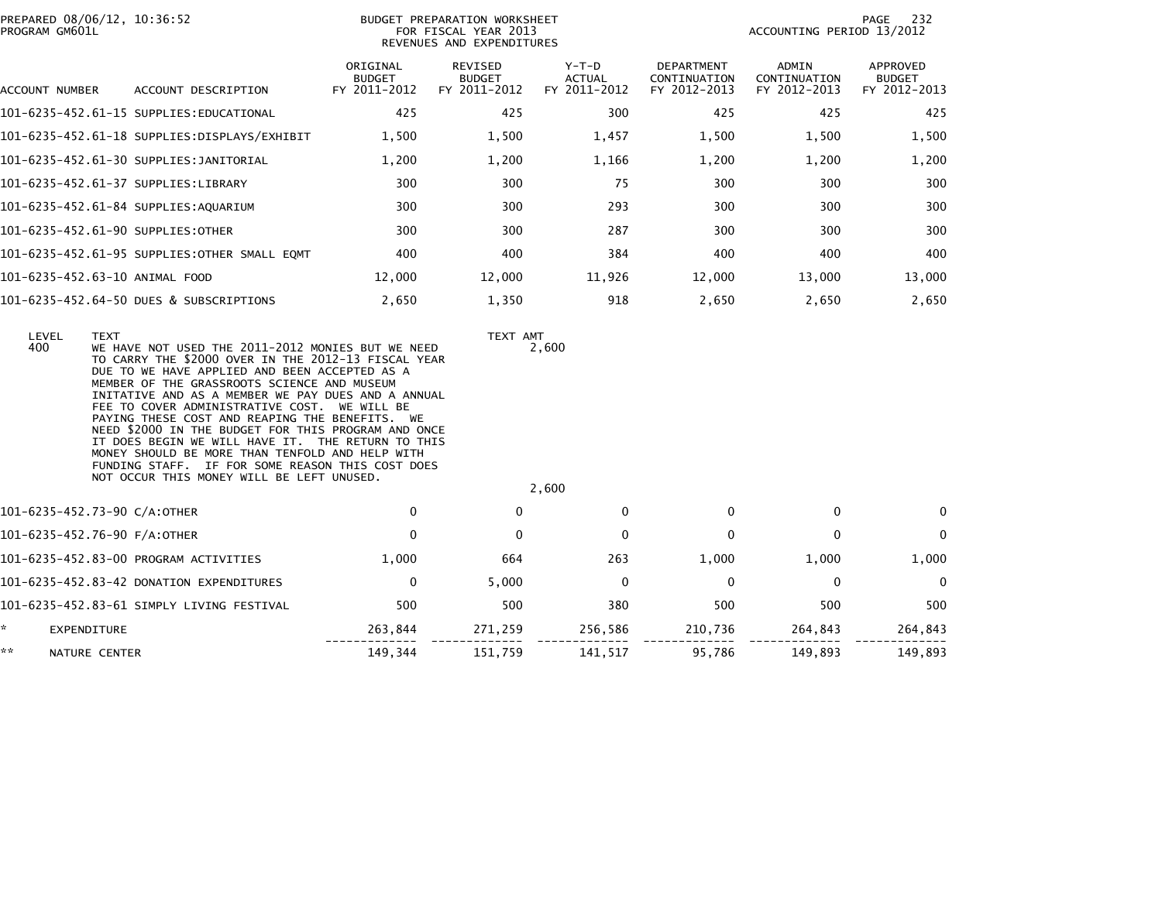| PROGRAM GM601L    | PREPARED 08/06/12, 10:36:52                                                                                                                                                                                                                                                                                                                                                                                                                                                                                                                                                                                                                     |                                           | BUDGET PREPARATION WORKSHEET<br>FOR FISCAL YEAR 2013<br>REVENUES AND EXPENDITURES |                                          |                                            | ACCOUNTING PERIOD 13/2012             | 232<br>PAGE                               |
|-------------------|-------------------------------------------------------------------------------------------------------------------------------------------------------------------------------------------------------------------------------------------------------------------------------------------------------------------------------------------------------------------------------------------------------------------------------------------------------------------------------------------------------------------------------------------------------------------------------------------------------------------------------------------------|-------------------------------------------|-----------------------------------------------------------------------------------|------------------------------------------|--------------------------------------------|---------------------------------------|-------------------------------------------|
| ACCOUNT NUMBER    | ACCOUNT DESCRIPTION                                                                                                                                                                                                                                                                                                                                                                                                                                                                                                                                                                                                                             | ORIGINAL<br><b>BUDGET</b><br>FY 2011-2012 | REVISED<br><b>BUDGET</b><br>FY 2011-2012                                          | $Y-T-D$<br><b>ACTUAL</b><br>FY 2011-2012 | DEPARTMENT<br>CONTINUATION<br>FY 2012-2013 | ADMIN<br>CONTINUATION<br>FY 2012-2013 | APPROVED<br><b>BUDGET</b><br>FY 2012-2013 |
|                   | 101-6235-452.61-15 SUPPLIES:EDUCATIONAL                                                                                                                                                                                                                                                                                                                                                                                                                                                                                                                                                                                                         | 425                                       | 425                                                                               | 300                                      | 425                                        | 425                                   | 425                                       |
|                   | 101-6235-452.61-18 SUPPLIES:DISPLAYS/EXHIBIT                                                                                                                                                                                                                                                                                                                                                                                                                                                                                                                                                                                                    | 1,500                                     | 1,500                                                                             | 1,457                                    | 1,500                                      | 1,500                                 | 1,500                                     |
|                   | 101-6235-452.61-30 SUPPLIES:JANITORIAL                                                                                                                                                                                                                                                                                                                                                                                                                                                                                                                                                                                                          | 1,200                                     | 1,200                                                                             | 1,166                                    | 1,200                                      | 1,200                                 | 1,200                                     |
|                   | 101-6235-452.61-37 SUPPLIES:LIBRARY                                                                                                                                                                                                                                                                                                                                                                                                                                                                                                                                                                                                             | 300                                       | 300                                                                               | 75                                       | 300                                        | 300                                   | 300                                       |
|                   | 101-6235-452.61-84 SUPPLIES:AQUARIUM                                                                                                                                                                                                                                                                                                                                                                                                                                                                                                                                                                                                            | 300                                       | 300                                                                               | 293                                      | 300                                        | 300                                   | 300                                       |
|                   | 101-6235-452.61-90 SUPPLIES:OTHER                                                                                                                                                                                                                                                                                                                                                                                                                                                                                                                                                                                                               | 300                                       | 300                                                                               | 287                                      | 300                                        | 300                                   | 300                                       |
|                   | 101-6235-452.61-95 SUPPLIES:OTHER SMALL EQMT                                                                                                                                                                                                                                                                                                                                                                                                                                                                                                                                                                                                    | 400                                       | 400                                                                               | 384                                      | 400                                        | 400                                   | 400                                       |
|                   | 101-6235-452.63-10 ANIMAL FOOD                                                                                                                                                                                                                                                                                                                                                                                                                                                                                                                                                                                                                  | 12,000                                    | 12,000                                                                            | 11,926                                   | 12,000                                     | 13,000                                | 13,000                                    |
|                   | 101-6235-452.64-50 DUES & SUBSCRIPTIONS                                                                                                                                                                                                                                                                                                                                                                                                                                                                                                                                                                                                         | 2,650                                     | 1,350                                                                             | 918                                      | 2,650                                      | 2,650                                 | 2,650                                     |
| LEVEL<br>400      | <b>TEXT</b><br>WE HAVE NOT USED THE 2011-2012 MONIES BUT WE NEED<br>TO CARRY THE \$2000 OVER IN THE 2012-13 FISCAL YEAR<br>DUE TO WE HAVE APPLIED AND BEEN ACCEPTED AS A<br>MEMBER OF THE GRASSROOTS SCIENCE AND MUSEUM<br>INITATIVE AND AS A MEMBER WE PAY DUES AND A ANNUAL<br>FEE TO COVER ADMINISTRATIVE COST. WE WILL BE<br>PAYING THESE COST AND REAPING THE BENEFITS. WE<br>NEED \$2000 IN THE BUDGET FOR THIS PROGRAM AND ONCE<br>IT DOES BEGIN WE WILL HAVE IT. THE RETURN TO THIS<br>MONEY SHOULD BE MORE THAN TENFOLD AND HELP WITH<br>FUNDING STAFF. IF FOR SOME REASON THIS COST DOES<br>NOT OCCUR THIS MONEY WILL BE LEFT UNUSED. |                                           | TEXT AMT                                                                          | 2,600<br>2,600                           |                                            |                                       |                                           |
|                   | 101-6235-452.73-90 C/A:OTHER                                                                                                                                                                                                                                                                                                                                                                                                                                                                                                                                                                                                                    | $\mathbf 0$                               | 0                                                                                 | $\mathbf{0}$                             | $\mathbf{0}$                               | $\mathbf{0}$                          | $\Omega$                                  |
|                   | 101-6235-452.76-90 F/A:OTHER                                                                                                                                                                                                                                                                                                                                                                                                                                                                                                                                                                                                                    | $\mathbf{0}$                              | $\mathbf{0}$                                                                      | $\mathbf{0}$                             | $\Omega$                                   | $\mathbf{0}$                          | $\mathbf{0}$                              |
|                   | 101-6235-452.83-00 PROGRAM ACTIVITIES                                                                                                                                                                                                                                                                                                                                                                                                                                                                                                                                                                                                           | 1,000                                     | 664                                                                               | 263                                      | 1,000                                      | 1,000                                 | 1,000                                     |
|                   | 101-6235-452.83-42 DONATION EXPENDITURES                                                                                                                                                                                                                                                                                                                                                                                                                                                                                                                                                                                                        | 0                                         | 5,000                                                                             | $\mathbf{0}$                             | 0                                          | $\mathbf 0$                           | $\mathbf{0}$                              |
|                   | 101-6235-452.83-61 SIMPLY LIVING FESTIVAL                                                                                                                                                                                                                                                                                                                                                                                                                                                                                                                                                                                                       | 500                                       | 500                                                                               | 380                                      | 500                                        | 500                                   | 500                                       |
| *.<br>EXPENDITURE |                                                                                                                                                                                                                                                                                                                                                                                                                                                                                                                                                                                                                                                 | 263,844                                   | 271,259                                                                           | 256,586                                  | 210,736                                    | 264,843                               | 264,843                                   |
| **                | NATURE CENTER                                                                                                                                                                                                                                                                                                                                                                                                                                                                                                                                                                                                                                   | 149,344                                   | 151,759                                                                           | 141,517                                  | 95,786                                     | 149,893                               | 149,893                                   |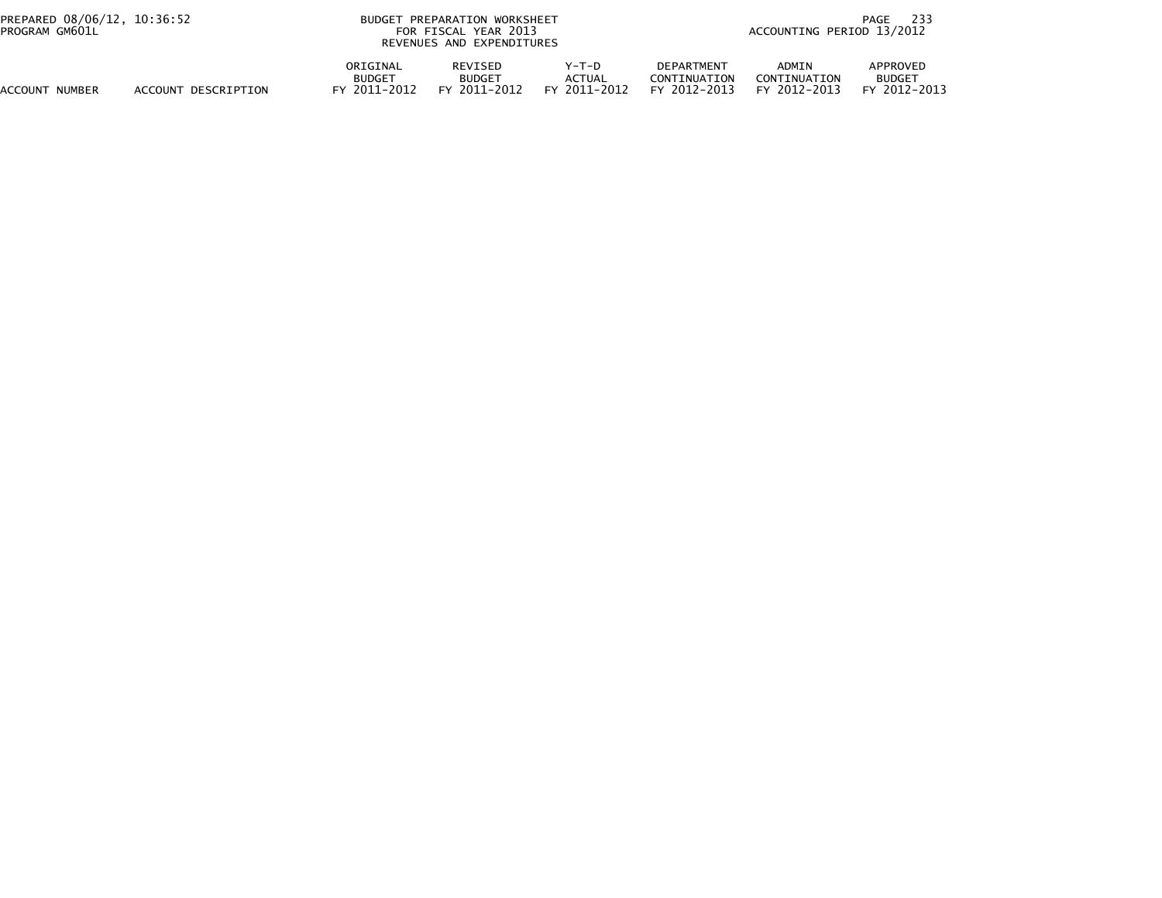| PREPARED 08/06/12, 10:36:52<br>PROGRAM GM601L |                     |                                           | BUDGET PREPARATION WORKSHEET<br>FOR FISCAL YEAR 2013<br>REVENUES AND EXPENDITURES |                                 |                                                       |                                              | 233<br>PAGE<br>ACCOUNTING PERIOD 13/2012  |  |
|-----------------------------------------------|---------------------|-------------------------------------------|-----------------------------------------------------------------------------------|---------------------------------|-------------------------------------------------------|----------------------------------------------|-------------------------------------------|--|
| <b>ACCOUNT NUMBER</b>                         | ACCOUNT DESCRIPTION | ORIGINAL<br><b>BUDGET</b><br>FY 2011-2012 | REVISED<br><b>BUDGET</b><br>FY 2011-2012                                          | Y-T-D<br>ACTUAL<br>FY 2011-2012 | <b>DEPARTMENT</b><br>CONTINUATION<br>2012-2013<br>FY. | <b>ADMIN</b><br>CONTINUATION<br>FY 2012-2013 | APPROVED<br><b>BUDGET</b><br>FY 2012-2013 |  |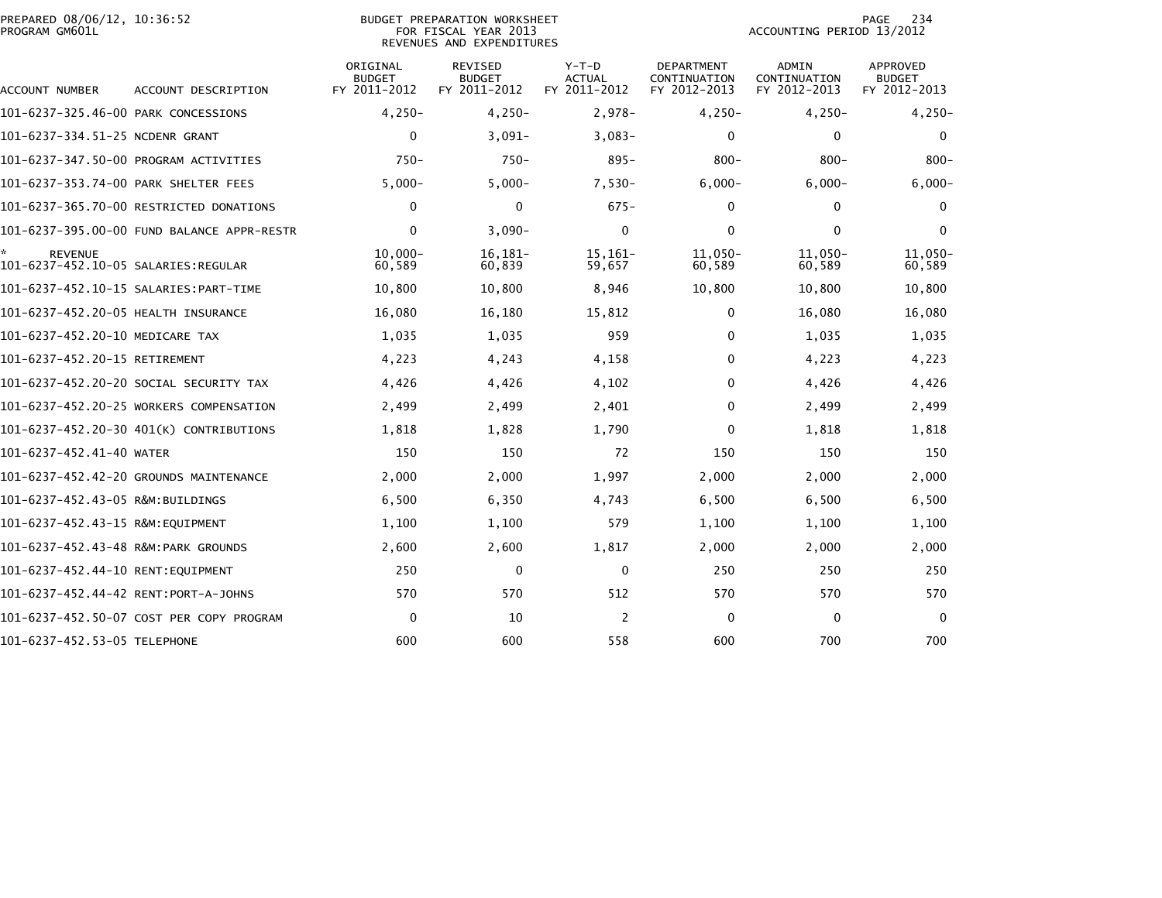| PREPARED 08/06/12, 10:36:52<br>PROGRAM GM601L          |                                            |                                           | BUDGET PREPARATION WORKSHEET<br>FOR FISCAL YEAR 2013<br>REVENUES AND EXPENDITURES |                                   | 234<br>PAGE<br>ACCOUNTING PERIOD 13/2012          |                                       |                                           |
|--------------------------------------------------------|--------------------------------------------|-------------------------------------------|-----------------------------------------------------------------------------------|-----------------------------------|---------------------------------------------------|---------------------------------------|-------------------------------------------|
| <b>ACCOUNT NUMBER</b>                                  | ACCOUNT DESCRIPTION                        | ORIGINAL<br><b>BUDGET</b><br>FY 2011-2012 | <b>REVISED</b><br><b>BUDGET</b><br>FY 2011-2012                                   | $Y-T-D$<br>ACTUAL<br>FY 2011-2012 | <b>DEPARTMENT</b><br>CONTINUATION<br>FY 2012-2013 | ADMIN<br>CONTINUATION<br>FY 2012-2013 | APPROVED<br><b>BUDGET</b><br>FY 2012-2013 |
| 101-6237-325.46-00 PARK CONCESSIONS                    |                                            | $4,250-$                                  | $4,250-$                                                                          | $2,978-$                          | $4,250-$                                          | $4,250-$                              | $4,250-$                                  |
| 101-6237-334.51-25 NCDENR GRANT                        |                                            | $\Omega$                                  | $3.091 -$                                                                         | $3.083 -$                         | $\mathbf 0$                                       | $\mathbf{0}$                          | $\mathbf{0}$                              |
|                                                        | 101-6237-347.50-00 PROGRAM ACTIVITIES      | $750-$                                    | $750 -$                                                                           | $895 -$                           | $800 -$                                           | $800 -$                               | $800 -$                                   |
| 101-6237-353.74-00 PARK SHELTER FEES                   |                                            | $5,000-$                                  | $5,000-$                                                                          | $7,530-$                          | $6,000 -$                                         | $6,000-$                              | $6,000-$                                  |
|                                                        | 101-6237-365.70-00 RESTRICTED DONATIONS    | $\mathbf{0}$                              | 0                                                                                 | $675-$                            | 0                                                 | $\mathbf{0}$                          | 0                                         |
|                                                        | 101-6237-395.00-00 FUND BALANCE APPR-RESTR | $\Omega$                                  | $3.090 -$                                                                         | $\mathbf{0}$                      | $\mathbf{0}$                                      | $\mathbf{0}$                          | $\mathbf{0}$                              |
| <b>REVENUE</b><br>101-6237-452.10-05 SALARIES: REGULAR |                                            | $10,000 -$<br>60,589                      | 16,181-<br>60,839                                                                 | $15,161-$<br>59,657               | $11.050 -$<br>60,589                              | 11,050-<br>60,589                     | 11,050-<br>60,589                         |
|                                                        |                                            | 10,800                                    | 10,800                                                                            | 8,946                             | 10,800                                            | 10.800                                | 10,800                                    |
| 101-6237-452.20-05 HEALTH INSURANCE                    |                                            | 16,080                                    | 16,180                                                                            | 15,812                            | $\Omega$                                          | 16,080                                | 16,080                                    |
| 101-6237-452.20-10 MEDICARE TAX                        |                                            | 1,035                                     | 1,035                                                                             | 959                               | $\mathbf{0}$                                      | 1,035                                 | 1,035                                     |
| 101-6237-452.20-15 RETIREMENT                          |                                            | 4,223                                     | 4,243                                                                             | 4,158                             | $\mathbf 0$                                       | 4,223                                 | 4,223                                     |
|                                                        | 101-6237-452.20-20 SOCIAL SECURITY TAX     | 4,426                                     | 4,426                                                                             | 4,102                             | $\mathbf{0}$                                      | 4,426                                 | 4,426                                     |
|                                                        | 101-6237-452.20-25 WORKERS COMPENSATION    | 2,499                                     | 2,499                                                                             | 2,401                             | $\mathbf{0}$                                      | 2,499                                 | 2,499                                     |
|                                                        | 101-6237-452.20-30 401(K) CONTRIBUTIONS    | 1,818                                     | 1,828                                                                             | 1,790                             | $\mathbf 0$                                       | 1,818                                 | 1,818                                     |
| 101-6237-452.41-40 WATER                               |                                            | 150                                       | 150                                                                               | 72                                | 150                                               | 150                                   | 150                                       |
|                                                        | 101-6237-452.42-20 GROUNDS MAINTENANCE     | 2,000                                     | 2.000                                                                             | 1,997                             | 2,000                                             | 2,000                                 | 2,000                                     |
| 101-6237-452.43-05 R&M:BUILDINGS                       |                                            | 6,500                                     | 6,350                                                                             | 4,743                             | 6,500                                             | 6,500                                 | 6,500                                     |
| 101-6237-452.43-15 R&M:EQUIPMENT                       |                                            | 1,100                                     | 1,100                                                                             | 579                               | 1,100                                             | 1,100                                 | 1,100                                     |
| 101-6237-452.43-48 R&M:PARK GROUNDS                    |                                            | 2,600                                     | 2,600                                                                             | 1,817                             | 2,000                                             | 2,000                                 | 2,000                                     |
| 101-6237-452.44-10 RENT:EOUIPMENT                      |                                            | 250                                       | $\mathbf{0}$                                                                      | $\mathbf{0}$                      | 250                                               | 250                                   | 250                                       |
| 101-6237-452.44-42 RENT:PORT-A-JOHNS                   |                                            | 570                                       | 570                                                                               | 512                               | 570                                               | 570                                   | 570                                       |
|                                                        | 101-6237-452.50-07 COST PER COPY PROGRAM   | $\Omega$                                  | 10                                                                                | 2                                 | 0                                                 | $\Omega$                              | $\Omega$                                  |
| 101-6237-452.53-05 TELEPHONE                           |                                            | 600                                       | 600                                                                               | 558                               | 600                                               | 700                                   | 700                                       |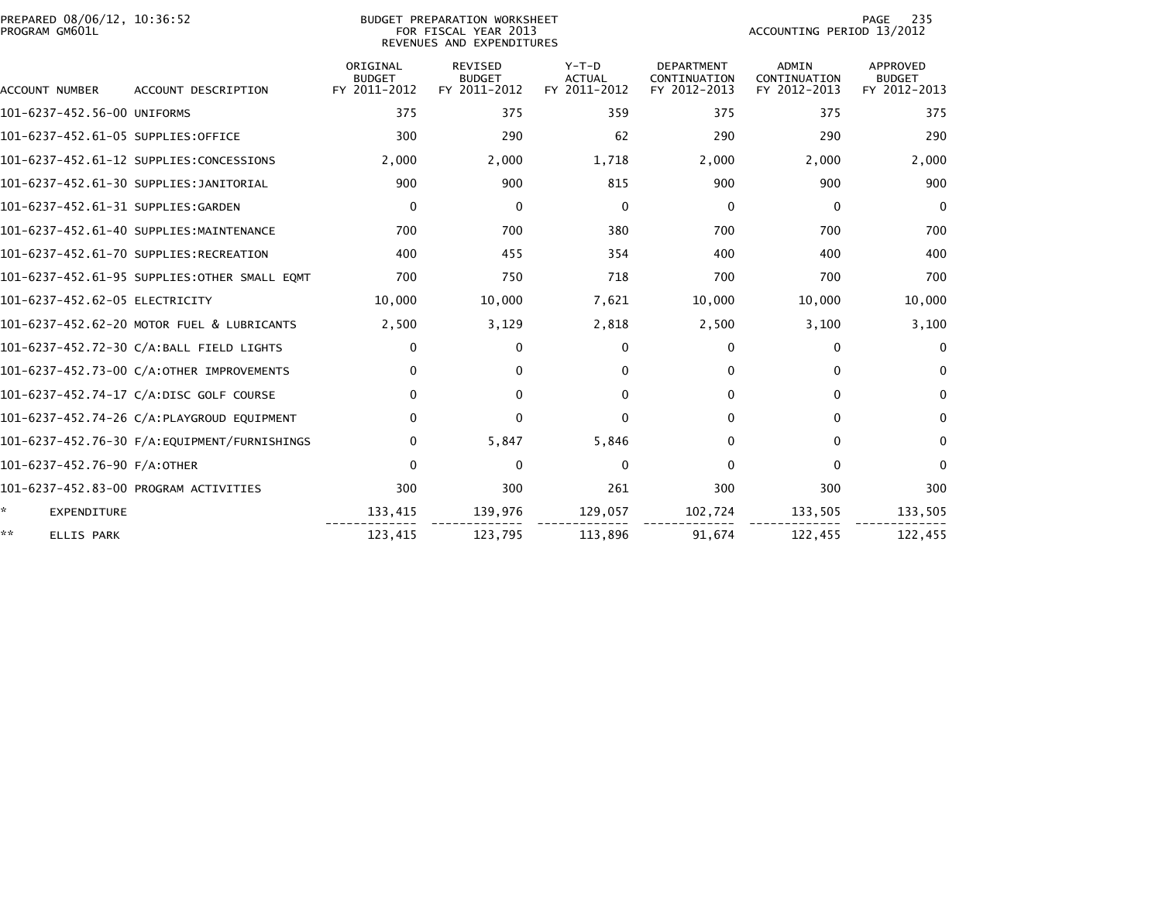| PREPARED 08/06/12, 10:36:52<br>PROGRAM GM601L |                                              | BUDGET PREPARATION WORKSHEET<br>FOR FISCAL YEAR 2013<br>REVENUES AND EXPENDITURES |                                                 |                                          |                                                   | 235<br>PAGE<br>ACCOUNTING PERIOD 13/2012     |                                           |  |
|-----------------------------------------------|----------------------------------------------|-----------------------------------------------------------------------------------|-------------------------------------------------|------------------------------------------|---------------------------------------------------|----------------------------------------------|-------------------------------------------|--|
| <b>ACCOUNT NUMBER</b>                         | ACCOUNT DESCRIPTION                          | ORIGINAL<br><b>BUDGET</b><br>FY 2011-2012                                         | <b>REVISED</b><br><b>BUDGET</b><br>FY 2011-2012 | $Y-T-D$<br><b>ACTUAL</b><br>FY 2011-2012 | <b>DEPARTMENT</b><br>CONTINUATION<br>FY 2012-2013 | <b>ADMIN</b><br>CONTINUATION<br>FY 2012-2013 | APPROVED<br><b>BUDGET</b><br>FY 2012-2013 |  |
| 101-6237-452.56-00 UNIFORMS                   |                                              | 375                                                                               | 375                                             | 359                                      | 375                                               | 375                                          | 375                                       |  |
| 101-6237-452.61-05 SUPPLIES:OFFICE            |                                              | 300                                                                               | 290                                             | 62                                       | 290                                               | 290                                          | 290                                       |  |
|                                               | 101-6237-452.61-12 SUPPLIES:CONCESSIONS      | 2,000                                                                             | 2,000                                           | 1,718                                    | 2,000                                             | 2,000                                        | 2,000                                     |  |
|                                               | 101-6237-452.61-30 SUPPLIES:JANITORIAL       | 900                                                                               | 900                                             | 815                                      | 900                                               | 900                                          | 900                                       |  |
| 101-6237-452.61-31 SUPPLIES:GARDEN            |                                              | $\mathbf 0$                                                                       | $\Omega$                                        | $\Omega$                                 | $\mathbf{0}$                                      | $\mathbf{0}$                                 | $\mathbf{0}$                              |  |
|                                               | 101-6237-452.61-40 SUPPLIES:MAINTENANCE      | 700                                                                               | 700                                             | 380                                      | 700                                               | 700                                          | 700                                       |  |
|                                               | 101-6237-452.61-70 SUPPLIES:RECREATION       | 400                                                                               | 455                                             | 354                                      | 400                                               | 400                                          | 400                                       |  |
|                                               | 101-6237-452.61-95 SUPPLIES:OTHER SMALL EQMT | 700                                                                               | 750                                             | 718                                      | 700                                               | 700                                          | 700                                       |  |
| 101-6237-452.62-05 ELECTRICITY                |                                              | 10,000                                                                            | 10,000                                          | 7,621                                    | 10,000                                            | 10,000                                       | 10,000                                    |  |
|                                               | 101-6237-452.62-20 MOTOR FUEL & LUBRICANTS   | 2,500                                                                             | 3,129                                           | 2,818                                    | 2,500                                             | 3,100                                        | 3,100                                     |  |
|                                               | 101-6237-452.72-30 C/A:BALL FIELD LIGHTS     | 0                                                                                 | $\Omega$                                        | 0                                        | $\mathbf{0}$                                      | $\Omega$                                     | $\Omega$                                  |  |
|                                               | 101-6237-452.73-00 C/A:OTHER IMPROVEMENTS    | $\mathbf{0}$                                                                      | 0                                               | 0                                        | $\Omega$                                          | $\Omega$                                     | $\Omega$                                  |  |
|                                               | 101-6237-452.74-17 C/A:DISC GOLF COURSE      | $\mathbf 0$                                                                       | 0                                               | 0                                        | $\Omega$                                          | 0                                            | 0                                         |  |
|                                               | 101-6237-452.74-26 C/A:PLAYGROUD EQUIPMENT   | $\Omega$                                                                          | $\mathbf{0}$                                    | $\Omega$                                 | $\Omega$                                          | $\mathbf{0}$                                 | $\mathbf{0}$                              |  |
|                                               | 101-6237-452.76-30 F/A:EQUIPMENT/FURNISHINGS | $\mathbf{0}$                                                                      | 5,847                                           | 5,846                                    | $\mathbf{0}$                                      | $\mathbf{0}$                                 | $\Omega$                                  |  |
| 101-6237-452.76-90 F/A:OTHER                  |                                              | $\mathbf{0}$                                                                      | $\mathbf 0$                                     | $\mathbf{0}$                             | $\Omega$                                          | $\mathbf{0}$                                 | $\mathbf{0}$                              |  |
|                                               | 101-6237-452.83-00 PROGRAM ACTIVITIES        | 300                                                                               | 300                                             | 261                                      | 300                                               | 300                                          | 300                                       |  |
| ÷.<br>EXPENDITURE                             |                                              | 133,415                                                                           | 139,976                                         | 129,057                                  | 102,724                                           | 133,505                                      | 133,505                                   |  |
| **<br>ELLIS PARK                              |                                              | 123,415                                                                           | 123,795                                         | 113,896                                  | 91,674                                            | 122,455                                      | 122,455                                   |  |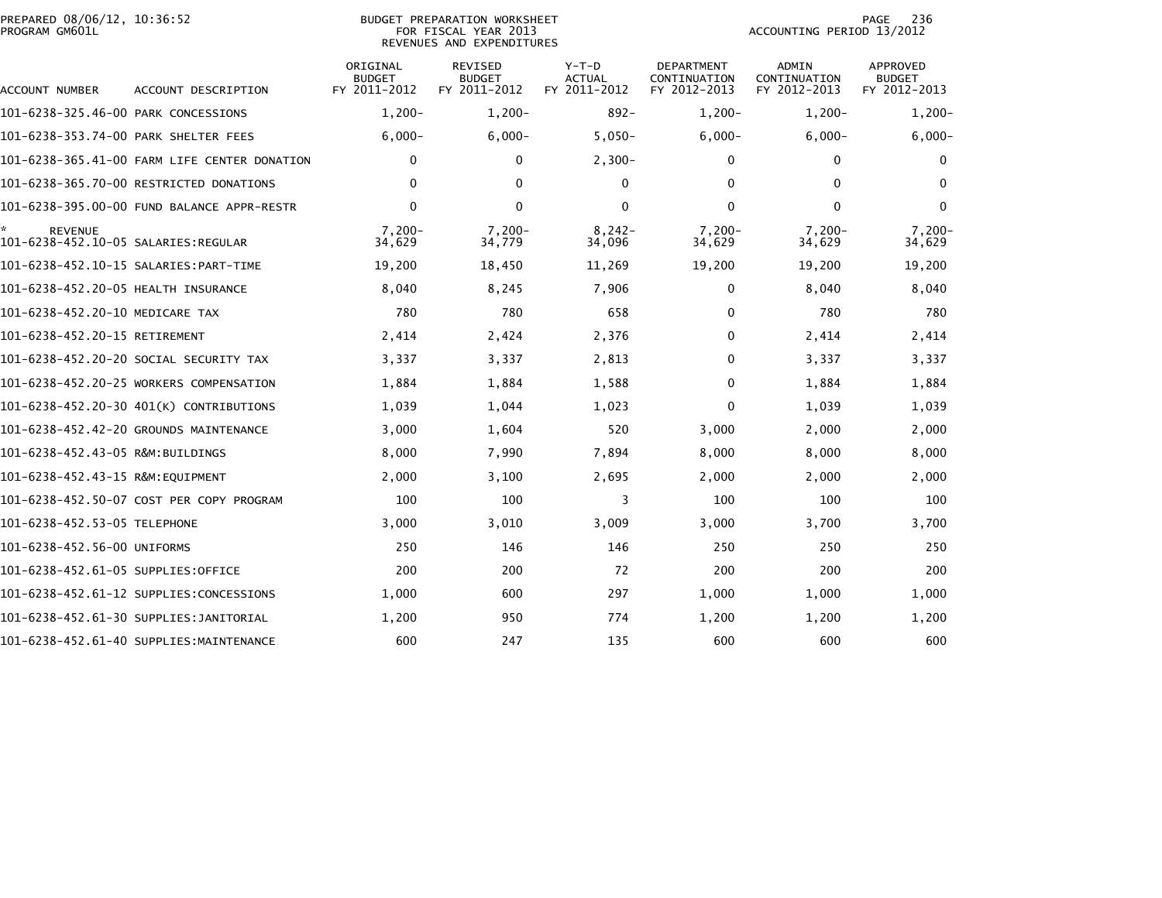|                | PREPARED 08/06/12, 10:36:52 |  |
|----------------|-----------------------------|--|
| PROGRAM GM601L |                             |  |

### BUDGET PREPARATION WORKSHEET<br>FOR FISCAL YEAR 2013 PROGRAM GM601L FOR FISCAL YEAR 2013 ACCOUNTING PERIOD 13/2012REVENUES AND EXPENDITURES

| ACCOUNT NUMBER                                        | ACCOUNT DESCRIPTION                          | ORIGINAL<br><b>BUDGET</b><br>FY 2011-2012 | <b>REVISED</b><br><b>BUDGET</b><br>FY 2011-2012 | $Y-T-D$<br><b>ACTUAL</b><br>FY 2011-2012 | <b>DEPARTMENT</b><br>CONTINUATION<br>FY 2012-2013 | ADMIN<br>CONTINUATION<br>FY 2012-2013 | <b>APPROVED</b><br><b>BUDGET</b><br>FY 2012-2013 |
|-------------------------------------------------------|----------------------------------------------|-------------------------------------------|-------------------------------------------------|------------------------------------------|---------------------------------------------------|---------------------------------------|--------------------------------------------------|
| 101-6238-325.46-00 PARK CONCESSIONS                   |                                              | $1,200-$                                  | $1,200-$                                        | $892 -$                                  | $1,200-$                                          | $1,200-$                              | $1,200-$                                         |
| 101-6238-353.74-00 PARK SHELTER FEES                  |                                              | $6,000 -$                                 | $6,000 -$                                       | $5,050-$                                 | $6,000 -$                                         | $6,000-$                              | $6,000 -$                                        |
|                                                       | 101-6238-365.41-00 FARM LIFE CENTER DONATION | 0                                         | $\mathbf{0}$                                    | $2,300-$                                 | 0                                                 | $\mathbf{0}$                          | 0                                                |
|                                                       | 101-6238-365.70-00 RESTRICTED DONATIONS      | 0                                         | $\Omega$                                        | $\Omega$                                 | 0                                                 | $\Omega$                              | $\bf{0}$                                         |
|                                                       | 101-6238-395.00-00 FUND BALANCE APPR-RESTR   | $\Omega$                                  | $\mathbf{0}$                                    | $\mathbf{0}$                             | 0                                                 | $\Omega$                              | 0                                                |
| <b>REVENUE</b><br>101-6238-452.10-05 SALARIES:REGULAR |                                              | $7.200 -$<br>34,629                       | $7.200 -$<br>34,779                             | $8,242-$<br>34,096                       | $7.200 -$<br>34,629                               | $7.200 -$<br>34,629                   | $7,200-$<br>34,629                               |
|                                                       |                                              | 19,200                                    | 18,450                                          | 11,269                                   | 19,200                                            | 19,200                                | 19,200                                           |
| 101-6238-452.20-05 HEALTH INSURANCE                   |                                              | 8,040                                     | 8,245                                           | 7,906                                    | $\mathbf{0}$                                      | 8,040                                 | 8,040                                            |
| 101-6238-452.20-10 MEDICARE TAX                       |                                              | 780                                       | 780                                             | 658                                      | $\mathbf{0}$                                      | 780                                   | 780                                              |
| 101-6238-452.20-15 RETIREMENT                         |                                              | 2,414                                     | 2,424                                           | 2,376                                    | 0                                                 | 2,414                                 | 2,414                                            |
|                                                       | 101-6238-452.20-20 SOCIAL SECURITY TAX       | 3,337                                     | 3,337                                           | 2,813                                    | 0                                                 | 3,337                                 | 3,337                                            |
|                                                       | 101-6238-452.20-25 WORKERS COMPENSATION      | 1,884                                     | 1,884                                           | 1,588                                    | $\mathbf{0}$                                      | 1,884                                 | 1,884                                            |
|                                                       | 101-6238-452.20-30 401(K) CONTRIBUTIONS      | 1,039                                     | 1,044                                           | 1,023                                    | $\mathbf{0}$                                      | 1,039                                 | 1,039                                            |
|                                                       | 101-6238-452.42-20 GROUNDS MAINTENANCE       | 3,000                                     | 1,604                                           | 520                                      | 3,000                                             | 2,000                                 | 2,000                                            |
| 101-6238-452.43-05 R&M:BUILDINGS                      |                                              | 8,000                                     | 7,990                                           | 7,894                                    | 8,000                                             | 8,000                                 | 8,000                                            |
| 101-6238-452.43-15 R&M:EQUIPMENT                      |                                              | 2,000                                     | 3,100                                           | 2,695                                    | 2,000                                             | 2,000                                 | 2,000                                            |
|                                                       | 101-6238-452.50-07 COST PER COPY PROGRAM     | 100                                       | 100                                             | 3                                        | 100                                               | 100                                   | 100                                              |
| 101-6238-452.53-05 TELEPHONE                          |                                              | 3,000                                     | 3,010                                           | 3,009                                    | 3,000                                             | 3,700                                 | 3,700                                            |
| 101-6238-452.56-00 UNIFORMS                           |                                              | 250                                       | 146                                             | 146                                      | 250                                               | 250                                   | 250                                              |
| 101-6238-452.61-05 SUPPLIES:OFFICE                    |                                              | 200                                       | 200                                             | 72                                       | 200                                               | 200                                   | 200                                              |
|                                                       | 101-6238-452.61-12 SUPPLIES:CONCESSIONS      | 1,000                                     | 600                                             | 297                                      | 1,000                                             | 1,000                                 | 1,000                                            |
|                                                       | 101-6238-452.61-30 SUPPLIES:JANITORIAL       | 1.200                                     | 950                                             | 774                                      | 1,200                                             | 1.200                                 | 1,200                                            |
|                                                       | 101-6238-452.61-40 SUPPLIES:MAINTENANCE      | 600                                       | 247                                             | 135                                      | 600                                               | 600                                   | 600                                              |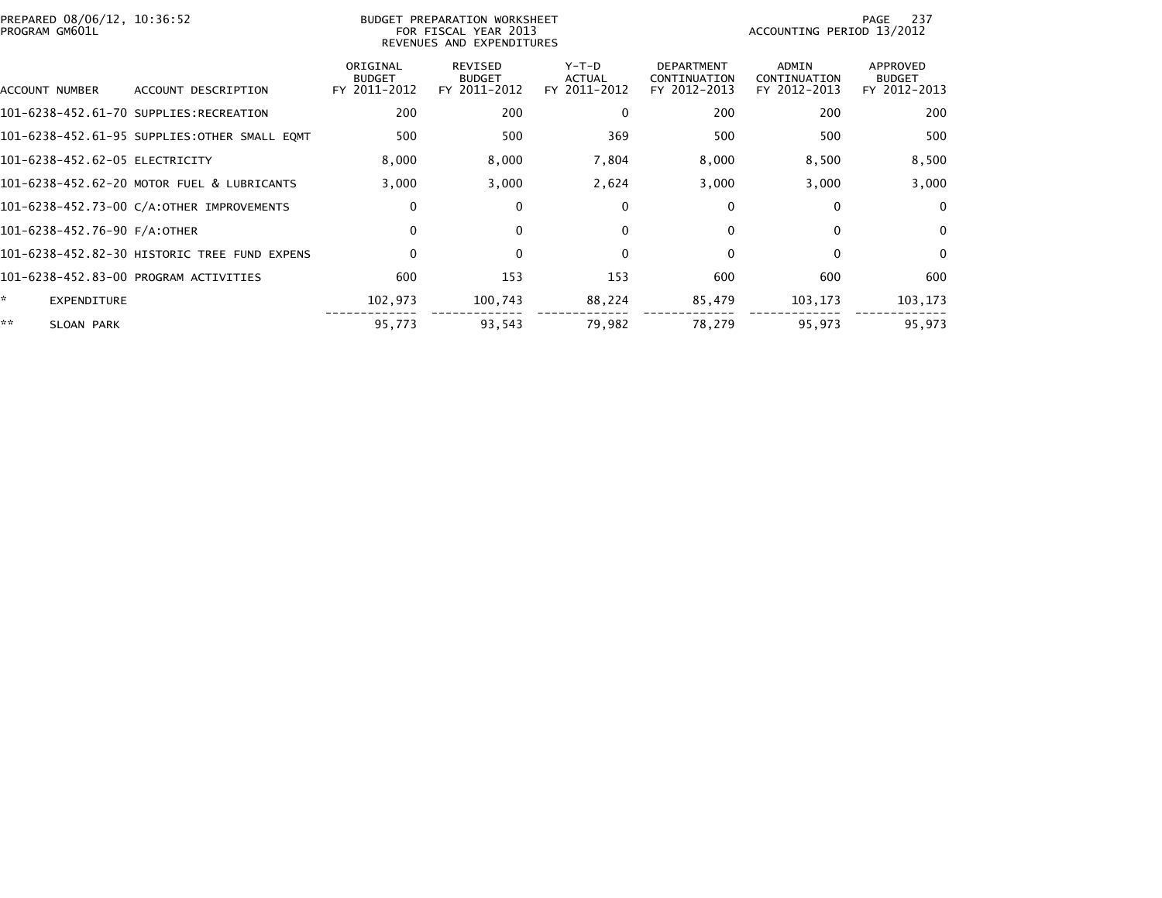| PREPARED 08/06/12, 10:36:52<br>PROGRAM GM601L |                                              |                                           | BUDGET PREPARATION WORKSHEET<br>FOR FISCAL YEAR 2013<br>REVENUES AND EXPENDITURES | 237<br>PAGE<br>ACCOUNTING PERIOD 13/2012 |                                                   |                                       |                                           |
|-----------------------------------------------|----------------------------------------------|-------------------------------------------|-----------------------------------------------------------------------------------|------------------------------------------|---------------------------------------------------|---------------------------------------|-------------------------------------------|
| ACCOUNT NUMBER                                | ACCOUNT DESCRIPTION                          | ORIGINAL<br><b>BUDGET</b><br>FY 2011-2012 | REVISED<br><b>BUDGET</b><br>FY 2011-2012                                          | Y-T-D<br>ACTUAL<br>FY 2011-2012          | <b>DEPARTMENT</b><br>CONTINUATION<br>FY 2012-2013 | ADMIN<br>CONTINUATION<br>FY 2012-2013 | APPROVED<br><b>BUDGET</b><br>FY 2012-2013 |
|                                               | 101-6238-452.61-70 SUPPLIES:RECREATION       | 200                                       | 200                                                                               | 0                                        | 200                                               | 200                                   | 200                                       |
|                                               | 101-6238-452.61-95 SUPPLIES:OTHER SMALL EQMT | 500                                       | 500                                                                               | 369                                      | 500                                               | 500                                   | 500                                       |
| 101-6238-452.62-05 ELECTRICITY                |                                              | 8,000                                     | 8,000                                                                             | 7,804                                    | 8,000                                             | 8,500                                 | 8,500                                     |
|                                               | 101-6238-452.62-20 MOTOR FUEL & LUBRICANTS   | 3,000                                     | 3,000                                                                             | 2,624                                    | 3,000                                             | 3,000                                 | 3,000                                     |
|                                               | 101-6238-452.73-00 C/A:OTHER IMPROVEMENTS    | 0                                         | 0                                                                                 | 0                                        | $\mathbf{0}$                                      | 0                                     | $\Omega$                                  |
| 101-6238-452.76-90 F/A:OTHER                  |                                              | 0                                         | $\mathbf{0}$                                                                      | $\Omega$                                 | $\mathbf{0}$                                      | $\Omega$                              | $\Omega$                                  |
|                                               | 101-6238-452.82-30 HISTORIC TREE FUND EXPENS | $\mathbf 0$                               | $\mathbf{0}$                                                                      | $\Omega$                                 | $\Omega$                                          | $\Omega$                              | $\Omega$                                  |
|                                               | 101-6238-452.83-00 PROGRAM ACTIVITIES        | 600                                       | 153                                                                               | 153                                      | 600                                               | 600                                   | 600                                       |
| ÷.<br>EXPENDITURE                             |                                              | 102,973                                   | 100,743                                                                           | 88,224                                   | 85,479                                            | 103,173                               | 103,173                                   |
| **<br>SLOAN PARK                              |                                              | 95,773                                    | 93,543                                                                            | 79,982                                   | 78,279                                            | 95,973                                | 95,973                                    |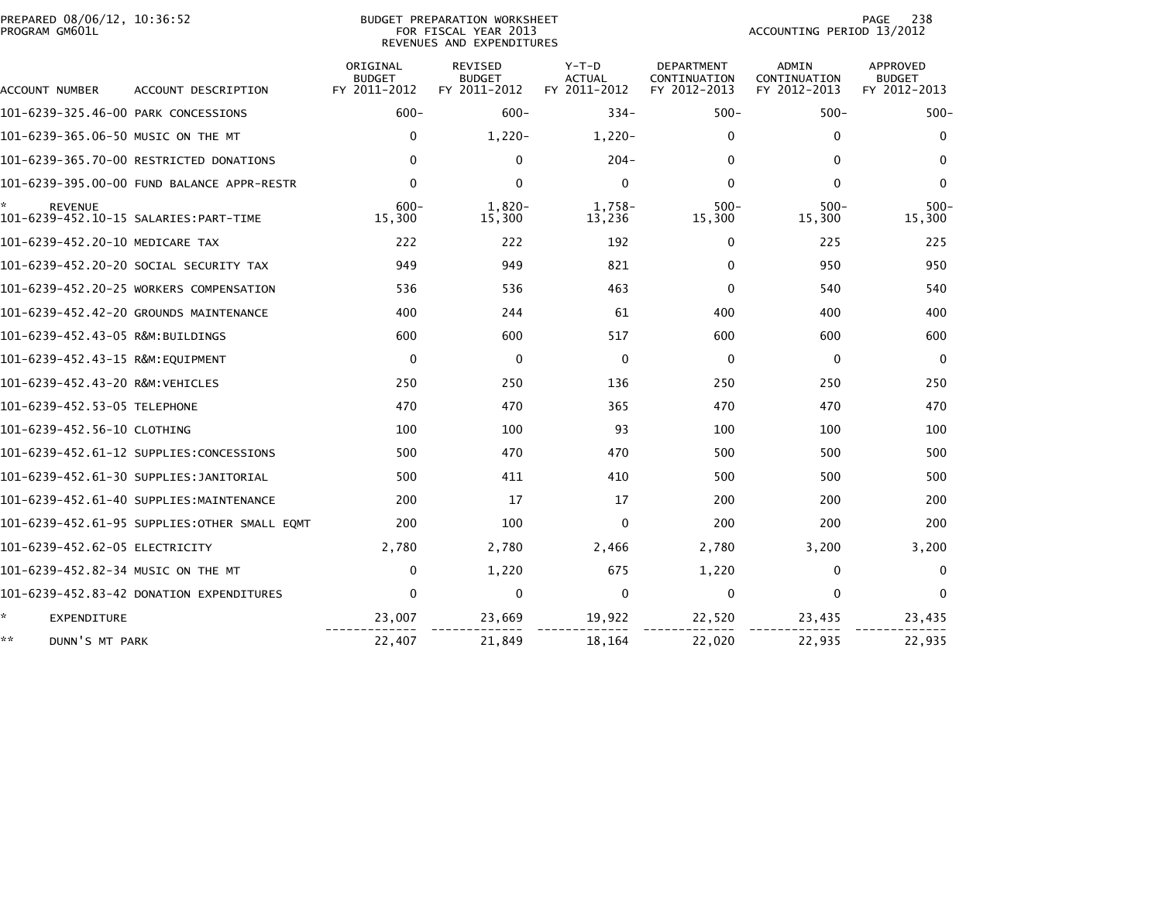| PREPARED 08/06/12, 10:36:52<br>PROGRAM GM601L |                                              | BUDGET PREPARATION WORKSHEET<br>ACCOUNTING PERIOD 13/2012<br>FOR FISCAL YEAR 2013<br>REVENUES AND EXPENDITURES |                                                 |                                          |                                                   |                                              |                                                  |
|-----------------------------------------------|----------------------------------------------|----------------------------------------------------------------------------------------------------------------|-------------------------------------------------|------------------------------------------|---------------------------------------------------|----------------------------------------------|--------------------------------------------------|
| ACCOUNT NUMBER                                | ACCOUNT DESCRIPTION                          | ORIGINAL<br><b>BUDGET</b><br>FY 2011-2012                                                                      | <b>REVISED</b><br><b>BUDGET</b><br>FY 2011-2012 | $Y-T-D$<br><b>ACTUAL</b><br>FY 2011-2012 | <b>DEPARTMENT</b><br>CONTINUATION<br>FY 2012-2013 | <b>ADMIN</b><br>CONTINUATION<br>FY 2012-2013 | <b>APPROVED</b><br><b>BUDGET</b><br>FY 2012-2013 |
| 101-6239-325.46-00 PARK CONCESSIONS           |                                              | $600 -$                                                                                                        | $600 -$                                         | $334 -$                                  | $500 -$                                           | $500 -$                                      | $500 -$                                          |
| 101-6239-365.06-50 MUSIC ON THE MT            |                                              | $\mathbf{0}$                                                                                                   | $1.220 -$                                       | $1.220 -$                                | 0                                                 | $\mathbf{0}$                                 | $\mathbf{0}$                                     |
|                                               | 101-6239-365.70-00 RESTRICTED DONATIONS      | $\mathbf{0}$                                                                                                   | $\Omega$                                        | $204 -$                                  | 0                                                 | $\mathbf{0}$                                 | 0                                                |
|                                               | 101-6239-395.00-00 FUND BALANCE APPR-RESTR   | $\mathbf 0$                                                                                                    | $\mathbf 0$                                     | $\mathbf 0$                              | $\Omega$                                          | $\mathbf 0$                                  | $\mathbf 0$                                      |
| <b>REVENUE</b>                                |                                              | $600 -$<br>15,300                                                                                              | $1.820 -$<br>15,300                             | 1.758-<br>13,236                         | $500 -$<br>15,300                                 | $500 -$<br>15,300                            | $500 -$<br>15,300                                |
| 101-6239-452.20-10 MEDICARE TAX               |                                              | 222                                                                                                            | 222                                             | 192                                      | 0                                                 | 225                                          | 225                                              |
|                                               | 101-6239-452.20-20 SOCIAL SECURITY TAX       | 949                                                                                                            | 949                                             | 821                                      | 0                                                 | 950                                          | 950                                              |
|                                               | 101-6239-452.20-25 WORKERS COMPENSATION      | 536                                                                                                            | 536                                             | 463                                      | $\Omega$                                          | 540                                          | 540                                              |
|                                               | 101-6239-452.42-20 GROUNDS MAINTENANCE       | 400                                                                                                            | 244                                             | 61                                       | 400                                               | 400                                          | 400                                              |
| 101-6239-452.43-05 R&M:BUILDINGS              |                                              | 600                                                                                                            | 600                                             | 517                                      | 600                                               | 600                                          | 600                                              |
| 101-6239-452.43-15 R&M:EQUIPMENT              |                                              | $\mathbf 0$                                                                                                    | $\mathbf 0$                                     | $\mathbf 0$                              | $\mathbf 0$                                       | $\mathbf 0$                                  | 0                                                |
| 101-6239-452.43-20 R&M:VEHICLES               |                                              | 250                                                                                                            | 250                                             | 136                                      | 250                                               | 250                                          | 250                                              |
| 101-6239-452.53-05 TELEPHONE                  |                                              | 470                                                                                                            | 470                                             | 365                                      | 470                                               | 470                                          | 470                                              |
| 101-6239-452.56-10 CLOTHING                   |                                              | 100                                                                                                            | 100                                             | 93                                       | 100                                               | 100                                          | 100                                              |
|                                               | 101-6239-452.61-12 SUPPLIES:CONCESSIONS      | 500                                                                                                            | 470                                             | 470                                      | 500                                               | 500                                          | 500                                              |
|                                               | 101-6239-452.61-30 SUPPLIES:JANITORIAL       | 500                                                                                                            | 411                                             | 410                                      | 500                                               | 500                                          | 500                                              |
|                                               | 101-6239-452.61-40 SUPPLIES:MAINTENANCE      | 200                                                                                                            | 17                                              | 17                                       | 200                                               | 200                                          | 200                                              |
|                                               | 101-6239-452.61-95 SUPPLIES:OTHER SMALL EQMT | 200                                                                                                            | 100                                             | $\mathbf{0}$                             | 200                                               | 200                                          | 200                                              |
| 101-6239-452.62-05 ELECTRICITY                |                                              | 2,780                                                                                                          | 2,780                                           | 2,466                                    | 2,780                                             | 3,200                                        | 3,200                                            |
| 101-6239-452.82-34 MUSIC ON THE MT            |                                              | 0                                                                                                              | 1,220                                           | 675                                      | 1,220                                             | 0                                            | $\Omega$                                         |
|                                               | 101-6239-452.83-42 DONATION EXPENDITURES     | $\Omega$                                                                                                       | 0                                               | $\mathbf{0}$                             | 0                                                 | $\mathbf{0}$                                 | $\mathbf{0}$                                     |
| ÷.<br><b>EXPENDITURE</b>                      |                                              | 23,007                                                                                                         | 23,669                                          | 19,922                                   | 22,520                                            | 23,435                                       | 23,435                                           |
| **<br>DUNN'S MT PARK                          |                                              | 22,407                                                                                                         | 21,849                                          | 18,164                                   | 22,020                                            | 22,935                                       | 22,935                                           |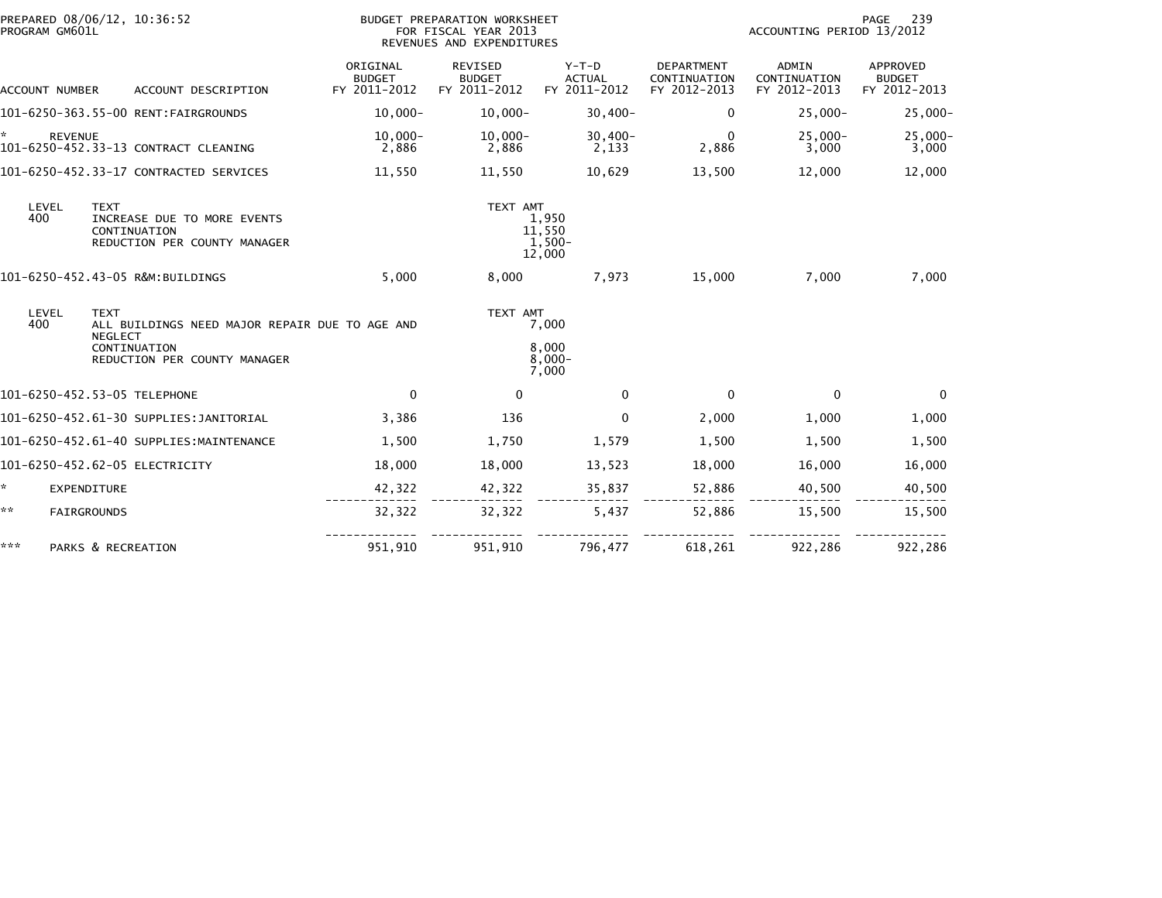| PROGRAM GM601L       | PREPARED 08/06/12, 10:36:52                                                                                                     |                                           | BUDGET PREPARATION WORKSHEET<br>FOR FISCAL YEAR 2013<br>REVENUES AND EXPENDITURES |                                          | 239<br>PAGE<br>ACCOUNTING PERIOD 13/2012   |                                              |                                           |  |
|----------------------|---------------------------------------------------------------------------------------------------------------------------------|-------------------------------------------|-----------------------------------------------------------------------------------|------------------------------------------|--------------------------------------------|----------------------------------------------|-------------------------------------------|--|
| ACCOUNT NUMBER       | ACCOUNT DESCRIPTION                                                                                                             | ORIGINAL<br><b>BUDGET</b><br>FY 2011-2012 | REVISED<br><b>BUDGET</b><br>FY 2011-2012                                          | $Y-T-D$<br><b>ACTUAL</b><br>FY 2011-2012 | DEPARTMENT<br>CONTINUATION<br>FY 2012-2013 | <b>ADMIN</b><br>CONTINUATION<br>FY 2012-2013 | APPROVED<br><b>BUDGET</b><br>FY 2012-2013 |  |
|                      | 101-6250-363.55-00 RENT:FAIRGROUNDS                                                                                             | $10.000 -$                                | $10,000 -$                                                                        | $30,400 -$                               | 0                                          | $25,000 -$                                   | $25,000-$                                 |  |
| ÷.<br><b>REVENUE</b> | 101-6250-452.33-13 CONTRACT CLEANING                                                                                            | $10,000 -$<br>2,886                       | $10,000 -$<br>2,886                                                               | $30,400-$<br>2,133                       | $\Omega$<br>2,886                          | $25,000 -$<br>3,000                          | $25,000 -$<br>3,000                       |  |
|                      | 101-6250-452.33-17 CONTRACTED SERVICES                                                                                          | 11,550                                    | 11,550                                                                            | 10,629                                   | 13,500                                     | 12,000                                       | 12,000                                    |  |
| LEVEL<br>400         | <b>TEXT</b><br>INCREASE DUE TO MORE EVENTS<br>CONTINUATION<br>REDUCTION PER COUNTY MANAGER                                      |                                           | TEXT AMT                                                                          | 1,950<br>11,550<br>1,500-<br>12,000      |                                            |                                              |                                           |  |
|                      | 101-6250-452.43-05 R&M:BUILDINGS                                                                                                | 5,000                                     | 8,000                                                                             | 7,973                                    | 15,000                                     | 7,000                                        | 7,000                                     |  |
| LEVEL<br>400         | <b>TEXT</b><br>ALL BUILDINGS NEED MAJOR REPAIR DUE TO AGE AND<br><b>NEGLECT</b><br>CONTINUATION<br>REDUCTION PER COUNTY MANAGER |                                           | TEXT AMT                                                                          | 7,000<br>8,000<br>$8.000 -$<br>7,000     |                                            |                                              |                                           |  |
|                      | 101-6250-452.53-05 TELEPHONE                                                                                                    | $\mathbf{0}$                              | 0                                                                                 | $\mathbf{0}$                             | $\mathbf{0}$                               | $\Omega$                                     | $\Omega$                                  |  |
|                      | 101-6250-452.61-30 SUPPLIES:JANITORIAL                                                                                          | 3,386                                     | 136                                                                               | $\mathbf{0}$                             | 2,000                                      | 1,000                                        | 1,000                                     |  |
|                      | 101-6250-452.61-40 SUPPLIES:MAINTENANCE                                                                                         | 1,500                                     | 1,750                                                                             | 1,579                                    | 1,500                                      | 1,500                                        | 1,500                                     |  |
|                      | 101-6250-452.62-05 ELECTRICITY                                                                                                  | 18,000                                    | 18,000                                                                            | 13,523                                   | 18,000                                     | 16,000                                       | 16,000                                    |  |
| ÷.                   | <b>EXPENDITURE</b>                                                                                                              | 42,322                                    | 42,322                                                                            | 35,837                                   | 52,886                                     | 40,500                                       | 40,500                                    |  |
| **                   | FAIRGROUNDS                                                                                                                     | 32,322                                    | 32,322                                                                            | 5,437                                    | 52,886                                     | 15,500                                       | 15,500                                    |  |
| ***                  | PARKS & RECREATION                                                                                                              | 951,910                                   | 951,910                                                                           | 796,477                                  | 618,261                                    | 922,286                                      | 922,286                                   |  |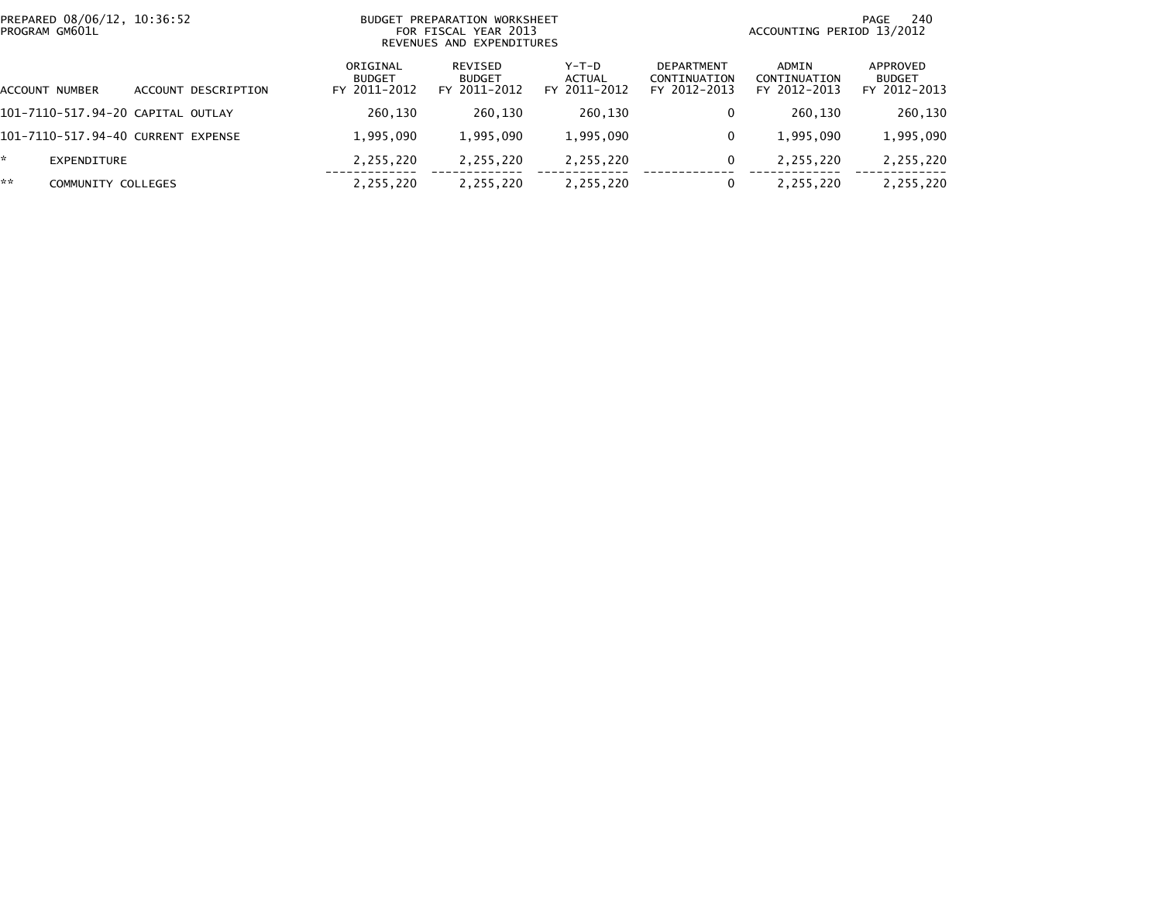| PREPARED 08/06/12, 10:36:52<br>PROGRAM GM601L |                     | <b>BUDGET</b>                             | PREPARATION WORKSHEET<br>FOR FISCAL YEAR 2013<br>REVENUES AND EXPENDITURES |                                   | 240<br>PAGE<br>ACCOUNTING PERIOD 13/2012          |                                       |                                           |  |
|-----------------------------------------------|---------------------|-------------------------------------------|----------------------------------------------------------------------------|-----------------------------------|---------------------------------------------------|---------------------------------------|-------------------------------------------|--|
| ACCOUNT NUMBER                                | ACCOUNT DESCRIPTION | ORIGINAL<br><b>BUDGET</b><br>FY 2011-2012 | REVISED<br><b>BUDGET</b><br>FY 2011-2012                                   | $Y-T-D$<br>ACTUAL<br>FY 2011-2012 | <b>DEPARTMENT</b><br>CONTINUATION<br>FY 2012-2013 | ADMIN<br>CONTINUATION<br>FY 2012-2013 | APPROVED<br><b>BUDGET</b><br>FY 2012-2013 |  |
| 101-7110-517.94-20 CAPITAL OUTLAY             |                     | 260,130                                   | 260,130                                                                    | 260,130                           | 0                                                 | 260,130                               | 260,130                                   |  |
| 101-7110-517.94-40 CURRENT EXPENSE            |                     | 1,995,090                                 | 1,995,090                                                                  | 1,995,090                         | 0                                                 | 1,995,090                             | 1,995,090                                 |  |
| EXPENDITURE                                   |                     | 2,255,220                                 | 2,255,220                                                                  | 2,255,220                         | 0                                                 | 2,255,220                             | 2,255,220                                 |  |
| **<br>COMMUNITY COLLEGES                      |                     | 2,255,220                                 | 2,255,220                                                                  | 2,255,220                         | 0                                                 | 2,255,220                             | 2,255,220                                 |  |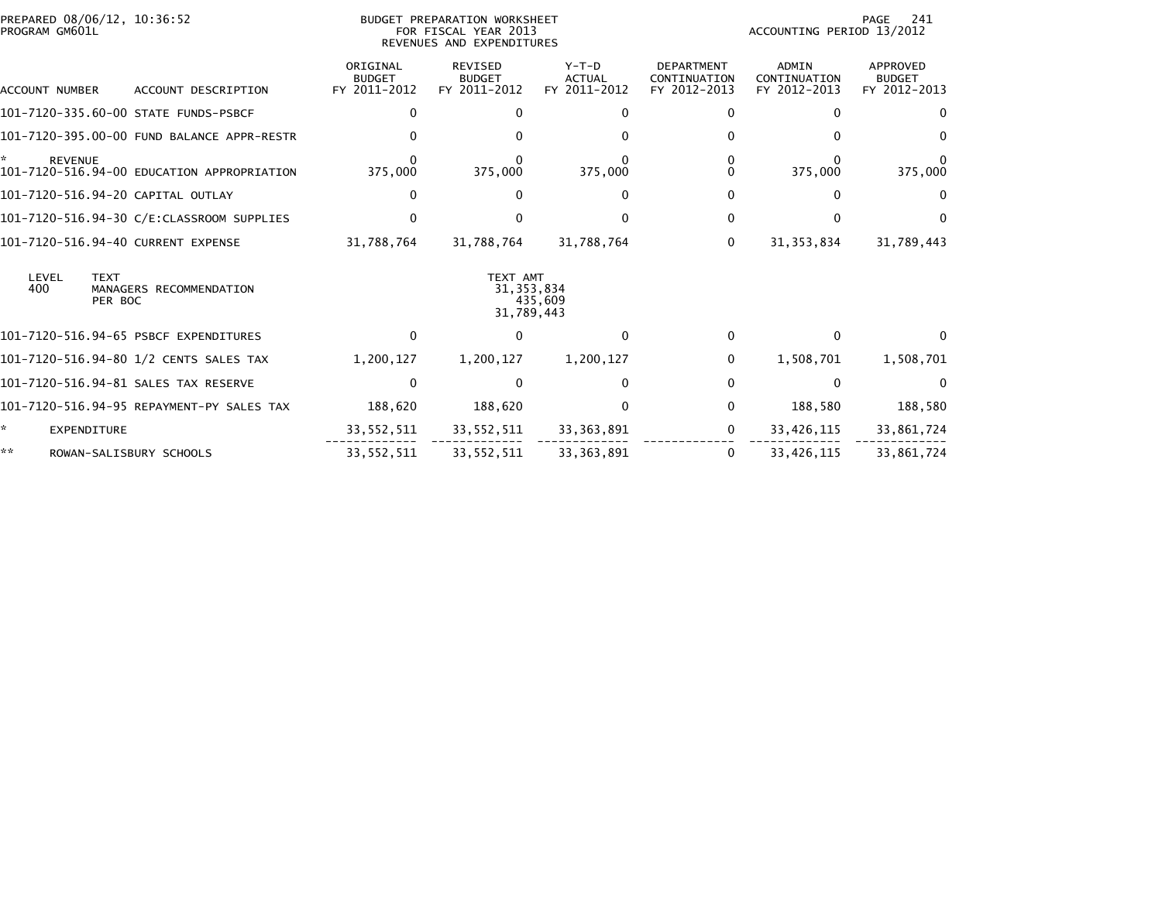| PREPARED 08/06/12, 10:36:52<br>PROGRAM GM601L                     | <b>BUDGET PREPARATION WORKSHEET</b><br>FOR FISCAL YEAR 2013<br>REVENUES AND EXPENDITURES |                                          |                                          |                                                   | PAGE<br>241<br>ACCOUNTING PERIOD 13/2012     |                                           |  |
|-------------------------------------------------------------------|------------------------------------------------------------------------------------------|------------------------------------------|------------------------------------------|---------------------------------------------------|----------------------------------------------|-------------------------------------------|--|
| <b>ACCOUNT NUMBER</b><br>ACCOUNT DESCRIPTION                      | ORIGINAL<br><b>BUDGET</b><br>FY 2011-2012                                                | REVISED<br><b>BUDGET</b><br>FY 2011-2012 | $Y-T-D$<br><b>ACTUAL</b><br>FY 2011-2012 | <b>DEPARTMENT</b><br>CONTINUATION<br>FY 2012-2013 | <b>ADMIN</b><br>CONTINUATION<br>FY 2012-2013 | APPROVED<br><b>BUDGET</b><br>FY 2012-2013 |  |
| 101-7120-335.60-00 STATE FUNDS-PSBCF                              | 0                                                                                        |                                          |                                          | $\Omega$                                          |                                              |                                           |  |
| 101-7120-395.00-00 FUND BALANCE APPR-RESTR                        |                                                                                          |                                          |                                          | 0                                                 |                                              |                                           |  |
| <b>REVENUE</b><br>101-7120-516.94-00 EDUCATION APPROPRIATION      | 375,000                                                                                  | 375,000                                  | 375,000                                  | 0<br>0                                            | 375,000                                      | 375,000                                   |  |
| 101-7120-516.94-20 CAPITAL OUTLAY                                 | 0                                                                                        |                                          | 0                                        | 0                                                 | O                                            | $\Omega$                                  |  |
|                                                                   | 0                                                                                        |                                          |                                          | 0                                                 | n                                            | $^{\circ}$                                |  |
| 101-7120-516.94-40 CURRENT EXPENSE                                | 31,788,764                                                                               | 31,788,764                               | 31,788,764                               | 0                                                 | 31, 353, 834                                 | 31,789,443                                |  |
| LEVEL<br><b>TEXT</b><br>400<br>MANAGERS RECOMMENDATION<br>PER BOC |                                                                                          | TEXT AMT<br>31, 353, 834<br>31,789,443   | 435,609                                  |                                                   |                                              |                                           |  |
| 101-7120-516.94-65 PSBCF EXPENDITURES                             | 0                                                                                        | 0                                        | 0                                        | $\mathbf{0}$                                      | $\Omega$                                     |                                           |  |
| 101-7120-516.94-80 1/2 CENTS SALES TAX                            | 1,200,127                                                                                | 1,200,127                                | 1,200,127                                | $\mathbf{0}$                                      | 1,508,701                                    | 1,508,701                                 |  |
| 101–7120–516.94–81 SALES TAX RESERVE                              | $\mathbf{0}$                                                                             |                                          | 0                                        | 0                                                 | $\Omega$                                     |                                           |  |
| 101-7120-516.94-95 REPAYMENT-PY SALES TAX                         | 188,620                                                                                  | 188,620                                  | 0                                        | $\mathbf 0$                                       | 188,580                                      | 188,580                                   |  |
| *<br>EXPENDITURE                                                  | 33, 552, 511                                                                             | 33,552,511                               | 33, 363, 891                             | $\mathbf{0}$                                      | 33,426,115                                   | 33,861,724                                |  |
| **<br>ROWAN-SALISBURY SCHOOLS                                     | 33, 552, 511                                                                             | 33,552,511                               | 33, 363, 891                             | $\Omega$                                          | 33,426,115                                   | 33,861,724                                |  |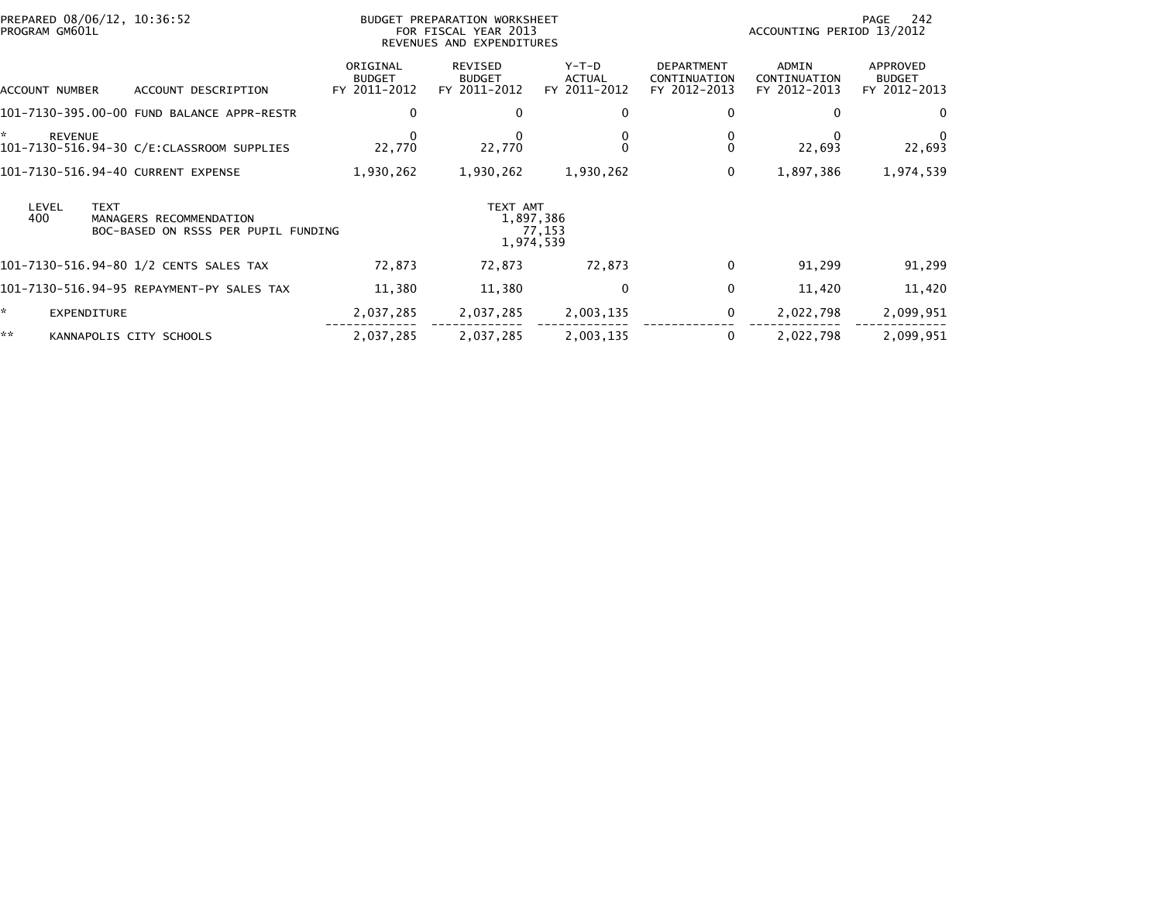| PREPARED 08/06/12, 10:36:52<br>PROGRAM GM601L          |                                                                  | BUDGET PREPARATION WORKSHEET<br>FOR FISCAL YEAR 2013<br>REVENUES AND EXPENDITURES |                                  |                                            | 242<br>PAGE<br>ACCOUNTING PERIOD 13/2012 |                                           |  |  |
|--------------------------------------------------------|------------------------------------------------------------------|-----------------------------------------------------------------------------------|----------------------------------|--------------------------------------------|------------------------------------------|-------------------------------------------|--|--|
| ACCOUNT NUMBER                                         | ORIGINAL<br><b>BUDGET</b><br>FY 2011-2012<br>ACCOUNT DESCRIPTION | REVISED<br><b>BUDGET</b><br>FY 2011-2012                                          | Y-T-D<br>ACTUAL<br>FY 2011-2012  | DEPARTMENT<br>CONTINUATION<br>FY 2012-2013 | ADMIN<br>CONTINUATION<br>FY 2012-2013    | APPROVED<br><b>BUDGET</b><br>FY 2012-2013 |  |  |
| 101-7130-395.00-00 FUND BALANCE APPR-RESTR             | 0                                                                | 0                                                                                 | 0                                | 0                                          | 0                                        |                                           |  |  |
| *.<br><b>REVENUE</b>                                   | 22,770                                                           | 22,770                                                                            |                                  | 0<br>$\Omega$                              | 22,693                                   | 22,693                                    |  |  |
| 101-7130-516.94-40 CURRENT EXPENSE                     | 1,930,262                                                        | 1,930,262                                                                         | 1,930,262                        | $\mathbf 0$                                | 1,897,386                                | 1,974,539                                 |  |  |
| <b>TEXT</b><br>LEVEL<br>400<br>MANAGERS RECOMMENDATION | BOC-BASED ON RSSS PER PUPIL FUNDING                              | TEXT AMT                                                                          | 1,897,386<br>77,153<br>1,974,539 |                                            |                                          |                                           |  |  |
| 101–7130–516.94–80 1/2 CENTS SALES TAX                 | 72,873                                                           | 72,873                                                                            | 72,873                           | $\mathbf 0$                                | 91,299                                   | 91,299                                    |  |  |
| 101-7130-516.94-95 REPAYMENT-PY SALES TAX              | 11,380                                                           | 11,380                                                                            | 0                                | $\mathbf 0$                                | 11,420                                   | 11,420                                    |  |  |
| ×.<br>EXPENDITURE                                      | 2,037,285                                                        | 2,037,285                                                                         | 2,003,135                        | 0                                          | 2,022,798                                | 2,099,951                                 |  |  |
| **<br>KANNAPOLIS CITY SCHOOLS                          | 2,037,285                                                        | 2,037,285                                                                         | 2,003,135                        | $\mathbf 0$                                | 2,022,798                                | 2,099,951                                 |  |  |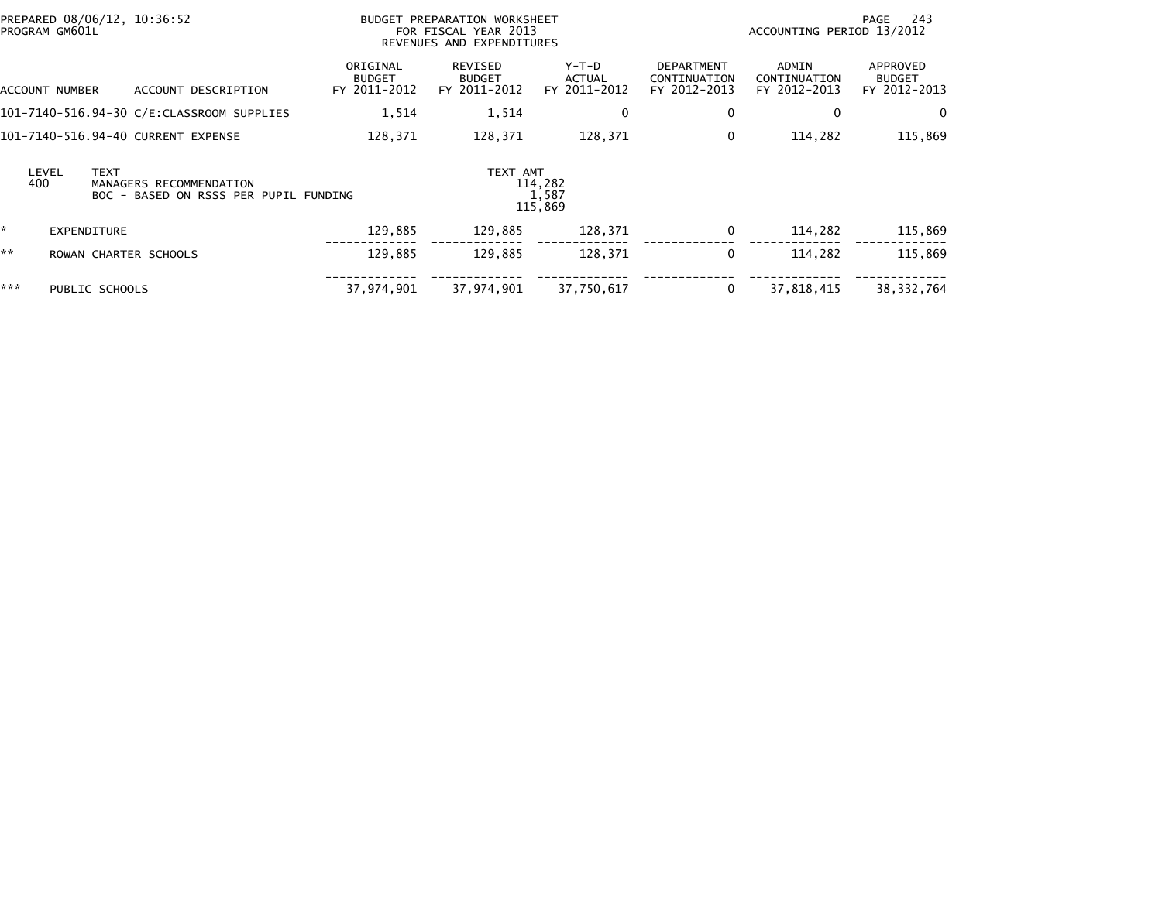|     | PROGRAM GM601L |                | PREPARED 08/06/12, 10:36:52                                      |                                           | BUDGET PREPARATION WORKSHEET<br>FOR FISCAL YEAR 2013<br>REVENUES AND EXPENDITURES |                                        |                                                   | ACCOUNTING PERIOD 13/2012             | - 243<br>PAGE                             |
|-----|----------------|----------------|------------------------------------------------------------------|-------------------------------------------|-----------------------------------------------------------------------------------|----------------------------------------|---------------------------------------------------|---------------------------------------|-------------------------------------------|
|     | ACCOUNT NUMBER |                | ACCOUNT DESCRIPTION                                              | ORIGINAL<br><b>BUDGET</b><br>FY 2011-2012 | REVISED<br><b>BUDGET</b><br>FY 2011-2012                                          | Y-T-D<br><b>ACTUAL</b><br>FY 2011-2012 | <b>DEPARTMENT</b><br>CONTINUATION<br>FY 2012-2013 | ADMIN<br>CONTINUATION<br>FY 2012-2013 | APPROVED<br><b>BUDGET</b><br>FY 2012-2013 |
|     |                |                | 101-7140-516.94-30 C/E:CLASSROOM SUPPLIES                        | 1,514                                     | 1,514                                                                             | 0                                      | 0                                                 | 0                                     | $\mathbf{0}$                              |
|     |                |                | 101-7140-516.94-40 CURRENT EXPENSE                               | 128,371                                   | 128,371                                                                           | 128,371                                | 0                                                 | 114,282                               | 115,869                                   |
|     | LEVEL<br>400   | <b>TEXT</b>    | MANAGERS RECOMMENDATION<br>BOC - BASED ON RSSS PER PUPIL FUNDING |                                           | TEXT AMT                                                                          | 114,282<br>1,587<br>115,869            |                                                   |                                       |                                           |
| *   |                | EXPENDITURE    |                                                                  | 129,885                                   | 129,885                                                                           | 128,371                                | 0                                                 | 114,282                               | 115,869                                   |
| **  |                |                | ROWAN CHARTER SCHOOLS                                            | 129,885                                   | 129.885                                                                           | 128,371                                | 0                                                 | 114.282                               | 115,869                                   |
| *** |                | PUBLIC SCHOOLS |                                                                  | 37,974,901                                | 37,974,901                                                                        | 37,750,617                             | 0                                                 | 37,818,415                            | 38, 332, 764                              |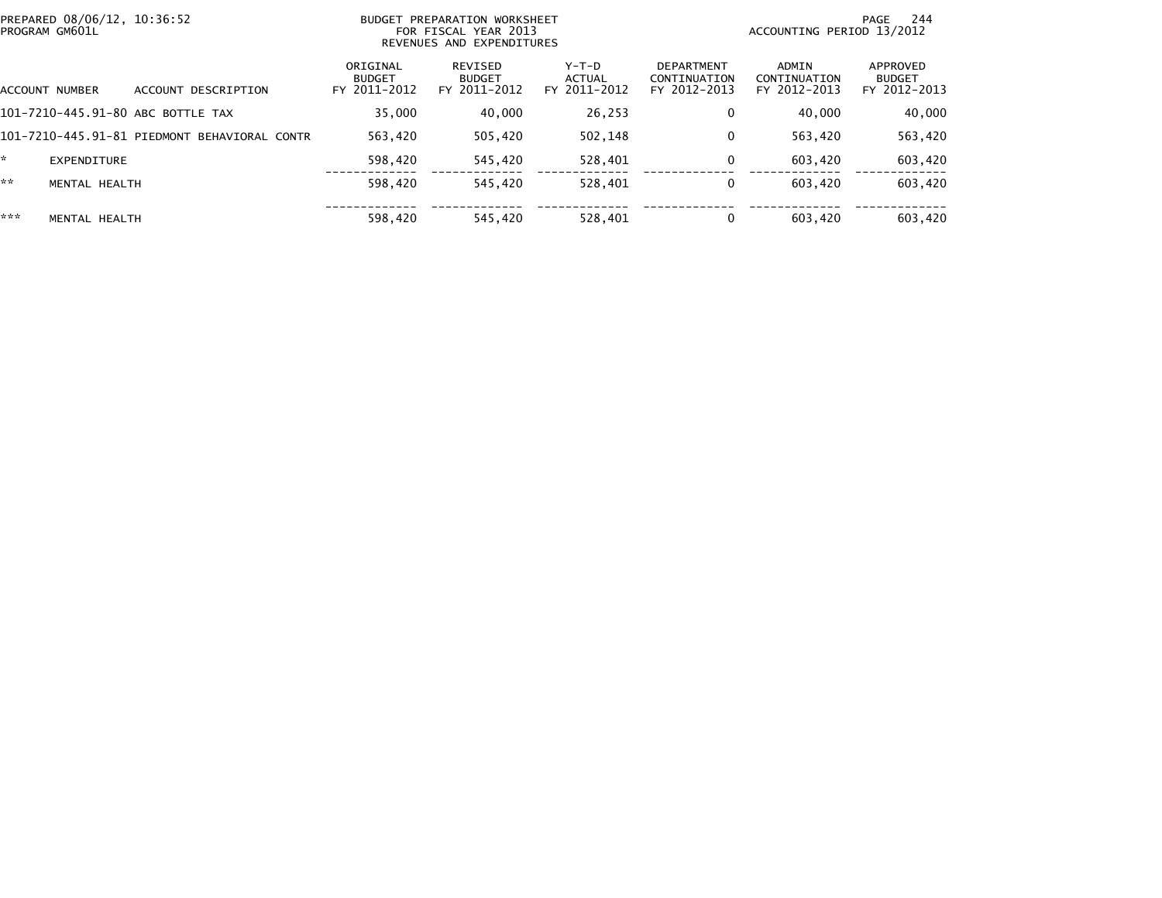| PREPARED 08/06/12. 10:36:52<br>BUDGET PREPARATION WORKSHEET<br>PROGRAM GM601L<br>FOR FISCAL YEAR 2013<br>REVENUES AND EXPENDITURES |                                              |                                           |                                          |                                 | 244<br>PAGE<br>ACCOUNTING PERIOD 13/2012          |                                       |                                           |
|------------------------------------------------------------------------------------------------------------------------------------|----------------------------------------------|-------------------------------------------|------------------------------------------|---------------------------------|---------------------------------------------------|---------------------------------------|-------------------------------------------|
| ACCOUNT NUMBER                                                                                                                     | ACCOUNT DESCRIPTION                          | ORIGINAL<br><b>BUDGET</b><br>FY 2011-2012 | REVISED<br><b>BUDGET</b><br>FY 2011-2012 | Y-T-D<br>ACTUAL<br>FY 2011-2012 | <b>DEPARTMENT</b><br>CONTINUATION<br>FY 2012-2013 | ADMIN<br>CONTINUATION<br>FY 2012-2013 | APPROVED<br><b>BUDGET</b><br>FY 2012-2013 |
|                                                                                                                                    | 101-7210-445.91-80 ABC BOTTLE TAX            | 35,000                                    | 40,000                                   | 26,253                          | 0                                                 | 40,000                                | 40,000                                    |
|                                                                                                                                    | 101-7210-445.91-81 PIEDMONT BEHAVIORAL CONTR | 563,420                                   | 505,420                                  | 502,148                         | 0                                                 | 563,420                               | 563,420                                   |
| *.<br>EXPENDITURE                                                                                                                  |                                              | 598,420                                   | 545,420                                  | 528,401                         | 0                                                 | 603,420                               | 603,420                                   |
| **<br>MENTAL HEALTH                                                                                                                |                                              | 598,420                                   | 545.420                                  | 528,401                         | 0                                                 | 603.420                               | 603,420                                   |
| ***<br>MENTAL HEALTH                                                                                                               |                                              | 598,420                                   | 545.420                                  | 528,401                         | 0                                                 | 603,420                               | 603.420                                   |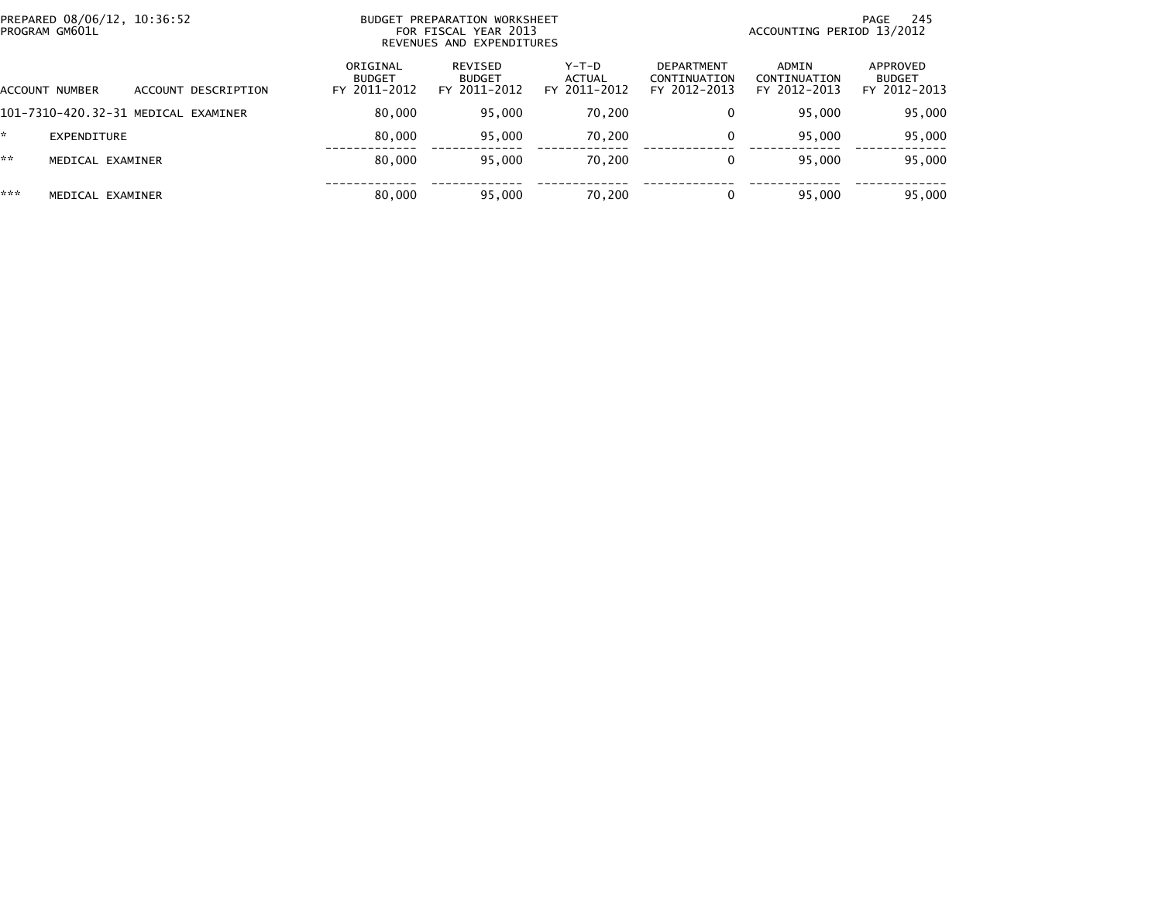| PREPARED 08/06/12, 10:36:52<br>PROGRAM GM601L |                                     |                                           | BUDGET PREPARATION WORKSHEET<br>FOR FISCAL YEAR 2013<br>REVENUES AND EXPENDITURES |                                 | PAGE 245<br>ACCOUNTING PERIOD 13/2012             |                                       |                                           |  |
|-----------------------------------------------|-------------------------------------|-------------------------------------------|-----------------------------------------------------------------------------------|---------------------------------|---------------------------------------------------|---------------------------------------|-------------------------------------------|--|
| ACCOUNT NUMBER                                | ACCOUNT DESCRIPTION                 | ORIGINAL<br><b>BUDGET</b><br>FY 2011-2012 | REVISED<br><b>BUDGET</b><br>FY 2011-2012                                          | Y-T-D<br>ACTUAL<br>FY 2011-2012 | <b>DEPARTMENT</b><br>CONTINUATION<br>FY 2012-2013 | ADMIN<br>CONTINUATION<br>FY 2012-2013 | APPROVED<br><b>BUDGET</b><br>FY 2012-2013 |  |
|                                               | 101-7310-420.32-31 MEDICAL EXAMINER | 80,000                                    | 95,000                                                                            | 70,200                          | 0                                                 | 95.000                                | 95,000                                    |  |
| EXPENDITURE                                   |                                     | 80.000                                    | 95,000                                                                            | 70.200                          | 0                                                 | 95,000                                | 95,000                                    |  |
| **<br>MEDICAL EXAMINER                        |                                     | 80,000                                    | 95,000                                                                            | 70,200                          | 0                                                 | 95.000                                | 95,000                                    |  |
| ***<br>MEDICAL EXAMINER                       |                                     | 80,000                                    | 95,000                                                                            | 70,200                          | 0                                                 | 95.000                                | 95,000                                    |  |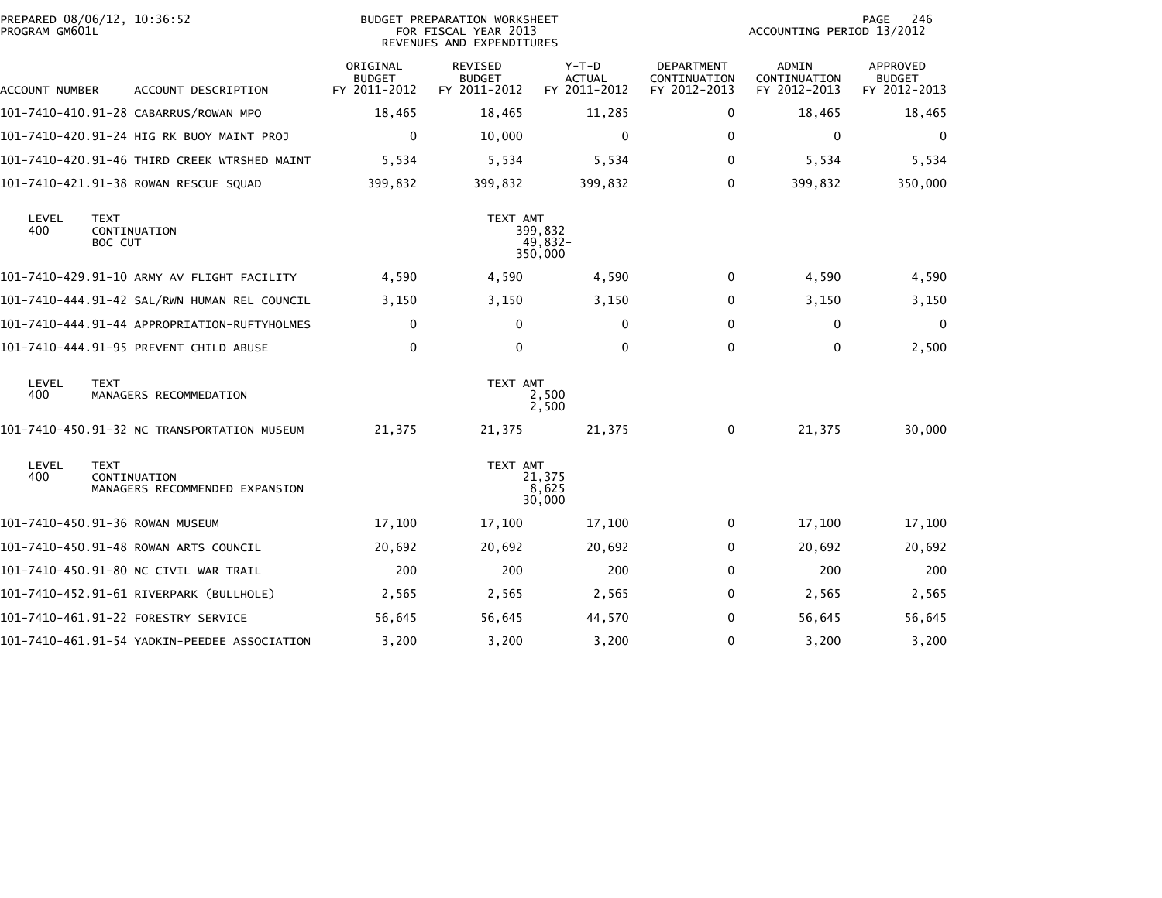| PROGRAM GM601L | PREPARED 08/06/12, 10:36:52                                   | <b>BUDGET PREPARATION WORKSHEET</b><br>FOR FISCAL YEAR 2013<br>REVENUES AND EXPENDITURES |                                          |                                        |                                            | PAGE<br>246<br>ACCOUNTING PERIOD 13/2012 |                                           |
|----------------|---------------------------------------------------------------|------------------------------------------------------------------------------------------|------------------------------------------|----------------------------------------|--------------------------------------------|------------------------------------------|-------------------------------------------|
| ACCOUNT NUMBER | ACCOUNT DESCRIPTION                                           | ORIGINAL<br><b>BUDGET</b><br>FY 2011-2012                                                | REVISED<br><b>BUDGET</b><br>FY 2011-2012 | Y-T-D<br><b>ACTUAL</b><br>FY 2011-2012 | DEPARTMENT<br>CONTINUATION<br>FY 2012-2013 | ADMIN<br>CONTINUATION<br>FY 2012-2013    | APPROVED<br><b>BUDGET</b><br>FY 2012-2013 |
|                | 101-7410-410.91-28 CABARRUS/ROWAN MPO                         | 18,465                                                                                   | 18,465                                   | 11,285                                 | 0                                          | 18,465                                   | 18,465                                    |
|                | 101-7410-420.91-24 HIG RK BUOY MAINT PROJ                     | 0                                                                                        | 10,000                                   | $\mathbf{0}$                           | $\Omega$                                   | 0                                        | 0                                         |
|                | 101-7410-420.91-46 THIRD CREEK WTRSHED MAINT                  | 5,534                                                                                    | 5,534                                    | 5,534                                  | $\Omega$                                   | 5,534                                    | 5,534                                     |
|                | 101-7410-421.91-38 ROWAN RESCUE SQUAD                         | 399,832                                                                                  | 399,832                                  | 399,832                                | 0                                          | 399,832                                  | 350,000                                   |
| LEVEL<br>400   | TEXT<br>CONTINUATION<br>BOC CUT                               |                                                                                          | TEXT AMT                                 | 399,832<br>49,832-<br>350,000          |                                            |                                          |                                           |
|                | 101-7410-429.91-10 ARMY AV FLIGHT FACILITY                    | 4,590                                                                                    | 4,590                                    | 4,590                                  | 0                                          | 4,590                                    | 4,590                                     |
|                | 101-7410-444.91-42 SAL/RWN HUMAN REL COUNCIL                  | 3,150                                                                                    | 3,150                                    | 3,150                                  | 0                                          | 3,150                                    | 3,150                                     |
|                | 101-7410-444.91-44 APPROPRIATION-RUFTYHOLMES                  | $\mathbf{0}$                                                                             | $\mathbf{0}$                             | $\Omega$                               | 0                                          | 0                                        | 0                                         |
|                | 101-7410-444.91-95 PREVENT CHILD ABUSE                        | $\mathbf 0$                                                                              | $\mathbf 0$                              | $\Omega$                               | $\Omega$                                   | $\mathbf 0$                              | 2,500                                     |
| LEVEL<br>400   | <b>TEXT</b><br>MANAGERS RECOMMEDATION                         |                                                                                          | TEXT AMT                                 | 2,500<br>2,500                         |                                            |                                          |                                           |
|                | 101-7410-450.91-32 NC TRANSPORTATION MUSEUM                   | 21,375                                                                                   | 21,375                                   | 21,375                                 | 0                                          | 21,375                                   | 30,000                                    |
| LEVEL<br>400   | <b>TEXT</b><br>CONTINUATION<br>MANAGERS RECOMMENDED EXPANSION |                                                                                          | TEXT AMT                                 | 21,375<br>8,625<br>30,000              |                                            |                                          |                                           |
|                | 101-7410-450.91-36 ROWAN MUSEUM                               | 17,100                                                                                   | 17,100                                   | 17,100                                 | 0                                          | 17,100                                   | 17,100                                    |
|                | 101-7410-450.91-48 ROWAN ARTS COUNCIL                         | 20,692                                                                                   | 20,692                                   | 20,692                                 | 0                                          | 20,692                                   | 20,692                                    |
|                | 101-7410-450.91-80 NC CIVIL WAR TRAIL                         | 200                                                                                      | 200                                      | 200                                    | $\Omega$                                   | 200                                      | 200                                       |
|                | 101-7410-452.91-61 RIVERPARK (BULLHOLE)                       | 2,565                                                                                    | 2,565                                    | 2,565                                  | 0                                          | 2,565                                    | 2,565                                     |
|                | 101–7410–461.91–22 FORESTRY SERVICE                           | 56,645                                                                                   | 56,645                                   | 44,570                                 | 0                                          | 56,645                                   | 56,645                                    |
|                | 101-7410-461.91-54 YADKIN-PEEDEE ASSOCIATION                  | 3,200                                                                                    | 3,200                                    | 3,200                                  | $\Omega$                                   | 3,200                                    | 3,200                                     |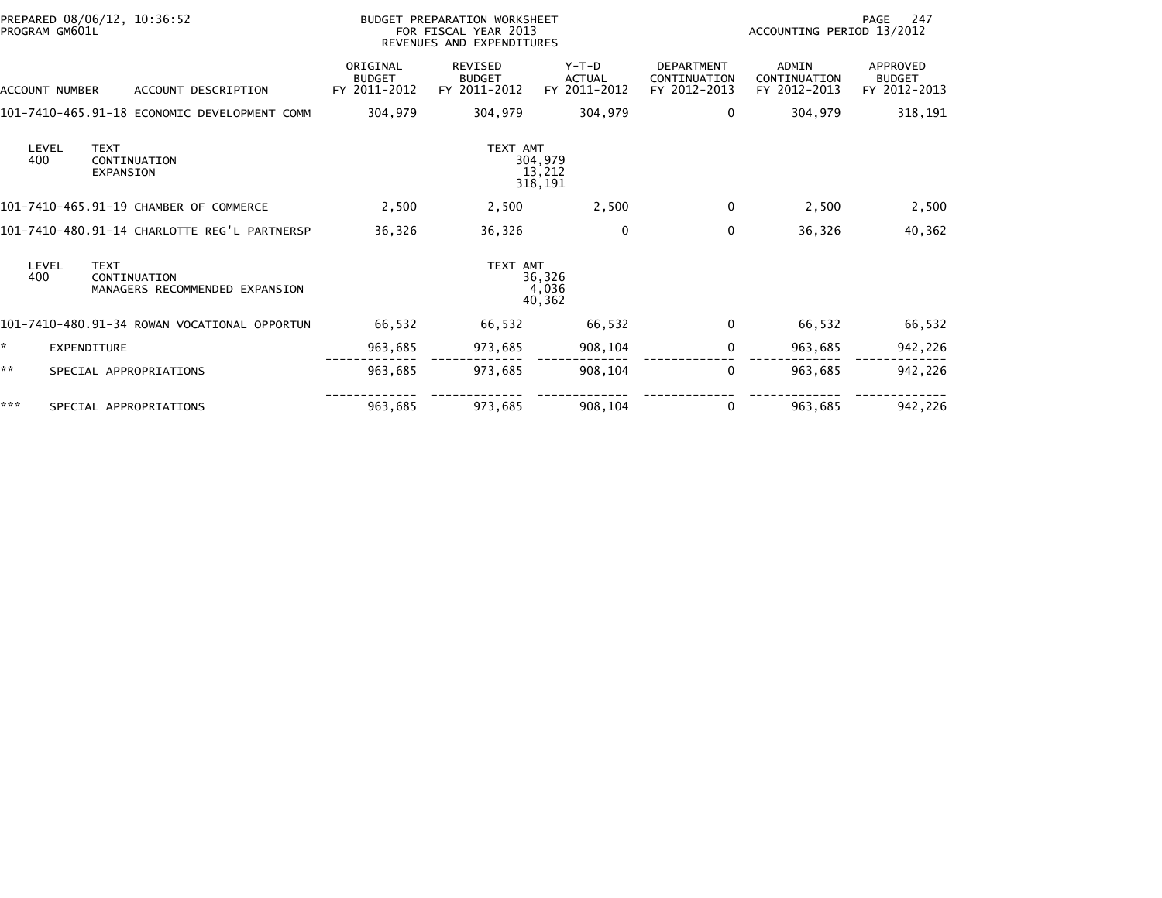| PREPARED 08/06/12, 10:36:52<br>PROGRAM GM601L |                |                                                               | BUDGET PREPARATION WORKSHEET<br>FOR FISCAL YEAR 2013<br>REVENUES AND EXPENDITURES |                                                 |                                          |                                                   | 247<br>PAGE<br>ACCOUNTING PERIOD 13/2012 |                                                  |  |
|-----------------------------------------------|----------------|---------------------------------------------------------------|-----------------------------------------------------------------------------------|-------------------------------------------------|------------------------------------------|---------------------------------------------------|------------------------------------------|--------------------------------------------------|--|
|                                               | ACCOUNT NUMBER | ACCOUNT DESCRIPTION                                           | ORIGINAL<br><b>BUDGET</b><br>FY 2011-2012                                         | <b>REVISED</b><br><b>BUDGET</b><br>FY 2011-2012 | $Y-T-D$<br><b>ACTUAL</b><br>FY 2011-2012 | <b>DEPARTMENT</b><br>CONTINUATION<br>FY 2012-2013 | ADMIN<br>CONTINUATION<br>FY 2012-2013    | <b>APPROVED</b><br><b>BUDGET</b><br>FY 2012-2013 |  |
|                                               |                | 101-7410-465.91-18 ECONOMIC DEVELOPMENT COMM                  | 304,979                                                                           | 304,979                                         | 304,979                                  | 0                                                 | 304,979                                  | 318,191                                          |  |
|                                               | LEVEL<br>400   | <b>TEXT</b><br>CONTINUATION<br><b>EXPANSION</b>               |                                                                                   | TEXT AMT                                        | 304,979<br>13,212<br>318,191             |                                                   |                                          |                                                  |  |
|                                               |                | 101-7410-465.91-19 CHAMBER OF COMMERCE                        | 2,500                                                                             | 2,500                                           | 2,500                                    | 0                                                 | 2,500                                    | 2,500                                            |  |
|                                               |                | 101-7410-480.91-14 CHARLOTTE REG'L PARTNERSP                  | 36,326                                                                            | 36,326                                          | $\mathbf{0}$                             | $\mathbf{0}$                                      | 36,326                                   | 40,362                                           |  |
|                                               | LEVEL<br>400   | <b>TEXT</b><br>CONTINUATION<br>MANAGERS RECOMMENDED EXPANSION |                                                                                   | TEXT AMT                                        | 36,326<br>4,036<br>40,362                |                                                   |                                          |                                                  |  |
|                                               |                | 101-7410-480.91-34 ROWAN VOCATIONAL OPPORTUN                  | 66,532                                                                            | 66,532                                          | 66.532                                   | 0                                                 | 66,532                                   | 66,532                                           |  |
| ×.                                            |                | <b>EXPENDITURE</b>                                            | 963,685                                                                           | 973,685                                         | 908,104                                  | 0                                                 | 963,685                                  | 942,226                                          |  |
| **                                            |                | SPECIAL APPROPRIATIONS                                        | 963,685                                                                           | 973,685                                         | 908,104                                  | 0                                                 | 963,685                                  | 942,226                                          |  |
| ***                                           |                | SPECIAL APPROPRIATIONS                                        | 963,685                                                                           | 973,685                                         | 908,104                                  | 0                                                 | 963.685                                  | 942,226                                          |  |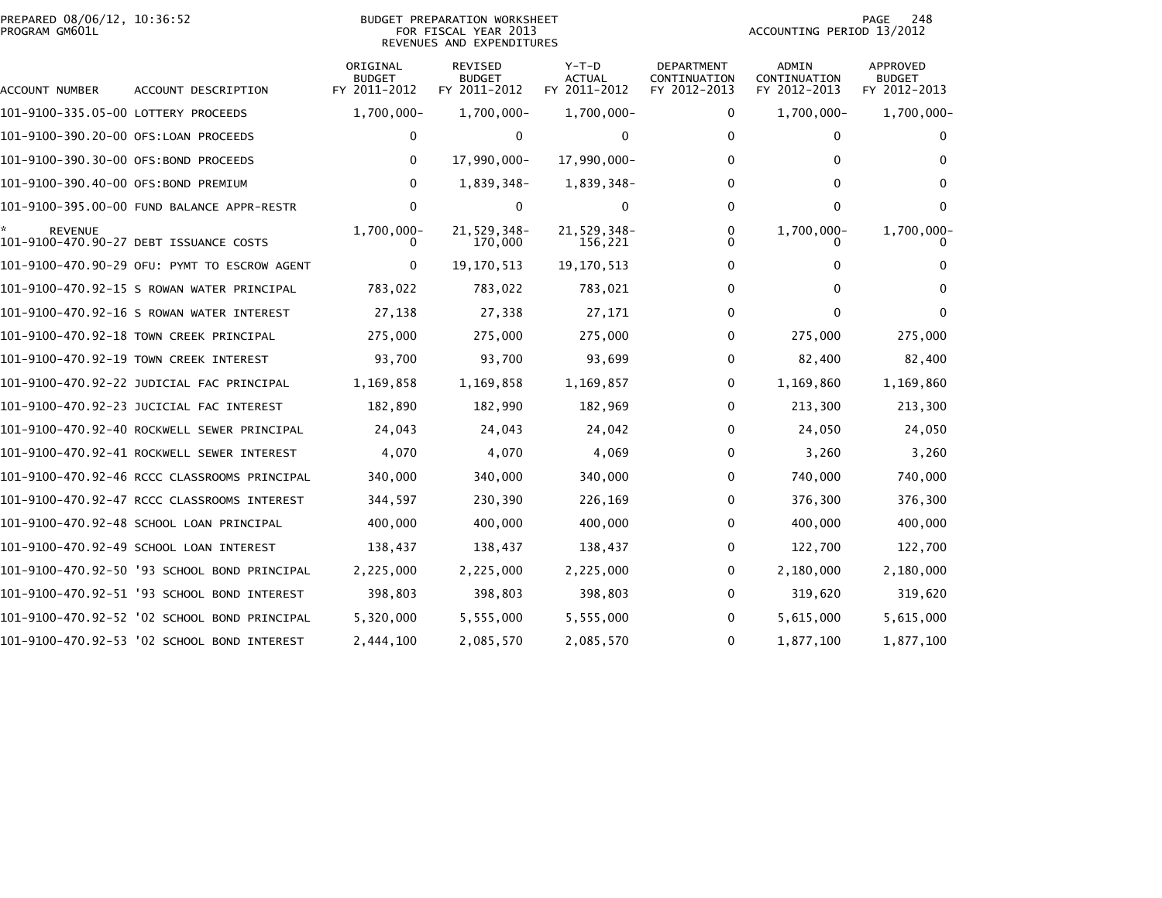# PREPARED 08/06/12, 10:36:52<br>PROGRAM GM601L

## BUDGET PREPARATION WORKSHEET<br>FOR FISCAL YEAR 2013 REVENUES AND EXPENDITURES

PAGE 248<br>ACCOUNTING PERIOD 13/2012

| <b>ACCOUNT NUMBER</b>                | ACCOUNT DESCRIPTION                          | ORIGINAL<br><b>BUDGET</b><br>FY 2011-2012 | REVISED<br><b>BUDGET</b><br>FY 2011-2012 | $Y-T-D$<br><b>ACTUAL</b><br>FY 2011-2012 | DEPARTMENT<br>CONTINUATION<br>FY 2012-2013 | ADMIN<br>CONTINUATION<br>FY 2012-2013 | APPROVED<br><b>BUDGET</b><br>FY 2012-2013 |
|--------------------------------------|----------------------------------------------|-------------------------------------------|------------------------------------------|------------------------------------------|--------------------------------------------|---------------------------------------|-------------------------------------------|
| 101-9100-335.05-00 LOTTERY PROCEEDS  |                                              | 1,700,000-                                | 1,700,000-                               | 1,700,000-                               | 0                                          | 1,700,000-                            | 1,700,000-                                |
| 101-9100-390.20-00 OFS:LOAN PROCEEDS |                                              | $\Omega$                                  | 0                                        | 0                                        | $\mathbf{0}$                               | $\Omega$                              |                                           |
| 101-9100-390.30-00 OFS:BOND PROCEEDS |                                              | $\Omega$                                  | 17,990,000-                              | 17,990,000-                              | $\mathbf{0}$                               | $\Omega$                              | 0                                         |
| 101-9100-390.40-00 OFS:BOND PREMIUM  |                                              | $\Omega$                                  | 1,839,348-                               | 1,839,348-                               | $\Omega$                                   | 0                                     |                                           |
|                                      | 101-9100-395.00-00 FUND BALANCE APPR-RESTR   | 0                                         | 0                                        | $\bf{0}$                                 | 0                                          | $\mathbf{0}$                          | 0                                         |
| <b>REVENUE</b>                       | 101-9100-470.90-27 DEBT ISSUANCE COSTS       | 1,700,000-                                | 21,529,348-<br>170,000                   | 21,529,348-<br>156,221                   | 0<br>U                                     | 1,700,000-                            | 1,700,000-                                |
|                                      | 101-9100-470.90-29 OFU: PYMT TO ESCROW AGENT | 0                                         | 19, 170, 513                             | 19, 170, 513                             | 0                                          | 0                                     |                                           |
|                                      | 101-9100-470.92-15 S ROWAN WATER PRINCIPAL   | 783,022                                   | 783,022                                  | 783,021                                  | 0                                          | 0                                     | 0                                         |
|                                      | 101-9100-470.92-16 S ROWAN WATER INTEREST    | 27,138                                    | 27,338                                   | 27,171                                   | 0                                          | 0                                     | <sup>0</sup>                              |
|                                      | 101-9100-470.92-18 TOWN CREEK PRINCIPAL      | 275,000                                   | 275,000                                  | 275,000                                  | 0                                          | 275,000                               | 275,000                                   |
|                                      | 101-9100-470.92-19 TOWN CREEK INTEREST       | 93,700                                    | 93,700                                   | 93,699                                   | 0                                          | 82,400                                | 82,400                                    |
|                                      | 101-9100-470.92-22 JUDICIAL FAC PRINCIPAL    | 1,169,858                                 | 1,169,858                                | 1,169,857                                | 0                                          | 1,169,860                             | 1,169,860                                 |
|                                      | 101-9100-470.92-23 JUCICIAL FAC INTEREST     | 182,890                                   | 182,990                                  | 182,969                                  | 0                                          | 213,300                               | 213,300                                   |
|                                      | 101-9100-470.92-40 ROCKWELL SEWER PRINCIPAL  | 24,043                                    | 24,043                                   | 24,042                                   | 0                                          | 24,050                                | 24,050                                    |
|                                      | 101-9100-470.92-41 ROCKWELL SEWER INTEREST   | 4,070                                     | 4,070                                    | 4,069                                    | 0                                          | 3,260                                 | 3,260                                     |
|                                      | 101-9100-470.92-46 RCCC CLASSROOMS PRINCIPAL | 340,000                                   | 340,000                                  | 340,000                                  | 0                                          | 740,000                               | 740,000                                   |
|                                      | 101-9100-470.92-47 RCCC CLASSROOMS INTEREST  | 344,597                                   | 230,390                                  | 226,169                                  | 0                                          | 376,300                               | 376,300                                   |
|                                      | 101-9100-470.92-48 SCHOOL LOAN PRINCIPAL     | 400,000                                   | 400,000                                  | 400,000                                  | 0                                          | 400,000                               | 400,000                                   |
|                                      | 101-9100-470.92-49 SCHOOL LOAN INTEREST      | 138,437                                   | 138,437                                  | 138,437                                  | 0                                          | 122,700                               | 122,700                                   |
|                                      | 101-9100-470.92-50 '93 SCHOOL BOND PRINCIPAL | 2,225,000                                 | 2,225,000                                | 2,225,000                                | 0                                          | 2,180,000                             | 2,180,000                                 |
|                                      | 101-9100-470.92-51 '93 SCHOOL BOND INTEREST  | 398,803                                   | 398,803                                  | 398,803                                  | 0                                          | 319,620                               | 319,620                                   |
|                                      | 101-9100-470.92-52 '02 SCHOOL BOND PRINCIPAL | 5,320,000                                 | 5,555,000                                | 5,555,000                                | 0                                          | 5,615,000                             | 5,615,000                                 |
|                                      | 101-9100-470.92-53 '02 SCHOOL BOND INTEREST  | 2,444,100                                 | 2,085,570                                | 2,085,570                                | 0                                          | 1,877,100                             | 1,877,100                                 |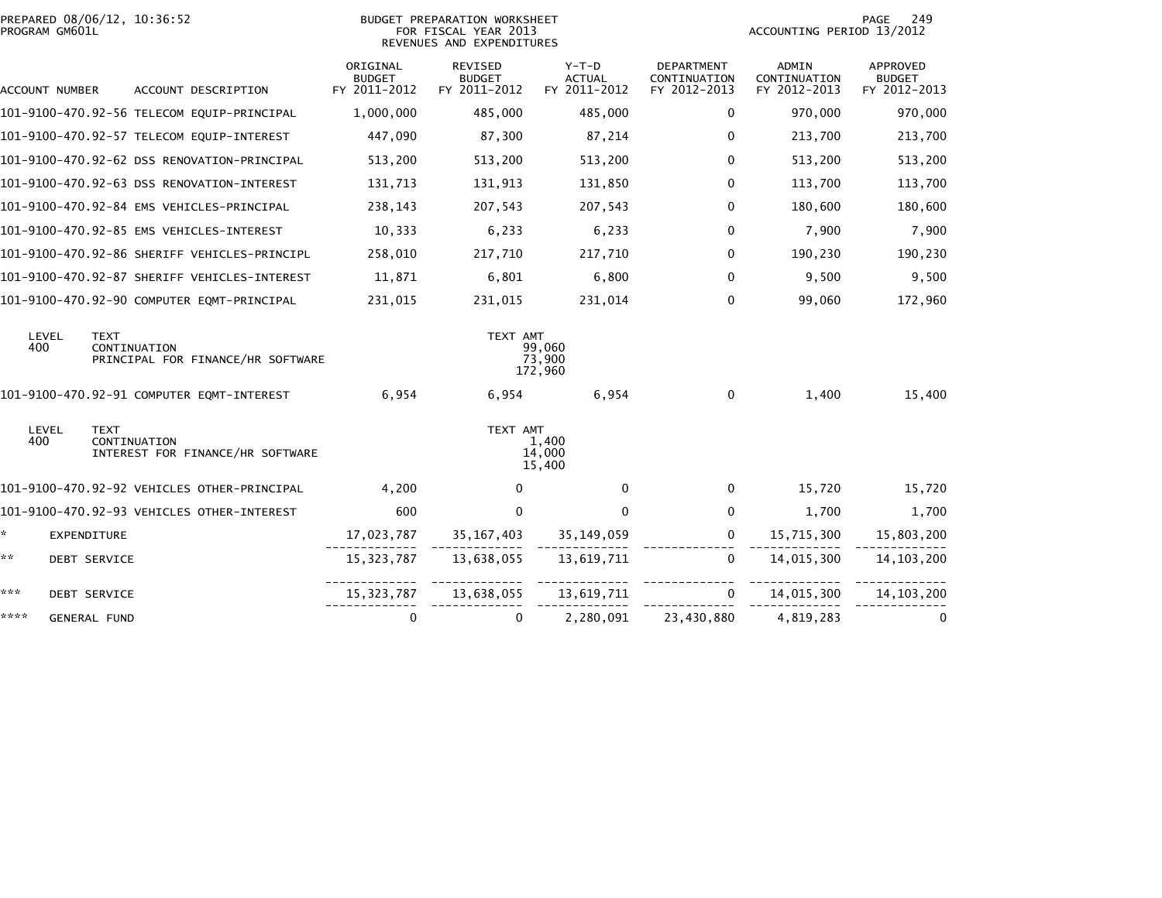|                | PREPARED 08/06/12, 10:36:52<br>PROGRAM GM601L |                                                   |                                           | BUDGET PREPARATION WORKSHEET<br>FOR FISCAL YEAR 2013<br>REVENUES AND EXPENDITURES |                                          |                                                   | 249<br>PAGE<br>ACCOUNTING PERIOD 13/2012     |                                           |  |
|----------------|-----------------------------------------------|---------------------------------------------------|-------------------------------------------|-----------------------------------------------------------------------------------|------------------------------------------|---------------------------------------------------|----------------------------------------------|-------------------------------------------|--|
| ACCOUNT NUMBER |                                               | ACCOUNT DESCRIPTION                               | ORIGINAL<br><b>BUDGET</b><br>FY 2011-2012 | REVISED<br><b>BUDGET</b><br>FY 2011-2012                                          | $Y-T-D$<br><b>ACTUAL</b><br>FY 2011-2012 | <b>DEPARTMENT</b><br>CONTINUATION<br>FY 2012-2013 | <b>ADMIN</b><br>CONTINUATION<br>FY 2012-2013 | APPROVED<br><b>BUDGET</b><br>FY 2012-2013 |  |
|                |                                               | 101-9100-470.92-56 TELECOM EQUIP-PRINCIPAL        | 1,000,000                                 | 485,000                                                                           | 485,000                                  | 0                                                 | 970,000                                      | 970,000                                   |  |
|                |                                               | 101-9100-470.92-57 TELECOM EQUIP-INTEREST         | 447,090                                   | 87,300                                                                            | 87,214                                   | $\mathbf{0}$                                      | 213,700                                      | 213,700                                   |  |
|                |                                               | 101-9100-470.92-62 DSS RENOVATION-PRINCIPAL       | 513,200                                   | 513,200                                                                           | 513,200                                  | $\mathbf{0}$                                      | 513,200                                      | 513,200                                   |  |
|                |                                               | 101-9100-470.92-63 DSS RENOVATION-INTEREST        | 131,713                                   | 131,913                                                                           | 131,850                                  | $\mathbf 0$                                       | 113,700                                      | 113,700                                   |  |
|                |                                               | 101-9100-470.92-84 EMS VEHICLES-PRINCIPAL         | 238,143                                   | 207,543                                                                           | 207,543                                  | $\mathbf 0$                                       | 180,600                                      | 180,600                                   |  |
|                |                                               | 101-9100-470.92-85 EMS VEHICLES-INTEREST          | 10,333                                    | 6,233                                                                             | 6,233                                    | $\mathbf 0$                                       | 7,900                                        | 7,900                                     |  |
|                |                                               | 101-9100-470.92-86 SHERIFF VEHICLES-PRINCIPL      | 258,010                                   | 217,710                                                                           | 217,710                                  | $\Omega$                                          | 190,230                                      | 190,230                                   |  |
|                |                                               | 101-9100-470.92-87 SHERIFF VEHICLES-INTEREST      | 11,871                                    | 6,801                                                                             | 6,800                                    | $\Omega$                                          | 9,500                                        | 9,500                                     |  |
|                |                                               | 101-9100-470.92-90 COMPUTER EQMT-PRINCIPAL        | 231,015                                   | 231,015                                                                           | 231,014                                  | $\Omega$                                          | 99,060                                       | 172,960                                   |  |
| LEVEL<br>400   | <b>TEXT</b>                                   | CONTINUATION<br>PRINCIPAL FOR FINANCE/HR SOFTWARE |                                           | TEXT AMT                                                                          | 99,060<br>73,900<br>172,960              |                                                   |                                              |                                           |  |
|                |                                               | 101-9100-470.92-91 COMPUTER EQMT-INTEREST         | 6,954                                     | 6,954                                                                             | 6,954                                    | $\mathbf 0$                                       | 1,400                                        | 15,400                                    |  |
| LEVEL<br>400   | <b>TEXT</b>                                   | CONTINUATION<br>INTEREST FOR FINANCE/HR SOFTWARE  |                                           | TEXT AMT                                                                          | 1,400<br>14,000<br>15,400                |                                                   |                                              |                                           |  |
|                |                                               | 101-9100-470.92-92 VEHICLES OTHER-PRINCIPAL       | 4,200                                     | $\Omega$                                                                          | $\Omega$                                 | 0                                                 | 15,720                                       | 15,720                                    |  |
|                |                                               | 101-9100-470.92-93 VEHICLES OTHER-INTEREST        | 600                                       | $\Omega$                                                                          | 0                                        | 0                                                 | 1,700                                        | 1,700                                     |  |
| *.             | EXPENDITURE                                   |                                                   | 17,023,787                                | 35,167,403                                                                        | 35,149,059                               | $\mathbf{0}$                                      | 15,715,300                                   | 15,803,200                                |  |
| **             | <b>DEBT SERVICE</b>                           |                                                   | 15,323,787                                | 13,638,055                                                                        | 13,619,711                               | $\mathbf{0}$                                      | 14,015,300                                   | 14, 103, 200                              |  |
| ***            | <b>DEBT SERVICE</b>                           |                                                   |                                           | 15, 323, 787 13, 638, 055 13, 619, 711                                            |                                          | $\mathbf{0}$                                      | 14,015,300                                   | 14, 103, 200                              |  |
| ****           | <b>GENERAL FUND</b>                           |                                                   | $\mathbf 0$                               | $\Omega$                                                                          | 2,280,091                                | 23,430,880                                        | 4,819,283                                    |                                           |  |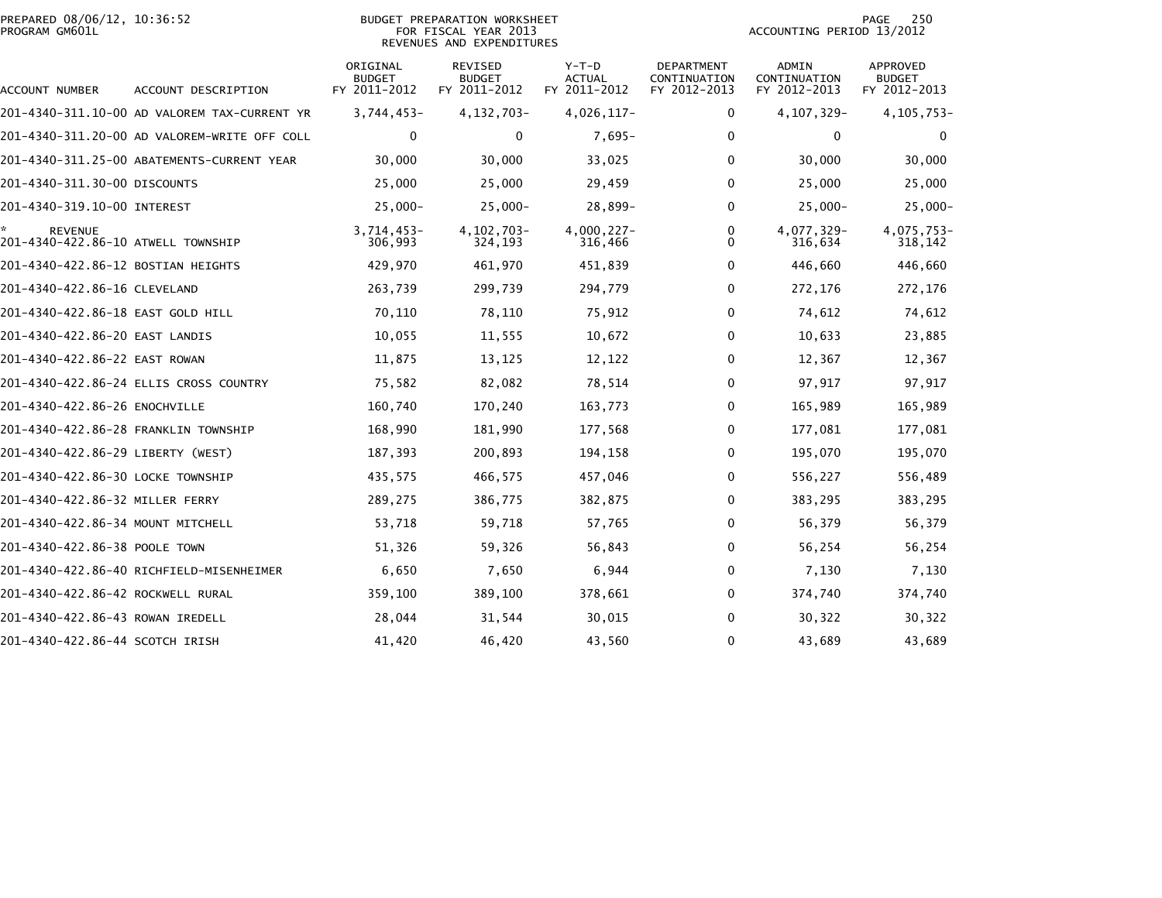| PREPARED 08/06/12, 10:36:52 | <b>PREPARATION WORKSHEET</b><br><b>BUDGET</b> | 25 <sub>0</sub><br>PAGE   |
|-----------------------------|-----------------------------------------------|---------------------------|
| PROGRAM GM601L              | FOR FISCAL YEAR 2013                          | ACCOUNTING PERIOD 13/2012 |

### BUDGET PREPARATION WORKSHEET<br>FOR FISCAL YEAR 2013 REVENUES AND EXPENDITURES

| ACCOUNT NUMBER                                       | ACCOUNT DESCRIPTION                          | ORIGINAL<br><b>BUDGET</b><br>FY 2011-2012 | <b>REVISED</b><br><b>BUDGET</b><br>FY 2011-2012 | $Y-T-D$<br>ACTUAL<br>FY 2011-2012 | <b>DEPARTMENT</b><br>CONTINUATION<br>FY 2012-2013 | ADMIN<br>CONTINUATION<br>FY 2012-2013 | <b>APPROVED</b><br><b>BUDGET</b><br>FY 2012-2013 |
|------------------------------------------------------|----------------------------------------------|-------------------------------------------|-------------------------------------------------|-----------------------------------|---------------------------------------------------|---------------------------------------|--------------------------------------------------|
|                                                      | 201-4340-311.10-00 AD VALOREM TAX-CURRENT YR | 3,744,453-                                | 4, 132, 703-                                    | 4,026,117-                        | $\mathbf 0$                                       | 4, 107, 329-                          | 4, 105, 753-                                     |
|                                                      | 201-4340-311.20-00 AD VALOREM-WRITE OFF COLL | 0                                         | $\mathbf{0}$                                    | $7,695-$                          | 0                                                 | $\Omega$                              | $\mathbf{0}$                                     |
|                                                      |                                              | 30,000                                    | 30,000                                          | 33,025                            | 0                                                 | 30,000                                | 30,000                                           |
| 201-4340-311.30-00 DISCOUNTS                         |                                              | 25,000                                    | 25,000                                          | 29,459                            | 0                                                 | 25,000                                | 25,000                                           |
| 201-4340-319.10-00 INTEREST                          |                                              | $25,000 -$                                | $25,000 -$                                      | 28,899-                           | 0                                                 | $25,000 -$                            | $25,000 -$                                       |
| <b>REVENUE</b><br>201-4340-422.86-10 ATWELL TOWNSHIP |                                              | $3,714,453-$<br>306,993                   | 4, 102, 703-<br>324,193                         | $4,000,227 -$<br>316,466          | 0<br>0                                            | 4,077,329-<br>316,634                 | 4,075,753-<br>318,142                            |
| 201-4340-422.86-12 BOSTIAN HEIGHTS                   |                                              | 429,970                                   | 461,970                                         | 451,839                           | 0                                                 | 446,660                               | 446,660                                          |
| 201-4340-422.86-16 CLEVELAND                         |                                              | 263,739                                   | 299,739                                         | 294,779                           | $\Omega$                                          | 272,176                               | 272,176                                          |
| 201-4340-422.86-18 EAST GOLD HILL                    |                                              | 70,110                                    | 78,110                                          | 75,912                            | 0                                                 | 74,612                                | 74,612                                           |
| 201-4340-422.86-20 EAST LANDIS                       |                                              | 10,055                                    | 11,555                                          | 10,672                            | 0                                                 | 10,633                                | 23,885                                           |
| 201-4340-422.86-22 EAST ROWAN                        |                                              | 11,875                                    | 13,125                                          | 12,122                            | 0                                                 | 12,367                                | 12,367                                           |
|                                                      | 201-4340-422.86-24 ELLIS CROSS COUNTRY       | 75,582                                    | 82,082                                          | 78,514                            | 0                                                 | 97,917                                | 97,917                                           |
| 201-4340-422.86-26 ENOCHVILLE                        |                                              | 160,740                                   | 170,240                                         | 163,773                           | 0                                                 | 165,989                               | 165,989                                          |
| 201-4340-422.86-28 FRANKLIN TOWNSHIP                 |                                              | 168,990                                   | 181,990                                         | 177,568                           | 0                                                 | 177,081                               | 177,081                                          |
| 201-4340-422.86-29 LIBERTY (WEST)                    |                                              | 187,393                                   | 200,893                                         | 194,158                           | 0                                                 | 195,070                               | 195,070                                          |
| 201-4340-422.86-30 LOCKE TOWNSHIP                    |                                              | 435,575                                   | 466,575                                         | 457,046                           | 0                                                 | 556,227                               | 556,489                                          |
| 201-4340-422.86-32 MILLER FERRY                      |                                              | 289,275                                   | 386,775                                         | 382,875                           | 0                                                 | 383,295                               | 383,295                                          |
| 201-4340-422.86-34 MOUNT MITCHELL                    |                                              | 53,718                                    | 59,718                                          | 57,765                            | 0                                                 | 56,379                                | 56,379                                           |
| 201-4340-422.86-38 POOLE TOWN                        |                                              | 51,326                                    | 59,326                                          | 56,843                            | 0                                                 | 56,254                                | 56,254                                           |
|                                                      | 201-4340-422.86-40 RICHFIELD-MISENHEIMER     | 6,650                                     | 7,650                                           | 6,944                             | 0                                                 | 7,130                                 | 7,130                                            |
| 201-4340-422.86-42 ROCKWELL RURAL                    |                                              | 359,100                                   | 389,100                                         | 378,661                           | 0                                                 | 374,740                               | 374,740                                          |
| 201-4340-422.86-43 ROWAN IREDELL                     |                                              | 28,044                                    | 31,544                                          | 30,015                            | 0                                                 | 30,322                                | 30,322                                           |
| 201-4340-422.86-44 SCOTCH IRISH                      |                                              | 41,420                                    | 46,420                                          | 43,560                            | $\mathbf{0}$                                      | 43,689                                | 43,689                                           |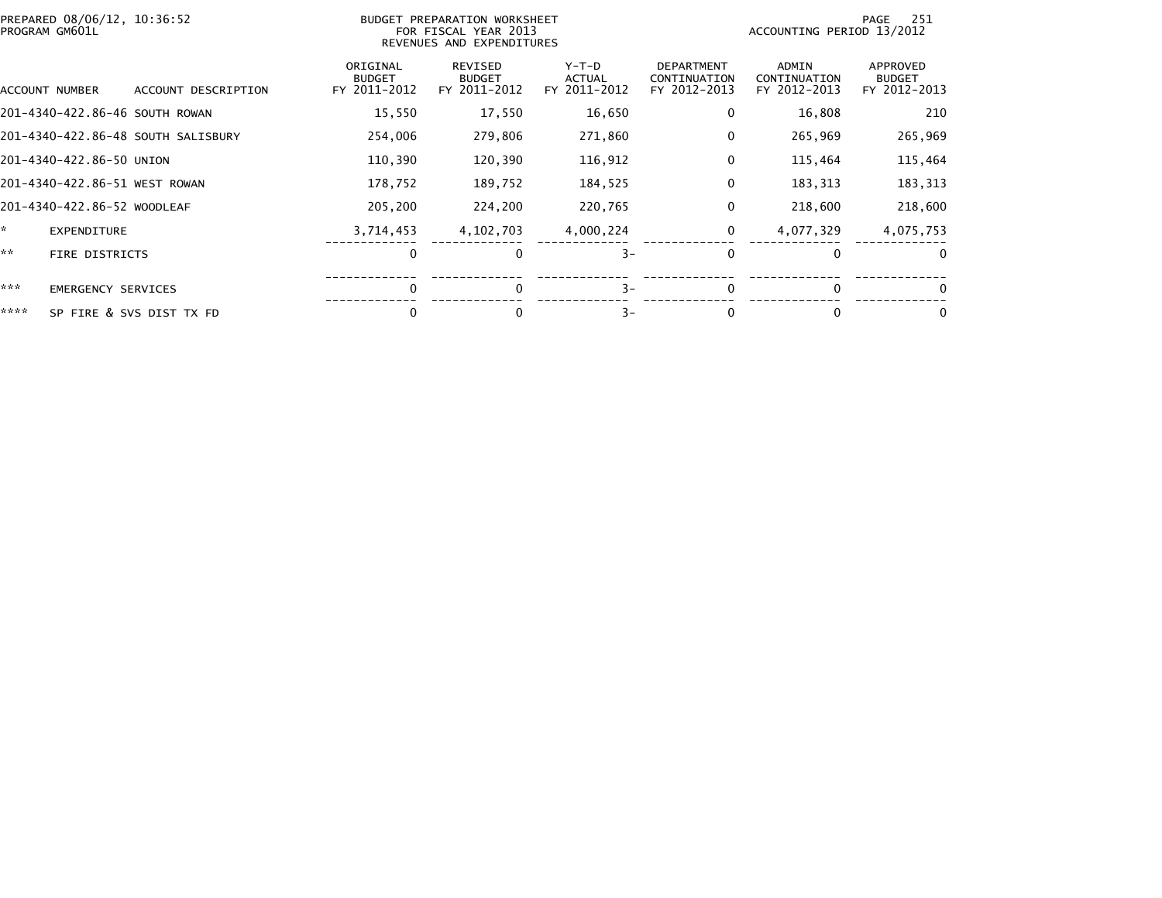| PREPARED 08/06/12, 10:36:52<br>BUDGET PREPARATION WORKSHEET<br>FOR FISCAL YEAR 2013<br>PROGRAM GM601L<br>REVENUES AND EXPENDITURES |                                |                                    |                                           |                                          |                                        | 251<br>PAGE<br>ACCOUNTING PERIOD 13/2012          |                                       |                                           |
|------------------------------------------------------------------------------------------------------------------------------------|--------------------------------|------------------------------------|-------------------------------------------|------------------------------------------|----------------------------------------|---------------------------------------------------|---------------------------------------|-------------------------------------------|
|                                                                                                                                    | ACCOUNT NUMBER                 | ACCOUNT DESCRIPTION                | ORIGINAL<br><b>BUDGET</b><br>FY 2011-2012 | REVISED<br><b>BUDGET</b><br>FY 2011-2012 | Y-T-D<br><b>ACTUAL</b><br>FY 2011-2012 | <b>DEPARTMENT</b><br>CONTINUATION<br>FY 2012-2013 | ADMIN<br>CONTINUATION<br>FY 2012-2013 | APPROVED<br><b>BUDGET</b><br>FY 2012-2013 |
|                                                                                                                                    | 201-4340-422.86-46 SOUTH ROWAN |                                    | 15,550                                    | 17,550                                   | 16,650                                 | 0                                                 | 16,808                                | 210                                       |
|                                                                                                                                    |                                | 201–4340–422.86–48 SOUTH SALISBURY | 254,006                                   | 279,806                                  | 271,860                                | 0                                                 | 265,969                               | 265,969                                   |
|                                                                                                                                    | 201-4340-422.86-50 UNION       |                                    | 110,390                                   | 120,390                                  | 116,912                                | 0                                                 | 115,464                               | 115,464                                   |
|                                                                                                                                    | 201-4340-422.86-51 WEST ROWAN  |                                    | 178,752                                   | 189,752                                  | 184,525                                | 0                                                 | 183,313                               | 183,313                                   |
|                                                                                                                                    | 201-4340-422.86-52 WOODLEAF    |                                    | 205,200                                   | 224,200                                  | 220,765                                | 0                                                 | 218,600                               | 218,600                                   |
| ×.                                                                                                                                 | <b>EXPENDITURE</b>             |                                    | 3,714,453                                 | 4, 102, 703                              | 4,000,224                              | 0                                                 | 4,077,329                             | 4,075,753                                 |
| **                                                                                                                                 | FIRE DISTRICTS                 |                                    | 0                                         | 0                                        | $3-$                                   | 0                                                 | $\bf{0}$                              | $\Omega$                                  |
| ***                                                                                                                                | <b>EMERGENCY SERVICES</b>      |                                    | $\Omega$                                  | $\mathbf{0}$                             | $3-$                                   | $\Omega$                                          | $\Omega$                              | 0                                         |
| ****                                                                                                                               |                                | SP FIRE & SVS DIST TX FD           | 0                                         | 0                                        | $3-$                                   | 0                                                 | $\bf{0}$                              | 0                                         |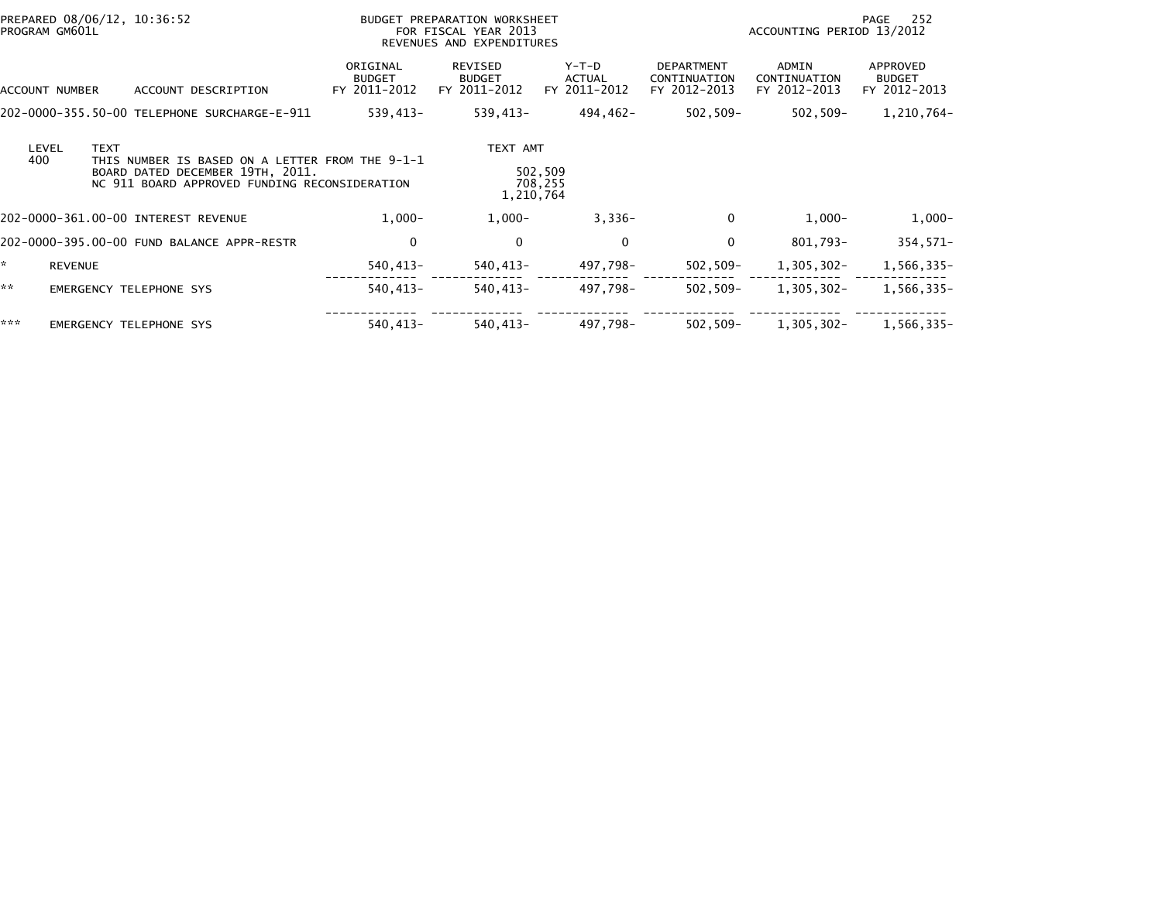| PREPARED 08/06/12, 10:36:52<br>PROGRAM GM601L |                |                                                                                                                                      | BUDGET PREPARATION WORKSHEET<br>FOR FISCAL YEAR 2013<br>REVENUES AND EXPENDITURES |                                          |                                 |                                                   | 252<br>PAGE<br>ACCOUNTING PERIOD 13/2012 |                                           |  |
|-----------------------------------------------|----------------|--------------------------------------------------------------------------------------------------------------------------------------|-----------------------------------------------------------------------------------|------------------------------------------|---------------------------------|---------------------------------------------------|------------------------------------------|-------------------------------------------|--|
| ACCOUNT NUMBER                                |                | ACCOUNT DESCRIPTION                                                                                                                  | ORIGINAL<br><b>BUDGET</b><br>FY 2011-2012                                         | REVISED<br><b>BUDGET</b><br>FY 2011-2012 | Y-T-D<br>ACTUAL<br>FY 2011-2012 | <b>DEPARTMENT</b><br>CONTINUATION<br>FY 2012-2013 | ADMIN<br>CONTINUATION<br>FY 2012-2013    | APPROVED<br><b>BUDGET</b><br>FY 2012-2013 |  |
|                                               |                | 202-0000-355.50-00 TELEPHONE SURCHARGE-E-911                                                                                         | 539,413-                                                                          | 539,413-                                 | 494,462-                        | 502,509–                                          | 502,509-                                 | 1,210,764-                                |  |
| LEVEL<br>400                                  | <b>TEXT</b>    | THIS NUMBER IS BASED ON A LETTER FROM THE 9-1-1<br>BOARD DATED DECEMBER 19TH, 2011.<br>NC 911 BOARD APPROVED FUNDING RECONSIDERATION |                                                                                   | TEXT AMT<br>1,210,764                    | 502,509<br>708,255              |                                                   |                                          |                                           |  |
|                                               |                | 202-0000-361.00-00 INTEREST REVENUE                                                                                                  | $1,000-$                                                                          | $1,000-$                                 | $3,336-$                        | $\mathbf{0}$                                      | $1,000-$                                 | $1,000-$                                  |  |
|                                               |                | 202-0000-395.00-00 FUND BALANCE APPR-RESTR                                                                                           | 0                                                                                 | 0                                        | $\Omega$                        | 0                                                 | 801,793-                                 | $354,571-$                                |  |
|                                               | <b>REVENUE</b> |                                                                                                                                      | 540,413-                                                                          | 540,413-                                 | 497,798–                        | $502, 509 -$                                      | $1,305,302 -$                            | 1,566,335-                                |  |
| **                                            |                | <b>EMERGENCY TELEPHONE SYS</b>                                                                                                       | 540,413-                                                                          | 540,413-                                 | 497,798-                        | $502, 509 -$                                      | 1,305,302-                               | 1,566,335-                                |  |
| ***                                           |                | EMERGENCY TELEPHONE SYS                                                                                                              | 540,413-                                                                          | 540,413-                                 | 497,798-                        | $502, 509 -$                                      | 1,305,302-                               | 1,566,335-                                |  |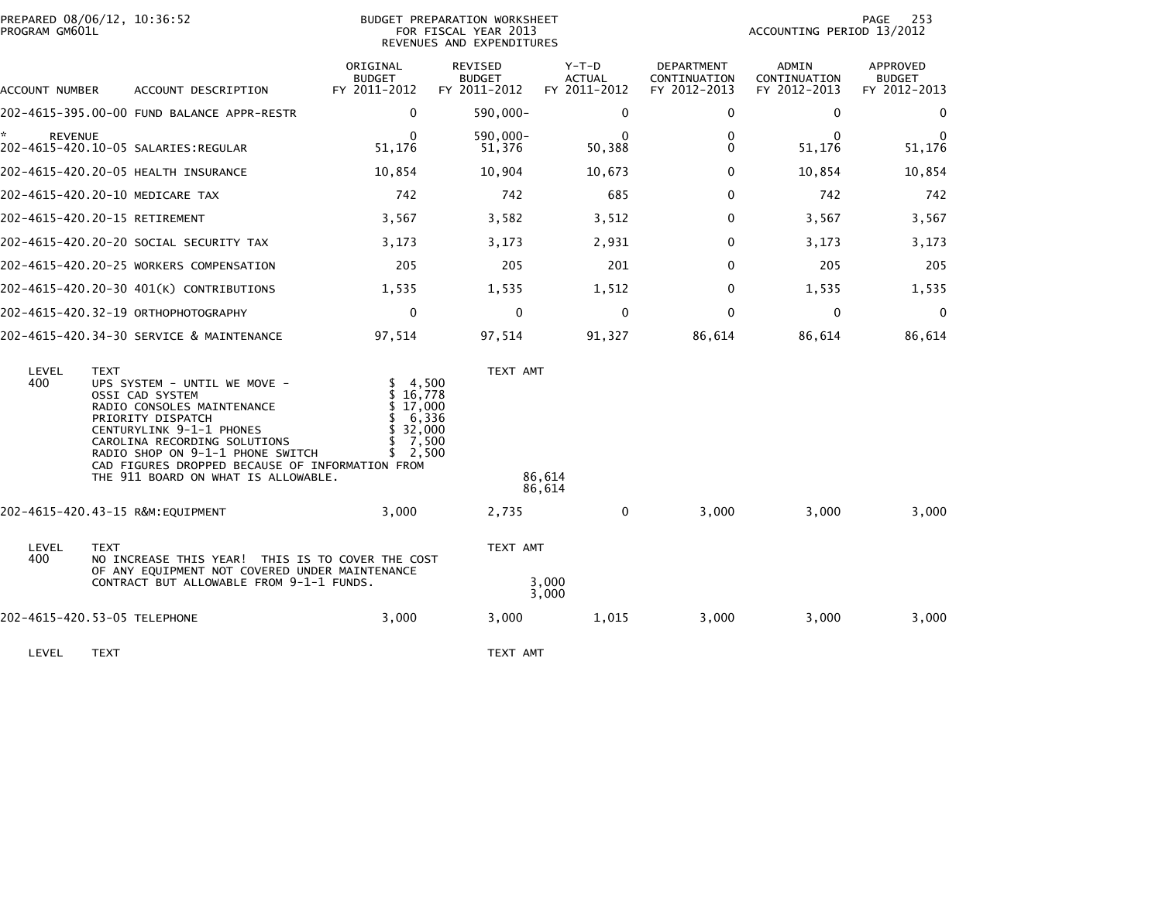| PROGRAM GM601L        | PREPARED 08/06/12, 10:36:52                                                                                                                                                                                                                                                                                 |                                                                               | BUDGET PREPARATION WORKSHEET<br>FOR FISCAL YEAR 2013<br>REVENUES AND EXPENDITURES | 253<br>PAGE<br>ACCOUNTING PERIOD 13/2012 |                                            |                                       |                                           |
|-----------------------|-------------------------------------------------------------------------------------------------------------------------------------------------------------------------------------------------------------------------------------------------------------------------------------------------------------|-------------------------------------------------------------------------------|-----------------------------------------------------------------------------------|------------------------------------------|--------------------------------------------|---------------------------------------|-------------------------------------------|
| ACCOUNT NUMBER        | ACCOUNT DESCRIPTION                                                                                                                                                                                                                                                                                         | ORIGINAL<br><b>BUDGET</b><br>FY 2011-2012                                     | REVISED<br><b>BUDGET</b><br>FY 2011-2012                                          | Y-T-D<br><b>ACTUAL</b><br>FY 2011-2012   | DEPARTMENT<br>CONTINUATION<br>FY 2012-2013 | ADMIN<br>CONTINUATION<br>FY 2012-2013 | APPROVED<br><b>BUDGET</b><br>FY 2012-2013 |
|                       | 202-4615-395.00-00 FUND BALANCE APPR-RESTR                                                                                                                                                                                                                                                                  | 0                                                                             | 590,000-                                                                          | $\mathbf{0}$                             | 0                                          | $\Omega$                              | 0                                         |
| * .<br><b>REVENUE</b> |                                                                                                                                                                                                                                                                                                             | 0<br>51,176                                                                   | 590,000-<br>51,376                                                                | $\bf{0}$<br>50,388                       | 0<br>0                                     | $\Omega$<br>51,176                    | $\bf{0}$<br>51,176                        |
|                       | 202-4615-420.20-05 HEALTH INSURANCE                                                                                                                                                                                                                                                                         | 10,854                                                                        | 10,904                                                                            | 10,673                                   | 0                                          | 10,854                                | 10,854                                    |
|                       | 202-4615-420.20-10 MEDICARE TAX                                                                                                                                                                                                                                                                             | 742                                                                           | 742                                                                               | 685                                      | 0                                          | 742                                   | 742                                       |
|                       | 202-4615-420.20-15 RETIREMENT                                                                                                                                                                                                                                                                               | 3,567                                                                         | 3,582                                                                             | 3,512                                    | 0                                          | 3,567                                 | 3,567                                     |
|                       | 202-4615-420.20-20 SOCIAL SECURITY TAX                                                                                                                                                                                                                                                                      | 3,173                                                                         | 3,173                                                                             | 2,931                                    | 0                                          | 3,173                                 | 3,173                                     |
|                       | 202-4615-420.20-25 WORKERS COMPENSATION                                                                                                                                                                                                                                                                     | 205                                                                           | 205                                                                               | 201                                      | $\mathbf{0}$                               | 205                                   | 205                                       |
|                       | 202-4615-420.20-30 401(K) CONTRIBUTIONS                                                                                                                                                                                                                                                                     | 1,535                                                                         | 1,535                                                                             | 1,512                                    | 0                                          | 1,535                                 | 1,535                                     |
|                       | 202-4615-420.32-19 ORTHOPHOTOGRAPHY                                                                                                                                                                                                                                                                         | $\mathbf 0$                                                                   | $\Omega$                                                                          | $\mathbf{0}$                             | $\Omega$                                   | $\mathbf{0}$                          | $\mathbf 0$                               |
|                       | 202-4615-420.34-30 SERVICE & MAINTENANCE                                                                                                                                                                                                                                                                    | 97,514                                                                        | 97,514                                                                            | 91,327                                   | 86,614                                     | 86,614                                | 86,614                                    |
| LEVEL<br>400          | <b>TEXT</b><br>UPS SYSTEM - UNTIL WE MOVE -<br>OSSI CAD SYSTEM<br>RADIO CONSOLES MAINTENANCE<br>PRIORITY DISPATCH<br>CENTURYLINK 9-1-1 PHONES<br>CAROLINA RECORDING SOLUTIONS<br>RADIO SHOP ON 9-1-1 PHONE SWITCH<br>CAD FIGURES DROPPED BECAUSE OF INFORMATION FROM<br>THE 911 BOARD ON WHAT IS ALLOWABLE. | \$4,500<br>\$16,778<br>\$17,000<br>\$ 6.336<br>\$32,000<br>\$7,500<br>\$2.500 | TEXT AMT                                                                          | 86,614<br>86,614                         |                                            |                                       |                                           |
|                       | 202-4615-420.43-15 R&M:EQUIPMENT                                                                                                                                                                                                                                                                            | 3,000                                                                         | 2,735                                                                             | 0                                        | 3,000                                      | 3,000                                 | 3,000                                     |
| LEVEL<br>400          | <b>TEXT</b><br>NO INCREASE THIS YEAR! THIS IS TO COVER THE COST<br>OF ANY EQUIPMENT NOT COVERED UNDER MAINTENANCE<br>CONTRACT BUT ALLOWABLE FROM 9-1-1 FUNDS.                                                                                                                                               |                                                                               | TEXT AMT                                                                          | 3,000                                    |                                            |                                       |                                           |
|                       |                                                                                                                                                                                                                                                                                                             |                                                                               |                                                                                   | 3,000                                    |                                            |                                       |                                           |
|                       | 202-4615-420.53-05 TELEPHONE                                                                                                                                                                                                                                                                                | 3,000                                                                         | 3,000                                                                             | 1,015                                    | 3,000                                      | 3,000                                 | 3,000                                     |
| LEVEL                 | <b>TEXT</b>                                                                                                                                                                                                                                                                                                 |                                                                               | TEXT AMT                                                                          |                                          |                                            |                                       |                                           |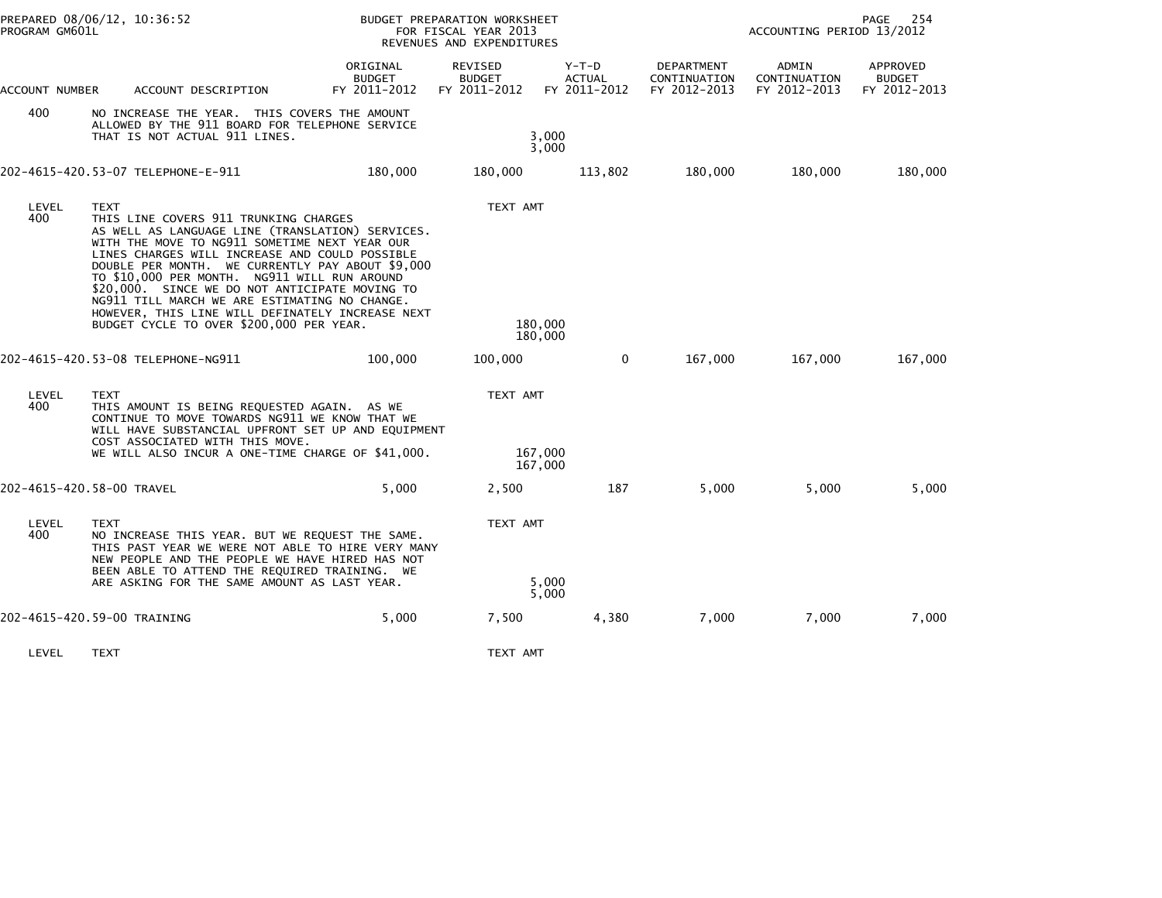| PREPARED 08/06/12, 10:36:52<br>PROGRAM GM601L |                                                                                                                                                                                                                                                                                                                                                                                                                                                                                                                    |                                           | BUDGET PREPARATION WORKSHEET<br>FOR FISCAL YEAR 2013<br>REVENUES AND EXPENDITURES |                                          | PAGE<br>254<br>ACCOUNTING PERIOD 13/2012   |                                       |                                           |  |
|-----------------------------------------------|--------------------------------------------------------------------------------------------------------------------------------------------------------------------------------------------------------------------------------------------------------------------------------------------------------------------------------------------------------------------------------------------------------------------------------------------------------------------------------------------------------------------|-------------------------------------------|-----------------------------------------------------------------------------------|------------------------------------------|--------------------------------------------|---------------------------------------|-------------------------------------------|--|
| ACCOUNT NUMBER                                | ACCOUNT DESCRIPTION                                                                                                                                                                                                                                                                                                                                                                                                                                                                                                | ORIGINAL<br><b>BUDGET</b><br>FY 2011-2012 | REVISED<br><b>BUDGET</b><br>FY 2011-2012                                          | $Y-T-D$<br><b>ACTUAL</b><br>FY 2011-2012 | DEPARTMENT<br>CONTINUATION<br>FY 2012-2013 | ADMIN<br>CONTINUATION<br>FY 2012-2013 | APPROVED<br><b>BUDGET</b><br>FY 2012-2013 |  |
| 400                                           | NO INCREASE THE YEAR. THIS COVERS THE AMOUNT<br>ALLOWED BY THE 911 BOARD FOR TELEPHONE SERVICE<br>THAT IS NOT ACTUAL 911 LINES.                                                                                                                                                                                                                                                                                                                                                                                    |                                           |                                                                                   | 3,000<br>3,000                           |                                            |                                       |                                           |  |
|                                               | 202-4615-420.53-07 TELEPHONE-E-911                                                                                                                                                                                                                                                                                                                                                                                                                                                                                 | 180,000                                   | 180,000                                                                           | 113,802                                  | 180,000                                    | 180,000                               | 180,000                                   |  |
| LEVEL<br>400                                  | <b>TEXT</b><br>THIS LINE COVERS 911 TRUNKING CHARGES<br>AS WELL AS LANGUAGE LINE (TRANSLATION) SERVICES.<br>WITH THE MOVE TO NG911 SOMETIME NEXT YEAR OUR<br>LINES CHARGES WILL INCREASE AND COULD POSSIBLE<br>DOUBLE PER MONTH. WE CURRENTLY PAY ABOUT \$9,000<br>TO \$10,000 PER MONTH. NG911 WILL RUN AROUND<br>\$20,000. SINCE WE DO NOT ANTICIPATE MOVING TO<br>NG911 TILL MARCH WE ARE ESTIMATING NO CHANGE.<br>HOWEVER, THIS LINE WILL DEFINATELY INCREASE NEXT<br>BUDGET CYCLE TO OVER \$200,000 PER YEAR. |                                           | TEXT AMT                                                                          | 180,000<br>180,000                       |                                            |                                       |                                           |  |
|                                               | 202-4615-420.53-08 TELEPHONE-NG911                                                                                                                                                                                                                                                                                                                                                                                                                                                                                 | 100,000                                   | 100,000                                                                           | 0                                        | 167,000                                    | 167,000                               | 167,000                                   |  |
| LEVEL<br>400                                  | <b>TEXT</b><br>THIS AMOUNT IS BEING REQUESTED AGAIN. AS WE<br>CONTINUE TO MOVE TOWARDS NG911 WE KNOW THAT WE<br>WILL HAVE SUBSTANCIAL UPFRONT SET UP AND EQUIPMENT<br>COST ASSOCIATED WITH THIS MOVE.<br>WE WILL ALSO INCUR A ONE-TIME CHARGE OF \$41,000.                                                                                                                                                                                                                                                         |                                           | TEXT AMT                                                                          | 167,000                                  |                                            |                                       |                                           |  |
|                                               |                                                                                                                                                                                                                                                                                                                                                                                                                                                                                                                    |                                           |                                                                                   | 167,000                                  |                                            |                                       |                                           |  |
|                                               | 202-4615-420.58-00 TRAVEL                                                                                                                                                                                                                                                                                                                                                                                                                                                                                          | 5.000                                     | 2,500                                                                             | 187                                      | 5,000                                      | 5,000                                 | 5,000                                     |  |
| LEVEL<br>400                                  | TEXT<br>NO INCREASE THIS YEAR. BUT WE REQUEST THE SAME.<br>THIS PAST YEAR WE WERE NOT ABLE TO HIRE VERY MANY<br>NEW PEOPLE AND THE PEOPLE WE HAVE HIRED HAS NOT<br>BEEN ABLE TO ATTEND THE REQUIRED TRAINING. WE                                                                                                                                                                                                                                                                                                   |                                           | TEXT AMT                                                                          |                                          |                                            |                                       |                                           |  |
|                                               | ARE ASKING FOR THE SAME AMOUNT AS LAST YEAR.                                                                                                                                                                                                                                                                                                                                                                                                                                                                       |                                           |                                                                                   | 5,000<br>5,000                           |                                            |                                       |                                           |  |
|                                               | 202-4615-420.59-00 TRAINING                                                                                                                                                                                                                                                                                                                                                                                                                                                                                        | 5,000                                     | 7,500                                                                             | 4,380                                    | 7,000                                      | 7,000                                 | 7,000                                     |  |
| LEVEL                                         | <b>TEXT</b>                                                                                                                                                                                                                                                                                                                                                                                                                                                                                                        |                                           | TEXT AMT                                                                          |                                          |                                            |                                       |                                           |  |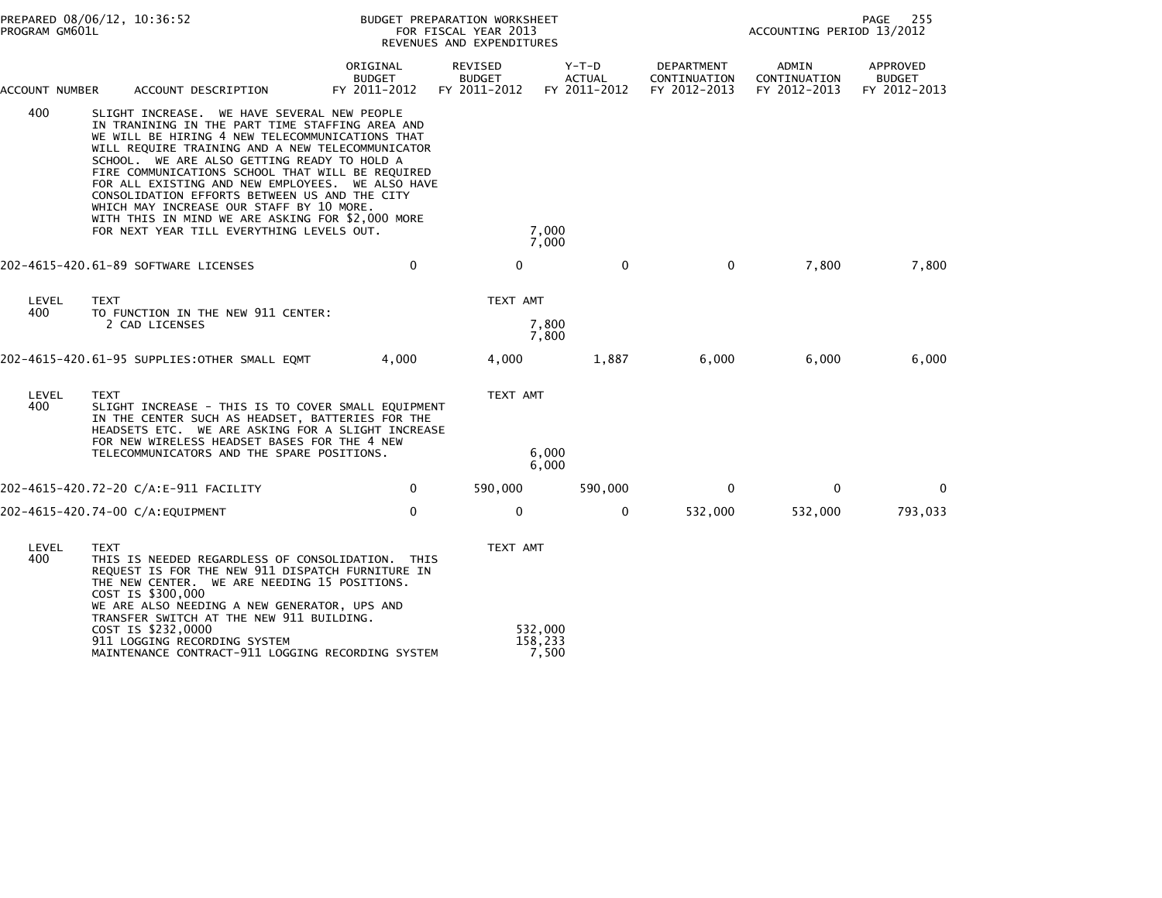| PROGRAM GM601L | PREPARED 08/06/12, 10:36:52                                                                                                                                                                                                                                                                                                                                                                                                                                                                                                                                |                                           | BUDGET PREPARATION WORKSHEET<br>FOR FISCAL YEAR 2013<br>REVENUES AND EXPENDITURES |                                          | 255<br>PAGE<br>ACCOUNTING PERIOD 13/2012          |                                       |                                           |  |
|----------------|------------------------------------------------------------------------------------------------------------------------------------------------------------------------------------------------------------------------------------------------------------------------------------------------------------------------------------------------------------------------------------------------------------------------------------------------------------------------------------------------------------------------------------------------------------|-------------------------------------------|-----------------------------------------------------------------------------------|------------------------------------------|---------------------------------------------------|---------------------------------------|-------------------------------------------|--|
| ACCOUNT NUMBER | ACCOUNT DESCRIPTION                                                                                                                                                                                                                                                                                                                                                                                                                                                                                                                                        | ORIGINAL<br><b>BUDGET</b><br>FY 2011-2012 | <b>REVISED</b><br><b>BUDGET</b><br>FY 2011-2012                                   | $Y-T-D$<br><b>ACTUAL</b><br>FY 2011-2012 | <b>DEPARTMENT</b><br>CONTINUATION<br>FY 2012-2013 | ADMIN<br>CONTINUATION<br>FY 2012-2013 | APPROVED<br><b>BUDGET</b><br>FY 2012-2013 |  |
| 400            | SLIGHT INCREASE. WE HAVE SEVERAL NEW PEOPLE<br>IN TRANINING IN THE PART TIME STAFFING AREA AND<br>WE WILL BE HIRING 4 NEW TELECOMMUNICATIONS THAT<br>WILL REQUIRE TRAINING AND A NEW TELECOMMUNICATOR<br>SCHOOL. WE ARE ALSO GETTING READY TO HOLD A<br>FIRE COMMUNICATIONS SCHOOL THAT WILL BE REQUIRED<br>FOR ALL EXISTING AND NEW EMPLOYEES. WE ALSO HAVE<br>CONSOLIDATION EFFORTS BETWEEN US AND THE CITY<br>WHICH MAY INCREASE OUR STAFF BY 10 MORE.<br>WITH THIS IN MIND WE ARE ASKING FOR \$2,000 MORE<br>FOR NEXT YEAR TILL EVERYTHING LEVELS OUT. |                                           | 7,000<br>7,000                                                                    |                                          |                                                   |                                       |                                           |  |
|                | 202-4615-420.61-89 SOFTWARE LICENSES                                                                                                                                                                                                                                                                                                                                                                                                                                                                                                                       | $\mathbf 0$                               | $\mathbf 0$                                                                       | $\mathbf{0}$                             | 0                                                 | 7,800                                 | 7,800                                     |  |
| LEVEL<br>400   | <b>TEXT</b><br>TO FUNCTION IN THE NEW 911 CENTER:<br>2 CAD LICENSES                                                                                                                                                                                                                                                                                                                                                                                                                                                                                        |                                           | TEXT AMT<br>7,800<br>7,800                                                        |                                          |                                                   |                                       |                                           |  |
|                | 202-4615-420.61-95 SUPPLIES: OTHER SMALL EQMT                                                                                                                                                                                                                                                                                                                                                                                                                                                                                                              | 4,000                                     | 4,000                                                                             | 1,887                                    | 6,000                                             | 6,000                                 | 6,000                                     |  |
| LEVEL<br>400   | <b>TEXT</b><br>SLIGHT INCREASE - THIS IS TO COVER SMALL EQUIPMENT<br>IN THE CENTER SUCH AS HEADSET, BATTERIES FOR THE<br>HEADSETS ETC. WE ARE ASKING FOR A SLIGHT INCREASE<br>FOR NEW WIRELESS HEADSET BASES FOR THE 4 NEW<br>TELECOMMUNICATORS AND THE SPARE POSITIONS.                                                                                                                                                                                                                                                                                   |                                           | TEXT AMT<br>6,000<br>6,000                                                        |                                          |                                                   |                                       |                                           |  |
|                | 202–4615–420.72–20 C/A:E–911 FACILITY                                                                                                                                                                                                                                                                                                                                                                                                                                                                                                                      | 0                                         | 590,000                                                                           | 590,000                                  | 0                                                 | 0                                     | $\mathbf 0$                               |  |
|                | 202-4615-420.74-00 C/A:EQUIPMENT                                                                                                                                                                                                                                                                                                                                                                                                                                                                                                                           | $\mathbf 0$                               | 0                                                                                 | 0                                        | 532,000                                           | 532,000                               | 793,033                                   |  |
| LEVEL<br>400   | <b>TEXT</b><br>THIS IS NEEDED REGARDLESS OF CONSOLIDATION. THIS<br>REQUEST IS FOR THE NEW 911 DISPATCH FURNITURE IN<br>THE NEW CENTER. WE ARE NEEDING 15 POSITIONS.<br>COST IS \$300,000<br>WE ARE ALSO NEEDING A NEW GENERATOR, UPS AND                                                                                                                                                                                                                                                                                                                   |                                           | TEXT AMT                                                                          |                                          |                                                   |                                       |                                           |  |
|                | TRANSFER SWITCH AT THE NEW 911 BUILDING.<br>COST IS \$232,0000<br>911 LOGGING RECORDING SYSTEM<br>MAINTENANCE CONTRACT-911 LOGGING RECORDING SYSTEM                                                                                                                                                                                                                                                                                                                                                                                                        |                                           | 532,000<br>158,233<br>7,500                                                       |                                          |                                                   |                                       |                                           |  |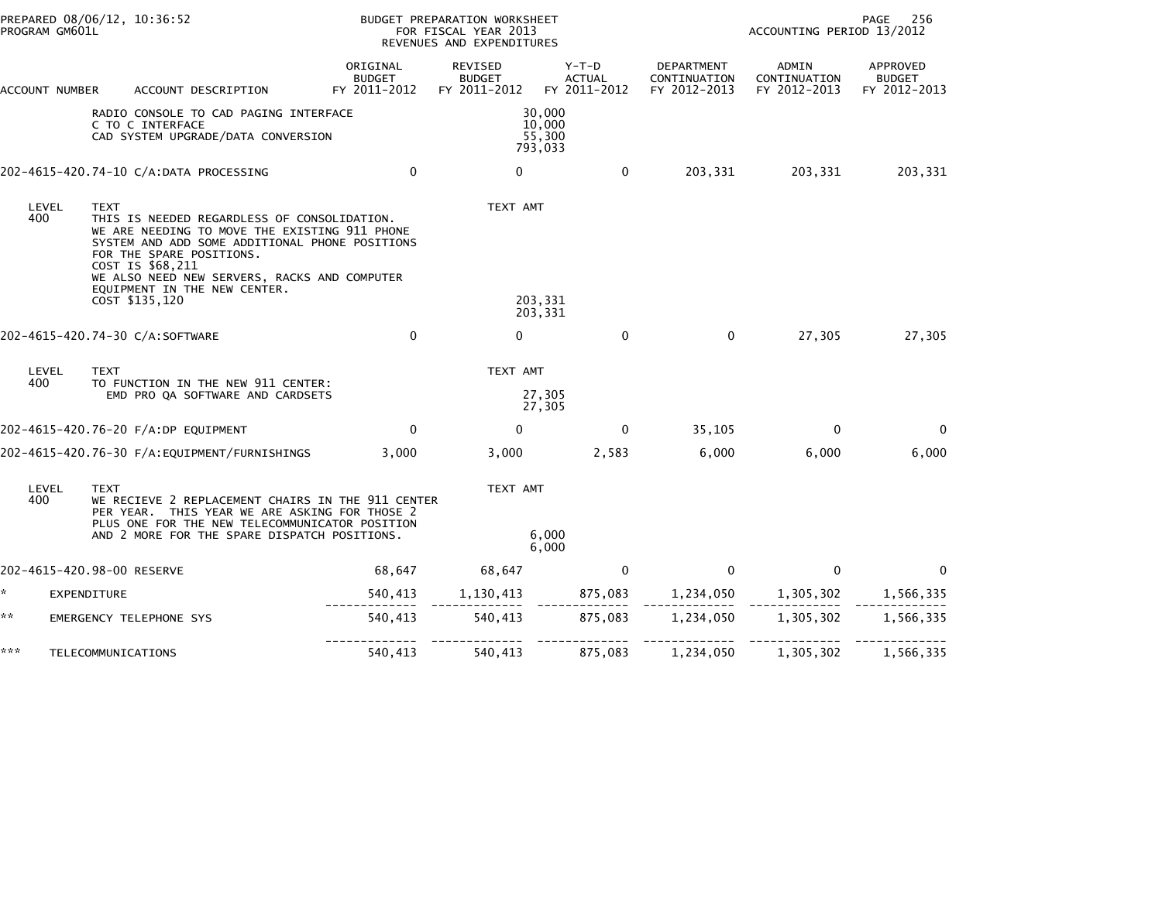| PROGRAM GM601L | PREPARED 08/06/12, 10:36:52                                                                                                                                                                                                                                                                                     |                                           | BUDGET PREPARATION WORKSHEET<br>FOR FISCAL YEAR 2013<br>REVENUES AND EXPENDITURES |                                          | 256<br><b>PAGE</b><br>ACCOUNTING PERIOD 13/2012 |                                                          |                                           |  |
|----------------|-----------------------------------------------------------------------------------------------------------------------------------------------------------------------------------------------------------------------------------------------------------------------------------------------------------------|-------------------------------------------|-----------------------------------------------------------------------------------|------------------------------------------|-------------------------------------------------|----------------------------------------------------------|-------------------------------------------|--|
| ACCOUNT NUMBER | ACCOUNT DESCRIPTION                                                                                                                                                                                                                                                                                             | ORIGINAL<br><b>BUDGET</b><br>FY 2011-2012 | REVISED<br><b>BUDGET</b><br>FY 2011-2012                                          | $Y-T-D$<br><b>ACTUAL</b><br>FY 2011-2012 | DEPARTMENT<br>CONTINUATION<br>FY 2012-2013      | ADMIN<br>CONTINUATION<br>FY 2012-2013                    | APPROVED<br><b>BUDGET</b><br>FY 2012-2013 |  |
|                | RADIO CONSOLE TO CAD PAGING INTERFACE<br>C TO C INTERFACE<br>CAD SYSTEM UPGRADE/DATA CONVERSION                                                                                                                                                                                                                 |                                           |                                                                                   | 30,000<br>10,000<br>55,300<br>793,033    |                                                 |                                                          |                                           |  |
|                | 202-4615-420.74-10 C/A:DATA PROCESSING                                                                                                                                                                                                                                                                          | $\mathbf 0$                               | $\mathbf{0}$                                                                      | $\Omega$                                 | 203,331                                         | 203,331                                                  | 203,331                                   |  |
| LEVEL<br>400   | <b>TEXT</b><br>THIS IS NEEDED REGARDLESS OF CONSOLIDATION.<br>WE ARE NEEDING TO MOVE THE EXISTING 911 PHONE<br>SYSTEM AND ADD SOME ADDITIONAL PHONE POSITIONS<br>FOR THE SPARE POSITIONS.<br>COST IS \$68,211<br>WE ALSO NEED NEW SERVERS, RACKS AND COMPUTER<br>EQUIPMENT IN THE NEW CENTER.<br>COST \$135,120 |                                           | TEXT AMT                                                                          | 203,331<br>203,331                       |                                                 |                                                          |                                           |  |
|                | 202-4615-420.74-30 C/A:SOFTWARE                                                                                                                                                                                                                                                                                 | $\mathbf 0$                               | $\Omega$                                                                          | $\mathbf{0}$                             | $\mathbf{0}$                                    | 27,305                                                   | 27,305                                    |  |
| LEVEL<br>400   | <b>TEXT</b><br>TO FUNCTION IN THE NEW 911 CENTER:<br>EMD PRO QA SOFTWARE AND CARDSETS                                                                                                                                                                                                                           |                                           | TEXT AMT                                                                          | 27,305<br>27,305                         |                                                 |                                                          |                                           |  |
|                | 202-4615-420.76-20 F/A:DP EQUIPMENT                                                                                                                                                                                                                                                                             | $\mathbf{0}$                              | $\mathbf{0}$                                                                      | 0                                        | 35,105                                          | $\Omega$                                                 | 0                                         |  |
|                |                                                                                                                                                                                                                                                                                                                 | 3,000                                     | 3,000                                                                             | 2,583                                    | 6,000                                           | 6,000                                                    | 6,000                                     |  |
| LEVEL<br>400   | <b>TEXT</b><br>WE RECIEVE 2 REPLACEMENT CHAIRS IN THE 911 CENTER<br>PER YEAR. THIS YEAR WE ARE ASKING FOR THOSE 2<br>PLUS ONE FOR THE NEW TELECOMMUNICATOR POSITION<br>AND 2 MORE FOR THE SPARE DISPATCH POSITIONS.                                                                                             |                                           | TEXT AMT                                                                          | 6,000<br>6.000                           |                                                 |                                                          |                                           |  |
|                | 202-4615-420.98-00 RESERVE                                                                                                                                                                                                                                                                                      | 68,647                                    | 68,647                                                                            | $\mathbf 0$                              | $\mathbf{0}$                                    | $\mathbf 0$                                              | 0                                         |  |
| *              | EXPENDITURE                                                                                                                                                                                                                                                                                                     | 540,413                                   |                                                                                   |                                          |                                                 | 1, 130, 413 875, 083 1, 234, 050 1, 305, 302 1, 566, 335 |                                           |  |
| **             | EMERGENCY TELEPHONE SYS                                                                                                                                                                                                                                                                                         | 540,413                                   | 540,413                                                                           |                                          | 875,083 1,234,050 1,305,302                     |                                                          | 1,566,335                                 |  |
| ***            | TELECOMMUNICATIONS                                                                                                                                                                                                                                                                                              | 540,413                                   | 540,413                                                                           | 875,083                                  | 1,234,050                                       | 1,305,302                                                | 1,566,335                                 |  |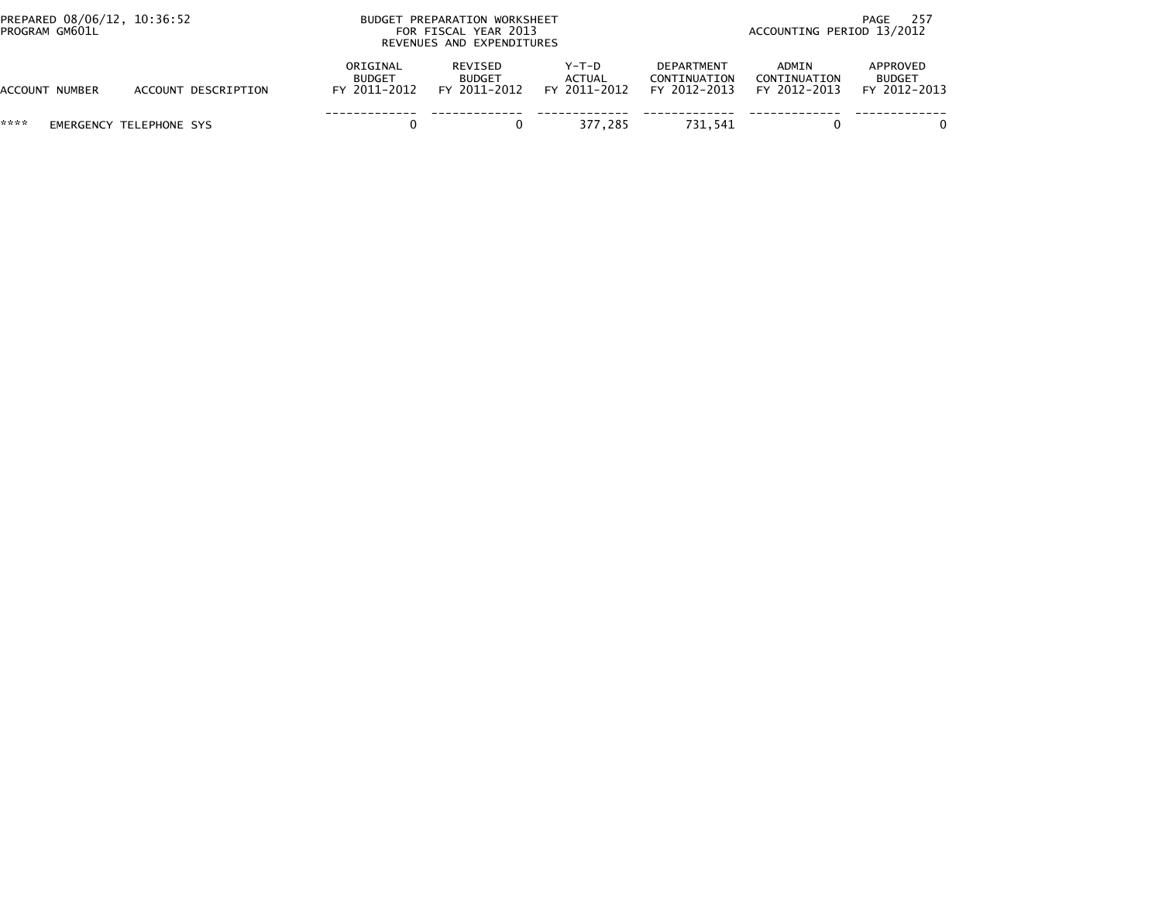| PREPARED 08/06/12, 10:36:52<br>PROGRAM GM601L |                         |                                           | BUDGET PREPARATION WORKSHEET<br>FOR FISCAL YEAR 2013<br>REVENUES AND EXPENDITURES |                                        | 257<br>PAGE<br>ACCOUNTING PERIOD 13/2012   |                                       |                                           |  |
|-----------------------------------------------|-------------------------|-------------------------------------------|-----------------------------------------------------------------------------------|----------------------------------------|--------------------------------------------|---------------------------------------|-------------------------------------------|--|
| ACCOUNT NUMBER                                | ACCOUNT DESCRIPTION     | ORIGINAL<br><b>BUDGET</b><br>FY 2011-2012 | REVISED<br><b>BUDGET</b><br>FY 2011-2012                                          | Y-T-D<br><b>ACTUAL</b><br>FY 2011-2012 | DEPARTMENT<br>CONTINUATION<br>FY 2012-2013 | ADMIN<br>CONTINUATION<br>FY 2012-2013 | APPROVED<br><b>BUDGET</b><br>FY 2012-2013 |  |
| ****                                          | EMERGENCY TELEPHONE SYS |                                           |                                                                                   | 377.285                                | 731.541                                    |                                       |                                           |  |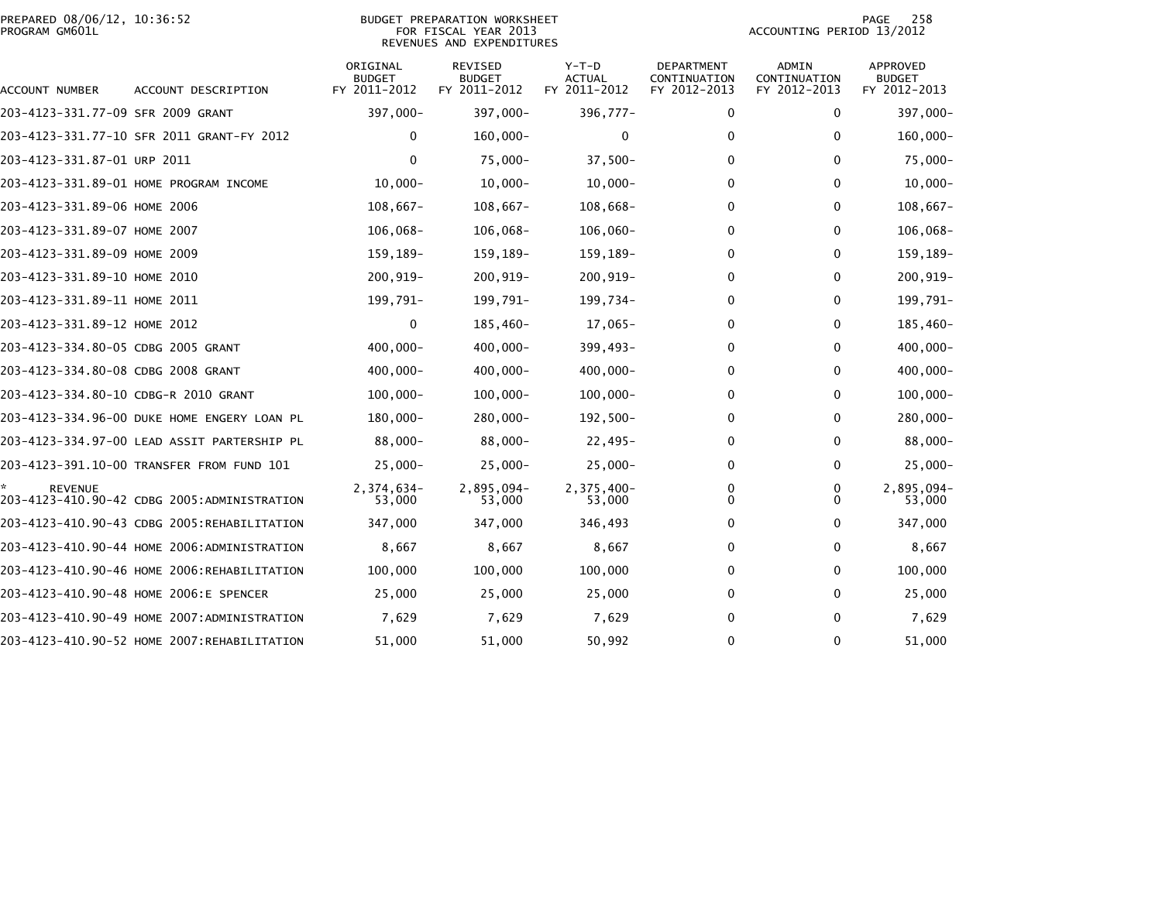|                | PREPARED 08/06/12, 10:36:52 |  |
|----------------|-----------------------------|--|
| PROGRAM GM601L |                             |  |

# PREPARED 08/06/12, 10:36:52 PREPARATION WORKSHEET PREPARATION WORKSHEET PREPARATION WORKSHEET<br>FOR FISCAL YEAR 2013 ACCOUNTING PERIOD 13/2012<br>REVENUES AND EXPENDITURES

PAGE 258<br>ACCOUNTING PERIOD 13/2012

| ACCOUNT NUMBER                       | ACCOUNT DESCRIPTION                         | ORIGINAL<br><b>BUDGET</b><br>FY 2011-2012 | <b>REVISED</b><br><b>BUDGET</b><br>FY 2011-2012 | $Y-T-D$<br><b>ACTUAL</b><br>FY 2011-2012 | DEPARTMENT<br>CONTINUATION<br>FY 2012-2013 | <b>ADMIN</b><br>CONTINUATION<br>FY 2012-2013 | <b>APPROVED</b><br><b>BUDGET</b><br>FY 2012-2013 |
|--------------------------------------|---------------------------------------------|-------------------------------------------|-------------------------------------------------|------------------------------------------|--------------------------------------------|----------------------------------------------|--------------------------------------------------|
| 203-4123-331.77-09 SFR 2009 GRANT    |                                             | 397,000-                                  | 397,000-                                        | $396,777 -$                              | 0                                          | 0                                            | 397,000-                                         |
|                                      | 203-4123-331.77-10 SFR 2011 GRANT-FY 2012   | 0                                         | $160,000 -$                                     | 0                                        | 0                                          | 0                                            | $160,000 -$                                      |
| 203-4123-331.87-01 URP 2011          |                                             | $\mathbf{0}$                              | 75,000-                                         | $37,500-$                                | 0                                          | 0                                            | 75,000-                                          |
|                                      | 203-4123-331.89-01 HOME PROGRAM INCOME      | $10,000 -$                                | $10,000 -$                                      | $10,000 -$                               | 0                                          | 0                                            | $10,000 -$                                       |
| 203-4123-331.89-06 HOME 2006         |                                             | $108,667-$                                | $108,667-$                                      | 108,668-                                 | 0                                          | 0                                            | $108,667-$                                       |
| 203-4123-331.89-07 HOME 2007         |                                             | $106,068 -$                               | 106,068-                                        | $106,060 -$                              | 0                                          | 0                                            | 106,068-                                         |
| 203-4123-331.89-09 HOME 2009         |                                             | 159,189-                                  | 159,189-                                        | 159,189-                                 | 0                                          | $\mathbf{0}$                                 | 159,189-                                         |
| 203-4123-331.89-10 HOME 2010         |                                             | 200,919-                                  | 200,919-                                        | $200, 919 -$                             | 0                                          | $\mathbf{0}$                                 | 200,919-                                         |
| 203-4123-331.89-11 HOME 2011         |                                             | 199,791-                                  | 199,791-                                        | 199,734-                                 | 0                                          | $\mathbf 0$                                  | 199,791-                                         |
| 203-4123-331.89-12 HOME 2012         |                                             | 0                                         | 185,460-                                        | $17,065-$                                | 0                                          | $\mathbf{0}$                                 | 185,460-                                         |
| 203-4123-334.80-05 CDBG 2005 GRANT   |                                             | $400,000 -$                               | $400,000 -$                                     | 399,493-                                 | 0                                          | $\mathbf{0}$                                 | $400,000 -$                                      |
| 203-4123-334.80-08 CDBG 2008 GRANT   |                                             | $400,000 -$                               | $400,000 -$                                     | $400,000 -$                              | 0                                          | $\mathbf{0}$                                 | $400,000 -$                                      |
| 203-4123-334.80-10 CDBG-R 2010 GRANT |                                             | $100,000 -$                               | $100,000 -$                                     | $100,000 -$                              | 0                                          | $\mathbf{0}$                                 | $100,000 -$                                      |
|                                      | 203-4123-334.96-00 DUKE HOME ENGERY LOAN PL | 180,000-                                  | 280,000-                                        | $192,500-$                               | 0                                          | $\mathbf{0}$                                 | 280,000-                                         |
|                                      | 203–4123–334.97–00 LEAD ASSIT PARTERSHIP PL | 88,000-                                   | $88,000 -$                                      | $22,495-$                                | 0                                          | $\mathbf{0}$                                 | $88,000 -$                                       |
|                                      | 203-4123-391.10-00 TRANSFER FROM FUND 101   | $25,000 -$                                | $25,000 -$                                      | $25,000 -$                               | 0                                          | 0                                            | $25,000 -$                                       |
| <b>REVENUE</b>                       | 203-4123-410.90-42 CDBG 2005:ADMINISTRATION | 2,374,634-<br>53,000                      | 2,895,094-<br>53,000                            | 2,375,400-<br>53,000                     | 0<br>0                                     | 0<br>0                                       | 2,895,094-<br>53,000                             |
|                                      | 203-4123-410.90-43 CDBG 2005:REHABILITATION | 347,000                                   | 347,000                                         | 346,493                                  | 0                                          | 0                                            | 347,000                                          |
|                                      | 203-4123-410.90-44 HOME 2006:ADMINISTRATION | 8,667                                     | 8,667                                           | 8,667                                    | 0                                          | 0                                            | 8,667                                            |
|                                      | 203-4123-410.90-46 HOME 2006:REHABILITATION | 100,000                                   | 100,000                                         | 100,000                                  | 0                                          | $\mathbf{0}$                                 | 100,000                                          |
|                                      | 203-4123-410.90-48 HOME 2006:E SPENCER      | 25,000                                    | 25,000                                          | 25,000                                   | 0                                          | 0                                            | 25,000                                           |
|                                      |                                             | 7,629                                     | 7,629                                           | 7,629                                    | 0                                          | 0                                            | 7,629                                            |
|                                      | 203-4123-410.90-52 HOME 2007:REHABILITATION | 51,000                                    | 51,000                                          | 50,992                                   | 0                                          | 0                                            | 51,000                                           |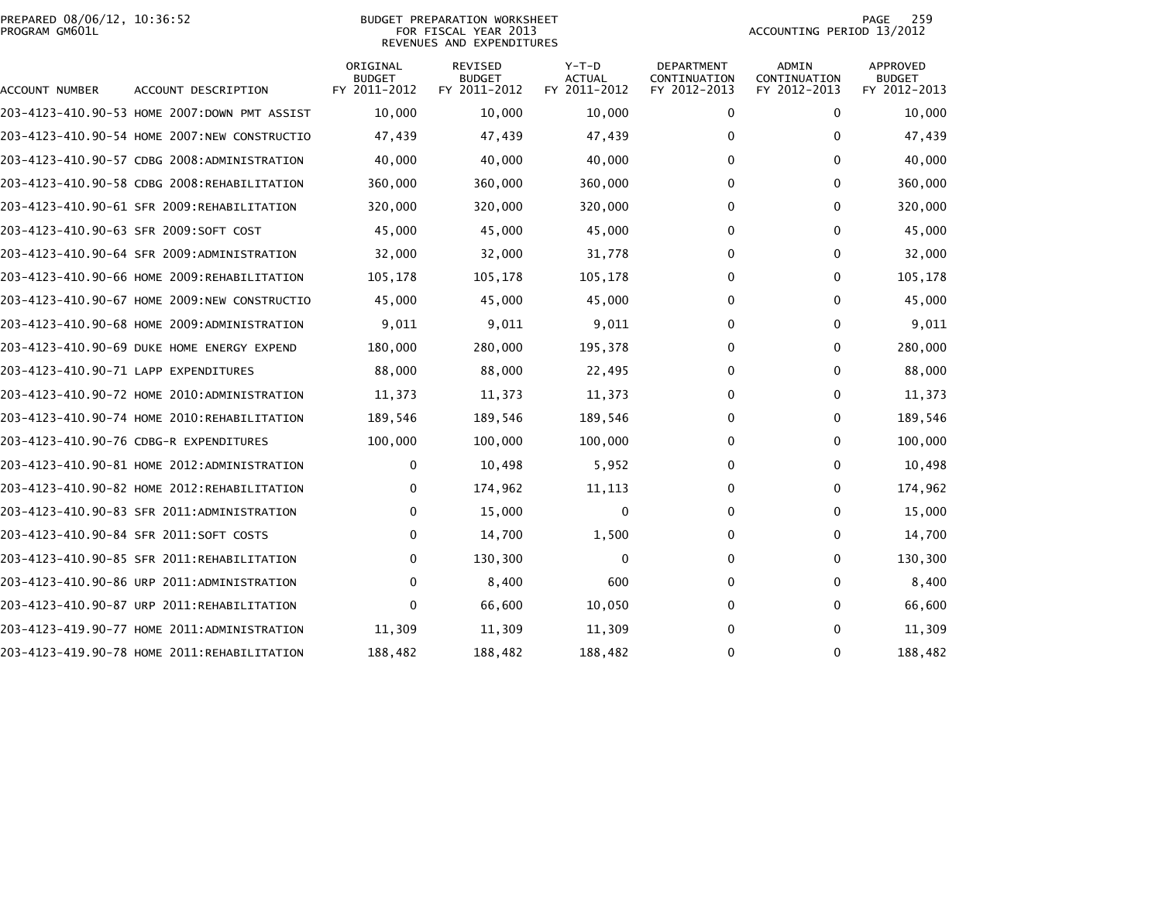## PREPARED 08/06/12, 10:36:52<br>PROGRAM GM601L

BUDGET PREPARATION WORKSHEET<br>FOR FISCAL YEAR 2013 REVENUES AND EXPENDITURES PAGE 259<br>ACCOUNTING PERIOD 13/2012

| ACCOUNT NUMBER                       | ACCOUNT DESCRIPTION                          | ORIGINAL<br><b>BUDGET</b><br>FY 2011-2012 | <b>REVISED</b><br><b>BUDGET</b><br>FY 2011-2012 | $Y-T-D$<br>ACTUAL<br>FY 2011-2012 | <b>DEPARTMENT</b><br>CONTINUATION<br>FY 2012-2013 | <b>ADMIN</b><br>CONTINUATION<br>FY 2012-2013 | APPROVED<br><b>BUDGET</b><br>FY 2012-2013 |
|--------------------------------------|----------------------------------------------|-------------------------------------------|-------------------------------------------------|-----------------------------------|---------------------------------------------------|----------------------------------------------|-------------------------------------------|
|                                      | 203-4123-410.90-53 HOME 2007:DOWN PMT ASSIST | 10,000                                    | 10,000                                          | 10,000                            | $\mathbf 0$                                       | $\mathbf{0}$                                 | 10,000                                    |
|                                      | 203-4123-410.90-54 HOME 2007:NEW CONSTRUCTIO | 47,439                                    | 47,439                                          | 47,439                            | 0                                                 | $\mathbf{0}$                                 | 47,439                                    |
|                                      | 203-4123-410.90-57 CDBG 2008:ADMINISTRATION  | 40,000                                    | 40,000                                          | 40,000                            | 0                                                 | $\mathbf{0}$                                 | 40,000                                    |
|                                      | 203-4123-410.90-58 CDBG 2008:REHABILITATION  | 360,000                                   | 360,000                                         | 360,000                           | 0                                                 | $\Omega$                                     | 360,000                                   |
|                                      | 203-4123-410.90-61 SFR 2009:REHABILITATION   | 320,000                                   | 320,000                                         | 320,000                           | 0                                                 | 0                                            | 320,000                                   |
|                                      | 203-4123-410.90-63 SFR 2009:SOFT COST        | 45,000                                    | 45,000                                          | 45,000                            | 0                                                 | $\mathbf{0}$                                 | 45,000                                    |
|                                      | 203-4123-410.90-64 SFR 2009:ADMINISTRATION   | 32,000                                    | 32,000                                          | 31,778                            | $\Omega$                                          | $\mathbf{0}$                                 | 32,000                                    |
|                                      | 203-4123-410.90-66 HOME 2009:REHABILITATION  | 105,178                                   | 105,178                                         | 105,178                           | 0                                                 | $\mathbf{0}$                                 | 105,178                                   |
|                                      | 203-4123-410.90-67 HOME 2009:NEW CONSTRUCTIO | 45,000                                    | 45,000                                          | 45,000                            | 0                                                 | $\mathbf{0}$                                 | 45,000                                    |
|                                      | 203-4123-410.90-68 HOME 2009:ADMINISTRATION  | 9,011                                     | 9,011                                           | 9,011                             | 0                                                 | $\mathbf{0}$                                 | 9,011                                     |
|                                      | 203-4123-410.90-69 DUKE HOME ENERGY EXPEND   | 180,000                                   | 280,000                                         | 195,378                           | 0                                                 | 0                                            | 280,000                                   |
| 203-4123-410.90-71 LAPP EXPENDITURES |                                              | 88,000                                    | 88,000                                          | 22,495                            | 0                                                 | $\Omega$                                     | 88,000                                    |
|                                      | 203-4123-410.90-72 HOME 2010:ADMINISTRATION  | 11,373                                    | 11,373                                          | 11,373                            | 0                                                 | $\mathbf{0}$                                 | 11,373                                    |
|                                      | 203-4123-410.90-74 HOME 2010:REHABILITATION  | 189,546                                   | 189,546                                         | 189,546                           | 0                                                 | $\mathbf{0}$                                 | 189,546                                   |
|                                      | 203-4123-410.90-76 CDBG-R EXPENDITURES       | 100,000                                   | 100,000                                         | 100,000                           | 0                                                 | $\Omega$                                     | 100,000                                   |
|                                      | 203-4123-410.90-81 HOME 2012:ADMINISTRATION  | 0                                         | 10,498                                          | 5,952                             | 0                                                 | 0                                            | 10,498                                    |
|                                      | 203-4123-410.90-82 HOME 2012:REHABILITATION  | 0                                         | 174,962                                         | 11, 113                           | 0                                                 | 0                                            | 174,962                                   |
|                                      | 203-4123-410.90-83 SFR 2011:ADMINISTRATION   | $\mathbf{0}$                              | 15,000                                          | $\Omega$                          | 0                                                 | $\mathbf{0}$                                 | 15,000                                    |
|                                      | 203-4123-410.90-84 SFR 2011:SOFT COSTS       | 0                                         | 14,700                                          | 1,500                             | 0                                                 | $\mathbf{0}$                                 | 14,700                                    |
|                                      | 203-4123-410.90-85 SFR 2011:REHABILITATION   | 0                                         | 130,300                                         | 0                                 | 0                                                 | 0                                            | 130,300                                   |
|                                      | 203-4123-410.90-86 URP 2011:ADMINISTRATION   | $\Omega$                                  | 8,400                                           | 600                               | 0                                                 | $\Omega$                                     | 8,400                                     |
|                                      | 203-4123-410.90-87 URP 2011:REHABILITATION   | 0                                         | 66,600                                          | 10,050                            | 0                                                 | 0                                            | 66,600                                    |
|                                      | 203-4123-419.90-77 HOME 2011:ADMINISTRATION  | 11,309                                    | 11,309                                          | 11,309                            | $\Omega$                                          | $\mathbf{0}$                                 | 11,309                                    |
|                                      | 203-4123-419.90-78 HOME 2011:REHABILITATION  | 188,482                                   | 188,482                                         | 188,482                           | $\Omega$                                          | $\mathbf{0}$                                 | 188,482                                   |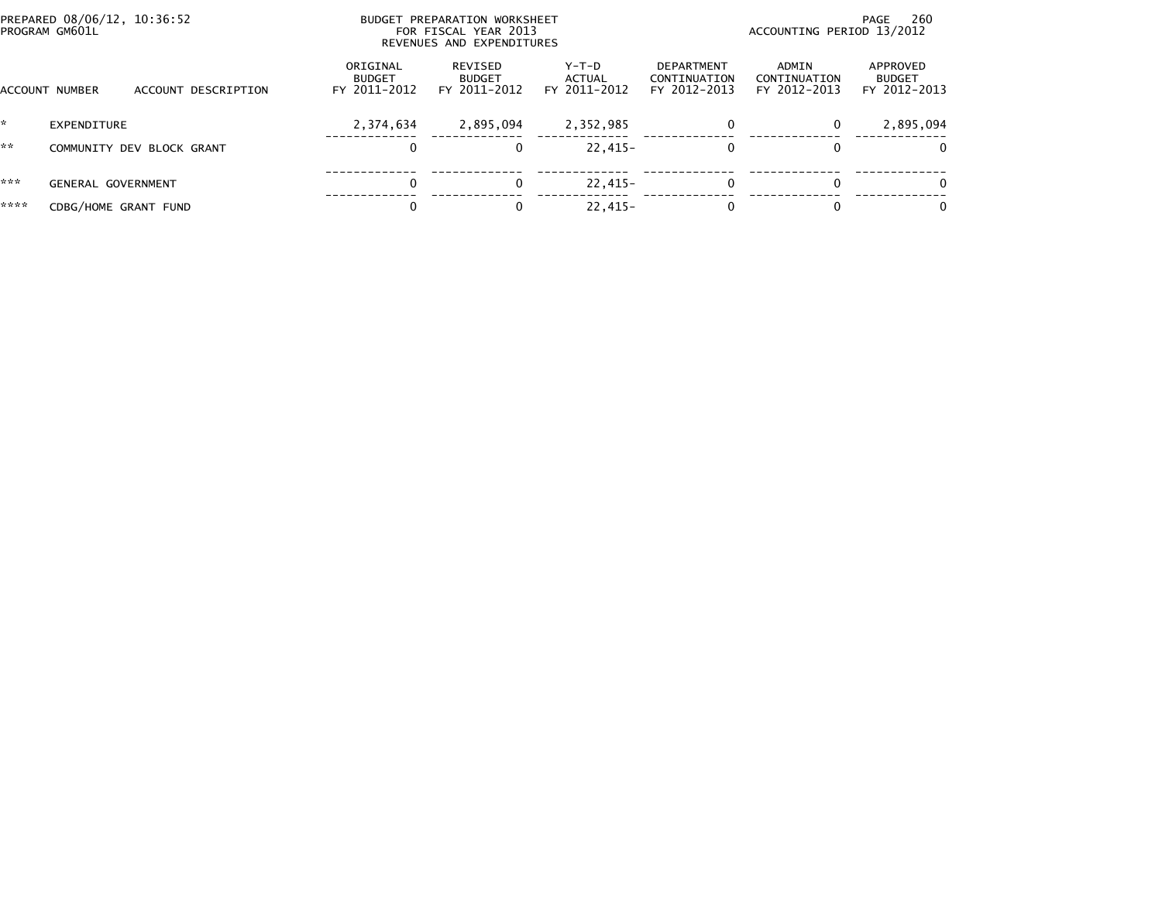| PREPARED 08/06/12, 10:36:52<br>PROGRAM GM601L |                           |                           | BUDGET PREPARATION WORKSHEET<br>FOR FISCAL YEAR 2013<br>REVENUES AND EXPENDITURES |                                          |                                 | - 260<br>PAGE<br>ACCOUNTING PERIOD 13/2012 |                                       |                                           |  |
|-----------------------------------------------|---------------------------|---------------------------|-----------------------------------------------------------------------------------|------------------------------------------|---------------------------------|--------------------------------------------|---------------------------------------|-------------------------------------------|--|
|                                               | <b>ACCOUNT NUMBER</b>     | ACCOUNT DESCRIPTION       | ORIGINAL<br><b>BUDGET</b><br>FY 2011-2012                                         | REVISED<br><b>BUDGET</b><br>FY 2011-2012 | Y-T-D<br>ACTUAL<br>FY 2011-2012 | DEPARTMENT<br>CONTINUATION<br>FY 2012-2013 | ADMIN<br>CONTINUATION<br>FY 2012-2013 | APPROVED<br><b>BUDGET</b><br>FY 2012-2013 |  |
| '*                                            | EXPENDITURE               |                           | 2,374,634                                                                         | 2,895,094                                | 2,352,985                       | $\mathbf{0}$                               | 0                                     | 2,895,094                                 |  |
| **                                            |                           | COMMUNITY DEV BLOCK GRANT | 0                                                                                 |                                          | $22.415 -$                      | 0                                          | 0                                     | $\Omega$                                  |  |
| ***                                           | <b>GENERAL GOVERNMENT</b> |                           | $\Omega$                                                                          |                                          | $22,415-$                       | $\mathbf{0}$                               | $\Omega$                              |                                           |  |
| ****                                          | CDBG/HOME GRANT FUND      |                           |                                                                                   |                                          | $22.415-$                       | $\Omega$                                   | 0                                     | $\Omega$                                  |  |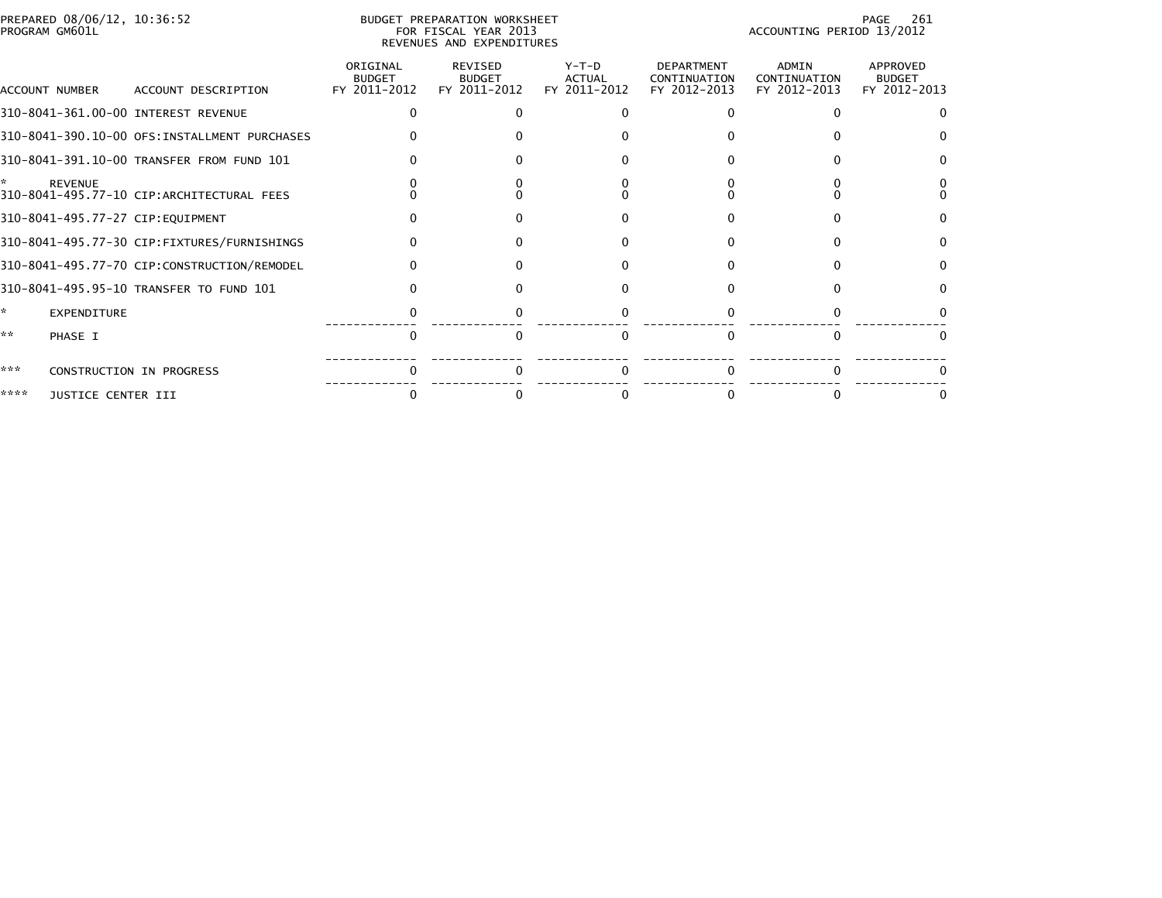| PREPARED 08/06/12, 10:36:52<br>PROGRAM GM601L |                                              |                                           | BUDGET PREPARATION WORKSHEET<br>FOR FISCAL YEAR 2013<br>REVENUES AND EXPENDITURES | 261<br>PAGE<br>ACCOUNTING PERIOD 13/2012 |                                                   |                                       |                                           |
|-----------------------------------------------|----------------------------------------------|-------------------------------------------|-----------------------------------------------------------------------------------|------------------------------------------|---------------------------------------------------|---------------------------------------|-------------------------------------------|
| ACCOUNT NUMBER                                | ACCOUNT DESCRIPTION                          | ORIGINAL<br><b>BUDGET</b><br>FY 2011-2012 | <b>REVISED</b><br><b>BUDGET</b><br>FY 2011-2012                                   | Y-T-D<br><b>ACTUAL</b><br>FY 2011-2012   | <b>DEPARTMENT</b><br>CONTINUATION<br>FY 2012-2013 | ADMIN<br>CONTINUATION<br>FY 2012-2013 | APPROVED<br><b>BUDGET</b><br>FY 2012-2013 |
| 310-8041-361.00-00 INTEREST REVENUE           |                                              | 0                                         |                                                                                   |                                          | 0                                                 |                                       |                                           |
|                                               | 310-8041-390.10-00 OFS:INSTALLMENT PURCHASES |                                           |                                                                                   |                                          |                                                   |                                       |                                           |
|                                               | 310-8041-391.10-00 TRANSFER FROM FUND 101    |                                           |                                                                                   |                                          |                                                   |                                       |                                           |
| <b>REVENUE</b>                                | 310-8041-495.77-10 CIP:ARCHITECTURAL FEES    |                                           |                                                                                   |                                          |                                                   |                                       |                                           |
| 310-8041-495.77-27 CIP:EQUIPMENT              |                                              |                                           |                                                                                   |                                          |                                                   |                                       |                                           |
|                                               | 310-8041-495.77-30 CIP:FIXTURES/FURNISHINGS  |                                           |                                                                                   |                                          |                                                   |                                       |                                           |
|                                               | 310-8041-495.77-70 CIP:CONSTRUCTION/REMODEL  |                                           |                                                                                   |                                          | O.                                                |                                       |                                           |
|                                               | 310-8041-495.95-10 TRANSFER TO FUND 101      |                                           |                                                                                   |                                          |                                                   |                                       |                                           |
| ×.<br>EXPENDITURE                             |                                              |                                           |                                                                                   |                                          |                                                   |                                       |                                           |
| **<br>PHASE I                                 |                                              | $\Omega$                                  | $\Omega$                                                                          |                                          | $\Omega$                                          | $\Omega$                              |                                           |
| ***                                           | CONSTRUCTION IN PROGRESS                     |                                           |                                                                                   |                                          |                                                   |                                       |                                           |
| ****<br>JUSTICE CENTER III                    |                                              |                                           |                                                                                   |                                          |                                                   |                                       |                                           |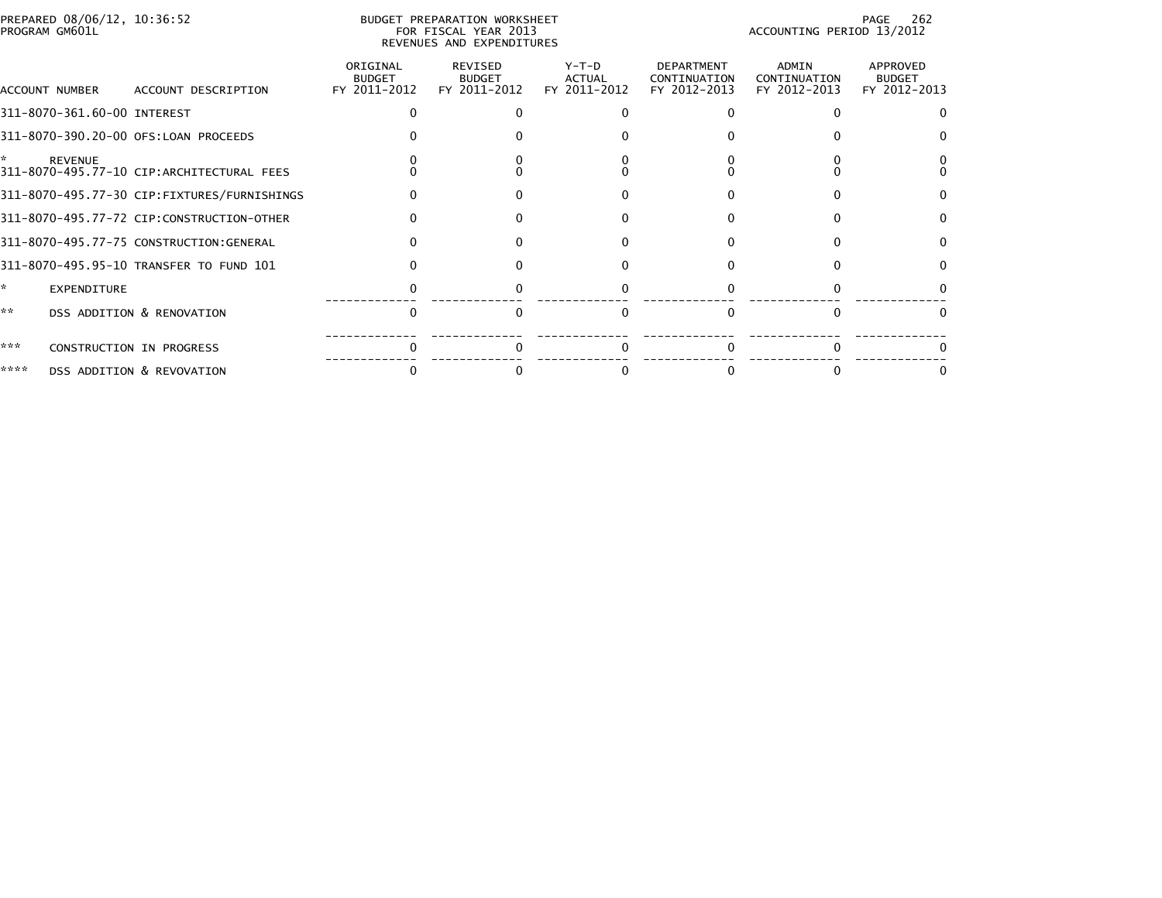| PREPARED 08/06/12, 10:36:52<br>PROGRAM GM601L |                                             |                                           | BUDGET PREPARATION WORKSHEET<br>FOR FISCAL YEAR 2013<br>REVENUES AND EXPENDITURES |                                          |                                            | 262<br>PAGE<br>ACCOUNTING PERIOD 13/2012 |                                           |  |  |
|-----------------------------------------------|---------------------------------------------|-------------------------------------------|-----------------------------------------------------------------------------------|------------------------------------------|--------------------------------------------|------------------------------------------|-------------------------------------------|--|--|
| ACCOUNT NUMBER                                | ACCOUNT DESCRIPTION                         | ORIGINAL<br><b>BUDGET</b><br>FY 2011-2012 | REVISED<br><b>BUDGET</b><br>FY 2011-2012                                          | $Y-T-D$<br><b>ACTUAL</b><br>FY 2011-2012 | DEPARTMENT<br>CONTINUATION<br>FY 2012-2013 | ADMIN<br>CONTINUATION<br>FY 2012-2013    | APPROVED<br><b>BUDGET</b><br>FY 2012-2013 |  |  |
| 311-8070-361.60-00 INTEREST                   |                                             |                                           |                                                                                   |                                          |                                            |                                          |                                           |  |  |
|                                               | 311-8070-390.20-00 OFS:LOAN PROCEEDS        |                                           |                                                                                   |                                          |                                            |                                          |                                           |  |  |
| <b>REVENUE</b>                                | 311-8070-495.77-10 CIP:ARCHITECTURAL FEES   |                                           |                                                                                   |                                          |                                            |                                          |                                           |  |  |
|                                               | 311-8070-495.77-30 CIP:FIXTURES/FURNISHINGS |                                           |                                                                                   |                                          |                                            |                                          |                                           |  |  |
|                                               | 311-8070-495.77-72 CIP:CONSTRUCTION-OTHER   |                                           |                                                                                   |                                          |                                            |                                          |                                           |  |  |
|                                               | 311-8070-495.77-75 CONSTRUCTION:GENERAL     |                                           |                                                                                   |                                          |                                            |                                          |                                           |  |  |
|                                               | 311-8070-495.95-10 TRANSFER TO FUND 101     |                                           |                                                                                   |                                          |                                            |                                          |                                           |  |  |
| ÷.<br><b>EXPENDITURE</b>                      |                                             |                                           |                                                                                   |                                          |                                            |                                          |                                           |  |  |
| **                                            | DSS ADDITION & RENOVATION                   |                                           |                                                                                   |                                          |                                            | O                                        |                                           |  |  |
| ***                                           | CONSTRUCTION IN PROGRESS                    |                                           |                                                                                   |                                          |                                            |                                          |                                           |  |  |
| ****                                          | DSS ADDITION & REVOVATION                   |                                           |                                                                                   |                                          |                                            |                                          |                                           |  |  |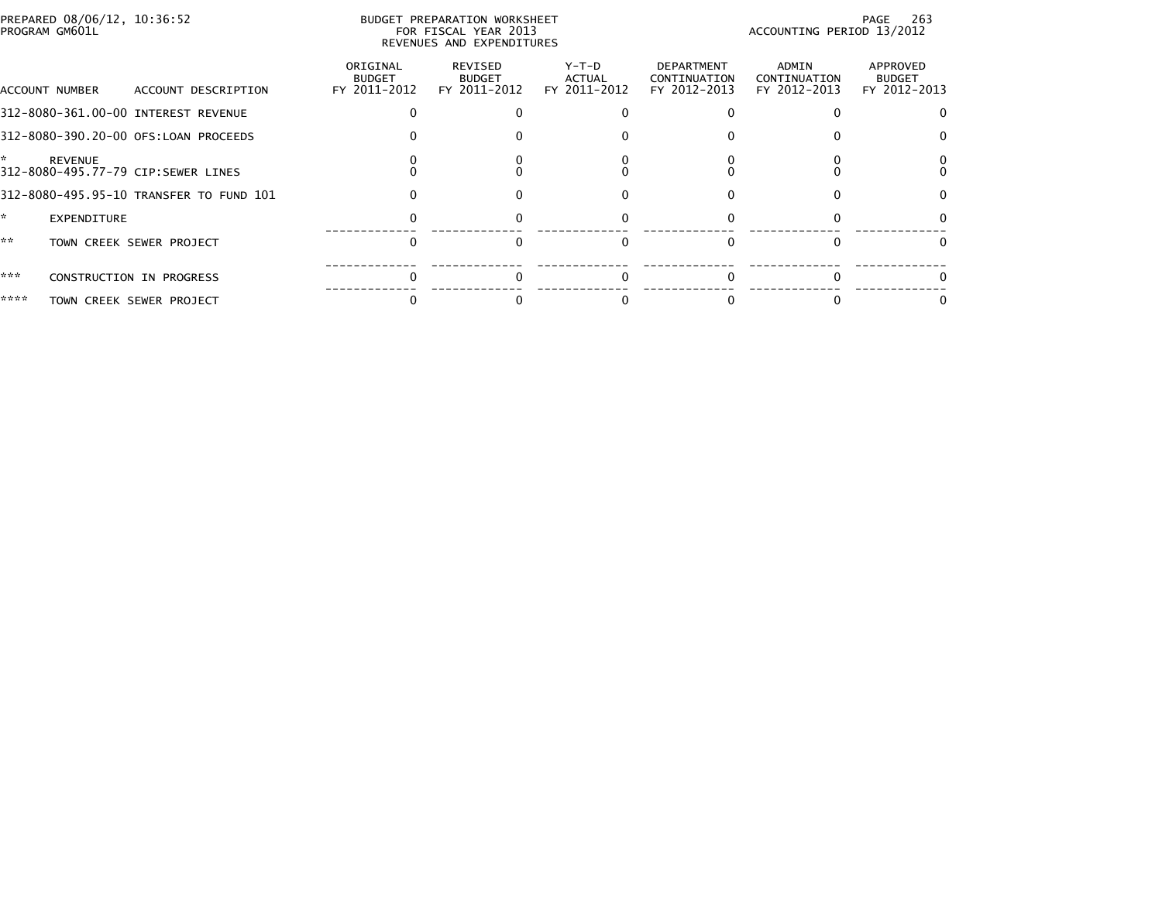| PREPARED 08/06/12, 10:36:52<br>PROGRAM GM601L              |                                         |                                           | BUDGET PREPARATION WORKSHEET<br>FOR FISCAL YEAR 2013<br>REVENUES AND EXPENDITURES | - 263<br>PAGE<br>ACCOUNTING PERIOD 13/2012 |                                            |                                       |                                           |
|------------------------------------------------------------|-----------------------------------------|-------------------------------------------|-----------------------------------------------------------------------------------|--------------------------------------------|--------------------------------------------|---------------------------------------|-------------------------------------------|
| ACCOUNT NUMBER                                             | ACCOUNT DESCRIPTION                     | ORIGINAL<br><b>BUDGET</b><br>FY 2011-2012 | REVISED<br><b>BUDGET</b><br>FY 2011-2012                                          | Y-T-D<br>ACTUAL<br>FY 2011-2012            | DEPARTMENT<br>CONTINUATION<br>FY 2012-2013 | ADMIN<br>CONTINUATION<br>FY 2012-2013 | APPROVED<br><b>BUDGET</b><br>FY 2012-2013 |
| 312-8080-361.00-00 INTEREST REVENUE                        |                                         |                                           |                                                                                   |                                            |                                            |                                       | 0                                         |
| 312-8080-390.20-00 OFS:LOAN PROCEEDS                       |                                         |                                           |                                                                                   |                                            |                                            |                                       | 0                                         |
| ÷.<br><b>REVENUE</b><br>312-8080-495.77-79 CIP:SEWER LINES |                                         |                                           |                                                                                   |                                            |                                            |                                       | 0                                         |
|                                                            | 312-8080-495.95-10 TRANSFER TO FUND 101 |                                           |                                                                                   |                                            |                                            |                                       | 0                                         |
| ÷.<br><b>EXPENDITURE</b>                                   |                                         |                                           |                                                                                   |                                            |                                            |                                       |                                           |
| **                                                         | TOWN CREEK SEWER PROJECT                |                                           | $\Omega$                                                                          |                                            |                                            | $\Omega$                              | 0                                         |
| ***                                                        | CONSTRUCTION IN PROGRESS                |                                           |                                                                                   |                                            |                                            |                                       |                                           |
| ****                                                       | TOWN CREEK SEWER PROJECT                |                                           |                                                                                   |                                            |                                            |                                       |                                           |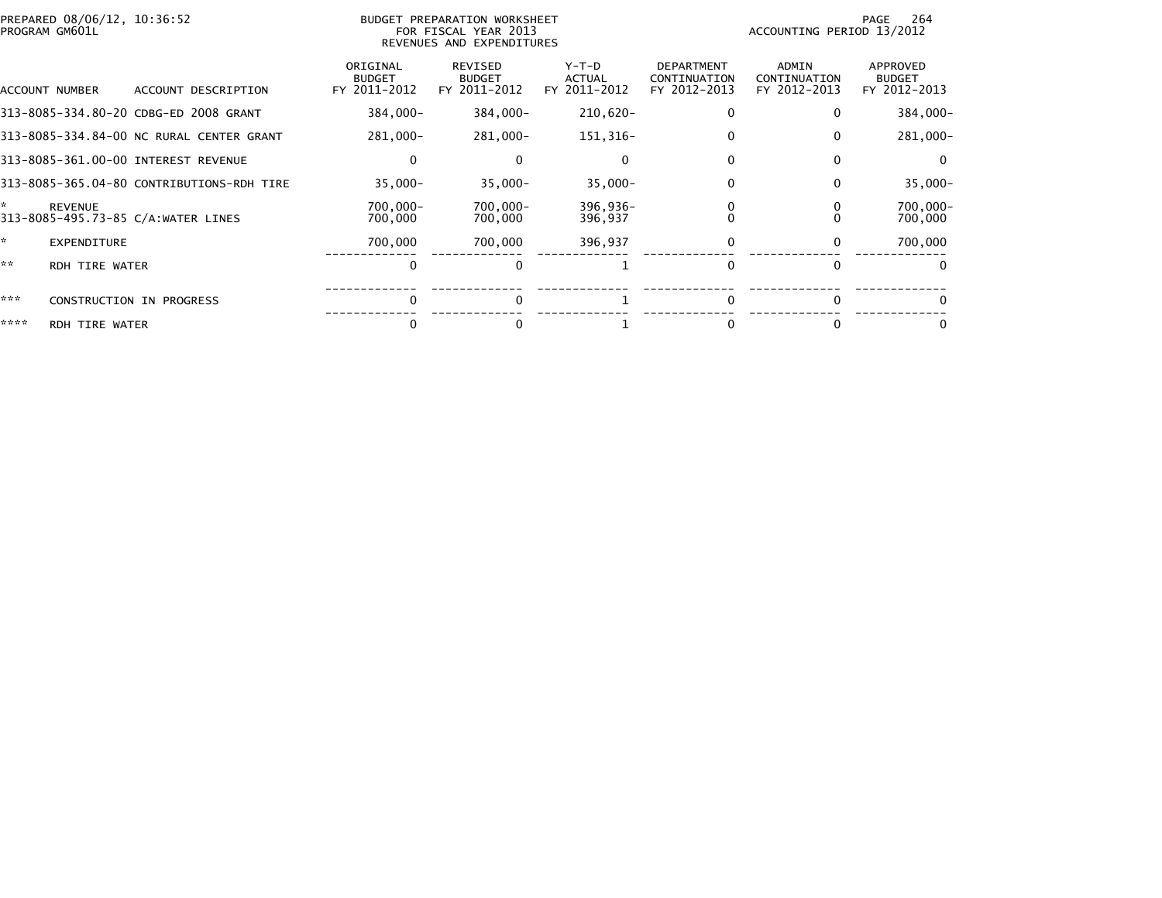| PREPARED 08/06/12, 10:36:52<br>PROGRAM GM601L             |                                           | BUDGET PREPARATION WORKSHEET<br>FOR FISCAL YEAR 2013<br>REVENUES AND EXPENDITURES |                                 |                                                   | ACCOUNTING PERIOD 13/2012                    | 264<br>PAGE                               |
|-----------------------------------------------------------|-------------------------------------------|-----------------------------------------------------------------------------------|---------------------------------|---------------------------------------------------|----------------------------------------------|-------------------------------------------|
| ACCOUNT DESCRIPTION<br>ACCOUNT NUMBER                     | ORIGINAL<br><b>BUDGET</b><br>FY 2011-2012 | <b>REVISED</b><br><b>BUDGET</b><br>FY 2011-2012                                   | Y-T-D<br>ACTUAL<br>FY 2011-2012 | <b>DEPARTMENT</b><br>CONTINUATION<br>FY 2012-2013 | <b>ADMIN</b><br>CONTINUATION<br>FY 2012-2013 | APPROVED<br><b>BUDGET</b><br>FY 2012-2013 |
| 313-8085-334.80-20 CDBG-ED 2008 GRANT                     | 384,000-                                  | 384,000-                                                                          | 210,620-                        | 0                                                 | 0                                            | 384,000-                                  |
| 313-8085-334.84-00 NC RURAL CENTER GRANT                  | 281,000-                                  | 281,000-                                                                          | 151,316-                        | $\mathbf{0}$                                      | 0                                            | 281,000-                                  |
| 313-8085-361.00-00 INTEREST REVENUE                       | $\Omega$                                  | $\Omega$                                                                          |                                 | $\Omega$                                          | $\Omega$                                     | - 0                                       |
| 313-8085-365.04-80 CONTRIBUTIONS-RDH TIRE                 | $35,000 -$                                | $35,000 -$                                                                        | $35,000 -$                      | $\mathbf{0}$                                      | 0                                            | $35,000 -$                                |
| *<br><b>REVENUE</b><br>313-8085-495.73-85 C/A:WATER LINES | $700.000 -$<br>700,000                    | 700.000-<br>700,000                                                               | 396,936-<br>396,937             |                                                   |                                              | 700,000-<br>700,000                       |
| ×.<br><b>EXPENDITURE</b>                                  | 700,000                                   | 700,000                                                                           | 396,937                         | $\mathbf{0}$                                      | 0                                            | 700,000                                   |
| **<br><b>RDH TIRE WATER</b>                               | $\mathbf{0}$                              | 0                                                                                 |                                 | 0                                                 | $\mathbf{0}$                                 | 0                                         |
| ***<br>CONSTRUCTION IN PROGRESS                           | 0                                         | $\Omega$                                                                          |                                 | $\Omega$                                          | $\Omega$                                     |                                           |
| ****<br>RDH TIRE WATER                                    |                                           |                                                                                   |                                 | $\Omega$                                          |                                              |                                           |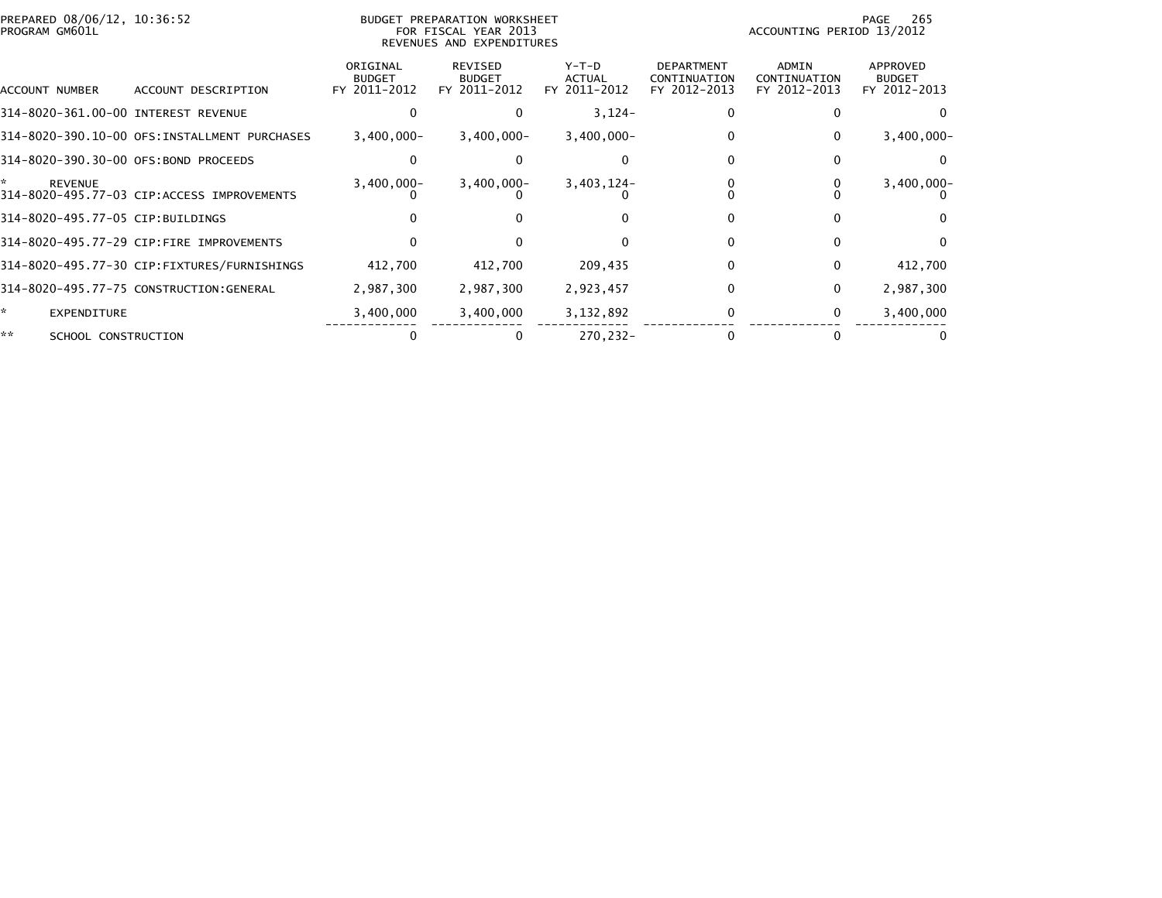| PREPARED 08/06/12, 10:36:52<br>PROGRAM GM601L |                                               |                                           | BUDGET PREPARATION WORKSHEET<br>FOR FISCAL YEAR 2013<br>REVENUES AND EXPENDITURES |                                 |                                                   | ACCOUNTING PERIOD 13/2012             | 265<br>PAGE                               |
|-----------------------------------------------|-----------------------------------------------|-------------------------------------------|-----------------------------------------------------------------------------------|---------------------------------|---------------------------------------------------|---------------------------------------|-------------------------------------------|
| ACCOUNT NUMBER                                | ACCOUNT DESCRIPTION                           | ORIGINAL<br><b>BUDGET</b><br>FY 2011-2012 | REVISED<br><b>BUDGET</b><br>FY 2011-2012                                          | Y-T-D<br>ACTUAL<br>FY 2011-2012 | <b>DEPARTMENT</b><br>CONTINUATION<br>FY 2012-2013 | ADMIN<br>CONTINUATION<br>FY 2012-2013 | APPROVED<br><b>BUDGET</b><br>FY 2012-2013 |
| 314-8020-361.00-00 INTEREST REVENUE           |                                               |                                           | 0                                                                                 | $3,124-$                        | 0                                                 |                                       |                                           |
|                                               | 314-8020-390.10-00 OFS: INSTALLMENT PURCHASES | $3,400,000 -$                             | $3,400,000 -$                                                                     | $3,400,000 -$                   | 0                                                 | 0                                     | $3,400,000 -$                             |
| 314-8020-390.30-00 OFS:BOND PROCEEDS          |                                               |                                           |                                                                                   |                                 |                                                   |                                       |                                           |
| ÷.<br><b>REVENUE</b>                          | 314-8020-495.77-03 CIP:ACCESS IMPROVEMENTS    | $3,400,000 -$                             | $3,400,000 -$                                                                     | $3,403,124-$                    |                                                   |                                       | $3,400,000 -$                             |
| 314-8020-495.77-05 CIP:BUILDINGS              |                                               |                                           |                                                                                   |                                 | $\Omega$                                          |                                       |                                           |
|                                               | 314-8020-495.77-29 CIP:FIRE IMPROVEMENTS      |                                           |                                                                                   |                                 | 0                                                 | 0                                     |                                           |
|                                               | 314-8020-495.77-30 CIP:FIXTURES/FURNISHINGS   | 412,700                                   | 412,700                                                                           | 209,435                         | $\Omega$                                          | 0                                     | 412,700                                   |
|                                               | 314-8020-495.77-75 CONSTRUCTION:GENERAL       | 2,987,300                                 | 2,987,300                                                                         | 2,923,457                       | $\Omega$                                          | $\mathbf{0}$                          | 2,987,300                                 |
| *<br>EXPENDITURE                              |                                               | 3,400,000                                 | 3,400,000                                                                         | 3,132,892                       | 0                                                 | 0                                     | 3,400,000                                 |
| **<br>SCHOOL CONSTRUCTION                     |                                               |                                           | 0                                                                                 | 270.232-                        |                                                   |                                       |                                           |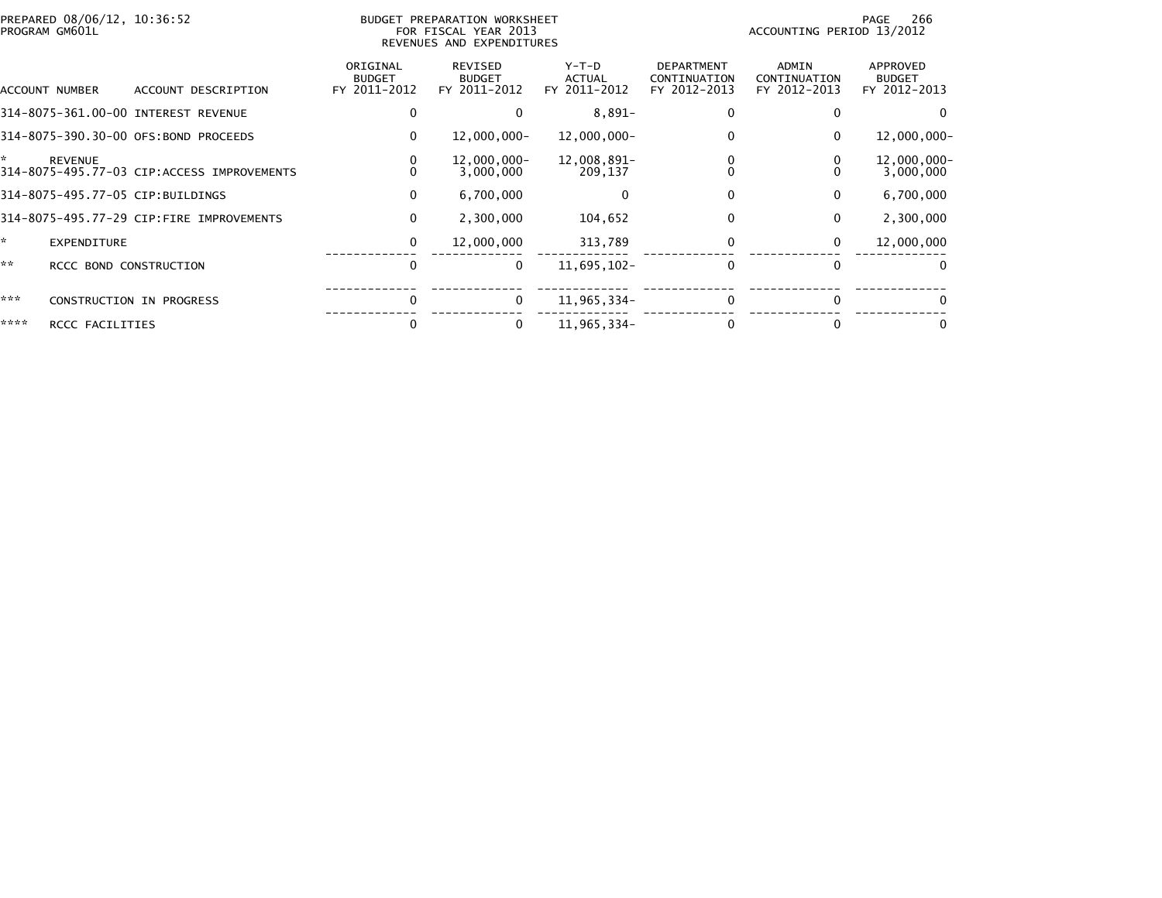|      | PREPARED 08/06/12, 10:36:52<br>PROGRAM GM601L |                                            |                                           | BUDGET PREPARATION WORKSHEET<br>FOR FISCAL YEAR 2013<br>REVENUES AND EXPENDITURES |                                   |                                                   | ACCOUNTING PERIOD 13/2012             | 266<br>PAGE                               |
|------|-----------------------------------------------|--------------------------------------------|-------------------------------------------|-----------------------------------------------------------------------------------|-----------------------------------|---------------------------------------------------|---------------------------------------|-------------------------------------------|
|      | ACCOUNT NUMBER                                | ACCOUNT DESCRIPTION                        | ORIGINAL<br><b>BUDGET</b><br>FY 2011-2012 | REVISED<br><b>BUDGET</b><br>FY 2011-2012                                          | $Y-T-D$<br>ACTUAL<br>FY 2011-2012 | <b>DEPARTMENT</b><br>CONTINUATION<br>FY 2012-2013 | ADMIN<br>CONTINUATION<br>FY 2012-2013 | APPROVED<br><b>BUDGET</b><br>FY 2012-2013 |
|      |                                               | 314-8075-361.00-00 INTEREST REVENUE        | 0                                         |                                                                                   | $8,891-$                          | $\Omega$                                          |                                       |                                           |
|      |                                               | 314-8075-390.30-00 OFS:BOND PROCEEDS       | 0                                         | $12,000,000 -$                                                                    | $12,000,000 -$                    | 0                                                 | 0                                     | $12,000,000 -$                            |
| ×.   | <b>REVENUE</b>                                | 314-8075-495.77-03 CIP:ACCESS IMPROVEMENTS | 0<br>0                                    | $12,000,000 -$<br>3,000,000                                                       | 12,008,891-<br>209,137            | 0                                                 |                                       | 12,000,000-<br>3,000,000                  |
|      |                                               | 314-8075-495.77-05 CIP:BUILDINGS           | 0                                         | 6,700,000                                                                         |                                   | $\mathbf{0}$                                      | $\mathbf{0}$                          | 6,700,000                                 |
|      |                                               | 314-8075-495.77-29 CIP:FIRE IMPROVEMENTS   | $\mathbf 0$                               | 2,300,000                                                                         | 104,652                           | 0                                                 | 0                                     | 2,300,000                                 |
| ÷.   | EXPENDITURE                                   |                                            | 0                                         | 12,000,000                                                                        | 313,789                           | 0                                                 | 0                                     | 12,000,000                                |
| **   | RCCC BOND CONSTRUCTION                        |                                            | 0                                         | 0                                                                                 | 11,695,102-                       | $\Omega$                                          | $\Omega$                              | 0                                         |
| ***  |                                               | CONSTRUCTION IN PROGRESS                   | $\mathbf{0}$                              | 0                                                                                 | 11,965,334-                       | $\mathbf{0}$                                      |                                       |                                           |
| **** | RCCC FACILITIES                               |                                            |                                           | 0                                                                                 | 11,965,334-                       | $\Omega$                                          |                                       |                                           |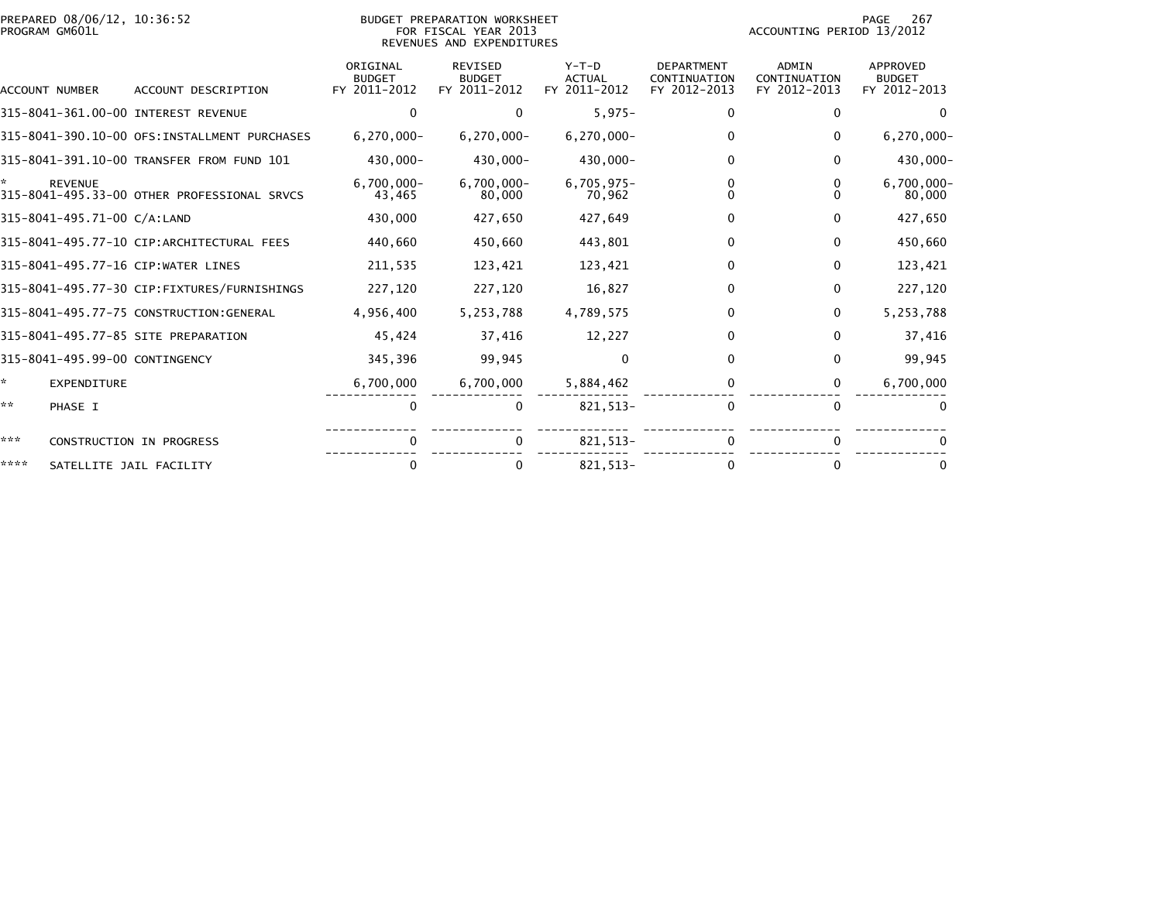| PREPARED 08/06/12, 10:36:52<br>PROGRAM GM601L |                                |                                               |                                           | BUDGET PREPARATION WORKSHEET<br>FOR FISCAL YEAR 2013<br>REVENUES AND EXPENDITURES |                                          | 267<br>PAGE<br>ACCOUNTING PERIOD 13/2012          |                                              |                                           |
|-----------------------------------------------|--------------------------------|-----------------------------------------------|-------------------------------------------|-----------------------------------------------------------------------------------|------------------------------------------|---------------------------------------------------|----------------------------------------------|-------------------------------------------|
|                                               | ACCOUNT NUMBER                 | ACCOUNT DESCRIPTION                           | ORIGINAL<br><b>BUDGET</b><br>FY 2011-2012 | REVISED<br><b>BUDGET</b><br>FY 2011-2012                                          | $Y-T-D$<br><b>ACTUAL</b><br>FY 2011-2012 | <b>DEPARTMENT</b><br>CONTINUATION<br>FY 2012-2013 | <b>ADMIN</b><br>CONTINUATION<br>FY 2012-2013 | APPROVED<br><b>BUDGET</b><br>FY 2012-2013 |
|                                               |                                | 315-8041-361.00-00 INTEREST REVENUE           | $\mathbf{0}$                              | 0                                                                                 | $5,975-$                                 | $\mathbf 0$                                       | 0                                            |                                           |
|                                               |                                | 315-8041-390.10-00 OFS: INSTALLMENT PURCHASES | $6, 270, 000 -$                           | $6,270,000 -$                                                                     | $6,270,000 -$                            | 0                                                 | 0                                            | $6,270,000 -$                             |
|                                               |                                | 315-8041-391.10-00 TRANSFER FROM FUND 101     | 430,000-                                  | 430,000-                                                                          | 430,000-                                 | $\mathbf 0$                                       | 0                                            | 430,000-                                  |
|                                               | <b>REVENUE</b>                 | 315-8041-495.33-00 OTHER PROFESSIONAL SRVCS   | $6,700,000 -$<br>43,465                   | $6,700,000 -$<br>80,000                                                           | $6,705,975-$<br>70,962                   | $\Omega$<br>0                                     |                                              | $6,700,000 -$<br>80,000                   |
|                                               | 315-8041-495.71-00 C/A:LAND    |                                               | 430,000                                   | 427,650                                                                           | 427,649                                  | 0                                                 | 0                                            | 427,650                                   |
|                                               |                                | 315-8041-495.77-10 CIP:ARCHITECTURAL FEES     | 440,660                                   | 450,660                                                                           | 443,801                                  | 0                                                 | 0                                            | 450,660                                   |
|                                               |                                | 315-8041-495.77-16 CIP:WATER LINES            | 211,535                                   | 123,421                                                                           | 123,421                                  | 0                                                 | $\Omega$                                     | 123,421                                   |
|                                               |                                | 315-8041-495.77-30 CIP:FIXTURES/FURNISHINGS   | 227,120                                   | 227,120                                                                           | 16,827                                   | 0                                                 | 0                                            | 227,120                                   |
|                                               |                                | 315-8041-495.77-75 CONSTRUCTION:GENERAL       | 4,956,400                                 | 5,253,788                                                                         | 4,789,575                                | $\Omega$                                          | $\mathbf{0}$                                 | 5,253,788                                 |
|                                               |                                | 315-8041-495.77-85 SITE PREPARATION           | 45,424                                    | 37,416                                                                            | 12,227                                   | 0                                                 | $\Omega$                                     | 37,416                                    |
|                                               | 315-8041-495.99-00 CONTINGENCY |                                               | 345,396                                   | 99,945                                                                            | 0                                        | 0                                                 | 0                                            | 99,945                                    |
| *                                             | EXPENDITURE                    |                                               | 6,700,000                                 | 6,700,000                                                                         | 5,884,462                                | 0                                                 | 0                                            | 6,700,000                                 |
| **                                            | PHASE I                        |                                               | 0                                         | 0                                                                                 | 821, 513-                                | $\mathbf{0}$                                      | $\Omega$                                     |                                           |
| ***                                           |                                | CONSTRUCTION IN PROGRESS                      | $\mathbf{0}$                              | $\Omega$                                                                          | 821, 513-                                | $\Omega$                                          | $\Omega$                                     |                                           |
| ****                                          |                                | SATELLITE JAIL FACILITY                       | 0                                         | 0                                                                                 | 821.513-                                 | 0                                                 | 0                                            |                                           |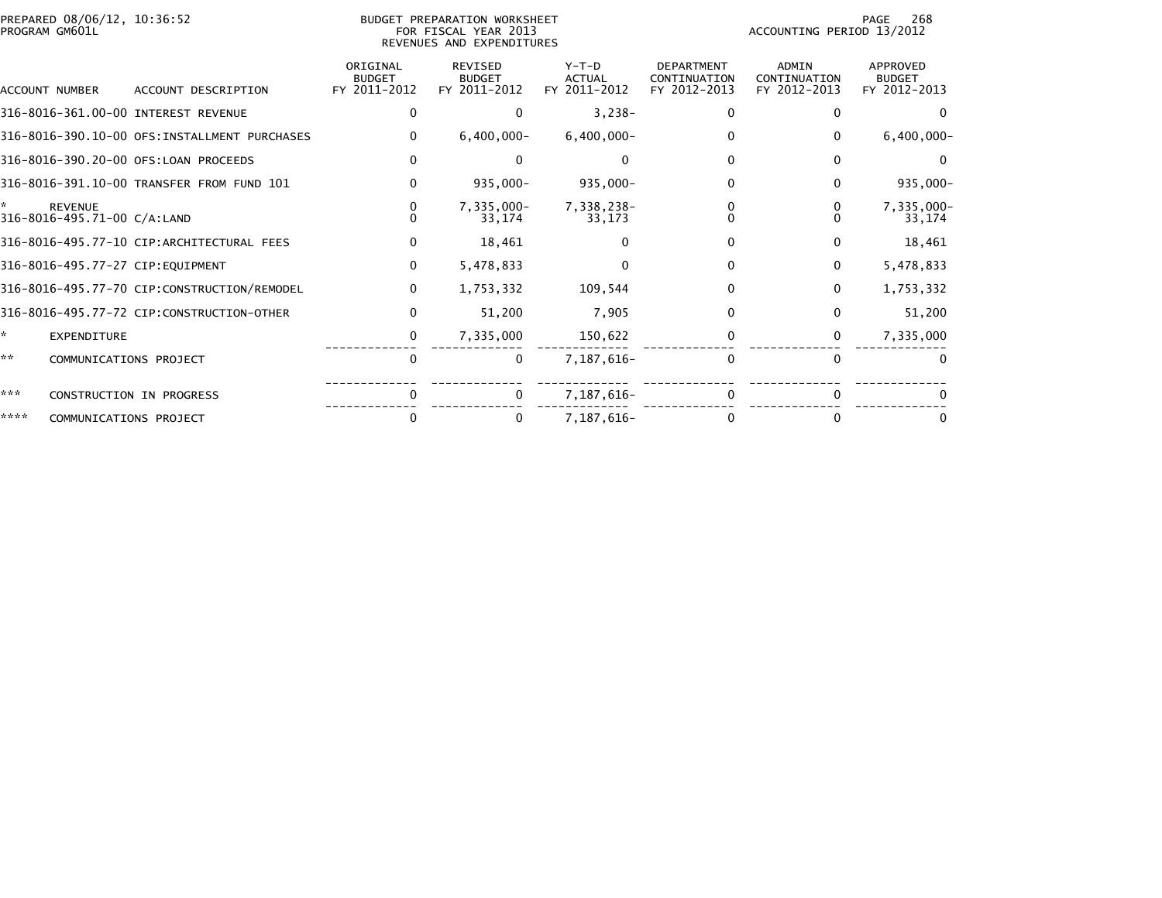| PREPARED 08/06/12, 10:36:52<br>PROGRAM GM601L |                                               |                                              |                                           | <b>BUDGET PREPARATION WORKSHEET</b><br>FOR FISCAL YEAR 2013<br>REVENUES AND EXPENDITURES | 268<br>PAGE<br>ACCOUNTING PERIOD 13/2012 |                                                   |                                              |                                           |
|-----------------------------------------------|-----------------------------------------------|----------------------------------------------|-------------------------------------------|------------------------------------------------------------------------------------------|------------------------------------------|---------------------------------------------------|----------------------------------------------|-------------------------------------------|
|                                               | ACCOUNT NUMBER                                | ACCOUNT DESCRIPTION                          | ORIGINAL<br><b>BUDGET</b><br>FY 2011-2012 | <b>REVISED</b><br><b>BUDGET</b><br>FY 2011-2012                                          | $Y-T-D$<br><b>ACTUAL</b><br>FY 2011-2012 | <b>DEPARTMENT</b><br>CONTINUATION<br>FY 2012-2013 | <b>ADMIN</b><br>CONTINUATION<br>FY 2012-2013 | APPROVED<br><b>BUDGET</b><br>FY 2012-2013 |
|                                               |                                               | 316-8016-361.00-00 INTEREST REVENUE          | 0                                         | 0                                                                                        | $3,238-$                                 | 0                                                 | $\Omega$                                     | $\Omega$                                  |
|                                               |                                               | 316-8016-390.10-00 OFS:INSTALLMENT PURCHASES | $\mathbf{0}$                              | $6,400,000 -$                                                                            | $6,400,000 -$                            | 0                                                 | $\mathbf{0}$                                 | $6,400,000 -$                             |
|                                               |                                               | 316-8016-390.20-00 OFS:LOAN PROCEEDS         | $\Omega$                                  | $\Omega$                                                                                 | $\Omega$                                 | 0                                                 | $\mathbf{0}$                                 | $\Omega$                                  |
|                                               |                                               | 316-8016-391.10-00 TRANSFER FROM FUND 101    | $\mathbf{0}$                              | 935,000-                                                                                 | 935,000-                                 | $\Omega$                                          | 0                                            | 935,000-                                  |
| ÷.                                            | <b>REVENUE</b><br>316-8016-495.71-00 C/A:LAND |                                              | $\Omega$                                  | $7,335,000 -$<br>33,174                                                                  | 7,338,238-<br>33,173                     | 0                                                 |                                              | 7,335,000-<br>33,174                      |
|                                               |                                               | 316-8016-495.77-10 CIP:ARCHITECTURAL FEES    | 0                                         | 18,461                                                                                   |                                          | 0                                                 | 0                                            | 18,461                                    |
|                                               |                                               | 316-8016-495.77-27 CIP:EQUIPMENT             | $\mathbf 0$                               | 5,478,833                                                                                |                                          | $\Omega$                                          | $\mathbf 0$                                  | 5,478,833                                 |
|                                               |                                               | 316-8016-495.77-70 CIP:CONSTRUCTION/REMODEL  | $\mathbf 0$                               | 1,753,332                                                                                | 109,544                                  | 0                                                 | $\Omega$                                     | 1,753,332                                 |
|                                               |                                               | 316-8016-495.77-72 CIP:CONSTRUCTION-OTHER    | $\bf{0}$                                  | 51,200                                                                                   | 7,905                                    | $\Omega$                                          | $\bf{0}$                                     | 51,200                                    |
| *                                             | <b>EXPENDITURE</b>                            |                                              | 0                                         | 7,335,000                                                                                | 150,622                                  | 0                                                 | 0                                            | 7,335,000                                 |
| **                                            | COMMUNICATIONS PROJECT                        |                                              | 0                                         | 0                                                                                        | 7,187,616-                               | 0                                                 | $\mathbf{0}$                                 |                                           |
| ***                                           |                                               | CONSTRUCTION IN PROGRESS                     |                                           | $\mathbf{0}$                                                                             | 7,187,616-                               |                                                   |                                              |                                           |
| ****                                          | COMMUNICATIONS PROJECT                        |                                              | $\Omega$                                  | 0                                                                                        | 7,187,616-                               |                                                   | 0                                            |                                           |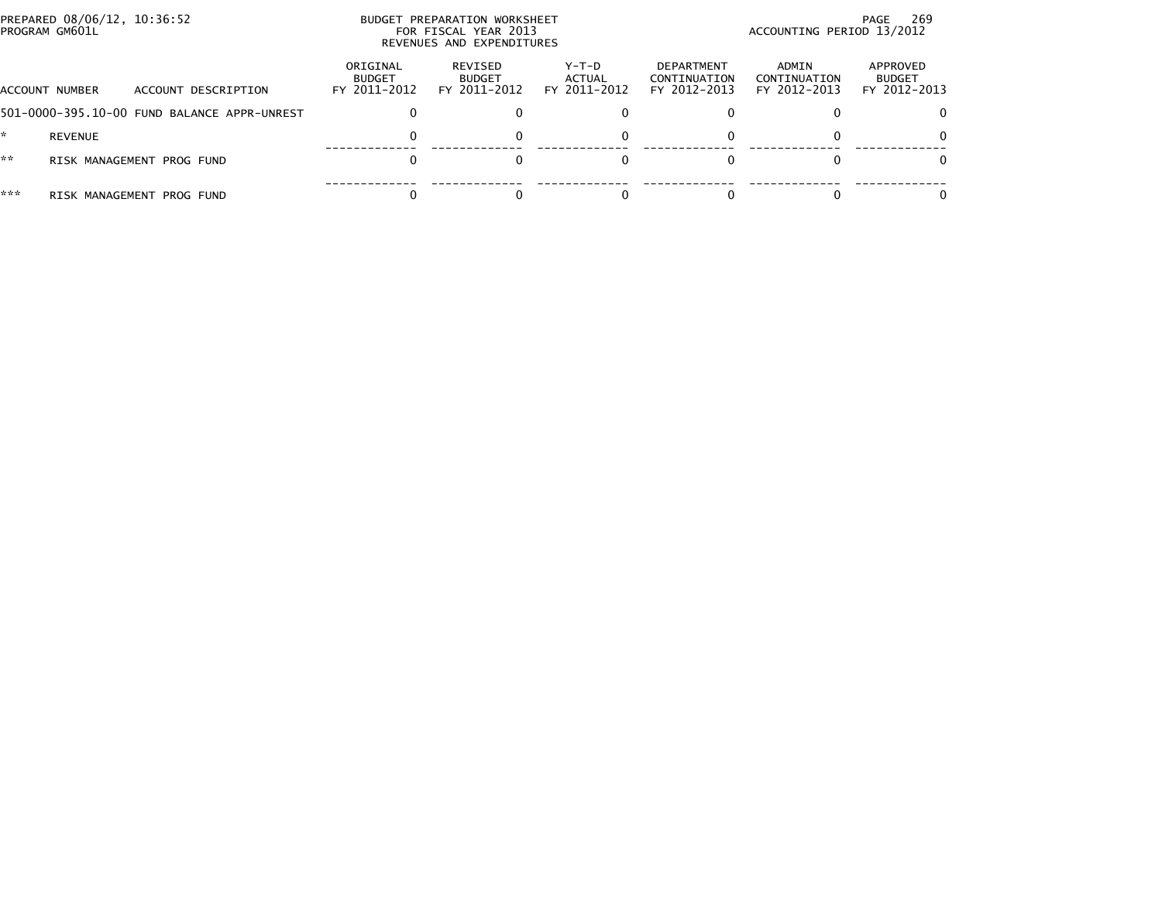|     | PREPARED 08/06/12, 10:36:52<br>PROGRAM GM601L |                                             |                                    | BUDGET PREPARATION WORKSHEET<br>FOR FISCAL YEAR 2013<br>REVENUES AND EXPENDITURES |                                 | 269<br>PAGE<br>ACCOUNTING PERIOD 13/2012          |                                       |                                           |
|-----|-----------------------------------------------|---------------------------------------------|------------------------------------|-----------------------------------------------------------------------------------|---------------------------------|---------------------------------------------------|---------------------------------------|-------------------------------------------|
|     | ACCOUNT NUMBER                                | ACCOUNT DESCRIPTION                         | ORIGINAL<br>BUDGET<br>FY 2011-2012 | REVISED<br><b>BUDGET</b><br>FY 2011-2012                                          | Y-T-D<br>ACTUAL<br>FY 2011-2012 | <b>DEPARTMENT</b><br>CONTINUATION<br>FY 2012-2013 | ADMIN<br>CONTINUATION<br>FY 2012-2013 | APPROVED<br><b>BUDGET</b><br>FY 2012-2013 |
|     |                                               | 501-0000-395.10-00 FUND BALANCE APPR-UNREST |                                    |                                                                                   |                                 |                                                   |                                       | $\Omega$                                  |
|     | <b>REVENUE</b>                                |                                             |                                    | $\Omega$                                                                          |                                 |                                                   |                                       | $\Omega$                                  |
| **  |                                               | RISK MANAGEMENT PROG FUND                   |                                    |                                                                                   |                                 |                                                   |                                       | 0                                         |
| *** |                                               | RISK MANAGEMENT PROG FUND                   |                                    |                                                                                   |                                 |                                                   |                                       |                                           |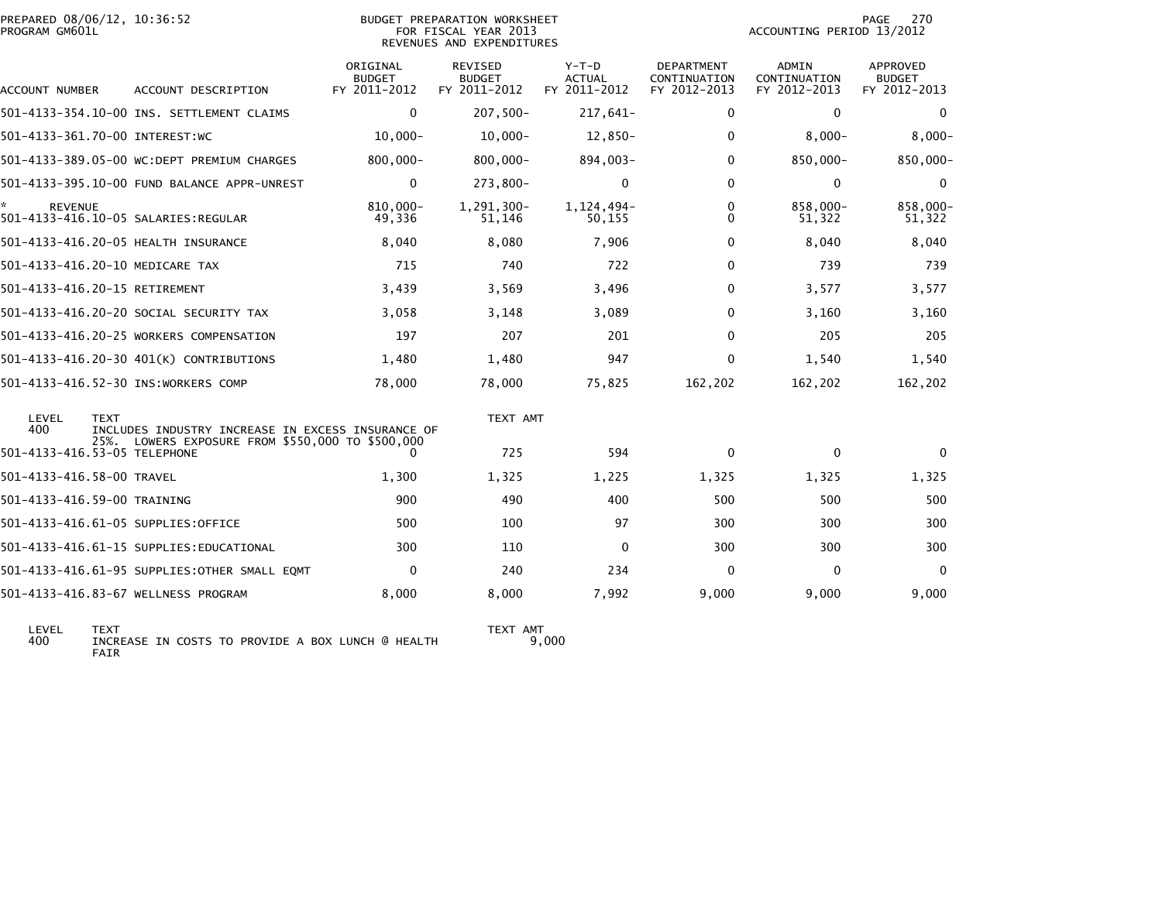| PREPARED 08/06/12, 10:36:52<br>PROGRAM GM601L |                                                                                                  |                           | BUDGET PREPARATION WORKSHEET<br>FOR FISCAL YEAR 2013<br>REVENUES AND EXPENDITURES |                        |                                   | ACCOUNTING PERIOD 13/2012 | 270<br>PAGE               |
|-----------------------------------------------|--------------------------------------------------------------------------------------------------|---------------------------|-----------------------------------------------------------------------------------|------------------------|-----------------------------------|---------------------------|---------------------------|
|                                               |                                                                                                  | ORIGINAL<br><b>BUDGET</b> | <b>REVISED</b><br><b>BUDGET</b>                                                   | $Y-T-D$<br>ACTUAL      | <b>DEPARTMENT</b><br>CONTINUATION | ADMIN<br>CONTINUATION     | APPROVED<br><b>BUDGET</b> |
| ACCOUNT NUMBER                                | ACCOUNT DESCRIPTION                                                                              | FY 2011-2012              | FY 2011-2012                                                                      | FY 2011-2012           | FY 2012-2013                      | FY 2012-2013              | FY 2012-2013              |
|                                               | 501-4133-354.10-00 INS. SETTLEMENT CLAIMS                                                        | 0                         | $207,500 -$                                                                       | 217,641-               | 0                                 | $\Omega$                  | 0                         |
|                                               | 501-4133-361.70-00 INTEREST:WC                                                                   | $10,000 -$                | $10,000 -$                                                                        | 12,850-                | 0                                 | $8,000 -$                 | $8,000 -$                 |
|                                               | 501-4133-389.05-00 WC:DEPT PREMIUM CHARGES                                                       | 800,000-                  | $800,000 -$                                                                       | 894,003-               | $\mathbf{0}$                      | 850,000-                  | 850,000-                  |
|                                               | 501-4133-395.10-00 FUND BALANCE APPR-UNREST                                                      | $\mathbf 0$               | 273,800-                                                                          | 0                      | 0                                 | 0                         | 0                         |
| <b>REVENUE</b>                                | 501-4133-416.10-05 SALARIES:REGULAR                                                              | $810.000 -$<br>49,336     | 1,291,300-<br>51,146                                                              | 1, 124, 494-<br>50,155 | 0<br>$\Omega$                     | 858,000-<br>51,322        | 858,000-<br>51,322        |
|                                               | 501-4133-416.20-05 HEALTH INSURANCE                                                              | 8,040                     | 8,080                                                                             | 7,906                  | $\mathbf{0}$                      | 8,040                     | 8,040                     |
|                                               | 501-4133-416.20-10 MEDICARE TAX                                                                  | 715                       | 740                                                                               | 722                    | $\mathbf{0}$                      | 739                       | 739                       |
| 501-4133-416.20-15 RETIREMENT                 |                                                                                                  | 3,439                     | 3,569                                                                             | 3,496                  | 0                                 | 3,577                     | 3,577                     |
|                                               | 501-4133-416.20-20 SOCIAL SECURITY TAX                                                           | 3,058                     | 3,148                                                                             | 3,089                  | $\Omega$                          | 3,160                     | 3,160                     |
|                                               | 501-4133-416.20-25 WORKERS COMPENSATION                                                          | 197                       | 207                                                                               | 201                    | $\Omega$                          | 205                       | 205                       |
|                                               | 501-4133-416.20-30 401(K) CONTRIBUTIONS                                                          | 1,480                     | 1,480                                                                             | 947                    | 0                                 | 1,540                     | 1,540                     |
|                                               | 501-4133-416.52-30 INS:WORKERS COMP                                                              | 78,000                    | 78,000                                                                            | 75,825                 | 162,202                           | 162,202                   | 162,202                   |
| LEVEL<br><b>TEXT</b><br>400<br>25%.           | INCLUDES INDUSTRY INCREASE IN EXCESS INSURANCE OF<br>LOWERS EXPOSURE FROM \$550,000 TO \$500,000 |                           | TEXT AMT                                                                          |                        |                                   |                           |                           |
| 501-4133-416.53-05 TELEPHONE                  |                                                                                                  | 0                         | 725                                                                               | 594                    | 0                                 | $\mathbf{0}$              | 0                         |
| 501-4133-416.58-00 TRAVEL                     |                                                                                                  | 1,300                     | 1,325                                                                             | 1,225                  | 1,325                             | 1,325                     | 1,325                     |
| 501-4133-416.59-00 TRAINING                   |                                                                                                  | 900                       | 490                                                                               | 400                    | 500                               | 500                       | 500                       |
|                                               | 501-4133-416.61-05 SUPPLIES:OFFICE                                                               | 500                       | 100                                                                               | 97                     | 300                               | 300                       | 300                       |
|                                               | 501-4133-416.61-15 SUPPLIES: EDUCATIONAL                                                         | 300                       | 110                                                                               | $\Omega$               | 300                               | 300                       | 300                       |
|                                               | 501-4133-416.61-95 SUPPLIES:OTHER SMALL EOMT                                                     | $\Omega$                  | 240                                                                               | 234                    | $\Omega$                          | $\Omega$                  | $\mathbf{0}$              |
|                                               | 501-4133-416.83-67 WELLNESS PROGRAM                                                              | 8,000                     | 8,000                                                                             | 7,992                  | 9,000                             | 9,000                     | 9,000                     |

TEXT AMT<br>9,000

LEVEL TEXT TEXT AMT 400 INCREASE IN COSTS TO PROVIDE A BOX LUNCH @ HEALTH 9,000 FAIR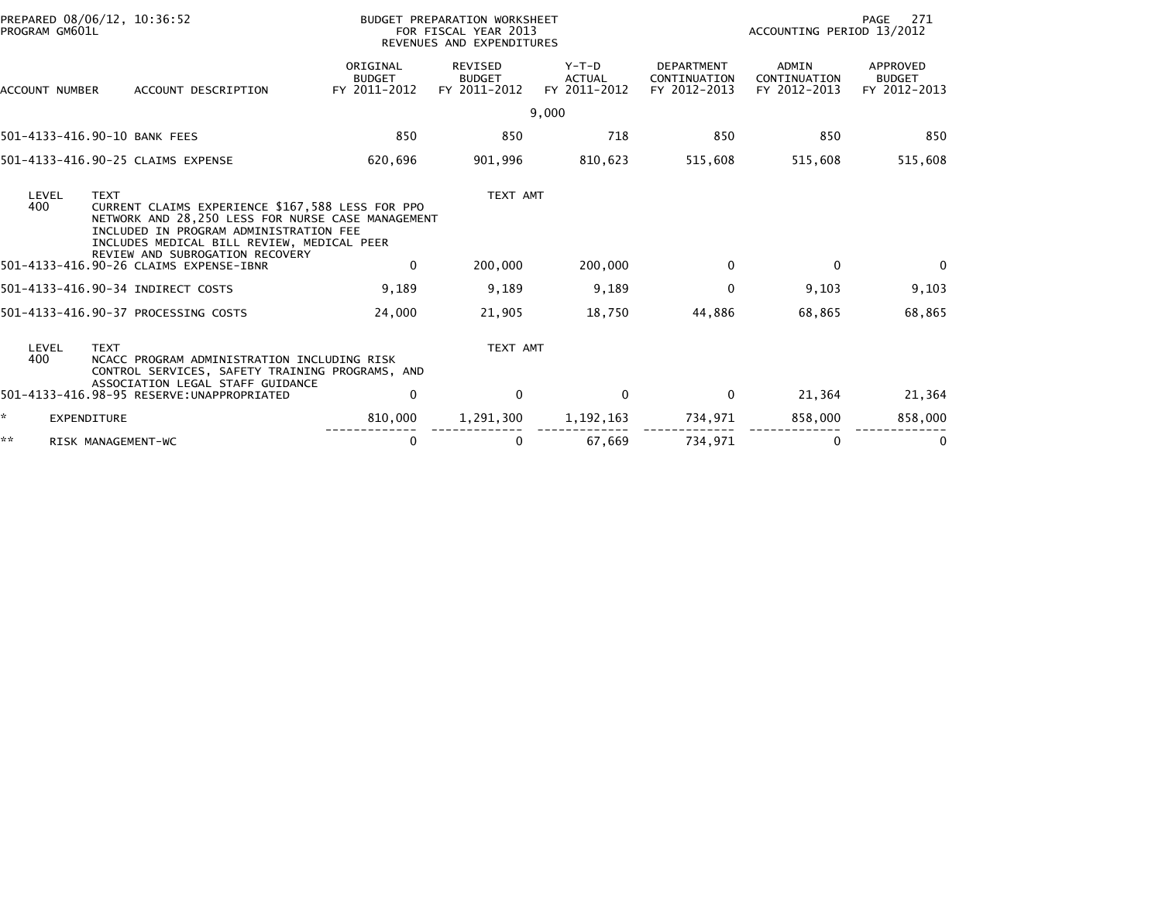| PROGRAM GM601L | PREPARED 08/06/12, 10:36:52                                                                                                                                                                                                                                                               |                                           | BUDGET PREPARATION WORKSHEET<br>FOR FISCAL YEAR 2013<br>REVENUES AND EXPENDITURES |                                   |                                                   | ACCOUNTING PERIOD 13/2012             | 271<br>PAGE                               |
|----------------|-------------------------------------------------------------------------------------------------------------------------------------------------------------------------------------------------------------------------------------------------------------------------------------------|-------------------------------------------|-----------------------------------------------------------------------------------|-----------------------------------|---------------------------------------------------|---------------------------------------|-------------------------------------------|
| ACCOUNT NUMBER | ACCOUNT DESCRIPTION                                                                                                                                                                                                                                                                       | ORIGINAL<br><b>BUDGET</b><br>FY 2011-2012 | REVISED<br><b>BUDGET</b><br>FY 2011-2012                                          | $Y-T-D$<br>ACTUAL<br>FY 2011-2012 | <b>DEPARTMENT</b><br>CONTINUATION<br>FY 2012-2013 | ADMIN<br>CONTINUATION<br>FY 2012-2013 | APPROVED<br><b>BUDGET</b><br>FY 2012-2013 |
|                |                                                                                                                                                                                                                                                                                           |                                           |                                                                                   | 9,000                             |                                                   |                                       |                                           |
|                | 501-4133-416.90-10 BANK FEES                                                                                                                                                                                                                                                              | 850                                       | 850                                                                               | 718                               | 850                                               | 850                                   | 850                                       |
|                | 501-4133-416.90-25 CLAIMS EXPENSE                                                                                                                                                                                                                                                         | 620,696                                   | 901,996                                                                           | 810,623                           | 515,608                                           | 515,608                               | 515,608                                   |
| LEVEL<br>400   | <b>TEXT</b><br>CURRENT CLAIMS EXPERIENCE \$167,588 LESS FOR PPO<br>NETWORK AND 28,250 LESS FOR NURSE CASE MANAGEMENT<br>INCLUDED IN PROGRAM ADMINISTRATION FEE<br>INCLUDES MEDICAL BILL REVIEW, MEDICAL PEER<br>REVIEW AND SUBROGATION RECOVERY<br>501-4133-416.90-26 CLAIMS EXPENSE-IBNR | 0                                         | TEXT AMT<br>200,000                                                               | 200,000                           | 0                                                 | $\mathbf 0$                           | $\Omega$                                  |
|                | 501-4133-416.90-34 INDIRECT COSTS                                                                                                                                                                                                                                                         | 9,189                                     | 9,189                                                                             | 9,189                             | 0                                                 | 9,103                                 | 9,103                                     |
|                | 501-4133-416.90-37 PROCESSING COSTS                                                                                                                                                                                                                                                       | 24,000                                    | 21,905                                                                            | 18,750                            | 44,886                                            | 68,865                                | 68,865                                    |
| LEVEL<br>400   | <b>TEXT</b><br>NCACC PROGRAM ADMINISTRATION INCLUDING RISK<br>CONTROL SERVICES, SAFETY TRAINING PROGRAMS, AND<br>ASSOCIATION LEGAL STAFF GUIDANCE                                                                                                                                         |                                           | TEXT AMT                                                                          |                                   |                                                   |                                       |                                           |
|                | 501-4133-416.98-95 RESERVE: UNAPPROPRIATED                                                                                                                                                                                                                                                | 0                                         | $\mathbf 0$                                                                       | $\mathbf 0$                       | $\mathbf 0$                                       | 21,364                                | 21,364                                    |
| ÷.             | EXPENDITURE                                                                                                                                                                                                                                                                               | 810,000                                   | 1,291,300                                                                         | 1, 192, 163                       | 734,971                                           | 858,000                               | 858,000                                   |
| **             | RISK MANAGEMENT-WC                                                                                                                                                                                                                                                                        | 0                                         | 0                                                                                 | 67,669                            | 734,971                                           | 0                                     | 0                                         |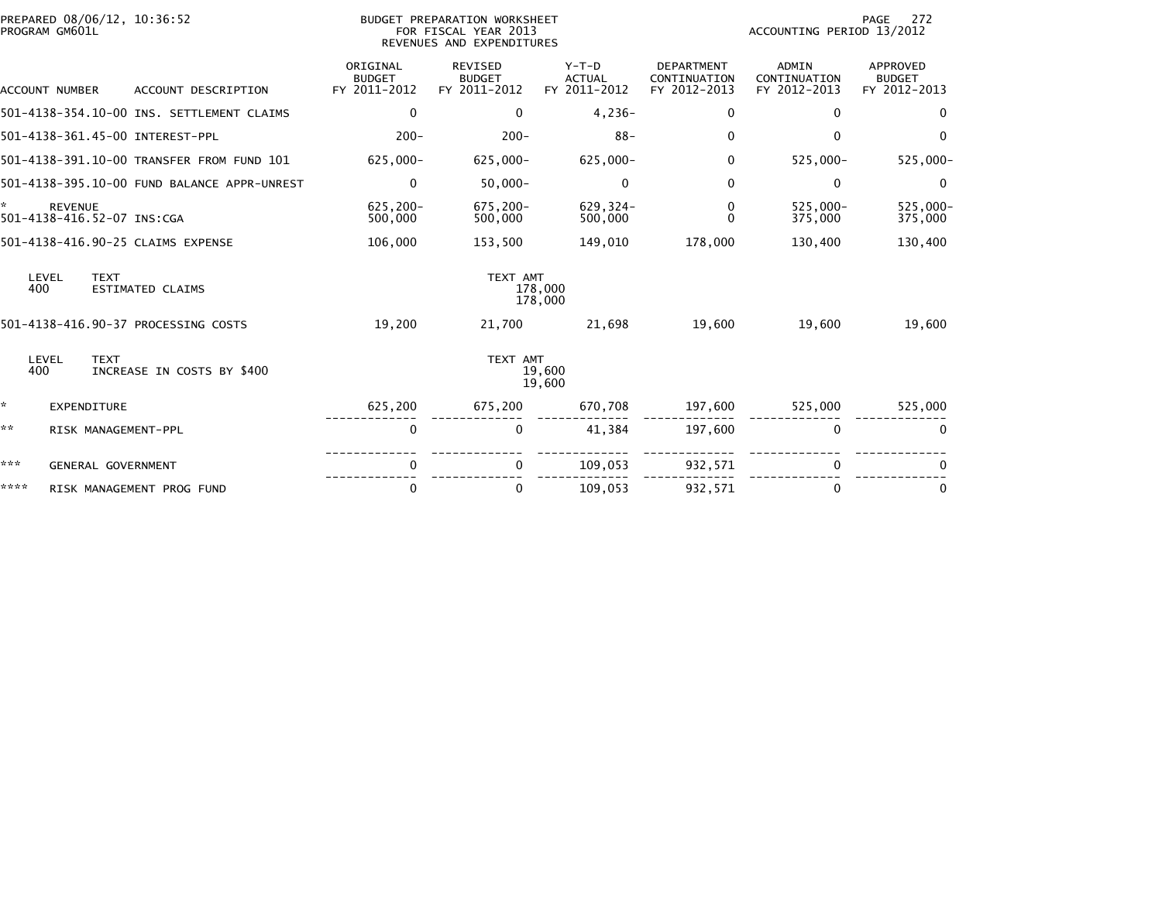|      | PREPARED 08/06/12, 10:36:52<br>PROGRAM GM601L |                                             |                                           | BUDGET PREPARATION WORKSHEET<br>FOR FISCAL YEAR 2013<br>REVENUES AND EXPENDITURES |                                          |                                                   | ACCOUNTING PERIOD 13/2012                    | 272<br>PAGE                               |
|------|-----------------------------------------------|---------------------------------------------|-------------------------------------------|-----------------------------------------------------------------------------------|------------------------------------------|---------------------------------------------------|----------------------------------------------|-------------------------------------------|
|      | <b>ACCOUNT NUMBER</b>                         | ACCOUNT DESCRIPTION                         | ORIGINAL<br><b>BUDGET</b><br>FY 2011-2012 | <b>REVISED</b><br><b>BUDGET</b><br>FY 2011-2012                                   | $Y-T-D$<br><b>ACTUAL</b><br>FY 2011-2012 | <b>DEPARTMENT</b><br>CONTINUATION<br>FY 2012-2013 | <b>ADMIN</b><br>CONTINUATION<br>FY 2012-2013 | APPROVED<br><b>BUDGET</b><br>FY 2012-2013 |
|      |                                               | 501-4138-354.10-00 INS. SETTLEMENT CLAIMS   | $\mathbf 0$                               | $\mathbf{0}$                                                                      | $4,236-$                                 | $\mathbf 0$                                       | $\Omega$                                     | $\bf{0}$                                  |
|      |                                               | 501-4138-361.45-00 INTEREST-PPL             | $200 -$                                   | $200 -$                                                                           | $88 -$                                   | $\mathbf{0}$                                      | 0                                            | $\Omega$                                  |
|      |                                               | 501-4138-391.10-00 TRANSFER FROM FUND 101   | 625,000-                                  | $625,000 -$                                                                       | 625,000-                                 | $\mathbf{0}$                                      | 525,000-                                     | $525,000 -$                               |
|      |                                               | 501-4138-395.10-00 FUND BALANCE APPR-UNREST | $\mathbf 0$                               | $50,000 -$                                                                        | 0                                        | $\mathbf 0$                                       | $\mathbf 0$                                  | $\mathbf 0$                               |
| ×.   | <b>REVENUE</b><br>501-4138-416.52-07 INS:CGA  |                                             | 625,200-<br>500,000                       | $675.200 -$<br>500,000                                                            | $629.324-$<br>500,000                    | $\mathbf{0}$<br>$\Omega$                          | $525.000 -$<br>375,000                       | 525,000-<br>375,000                       |
|      |                                               | 501-4138-416.90-25 CLAIMS EXPENSE           | 106,000                                   | 153,500                                                                           | 149,010                                  | 178,000                                           | 130,400                                      | 130,400                                   |
| 400  | LEVEL<br><b>TEXT</b>                          | <b>ESTIMATED CLAIMS</b>                     |                                           | TEXT AMT                                                                          | 178,000<br>178,000                       |                                                   |                                              |                                           |
|      |                                               | 501-4138-416.90-37 PROCESSING COSTS         | 19,200                                    | 21,700                                                                            | 21,698                                   | 19.600                                            | 19,600                                       | 19,600                                    |
| 400  | <b>TEXT</b><br>LEVEL                          | INCREASE IN COSTS BY \$400                  |                                           | TEXT AMT                                                                          | 19,600<br>19,600                         |                                                   |                                              |                                           |
| *    | EXPENDITURE                                   |                                             | 625,200                                   | 675,200                                                                           | 670,708                                  | 197,600                                           | 525,000                                      | 525,000                                   |
| **   | RISK MANAGEMENT-PPL                           |                                             | 0                                         | 0                                                                                 | 41,384                                   | 197,600                                           | 0                                            | 0                                         |
| ***  | GENERAL GOVERNMENT                            |                                             | 0                                         | $\Omega$                                                                          | 109,053                                  | 932,571                                           | $\Omega$                                     |                                           |
| **** |                                               | RISK MANAGEMENT PROG FUND                   | 0                                         | 0                                                                                 | 109,053                                  | 932,571                                           | $\Omega$                                     | $\bf{0}$                                  |
|      |                                               |                                             |                                           |                                                                                   |                                          |                                                   |                                              |                                           |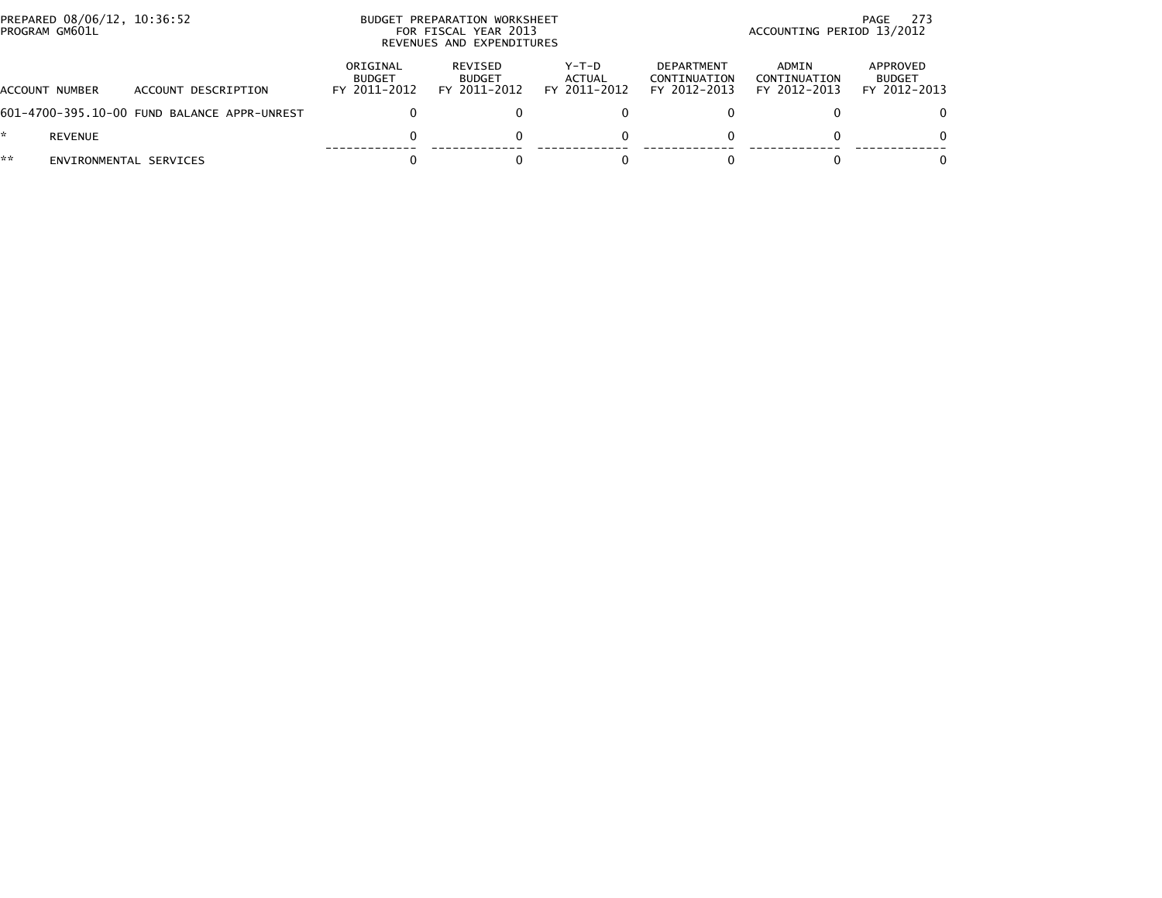| PREPARED 08/06/12, 10:36:52<br>PROGRAM GM601L |                                             |                                           | BUDGET PREPARATION WORKSHEET<br>FOR FISCAL YEAR 2013<br>REVENUES AND EXPENDITURES |                                   | -273<br>PAGE<br>ACCOUNTING PERIOD 13/2012         |                                       |                                           |  |
|-----------------------------------------------|---------------------------------------------|-------------------------------------------|-----------------------------------------------------------------------------------|-----------------------------------|---------------------------------------------------|---------------------------------------|-------------------------------------------|--|
| ACCOUNT NUMBER                                | ACCOUNT DESCRIPTION                         | ORIGINAL<br><b>BUDGET</b><br>FY 2011-2012 | REVISED<br><b>BUDGET</b><br>FY 2011-2012                                          | $Y-T-D$<br>ACTUAL<br>FY 2011-2012 | <b>DEPARTMENT</b><br>CONTINUATION<br>FY 2012-2013 | ADMIN<br>CONTINUATION<br>FY 2012-2013 | APPROVED<br><b>BUDGET</b><br>FY 2012-2013 |  |
|                                               | 601-4700-395.10-00 FUND BALANCE APPR-UNREST |                                           |                                                                                   |                                   |                                                   |                                       | 0                                         |  |
| REVENUE                                       |                                             | 0                                         |                                                                                   |                                   |                                                   |                                       | $\Omega$                                  |  |
| **<br>ENVIRONMENTAL SERVICES                  |                                             |                                           |                                                                                   |                                   |                                                   |                                       | 0                                         |  |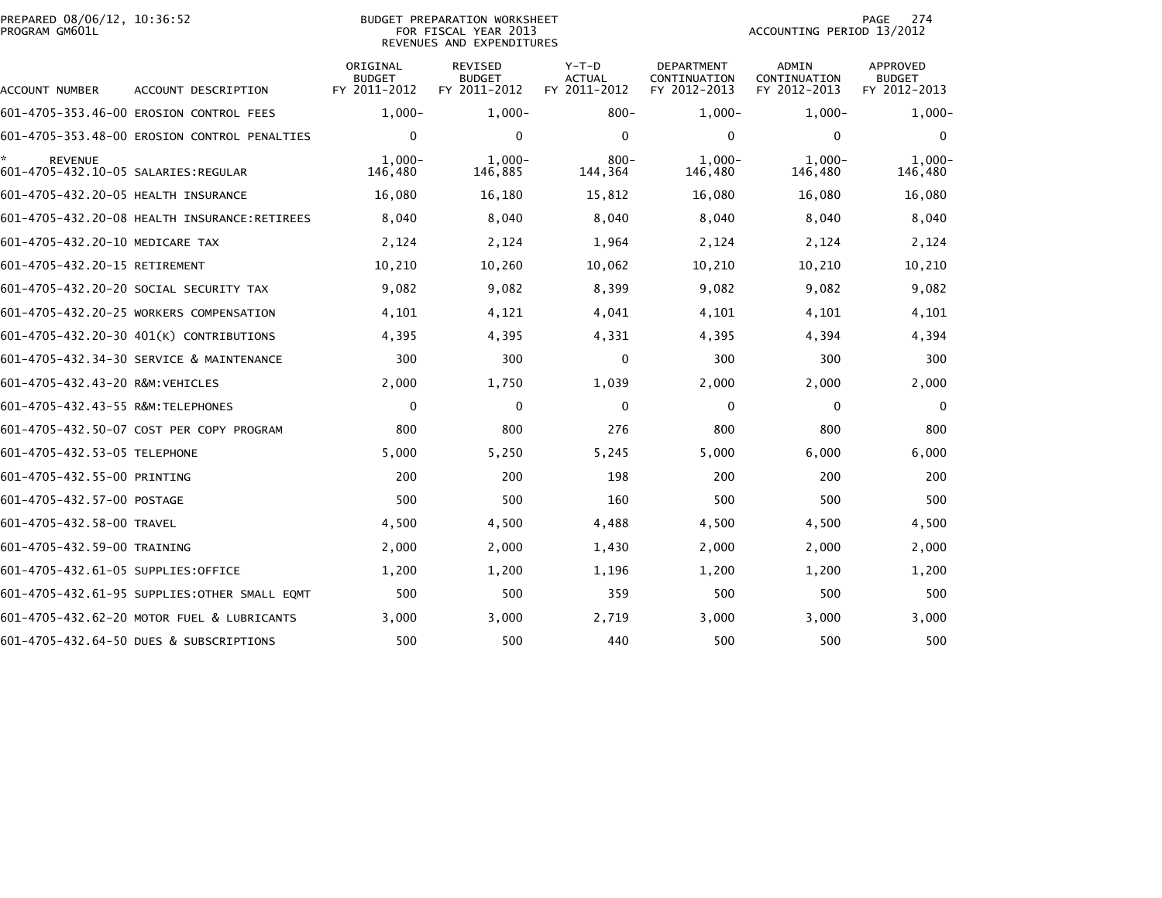| PREPARED 08/06/12, 10:36:52<br>PROGRAM GM601L         |                                              |                                           | <b>BUDGET PREPARATION WORKSHEET</b><br>FOR FISCAL YEAR 2013<br>REVENUES AND EXPENDITURES |                                          |                                                   | ACCOUNTING PERIOD 13/2012                    | 274<br>PAGE                               |
|-------------------------------------------------------|----------------------------------------------|-------------------------------------------|------------------------------------------------------------------------------------------|------------------------------------------|---------------------------------------------------|----------------------------------------------|-------------------------------------------|
| ACCOUNT NUMBER                                        | ACCOUNT DESCRIPTION                          | ORIGINAL<br><b>BUDGET</b><br>FY 2011-2012 | REVISED<br><b>BUDGET</b><br>FY 2011-2012                                                 | $Y-T-D$<br><b>ACTUAL</b><br>FY 2011-2012 | <b>DEPARTMENT</b><br>CONTINUATION<br>FY 2012-2013 | <b>ADMIN</b><br>CONTINUATION<br>FY 2012-2013 | APPROVED<br><b>BUDGET</b><br>FY 2012-2013 |
|                                                       | 601-4705-353.46-00 EROSION CONTROL FEES      | $1,000-$                                  | $1.000 -$                                                                                | $800 -$                                  | $1,000-$                                          | $1,000-$                                     | $1,000-$                                  |
|                                                       | 601-4705-353.48-00 EROSION CONTROL PENALTIES | $\mathbf{0}$                              | 0                                                                                        | $\mathbf{0}$                             | $\mathbf{0}$                                      | 0                                            | $\mathbf 0$                               |
| <b>REVENUE</b><br>601-4705-432.10-05 SALARIES:REGULAR |                                              | $1.000 -$<br>146,480                      | $1.000 -$<br>146,885                                                                     | 800-<br>144,364                          | $1.000 -$<br>146,480                              | $1.000 -$<br>146,480                         | $1.000 -$<br>146,480                      |
| 601-4705-432.20-05 HEALTH INSURANCE                   |                                              | 16,080                                    | 16,180                                                                                   | 15,812                                   | 16,080                                            | 16,080                                       | 16,080                                    |
|                                                       | 601-4705-432.20-08 HEALTH INSURANCE:RETIREES | 8,040                                     | 8,040                                                                                    | 8,040                                    | 8,040                                             | 8,040                                        | 8,040                                     |
| 601-4705-432.20-10 MEDICARE TAX                       |                                              | 2,124                                     | 2,124                                                                                    | 1,964                                    | 2,124                                             | 2,124                                        | 2,124                                     |
| 601-4705-432.20-15 RETIREMENT                         |                                              | 10,210                                    | 10,260                                                                                   | 10,062                                   | 10,210                                            | 10,210                                       | 10,210                                    |
|                                                       | 601-4705-432.20-20 SOCIAL SECURITY TAX       | 9,082                                     | 9,082                                                                                    | 8,399                                    | 9,082                                             | 9,082                                        | 9,082                                     |
|                                                       | 601-4705-432.20-25 WORKERS COMPENSATION      | 4,101                                     | 4,121                                                                                    | 4,041                                    | 4,101                                             | 4,101                                        | 4,101                                     |
|                                                       | 601-4705-432.20-30 401(K) CONTRIBUTIONS      | 4,395                                     | 4,395                                                                                    | 4,331                                    | 4,395                                             | 4,394                                        | 4,394                                     |
|                                                       | 601-4705-432.34-30 SERVICE & MAINTENANCE     | 300                                       | 300                                                                                      | $\Omega$                                 | 300                                               | 300                                          | 300                                       |
| 601-4705-432.43-20 R&M:VEHICLES                       |                                              | 2,000                                     | 1,750                                                                                    | 1,039                                    | 2,000                                             | 2,000                                        | 2,000                                     |
| 601-4705-432.43-55 R&M:TELEPHONES                     |                                              | 0                                         | 0                                                                                        | $\Omega$                                 | $\mathbf{0}$                                      | 0                                            | $\Omega$                                  |
|                                                       | 601-4705-432.50-07 COST PER COPY PROGRAM     | 800                                       | 800                                                                                      | 276                                      | 800                                               | 800                                          | 800                                       |
| 601-4705-432.53-05 TELEPHONE                          |                                              | 5,000                                     | 5,250                                                                                    | 5,245                                    | 5,000                                             | 6,000                                        | 6,000                                     |
| 601-4705-432.55-00 PRINTING                           |                                              | 200                                       | 200                                                                                      | 198                                      | 200                                               | 200                                          | 200                                       |
| 601-4705-432.57-00 POSTAGE                            |                                              | 500                                       | 500                                                                                      | 160                                      | 500                                               | 500                                          | 500                                       |
| 601-4705-432.58-00 TRAVEL                             |                                              | 4,500                                     | 4,500                                                                                    | 4,488                                    | 4,500                                             | 4,500                                        | 4,500                                     |
| 601-4705-432.59-00 TRAINING                           |                                              | 2,000                                     | 2,000                                                                                    | 1,430                                    | 2,000                                             | 2,000                                        | 2,000                                     |
| 601-4705-432.61-05 SUPPLIES:OFFICE                    |                                              | 1,200                                     | 1,200                                                                                    | 1,196                                    | 1,200                                             | 1,200                                        | 1,200                                     |
|                                                       | 601-4705-432.61-95 SUPPLIES:OTHER SMALL EQMT | 500                                       | 500                                                                                      | 359                                      | 500                                               | 500                                          | 500                                       |
|                                                       | 601-4705-432.62-20 MOTOR FUEL & LUBRICANTS   | 3,000                                     | 3,000                                                                                    | 2,719                                    | 3,000                                             | 3,000                                        | 3,000                                     |
|                                                       | 601-4705-432.64-50 DUES & SUBSCRIPTIONS      | 500                                       | 500                                                                                      | 440                                      | 500                                               | 500                                          | 500                                       |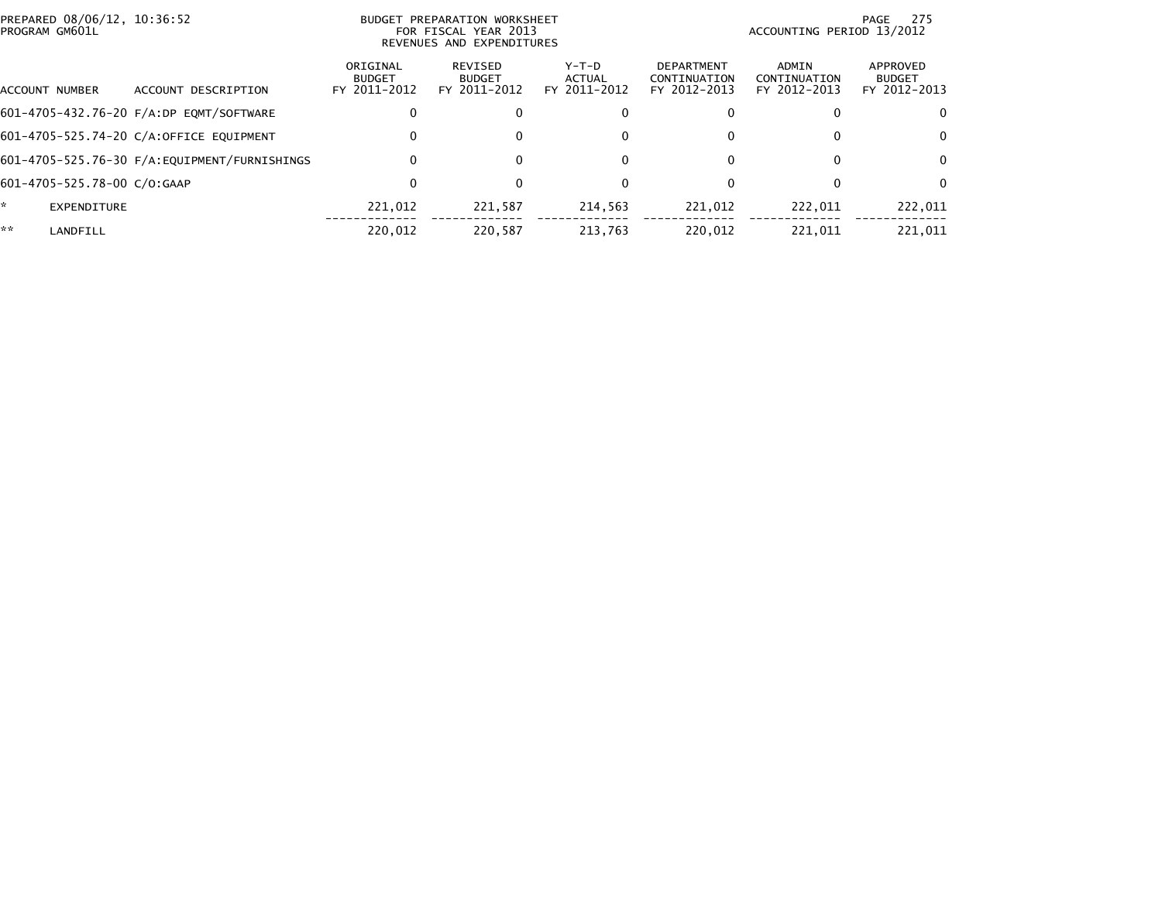| PREPARED 08/06/12, 10:36:52<br>PROGRAM GM601L |                             |                                         | BUDGET PREPARATION WORKSHEET<br>FOR FISCAL YEAR 2013<br>REVENUES AND EXPENDITURES |                                                 |                                        |                                                   | 275<br>PAGE<br>ACCOUNTING PERIOD 13/2012 |                                           |  |
|-----------------------------------------------|-----------------------------|-----------------------------------------|-----------------------------------------------------------------------------------|-------------------------------------------------|----------------------------------------|---------------------------------------------------|------------------------------------------|-------------------------------------------|--|
| ACCOUNT NUMBER                                |                             | DESCRIPTION<br>ACCOUNT                  | ORIGINAL<br><b>BUDGET</b><br>FY 2011-2012                                         | <b>REVISED</b><br><b>BUDGET</b><br>FY 2011-2012 | Y-T-D<br><b>ACTUAL</b><br>FY 2011-2012 | <b>DEPARTMENT</b><br>CONTINUATION<br>FY 2012-2013 | ADMIN<br>CONTINUATION<br>FY 2012-2013    | APPROVED<br><b>BUDGET</b><br>FY 2012-2013 |  |
|                                               |                             | 601-4705-432.76-20 F/A:DP EQMT/SOFTWARE |                                                                                   | $\mathbf{0}$                                    | 0                                      |                                                   |                                          | $\Omega$                                  |  |
|                                               |                             | 601-4705-525.74-20 C/A:OFFICE EOUIPMENT |                                                                                   | $\mathbf{0}$                                    | 0                                      |                                                   | 0                                        | $\mathbf{0}$                              |  |
|                                               |                             |                                         |                                                                                   | $\mathbf{0}$                                    | 0                                      |                                                   | $\bf{0}$                                 | $\Omega$                                  |  |
|                                               | 601-4705-525.78-00 C/O:GAAP |                                         |                                                                                   | $\mathbf{0}$                                    | 0                                      |                                                   | 0                                        | $\Omega$                                  |  |
| *                                             | <b>EXPENDITURE</b>          |                                         | 221.012                                                                           | 221.587                                         | 214.563                                | 221.012                                           | 222.011                                  | 222,011                                   |  |
| **                                            | LANDFILL                    |                                         | 220,012                                                                           | 220,587                                         | 213,763                                | 220,012                                           | 221,011                                  | 221,011                                   |  |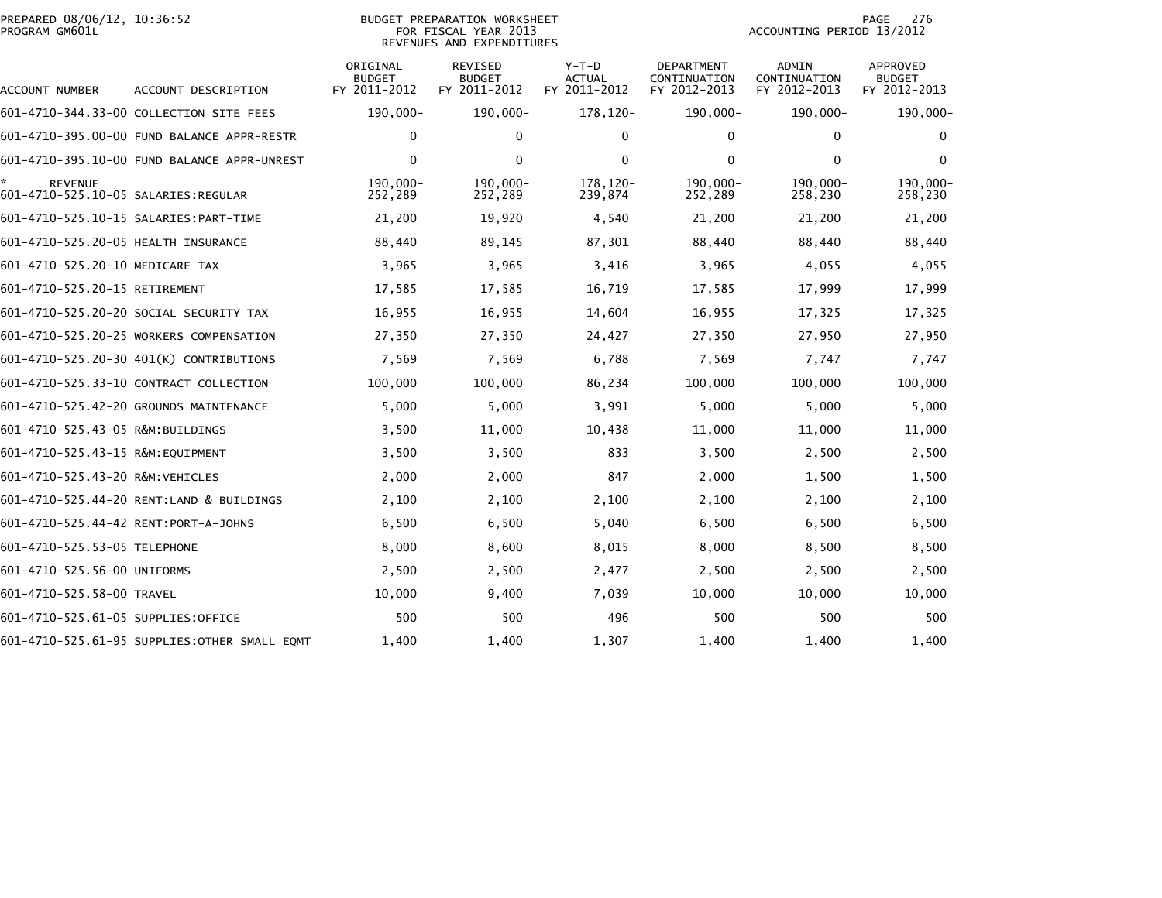|                | PREPARED 08/06/12, 10:36:52 |  |
|----------------|-----------------------------|--|
| PROGRAM GM601L |                             |  |

#### BUDGET PREPARATION WORKSHEET<br>FOR FISCAL YEAR 2013 PROGRAM GM601L FOR FISCAL YEAR 2013 ACCOUNTING PERIOD 13/2012REVENUES AND EXPENDITURES

| ACCOUNT NUMBER                                         | ACCOUNT DESCRIPTION                           | ORIGINAL<br><b>BUDGET</b><br>FY 2011-2012 | <b>REVISED</b><br><b>BUDGET</b><br>FY 2011-2012 | $Y-T-D$<br><b>ACTUAL</b><br>FY 2011-2012 | <b>DEPARTMENT</b><br>CONTINUATION<br>FY 2012-2013 | ADMIN<br>CONTINUATION<br>FY 2012-2013 | <b>APPROVED</b><br><b>BUDGET</b><br>FY 2012-2013 |
|--------------------------------------------------------|-----------------------------------------------|-------------------------------------------|-------------------------------------------------|------------------------------------------|---------------------------------------------------|---------------------------------------|--------------------------------------------------|
|                                                        | 601-4710-344.33-00 COLLECTION SITE FEES       | $190,000 -$                               | 190,000-                                        | 178,120-                                 | 190,000-                                          | 190,000-                              | 190,000-                                         |
|                                                        | 601-4710-395.00-00 FUND BALANCE APPR-RESTR    | 0                                         | $\mathbf{0}$                                    | 0                                        | 0                                                 | 0                                     | 0                                                |
|                                                        | 601-4710-395.10-00 FUND BALANCE APPR-UNREST   | $\Omega$                                  | $\mathbf{0}$                                    | $\mathbf{0}$                             | $\Omega$                                          | $\mathbf{0}$                          | 0                                                |
| <b>REVENUE</b><br>601-4710-525.10-05 SALARIES: REGULAR |                                               | 190.000-<br>252,289                       | $190.000 -$<br>252,289                          | 178.120-<br>239,874                      | 190.000-<br>252,289                               | 190.000-<br>258,230                   | $190,000 -$<br>258,230                           |
|                                                        | 601-4710-525.10-15 SALARIES: PART-TIME        | 21,200                                    | 19,920                                          | 4,540                                    | 21,200                                            | 21,200                                | 21,200                                           |
| 601-4710-525.20-05 HEALTH INSURANCE                    |                                               | 88,440                                    | 89,145                                          | 87,301                                   | 88,440                                            | 88,440                                | 88,440                                           |
| 601-4710-525.20-10 MEDICARE TAX                        |                                               | 3,965                                     | 3,965                                           | 3,416                                    | 3,965                                             | 4,055                                 | 4,055                                            |
| 601-4710-525.20-15 RETIREMENT                          |                                               | 17,585                                    | 17,585                                          | 16,719                                   | 17,585                                            | 17,999                                | 17,999                                           |
|                                                        | 601-4710-525.20-20 SOCIAL SECURITY TAX        | 16,955                                    | 16,955                                          | 14,604                                   | 16,955                                            | 17,325                                | 17,325                                           |
|                                                        | 601-4710-525.20-25 WORKERS COMPENSATION       | 27,350                                    | 27,350                                          | 24,427                                   | 27,350                                            | 27,950                                | 27,950                                           |
|                                                        | 601-4710-525.20-30 401(K) CONTRIBUTIONS       | 7,569                                     | 7,569                                           | 6,788                                    | 7,569                                             | 7,747                                 | 7,747                                            |
|                                                        | 601-4710-525.33-10 CONTRACT COLLECTION        | 100,000                                   | 100,000                                         | 86,234                                   | 100,000                                           | 100,000                               | 100,000                                          |
|                                                        | 601-4710-525.42-20 GROUNDS MAINTENANCE        | 5,000                                     | 5,000                                           | 3,991                                    | 5,000                                             | 5,000                                 | 5,000                                            |
| 601-4710-525.43-05 R&M:BUILDINGS                       |                                               | 3,500                                     | 11,000                                          | 10,438                                   | 11,000                                            | 11,000                                | 11,000                                           |
| 601-4710-525.43-15 R&M:EQUIPMENT                       |                                               | 3,500                                     | 3,500                                           | 833                                      | 3,500                                             | 2,500                                 | 2,500                                            |
| 601-4710-525.43-20 R&M: VEHICLES                       |                                               | 2,000                                     | 2,000                                           | 847                                      | 2,000                                             | 1,500                                 | 1,500                                            |
|                                                        | 601-4710-525.44-20 RENT:LAND & BUILDINGS      | 2,100                                     | 2,100                                           | 2,100                                    | 2,100                                             | 2,100                                 | 2,100                                            |
| 601-4710-525.44-42 RENT:PORT-A-JOHNS                   |                                               | 6,500                                     | 6,500                                           | 5,040                                    | 6,500                                             | 6,500                                 | 6,500                                            |
| 601-4710-525.53-05 TELEPHONE                           |                                               | 8,000                                     | 8,600                                           | 8,015                                    | 8,000                                             | 8,500                                 | 8,500                                            |
| 601-4710-525.56-00 UNIFORMS                            |                                               | 2,500                                     | 2,500                                           | 2,477                                    | 2,500                                             | 2,500                                 | 2,500                                            |
| 601-4710-525.58-00 TRAVEL                              |                                               | 10,000                                    | 9,400                                           | 7,039                                    | 10,000                                            | 10,000                                | 10,000                                           |
| 601-4710-525.61-05 SUPPLIES:OFFICE                     |                                               | 500                                       | 500                                             | 496                                      | 500                                               | 500                                   | 500                                              |
|                                                        | 601-4710-525.61-95 SUPPLIES: OTHER SMALL EQMT | 1,400                                     | 1,400                                           | 1,307                                    | 1,400                                             | 1,400                                 | 1,400                                            |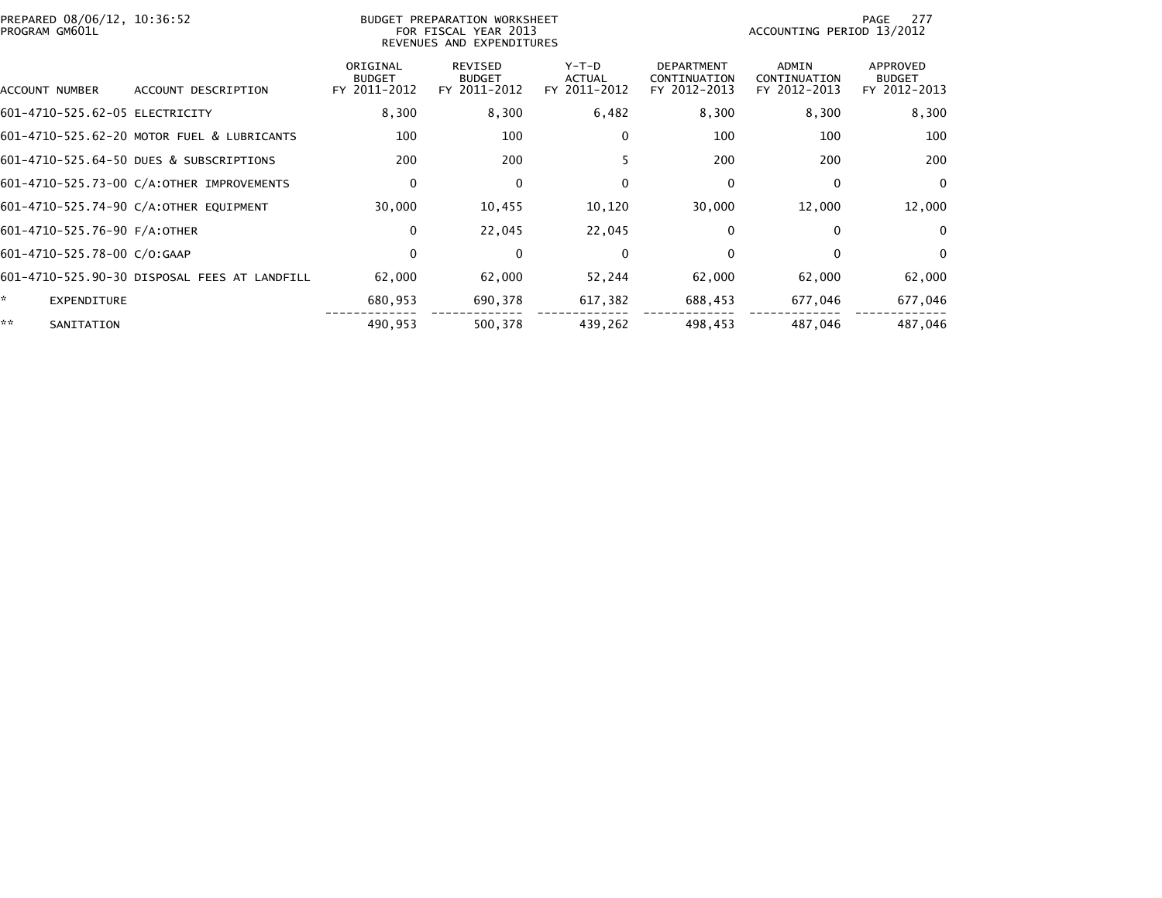| PREPARED 08/06/12, 10:36:52<br>PROGRAM GM601L | BUDGET PREPARATION WORKSHEET<br>FOR FISCAL YEAR 2013<br>REVENUES AND EXPENDITURES |                                           |                                                 |                                          |                                                   | 277<br>PAGE<br>ACCOUNTING PERIOD 13/2012 |                                           |  |
|-----------------------------------------------|-----------------------------------------------------------------------------------|-------------------------------------------|-------------------------------------------------|------------------------------------------|---------------------------------------------------|------------------------------------------|-------------------------------------------|--|
| ACCOUNT NUMBER                                | ACCOUNT DESCRIPTION                                                               | ORIGINAL<br><b>BUDGET</b><br>FY 2011-2012 | <b>REVISED</b><br><b>BUDGET</b><br>FY 2011-2012 | $Y-T-D$<br><b>ACTUAL</b><br>FY 2011-2012 | <b>DEPARTMENT</b><br>CONTINUATION<br>FY 2012-2013 | ADMIN<br>CONTINUATION<br>FY 2012-2013    | APPROVED<br><b>BUDGET</b><br>FY 2012-2013 |  |
| 601-4710-525.62-05 ELECTRICITY                |                                                                                   | 8,300                                     | 8,300                                           | 6,482                                    | 8,300                                             | 8,300                                    | 8,300                                     |  |
|                                               | 601-4710-525.62-20 MOTOR FUEL & LUBRICANTS                                        | 100                                       | 100                                             | $\bf{0}$                                 | 100                                               | 100                                      | 100                                       |  |
|                                               | 601-4710-525.64-50 DUES & SUBSCRIPTIONS                                           | 200                                       | 200                                             |                                          | 200                                               | 200                                      | 200                                       |  |
|                                               | 601-4710-525.73-00 C/A:OTHER IMPROVEMENTS                                         | 0                                         | 0                                               | $\bf{0}$                                 | 0                                                 | $\Omega$                                 | $\overline{0}$                            |  |
|                                               | 601-4710-525.74-90 C/A:OTHER EQUIPMENT                                            | 30,000                                    | 10,455                                          | 10,120                                   | 30,000                                            | 12,000                                   | 12,000                                    |  |
| 601-4710-525.76-90 F/A:OTHER                  |                                                                                   | 0                                         | 22,045                                          | 22,045                                   | $\mathbf{0}$                                      | 0                                        | $\Omega$                                  |  |
| 601-4710-525.78-00 C/O:GAAP                   |                                                                                   | $\mathbf 0$                               | $\Omega$                                        | $\Omega$                                 | $\Omega$                                          | $\Omega$                                 | $\Omega$                                  |  |
|                                               | 601-4710-525.90-30 DISPOSAL FEES AT LANDFILL                                      | 62,000                                    | 62,000                                          | 52,244                                   | 62,000                                            | 62,000                                   | 62,000                                    |  |
| ŵ.<br><b>EXPENDITURE</b>                      |                                                                                   | 680,953                                   | 690,378                                         | 617,382                                  | 688,453                                           | 677,046                                  | 677,046                                   |  |
| **<br>SANITATION                              |                                                                                   | 490,953                                   | 500,378                                         | 439,262                                  | 498,453                                           | 487,046                                  | 487,046                                   |  |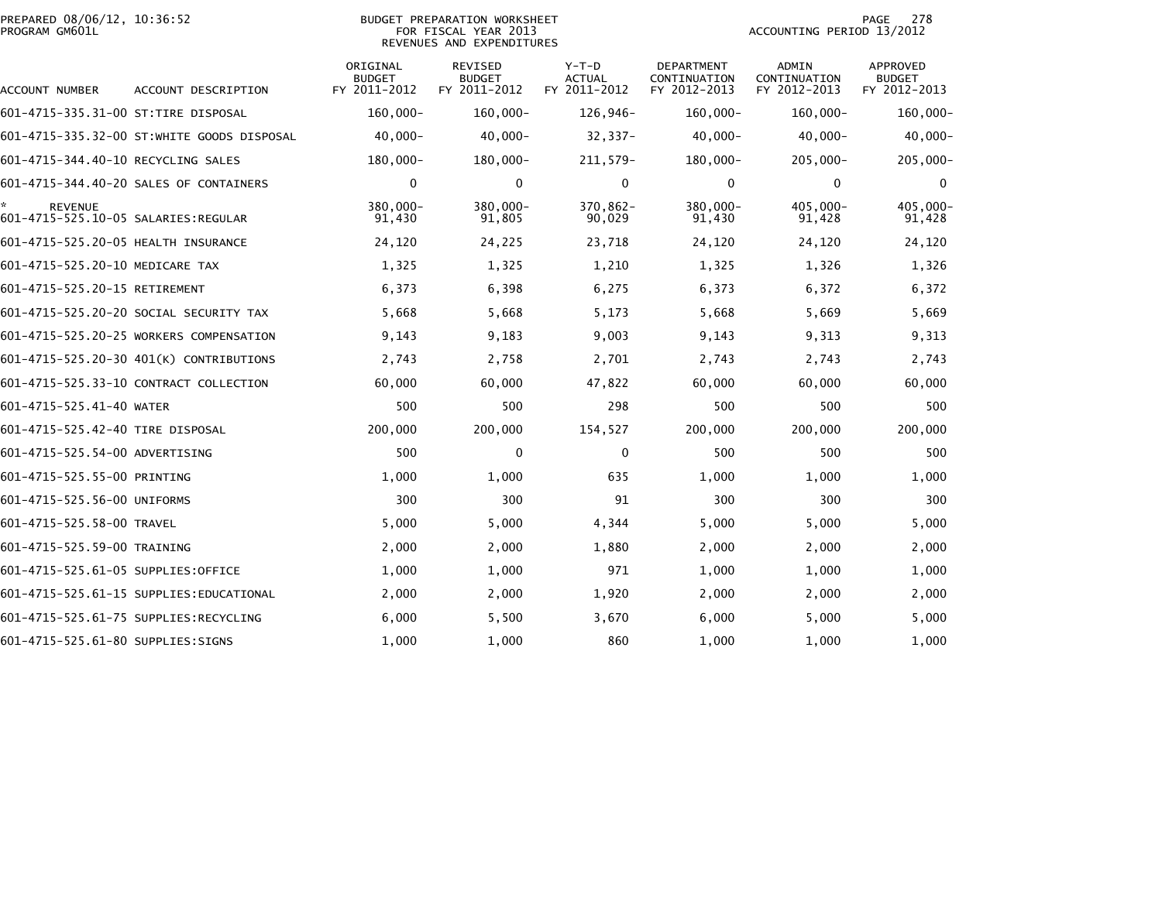| PREPARED 08/06/12, 10:36:52<br>PROGRAM GM601L |                                            | BUDGET PREPARATION WORKSHEET<br>FOR FISCAL YEAR 2013<br>REVENUES AND EXPENDITURES |                                          |                                          |                                            |                                       | 278<br>PAGE<br>ACCOUNTING PERIOD 13/2012  |  |  |
|-----------------------------------------------|--------------------------------------------|-----------------------------------------------------------------------------------|------------------------------------------|------------------------------------------|--------------------------------------------|---------------------------------------|-------------------------------------------|--|--|
| ACCOUNT NUMBER                                | ACCOUNT DESCRIPTION                        | ORIGINAL<br><b>BUDGET</b><br>FY 2011-2012                                         | REVISED<br><b>BUDGET</b><br>FY 2011-2012 | $Y-T-D$<br><b>ACTUAL</b><br>FY 2011-2012 | DEPARTMENT<br>CONTINUATION<br>FY 2012-2013 | ADMIN<br>CONTINUATION<br>FY 2012-2013 | APPROVED<br><b>BUDGET</b><br>FY 2012-2013 |  |  |
| 601-4715-335.31-00 ST:TIRE DISPOSAL           |                                            | $160,000 -$                                                                       | $160,000 -$                              | 126,946-                                 | $160,000 -$                                | $160,000 -$                           | $160,000 -$                               |  |  |
|                                               | 601–4715–335.32–00 ST:WHITE GOODS DISPOSAL | $40,000 -$                                                                        | $40,000 -$                               | $32,337-$                                | $40,000 -$                                 | $40,000 -$                            | $40,000 -$                                |  |  |
| 601-4715-344.40-10 RECYCLING SALES            |                                            | 180,000-                                                                          | 180,000-                                 | 211, 579-                                | 180,000-                                   | $205,000 -$                           | $205,000 -$                               |  |  |
|                                               | 601-4715-344.40-20 SALES OF CONTAINERS     | 0                                                                                 | 0                                        | 0                                        | 0                                          | 0                                     | 0                                         |  |  |
| <b>REVENUE</b>                                |                                            | 380,000-<br>91,430                                                                | 380,000-<br>91,805                       | 370,862-<br>90,029                       | 380,000-<br>91,430                         | 405,000-<br>91,428                    | 405,000-<br>91,428                        |  |  |
| 601-4715-525.20-05 HEALTH INSURANCE           |                                            | 24,120                                                                            | 24,225                                   | 23,718                                   | 24,120                                     | 24,120                                | 24,120                                    |  |  |
| 601-4715-525.20-10 MEDICARE TAX               |                                            | 1,325                                                                             | 1,325                                    | 1,210                                    | 1,325                                      | 1,326                                 | 1,326                                     |  |  |
| 601-4715-525.20-15 RETIREMENT                 |                                            | 6,373                                                                             | 6,398                                    | 6,275                                    | 6,373                                      | 6,372                                 | 6,372                                     |  |  |
|                                               | 601-4715-525.20-20 SOCIAL SECURITY TAX     | 5,668                                                                             | 5,668                                    | 5,173                                    | 5,668                                      | 5,669                                 | 5,669                                     |  |  |
|                                               | 601-4715-525.20-25 WORKERS COMPENSATION    | 9,143                                                                             | 9,183                                    | 9,003                                    | 9,143                                      | 9,313                                 | 9,313                                     |  |  |
|                                               | 601-4715-525.20-30 401(K) CONTRIBUTIONS    | 2,743                                                                             | 2,758                                    | 2,701                                    | 2,743                                      | 2,743                                 | 2,743                                     |  |  |
|                                               | 601-4715-525.33-10 CONTRACT COLLECTION     | 60,000                                                                            | 60,000                                   | 47,822                                   | 60,000                                     | 60,000                                | 60,000                                    |  |  |
| 601-4715-525.41-40 WATER                      |                                            | 500                                                                               | 500                                      | 298                                      | 500                                        | 500                                   | 500                                       |  |  |
| 601-4715-525.42-40 TIRE DISPOSAL              |                                            | 200,000                                                                           | 200,000                                  | 154,527                                  | 200,000                                    | 200,000                               | 200,000                                   |  |  |
| 601-4715-525.54-00 ADVERTISING                |                                            | 500                                                                               | $\mathbf 0$                              | $\mathbf 0$                              | 500                                        | 500                                   | 500                                       |  |  |
| 601-4715-525.55-00 PRINTING                   |                                            | 1,000                                                                             | 1.000                                    | 635                                      | 1.000                                      | 1,000                                 | 1,000                                     |  |  |
| 601-4715-525.56-00 UNIFORMS                   |                                            | 300                                                                               | 300                                      | 91                                       | 300                                        | 300                                   | 300                                       |  |  |
| 601-4715-525.58-00 TRAVEL                     |                                            | 5,000                                                                             | 5,000                                    | 4,344                                    | 5,000                                      | 5,000                                 | 5,000                                     |  |  |
| 601-4715-525.59-00 TRAINING                   |                                            | 2,000                                                                             | 2,000                                    | 1,880                                    | 2,000                                      | 2,000                                 | 2,000                                     |  |  |
| 601-4715-525.61-05 SUPPLIES:OFFICE            |                                            | 1,000                                                                             | 1,000                                    | 971                                      | 1,000                                      | 1,000                                 | 1,000                                     |  |  |
|                                               |                                            | 2,000                                                                             | 2,000                                    | 1,920                                    | 2,000                                      | 2,000                                 | 2,000                                     |  |  |
|                                               | 601-4715-525.61-75 SUPPLIES:RECYCLING      | 6,000                                                                             | 5,500                                    | 3,670                                    | 6,000                                      | 5,000                                 | 5,000                                     |  |  |
| 601-4715-525.61-80 SUPPLIES:SIGNS             |                                            | 1,000                                                                             | 1,000                                    | 860                                      | 1,000                                      | 1,000                                 | 1,000                                     |  |  |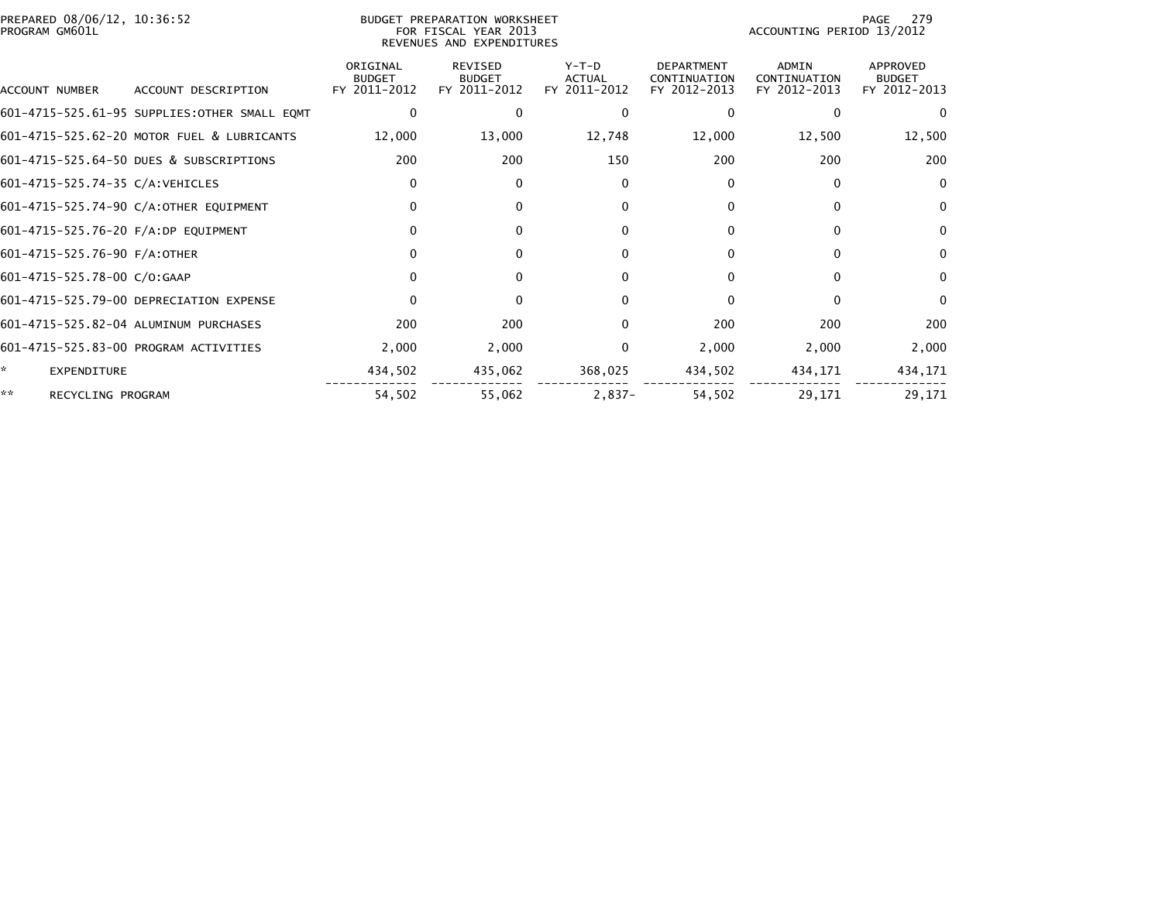| PREPARED 08/06/12, 10:36:52<br>PROGRAM GM601L |                                           | BUDGET PREPARATION WORKSHEET<br>FOR FISCAL YEAR 2013<br>REVENUES AND EXPENDITURES |                                   |                                                   | ACCOUNTING PERIOD 13/2012                    | 279<br>PAGE                               |
|-----------------------------------------------|-------------------------------------------|-----------------------------------------------------------------------------------|-----------------------------------|---------------------------------------------------|----------------------------------------------|-------------------------------------------|
| ACCOUNT NUMBER<br>ACCOUNT DESCRIPTION         | ORIGINAL<br><b>BUDGET</b><br>FY 2011-2012 | <b>REVISED</b><br><b>BUDGET</b><br>FY 2011-2012                                   | $Y-T-D$<br>ACTUAL<br>FY 2011-2012 | <b>DEPARTMENT</b><br>CONTINUATION<br>FY 2012-2013 | <b>ADMIN</b><br>CONTINUATION<br>FY 2012-2013 | APPROVED<br><b>BUDGET</b><br>FY 2012-2013 |
| 601-4715-525.61-95 SUPPLIES:OTHER SMALL EQMT  |                                           | 0                                                                                 | 0                                 | 0                                                 | $\Omega$                                     |                                           |
| 601-4715-525.62-20 MOTOR FUEL & LUBRICANTS    | 12,000                                    | 13,000                                                                            | 12,748                            | 12,000                                            | 12,500                                       | 12,500                                    |
| 601-4715-525.64-50 DUES & SUBSCRIPTIONS       |                                           | 200                                                                               | 200<br>150                        | 200                                               | 200                                          | 200                                       |
| 601-4715-525.74-35 C/A:VEHICLES               |                                           | $\mathbf{0}$                                                                      | $\Omega$                          | 0                                                 | $\Omega$                                     | $\mathbf{0}$                              |
| 601-4715-525.74-90 C/A:OTHER EQUIPMENT        |                                           | 0                                                                                 | $\Omega$                          | 0                                                 | 0                                            | $\bf{0}$                                  |
| 601-4715-525.76-20 F/A:DP EQUIPMENT           |                                           | $\mathbf{0}$                                                                      | $\mathbf{0}$                      | $\mathbf{0}$                                      | $\Omega$                                     | $\mathbf{0}$                              |
| 601-4715-525.76-90 F/A:OTHER                  |                                           | $\Omega$                                                                          | $\Omega$                          | $\Omega$                                          | $\Omega$                                     | $\mathbf{0}$                              |
| 601-4715-525.78-00 C/O:GAAP                   |                                           | $\mathbf{0}$                                                                      | $\mathbf{0}$                      | 0                                                 | $\Omega$                                     | $\bf{0}$                                  |
| 601-4715-525.79-00 DEPRECIATION EXPENSE       |                                           | $\mathbf{0}$                                                                      | $\mathbf{0}$                      | $\Omega$                                          | 0                                            | $\mathbf{0}$                              |
| 601-4715-525.82-04 ALUMINUM PURCHASES         |                                           | 200                                                                               | 200                               | 200<br>0                                          | 200                                          | 200                                       |
| 601-4715-525.83-00 PROGRAM ACTIVITIES         |                                           | 2,000<br>2,000                                                                    |                                   | 2,000<br>0                                        | 2,000                                        | 2,000                                     |
| ÷,<br><b>EXPENDITURE</b>                      | 434,502                                   | 435,062                                                                           | 368,025                           | 434,502                                           | 434,171                                      | 434,171                                   |
| **<br>RECYCLING PROGRAM                       | 54,502                                    | 55,062                                                                            | $2,837-$                          | 54,502                                            | 29,171                                       | 29,171                                    |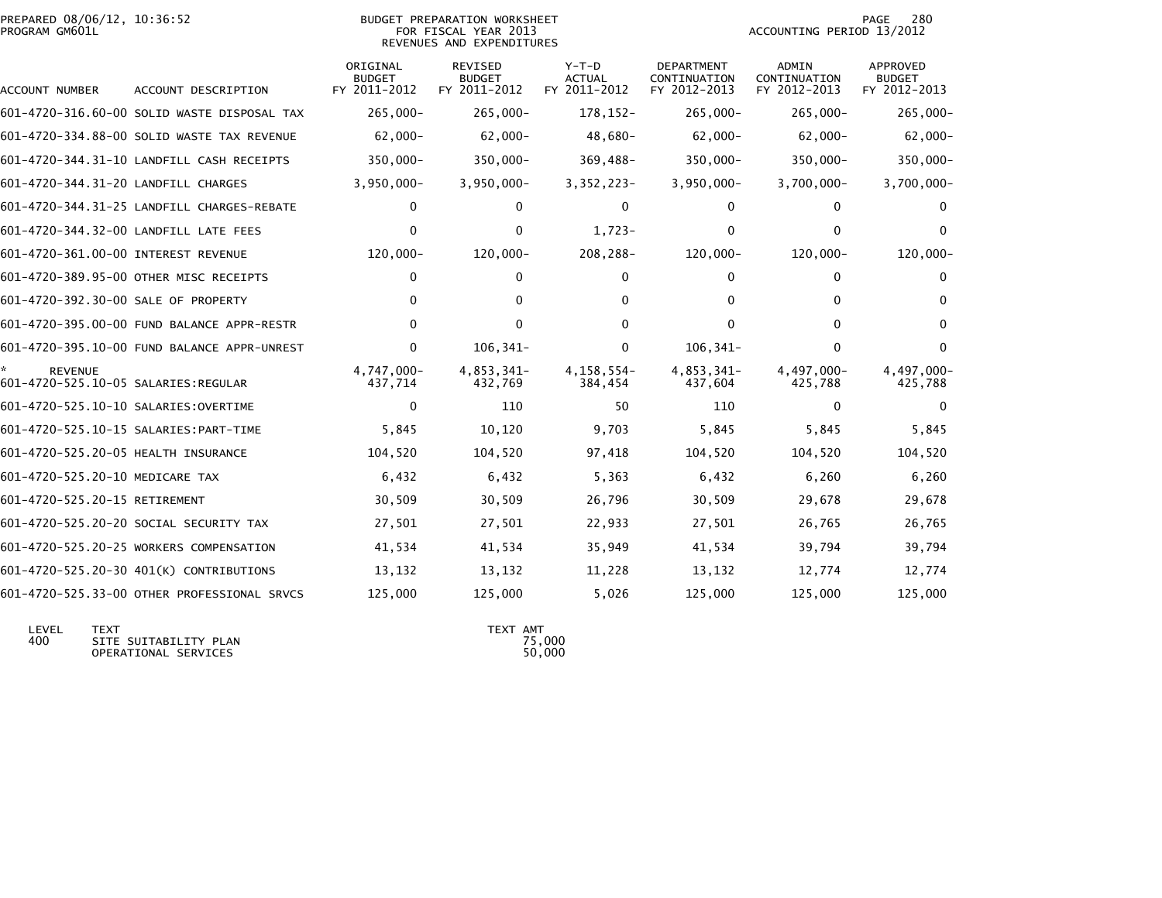| PREPARED 08/06/12, 10:36:52<br>PROGRAM GM601L         |                                             | BUDGET PREPARATION WORKSHEET<br>FOR FISCAL YEAR 2013<br>REVENUES AND EXPENDITURES |                                          |                                   |                                            | 280<br>PAGE<br>ACCOUNTING PERIOD 13/2012 |                                                  |
|-------------------------------------------------------|---------------------------------------------|-----------------------------------------------------------------------------------|------------------------------------------|-----------------------------------|--------------------------------------------|------------------------------------------|--------------------------------------------------|
| ACCOUNT NUMBER                                        | ACCOUNT DESCRIPTION                         | ORIGINAL<br><b>BUDGET</b><br>FY 2011-2012                                         | REVISED<br><b>BUDGET</b><br>FY 2011-2012 | $Y-T-D$<br>ACTUAL<br>FY 2011-2012 | DEPARTMENT<br>CONTINUATION<br>FY 2012-2013 | ADMIN<br>CONTINUATION<br>FY 2012-2013    | <b>APPROVED</b><br><b>BUDGET</b><br>FY 2012-2013 |
|                                                       | 601-4720-316.60-00 SOLID WASTE DISPOSAL TAX | $265,000 -$                                                                       | $265,000 -$                              | 178, 152-                         | 265,000-                                   | $265,000 -$                              | $265,000 -$                                      |
|                                                       | 601-4720-334.88-00 SOLID WASTE TAX REVENUE  | $62,000-$                                                                         | $62,000 -$                               | 48,680-                           | $62,000-$                                  | $62,000 -$                               | $62,000 -$                                       |
|                                                       | 601-4720-344.31-10 LANDFILL CASH RECEIPTS   | $350,000 -$                                                                       | $350,000 -$                              | 369,488-                          | 350,000-                                   | 350,000-                                 | $350,000 -$                                      |
| 601-4720-344.31-20 LANDFILL CHARGES                   |                                             | $3,950,000 -$                                                                     | $3,950,000 -$                            | 3, 352, 223-                      | $3,950,000 -$                              | $3,700,000 -$                            | $3,700,000 -$                                    |
|                                                       | 601-4720-344.31-25 LANDFILL CHARGES-REBATE  | $\Omega$                                                                          | 0                                        | $\mathbf{0}$                      | 0                                          | $\mathbf{0}$                             | $\bf{0}$                                         |
|                                                       | 601-4720-344.32-00 LANDFILL LATE FEES       | 0                                                                                 | 0                                        | $1.723-$                          | 0                                          | $\Omega$                                 | 0                                                |
| 601-4720-361.00-00 INTEREST REVENUE                   |                                             | $120,000 -$                                                                       | 120,000-                                 | 208,288-                          | $120,000 -$                                | $120,000 -$                              | $120,000 -$                                      |
|                                                       | 601-4720-389.95-00 OTHER MISC RECEIPTS      | 0                                                                                 | 0                                        | 0                                 | 0                                          | 0                                        | 0                                                |
| 601-4720-392.30-00 SALE OF PROPERTY                   |                                             | 0                                                                                 | 0                                        | 0                                 | 0                                          | 0                                        | 0                                                |
|                                                       | 601-4720-395.00-00 FUND BALANCE APPR-RESTR  | 0                                                                                 | 0                                        | $\Omega$                          | $\Omega$                                   | U                                        | <sup>0</sup>                                     |
|                                                       | 601-4720-395.10-00 FUND BALANCE APPR-UNREST | 0                                                                                 | $106, 341 -$                             | 0                                 | $106, 341 -$                               | $\Omega$                                 | $\Omega$                                         |
| <b>REVENUE</b><br>601-4720-525.10-05 SALARIES:REGULAR |                                             | 4,747,000-<br>437,714                                                             | 4,853,341-<br>432,769                    | 4, 158, 554-<br>384,454           | 4,853,341-<br>437,604                      | 4,497,000-<br>425,788                    | 4,497,000-<br>425,788                            |
| 601-4720-525.10-10 SALARIES:OVERTIME                  |                                             | 0                                                                                 | 110                                      | 50                                | 110                                        | 0                                        | 0                                                |
|                                                       |                                             | 5,845                                                                             | 10,120                                   | 9,703                             | 5,845                                      | 5,845                                    | 5,845                                            |
| 601-4720-525.20-05 HEALTH INSURANCE                   |                                             | 104,520                                                                           | 104,520                                  | 97,418                            | 104,520                                    | 104,520                                  | 104,520                                          |
| 601-4720-525.20-10 MEDICARE TAX                       |                                             | 6,432                                                                             | 6,432                                    | 5,363                             | 6,432                                      | 6,260                                    | 6,260                                            |
| 601-4720-525.20-15 RETIREMENT                         |                                             | 30,509                                                                            | 30,509                                   | 26,796                            | 30,509                                     | 29,678                                   | 29,678                                           |
|                                                       | 601-4720-525.20-20 SOCIAL SECURITY TAX      | 27,501                                                                            | 27,501                                   | 22,933                            | 27,501                                     | 26,765                                   | 26,765                                           |
|                                                       | 601-4720-525.20-25 WORKERS COMPENSATION     | 41,534                                                                            | 41,534                                   | 35,949                            | 41,534                                     | 39,794                                   | 39,794                                           |
|                                                       | 601-4720-525.20-30 401(K) CONTRIBUTIONS     | 13,132                                                                            | 13,132                                   | 11,228                            | 13,132                                     | 12,774                                   | 12,774                                           |
|                                                       | 601-4720-525.33-00 OTHER PROFESSIONAL SRVCS | 125,000                                                                           | 125,000                                  | 5,026                             | 125,000                                    | 125,000                                  | 125,000                                          |

 LEVEL TEXT TEXT AMT 400 SITE SUITABILITY PLAN 75,000OPERATIONAL SERVICES 50,000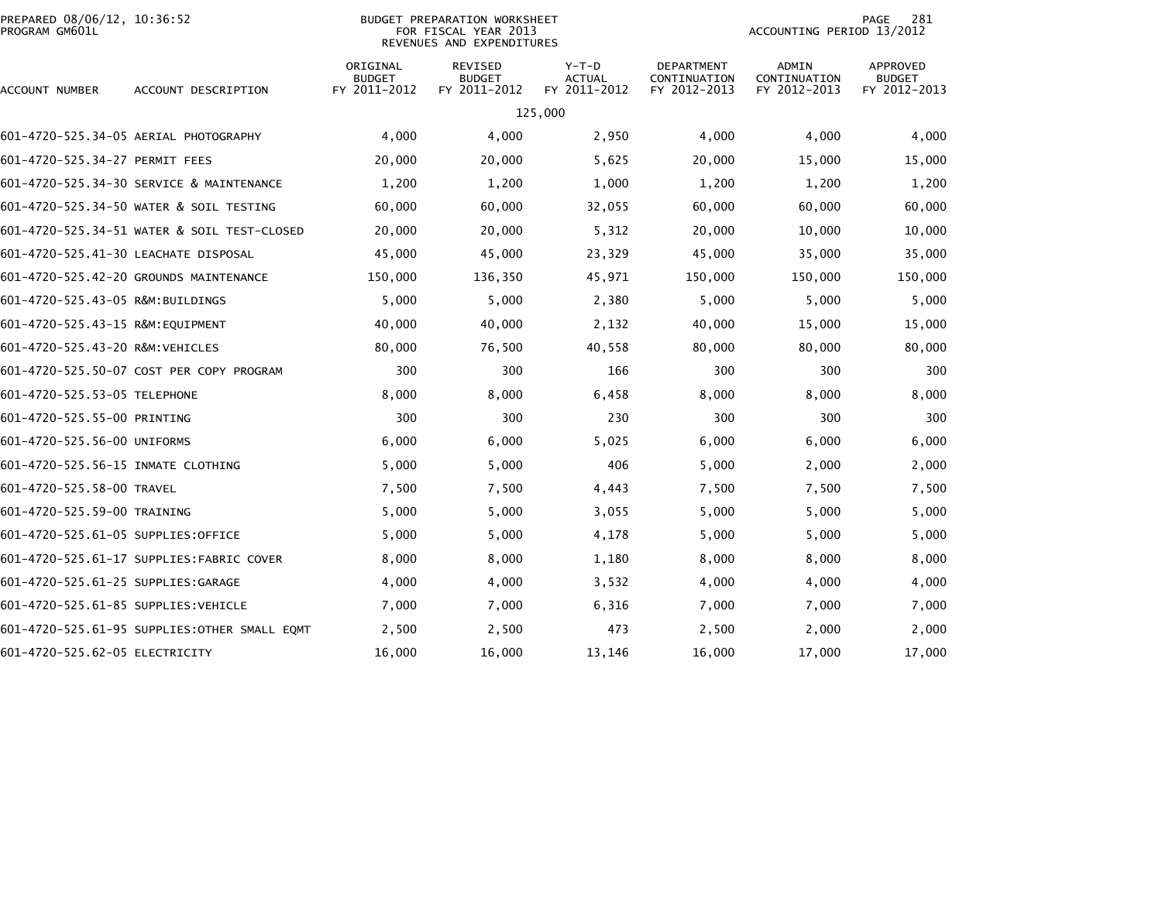| PREPARED 08/06/12, 10:36:52<br>PROGRAM GM601L |                                               | BUDGET PREPARATION WORKSHEET<br>FOR FISCAL YEAR 2013<br>REVENUES AND EXPENDITURES |                                          |                                          |                                            |                                       | 281<br>PAGE<br>ACCOUNTING PERIOD 13/2012  |  |  |
|-----------------------------------------------|-----------------------------------------------|-----------------------------------------------------------------------------------|------------------------------------------|------------------------------------------|--------------------------------------------|---------------------------------------|-------------------------------------------|--|--|
| ACCOUNT NUMBER                                | ACCOUNT DESCRIPTION                           | ORIGINAL<br><b>BUDGET</b><br>FY 2011-2012                                         | REVISED<br><b>BUDGET</b><br>FY 2011-2012 | $Y-T-D$<br><b>ACTUAL</b><br>FY 2011-2012 | DEPARTMENT<br>CONTINUATION<br>FY 2012-2013 | ADMIN<br>CONTINUATION<br>FY 2012-2013 | APPROVED<br><b>BUDGET</b><br>FY 2012-2013 |  |  |
|                                               |                                               |                                                                                   |                                          | 125,000                                  |                                            |                                       |                                           |  |  |
|                                               | 601-4720-525.34-05 AERIAL PHOTOGRAPHY         | 4,000                                                                             | 4,000                                    | 2,950                                    | 4,000                                      | 4,000                                 | 4,000                                     |  |  |
| 601-4720-525.34-27 PERMIT FEES                |                                               | 20,000                                                                            | 20,000                                   | 5,625                                    | 20,000                                     | 15,000                                | 15,000                                    |  |  |
|                                               | 601-4720-525.34-30 SERVICE & MAINTENANCE      | 1,200                                                                             | 1,200                                    | 1,000                                    | 1,200                                      | 1,200                                 | 1,200                                     |  |  |
|                                               | 601-4720-525.34-50 WATER & SOIL TESTING       | 60,000                                                                            | 60,000                                   | 32,055                                   | 60,000                                     | 60,000                                | 60,000                                    |  |  |
|                                               |                                               | 20,000                                                                            | 20,000                                   | 5,312                                    | 20,000                                     | 10,000                                | 10,000                                    |  |  |
| 601-4720-525.41-30 LEACHATE DISPOSAL          |                                               | 45,000                                                                            | 45,000                                   | 23,329                                   | 45,000                                     | 35,000                                | 35,000                                    |  |  |
|                                               | 601-4720-525.42-20 GROUNDS MAINTENANCE        | 150,000                                                                           | 136,350                                  | 45,971                                   | 150,000                                    | 150,000                               | 150,000                                   |  |  |
| 601-4720-525.43-05 R&M:BUILDINGS              |                                               | 5,000                                                                             | 5,000                                    | 2,380                                    | 5,000                                      | 5,000                                 | 5,000                                     |  |  |
| 601-4720-525.43-15 R&M:EQUIPMENT              |                                               | 40,000                                                                            | 40,000                                   | 2,132                                    | 40,000                                     | 15,000                                | 15,000                                    |  |  |
| 601-4720-525.43-20 R&M:VEHICLES               |                                               | 80,000                                                                            | 76,500                                   | 40,558                                   | 80,000                                     | 80,000                                | 80,000                                    |  |  |
|                                               | 601-4720-525.50-07 COST PER COPY PROGRAM      | 300                                                                               | 300                                      | 166                                      | 300                                        | 300                                   | 300                                       |  |  |
| 601-4720-525.53-05 TELEPHONE                  |                                               | 8,000                                                                             | 8,000                                    | 6,458                                    | 8,000                                      | 8,000                                 | 8,000                                     |  |  |
| 601-4720-525.55-00 PRINTING                   |                                               | 300                                                                               | 300                                      | 230                                      | 300                                        | 300                                   | 300                                       |  |  |
| 601-4720-525.56-00 UNIFORMS                   |                                               | 6,000                                                                             | 6,000                                    | 5,025                                    | 6,000                                      | 6,000                                 | 6,000                                     |  |  |
| 601-4720-525.56-15 INMATE CLOTHING            |                                               | 5,000                                                                             | 5,000                                    | 406                                      | 5,000                                      | 2,000                                 | 2,000                                     |  |  |
| 601-4720-525.58-00 TRAVEL                     |                                               | 7,500                                                                             | 7,500                                    | 4,443                                    | 7,500                                      | 7,500                                 | 7,500                                     |  |  |
| 601-4720-525.59-00 TRAINING                   |                                               | 5,000                                                                             | 5,000                                    | 3,055                                    | 5,000                                      | 5,000                                 | 5,000                                     |  |  |
| 601-4720-525.61-05 SUPPLIES:OFFICE            |                                               | 5,000                                                                             | 5,000                                    | 4,178                                    | 5,000                                      | 5,000                                 | 5,000                                     |  |  |
|                                               | 601-4720-525.61-17 SUPPLIES:FABRIC COVER      | 8,000                                                                             | 8,000                                    | 1,180                                    | 8,000                                      | 8,000                                 | 8,000                                     |  |  |
| 601-4720-525.61-25 SUPPLIES:GARAGE            |                                               | 4,000                                                                             | 4,000                                    | 3,532                                    | 4,000                                      | 4,000                                 | 4,000                                     |  |  |
| 601-4720-525.61-85 SUPPLIES:VEHICLE           |                                               | 7,000                                                                             | 7,000                                    | 6,316                                    | 7,000                                      | 7,000                                 | 7,000                                     |  |  |
|                                               | 601-4720-525.61-95 SUPPLIES: OTHER SMALL EQMT | 2,500                                                                             | 2,500                                    | 473                                      | 2,500                                      | 2,000                                 | 2,000                                     |  |  |
| 601-4720-525.62-05 ELECTRICITY                |                                               | 16,000                                                                            | 16,000                                   | 13,146                                   | 16,000                                     | 17,000                                | 17,000                                    |  |  |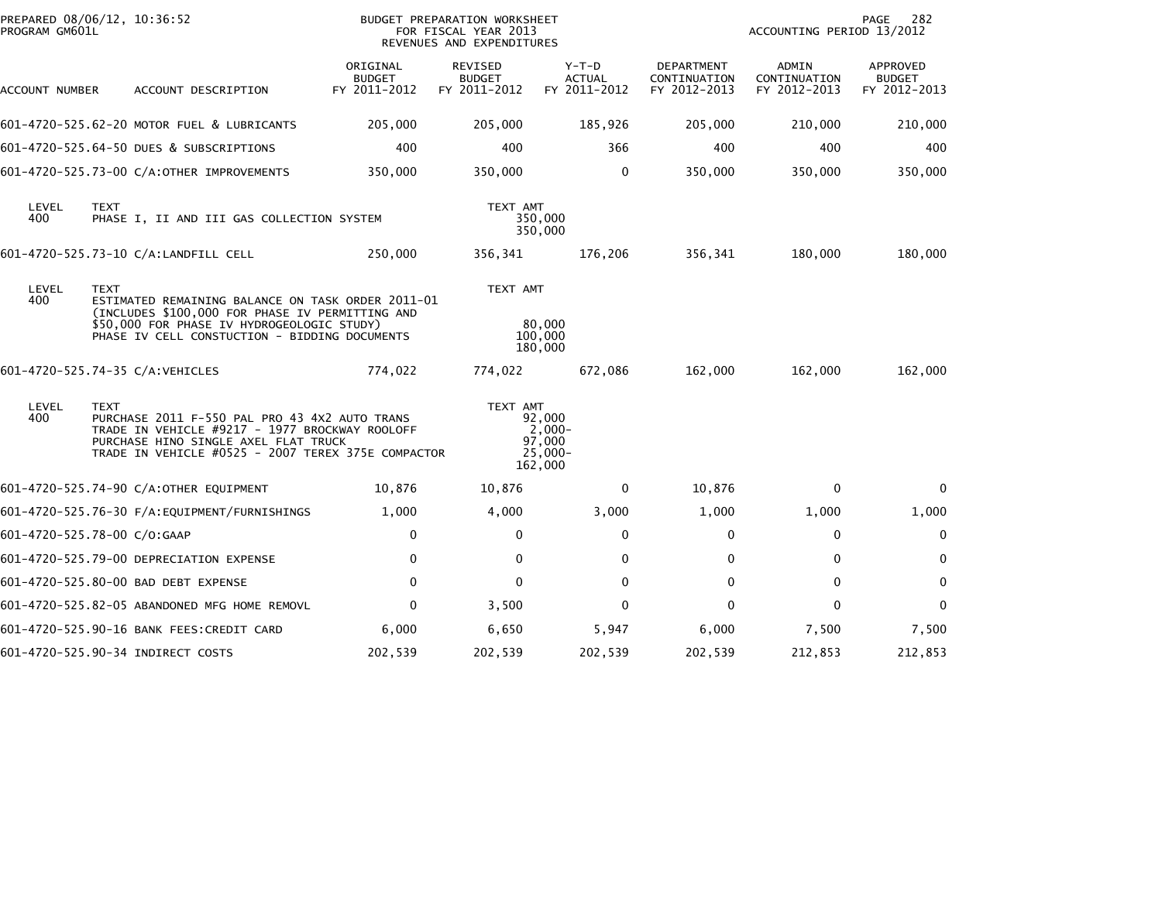| PREPARED 08/06/12, 10:36:52<br>PROGRAM GM601L |             |                                                                                                                                                                                                     |                                           | BUDGET PREPARATION WORKSHEET<br>FOR FISCAL YEAR 2013<br>REVENUES AND EXPENDITURES |                                                       |                                            | ACCOUNTING PERIOD 13/2012             | 282<br>PAGE                               |
|-----------------------------------------------|-------------|-----------------------------------------------------------------------------------------------------------------------------------------------------------------------------------------------------|-------------------------------------------|-----------------------------------------------------------------------------------|-------------------------------------------------------|--------------------------------------------|---------------------------------------|-------------------------------------------|
| ACCOUNT NUMBER                                |             | ACCOUNT DESCRIPTION                                                                                                                                                                                 | ORIGINAL<br><b>BUDGET</b><br>FY 2011-2012 | REVISED<br><b>BUDGET</b><br>FY 2011-2012                                          | Y-T-D<br><b>ACTUAL</b><br>FY 2011-2012                | DEPARTMENT<br>CONTINUATION<br>FY 2012-2013 | ADMIN<br>CONTINUATION<br>FY 2012-2013 | APPROVED<br><b>BUDGET</b><br>FY 2012-2013 |
|                                               |             | 601-4720-525.62-20 MOTOR FUEL & LUBRICANTS                                                                                                                                                          | 205,000                                   | 205,000                                                                           | 185,926                                               | 205,000                                    | 210,000                               | 210,000                                   |
|                                               |             | 601-4720-525.64-50 DUES & SUBSCRIPTIONS                                                                                                                                                             | 400                                       | 400                                                                               | 366                                                   | 400                                        | 400                                   | 400                                       |
|                                               |             | 601-4720-525.73-00 C/A:OTHER IMPROVEMENTS                                                                                                                                                           | 350,000                                   | 350,000                                                                           | $\mathbf 0$                                           | 350,000                                    | 350,000                               | 350,000                                   |
| LEVEL<br>400                                  | <b>TEXT</b> | PHASE I, II AND III GAS COLLECTION SYSTEM                                                                                                                                                           |                                           | TEXT AMT                                                                          | 350,000<br>350,000                                    |                                            |                                       |                                           |
|                                               |             | 601-4720-525.73-10 C/A:LANDFILL CELL                                                                                                                                                                | 250,000                                   | 356,341                                                                           | 176,206                                               | 356,341                                    | 180,000                               | 180,000                                   |
| LEVEL<br>400                                  | <b>TEXT</b> | ESTIMATED REMAINING BALANCE ON TASK ORDER 2011-01<br>(INCLUDES \$100,000 FOR PHASE IV PERMITTING AND<br>\$50,000 FOR PHASE IV HYDROGEOLOGIC STUDY)<br>PHASE IV CELL CONSTUCTION - BIDDING DOCUMENTS |                                           | TEXT AMT                                                                          | 80,000<br>100,000<br>180,000                          |                                            |                                       |                                           |
| 601-4720-525.74-35 C/A:VEHICLES               |             |                                                                                                                                                                                                     | 774,022                                   | 774,022                                                                           | 672,086                                               | 162,000                                    | 162,000                               | 162,000                                   |
| LEVEL<br>400                                  | <b>TEXT</b> | PURCHASE 2011 F-550 PAL PRO 43 4X2 AUTO TRANS<br>TRADE IN VEHICLE #9217 - 1977 BROCKWAY ROOLOFF<br>PURCHASE HINO SINGLE AXEL FLAT TRUCK<br>TRADE IN VEHICLE #0525 - 2007 TEREX 375E COMPACTOR       |                                           | TEXT AMT                                                                          | 92,000<br>$2,000-$<br>97.000<br>$25.000 -$<br>162,000 |                                            |                                       |                                           |
|                                               |             | 601-4720-525.74-90 C/A:OTHER EQUIPMENT                                                                                                                                                              | 10,876                                    | 10,876                                                                            | $\mathbf{0}$                                          | 10,876                                     | 0                                     | $\Omega$                                  |
|                                               |             |                                                                                                                                                                                                     | 1,000                                     | 4,000                                                                             | 3,000                                                 | 1,000                                      | 1,000                                 | 1,000                                     |
| 601-4720-525.78-00 C/O:GAAP                   |             |                                                                                                                                                                                                     | 0                                         | 0                                                                                 | 0                                                     | 0                                          | 0                                     | 0                                         |
|                                               |             | 601-4720-525.79-00 DEPRECIATION EXPENSE                                                                                                                                                             | $\mathbf{0}$                              | $\Omega$                                                                          | 0                                                     | $\mathbf{0}$                               | $\mathbf{0}$                          | $\mathbf 0$                               |
|                                               |             | 601-4720-525.80-00 BAD DEBT EXPENSE                                                                                                                                                                 | $\mathbf{0}$                              | $\Omega$                                                                          | $\mathbf{0}$                                          | $\mathbf 0$                                | $\mathbf{0}$                          | $\mathbf 0$                               |
|                                               |             | 601-4720-525.82-05 ABANDONED MFG HOME REMOVL                                                                                                                                                        | $\mathbf{0}$                              | 3,500                                                                             | $\mathbf{0}$                                          | $\mathbf{0}$                               | $\mathbf{0}$                          | $\mathbf{0}$                              |
|                                               |             | 601-4720-525.90-16 BANK FEES:CREDIT CARD                                                                                                                                                            | 6,000                                     | 6,650                                                                             | 5,947                                                 | 6,000                                      | 7,500                                 | 7,500                                     |
|                                               |             | 601-4720-525.90-34 INDIRECT COSTS                                                                                                                                                                   | 202,539                                   | 202,539                                                                           | 202,539                                               | 202,539                                    | 212,853                               | 212,853                                   |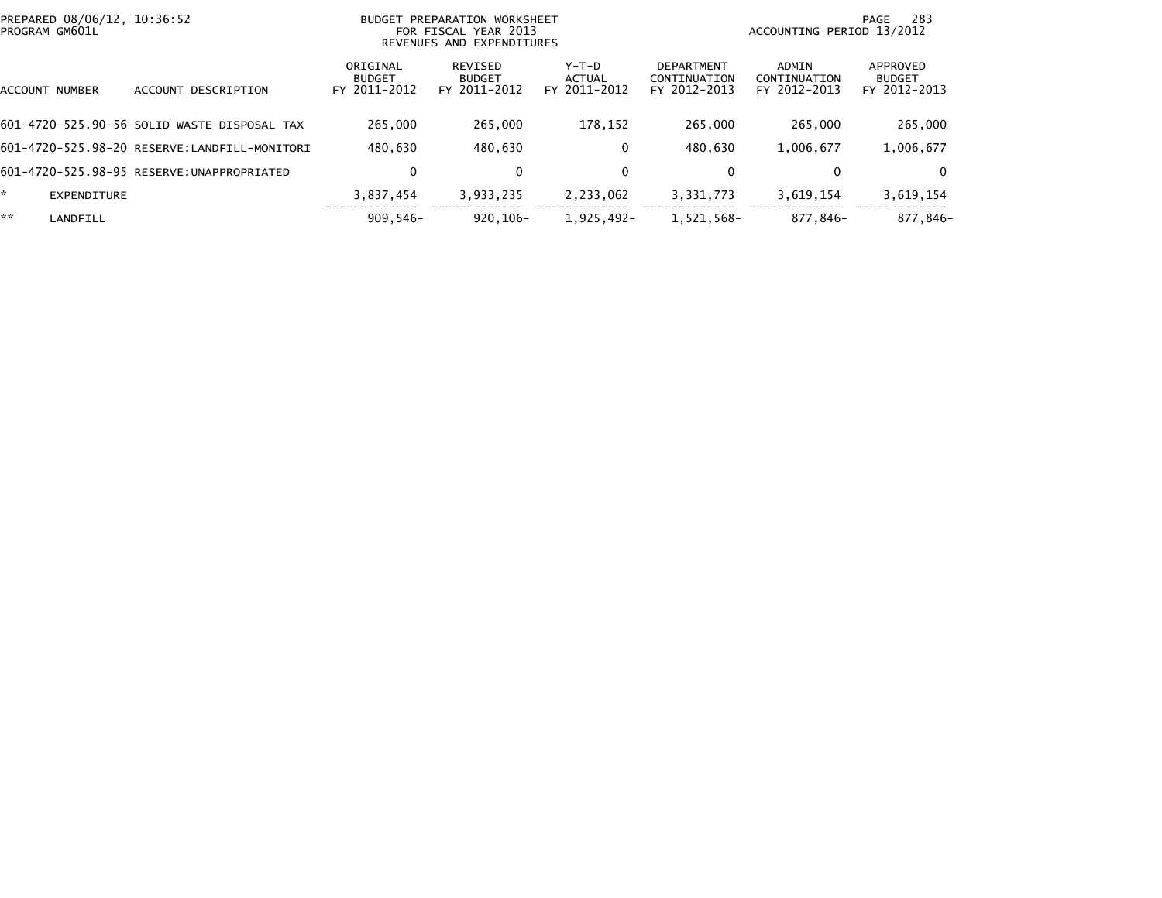|    | PREPARED 08/06/12, 10:36:52<br>PROGRAM GM601L |                                              |                                           | BUDGET PREPARATION WORKSHEET<br>FOR FISCAL YEAR 2013<br>REVENUES AND EXPENDITURES |                                 |                                                   | ACCOUNTING PERIOD 13/2012             | -283<br>PAGE                              |
|----|-----------------------------------------------|----------------------------------------------|-------------------------------------------|-----------------------------------------------------------------------------------|---------------------------------|---------------------------------------------------|---------------------------------------|-------------------------------------------|
|    | ACCOUNT NUMBER                                | DESCRIPTION<br><b>ACCOUNT</b>                | ORIGINAL<br><b>BUDGET</b><br>FY 2011-2012 | REVISED<br><b>BUDGET</b><br>FY 2011-2012                                          | Y-T-D<br>ACTUAL<br>FY 2011-2012 | <b>DEPARTMENT</b><br>CONTINUATION<br>FY 2012-2013 | ADMIN<br>CONTINUATION<br>FY 2012-2013 | APPROVED<br><b>BUDGET</b><br>FY 2012-2013 |
|    |                                               | 601-4720-525.90-56 SOLID WASTE DISPOSAL TAX  | 265,000                                   | 265,000                                                                           | 178.152                         | 265,000                                           | 265,000                               | 265,000                                   |
|    |                                               | 601-4720-525.98-20 RESERVE:LANDFILL-MONITORI | 480.630                                   | 480,630                                                                           | 0                               | 480.630                                           | 1,006,677                             | 1,006,677                                 |
|    |                                               | 601-4720-525.98-95 RESERVE: UNAPPROPRIATED   | 0                                         | 0                                                                                 | 0                               | 0                                                 | 0                                     | 0                                         |
| ÷. | <b>EXPENDITURE</b>                            |                                              | 3,837,454                                 | 3,933,235                                                                         | 2,233,062                       | 3,331,773                                         | 3,619,154                             | 3,619,154                                 |
| ** | LANDFILL                                      |                                              | $909,546-$                                | $920.106 -$                                                                       | 1,925,492-                      | 1,521,568-                                        | 877,846-                              | 877,846-                                  |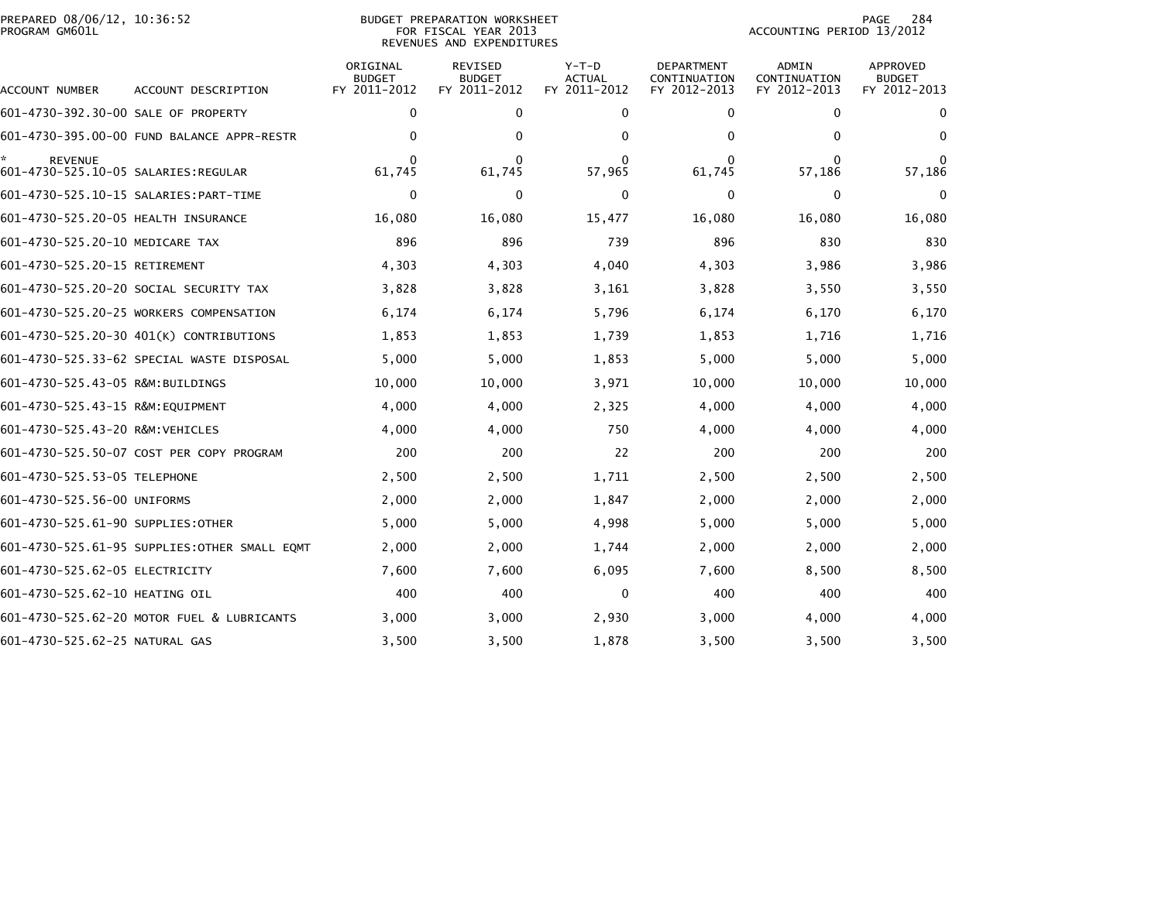| PROGRAM GM601L                                        | PREPARED 08/06/12, 10:36:52<br><b>BUDGET PREPARATION WORKSHEET</b><br>FOR FISCAL YEAR 2013<br>REVENUES AND EXPENDITURES |                                           |                                          |                                          |                                            | 284<br>PAGE<br>ACCOUNTING PERIOD 13/2012     |                                                  |  |
|-------------------------------------------------------|-------------------------------------------------------------------------------------------------------------------------|-------------------------------------------|------------------------------------------|------------------------------------------|--------------------------------------------|----------------------------------------------|--------------------------------------------------|--|
| ACCOUNT NUMBER                                        | ACCOUNT DESCRIPTION                                                                                                     | ORIGINAL<br><b>BUDGET</b><br>FY 2011-2012 | REVISED<br><b>BUDGET</b><br>FY 2011-2012 | $Y-T-D$<br><b>ACTUAL</b><br>FY 2011-2012 | DEPARTMENT<br>CONTINUATION<br>FY 2012-2013 | <b>ADMIN</b><br>CONTINUATION<br>FY 2012-2013 | <b>APPROVED</b><br><b>BUDGET</b><br>FY 2012-2013 |  |
| 601-4730-392.30-00 SALE OF PROPERTY                   |                                                                                                                         | $\mathbf 0$                               | 0                                        | 0                                        | 0                                          | 0                                            | 0                                                |  |
|                                                       | 601-4730-395.00-00 FUND BALANCE APPR-RESTR                                                                              | $\Omega$                                  | 0                                        | $\Omega$                                 | $\mathbf{0}$                               | $\Omega$                                     | $\mathbf{0}$                                     |  |
| <b>REVENUE</b><br>601-4730-525.10-05 SALARIES:REGULAR |                                                                                                                         | 0<br>61,745                               | 61,745                                   | 57,965                                   | 0<br>61,745                                | 0<br>57,186                                  | 57,186                                           |  |
|                                                       | 601-4730-525.10-15 SALARIES: PART-TIME                                                                                  | 0                                         | 0                                        | 0                                        | $\mathbf{0}$                               | $\mathbf{0}$                                 | $\Omega$                                         |  |
| 601-4730-525.20-05 HEALTH INSURANCE                   |                                                                                                                         | 16,080                                    | 16,080                                   | 15,477                                   | 16,080                                     | 16,080                                       | 16,080                                           |  |
| 601-4730-525.20-10 MEDICARE TAX                       |                                                                                                                         | 896                                       | 896                                      | 739                                      | 896                                        | 830                                          | 830                                              |  |
| 601-4730-525.20-15 RETIREMENT                         |                                                                                                                         | 4,303                                     | 4,303                                    | 4,040                                    | 4,303                                      | 3,986                                        | 3,986                                            |  |
|                                                       | 601-4730-525.20-20 SOCIAL SECURITY TAX                                                                                  | 3,828                                     | 3,828                                    | 3,161                                    | 3,828                                      | 3,550                                        | 3,550                                            |  |
|                                                       | 601-4730-525.20-25 WORKERS COMPENSATION                                                                                 | 6,174                                     | 6,174                                    | 5,796                                    | 6,174                                      | 6,170                                        | 6,170                                            |  |
|                                                       | 601-4730-525.20-30 401(K) CONTRIBUTIONS                                                                                 | 1,853                                     | 1,853                                    | 1,739                                    | 1,853                                      | 1,716                                        | 1,716                                            |  |
|                                                       | 601-4730-525.33-62 SPECIAL WASTE DISPOSAL                                                                               | 5,000                                     | 5,000                                    | 1,853                                    | 5,000                                      | 5,000                                        | 5,000                                            |  |
| 601-4730-525.43-05 R&M:BUILDINGS                      |                                                                                                                         | 10,000                                    | 10,000                                   | 3,971                                    | 10,000                                     | 10,000                                       | 10,000                                           |  |
| 601-4730-525.43-15 R&M:EQUIPMENT                      |                                                                                                                         | 4,000                                     | 4,000                                    | 2,325                                    | 4,000                                      | 4,000                                        | 4,000                                            |  |
| 601-4730-525.43-20 R&M:VEHICLES                       |                                                                                                                         | 4,000                                     | 4,000                                    | 750                                      | 4,000                                      | 4,000                                        | 4,000                                            |  |
|                                                       | 601-4730-525.50-07 COST PER COPY PROGRAM                                                                                | 200                                       | 200                                      | 22                                       | 200                                        | 200                                          | 200                                              |  |
| 601-4730-525.53-05 TELEPHONE                          |                                                                                                                         | 2,500                                     | 2,500                                    | 1,711                                    | 2,500                                      | 2,500                                        | 2,500                                            |  |
| 601-4730-525.56-00 UNIFORMS                           |                                                                                                                         | 2,000                                     | 2,000                                    | 1,847                                    | 2,000                                      | 2,000                                        | 2,000                                            |  |
| 601-4730-525.61-90 SUPPLIES:OTHER                     |                                                                                                                         | 5,000                                     | 5,000                                    | 4,998                                    | 5,000                                      | 5,000                                        | 5,000                                            |  |
|                                                       | 601-4730-525.61-95 SUPPLIES:OTHER SMALL EQMT                                                                            | 2,000                                     | 2,000                                    | 1,744                                    | 2,000                                      | 2,000                                        | 2,000                                            |  |
| 601-4730-525.62-05 ELECTRICITY                        |                                                                                                                         | 7,600                                     | 7,600                                    | 6,095                                    | 7,600                                      | 8,500                                        | 8,500                                            |  |
| 601-4730-525.62-10 HEATING OIL                        |                                                                                                                         | 400                                       | 400                                      | $\mathbf{0}$                             | 400                                        | 400                                          | 400                                              |  |
|                                                       | 601-4730-525.62-20 MOTOR FUEL & LUBRICANTS                                                                              | 3,000                                     | 3,000                                    | 2,930                                    | 3,000                                      | 4,000                                        | 4,000                                            |  |
| 601-4730-525.62-25 NATURAL GAS                        |                                                                                                                         | 3,500                                     | 3,500                                    | 1,878                                    | 3,500                                      | 3,500                                        | 3,500                                            |  |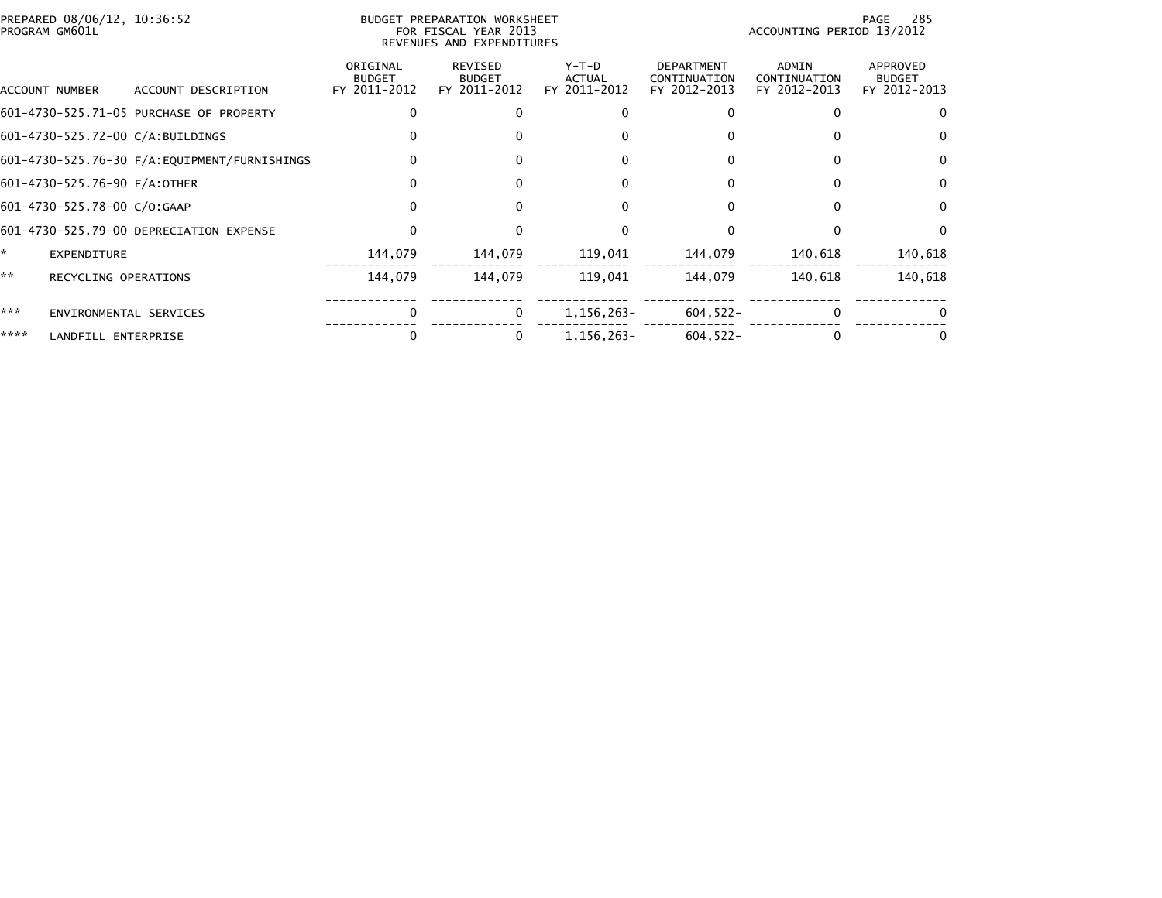| PREPARED 08/06/12, 10:36:52<br>PROGRAM GM601L |                                         |                                           | BUDGET PREPARATION WORKSHEET<br>FOR FISCAL YEAR 2013<br>REVENUES AND EXPENDITURES |                                          |                                                   | ACCOUNTING PERIOD 13/2012                    | 285<br>PAGE                               |
|-----------------------------------------------|-----------------------------------------|-------------------------------------------|-----------------------------------------------------------------------------------|------------------------------------------|---------------------------------------------------|----------------------------------------------|-------------------------------------------|
| ACCOUNT NUMBER                                | ACCOUNT DESCRIPTION                     | ORIGINAL<br><b>BUDGET</b><br>FY 2011-2012 | <b>REVISED</b><br><b>BUDGET</b><br>FY 2011-2012                                   | $Y-T-D$<br><b>ACTUAL</b><br>FY 2011-2012 | <b>DEPARTMENT</b><br>CONTINUATION<br>FY 2012-2013 | <b>ADMIN</b><br>CONTINUATION<br>FY 2012-2013 | APPROVED<br><b>BUDGET</b><br>FY 2012-2013 |
|                                               | 601-4730-525.71-05 PURCHASE OF PROPERTY | 0                                         | $\Omega$                                                                          |                                          | $\Omega$                                          |                                              |                                           |
| 601-4730-525.72-00 C/A:BUILDINGS              |                                         |                                           |                                                                                   |                                          | $\Omega$                                          |                                              | $\Omega$                                  |
|                                               |                                         | $\Omega$                                  | $\Omega$                                                                          |                                          | 0                                                 | 0                                            | $\Omega$                                  |
| 601-4730-525.76-90 F/A:OTHER                  |                                         | 0                                         |                                                                                   |                                          | $\Omega$                                          |                                              | $\bf{0}$                                  |
| 601-4730-525.78-00 C/O:GAAP                   |                                         | $\Omega$                                  | $\Omega$                                                                          |                                          | $\Omega$                                          | $\Omega$                                     | $\Omega$                                  |
|                                               | 601-4730-525.79-00 DEPRECIATION EXPENSE |                                           | 0                                                                                 |                                          | $\Omega$                                          |                                              | $\Omega$                                  |
| ☆<br><b>EXPENDITURE</b>                       |                                         | 144,079                                   | 144,079                                                                           | 119,041                                  | 144,079                                           | 140,618                                      | 140,618                                   |
| **<br>RECYCLING OPERATIONS                    |                                         | 144,079                                   | 144,079                                                                           | 119,041                                  | 144,079                                           | 140,618                                      | 140,618                                   |
| ***<br>ENVIRONMENTAL SERVICES                 |                                         | 0                                         | 0                                                                                 | 1, 156, 263-                             | $604,522-$                                        | $\Omega$                                     |                                           |
| ****<br>LANDFILL ENTERPRISE                   |                                         |                                           | 0                                                                                 | $1, 156, 263 -$                          | $604,522-$                                        |                                              |                                           |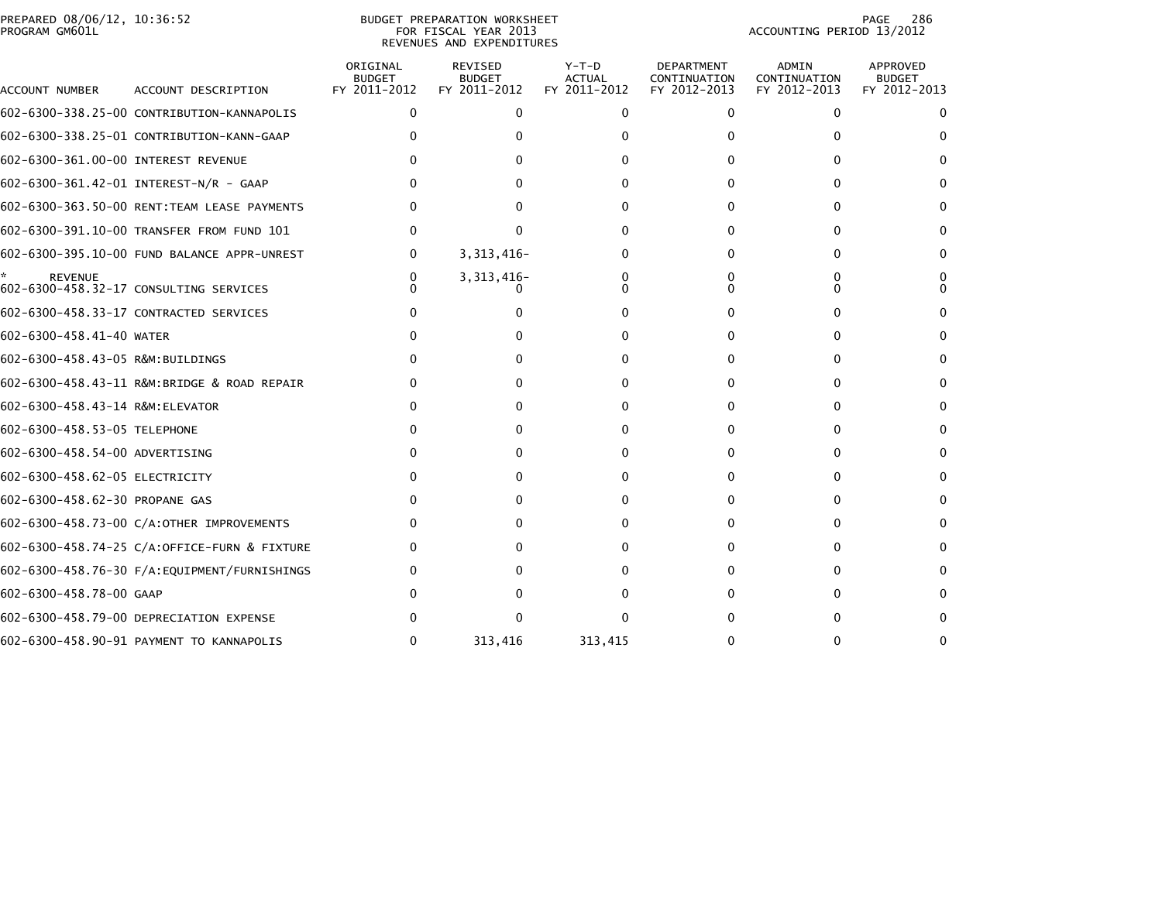| PREPARED 08/06/12, 10:36:52 | <b>BUDGET PREPARATION WORKSHEET</b> | 286<br>PAGE               |
|-----------------------------|-------------------------------------|---------------------------|
| PROGRAM GM601L              | FOR FISCAL YEAR 2013                | ACCOUNTING PERIOD 13/2012 |

# REVENUES AND EXPENDITURES

PAGE 286<br>ACCOUNTING PERIOD 13/2012

| ACCOUNT NUMBER                      | ACCOUNT DESCRIPTION                          | ORIGINAL<br><b>BUDGET</b><br>FY 2011-2012 | REVISED<br><b>BUDGET</b><br>FY 2011-2012 | $Y-T-D$<br><b>ACTUAL</b><br>FY 2011-2012 | <b>DEPARTMENT</b><br>CONTINUATION<br>FY 2012-2013 | ADMIN<br>CONTINUATION<br>FY 2012-2013 | APPROVED<br><b>BUDGET</b><br>FY 2012-2013 |
|-------------------------------------|----------------------------------------------|-------------------------------------------|------------------------------------------|------------------------------------------|---------------------------------------------------|---------------------------------------|-------------------------------------------|
|                                     | 602-6300-338.25-00 CONTRIBUTION-KANNAPOLIS   | $\mathbf{0}$                              | $\mathbf{0}$                             | $\mathbf{0}$                             | $\mathbf{0}$                                      | $\mathbf{0}$                          | 0                                         |
|                                     | 602-6300-338.25-01 CONTRIBUTION-KANN-GAAP    |                                           |                                          |                                          |                                                   | 0                                     |                                           |
| 602-6300-361.00-00 INTEREST REVENUE |                                              |                                           |                                          |                                          | 0                                                 | 0                                     | 0                                         |
|                                     | 602-6300-361.42-01 INTEREST-N/R - GAAP       |                                           |                                          |                                          |                                                   |                                       |                                           |
|                                     | 602-6300-363.50-00 RENT: TEAM LEASE PAYMENTS |                                           |                                          |                                          |                                                   | $\Omega$                              |                                           |
|                                     | 602-6300-391.10-00 TRANSFER FROM FUND 101    |                                           | n                                        |                                          |                                                   |                                       |                                           |
|                                     | 602-6300-395.10-00 FUND BALANCE APPR-UNREST  | 0                                         | 3, 313, 416-                             |                                          | $\Omega$                                          | 0                                     | 0                                         |
| <b>REVENUE</b>                      | 602-6300-458.32-17 CONSULTING SERVICES       | n                                         | 3, 313, 416-                             |                                          |                                                   | 0<br>$\Omega$                         |                                           |
|                                     | 602-6300-458.33-17 CONTRACTED SERVICES       |                                           |                                          |                                          | $\Omega$                                          | $\Omega$                              |                                           |
| 602-6300-458.41-40 WATER            |                                              |                                           |                                          |                                          | $\Omega$                                          | 0                                     |                                           |
| 602-6300-458.43-05 R&M:BUILDINGS    |                                              |                                           |                                          |                                          |                                                   | 0                                     |                                           |
|                                     | 602-6300-458.43-11 R&M:BRIDGE & ROAD REPAIR  |                                           |                                          |                                          | 0                                                 | $\Omega$                              | 0                                         |
| 602-6300-458.43-14 R&M: ELEVATOR    |                                              |                                           |                                          | $\Omega$                                 | $\Omega$                                          | 0                                     |                                           |
| 602-6300-458.53-05 TELEPHONE        |                                              |                                           |                                          |                                          | 0                                                 | $\mathbf{0}$                          | 0                                         |
| 602-6300-458.54-00 ADVERTISING      |                                              |                                           |                                          |                                          | 0                                                 | $\Omega$                              |                                           |
| 602-6300-458.62-05 ELECTRICITY      |                                              |                                           |                                          |                                          | 0                                                 | $\Omega$                              | 0                                         |
| 602-6300-458.62-30 PROPANE GAS      |                                              |                                           |                                          |                                          |                                                   | $\Omega$                              |                                           |
|                                     | 602-6300-458.73-00 C/A:OTHER IMPROVEMENTS    |                                           |                                          |                                          | <sup>0</sup>                                      | $\Omega$                              | 0                                         |
|                                     | 602-6300-458.74-25 C/A:OFFICE-FURN & FIXTURE |                                           |                                          |                                          |                                                   | <sup>n</sup>                          |                                           |
|                                     | 602-6300-458.76-30 F/A:EQUIPMENT/FURNISHINGS |                                           |                                          |                                          | 0                                                 | $\Omega$                              |                                           |
| 602-6300-458.78-00 GAAP             |                                              |                                           |                                          |                                          |                                                   | $\Omega$                              |                                           |
|                                     | 602-6300-458.79-00 DEPRECIATION EXPENSE      |                                           |                                          |                                          |                                                   | 0                                     |                                           |
|                                     | 602-6300-458.90-91 PAYMENT TO KANNAPOLIS     | $\Omega$                                  | 313,416                                  | 313,415                                  |                                                   | 0                                     |                                           |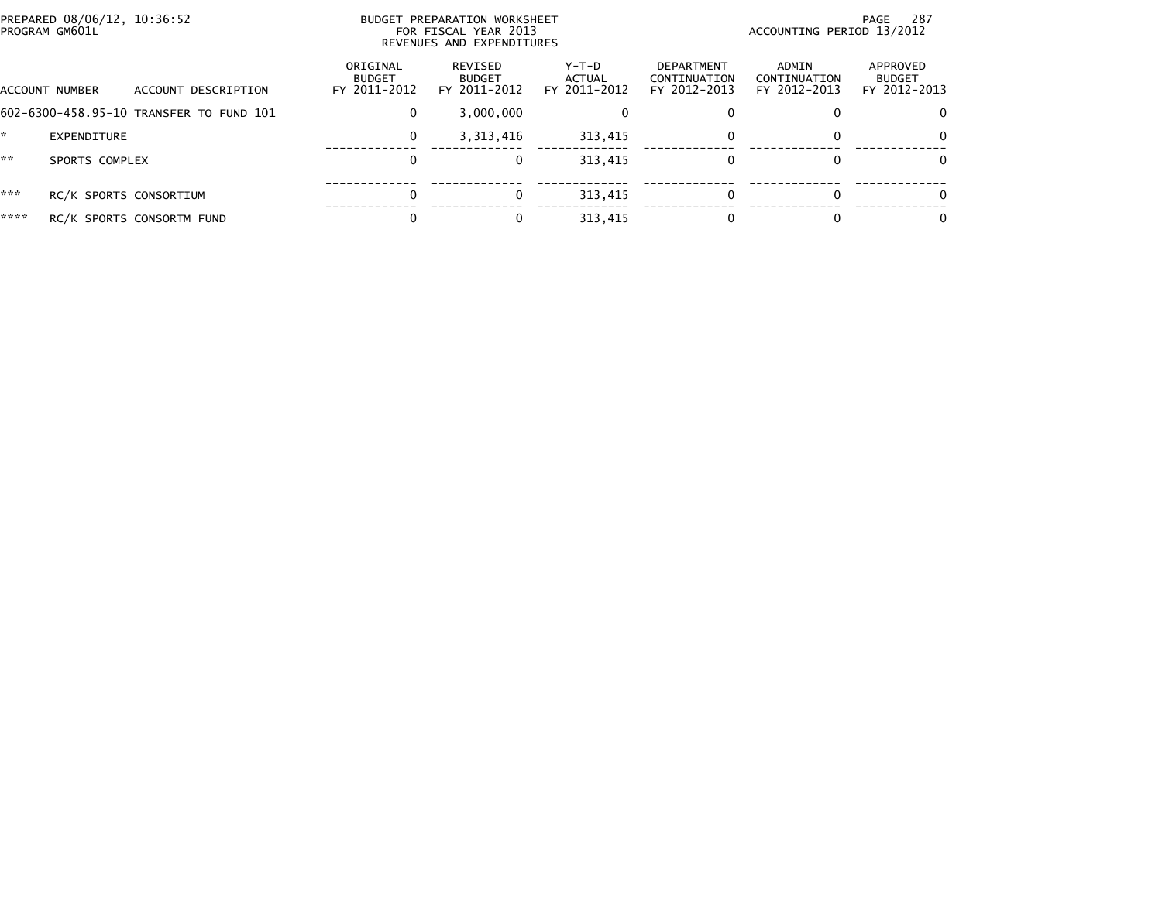| PROGRAM GM601L | PREPARED 08/06/12, 10:36:52             | BUDGET PREPARATION WORKSHEET<br>FOR FISCAL YEAR 2013<br>REVENUES AND EXPENDITURES |                                          |                                 | -287<br>PAGE<br>ACCOUNTING PERIOD 13/2012  |                                       |                                           |  |
|----------------|-----------------------------------------|-----------------------------------------------------------------------------------|------------------------------------------|---------------------------------|--------------------------------------------|---------------------------------------|-------------------------------------------|--|
| ACCOUNT NUMBER | ACCOUNT DESCRIPTION                     | ORIGINAL<br><b>BUDGET</b><br>FY 2011-2012                                         | REVISED<br><b>BUDGET</b><br>FY 2011-2012 | Y-T-D<br>ACTUAL<br>FY 2011-2012 | DEPARTMENT<br>CONTINUATION<br>FY 2012-2013 | ADMIN<br>CONTINUATION<br>FY 2012-2013 | APPROVED<br><b>BUDGET</b><br>FY 2012-2013 |  |
|                | 602-6300-458.95-10 TRANSFER TO FUND 101 | 0                                                                                 | 3,000,000                                |                                 |                                            |                                       | $\Omega$                                  |  |
| $\mathbf{r}$   | EXPENDITURE                             | 0                                                                                 | 3, 313, 416                              | 313.415                         | $\Omega$                                   |                                       | $\Omega$                                  |  |
| **             | SPORTS COMPLEX                          |                                                                                   | 0                                        | 313.415                         | $\Omega$                                   |                                       | 0                                         |  |
| ***            | RC/K SPORTS CONSORTIUM                  | $\Omega$                                                                          | $\Omega$                                 | 313,415                         | $\Omega$                                   |                                       | 0                                         |  |
| ****           | RC/K SPORTS CONSORTM FUND               |                                                                                   | $\Omega$                                 | 313,415                         |                                            |                                       | 0                                         |  |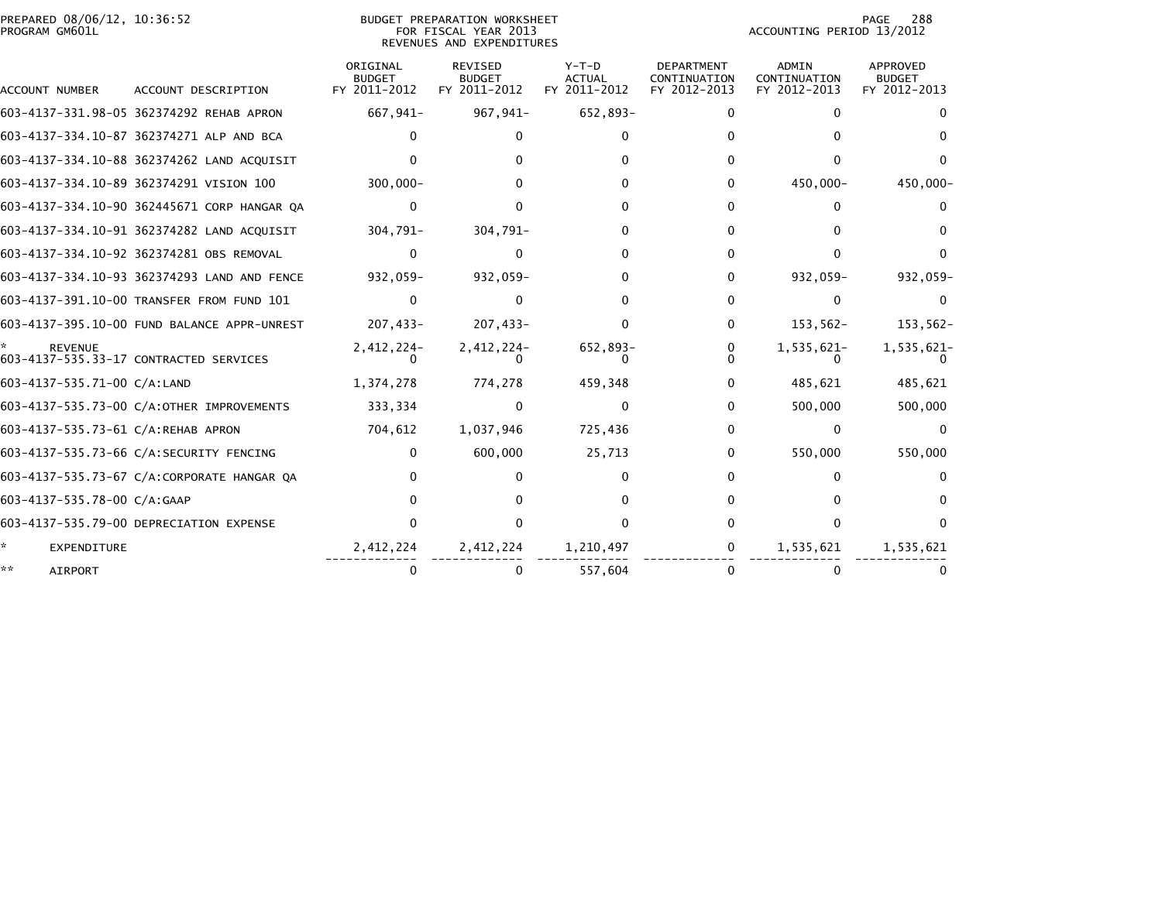## PREPARED 08/06/12, 10:36:52<br>PROGRAM GM601L

BUDGET PREPARATION WORKSHEET<br>FOR FISCAL YEAR 2013 REVENUES AND EXPENDITURES PAGE 288<br>ACCOUNTING PERIOD 13/2012

|                                    |                                             | ORIGINAL<br><b>BUDGET</b> | <b>REVISED</b><br><b>BUDGET</b> | $Y-T-D$<br><b>ACTUAL</b> | <b>DEPARTMENT</b><br>CONTINUATION | <b>ADMIN</b><br>CONTINUATION | APPROVED<br><b>BUDGET</b> |
|------------------------------------|---------------------------------------------|---------------------------|---------------------------------|--------------------------|-----------------------------------|------------------------------|---------------------------|
| <b>ACCOUNT NUMBER</b>              | ACCOUNT DESCRIPTION                         | FY 2011-2012              | FY 2011-2012                    | FY 2011-2012             | FY 2012-2013                      | FY 2012-2013                 | FY 2012-2013              |
|                                    | 603-4137-331.98-05 362374292 REHAB APRON    | 667,941-                  | 967,941-                        | 652,893-                 | 0                                 |                              |                           |
|                                    | 603-4137-334.10-87 362374271 ALP AND BCA    |                           |                                 |                          |                                   |                              |                           |
|                                    | 603-4137-334.10-88 362374262 LAND ACQUISIT  |                           |                                 |                          |                                   |                              |                           |
|                                    | 603-4137-334.10-89 362374291 VISION 100     | $300,000 -$               |                                 |                          | 0                                 | 450,000-                     | 450,000-                  |
|                                    | 603-4137-334.10-90 362445671 CORP HANGAR QA | $\Omega$                  |                                 |                          | O.                                | 0                            |                           |
|                                    | 603-4137-334.10-91 362374282 LAND ACOUISIT  | 304.791-                  | 304,791-                        |                          | 0                                 |                              |                           |
|                                    | 603-4137-334.10-92 362374281 OBS REMOVAL    | 0                         |                                 |                          |                                   |                              |                           |
|                                    | 603-4137-334.10-93 362374293 LAND AND FENCE | 932,059-                  | 932,059-                        |                          | 0                                 | 932,059-                     | $932,059-$                |
|                                    | 603-4137-391.10-00 TRANSFER FROM FUND 101   | 0                         |                                 |                          |                                   | $\Omega$                     |                           |
|                                    | 603-4137-395.10-00 FUND BALANCE APPR-UNREST | 207,433-                  | 207,433-                        |                          | 0                                 | $153,562-$                   | $153,562-$                |
| <b>REVENUE</b>                     | 603-4137-535.33-17 CONTRACTED SERVICES      | 2,412,224-                | 2,412,224-                      | 652,893-                 | 0                                 | 1,535,621-                   | 1,535,621-                |
| 603-4137-535.71-00 C/A:LAND        |                                             | 1,374,278                 | 774,278                         | 459,348                  | 0                                 | 485,621                      | 485,621                   |
|                                    | 603-4137-535.73-00 C/A:OTHER IMPROVEMENTS   | 333,334                   |                                 |                          | 0                                 | 500,000                      | 500,000                   |
| 603-4137-535.73-61 C/A:REHAB APRON |                                             | 704,612                   | 1,037,946                       | 725,436                  | 0                                 | $\Omega$                     |                           |
|                                    | 603-4137-535.73-66 C/A:SECURITY FENCING     | $\Omega$                  | 600,000                         | 25,713                   | 0                                 | 550,000                      | 550,000                   |
|                                    | 603-4137-535.73-67 C/A:CORPORATE HANGAR QA  |                           |                                 |                          |                                   |                              |                           |
| 603-4137-535.78-00 C/A:GAAP        |                                             |                           |                                 |                          |                                   |                              |                           |
|                                    | 603-4137-535.79-00 DEPRECIATION EXPENSE     |                           |                                 |                          |                                   |                              |                           |
| EXPENDITURE                        |                                             | 2,412,224                 | 2,412,224                       | 1,210,497                | 0                                 | 1,535,621                    | 1,535,621                 |
| <b>AIRPORT</b>                     |                                             |                           | 0                               | 557,604                  |                                   |                              |                           |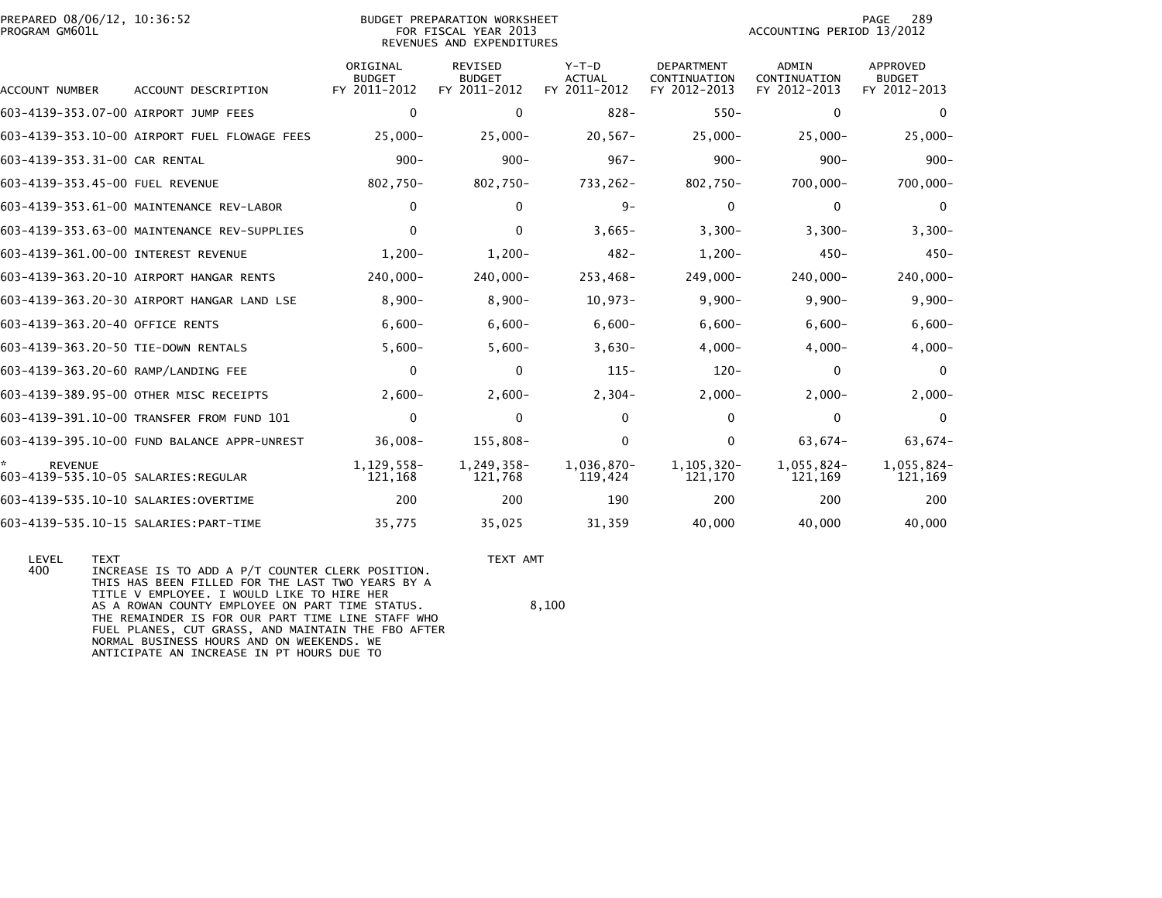| PREPARED 08/06/12, 10:36:52<br>PROGRAM GM601L          |                                              | <b>BUDGET PREPARATION WORKSHEET</b><br>FOR FISCAL YEAR 2013<br>REVENUES AND EXPENDITURES |                                                 |                                          |                                                   | 289<br>PAGE<br>ACCOUNTING PERIOD 13/2012     |                                           |  |
|--------------------------------------------------------|----------------------------------------------|------------------------------------------------------------------------------------------|-------------------------------------------------|------------------------------------------|---------------------------------------------------|----------------------------------------------|-------------------------------------------|--|
| ACCOUNT NUMBER                                         | ACCOUNT DESCRIPTION                          | ORIGINAL<br><b>BUDGET</b><br>FY 2011-2012                                                | <b>REVISED</b><br><b>BUDGET</b><br>FY 2011-2012 | $Y-T-D$<br><b>ACTUAL</b><br>FY 2011-2012 | <b>DEPARTMENT</b><br>CONTINUATION<br>FY 2012-2013 | <b>ADMIN</b><br>CONTINUATION<br>FY 2012-2013 | APPROVED<br><b>BUDGET</b><br>FY 2012-2013 |  |
| 603-4139-353.07-00 AIRPORT JUMP FEES                   |                                              | $\mathbf{0}$                                                                             | $\mathbf 0$                                     | $828 -$                                  | $550 -$                                           | $\mathbf{0}$                                 | 0                                         |  |
|                                                        | 603-4139-353.10-00 AIRPORT FUEL FLOWAGE FEES | $25,000 -$                                                                               | $25,000 -$                                      | $20,567-$                                | $25,000 -$                                        | $25,000-$                                    | $25,000 -$                                |  |
| 603-4139-353.31-00 CAR RENTAL                          |                                              | $900 -$                                                                                  | $900 -$                                         | $967 -$                                  | $900 -$                                           | $900 -$                                      | $900 -$                                   |  |
| 603-4139-353.45-00 FUEL REVENUE                        |                                              | 802,750-                                                                                 | 802,750-                                        | 733,262-                                 | 802,750-                                          | 700,000-                                     | 700,000-                                  |  |
|                                                        | 603-4139-353.61-00 MAINTENANCE REV-LABOR     | $\mathbf 0$                                                                              | $\mathbf 0$                                     | $9-$                                     | $\mathbf 0$                                       | $\mathbf 0$                                  | 0                                         |  |
|                                                        | 603-4139-353.63-00 MAINTENANCE REV-SUPPLIES  | $\Omega$                                                                                 | $\Omega$                                        | $3,665-$                                 | $3,300-$                                          | $3,300-$                                     | $3,300-$                                  |  |
| 603-4139-361.00-00 INTEREST REVENUE                    |                                              | $1,200-$                                                                                 | $1,200 -$                                       | $482 -$                                  | $1,200-$                                          | $450 -$                                      | $450 -$                                   |  |
|                                                        | 603-4139-363.20-10 AIRPORT HANGAR RENTS      | 240,000-                                                                                 | 240,000-                                        | 253,468-                                 | 249,000-                                          | 240,000-                                     | 240,000-                                  |  |
|                                                        | 603-4139-363.20-30 AIRPORT HANGAR LAND LSE   | $8,900-$                                                                                 | $8,900 -$                                       | $10,973-$                                | $9,900-$                                          | $9,900-$                                     | $9,900-$                                  |  |
| 603-4139-363.20-40 OFFICE RENTS                        |                                              | $6,600-$                                                                                 | $6,600-$                                        | $6,600-$                                 | $6,600-$                                          | $6,600-$                                     | $6,600-$                                  |  |
| 603-4139-363.20-50 TIE-DOWN RENTALS                    |                                              | $5,600-$                                                                                 | $5,600-$                                        | $3,630-$                                 | $4,000-$                                          | $4,000-$                                     | $4,000-$                                  |  |
| 603-4139-363.20-60 RAMP/LANDING FEE                    |                                              | $\Omega$                                                                                 | $\mathbf{0}$                                    | $115 -$                                  | $120 -$                                           | $\mathbf{0}$                                 | $\Omega$                                  |  |
|                                                        | 603-4139-389.95-00 OTHER MISC RECEIPTS       | $2.600 -$                                                                                | $2.600 -$                                       | $2,304-$                                 | $2,000-$                                          | $2,000-$                                     | $2,000 -$                                 |  |
|                                                        | 603-4139-391.10-00 TRANSFER FROM FUND 101    | $\mathbf 0$                                                                              | $\mathbf 0$                                     | $\mathbf{0}$                             | 0                                                 | 0                                            | $\Omega$                                  |  |
|                                                        | 603-4139-395.10-00 FUND BALANCE APPR-UNREST  | $36,008 -$                                                                               | 155,808-                                        | $\mathbf{0}$                             | 0                                                 | 63,674-                                      | 63,674-                                   |  |
| <b>REVENUE</b><br>603-4139-535.10-05 SALARIES: REGULAR |                                              | 1,129,558-<br>121,168                                                                    | 1,249,358-<br>121,768                           | 1,036,870-<br>119,424                    | 1, 105, 320-<br>121,170                           | 1,055,824-<br>121,169                        | 1,055,824-<br>121,169                     |  |
| 603-4139-535.10-10 SALARIES: OVERTIME                  |                                              | 200                                                                                      | 200                                             | 190                                      | 200                                               | 200                                          | 200                                       |  |
|                                                        | 603-4139-535.10-15 SALARIES: PART-TIME       | 35,775                                                                                   | 35,025                                          | 31,359                                   | 40,000                                            | 40,000                                       | 40,000                                    |  |
|                                                        |                                              |                                                                                          |                                                 |                                          |                                                   |                                              |                                           |  |

 LEVEL TEXT TEXT AMT 400 INCREASE IS TO ADD A P/T COUNTER CLERK POSITION. THIS HAS BEEN FILLED FOR THE LAST TWO YEARS BY A TITLE V EMPLOYEE. I WOULD LIKE TO HIRE HERAS A ROWAN COUNTY EMPLOYEE ON PART TIME STATUS.  $8,100$  THE REMAINDER IS FOR OUR PART TIME LINE STAFF WHO FUEL PLANES, CUT GRASS, AND MAINTAIN THE FBO AFTER NORMAL BUSINESS HOURS AND ON WEEKENDS. WEANTICIPATE AN INCREASE IN PT HOURS DUE TO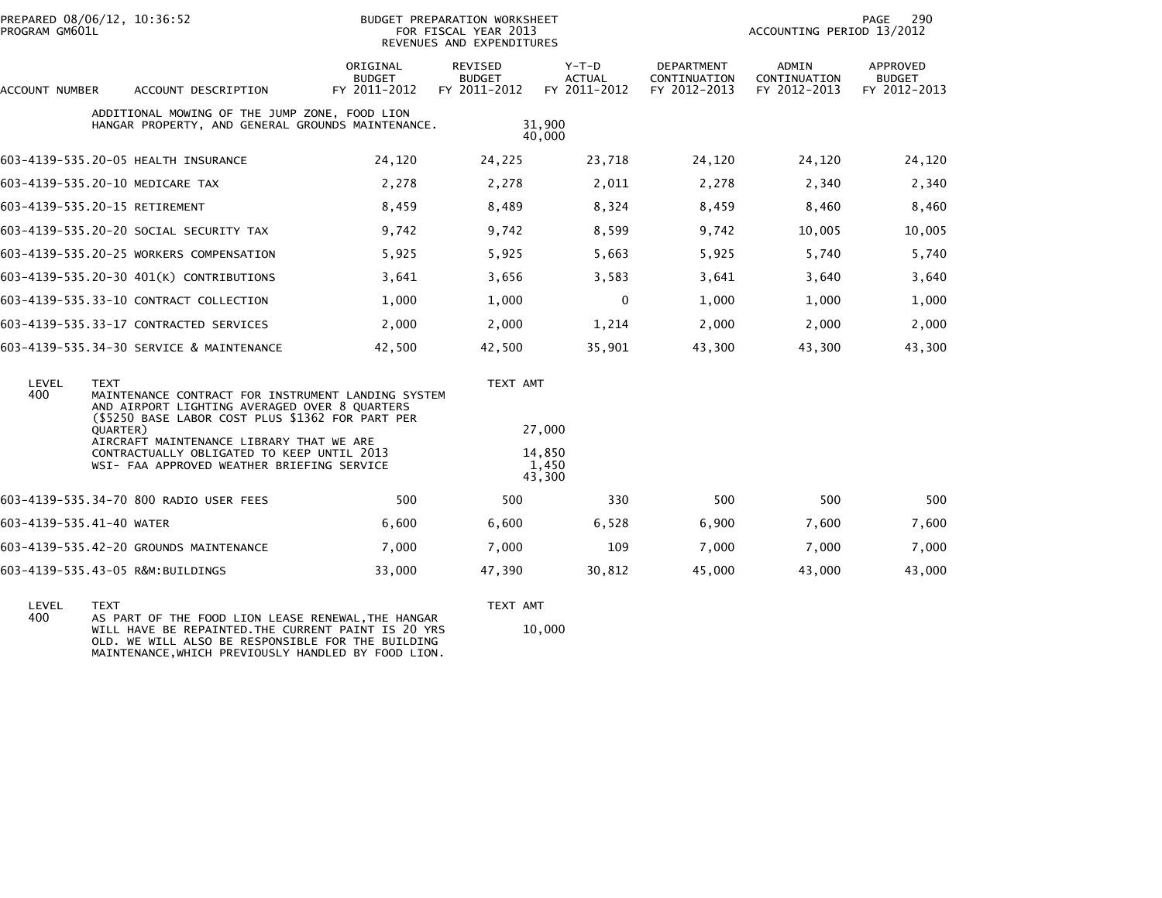| PREPARED 08/06/12, 10:36:52<br>PROGRAM GM601L                                                                                        |                                                                                                                                                                                    |                                           | BUDGET PREPARATION WORKSHEET<br>FOR FISCAL YEAR 2013<br>REVENUES AND EXPENDITURES |                                          | PAGE<br>290<br>ACCOUNTING PERIOD 13/2012          |                                       |                                           |  |
|--------------------------------------------------------------------------------------------------------------------------------------|------------------------------------------------------------------------------------------------------------------------------------------------------------------------------------|-------------------------------------------|-----------------------------------------------------------------------------------|------------------------------------------|---------------------------------------------------|---------------------------------------|-------------------------------------------|--|
| ACCOUNT NUMBER                                                                                                                       | ACCOUNT DESCRIPTION                                                                                                                                                                | ORIGINAL<br><b>BUDGET</b><br>FY 2011-2012 | REVISED<br><b>BUDGET</b><br>FY 2011-2012                                          | $Y-T-D$<br><b>ACTUAL</b><br>FY 2011-2012 | <b>DEPARTMENT</b><br>CONTINUATION<br>FY 2012-2013 | ADMIN<br>CONTINUATION<br>FY 2012-2013 | APPROVED<br><b>BUDGET</b><br>FY 2012-2013 |  |
|                                                                                                                                      | ADDITIONAL MOWING OF THE JUMP ZONE, FOOD LION<br>HANGAR PROPERTY, AND GENERAL GROUNDS MAINTENANCE.                                                                                 |                                           |                                                                                   | 31.900<br>40,000                         |                                                   |                                       |                                           |  |
|                                                                                                                                      | 603-4139-535.20-05 HEALTH INSURANCE                                                                                                                                                | 24,120                                    | 24,225                                                                            | 23,718                                   | 24,120                                            | 24,120                                | 24,120                                    |  |
|                                                                                                                                      | 603-4139-535.20-10 MEDICARE TAX                                                                                                                                                    | 2,278                                     | 2,278                                                                             | 2,011                                    | 2,278                                             | 2,340                                 | 2,340                                     |  |
|                                                                                                                                      | 603-4139-535.20-15 RETIREMENT                                                                                                                                                      | 8,459                                     | 8,489                                                                             | 8,324                                    | 8,459                                             | 8,460                                 | 8,460                                     |  |
|                                                                                                                                      | 603-4139-535.20-20 SOCIAL SECURITY TAX                                                                                                                                             | 9,742                                     | 9,742                                                                             | 8,599                                    | 9,742                                             | 10,005                                | 10,005                                    |  |
|                                                                                                                                      | 603-4139-535.20-25 WORKERS COMPENSATION                                                                                                                                            | 5,925                                     | 5,925                                                                             | 5,663                                    | 5,925                                             | 5,740                                 | 5,740                                     |  |
|                                                                                                                                      | 603-4139-535.20-30 401(K) CONTRIBUTIONS                                                                                                                                            | 3,641                                     | 3,656                                                                             | 3,583                                    | 3,641                                             | 3,640                                 | 3,640                                     |  |
|                                                                                                                                      | 603-4139-535.33-10 CONTRACT COLLECTION                                                                                                                                             | 1,000                                     | 1,000                                                                             | $\mathbf{0}$                             | 1,000                                             | 1,000                                 | 1,000                                     |  |
|                                                                                                                                      | 603-4139-535.33-17 CONTRACTED SERVICES                                                                                                                                             | 2,000                                     | 2,000                                                                             | 1,214                                    | 2,000                                             | 2,000                                 | 2,000                                     |  |
|                                                                                                                                      | 603-4139-535.34-30 SERVICE & MAINTENANCE                                                                                                                                           | 42.500                                    | 42,500                                                                            | 35,901                                   | 43,300                                            | 43.300                                | 43,300                                    |  |
| LEVEL<br>400                                                                                                                         | <b>TEXT</b><br>MAINTENANCE CONTRACT FOR INSTRUMENT LANDING SYSTEM<br>AND AIRPORT LIGHTING AVERAGED OVER 8 QUARTERS<br>(\$5250 BASE LABOR COST PLUS \$1362 FOR PART PER<br>QUARTER) |                                           | TEXT AMT                                                                          | 27,000                                   |                                                   |                                       |                                           |  |
| AIRCRAFT MAINTENANCE LIBRARY THAT WE ARE<br>CONTRACTUALLY OBLIGATED TO KEEP UNTIL 2013<br>WSI- FAA APPROVED WEATHER BRIEFING SERVICE |                                                                                                                                                                                    | 14,850<br>1,450<br>43,300                 |                                                                                   |                                          |                                                   |                                       |                                           |  |
|                                                                                                                                      | 603-4139-535.34-70 800 RADIO USER FEES                                                                                                                                             | 500                                       | 500                                                                               | 330                                      | 500                                               | 500                                   | 500                                       |  |
| 603-4139-535.41-40 WATER                                                                                                             |                                                                                                                                                                                    | 6,600                                     | 6,600                                                                             | 6,528                                    | 6,900                                             | 7,600                                 | 7,600                                     |  |
|                                                                                                                                      | 603-4139-535.42-20 GROUNDS MAINTENANCE                                                                                                                                             | 7,000                                     | 7,000                                                                             | 109                                      | 7,000                                             | 7,000                                 | 7,000                                     |  |
|                                                                                                                                      | 603-4139-535.43-05 R&M:BUILDINGS                                                                                                                                                   | 33.000                                    | 47,390                                                                            | 30,812                                   | 45.000                                            | 43.000                                | 43.000                                    |  |

LEVEL TEXT TEXT AMT 400 AS PART OF THE FOOD LION LEASE RENEWAL,THE HANGAR WILL HAVE BE REPAINTED.THE CURRENT PAINT IS 20 YRS 10,000 OLD. WE WILL ALSO BE RESPONSIBLE FOR THE BUILDING MAINTENANCE,WHICH PREVIOUSLY HANDLED BY FOOD LION.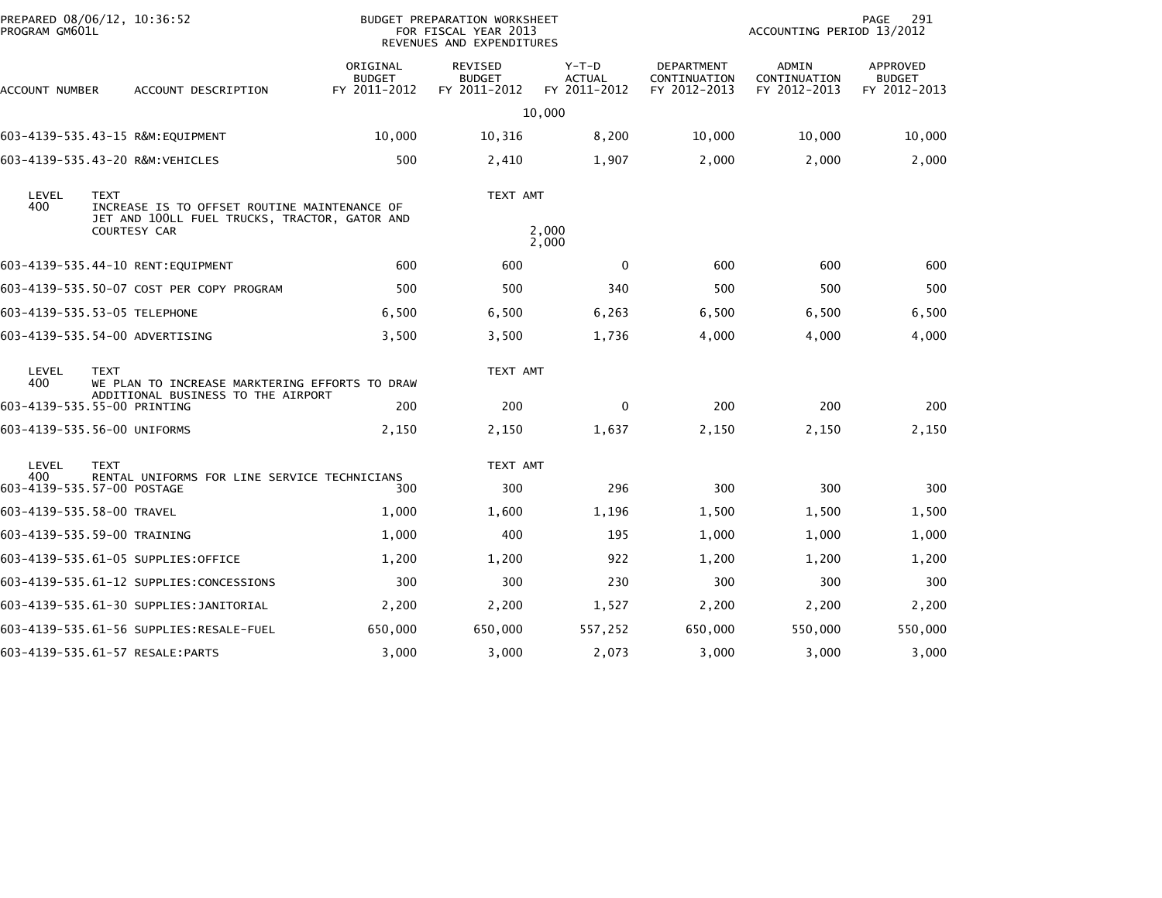| PROGRAM GM601L                                                                                                                               | PREPARED 08/06/12, 10:36:52                                                |                                           | <b>BUDGET PREPARATION WORKSHEET</b><br>FOR FISCAL YEAR 2013<br>REVENUES AND EXPENDITURES |                                          |                                            | ACCOUNTING PERIOD 13/2012             | PAGE<br>291                                      |
|----------------------------------------------------------------------------------------------------------------------------------------------|----------------------------------------------------------------------------|-------------------------------------------|------------------------------------------------------------------------------------------|------------------------------------------|--------------------------------------------|---------------------------------------|--------------------------------------------------|
| ACCOUNT NUMBER                                                                                                                               | ACCOUNT DESCRIPTION                                                        | ORIGINAL<br><b>BUDGET</b><br>FY 2011-2012 | REVISED<br><b>BUDGET</b><br>FY 2011-2012                                                 | $Y-T-D$<br><b>ACTUAL</b><br>FY 2011-2012 | DEPARTMENT<br>CONTINUATION<br>FY 2012-2013 | ADMIN<br>CONTINUATION<br>FY 2012-2013 | <b>APPROVED</b><br><b>BUDGET</b><br>FY 2012-2013 |
|                                                                                                                                              |                                                                            |                                           |                                                                                          | 10,000                                   |                                            |                                       |                                                  |
|                                                                                                                                              | 603-4139-535.43-15 R&M:EQUIPMENT                                           | 10,000                                    | 10,316                                                                                   | 8,200                                    | 10,000                                     | 10,000                                | 10,000                                           |
|                                                                                                                                              | 603-4139-535.43-20 R&M:VEHICLES                                            | 500                                       | 2,410                                                                                    | 1,907                                    | 2,000                                      | 2,000                                 | 2,000                                            |
| LEVEL<br><b>TEXT</b><br>400<br>INCREASE IS TO OFFSET ROUTINE MAINTENANCE OF<br>JET AND 100LL FUEL TRUCKS, TRACTOR, GATOR AND<br>COURTESY CAR |                                                                            |                                           | TEXT AMT                                                                                 | 2,000<br>2,000                           |                                            |                                       |                                                  |
|                                                                                                                                              | 603-4139-535.44-10 RENT:EQUIPMENT                                          | 600                                       | 600                                                                                      | $\mathbf{0}$                             | 600                                        | 600                                   | 600                                              |
|                                                                                                                                              | 603-4139-535.50-07 COST PER COPY PROGRAM                                   | 500                                       | 500                                                                                      | 340                                      | 500                                        | 500                                   | 500                                              |
|                                                                                                                                              | 603-4139-535.53-05 TELEPHONE                                               | 6,500                                     | 6,500                                                                                    | 6,263                                    | 6,500                                      | 6,500                                 | 6,500                                            |
|                                                                                                                                              | 603-4139-535.54-00 ADVERTISING                                             |                                           | 3,500                                                                                    |                                          | 4,000                                      |                                       | 4,000                                            |
|                                                                                                                                              |                                                                            | 3,500                                     |                                                                                          | 1,736                                    |                                            | 4,000                                 |                                                  |
| LEVEL<br>400                                                                                                                                 | <b>TEXT</b><br>WE PLAN TO INCREASE MARKTERING EFFORTS TO DRAW              |                                           | TEXT AMT                                                                                 |                                          |                                            |                                       |                                                  |
|                                                                                                                                              | ADDITIONAL BUSINESS TO THE AIRPORT<br>603-4139-535.55-00 PRINTING          | 200                                       | 200                                                                                      | $\mathbf{0}$                             | 200                                        | 200                                   | 200                                              |
|                                                                                                                                              | 603-4139-535.56-00 UNIFORMS                                                | 2,150                                     | 2,150                                                                                    | 1,637                                    | 2,150                                      | 2,150                                 | 2,150                                            |
| LEVEL<br><b>TEXT</b>                                                                                                                         |                                                                            |                                           | TEXT AMT                                                                                 |                                          |                                            |                                       |                                                  |
| 400                                                                                                                                          | RENTAL UNIFORMS FOR LINE SERVICE TECHNICIANS<br>603-4139-535.57-00 POSTAGE | 300                                       | 300                                                                                      | 296                                      | 300                                        | 300                                   | 300                                              |
|                                                                                                                                              | 603-4139-535.58-00 TRAVEL                                                  | 1,000                                     | 1,600                                                                                    | 1,196                                    | 1,500                                      | 1,500                                 | 1,500                                            |
|                                                                                                                                              | 603-4139-535.59-00 TRAINING                                                | 1,000                                     | 400                                                                                      | 195                                      | 1,000                                      | 1,000                                 | 1,000                                            |
|                                                                                                                                              | 603-4139-535.61-05 SUPPLIES:OFFICE                                         | 1,200                                     | 1,200                                                                                    | 922                                      | 1,200                                      | 1,200                                 | 1,200                                            |
|                                                                                                                                              | 603-4139-535.61-12 SUPPLIES:CONCESSIONS                                    | 300                                       | 300                                                                                      | 230                                      | 300                                        | 300                                   | 300                                              |
|                                                                                                                                              | 603-4139-535.61-30 SUPPLIES:JANITORIAL                                     | 2,200                                     | 2,200                                                                                    | 1,527                                    | 2,200                                      | 2,200                                 | 2,200                                            |
|                                                                                                                                              |                                                                            | 650,000                                   | 650,000                                                                                  | 557,252                                  | 650,000                                    | 550,000                               | 550,000                                          |
|                                                                                                                                              | 603-4139-535.61-57 RESALE:PARTS                                            | 3,000                                     | 3,000                                                                                    | 2,073                                    | 3,000                                      | 3,000                                 | 3,000                                            |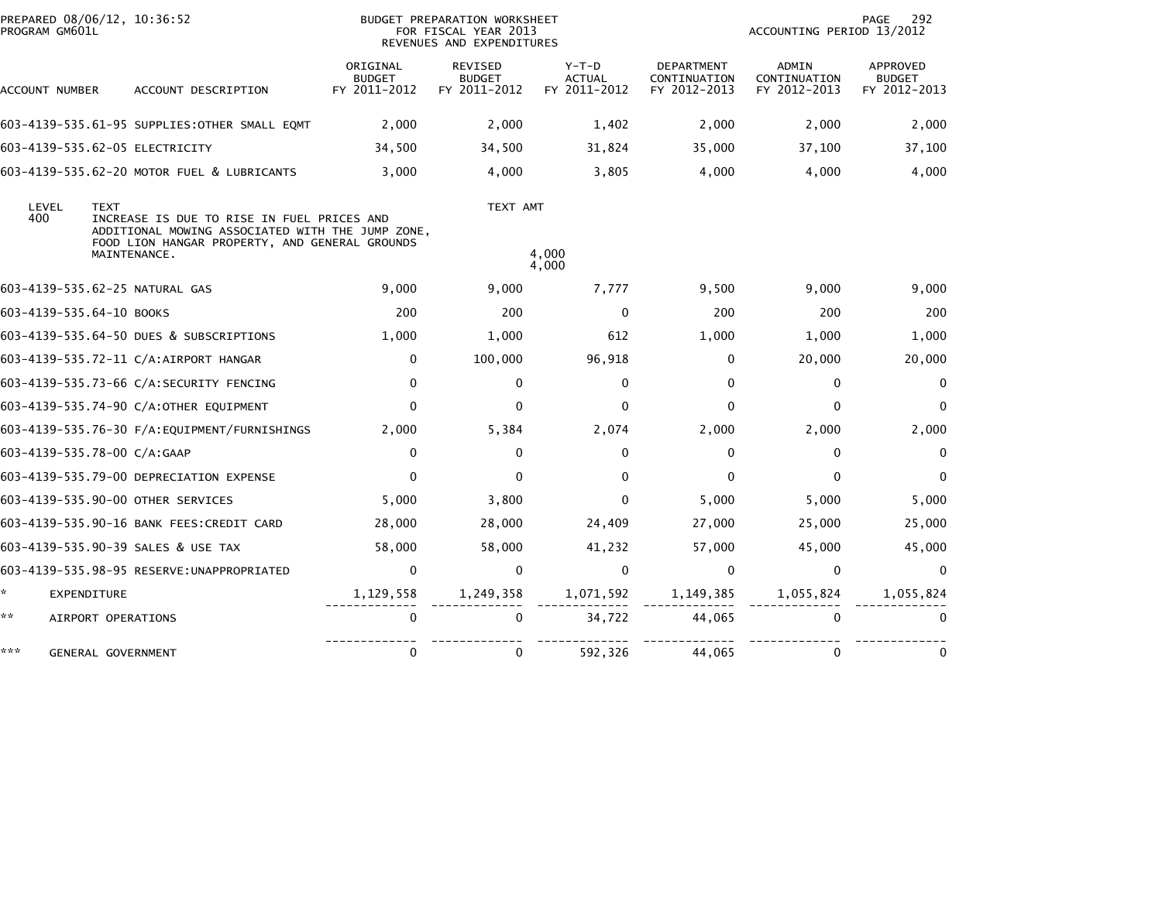| PREPARED 08/06/12, 10:36:52<br>PROGRAM GM601L |                                                                                                                                                                                 |                                           | BUDGET PREPARATION WORKSHEET<br>FOR FISCAL YEAR 2013<br>REVENUES AND EXPENDITURES |                                        | 292<br>PAGE<br>ACCOUNTING PERIOD 13/2012   |                                       |                                           |
|-----------------------------------------------|---------------------------------------------------------------------------------------------------------------------------------------------------------------------------------|-------------------------------------------|-----------------------------------------------------------------------------------|----------------------------------------|--------------------------------------------|---------------------------------------|-------------------------------------------|
| ACCOUNT NUMBER                                | ACCOUNT DESCRIPTION                                                                                                                                                             | ORIGINAL<br><b>BUDGET</b><br>FY 2011-2012 | REVISED<br><b>BUDGET</b><br>FY 2011-2012                                          | Y-T-D<br><b>ACTUAL</b><br>FY 2011-2012 | DEPARTMENT<br>CONTINUATION<br>FY 2012-2013 | ADMIN<br>CONTINUATION<br>FY 2012-2013 | APPROVED<br><b>BUDGET</b><br>FY 2012-2013 |
|                                               | 603-4139-535.61-95 SUPPLIES: OTHER SMALL EQMT                                                                                                                                   | 2,000                                     | 2,000                                                                             | 1,402                                  | 2,000                                      | 2,000                                 | 2,000                                     |
|                                               | 603-4139-535.62-05 ELECTRICITY                                                                                                                                                  | 34,500                                    | 34,500                                                                            | 31,824                                 | 35,000                                     | 37,100                                | 37,100                                    |
|                                               | 603-4139-535.62-20 MOTOR FUEL & LUBRICANTS                                                                                                                                      | 3,000                                     | 4,000                                                                             | 3,805                                  | 4.000                                      | 4,000                                 | 4,000                                     |
| LEVEL<br>400                                  | <b>TEXT</b><br>INCREASE IS DUE TO RISE IN FUEL PRICES AND<br>ADDITIONAL MOWING ASSOCIATED WITH THE JUMP ZONE,<br>FOOD LION HANGAR PROPERTY, AND GENERAL GROUNDS<br>MAINTENANCE. |                                           | TEXT AMT                                                                          | 4,000<br>4,000                         |                                            |                                       |                                           |
|                                               | 603-4139-535.62-25 NATURAL GAS                                                                                                                                                  | 9,000                                     | 9,000                                                                             | 7,777                                  | 9,500                                      | 9,000                                 | 9,000                                     |
| 603-4139-535.64-10 BOOKS                      |                                                                                                                                                                                 | 200                                       | 200                                                                               | $\mathbf{0}$                           | 200                                        | 200                                   | 200                                       |
|                                               | 603-4139-535.64-50 DUES & SUBSCRIPTIONS                                                                                                                                         | 1,000                                     | 1,000                                                                             | 612                                    | 1,000                                      | 1.000                                 | 1,000                                     |
|                                               | 603-4139-535.72-11 C/A:AIRPORT HANGAR                                                                                                                                           | 0                                         | 100,000                                                                           | 96,918                                 | 0                                          | 20,000                                | 20,000                                    |
|                                               | 603-4139-535.73-66 C/A:SECURITY FENCING                                                                                                                                         | $\mathbf{0}$                              | $\mathbf 0$                                                                       | $\mathbf{0}$                           | $\Omega$                                   | $\mathbf{0}$                          | $\mathbf{0}$                              |
|                                               | 603-4139-535.74-90 C/A:OTHER EQUIPMENT                                                                                                                                          | $\mathbf{0}$                              | $\mathbf{0}$                                                                      | $\Omega$                               | $\Omega$                                   | $\Omega$                              | $\Omega$                                  |
|                                               |                                                                                                                                                                                 | 2.000                                     | 5,384                                                                             | 2,074                                  | 2,000                                      | 2,000                                 | 2,000                                     |
| 603-4139-535.78-00 C/A:GAAP                   |                                                                                                                                                                                 | 0                                         | 0                                                                                 | $\Omega$                               | 0                                          | $\mathbf{0}$                          | $\Omega$                                  |
|                                               | 603-4139-535.79-00 DEPRECIATION EXPENSE                                                                                                                                         | $\mathbf{0}$                              | $\Omega$                                                                          | $\Omega$                               | $\Omega$                                   | $\Omega$                              | $\Omega$                                  |
|                                               | 603-4139-535.90-00 OTHER SERVICES                                                                                                                                               | 5,000                                     | 3,800                                                                             | 0                                      | 5,000                                      | 5,000                                 | 5,000                                     |
|                                               | 603-4139-535.90-16 BANK FEES:CREDIT CARD                                                                                                                                        | 28,000                                    | 28,000                                                                            | 24,409                                 | 27,000                                     | 25,000                                | 25,000                                    |
|                                               | 603-4139-535.90-39 SALES & USE TAX                                                                                                                                              | 58,000                                    | 58,000                                                                            | 41,232                                 | 57,000                                     | 45,000                                | 45,000                                    |
|                                               | 603-4139-535.98-95 RESERVE: UNAPPROPRIATED                                                                                                                                      | $\mathbf 0$                               | $\mathbf 0$                                                                       | $\mathbf{0}$                           | $\Omega$                                   | $\mathbf 0$                           | $\Omega$                                  |
| *.<br>EXPENDITURE                             |                                                                                                                                                                                 | 1,129,558                                 | 1,249,358                                                                         | 1,071,592                              | 1,149,385                                  | 1,055,824                             | 1,055,824                                 |
| **                                            | AIRPORT OPERATIONS                                                                                                                                                              | 0                                         | 0                                                                                 | 34,722                                 | 44,065                                     | 0                                     | 0                                         |
| ***                                           | GENERAL GOVERNMENT                                                                                                                                                              | 0                                         | 0                                                                                 | 592,326                                | 44,065                                     | 0                                     |                                           |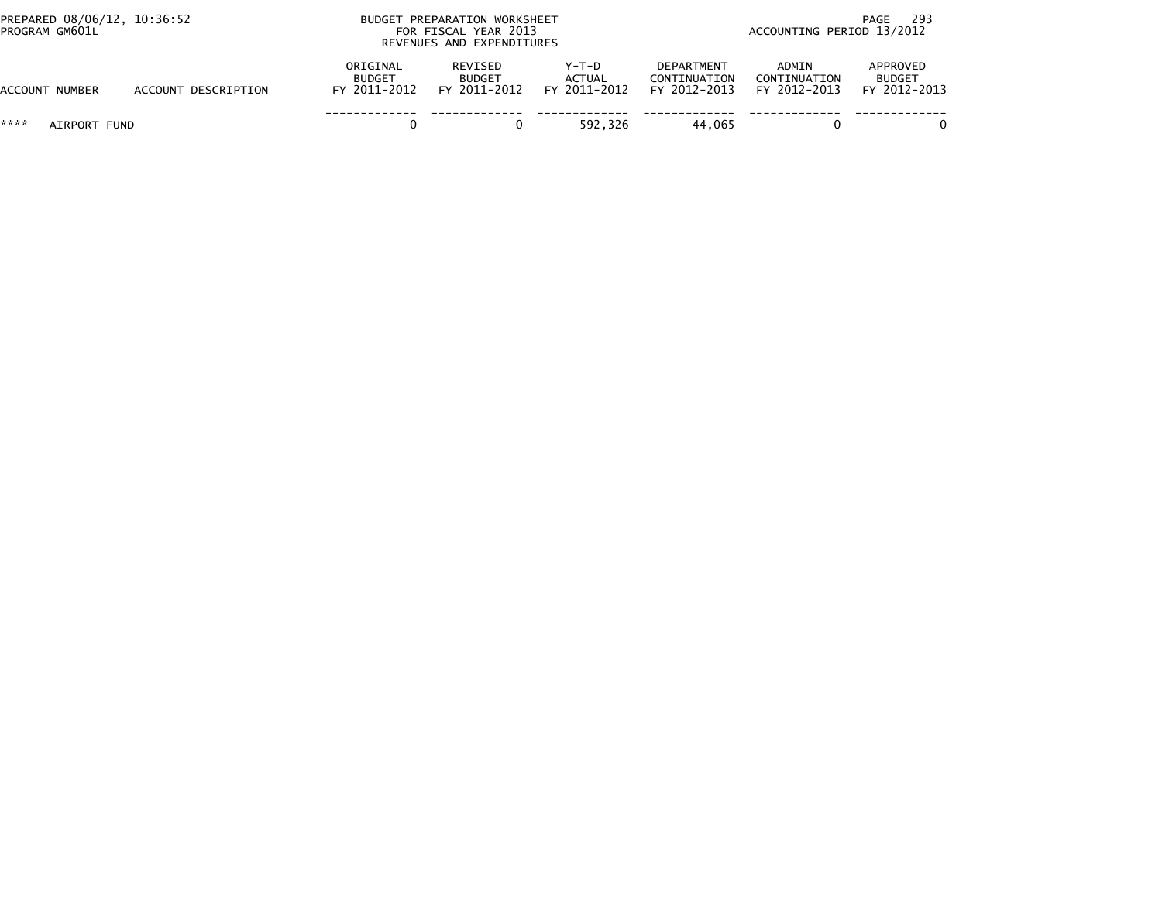| PREPARED 08/06/12, 10:36:52<br>PROGRAM GM601L |                     | BUDGET PREPARATION WORKSHEET<br>FOR FISCAL YEAR 2013<br>REVENUES AND EXPENDITURES |                                          |                                 |                                                   | -293<br>PAGE<br>ACCOUNTING PERIOD 13/2012 |                                           |  |
|-----------------------------------------------|---------------------|-----------------------------------------------------------------------------------|------------------------------------------|---------------------------------|---------------------------------------------------|-------------------------------------------|-------------------------------------------|--|
| ACCOUNT NUMBER                                | ACCOUNT DESCRIPTION | ORIGINAL<br><b>BUDGET</b><br>FY 2011-2012                                         | REVISED<br><b>BUDGET</b><br>FY 2011-2012 | Y-T-D<br>ACTUAL<br>FY 2011-2012 | <b>DEPARTMENT</b><br>CONTINUATION<br>FY 2012-2013 | ADMIN<br>CONTINUATION<br>FY 2012-2013     | APPROVED<br><b>BUDGET</b><br>FY 2012-2013 |  |
| ****<br>AIRPORT FUND                          |                     |                                                                                   |                                          | 592.326                         | 44.065                                            |                                           |                                           |  |